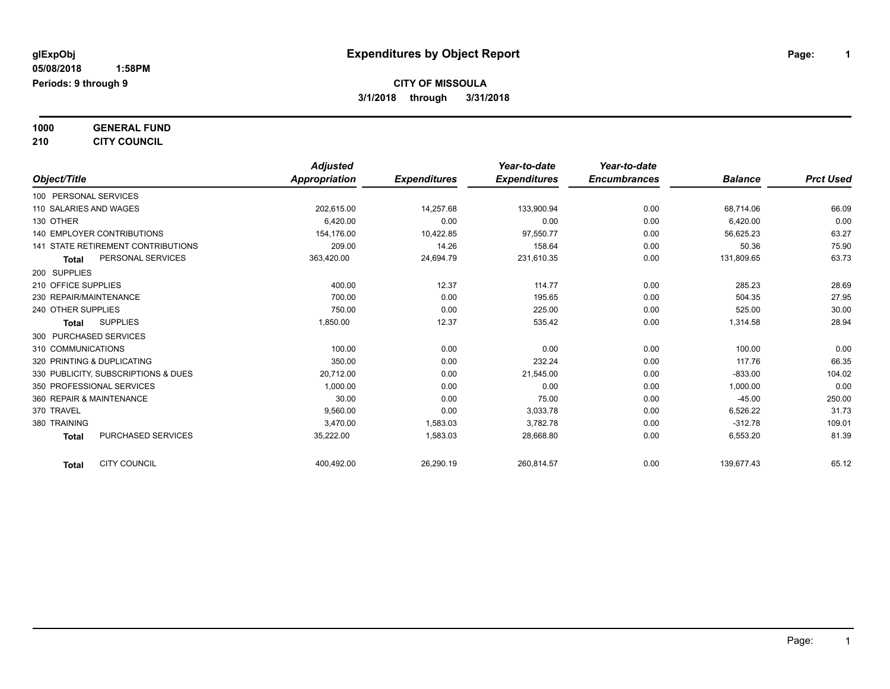**1000 GENERAL FUND**

**210 CITY COUNCIL**

|                                     | <b>Adjusted</b> |                     | Year-to-date        | Year-to-date        |                |                  |
|-------------------------------------|-----------------|---------------------|---------------------|---------------------|----------------|------------------|
| Object/Title                        | Appropriation   | <b>Expenditures</b> | <b>Expenditures</b> | <b>Encumbrances</b> | <b>Balance</b> | <b>Prct Used</b> |
| 100 PERSONAL SERVICES               |                 |                     |                     |                     |                |                  |
| 110 SALARIES AND WAGES              | 202,615.00      | 14,257.68           | 133,900.94          | 0.00                | 68,714.06      | 66.09            |
| 130 OTHER                           | 6.420.00        | 0.00                | 0.00                | 0.00                | 6.420.00       | 0.00             |
| 140 EMPLOYER CONTRIBUTIONS          | 154.176.00      | 10,422.85           | 97,550.77           | 0.00                | 56.625.23      | 63.27            |
| 141 STATE RETIREMENT CONTRIBUTIONS  | 209.00          | 14.26               | 158.64              | 0.00                | 50.36          | 75.90            |
| PERSONAL SERVICES<br><b>Total</b>   | 363,420.00      | 24,694.79           | 231,610.35          | 0.00                | 131,809.65     | 63.73            |
| 200 SUPPLIES                        |                 |                     |                     |                     |                |                  |
| 210 OFFICE SUPPLIES                 | 400.00          | 12.37               | 114.77              | 0.00                | 285.23         | 28.69            |
| 230 REPAIR/MAINTENANCE              | 700.00          | 0.00                | 195.65              | 0.00                | 504.35         | 27.95            |
| 240 OTHER SUPPLIES                  | 750.00          | 0.00                | 225.00              | 0.00                | 525.00         | 30.00            |
| <b>SUPPLIES</b><br><b>Total</b>     | 1,850.00        | 12.37               | 535.42              | 0.00                | 1,314.58       | 28.94            |
| 300 PURCHASED SERVICES              |                 |                     |                     |                     |                |                  |
| 310 COMMUNICATIONS                  | 100.00          | 0.00                | 0.00                | 0.00                | 100.00         | 0.00             |
| 320 PRINTING & DUPLICATING          | 350.00          | 0.00                | 232.24              | 0.00                | 117.76         | 66.35            |
| 330 PUBLICITY, SUBSCRIPTIONS & DUES | 20,712.00       | 0.00                | 21,545.00           | 0.00                | $-833.00$      | 104.02           |
| 350 PROFESSIONAL SERVICES           | 1.000.00        | 0.00                | 0.00                | 0.00                | 1,000.00       | 0.00             |
| 360 REPAIR & MAINTENANCE            | 30.00           | 0.00                | 75.00               | 0.00                | $-45.00$       | 250.00           |
| 370 TRAVEL                          | 9.560.00        | 0.00                | 3,033.78            | 0.00                | 6,526.22       | 31.73            |
| 380 TRAINING                        | 3,470.00        | 1,583.03            | 3,782.78            | 0.00                | $-312.78$      | 109.01           |
| PURCHASED SERVICES<br><b>Total</b>  | 35,222.00       | 1,583.03            | 28,668.80           | 0.00                | 6,553.20       | 81.39            |
| <b>CITY COUNCIL</b><br><b>Total</b> | 400,492.00      | 26,290.19           | 260,814.57          | 0.00                | 139,677.43     | 65.12            |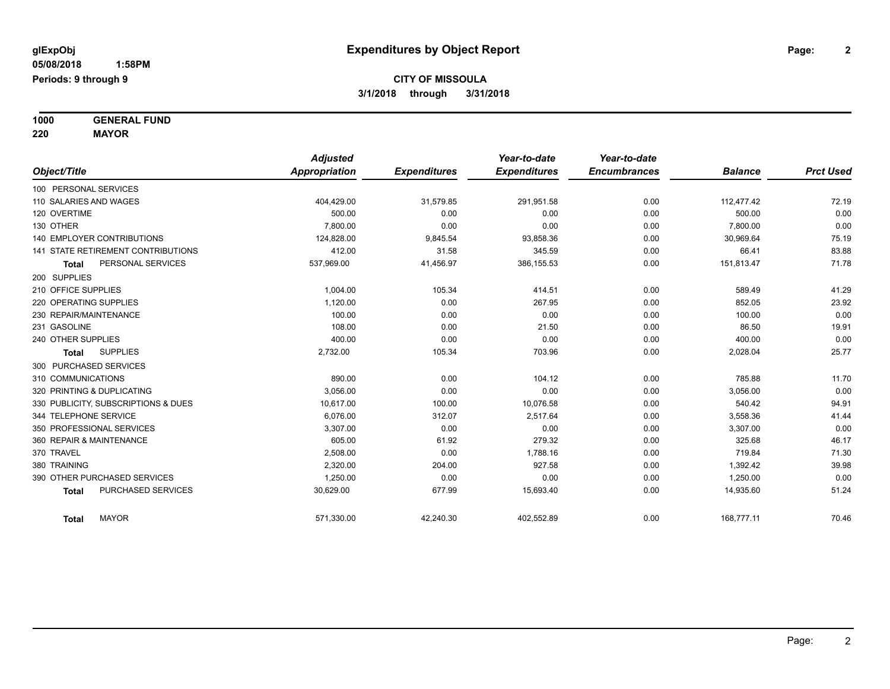**1000 GENERAL FUND 220 MAYOR**

*Object/Title Adjusted Appropriation Expenditures Year-to-date Expenditures Year-to-date Encumbrances Balance Prct Used* 100 PERSONAL SERVICES 110 SALARIES AND WAGES 404,429.00 31,579.85 291,951.58 0.00 112,477.42 72.19 120 OVERTIME 500.00 0.00 0.00 0.00 500.00 0.00 130 OTHER 7,800.00 0.00 0.00 0.00 7,800.00 0.00 140 EMPLOYER CONTRIBUTIONS 124,828.00 9,845.54 93,858.36 0.00 30,969.64 75.19 141 STATE RETIREMENT CONTRIBUTIONS 412.00 31.58 345.59 0.00 66.41 83.88 **Total** PERSONAL SERVICES 537,969.00 41,456.97 386,155.53 0.00 151,813.47 71.78 200 SUPPLIES 210 OFFICE SUPPLIES 1,004.00 105.34 414.51 0.00 589.49 41.29 220 OPERATING SUPPLIES 23.92 CONTROLLED 1,120.00 0.00 0.00 267.95 0.00 0.00 852.05 23.92  $230$  REPAIR/MAINTENANCE  $\hphantom{-}0.00$   $\hphantom{-}0.00$   $\hphantom{-}0.00$   $\hphantom{-}0.00$   $\hphantom{-}0.00$   $\hphantom{-}0.00$   $\hphantom{-}0.00$ 231 GASOLINE 108.00 0.00 21.50 0.00 86.50 19.91 240 OTHER SUPPLIES 400.00 0.00 0.00 0.00 400.00 0.00 **Total** SUPPLIES 2,732.00 105.34 703.96 0.00 2,028.04 25.77 300 PURCHASED SERVICES 310 COMMUNICATIONS 890.00 0.00 104.12 0.00 785.88 11.70 320 PRINTING & DUPLICATING 3,056.00 0.00 0.00 0.00 3,056.00 0.00 330 PUBLICITY, SUBSCRIPTIONS & DUES 10,617.00 100.00 10,076.58 0.00 540.42 94.91 344 TELEPHONE SERVICE 6,076.00 312.07 2,517.64 0.00 3,558.36 41.44 350 PROFESSIONAL SERVICES 3,307.00 0.00 0.00 0.00 3,307.00 0.00 360 REPAIR & MAINTENANCE 605.00 61.92 279.32 0.00 325.68 46.17 370 TRAVEL 2,508.00 0.00 1,788.16 0.00 719.84 71.30 380 TRAINING 2,320.00 204.00 927.58 0.00 1,392.42 39.98 390 OTHER PURCHASED SERVICES 1,250.00 0.00 0.00 0.00 1,250.00 0.00 **Total** PURCHASED SERVICES 651.24 30,629.00 677.99 15,693.40 0.00 14,935.60 51.24 **Total** MAYOR 571,330.00 42,240.30 402,552.89 0.00 168,777.11 70.46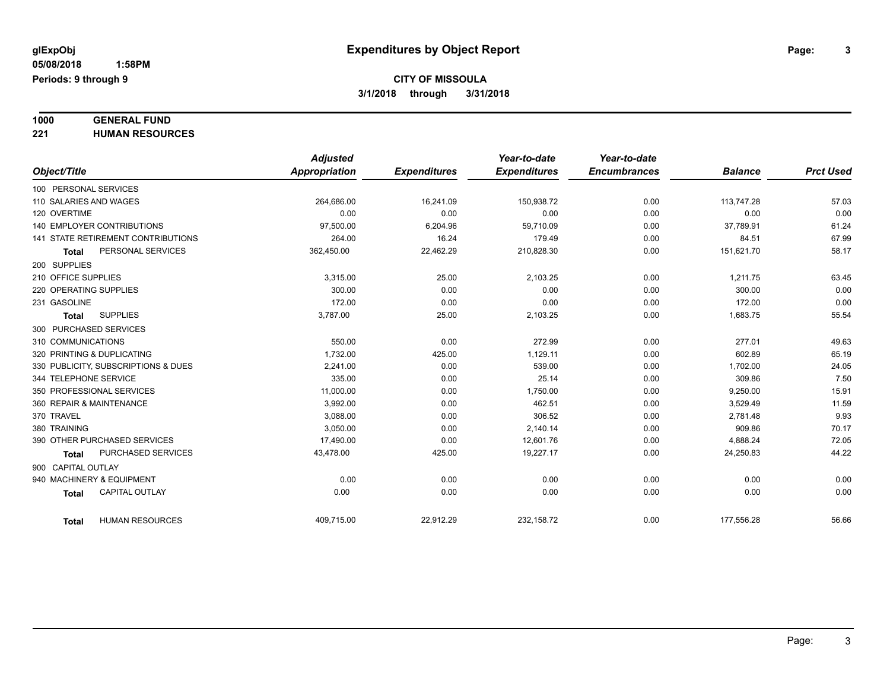# **1000 GENERAL FUND**

**221 HUMAN RESOURCES**

|                                           | <b>Adjusted</b> |                     | Year-to-date        | Year-to-date        |                |                  |
|-------------------------------------------|-----------------|---------------------|---------------------|---------------------|----------------|------------------|
| Object/Title                              | Appropriation   | <b>Expenditures</b> | <b>Expenditures</b> | <b>Encumbrances</b> | <b>Balance</b> | <b>Prct Used</b> |
| 100 PERSONAL SERVICES                     |                 |                     |                     |                     |                |                  |
| 110 SALARIES AND WAGES                    | 264.686.00      | 16,241.09           | 150,938.72          | 0.00                | 113,747.28     | 57.03            |
| 120 OVERTIME                              | 0.00            | 0.00                | 0.00                | 0.00                | 0.00           | 0.00             |
| 140 EMPLOYER CONTRIBUTIONS                | 97,500.00       | 6,204.96            | 59.710.09           | 0.00                | 37,789.91      | 61.24            |
| <b>141 STATE RETIREMENT CONTRIBUTIONS</b> | 264.00          | 16.24               | 179.49              | 0.00                | 84.51          | 67.99            |
| PERSONAL SERVICES<br><b>Total</b>         | 362,450.00      | 22,462.29           | 210,828.30          | 0.00                | 151,621.70     | 58.17            |
| 200 SUPPLIES                              |                 |                     |                     |                     |                |                  |
| 210 OFFICE SUPPLIES                       | 3,315.00        | 25.00               | 2,103.25            | 0.00                | 1,211.75       | 63.45            |
| 220 OPERATING SUPPLIES                    | 300.00          | 0.00                | 0.00                | 0.00                | 300.00         | 0.00             |
| 231 GASOLINE                              | 172.00          | 0.00                | 0.00                | 0.00                | 172.00         | 0.00             |
| <b>SUPPLIES</b><br><b>Total</b>           | 3,787.00        | 25.00               | 2,103.25            | 0.00                | 1,683.75       | 55.54            |
| 300 PURCHASED SERVICES                    |                 |                     |                     |                     |                |                  |
| 310 COMMUNICATIONS                        | 550.00          | 0.00                | 272.99              | 0.00                | 277.01         | 49.63            |
| 320 PRINTING & DUPLICATING                | 1,732.00        | 425.00              | 1,129.11            | 0.00                | 602.89         | 65.19            |
| 330 PUBLICITY, SUBSCRIPTIONS & DUES       | 2.241.00        | 0.00                | 539.00              | 0.00                | 1,702.00       | 24.05            |
| 344 TELEPHONE SERVICE                     | 335.00          | 0.00                | 25.14               | 0.00                | 309.86         | 7.50             |
| 350 PROFESSIONAL SERVICES                 | 11,000.00       | 0.00                | 1,750.00            | 0.00                | 9,250.00       | 15.91            |
| 360 REPAIR & MAINTENANCE                  | 3,992.00        | 0.00                | 462.51              | 0.00                | 3,529.49       | 11.59            |
| 370 TRAVEL                                | 3,088.00        | 0.00                | 306.52              | 0.00                | 2,781.48       | 9.93             |
| 380 TRAINING                              | 3,050.00        | 0.00                | 2,140.14            | 0.00                | 909.86         | 70.17            |
| 390 OTHER PURCHASED SERVICES              | 17,490.00       | 0.00                | 12,601.76           | 0.00                | 4,888.24       | 72.05            |
| PURCHASED SERVICES<br><b>Total</b>        | 43,478.00       | 425.00              | 19,227.17           | 0.00                | 24,250.83      | 44.22            |
| 900 CAPITAL OUTLAY                        |                 |                     |                     |                     |                |                  |
| 940 MACHINERY & EQUIPMENT                 | 0.00            | 0.00                | 0.00                | 0.00                | 0.00           | 0.00             |
| <b>CAPITAL OUTLAY</b><br><b>Total</b>     | 0.00            | 0.00                | 0.00                | 0.00                | 0.00           | 0.00             |
| <b>HUMAN RESOURCES</b><br>Total           | 409,715.00      | 22,912.29           | 232,158.72          | 0.00                | 177,556.28     | 56.66            |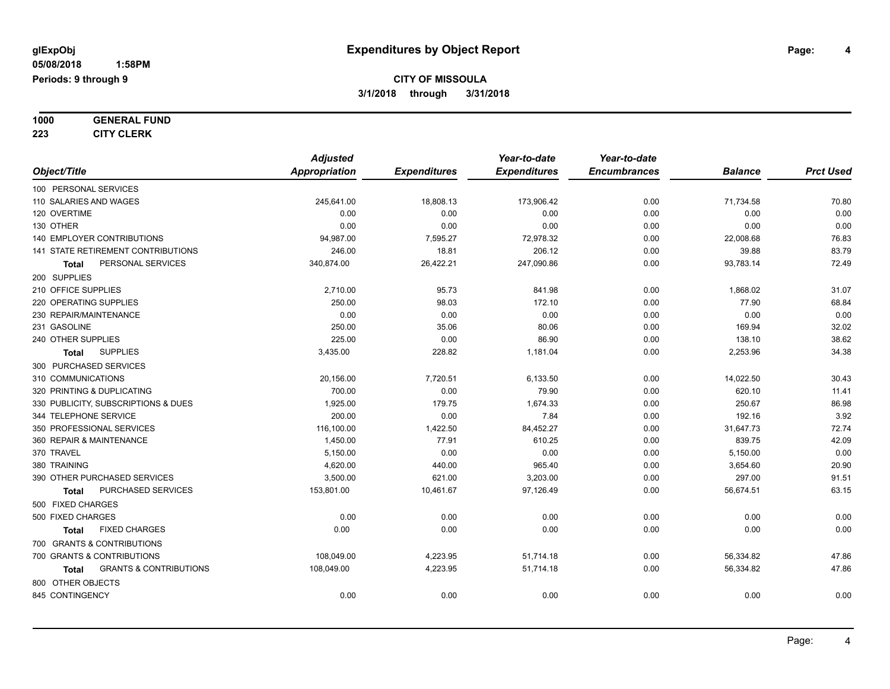**1000 GENERAL FUND**

**223 CITY CLERK**

|                                            | <b>Adjusted</b>      |                     | Year-to-date        | Year-to-date        |                |                  |
|--------------------------------------------|----------------------|---------------------|---------------------|---------------------|----------------|------------------|
| Object/Title                               | <b>Appropriation</b> | <b>Expenditures</b> | <b>Expenditures</b> | <b>Encumbrances</b> | <b>Balance</b> | <b>Prct Used</b> |
| 100 PERSONAL SERVICES                      |                      |                     |                     |                     |                |                  |
| 110 SALARIES AND WAGES                     | 245,641.00           | 18,808.13           | 173,906.42          | 0.00                | 71,734.58      | 70.80            |
| 120 OVERTIME                               | 0.00                 | 0.00                | 0.00                | 0.00                | 0.00           | 0.00             |
| 130 OTHER                                  | 0.00                 | 0.00                | 0.00                | 0.00                | 0.00           | 0.00             |
| <b>140 EMPLOYER CONTRIBUTIONS</b>          | 94,987.00            | 7,595.27            | 72,978.32           | 0.00                | 22,008.68      | 76.83            |
| <b>141 STATE RETIREMENT CONTRIBUTIONS</b>  | 246.00               | 18.81               | 206.12              | 0.00                | 39.88          | 83.79            |
| PERSONAL SERVICES<br>Total                 | 340,874.00           | 26,422.21           | 247,090.86          | 0.00                | 93,783.14      | 72.49            |
| 200 SUPPLIES                               |                      |                     |                     |                     |                |                  |
| 210 OFFICE SUPPLIES                        | 2,710.00             | 95.73               | 841.98              | 0.00                | 1,868.02       | 31.07            |
| 220 OPERATING SUPPLIES                     | 250.00               | 98.03               | 172.10              | 0.00                | 77.90          | 68.84            |
| 230 REPAIR/MAINTENANCE                     | 0.00                 | 0.00                | 0.00                | 0.00                | 0.00           | 0.00             |
| 231 GASOLINE                               | 250.00               | 35.06               | 80.06               | 0.00                | 169.94         | 32.02            |
| 240 OTHER SUPPLIES                         | 225.00               | 0.00                | 86.90               | 0.00                | 138.10         | 38.62            |
| <b>SUPPLIES</b><br>Total                   | 3,435.00             | 228.82              | 1,181.04            | 0.00                | 2,253.96       | 34.38            |
| 300 PURCHASED SERVICES                     |                      |                     |                     |                     |                |                  |
| 310 COMMUNICATIONS                         | 20,156.00            | 7,720.51            | 6,133.50            | 0.00                | 14,022.50      | 30.43            |
| 320 PRINTING & DUPLICATING                 | 700.00               | 0.00                | 79.90               | 0.00                | 620.10         | 11.41            |
| 330 PUBLICITY, SUBSCRIPTIONS & DUES        | 1,925.00             | 179.75              | 1,674.33            | 0.00                | 250.67         | 86.98            |
| 344 TELEPHONE SERVICE                      | 200.00               | 0.00                | 7.84                | 0.00                | 192.16         | 3.92             |
| 350 PROFESSIONAL SERVICES                  | 116,100.00           | 1,422.50            | 84,452.27           | 0.00                | 31,647.73      | 72.74            |
| 360 REPAIR & MAINTENANCE                   | 1,450.00             | 77.91               | 610.25              | 0.00                | 839.75         | 42.09            |
| 370 TRAVEL                                 | 5,150.00             | 0.00                | 0.00                | 0.00                | 5,150.00       | 0.00             |
| 380 TRAINING                               | 4,620.00             | 440.00              | 965.40              | 0.00                | 3,654.60       | 20.90            |
| 390 OTHER PURCHASED SERVICES               | 3,500.00             | 621.00              | 3,203.00            | 0.00                | 297.00         | 91.51            |
| PURCHASED SERVICES<br>Total                | 153,801.00           | 10,461.67           | 97,126.49           | 0.00                | 56,674.51      | 63.15            |
| 500 FIXED CHARGES                          |                      |                     |                     |                     |                |                  |
| 500 FIXED CHARGES                          | 0.00                 | 0.00                | 0.00                | 0.00                | 0.00           | 0.00             |
| <b>FIXED CHARGES</b><br>Total              | 0.00                 | 0.00                | 0.00                | 0.00                | 0.00           | 0.00             |
| 700 GRANTS & CONTRIBUTIONS                 |                      |                     |                     |                     |                |                  |
| 700 GRANTS & CONTRIBUTIONS                 | 108,049.00           | 4,223.95            | 51,714.18           | 0.00                | 56,334.82      | 47.86            |
| <b>GRANTS &amp; CONTRIBUTIONS</b><br>Total | 108,049.00           | 4,223.95            | 51,714.18           | 0.00                | 56,334.82      | 47.86            |
| 800 OTHER OBJECTS                          |                      |                     |                     |                     |                |                  |
| 845 CONTINGENCY                            | 0.00                 | 0.00                | 0.00                | 0.00                | 0.00           | 0.00             |
|                                            |                      |                     |                     |                     |                |                  |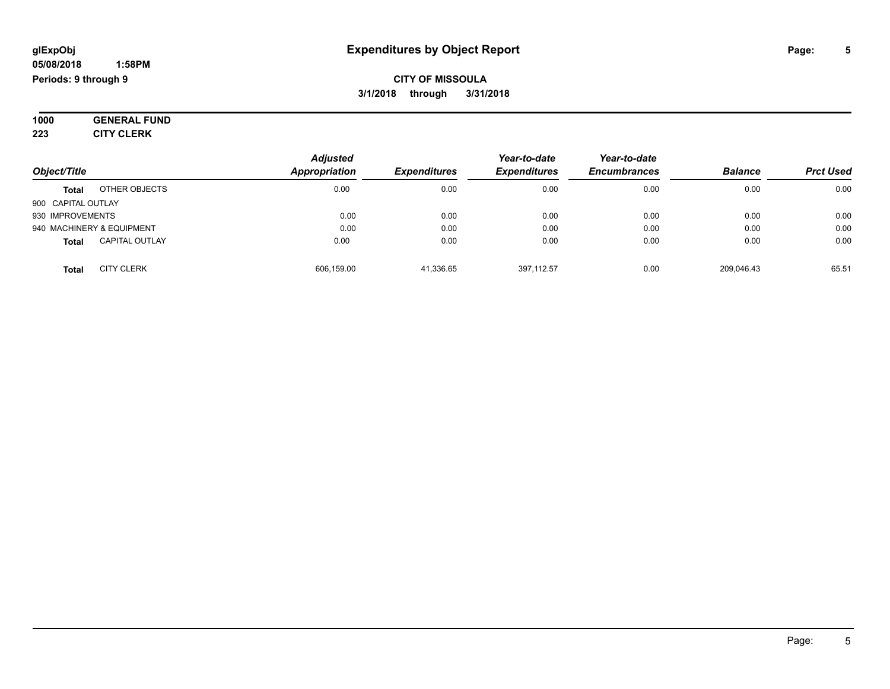### **05/08/2018 1:58PM Periods: 9 through 9**

## **CITY OF MISSOULA 3/1/2018 through 3/31/2018**

**1000 GENERAL FUND 223 CITY CLERK**

|                    |                           | <b>Adjusted</b> |                     | Year-to-date        | Year-to-date        |                |                  |
|--------------------|---------------------------|-----------------|---------------------|---------------------|---------------------|----------------|------------------|
| Object/Title       |                           | Appropriation   | <b>Expenditures</b> | <b>Expenditures</b> | <b>Encumbrances</b> | <b>Balance</b> | <b>Prct Used</b> |
| <b>Total</b>       | OTHER OBJECTS             | 0.00            | 0.00                | 0.00                | 0.00                | 0.00           | 0.00             |
| 900 CAPITAL OUTLAY |                           |                 |                     |                     |                     |                |                  |
| 930 IMPROVEMENTS   |                           | 0.00            | 0.00                | 0.00                | 0.00                | 0.00           | 0.00             |
|                    | 940 MACHINERY & EQUIPMENT | 0.00            | 0.00                | 0.00                | 0.00                | 0.00           | 0.00             |
| <b>Total</b>       | <b>CAPITAL OUTLAY</b>     | 0.00            | 0.00                | 0.00                | 0.00                | 0.00           | 0.00             |
| <b>Total</b>       | <b>CITY CLERK</b>         | 606,159.00      | 41,336.65           | 397.112.57          | 0.00                | 209.046.43     | 65.51            |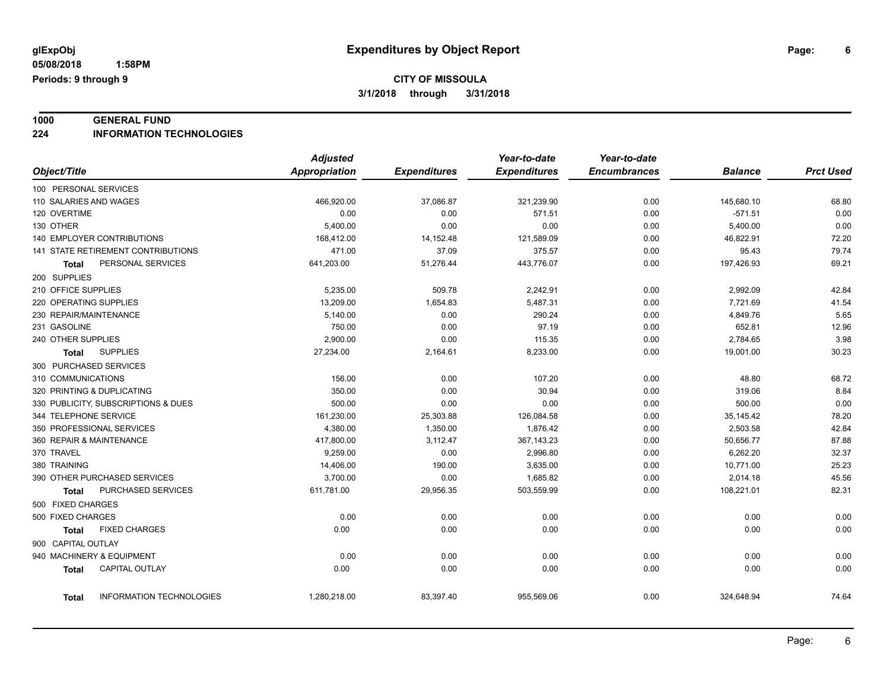### **1000 GENERAL FUND 224 INFORMATION TECHNOLOGIES**

|                                                 | <b>Adjusted</b>      |                     | Year-to-date        | Year-to-date        |                |                  |
|-------------------------------------------------|----------------------|---------------------|---------------------|---------------------|----------------|------------------|
| Object/Title                                    | <b>Appropriation</b> | <b>Expenditures</b> | <b>Expenditures</b> | <b>Encumbrances</b> | <b>Balance</b> | <b>Prct Used</b> |
| 100 PERSONAL SERVICES                           |                      |                     |                     |                     |                |                  |
| 110 SALARIES AND WAGES                          | 466,920.00           | 37,086.87           | 321,239.90          | 0.00                | 145,680.10     | 68.80            |
| 120 OVERTIME                                    | 0.00                 | 0.00                | 571.51              | 0.00                | $-571.51$      | 0.00             |
| 130 OTHER                                       | 5,400.00             | 0.00                | 0.00                | 0.00                | 5,400.00       | 0.00             |
| 140 EMPLOYER CONTRIBUTIONS                      | 168,412.00           | 14,152.48           | 121,589.09          | 0.00                | 46,822.91      | 72.20            |
| 141 STATE RETIREMENT CONTRIBUTIONS              | 471.00               | 37.09               | 375.57              | 0.00                | 95.43          | 79.74            |
| PERSONAL SERVICES<br>Total                      | 641,203.00           | 51,276.44           | 443,776.07          | 0.00                | 197,426.93     | 69.21            |
| 200 SUPPLIES                                    |                      |                     |                     |                     |                |                  |
| 210 OFFICE SUPPLIES                             | 5,235.00             | 509.78              | 2,242.91            | 0.00                | 2,992.09       | 42.84            |
| <b>220 OPERATING SUPPLIES</b>                   | 13,209.00            | 1,654.83            | 5,487.31            | 0.00                | 7,721.69       | 41.54            |
| 230 REPAIR/MAINTENANCE                          | 5,140.00             | 0.00                | 290.24              | 0.00                | 4,849.76       | 5.65             |
| 231 GASOLINE                                    | 750.00               | 0.00                | 97.19               | 0.00                | 652.81         | 12.96            |
| 240 OTHER SUPPLIES                              | 2,900.00             | 0.00                | 115.35              | 0.00                | 2,784.65       | 3.98             |
| <b>SUPPLIES</b><br><b>Total</b>                 | 27,234.00            | 2,164.61            | 8,233.00            | 0.00                | 19,001.00      | 30.23            |
| 300 PURCHASED SERVICES                          |                      |                     |                     |                     |                |                  |
| 310 COMMUNICATIONS                              | 156.00               | 0.00                | 107.20              | 0.00                | 48.80          | 68.72            |
| 320 PRINTING & DUPLICATING                      | 350.00               | 0.00                | 30.94               | 0.00                | 319.06         | 8.84             |
| 330 PUBLICITY, SUBSCRIPTIONS & DUES             | 500.00               | 0.00                | 0.00                | 0.00                | 500.00         | 0.00             |
| 344 TELEPHONE SERVICE                           | 161,230.00           | 25,303.88           | 126,084.58          | 0.00                | 35,145.42      | 78.20            |
| 350 PROFESSIONAL SERVICES                       | 4,380.00             | 1,350.00            | 1,876.42            | 0.00                | 2,503.58       | 42.84            |
| 360 REPAIR & MAINTENANCE                        | 417,800.00           | 3,112.47            | 367,143.23          | 0.00                | 50,656.77      | 87.88            |
| 370 TRAVEL                                      | 9,259.00             | 0.00                | 2,996.80            | 0.00                | 6,262.20       | 32.37            |
| 380 TRAINING                                    | 14,406.00            | 190.00              | 3,635.00            | 0.00                | 10,771.00      | 25.23            |
| 390 OTHER PURCHASED SERVICES                    | 3,700.00             | 0.00                | 1,685.82            | 0.00                | 2,014.18       | 45.56            |
| PURCHASED SERVICES<br>Total                     | 611,781.00           | 29,956.35           | 503,559.99          | 0.00                | 108,221.01     | 82.31            |
| 500 FIXED CHARGES                               |                      |                     |                     |                     |                |                  |
| 500 FIXED CHARGES                               | 0.00                 | 0.00                | 0.00                | 0.00                | 0.00           | 0.00             |
| <b>FIXED CHARGES</b><br><b>Total</b>            | 0.00                 | 0.00                | 0.00                | 0.00                | 0.00           | 0.00             |
| 900 CAPITAL OUTLAY                              |                      |                     |                     |                     |                |                  |
| 940 MACHINERY & EQUIPMENT                       | 0.00                 | 0.00                | 0.00                | 0.00                | 0.00           | 0.00             |
| <b>CAPITAL OUTLAY</b><br><b>Total</b>           | 0.00                 | 0.00                | 0.00                | 0.00                | 0.00           | 0.00             |
|                                                 |                      |                     |                     |                     |                |                  |
| <b>INFORMATION TECHNOLOGIES</b><br><b>Total</b> | 1,280,218.00         | 83,397.40           | 955,569.06          | 0.00                | 324,648.94     | 74.64            |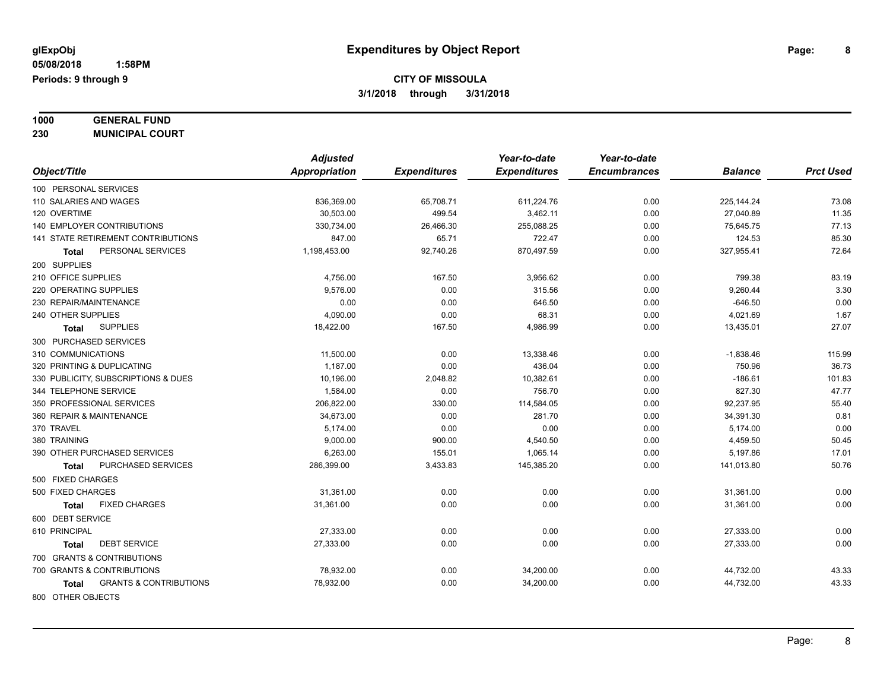**1000 GENERAL FUND 230 MUNICIPAL COURT**

*Object/Title Adjusted Appropriation Expenditures Year-to-date Expenditures Year-to-date Encumbrances Balance Prct Used* 100 PERSONAL SERVICES 110 SALARIES AND WAGES 836,369.00 65,708.71 611,224.76 0.00 225,144.24 73.08 120 OVERTIME 30,503.00 499.54 3,462.11 0.00 27,040.89 11.35 140 EMPLOYER CONTRIBUTIONS 330,734.00 26,466.30 255,088.25 0.00 75,645.75 77.13 141 STATE RETIREMENT CONTRIBUTIONS 65.30 85.30 85.71 65.71 847.00 85.71 85.72 722.47 85.30 85.30 85.30 85.30 **Total** PERSONAL SERVICES 1,198,453.00 92,740.26 870,497.59 0.00 327,955.41 72.64 200 SUPPLIES 210 OFFICE SUPPLIES 4,756.00 167.50 3,956.62 0.00 799.38 83.19 220 OPERATING SUPPLIES CONTROLLED STATES And the set of the set of the set of the set of the set of the set of the set of the set of the set of the set of the set of the set of the set of the set of the set of the set of t 230 REPAIR/MAINTENANCE 0.00 0.00 646.50 0.00 -646.50 0.00 240 OTHER SUPPLIES 4,090.00 0.00 68.31 0.00 4,021.69 1.67 **Total** SUPPLIES 18,422.00 167.50 4,986.99 0.00 13,435.01 27.07 300 PURCHASED SERVICES 310 COMMUNICATIONS 11,500.00 0.00 13,338.46 115.99 320 PRINTING & DUPLICATING 1,187.00 0.00 436.04 0.00 750.96 36.73 330 PUBLICITY, SUBSCRIPTIONS & DUES 10,196.00 2,048.82 10,382.61 0.00 -186.61 101.83 0.00 127.30 1289/00 1.584.00 1.584.00 0.00 756.70 0.00 0.00 827.30 827.30 47.77 350 PROFESSIONAL SERVICES 206,822.00 330.00 114,584.05 0.00 92,237.95 55.40 360 REPAIR & MAINTENANCE 34,673.00 0.00 281.70 0.00 34,391.30 0.81 370 TRAVEL 5,174.00 0.00 0.00 0.00 5,174.00 0.00 380 TRAINING 9,000.00 900.00 4,540.50 0.00 4,459.50 50.45 390 OTHER PURCHASED SERVICES **17.01** 6,263.00 6,263.00 155.01 1,065.14 1,065.14 0.00 5,197.86 5,197.86 17.01 **Total** PURCHASED SERVICES 286,399.00 3,433.83 145,385.20 0.00 141,013.80 50.76 500 FIXED CHARGES 500 FIXED CHARGES 31,361.00 0.00 0.00 0.00 31,361.00 0.00 **Total** FIXED CHARGES 31,361.00 0.00 0.00 0.00 31,361.00 0.00 600 DEBT SERVICE 610 PRINCIPAL 27,333.00 0.00 0.00 0.00 27,333.00 0.00 **Total** DEBT SERVICE 27,333.00 0.00 0.00 0.00 27,333.00 0.00 700 GRANTS & CONTRIBUTIONS 700 GRANTS & CONTRIBUTIONS 78,932.00 0.00 34,200.00 0.00 44,732.00 43.33 **Total** GRANTS & CONTRIBUTIONS 78,932.00 0.00 34,200.00 0.00 44,732.00 43.33 800 OTHER OBJECTS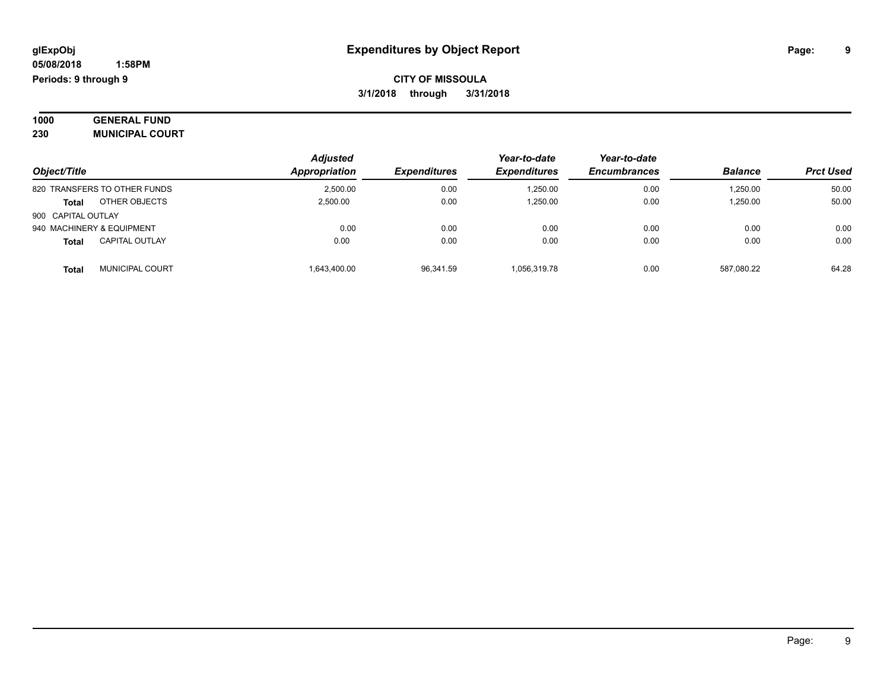| 1000 | <b>GENERAL FUND</b>    |
|------|------------------------|
| 230  | <b>MUNICIPAL COURT</b> |

|                                       | <b>Adjusted</b> |                     | Year-to-date               | Year-to-date        |                |                  |
|---------------------------------------|-----------------|---------------------|----------------------------|---------------------|----------------|------------------|
| Object/Title                          | Appropriation   | <b>Expenditures</b> | <i><b>Expenditures</b></i> | <b>Encumbrances</b> | <b>Balance</b> | <b>Prct Used</b> |
| 820 TRANSFERS TO OTHER FUNDS          | 2.500.00        | 0.00                | 1,250.00                   | 0.00                | 1,250.00       | 50.00            |
| OTHER OBJECTS<br><b>Total</b>         | 2.500.00        | 0.00                | 1.250.00                   | 0.00                | 1,250.00       | 50.00            |
| 900 CAPITAL OUTLAY                    |                 |                     |                            |                     |                |                  |
| 940 MACHINERY & EQUIPMENT             | 0.00            | 0.00                | 0.00                       | 0.00                | 0.00           | 0.00             |
| <b>CAPITAL OUTLAY</b><br><b>Total</b> | 0.00            | 0.00                | 0.00                       | 0.00                | 0.00           | 0.00             |
| <b>MUNICIPAL COURT</b><br>Tota        | 1.643.400.00    | 96.341.59           | 1.056.319.78               | 0.00                | 587.080.22     | 64.28            |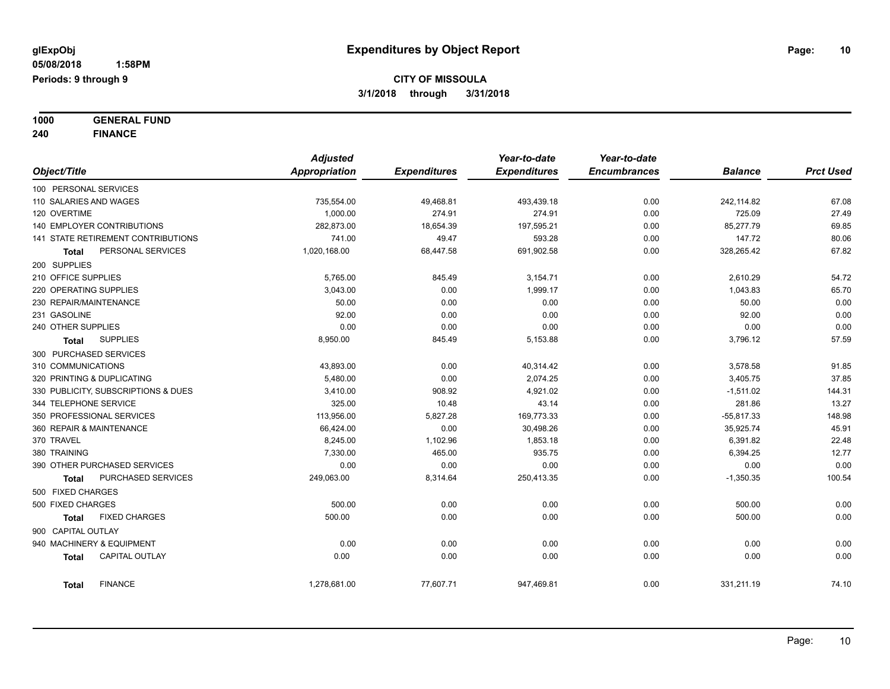**1000 GENERAL FUND 240 FINANCE**

*Object/Title Adjusted Appropriation Expenditures Year-to-date Expenditures Year-to-date Encumbrances Balance Prct Used* 100 PERSONAL SERVICES 110 SALARIES AND WAGES 735,554.00 49,468.81 493,439.18 0.00 242,114.82 67.08 120 OVERTIME 1,000.00 274.91 274.91 0.00 27.49 140 EMPLOYER CONTRIBUTIONS 199.85 282,873.00 282,873.00 282,873.00 197,595.21 0.00 85,277.79 869.85 141 STATE RETIREMENT CONTRIBUTIONS 741.00 49.47 593.28 0.00 147.72 80.06 **Total** PERSONAL SERVICES 1,020,168.00 68,447.58 691,902.58 0.00 328,265.42 697,902.58 200 SUPPLIES 210 OFFICE SUPPLIES 5,765.00 845.49 3,154.71 0.00 2,610.29 54.72 220 OPERATING SUPPLIES CONTROLLER CONTROLLER STOLEN AND STOLEN STOLEN AND STOLEN STOLEN AND STOLEN STOLEN STOLEN STOLEN STOLEN STOLEN STOLEN STOLEN STOLEN STOLEN STOLEN STOLEN STOLEN STOLEN STOLEN STOLEN STOLEN STOLEN STOL 230 REPAIR/MAINTENANCE 50.00 0.00 0.00 0.00 50.00 0.00 231 GASOLINE 92.00 0.00 0.00 0.00 92.00 0.00 240 OTHER SUPPLIES 0.00 0.00 0.00 0.00 0.00 0.00 **Total** SUPPLIES 8,950.00 8,950.00 845.49 5,153.88 0.00 3,796.12 57.59 300 PURCHASED SERVICES 310 COMMUNICATIONS 43,893.00 0.00 40,314.42 0.00 3,578.58 91.85 320 PRINTING & DUPLICATING CONTROL CONTROL DESCRIPTION AND ACCORDING TO A SAMPLE ASSAULT AND STATE STATES OF STATES AND STATES AND STATES ON THE STATES OF STATES AND STATES ON STATES ON STATES AND STATES ON STATES ON STATE 330 PUBLICITY, SUBSCRIPTIONS & DUES 6.441.31 344 TELEPHONE SERVICE 325.00 10.48 43.14 0.00 281.86 13.27 350 PROFESSIONAL SERVICES 20 20 2010 113,956.00 15,827.28 169,773.33 169,773.33 169,773.33 169,773.33 155,817.33 360 REPAIR & MAINTENANCE 66,424.00 0.00 30,498.26 0.00 35,925.74 45.91 370 TRAVEL 8,245.00 1,102.96 1,853.18 0.00 6,391.82 22.48 380 TRAINING 7,330.00 465.00 935.75 0.00 6,394.25 12.77 390 OTHER PURCHASED SERVICES 0.00 0.00 0.00 0.00 0.00 0.00 **Total** PURCHASED SERVICES 249,063.00 8,314.64 250,413.35 0.00 -1,350.35 100.54 500 FIXED CHARGES 500 FIXED CHARGES 500.00 0.00 0.00 0.00 500.00 0.00 **Total** FIXED CHARGES 500.00 0.00 0.00 0.00 500.00 0.00 900 CAPITAL OUTLAY 940 MACHINERY & EQUIPMENT 0.00 0.00 0.00 0.00 0.00 0.00 **Total** CAPITAL OUTLAY 0.00 0.00 0.00 0.00 0.00 0.00 **Total** FINANCE 1,278,681.00 77,607.71 947,469.81 0.00 331,211.19 74.10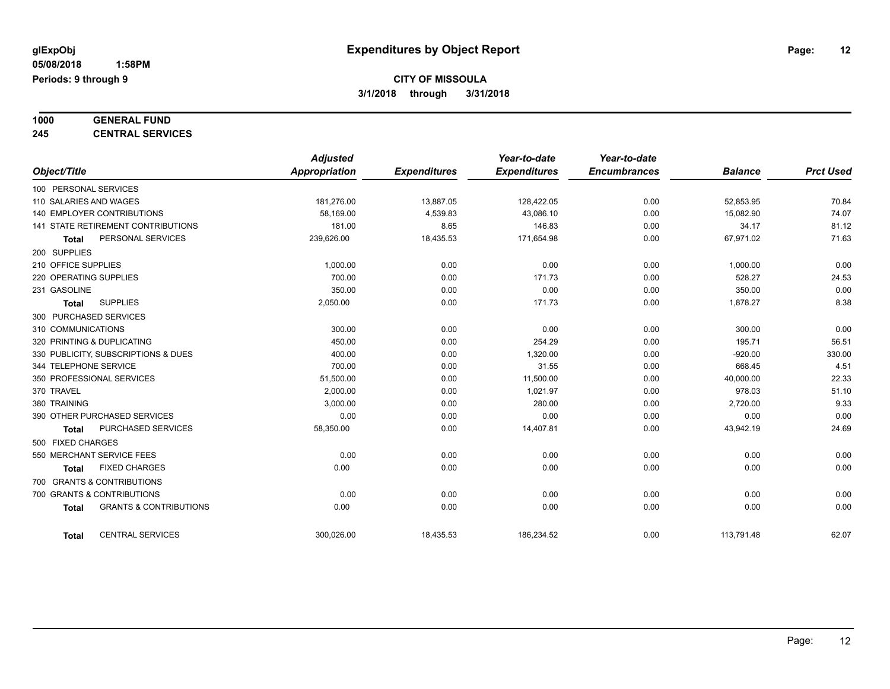### **1000 GENERAL FUND 245 CENTRAL SERVICES**

|                                                   | <b>Adjusted</b> |                     | Year-to-date        | Year-to-date        |                |                  |
|---------------------------------------------------|-----------------|---------------------|---------------------|---------------------|----------------|------------------|
| Object/Title                                      | Appropriation   | <b>Expenditures</b> | <b>Expenditures</b> | <b>Encumbrances</b> | <b>Balance</b> | <b>Prct Used</b> |
| 100 PERSONAL SERVICES                             |                 |                     |                     |                     |                |                  |
| 110 SALARIES AND WAGES                            | 181,276.00      | 13,887.05           | 128,422.05          | 0.00                | 52,853.95      | 70.84            |
| 140 EMPLOYER CONTRIBUTIONS                        | 58,169.00       | 4,539.83            | 43,086.10           | 0.00                | 15,082.90      | 74.07            |
| <b>141 STATE RETIREMENT CONTRIBUTIONS</b>         | 181.00          | 8.65                | 146.83              | 0.00                | 34.17          | 81.12            |
| PERSONAL SERVICES<br><b>Total</b>                 | 239,626.00      | 18,435.53           | 171,654.98          | 0.00                | 67,971.02      | 71.63            |
| 200 SUPPLIES                                      |                 |                     |                     |                     |                |                  |
| 210 OFFICE SUPPLIES                               | 1,000.00        | 0.00                | 0.00                | 0.00                | 1,000.00       | 0.00             |
| 220 OPERATING SUPPLIES                            | 700.00          | 0.00                | 171.73              | 0.00                | 528.27         | 24.53            |
| 231 GASOLINE                                      | 350.00          | 0.00                | 0.00                | 0.00                | 350.00         | 0.00             |
| <b>SUPPLIES</b><br><b>Total</b>                   | 2,050.00        | 0.00                | 171.73              | 0.00                | 1,878.27       | 8.38             |
| 300 PURCHASED SERVICES                            |                 |                     |                     |                     |                |                  |
| 310 COMMUNICATIONS                                | 300.00          | 0.00                | 0.00                | 0.00                | 300.00         | 0.00             |
| 320 PRINTING & DUPLICATING                        | 450.00          | 0.00                | 254.29              | 0.00                | 195.71         | 56.51            |
| 330 PUBLICITY, SUBSCRIPTIONS & DUES               | 400.00          | 0.00                | 1,320.00            | 0.00                | $-920.00$      | 330.00           |
| 344 TELEPHONE SERVICE                             | 700.00          | 0.00                | 31.55               | 0.00                | 668.45         | 4.51             |
| 350 PROFESSIONAL SERVICES                         | 51,500.00       | 0.00                | 11,500.00           | 0.00                | 40,000.00      | 22.33            |
| 370 TRAVEL                                        | 2,000.00        | 0.00                | 1,021.97            | 0.00                | 978.03         | 51.10            |
| 380 TRAINING                                      | 3,000.00        | 0.00                | 280.00              | 0.00                | 2,720.00       | 9.33             |
| 390 OTHER PURCHASED SERVICES                      | 0.00            | 0.00                | 0.00                | 0.00                | 0.00           | 0.00             |
| PURCHASED SERVICES<br><b>Total</b>                | 58,350.00       | 0.00                | 14,407.81           | 0.00                | 43,942.19      | 24.69            |
| 500 FIXED CHARGES                                 |                 |                     |                     |                     |                |                  |
| 550 MERCHANT SERVICE FEES                         | 0.00            | 0.00                | 0.00                | 0.00                | 0.00           | 0.00             |
| <b>FIXED CHARGES</b><br><b>Total</b>              | 0.00            | 0.00                | 0.00                | 0.00                | 0.00           | 0.00             |
| 700 GRANTS & CONTRIBUTIONS                        |                 |                     |                     |                     |                |                  |
| 700 GRANTS & CONTRIBUTIONS                        | 0.00            | 0.00                | 0.00                | 0.00                | 0.00           | 0.00             |
| <b>GRANTS &amp; CONTRIBUTIONS</b><br><b>Total</b> | 0.00            | 0.00                | 0.00                | 0.00                | 0.00           | 0.00             |
| <b>CENTRAL SERVICES</b><br><b>Total</b>           | 300.026.00      | 18,435.53           | 186,234.52          | 0.00                | 113.791.48     | 62.07            |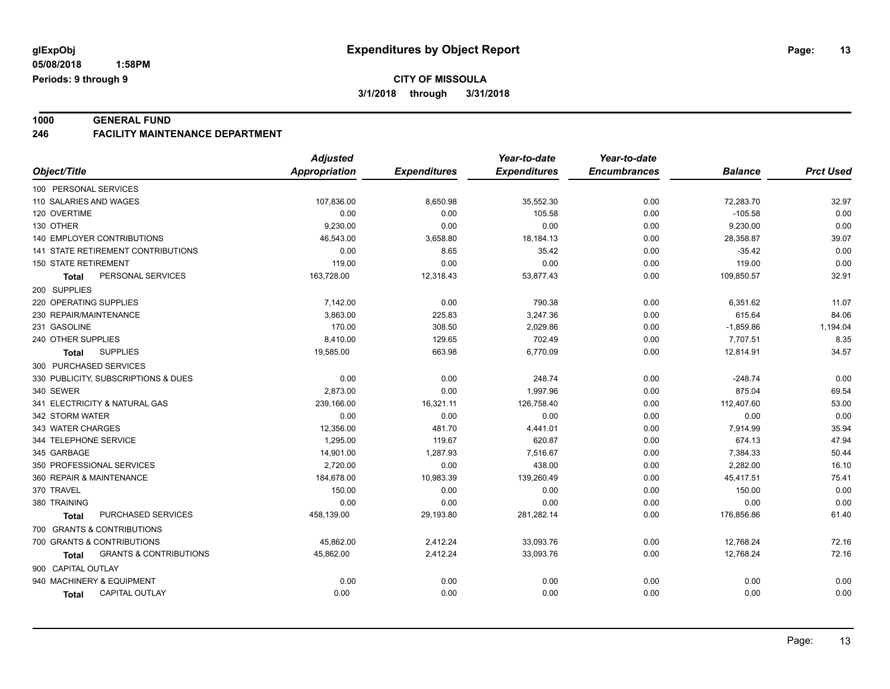### **1000 GENERAL FUND 246 FACILITY MAINTENANCE DEPARTMENT**

|                                                   | <b>Adjusted</b>      |                     | Year-to-date        | Year-to-date        |                |                  |
|---------------------------------------------------|----------------------|---------------------|---------------------|---------------------|----------------|------------------|
| Object/Title                                      | <b>Appropriation</b> | <b>Expenditures</b> | <b>Expenditures</b> | <b>Encumbrances</b> | <b>Balance</b> | <b>Prct Used</b> |
| 100 PERSONAL SERVICES                             |                      |                     |                     |                     |                |                  |
| 110 SALARIES AND WAGES                            | 107,836.00           | 8,650.98            | 35,552.30           | 0.00                | 72,283.70      | 32.97            |
| 120 OVERTIME                                      | 0.00                 | 0.00                | 105.58              | 0.00                | $-105.58$      | 0.00             |
| 130 OTHER                                         | 9,230.00             | 0.00                | 0.00                | 0.00                | 9,230.00       | 0.00             |
| <b>140 EMPLOYER CONTRIBUTIONS</b>                 | 46,543.00            | 3,658.80            | 18,184.13           | 0.00                | 28,358.87      | 39.07            |
| 141 STATE RETIREMENT CONTRIBUTIONS                | 0.00                 | 8.65                | 35.42               | 0.00                | $-35.42$       | 0.00             |
| <b>150 STATE RETIREMENT</b>                       | 119.00               | 0.00                | 0.00                | 0.00                | 119.00         | 0.00             |
| PERSONAL SERVICES<br><b>Total</b>                 | 163,728.00           | 12,318.43           | 53,877.43           | 0.00                | 109,850.57     | 32.91            |
| 200 SUPPLIES                                      |                      |                     |                     |                     |                |                  |
| 220 OPERATING SUPPLIES                            | 7,142.00             | 0.00                | 790.38              | 0.00                | 6,351.62       | 11.07            |
| 230 REPAIR/MAINTENANCE                            | 3,863.00             | 225.83              | 3,247.36            | 0.00                | 615.64         | 84.06            |
| 231 GASOLINE                                      | 170.00               | 308.50              | 2,029.86            | 0.00                | $-1,859.86$    | 1,194.04         |
| 240 OTHER SUPPLIES                                | 8,410.00             | 129.65              | 702.49              | 0.00                | 7,707.51       | 8.35             |
| <b>SUPPLIES</b><br><b>Total</b>                   | 19,585.00            | 663.98              | 6,770.09            | 0.00                | 12,814.91      | 34.57            |
| 300 PURCHASED SERVICES                            |                      |                     |                     |                     |                |                  |
| 330 PUBLICITY, SUBSCRIPTIONS & DUES               | 0.00                 | 0.00                | 248.74              | 0.00                | $-248.74$      | 0.00             |
| 340 SEWER                                         | 2,873.00             | 0.00                | 1,997.96            | 0.00                | 875.04         | 69.54            |
| 341 ELECTRICITY & NATURAL GAS                     | 239,166.00           | 16,321.11           | 126,758.40          | 0.00                | 112,407.60     | 53.00            |
| 342 STORM WATER                                   | 0.00                 | 0.00                | 0.00                | 0.00                | 0.00           | 0.00             |
| 343 WATER CHARGES                                 | 12,356.00            | 481.70              | 4,441.01            | 0.00                | 7,914.99       | 35.94            |
| 344 TELEPHONE SERVICE                             | 1.295.00             | 119.67              | 620.87              | 0.00                | 674.13         | 47.94            |
| 345 GARBAGE                                       | 14,901.00            | 1,287.93            | 7,516.67            | 0.00                | 7,384.33       | 50.44            |
| 350 PROFESSIONAL SERVICES                         | 2,720.00             | 0.00                | 438.00              | 0.00                | 2,282.00       | 16.10            |
| 360 REPAIR & MAINTENANCE                          | 184,678.00           | 10,983.39           | 139,260.49          | 0.00                | 45,417.51      | 75.41            |
| 370 TRAVEL                                        | 150.00               | 0.00                | 0.00                | 0.00                | 150.00         | 0.00             |
| 380 TRAINING                                      | 0.00                 | 0.00                | 0.00                | 0.00                | 0.00           | 0.00             |
| PURCHASED SERVICES<br><b>Total</b>                | 458,139.00           | 29,193.80           | 281,282.14          | 0.00                | 176,856.86     | 61.40            |
| 700 GRANTS & CONTRIBUTIONS                        |                      |                     |                     |                     |                |                  |
| 700 GRANTS & CONTRIBUTIONS                        | 45,862.00            | 2,412.24            | 33,093.76           | 0.00                | 12,768.24      | 72.16            |
| <b>GRANTS &amp; CONTRIBUTIONS</b><br><b>Total</b> | 45,862.00            | 2,412.24            | 33,093.76           | 0.00                | 12,768.24      | 72.16            |
| 900 CAPITAL OUTLAY                                |                      |                     |                     |                     |                |                  |
| 940 MACHINERY & EQUIPMENT                         | 0.00                 | 0.00                | 0.00                | 0.00                | 0.00           | 0.00             |
| CAPITAL OUTLAY<br><b>Total</b>                    | 0.00                 | 0.00                | 0.00                | 0.00                | 0.00           | 0.00             |
|                                                   |                      |                     |                     |                     |                |                  |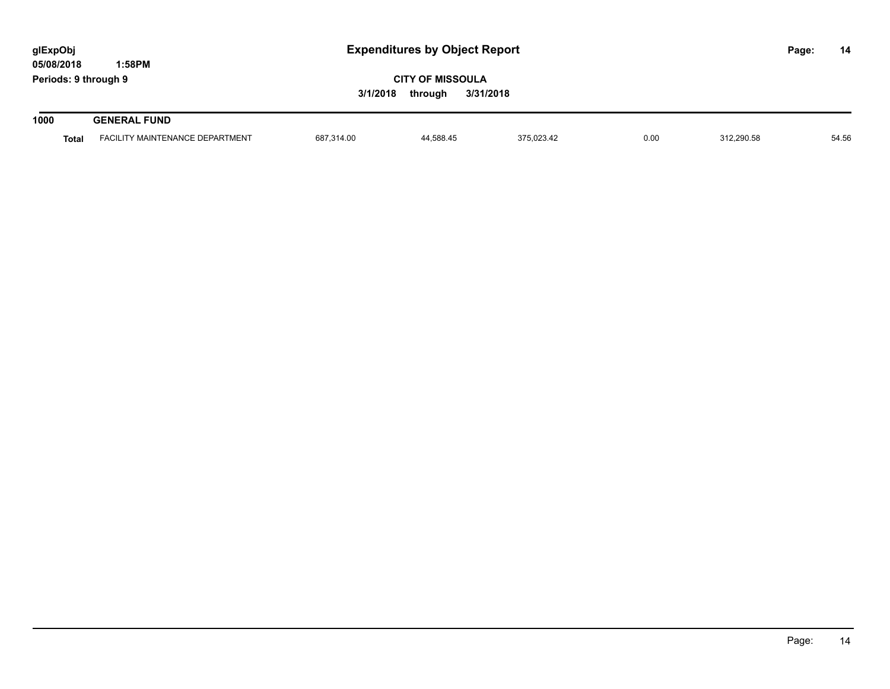| glExpObj<br>05/08/2018 | <b>Expenditures by Object Report</b><br>1:58PM |            |                                    |            |      |            | Page: | 14    |
|------------------------|------------------------------------------------|------------|------------------------------------|------------|------|------------|-------|-------|
| Periods: 9 through 9   |                                                | 3/1/2018   | <b>CITY OF MISSOULA</b><br>through | 3/31/2018  |      |            |       |       |
| 1000                   | <b>GENERAL FUND</b>                            |            |                                    |            |      |            |       |       |
| <b>Total</b>           | FACILITY MAINTENANCE DEPARTMENT                | 687,314.00 | 44,588.45                          | 375.023.42 | 0.00 | 312.290.58 |       | 54.56 |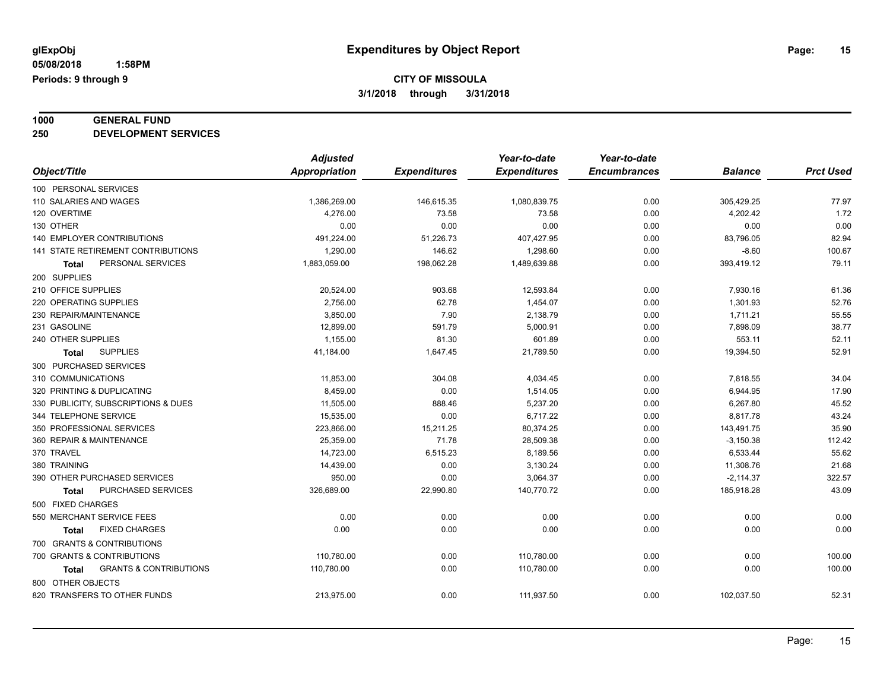# **1000 GENERAL FUND**

**250 DEVELOPMENT SERVICES**

|                                                   | <b>Adjusted</b> |                     | Year-to-date        | Year-to-date        |                |                  |
|---------------------------------------------------|-----------------|---------------------|---------------------|---------------------|----------------|------------------|
| Object/Title                                      | Appropriation   | <b>Expenditures</b> | <b>Expenditures</b> | <b>Encumbrances</b> | <b>Balance</b> | <b>Prct Used</b> |
| 100 PERSONAL SERVICES                             |                 |                     |                     |                     |                |                  |
| 110 SALARIES AND WAGES                            | 1,386,269.00    | 146,615.35          | 1,080,839.75        | 0.00                | 305,429.25     | 77.97            |
| 120 OVERTIME                                      | 4,276.00        | 73.58               | 73.58               | 0.00                | 4,202.42       | 1.72             |
| 130 OTHER                                         | 0.00            | 0.00                | 0.00                | 0.00                | 0.00           | 0.00             |
| 140 EMPLOYER CONTRIBUTIONS                        | 491,224.00      | 51,226.73           | 407,427.95          | 0.00                | 83,796.05      | 82.94            |
| 141 STATE RETIREMENT CONTRIBUTIONS                | 1,290.00        | 146.62              | 1,298.60            | 0.00                | $-8.60$        | 100.67           |
| PERSONAL SERVICES<br>Total                        | 1,883,059.00    | 198,062.28          | 1,489,639.88        | 0.00                | 393,419.12     | 79.11            |
| 200 SUPPLIES                                      |                 |                     |                     |                     |                |                  |
| 210 OFFICE SUPPLIES                               | 20,524.00       | 903.68              | 12,593.84           | 0.00                | 7,930.16       | 61.36            |
| 220 OPERATING SUPPLIES                            | 2,756.00        | 62.78               | 1,454.07            | 0.00                | 1,301.93       | 52.76            |
| 230 REPAIR/MAINTENANCE                            | 3,850.00        | 7.90                | 2,138.79            | 0.00                | 1,711.21       | 55.55            |
| 231 GASOLINE                                      | 12,899.00       | 591.79              | 5,000.91            | 0.00                | 7,898.09       | 38.77            |
| 240 OTHER SUPPLIES                                | 1,155.00        | 81.30               | 601.89              | 0.00                | 553.11         | 52.11            |
| <b>SUPPLIES</b><br><b>Total</b>                   | 41,184.00       | 1,647.45            | 21,789.50           | 0.00                | 19,394.50      | 52.91            |
| 300 PURCHASED SERVICES                            |                 |                     |                     |                     |                |                  |
| 310 COMMUNICATIONS                                | 11,853.00       | 304.08              | 4,034.45            | 0.00                | 7,818.55       | 34.04            |
| 320 PRINTING & DUPLICATING                        | 8,459.00        | 0.00                | 1,514.05            | 0.00                | 6,944.95       | 17.90            |
| 330 PUBLICITY, SUBSCRIPTIONS & DUES               | 11,505.00       | 888.46              | 5,237.20            | 0.00                | 6,267.80       | 45.52            |
| 344 TELEPHONE SERVICE                             | 15,535.00       | 0.00                | 6,717.22            | 0.00                | 8,817.78       | 43.24            |
| 350 PROFESSIONAL SERVICES                         | 223,866.00      | 15,211.25           | 80,374.25           | 0.00                | 143,491.75     | 35.90            |
| 360 REPAIR & MAINTENANCE                          | 25,359.00       | 71.78               | 28,509.38           | 0.00                | $-3,150.38$    | 112.42           |
| 370 TRAVEL                                        | 14,723.00       | 6,515.23            | 8,189.56            | 0.00                | 6,533.44       | 55.62            |
| 380 TRAINING                                      | 14,439.00       | 0.00                | 3,130.24            | 0.00                | 11,308.76      | 21.68            |
| 390 OTHER PURCHASED SERVICES                      | 950.00          | 0.00                | 3,064.37            | 0.00                | $-2,114.37$    | 322.57           |
| PURCHASED SERVICES<br>Total                       | 326,689.00      | 22,990.80           | 140,770.72          | 0.00                | 185,918.28     | 43.09            |
| 500 FIXED CHARGES                                 |                 |                     |                     |                     |                |                  |
| 550 MERCHANT SERVICE FEES                         | 0.00            | 0.00                | 0.00                | 0.00                | 0.00           | 0.00             |
| <b>FIXED CHARGES</b><br>Total                     | 0.00            | 0.00                | 0.00                | 0.00                | 0.00           | 0.00             |
| 700 GRANTS & CONTRIBUTIONS                        |                 |                     |                     |                     |                |                  |
| 700 GRANTS & CONTRIBUTIONS                        | 110,780.00      | 0.00                | 110,780.00          | 0.00                | 0.00           | 100.00           |
| <b>GRANTS &amp; CONTRIBUTIONS</b><br><b>Total</b> | 110,780.00      | 0.00                | 110,780.00          | 0.00                | 0.00           | 100.00           |
| 800 OTHER OBJECTS                                 |                 |                     |                     |                     |                |                  |
| 820 TRANSFERS TO OTHER FUNDS                      | 213,975.00      | 0.00                | 111,937.50          | 0.00                | 102,037.50     | 52.31            |
|                                                   |                 |                     |                     |                     |                |                  |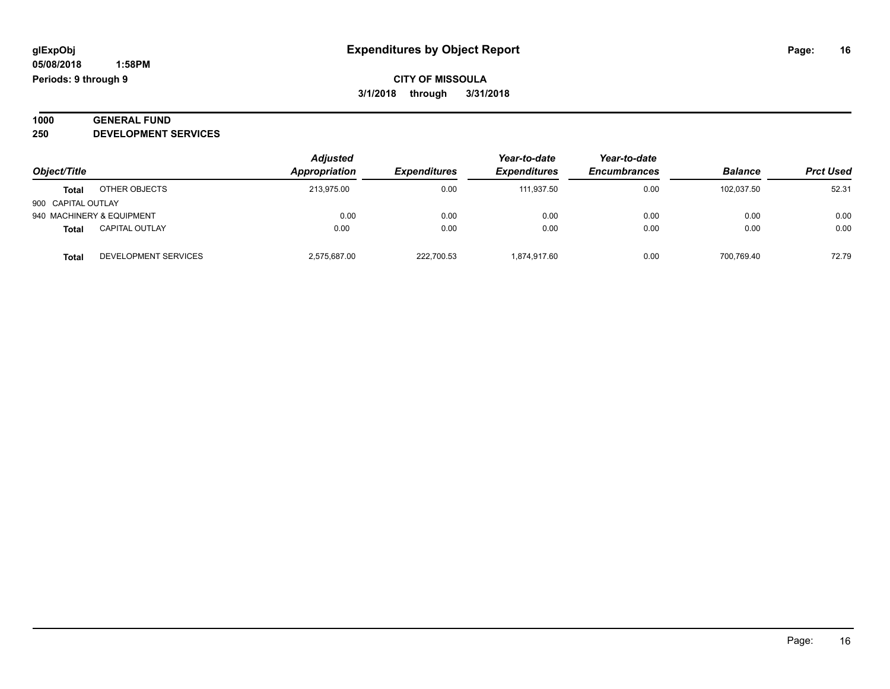#### **1000 GENERAL FUND 250 DEVELOPMENT SERVICES**

| ∠JU | <b>DEVELOFMENT SERVIGES</b> |  |
|-----|-----------------------------|--|
|     |                             |  |
|     |                             |  |

|                                       | <b>Adjusted</b><br>Appropriation | <b>Expenditures</b> | Year-to-date<br><b>Expenditures</b> | Year-to-date<br><b>Encumbrances</b> | <b>Balance</b> | <b>Prct Used</b> |
|---------------------------------------|----------------------------------|---------------------|-------------------------------------|-------------------------------------|----------------|------------------|
| Object/Title                          |                                  |                     |                                     |                                     |                |                  |
| OTHER OBJECTS<br><b>Total</b>         | 213.975.00                       | 0.00                | 111.937.50                          | 0.00                                | 102.037.50     | 52.31            |
| 900 CAPITAL OUTLAY                    |                                  |                     |                                     |                                     |                |                  |
| 940 MACHINERY & EQUIPMENT             | 0.00                             | 0.00                | 0.00                                | 0.00                                | 0.00           | 0.00             |
| <b>CAPITAL OUTLAY</b><br><b>Total</b> | 0.00                             | 0.00                | 0.00                                | 0.00                                | 0.00           | 0.00             |
| DEVELOPMENT SERVICES<br><b>Total</b>  | 2,575,687.00                     | 222,700.53          | 1,874,917.60                        | 0.00                                | 700.769.40     | 72.79            |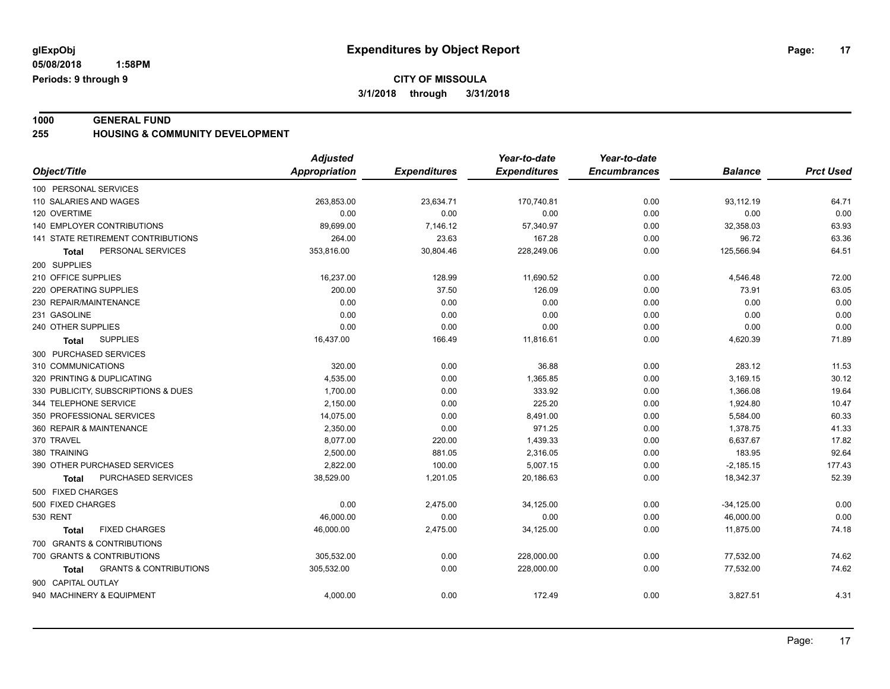**1000 GENERAL FUND 255 HOUSING & COMMUNITY DEVELOPMENT**

|                                            | <b>Adjusted</b>      |                     | Year-to-date        | Year-to-date        |                |                  |
|--------------------------------------------|----------------------|---------------------|---------------------|---------------------|----------------|------------------|
| Object/Title                               | <b>Appropriation</b> | <b>Expenditures</b> | <b>Expenditures</b> | <b>Encumbrances</b> | <b>Balance</b> | <b>Prct Used</b> |
| 100 PERSONAL SERVICES                      |                      |                     |                     |                     |                |                  |
| 110 SALARIES AND WAGES                     | 263,853.00           | 23,634.71           | 170,740.81          | 0.00                | 93,112.19      | 64.71            |
| 120 OVERTIME                               | 0.00                 | 0.00                | 0.00                | 0.00                | 0.00           | 0.00             |
| 140 EMPLOYER CONTRIBUTIONS                 | 89,699.00            | 7,146.12            | 57,340.97           | 0.00                | 32,358.03      | 63.93            |
| 141 STATE RETIREMENT CONTRIBUTIONS         | 264.00               | 23.63               | 167.28              | 0.00                | 96.72          | 63.36            |
| PERSONAL SERVICES<br><b>Total</b>          | 353,816.00           | 30,804.46           | 228,249.06          | 0.00                | 125,566.94     | 64.51            |
| 200 SUPPLIES                               |                      |                     |                     |                     |                |                  |
| 210 OFFICE SUPPLIES                        | 16,237.00            | 128.99              | 11,690.52           | 0.00                | 4,546.48       | 72.00            |
| 220 OPERATING SUPPLIES                     | 200.00               | 37.50               | 126.09              | 0.00                | 73.91          | 63.05            |
| 230 REPAIR/MAINTENANCE                     | 0.00                 | 0.00                | 0.00                | 0.00                | 0.00           | 0.00             |
| 231 GASOLINE                               | 0.00                 | 0.00                | 0.00                | 0.00                | 0.00           | 0.00             |
| 240 OTHER SUPPLIES                         | 0.00                 | 0.00                | 0.00                | 0.00                | 0.00           | 0.00             |
| <b>SUPPLIES</b><br>Total                   | 16,437.00            | 166.49              | 11,816.61           | 0.00                | 4,620.39       | 71.89            |
| 300 PURCHASED SERVICES                     |                      |                     |                     |                     |                |                  |
| 310 COMMUNICATIONS                         | 320.00               | 0.00                | 36.88               | 0.00                | 283.12         | 11.53            |
| 320 PRINTING & DUPLICATING                 | 4,535.00             | 0.00                | 1,365.85            | 0.00                | 3,169.15       | 30.12            |
| 330 PUBLICITY, SUBSCRIPTIONS & DUES        | 1,700.00             | 0.00                | 333.92              | 0.00                | 1,366.08       | 19.64            |
| 344 TELEPHONE SERVICE                      | 2,150.00             | 0.00                | 225.20              | 0.00                | 1,924.80       | 10.47            |
| 350 PROFESSIONAL SERVICES                  | 14,075.00            | 0.00                | 8,491.00            | 0.00                | 5,584.00       | 60.33            |
| 360 REPAIR & MAINTENANCE                   | 2.350.00             | 0.00                | 971.25              | 0.00                | 1,378.75       | 41.33            |
| 370 TRAVEL                                 | 8,077.00             | 220.00              | 1,439.33            | 0.00                | 6,637.67       | 17.82            |
| 380 TRAINING                               | 2,500.00             | 881.05              | 2,316.05            | 0.00                | 183.95         | 92.64            |
| 390 OTHER PURCHASED SERVICES               | 2,822.00             | 100.00              | 5,007.15            | 0.00                | $-2,185.15$    | 177.43           |
| PURCHASED SERVICES<br>Total                | 38,529.00            | 1,201.05            | 20,186.63           | 0.00                | 18,342.37      | 52.39            |
| 500 FIXED CHARGES                          |                      |                     |                     |                     |                |                  |
| 500 FIXED CHARGES                          | 0.00                 | 2,475.00            | 34,125.00           | 0.00                | $-34,125.00$   | 0.00             |
| <b>530 RENT</b>                            | 46,000.00            | 0.00                | 0.00                | 0.00                | 46,000.00      | 0.00             |
| <b>FIXED CHARGES</b><br>Total              | 46,000.00            | 2,475.00            | 34,125.00           | 0.00                | 11,875.00      | 74.18            |
| 700 GRANTS & CONTRIBUTIONS                 |                      |                     |                     |                     |                |                  |
| 700 GRANTS & CONTRIBUTIONS                 | 305,532.00           | 0.00                | 228,000.00          | 0.00                | 77,532.00      | 74.62            |
| <b>GRANTS &amp; CONTRIBUTIONS</b><br>Total | 305,532.00           | 0.00                | 228,000.00          | 0.00                | 77,532.00      | 74.62            |
| 900 CAPITAL OUTLAY                         |                      |                     |                     |                     |                |                  |
| 940 MACHINERY & EQUIPMENT                  | 4,000.00             | 0.00                | 172.49              | 0.00                | 3,827.51       | 4.31             |
|                                            |                      |                     |                     |                     |                |                  |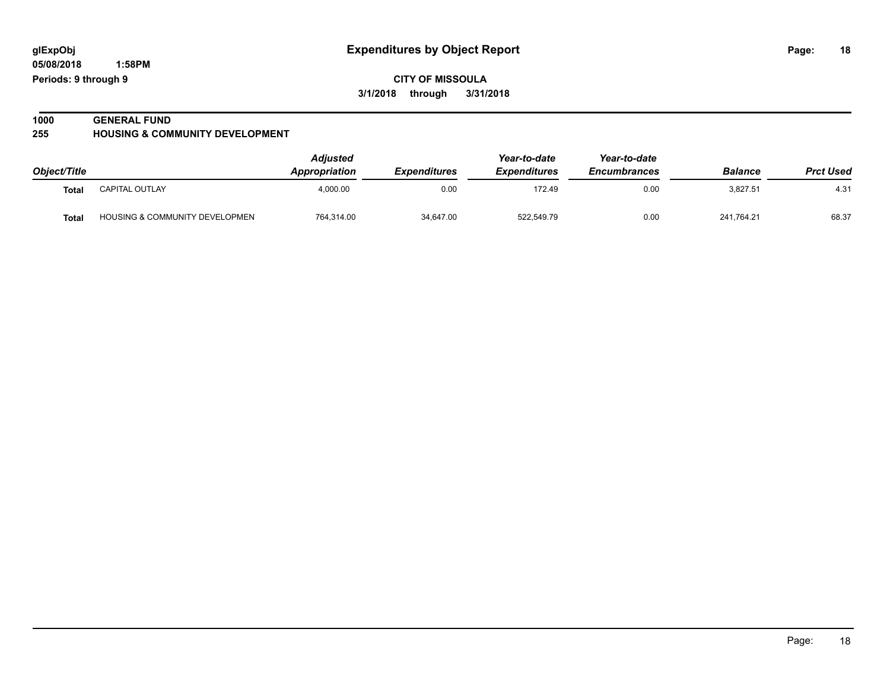**05/08/2018 1:58PM Periods: 9 through 9**

**CITY OF MISSOULA 3/1/2018 through 3/31/2018**

# **1000 GENERAL FUND**

**255 HOUSING & COMMUNITY DEVELOPMENT**

|              |                                | <b>Adjusted</b>      |                     | Year-to-date               | Year-to-date        |                |                  |
|--------------|--------------------------------|----------------------|---------------------|----------------------------|---------------------|----------------|------------------|
| Object/Title |                                | <b>Appropriation</b> | <b>Expenditures</b> | <i><b>Expenditures</b></i> | <b>Encumbrances</b> | <b>Balance</b> | <b>Prct Used</b> |
| <b>Total</b> | CAPITAL OUTLAY                 | 4.000.00             | 0.00                | 172.49                     | 0.00                | 3.827.51       | 4.31             |
| Total        | HOUSING & COMMUNITY DEVELOPMEN | 764.314.00           | 34,647.00           | 522.549.79                 | 0.00                | 241.764.21     | 68.37            |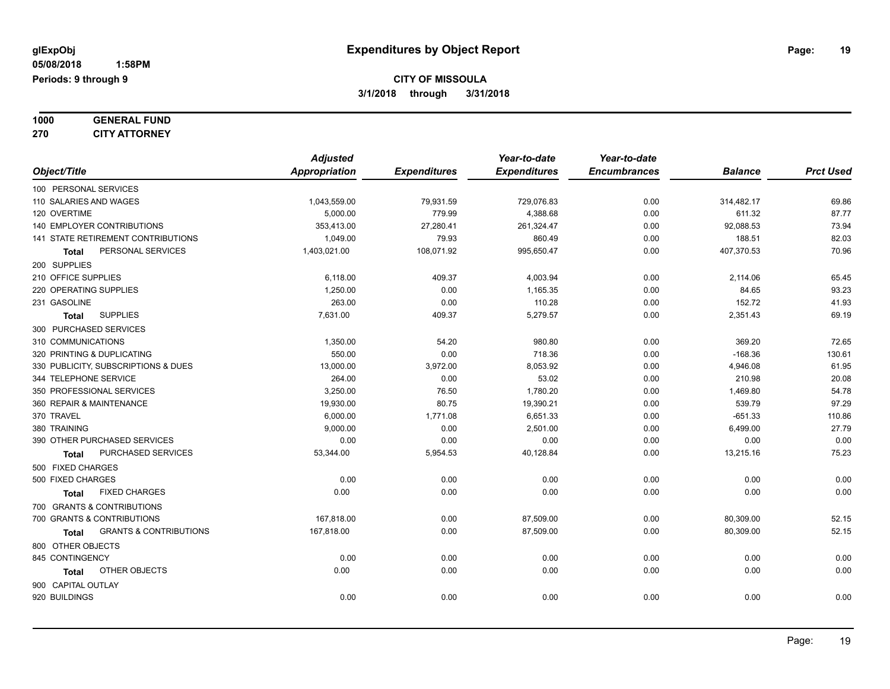**1000 GENERAL FUND 270 CITY ATTORNEY**

|                                            | <b>Adjusted</b>      |                     | Year-to-date        | Year-to-date        |                |                  |
|--------------------------------------------|----------------------|---------------------|---------------------|---------------------|----------------|------------------|
| Object/Title                               | <b>Appropriation</b> | <b>Expenditures</b> | <b>Expenditures</b> | <b>Encumbrances</b> | <b>Balance</b> | <b>Prct Used</b> |
| 100 PERSONAL SERVICES                      |                      |                     |                     |                     |                |                  |
| 110 SALARIES AND WAGES                     | 1,043,559.00         | 79,931.59           | 729,076.83          | 0.00                | 314,482.17     | 69.86            |
| 120 OVERTIME                               | 5,000.00             | 779.99              | 4,388.68            | 0.00                | 611.32         | 87.77            |
| 140 EMPLOYER CONTRIBUTIONS                 | 353,413.00           | 27,280.41           | 261,324.47          | 0.00                | 92,088.53      | 73.94            |
| 141 STATE RETIREMENT CONTRIBUTIONS         | 1,049.00             | 79.93               | 860.49              | 0.00                | 188.51         | 82.03            |
| PERSONAL SERVICES<br>Total                 | 1,403,021.00         | 108,071.92          | 995,650.47          | 0.00                | 407,370.53     | 70.96            |
| 200 SUPPLIES                               |                      |                     |                     |                     |                |                  |
| 210 OFFICE SUPPLIES                        | 6,118.00             | 409.37              | 4,003.94            | 0.00                | 2,114.06       | 65.45            |
| 220 OPERATING SUPPLIES                     | 1,250.00             | 0.00                | 1,165.35            | 0.00                | 84.65          | 93.23            |
| 231 GASOLINE                               | 263.00               | 0.00                | 110.28              | 0.00                | 152.72         | 41.93            |
| <b>SUPPLIES</b><br><b>Total</b>            | 7,631.00             | 409.37              | 5,279.57            | 0.00                | 2,351.43       | 69.19            |
| 300 PURCHASED SERVICES                     |                      |                     |                     |                     |                |                  |
| 310 COMMUNICATIONS                         | 1,350.00             | 54.20               | 980.80              | 0.00                | 369.20         | 72.65            |
| 320 PRINTING & DUPLICATING                 | 550.00               | 0.00                | 718.36              | 0.00                | $-168.36$      | 130.61           |
| 330 PUBLICITY, SUBSCRIPTIONS & DUES        | 13,000.00            | 3,972.00            | 8,053.92            | 0.00                | 4,946.08       | 61.95            |
| 344 TELEPHONE SERVICE                      | 264.00               | 0.00                | 53.02               | 0.00                | 210.98         | 20.08            |
| 350 PROFESSIONAL SERVICES                  | 3,250.00             | 76.50               | 1,780.20            | 0.00                | 1,469.80       | 54.78            |
| 360 REPAIR & MAINTENANCE                   | 19,930.00            | 80.75               | 19,390.21           | 0.00                | 539.79         | 97.29            |
| 370 TRAVEL                                 | 6,000.00             | 1,771.08            | 6,651.33            | 0.00                | $-651.33$      | 110.86           |
| 380 TRAINING                               | 9,000.00             | 0.00                | 2,501.00            | 0.00                | 6,499.00       | 27.79            |
| 390 OTHER PURCHASED SERVICES               | 0.00                 | 0.00                | 0.00                | 0.00                | 0.00           | 0.00             |
| PURCHASED SERVICES<br><b>Total</b>         | 53,344.00            | 5,954.53            | 40,128.84           | 0.00                | 13,215.16      | 75.23            |
| 500 FIXED CHARGES                          |                      |                     |                     |                     |                |                  |
| 500 FIXED CHARGES                          | 0.00                 | 0.00                | 0.00                | 0.00                | 0.00           | 0.00             |
| <b>FIXED CHARGES</b><br>Total              | 0.00                 | 0.00                | 0.00                | 0.00                | 0.00           | 0.00             |
| 700 GRANTS & CONTRIBUTIONS                 |                      |                     |                     |                     |                |                  |
| 700 GRANTS & CONTRIBUTIONS                 | 167,818.00           | 0.00                | 87,509.00           | 0.00                | 80,309.00      | 52.15            |
| <b>GRANTS &amp; CONTRIBUTIONS</b><br>Total | 167,818.00           | 0.00                | 87,509.00           | 0.00                | 80,309.00      | 52.15            |
| 800 OTHER OBJECTS                          |                      |                     |                     |                     |                |                  |
| 845 CONTINGENCY                            | 0.00                 | 0.00                | 0.00                | 0.00                | 0.00           | 0.00             |
| OTHER OBJECTS<br>Total                     | 0.00                 | 0.00                | 0.00                | 0.00                | 0.00           | 0.00             |
| 900 CAPITAL OUTLAY                         |                      |                     |                     |                     |                |                  |
| 920 BUILDINGS                              | 0.00                 | 0.00                | 0.00                | 0.00                | 0.00           | 0.00             |
|                                            |                      |                     |                     |                     |                |                  |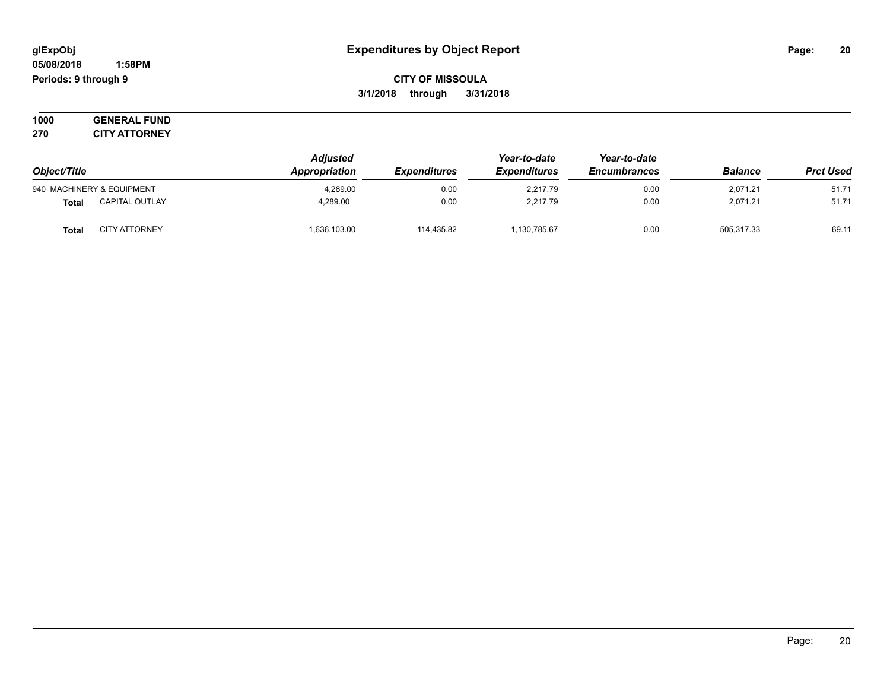### **05/08/2018 1:58PM Periods: 9 through 9**

**CITY OF MISSOULA 3/1/2018 through 3/31/2018**

**1000 GENERAL FUND 270 CITY ATTORNEY**

| Object/Title |                           | <b>Adjusted</b> |                            |                     | Year-to-date        |                |                  |
|--------------|---------------------------|-----------------|----------------------------|---------------------|---------------------|----------------|------------------|
|              |                           | Appropriation   | <i><b>Expenditures</b></i> | <b>Expenditures</b> | <b>Encumbrances</b> | <b>Balance</b> | <b>Prct Used</b> |
|              | 940 MACHINERY & EQUIPMENT | 4.289.00        | 0.00                       | 2.217.79            | 0.00                | 2.071.21       | 51.71            |
| <b>Total</b> | <b>CAPITAL OUTLAY</b>     | 4,289.00        | 0.00                       | 2.217.79            | 0.00                | 2,071.21       | 51.71            |
| Total        | <b>CITY ATTORNEY</b>      | 1,636,103.00    | 114.435.82                 | 1,130,785.67        | 0.00                | 505.317.33     | 69.11            |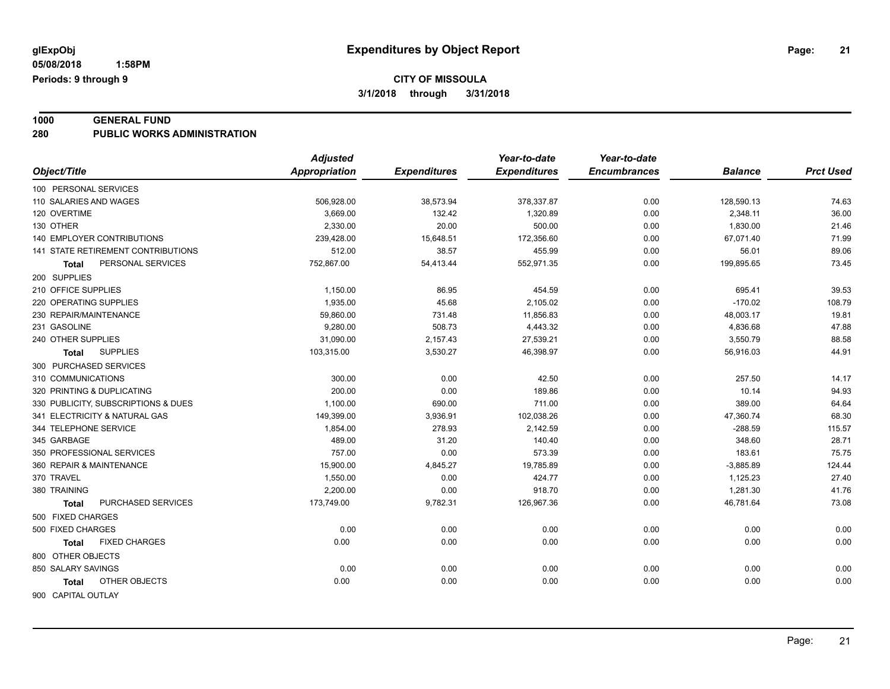# **1000 GENERAL FUND<br>280 PUBLIC WORKS /**

**280 PUBLIC WORKS ADMINISTRATION**

|                                      | <b>Adjusted</b> |                     | Year-to-date        | Year-to-date        |                |                  |
|--------------------------------------|-----------------|---------------------|---------------------|---------------------|----------------|------------------|
| Object/Title                         | Appropriation   | <b>Expenditures</b> | <b>Expenditures</b> | <b>Encumbrances</b> | <b>Balance</b> | <b>Prct Used</b> |
| 100 PERSONAL SERVICES                |                 |                     |                     |                     |                |                  |
| 110 SALARIES AND WAGES               | 506,928.00      | 38,573.94           | 378,337.87          | 0.00                | 128,590.13     | 74.63            |
| 120 OVERTIME                         | 3,669.00        | 132.42              | 1,320.89            | 0.00                | 2,348.11       | 36.00            |
| 130 OTHER                            | 2,330.00        | 20.00               | 500.00              | 0.00                | 1,830.00       | 21.46            |
| 140 EMPLOYER CONTRIBUTIONS           | 239,428.00      | 15,648.51           | 172,356.60          | 0.00                | 67,071.40      | 71.99            |
| 141 STATE RETIREMENT CONTRIBUTIONS   | 512.00          | 38.57               | 455.99              | 0.00                | 56.01          | 89.06            |
| PERSONAL SERVICES<br>Total           | 752,867.00      | 54,413.44           | 552,971.35          | 0.00                | 199,895.65     | 73.45            |
| 200 SUPPLIES                         |                 |                     |                     |                     |                |                  |
| 210 OFFICE SUPPLIES                  | 1,150.00        | 86.95               | 454.59              | 0.00                | 695.41         | 39.53            |
| 220 OPERATING SUPPLIES               | 1,935.00        | 45.68               | 2,105.02            | 0.00                | $-170.02$      | 108.79           |
| 230 REPAIR/MAINTENANCE               | 59,860.00       | 731.48              | 11,856.83           | 0.00                | 48,003.17      | 19.81            |
| 231 GASOLINE                         | 9,280.00        | 508.73              | 4,443.32            | 0.00                | 4,836.68       | 47.88            |
| 240 OTHER SUPPLIES                   | 31,090.00       | 2,157.43            | 27,539.21           | 0.00                | 3,550.79       | 88.58            |
| <b>SUPPLIES</b><br><b>Total</b>      | 103,315.00      | 3,530.27            | 46,398.97           | 0.00                | 56,916.03      | 44.91            |
| 300 PURCHASED SERVICES               |                 |                     |                     |                     |                |                  |
| 310 COMMUNICATIONS                   | 300.00          | 0.00                | 42.50               | 0.00                | 257.50         | 14.17            |
| 320 PRINTING & DUPLICATING           | 200.00          | 0.00                | 189.86              | 0.00                | 10.14          | 94.93            |
| 330 PUBLICITY, SUBSCRIPTIONS & DUES  | 1,100.00        | 690.00              | 711.00              | 0.00                | 389.00         | 64.64            |
| 341 ELECTRICITY & NATURAL GAS        | 149,399.00      | 3,936.91            | 102,038.26          | 0.00                | 47,360.74      | 68.30            |
| 344 TELEPHONE SERVICE                | 1,854.00        | 278.93              | 2,142.59            | 0.00                | $-288.59$      | 115.57           |
| 345 GARBAGE                          | 489.00          | 31.20               | 140.40              | 0.00                | 348.60         | 28.71            |
| 350 PROFESSIONAL SERVICES            | 757.00          | 0.00                | 573.39              | 0.00                | 183.61         | 75.75            |
| 360 REPAIR & MAINTENANCE             | 15,900.00       | 4,845.27            | 19,785.89           | 0.00                | $-3,885.89$    | 124.44           |
| 370 TRAVEL                           | 1,550.00        | 0.00                | 424.77              | 0.00                | 1,125.23       | 27.40            |
| 380 TRAINING                         | 2,200.00        | 0.00                | 918.70              | 0.00                | 1,281.30       | 41.76            |
| PURCHASED SERVICES<br><b>Total</b>   | 173,749.00      | 9,782.31            | 126,967.36          | 0.00                | 46,781.64      | 73.08            |
| 500 FIXED CHARGES                    |                 |                     |                     |                     |                |                  |
| 500 FIXED CHARGES                    | 0.00            | 0.00                | 0.00                | 0.00                | 0.00           | 0.00             |
| <b>FIXED CHARGES</b><br><b>Total</b> | 0.00            | 0.00                | 0.00                | 0.00                | 0.00           | 0.00             |
| 800 OTHER OBJECTS                    |                 |                     |                     |                     |                |                  |
| 850 SALARY SAVINGS                   | 0.00            | 0.00                | 0.00                | 0.00                | 0.00           | 0.00             |
| OTHER OBJECTS<br>Total               | 0.00            | 0.00                | 0.00                | 0.00                | 0.00           | 0.00             |
|                                      |                 |                     |                     |                     |                |                  |
| 900 CAPITAL OUTLAY                   |                 |                     |                     |                     |                |                  |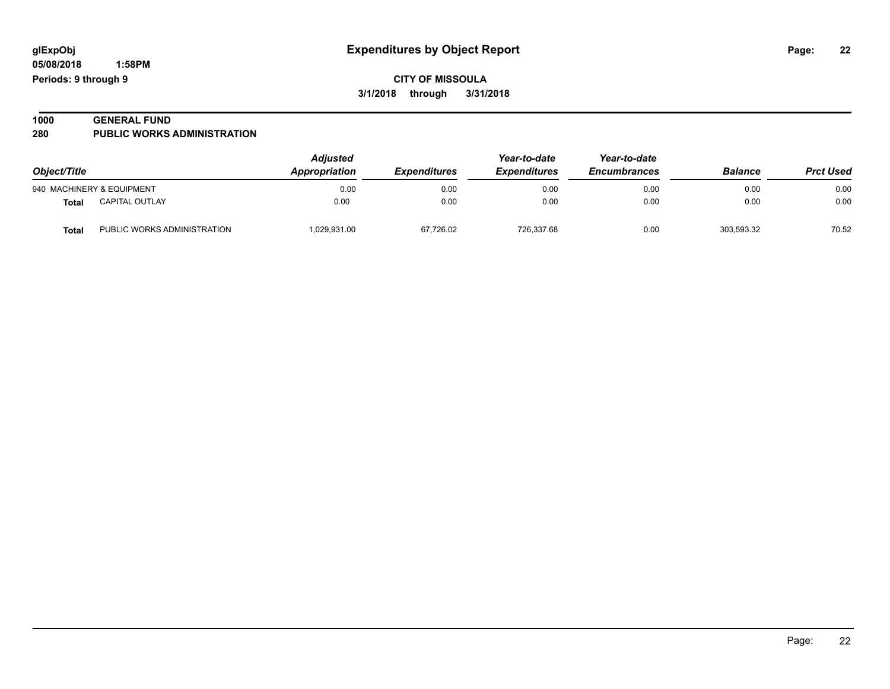**05/08/2018 1:58PM Periods: 9 through 9**

**CITY OF MISSOULA 3/1/2018 through 3/31/2018**

### **1000 GENERAL FUND<br>280 PUBLIC WORKS A 280 PUBLIC WORKS ADMINISTRATION**

| Object/Title |                             | <b>Adjusted</b><br><b>Appropriation</b><br><b>Expenditures</b> | Year-to-date<br><b>Expenditures</b> | Year-to-date<br><b>Encumbrances</b> | <b>Balance</b> | <b>Prct Used</b> |       |
|--------------|-----------------------------|----------------------------------------------------------------|-------------------------------------|-------------------------------------|----------------|------------------|-------|
|              | 940 MACHINERY & EQUIPMENT   | 0.00                                                           | 0.00                                | 0.00                                | 0.00           | 0.00             | 0.00  |
| <b>Total</b> | <b>CAPITAL OUTLAY</b>       | 0.00                                                           | 0.00                                | 0.00                                | 0.00           | 0.00             | 0.00  |
| <b>Total</b> | PUBLIC WORKS ADMINISTRATION | 1,029,931.00                                                   | 67,726.02                           | 726,337.68                          | 0.00           | 303.593.32       | 70.52 |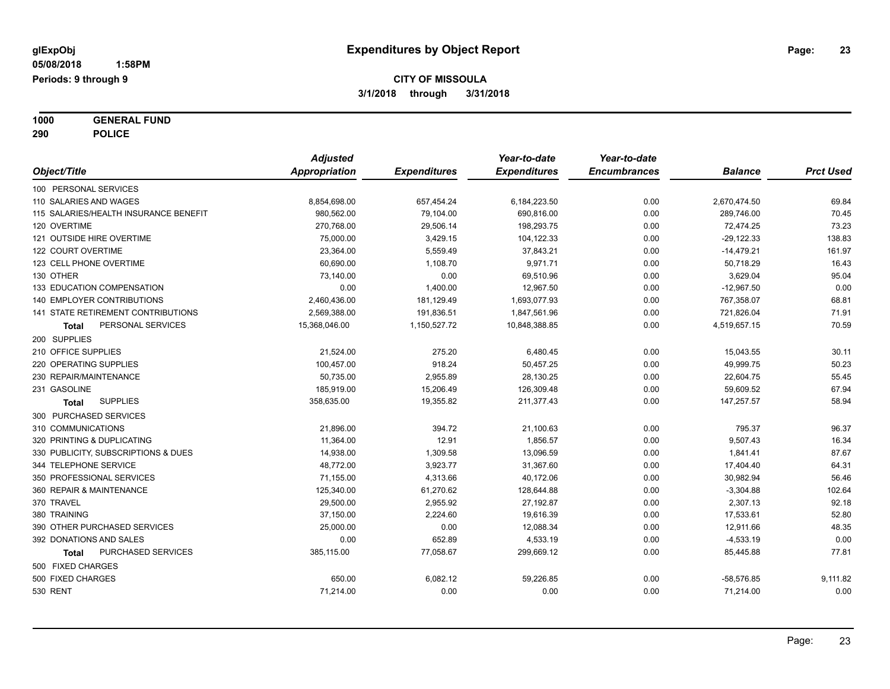**1000 GENERAL FUND 290 POLICE**

|                                       | <b>Adjusted</b>      |                     | Year-to-date        | Year-to-date        |                |                  |
|---------------------------------------|----------------------|---------------------|---------------------|---------------------|----------------|------------------|
| Object/Title                          | <b>Appropriation</b> | <b>Expenditures</b> | <b>Expenditures</b> | <b>Encumbrances</b> | <b>Balance</b> | <b>Prct Used</b> |
| 100 PERSONAL SERVICES                 |                      |                     |                     |                     |                |                  |
| 110 SALARIES AND WAGES                | 8,854,698.00         | 657,454.24          | 6,184,223.50        | 0.00                | 2,670,474.50   | 69.84            |
| 115 SALARIES/HEALTH INSURANCE BENEFIT | 980,562.00           | 79,104.00           | 690,816.00          | 0.00                | 289,746.00     | 70.45            |
| 120 OVERTIME                          | 270,768.00           | 29,506.14           | 198,293.75          | 0.00                | 72,474.25      | 73.23            |
| 121 OUTSIDE HIRE OVERTIME             | 75,000.00            | 3,429.15            | 104,122.33          | 0.00                | $-29, 122.33$  | 138.83           |
| 122 COURT OVERTIME                    | 23,364.00            | 5,559.49            | 37,843.21           | 0.00                | $-14,479.21$   | 161.97           |
| 123 CELL PHONE OVERTIME               | 60.690.00            | 1,108.70            | 9.971.71            | 0.00                | 50,718.29      | 16.43            |
| 130 OTHER                             | 73,140.00            | 0.00                | 69,510.96           | 0.00                | 3,629.04       | 95.04            |
| 133 EDUCATION COMPENSATION            | 0.00                 | 1,400.00            | 12,967.50           | 0.00                | $-12,967.50$   | 0.00             |
| 140 EMPLOYER CONTRIBUTIONS            | 2,460,436.00         | 181,129.49          | 1,693,077.93        | 0.00                | 767,358.07     | 68.81            |
| 141 STATE RETIREMENT CONTRIBUTIONS    | 2,569,388.00         | 191,836.51          | 1,847,561.96        | 0.00                | 721,826.04     | 71.91            |
| PERSONAL SERVICES<br>Total            | 15,368,046.00        | 1,150,527.72        | 10,848,388.85       | 0.00                | 4,519,657.15   | 70.59            |
| 200 SUPPLIES                          |                      |                     |                     |                     |                |                  |
| 210 OFFICE SUPPLIES                   | 21,524.00            | 275.20              | 6,480.45            | 0.00                | 15,043.55      | 30.11            |
| 220 OPERATING SUPPLIES                | 100,457.00           | 918.24              | 50,457.25           | 0.00                | 49,999.75      | 50.23            |
| 230 REPAIR/MAINTENANCE                | 50,735.00            | 2,955.89            | 28,130.25           | 0.00                | 22,604.75      | 55.45            |
| 231 GASOLINE                          | 185,919.00           | 15,206.49           | 126,309.48          | 0.00                | 59,609.52      | 67.94            |
| <b>SUPPLIES</b><br><b>Total</b>       | 358,635.00           | 19,355.82           | 211,377.43          | 0.00                | 147,257.57     | 58.94            |
| 300 PURCHASED SERVICES                |                      |                     |                     |                     |                |                  |
| 310 COMMUNICATIONS                    | 21,896.00            | 394.72              | 21,100.63           | 0.00                | 795.37         | 96.37            |
| 320 PRINTING & DUPLICATING            | 11,364.00            | 12.91               | 1,856.57            | 0.00                | 9,507.43       | 16.34            |
| 330 PUBLICITY, SUBSCRIPTIONS & DUES   | 14,938.00            | 1,309.58            | 13,096.59           | 0.00                | 1,841.41       | 87.67            |
| 344 TELEPHONE SERVICE                 | 48,772.00            | 3,923.77            | 31,367.60           | 0.00                | 17,404.40      | 64.31            |
| 350 PROFESSIONAL SERVICES             | 71,155.00            | 4,313.66            | 40,172.06           | 0.00                | 30,982.94      | 56.46            |
| 360 REPAIR & MAINTENANCE              | 125,340.00           | 61,270.62           | 128,644.88          | 0.00                | $-3,304.88$    | 102.64           |
| 370 TRAVEL                            | 29,500.00            | 2,955.92            | 27,192.87           | 0.00                | 2,307.13       | 92.18            |
| 380 TRAINING                          | 37,150.00            | 2,224.60            | 19,616.39           | 0.00                | 17,533.61      | 52.80            |
| 390 OTHER PURCHASED SERVICES          | 25,000.00            | 0.00                | 12,088.34           | 0.00                | 12,911.66      | 48.35            |
| 392 DONATIONS AND SALES               | 0.00                 | 652.89              | 4,533.19            | 0.00                | $-4,533.19$    | 0.00             |
| PURCHASED SERVICES<br>Total           | 385,115.00           | 77,058.67           | 299,669.12          | 0.00                | 85,445.88      | 77.81            |
| 500 FIXED CHARGES                     |                      |                     |                     |                     |                |                  |
| 500 FIXED CHARGES                     | 650.00               | 6,082.12            | 59,226.85           | 0.00                | $-58,576.85$   | 9,111.82         |
| <b>530 RENT</b>                       | 71,214.00            | 0.00                | 0.00                | 0.00                | 71,214.00      | 0.00             |
|                                       |                      |                     |                     |                     |                |                  |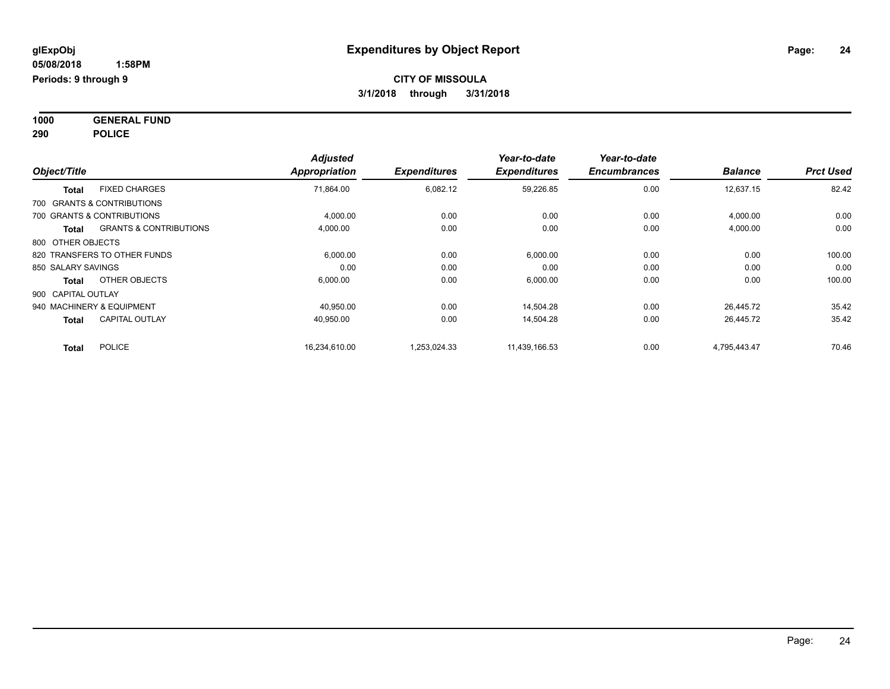**1000 GENERAL FUND 290 POLICE**

| Object/Title                  |                                   | <b>Adjusted</b><br>Appropriation | <b>Expenditures</b> | Year-to-date<br><b>Expenditures</b> | Year-to-date<br><b>Encumbrances</b> | <b>Balance</b> | <b>Prct Used</b> |
|-------------------------------|-----------------------------------|----------------------------------|---------------------|-------------------------------------|-------------------------------------|----------------|------------------|
| <b>Total</b>                  | <b>FIXED CHARGES</b>              | 71,864.00                        | 6,082.12            | 59,226.85                           | 0.00                                | 12,637.15      | 82.42            |
| 700 GRANTS & CONTRIBUTIONS    |                                   |                                  |                     |                                     |                                     |                |                  |
| 700 GRANTS & CONTRIBUTIONS    |                                   | 4,000.00                         | 0.00                | 0.00                                | 0.00                                | 4,000.00       | 0.00             |
| <b>Total</b>                  | <b>GRANTS &amp; CONTRIBUTIONS</b> | 4,000.00                         | 0.00                | 0.00                                | 0.00                                | 4,000.00       | 0.00             |
| 800 OTHER OBJECTS             |                                   |                                  |                     |                                     |                                     |                |                  |
| 820 TRANSFERS TO OTHER FUNDS  |                                   | 6,000.00                         | 0.00                | 6,000.00                            | 0.00                                | 0.00           | 100.00           |
| 850 SALARY SAVINGS            |                                   | 0.00                             | 0.00                | 0.00                                | 0.00                                | 0.00           | 0.00             |
| <b>Total</b>                  | OTHER OBJECTS                     | 6,000.00                         | 0.00                | 6,000.00                            | 0.00                                | 0.00           | 100.00           |
| 900 CAPITAL OUTLAY            |                                   |                                  |                     |                                     |                                     |                |                  |
| 940 MACHINERY & EQUIPMENT     |                                   | 40.950.00                        | 0.00                | 14,504.28                           | 0.00                                | 26.445.72      | 35.42            |
| <b>Total</b>                  | <b>CAPITAL OUTLAY</b>             | 40,950.00                        | 0.00                | 14,504.28                           | 0.00                                | 26,445.72      | 35.42            |
| <b>POLICE</b><br><b>Total</b> |                                   | 16,234,610.00                    | 1,253,024.33        | 11,439,166.53                       | 0.00                                | 4,795,443.47   | 70.46            |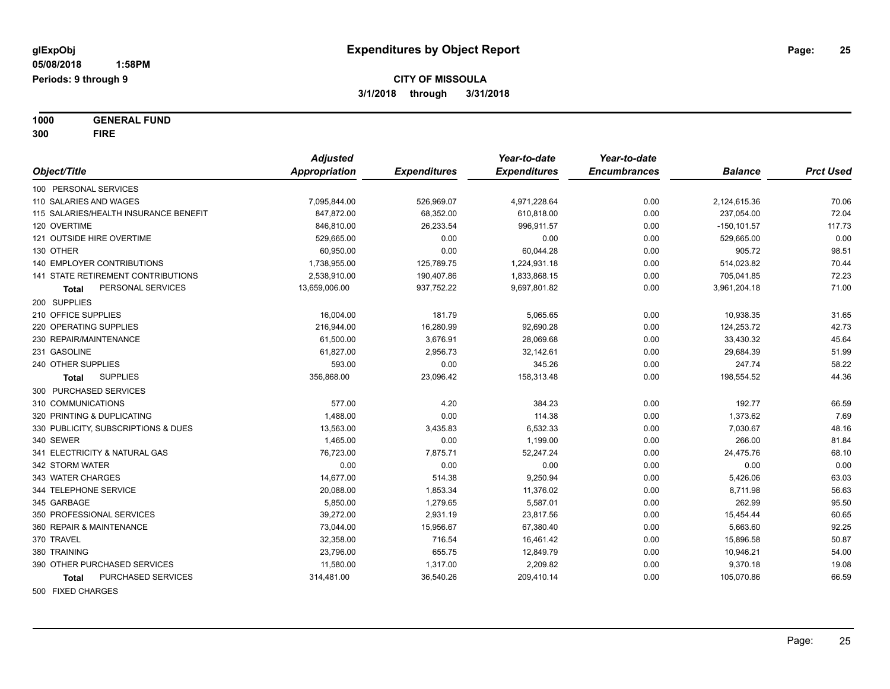**1000 GENERAL FUND 300 FIRE**

|                                           | <b>Adjusted</b>      |                     | Year-to-date        | Year-to-date        |                |                  |
|-------------------------------------------|----------------------|---------------------|---------------------|---------------------|----------------|------------------|
| Object/Title                              | <b>Appropriation</b> | <b>Expenditures</b> | <b>Expenditures</b> | <b>Encumbrances</b> | <b>Balance</b> | <b>Prct Used</b> |
| 100 PERSONAL SERVICES                     |                      |                     |                     |                     |                |                  |
| 110 SALARIES AND WAGES                    | 7,095,844.00         | 526,969.07          | 4,971,228.64        | 0.00                | 2,124,615.36   | 70.06            |
| 115 SALARIES/HEALTH INSURANCE BENEFIT     | 847,872.00           | 68,352.00           | 610,818.00          | 0.00                | 237,054.00     | 72.04            |
| 120 OVERTIME                              | 846,810.00           | 26,233.54           | 996,911.57          | 0.00                | $-150, 101.57$ | 117.73           |
| 121 OUTSIDE HIRE OVERTIME                 | 529,665.00           | 0.00                | 0.00                | 0.00                | 529,665.00     | 0.00             |
| 130 OTHER                                 | 60,950.00            | 0.00                | 60,044.28           | 0.00                | 905.72         | 98.51            |
| 140 EMPLOYER CONTRIBUTIONS                | 1,738,955.00         | 125,789.75          | 1,224,931.18        | 0.00                | 514,023.82     | 70.44            |
| <b>141 STATE RETIREMENT CONTRIBUTIONS</b> | 2,538,910.00         | 190,407.86          | 1,833,868.15        | 0.00                | 705,041.85     | 72.23            |
| PERSONAL SERVICES<br><b>Total</b>         | 13,659,006.00        | 937,752.22          | 9,697,801.82        | 0.00                | 3,961,204.18   | 71.00            |
| 200 SUPPLIES                              |                      |                     |                     |                     |                |                  |
| 210 OFFICE SUPPLIES                       | 16,004.00            | 181.79              | 5,065.65            | 0.00                | 10,938.35      | 31.65            |
| 220 OPERATING SUPPLIES                    | 216,944.00           | 16,280.99           | 92,690.28           | 0.00                | 124,253.72     | 42.73            |
| 230 REPAIR/MAINTENANCE                    | 61,500.00            | 3,676.91            | 28,069.68           | 0.00                | 33,430.32      | 45.64            |
| 231 GASOLINE                              | 61,827.00            | 2,956.73            | 32,142.61           | 0.00                | 29,684.39      | 51.99            |
| 240 OTHER SUPPLIES                        | 593.00               | 0.00                | 345.26              | 0.00                | 247.74         | 58.22            |
| <b>SUPPLIES</b><br>Total                  | 356,868.00           | 23,096.42           | 158,313.48          | 0.00                | 198,554.52     | 44.36            |
| 300 PURCHASED SERVICES                    |                      |                     |                     |                     |                |                  |
| 310 COMMUNICATIONS                        | 577.00               | 4.20                | 384.23              | 0.00                | 192.77         | 66.59            |
| 320 PRINTING & DUPLICATING                | 1,488.00             | 0.00                | 114.38              | 0.00                | 1,373.62       | 7.69             |
| 330 PUBLICITY, SUBSCRIPTIONS & DUES       | 13,563.00            | 3,435.83            | 6,532.33            | 0.00                | 7,030.67       | 48.16            |
| 340 SEWER                                 | 1,465.00             | 0.00                | 1,199.00            | 0.00                | 266.00         | 81.84            |
| 341 ELECTRICITY & NATURAL GAS             | 76,723.00            | 7,875.71            | 52,247.24           | 0.00                | 24,475.76      | 68.10            |
| 342 STORM WATER                           | 0.00                 | 0.00                | 0.00                | 0.00                | 0.00           | 0.00             |
| 343 WATER CHARGES                         | 14,677.00            | 514.38              | 9,250.94            | 0.00                | 5,426.06       | 63.03            |
| 344 TELEPHONE SERVICE                     | 20,088.00            | 1,853.34            | 11,376.02           | 0.00                | 8,711.98       | 56.63            |
| 345 GARBAGE                               | 5,850.00             | 1,279.65            | 5,587.01            | 0.00                | 262.99         | 95.50            |
| 350 PROFESSIONAL SERVICES                 | 39,272.00            | 2,931.19            | 23,817.56           | 0.00                | 15,454.44      | 60.65            |
| 360 REPAIR & MAINTENANCE                  | 73,044.00            | 15,956.67           | 67,380.40           | 0.00                | 5,663.60       | 92.25            |
| 370 TRAVEL                                | 32,358.00            | 716.54              | 16,461.42           | 0.00                | 15,896.58      | 50.87            |
| 380 TRAINING                              | 23,796.00            | 655.75              | 12,849.79           | 0.00                | 10,946.21      | 54.00            |
| 390 OTHER PURCHASED SERVICES              | 11,580.00            | 1,317.00            | 2,209.82            | 0.00                | 9,370.18       | 19.08            |
| PURCHASED SERVICES<br>Total               | 314,481.00           | 36,540.26           | 209,410.14          | 0.00                | 105,070.86     | 66.59            |
| $F(A)$ $F(B)$ $F(A)$ $A$                  |                      |                     |                     |                     |                |                  |

500 FIXED CHARGES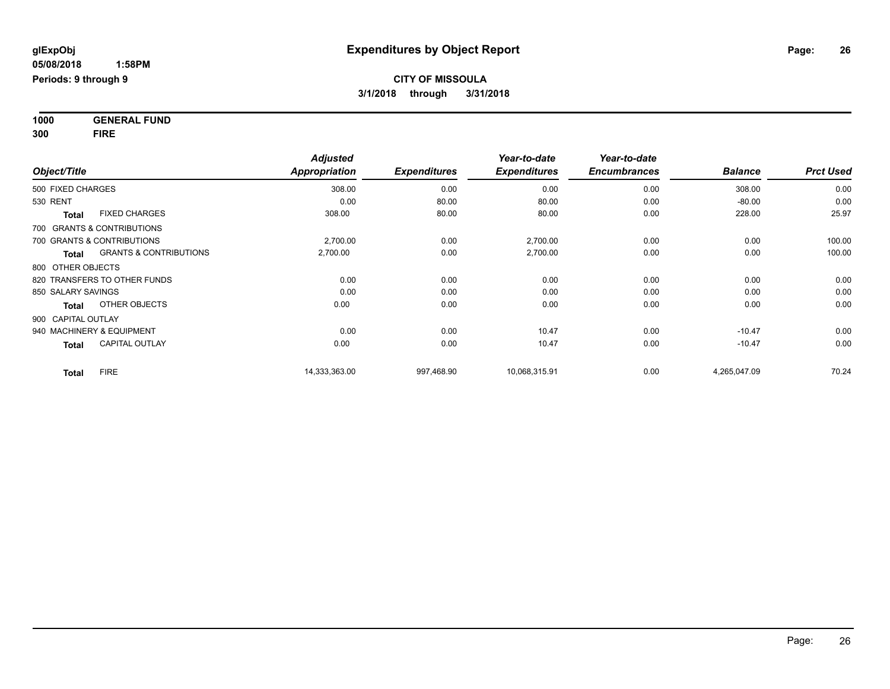**1000 GENERAL FUND 300 FIRE**

| Object/Title                 |                                   | <b>Adjusted</b><br><b>Appropriation</b> | <b>Expenditures</b> | Year-to-date<br><b>Expenditures</b> | Year-to-date<br><b>Encumbrances</b> | <b>Balance</b> | <b>Prct Used</b> |
|------------------------------|-----------------------------------|-----------------------------------------|---------------------|-------------------------------------|-------------------------------------|----------------|------------------|
| 500 FIXED CHARGES            |                                   | 308.00                                  | 0.00                | 0.00                                | 0.00                                | 308.00         | 0.00             |
|                              |                                   |                                         |                     |                                     |                                     |                |                  |
| 530 RENT                     |                                   | 0.00                                    | 80.00               | 80.00                               | 0.00                                | $-80.00$       | 0.00             |
| <b>Total</b>                 | <b>FIXED CHARGES</b>              | 308.00                                  | 80.00               | 80.00                               | 0.00                                | 228.00         | 25.97            |
| 700 GRANTS & CONTRIBUTIONS   |                                   |                                         |                     |                                     |                                     |                |                  |
| 700 GRANTS & CONTRIBUTIONS   |                                   | 2,700.00                                | 0.00                | 2,700.00                            | 0.00                                | 0.00           | 100.00           |
| <b>Total</b>                 | <b>GRANTS &amp; CONTRIBUTIONS</b> | 2,700.00                                | 0.00                | 2,700.00                            | 0.00                                | 0.00           | 100.00           |
| 800 OTHER OBJECTS            |                                   |                                         |                     |                                     |                                     |                |                  |
| 820 TRANSFERS TO OTHER FUNDS |                                   | 0.00                                    | 0.00                | 0.00                                | 0.00                                | 0.00           | 0.00             |
| 850 SALARY SAVINGS           |                                   | 0.00                                    | 0.00                | 0.00                                | 0.00                                | 0.00           | 0.00             |
| <b>Total</b>                 | OTHER OBJECTS                     | 0.00                                    | 0.00                | 0.00                                | 0.00                                | 0.00           | 0.00             |
| 900 CAPITAL OUTLAY           |                                   |                                         |                     |                                     |                                     |                |                  |
| 940 MACHINERY & EQUIPMENT    |                                   | 0.00                                    | 0.00                | 10.47                               | 0.00                                | $-10.47$       | 0.00             |
| <b>Total</b>                 | <b>CAPITAL OUTLAY</b>             | 0.00                                    | 0.00                | 10.47                               | 0.00                                | $-10.47$       | 0.00             |
| <b>FIRE</b><br><b>Total</b>  |                                   | 14,333,363.00                           | 997,468.90          | 10,068,315.91                       | 0.00                                | 4,265,047.09   | 70.24            |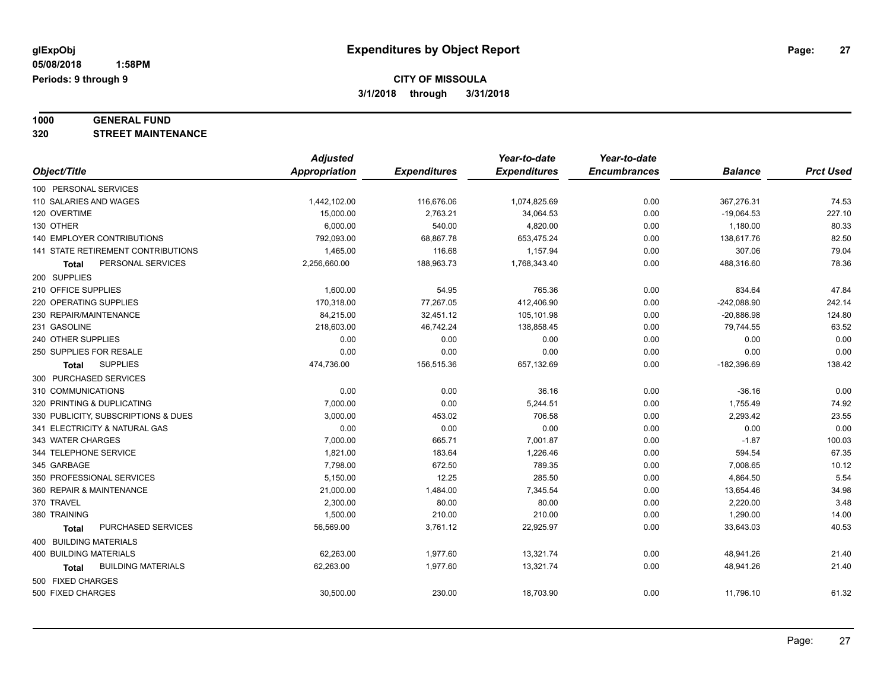# **1000 GENERAL FUND**

**320 STREET MAINTENANCE**

|                                           | <b>Adjusted</b> |                     | Year-to-date        | Year-to-date        |                |                  |
|-------------------------------------------|-----------------|---------------------|---------------------|---------------------|----------------|------------------|
| Object/Title                              | Appropriation   | <b>Expenditures</b> | <b>Expenditures</b> | <b>Encumbrances</b> | <b>Balance</b> | <b>Prct Used</b> |
| 100 PERSONAL SERVICES                     |                 |                     |                     |                     |                |                  |
| 110 SALARIES AND WAGES                    | 1,442,102.00    | 116,676.06          | 1,074,825.69        | 0.00                | 367,276.31     | 74.53            |
| 120 OVERTIME                              | 15,000.00       | 2,763.21            | 34,064.53           | 0.00                | $-19,064.53$   | 227.10           |
| 130 OTHER                                 | 6,000.00        | 540.00              | 4,820.00            | 0.00                | 1,180.00       | 80.33            |
| 140 EMPLOYER CONTRIBUTIONS                | 792,093.00      | 68,867.78           | 653,475.24          | 0.00                | 138,617.76     | 82.50            |
| <b>141 STATE RETIREMENT CONTRIBUTIONS</b> | 1.465.00        | 116.68              | 1,157.94            | 0.00                | 307.06         | 79.04            |
| PERSONAL SERVICES<br>Total                | 2,256,660.00    | 188,963.73          | 1,768,343.40        | 0.00                | 488,316.60     | 78.36            |
| 200 SUPPLIES                              |                 |                     |                     |                     |                |                  |
| 210 OFFICE SUPPLIES                       | 1,600.00        | 54.95               | 765.36              | 0.00                | 834.64         | 47.84            |
| 220 OPERATING SUPPLIES                    | 170,318.00      | 77,267.05           | 412,406.90          | 0.00                | $-242,088.90$  | 242.14           |
| 230 REPAIR/MAINTENANCE                    | 84,215.00       | 32,451.12           | 105,101.98          | 0.00                | $-20,886.98$   | 124.80           |
| 231 GASOLINE                              | 218,603.00      | 46,742.24           | 138,858.45          | 0.00                | 79,744.55      | 63.52            |
| 240 OTHER SUPPLIES                        | 0.00            | 0.00                | 0.00                | 0.00                | 0.00           | 0.00             |
| 250 SUPPLIES FOR RESALE                   | 0.00            | 0.00                | 0.00                | 0.00                | 0.00           | 0.00             |
| <b>SUPPLIES</b><br><b>Total</b>           | 474,736.00      | 156,515.36          | 657,132.69          | 0.00                | $-182,396.69$  | 138.42           |
| 300 PURCHASED SERVICES                    |                 |                     |                     |                     |                |                  |
| 310 COMMUNICATIONS                        | 0.00            | 0.00                | 36.16               | 0.00                | $-36.16$       | 0.00             |
| 320 PRINTING & DUPLICATING                | 7,000.00        | 0.00                | 5,244.51            | 0.00                | 1,755.49       | 74.92            |
| 330 PUBLICITY, SUBSCRIPTIONS & DUES       | 3,000.00        | 453.02              | 706.58              | 0.00                | 2,293.42       | 23.55            |
| 341 ELECTRICITY & NATURAL GAS             | 0.00            | 0.00                | 0.00                | 0.00                | 0.00           | 0.00             |
| 343 WATER CHARGES                         | 7,000.00        | 665.71              | 7,001.87            | 0.00                | $-1.87$        | 100.03           |
| 344 TELEPHONE SERVICE                     | 1,821.00        | 183.64              | 1,226.46            | 0.00                | 594.54         | 67.35            |
| 345 GARBAGE                               | 7,798.00        | 672.50              | 789.35              | 0.00                | 7,008.65       | 10.12            |
| 350 PROFESSIONAL SERVICES                 | 5,150.00        | 12.25               | 285.50              | 0.00                | 4,864.50       | 5.54             |
| 360 REPAIR & MAINTENANCE                  | 21,000.00       | 1,484.00            | 7,345.54            | 0.00                | 13,654.46      | 34.98            |
| 370 TRAVEL                                | 2,300.00        | 80.00               | 80.00               | 0.00                | 2,220.00       | 3.48             |
| 380 TRAINING                              | 1,500.00        | 210.00              | 210.00              | 0.00                | 1,290.00       | 14.00            |
| PURCHASED SERVICES<br><b>Total</b>        | 56,569.00       | 3,761.12            | 22,925.97           | 0.00                | 33,643.03      | 40.53            |
| <b>400 BUILDING MATERIALS</b>             |                 |                     |                     |                     |                |                  |
| 400 BUILDING MATERIALS                    | 62,263.00       | 1,977.60            | 13,321.74           | 0.00                | 48,941.26      | 21.40            |
| <b>BUILDING MATERIALS</b><br>Total        | 62,263.00       | 1,977.60            | 13,321.74           | 0.00                | 48,941.26      | 21.40            |
| 500 FIXED CHARGES                         |                 |                     |                     |                     |                |                  |
| 500 FIXED CHARGES                         | 30,500.00       | 230.00              | 18,703.90           | 0.00                | 11,796.10      | 61.32            |
|                                           |                 |                     |                     |                     |                |                  |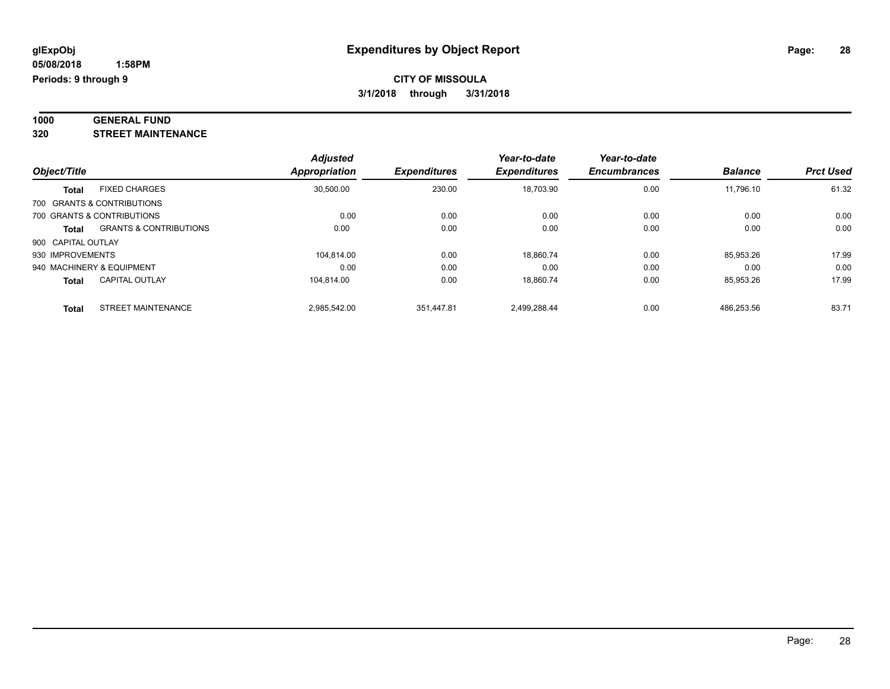### **1000 GENERAL FUND 320 STREET MAINTENANCE**

|                    |                                   | <b>Adjusted</b> |                     | Year-to-date        | Year-to-date        |                |                  |
|--------------------|-----------------------------------|-----------------|---------------------|---------------------|---------------------|----------------|------------------|
| Object/Title       |                                   | Appropriation   | <b>Expenditures</b> | <b>Expenditures</b> | <b>Encumbrances</b> | <b>Balance</b> | <b>Prct Used</b> |
| <b>Total</b>       | <b>FIXED CHARGES</b>              | 30,500.00       | 230.00              | 18.703.90           | 0.00                | 11.796.10      | 61.32            |
|                    | 700 GRANTS & CONTRIBUTIONS        |                 |                     |                     |                     |                |                  |
|                    | 700 GRANTS & CONTRIBUTIONS        | 0.00            | 0.00                | 0.00                | 0.00                | 0.00           | 0.00             |
| <b>Total</b>       | <b>GRANTS &amp; CONTRIBUTIONS</b> | 0.00            | 0.00                | 0.00                | 0.00                | 0.00           | 0.00             |
| 900 CAPITAL OUTLAY |                                   |                 |                     |                     |                     |                |                  |
| 930 IMPROVEMENTS   |                                   | 104.814.00      | 0.00                | 18.860.74           | 0.00                | 85.953.26      | 17.99            |
|                    | 940 MACHINERY & EQUIPMENT         | 0.00            | 0.00                | 0.00                | 0.00                | 0.00           | 0.00             |
| <b>Total</b>       | <b>CAPITAL OUTLAY</b>             | 104.814.00      | 0.00                | 18.860.74           | 0.00                | 85.953.26      | 17.99            |
| <b>Total</b>       | <b>STREET MAINTENANCE</b>         | 2.985.542.00    | 351.447.81          | 2.499.288.44        | 0.00                | 486.253.56     | 83.71            |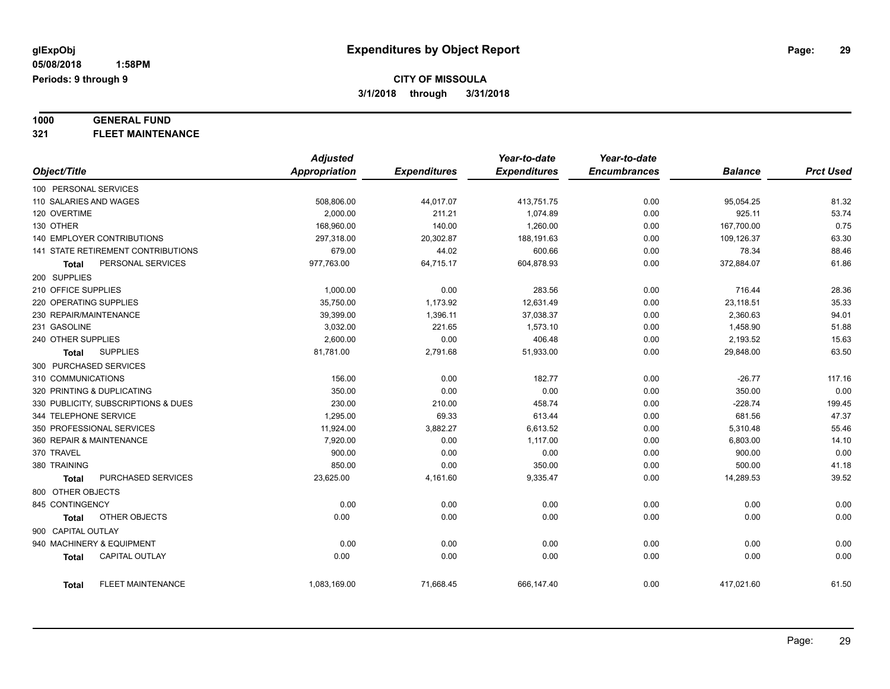# **1000 GENERAL FUND**

**321 FLEET MAINTENANCE**

|                                          | <b>Adjusted</b>      |                     | Year-to-date        | Year-to-date        |                |                  |
|------------------------------------------|----------------------|---------------------|---------------------|---------------------|----------------|------------------|
| Object/Title                             | <b>Appropriation</b> | <b>Expenditures</b> | <b>Expenditures</b> | <b>Encumbrances</b> | <b>Balance</b> | <b>Prct Used</b> |
| 100 PERSONAL SERVICES                    |                      |                     |                     |                     |                |                  |
| 110 SALARIES AND WAGES                   | 508,806.00           | 44,017.07           | 413,751.75          | 0.00                | 95,054.25      | 81.32            |
| 120 OVERTIME                             | 2.000.00             | 211.21              | 1,074.89            | 0.00                | 925.11         | 53.74            |
| 130 OTHER                                | 168,960.00           | 140.00              | 1,260.00            | 0.00                | 167,700.00     | 0.75             |
| <b>140 EMPLOYER CONTRIBUTIONS</b>        | 297,318.00           | 20,302.87           | 188,191.63          | 0.00                | 109,126.37     | 63.30            |
| 141 STATE RETIREMENT CONTRIBUTIONS       | 679.00               | 44.02               | 600.66              | 0.00                | 78.34          | 88.46            |
| PERSONAL SERVICES<br><b>Total</b>        | 977,763.00           | 64,715.17           | 604,878.93          | 0.00                | 372,884.07     | 61.86            |
| 200 SUPPLIES                             |                      |                     |                     |                     |                |                  |
| 210 OFFICE SUPPLIES                      | 1,000.00             | 0.00                | 283.56              | 0.00                | 716.44         | 28.36            |
| 220 OPERATING SUPPLIES                   | 35,750.00            | 1,173.92            | 12,631.49           | 0.00                | 23,118.51      | 35.33            |
| 230 REPAIR/MAINTENANCE                   | 39,399.00            | 1,396.11            | 37,038.37           | 0.00                | 2,360.63       | 94.01            |
| 231 GASOLINE                             | 3,032.00             | 221.65              | 1,573.10            | 0.00                | 1,458.90       | 51.88            |
| 240 OTHER SUPPLIES                       | 2,600.00             | 0.00                | 406.48              | 0.00                | 2,193.52       | 15.63            |
| <b>SUPPLIES</b><br>Total                 | 81,781.00            | 2,791.68            | 51,933.00           | 0.00                | 29,848.00      | 63.50            |
| 300 PURCHASED SERVICES                   |                      |                     |                     |                     |                |                  |
| 310 COMMUNICATIONS                       | 156.00               | 0.00                | 182.77              | 0.00                | $-26.77$       | 117.16           |
| 320 PRINTING & DUPLICATING               | 350.00               | 0.00                | 0.00                | 0.00                | 350.00         | 0.00             |
| 330 PUBLICITY, SUBSCRIPTIONS & DUES      | 230.00               | 210.00              | 458.74              | 0.00                | $-228.74$      | 199.45           |
| 344 TELEPHONE SERVICE                    | 1,295.00             | 69.33               | 613.44              | 0.00                | 681.56         | 47.37            |
| 350 PROFESSIONAL SERVICES                | 11,924.00            | 3,882.27            | 6,613.52            | 0.00                | 5,310.48       | 55.46            |
| 360 REPAIR & MAINTENANCE                 | 7,920.00             | 0.00                | 1,117.00            | 0.00                | 6,803.00       | 14.10            |
| 370 TRAVEL                               | 900.00               | 0.00                | 0.00                | 0.00                | 900.00         | 0.00             |
| 380 TRAINING                             | 850.00               | 0.00                | 350.00              | 0.00                | 500.00         | 41.18            |
| PURCHASED SERVICES<br><b>Total</b>       | 23,625.00            | 4,161.60            | 9,335.47            | 0.00                | 14,289.53      | 39.52            |
| 800 OTHER OBJECTS                        |                      |                     |                     |                     |                |                  |
| 845 CONTINGENCY                          | 0.00                 | 0.00                | 0.00                | 0.00                | 0.00           | 0.00             |
| OTHER OBJECTS<br>Total                   | 0.00                 | 0.00                | 0.00                | 0.00                | 0.00           | 0.00             |
| 900 CAPITAL OUTLAY                       |                      |                     |                     |                     |                |                  |
| 940 MACHINERY & EQUIPMENT                | 0.00                 | 0.00                | 0.00                | 0.00                | 0.00           | 0.00             |
| <b>CAPITAL OUTLAY</b><br><b>Total</b>    | 0.00                 | 0.00                | 0.00                | 0.00                | 0.00           | 0.00             |
|                                          |                      |                     |                     |                     |                |                  |
| <b>FLEET MAINTENANCE</b><br><b>Total</b> | 1,083,169.00         | 71,668.45           | 666,147.40          | 0.00                | 417,021.60     | 61.50            |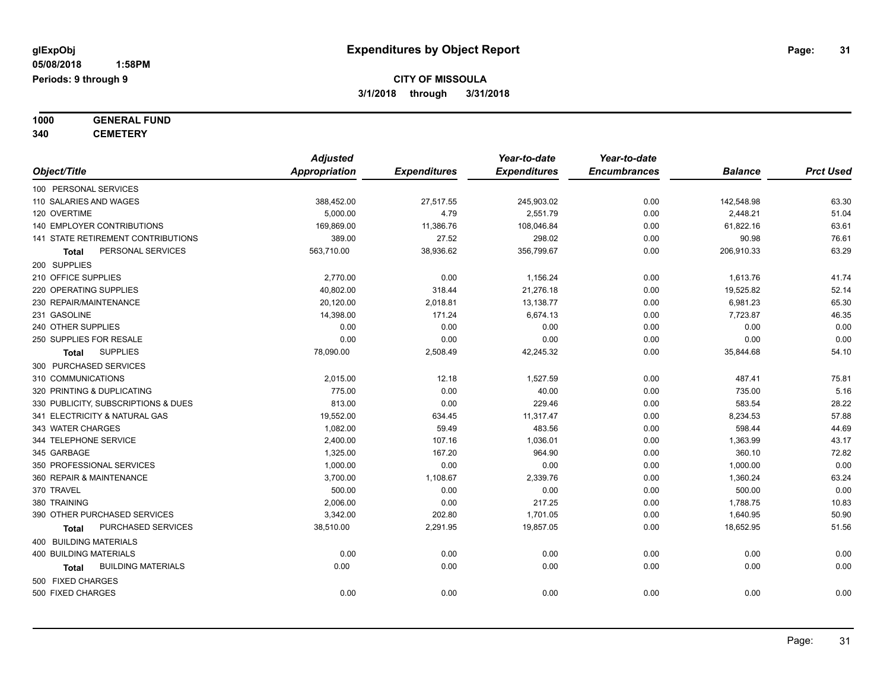**1000 GENERAL FUND**

**340 CEMETERY**

|                                           | <b>Adjusted</b>      |                     | Year-to-date        | Year-to-date        |                |                  |
|-------------------------------------------|----------------------|---------------------|---------------------|---------------------|----------------|------------------|
| Object/Title                              | <b>Appropriation</b> | <b>Expenditures</b> | <b>Expenditures</b> | <b>Encumbrances</b> | <b>Balance</b> | <b>Prct Used</b> |
| 100 PERSONAL SERVICES                     |                      |                     |                     |                     |                |                  |
| 110 SALARIES AND WAGES                    | 388,452.00           | 27,517.55           | 245,903.02          | 0.00                | 142,548.98     | 63.30            |
| 120 OVERTIME                              | 5,000.00             | 4.79                | 2,551.79            | 0.00                | 2,448.21       | 51.04            |
| 140 EMPLOYER CONTRIBUTIONS                | 169,869.00           | 11,386.76           | 108,046.84          | 0.00                | 61,822.16      | 63.61            |
| <b>141 STATE RETIREMENT CONTRIBUTIONS</b> | 389.00               | 27.52               | 298.02              | 0.00                | 90.98          | 76.61            |
| PERSONAL SERVICES<br>Total                | 563,710.00           | 38,936.62           | 356,799.67          | 0.00                | 206,910.33     | 63.29            |
| 200 SUPPLIES                              |                      |                     |                     |                     |                |                  |
| 210 OFFICE SUPPLIES                       | 2,770.00             | 0.00                | 1,156.24            | 0.00                | 1,613.76       | 41.74            |
| 220 OPERATING SUPPLIES                    | 40,802.00            | 318.44              | 21,276.18           | 0.00                | 19,525.82      | 52.14            |
| 230 REPAIR/MAINTENANCE                    | 20,120.00            | 2,018.81            | 13,138.77           | 0.00                | 6,981.23       | 65.30            |
| 231 GASOLINE                              | 14,398.00            | 171.24              | 6,674.13            | 0.00                | 7,723.87       | 46.35            |
| 240 OTHER SUPPLIES                        | 0.00                 | 0.00                | 0.00                | 0.00                | 0.00           | 0.00             |
| 250 SUPPLIES FOR RESALE                   | 0.00                 | 0.00                | 0.00                | 0.00                | 0.00           | 0.00             |
| <b>SUPPLIES</b><br><b>Total</b>           | 78,090.00            | 2,508.49            | 42,245.32           | 0.00                | 35,844.68      | 54.10            |
| 300 PURCHASED SERVICES                    |                      |                     |                     |                     |                |                  |
| 310 COMMUNICATIONS                        | 2,015.00             | 12.18               | 1,527.59            | 0.00                | 487.41         | 75.81            |
| 320 PRINTING & DUPLICATING                | 775.00               | 0.00                | 40.00               | 0.00                | 735.00         | 5.16             |
| 330 PUBLICITY, SUBSCRIPTIONS & DUES       | 813.00               | 0.00                | 229.46              | 0.00                | 583.54         | 28.22            |
| 341 ELECTRICITY & NATURAL GAS             | 19,552.00            | 634.45              | 11,317.47           | 0.00                | 8,234.53       | 57.88            |
| 343 WATER CHARGES                         | 1,082.00             | 59.49               | 483.56              | 0.00                | 598.44         | 44.69            |
| 344 TELEPHONE SERVICE                     | 2,400.00             | 107.16              | 1,036.01            | 0.00                | 1,363.99       | 43.17            |
| 345 GARBAGE                               | 1,325.00             | 167.20              | 964.90              | 0.00                | 360.10         | 72.82            |
| 350 PROFESSIONAL SERVICES                 | 1,000.00             | 0.00                | 0.00                | 0.00                | 1,000.00       | 0.00             |
| 360 REPAIR & MAINTENANCE                  | 3,700.00             | 1,108.67            | 2,339.76            | 0.00                | 1,360.24       | 63.24            |
| 370 TRAVEL                                | 500.00               | 0.00                | 0.00                | 0.00                | 500.00         | 0.00             |
| 380 TRAINING                              | 2,006.00             | 0.00                | 217.25              | 0.00                | 1,788.75       | 10.83            |
| 390 OTHER PURCHASED SERVICES              | 3,342.00             | 202.80              | 1,701.05            | 0.00                | 1,640.95       | 50.90            |
| PURCHASED SERVICES<br>Total               | 38,510.00            | 2,291.95            | 19,857.05           | 0.00                | 18,652.95      | 51.56            |
| 400 BUILDING MATERIALS                    |                      |                     |                     |                     |                |                  |
| <b>400 BUILDING MATERIALS</b>             | 0.00                 | 0.00                | 0.00                | 0.00                | 0.00           | 0.00             |
| <b>BUILDING MATERIALS</b><br>Total        | 0.00                 | 0.00                | 0.00                | 0.00                | 0.00           | 0.00             |
| 500 FIXED CHARGES                         |                      |                     |                     |                     |                |                  |
| 500 FIXED CHARGES                         | 0.00                 | 0.00                | 0.00                | 0.00                | 0.00           | 0.00             |
|                                           |                      |                     |                     |                     |                |                  |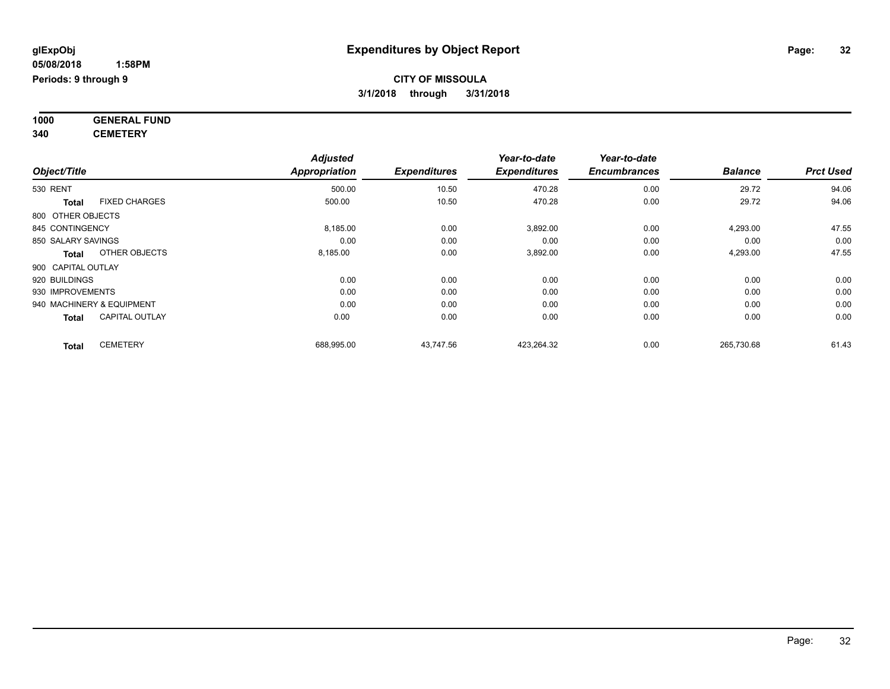**1000 GENERAL FUND 340 CEMETERY**

|                                      | <b>Adjusted</b> |                     | Year-to-date        | Year-to-date        |                |                  |
|--------------------------------------|-----------------|---------------------|---------------------|---------------------|----------------|------------------|
| Object/Title                         | Appropriation   | <b>Expenditures</b> | <b>Expenditures</b> | <b>Encumbrances</b> | <b>Balance</b> | <b>Prct Used</b> |
| <b>530 RENT</b>                      | 500.00          | 10.50               | 470.28              | 0.00                | 29.72          | 94.06            |
| <b>FIXED CHARGES</b><br><b>Total</b> | 500.00          | 10.50               | 470.28              | 0.00                | 29.72          | 94.06            |
| 800 OTHER OBJECTS                    |                 |                     |                     |                     |                |                  |
| 845 CONTINGENCY                      | 8,185.00        | 0.00                | 3,892.00            | 0.00                | 4,293.00       | 47.55            |
| 850 SALARY SAVINGS                   | 0.00            | 0.00                | 0.00                | 0.00                | 0.00           | 0.00             |
| OTHER OBJECTS<br>Total               | 8,185.00        | 0.00                | 3,892.00            | 0.00                | 4,293.00       | 47.55            |
| 900 CAPITAL OUTLAY                   |                 |                     |                     |                     |                |                  |
| 920 BUILDINGS                        | 0.00            | 0.00                | 0.00                | 0.00                | 0.00           | 0.00             |
| 930 IMPROVEMENTS                     | 0.00            | 0.00                | 0.00                | 0.00                | 0.00           | 0.00             |
| 940 MACHINERY & EQUIPMENT            | 0.00            | 0.00                | 0.00                | 0.00                | 0.00           | 0.00             |
| <b>CAPITAL OUTLAY</b><br>Total       | 0.00            | 0.00                | 0.00                | 0.00                | 0.00           | 0.00             |
| <b>CEMETERY</b><br><b>Total</b>      | 688,995.00      | 43,747.56           | 423,264.32          | 0.00                | 265,730.68     | 61.43            |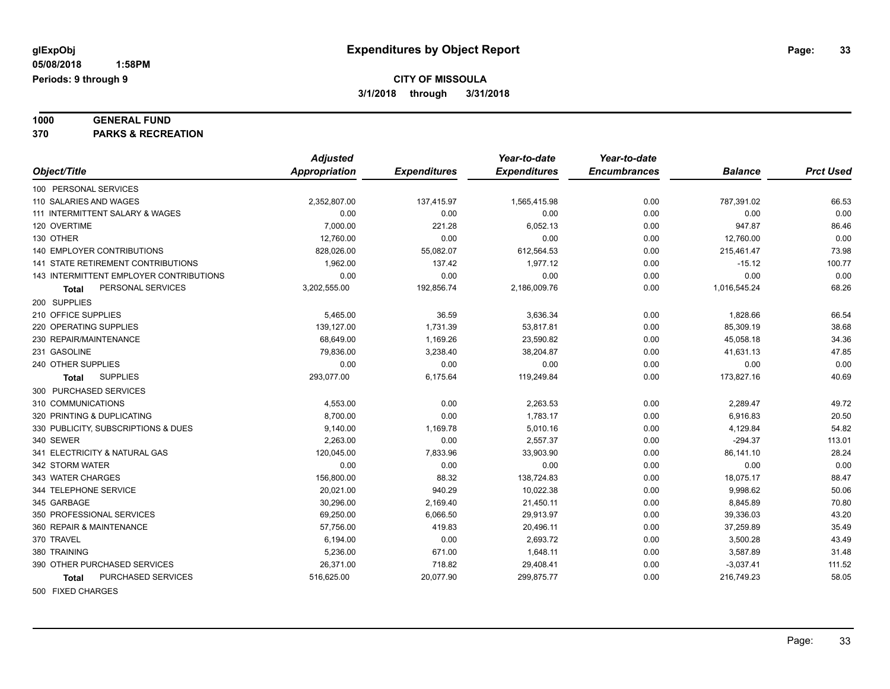# **1000 GENERAL FUND**

**370 PARKS & RECREATION**

|                                         | <b>Adjusted</b> |                     | Year-to-date        | Year-to-date        |                |                  |
|-----------------------------------------|-----------------|---------------------|---------------------|---------------------|----------------|------------------|
| Object/Title                            | Appropriation   | <b>Expenditures</b> | <b>Expenditures</b> | <b>Encumbrances</b> | <b>Balance</b> | <b>Prct Used</b> |
| 100 PERSONAL SERVICES                   |                 |                     |                     |                     |                |                  |
| 110 SALARIES AND WAGES                  | 2,352,807.00    | 137,415.97          | 1,565,415.98        | 0.00                | 787,391.02     | 66.53            |
| 111 INTERMITTENT SALARY & WAGES         | 0.00            | 0.00                | 0.00                | 0.00                | 0.00           | 0.00             |
| 120 OVERTIME                            | 7,000.00        | 221.28              | 6,052.13            | 0.00                | 947.87         | 86.46            |
| 130 OTHER                               | 12,760.00       | 0.00                | 0.00                | 0.00                | 12,760.00      | 0.00             |
| <b>140 EMPLOYER CONTRIBUTIONS</b>       | 828,026.00      | 55,082.07           | 612,564.53          | 0.00                | 215,461.47     | 73.98            |
| 141 STATE RETIREMENT CONTRIBUTIONS      | 1,962.00        | 137.42              | 1,977.12            | 0.00                | $-15.12$       | 100.77           |
| 143 INTERMITTENT EMPLOYER CONTRIBUTIONS | 0.00            | 0.00                | 0.00                | 0.00                | 0.00           | 0.00             |
| PERSONAL SERVICES<br>Total              | 3,202,555.00    | 192,856.74          | 2,186,009.76        | 0.00                | 1,016,545.24   | 68.26            |
| 200 SUPPLIES                            |                 |                     |                     |                     |                |                  |
| 210 OFFICE SUPPLIES                     | 5,465.00        | 36.59               | 3,636.34            | 0.00                | 1,828.66       | 66.54            |
| 220 OPERATING SUPPLIES                  | 139,127.00      | 1,731.39            | 53,817.81           | 0.00                | 85,309.19      | 38.68            |
| 230 REPAIR/MAINTENANCE                  | 68.649.00       | 1,169.26            | 23,590.82           | 0.00                | 45,058.18      | 34.36            |
| 231 GASOLINE                            | 79,836.00       | 3,238.40            | 38,204.87           | 0.00                | 41,631.13      | 47.85            |
| 240 OTHER SUPPLIES                      | 0.00            | 0.00                | 0.00                | 0.00                | 0.00           | 0.00             |
| <b>SUPPLIES</b><br><b>Total</b>         | 293,077.00      | 6,175.64            | 119,249.84          | 0.00                | 173,827.16     | 40.69            |
| 300 PURCHASED SERVICES                  |                 |                     |                     |                     |                |                  |
| 310 COMMUNICATIONS                      | 4,553.00        | 0.00                | 2,263.53            | 0.00                | 2,289.47       | 49.72            |
| 320 PRINTING & DUPLICATING              | 8,700.00        | 0.00                | 1,783.17            | 0.00                | 6,916.83       | 20.50            |
| 330 PUBLICITY, SUBSCRIPTIONS & DUES     | 9,140.00        | 1,169.78            | 5,010.16            | 0.00                | 4,129.84       | 54.82            |
| 340 SEWER                               | 2,263.00        | 0.00                | 2,557.37            | 0.00                | $-294.37$      | 113.01           |
| 341 ELECTRICITY & NATURAL GAS           | 120,045.00      | 7,833.96            | 33,903.90           | 0.00                | 86,141.10      | 28.24            |
| 342 STORM WATER                         | 0.00            | 0.00                | 0.00                | 0.00                | 0.00           | 0.00             |
| 343 WATER CHARGES                       | 156,800.00      | 88.32               | 138,724.83          | 0.00                | 18,075.17      | 88.47            |
| 344 TELEPHONE SERVICE                   | 20,021.00       | 940.29              | 10,022.38           | 0.00                | 9,998.62       | 50.06            |
| 345 GARBAGE                             | 30,296.00       | 2,169.40            | 21,450.11           | 0.00                | 8,845.89       | 70.80            |
| 350 PROFESSIONAL SERVICES               | 69,250.00       | 6,066.50            | 29,913.97           | 0.00                | 39,336.03      | 43.20            |
| 360 REPAIR & MAINTENANCE                | 57,756.00       | 419.83              | 20,496.11           | 0.00                | 37,259.89      | 35.49            |
| 370 TRAVEL                              | 6,194.00        | 0.00                | 2,693.72            | 0.00                | 3,500.28       | 43.49            |
| 380 TRAINING                            | 5,236.00        | 671.00              | 1,648.11            | 0.00                | 3,587.89       | 31.48            |
| 390 OTHER PURCHASED SERVICES            | 26,371.00       | 718.82              | 29,408.41           | 0.00                | $-3,037.41$    | 111.52           |
| <b>PURCHASED SERVICES</b><br>Total      | 516,625.00      | 20,077.90           | 299,875.77          | 0.00                | 216,749.23     | 58.05            |
|                                         |                 |                     |                     |                     |                |                  |

500 FIXED CHARGES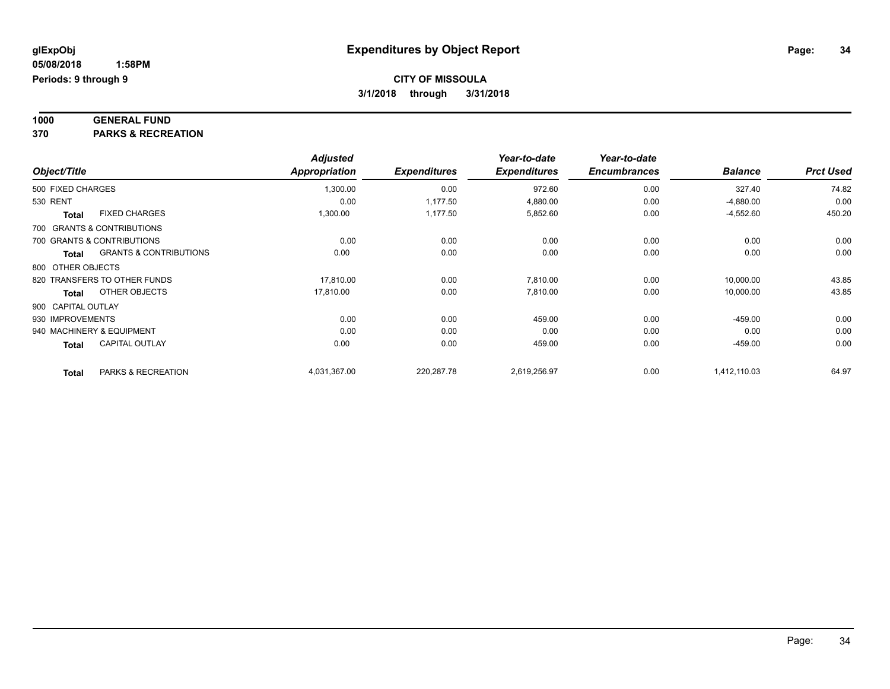# **1000 GENERAL FUND**

**370 PARKS & RECREATION**

| Object/Title              |                                   | <b>Adjusted</b><br>Appropriation | <b>Expenditures</b> | Year-to-date<br><b>Expenditures</b> | Year-to-date<br><b>Encumbrances</b> | <b>Balance</b> | <b>Prct Used</b> |
|---------------------------|-----------------------------------|----------------------------------|---------------------|-------------------------------------|-------------------------------------|----------------|------------------|
| 500 FIXED CHARGES         |                                   | 1,300.00                         | 0.00                | 972.60                              | 0.00                                | 327.40         | 74.82            |
| <b>530 RENT</b>           |                                   | 0.00                             | 1,177.50            | 4,880.00                            | 0.00                                | $-4,880.00$    | 0.00             |
| <b>Total</b>              | <b>FIXED CHARGES</b>              | 1,300.00                         | 1,177.50            | 5,852.60                            | 0.00                                | $-4,552.60$    | 450.20           |
|                           | 700 GRANTS & CONTRIBUTIONS        |                                  |                     |                                     |                                     |                |                  |
|                           | 700 GRANTS & CONTRIBUTIONS        | 0.00                             | 0.00                | 0.00                                | 0.00                                | 0.00           | 0.00             |
| Total                     | <b>GRANTS &amp; CONTRIBUTIONS</b> | 0.00                             | 0.00                | 0.00                                | 0.00                                | 0.00           | 0.00             |
| 800 OTHER OBJECTS         |                                   |                                  |                     |                                     |                                     |                |                  |
|                           | 820 TRANSFERS TO OTHER FUNDS      | 17,810.00                        | 0.00                | 7,810.00                            | 0.00                                | 10,000.00      | 43.85            |
| Total                     | OTHER OBJECTS                     | 17,810.00                        | 0.00                | 7,810.00                            | 0.00                                | 10,000.00      | 43.85            |
| 900 CAPITAL OUTLAY        |                                   |                                  |                     |                                     |                                     |                |                  |
| 930 IMPROVEMENTS          |                                   | 0.00                             | 0.00                | 459.00                              | 0.00                                | $-459.00$      | 0.00             |
| 940 MACHINERY & EQUIPMENT |                                   | 0.00                             | 0.00                | 0.00                                | 0.00                                | 0.00           | 0.00             |
| Total                     | <b>CAPITAL OUTLAY</b>             | 0.00                             | 0.00                | 459.00                              | 0.00                                | $-459.00$      | 0.00             |
| <b>Total</b>              | PARKS & RECREATION                | 4,031,367.00                     | 220,287.78          | 2,619,256.97                        | 0.00                                | 1,412,110.03   | 64.97            |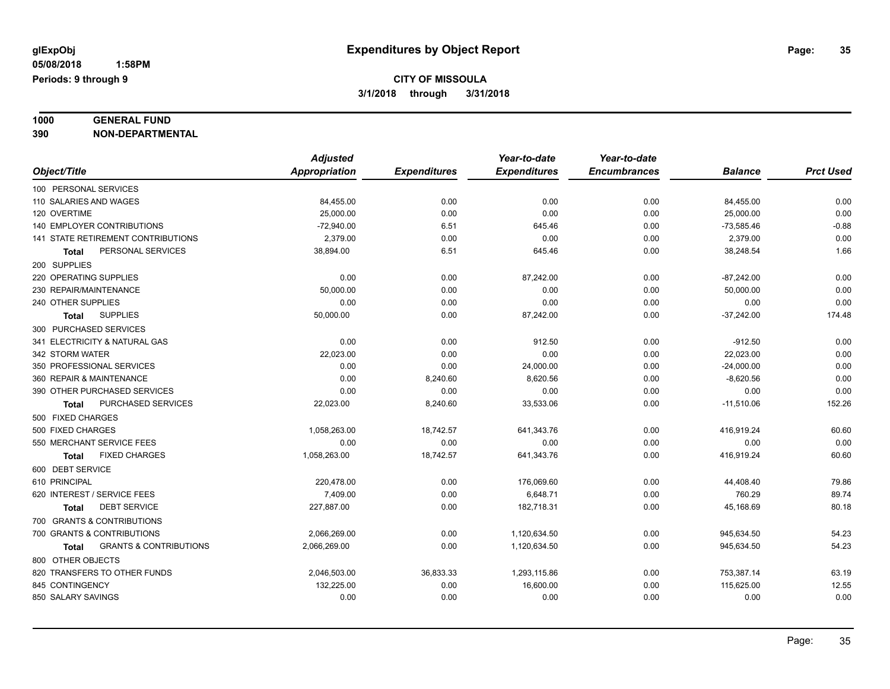# **1000 GENERAL FUND**

**390 NON-DEPARTMENTAL**

|                                                   | <b>Adjusted</b> |                     | Year-to-date        | Year-to-date        |                |                  |
|---------------------------------------------------|-----------------|---------------------|---------------------|---------------------|----------------|------------------|
| Object/Title                                      | Appropriation   | <b>Expenditures</b> | <b>Expenditures</b> | <b>Encumbrances</b> | <b>Balance</b> | <b>Prct Used</b> |
| 100 PERSONAL SERVICES                             |                 |                     |                     |                     |                |                  |
| 110 SALARIES AND WAGES                            | 84,455.00       | 0.00                | 0.00                | 0.00                | 84,455.00      | 0.00             |
| 120 OVERTIME                                      | 25,000.00       | 0.00                | 0.00                | 0.00                | 25,000.00      | 0.00             |
| 140 EMPLOYER CONTRIBUTIONS                        | $-72,940.00$    | 6.51                | 645.46              | 0.00                | $-73,585.46$   | $-0.88$          |
| 141 STATE RETIREMENT CONTRIBUTIONS                | 2,379.00        | 0.00                | 0.00                | 0.00                | 2,379.00       | 0.00             |
| PERSONAL SERVICES<br><b>Total</b>                 | 38,894.00       | 6.51                | 645.46              | 0.00                | 38,248.54      | 1.66             |
| 200 SUPPLIES                                      |                 |                     |                     |                     |                |                  |
| 220 OPERATING SUPPLIES                            | 0.00            | 0.00                | 87,242.00           | 0.00                | $-87,242.00$   | 0.00             |
| 230 REPAIR/MAINTENANCE                            | 50,000.00       | 0.00                | 0.00                | 0.00                | 50,000.00      | 0.00             |
| 240 OTHER SUPPLIES                                | 0.00            | 0.00                | 0.00                | 0.00                | 0.00           | 0.00             |
| <b>SUPPLIES</b><br>Total                          | 50,000.00       | 0.00                | 87,242.00           | 0.00                | $-37,242.00$   | 174.48           |
| 300 PURCHASED SERVICES                            |                 |                     |                     |                     |                |                  |
| 341 ELECTRICITY & NATURAL GAS                     | 0.00            | 0.00                | 912.50              | 0.00                | $-912.50$      | 0.00             |
| 342 STORM WATER                                   | 22,023.00       | 0.00                | 0.00                | 0.00                | 22,023.00      | 0.00             |
| 350 PROFESSIONAL SERVICES                         | 0.00            | 0.00                | 24,000.00           | 0.00                | $-24,000.00$   | 0.00             |
| 360 REPAIR & MAINTENANCE                          | 0.00            | 8,240.60            | 8,620.56            | 0.00                | $-8,620.56$    | 0.00             |
| 390 OTHER PURCHASED SERVICES                      | 0.00            | 0.00                | 0.00                | 0.00                | 0.00           | 0.00             |
| PURCHASED SERVICES<br>Total                       | 22,023.00       | 8,240.60            | 33,533.06           | 0.00                | $-11,510.06$   | 152.26           |
| 500 FIXED CHARGES                                 |                 |                     |                     |                     |                |                  |
| 500 FIXED CHARGES                                 | 1,058,263.00    | 18,742.57           | 641,343.76          | 0.00                | 416,919.24     | 60.60            |
| 550 MERCHANT SERVICE FEES                         | 0.00            | 0.00                | 0.00                | 0.00                | 0.00           | 0.00             |
| <b>FIXED CHARGES</b><br>Total                     | 1,058,263.00    | 18,742.57           | 641,343.76          | 0.00                | 416,919.24     | 60.60            |
| 600 DEBT SERVICE                                  |                 |                     |                     |                     |                |                  |
| 610 PRINCIPAL                                     | 220,478.00      | 0.00                | 176,069.60          | 0.00                | 44,408.40      | 79.86            |
| 620 INTEREST / SERVICE FEES                       | 7,409.00        | 0.00                | 6,648.71            | 0.00                | 760.29         | 89.74            |
| <b>DEBT SERVICE</b><br><b>Total</b>               | 227,887.00      | 0.00                | 182,718.31          | 0.00                | 45,168.69      | 80.18            |
| 700 GRANTS & CONTRIBUTIONS                        |                 |                     |                     |                     |                |                  |
| 700 GRANTS & CONTRIBUTIONS                        | 2,066,269.00    | 0.00                | 1,120,634.50        | 0.00                | 945,634.50     | 54.23            |
| <b>GRANTS &amp; CONTRIBUTIONS</b><br><b>Total</b> | 2,066,269.00    | 0.00                | 1,120,634.50        | 0.00                | 945,634.50     | 54.23            |
| 800 OTHER OBJECTS                                 |                 |                     |                     |                     |                |                  |
| 820 TRANSFERS TO OTHER FUNDS                      | 2,046,503.00    | 36,833.33           | 1,293,115.86        | 0.00                | 753,387.14     | 63.19            |
| 845 CONTINGENCY                                   | 132,225.00      | 0.00                | 16,600.00           | 0.00                | 115,625.00     | 12.55            |
| 850 SALARY SAVINGS                                | 0.00            | 0.00                | 0.00                | 0.00                | 0.00           | 0.00             |
|                                                   |                 |                     |                     |                     |                |                  |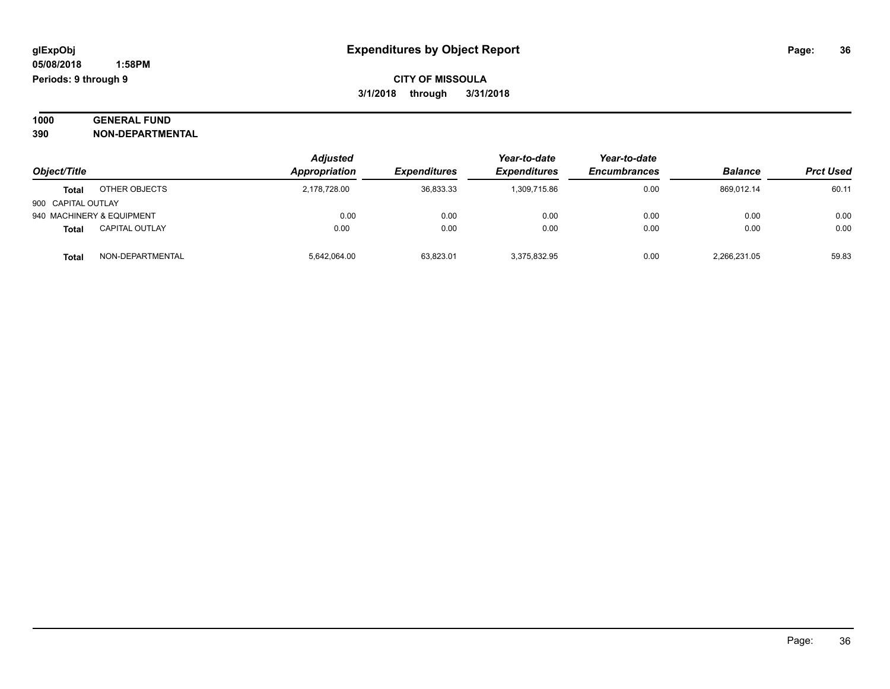### **1000 GENERAL FUND 390 NON-DEPARTMENTAL**

| Object/Title       |                           | <b>Adjusted</b><br>Appropriation | <b>Expenditures</b> | Year-to-date<br><b>Expenditures</b> | Year-to-date<br><b>Encumbrances</b> | <b>Balance</b> | <b>Prct Used</b> |
|--------------------|---------------------------|----------------------------------|---------------------|-------------------------------------|-------------------------------------|----------------|------------------|
| <b>Total</b>       | OTHER OBJECTS             | 2,178,728.00                     | 36,833.33           | 1,309,715.86                        | 0.00                                | 869.012.14     | 60.11            |
| 900 CAPITAL OUTLAY |                           |                                  |                     |                                     |                                     |                |                  |
|                    | 940 MACHINERY & EQUIPMENT | 0.00                             | 0.00                | 0.00                                | 0.00                                | 0.00           | 0.00             |
| <b>Total</b>       | <b>CAPITAL OUTLAY</b>     | 0.00                             | 0.00                | 0.00                                | 0.00                                | 0.00           | 0.00             |
| <b>Total</b>       | NON-DEPARTMENTAL          | 5,642,064.00                     | 63,823.01           | 3,375,832.95                        | 0.00                                | 2,266,231.05   | 59.83            |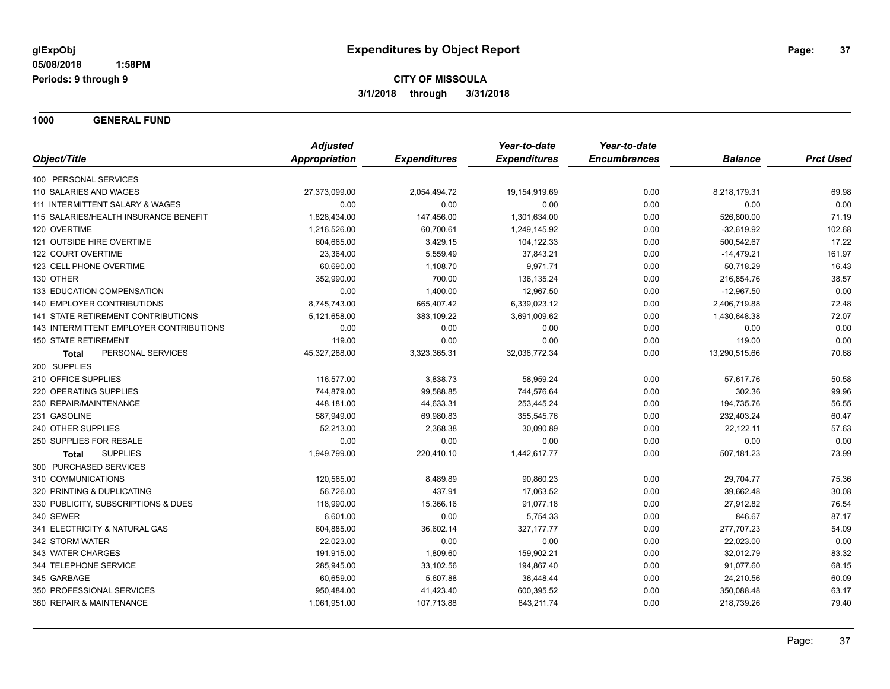**1000 GENERAL FUND**

|                                           | <b>Adjusted</b> |                     | Year-to-date        | Year-to-date        |                |                  |
|-------------------------------------------|-----------------|---------------------|---------------------|---------------------|----------------|------------------|
| Object/Title                              | Appropriation   | <b>Expenditures</b> | <b>Expenditures</b> | <b>Encumbrances</b> | <b>Balance</b> | <b>Prct Used</b> |
| 100 PERSONAL SERVICES                     |                 |                     |                     |                     |                |                  |
| 110 SALARIES AND WAGES                    | 27,373,099.00   | 2,054,494.72        | 19,154,919.69       | 0.00                | 8,218,179.31   | 69.98            |
| 111 INTERMITTENT SALARY & WAGES           | 0.00            | 0.00                | 0.00                | 0.00                | 0.00           | 0.00             |
| 115 SALARIES/HEALTH INSURANCE BENEFIT     | 1,828,434.00    | 147,456.00          | 1,301,634.00        | 0.00                | 526,800.00     | 71.19            |
| 120 OVERTIME                              | 1,216,526.00    | 60,700.61           | 1,249,145.92        | 0.00                | $-32,619.92$   | 102.68           |
| 121 OUTSIDE HIRE OVERTIME                 | 604,665.00      | 3,429.15            | 104,122.33          | 0.00                | 500,542.67     | 17.22            |
| 122 COURT OVERTIME                        | 23,364.00       | 5,559.49            | 37,843.21           | 0.00                | $-14,479.21$   | 161.97           |
| 123 CELL PHONE OVERTIME                   | 60,690.00       | 1,108.70            | 9,971.71            | 0.00                | 50,718.29      | 16.43            |
| 130 OTHER                                 | 352,990.00      | 700.00              | 136, 135.24         | 0.00                | 216,854.76     | 38.57            |
| 133 EDUCATION COMPENSATION                | 0.00            | 1,400.00            | 12,967.50           | 0.00                | $-12,967.50$   | 0.00             |
| 140 EMPLOYER CONTRIBUTIONS                | 8,745,743.00    | 665,407.42          | 6,339,023.12        | 0.00                | 2,406,719.88   | 72.48            |
| <b>141 STATE RETIREMENT CONTRIBUTIONS</b> | 5,121,658.00    | 383,109.22          | 3,691,009.62        | 0.00                | 1,430,648.38   | 72.07            |
| 143 INTERMITTENT EMPLOYER CONTRIBUTIONS   | 0.00            | 0.00                | 0.00                | 0.00                | 0.00           | 0.00             |
| <b>150 STATE RETIREMENT</b>               | 119.00          | 0.00                | 0.00                | 0.00                | 119.00         | 0.00             |
| PERSONAL SERVICES<br>Total                | 45,327,288.00   | 3,323,365.31        | 32,036,772.34       | 0.00                | 13,290,515.66  | 70.68            |
| 200 SUPPLIES                              |                 |                     |                     |                     |                |                  |
| 210 OFFICE SUPPLIES                       | 116,577.00      | 3,838.73            | 58,959.24           | 0.00                | 57,617.76      | 50.58            |
| 220 OPERATING SUPPLIES                    | 744,879.00      | 99,588.85           | 744,576.64          | 0.00                | 302.36         | 99.96            |
| 230 REPAIR/MAINTENANCE                    | 448,181.00      | 44,633.31           | 253,445.24          | 0.00                | 194,735.76     | 56.55            |
| 231 GASOLINE                              | 587,949.00      | 69,980.83           | 355,545.76          | 0.00                | 232,403.24     | 60.47            |
| 240 OTHER SUPPLIES                        | 52,213.00       | 2,368.38            | 30,090.89           | 0.00                | 22,122.11      | 57.63            |
| 250 SUPPLIES FOR RESALE                   | 0.00            | 0.00                | 0.00                | 0.00                | 0.00           | 0.00             |
| <b>SUPPLIES</b><br>Total                  | 1,949,799.00    | 220,410.10          | 1,442,617.77        | 0.00                | 507,181.23     | 73.99            |
| 300 PURCHASED SERVICES                    |                 |                     |                     |                     |                |                  |
| 310 COMMUNICATIONS                        | 120,565.00      | 8,489.89            | 90,860.23           | 0.00                | 29,704.77      | 75.36            |
| 320 PRINTING & DUPLICATING                | 56,726.00       | 437.91              | 17,063.52           | 0.00                | 39,662.48      | 30.08            |
| 330 PUBLICITY, SUBSCRIPTIONS & DUES       | 118,990.00      | 15,366.16           | 91,077.18           | 0.00                | 27,912.82      | 76.54            |
| 340 SEWER                                 | 6,601.00        | 0.00                | 5,754.33            | 0.00                | 846.67         | 87.17            |
| 341 ELECTRICITY & NATURAL GAS             | 604,885.00      | 36,602.14           | 327, 177.77         | 0.00                | 277,707.23     | 54.09            |
| 342 STORM WATER                           | 22,023.00       | 0.00                | 0.00                | 0.00                | 22,023.00      | 0.00             |
| 343 WATER CHARGES                         | 191,915.00      | 1,809.60            | 159,902.21          | 0.00                | 32,012.79      | 83.32            |
| 344 TELEPHONE SERVICE                     | 285,945.00      | 33,102.56           | 194,867.40          | 0.00                | 91,077.60      | 68.15            |
| 345 GARBAGE                               | 60,659.00       | 5,607.88            | 36,448.44           | 0.00                | 24,210.56      | 60.09            |
| 350 PROFESSIONAL SERVICES                 | 950,484.00      | 41,423.40           | 600,395.52          | 0.00                | 350,088.48     | 63.17            |
| 360 REPAIR & MAINTENANCE                  | 1,061,951.00    | 107,713.88          | 843,211.74          | 0.00                | 218,739.26     | 79.40            |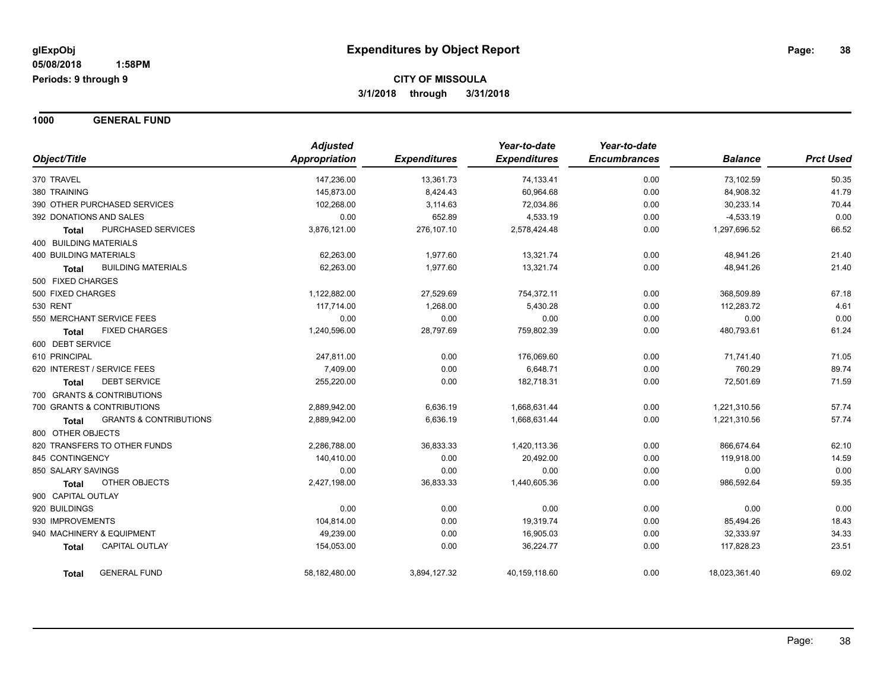**1000 GENERAL FUND**

|                               |                                   | <b>Adjusted</b>      |                     | Year-to-date        | Year-to-date        |                |                  |
|-------------------------------|-----------------------------------|----------------------|---------------------|---------------------|---------------------|----------------|------------------|
| Object/Title                  |                                   | <b>Appropriation</b> | <b>Expenditures</b> | <b>Expenditures</b> | <b>Encumbrances</b> | <b>Balance</b> | <b>Prct Used</b> |
| 370 TRAVEL                    |                                   | 147,236.00           | 13,361.73           | 74,133.41           | 0.00                | 73,102.59      | 50.35            |
| 380 TRAINING                  |                                   | 145,873.00           | 8,424.43            | 60,964.68           | 0.00                | 84,908.32      | 41.79            |
|                               | 390 OTHER PURCHASED SERVICES      | 102,268.00           | 3,114.63            | 72,034.86           | 0.00                | 30,233.14      | 70.44            |
| 392 DONATIONS AND SALES       |                                   | 0.00                 | 652.89              | 4,533.19            | 0.00                | $-4,533.19$    | 0.00             |
| <b>Total</b>                  | PURCHASED SERVICES                | 3,876,121.00         | 276,107.10          | 2,578,424.48        | 0.00                | 1,297,696.52   | 66.52            |
| 400 BUILDING MATERIALS        |                                   |                      |                     |                     |                     |                |                  |
| <b>400 BUILDING MATERIALS</b> |                                   | 62,263.00            | 1,977.60            | 13,321.74           | 0.00                | 48,941.26      | 21.40            |
| <b>Total</b>                  | <b>BUILDING MATERIALS</b>         | 62,263.00            | 1,977.60            | 13,321.74           | 0.00                | 48,941.26      | 21.40            |
| 500 FIXED CHARGES             |                                   |                      |                     |                     |                     |                |                  |
| 500 FIXED CHARGES             |                                   | 1,122,882.00         | 27,529.69           | 754,372.11          | 0.00                | 368,509.89     | 67.18            |
| <b>530 RENT</b>               |                                   | 117,714.00           | 1,268.00            | 5,430.28            | 0.00                | 112,283.72     | 4.61             |
|                               | 550 MERCHANT SERVICE FEES         | 0.00                 | 0.00                | 0.00                | 0.00                | 0.00           | 0.00             |
| <b>Total</b>                  | <b>FIXED CHARGES</b>              | 1,240,596.00         | 28,797.69           | 759,802.39          | 0.00                | 480,793.61     | 61.24            |
| 600 DEBT SERVICE              |                                   |                      |                     |                     |                     |                |                  |
| 610 PRINCIPAL                 |                                   | 247,811.00           | 0.00                | 176,069.60          | 0.00                | 71,741.40      | 71.05            |
|                               | 620 INTEREST / SERVICE FEES       | 7,409.00             | 0.00                | 6,648.71            | 0.00                | 760.29         | 89.74            |
| <b>Total</b>                  | <b>DEBT SERVICE</b>               | 255,220.00           | 0.00                | 182,718.31          | 0.00                | 72,501.69      | 71.59            |
|                               | 700 GRANTS & CONTRIBUTIONS        |                      |                     |                     |                     |                |                  |
|                               | 700 GRANTS & CONTRIBUTIONS        | 2,889,942.00         | 6,636.19            | 1,668,631.44        | 0.00                | 1,221,310.56   | 57.74            |
| Total                         | <b>GRANTS &amp; CONTRIBUTIONS</b> | 2,889,942.00         | 6,636.19            | 1,668,631.44        | 0.00                | 1,221,310.56   | 57.74            |
| 800 OTHER OBJECTS             |                                   |                      |                     |                     |                     |                |                  |
|                               | 820 TRANSFERS TO OTHER FUNDS      | 2,286,788.00         | 36,833.33           | 1,420,113.36        | 0.00                | 866,674.64     | 62.10            |
| 845 CONTINGENCY               |                                   | 140,410.00           | 0.00                | 20,492.00           | 0.00                | 119,918.00     | 14.59            |
| 850 SALARY SAVINGS            |                                   | 0.00                 | 0.00                | 0.00                | 0.00                | 0.00           | 0.00             |
| <b>Total</b>                  | OTHER OBJECTS                     | 2,427,198.00         | 36,833.33           | 1,440,605.36        | 0.00                | 986,592.64     | 59.35            |
| 900 CAPITAL OUTLAY            |                                   |                      |                     |                     |                     |                |                  |
| 920 BUILDINGS                 |                                   | 0.00                 | 0.00                | 0.00                | 0.00                | 0.00           | 0.00             |
| 930 IMPROVEMENTS              |                                   | 104,814.00           | 0.00                | 19,319.74           | 0.00                | 85,494.26      | 18.43            |
|                               | 940 MACHINERY & EQUIPMENT         | 49,239.00            | 0.00                | 16,905.03           | 0.00                | 32,333.97      | 34.33            |
| <b>Total</b>                  | <b>CAPITAL OUTLAY</b>             | 154,053.00           | 0.00                | 36,224.77           | 0.00                | 117,828.23     | 23.51            |
| Total                         | <b>GENERAL FUND</b>               | 58,182,480.00        | 3,894,127.32        | 40,159,118.60       | 0.00                | 18,023,361.40  | 69.02            |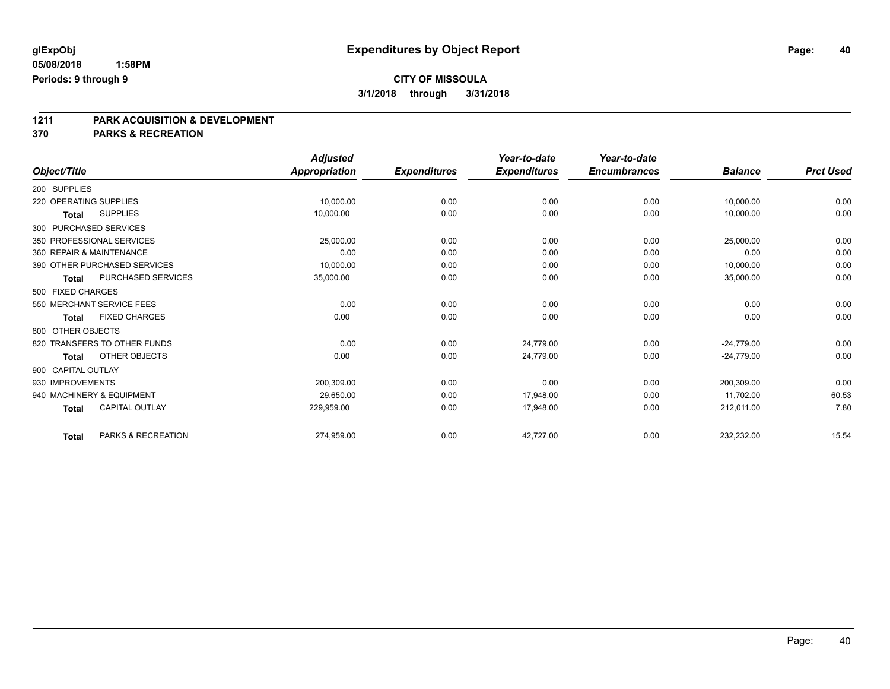**1211 PARK ACQUISITION & DEVELOPMENT**

**370 PARKS & RECREATION**

|                        |                              | <b>Adjusted</b>      |                     | Year-to-date        | Year-to-date        |                |                  |
|------------------------|------------------------------|----------------------|---------------------|---------------------|---------------------|----------------|------------------|
| Object/Title           |                              | <b>Appropriation</b> | <b>Expenditures</b> | <b>Expenditures</b> | <b>Encumbrances</b> | <b>Balance</b> | <b>Prct Used</b> |
| 200 SUPPLIES           |                              |                      |                     |                     |                     |                |                  |
| 220 OPERATING SUPPLIES |                              | 10,000.00            | 0.00                | 0.00                | 0.00                | 10,000.00      | 0.00             |
| <b>Total</b>           | <b>SUPPLIES</b>              | 10,000.00            | 0.00                | 0.00                | 0.00                | 10,000.00      | 0.00             |
| 300 PURCHASED SERVICES |                              |                      |                     |                     |                     |                |                  |
|                        | 350 PROFESSIONAL SERVICES    | 25,000.00            | 0.00                | 0.00                | 0.00                | 25,000.00      | 0.00             |
|                        | 360 REPAIR & MAINTENANCE     | 0.00                 | 0.00                | 0.00                | 0.00                | 0.00           | 0.00             |
|                        | 390 OTHER PURCHASED SERVICES | 10,000.00            | 0.00                | 0.00                | 0.00                | 10,000.00      | 0.00             |
| Total                  | PURCHASED SERVICES           | 35,000.00            | 0.00                | 0.00                | 0.00                | 35,000.00      | 0.00             |
| 500 FIXED CHARGES      |                              |                      |                     |                     |                     |                |                  |
|                        | 550 MERCHANT SERVICE FEES    | 0.00                 | 0.00                | 0.00                | 0.00                | 0.00           | 0.00             |
| <b>Total</b>           | <b>FIXED CHARGES</b>         | 0.00                 | 0.00                | 0.00                | 0.00                | 0.00           | 0.00             |
| 800 OTHER OBJECTS      |                              |                      |                     |                     |                     |                |                  |
|                        | 820 TRANSFERS TO OTHER FUNDS | 0.00                 | 0.00                | 24,779.00           | 0.00                | $-24.779.00$   | 0.00             |
| <b>Total</b>           | OTHER OBJECTS                | 0.00                 | 0.00                | 24,779.00           | 0.00                | $-24,779.00$   | 0.00             |
| 900 CAPITAL OUTLAY     |                              |                      |                     |                     |                     |                |                  |
| 930 IMPROVEMENTS       |                              | 200,309.00           | 0.00                | 0.00                | 0.00                | 200,309.00     | 0.00             |
|                        | 940 MACHINERY & EQUIPMENT    | 29.650.00            | 0.00                | 17.948.00           | 0.00                | 11,702.00      | 60.53            |
| Total                  | CAPITAL OUTLAY               | 229,959.00           | 0.00                | 17,948.00           | 0.00                | 212,011.00     | 7.80             |
| Total                  | PARKS & RECREATION           | 274.959.00           | 0.00                | 42,727.00           | 0.00                | 232,232.00     | 15.54            |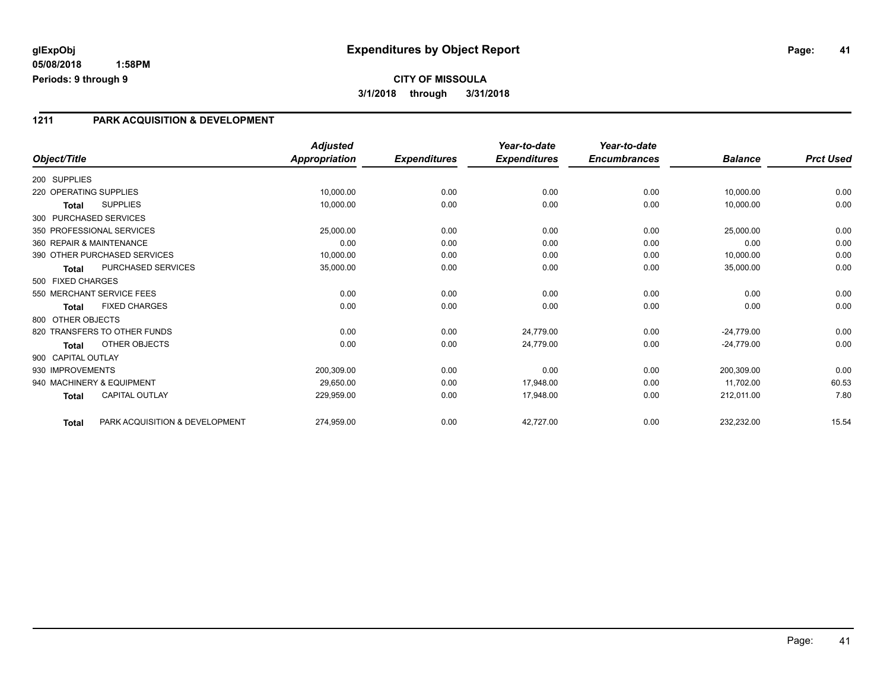#### **1211 PARK ACQUISITION & DEVELOPMENT**

|                           |                                | <b>Adjusted</b> |                     | Year-to-date        | Year-to-date        |                |                  |
|---------------------------|--------------------------------|-----------------|---------------------|---------------------|---------------------|----------------|------------------|
| Object/Title              |                                | Appropriation   | <b>Expenditures</b> | <b>Expenditures</b> | <b>Encumbrances</b> | <b>Balance</b> | <b>Prct Used</b> |
| 200 SUPPLIES              |                                |                 |                     |                     |                     |                |                  |
| 220 OPERATING SUPPLIES    |                                | 10,000.00       | 0.00                | 0.00                | 0.00                | 10,000.00      | 0.00             |
| <b>Total</b>              | <b>SUPPLIES</b>                | 10,000.00       | 0.00                | 0.00                | 0.00                | 10,000.00      | 0.00             |
| 300 PURCHASED SERVICES    |                                |                 |                     |                     |                     |                |                  |
| 350 PROFESSIONAL SERVICES |                                | 25,000.00       | 0.00                | 0.00                | 0.00                | 25,000.00      | 0.00             |
| 360 REPAIR & MAINTENANCE  |                                | 0.00            | 0.00                | 0.00                | 0.00                | 0.00           | 0.00             |
|                           | 390 OTHER PURCHASED SERVICES   | 10,000.00       | 0.00                | 0.00                | 0.00                | 10,000.00      | 0.00             |
| <b>Total</b>              | PURCHASED SERVICES             | 35,000.00       | 0.00                | 0.00                | 0.00                | 35,000.00      | 0.00             |
| 500 FIXED CHARGES         |                                |                 |                     |                     |                     |                |                  |
|                           | 550 MERCHANT SERVICE FEES      | 0.00            | 0.00                | 0.00                | 0.00                | 0.00           | 0.00             |
| <b>Total</b>              | <b>FIXED CHARGES</b>           | 0.00            | 0.00                | 0.00                | 0.00                | 0.00           | 0.00             |
| 800 OTHER OBJECTS         |                                |                 |                     |                     |                     |                |                  |
|                           | 820 TRANSFERS TO OTHER FUNDS   | 0.00            | 0.00                | 24,779.00           | 0.00                | $-24,779.00$   | 0.00             |
| <b>Total</b>              | OTHER OBJECTS                  | 0.00            | 0.00                | 24,779.00           | 0.00                | $-24,779.00$   | 0.00             |
| 900 CAPITAL OUTLAY        |                                |                 |                     |                     |                     |                |                  |
| 930 IMPROVEMENTS          |                                | 200,309.00      | 0.00                | 0.00                | 0.00                | 200,309.00     | 0.00             |
| 940 MACHINERY & EQUIPMENT |                                | 29,650.00       | 0.00                | 17,948.00           | 0.00                | 11,702.00      | 60.53            |
| <b>Total</b>              | <b>CAPITAL OUTLAY</b>          | 229,959.00      | 0.00                | 17,948.00           | 0.00                | 212,011.00     | 7.80             |
| <b>Total</b>              | PARK ACQUISITION & DEVELOPMENT | 274,959.00      | 0.00                | 42,727.00           | 0.00                | 232,232.00     | 15.54            |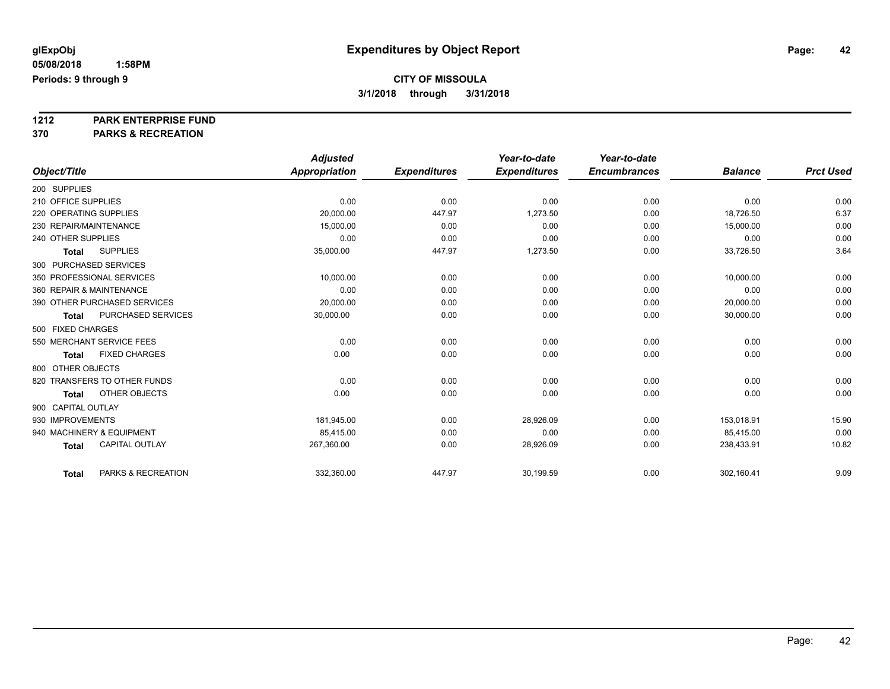**1212 PARK ENTERPRISE FUND**

**370 PARKS & RECREATION**

|                          |                              | <b>Adjusted</b> |                     | Year-to-date        | Year-to-date        |                |                  |
|--------------------------|------------------------------|-----------------|---------------------|---------------------|---------------------|----------------|------------------|
| Object/Title             |                              | Appropriation   | <b>Expenditures</b> | <b>Expenditures</b> | <b>Encumbrances</b> | <b>Balance</b> | <b>Prct Used</b> |
| 200 SUPPLIES             |                              |                 |                     |                     |                     |                |                  |
| 210 OFFICE SUPPLIES      |                              | 0.00            | 0.00                | 0.00                | 0.00                | 0.00           | 0.00             |
| 220 OPERATING SUPPLIES   |                              | 20,000.00       | 447.97              | 1,273.50            | 0.00                | 18,726.50      | 6.37             |
| 230 REPAIR/MAINTENANCE   |                              | 15,000.00       | 0.00                | 0.00                | 0.00                | 15,000.00      | 0.00             |
| 240 OTHER SUPPLIES       |                              | 0.00            | 0.00                | 0.00                | 0.00                | 0.00           | 0.00             |
| <b>Total</b>             | <b>SUPPLIES</b>              | 35,000.00       | 447.97              | 1,273.50            | 0.00                | 33,726.50      | 3.64             |
| 300 PURCHASED SERVICES   |                              |                 |                     |                     |                     |                |                  |
|                          | 350 PROFESSIONAL SERVICES    | 10.000.00       | 0.00                | 0.00                | 0.00                | 10,000.00      | 0.00             |
| 360 REPAIR & MAINTENANCE |                              | 0.00            | 0.00                | 0.00                | 0.00                | 0.00           | 0.00             |
|                          | 390 OTHER PURCHASED SERVICES | 20,000.00       | 0.00                | 0.00                | 0.00                | 20,000.00      | 0.00             |
| <b>Total</b>             | PURCHASED SERVICES           | 30,000.00       | 0.00                | 0.00                | 0.00                | 30,000.00      | 0.00             |
| 500 FIXED CHARGES        |                              |                 |                     |                     |                     |                |                  |
|                          | 550 MERCHANT SERVICE FEES    | 0.00            | 0.00                | 0.00                | 0.00                | 0.00           | 0.00             |
| <b>Total</b>             | <b>FIXED CHARGES</b>         | 0.00            | 0.00                | 0.00                | 0.00                | 0.00           | 0.00             |
| 800 OTHER OBJECTS        |                              |                 |                     |                     |                     |                |                  |
|                          | 820 TRANSFERS TO OTHER FUNDS | 0.00            | 0.00                | 0.00                | 0.00                | 0.00           | 0.00             |
| <b>Total</b>             | OTHER OBJECTS                | 0.00            | 0.00                | 0.00                | 0.00                | 0.00           | 0.00             |
| 900 CAPITAL OUTLAY       |                              |                 |                     |                     |                     |                |                  |
| 930 IMPROVEMENTS         |                              | 181,945.00      | 0.00                | 28,926.09           | 0.00                | 153,018.91     | 15.90            |
|                          | 940 MACHINERY & EQUIPMENT    | 85.415.00       | 0.00                | 0.00                | 0.00                | 85.415.00      | 0.00             |
| <b>Total</b>             | <b>CAPITAL OUTLAY</b>        | 267,360.00      | 0.00                | 28,926.09           | 0.00                | 238,433.91     | 10.82            |
| <b>Total</b>             | PARKS & RECREATION           | 332,360.00      | 447.97              | 30,199.59           | 0.00                | 302,160.41     | 9.09             |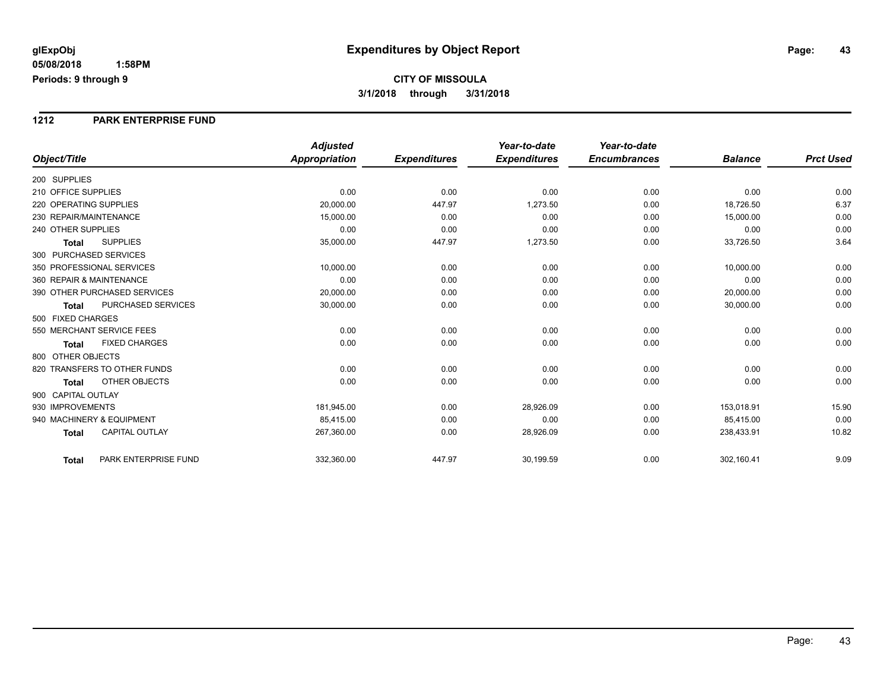#### **1212 PARK ENTERPRISE FUND**

|                           |                              | <b>Adjusted</b>      |                     | Year-to-date        | Year-to-date        |                |                  |
|---------------------------|------------------------------|----------------------|---------------------|---------------------|---------------------|----------------|------------------|
| Object/Title              |                              | <b>Appropriation</b> | <b>Expenditures</b> | <b>Expenditures</b> | <b>Encumbrances</b> | <b>Balance</b> | <b>Prct Used</b> |
| 200 SUPPLIES              |                              |                      |                     |                     |                     |                |                  |
| 210 OFFICE SUPPLIES       |                              | 0.00                 | 0.00                | 0.00                | 0.00                | 0.00           | 0.00             |
| 220 OPERATING SUPPLIES    |                              | 20,000.00            | 447.97              | 1,273.50            | 0.00                | 18,726.50      | 6.37             |
| 230 REPAIR/MAINTENANCE    |                              | 15,000.00            | 0.00                | 0.00                | 0.00                | 15,000.00      | 0.00             |
| 240 OTHER SUPPLIES        |                              | 0.00                 | 0.00                | 0.00                | 0.00                | 0.00           | 0.00             |
| <b>Total</b>              | <b>SUPPLIES</b>              | 35,000.00            | 447.97              | 1,273.50            | 0.00                | 33,726.50      | 3.64             |
| 300 PURCHASED SERVICES    |                              |                      |                     |                     |                     |                |                  |
| 350 PROFESSIONAL SERVICES |                              | 10,000.00            | 0.00                | 0.00                | 0.00                | 10,000.00      | 0.00             |
| 360 REPAIR & MAINTENANCE  |                              | 0.00                 | 0.00                | 0.00                | 0.00                | 0.00           | 0.00             |
|                           | 390 OTHER PURCHASED SERVICES | 20,000.00            | 0.00                | 0.00                | 0.00                | 20,000.00      | 0.00             |
| <b>Total</b>              | <b>PURCHASED SERVICES</b>    | 30,000.00            | 0.00                | 0.00                | 0.00                | 30,000.00      | 0.00             |
| 500 FIXED CHARGES         |                              |                      |                     |                     |                     |                |                  |
| 550 MERCHANT SERVICE FEES |                              | 0.00                 | 0.00                | 0.00                | 0.00                | 0.00           | 0.00             |
| <b>Total</b>              | <b>FIXED CHARGES</b>         | 0.00                 | 0.00                | 0.00                | 0.00                | 0.00           | 0.00             |
| 800 OTHER OBJECTS         |                              |                      |                     |                     |                     |                |                  |
|                           | 820 TRANSFERS TO OTHER FUNDS | 0.00                 | 0.00                | 0.00                | 0.00                | 0.00           | 0.00             |
| <b>Total</b>              | <b>OTHER OBJECTS</b>         | 0.00                 | 0.00                | 0.00                | 0.00                | 0.00           | 0.00             |
| 900 CAPITAL OUTLAY        |                              |                      |                     |                     |                     |                |                  |
| 930 IMPROVEMENTS          |                              | 181,945.00           | 0.00                | 28,926.09           | 0.00                | 153,018.91     | 15.90            |
| 940 MACHINERY & EQUIPMENT |                              | 85,415.00            | 0.00                | 0.00                | 0.00                | 85,415.00      | 0.00             |
| <b>Total</b>              | <b>CAPITAL OUTLAY</b>        | 267,360.00           | 0.00                | 28,926.09           | 0.00                | 238,433.91     | 10.82            |
| Total                     | PARK ENTERPRISE FUND         | 332,360.00           | 447.97              | 30,199.59           | 0.00                | 302,160.41     | 9.09             |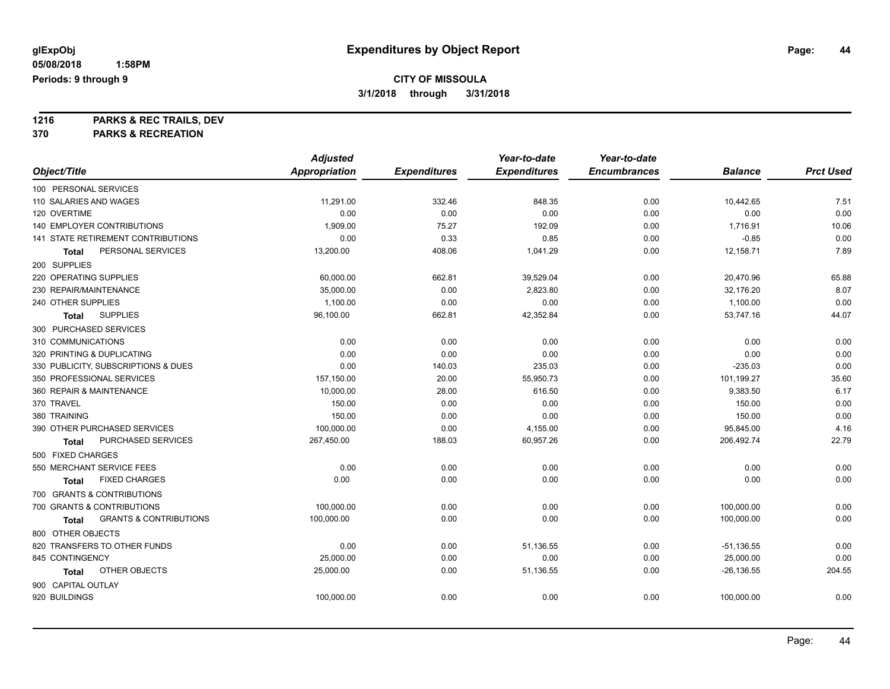**1216 PARKS & REC TRAILS, DEV**

**370 PARKS & RECREATION**

|                                                   | <b>Adjusted</b>      |                     | Year-to-date        | Year-to-date        |                |                  |
|---------------------------------------------------|----------------------|---------------------|---------------------|---------------------|----------------|------------------|
| Object/Title                                      | <b>Appropriation</b> | <b>Expenditures</b> | <b>Expenditures</b> | <b>Encumbrances</b> | <b>Balance</b> | <b>Prct Used</b> |
| 100 PERSONAL SERVICES                             |                      |                     |                     |                     |                |                  |
| 110 SALARIES AND WAGES                            | 11,291.00            | 332.46              | 848.35              | 0.00                | 10,442.65      | 7.51             |
| 120 OVERTIME                                      | 0.00                 | 0.00                | 0.00                | 0.00                | 0.00           | 0.00             |
| 140 EMPLOYER CONTRIBUTIONS                        | 1,909.00             | 75.27               | 192.09              | 0.00                | 1,716.91       | 10.06            |
| 141 STATE RETIREMENT CONTRIBUTIONS                | 0.00                 | 0.33                | 0.85                | 0.00                | $-0.85$        | 0.00             |
| PERSONAL SERVICES<br>Total                        | 13,200.00            | 408.06              | 1,041.29            | 0.00                | 12,158.71      | 7.89             |
| 200 SUPPLIES                                      |                      |                     |                     |                     |                |                  |
| 220 OPERATING SUPPLIES                            | 60,000.00            | 662.81              | 39,529.04           | 0.00                | 20,470.96      | 65.88            |
| 230 REPAIR/MAINTENANCE                            | 35,000.00            | 0.00                | 2,823.80            | 0.00                | 32,176.20      | 8.07             |
| 240 OTHER SUPPLIES                                | 1,100.00             | 0.00                | 0.00                | 0.00                | 1,100.00       | 0.00             |
| <b>SUPPLIES</b><br><b>Total</b>                   | 96,100.00            | 662.81              | 42,352.84           | 0.00                | 53,747.16      | 44.07            |
| 300 PURCHASED SERVICES                            |                      |                     |                     |                     |                |                  |
| 310 COMMUNICATIONS                                | 0.00                 | 0.00                | 0.00                | 0.00                | 0.00           | 0.00             |
| 320 PRINTING & DUPLICATING                        | 0.00                 | 0.00                | 0.00                | 0.00                | 0.00           | 0.00             |
| 330 PUBLICITY, SUBSCRIPTIONS & DUES               | 0.00                 | 140.03              | 235.03              | 0.00                | $-235.03$      | 0.00             |
| 350 PROFESSIONAL SERVICES                         | 157,150.00           | 20.00               | 55,950.73           | 0.00                | 101,199.27     | 35.60            |
| 360 REPAIR & MAINTENANCE                          | 10,000.00            | 28.00               | 616.50              | 0.00                | 9,383.50       | 6.17             |
| 370 TRAVEL                                        | 150.00               | 0.00                | 0.00                | 0.00                | 150.00         | 0.00             |
| 380 TRAINING                                      | 150.00               | 0.00                | 0.00                | 0.00                | 150.00         | 0.00             |
| 390 OTHER PURCHASED SERVICES                      | 100,000.00           | 0.00                | 4,155.00            | 0.00                | 95,845.00      | 4.16             |
| PURCHASED SERVICES<br>Total                       | 267,450.00           | 188.03              | 60,957.26           | 0.00                | 206,492.74     | 22.79            |
| 500 FIXED CHARGES                                 |                      |                     |                     |                     |                |                  |
| 550 MERCHANT SERVICE FEES                         | 0.00                 | 0.00                | 0.00                | 0.00                | 0.00           | 0.00             |
| <b>FIXED CHARGES</b><br>Total                     | 0.00                 | 0.00                | 0.00                | 0.00                | 0.00           | 0.00             |
| 700 GRANTS & CONTRIBUTIONS                        |                      |                     |                     |                     |                |                  |
| 700 GRANTS & CONTRIBUTIONS                        | 100,000.00           | 0.00                | 0.00                | 0.00                | 100,000.00     | 0.00             |
| <b>GRANTS &amp; CONTRIBUTIONS</b><br><b>Total</b> | 100,000.00           | 0.00                | 0.00                | 0.00                | 100,000.00     | 0.00             |
| 800 OTHER OBJECTS                                 |                      |                     |                     |                     |                |                  |
| 820 TRANSFERS TO OTHER FUNDS                      | 0.00                 | 0.00                | 51,136.55           | 0.00                | $-51,136.55$   | 0.00             |
| 845 CONTINGENCY                                   | 25,000.00            | 0.00                | 0.00                | 0.00                | 25,000.00      | 0.00             |
| OTHER OBJECTS<br>Total                            | 25,000.00            | 0.00                | 51,136.55           | 0.00                | $-26, 136.55$  | 204.55           |
| 900 CAPITAL OUTLAY                                |                      |                     |                     |                     |                |                  |
| 920 BUILDINGS                                     | 100,000.00           | 0.00                | 0.00                | 0.00                | 100,000.00     | 0.00             |
|                                                   |                      |                     |                     |                     |                |                  |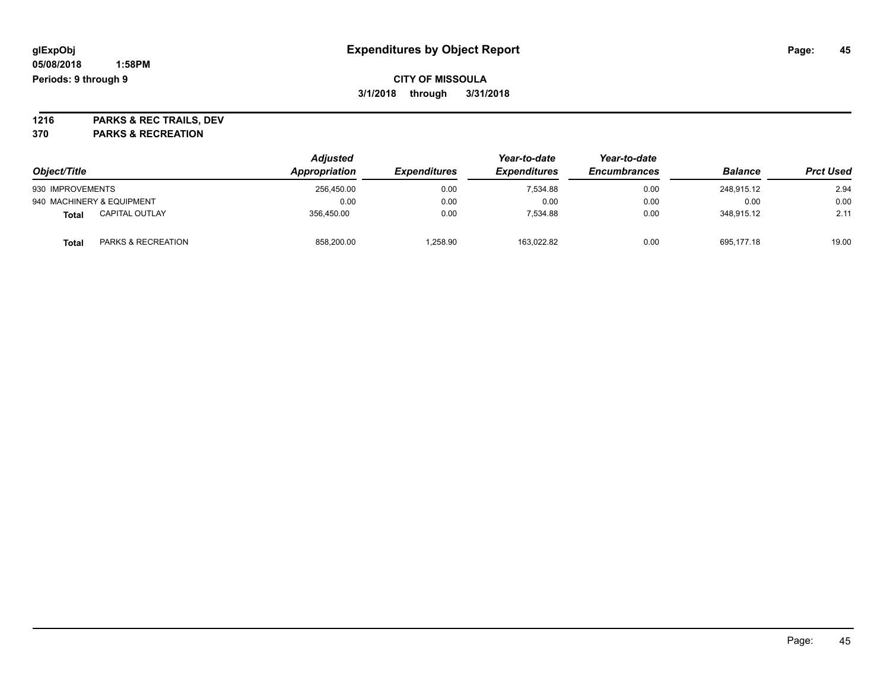**1216 PARKS & REC TRAILS, DEV 370 PARKS & RECREATION**

| Object/Title     |                               | <b>Adjusted</b><br>Appropriation | <b>Expenditures</b> | Year-to-date<br><b>Expenditures</b> | Year-to-date<br><b>Encumbrances</b> | <b>Balance</b> | <b>Prct Used</b> |
|------------------|-------------------------------|----------------------------------|---------------------|-------------------------------------|-------------------------------------|----------------|------------------|
| 930 IMPROVEMENTS |                               | 256.450.00                       | 0.00                | 7.534.88                            | 0.00                                | 248.915.12     | 2.94             |
|                  | 940 MACHINERY & EQUIPMENT     | 0.00                             | 0.00                | 0.00                                | 0.00                                | 0.00           | 0.00             |
| <b>Total</b>     | <b>CAPITAL OUTLAY</b>         | 356.450.00                       | 0.00                | 7.534.88                            | 0.00                                | 348.915.12     | 2.11             |
| <b>Total</b>     | <b>PARKS &amp; RECREATION</b> | 858,200.00                       | 1,258.90            | 163,022.82                          | 0.00                                | 695.177.18     | 19.00            |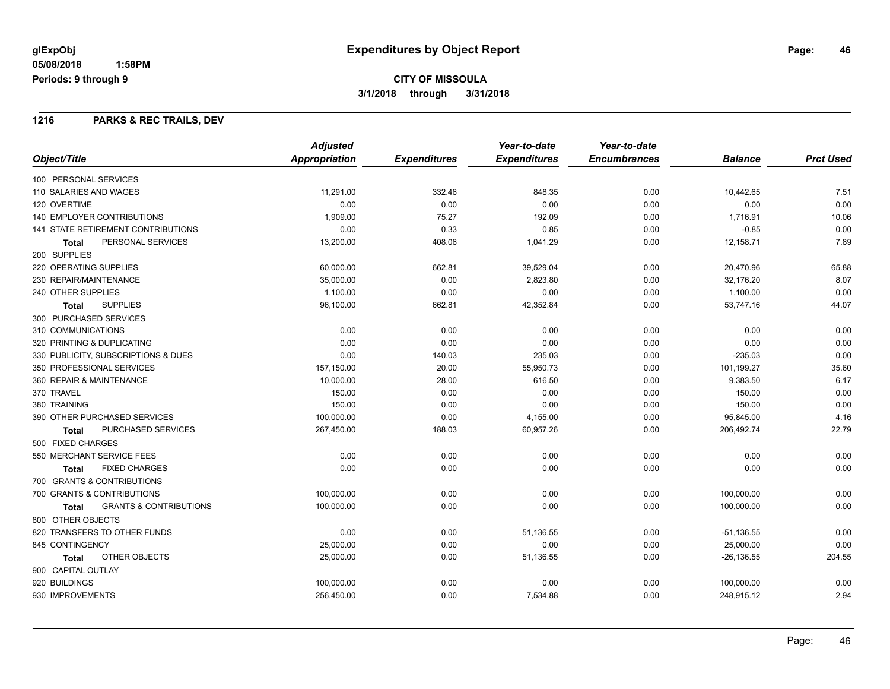### **1216 PARKS & REC TRAILS, DEV**

|                                                   | <b>Adjusted</b> |                     | Year-to-date        | Year-to-date        |                |                  |
|---------------------------------------------------|-----------------|---------------------|---------------------|---------------------|----------------|------------------|
| Object/Title                                      | Appropriation   | <b>Expenditures</b> | <b>Expenditures</b> | <b>Encumbrances</b> | <b>Balance</b> | <b>Prct Used</b> |
| 100 PERSONAL SERVICES                             |                 |                     |                     |                     |                |                  |
| 110 SALARIES AND WAGES                            | 11,291.00       | 332.46              | 848.35              | 0.00                | 10,442.65      | 7.51             |
| 120 OVERTIME                                      | 0.00            | 0.00                | 0.00                | 0.00                | 0.00           | 0.00             |
| <b>140 EMPLOYER CONTRIBUTIONS</b>                 | 1,909.00        | 75.27               | 192.09              | 0.00                | 1,716.91       | 10.06            |
| 141 STATE RETIREMENT CONTRIBUTIONS                | 0.00            | 0.33                | 0.85                | 0.00                | $-0.85$        | 0.00             |
| PERSONAL SERVICES<br>Total                        | 13,200.00       | 408.06              | 1,041.29            | 0.00                | 12,158.71      | 7.89             |
| 200 SUPPLIES                                      |                 |                     |                     |                     |                |                  |
| 220 OPERATING SUPPLIES                            | 60,000.00       | 662.81              | 39,529.04           | 0.00                | 20,470.96      | 65.88            |
| 230 REPAIR/MAINTENANCE                            | 35,000.00       | 0.00                | 2,823.80            | 0.00                | 32,176.20      | 8.07             |
| 240 OTHER SUPPLIES                                | 1,100.00        | 0.00                | 0.00                | 0.00                | 1,100.00       | 0.00             |
| <b>SUPPLIES</b><br>Total                          | 96,100.00       | 662.81              | 42,352.84           | 0.00                | 53,747.16      | 44.07            |
| 300 PURCHASED SERVICES                            |                 |                     |                     |                     |                |                  |
| 310 COMMUNICATIONS                                | 0.00            | 0.00                | 0.00                | 0.00                | 0.00           | 0.00             |
| 320 PRINTING & DUPLICATING                        | 0.00            | 0.00                | 0.00                | 0.00                | 0.00           | 0.00             |
| 330 PUBLICITY, SUBSCRIPTIONS & DUES               | 0.00            | 140.03              | 235.03              | 0.00                | $-235.03$      | 0.00             |
| 350 PROFESSIONAL SERVICES                         | 157,150.00      | 20.00               | 55,950.73           | 0.00                | 101,199.27     | 35.60            |
| 360 REPAIR & MAINTENANCE                          | 10,000.00       | 28.00               | 616.50              | 0.00                | 9,383.50       | 6.17             |
| 370 TRAVEL                                        | 150.00          | 0.00                | 0.00                | 0.00                | 150.00         | 0.00             |
| 380 TRAINING                                      | 150.00          | 0.00                | 0.00                | 0.00                | 150.00         | 0.00             |
| 390 OTHER PURCHASED SERVICES                      | 100,000.00      | 0.00                | 4,155.00            | 0.00                | 95,845.00      | 4.16             |
| PURCHASED SERVICES<br>Total                       | 267,450.00      | 188.03              | 60,957.26           | 0.00                | 206,492.74     | 22.79            |
| 500 FIXED CHARGES                                 |                 |                     |                     |                     |                |                  |
| 550 MERCHANT SERVICE FEES                         | 0.00            | 0.00                | 0.00                | 0.00                | 0.00           | 0.00             |
| <b>FIXED CHARGES</b><br><b>Total</b>              | 0.00            | 0.00                | 0.00                | 0.00                | 0.00           | 0.00             |
| 700 GRANTS & CONTRIBUTIONS                        |                 |                     |                     |                     |                |                  |
| 700 GRANTS & CONTRIBUTIONS                        | 100,000.00      | 0.00                | 0.00                | 0.00                | 100,000.00     | 0.00             |
| <b>GRANTS &amp; CONTRIBUTIONS</b><br><b>Total</b> | 100,000.00      | 0.00                | 0.00                | 0.00                | 100,000.00     | 0.00             |
| 800 OTHER OBJECTS                                 |                 |                     |                     |                     |                |                  |
| 820 TRANSFERS TO OTHER FUNDS                      | 0.00            | 0.00                | 51,136.55           | 0.00                | $-51,136.55$   | 0.00             |
| 845 CONTINGENCY                                   | 25,000.00       | 0.00                | 0.00                | 0.00                | 25,000.00      | 0.00             |
| OTHER OBJECTS<br>Total                            | 25,000.00       | 0.00                | 51,136.55           | 0.00                | $-26, 136.55$  | 204.55           |
| 900 CAPITAL OUTLAY                                |                 |                     |                     |                     |                |                  |
| 920 BUILDINGS                                     | 100,000.00      | 0.00                | 0.00                | 0.00                | 100,000.00     | 0.00             |
| 930 IMPROVEMENTS                                  | 256,450.00      | 0.00                | 7,534.88            | 0.00                | 248,915.12     | 2.94             |
|                                                   |                 |                     |                     |                     |                |                  |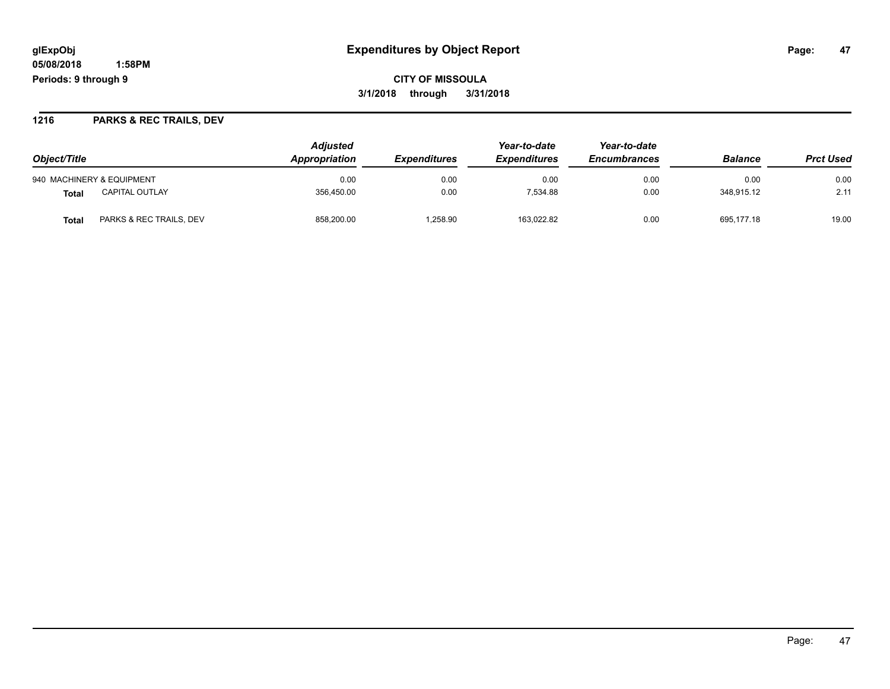#### **05/08/2018 1:58PM Periods: 9 through 9**

**CITY OF MISSOULA 3/1/2018 through 3/31/2018**

### **1216 PARKS & REC TRAILS, DEV**

| Object/Title              |                         | <b>Adjusted</b><br>Appropriation |                     | Year-to-date<br><i><b>Expenditures</b></i> | Year-to-date<br><b>Encumbrances</b> | <b>Balance</b> | <b>Prct Used</b> |
|---------------------------|-------------------------|----------------------------------|---------------------|--------------------------------------------|-------------------------------------|----------------|------------------|
|                           |                         |                                  | <b>Expenditures</b> |                                            |                                     |                |                  |
| 940 MACHINERY & EQUIPMENT |                         | 0.00                             | 0.00                | 0.00                                       | 0.00                                | 0.00           | 0.00             |
| Total                     | <b>CAPITAL OUTLAY</b>   | 356,450.00                       | 0.00                | 7.534.88                                   | 0.00                                | 348.915.12     | 2.11             |
| <b>Total</b>              | PARKS & REC TRAILS, DEV | 858,200.00                       | 1,258.90            | 163,022.82                                 | 0.00                                | 695,177.18     | 19.00            |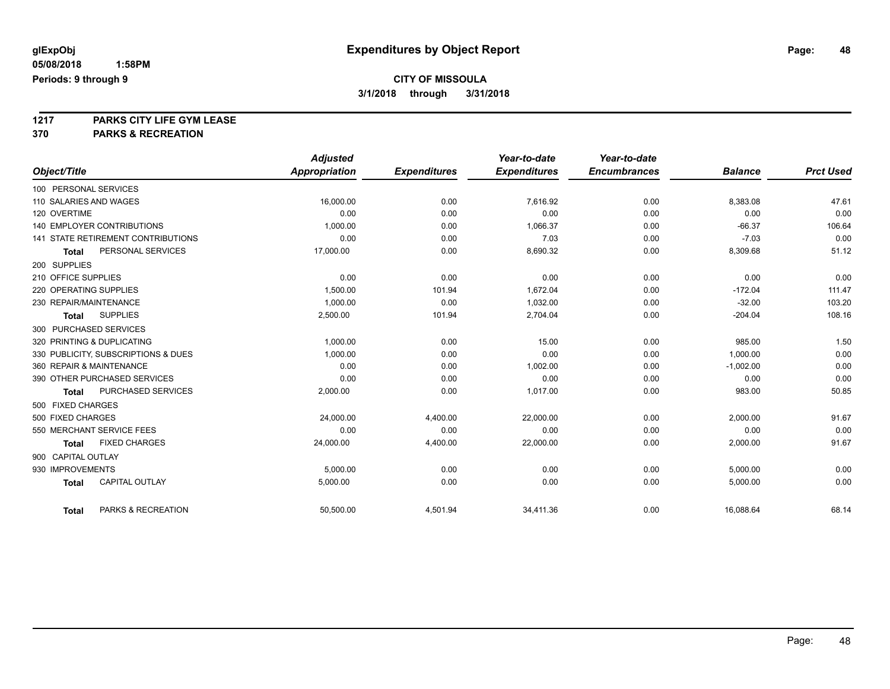# **CITY OF MISSOULA**

**3/1/2018 through 3/31/2018**

**1217 PARKS CITY LIFE GYM LEASE**

**370 PARKS & RECREATION**

|                                           | <b>Adjusted</b>      |                     | Year-to-date        | Year-to-date        |                |                  |
|-------------------------------------------|----------------------|---------------------|---------------------|---------------------|----------------|------------------|
| Object/Title                              | <b>Appropriation</b> | <b>Expenditures</b> | <b>Expenditures</b> | <b>Encumbrances</b> | <b>Balance</b> | <b>Prct Used</b> |
| 100 PERSONAL SERVICES                     |                      |                     |                     |                     |                |                  |
| 110 SALARIES AND WAGES                    | 16,000.00            | 0.00                | 7,616.92            | 0.00                | 8,383.08       | 47.61            |
| 120 OVERTIME                              | 0.00                 | 0.00                | 0.00                | 0.00                | 0.00           | 0.00             |
| <b>140 EMPLOYER CONTRIBUTIONS</b>         | 1,000.00             | 0.00                | 1,066.37            | 0.00                | $-66.37$       | 106.64           |
| <b>141 STATE RETIREMENT CONTRIBUTIONS</b> | 0.00                 | 0.00                | 7.03                | 0.00                | $-7.03$        | 0.00             |
| PERSONAL SERVICES<br><b>Total</b>         | 17,000.00            | 0.00                | 8,690.32            | 0.00                | 8,309.68       | 51.12            |
| 200 SUPPLIES                              |                      |                     |                     |                     |                |                  |
| 210 OFFICE SUPPLIES                       | 0.00                 | 0.00                | 0.00                | 0.00                | 0.00           | 0.00             |
| 220 OPERATING SUPPLIES                    | 1,500.00             | 101.94              | 1,672.04            | 0.00                | $-172.04$      | 111.47           |
| 230 REPAIR/MAINTENANCE                    | 1,000.00             | 0.00                | 1,032.00            | 0.00                | $-32.00$       | 103.20           |
| <b>SUPPLIES</b><br><b>Total</b>           | 2,500.00             | 101.94              | 2,704.04            | 0.00                | $-204.04$      | 108.16           |
| 300 PURCHASED SERVICES                    |                      |                     |                     |                     |                |                  |
| 320 PRINTING & DUPLICATING                | 1,000.00             | 0.00                | 15.00               | 0.00                | 985.00         | 1.50             |
| 330 PUBLICITY, SUBSCRIPTIONS & DUES       | 1.000.00             | 0.00                | 0.00                | 0.00                | 1.000.00       | 0.00             |
| 360 REPAIR & MAINTENANCE                  | 0.00                 | 0.00                | 1,002.00            | 0.00                | $-1,002.00$    | 0.00             |
| 390 OTHER PURCHASED SERVICES              | 0.00                 | 0.00                | 0.00                | 0.00                | 0.00           | 0.00             |
| PURCHASED SERVICES<br><b>Total</b>        | 2,000.00             | 0.00                | 1,017.00            | 0.00                | 983.00         | 50.85            |
| 500 FIXED CHARGES                         |                      |                     |                     |                     |                |                  |
| 500 FIXED CHARGES                         | 24,000.00            | 4,400.00            | 22.000.00           | 0.00                | 2,000.00       | 91.67            |
| 550 MERCHANT SERVICE FEES                 | 0.00                 | 0.00                | 0.00                | 0.00                | 0.00           | 0.00             |
| <b>FIXED CHARGES</b><br><b>Total</b>      | 24,000.00            | 4,400.00            | 22,000.00           | 0.00                | 2,000.00       | 91.67            |
| 900 CAPITAL OUTLAY                        |                      |                     |                     |                     |                |                  |
| 930 IMPROVEMENTS                          | 5,000.00             | 0.00                | 0.00                | 0.00                | 5,000.00       | 0.00             |
| <b>CAPITAL OUTLAY</b><br><b>Total</b>     | 5,000.00             | 0.00                | 0.00                | 0.00                | 5,000.00       | 0.00             |
| PARKS & RECREATION<br><b>Total</b>        | 50,500.00            | 4,501.94            | 34,411.36           | 0.00                | 16,088.64      | 68.14            |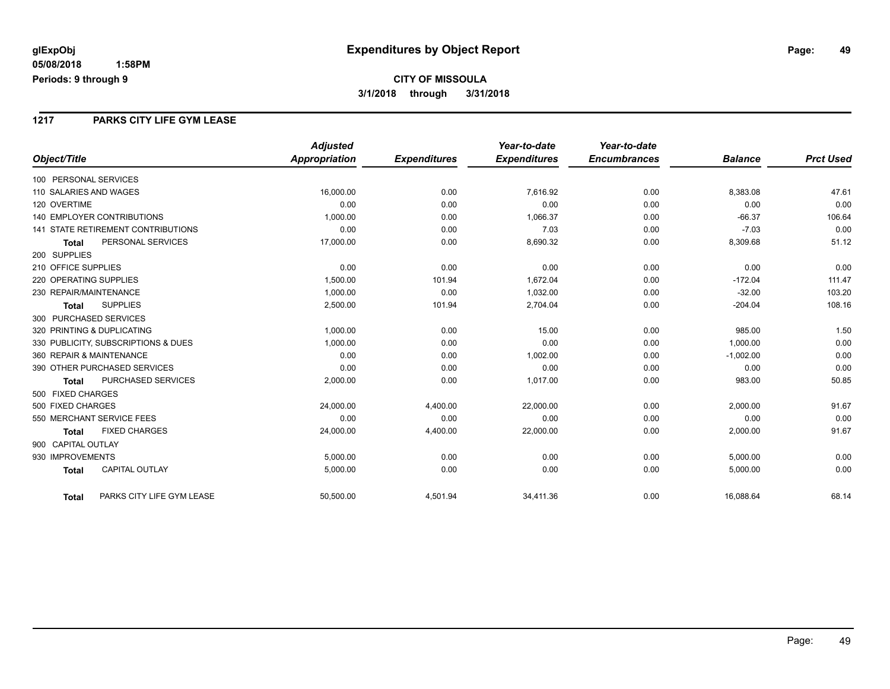#### **1217 PARKS CITY LIFE GYM LEASE**

|                            |                                           | <b>Adjusted</b>      |                     | Year-to-date        | Year-to-date        |                |                  |
|----------------------------|-------------------------------------------|----------------------|---------------------|---------------------|---------------------|----------------|------------------|
| Object/Title               |                                           | <b>Appropriation</b> | <b>Expenditures</b> | <b>Expenditures</b> | <b>Encumbrances</b> | <b>Balance</b> | <b>Prct Used</b> |
| 100 PERSONAL SERVICES      |                                           |                      |                     |                     |                     |                |                  |
| 110 SALARIES AND WAGES     |                                           | 16,000.00            | 0.00                | 7.616.92            | 0.00                | 8,383.08       | 47.61            |
| 120 OVERTIME               |                                           | 0.00                 | 0.00                | 0.00                | 0.00                | 0.00           | 0.00             |
|                            | <b>140 EMPLOYER CONTRIBUTIONS</b>         | 1,000.00             | 0.00                | 1,066.37            | 0.00                | $-66.37$       | 106.64           |
|                            | <b>141 STATE RETIREMENT CONTRIBUTIONS</b> | 0.00                 | 0.00                | 7.03                | 0.00                | $-7.03$        | 0.00             |
| Total                      | PERSONAL SERVICES                         | 17,000.00            | 0.00                | 8,690.32            | 0.00                | 8,309.68       | 51.12            |
| 200 SUPPLIES               |                                           |                      |                     |                     |                     |                |                  |
| 210 OFFICE SUPPLIES        |                                           | 0.00                 | 0.00                | 0.00                | 0.00                | 0.00           | 0.00             |
| 220 OPERATING SUPPLIES     |                                           | 1,500.00             | 101.94              | 1,672.04            | 0.00                | $-172.04$      | 111.47           |
| 230 REPAIR/MAINTENANCE     |                                           | 1,000.00             | 0.00                | 1,032.00            | 0.00                | $-32.00$       | 103.20           |
| Total                      | <b>SUPPLIES</b>                           | 2,500.00             | 101.94              | 2,704.04            | 0.00                | $-204.04$      | 108.16           |
| 300 PURCHASED SERVICES     |                                           |                      |                     |                     |                     |                |                  |
| 320 PRINTING & DUPLICATING |                                           | 1,000.00             | 0.00                | 15.00               | 0.00                | 985.00         | 1.50             |
|                            | 330 PUBLICITY, SUBSCRIPTIONS & DUES       | 1,000.00             | 0.00                | 0.00                | 0.00                | 1.000.00       | 0.00             |
| 360 REPAIR & MAINTENANCE   |                                           | 0.00                 | 0.00                | 1,002.00            | 0.00                | $-1,002.00$    | 0.00             |
|                            | 390 OTHER PURCHASED SERVICES              | 0.00                 | 0.00                | 0.00                | 0.00                | 0.00           | 0.00             |
| <b>Total</b>               | PURCHASED SERVICES                        | 2,000.00             | 0.00                | 1,017.00            | 0.00                | 983.00         | 50.85            |
| 500 FIXED CHARGES          |                                           |                      |                     |                     |                     |                |                  |
| 500 FIXED CHARGES          |                                           | 24,000.00            | 4,400.00            | 22,000.00           | 0.00                | 2,000.00       | 91.67            |
| 550 MERCHANT SERVICE FEES  |                                           | 0.00                 | 0.00                | 0.00                | 0.00                | 0.00           | 0.00             |
| <b>Total</b>               | <b>FIXED CHARGES</b>                      | 24,000.00            | 4,400.00            | 22,000.00           | 0.00                | 2,000.00       | 91.67            |
| 900 CAPITAL OUTLAY         |                                           |                      |                     |                     |                     |                |                  |
| 930 IMPROVEMENTS           |                                           | 5,000.00             | 0.00                | 0.00                | 0.00                | 5,000.00       | 0.00             |
| <b>Total</b>               | <b>CAPITAL OUTLAY</b>                     | 5,000.00             | 0.00                | 0.00                | 0.00                | 5,000.00       | 0.00             |
| <b>Total</b>               | PARKS CITY LIFE GYM LEASE                 | 50,500.00            | 4,501.94            | 34,411.36           | 0.00                | 16,088.64      | 68.14            |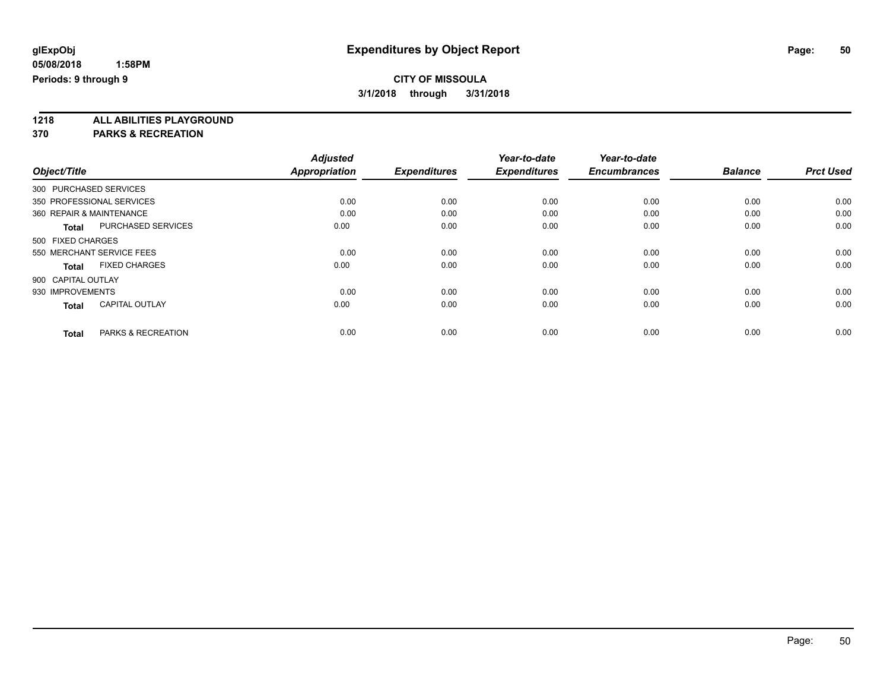**1218 ALL ABILITIES PLAYGROUND**

**370 PARKS & RECREATION**

|                          |                               | <b>Adjusted</b>      |                     | Year-to-date        | Year-to-date        |                |                  |
|--------------------------|-------------------------------|----------------------|---------------------|---------------------|---------------------|----------------|------------------|
| Object/Title             |                               | <b>Appropriation</b> | <b>Expenditures</b> | <b>Expenditures</b> | <b>Encumbrances</b> | <b>Balance</b> | <b>Prct Used</b> |
| 300 PURCHASED SERVICES   |                               |                      |                     |                     |                     |                |                  |
|                          | 350 PROFESSIONAL SERVICES     | 0.00                 | 0.00                | 0.00                | 0.00                | 0.00           | 0.00             |
| 360 REPAIR & MAINTENANCE |                               | 0.00                 | 0.00                | 0.00                | 0.00                | 0.00           | 0.00             |
| <b>Total</b>             | <b>PURCHASED SERVICES</b>     | 0.00                 | 0.00                | 0.00                | 0.00                | 0.00           | 0.00             |
| 500 FIXED CHARGES        |                               |                      |                     |                     |                     |                |                  |
|                          | 550 MERCHANT SERVICE FEES     | 0.00                 | 0.00                | 0.00                | 0.00                | 0.00           | 0.00             |
| <b>Total</b>             | <b>FIXED CHARGES</b>          | 0.00                 | 0.00                | 0.00                | 0.00                | 0.00           | 0.00             |
| 900 CAPITAL OUTLAY       |                               |                      |                     |                     |                     |                |                  |
| 930 IMPROVEMENTS         |                               | 0.00                 | 0.00                | 0.00                | 0.00                | 0.00           | 0.00             |
| <b>Total</b>             | <b>CAPITAL OUTLAY</b>         | 0.00                 | 0.00                | 0.00                | 0.00                | 0.00           | 0.00             |
|                          |                               |                      |                     |                     |                     |                |                  |
| <b>Total</b>             | <b>PARKS &amp; RECREATION</b> | 0.00                 | 0.00                | 0.00                | 0.00                | 0.00           | 0.00             |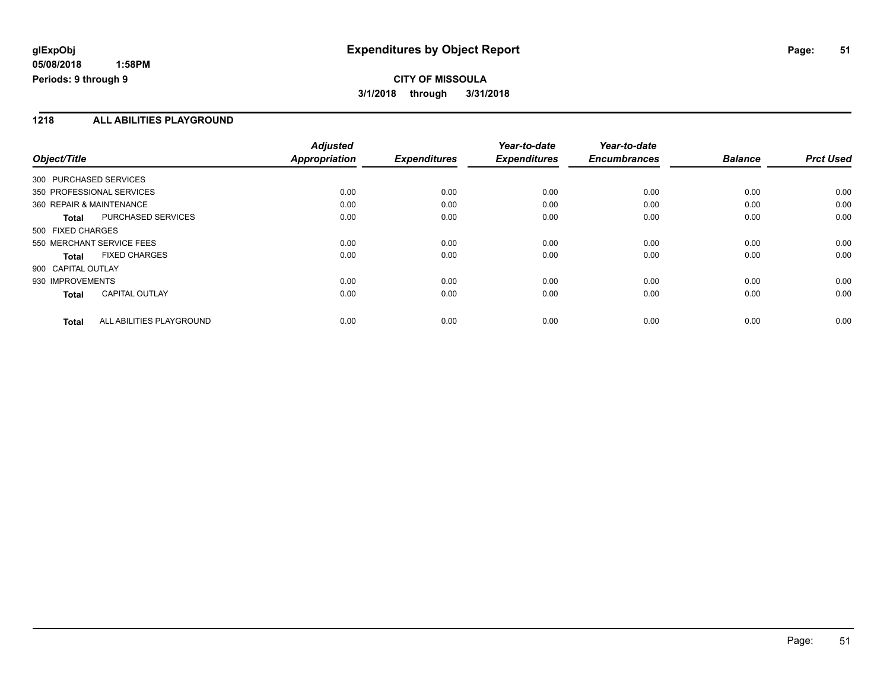#### **05/08/2018 1:58PM Periods: 9 through 9**

**CITY OF MISSOULA 3/1/2018 through 3/31/2018**

#### **1218 ALL ABILITIES PLAYGROUND**

|                                          | <b>Adjusted</b> |                     | Year-to-date        | Year-to-date        |                |                  |
|------------------------------------------|-----------------|---------------------|---------------------|---------------------|----------------|------------------|
| Object/Title                             | Appropriation   | <b>Expenditures</b> | <b>Expenditures</b> | <b>Encumbrances</b> | <b>Balance</b> | <b>Prct Used</b> |
| 300 PURCHASED SERVICES                   |                 |                     |                     |                     |                |                  |
| 350 PROFESSIONAL SERVICES                | 0.00            | 0.00                | 0.00                | 0.00                | 0.00           | 0.00             |
| 360 REPAIR & MAINTENANCE                 | 0.00            | 0.00                | 0.00                | 0.00                | 0.00           | 0.00             |
| PURCHASED SERVICES<br><b>Total</b>       | 0.00            | 0.00                | 0.00                | 0.00                | 0.00           | 0.00             |
| 500 FIXED CHARGES                        |                 |                     |                     |                     |                |                  |
| 550 MERCHANT SERVICE FEES                | 0.00            | 0.00                | 0.00                | 0.00                | 0.00           | 0.00             |
| <b>FIXED CHARGES</b><br><b>Total</b>     | 0.00            | 0.00                | 0.00                | 0.00                | 0.00           | 0.00             |
| 900 CAPITAL OUTLAY                       |                 |                     |                     |                     |                |                  |
| 930 IMPROVEMENTS                         | 0.00            | 0.00                | 0.00                | 0.00                | 0.00           | 0.00             |
| <b>CAPITAL OUTLAY</b><br><b>Total</b>    | 0.00            | 0.00                | 0.00                | 0.00                | 0.00           | 0.00             |
| ALL ABILITIES PLAYGROUND<br><b>Total</b> | 0.00            | 0.00                | 0.00                | 0.00                | 0.00           | 0.00             |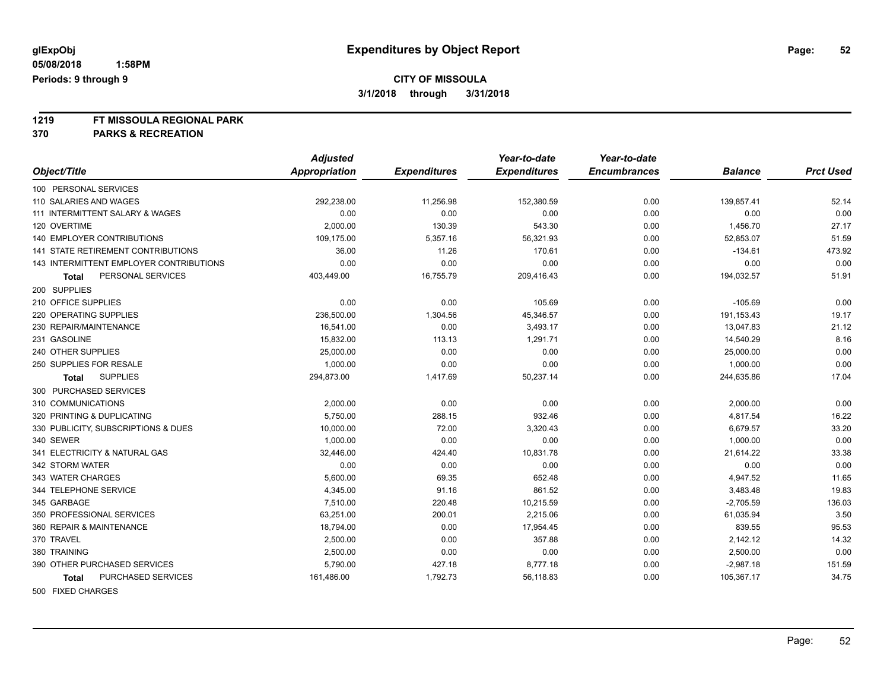**1219 FT MISSOULA REGIONAL PARK**

**370 PARKS & RECREATION**

|                                         | <b>Adjusted</b>      |                     | Year-to-date        | Year-to-date        |                |                  |
|-----------------------------------------|----------------------|---------------------|---------------------|---------------------|----------------|------------------|
| Object/Title                            | <b>Appropriation</b> | <b>Expenditures</b> | <b>Expenditures</b> | <b>Encumbrances</b> | <b>Balance</b> | <b>Prct Used</b> |
| 100 PERSONAL SERVICES                   |                      |                     |                     |                     |                |                  |
| 110 SALARIES AND WAGES                  | 292,238.00           | 11,256.98           | 152,380.59          | 0.00                | 139,857.41     | 52.14            |
| 111 INTERMITTENT SALARY & WAGES         | 0.00                 | 0.00                | 0.00                | 0.00                | 0.00           | 0.00             |
| 120 OVERTIME                            | 2,000.00             | 130.39              | 543.30              | 0.00                | 1,456.70       | 27.17            |
| <b>140 EMPLOYER CONTRIBUTIONS</b>       | 109,175.00           | 5,357.16            | 56,321.93           | 0.00                | 52,853.07      | 51.59            |
| 141 STATE RETIREMENT CONTRIBUTIONS      | 36.00                | 11.26               | 170.61              | 0.00                | $-134.61$      | 473.92           |
| 143 INTERMITTENT EMPLOYER CONTRIBUTIONS | 0.00                 | 0.00                | 0.00                | 0.00                | 0.00           | 0.00             |
| PERSONAL SERVICES<br><b>Total</b>       | 403,449.00           | 16,755.79           | 209,416.43          | 0.00                | 194,032.57     | 51.91            |
| 200 SUPPLIES                            |                      |                     |                     |                     |                |                  |
| 210 OFFICE SUPPLIES                     | 0.00                 | 0.00                | 105.69              | 0.00                | $-105.69$      | 0.00             |
| 220 OPERATING SUPPLIES                  | 236,500.00           | 1,304.56            | 45,346.57           | 0.00                | 191,153.43     | 19.17            |
| 230 REPAIR/MAINTENANCE                  | 16,541.00            | 0.00                | 3,493.17            | 0.00                | 13,047.83      | 21.12            |
| 231 GASOLINE                            | 15,832.00            | 113.13              | 1,291.71            | 0.00                | 14,540.29      | 8.16             |
| 240 OTHER SUPPLIES                      | 25,000.00            | 0.00                | 0.00                | 0.00                | 25,000.00      | 0.00             |
| 250 SUPPLIES FOR RESALE                 | 1,000.00             | 0.00                | 0.00                | 0.00                | 1,000.00       | 0.00             |
| <b>SUPPLIES</b><br><b>Total</b>         | 294,873.00           | 1,417.69            | 50,237.14           | 0.00                | 244,635.86     | 17.04            |
| 300 PURCHASED SERVICES                  |                      |                     |                     |                     |                |                  |
| 310 COMMUNICATIONS                      | 2,000.00             | 0.00                | 0.00                | 0.00                | 2,000.00       | 0.00             |
| 320 PRINTING & DUPLICATING              | 5,750.00             | 288.15              | 932.46              | 0.00                | 4,817.54       | 16.22            |
| 330 PUBLICITY, SUBSCRIPTIONS & DUES     | 10,000.00            | 72.00               | 3,320.43            | 0.00                | 6,679.57       | 33.20            |
| 340 SEWER                               | 1,000.00             | 0.00                | 0.00                | 0.00                | 1,000.00       | 0.00             |
| 341 ELECTRICITY & NATURAL GAS           | 32,446.00            | 424.40              | 10,831.78           | 0.00                | 21,614.22      | 33.38            |
| 342 STORM WATER                         | 0.00                 | 0.00                | 0.00                | 0.00                | 0.00           | 0.00             |
| 343 WATER CHARGES                       | 5,600.00             | 69.35               | 652.48              | 0.00                | 4,947.52       | 11.65            |
| 344 TELEPHONE SERVICE                   | 4,345.00             | 91.16               | 861.52              | 0.00                | 3,483.48       | 19.83            |
| 345 GARBAGE                             | 7,510.00             | 220.48              | 10,215.59           | 0.00                | $-2,705.59$    | 136.03           |
| 350 PROFESSIONAL SERVICES               | 63,251.00            | 200.01              | 2,215.06            | 0.00                | 61,035.94      | 3.50             |
| 360 REPAIR & MAINTENANCE                | 18,794.00            | 0.00                | 17,954.45           | 0.00                | 839.55         | 95.53            |
| 370 TRAVEL                              | 2,500.00             | 0.00                | 357.88              | 0.00                | 2,142.12       | 14.32            |
| 380 TRAINING                            | 2,500.00             | 0.00                | 0.00                | 0.00                | 2,500.00       | 0.00             |
| 390 OTHER PURCHASED SERVICES            | 5,790.00             | 427.18              | 8,777.18            | 0.00                | $-2,987.18$    | 151.59           |
| PURCHASED SERVICES<br><b>Total</b>      | 161,486.00           | 1,792.73            | 56,118.83           | 0.00                | 105,367.17     | 34.75            |

500 FIXED CHARGES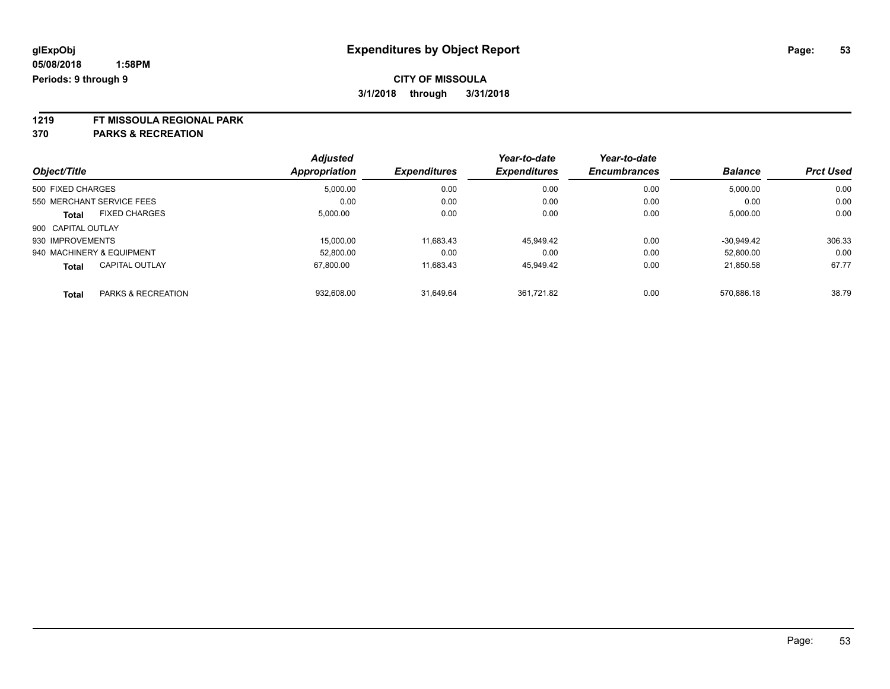# **CITY OF MISSOULA**

**3/1/2018 through 3/31/2018**

**1219 FT MISSOULA REGIONAL PARK**

**370 PARKS & RECREATION**

|                           |                               | <b>Adjusted</b> |                     | Year-to-date        | Year-to-date        |                |                  |
|---------------------------|-------------------------------|-----------------|---------------------|---------------------|---------------------|----------------|------------------|
| Object/Title              |                               | Appropriation   | <b>Expenditures</b> | <b>Expenditures</b> | <b>Encumbrances</b> | <b>Balance</b> | <b>Prct Used</b> |
| 500 FIXED CHARGES         |                               | 5,000.00        | 0.00                | 0.00                | 0.00                | 5,000.00       | 0.00             |
|                           | 550 MERCHANT SERVICE FEES     | 0.00            | 0.00                | 0.00                | 0.00                | 0.00           | 0.00             |
| <b>Total</b>              | <b>FIXED CHARGES</b>          | 5.000.00        | 0.00                | 0.00                | 0.00                | 5,000.00       | 0.00             |
| 900 CAPITAL OUTLAY        |                               |                 |                     |                     |                     |                |                  |
| 930 IMPROVEMENTS          |                               | 15,000.00       | 11,683.43           | 45.949.42           | 0.00                | $-30.949.42$   | 306.33           |
| 940 MACHINERY & EQUIPMENT |                               | 52,800.00       | 0.00                | 0.00                | 0.00                | 52.800.00      | 0.00             |
| <b>Total</b>              | <b>CAPITAL OUTLAY</b>         | 67.800.00       | 11.683.43           | 45.949.42           | 0.00                | 21.850.58      | 67.77            |
| <b>Total</b>              | <b>PARKS &amp; RECREATION</b> | 932.608.00      | 31.649.64           | 361.721.82          | 0.00                | 570.886.18     | 38.79            |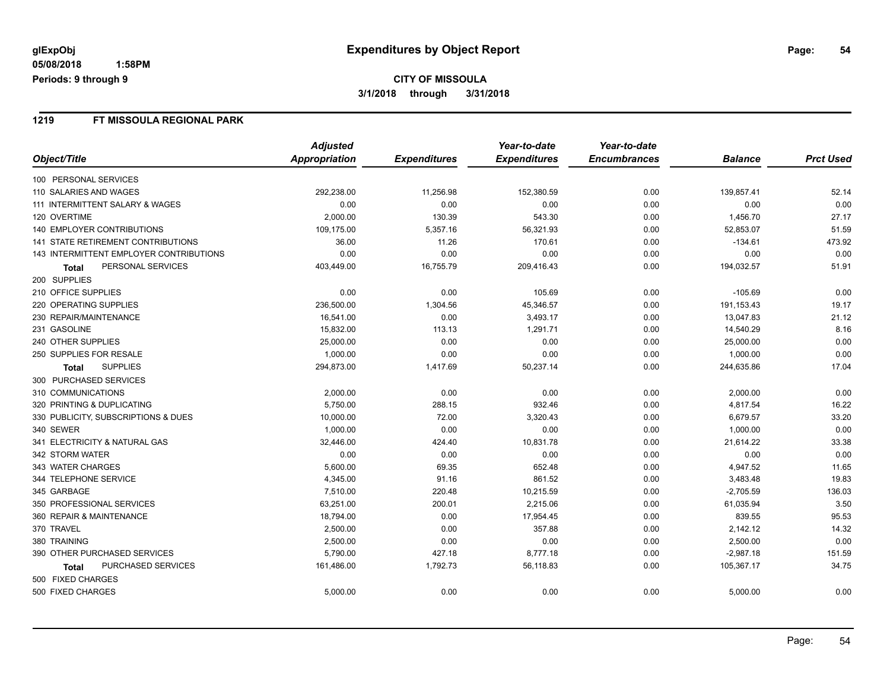#### **1219 FT MISSOULA REGIONAL PARK**

| Object/Title<br><b>Appropriation</b><br><b>Expenditures</b>  | <b>Expenditures</b> | <b>Encumbrances</b> | <b>Balance</b> | <b>Prct Used</b> |
|--------------------------------------------------------------|---------------------|---------------------|----------------|------------------|
| 100 PERSONAL SERVICES                                        |                     |                     |                |                  |
| 110 SALARIES AND WAGES<br>292,238.00<br>11,256.98            | 152,380.59          | 0.00                | 139,857.41     | 52.14            |
| 0.00<br>111 INTERMITTENT SALARY & WAGES<br>0.00              | 0.00                | 0.00                | 0.00           | 0.00             |
| 120 OVERTIME<br>130.39<br>2,000.00                           | 543.30              | 0.00                | 1,456.70       | 27.17            |
| <b>140 EMPLOYER CONTRIBUTIONS</b><br>5,357.16<br>109,175.00  | 56,321.93           | 0.00                | 52,853.07      | 51.59            |
| <b>141 STATE RETIREMENT CONTRIBUTIONS</b><br>36.00<br>11.26  | 170.61              | 0.00                | $-134.61$      | 473.92           |
| 143 INTERMITTENT EMPLOYER CONTRIBUTIONS<br>0.00<br>0.00      | 0.00                | 0.00                | 0.00           | 0.00             |
| PERSONAL SERVICES<br>16,755.79<br>403,449.00<br><b>Total</b> | 209,416.43          | 0.00                | 194,032.57     | 51.91            |
| 200 SUPPLIES                                                 |                     |                     |                |                  |
| 210 OFFICE SUPPLIES<br>0.00<br>0.00                          | 105.69              | 0.00                | $-105.69$      | 0.00             |
| 220 OPERATING SUPPLIES<br>236,500.00<br>1,304.56             | 45,346.57           | 0.00                | 191,153.43     | 19.17            |
| 230 REPAIR/MAINTENANCE<br>16,541.00<br>0.00                  | 3,493.17            | 0.00                | 13,047.83      | 21.12            |
| 231 GASOLINE<br>15,832.00<br>113.13                          | 1,291.71            | 0.00                | 14,540.29      | 8.16             |
| 240 OTHER SUPPLIES<br>25,000.00<br>0.00                      | 0.00                | 0.00                | 25,000.00      | 0.00             |
| 250 SUPPLIES FOR RESALE<br>1,000.00<br>0.00                  | 0.00                | 0.00                | 1,000.00       | 0.00             |
| <b>SUPPLIES</b><br>294,873.00<br>1,417.69<br><b>Total</b>    | 50,237.14           | 0.00                | 244,635.86     | 17.04            |
| 300 PURCHASED SERVICES                                       |                     |                     |                |                  |
| 310 COMMUNICATIONS<br>2,000.00<br>0.00                       | 0.00                | 0.00                | 2,000.00       | 0.00             |
| 5,750.00<br>320 PRINTING & DUPLICATING<br>288.15             | 932.46              | 0.00                | 4,817.54       | 16.22            |
| 330 PUBLICITY, SUBSCRIPTIONS & DUES<br>10,000.00<br>72.00    | 3,320.43            | 0.00                | 6,679.57       | 33.20            |
| 0.00<br>340 SEWER<br>1,000.00                                | 0.00                | 0.00                | 1,000.00       | 0.00             |
| 341 ELECTRICITY & NATURAL GAS<br>32,446.00<br>424.40         | 10,831.78           | 0.00                | 21,614.22      | 33.38            |
| 0.00<br>0.00<br>342 STORM WATER                              | 0.00                | 0.00                | 0.00           | 0.00             |
| 343 WATER CHARGES<br>5,600.00<br>69.35                       | 652.48              | 0.00                | 4,947.52       | 11.65            |
| 344 TELEPHONE SERVICE<br>4,345.00<br>91.16                   | 861.52              | 0.00                | 3,483.48       | 19.83            |
| 220.48<br>345 GARBAGE<br>7,510.00                            | 10,215.59           | 0.00                | $-2,705.59$    | 136.03           |
| 350 PROFESSIONAL SERVICES<br>63,251.00<br>200.01             | 2,215.06            | 0.00                | 61,035.94      | 3.50             |
| 360 REPAIR & MAINTENANCE<br>18,794.00<br>0.00                | 17,954.45           | 0.00                | 839.55         | 95.53            |
| 370 TRAVEL<br>2,500.00<br>0.00                               | 357.88              | 0.00                | 2,142.12       | 14.32            |
| 2,500.00<br>0.00<br>380 TRAINING                             | 0.00                | 0.00                | 2,500.00       | 0.00             |
| 390 OTHER PURCHASED SERVICES<br>5,790.00<br>427.18           | 8,777.18            | 0.00                | $-2,987.18$    | 151.59           |
| PURCHASED SERVICES<br>161,486.00<br>1,792.73<br>Total        | 56,118.83           | 0.00                | 105,367.17     | 34.75            |
| 500 FIXED CHARGES                                            |                     |                     |                |                  |
| 500 FIXED CHARGES<br>5,000.00<br>0.00                        | 0.00                | 0.00                | 5,000.00       | 0.00             |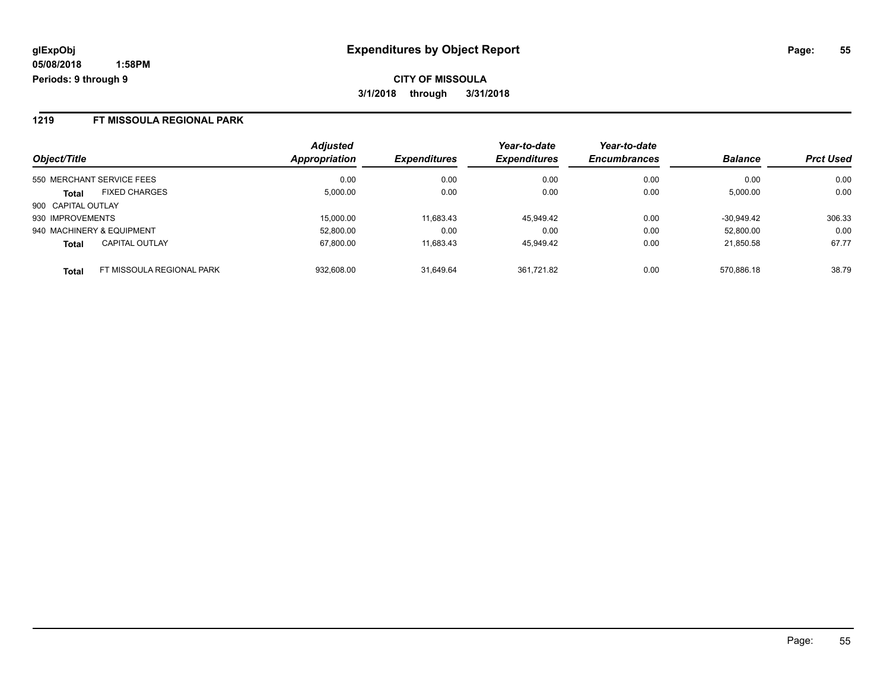#### **1219 FT MISSOULA REGIONAL PARK**

| Object/Title                              | <b>Adjusted</b><br><b>Appropriation</b> | <b>Expenditures</b> | Year-to-date<br><b>Expenditures</b> | Year-to-date<br><b>Encumbrances</b> | <b>Balance</b> | <b>Prct Used</b> |
|-------------------------------------------|-----------------------------------------|---------------------|-------------------------------------|-------------------------------------|----------------|------------------|
| 550 MERCHANT SERVICE FEES                 | 0.00                                    | 0.00                | 0.00                                | 0.00                                | 0.00           | 0.00             |
| <b>FIXED CHARGES</b><br><b>Total</b>      | 5.000.00                                | 0.00                | 0.00                                | 0.00                                | 5,000.00       | 0.00             |
| 900 CAPITAL OUTLAY                        |                                         |                     |                                     |                                     |                |                  |
| 930 IMPROVEMENTS                          | 15,000.00                               | 11,683.43           | 45,949.42                           | 0.00                                | $-30,949.42$   | 306.33           |
| 940 MACHINERY & EQUIPMENT                 | 52.800.00                               | 0.00                | 0.00                                | 0.00                                | 52.800.00      | 0.00             |
| <b>CAPITAL OUTLAY</b><br><b>Total</b>     | 67.800.00                               | 11.683.43           | 45.949.42                           | 0.00                                | 21.850.58      | 67.77            |
| FT MISSOULA REGIONAL PARK<br><b>Total</b> | 932,608.00                              | 31,649.64           | 361.721.82                          | 0.00                                | 570.886.18     | 38.79            |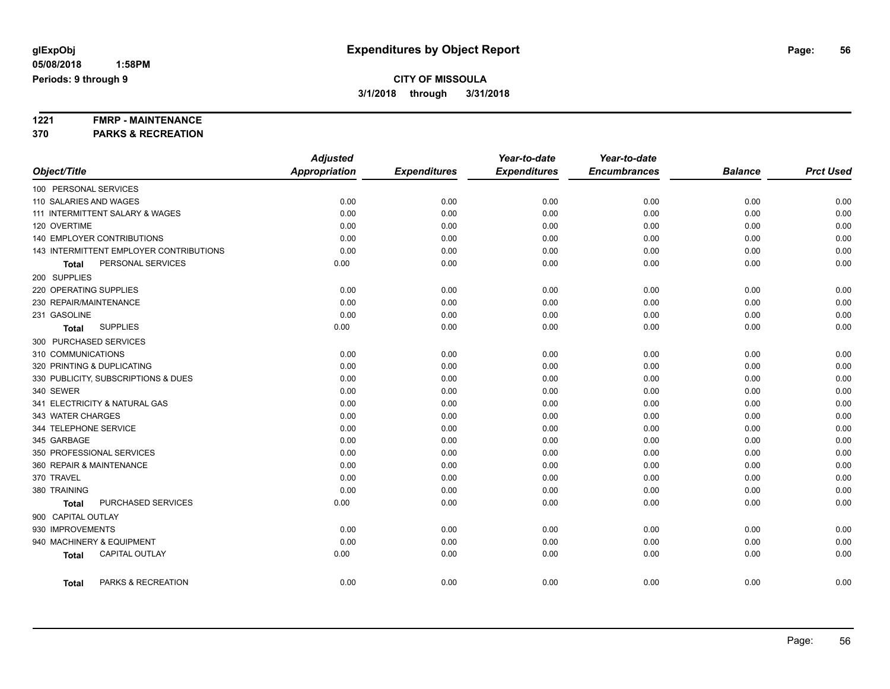**1221 FMRP - MAINTENANCE**

**370 PARKS & RECREATION**

|                                         | <b>Adjusted</b>      |                     | Year-to-date        | Year-to-date        |                |                  |
|-----------------------------------------|----------------------|---------------------|---------------------|---------------------|----------------|------------------|
| Object/Title                            | <b>Appropriation</b> | <b>Expenditures</b> | <b>Expenditures</b> | <b>Encumbrances</b> | <b>Balance</b> | <b>Prct Used</b> |
| 100 PERSONAL SERVICES                   |                      |                     |                     |                     |                |                  |
| 110 SALARIES AND WAGES                  | 0.00                 | 0.00                | 0.00                | 0.00                | 0.00           | 0.00             |
| 111 INTERMITTENT SALARY & WAGES         | 0.00                 | 0.00                | 0.00                | 0.00                | 0.00           | 0.00             |
| 120 OVERTIME                            | 0.00                 | 0.00                | 0.00                | 0.00                | 0.00           | 0.00             |
| 140 EMPLOYER CONTRIBUTIONS              | 0.00                 | 0.00                | 0.00                | 0.00                | 0.00           | 0.00             |
| 143 INTERMITTENT EMPLOYER CONTRIBUTIONS | 0.00                 | 0.00                | 0.00                | 0.00                | 0.00           | 0.00             |
| PERSONAL SERVICES<br><b>Total</b>       | 0.00                 | 0.00                | 0.00                | 0.00                | 0.00           | 0.00             |
| 200 SUPPLIES                            |                      |                     |                     |                     |                |                  |
| 220 OPERATING SUPPLIES                  | 0.00                 | 0.00                | 0.00                | 0.00                | 0.00           | 0.00             |
| 230 REPAIR/MAINTENANCE                  | 0.00                 | 0.00                | 0.00                | 0.00                | 0.00           | 0.00             |
| 231 GASOLINE                            | 0.00                 | 0.00                | 0.00                | 0.00                | 0.00           | 0.00             |
| <b>SUPPLIES</b><br>Total                | 0.00                 | 0.00                | 0.00                | 0.00                | 0.00           | 0.00             |
| 300 PURCHASED SERVICES                  |                      |                     |                     |                     |                |                  |
| 310 COMMUNICATIONS                      | 0.00                 | 0.00                | 0.00                | 0.00                | 0.00           | 0.00             |
| 320 PRINTING & DUPLICATING              | 0.00                 | 0.00                | 0.00                | 0.00                | 0.00           | 0.00             |
| 330 PUBLICITY, SUBSCRIPTIONS & DUES     | 0.00                 | 0.00                | 0.00                | 0.00                | 0.00           | 0.00             |
| 340 SEWER                               | 0.00                 | 0.00                | 0.00                | 0.00                | 0.00           | 0.00             |
| 341 ELECTRICITY & NATURAL GAS           | 0.00                 | 0.00                | 0.00                | 0.00                | 0.00           | 0.00             |
| 343 WATER CHARGES                       | 0.00                 | 0.00                | 0.00                | 0.00                | 0.00           | 0.00             |
| 344 TELEPHONE SERVICE                   | 0.00                 | 0.00                | 0.00                | 0.00                | 0.00           | 0.00             |
| 345 GARBAGE                             | 0.00                 | 0.00                | 0.00                | 0.00                | 0.00           | 0.00             |
| 350 PROFESSIONAL SERVICES               | 0.00                 | 0.00                | 0.00                | 0.00                | 0.00           | 0.00             |
| 360 REPAIR & MAINTENANCE                | 0.00                 | 0.00                | 0.00                | 0.00                | 0.00           | 0.00             |
| 370 TRAVEL                              | 0.00                 | 0.00                | 0.00                | 0.00                | 0.00           | 0.00             |
| 380 TRAINING                            | 0.00                 | 0.00                | 0.00                | 0.00                | 0.00           | 0.00             |
| PURCHASED SERVICES<br><b>Total</b>      | 0.00                 | 0.00                | 0.00                | 0.00                | 0.00           | 0.00             |
| 900 CAPITAL OUTLAY                      |                      |                     |                     |                     |                |                  |
| 930 IMPROVEMENTS                        | 0.00                 | 0.00                | 0.00                | 0.00                | 0.00           | 0.00             |
| 940 MACHINERY & EQUIPMENT               | 0.00                 | 0.00                | 0.00                | 0.00                | 0.00           | 0.00             |
| CAPITAL OUTLAY<br><b>Total</b>          | 0.00                 | 0.00                | 0.00                | 0.00                | 0.00           | 0.00             |
| PARKS & RECREATION<br><b>Total</b>      | 0.00                 | 0.00                | 0.00                | 0.00                | 0.00           | 0.00             |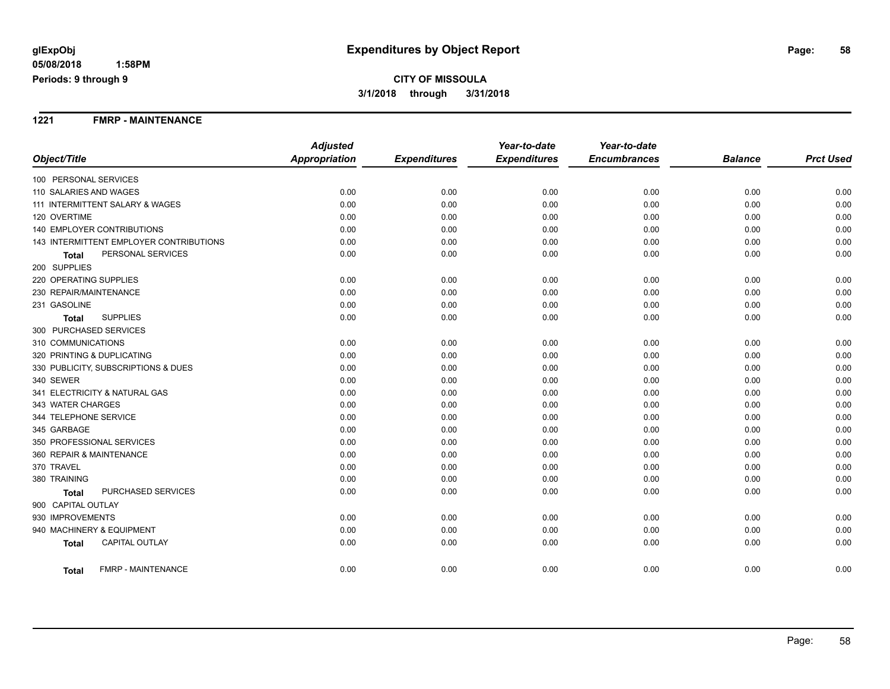#### **1221 FMRP - MAINTENANCE**

|                                           | <b>Adjusted</b>      |                     | Year-to-date        | Year-to-date        |                |                  |
|-------------------------------------------|----------------------|---------------------|---------------------|---------------------|----------------|------------------|
| Object/Title                              | <b>Appropriation</b> | <b>Expenditures</b> | <b>Expenditures</b> | <b>Encumbrances</b> | <b>Balance</b> | <b>Prct Used</b> |
| 100 PERSONAL SERVICES                     |                      |                     |                     |                     |                |                  |
| 110 SALARIES AND WAGES                    | 0.00                 | 0.00                | 0.00                | 0.00                | 0.00           | 0.00             |
| 111 INTERMITTENT SALARY & WAGES           | 0.00                 | 0.00                | 0.00                | 0.00                | 0.00           | 0.00             |
| 120 OVERTIME                              | 0.00                 | 0.00                | 0.00                | 0.00                | 0.00           | 0.00             |
| 140 EMPLOYER CONTRIBUTIONS                | 0.00                 | 0.00                | 0.00                | 0.00                | 0.00           | 0.00             |
| 143 INTERMITTENT EMPLOYER CONTRIBUTIONS   | 0.00                 | 0.00                | 0.00                | 0.00                | 0.00           | 0.00             |
| PERSONAL SERVICES<br><b>Total</b>         | 0.00                 | 0.00                | 0.00                | 0.00                | 0.00           | 0.00             |
| 200 SUPPLIES                              |                      |                     |                     |                     |                |                  |
| 220 OPERATING SUPPLIES                    | 0.00                 | 0.00                | 0.00                | 0.00                | 0.00           | 0.00             |
| 230 REPAIR/MAINTENANCE                    | 0.00                 | 0.00                | 0.00                | 0.00                | 0.00           | 0.00             |
| 231 GASOLINE                              | 0.00                 | 0.00                | 0.00                | 0.00                | 0.00           | 0.00             |
| <b>SUPPLIES</b><br><b>Total</b>           | 0.00                 | 0.00                | 0.00                | 0.00                | 0.00           | 0.00             |
| 300 PURCHASED SERVICES                    |                      |                     |                     |                     |                |                  |
| 310 COMMUNICATIONS                        | 0.00                 | 0.00                | 0.00                | 0.00                | 0.00           | 0.00             |
| 320 PRINTING & DUPLICATING                | 0.00                 | 0.00                | 0.00                | 0.00                | 0.00           | 0.00             |
| 330 PUBLICITY, SUBSCRIPTIONS & DUES       | 0.00                 | 0.00                | 0.00                | 0.00                | 0.00           | 0.00             |
| 340 SEWER                                 | 0.00                 | 0.00                | 0.00                | 0.00                | 0.00           | 0.00             |
| 341 ELECTRICITY & NATURAL GAS             | 0.00                 | 0.00                | 0.00                | 0.00                | 0.00           | 0.00             |
| 343 WATER CHARGES                         | 0.00                 | 0.00                | 0.00                | 0.00                | 0.00           | 0.00             |
| 344 TELEPHONE SERVICE                     | 0.00                 | 0.00                | 0.00                | 0.00                | 0.00           | 0.00             |
| 345 GARBAGE                               | 0.00                 | 0.00                | 0.00                | 0.00                | 0.00           | 0.00             |
| 350 PROFESSIONAL SERVICES                 | 0.00                 | 0.00                | 0.00                | 0.00                | 0.00           | 0.00             |
| 360 REPAIR & MAINTENANCE                  | 0.00                 | 0.00                | 0.00                | 0.00                | 0.00           | 0.00             |
| 370 TRAVEL                                | 0.00                 | 0.00                | 0.00                | 0.00                | 0.00           | 0.00             |
| 380 TRAINING                              | 0.00                 | 0.00                | 0.00                | 0.00                | 0.00           | 0.00             |
| PURCHASED SERVICES<br><b>Total</b>        | 0.00                 | 0.00                | 0.00                | 0.00                | 0.00           | 0.00             |
| 900 CAPITAL OUTLAY                        |                      |                     |                     |                     |                |                  |
| 930 IMPROVEMENTS                          | 0.00                 | 0.00                | 0.00                | 0.00                | 0.00           | 0.00             |
| 940 MACHINERY & EQUIPMENT                 | 0.00                 | 0.00                | 0.00                | 0.00                | 0.00           | 0.00             |
| <b>CAPITAL OUTLAY</b><br><b>Total</b>     | 0.00                 | 0.00                | 0.00                | 0.00                | 0.00           | 0.00             |
| <b>FMRP - MAINTENANCE</b><br><b>Total</b> | 0.00                 | 0.00                | 0.00                | 0.00                | 0.00           | 0.00             |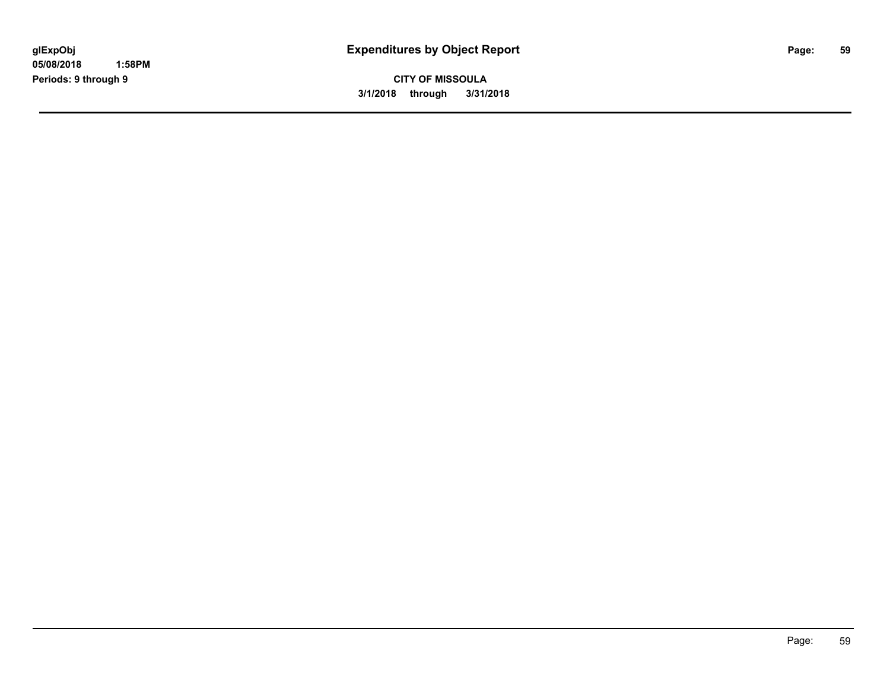**CITY OF MISSOULA**

**3/1/2018 through 3/31/2018**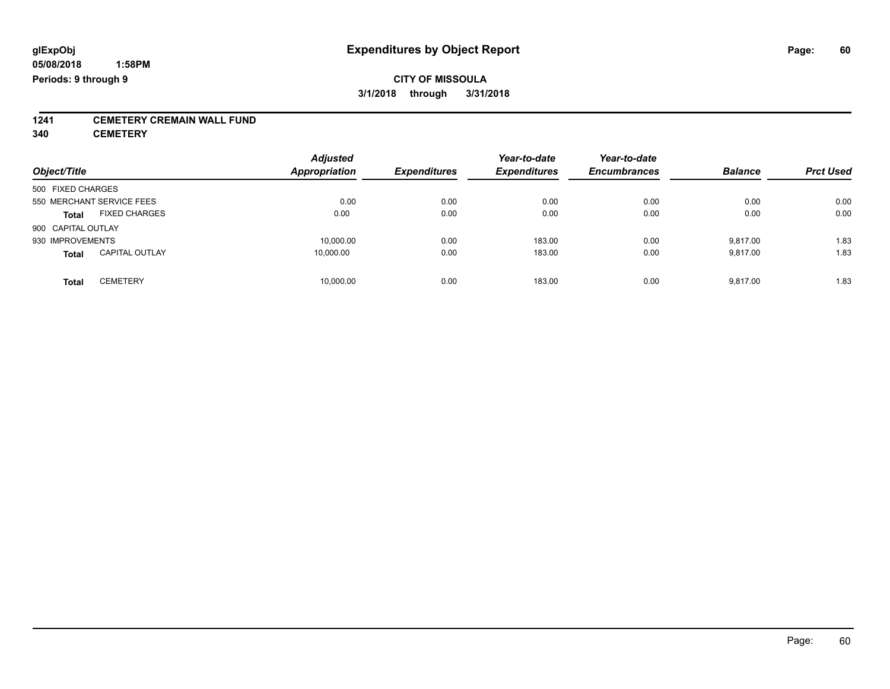# **1241 CEMETERY CREMAIN WALL FUND**

**340 CEMETERY**

| Object/Title                          | <b>Adjusted</b><br>Appropriation | <b>Expenditures</b> | Year-to-date<br><b>Expenditures</b> | Year-to-date<br><b>Encumbrances</b> | <b>Balance</b> | <b>Prct Used</b> |
|---------------------------------------|----------------------------------|---------------------|-------------------------------------|-------------------------------------|----------------|------------------|
| 500 FIXED CHARGES                     |                                  |                     |                                     |                                     |                |                  |
|                                       |                                  |                     |                                     |                                     |                |                  |
| 550 MERCHANT SERVICE FEES             | 0.00                             | 0.00                | 0.00                                | 0.00                                | 0.00           | 0.00             |
| <b>FIXED CHARGES</b><br><b>Total</b>  | 0.00                             | 0.00                | 0.00                                | 0.00                                | 0.00           | 0.00             |
| 900 CAPITAL OUTLAY                    |                                  |                     |                                     |                                     |                |                  |
| 930 IMPROVEMENTS                      | 10,000.00                        | 0.00                | 183.00                              | 0.00                                | 9.817.00       | 1.83             |
| <b>CAPITAL OUTLAY</b><br><b>Total</b> | 10,000.00                        | 0.00                | 183.00                              | 0.00                                | 9,817.00       | 1.83             |
| <b>CEMETERY</b><br>Total              | 10,000.00                        | 0.00                | 183.00                              | 0.00                                | 9.817.00       | 1.83             |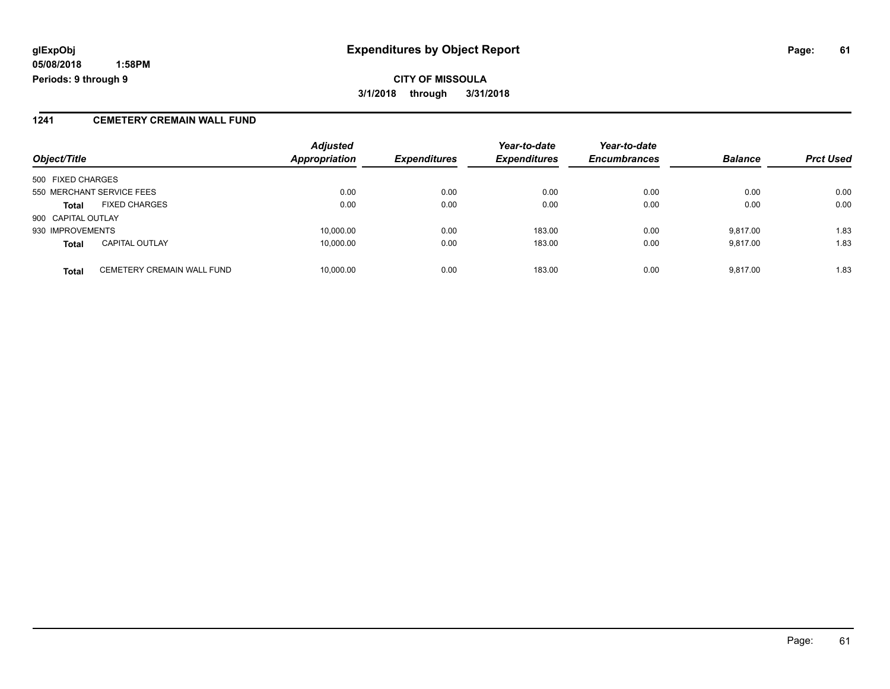**05/08/2018 1:58PM Periods: 9 through 9**

**CITY OF MISSOULA 3/1/2018 through 3/31/2018**

#### **1241 CEMETERY CREMAIN WALL FUND**

| Object/Title                                      | <b>Adjusted</b><br><b>Appropriation</b> | <b>Expenditures</b> | Year-to-date<br><b>Expenditures</b> | Year-to-date<br><b>Encumbrances</b> | <b>Balance</b> | <b>Prct Used</b> |
|---------------------------------------------------|-----------------------------------------|---------------------|-------------------------------------|-------------------------------------|----------------|------------------|
| 500 FIXED CHARGES                                 |                                         |                     |                                     |                                     |                |                  |
| 550 MERCHANT SERVICE FEES                         | 0.00                                    | 0.00                | 0.00                                | 0.00                                | 0.00           | 0.00             |
| <b>FIXED CHARGES</b><br><b>Total</b>              | 0.00                                    | 0.00                | 0.00                                | 0.00                                | 0.00           | 0.00             |
| 900 CAPITAL OUTLAY                                |                                         |                     |                                     |                                     |                |                  |
| 930 IMPROVEMENTS                                  | 10.000.00                               | 0.00                | 183.00                              | 0.00                                | 9.817.00       | 1.83             |
| <b>CAPITAL OUTLAY</b><br><b>Total</b>             | 10,000.00                               | 0.00                | 183.00                              | 0.00                                | 9.817.00       | 1.83             |
| <b>CEMETERY CREMAIN WALL FUND</b><br><b>Total</b> | 10,000.00                               | 0.00                | 183.00                              | 0.00                                | 9.817.00       | 1.83             |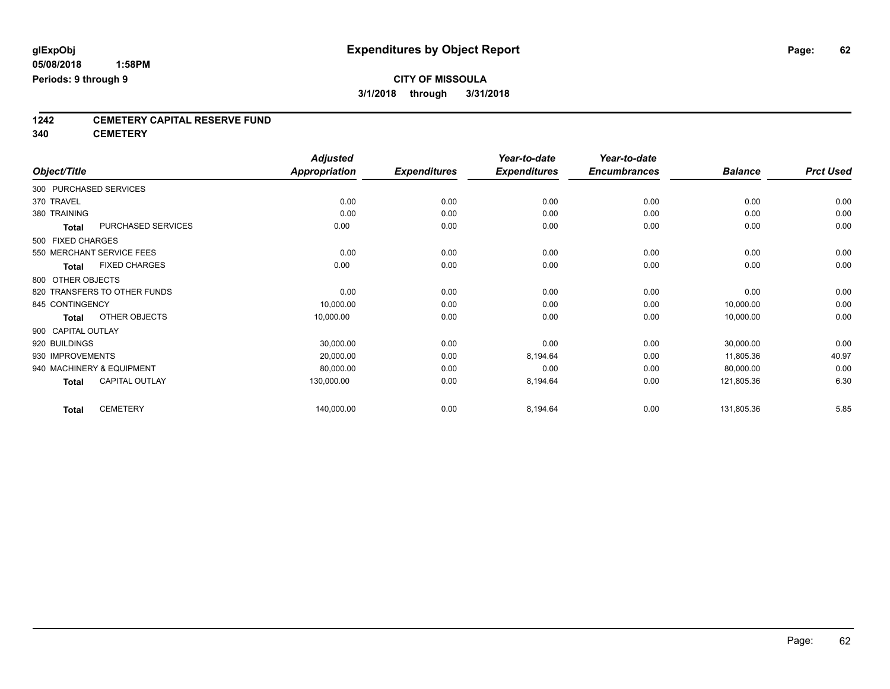# **1242 CEMETERY CAPITAL RESERVE FUND**

**340 CEMETERY**

|                        |                              | <b>Adjusted</b> |                     | Year-to-date        | Year-to-date        |                |                  |
|------------------------|------------------------------|-----------------|---------------------|---------------------|---------------------|----------------|------------------|
| Object/Title           |                              | Appropriation   | <b>Expenditures</b> | <b>Expenditures</b> | <b>Encumbrances</b> | <b>Balance</b> | <b>Prct Used</b> |
| 300 PURCHASED SERVICES |                              |                 |                     |                     |                     |                |                  |
| 370 TRAVEL             |                              | 0.00            | 0.00                | 0.00                | 0.00                | 0.00           | 0.00             |
| 380 TRAINING           |                              | 0.00            | 0.00                | 0.00                | 0.00                | 0.00           | 0.00             |
| <b>Total</b>           | PURCHASED SERVICES           | 0.00            | 0.00                | 0.00                | 0.00                | 0.00           | 0.00             |
| 500 FIXED CHARGES      |                              |                 |                     |                     |                     |                |                  |
|                        | 550 MERCHANT SERVICE FEES    | 0.00            | 0.00                | 0.00                | 0.00                | 0.00           | 0.00             |
| <b>Total</b>           | <b>FIXED CHARGES</b>         | 0.00            | 0.00                | 0.00                | 0.00                | 0.00           | 0.00             |
| 800 OTHER OBJECTS      |                              |                 |                     |                     |                     |                |                  |
|                        | 820 TRANSFERS TO OTHER FUNDS | 0.00            | 0.00                | 0.00                | 0.00                | 0.00           | 0.00             |
| 845 CONTINGENCY        |                              | 10,000.00       | 0.00                | 0.00                | 0.00                | 10,000.00      | 0.00             |
| <b>Total</b>           | OTHER OBJECTS                | 10,000.00       | 0.00                | 0.00                | 0.00                | 10,000.00      | 0.00             |
| 900 CAPITAL OUTLAY     |                              |                 |                     |                     |                     |                |                  |
| 920 BUILDINGS          |                              | 30,000.00       | 0.00                | 0.00                | 0.00                | 30,000.00      | 0.00             |
| 930 IMPROVEMENTS       |                              | 20,000.00       | 0.00                | 8,194.64            | 0.00                | 11,805.36      | 40.97            |
|                        | 940 MACHINERY & EQUIPMENT    | 80,000.00       | 0.00                | 0.00                | 0.00                | 80,000.00      | 0.00             |
| <b>Total</b>           | <b>CAPITAL OUTLAY</b>        | 130,000.00      | 0.00                | 8,194.64            | 0.00                | 121,805.36     | 6.30             |
| <b>Total</b>           | <b>CEMETERY</b>              | 140,000.00      | 0.00                | 8,194.64            | 0.00                | 131,805.36     | 5.85             |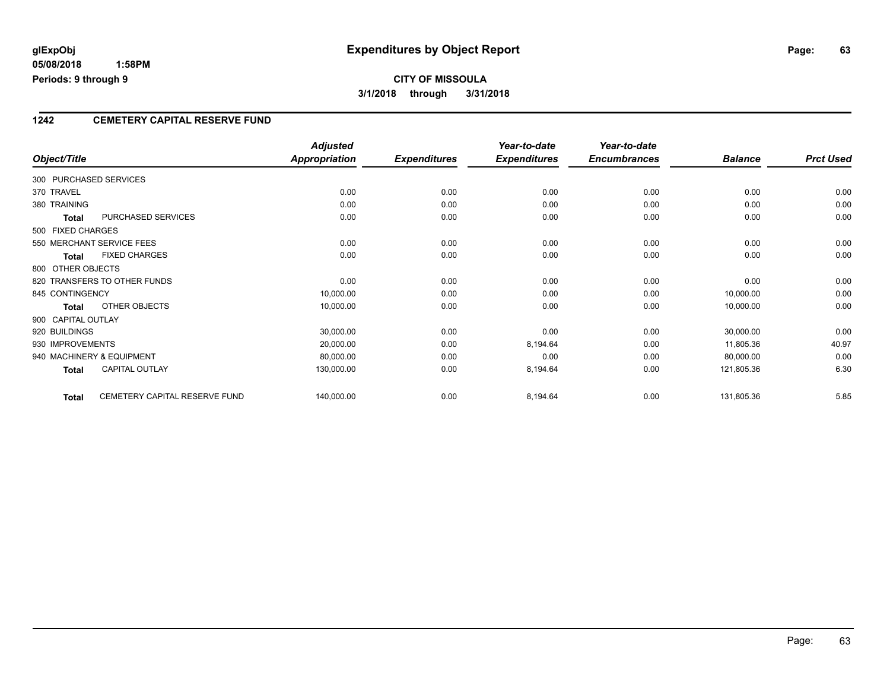**05/08/2018 1:58PM Periods: 9 through 9**

# **CITY OF MISSOULA 3/1/2018 through 3/31/2018**

#### **1242 CEMETERY CAPITAL RESERVE FUND**

|                        |                               | <b>Adjusted</b>      |                     | Year-to-date        | Year-to-date        |                |                  |
|------------------------|-------------------------------|----------------------|---------------------|---------------------|---------------------|----------------|------------------|
| Object/Title           |                               | <b>Appropriation</b> | <b>Expenditures</b> | <b>Expenditures</b> | <b>Encumbrances</b> | <b>Balance</b> | <b>Prct Used</b> |
| 300 PURCHASED SERVICES |                               |                      |                     |                     |                     |                |                  |
| 370 TRAVEL             |                               | 0.00                 | 0.00                | 0.00                | 0.00                | 0.00           | 0.00             |
| 380 TRAINING           |                               | 0.00                 | 0.00                | 0.00                | 0.00                | 0.00           | 0.00             |
| <b>Total</b>           | PURCHASED SERVICES            | 0.00                 | 0.00                | 0.00                | 0.00                | 0.00           | 0.00             |
| 500 FIXED CHARGES      |                               |                      |                     |                     |                     |                |                  |
|                        | 550 MERCHANT SERVICE FEES     | 0.00                 | 0.00                | 0.00                | 0.00                | 0.00           | 0.00             |
| <b>Total</b>           | <b>FIXED CHARGES</b>          | 0.00                 | 0.00                | 0.00                | 0.00                | 0.00           | 0.00             |
| 800 OTHER OBJECTS      |                               |                      |                     |                     |                     |                |                  |
|                        | 820 TRANSFERS TO OTHER FUNDS  | 0.00                 | 0.00                | 0.00                | 0.00                | 0.00           | 0.00             |
| 845 CONTINGENCY        |                               | 10,000.00            | 0.00                | 0.00                | 0.00                | 10,000.00      | 0.00             |
| <b>Total</b>           | OTHER OBJECTS                 | 10,000.00            | 0.00                | 0.00                | 0.00                | 10,000.00      | 0.00             |
| 900 CAPITAL OUTLAY     |                               |                      |                     |                     |                     |                |                  |
| 920 BUILDINGS          |                               | 30,000.00            | 0.00                | 0.00                | 0.00                | 30,000.00      | 0.00             |
| 930 IMPROVEMENTS       |                               | 20,000.00            | 0.00                | 8,194.64            | 0.00                | 11,805.36      | 40.97            |
|                        | 940 MACHINERY & EQUIPMENT     | 80,000.00            | 0.00                | 0.00                | 0.00                | 80,000.00      | 0.00             |
| <b>Total</b>           | <b>CAPITAL OUTLAY</b>         | 130,000.00           | 0.00                | 8,194.64            | 0.00                | 121,805.36     | 6.30             |
| <b>Total</b>           | CEMETERY CAPITAL RESERVE FUND | 140,000.00           | 0.00                | 8,194.64            | 0.00                | 131,805.36     | 5.85             |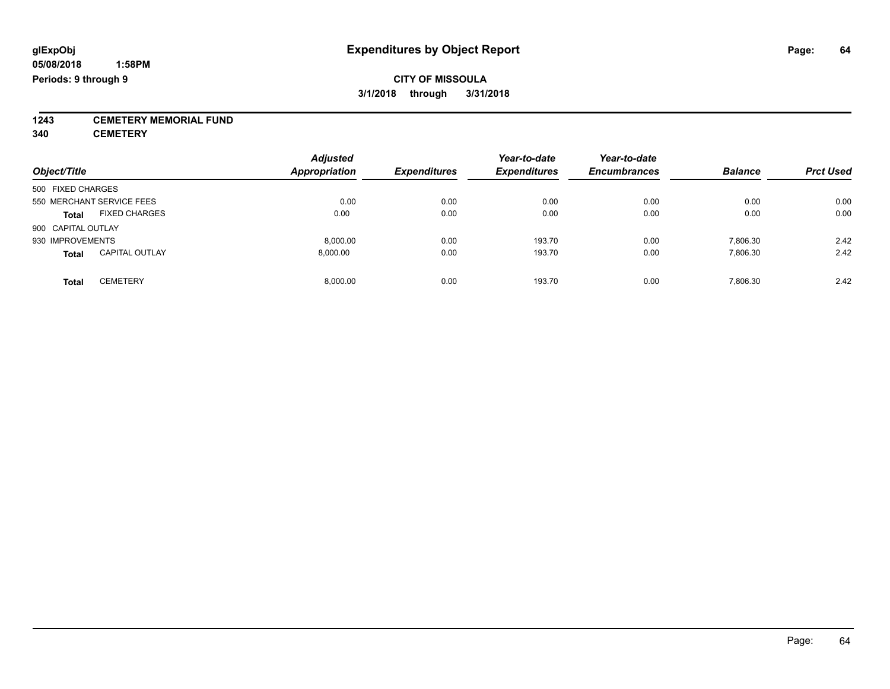**1243 CEMETERY MEMORIAL FUND**

**340 CEMETERY**

| Object/Title                          | <b>Adjusted</b><br><b>Appropriation</b> | <b>Expenditures</b> | Year-to-date<br><b>Expenditures</b> | Year-to-date<br><b>Encumbrances</b> | <b>Balance</b> | <b>Prct Used</b> |
|---------------------------------------|-----------------------------------------|---------------------|-------------------------------------|-------------------------------------|----------------|------------------|
| 500 FIXED CHARGES                     |                                         |                     |                                     |                                     |                |                  |
| 550 MERCHANT SERVICE FEES             | 0.00                                    | 0.00                | 0.00                                | 0.00                                | 0.00           | 0.00             |
| <b>FIXED CHARGES</b><br><b>Total</b>  | 0.00                                    | 0.00                | 0.00                                | 0.00                                | 0.00           | 0.00             |
| 900 CAPITAL OUTLAY                    |                                         |                     |                                     |                                     |                |                  |
| 930 IMPROVEMENTS                      | 8.000.00                                | 0.00                | 193.70                              | 0.00                                | 7.806.30       | 2.42             |
| <b>CAPITAL OUTLAY</b><br><b>Total</b> | 8,000.00                                | 0.00                | 193.70                              | 0.00                                | 7,806.30       | 2.42             |
| <b>CEMETERY</b><br>Total              | 8.000.00                                | 0.00                | 193.70                              | 0.00                                | 7.806.30       | 2.42             |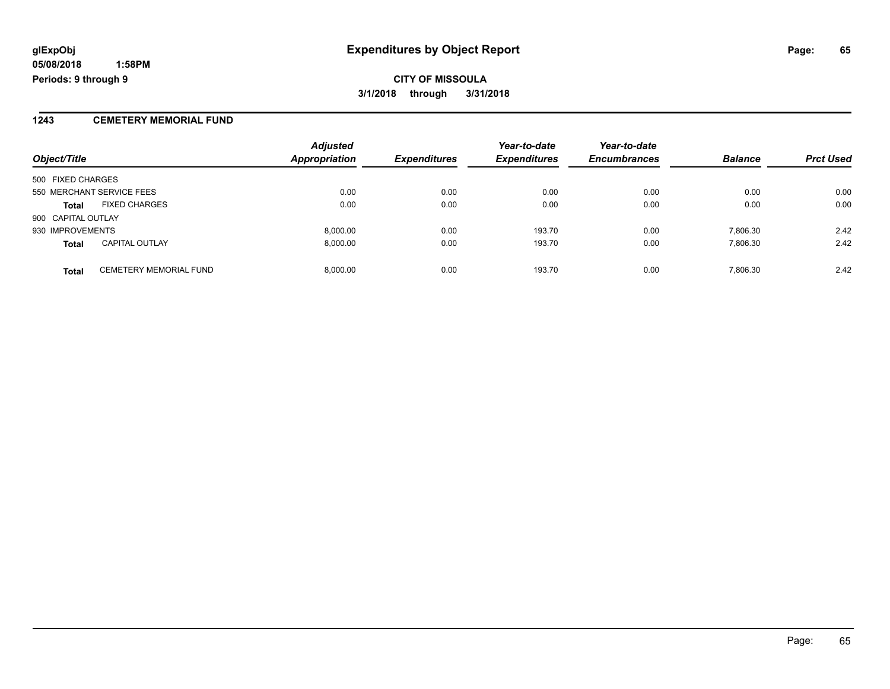#### **1243 CEMETERY MEMORIAL FUND**

|                    |                               | <b>Adjusted</b>      |                     | Year-to-date        | Year-to-date        |                |                  |
|--------------------|-------------------------------|----------------------|---------------------|---------------------|---------------------|----------------|------------------|
| Object/Title       |                               | <b>Appropriation</b> | <b>Expenditures</b> | <b>Expenditures</b> | <b>Encumbrances</b> | <b>Balance</b> | <b>Prct Used</b> |
| 500 FIXED CHARGES  |                               |                      |                     |                     |                     |                |                  |
|                    | 550 MERCHANT SERVICE FEES     | 0.00                 | 0.00                | 0.00                | 0.00                | 0.00           | 0.00             |
| <b>Total</b>       | <b>FIXED CHARGES</b>          | 0.00                 | 0.00                | 0.00                | 0.00                | 0.00           | 0.00             |
| 900 CAPITAL OUTLAY |                               |                      |                     |                     |                     |                |                  |
| 930 IMPROVEMENTS   |                               | 8.000.00             | 0.00                | 193.70              | 0.00                | 7.806.30       | 2.42             |
| <b>Total</b>       | <b>CAPITAL OUTLAY</b>         | 8.000.00             | 0.00                | 193.70              | 0.00                | 7.806.30       | 2.42             |
| <b>Total</b>       | <b>CEMETERY MEMORIAL FUND</b> | 8,000.00             | 0.00                | 193.70              | 0.00                | 7,806.30       | 2.42             |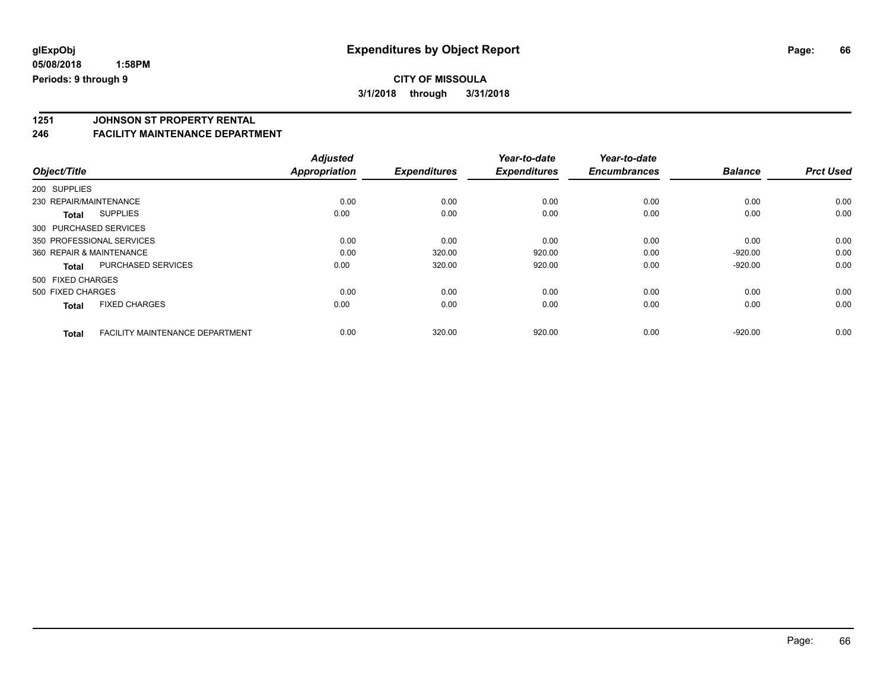**05/08/2018 1:58PM Periods: 9 through 9**

### **CITY OF MISSOULA 3/1/2018 through 3/31/2018**

# **1251 JOHNSON ST PROPERTY RENTAL**

#### **246 FACILITY MAINTENANCE DEPARTMENT**

|                        |                                        | <b>Adjusted</b>      |                     | Year-to-date        | Year-to-date        |                |                  |
|------------------------|----------------------------------------|----------------------|---------------------|---------------------|---------------------|----------------|------------------|
| Object/Title           |                                        | <b>Appropriation</b> | <b>Expenditures</b> | <b>Expenditures</b> | <b>Encumbrances</b> | <b>Balance</b> | <b>Prct Used</b> |
| 200 SUPPLIES           |                                        |                      |                     |                     |                     |                |                  |
| 230 REPAIR/MAINTENANCE |                                        | 0.00                 | 0.00                | 0.00                | 0.00                | 0.00           | 0.00             |
| Total                  | <b>SUPPLIES</b>                        | 0.00                 | 0.00                | 0.00                | 0.00                | 0.00           | 0.00             |
| 300 PURCHASED SERVICES |                                        |                      |                     |                     |                     |                |                  |
|                        | 350 PROFESSIONAL SERVICES              | 0.00                 | 0.00                | 0.00                | 0.00                | 0.00           | 0.00             |
|                        | 360 REPAIR & MAINTENANCE               | 0.00                 | 320.00              | 920.00              | 0.00                | $-920.00$      | 0.00             |
| Total                  | PURCHASED SERVICES                     | 0.00                 | 320.00              | 920.00              | 0.00                | $-920.00$      | 0.00             |
| 500 FIXED CHARGES      |                                        |                      |                     |                     |                     |                |                  |
| 500 FIXED CHARGES      |                                        | 0.00                 | 0.00                | 0.00                | 0.00                | 0.00           | 0.00             |
| <b>Total</b>           | <b>FIXED CHARGES</b>                   | 0.00                 | 0.00                | 0.00                | 0.00                | 0.00           | 0.00             |
| Total                  | <b>FACILITY MAINTENANCE DEPARTMENT</b> | 0.00                 | 320.00              | 920.00              | 0.00                | $-920.00$      | 0.00             |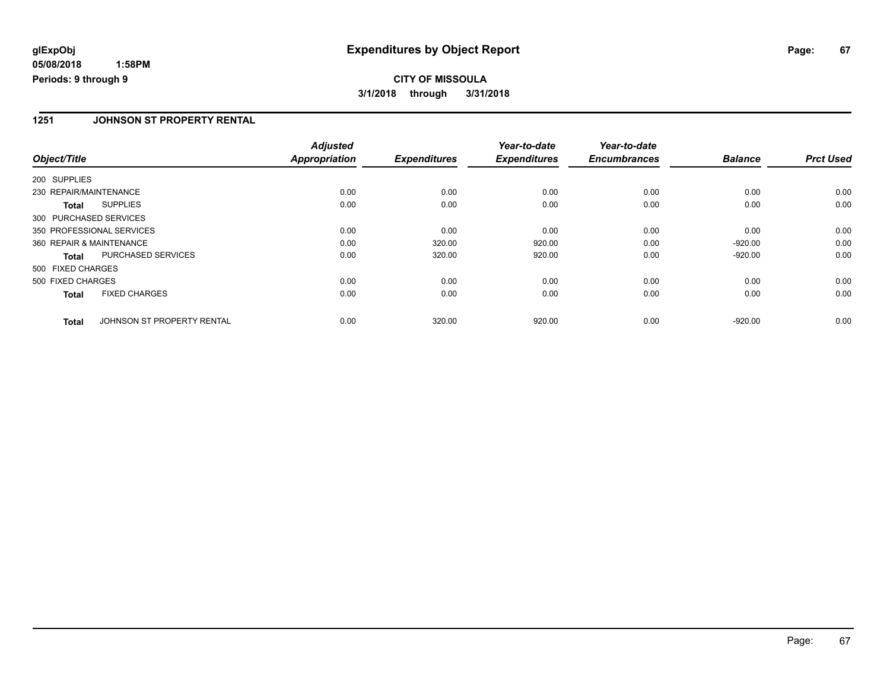#### **05/08/2018 1:58PM Periods: 9 through 9**

## **CITY OF MISSOULA 3/1/2018 through 3/31/2018**

#### **1251 JOHNSON ST PROPERTY RENTAL**

|                          |                            | <b>Adjusted</b>      |                     | Year-to-date        | Year-to-date        |                |                  |
|--------------------------|----------------------------|----------------------|---------------------|---------------------|---------------------|----------------|------------------|
| Object/Title             |                            | <b>Appropriation</b> | <b>Expenditures</b> | <b>Expenditures</b> | <b>Encumbrances</b> | <b>Balance</b> | <b>Prct Used</b> |
| 200 SUPPLIES             |                            |                      |                     |                     |                     |                |                  |
| 230 REPAIR/MAINTENANCE   |                            | 0.00                 | 0.00                | 0.00                | 0.00                | 0.00           | 0.00             |
| <b>Total</b>             | <b>SUPPLIES</b>            | 0.00                 | 0.00                | 0.00                | 0.00                | 0.00           | 0.00             |
| 300 PURCHASED SERVICES   |                            |                      |                     |                     |                     |                |                  |
|                          | 350 PROFESSIONAL SERVICES  | 0.00                 | 0.00                | 0.00                | 0.00                | 0.00           | 0.00             |
| 360 REPAIR & MAINTENANCE |                            | 0.00                 | 320.00              | 920.00              | 0.00                | $-920.00$      | 0.00             |
| Total                    | PURCHASED SERVICES         | 0.00                 | 320.00              | 920.00              | 0.00                | $-920.00$      | 0.00             |
| 500 FIXED CHARGES        |                            |                      |                     |                     |                     |                |                  |
| 500 FIXED CHARGES        |                            | 0.00                 | 0.00                | 0.00                | 0.00                | 0.00           | 0.00             |
| <b>Total</b>             | <b>FIXED CHARGES</b>       | 0.00                 | 0.00                | 0.00                | 0.00                | 0.00           | 0.00             |
| <b>Total</b>             | JOHNSON ST PROPERTY RENTAL | 0.00                 | 320.00              | 920.00              | 0.00                | $-920.00$      | 0.00             |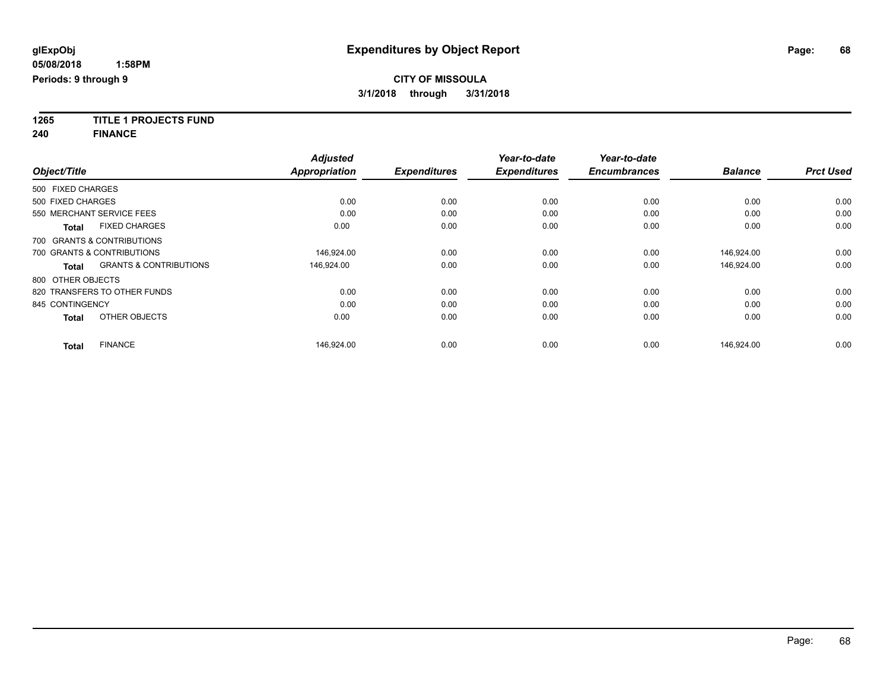**1265 TITLE 1 PROJECTS FUND**

**240 FINANCE**

| Object/Title               |                                   | <b>Adjusted</b><br><b>Appropriation</b> | <b>Expenditures</b> | Year-to-date<br><b>Expenditures</b> | Year-to-date<br><b>Encumbrances</b> | <b>Balance</b> | <b>Prct Used</b> |
|----------------------------|-----------------------------------|-----------------------------------------|---------------------|-------------------------------------|-------------------------------------|----------------|------------------|
| 500 FIXED CHARGES          |                                   |                                         |                     |                                     |                                     |                |                  |
| 500 FIXED CHARGES          |                                   | 0.00                                    | 0.00                | 0.00                                | 0.00                                | 0.00           | 0.00             |
| 550 MERCHANT SERVICE FEES  |                                   | 0.00                                    | 0.00                | 0.00                                | 0.00                                | 0.00           | 0.00             |
|                            |                                   |                                         |                     |                                     |                                     |                |                  |
| <b>Total</b>               | <b>FIXED CHARGES</b>              | 0.00                                    | 0.00                | 0.00                                | 0.00                                | 0.00           | 0.00             |
|                            | 700 GRANTS & CONTRIBUTIONS        |                                         |                     |                                     |                                     |                |                  |
| 700 GRANTS & CONTRIBUTIONS |                                   | 146.924.00                              | 0.00                | 0.00                                | 0.00                                | 146.924.00     | 0.00             |
| <b>Total</b>               | <b>GRANTS &amp; CONTRIBUTIONS</b> | 146,924.00                              | 0.00                | 0.00                                | 0.00                                | 146,924.00     | 0.00             |
| 800 OTHER OBJECTS          |                                   |                                         |                     |                                     |                                     |                |                  |
|                            | 820 TRANSFERS TO OTHER FUNDS      | 0.00                                    | 0.00                | 0.00                                | 0.00                                | 0.00           | 0.00             |
| 845 CONTINGENCY            |                                   | 0.00                                    | 0.00                | 0.00                                | 0.00                                | 0.00           | 0.00             |
| <b>Total</b>               | OTHER OBJECTS                     | 0.00                                    | 0.00                | 0.00                                | 0.00                                | 0.00           | 0.00             |
| <b>Total</b>               | <b>FINANCE</b>                    | 146.924.00                              | 0.00                | 0.00                                | 0.00                                | 146.924.00     | 0.00             |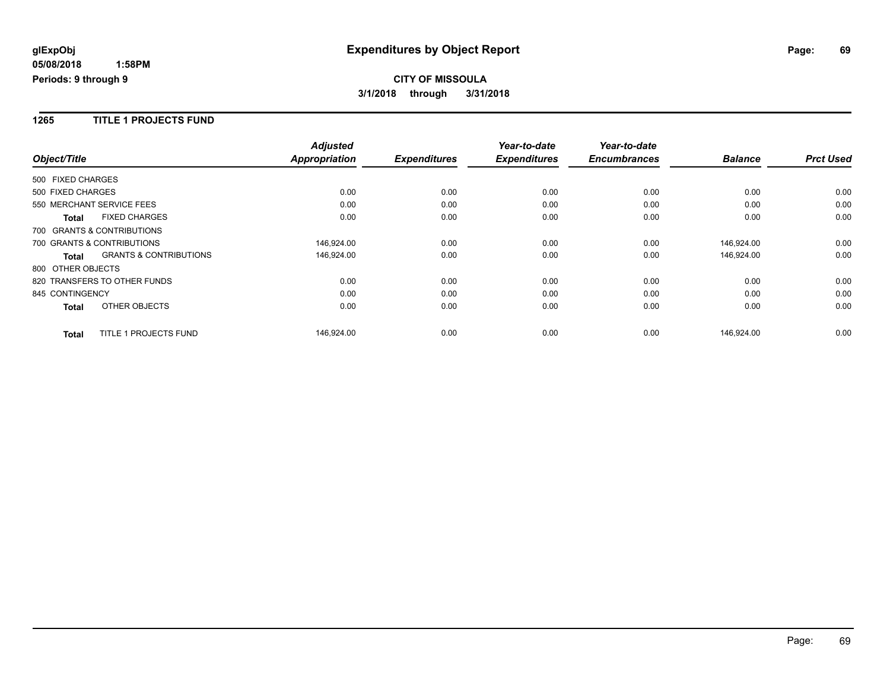#### **1265 TITLE 1 PROJECTS FUND**

|                              |                                   | <b>Adjusted</b>      |                     | Year-to-date        | Year-to-date        |                |                  |
|------------------------------|-----------------------------------|----------------------|---------------------|---------------------|---------------------|----------------|------------------|
| Object/Title                 |                                   | <b>Appropriation</b> | <b>Expenditures</b> | <b>Expenditures</b> | <b>Encumbrances</b> | <b>Balance</b> | <b>Prct Used</b> |
| 500 FIXED CHARGES            |                                   |                      |                     |                     |                     |                |                  |
| 500 FIXED CHARGES            |                                   | 0.00                 | 0.00                | 0.00                | 0.00                | 0.00           | 0.00             |
| 550 MERCHANT SERVICE FEES    |                                   | 0.00                 | 0.00                | 0.00                | 0.00                | 0.00           | 0.00             |
| <b>Total</b>                 | <b>FIXED CHARGES</b>              | 0.00                 | 0.00                | 0.00                | 0.00                | 0.00           | 0.00             |
| 700 GRANTS & CONTRIBUTIONS   |                                   |                      |                     |                     |                     |                |                  |
| 700 GRANTS & CONTRIBUTIONS   |                                   | 146,924.00           | 0.00                | 0.00                | 0.00                | 146,924.00     | 0.00             |
| <b>Total</b>                 | <b>GRANTS &amp; CONTRIBUTIONS</b> | 146,924.00           | 0.00                | 0.00                | 0.00                | 146,924.00     | 0.00             |
| 800 OTHER OBJECTS            |                                   |                      |                     |                     |                     |                |                  |
| 820 TRANSFERS TO OTHER FUNDS |                                   | 0.00                 | 0.00                | 0.00                | 0.00                | 0.00           | 0.00             |
| 845 CONTINGENCY              |                                   | 0.00                 | 0.00                | 0.00                | 0.00                | 0.00           | 0.00             |
| <b>Total</b>                 | OTHER OBJECTS                     | 0.00                 | 0.00                | 0.00                | 0.00                | 0.00           | 0.00             |
| <b>Total</b>                 | TITLE 1 PROJECTS FUND             | 146,924.00           | 0.00                | 0.00                | 0.00                | 146,924.00     | 0.00             |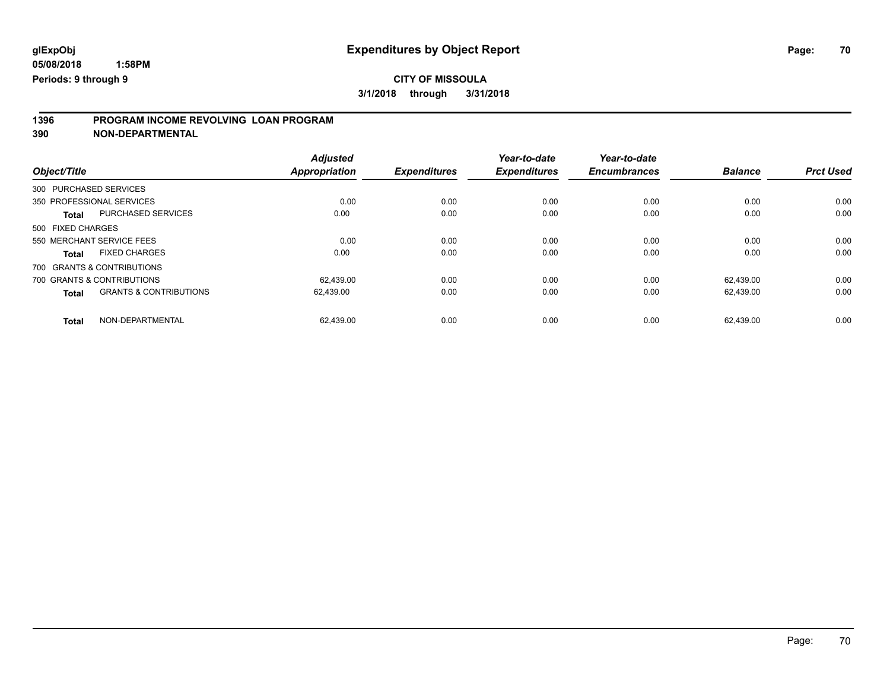# **1396 PROGRAM INCOME REVOLVING LOAN PROGRAM**

**390 NON-DEPARTMENTAL**

|                   |                                   | <b>Adjusted</b> |                     | Year-to-date        | Year-to-date        |                |                  |
|-------------------|-----------------------------------|-----------------|---------------------|---------------------|---------------------|----------------|------------------|
| Object/Title      |                                   | Appropriation   | <b>Expenditures</b> | <b>Expenditures</b> | <b>Encumbrances</b> | <b>Balance</b> | <b>Prct Used</b> |
|                   | 300 PURCHASED SERVICES            |                 |                     |                     |                     |                |                  |
|                   | 350 PROFESSIONAL SERVICES         | 0.00            | 0.00                | 0.00                | 0.00                | 0.00           | 0.00             |
| <b>Total</b>      | PURCHASED SERVICES                | 0.00            | 0.00                | 0.00                | 0.00                | 0.00           | 0.00             |
| 500 FIXED CHARGES |                                   |                 |                     |                     |                     |                |                  |
|                   | 550 MERCHANT SERVICE FEES         | 0.00            | 0.00                | 0.00                | 0.00                | 0.00           | 0.00             |
| <b>Total</b>      | <b>FIXED CHARGES</b>              | 0.00            | 0.00                | 0.00                | 0.00                | 0.00           | 0.00             |
|                   | 700 GRANTS & CONTRIBUTIONS        |                 |                     |                     |                     |                |                  |
|                   | 700 GRANTS & CONTRIBUTIONS        | 62.439.00       | 0.00                | 0.00                | 0.00                | 62.439.00      | 0.00             |
| <b>Total</b>      | <b>GRANTS &amp; CONTRIBUTIONS</b> | 62,439.00       | 0.00                | 0.00                | 0.00                | 62,439.00      | 0.00             |
| <b>Total</b>      | NON-DEPARTMENTAL                  | 62.439.00       | 0.00                | 0.00                | 0.00                | 62.439.00      | 0.00             |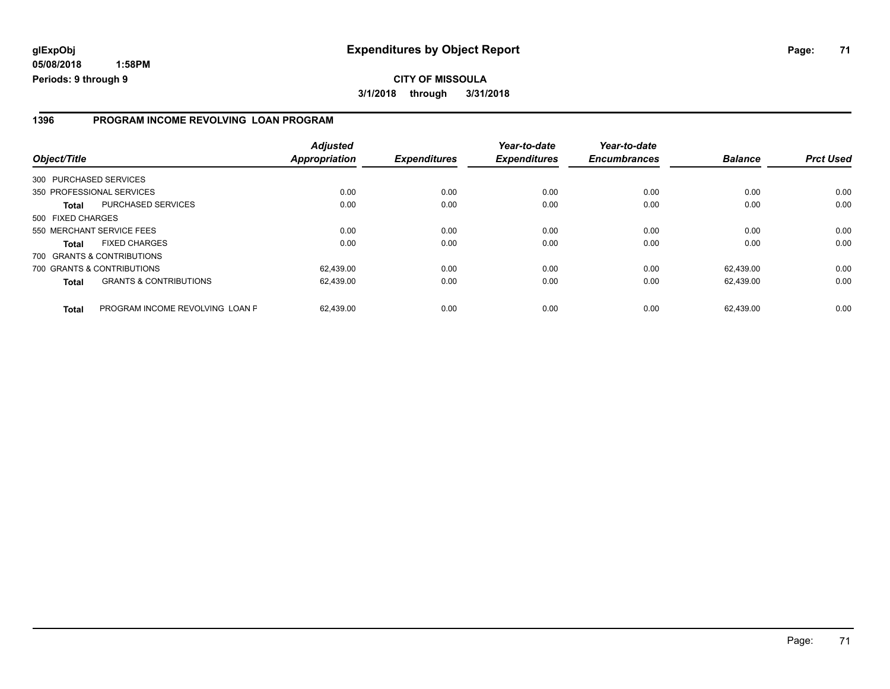**05/08/2018 1:58PM Periods: 9 through 9**

#### **1396 PROGRAM INCOME REVOLVING LOAN PROGRAM**

| Object/Title           |                                   | <b>Adjusted</b><br><b>Appropriation</b> | <b>Expenditures</b> | Year-to-date<br><b>Expenditures</b> | Year-to-date<br><b>Encumbrances</b> | <b>Balance</b> | <b>Prct Used</b> |
|------------------------|-----------------------------------|-----------------------------------------|---------------------|-------------------------------------|-------------------------------------|----------------|------------------|
| 300 PURCHASED SERVICES |                                   |                                         |                     |                                     |                                     |                |                  |
|                        | 350 PROFESSIONAL SERVICES         | 0.00                                    | 0.00                | 0.00                                | 0.00                                | 0.00           | 0.00             |
| Total                  | PURCHASED SERVICES                | 0.00                                    | 0.00                | 0.00                                | 0.00                                | 0.00           | 0.00             |
| 500 FIXED CHARGES      |                                   |                                         |                     |                                     |                                     |                |                  |
|                        | 550 MERCHANT SERVICE FEES         | 0.00                                    | 0.00                | 0.00                                | 0.00                                | 0.00           | 0.00             |
| Total                  | <b>FIXED CHARGES</b>              | 0.00                                    | 0.00                | 0.00                                | 0.00                                | 0.00           | 0.00             |
|                        | 700 GRANTS & CONTRIBUTIONS        |                                         |                     |                                     |                                     |                |                  |
|                        | 700 GRANTS & CONTRIBUTIONS        | 62.439.00                               | 0.00                | 0.00                                | 0.00                                | 62.439.00      | 0.00             |
| <b>Total</b>           | <b>GRANTS &amp; CONTRIBUTIONS</b> | 62,439.00                               | 0.00                | 0.00                                | 0.00                                | 62.439.00      | 0.00             |
| <b>Total</b>           | PROGRAM INCOME REVOLVING LOAN P   | 62.439.00                               | 0.00                | 0.00                                | 0.00                                | 62.439.00      | 0.00             |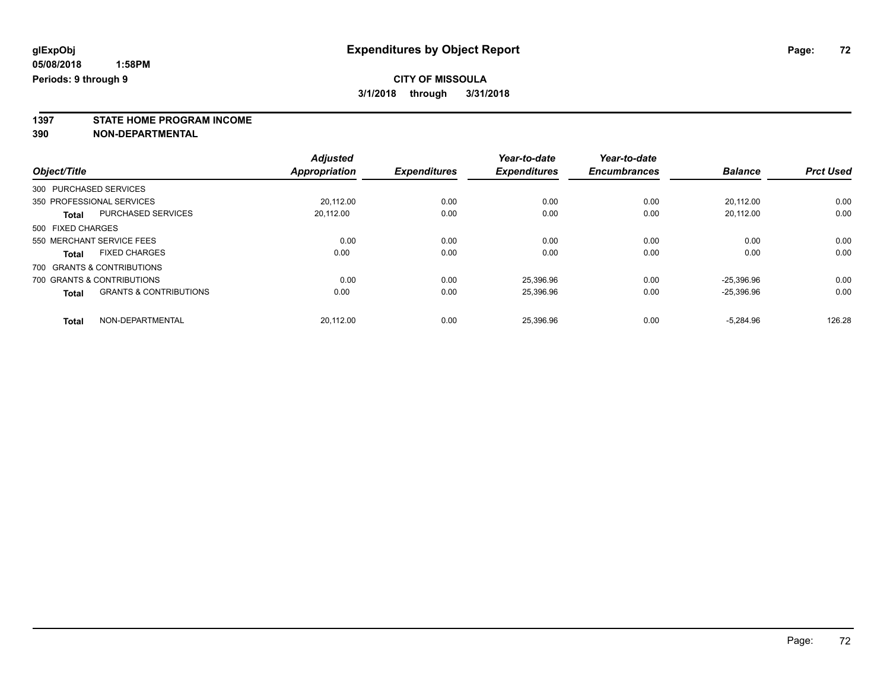**1397 STATE HOME PROGRAM INCOME**

**390 NON-DEPARTMENTAL**

|              |                                                   | <b>Adjusted</b> |                     | Year-to-date        | Year-to-date        |                |                  |
|--------------|---------------------------------------------------|-----------------|---------------------|---------------------|---------------------|----------------|------------------|
| Object/Title |                                                   | Appropriation   | <b>Expenditures</b> | <b>Expenditures</b> | <b>Encumbrances</b> | <b>Balance</b> | <b>Prct Used</b> |
|              | 300 PURCHASED SERVICES                            |                 |                     |                     |                     |                |                  |
|              | 350 PROFESSIONAL SERVICES                         | 20.112.00       | 0.00                | 0.00                | 0.00                | 20.112.00      | 0.00             |
|              | <b>PURCHASED SERVICES</b><br><b>Total</b>         | 20,112.00       | 0.00                | 0.00                | 0.00                | 20.112.00      | 0.00             |
|              | 500 FIXED CHARGES                                 |                 |                     |                     |                     |                |                  |
|              | 550 MERCHANT SERVICE FEES                         | 0.00            | 0.00                | 0.00                | 0.00                | 0.00           | 0.00             |
|              | <b>FIXED CHARGES</b><br><b>Total</b>              | 0.00            | 0.00                | 0.00                | 0.00                | 0.00           | 0.00             |
|              | 700 GRANTS & CONTRIBUTIONS                        |                 |                     |                     |                     |                |                  |
|              | 700 GRANTS & CONTRIBUTIONS                        | 0.00            | 0.00                | 25.396.96           | 0.00                | $-25.396.96$   | 0.00             |
|              | <b>GRANTS &amp; CONTRIBUTIONS</b><br><b>Total</b> | 0.00            | 0.00                | 25,396.96           | 0.00                | $-25.396.96$   | 0.00             |
|              | NON-DEPARTMENTAL<br><b>Total</b>                  | 20.112.00       | 0.00                | 25.396.96           | 0.00                | $-5.284.96$    | 126.28           |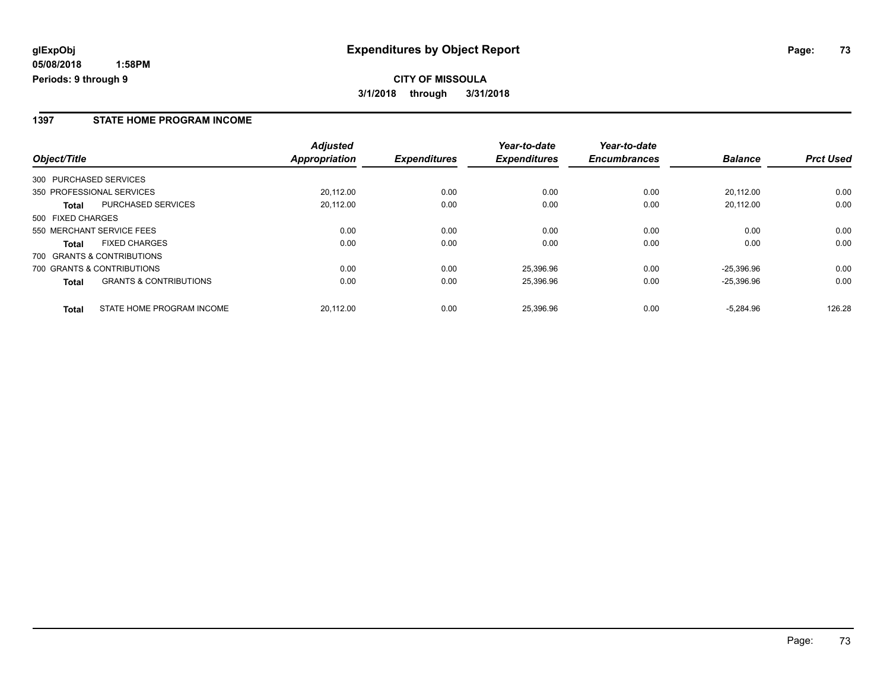**3/1/2018 through 3/31/2018**

#### **1397 STATE HOME PROGRAM INCOME**

|                                                   | <b>Adjusted</b>      |                     | Year-to-date        | Year-to-date        |                |                  |
|---------------------------------------------------|----------------------|---------------------|---------------------|---------------------|----------------|------------------|
| Object/Title                                      | <b>Appropriation</b> | <b>Expenditures</b> | <b>Expenditures</b> | <b>Encumbrances</b> | <b>Balance</b> | <b>Prct Used</b> |
| 300 PURCHASED SERVICES                            |                      |                     |                     |                     |                |                  |
| 350 PROFESSIONAL SERVICES                         | 20,112.00            | 0.00                | 0.00                | 0.00                | 20.112.00      | 0.00             |
| <b>PURCHASED SERVICES</b><br>Total                | 20,112.00            | 0.00                | 0.00                | 0.00                | 20.112.00      | 0.00             |
| 500 FIXED CHARGES                                 |                      |                     |                     |                     |                |                  |
| 550 MERCHANT SERVICE FEES                         | 0.00                 | 0.00                | 0.00                | 0.00                | 0.00           | 0.00             |
| <b>FIXED CHARGES</b><br><b>Total</b>              | 0.00                 | 0.00                | 0.00                | 0.00                | 0.00           | 0.00             |
| 700 GRANTS & CONTRIBUTIONS                        |                      |                     |                     |                     |                |                  |
| 700 GRANTS & CONTRIBUTIONS                        | 0.00                 | 0.00                | 25.396.96           | 0.00                | $-25.396.96$   | 0.00             |
| <b>GRANTS &amp; CONTRIBUTIONS</b><br><b>Total</b> | 0.00                 | 0.00                | 25,396.96           | 0.00                | $-25.396.96$   | 0.00             |
| STATE HOME PROGRAM INCOME<br><b>Total</b>         | 20.112.00            | 0.00                | 25.396.96           | 0.00                | $-5.284.96$    | 126.28           |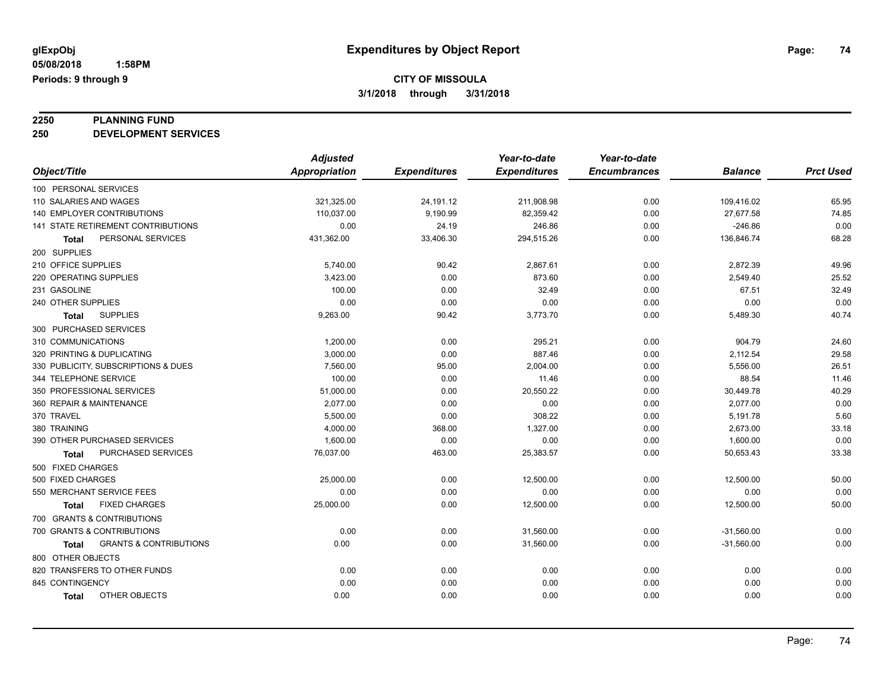# **2250 PLANNING FUND**

**250 DEVELOPMENT SERVICES**

|                                            | <b>Adjusted</b>      |                     | Year-to-date        | Year-to-date        |                |                  |
|--------------------------------------------|----------------------|---------------------|---------------------|---------------------|----------------|------------------|
| Object/Title                               | <b>Appropriation</b> | <b>Expenditures</b> | <b>Expenditures</b> | <b>Encumbrances</b> | <b>Balance</b> | <b>Prct Used</b> |
| 100 PERSONAL SERVICES                      |                      |                     |                     |                     |                |                  |
| 110 SALARIES AND WAGES                     | 321,325.00           | 24,191.12           | 211,908.98          | 0.00                | 109,416.02     | 65.95            |
| <b>140 EMPLOYER CONTRIBUTIONS</b>          | 110,037.00           | 9,190.99            | 82,359.42           | 0.00                | 27,677.58      | 74.85            |
| 141 STATE RETIREMENT CONTRIBUTIONS         | 0.00                 | 24.19               | 246.86              | 0.00                | $-246.86$      | 0.00             |
| PERSONAL SERVICES<br>Total                 | 431,362.00           | 33,406.30           | 294,515.26          | 0.00                | 136,846.74     | 68.28            |
| 200 SUPPLIES                               |                      |                     |                     |                     |                |                  |
| 210 OFFICE SUPPLIES                        | 5,740.00             | 90.42               | 2,867.61            | 0.00                | 2,872.39       | 49.96            |
| 220 OPERATING SUPPLIES                     | 3,423.00             | 0.00                | 873.60              | 0.00                | 2,549.40       | 25.52            |
| 231 GASOLINE                               | 100.00               | 0.00                | 32.49               | 0.00                | 67.51          | 32.49            |
| 240 OTHER SUPPLIES                         | 0.00                 | 0.00                | 0.00                | 0.00                | 0.00           | 0.00             |
| <b>SUPPLIES</b><br><b>Total</b>            | 9,263.00             | 90.42               | 3,773.70            | 0.00                | 5,489.30       | 40.74            |
| 300 PURCHASED SERVICES                     |                      |                     |                     |                     |                |                  |
| 310 COMMUNICATIONS                         | 1,200.00             | 0.00                | 295.21              | 0.00                | 904.79         | 24.60            |
| 320 PRINTING & DUPLICATING                 | 3,000.00             | 0.00                | 887.46              | 0.00                | 2,112.54       | 29.58            |
| 330 PUBLICITY, SUBSCRIPTIONS & DUES        | 7,560.00             | 95.00               | 2,004.00            | 0.00                | 5,556.00       | 26.51            |
| 344 TELEPHONE SERVICE                      | 100.00               | 0.00                | 11.46               | 0.00                | 88.54          | 11.46            |
| 350 PROFESSIONAL SERVICES                  | 51,000.00            | 0.00                | 20,550.22           | 0.00                | 30,449.78      | 40.29            |
| 360 REPAIR & MAINTENANCE                   | 2,077.00             | 0.00                | 0.00                | 0.00                | 2,077.00       | 0.00             |
| 370 TRAVEL                                 | 5,500.00             | 0.00                | 308.22              | 0.00                | 5,191.78       | 5.60             |
| 380 TRAINING                               | 4,000.00             | 368.00              | 1,327.00            | 0.00                | 2,673.00       | 33.18            |
| 390 OTHER PURCHASED SERVICES               | 1,600.00             | 0.00                | 0.00                | 0.00                | 1,600.00       | 0.00             |
| <b>PURCHASED SERVICES</b><br>Total         | 76,037.00            | 463.00              | 25,383.57           | 0.00                | 50,653.43      | 33.38            |
| 500 FIXED CHARGES                          |                      |                     |                     |                     |                |                  |
| 500 FIXED CHARGES                          | 25,000.00            | 0.00                | 12,500.00           | 0.00                | 12,500.00      | 50.00            |
| 550 MERCHANT SERVICE FEES                  | 0.00                 | 0.00                | 0.00                | 0.00                | 0.00           | 0.00             |
| <b>FIXED CHARGES</b><br>Total              | 25,000.00            | 0.00                | 12,500.00           | 0.00                | 12,500.00      | 50.00            |
| 700 GRANTS & CONTRIBUTIONS                 |                      |                     |                     |                     |                |                  |
| 700 GRANTS & CONTRIBUTIONS                 | 0.00                 | 0.00                | 31,560.00           | 0.00                | $-31,560.00$   | 0.00             |
| <b>GRANTS &amp; CONTRIBUTIONS</b><br>Total | 0.00                 | 0.00                | 31,560.00           | 0.00                | $-31,560.00$   | 0.00             |
| 800 OTHER OBJECTS                          |                      |                     |                     |                     |                |                  |
| 820 TRANSFERS TO OTHER FUNDS               | 0.00                 | 0.00                | 0.00                | 0.00                | 0.00           | 0.00             |
| 845 CONTINGENCY                            | 0.00                 | 0.00                | 0.00                | 0.00                | 0.00           | 0.00             |
| OTHER OBJECTS<br><b>Total</b>              | 0.00                 | 0.00                | 0.00                | 0.00                | 0.00           | 0.00             |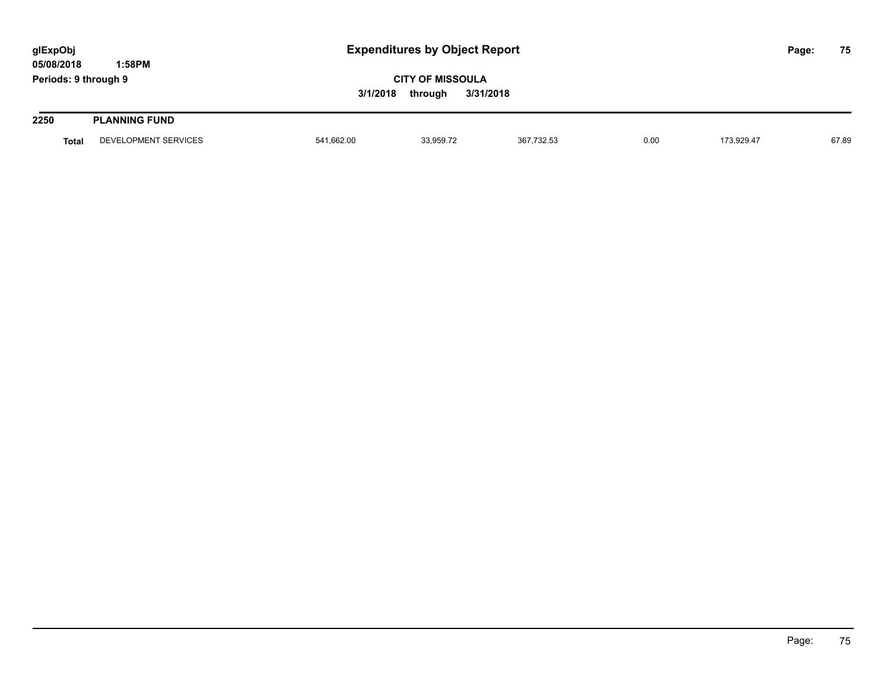| glExpObj<br>05/08/2018 | 1:58PM               |            | <b>Expenditures by Object Report</b>            |            |      |            |  | 75    |
|------------------------|----------------------|------------|-------------------------------------------------|------------|------|------------|--|-------|
| Periods: 9 through 9   |                      | 3/1/2018   | <b>CITY OF MISSOULA</b><br>3/31/2018<br>through |            |      |            |  |       |
| 2250                   | <b>PLANNING FUND</b> |            |                                                 |            |      |            |  |       |
| <b>Total</b>           | DEVELOPMENT SERVICES | 541,662.00 | 33,959.72                                       | 367.732.53 | 0.00 | 173.929.47 |  | 67.89 |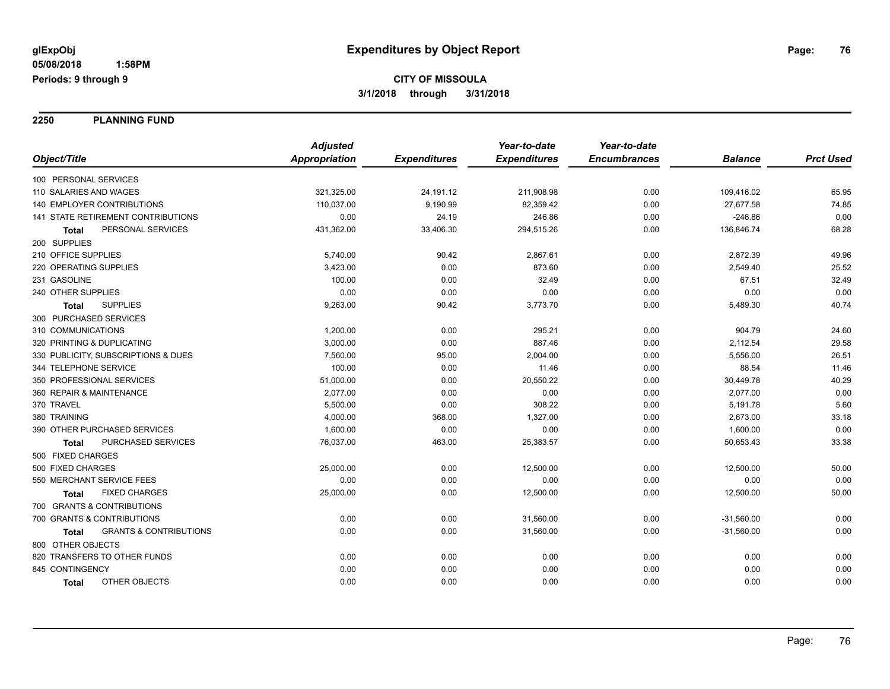**2250 PLANNING FUND**

|                                            | <b>Adjusted</b> |                     | Year-to-date        | Year-to-date        |                |                  |
|--------------------------------------------|-----------------|---------------------|---------------------|---------------------|----------------|------------------|
| Object/Title                               | Appropriation   | <b>Expenditures</b> | <b>Expenditures</b> | <b>Encumbrances</b> | <b>Balance</b> | <b>Prct Used</b> |
| 100 PERSONAL SERVICES                      |                 |                     |                     |                     |                |                  |
| 110 SALARIES AND WAGES                     | 321,325.00      | 24,191.12           | 211,908.98          | 0.00                | 109,416.02     | 65.95            |
| <b>140 EMPLOYER CONTRIBUTIONS</b>          | 110.037.00      | 9,190.99            | 82,359.42           | 0.00                | 27,677.58      | 74.85            |
| 141 STATE RETIREMENT CONTRIBUTIONS         | 0.00            | 24.19               | 246.86              | 0.00                | $-246.86$      | 0.00             |
| PERSONAL SERVICES<br>Total                 | 431,362.00      | 33,406.30           | 294,515.26          | 0.00                | 136,846.74     | 68.28            |
| 200 SUPPLIES                               |                 |                     |                     |                     |                |                  |
| 210 OFFICE SUPPLIES                        | 5,740.00        | 90.42               | 2,867.61            | 0.00                | 2,872.39       | 49.96            |
| 220 OPERATING SUPPLIES                     | 3,423.00        | 0.00                | 873.60              | 0.00                | 2,549.40       | 25.52            |
| 231 GASOLINE                               | 100.00          | 0.00                | 32.49               | 0.00                | 67.51          | 32.49            |
| 240 OTHER SUPPLIES                         | 0.00            | 0.00                | 0.00                | 0.00                | 0.00           | 0.00             |
| <b>SUPPLIES</b><br><b>Total</b>            | 9,263.00        | 90.42               | 3,773.70            | 0.00                | 5,489.30       | 40.74            |
| 300 PURCHASED SERVICES                     |                 |                     |                     |                     |                |                  |
| 310 COMMUNICATIONS                         | 1,200.00        | 0.00                | 295.21              | 0.00                | 904.79         | 24.60            |
| 320 PRINTING & DUPLICATING                 | 3,000.00        | 0.00                | 887.46              | 0.00                | 2,112.54       | 29.58            |
| 330 PUBLICITY, SUBSCRIPTIONS & DUES        | 7,560.00        | 95.00               | 2,004.00            | 0.00                | 5,556.00       | 26.51            |
| 344 TELEPHONE SERVICE                      | 100.00          | 0.00                | 11.46               | 0.00                | 88.54          | 11.46            |
| 350 PROFESSIONAL SERVICES                  | 51,000.00       | 0.00                | 20,550.22           | 0.00                | 30,449.78      | 40.29            |
| 360 REPAIR & MAINTENANCE                   | 2,077.00        | 0.00                | 0.00                | 0.00                | 2,077.00       | 0.00             |
| 370 TRAVEL                                 | 5,500.00        | 0.00                | 308.22              | 0.00                | 5,191.78       | 5.60             |
| 380 TRAINING                               | 4,000.00        | 368.00              | 1,327.00            | 0.00                | 2,673.00       | 33.18            |
| 390 OTHER PURCHASED SERVICES               | 1,600.00        | 0.00                | 0.00                | 0.00                | 1,600.00       | 0.00             |
| <b>PURCHASED SERVICES</b><br><b>Total</b>  | 76,037.00       | 463.00              | 25,383.57           | 0.00                | 50,653.43      | 33.38            |
| 500 FIXED CHARGES                          |                 |                     |                     |                     |                |                  |
| 500 FIXED CHARGES                          | 25,000.00       | 0.00                | 12,500.00           | 0.00                | 12,500.00      | 50.00            |
| 550 MERCHANT SERVICE FEES                  | 0.00            | 0.00                | 0.00                | 0.00                | 0.00           | 0.00             |
| <b>FIXED CHARGES</b><br><b>Total</b>       | 25,000.00       | 0.00                | 12,500.00           | 0.00                | 12,500.00      | 50.00            |
| 700 GRANTS & CONTRIBUTIONS                 |                 |                     |                     |                     |                |                  |
| 700 GRANTS & CONTRIBUTIONS                 | 0.00            | 0.00                | 31,560.00           | 0.00                | $-31,560.00$   | 0.00             |
| <b>GRANTS &amp; CONTRIBUTIONS</b><br>Total | 0.00            | 0.00                | 31,560.00           | 0.00                | $-31,560.00$   | 0.00             |
| 800 OTHER OBJECTS                          |                 |                     |                     |                     |                |                  |
| 820 TRANSFERS TO OTHER FUNDS               | 0.00            | 0.00                | 0.00                | 0.00                | 0.00           | 0.00             |
| 845 CONTINGENCY                            | 0.00            | 0.00                | 0.00                | 0.00                | 0.00           | 0.00             |
| OTHER OBJECTS<br><b>Total</b>              | 0.00            | 0.00                | 0.00                | 0.00                | 0.00           | 0.00             |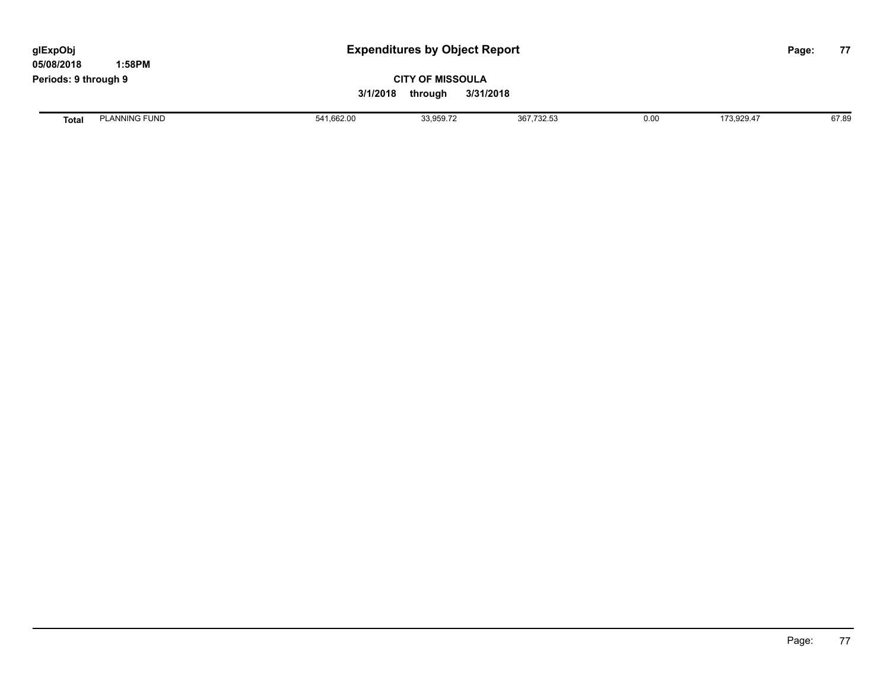| glExpObj<br>05/08/2018 | 1:58PM               | <b>Expenditures by Object Report</b> |                      |                         |      |            |  | 77    |
|------------------------|----------------------|--------------------------------------|----------------------|-------------------------|------|------------|--|-------|
| Periods: 9 through 9   |                      | <b>CITY OF MISSOULA</b><br>3/1/2018  |                      |                         |      |            |  |       |
| <b>Total</b>           | <b>PLANNING FUND</b> | 541,662.00                           | through<br>33,959.72 | 3/31/2018<br>367,732.53 | 0.00 | 173,929.47 |  | 67.89 |
|                        |                      |                                      |                      |                         |      |            |  |       |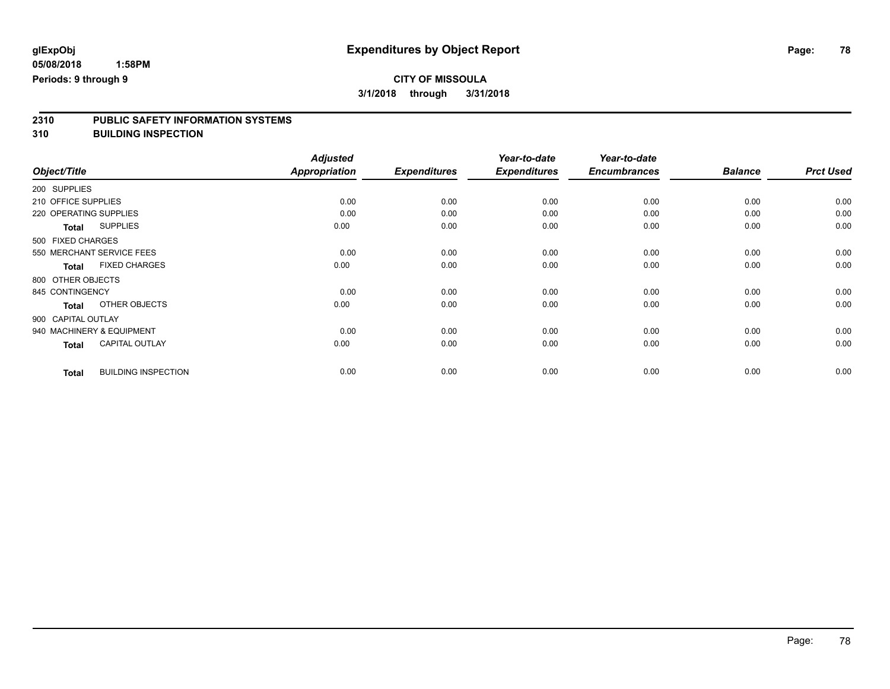**2310 PUBLIC SAFETY INFORMATION SYSTEMS**

**310 BUILDING INSPECTION**

|                        |                            | <b>Adjusted</b> |                     | Year-to-date        | Year-to-date        |                |                  |
|------------------------|----------------------------|-----------------|---------------------|---------------------|---------------------|----------------|------------------|
| Object/Title           |                            | Appropriation   | <b>Expenditures</b> | <b>Expenditures</b> | <b>Encumbrances</b> | <b>Balance</b> | <b>Prct Used</b> |
| 200 SUPPLIES           |                            |                 |                     |                     |                     |                |                  |
| 210 OFFICE SUPPLIES    |                            | 0.00            | 0.00                | 0.00                | 0.00                | 0.00           | 0.00             |
| 220 OPERATING SUPPLIES |                            | 0.00            | 0.00                | 0.00                | 0.00                | 0.00           | 0.00             |
| Total                  | <b>SUPPLIES</b>            | 0.00            | 0.00                | 0.00                | 0.00                | 0.00           | 0.00             |
| 500 FIXED CHARGES      |                            |                 |                     |                     |                     |                |                  |
|                        | 550 MERCHANT SERVICE FEES  | 0.00            | 0.00                | 0.00                | 0.00                | 0.00           | 0.00             |
| Total                  | <b>FIXED CHARGES</b>       | 0.00            | 0.00                | 0.00                | 0.00                | 0.00           | 0.00             |
| 800 OTHER OBJECTS      |                            |                 |                     |                     |                     |                |                  |
| 845 CONTINGENCY        |                            | 0.00            | 0.00                | 0.00                | 0.00                | 0.00           | 0.00             |
| Total                  | OTHER OBJECTS              | 0.00            | 0.00                | 0.00                | 0.00                | 0.00           | 0.00             |
| 900 CAPITAL OUTLAY     |                            |                 |                     |                     |                     |                |                  |
|                        | 940 MACHINERY & EQUIPMENT  | 0.00            | 0.00                | 0.00                | 0.00                | 0.00           | 0.00             |
| <b>Total</b>           | <b>CAPITAL OUTLAY</b>      | 0.00            | 0.00                | 0.00                | 0.00                | 0.00           | 0.00             |
| <b>Total</b>           | <b>BUILDING INSPECTION</b> | 0.00            | 0.00                | 0.00                | 0.00                | 0.00           | 0.00             |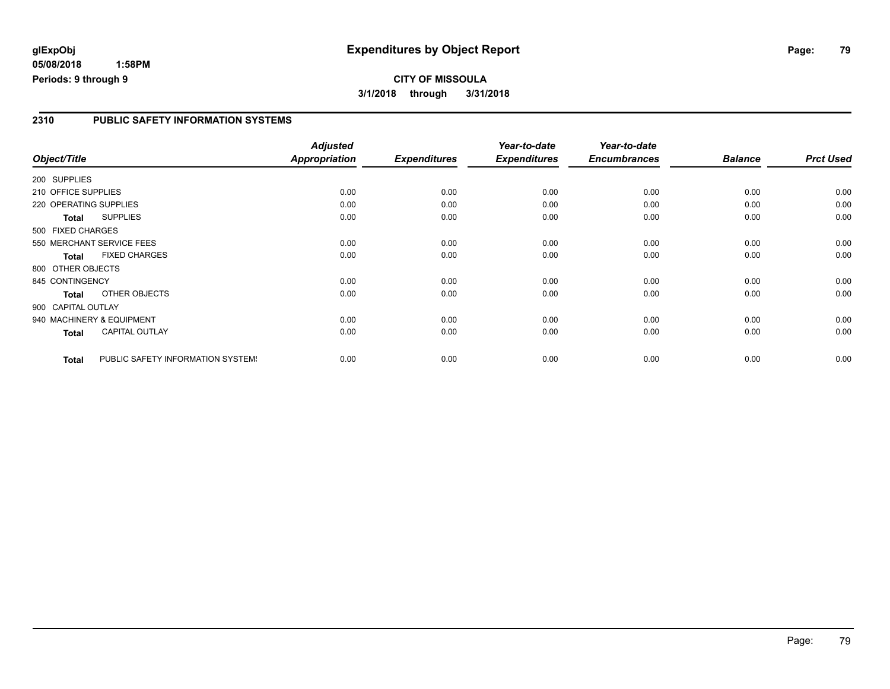#### **2310 PUBLIC SAFETY INFORMATION SYSTEMS**

|                        |                                   | <b>Adjusted</b>      |                     | Year-to-date        | Year-to-date        |                |                  |
|------------------------|-----------------------------------|----------------------|---------------------|---------------------|---------------------|----------------|------------------|
| Object/Title           |                                   | <b>Appropriation</b> | <b>Expenditures</b> | <b>Expenditures</b> | <b>Encumbrances</b> | <b>Balance</b> | <b>Prct Used</b> |
| 200 SUPPLIES           |                                   |                      |                     |                     |                     |                |                  |
| 210 OFFICE SUPPLIES    |                                   | 0.00                 | 0.00                | 0.00                | 0.00                | 0.00           | 0.00             |
| 220 OPERATING SUPPLIES |                                   | 0.00                 | 0.00                | 0.00                | 0.00                | 0.00           | 0.00             |
| Total                  | <b>SUPPLIES</b>                   | 0.00                 | 0.00                | 0.00                | 0.00                | 0.00           | 0.00             |
| 500 FIXED CHARGES      |                                   |                      |                     |                     |                     |                |                  |
|                        | 550 MERCHANT SERVICE FEES         | 0.00                 | 0.00                | 0.00                | 0.00                | 0.00           | 0.00             |
| <b>Total</b>           | <b>FIXED CHARGES</b>              | 0.00                 | 0.00                | 0.00                | 0.00                | 0.00           | 0.00             |
| 800 OTHER OBJECTS      |                                   |                      |                     |                     |                     |                |                  |
| 845 CONTINGENCY        |                                   | 0.00                 | 0.00                | 0.00                | 0.00                | 0.00           | 0.00             |
| <b>Total</b>           | OTHER OBJECTS                     | 0.00                 | 0.00                | 0.00                | 0.00                | 0.00           | 0.00             |
| 900 CAPITAL OUTLAY     |                                   |                      |                     |                     |                     |                |                  |
|                        | 940 MACHINERY & EQUIPMENT         | 0.00                 | 0.00                | 0.00                | 0.00                | 0.00           | 0.00             |
| Total                  | <b>CAPITAL OUTLAY</b>             | 0.00                 | 0.00                | 0.00                | 0.00                | 0.00           | 0.00             |
| <b>Total</b>           | PUBLIC SAFETY INFORMATION SYSTEM! | 0.00                 | 0.00                | 0.00                | 0.00                | 0.00           | 0.00             |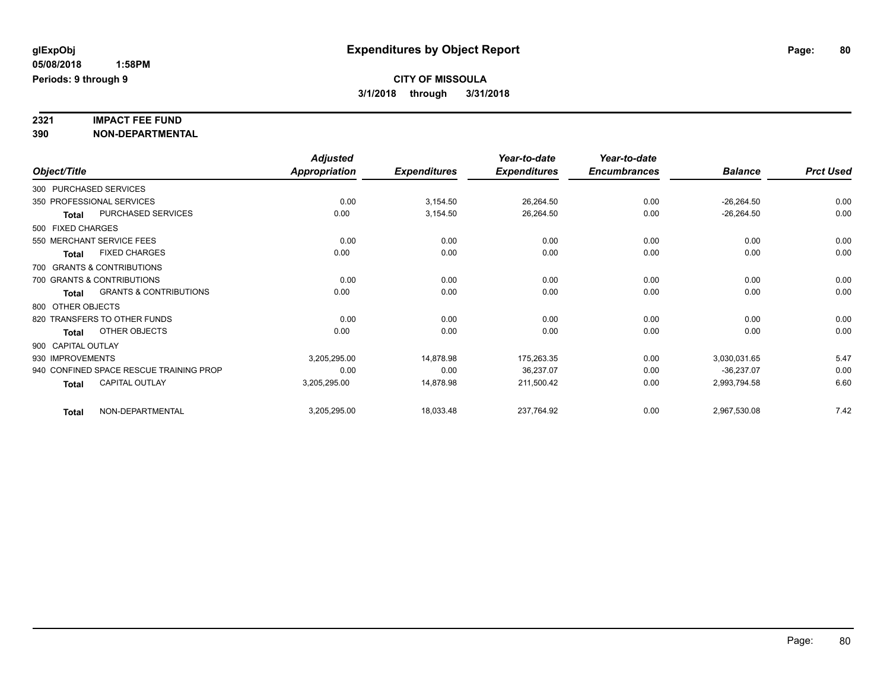# **2321 IMPACT FEE FUND**

|                    |                                         | <b>Adjusted</b>      |                     | Year-to-date        | Year-to-date        |                |                  |
|--------------------|-----------------------------------------|----------------------|---------------------|---------------------|---------------------|----------------|------------------|
| Object/Title       |                                         | <b>Appropriation</b> | <b>Expenditures</b> | <b>Expenditures</b> | <b>Encumbrances</b> | <b>Balance</b> | <b>Prct Used</b> |
|                    | 300 PURCHASED SERVICES                  |                      |                     |                     |                     |                |                  |
|                    | 350 PROFESSIONAL SERVICES               | 0.00                 | 3,154.50            | 26,264.50           | 0.00                | $-26,264.50$   | 0.00             |
| <b>Total</b>       | PURCHASED SERVICES                      | 0.00                 | 3,154.50            | 26,264.50           | 0.00                | $-26,264.50$   | 0.00             |
| 500 FIXED CHARGES  |                                         |                      |                     |                     |                     |                |                  |
|                    | 550 MERCHANT SERVICE FEES               | 0.00                 | 0.00                | 0.00                | 0.00                | 0.00           | 0.00             |
| <b>Total</b>       | <b>FIXED CHARGES</b>                    | 0.00                 | 0.00                | 0.00                | 0.00                | 0.00           | 0.00             |
|                    | 700 GRANTS & CONTRIBUTIONS              |                      |                     |                     |                     |                |                  |
|                    | 700 GRANTS & CONTRIBUTIONS              | 0.00                 | 0.00                | 0.00                | 0.00                | 0.00           | 0.00             |
| <b>Total</b>       | <b>GRANTS &amp; CONTRIBUTIONS</b>       | 0.00                 | 0.00                | 0.00                | 0.00                | 0.00           | 0.00             |
| 800 OTHER OBJECTS  |                                         |                      |                     |                     |                     |                |                  |
|                    | 820 TRANSFERS TO OTHER FUNDS            | 0.00                 | 0.00                | 0.00                | 0.00                | 0.00           | 0.00             |
| Total              | OTHER OBJECTS                           | 0.00                 | 0.00                | 0.00                | 0.00                | 0.00           | 0.00             |
| 900 CAPITAL OUTLAY |                                         |                      |                     |                     |                     |                |                  |
| 930 IMPROVEMENTS   |                                         | 3,205,295.00         | 14,878.98           | 175,263.35          | 0.00                | 3,030,031.65   | 5.47             |
|                    | 940 CONFINED SPACE RESCUE TRAINING PROP | 0.00                 | 0.00                | 36,237.07           | 0.00                | $-36,237.07$   | 0.00             |
| <b>Total</b>       | <b>CAPITAL OUTLAY</b>                   | 3,205,295.00         | 14,878.98           | 211,500.42          | 0.00                | 2,993,794.58   | 6.60             |
| <b>Total</b>       | NON-DEPARTMENTAL                        | 3,205,295.00         | 18,033.48           | 237,764.92          | 0.00                | 2,967,530.08   | 7.42             |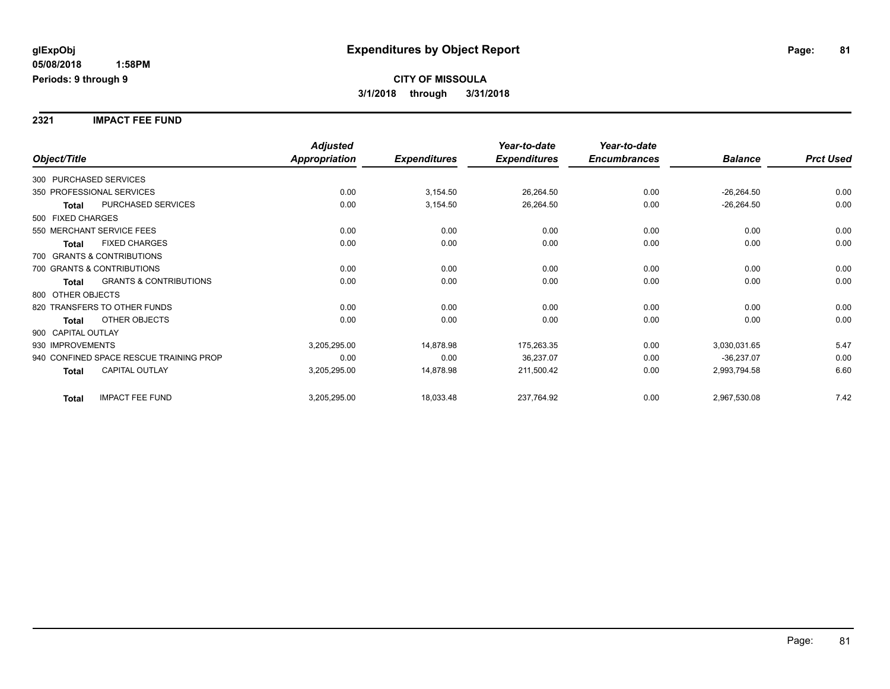**2321 IMPACT FEE FUND**

|                                            | <b>Adjusted</b>      |                     | Year-to-date        | Year-to-date        |                |                  |
|--------------------------------------------|----------------------|---------------------|---------------------|---------------------|----------------|------------------|
| Object/Title                               | <b>Appropriation</b> | <b>Expenditures</b> | <b>Expenditures</b> | <b>Encumbrances</b> | <b>Balance</b> | <b>Prct Used</b> |
| 300 PURCHASED SERVICES                     |                      |                     |                     |                     |                |                  |
| 350 PROFESSIONAL SERVICES                  | 0.00                 | 3,154.50            | 26,264.50           | 0.00                | $-26,264.50$   | 0.00             |
| PURCHASED SERVICES<br><b>Total</b>         | 0.00                 | 3,154.50            | 26,264.50           | 0.00                | $-26,264.50$   | 0.00             |
| 500 FIXED CHARGES                          |                      |                     |                     |                     |                |                  |
| 550 MERCHANT SERVICE FEES                  | 0.00                 | 0.00                | 0.00                | 0.00                | 0.00           | 0.00             |
| <b>FIXED CHARGES</b><br><b>Total</b>       | 0.00                 | 0.00                | 0.00                | 0.00                | 0.00           | 0.00             |
| 700 GRANTS & CONTRIBUTIONS                 |                      |                     |                     |                     |                |                  |
| 700 GRANTS & CONTRIBUTIONS                 | 0.00                 | 0.00                | 0.00                | 0.00                | 0.00           | 0.00             |
| <b>GRANTS &amp; CONTRIBUTIONS</b><br>Total | 0.00                 | 0.00                | 0.00                | 0.00                | 0.00           | 0.00             |
| 800 OTHER OBJECTS                          |                      |                     |                     |                     |                |                  |
| 820 TRANSFERS TO OTHER FUNDS               | 0.00                 | 0.00                | 0.00                | 0.00                | 0.00           | 0.00             |
| OTHER OBJECTS<br><b>Total</b>              | 0.00                 | 0.00                | 0.00                | 0.00                | 0.00           | 0.00             |
| 900 CAPITAL OUTLAY                         |                      |                     |                     |                     |                |                  |
| 930 IMPROVEMENTS                           | 3,205,295.00         | 14,878.98           | 175,263.35          | 0.00                | 3,030,031.65   | 5.47             |
| 940 CONFINED SPACE RESCUE TRAINING PROP    | 0.00                 | 0.00                | 36,237.07           | 0.00                | $-36,237.07$   | 0.00             |
| CAPITAL OUTLAY<br><b>Total</b>             | 3,205,295.00         | 14,878.98           | 211,500.42          | 0.00                | 2,993,794.58   | 6.60             |
| <b>IMPACT FEE FUND</b><br><b>Total</b>     | 3,205,295.00         | 18,033.48           | 237,764.92          | 0.00                | 2,967,530.08   | 7.42             |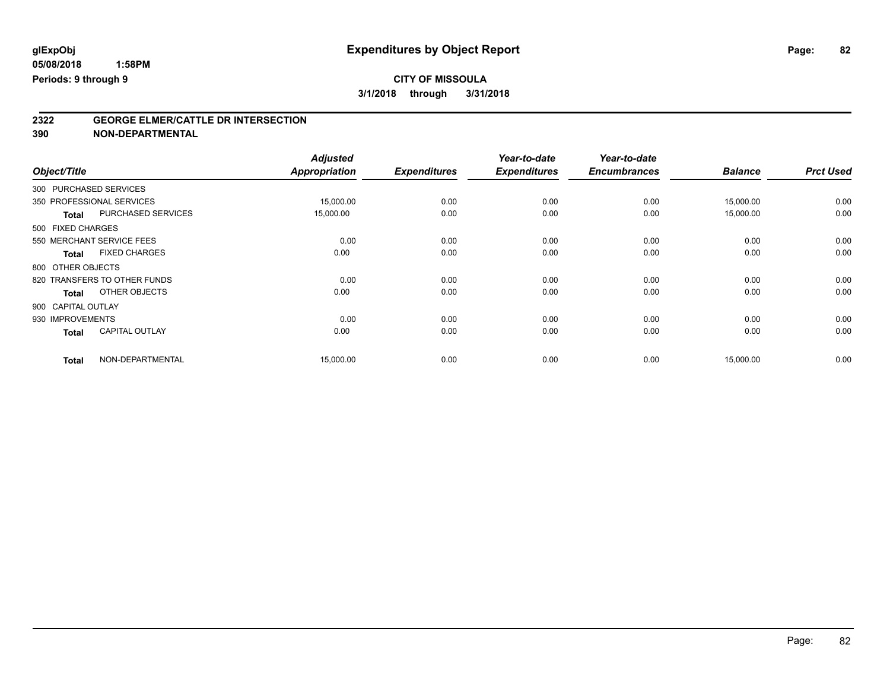# **CITY OF MISSOULA**

**3/1/2018 through 3/31/2018**

# **2322 GEORGE ELMER/CATTLE DR INTERSECTION**

|                  |                              | <b>Adjusted</b>      |                     | Year-to-date        | Year-to-date        |                |                  |
|------------------|------------------------------|----------------------|---------------------|---------------------|---------------------|----------------|------------------|
| Object/Title     |                              | <b>Appropriation</b> | <b>Expenditures</b> | <b>Expenditures</b> | <b>Encumbrances</b> | <b>Balance</b> | <b>Prct Used</b> |
|                  | 300 PURCHASED SERVICES       |                      |                     |                     |                     |                |                  |
|                  | 350 PROFESSIONAL SERVICES    | 15,000.00            | 0.00                | 0.00                | 0.00                | 15,000.00      | 0.00             |
| <b>Total</b>     | PURCHASED SERVICES           | 15,000.00            | 0.00                | 0.00                | 0.00                | 15,000.00      | 0.00             |
|                  | 500 FIXED CHARGES            |                      |                     |                     |                     |                |                  |
|                  | 550 MERCHANT SERVICE FEES    | 0.00                 | 0.00                | 0.00                | 0.00                | 0.00           | 0.00             |
| <b>Total</b>     | <b>FIXED CHARGES</b>         | 0.00                 | 0.00                | 0.00                | 0.00                | 0.00           | 0.00             |
|                  | 800 OTHER OBJECTS            |                      |                     |                     |                     |                |                  |
|                  | 820 TRANSFERS TO OTHER FUNDS | 0.00                 | 0.00                | 0.00                | 0.00                | 0.00           | 0.00             |
| Total            | OTHER OBJECTS                | 0.00                 | 0.00                | 0.00                | 0.00                | 0.00           | 0.00             |
|                  | 900 CAPITAL OUTLAY           |                      |                     |                     |                     |                |                  |
| 930 IMPROVEMENTS |                              | 0.00                 | 0.00                | 0.00                | 0.00                | 0.00           | 0.00             |
| <b>Total</b>     | <b>CAPITAL OUTLAY</b>        | 0.00                 | 0.00                | 0.00                | 0.00                | 0.00           | 0.00             |
| <b>Total</b>     | NON-DEPARTMENTAL             | 15,000.00            | 0.00                | 0.00                | 0.00                | 15,000.00      | 0.00             |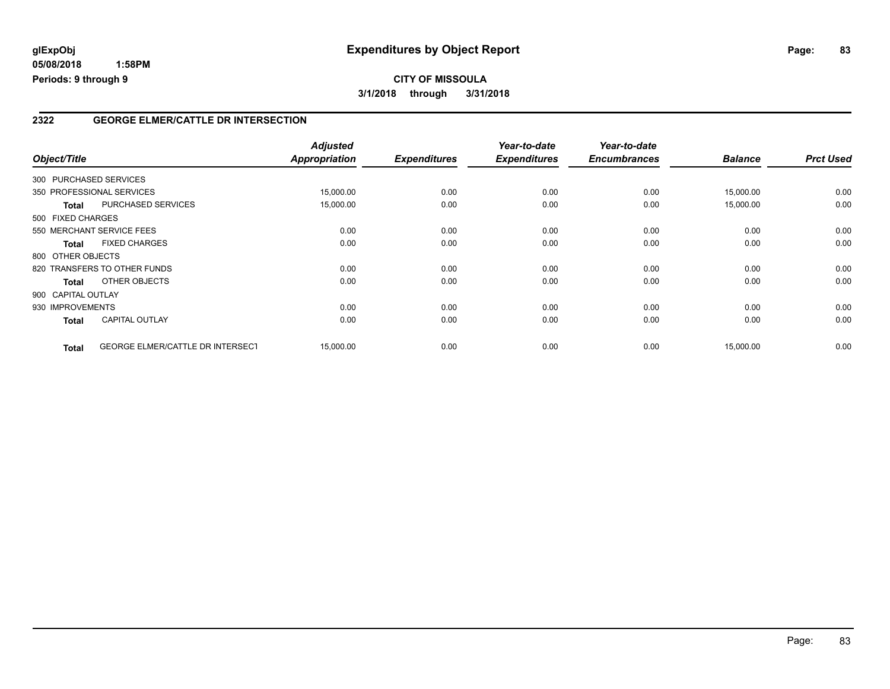#### **2322 GEORGE ELMER/CATTLE DR INTERSECTION**

| Object/Title           |                                         | <b>Adjusted</b><br>Appropriation | <b>Expenditures</b> | Year-to-date<br><b>Expenditures</b> | Year-to-date<br><b>Encumbrances</b> | <b>Balance</b> | <b>Prct Used</b> |
|------------------------|-----------------------------------------|----------------------------------|---------------------|-------------------------------------|-------------------------------------|----------------|------------------|
| 300 PURCHASED SERVICES |                                         |                                  |                     |                                     |                                     |                |                  |
|                        | 350 PROFESSIONAL SERVICES               | 15,000.00                        | 0.00                | 0.00                                | 0.00                                | 15,000.00      | 0.00             |
| <b>Total</b>           | <b>PURCHASED SERVICES</b>               | 15,000.00                        | 0.00                | 0.00                                | 0.00                                | 15,000.00      | 0.00             |
| 500 FIXED CHARGES      |                                         |                                  |                     |                                     |                                     |                |                  |
|                        | 550 MERCHANT SERVICE FEES               | 0.00                             | 0.00                | 0.00                                | 0.00                                | 0.00           | 0.00             |
| <b>Total</b>           | <b>FIXED CHARGES</b>                    | 0.00                             | 0.00                | 0.00                                | 0.00                                | 0.00           | 0.00             |
| 800 OTHER OBJECTS      |                                         |                                  |                     |                                     |                                     |                |                  |
|                        | 820 TRANSFERS TO OTHER FUNDS            | 0.00                             | 0.00                | 0.00                                | 0.00                                | 0.00           | 0.00             |
| Total                  | OTHER OBJECTS                           | 0.00                             | 0.00                | 0.00                                | 0.00                                | 0.00           | 0.00             |
| 900 CAPITAL OUTLAY     |                                         |                                  |                     |                                     |                                     |                |                  |
| 930 IMPROVEMENTS       |                                         | 0.00                             | 0.00                | 0.00                                | 0.00                                | 0.00           | 0.00             |
| <b>Total</b>           | <b>CAPITAL OUTLAY</b>                   | 0.00                             | 0.00                | 0.00                                | 0.00                                | 0.00           | 0.00             |
| <b>Total</b>           | <b>GEORGE ELMER/CATTLE DR INTERSECT</b> | 15,000.00                        | 0.00                | 0.00                                | 0.00                                | 15,000.00      | 0.00             |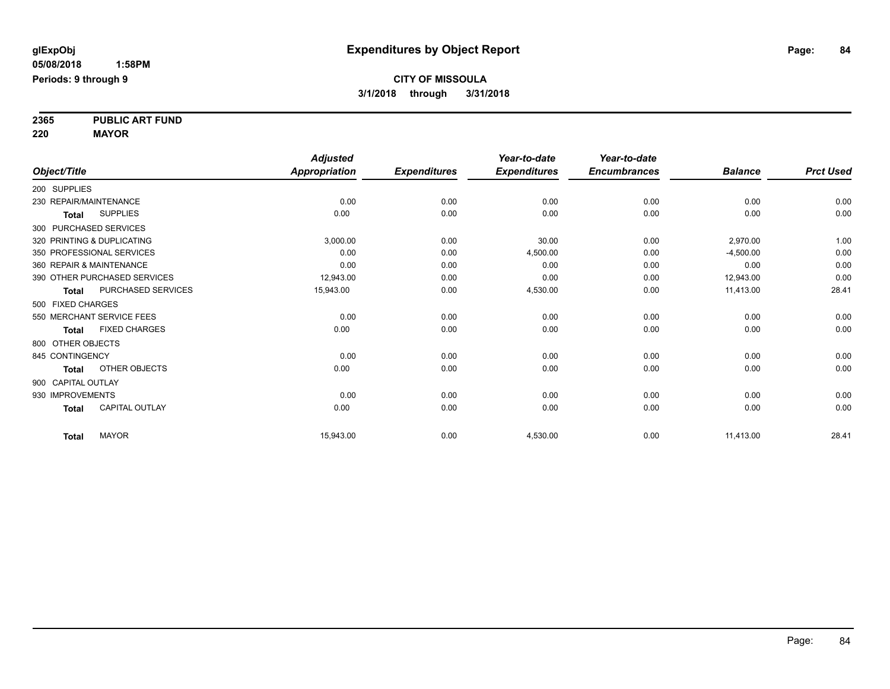**2365 PUBLIC ART FUND**

**220 MAYOR**

|                            |                              | <b>Adjusted</b>      |                     | Year-to-date        | Year-to-date        |                |                  |
|----------------------------|------------------------------|----------------------|---------------------|---------------------|---------------------|----------------|------------------|
| Object/Title               |                              | <b>Appropriation</b> | <b>Expenditures</b> | <b>Expenditures</b> | <b>Encumbrances</b> | <b>Balance</b> | <b>Prct Used</b> |
| 200 SUPPLIES               |                              |                      |                     |                     |                     |                |                  |
| 230 REPAIR/MAINTENANCE     |                              | 0.00                 | 0.00                | 0.00                | 0.00                | 0.00           | 0.00             |
| Total                      | <b>SUPPLIES</b>              | 0.00                 | 0.00                | 0.00                | 0.00                | 0.00           | 0.00             |
| 300 PURCHASED SERVICES     |                              |                      |                     |                     |                     |                |                  |
| 320 PRINTING & DUPLICATING |                              | 3,000.00             | 0.00                | 30.00               | 0.00                | 2,970.00       | 1.00             |
|                            | 350 PROFESSIONAL SERVICES    | 0.00                 | 0.00                | 4,500.00            | 0.00                | $-4,500.00$    | 0.00             |
| 360 REPAIR & MAINTENANCE   |                              | 0.00                 | 0.00                | 0.00                | 0.00                | 0.00           | 0.00             |
|                            | 390 OTHER PURCHASED SERVICES | 12,943.00            | 0.00                | 0.00                | 0.00                | 12,943.00      | 0.00             |
| <b>Total</b>               | PURCHASED SERVICES           | 15,943.00            | 0.00                | 4,530.00            | 0.00                | 11,413.00      | 28.41            |
| 500 FIXED CHARGES          |                              |                      |                     |                     |                     |                |                  |
|                            | 550 MERCHANT SERVICE FEES    | 0.00                 | 0.00                | 0.00                | 0.00                | 0.00           | 0.00             |
| <b>Total</b>               | <b>FIXED CHARGES</b>         | 0.00                 | 0.00                | 0.00                | 0.00                | 0.00           | 0.00             |
| 800 OTHER OBJECTS          |                              |                      |                     |                     |                     |                |                  |
| 845 CONTINGENCY            |                              | 0.00                 | 0.00                | 0.00                | 0.00                | 0.00           | 0.00             |
| <b>Total</b>               | OTHER OBJECTS                | 0.00                 | 0.00                | 0.00                | 0.00                | 0.00           | 0.00             |
| 900 CAPITAL OUTLAY         |                              |                      |                     |                     |                     |                |                  |
| 930 IMPROVEMENTS           |                              | 0.00                 | 0.00                | 0.00                | 0.00                | 0.00           | 0.00             |
| <b>Total</b>               | <b>CAPITAL OUTLAY</b>        | 0.00                 | 0.00                | 0.00                | 0.00                | 0.00           | 0.00             |
| <b>Total</b>               | <b>MAYOR</b>                 | 15,943.00            | 0.00                | 4,530.00            | 0.00                | 11,413.00      | 28.41            |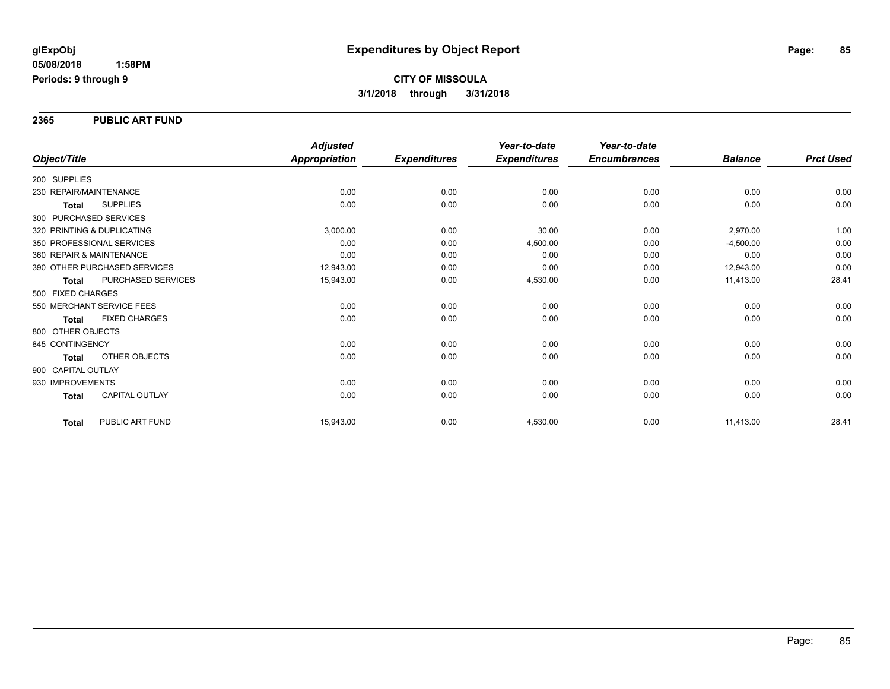**2365 PUBLIC ART FUND**

|                                       | <b>Adjusted</b>      |                     | Year-to-date        | Year-to-date        |                |                  |
|---------------------------------------|----------------------|---------------------|---------------------|---------------------|----------------|------------------|
| Object/Title                          | <b>Appropriation</b> | <b>Expenditures</b> | <b>Expenditures</b> | <b>Encumbrances</b> | <b>Balance</b> | <b>Prct Used</b> |
| 200 SUPPLIES                          |                      |                     |                     |                     |                |                  |
| 230 REPAIR/MAINTENANCE                | 0.00                 | 0.00                | 0.00                | 0.00                | 0.00           | 0.00             |
| <b>SUPPLIES</b><br><b>Total</b>       | 0.00                 | 0.00                | 0.00                | 0.00                | 0.00           | 0.00             |
| 300 PURCHASED SERVICES                |                      |                     |                     |                     |                |                  |
| 320 PRINTING & DUPLICATING            | 3,000.00             | 0.00                | 30.00               | 0.00                | 2,970.00       | 1.00             |
| 350 PROFESSIONAL SERVICES             | 0.00                 | 0.00                | 4,500.00            | 0.00                | $-4,500.00$    | 0.00             |
| 360 REPAIR & MAINTENANCE              | 0.00                 | 0.00                | 0.00                | 0.00                | 0.00           | 0.00             |
| 390 OTHER PURCHASED SERVICES          | 12,943.00            | 0.00                | 0.00                | 0.00                | 12,943.00      | 0.00             |
| PURCHASED SERVICES<br><b>Total</b>    | 15,943.00            | 0.00                | 4,530.00            | 0.00                | 11,413.00      | 28.41            |
| 500 FIXED CHARGES                     |                      |                     |                     |                     |                |                  |
| 550 MERCHANT SERVICE FEES             | 0.00                 | 0.00                | 0.00                | 0.00                | 0.00           | 0.00             |
| <b>FIXED CHARGES</b><br><b>Total</b>  | 0.00                 | 0.00                | 0.00                | 0.00                | 0.00           | 0.00             |
| 800 OTHER OBJECTS                     |                      |                     |                     |                     |                |                  |
| 845 CONTINGENCY                       | 0.00                 | 0.00                | 0.00                | 0.00                | 0.00           | 0.00             |
| OTHER OBJECTS<br><b>Total</b>         | 0.00                 | 0.00                | 0.00                | 0.00                | 0.00           | 0.00             |
| 900 CAPITAL OUTLAY                    |                      |                     |                     |                     |                |                  |
| 930 IMPROVEMENTS                      | 0.00                 | 0.00                | 0.00                | 0.00                | 0.00           | 0.00             |
| <b>CAPITAL OUTLAY</b><br><b>Total</b> | 0.00                 | 0.00                | 0.00                | 0.00                | 0.00           | 0.00             |
| PUBLIC ART FUND<br><b>Total</b>       | 15,943.00            | 0.00                | 4,530.00            | 0.00                | 11,413.00      | 28.41            |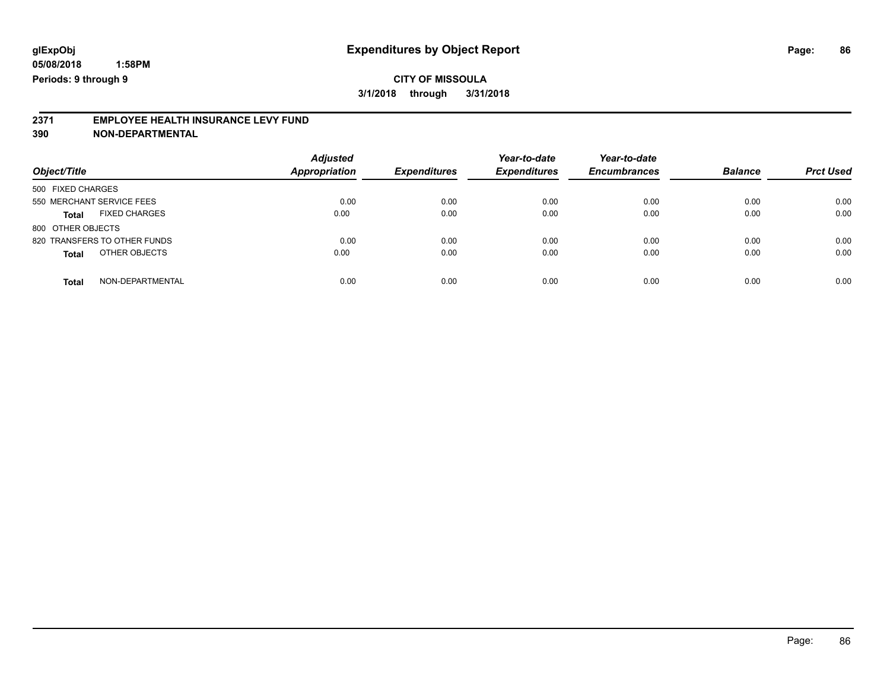### **CITY OF MISSOULA 3/1/2018 through 3/31/2018**

# **2371 EMPLOYEE HEALTH INSURANCE LEVY FUND**

| Object/Title                         | <b>Adjusted</b><br>Appropriation | <b>Expenditures</b> | Year-to-date<br><b>Expenditures</b> | Year-to-date<br><b>Encumbrances</b> | <b>Balance</b> | <b>Prct Used</b> |
|--------------------------------------|----------------------------------|---------------------|-------------------------------------|-------------------------------------|----------------|------------------|
| 500 FIXED CHARGES                    |                                  |                     |                                     |                                     |                |                  |
| 550 MERCHANT SERVICE FEES            | 0.00                             | 0.00                | 0.00                                | 0.00                                | 0.00           | 0.00             |
| <b>FIXED CHARGES</b><br><b>Total</b> | 0.00                             | 0.00                | 0.00                                | 0.00                                | 0.00           | 0.00             |
| 800 OTHER OBJECTS                    |                                  |                     |                                     |                                     |                |                  |
| 820 TRANSFERS TO OTHER FUNDS         | 0.00                             | 0.00                | 0.00                                | 0.00                                | 0.00           | 0.00             |
| OTHER OBJECTS<br><b>Total</b>        | 0.00                             | 0.00                | 0.00                                | 0.00                                | 0.00           | 0.00             |
| NON-DEPARTMENTAL<br>Total            | 0.00                             | 0.00                | 0.00                                | 0.00                                | 0.00           | 0.00             |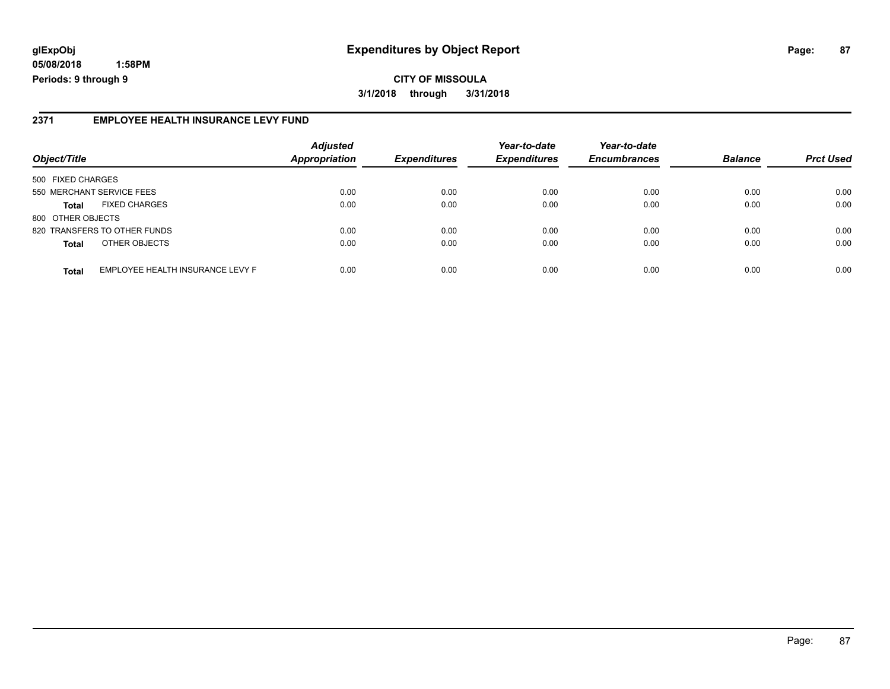**CITY OF MISSOULA 3/1/2018 through 3/31/2018**

#### **2371 EMPLOYEE HEALTH INSURANCE LEVY FUND**

|                   |                                  | <b>Adjusted</b>      |                     | Year-to-date        | Year-to-date        |                |                  |
|-------------------|----------------------------------|----------------------|---------------------|---------------------|---------------------|----------------|------------------|
| Object/Title      |                                  | <b>Appropriation</b> | <b>Expenditures</b> | <b>Expenditures</b> | <b>Encumbrances</b> | <b>Balance</b> | <b>Prct Used</b> |
| 500 FIXED CHARGES |                                  |                      |                     |                     |                     |                |                  |
|                   | 550 MERCHANT SERVICE FEES        | 0.00                 | 0.00                | 0.00                | 0.00                | 0.00           | 0.00             |
| <b>Total</b>      | <b>FIXED CHARGES</b>             | 0.00                 | 0.00                | 0.00                | 0.00                | 0.00           | 0.00             |
| 800 OTHER OBJECTS |                                  |                      |                     |                     |                     |                |                  |
|                   | 820 TRANSFERS TO OTHER FUNDS     | 0.00                 | 0.00                | 0.00                | 0.00                | 0.00           | 0.00             |
| <b>Total</b>      | OTHER OBJECTS                    | 0.00                 | 0.00                | 0.00                | 0.00                | 0.00           | 0.00             |
| <b>Total</b>      | EMPLOYEE HEALTH INSURANCE LEVY F | 0.00                 | 0.00                | 0.00                | 0.00                | 0.00           | 0.00             |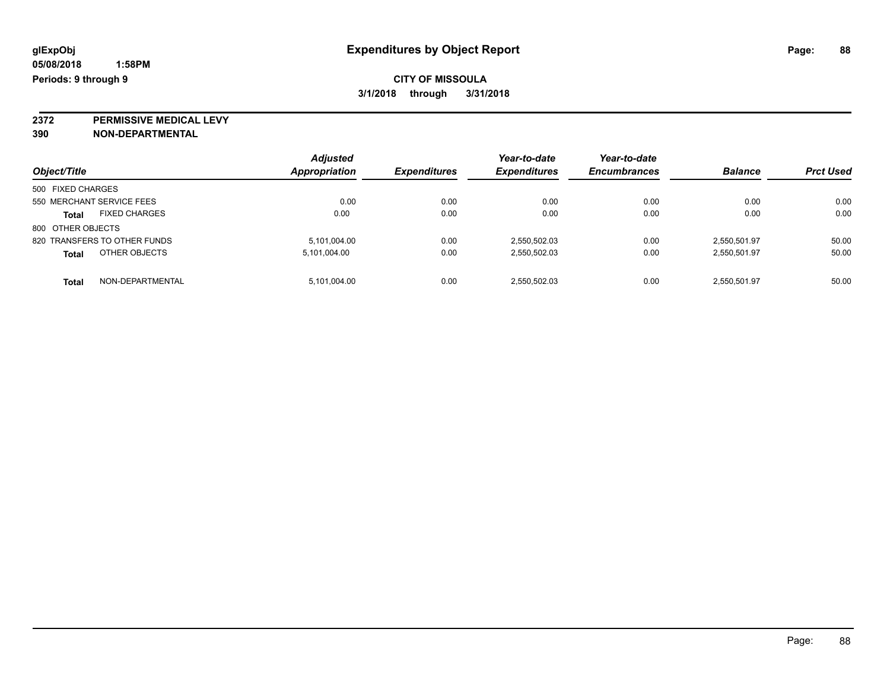**2372 PERMISSIVE MEDICAL LEVY**

| Object/Title                         | <b>Adjusted</b><br>Appropriation | <b>Expenditures</b> | Year-to-date<br><b>Expenditures</b> | Year-to-date<br><b>Encumbrances</b> | <b>Balance</b> | <b>Prct Used</b> |
|--------------------------------------|----------------------------------|---------------------|-------------------------------------|-------------------------------------|----------------|------------------|
| 500 FIXED CHARGES                    |                                  |                     |                                     |                                     |                |                  |
| 550 MERCHANT SERVICE FEES            | 0.00                             | 0.00                | 0.00                                | 0.00                                | 0.00           | 0.00             |
| <b>FIXED CHARGES</b><br><b>Total</b> | 0.00                             | 0.00                | 0.00                                | 0.00                                | 0.00           | 0.00             |
| 800 OTHER OBJECTS                    |                                  |                     |                                     |                                     |                |                  |
| 820 TRANSFERS TO OTHER FUNDS         | 5,101,004.00                     | 0.00                | 2,550,502.03                        | 0.00                                | 2,550,501.97   | 50.00            |
| OTHER OBJECTS<br><b>Total</b>        | 5.101.004.00                     | 0.00                | 2,550,502.03                        | 0.00                                | 2,550,501.97   | 50.00            |
| NON-DEPARTMENTAL<br><b>Total</b>     | 5,101,004.00                     | 0.00                | 2,550,502.03                        | 0.00                                | 2,550,501.97   | 50.00            |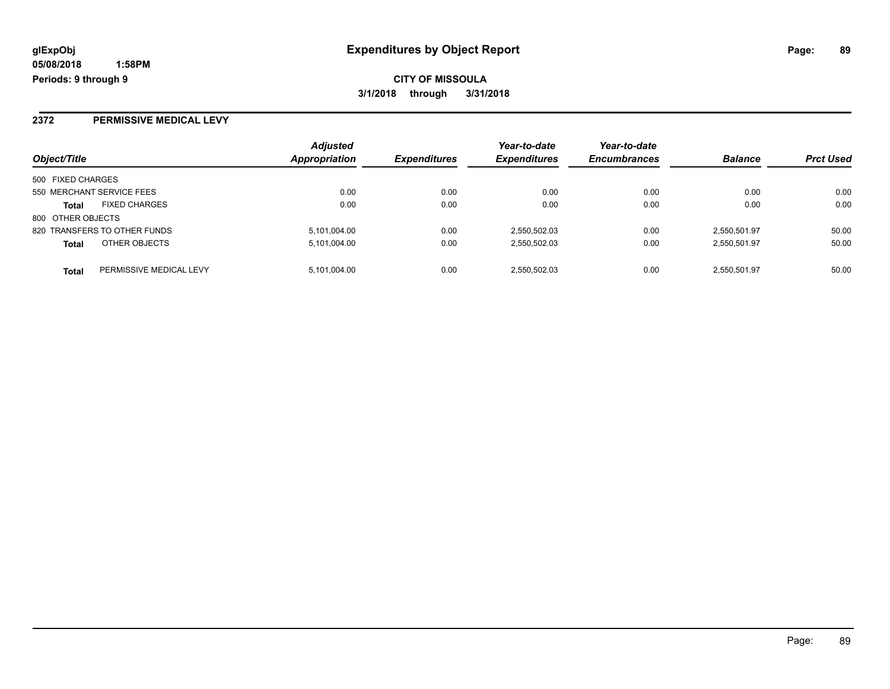### **2372 PERMISSIVE MEDICAL LEVY**

|                                         | <b>Adjusted</b> |                     | Year-to-date        | Year-to-date        | <b>Balance</b> |                  |
|-----------------------------------------|-----------------|---------------------|---------------------|---------------------|----------------|------------------|
| Object/Title                            | Appropriation   | <b>Expenditures</b> | <b>Expenditures</b> | <b>Encumbrances</b> |                | <b>Prct Used</b> |
| 500 FIXED CHARGES                       |                 |                     |                     |                     |                |                  |
| 550 MERCHANT SERVICE FEES               | 0.00            | 0.00                | 0.00                | 0.00                | 0.00           | 0.00             |
| <b>FIXED CHARGES</b><br><b>Total</b>    | 0.00            | 0.00                | 0.00                | 0.00                | 0.00           | 0.00             |
| 800 OTHER OBJECTS                       |                 |                     |                     |                     |                |                  |
| 820 TRANSFERS TO OTHER FUNDS            | 5,101,004.00    | 0.00                | 2,550,502.03        | 0.00                | 2,550,501.97   | 50.00            |
| OTHER OBJECTS<br><b>Total</b>           | 5,101,004.00    | 0.00                | 2,550,502.03        | 0.00                | 2,550,501.97   | 50.00            |
| PERMISSIVE MEDICAL LEVY<br><b>Total</b> | 5,101,004.00    | 0.00                | 2.550.502.03        | 0.00                | 2,550,501.97   | 50.00            |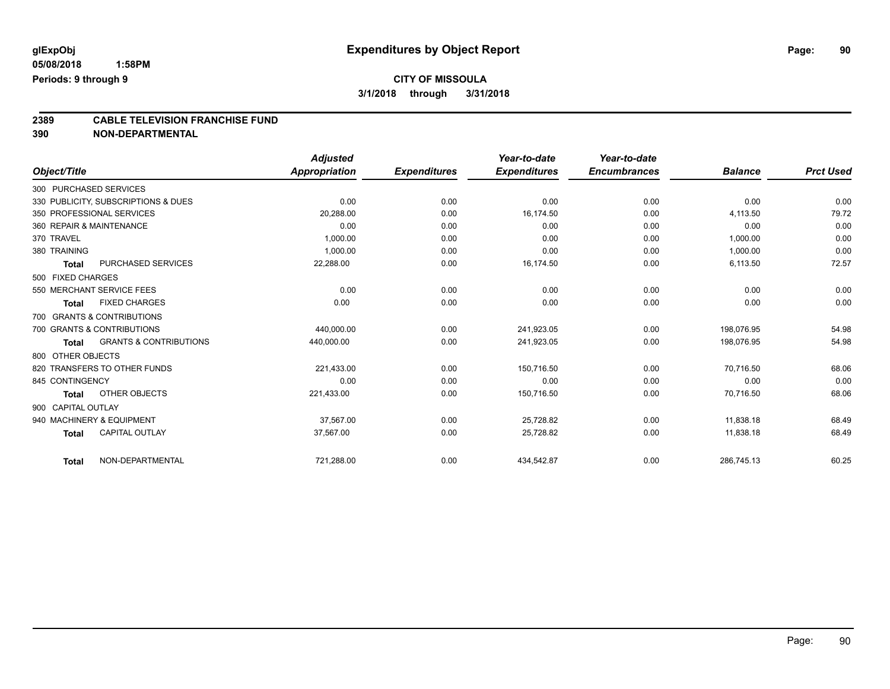# **2389 CABLE TELEVISION FRANCHISE FUND**

|                    |                                     | <b>Adjusted</b>      |                     | Year-to-date        | Year-to-date        |                |                  |
|--------------------|-------------------------------------|----------------------|---------------------|---------------------|---------------------|----------------|------------------|
| Object/Title       |                                     | <b>Appropriation</b> | <b>Expenditures</b> | <b>Expenditures</b> | <b>Encumbrances</b> | <b>Balance</b> | <b>Prct Used</b> |
|                    | 300 PURCHASED SERVICES              |                      |                     |                     |                     |                |                  |
|                    | 330 PUBLICITY, SUBSCRIPTIONS & DUES | 0.00                 | 0.00                | 0.00                | 0.00                | 0.00           | 0.00             |
|                    | 350 PROFESSIONAL SERVICES           | 20,288.00            | 0.00                | 16,174.50           | 0.00                | 4,113.50       | 79.72            |
|                    | 360 REPAIR & MAINTENANCE            | 0.00                 | 0.00                | 0.00                | 0.00                | 0.00           | 0.00             |
| 370 TRAVEL         |                                     | 1,000.00             | 0.00                | 0.00                | 0.00                | 1,000.00       | 0.00             |
| 380 TRAINING       |                                     | 1.000.00             | 0.00                | 0.00                | 0.00                | 1,000.00       | 0.00             |
| <b>Total</b>       | <b>PURCHASED SERVICES</b>           | 22,288.00            | 0.00                | 16,174.50           | 0.00                | 6,113.50       | 72.57            |
| 500 FIXED CHARGES  |                                     |                      |                     |                     |                     |                |                  |
|                    | 550 MERCHANT SERVICE FEES           | 0.00                 | 0.00                | 0.00                | 0.00                | 0.00           | 0.00             |
| <b>Total</b>       | <b>FIXED CHARGES</b>                | 0.00                 | 0.00                | 0.00                | 0.00                | 0.00           | 0.00             |
|                    | 700 GRANTS & CONTRIBUTIONS          |                      |                     |                     |                     |                |                  |
|                    | 700 GRANTS & CONTRIBUTIONS          | 440.000.00           | 0.00                | 241,923.05          | 0.00                | 198.076.95     | 54.98            |
| Total              | <b>GRANTS &amp; CONTRIBUTIONS</b>   | 440,000.00           | 0.00                | 241,923.05          | 0.00                | 198,076.95     | 54.98            |
| 800 OTHER OBJECTS  |                                     |                      |                     |                     |                     |                |                  |
|                    | 820 TRANSFERS TO OTHER FUNDS        | 221,433.00           | 0.00                | 150,716.50          | 0.00                | 70,716.50      | 68.06            |
| 845 CONTINGENCY    |                                     | 0.00                 | 0.00                | 0.00                | 0.00                | 0.00           | 0.00             |
| <b>Total</b>       | OTHER OBJECTS                       | 221,433.00           | 0.00                | 150,716.50          | 0.00                | 70,716.50      | 68.06            |
| 900 CAPITAL OUTLAY |                                     |                      |                     |                     |                     |                |                  |
|                    | 940 MACHINERY & EQUIPMENT           | 37.567.00            | 0.00                | 25,728.82           | 0.00                | 11,838.18      | 68.49            |
| <b>Total</b>       | CAPITAL OUTLAY                      | 37,567.00            | 0.00                | 25,728.82           | 0.00                | 11,838.18      | 68.49            |
| <b>Total</b>       | NON-DEPARTMENTAL                    | 721,288.00           | 0.00                | 434,542.87          | 0.00                | 286,745.13     | 60.25            |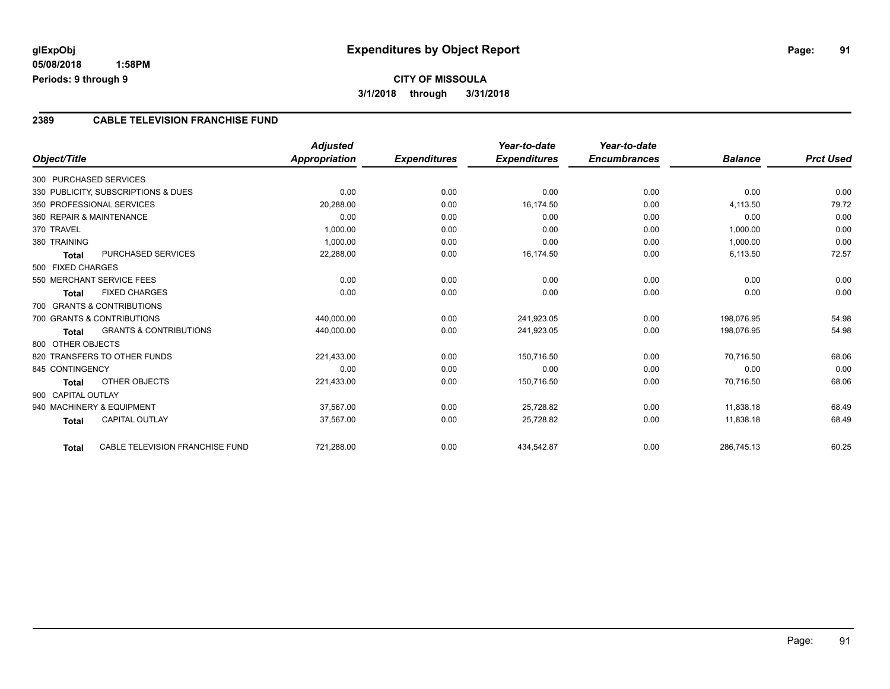# **CITY OF MISSOULA 3/1/2018 through 3/31/2018**

#### **2389 CABLE TELEVISION FRANCHISE FUND**

|                    |                                     | <b>Adjusted</b> |                     | Year-to-date        | Year-to-date        |                |                  |
|--------------------|-------------------------------------|-----------------|---------------------|---------------------|---------------------|----------------|------------------|
| Object/Title       |                                     | Appropriation   | <b>Expenditures</b> | <b>Expenditures</b> | <b>Encumbrances</b> | <b>Balance</b> | <b>Prct Used</b> |
|                    | 300 PURCHASED SERVICES              |                 |                     |                     |                     |                |                  |
|                    | 330 PUBLICITY, SUBSCRIPTIONS & DUES | 0.00            | 0.00                | 0.00                | 0.00                | 0.00           | 0.00             |
|                    | 350 PROFESSIONAL SERVICES           | 20,288.00       | 0.00                | 16,174.50           | 0.00                | 4,113.50       | 79.72            |
|                    | 360 REPAIR & MAINTENANCE            | 0.00            | 0.00                | 0.00                | 0.00                | 0.00           | 0.00             |
| 370 TRAVEL         |                                     | 1,000.00        | 0.00                | 0.00                | 0.00                | 1,000.00       | 0.00             |
| 380 TRAINING       |                                     | 1,000.00        | 0.00                | 0.00                | 0.00                | 1,000.00       | 0.00             |
| Total              | <b>PURCHASED SERVICES</b>           | 22,288.00       | 0.00                | 16,174.50           | 0.00                | 6,113.50       | 72.57            |
| 500 FIXED CHARGES  |                                     |                 |                     |                     |                     |                |                  |
|                    | 550 MERCHANT SERVICE FEES           | 0.00            | 0.00                | 0.00                | 0.00                | 0.00           | 0.00             |
| Total              | <b>FIXED CHARGES</b>                | 0.00            | 0.00                | 0.00                | 0.00                | 0.00           | 0.00             |
|                    | 700 GRANTS & CONTRIBUTIONS          |                 |                     |                     |                     |                |                  |
|                    | 700 GRANTS & CONTRIBUTIONS          | 440,000.00      | 0.00                | 241,923.05          | 0.00                | 198.076.95     | 54.98            |
| Total              | <b>GRANTS &amp; CONTRIBUTIONS</b>   | 440,000.00      | 0.00                | 241,923.05          | 0.00                | 198,076.95     | 54.98            |
| 800 OTHER OBJECTS  |                                     |                 |                     |                     |                     |                |                  |
|                    | 820 TRANSFERS TO OTHER FUNDS        | 221,433.00      | 0.00                | 150,716.50          | 0.00                | 70,716.50      | 68.06            |
| 845 CONTINGENCY    |                                     | 0.00            | 0.00                | 0.00                | 0.00                | 0.00           | 0.00             |
| Total              | OTHER OBJECTS                       | 221,433.00      | 0.00                | 150,716.50          | 0.00                | 70,716.50      | 68.06            |
| 900 CAPITAL OUTLAY |                                     |                 |                     |                     |                     |                |                  |
|                    | 940 MACHINERY & EQUIPMENT           | 37,567.00       | 0.00                | 25,728.82           | 0.00                | 11,838.18      | 68.49            |
| <b>Total</b>       | <b>CAPITAL OUTLAY</b>               | 37,567.00       | 0.00                | 25,728.82           | 0.00                | 11,838.18      | 68.49            |
| <b>Total</b>       | CABLE TELEVISION FRANCHISE FUND     | 721,288.00      | 0.00                | 434,542.87          | 0.00                | 286,745.13     | 60.25            |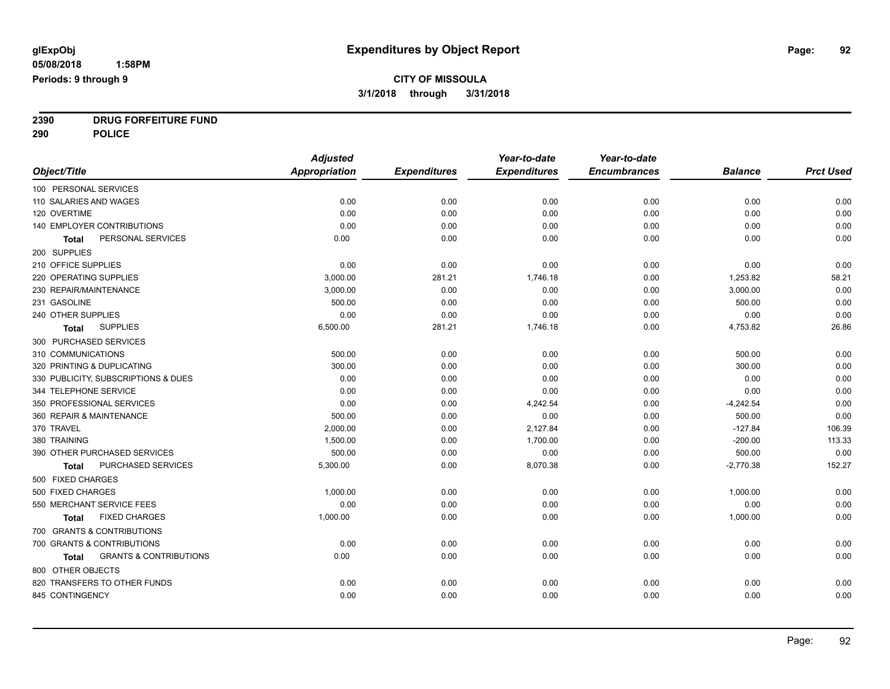**2390 DRUG FORFEITURE FUND**

**290 POLICE**

|                                                   | <b>Adjusted</b>      |                     | Year-to-date        | Year-to-date        |                |                  |
|---------------------------------------------------|----------------------|---------------------|---------------------|---------------------|----------------|------------------|
| Object/Title                                      | <b>Appropriation</b> | <b>Expenditures</b> | <b>Expenditures</b> | <b>Encumbrances</b> | <b>Balance</b> | <b>Prct Used</b> |
| 100 PERSONAL SERVICES                             |                      |                     |                     |                     |                |                  |
| 110 SALARIES AND WAGES                            | 0.00                 | 0.00                | 0.00                | 0.00                | 0.00           | 0.00             |
| 120 OVERTIME                                      | 0.00                 | 0.00                | 0.00                | 0.00                | 0.00           | 0.00             |
| 140 EMPLOYER CONTRIBUTIONS                        | 0.00                 | 0.00                | 0.00                | 0.00                | 0.00           | 0.00             |
| PERSONAL SERVICES<br>Total                        | 0.00                 | 0.00                | 0.00                | 0.00                | 0.00           | 0.00             |
| 200 SUPPLIES                                      |                      |                     |                     |                     |                |                  |
| 210 OFFICE SUPPLIES                               | 0.00                 | 0.00                | 0.00                | 0.00                | 0.00           | 0.00             |
| 220 OPERATING SUPPLIES                            | 3,000.00             | 281.21              | 1,746.18            | 0.00                | 1,253.82       | 58.21            |
| 230 REPAIR/MAINTENANCE                            | 3,000.00             | 0.00                | 0.00                | 0.00                | 3,000.00       | 0.00             |
| 231 GASOLINE                                      | 500.00               | 0.00                | 0.00                | 0.00                | 500.00         | 0.00             |
| 240 OTHER SUPPLIES                                | 0.00                 | 0.00                | 0.00                | 0.00                | 0.00           | 0.00             |
| <b>SUPPLIES</b><br>Total                          | 6,500.00             | 281.21              | 1,746.18            | 0.00                | 4,753.82       | 26.86            |
| 300 PURCHASED SERVICES                            |                      |                     |                     |                     |                |                  |
| 310 COMMUNICATIONS                                | 500.00               | 0.00                | 0.00                | 0.00                | 500.00         | 0.00             |
| 320 PRINTING & DUPLICATING                        | 300.00               | 0.00                | 0.00                | 0.00                | 300.00         | 0.00             |
| 330 PUBLICITY, SUBSCRIPTIONS & DUES               | 0.00                 | 0.00                | 0.00                | 0.00                | 0.00           | 0.00             |
| 344 TELEPHONE SERVICE                             | 0.00                 | 0.00                | 0.00                | 0.00                | 0.00           | 0.00             |
| 350 PROFESSIONAL SERVICES                         | 0.00                 | 0.00                | 4,242.54            | 0.00                | $-4,242.54$    | 0.00             |
| 360 REPAIR & MAINTENANCE                          | 500.00               | 0.00                | 0.00                | 0.00                | 500.00         | 0.00             |
| 370 TRAVEL                                        | 2,000.00             | 0.00                | 2,127.84            | 0.00                | $-127.84$      | 106.39           |
| 380 TRAINING                                      | 1,500.00             | 0.00                | 1,700.00            | 0.00                | $-200.00$      | 113.33           |
| 390 OTHER PURCHASED SERVICES                      | 500.00               | 0.00                | 0.00                | 0.00                | 500.00         | 0.00             |
| PURCHASED SERVICES<br><b>Total</b>                | 5,300.00             | 0.00                | 8,070.38            | 0.00                | $-2,770.38$    | 152.27           |
| 500 FIXED CHARGES                                 |                      |                     |                     |                     |                |                  |
| 500 FIXED CHARGES                                 | 1,000.00             | 0.00                | 0.00                | 0.00                | 1,000.00       | 0.00             |
| 550 MERCHANT SERVICE FEES                         | 0.00                 | 0.00                | 0.00                | 0.00                | 0.00           | 0.00             |
| <b>FIXED CHARGES</b><br><b>Total</b>              | 1,000.00             | 0.00                | 0.00                | 0.00                | 1,000.00       | 0.00             |
| 700 GRANTS & CONTRIBUTIONS                        |                      |                     |                     |                     |                |                  |
| 700 GRANTS & CONTRIBUTIONS                        | 0.00                 | 0.00                | 0.00                | 0.00                | 0.00           | 0.00             |
| <b>GRANTS &amp; CONTRIBUTIONS</b><br><b>Total</b> | 0.00                 | 0.00                | 0.00                | 0.00                | 0.00           | 0.00             |
| 800 OTHER OBJECTS                                 |                      |                     |                     |                     |                |                  |
| 820 TRANSFERS TO OTHER FUNDS                      | 0.00                 | 0.00                | 0.00                | 0.00                | 0.00           | 0.00             |
| 845 CONTINGENCY                                   | 0.00                 | 0.00                | 0.00                | 0.00                | 0.00           | 0.00             |
|                                                   |                      |                     |                     |                     |                |                  |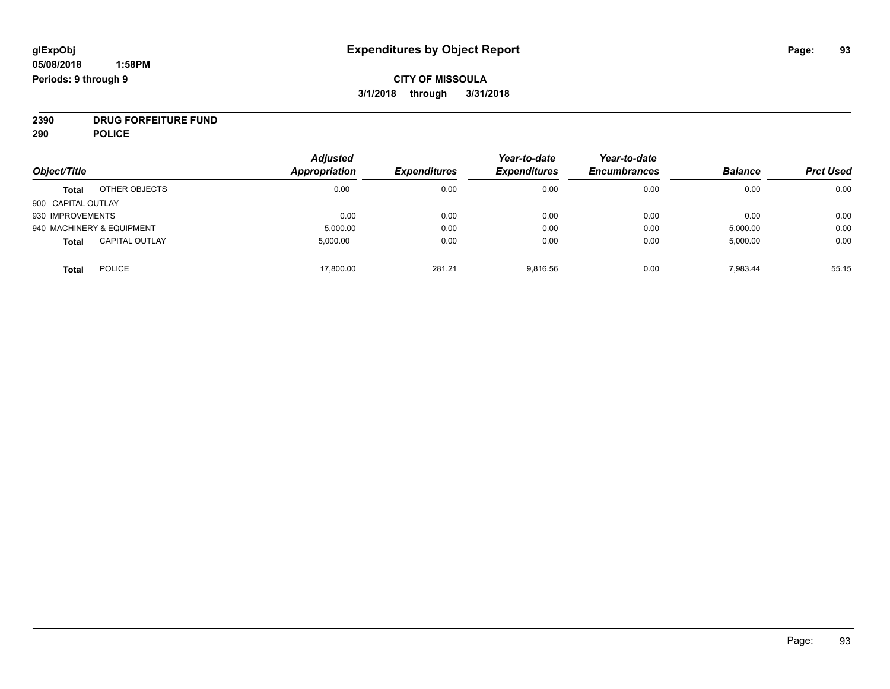## **CITY OF MISSOULA 3/1/2018 through 3/31/2018**

**2390 DRUG FORFEITURE FUND**

**290 POLICE**

|                    |                           | <b>Adjusted</b>     |                     | Year-to-date        | Year-to-date   |                  |       |
|--------------------|---------------------------|---------------------|---------------------|---------------------|----------------|------------------|-------|
| Object/Title       | Appropriation             | <b>Expenditures</b> | <b>Expenditures</b> | <b>Encumbrances</b> | <b>Balance</b> | <b>Prct Used</b> |       |
| <b>Total</b>       | OTHER OBJECTS             | 0.00                | 0.00                | 0.00                | 0.00           | 0.00             | 0.00  |
| 900 CAPITAL OUTLAY |                           |                     |                     |                     |                |                  |       |
| 930 IMPROVEMENTS   |                           | 0.00                | 0.00                | 0.00                | 0.00           | 0.00             | 0.00  |
|                    | 940 MACHINERY & EQUIPMENT | 5,000.00            | 0.00                | 0.00                | 0.00           | 5,000.00         | 0.00  |
| <b>Total</b>       | <b>CAPITAL OUTLAY</b>     | 5.000.00            | 0.00                | 0.00                | 0.00           | 5,000.00         | 0.00  |
| <b>Total</b>       | <b>POLICE</b>             | 17,800.00           | 281.21              | 9.816.56            | 0.00           | 7.983.44         | 55.15 |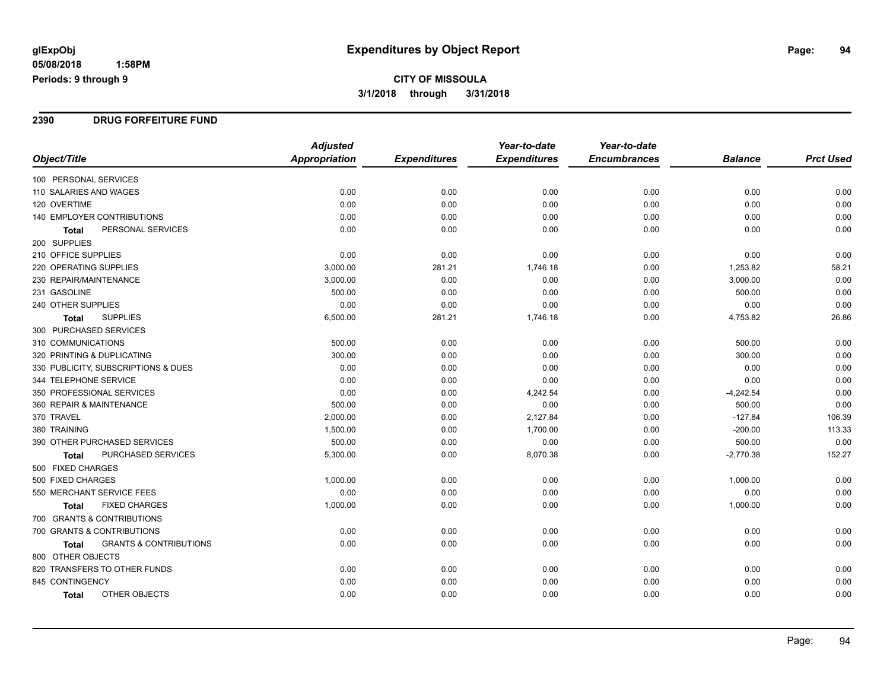#### **2390 DRUG FORFEITURE FUND**

|              |                                                   | <b>Adjusted</b> |                     | Year-to-date        | Year-to-date        |                |                  |
|--------------|---------------------------------------------------|-----------------|---------------------|---------------------|---------------------|----------------|------------------|
| Object/Title |                                                   | Appropriation   | <b>Expenditures</b> | <b>Expenditures</b> | <b>Encumbrances</b> | <b>Balance</b> | <b>Prct Used</b> |
|              | 100 PERSONAL SERVICES                             |                 |                     |                     |                     |                |                  |
|              | 110 SALARIES AND WAGES                            | 0.00            | 0.00                | 0.00                | 0.00                | 0.00           | 0.00             |
| 120 OVERTIME |                                                   | 0.00            | 0.00                | 0.00                | 0.00                | 0.00           | 0.00             |
|              | 140 EMPLOYER CONTRIBUTIONS                        | 0.00            | 0.00                | 0.00                | 0.00                | 0.00           | 0.00             |
|              | PERSONAL SERVICES<br>Total                        | 0.00            | 0.00                | 0.00                | 0.00                | 0.00           | 0.00             |
| 200 SUPPLIES |                                                   |                 |                     |                     |                     |                |                  |
|              | 210 OFFICE SUPPLIES                               | 0.00            | 0.00                | 0.00                | 0.00                | 0.00           | 0.00             |
|              | 220 OPERATING SUPPLIES                            | 3,000.00        | 281.21              | 1,746.18            | 0.00                | 1,253.82       | 58.21            |
|              | 230 REPAIR/MAINTENANCE                            | 3,000.00        | 0.00                | 0.00                | 0.00                | 3,000.00       | 0.00             |
| 231 GASOLINE |                                                   | 500.00          | 0.00                | 0.00                | 0.00                | 500.00         | 0.00             |
|              | 240 OTHER SUPPLIES                                | 0.00            | 0.00                | 0.00                | 0.00                | 0.00           | 0.00             |
|              | <b>SUPPLIES</b><br><b>Total</b>                   | 6,500.00        | 281.21              | 1,746.18            | 0.00                | 4,753.82       | 26.86            |
|              | 300 PURCHASED SERVICES                            |                 |                     |                     |                     |                |                  |
|              | 310 COMMUNICATIONS                                | 500.00          | 0.00                | 0.00                | 0.00                | 500.00         | 0.00             |
|              | 320 PRINTING & DUPLICATING                        | 300.00          | 0.00                | 0.00                | 0.00                | 300.00         | 0.00             |
|              | 330 PUBLICITY, SUBSCRIPTIONS & DUES               | 0.00            | 0.00                | 0.00                | 0.00                | 0.00           | 0.00             |
|              | 344 TELEPHONE SERVICE                             | 0.00            | 0.00                | 0.00                | 0.00                | 0.00           | 0.00             |
|              | 350 PROFESSIONAL SERVICES                         | 0.00            | 0.00                | 4,242.54            | 0.00                | $-4,242.54$    | 0.00             |
|              | 360 REPAIR & MAINTENANCE                          | 500.00          | 0.00                | 0.00                | 0.00                | 500.00         | 0.00             |
| 370 TRAVEL   |                                                   | 2,000.00        | 0.00                | 2,127.84            | 0.00                | $-127.84$      | 106.39           |
| 380 TRAINING |                                                   | 1,500.00        | 0.00                | 1,700.00            | 0.00                | $-200.00$      | 113.33           |
|              | 390 OTHER PURCHASED SERVICES                      | 500.00          | 0.00                | 0.00                | 0.00                | 500.00         | 0.00             |
|              | PURCHASED SERVICES<br><b>Total</b>                | 5,300.00        | 0.00                | 8,070.38            | 0.00                | $-2,770.38$    | 152.27           |
|              | 500 FIXED CHARGES                                 |                 |                     |                     |                     |                |                  |
|              | 500 FIXED CHARGES                                 | 1,000.00        | 0.00                | 0.00                | 0.00                | 1,000.00       | 0.00             |
|              | 550 MERCHANT SERVICE FEES                         | 0.00            | 0.00                | 0.00                | 0.00                | 0.00           | 0.00             |
|              | <b>FIXED CHARGES</b><br>Total                     | 1,000.00        | 0.00                | 0.00                | 0.00                | 1,000.00       | 0.00             |
|              | 700 GRANTS & CONTRIBUTIONS                        |                 |                     |                     |                     |                |                  |
|              | 700 GRANTS & CONTRIBUTIONS                        | 0.00            | 0.00                | 0.00                | 0.00                | 0.00           | 0.00             |
|              | <b>GRANTS &amp; CONTRIBUTIONS</b><br><b>Total</b> | 0.00            | 0.00                | 0.00                | 0.00                | 0.00           | 0.00             |
|              | 800 OTHER OBJECTS                                 |                 |                     |                     |                     |                |                  |
|              | 820 TRANSFERS TO OTHER FUNDS                      | 0.00            | 0.00                | 0.00                | 0.00                | 0.00           | 0.00             |
|              | 845 CONTINGENCY                                   | 0.00            | 0.00                | 0.00                | 0.00                | 0.00           | 0.00             |
|              | OTHER OBJECTS<br>Total                            | 0.00            | 0.00                | 0.00                | 0.00                | 0.00           | 0.00             |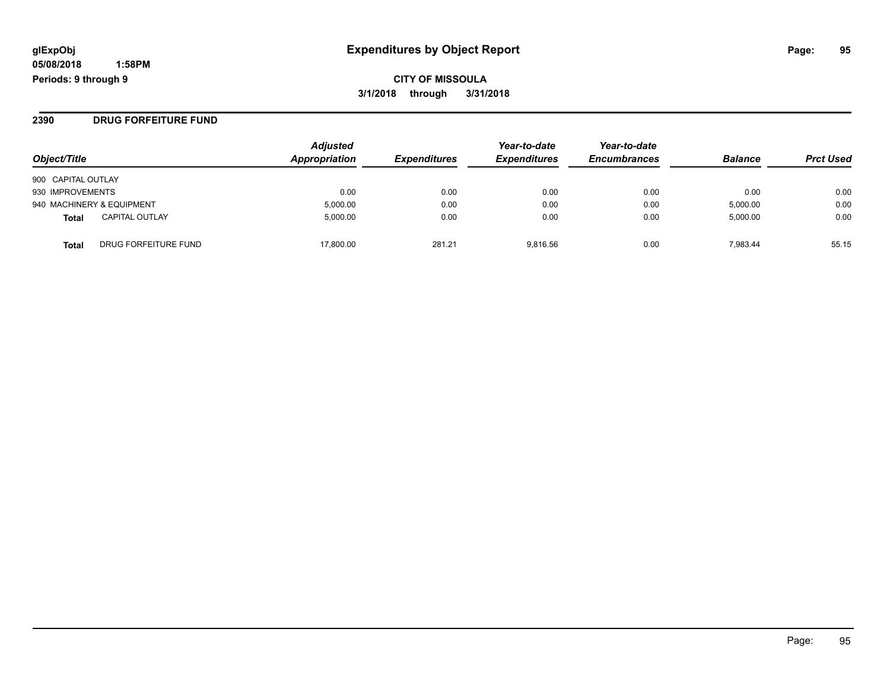**CITY OF MISSOULA 3/1/2018 through 3/31/2018**

#### **2390 DRUG FORFEITURE FUND**

| Object/Title                          | <b>Adjusted</b><br>Appropriation | <i><b>Expenditures</b></i> | Year-to-date<br><b>Expenditures</b> | Year-to-date<br><b>Encumbrances</b> | <b>Balance</b> | <b>Prct Used</b> |
|---------------------------------------|----------------------------------|----------------------------|-------------------------------------|-------------------------------------|----------------|------------------|
| 900 CAPITAL OUTLAY                    |                                  |                            |                                     |                                     |                |                  |
| 930 IMPROVEMENTS                      | 0.00                             | 0.00                       | 0.00                                | 0.00                                | 0.00           | 0.00             |
| 940 MACHINERY & EQUIPMENT             | 5,000.00                         | 0.00                       | 0.00                                | 0.00                                | 5,000.00       | 0.00             |
| <b>CAPITAL OUTLAY</b><br><b>Total</b> | 5.000.00                         | 0.00                       | 0.00                                | 0.00                                | 5,000.00       | 0.00             |
| DRUG FORFEITURE FUND<br><b>Total</b>  | 17.800.00                        | 281.21                     | 9.816.56                            | 0.00                                | 7.983.44       | 55.15            |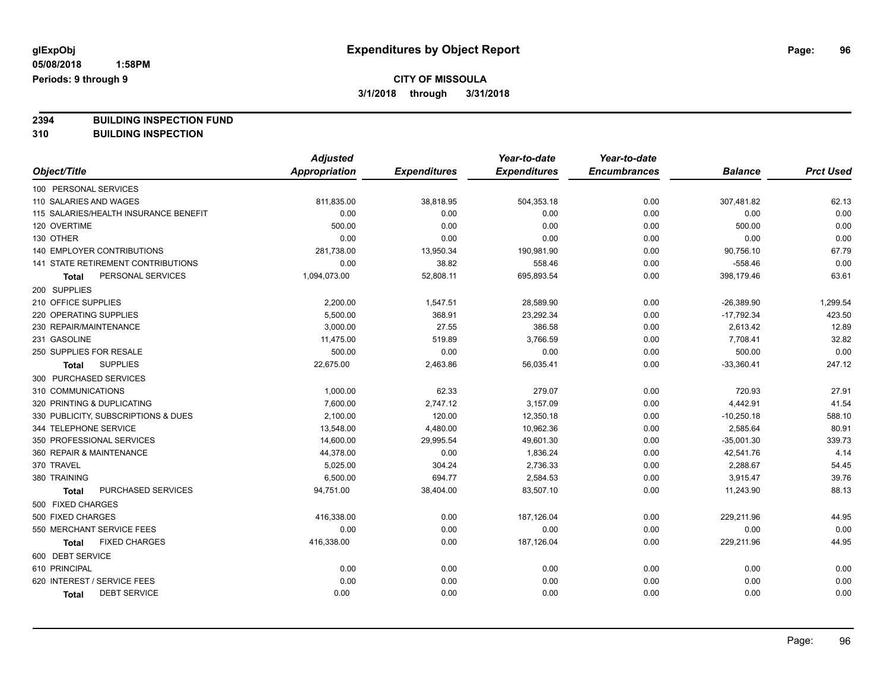**2394 BUILDING INSPECTION FUND**

**310 BUILDING INSPECTION**

| <b>Appropriation</b><br><b>Expenditures</b><br>Object/Title<br><b>Expenditures</b><br><b>Encumbrances</b><br><b>Balance</b><br>100 PERSONAL SERVICES<br>110 SALARIES AND WAGES<br>811,835.00<br>38,818.95<br>504,353.18<br>0.00<br>307,481.82<br>115 SALARIES/HEALTH INSURANCE BENEFIT<br>0.00<br>0.00<br>0.00<br>0.00<br>0.00<br>120 OVERTIME<br>500.00<br>0.00<br>0.00<br>0.00<br>500.00<br>130 OTHER<br>0.00<br>0.00<br>0.00<br>0.00<br>0.00<br><b>140 EMPLOYER CONTRIBUTIONS</b><br>13,950.34<br>281,738.00<br>190,981.90<br>0.00<br>90,756.10<br>141 STATE RETIREMENT CONTRIBUTIONS<br>0.00<br>38.82<br>558.46<br>$-558.46$<br>0.00<br>PERSONAL SERVICES<br>1,094,073.00<br>52,808.11<br>695,893.54<br>0.00<br>398,179.46<br>Total<br>200 SUPPLIES<br>210 OFFICE SUPPLIES<br>2,200.00<br>1,547.51<br>28,589.90<br>0.00<br>$-26,389.90$<br>5,500.00<br>368.91<br>220 OPERATING SUPPLIES<br>23,292.34<br>0.00<br>$-17,792.34$<br>27.55<br>386.58<br>230 REPAIR/MAINTENANCE<br>3,000.00<br>0.00<br>2,613.42<br>231 GASOLINE<br>11,475.00<br>519.89<br>3,766.59<br>0.00<br>7,708.41<br>250 SUPPLIES FOR RESALE<br>500.00<br>0.00<br>0.00<br>500.00<br>0.00<br><b>SUPPLIES</b><br>22,675.00<br>$-33,360.41$<br>2,463.86<br>56,035.41<br>0.00<br>Total<br>300 PURCHASED SERVICES<br>310 COMMUNICATIONS<br>1,000.00<br>62.33<br>279.07<br>0.00<br>720.93<br>7,600.00<br>2,747.12<br>4,442.91<br>320 PRINTING & DUPLICATING<br>3,157.09<br>0.00<br>330 PUBLICITY, SUBSCRIPTIONS & DUES<br>2,100.00<br>120.00<br>12,350.18<br>$-10,250.18$<br>0.00<br>344 TELEPHONE SERVICE<br>10,962.36<br>13,548.00<br>4,480.00<br>0.00<br>2,585.64<br>350 PROFESSIONAL SERVICES<br>29,995.54<br>49,601.30<br>$-35,001.30$<br>14,600.00<br>0.00<br>360 REPAIR & MAINTENANCE<br>44,378.00<br>0.00<br>1,836.24<br>42,541.76<br>0.00<br>370 TRAVEL<br>5,025.00<br>304.24<br>2,736.33<br>0.00<br>2,288.67<br>380 TRAINING<br>6,500.00<br>694.77<br>2,584.53<br>0.00<br>3,915.47<br>PURCHASED SERVICES<br>83,507.10<br>0.00<br>94,751.00<br>38,404.00<br>11,243.90<br><b>Total</b><br>500 FIXED CHARGES<br>500 FIXED CHARGES<br>416,338.00<br>0.00<br>187,126.04<br>0.00<br>229,211.96<br>550 MERCHANT SERVICE FEES<br>0.00<br>0.00<br>0.00<br>0.00<br>0.00<br>229,211.96<br><b>FIXED CHARGES</b><br>416,338.00<br>0.00<br>187,126.04<br>0.00<br>Total<br>600 DEBT SERVICE<br>610 PRINCIPAL<br>0.00<br>0.00<br>0.00<br>0.00<br>0.00 | <b>Adjusted</b> | Year-to-date | Year-to-date |                  |
|--------------------------------------------------------------------------------------------------------------------------------------------------------------------------------------------------------------------------------------------------------------------------------------------------------------------------------------------------------------------------------------------------------------------------------------------------------------------------------------------------------------------------------------------------------------------------------------------------------------------------------------------------------------------------------------------------------------------------------------------------------------------------------------------------------------------------------------------------------------------------------------------------------------------------------------------------------------------------------------------------------------------------------------------------------------------------------------------------------------------------------------------------------------------------------------------------------------------------------------------------------------------------------------------------------------------------------------------------------------------------------------------------------------------------------------------------------------------------------------------------------------------------------------------------------------------------------------------------------------------------------------------------------------------------------------------------------------------------------------------------------------------------------------------------------------------------------------------------------------------------------------------------------------------------------------------------------------------------------------------------------------------------------------------------------------------------------------------------------------------------------------------------------------------------------------------------------------------------------------------------------------------------------------------------------------------------------------------------------------------------------------------------------------|-----------------|--------------|--------------|------------------|
|                                                                                                                                                                                                                                                                                                                                                                                                                                                                                                                                                                                                                                                                                                                                                                                                                                                                                                                                                                                                                                                                                                                                                                                                                                                                                                                                                                                                                                                                                                                                                                                                                                                                                                                                                                                                                                                                                                                                                                                                                                                                                                                                                                                                                                                                                                                                                                                                              |                 |              |              | <b>Prct Used</b> |
|                                                                                                                                                                                                                                                                                                                                                                                                                                                                                                                                                                                                                                                                                                                                                                                                                                                                                                                                                                                                                                                                                                                                                                                                                                                                                                                                                                                                                                                                                                                                                                                                                                                                                                                                                                                                                                                                                                                                                                                                                                                                                                                                                                                                                                                                                                                                                                                                              |                 |              |              |                  |
|                                                                                                                                                                                                                                                                                                                                                                                                                                                                                                                                                                                                                                                                                                                                                                                                                                                                                                                                                                                                                                                                                                                                                                                                                                                                                                                                                                                                                                                                                                                                                                                                                                                                                                                                                                                                                                                                                                                                                                                                                                                                                                                                                                                                                                                                                                                                                                                                              |                 |              |              | 62.13            |
|                                                                                                                                                                                                                                                                                                                                                                                                                                                                                                                                                                                                                                                                                                                                                                                                                                                                                                                                                                                                                                                                                                                                                                                                                                                                                                                                                                                                                                                                                                                                                                                                                                                                                                                                                                                                                                                                                                                                                                                                                                                                                                                                                                                                                                                                                                                                                                                                              |                 |              |              | 0.00             |
|                                                                                                                                                                                                                                                                                                                                                                                                                                                                                                                                                                                                                                                                                                                                                                                                                                                                                                                                                                                                                                                                                                                                                                                                                                                                                                                                                                                                                                                                                                                                                                                                                                                                                                                                                                                                                                                                                                                                                                                                                                                                                                                                                                                                                                                                                                                                                                                                              |                 |              |              | 0.00             |
|                                                                                                                                                                                                                                                                                                                                                                                                                                                                                                                                                                                                                                                                                                                                                                                                                                                                                                                                                                                                                                                                                                                                                                                                                                                                                                                                                                                                                                                                                                                                                                                                                                                                                                                                                                                                                                                                                                                                                                                                                                                                                                                                                                                                                                                                                                                                                                                                              |                 |              |              | 0.00             |
|                                                                                                                                                                                                                                                                                                                                                                                                                                                                                                                                                                                                                                                                                                                                                                                                                                                                                                                                                                                                                                                                                                                                                                                                                                                                                                                                                                                                                                                                                                                                                                                                                                                                                                                                                                                                                                                                                                                                                                                                                                                                                                                                                                                                                                                                                                                                                                                                              |                 |              |              | 67.79            |
|                                                                                                                                                                                                                                                                                                                                                                                                                                                                                                                                                                                                                                                                                                                                                                                                                                                                                                                                                                                                                                                                                                                                                                                                                                                                                                                                                                                                                                                                                                                                                                                                                                                                                                                                                                                                                                                                                                                                                                                                                                                                                                                                                                                                                                                                                                                                                                                                              |                 |              |              | 0.00             |
|                                                                                                                                                                                                                                                                                                                                                                                                                                                                                                                                                                                                                                                                                                                                                                                                                                                                                                                                                                                                                                                                                                                                                                                                                                                                                                                                                                                                                                                                                                                                                                                                                                                                                                                                                                                                                                                                                                                                                                                                                                                                                                                                                                                                                                                                                                                                                                                                              |                 |              |              | 63.61            |
|                                                                                                                                                                                                                                                                                                                                                                                                                                                                                                                                                                                                                                                                                                                                                                                                                                                                                                                                                                                                                                                                                                                                                                                                                                                                                                                                                                                                                                                                                                                                                                                                                                                                                                                                                                                                                                                                                                                                                                                                                                                                                                                                                                                                                                                                                                                                                                                                              |                 |              |              |                  |
|                                                                                                                                                                                                                                                                                                                                                                                                                                                                                                                                                                                                                                                                                                                                                                                                                                                                                                                                                                                                                                                                                                                                                                                                                                                                                                                                                                                                                                                                                                                                                                                                                                                                                                                                                                                                                                                                                                                                                                                                                                                                                                                                                                                                                                                                                                                                                                                                              |                 |              |              | 1,299.54         |
|                                                                                                                                                                                                                                                                                                                                                                                                                                                                                                                                                                                                                                                                                                                                                                                                                                                                                                                                                                                                                                                                                                                                                                                                                                                                                                                                                                                                                                                                                                                                                                                                                                                                                                                                                                                                                                                                                                                                                                                                                                                                                                                                                                                                                                                                                                                                                                                                              |                 |              |              | 423.50           |
|                                                                                                                                                                                                                                                                                                                                                                                                                                                                                                                                                                                                                                                                                                                                                                                                                                                                                                                                                                                                                                                                                                                                                                                                                                                                                                                                                                                                                                                                                                                                                                                                                                                                                                                                                                                                                                                                                                                                                                                                                                                                                                                                                                                                                                                                                                                                                                                                              |                 |              |              | 12.89            |
|                                                                                                                                                                                                                                                                                                                                                                                                                                                                                                                                                                                                                                                                                                                                                                                                                                                                                                                                                                                                                                                                                                                                                                                                                                                                                                                                                                                                                                                                                                                                                                                                                                                                                                                                                                                                                                                                                                                                                                                                                                                                                                                                                                                                                                                                                                                                                                                                              |                 |              |              | 32.82            |
|                                                                                                                                                                                                                                                                                                                                                                                                                                                                                                                                                                                                                                                                                                                                                                                                                                                                                                                                                                                                                                                                                                                                                                                                                                                                                                                                                                                                                                                                                                                                                                                                                                                                                                                                                                                                                                                                                                                                                                                                                                                                                                                                                                                                                                                                                                                                                                                                              |                 |              |              | 0.00             |
|                                                                                                                                                                                                                                                                                                                                                                                                                                                                                                                                                                                                                                                                                                                                                                                                                                                                                                                                                                                                                                                                                                                                                                                                                                                                                                                                                                                                                                                                                                                                                                                                                                                                                                                                                                                                                                                                                                                                                                                                                                                                                                                                                                                                                                                                                                                                                                                                              |                 |              |              | 247.12           |
|                                                                                                                                                                                                                                                                                                                                                                                                                                                                                                                                                                                                                                                                                                                                                                                                                                                                                                                                                                                                                                                                                                                                                                                                                                                                                                                                                                                                                                                                                                                                                                                                                                                                                                                                                                                                                                                                                                                                                                                                                                                                                                                                                                                                                                                                                                                                                                                                              |                 |              |              |                  |
|                                                                                                                                                                                                                                                                                                                                                                                                                                                                                                                                                                                                                                                                                                                                                                                                                                                                                                                                                                                                                                                                                                                                                                                                                                                                                                                                                                                                                                                                                                                                                                                                                                                                                                                                                                                                                                                                                                                                                                                                                                                                                                                                                                                                                                                                                                                                                                                                              |                 |              |              | 27.91            |
|                                                                                                                                                                                                                                                                                                                                                                                                                                                                                                                                                                                                                                                                                                                                                                                                                                                                                                                                                                                                                                                                                                                                                                                                                                                                                                                                                                                                                                                                                                                                                                                                                                                                                                                                                                                                                                                                                                                                                                                                                                                                                                                                                                                                                                                                                                                                                                                                              |                 |              |              | 41.54            |
|                                                                                                                                                                                                                                                                                                                                                                                                                                                                                                                                                                                                                                                                                                                                                                                                                                                                                                                                                                                                                                                                                                                                                                                                                                                                                                                                                                                                                                                                                                                                                                                                                                                                                                                                                                                                                                                                                                                                                                                                                                                                                                                                                                                                                                                                                                                                                                                                              |                 |              |              | 588.10           |
|                                                                                                                                                                                                                                                                                                                                                                                                                                                                                                                                                                                                                                                                                                                                                                                                                                                                                                                                                                                                                                                                                                                                                                                                                                                                                                                                                                                                                                                                                                                                                                                                                                                                                                                                                                                                                                                                                                                                                                                                                                                                                                                                                                                                                                                                                                                                                                                                              |                 |              |              | 80.91            |
|                                                                                                                                                                                                                                                                                                                                                                                                                                                                                                                                                                                                                                                                                                                                                                                                                                                                                                                                                                                                                                                                                                                                                                                                                                                                                                                                                                                                                                                                                                                                                                                                                                                                                                                                                                                                                                                                                                                                                                                                                                                                                                                                                                                                                                                                                                                                                                                                              |                 |              |              | 339.73           |
|                                                                                                                                                                                                                                                                                                                                                                                                                                                                                                                                                                                                                                                                                                                                                                                                                                                                                                                                                                                                                                                                                                                                                                                                                                                                                                                                                                                                                                                                                                                                                                                                                                                                                                                                                                                                                                                                                                                                                                                                                                                                                                                                                                                                                                                                                                                                                                                                              |                 |              |              | 4.14             |
|                                                                                                                                                                                                                                                                                                                                                                                                                                                                                                                                                                                                                                                                                                                                                                                                                                                                                                                                                                                                                                                                                                                                                                                                                                                                                                                                                                                                                                                                                                                                                                                                                                                                                                                                                                                                                                                                                                                                                                                                                                                                                                                                                                                                                                                                                                                                                                                                              |                 |              |              | 54.45            |
|                                                                                                                                                                                                                                                                                                                                                                                                                                                                                                                                                                                                                                                                                                                                                                                                                                                                                                                                                                                                                                                                                                                                                                                                                                                                                                                                                                                                                                                                                                                                                                                                                                                                                                                                                                                                                                                                                                                                                                                                                                                                                                                                                                                                                                                                                                                                                                                                              |                 |              |              | 39.76            |
|                                                                                                                                                                                                                                                                                                                                                                                                                                                                                                                                                                                                                                                                                                                                                                                                                                                                                                                                                                                                                                                                                                                                                                                                                                                                                                                                                                                                                                                                                                                                                                                                                                                                                                                                                                                                                                                                                                                                                                                                                                                                                                                                                                                                                                                                                                                                                                                                              |                 |              |              | 88.13            |
|                                                                                                                                                                                                                                                                                                                                                                                                                                                                                                                                                                                                                                                                                                                                                                                                                                                                                                                                                                                                                                                                                                                                                                                                                                                                                                                                                                                                                                                                                                                                                                                                                                                                                                                                                                                                                                                                                                                                                                                                                                                                                                                                                                                                                                                                                                                                                                                                              |                 |              |              |                  |
|                                                                                                                                                                                                                                                                                                                                                                                                                                                                                                                                                                                                                                                                                                                                                                                                                                                                                                                                                                                                                                                                                                                                                                                                                                                                                                                                                                                                                                                                                                                                                                                                                                                                                                                                                                                                                                                                                                                                                                                                                                                                                                                                                                                                                                                                                                                                                                                                              |                 |              |              | 44.95            |
|                                                                                                                                                                                                                                                                                                                                                                                                                                                                                                                                                                                                                                                                                                                                                                                                                                                                                                                                                                                                                                                                                                                                                                                                                                                                                                                                                                                                                                                                                                                                                                                                                                                                                                                                                                                                                                                                                                                                                                                                                                                                                                                                                                                                                                                                                                                                                                                                              |                 |              |              | 0.00             |
|                                                                                                                                                                                                                                                                                                                                                                                                                                                                                                                                                                                                                                                                                                                                                                                                                                                                                                                                                                                                                                                                                                                                                                                                                                                                                                                                                                                                                                                                                                                                                                                                                                                                                                                                                                                                                                                                                                                                                                                                                                                                                                                                                                                                                                                                                                                                                                                                              |                 |              |              | 44.95            |
|                                                                                                                                                                                                                                                                                                                                                                                                                                                                                                                                                                                                                                                                                                                                                                                                                                                                                                                                                                                                                                                                                                                                                                                                                                                                                                                                                                                                                                                                                                                                                                                                                                                                                                                                                                                                                                                                                                                                                                                                                                                                                                                                                                                                                                                                                                                                                                                                              |                 |              |              |                  |
|                                                                                                                                                                                                                                                                                                                                                                                                                                                                                                                                                                                                                                                                                                                                                                                                                                                                                                                                                                                                                                                                                                                                                                                                                                                                                                                                                                                                                                                                                                                                                                                                                                                                                                                                                                                                                                                                                                                                                                                                                                                                                                                                                                                                                                                                                                                                                                                                              |                 |              |              | 0.00             |
| 620 INTEREST / SERVICE FEES<br>0.00<br>0.00<br>0.00<br>0.00<br>0.00                                                                                                                                                                                                                                                                                                                                                                                                                                                                                                                                                                                                                                                                                                                                                                                                                                                                                                                                                                                                                                                                                                                                                                                                                                                                                                                                                                                                                                                                                                                                                                                                                                                                                                                                                                                                                                                                                                                                                                                                                                                                                                                                                                                                                                                                                                                                          |                 |              |              | 0.00             |
| <b>DEBT SERVICE</b><br>0.00<br>0.00<br>0.00<br>0.00<br>0.00<br><b>Total</b>                                                                                                                                                                                                                                                                                                                                                                                                                                                                                                                                                                                                                                                                                                                                                                                                                                                                                                                                                                                                                                                                                                                                                                                                                                                                                                                                                                                                                                                                                                                                                                                                                                                                                                                                                                                                                                                                                                                                                                                                                                                                                                                                                                                                                                                                                                                                  |                 |              |              | 0.00             |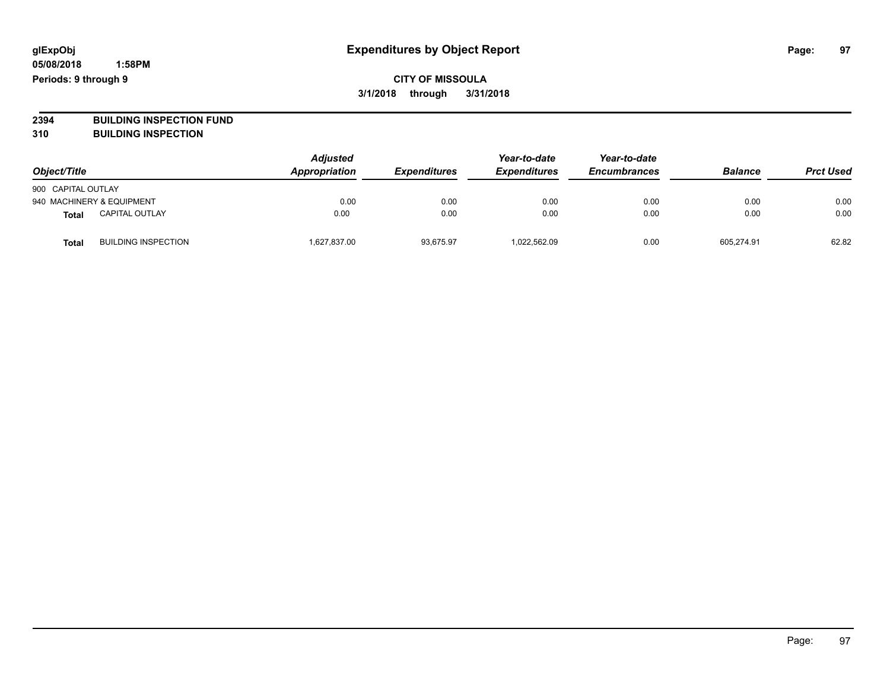**2394 BUILDING INSPECTION FUND**

**310 BUILDING INSPECTION**

| Object/Title       |                            | <b>Adjusted</b><br>Appropriation | <b>Expenditures</b> | Year-to-date<br><b>Expenditures</b> | Year-to-date<br><b>Encumbrances</b> | <b>Balance</b> | <b>Prct Used</b> |
|--------------------|----------------------------|----------------------------------|---------------------|-------------------------------------|-------------------------------------|----------------|------------------|
| 900 CAPITAL OUTLAY |                            |                                  |                     |                                     |                                     |                |                  |
|                    | 940 MACHINERY & EQUIPMENT  | 0.00                             | 0.00                | 0.00                                | 0.00                                | 0.00           | 0.00             |
| Total              | <b>CAPITAL OUTLAY</b>      | 0.00                             | 0.00                | 0.00                                | 0.00                                | 0.00           | 0.00             |
| Total              | <b>BUILDING INSPECTION</b> | 1,627,837.00                     | 93,675.97           | 1,022,562.09                        | 0.00                                | 605,274.91     | 62.82            |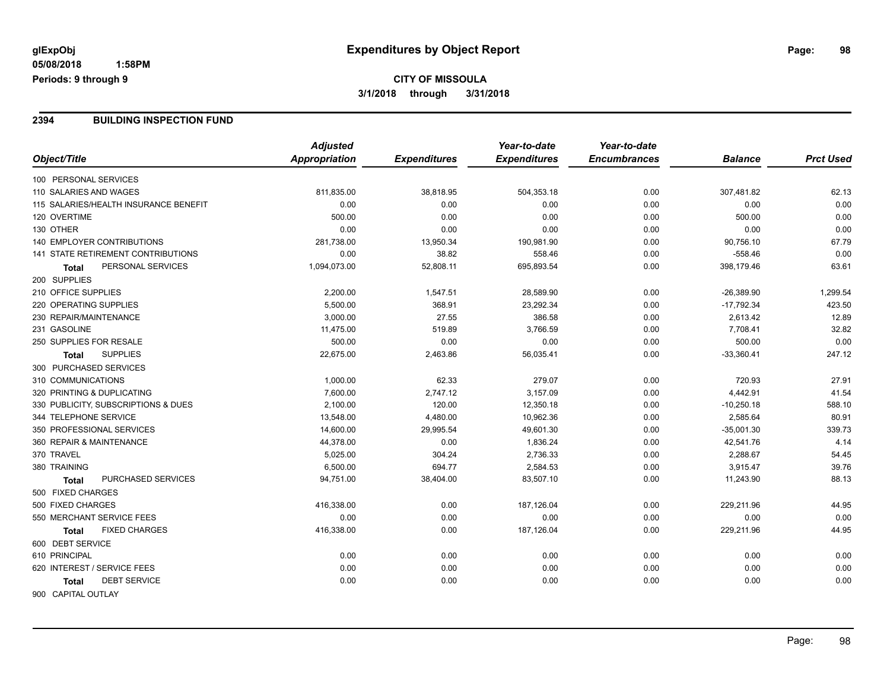#### **2394 BUILDING INSPECTION FUND**

|                                           | <b>Adjusted</b>      |                     | Year-to-date        | Year-to-date        |                |                  |
|-------------------------------------------|----------------------|---------------------|---------------------|---------------------|----------------|------------------|
| Object/Title                              | <b>Appropriation</b> | <b>Expenditures</b> | <b>Expenditures</b> | <b>Encumbrances</b> | <b>Balance</b> | <b>Prct Used</b> |
| 100 PERSONAL SERVICES                     |                      |                     |                     |                     |                |                  |
| 110 SALARIES AND WAGES                    | 811,835.00           | 38,818.95           | 504,353.18          | 0.00                | 307,481.82     | 62.13            |
| 115 SALARIES/HEALTH INSURANCE BENEFIT     | 0.00                 | 0.00                | 0.00                | 0.00                | 0.00           | 0.00             |
| 120 OVERTIME                              | 500.00               | 0.00                | 0.00                | 0.00                | 500.00         | 0.00             |
| 130 OTHER                                 | 0.00                 | 0.00                | 0.00                | 0.00                | 0.00           | 0.00             |
| <b>140 EMPLOYER CONTRIBUTIONS</b>         | 281,738.00           | 13,950.34           | 190,981.90          | 0.00                | 90,756.10      | 67.79            |
| <b>141 STATE RETIREMENT CONTRIBUTIONS</b> | 0.00                 | 38.82               | 558.46              | 0.00                | $-558.46$      | 0.00             |
| PERSONAL SERVICES<br><b>Total</b>         | 1,094,073.00         | 52,808.11           | 695,893.54          | 0.00                | 398,179.46     | 63.61            |
| 200 SUPPLIES                              |                      |                     |                     |                     |                |                  |
| 210 OFFICE SUPPLIES                       | 2,200.00             | 1,547.51            | 28,589.90           | 0.00                | $-26,389.90$   | 1,299.54         |
| 220 OPERATING SUPPLIES                    | 5,500.00             | 368.91              | 23,292.34           | 0.00                | $-17,792.34$   | 423.50           |
| 230 REPAIR/MAINTENANCE                    | 3,000.00             | 27.55               | 386.58              | 0.00                | 2,613.42       | 12.89            |
| 231 GASOLINE                              | 11,475.00            | 519.89              | 3,766.59            | 0.00                | 7,708.41       | 32.82            |
| 250 SUPPLIES FOR RESALE                   | 500.00               | 0.00                | 0.00                | 0.00                | 500.00         | 0.00             |
| <b>SUPPLIES</b><br><b>Total</b>           | 22,675.00            | 2,463.86            | 56,035.41           | 0.00                | $-33,360.41$   | 247.12           |
| 300 PURCHASED SERVICES                    |                      |                     |                     |                     |                |                  |
| 310 COMMUNICATIONS                        | 1,000.00             | 62.33               | 279.07              | 0.00                | 720.93         | 27.91            |
| 320 PRINTING & DUPLICATING                | 7,600.00             | 2,747.12            | 3,157.09            | 0.00                | 4,442.91       | 41.54            |
| 330 PUBLICITY, SUBSCRIPTIONS & DUES       | 2,100.00             | 120.00              | 12,350.18           | 0.00                | $-10,250.18$   | 588.10           |
| 344 TELEPHONE SERVICE                     | 13,548.00            | 4,480.00            | 10,962.36           | 0.00                | 2,585.64       | 80.91            |
| 350 PROFESSIONAL SERVICES                 | 14,600.00            | 29,995.54           | 49,601.30           | 0.00                | $-35,001.30$   | 339.73           |
| 360 REPAIR & MAINTENANCE                  | 44,378.00            | 0.00                | 1,836.24            | 0.00                | 42,541.76      | 4.14             |
| 370 TRAVEL                                | 5,025.00             | 304.24              | 2,736.33            | 0.00                | 2,288.67       | 54.45            |
| 380 TRAINING                              | 6,500.00             | 694.77              | 2,584.53            | 0.00                | 3,915.47       | 39.76            |
| PURCHASED SERVICES<br><b>Total</b>        | 94,751.00            | 38,404.00           | 83,507.10           | 0.00                | 11,243.90      | 88.13            |
| 500 FIXED CHARGES                         |                      |                     |                     |                     |                |                  |
| 500 FIXED CHARGES                         | 416,338.00           | 0.00                | 187,126.04          | 0.00                | 229,211.96     | 44.95            |
| 550 MERCHANT SERVICE FEES                 | 0.00                 | 0.00                | 0.00                | 0.00                | 0.00           | 0.00             |
| <b>FIXED CHARGES</b><br>Total             | 416,338.00           | 0.00                | 187,126.04          | 0.00                | 229,211.96     | 44.95            |
| 600 DEBT SERVICE                          |                      |                     |                     |                     |                |                  |
| 610 PRINCIPAL                             | 0.00                 | 0.00                | 0.00                | 0.00                | 0.00           | 0.00             |
| 620 INTEREST / SERVICE FEES               | 0.00                 | 0.00                | 0.00                | 0.00                | 0.00           | 0.00             |
| <b>DEBT SERVICE</b><br>Total              | 0.00                 | 0.00                | 0.00                | 0.00                | 0.00           | 0.00             |
| 900 CAPITAL OUTLAY                        |                      |                     |                     |                     |                |                  |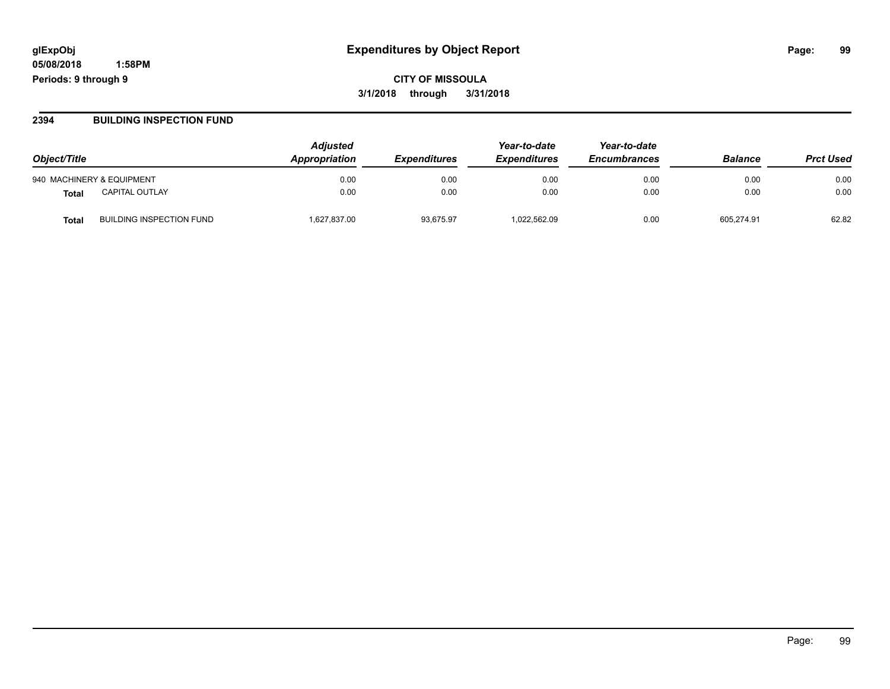**CITY OF MISSOULA 3/1/2018 through 3/31/2018**

#### **2394 BUILDING INSPECTION FUND**

|              |                           | <b>Adjusted</b> |                            | Year-to-date               | Year-to-date        |                |                  |
|--------------|---------------------------|-----------------|----------------------------|----------------------------|---------------------|----------------|------------------|
| Object/Title |                           | Appropriation   | <i><b>Expenditures</b></i> | <i><b>Expenditures</b></i> | <b>Encumbrances</b> | <b>Balance</b> | <b>Prct Used</b> |
|              | 940 MACHINERY & EQUIPMENT | 0.00            | 0.00                       | 0.00                       | 0.00                | 0.00           | 0.00             |
| Total        | <b>CAPITAL OUTLAY</b>     | 0.00            | 0.00                       | 0.00                       | 0.00                | 0.00           | 0.00             |
| <b>Total</b> | BUILDING INSPECTION FUND  | 1,627,837.00    | 93,675.97                  | 1,022,562.09               | 0.00                | 605.274.91     | 62.82            |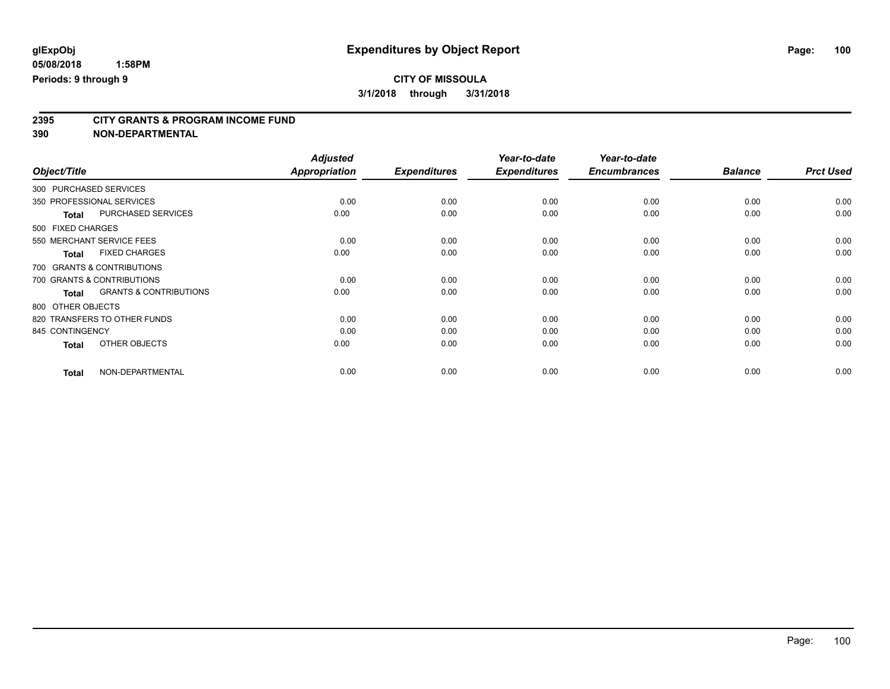# **2395 CITY GRANTS & PROGRAM INCOME FUND**

|                                                   | <b>Adjusted</b>      |                     | Year-to-date        | Year-to-date        |                |                  |
|---------------------------------------------------|----------------------|---------------------|---------------------|---------------------|----------------|------------------|
| Object/Title                                      | <b>Appropriation</b> | <b>Expenditures</b> | <b>Expenditures</b> | <b>Encumbrances</b> | <b>Balance</b> | <b>Prct Used</b> |
| 300 PURCHASED SERVICES                            |                      |                     |                     |                     |                |                  |
| 350 PROFESSIONAL SERVICES                         | 0.00                 | 0.00                | 0.00                | 0.00                | 0.00           | 0.00             |
| <b>PURCHASED SERVICES</b><br><b>Total</b>         | 0.00                 | 0.00                | 0.00                | 0.00                | 0.00           | 0.00             |
| 500 FIXED CHARGES                                 |                      |                     |                     |                     |                |                  |
| 550 MERCHANT SERVICE FEES                         | 0.00                 | 0.00                | 0.00                | 0.00                | 0.00           | 0.00             |
| <b>FIXED CHARGES</b><br><b>Total</b>              | 0.00                 | 0.00                | 0.00                | 0.00                | 0.00           | 0.00             |
| 700 GRANTS & CONTRIBUTIONS                        |                      |                     |                     |                     |                |                  |
| 700 GRANTS & CONTRIBUTIONS                        | 0.00                 | 0.00                | 0.00                | 0.00                | 0.00           | 0.00             |
| <b>GRANTS &amp; CONTRIBUTIONS</b><br><b>Total</b> | 0.00                 | 0.00                | 0.00                | 0.00                | 0.00           | 0.00             |
| 800 OTHER OBJECTS                                 |                      |                     |                     |                     |                |                  |
| 820 TRANSFERS TO OTHER FUNDS                      | 0.00                 | 0.00                | 0.00                | 0.00                | 0.00           | 0.00             |
| 845 CONTINGENCY                                   | 0.00                 | 0.00                | 0.00                | 0.00                | 0.00           | 0.00             |
| OTHER OBJECTS<br><b>Total</b>                     | 0.00                 | 0.00                | 0.00                | 0.00                | 0.00           | 0.00             |
| NON-DEPARTMENTAL<br><b>Total</b>                  | 0.00                 | 0.00                | 0.00                | 0.00                | 0.00           | 0.00             |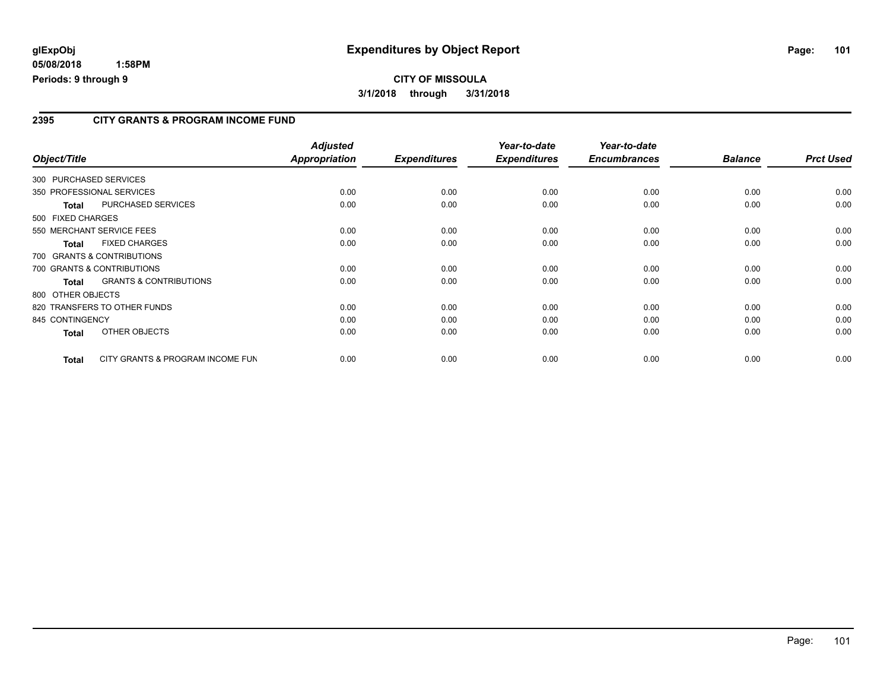#### **2395 CITY GRANTS & PROGRAM INCOME FUND**

| Object/Title              |                                   | <b>Adjusted</b><br>Appropriation | <b>Expenditures</b> | Year-to-date<br><b>Expenditures</b> | Year-to-date<br><b>Encumbrances</b> | <b>Balance</b> | <b>Prct Used</b> |
|---------------------------|-----------------------------------|----------------------------------|---------------------|-------------------------------------|-------------------------------------|----------------|------------------|
| 300 PURCHASED SERVICES    |                                   |                                  |                     |                                     |                                     |                |                  |
| 350 PROFESSIONAL SERVICES |                                   | 0.00                             | 0.00                | 0.00                                | 0.00                                | 0.00           | 0.00             |
| <b>Total</b>              | PURCHASED SERVICES                | 0.00                             | 0.00                | 0.00                                | 0.00                                | 0.00           | 0.00             |
| 500 FIXED CHARGES         |                                   |                                  |                     |                                     |                                     |                |                  |
| 550 MERCHANT SERVICE FEES |                                   | 0.00                             | 0.00                | 0.00                                | 0.00                                | 0.00           | 0.00             |
| Total                     | <b>FIXED CHARGES</b>              | 0.00                             | 0.00                | 0.00                                | 0.00                                | 0.00           | 0.00             |
|                           | 700 GRANTS & CONTRIBUTIONS        |                                  |                     |                                     |                                     |                |                  |
|                           | 700 GRANTS & CONTRIBUTIONS        | 0.00                             | 0.00                | 0.00                                | 0.00                                | 0.00           | 0.00             |
| <b>Total</b>              | <b>GRANTS &amp; CONTRIBUTIONS</b> | 0.00                             | 0.00                | 0.00                                | 0.00                                | 0.00           | 0.00             |
| 800 OTHER OBJECTS         |                                   |                                  |                     |                                     |                                     |                |                  |
|                           | 820 TRANSFERS TO OTHER FUNDS      | 0.00                             | 0.00                | 0.00                                | 0.00                                | 0.00           | 0.00             |
| 845 CONTINGENCY           |                                   | 0.00                             | 0.00                | 0.00                                | 0.00                                | 0.00           | 0.00             |
| <b>Total</b>              | OTHER OBJECTS                     | 0.00                             | 0.00                | 0.00                                | 0.00                                | 0.00           | 0.00             |
| <b>Total</b>              | CITY GRANTS & PROGRAM INCOME FUN  | 0.00                             | 0.00                | 0.00                                | 0.00                                | 0.00           | 0.00             |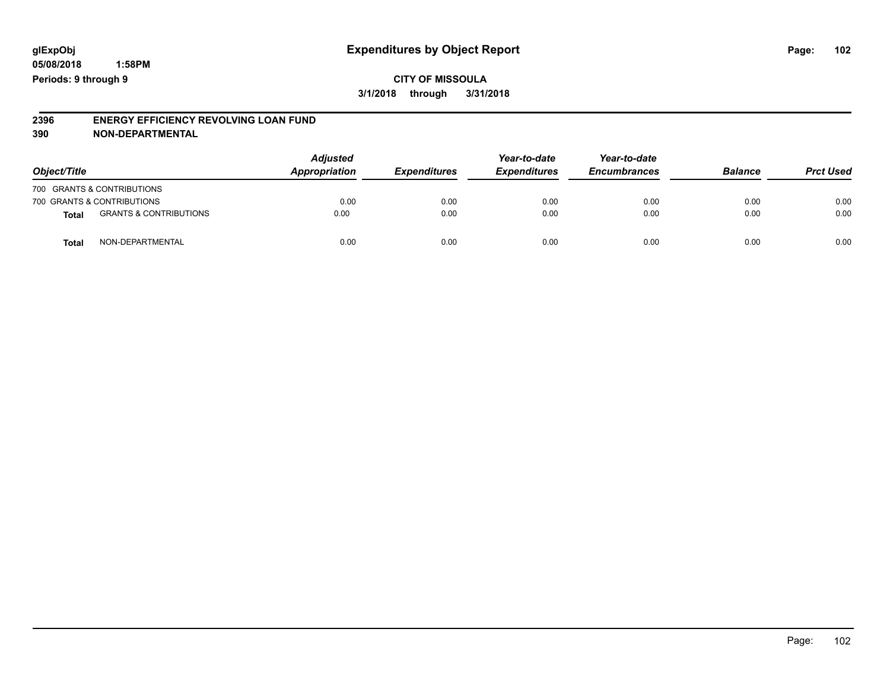**CITY OF MISSOULA 3/1/2018 through 3/31/2018**

#### **2396 ENERGY EFFICIENCY REVOLVING LOAN FUND 390 NON-DEPARTMENTAL**

| Object/Title |                                   | <b>Adjusted</b><br>Appropriation | <b>Expenditures</b> | Year-to-date<br><b>Expenditures</b> | Year-to-date<br><b>Encumbrances</b> | <b>Balance</b> | <b>Prct Used</b> |
|--------------|-----------------------------------|----------------------------------|---------------------|-------------------------------------|-------------------------------------|----------------|------------------|
|              | 700 GRANTS & CONTRIBUTIONS        |                                  |                     |                                     |                                     |                |                  |
|              | 700 GRANTS & CONTRIBUTIONS        | 0.00                             | 0.00                | 0.00                                | 0.00                                | 0.00           | 0.00             |
| <b>Total</b> | <b>GRANTS &amp; CONTRIBUTIONS</b> | 0.00                             | 0.00                | 0.00                                | 0.00                                | 0.00           | 0.00             |
| <b>Total</b> | NON-DEPARTMENTAL                  | 0.00                             | 0.00                | 0.00                                | 0.00                                | 0.00           | 0.00             |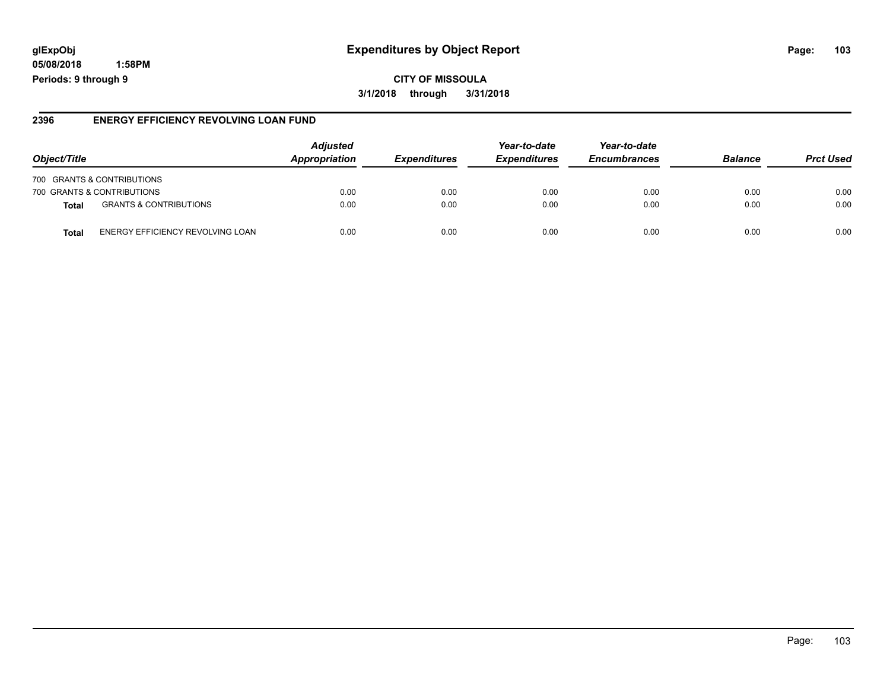# **glExpObj Expenditures by Object Report Page: 103**

**05/08/2018 1:58PM Periods: 9 through 9**

**CITY OF MISSOULA 3/1/2018 through 3/31/2018**

#### **2396 ENERGY EFFICIENCY REVOLVING LOAN FUND**

| Object/Title                               | <b>Adjusted</b><br>Appropriation | <b>Expenditures</b> | Year-to-date<br><b>Expenditures</b> | Year-to-date<br><b>Encumbrances</b> | <b>Balance</b> | <b>Prct Used</b> |
|--------------------------------------------|----------------------------------|---------------------|-------------------------------------|-------------------------------------|----------------|------------------|
| 700 GRANTS & CONTRIBUTIONS                 |                                  |                     |                                     |                                     |                |                  |
| 700 GRANTS & CONTRIBUTIONS                 | 0.00                             | 0.00                | 0.00                                | 0.00                                | 0.00           | 0.00             |
| <b>GRANTS &amp; CONTRIBUTIONS</b><br>Total | 0.00                             | 0.00                | 0.00                                | 0.00                                | 0.00           | 0.00             |
| ENERGY EFFICIENCY REVOLVING LOAN<br>Total  | 0.00                             | 0.00                | 0.00                                | 0.00                                | 0.00           | 0.00             |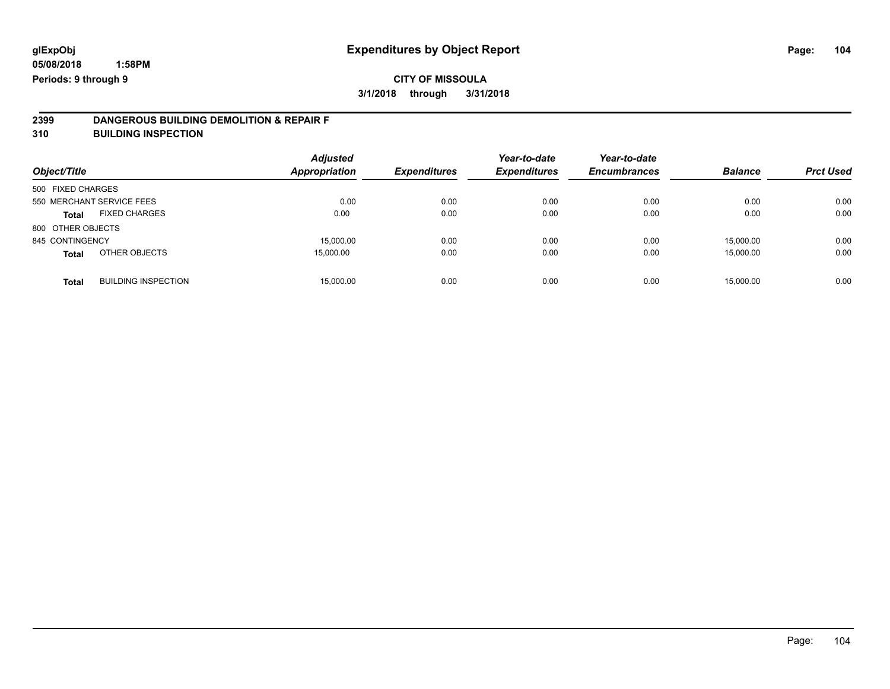# **CITY OF MISSOULA**

**3/1/2018 through 3/31/2018**

# **2399 DANGEROUS BUILDING DEMOLITION & REPAIR F**

**310 BUILDING INSPECTION**

| Object/Title      |                            | <b>Adjusted</b><br>Appropriation | <b>Expenditures</b> | Year-to-date<br><b>Expenditures</b> | Year-to-date<br><b>Encumbrances</b> | <b>Balance</b> | <b>Prct Used</b> |
|-------------------|----------------------------|----------------------------------|---------------------|-------------------------------------|-------------------------------------|----------------|------------------|
| 500 FIXED CHARGES |                            |                                  |                     |                                     |                                     |                |                  |
|                   | 550 MERCHANT SERVICE FEES  | 0.00                             | 0.00                | 0.00                                | 0.00                                | 0.00           | 0.00             |
| <b>Total</b>      | <b>FIXED CHARGES</b>       | 0.00                             | 0.00                | 0.00                                | 0.00                                | 0.00           | 0.00             |
| 800 OTHER OBJECTS |                            |                                  |                     |                                     |                                     |                |                  |
| 845 CONTINGENCY   |                            | 15,000.00                        | 0.00                | 0.00                                | 0.00                                | 15,000.00      | 0.00             |
| <b>Total</b>      | OTHER OBJECTS              | 15,000.00                        | 0.00                | 0.00                                | 0.00                                | 15,000.00      | 0.00             |
| <b>Total</b>      | <b>BUILDING INSPECTION</b> | 15.000.00                        | 0.00                | 0.00                                | 0.00                                | 15.000.00      | 0.00             |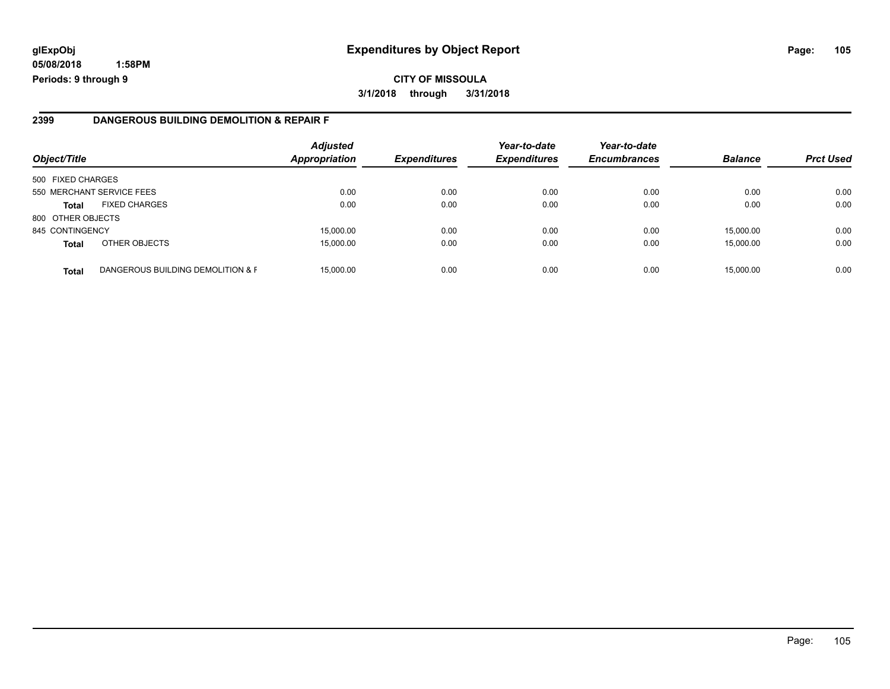**CITY OF MISSOULA 3/1/2018 through 3/31/2018**

#### **2399 DANGEROUS BUILDING DEMOLITION & REPAIR F**

| Object/Title      |                                   | <b>Adjusted</b><br><b>Appropriation</b> | <b>Expenditures</b> | Year-to-date<br><b>Expenditures</b> | Year-to-date<br><b>Encumbrances</b> | <b>Balance</b> | <b>Prct Used</b> |
|-------------------|-----------------------------------|-----------------------------------------|---------------------|-------------------------------------|-------------------------------------|----------------|------------------|
| 500 FIXED CHARGES |                                   |                                         |                     |                                     |                                     |                |                  |
|                   | 550 MERCHANT SERVICE FEES         | 0.00                                    | 0.00                | 0.00                                | 0.00                                | 0.00           | 0.00             |
| <b>Total</b>      | <b>FIXED CHARGES</b>              | 0.00                                    | 0.00                | 0.00                                | 0.00                                | 0.00           | 0.00             |
| 800 OTHER OBJECTS |                                   |                                         |                     |                                     |                                     |                |                  |
| 845 CONTINGENCY   |                                   | 15,000.00                               | 0.00                | 0.00                                | 0.00                                | 15,000.00      | 0.00             |
| <b>Total</b>      | OTHER OBJECTS                     | 15,000.00                               | 0.00                | 0.00                                | 0.00                                | 15,000.00      | 0.00             |
| <b>Total</b>      | DANGEROUS BUILDING DEMOLITION & F | 15,000.00                               | 0.00                | 0.00                                | 0.00                                | 15,000.00      | 0.00             |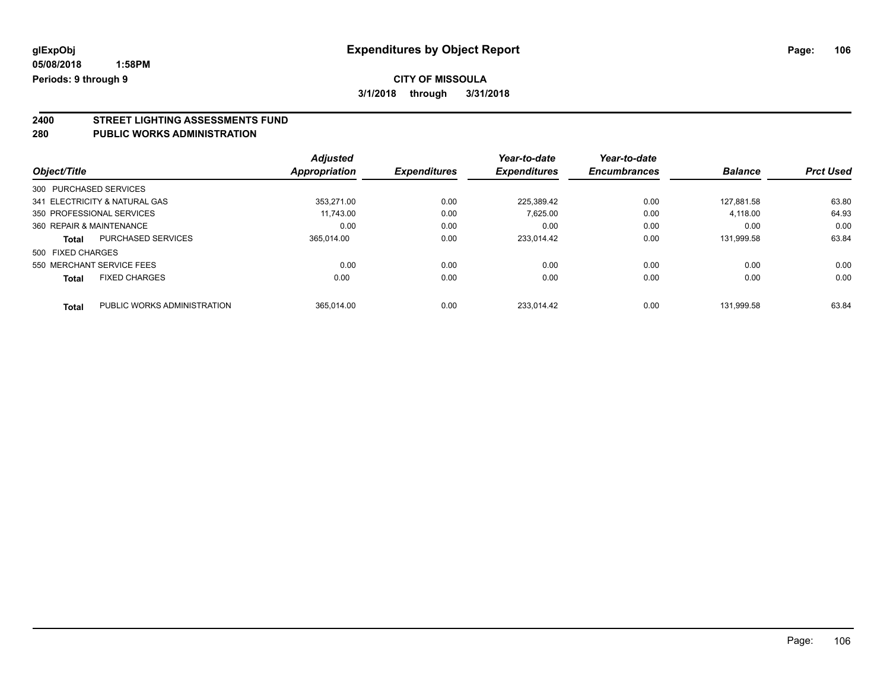### **CITY OF MISSOULA 3/1/2018 through 3/31/2018**

# **2400 STREET LIGHTING ASSESSMENTS FUND**

#### **280 PUBLIC WORKS ADMINISTRATION**

|                          |                               | <b>Adjusted</b> |                     | Year-to-date        | Year-to-date        |                |                  |
|--------------------------|-------------------------------|-----------------|---------------------|---------------------|---------------------|----------------|------------------|
| Object/Title             |                               | Appropriation   | <b>Expenditures</b> | <b>Expenditures</b> | <b>Encumbrances</b> | <b>Balance</b> | <b>Prct Used</b> |
| 300 PURCHASED SERVICES   |                               |                 |                     |                     |                     |                |                  |
|                          | 341 ELECTRICITY & NATURAL GAS | 353.271.00      | 0.00                | 225.389.42          | 0.00                | 127.881.58     | 63.80            |
|                          | 350 PROFESSIONAL SERVICES     | 11,743.00       | 0.00                | 7,625.00            | 0.00                | 4,118.00       | 64.93            |
| 360 REPAIR & MAINTENANCE |                               | 0.00            | 0.00                | 0.00                | 0.00                | 0.00           | 0.00             |
| <b>Total</b>             | <b>PURCHASED SERVICES</b>     | 365.014.00      | 0.00                | 233.014.42          | 0.00                | 131.999.58     | 63.84            |
| 500 FIXED CHARGES        |                               |                 |                     |                     |                     |                |                  |
|                          | 550 MERCHANT SERVICE FEES     | 0.00            | 0.00                | 0.00                | 0.00                | 0.00           | 0.00             |
| <b>Total</b>             | <b>FIXED CHARGES</b>          | 0.00            | 0.00                | 0.00                | 0.00                | 0.00           | 0.00             |
| <b>Total</b>             | PUBLIC WORKS ADMINISTRATION   | 365.014.00      | 0.00                | 233.014.42          | 0.00                | 131.999.58     | 63.84            |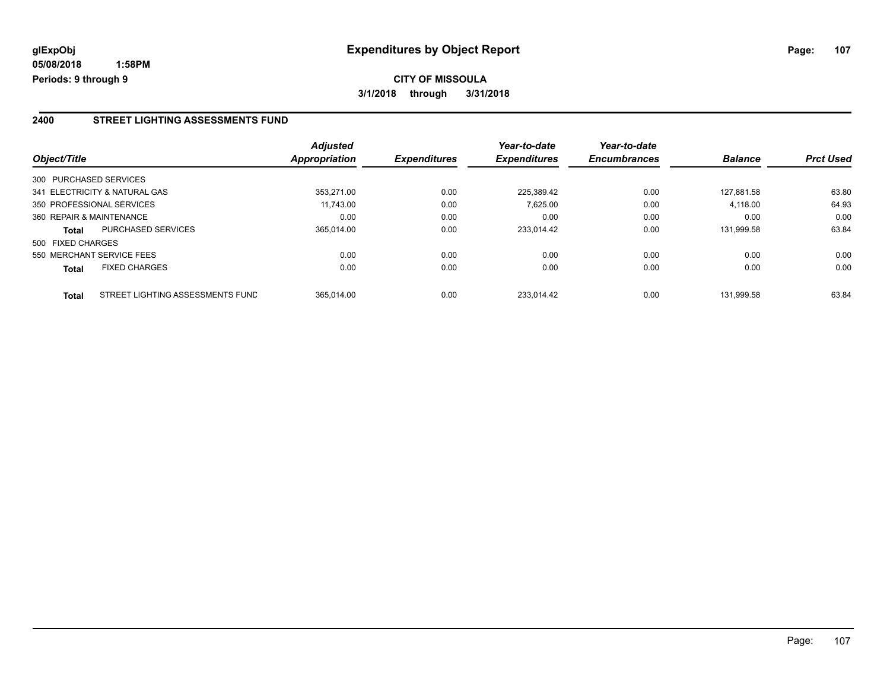#### **2400 STREET LIGHTING ASSESSMENTS FUND**

|                   |                                  | <b>Adjusted</b>      |                     | Year-to-date        | Year-to-date        |                |                  |
|-------------------|----------------------------------|----------------------|---------------------|---------------------|---------------------|----------------|------------------|
| Object/Title      |                                  | <b>Appropriation</b> | <b>Expenditures</b> | <b>Expenditures</b> | <b>Encumbrances</b> | <b>Balance</b> | <b>Prct Used</b> |
|                   | 300 PURCHASED SERVICES           |                      |                     |                     |                     |                |                  |
|                   | 341 ELECTRICITY & NATURAL GAS    | 353.271.00           | 0.00                | 225.389.42          | 0.00                | 127.881.58     | 63.80            |
|                   | 350 PROFESSIONAL SERVICES        | 11,743.00            | 0.00                | 7.625.00            | 0.00                | 4,118.00       | 64.93            |
|                   | 360 REPAIR & MAINTENANCE         | 0.00                 | 0.00                | 0.00                | 0.00                | 0.00           | 0.00             |
| <b>Total</b>      | <b>PURCHASED SERVICES</b>        | 365.014.00           | 0.00                | 233.014.42          | 0.00                | 131.999.58     | 63.84            |
| 500 FIXED CHARGES |                                  |                      |                     |                     |                     |                |                  |
|                   | 550 MERCHANT SERVICE FEES        | 0.00                 | 0.00                | 0.00                | 0.00                | 0.00           | 0.00             |
| <b>Total</b>      | <b>FIXED CHARGES</b>             | 0.00                 | 0.00                | 0.00                | 0.00                | 0.00           | 0.00             |
| <b>Total</b>      | STREET LIGHTING ASSESSMENTS FUND | 365.014.00           | 0.00                | 233.014.42          | 0.00                | 131.999.58     | 63.84            |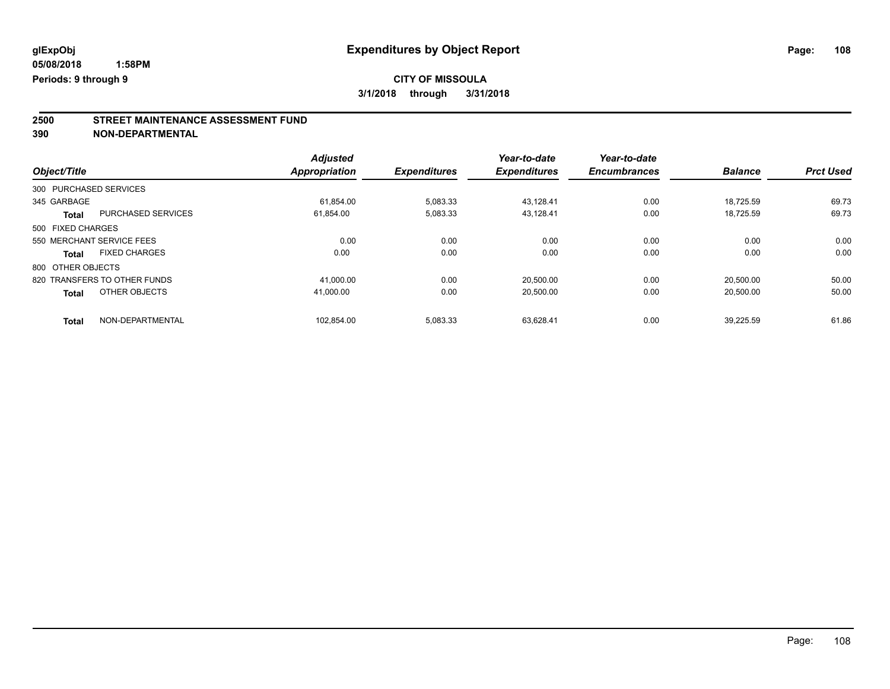# **CITY OF MISSOULA**

**3/1/2018 through 3/31/2018**

# **2500 STREET MAINTENANCE ASSESSMENT FUND**

|                        |                              | <b>Adjusted</b>      |                     | Year-to-date        | Year-to-date        |                |                  |
|------------------------|------------------------------|----------------------|---------------------|---------------------|---------------------|----------------|------------------|
| Object/Title           |                              | <b>Appropriation</b> | <b>Expenditures</b> | <b>Expenditures</b> | <b>Encumbrances</b> | <b>Balance</b> | <b>Prct Used</b> |
| 300 PURCHASED SERVICES |                              |                      |                     |                     |                     |                |                  |
| 345 GARBAGE            |                              | 61.854.00            | 5,083.33            | 43.128.41           | 0.00                | 18.725.59      | 69.73            |
| <b>Total</b>           | <b>PURCHASED SERVICES</b>    | 61,854.00            | 5,083.33            | 43.128.41           | 0.00                | 18.725.59      | 69.73            |
| 500 FIXED CHARGES      |                              |                      |                     |                     |                     |                |                  |
|                        | 550 MERCHANT SERVICE FEES    | 0.00                 | 0.00                | 0.00                | 0.00                | 0.00           | 0.00             |
| <b>Total</b>           | <b>FIXED CHARGES</b>         | 0.00                 | 0.00                | 0.00                | 0.00                | 0.00           | 0.00             |
| 800 OTHER OBJECTS      |                              |                      |                     |                     |                     |                |                  |
|                        | 820 TRANSFERS TO OTHER FUNDS | 41.000.00            | 0.00                | 20.500.00           | 0.00                | 20.500.00      | 50.00            |
| <b>Total</b>           | OTHER OBJECTS                | 41.000.00            | 0.00                | 20.500.00           | 0.00                | 20,500.00      | 50.00            |
| <b>Total</b>           | NON-DEPARTMENTAL             | 102.854.00           | 5.083.33            | 63.628.41           | 0.00                | 39.225.59      | 61.86            |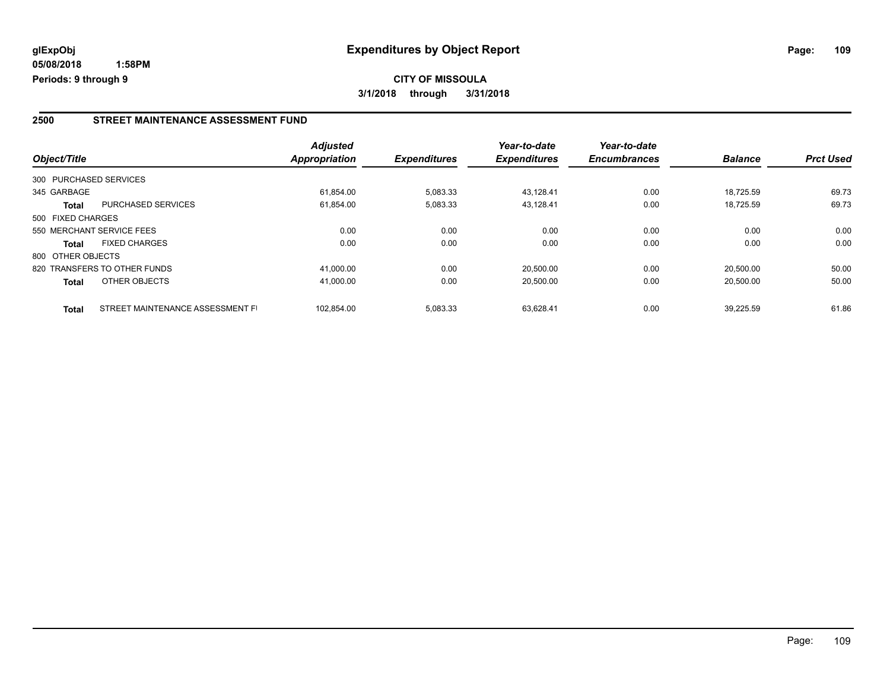**05/08/2018 1:58PM Periods: 9 through 9**

### **2500 STREET MAINTENANCE ASSESSMENT FUND**

|                   |                                  | <b>Adjusted</b>      |                     | Year-to-date        | Year-to-date        |                |                  |
|-------------------|----------------------------------|----------------------|---------------------|---------------------|---------------------|----------------|------------------|
| Object/Title      |                                  | <b>Appropriation</b> | <b>Expenditures</b> | <b>Expenditures</b> | <b>Encumbrances</b> | <b>Balance</b> | <b>Prct Used</b> |
|                   | 300 PURCHASED SERVICES           |                      |                     |                     |                     |                |                  |
| 345 GARBAGE       |                                  | 61.854.00            | 5,083.33            | 43.128.41           | 0.00                | 18.725.59      | 69.73            |
| <b>Total</b>      | <b>PURCHASED SERVICES</b>        | 61.854.00            | 5,083.33            | 43.128.41           | 0.00                | 18.725.59      | 69.73            |
| 500 FIXED CHARGES |                                  |                      |                     |                     |                     |                |                  |
|                   | 550 MERCHANT SERVICE FEES        | 0.00                 | 0.00                | 0.00                | 0.00                | 0.00           | 0.00             |
| <b>Total</b>      | <b>FIXED CHARGES</b>             | 0.00                 | 0.00                | 0.00                | 0.00                | 0.00           | 0.00             |
| 800 OTHER OBJECTS |                                  |                      |                     |                     |                     |                |                  |
|                   | 820 TRANSFERS TO OTHER FUNDS     | 41,000.00            | 0.00                | 20.500.00           | 0.00                | 20.500.00      | 50.00            |
| <b>Total</b>      | OTHER OBJECTS                    | 41,000.00            | 0.00                | 20,500.00           | 0.00                | 20.500.00      | 50.00            |
| <b>Total</b>      | STREET MAINTENANCE ASSESSMENT FI | 102.854.00           | 5,083.33            | 63.628.41           | 0.00                | 39.225.59      | 61.86            |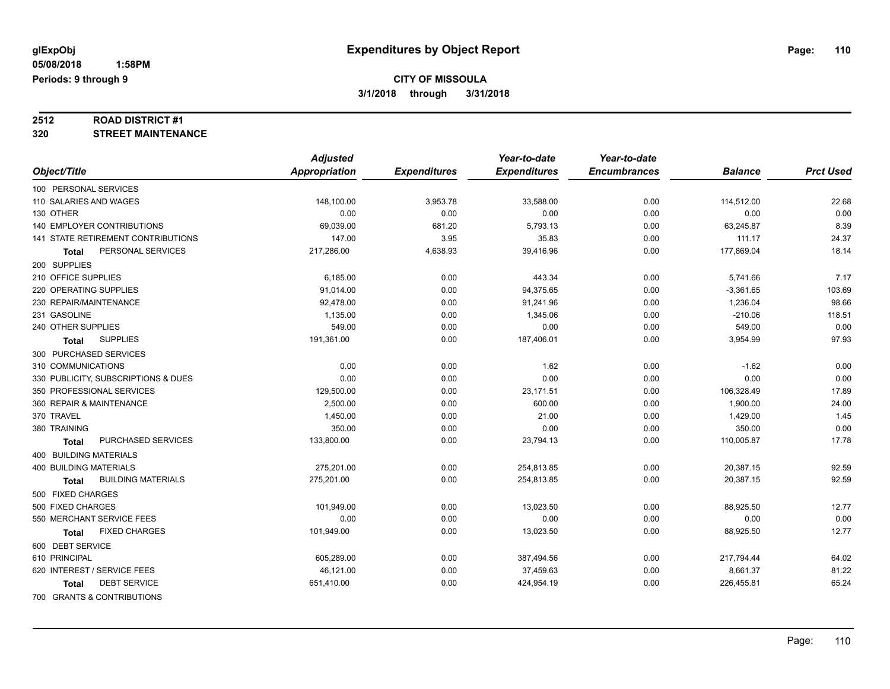# **2512 ROAD DISTRICT #1**

### **320 STREET MAINTENANCE**

| Object/Title<br><b>Expenditures</b><br><b>Encumbrances</b><br><b>Balance</b><br><b>Prct Used</b><br>Appropriation<br><b>Expenditures</b><br>100 PERSONAL SERVICES<br>148,100.00<br>3,953.78<br>0.00<br>114,512.00<br>22.68<br>110 SALARIES AND WAGES<br>33,588.00<br>0.00<br>130 OTHER<br>0.00<br>0.00<br>0.00<br>0.00<br>0.00<br>8.39<br>140 EMPLOYER CONTRIBUTIONS<br>69,039.00<br>681.20<br>5,793.13<br>0.00<br>63,245.87<br>147.00<br>3.95<br>24.37<br>141 STATE RETIREMENT CONTRIBUTIONS<br>35.83<br>0.00<br>111.17<br>18.14<br>0.00<br>PERSONAL SERVICES<br>217,286.00<br>4,638.93<br>39,416.96<br>177,869.04<br>Total<br>200 SUPPLIES<br>210 OFFICE SUPPLIES<br>443.34<br>0.00<br>5,741.66<br>7.17<br>6,185.00<br>0.00<br>$-3,361.65$<br>103.69<br>220 OPERATING SUPPLIES<br>91,014.00<br>0.00<br>94,375.65<br>0.00<br>98.66<br>1,236.04<br>230 REPAIR/MAINTENANCE<br>92,478.00<br>0.00<br>91,241.96<br>0.00<br>118.51<br>231 GASOLINE<br>1,135.00<br>0.00<br>$-210.06$<br>1,345.06<br>0.00<br>549.00<br>0.00<br>240 OTHER SUPPLIES<br>0.00<br>0.00<br>0.00<br>549.00<br><b>SUPPLIES</b><br>191,361.00<br>0.00<br>3,954.99<br>97.93<br>187,406.01<br>0.00<br><b>Total</b><br>300 PURCHASED SERVICES<br>310 COMMUNICATIONS<br>0.00<br>0.00<br>1.62<br>0.00<br>$-1.62$<br>0.00<br>0.00<br>0.00<br>0.00<br>0.00<br>0.00<br>330 PUBLICITY, SUBSCRIPTIONS & DUES<br>0.00<br>17.89<br>350 PROFESSIONAL SERVICES<br>129,500.00<br>0.00<br>23,171.51<br>106,328.49<br>0.00<br>24.00<br>360 REPAIR & MAINTENANCE<br>2,500.00<br>0.00<br>600.00<br>1,900.00<br>0.00<br>370 TRAVEL<br>1,450.00<br>1,429.00<br>1.45<br>0.00<br>21.00<br>0.00<br>350.00<br>0.00<br>380 TRAINING<br>0.00<br>0.00<br>0.00<br>350.00 |
|-------------------------------------------------------------------------------------------------------------------------------------------------------------------------------------------------------------------------------------------------------------------------------------------------------------------------------------------------------------------------------------------------------------------------------------------------------------------------------------------------------------------------------------------------------------------------------------------------------------------------------------------------------------------------------------------------------------------------------------------------------------------------------------------------------------------------------------------------------------------------------------------------------------------------------------------------------------------------------------------------------------------------------------------------------------------------------------------------------------------------------------------------------------------------------------------------------------------------------------------------------------------------------------------------------------------------------------------------------------------------------------------------------------------------------------------------------------------------------------------------------------------------------------------------------------------------------------------------------------------------------------------------------------------------------------------------------------|
|                                                                                                                                                                                                                                                                                                                                                                                                                                                                                                                                                                                                                                                                                                                                                                                                                                                                                                                                                                                                                                                                                                                                                                                                                                                                                                                                                                                                                                                                                                                                                                                                                                                                                                             |
|                                                                                                                                                                                                                                                                                                                                                                                                                                                                                                                                                                                                                                                                                                                                                                                                                                                                                                                                                                                                                                                                                                                                                                                                                                                                                                                                                                                                                                                                                                                                                                                                                                                                                                             |
|                                                                                                                                                                                                                                                                                                                                                                                                                                                                                                                                                                                                                                                                                                                                                                                                                                                                                                                                                                                                                                                                                                                                                                                                                                                                                                                                                                                                                                                                                                                                                                                                                                                                                                             |
|                                                                                                                                                                                                                                                                                                                                                                                                                                                                                                                                                                                                                                                                                                                                                                                                                                                                                                                                                                                                                                                                                                                                                                                                                                                                                                                                                                                                                                                                                                                                                                                                                                                                                                             |
|                                                                                                                                                                                                                                                                                                                                                                                                                                                                                                                                                                                                                                                                                                                                                                                                                                                                                                                                                                                                                                                                                                                                                                                                                                                                                                                                                                                                                                                                                                                                                                                                                                                                                                             |
|                                                                                                                                                                                                                                                                                                                                                                                                                                                                                                                                                                                                                                                                                                                                                                                                                                                                                                                                                                                                                                                                                                                                                                                                                                                                                                                                                                                                                                                                                                                                                                                                                                                                                                             |
|                                                                                                                                                                                                                                                                                                                                                                                                                                                                                                                                                                                                                                                                                                                                                                                                                                                                                                                                                                                                                                                                                                                                                                                                                                                                                                                                                                                                                                                                                                                                                                                                                                                                                                             |
|                                                                                                                                                                                                                                                                                                                                                                                                                                                                                                                                                                                                                                                                                                                                                                                                                                                                                                                                                                                                                                                                                                                                                                                                                                                                                                                                                                                                                                                                                                                                                                                                                                                                                                             |
|                                                                                                                                                                                                                                                                                                                                                                                                                                                                                                                                                                                                                                                                                                                                                                                                                                                                                                                                                                                                                                                                                                                                                                                                                                                                                                                                                                                                                                                                                                                                                                                                                                                                                                             |
|                                                                                                                                                                                                                                                                                                                                                                                                                                                                                                                                                                                                                                                                                                                                                                                                                                                                                                                                                                                                                                                                                                                                                                                                                                                                                                                                                                                                                                                                                                                                                                                                                                                                                                             |
|                                                                                                                                                                                                                                                                                                                                                                                                                                                                                                                                                                                                                                                                                                                                                                                                                                                                                                                                                                                                                                                                                                                                                                                                                                                                                                                                                                                                                                                                                                                                                                                                                                                                                                             |
|                                                                                                                                                                                                                                                                                                                                                                                                                                                                                                                                                                                                                                                                                                                                                                                                                                                                                                                                                                                                                                                                                                                                                                                                                                                                                                                                                                                                                                                                                                                                                                                                                                                                                                             |
|                                                                                                                                                                                                                                                                                                                                                                                                                                                                                                                                                                                                                                                                                                                                                                                                                                                                                                                                                                                                                                                                                                                                                                                                                                                                                                                                                                                                                                                                                                                                                                                                                                                                                                             |
|                                                                                                                                                                                                                                                                                                                                                                                                                                                                                                                                                                                                                                                                                                                                                                                                                                                                                                                                                                                                                                                                                                                                                                                                                                                                                                                                                                                                                                                                                                                                                                                                                                                                                                             |
|                                                                                                                                                                                                                                                                                                                                                                                                                                                                                                                                                                                                                                                                                                                                                                                                                                                                                                                                                                                                                                                                                                                                                                                                                                                                                                                                                                                                                                                                                                                                                                                                                                                                                                             |
|                                                                                                                                                                                                                                                                                                                                                                                                                                                                                                                                                                                                                                                                                                                                                                                                                                                                                                                                                                                                                                                                                                                                                                                                                                                                                                                                                                                                                                                                                                                                                                                                                                                                                                             |
|                                                                                                                                                                                                                                                                                                                                                                                                                                                                                                                                                                                                                                                                                                                                                                                                                                                                                                                                                                                                                                                                                                                                                                                                                                                                                                                                                                                                                                                                                                                                                                                                                                                                                                             |
|                                                                                                                                                                                                                                                                                                                                                                                                                                                                                                                                                                                                                                                                                                                                                                                                                                                                                                                                                                                                                                                                                                                                                                                                                                                                                                                                                                                                                                                                                                                                                                                                                                                                                                             |
|                                                                                                                                                                                                                                                                                                                                                                                                                                                                                                                                                                                                                                                                                                                                                                                                                                                                                                                                                                                                                                                                                                                                                                                                                                                                                                                                                                                                                                                                                                                                                                                                                                                                                                             |
|                                                                                                                                                                                                                                                                                                                                                                                                                                                                                                                                                                                                                                                                                                                                                                                                                                                                                                                                                                                                                                                                                                                                                                                                                                                                                                                                                                                                                                                                                                                                                                                                                                                                                                             |
|                                                                                                                                                                                                                                                                                                                                                                                                                                                                                                                                                                                                                                                                                                                                                                                                                                                                                                                                                                                                                                                                                                                                                                                                                                                                                                                                                                                                                                                                                                                                                                                                                                                                                                             |
| PURCHASED SERVICES<br>17.78<br>133,800.00<br>0.00<br>0.00<br>110,005.87<br>23,794.13<br><b>Total</b>                                                                                                                                                                                                                                                                                                                                                                                                                                                                                                                                                                                                                                                                                                                                                                                                                                                                                                                                                                                                                                                                                                                                                                                                                                                                                                                                                                                                                                                                                                                                                                                                        |
| 400 BUILDING MATERIALS                                                                                                                                                                                                                                                                                                                                                                                                                                                                                                                                                                                                                                                                                                                                                                                                                                                                                                                                                                                                                                                                                                                                                                                                                                                                                                                                                                                                                                                                                                                                                                                                                                                                                      |
| 92.59<br><b>400 BUILDING MATERIALS</b><br>275,201.00<br>0.00<br>254,813.85<br>0.00<br>20,387.15                                                                                                                                                                                                                                                                                                                                                                                                                                                                                                                                                                                                                                                                                                                                                                                                                                                                                                                                                                                                                                                                                                                                                                                                                                                                                                                                                                                                                                                                                                                                                                                                             |
| 92.59<br><b>BUILDING MATERIALS</b><br>0.00<br>0.00<br>275,201.00<br>254,813.85<br>20,387.15<br><b>Total</b>                                                                                                                                                                                                                                                                                                                                                                                                                                                                                                                                                                                                                                                                                                                                                                                                                                                                                                                                                                                                                                                                                                                                                                                                                                                                                                                                                                                                                                                                                                                                                                                                 |
| 500 FIXED CHARGES                                                                                                                                                                                                                                                                                                                                                                                                                                                                                                                                                                                                                                                                                                                                                                                                                                                                                                                                                                                                                                                                                                                                                                                                                                                                                                                                                                                                                                                                                                                                                                                                                                                                                           |
| 500 FIXED CHARGES<br>13,023.50<br>12.77<br>101,949.00<br>0.00<br>0.00<br>88,925.50                                                                                                                                                                                                                                                                                                                                                                                                                                                                                                                                                                                                                                                                                                                                                                                                                                                                                                                                                                                                                                                                                                                                                                                                                                                                                                                                                                                                                                                                                                                                                                                                                          |
| 550 MERCHANT SERVICE FEES<br>0.00<br>0.00<br>0.00<br>0.00<br>0.00<br>0.00                                                                                                                                                                                                                                                                                                                                                                                                                                                                                                                                                                                                                                                                                                                                                                                                                                                                                                                                                                                                                                                                                                                                                                                                                                                                                                                                                                                                                                                                                                                                                                                                                                   |
| 12.77<br><b>FIXED CHARGES</b><br>101,949.00<br>0.00<br>13,023.50<br>0.00<br>88,925.50<br><b>Total</b>                                                                                                                                                                                                                                                                                                                                                                                                                                                                                                                                                                                                                                                                                                                                                                                                                                                                                                                                                                                                                                                                                                                                                                                                                                                                                                                                                                                                                                                                                                                                                                                                       |
| 600 DEBT SERVICE                                                                                                                                                                                                                                                                                                                                                                                                                                                                                                                                                                                                                                                                                                                                                                                                                                                                                                                                                                                                                                                                                                                                                                                                                                                                                                                                                                                                                                                                                                                                                                                                                                                                                            |
| 610 PRINCIPAL<br>605,289.00<br>0.00<br>387,494.56<br>0.00<br>217,794.44<br>64.02                                                                                                                                                                                                                                                                                                                                                                                                                                                                                                                                                                                                                                                                                                                                                                                                                                                                                                                                                                                                                                                                                                                                                                                                                                                                                                                                                                                                                                                                                                                                                                                                                            |
| 81.22<br>620 INTEREST / SERVICE FEES<br>46,121.00<br>0.00<br>37,459.63<br>0.00<br>8,661.37                                                                                                                                                                                                                                                                                                                                                                                                                                                                                                                                                                                                                                                                                                                                                                                                                                                                                                                                                                                                                                                                                                                                                                                                                                                                                                                                                                                                                                                                                                                                                                                                                  |
| 65.24<br><b>DEBT SERVICE</b><br>651,410.00<br>0.00<br>424,954.19<br>0.00<br>226,455.81<br><b>Total</b>                                                                                                                                                                                                                                                                                                                                                                                                                                                                                                                                                                                                                                                                                                                                                                                                                                                                                                                                                                                                                                                                                                                                                                                                                                                                                                                                                                                                                                                                                                                                                                                                      |
| 700 GRANTS & CONTRIBUTIONS                                                                                                                                                                                                                                                                                                                                                                                                                                                                                                                                                                                                                                                                                                                                                                                                                                                                                                                                                                                                                                                                                                                                                                                                                                                                                                                                                                                                                                                                                                                                                                                                                                                                                  |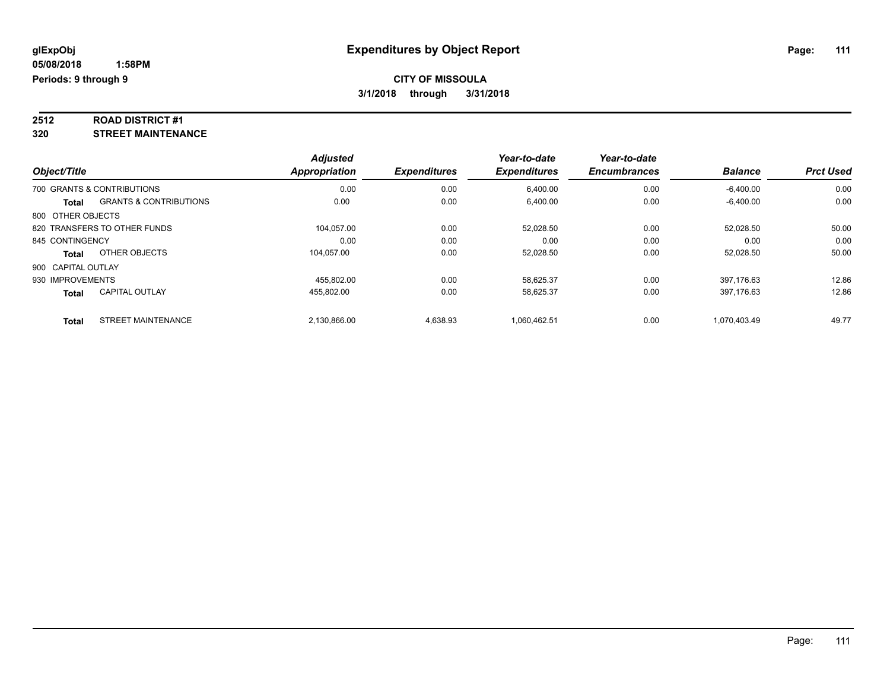# **2512 ROAD DISTRICT #1**

**320 STREET MAINTENANCE**

|                    |                                   | <b>Adjusted</b>      |                     | Year-to-date        | Year-to-date        |                |                  |
|--------------------|-----------------------------------|----------------------|---------------------|---------------------|---------------------|----------------|------------------|
| Object/Title       |                                   | <b>Appropriation</b> | <b>Expenditures</b> | <b>Expenditures</b> | <b>Encumbrances</b> | <b>Balance</b> | <b>Prct Used</b> |
|                    | 700 GRANTS & CONTRIBUTIONS        | 0.00                 | 0.00                | 6.400.00            | 0.00                | $-6.400.00$    | 0.00             |
| Total              | <b>GRANTS &amp; CONTRIBUTIONS</b> | 0.00                 | 0.00                | 6,400.00            | 0.00                | $-6,400.00$    | 0.00             |
| 800 OTHER OBJECTS  |                                   |                      |                     |                     |                     |                |                  |
|                    | 820 TRANSFERS TO OTHER FUNDS      | 104.057.00           | 0.00                | 52.028.50           | 0.00                | 52.028.50      | 50.00            |
| 845 CONTINGENCY    |                                   | 0.00                 | 0.00                | 0.00                | 0.00                | 0.00           | 0.00             |
| <b>Total</b>       | OTHER OBJECTS                     | 104,057.00           | 0.00                | 52,028.50           | 0.00                | 52,028.50      | 50.00            |
| 900 CAPITAL OUTLAY |                                   |                      |                     |                     |                     |                |                  |
| 930 IMPROVEMENTS   |                                   | 455.802.00           | 0.00                | 58.625.37           | 0.00                | 397.176.63     | 12.86            |
| <b>Total</b>       | <b>CAPITAL OUTLAY</b>             | 455.802.00           | 0.00                | 58,625.37           | 0.00                | 397.176.63     | 12.86            |
| <b>Total</b>       | <b>STREET MAINTENANCE</b>         | 2.130.866.00         | 4.638.93            | 1.060.462.51        | 0.00                | 1.070.403.49   | 49.77            |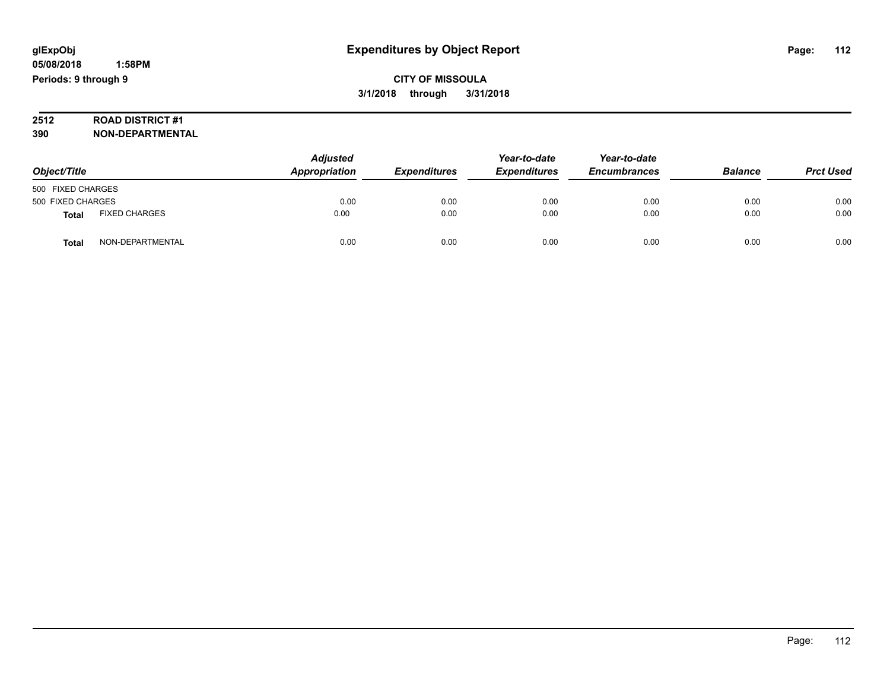# **2512 ROAD DISTRICT #1**

**390 NON-DEPARTMENTAL**

| Object/Title      |                      | <b>Adjusted</b><br>Appropriation | <b>Expenditures</b> | Year-to-date<br><b>Expenditures</b> | Year-to-date<br><b>Encumbrances</b> | <b>Balance</b> | <b>Prct Used</b> |
|-------------------|----------------------|----------------------------------|---------------------|-------------------------------------|-------------------------------------|----------------|------------------|
| 500 FIXED CHARGES |                      |                                  |                     |                                     |                                     |                |                  |
| 500 FIXED CHARGES |                      | 0.00                             | 0.00                | 0.00                                | 0.00                                | 0.00           | 0.00             |
| <b>Total</b>      | <b>FIXED CHARGES</b> | 0.00                             | 0.00                | 0.00                                | 0.00                                | 0.00           | 0.00             |
| <b>Total</b>      | NON-DEPARTMENTAL     | 0.00                             | 0.00                | 0.00                                | 0.00                                | 0.00           | 0.00             |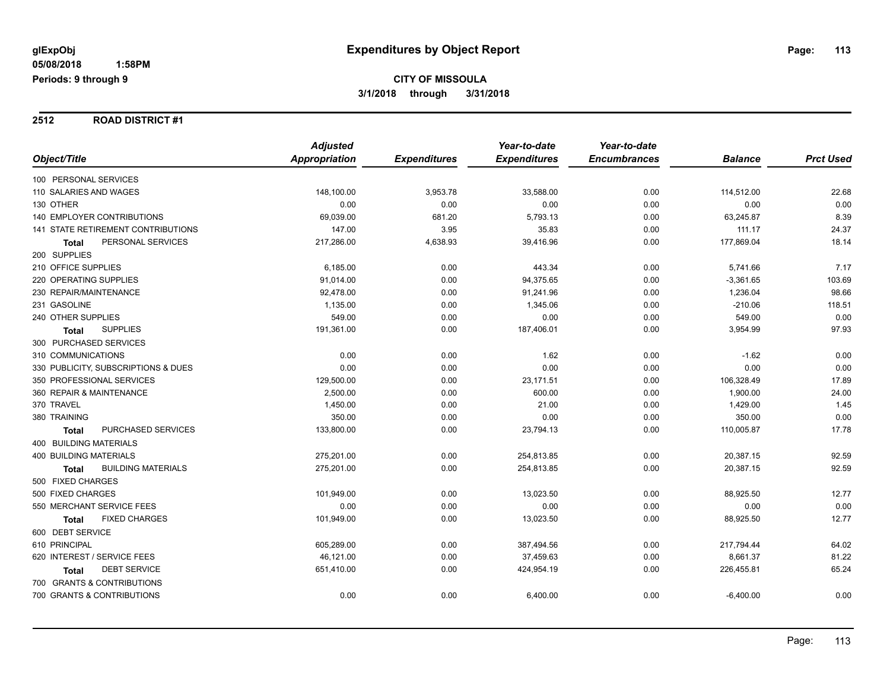#### **2512 ROAD DISTRICT #1**

|                                           | <b>Adjusted</b> |                     | Year-to-date        | Year-to-date        |                |                  |
|-------------------------------------------|-----------------|---------------------|---------------------|---------------------|----------------|------------------|
| Object/Title                              | Appropriation   | <b>Expenditures</b> | <b>Expenditures</b> | <b>Encumbrances</b> | <b>Balance</b> | <b>Prct Used</b> |
| 100 PERSONAL SERVICES                     |                 |                     |                     |                     |                |                  |
| 110 SALARIES AND WAGES                    | 148,100.00      | 3,953.78            | 33,588.00           | 0.00                | 114,512.00     | 22.68            |
| 130 OTHER                                 | 0.00            | 0.00                | 0.00                | 0.00                | 0.00           | 0.00             |
| <b>140 EMPLOYER CONTRIBUTIONS</b>         | 69,039.00       | 681.20              | 5,793.13            | 0.00                | 63,245.87      | 8.39             |
| 141 STATE RETIREMENT CONTRIBUTIONS        | 147.00          | 3.95                | 35.83               | 0.00                | 111.17         | 24.37            |
| PERSONAL SERVICES<br>Total                | 217,286.00      | 4,638.93            | 39,416.96           | 0.00                | 177,869.04     | 18.14            |
| 200 SUPPLIES                              |                 |                     |                     |                     |                |                  |
| 210 OFFICE SUPPLIES                       | 6,185.00        | 0.00                | 443.34              | 0.00                | 5,741.66       | 7.17             |
| 220 OPERATING SUPPLIES                    | 91,014.00       | 0.00                | 94,375.65           | 0.00                | $-3,361.65$    | 103.69           |
| 230 REPAIR/MAINTENANCE                    | 92,478.00       | 0.00                | 91,241.96           | 0.00                | 1,236.04       | 98.66            |
| 231 GASOLINE                              | 1,135.00        | 0.00                | 1,345.06            | 0.00                | $-210.06$      | 118.51           |
| 240 OTHER SUPPLIES                        | 549.00          | 0.00                | 0.00                | 0.00                | 549.00         | 0.00             |
| <b>SUPPLIES</b><br><b>Total</b>           | 191,361.00      | 0.00                | 187,406.01          | 0.00                | 3,954.99       | 97.93            |
| 300 PURCHASED SERVICES                    |                 |                     |                     |                     |                |                  |
| 310 COMMUNICATIONS                        | 0.00            | 0.00                | 1.62                | 0.00                | $-1.62$        | 0.00             |
| 330 PUBLICITY, SUBSCRIPTIONS & DUES       | 0.00            | 0.00                | 0.00                | 0.00                | 0.00           | 0.00             |
| 350 PROFESSIONAL SERVICES                 | 129,500.00      | 0.00                | 23,171.51           | 0.00                | 106,328.49     | 17.89            |
| 360 REPAIR & MAINTENANCE                  | 2,500.00        | 0.00                | 600.00              | 0.00                | 1,900.00       | 24.00            |
| 370 TRAVEL                                | 1,450.00        | 0.00                | 21.00               | 0.00                | 1,429.00       | 1.45             |
| 380 TRAINING                              | 350.00          | 0.00                | 0.00                | 0.00                | 350.00         | 0.00             |
| PURCHASED SERVICES<br><b>Total</b>        | 133,800.00      | 0.00                | 23,794.13           | 0.00                | 110,005.87     | 17.78            |
| 400 BUILDING MATERIALS                    |                 |                     |                     |                     |                |                  |
| <b>400 BUILDING MATERIALS</b>             | 275,201.00      | 0.00                | 254,813.85          | 0.00                | 20,387.15      | 92.59            |
| <b>BUILDING MATERIALS</b><br><b>Total</b> | 275,201.00      | 0.00                | 254,813.85          | 0.00                | 20,387.15      | 92.59            |
| 500 FIXED CHARGES                         |                 |                     |                     |                     |                |                  |
| 500 FIXED CHARGES                         | 101,949.00      | 0.00                | 13,023.50           | 0.00                | 88,925.50      | 12.77            |
| 550 MERCHANT SERVICE FEES                 | 0.00            | 0.00                | 0.00                | 0.00                | 0.00           | 0.00             |
| <b>FIXED CHARGES</b><br><b>Total</b>      | 101,949.00      | 0.00                | 13,023.50           | 0.00                | 88,925.50      | 12.77            |
| 600 DEBT SERVICE                          |                 |                     |                     |                     |                |                  |
| 610 PRINCIPAL                             | 605,289.00      | 0.00                | 387,494.56          | 0.00                | 217,794.44     | 64.02            |
| 620 INTEREST / SERVICE FEES               | 46,121.00       | 0.00                | 37,459.63           | 0.00                | 8,661.37       | 81.22            |
| <b>DEBT SERVICE</b><br>Total              | 651,410.00      | 0.00                | 424,954.19          | 0.00                | 226,455.81     | 65.24            |
| 700 GRANTS & CONTRIBUTIONS                |                 |                     |                     |                     |                |                  |
| 700 GRANTS & CONTRIBUTIONS                | 0.00            | 0.00                | 6,400.00            | 0.00                | $-6,400.00$    | 0.00             |
|                                           |                 |                     |                     |                     |                |                  |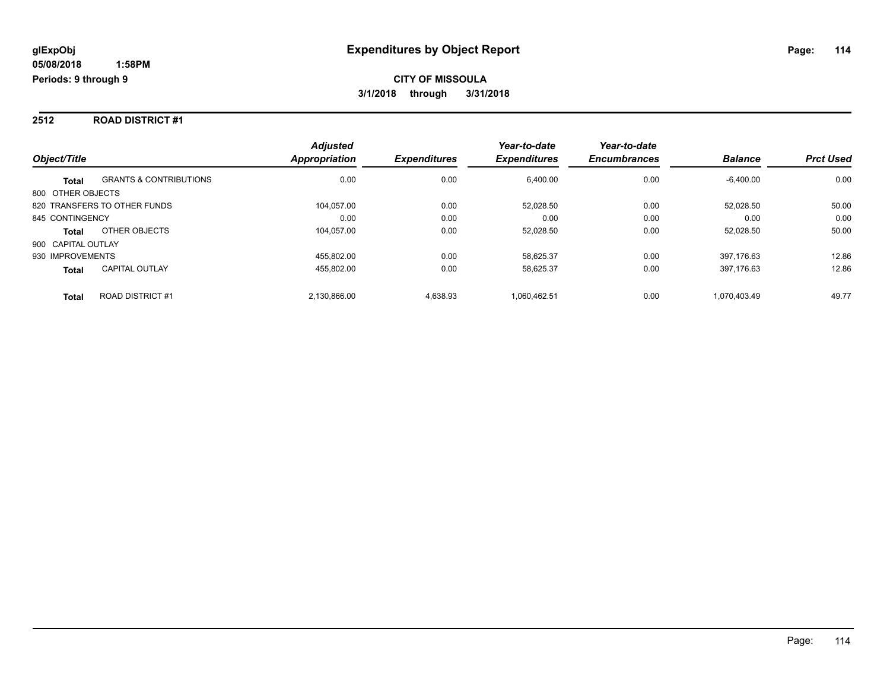#### **2512 ROAD DISTRICT #1**

|                                                   | <b>Adjusted</b>      |                     | Year-to-date        | Year-to-date        |                |                  |
|---------------------------------------------------|----------------------|---------------------|---------------------|---------------------|----------------|------------------|
| Object/Title                                      | <b>Appropriation</b> | <b>Expenditures</b> | <b>Expenditures</b> | <b>Encumbrances</b> | <b>Balance</b> | <b>Prct Used</b> |
| <b>GRANTS &amp; CONTRIBUTIONS</b><br><b>Total</b> | 0.00                 | 0.00                | 6,400.00            | 0.00                | $-6,400.00$    | 0.00             |
| 800 OTHER OBJECTS                                 |                      |                     |                     |                     |                |                  |
| 820 TRANSFERS TO OTHER FUNDS                      | 104.057.00           | 0.00                | 52.028.50           | 0.00                | 52.028.50      | 50.00            |
| 845 CONTINGENCY                                   | 0.00                 | 0.00                | 0.00                | 0.00                | 0.00           | 0.00             |
| OTHER OBJECTS<br>Total                            | 104.057.00           | 0.00                | 52.028.50           | 0.00                | 52,028.50      | 50.00            |
| 900 CAPITAL OUTLAY                                |                      |                     |                     |                     |                |                  |
| 930 IMPROVEMENTS                                  | 455.802.00           | 0.00                | 58.625.37           | 0.00                | 397.176.63     | 12.86            |
| <b>CAPITAL OUTLAY</b><br><b>Total</b>             | 455,802.00           | 0.00                | 58,625.37           | 0.00                | 397,176.63     | 12.86            |
| <b>ROAD DISTRICT #1</b><br><b>Total</b>           | 2.130.866.00         | 4.638.93            | 1.060.462.51        | 0.00                | 1.070.403.49   | 49.77            |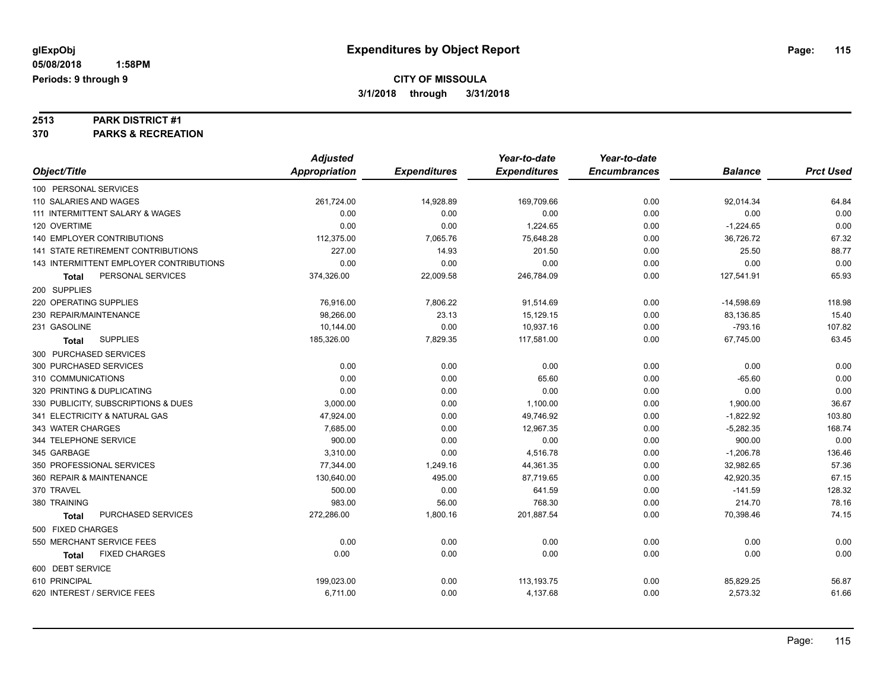# **2513 PARK DISTRICT #1**

**370 PARKS & RECREATION**

|                                           | <b>Adjusted</b> |                     | Year-to-date        | Year-to-date        |                |                  |
|-------------------------------------------|-----------------|---------------------|---------------------|---------------------|----------------|------------------|
| Object/Title                              | Appropriation   | <b>Expenditures</b> | <b>Expenditures</b> | <b>Encumbrances</b> | <b>Balance</b> | <b>Prct Used</b> |
| 100 PERSONAL SERVICES                     |                 |                     |                     |                     |                |                  |
| 110 SALARIES AND WAGES                    | 261,724.00      | 14,928.89           | 169,709.66          | 0.00                | 92,014.34      | 64.84            |
| 111 INTERMITTENT SALARY & WAGES           | 0.00            | 0.00                | 0.00                | 0.00                | 0.00           | 0.00             |
| 120 OVERTIME                              | 0.00            | 0.00                | 1,224.65            | 0.00                | $-1,224.65$    | 0.00             |
| 140 EMPLOYER CONTRIBUTIONS                | 112,375.00      | 7,065.76            | 75,648.28           | 0.00                | 36,726.72      | 67.32            |
| <b>141 STATE RETIREMENT CONTRIBUTIONS</b> | 227.00          | 14.93               | 201.50              | 0.00                | 25.50          | 88.77            |
| 143 INTERMITTENT EMPLOYER CONTRIBUTIONS   | 0.00            | 0.00                | 0.00                | 0.00                | 0.00           | 0.00             |
| PERSONAL SERVICES<br>Total                | 374,326.00      | 22,009.58           | 246,784.09          | 0.00                | 127,541.91     | 65.93            |
| 200 SUPPLIES                              |                 |                     |                     |                     |                |                  |
| 220 OPERATING SUPPLIES                    | 76,916.00       | 7,806.22            | 91,514.69           | 0.00                | $-14,598.69$   | 118.98           |
| 230 REPAIR/MAINTENANCE                    | 98,266.00       | 23.13               | 15,129.15           | 0.00                | 83,136.85      | 15.40            |
| 231 GASOLINE                              | 10,144.00       | 0.00                | 10,937.16           | 0.00                | $-793.16$      | 107.82           |
| <b>SUPPLIES</b><br><b>Total</b>           | 185,326.00      | 7,829.35            | 117,581.00          | 0.00                | 67,745.00      | 63.45            |
| 300 PURCHASED SERVICES                    |                 |                     |                     |                     |                |                  |
| 300 PURCHASED SERVICES                    | 0.00            | 0.00                | 0.00                | 0.00                | 0.00           | 0.00             |
| 310 COMMUNICATIONS                        | 0.00            | 0.00                | 65.60               | 0.00                | $-65.60$       | 0.00             |
| 320 PRINTING & DUPLICATING                | 0.00            | 0.00                | 0.00                | 0.00                | 0.00           | 0.00             |
| 330 PUBLICITY, SUBSCRIPTIONS & DUES       | 3,000.00        | 0.00                | 1,100.00            | 0.00                | 1,900.00       | 36.67            |
| 341 ELECTRICITY & NATURAL GAS             | 47,924.00       | 0.00                | 49,746.92           | 0.00                | $-1,822.92$    | 103.80           |
| 343 WATER CHARGES                         | 7,685.00        | 0.00                | 12,967.35           | 0.00                | $-5,282.35$    | 168.74           |
| 344 TELEPHONE SERVICE                     | 900.00          | 0.00                | 0.00                | 0.00                | 900.00         | 0.00             |
| 345 GARBAGE                               | 3,310.00        | 0.00                | 4,516.78            | 0.00                | $-1,206.78$    | 136.46           |
| 350 PROFESSIONAL SERVICES                 | 77,344.00       | 1,249.16            | 44,361.35           | 0.00                | 32,982.65      | 57.36            |
| 360 REPAIR & MAINTENANCE                  | 130,640.00      | 495.00              | 87,719.65           | 0.00                | 42,920.35      | 67.15            |
| 370 TRAVEL                                | 500.00          | 0.00                | 641.59              | 0.00                | $-141.59$      | 128.32           |
| 380 TRAINING                              | 983.00          | 56.00               | 768.30              | 0.00                | 214.70         | 78.16            |
| PURCHASED SERVICES<br><b>Total</b>        | 272,286.00      | 1,800.16            | 201,887.54          | 0.00                | 70,398.46      | 74.15            |
| 500 FIXED CHARGES                         |                 |                     |                     |                     |                |                  |
| 550 MERCHANT SERVICE FEES                 | 0.00            | 0.00                | 0.00                | 0.00                | 0.00           | 0.00             |
| <b>FIXED CHARGES</b><br><b>Total</b>      | 0.00            | 0.00                | 0.00                | 0.00                | 0.00           | 0.00             |
| 600 DEBT SERVICE                          |                 |                     |                     |                     |                |                  |
| 610 PRINCIPAL                             | 199,023.00      | 0.00                | 113,193.75          | 0.00                | 85,829.25      | 56.87            |
| 620 INTEREST / SERVICE FEES               | 6,711.00        | 0.00                | 4,137.68            | 0.00                | 2,573.32       | 61.66            |
|                                           |                 |                     |                     |                     |                |                  |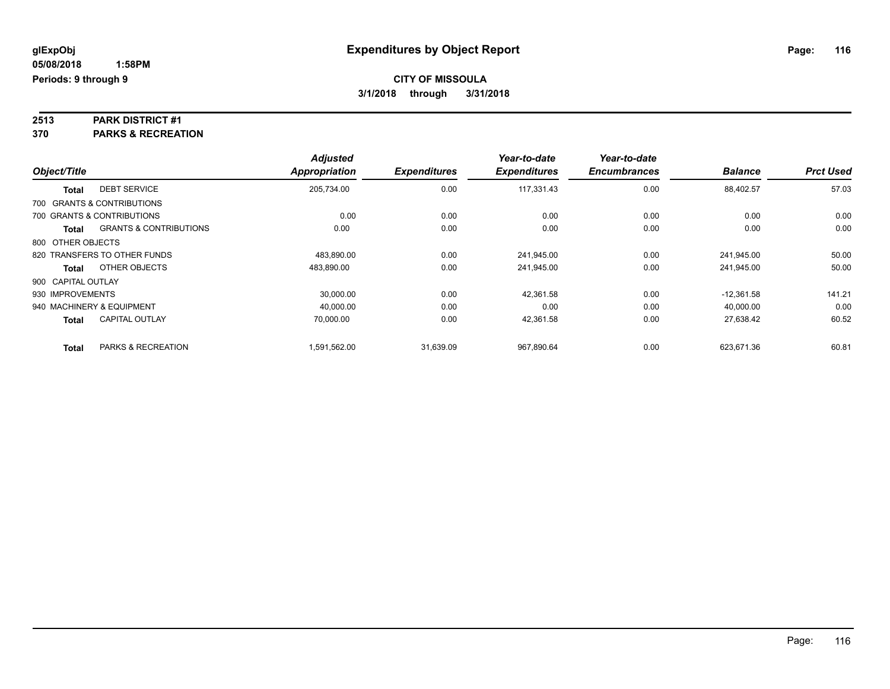# **2513 PARK DISTRICT #1**

### **370 PARKS & RECREATION**

|              |                                            | <b>Adjusted</b> |                     | Year-to-date        | Year-to-date        |                |                  |
|--------------|--------------------------------------------|-----------------|---------------------|---------------------|---------------------|----------------|------------------|
| Object/Title |                                            | Appropriation   | <b>Expenditures</b> | <b>Expenditures</b> | <b>Encumbrances</b> | <b>Balance</b> | <b>Prct Used</b> |
|              | <b>DEBT SERVICE</b><br><b>Total</b>        | 205,734.00      | 0.00                | 117,331.43          | 0.00                | 88,402.57      | 57.03            |
|              | 700 GRANTS & CONTRIBUTIONS                 |                 |                     |                     |                     |                |                  |
|              | 700 GRANTS & CONTRIBUTIONS                 | 0.00            | 0.00                | 0.00                | 0.00                | 0.00           | 0.00             |
|              | <b>GRANTS &amp; CONTRIBUTIONS</b><br>Total | 0.00            | 0.00                | 0.00                | 0.00                | 0.00           | 0.00             |
|              | 800 OTHER OBJECTS                          |                 |                     |                     |                     |                |                  |
|              | 820 TRANSFERS TO OTHER FUNDS               | 483.890.00      | 0.00                | 241.945.00          | 0.00                | 241.945.00     | 50.00            |
|              | OTHER OBJECTS<br>Total                     | 483,890.00      | 0.00                | 241,945.00          | 0.00                | 241,945.00     | 50.00            |
|              | 900 CAPITAL OUTLAY                         |                 |                     |                     |                     |                |                  |
|              | 930 IMPROVEMENTS                           | 30,000.00       | 0.00                | 42.361.58           | 0.00                | $-12.361.58$   | 141.21           |
|              | 940 MACHINERY & EQUIPMENT                  | 40,000.00       | 0.00                | 0.00                | 0.00                | 40.000.00      | 0.00             |
|              | <b>CAPITAL OUTLAY</b><br><b>Total</b>      | 70,000.00       | 0.00                | 42,361.58           | 0.00                | 27,638.42      | 60.52            |
|              | PARKS & RECREATION<br><b>Total</b>         | 1,591,562.00    | 31,639.09           | 967,890.64          | 0.00                | 623,671.36     | 60.81            |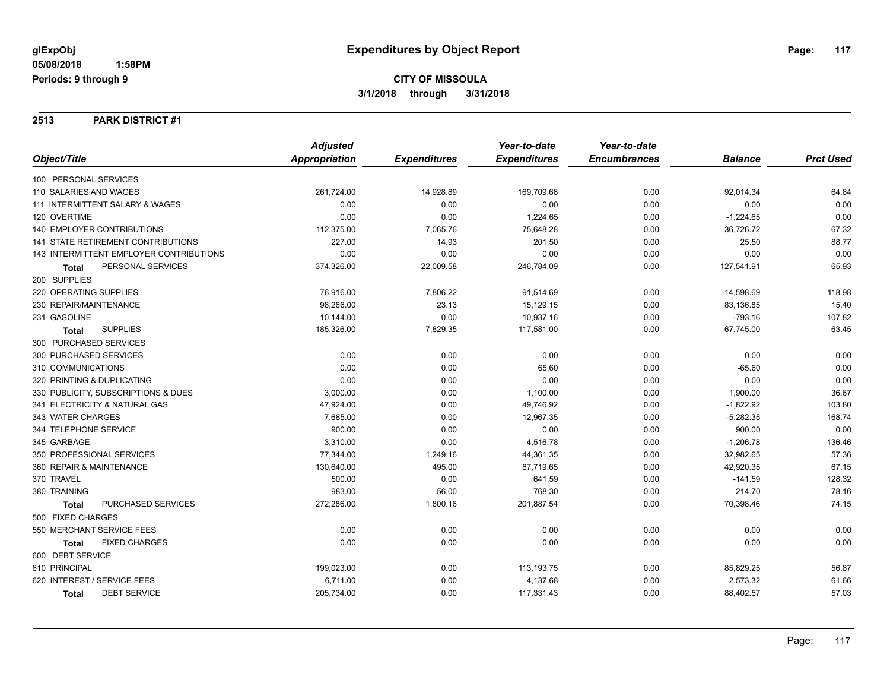**2513 PARK DISTRICT #1**

|                                           | <b>Adjusted</b> |                     | Year-to-date        | Year-to-date        |                |                  |
|-------------------------------------------|-----------------|---------------------|---------------------|---------------------|----------------|------------------|
| Object/Title                              | Appropriation   | <b>Expenditures</b> | <b>Expenditures</b> | <b>Encumbrances</b> | <b>Balance</b> | <b>Prct Used</b> |
| 100 PERSONAL SERVICES                     |                 |                     |                     |                     |                |                  |
| 110 SALARIES AND WAGES                    | 261,724.00      | 14,928.89           | 169,709.66          | 0.00                | 92,014.34      | 64.84            |
| 111 INTERMITTENT SALARY & WAGES           | 0.00            | 0.00                | 0.00                | 0.00                | 0.00           | 0.00             |
| 120 OVERTIME                              | 0.00            | 0.00                | 1,224.65            | 0.00                | $-1,224.65$    | 0.00             |
| 140 EMPLOYER CONTRIBUTIONS                | 112,375.00      | 7,065.76            | 75,648.28           | 0.00                | 36,726.72      | 67.32            |
| <b>141 STATE RETIREMENT CONTRIBUTIONS</b> | 227.00          | 14.93               | 201.50              | 0.00                | 25.50          | 88.77            |
| 143 INTERMITTENT EMPLOYER CONTRIBUTIONS   | 0.00            | 0.00                | 0.00                | 0.00                | 0.00           | 0.00             |
| PERSONAL SERVICES<br>Total                | 374,326.00      | 22,009.58           | 246,784.09          | 0.00                | 127,541.91     | 65.93            |
| 200 SUPPLIES                              |                 |                     |                     |                     |                |                  |
| 220 OPERATING SUPPLIES                    | 76,916.00       | 7,806.22            | 91,514.69           | 0.00                | $-14,598.69$   | 118.98           |
| 230 REPAIR/MAINTENANCE                    | 98,266.00       | 23.13               | 15,129.15           | 0.00                | 83,136.85      | 15.40            |
| 231 GASOLINE                              | 10,144.00       | 0.00                | 10,937.16           | 0.00                | $-793.16$      | 107.82           |
| <b>SUPPLIES</b><br><b>Total</b>           | 185,326.00      | 7,829.35            | 117,581.00          | 0.00                | 67,745.00      | 63.45            |
| 300 PURCHASED SERVICES                    |                 |                     |                     |                     |                |                  |
| 300 PURCHASED SERVICES                    | 0.00            | 0.00                | 0.00                | 0.00                | 0.00           | 0.00             |
| 310 COMMUNICATIONS                        | 0.00            | 0.00                | 65.60               | 0.00                | $-65.60$       | 0.00             |
| 320 PRINTING & DUPLICATING                | 0.00            | 0.00                | 0.00                | 0.00                | 0.00           | 0.00             |
| 330 PUBLICITY, SUBSCRIPTIONS & DUES       | 3,000.00        | 0.00                | 1,100.00            | 0.00                | 1,900.00       | 36.67            |
| 341 ELECTRICITY & NATURAL GAS             | 47,924.00       | 0.00                | 49,746.92           | 0.00                | $-1,822.92$    | 103.80           |
| 343 WATER CHARGES                         | 7,685.00        | 0.00                | 12,967.35           | 0.00                | $-5,282.35$    | 168.74           |
| 344 TELEPHONE SERVICE                     | 900.00          | 0.00                | 0.00                | 0.00                | 900.00         | 0.00             |
| 345 GARBAGE                               | 3,310.00        | 0.00                | 4,516.78            | 0.00                | $-1,206.78$    | 136.46           |
| 350 PROFESSIONAL SERVICES                 | 77,344.00       | 1,249.16            | 44,361.35           | 0.00                | 32,982.65      | 57.36            |
| 360 REPAIR & MAINTENANCE                  | 130,640.00      | 495.00              | 87,719.65           | 0.00                | 42,920.35      | 67.15            |
| 370 TRAVEL                                | 500.00          | 0.00                | 641.59              | 0.00                | $-141.59$      | 128.32           |
| 380 TRAINING                              | 983.00          | 56.00               | 768.30              | 0.00                | 214.70         | 78.16            |
| <b>PURCHASED SERVICES</b><br><b>Total</b> | 272,286.00      | 1,800.16            | 201,887.54          | 0.00                | 70,398.46      | 74.15            |
| 500 FIXED CHARGES                         |                 |                     |                     |                     |                |                  |
| 550 MERCHANT SERVICE FEES                 | 0.00            | 0.00                | 0.00                | 0.00                | 0.00           | 0.00             |
| <b>FIXED CHARGES</b><br>Total             | 0.00            | 0.00                | 0.00                | 0.00                | 0.00           | 0.00             |
| 600 DEBT SERVICE                          |                 |                     |                     |                     |                |                  |
| 610 PRINCIPAL                             | 199,023.00      | 0.00                | 113,193.75          | 0.00                | 85,829.25      | 56.87            |
| 620 INTEREST / SERVICE FEES               | 6,711.00        | 0.00                | 4,137.68            | 0.00                | 2,573.32       | 61.66            |
| <b>DEBT SERVICE</b><br>Total              | 205,734.00      | 0.00                | 117,331.43          | 0.00                | 88,402.57      | 57.03            |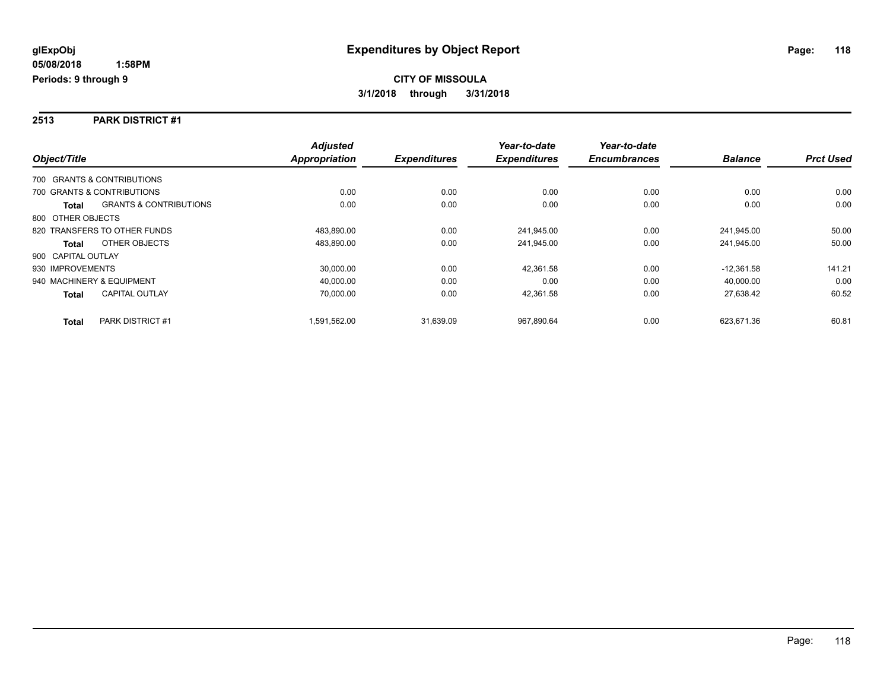**2513 PARK DISTRICT #1**

|                                            | <b>Adjusted</b>      |                     | Year-to-date        | Year-to-date        |                |                  |
|--------------------------------------------|----------------------|---------------------|---------------------|---------------------|----------------|------------------|
| Object/Title                               | <b>Appropriation</b> | <b>Expenditures</b> | <b>Expenditures</b> | <b>Encumbrances</b> | <b>Balance</b> | <b>Prct Used</b> |
| 700 GRANTS & CONTRIBUTIONS                 |                      |                     |                     |                     |                |                  |
| 700 GRANTS & CONTRIBUTIONS                 |                      | 0.00<br>0.00        | 0.00                | 0.00                | 0.00           | 0.00             |
| <b>GRANTS &amp; CONTRIBUTIONS</b><br>Total |                      | 0.00<br>0.00        | 0.00                | 0.00                | 0.00           | 0.00             |
| 800 OTHER OBJECTS                          |                      |                     |                     |                     |                |                  |
| 820 TRANSFERS TO OTHER FUNDS               | 483,890.00           | 0.00                | 241,945.00          | 0.00                | 241,945.00     | 50.00            |
| OTHER OBJECTS<br><b>Total</b>              | 483,890.00           | 0.00                | 241,945.00          | 0.00                | 241,945.00     | 50.00            |
| 900 CAPITAL OUTLAY                         |                      |                     |                     |                     |                |                  |
| 930 IMPROVEMENTS                           | 30,000.00            | 0.00                | 42,361.58           | 0.00                | $-12,361.58$   | 141.21           |
| 940 MACHINERY & EQUIPMENT                  | 40.000.00            | 0.00                | 0.00                | 0.00                | 40.000.00      | 0.00             |
| <b>CAPITAL OUTLAY</b><br><b>Total</b>      | 70,000.00            | 0.00                | 42,361.58           | 0.00                | 27,638.42      | 60.52            |
| PARK DISTRICT #1<br><b>Total</b>           | 1.591.562.00         | 31,639.09           | 967.890.64          | 0.00                | 623.671.36     | 60.81            |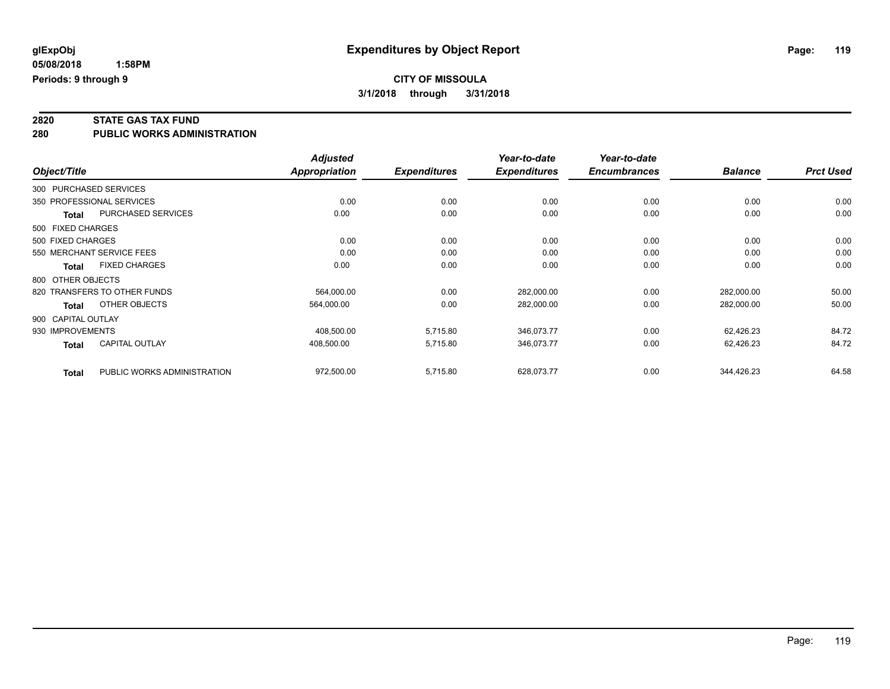**05/08/2018 1:58PM Periods: 9 through 9**

# **2820 STATE GAS TAX FUND**

**280 PUBLIC WORKS ADMINISTRATION**

|                    |                              | <b>Adjusted</b>      |                     | Year-to-date        | Year-to-date        |                |                  |
|--------------------|------------------------------|----------------------|---------------------|---------------------|---------------------|----------------|------------------|
| Object/Title       |                              | <b>Appropriation</b> | <b>Expenditures</b> | <b>Expenditures</b> | <b>Encumbrances</b> | <b>Balance</b> | <b>Prct Used</b> |
|                    | 300 PURCHASED SERVICES       |                      |                     |                     |                     |                |                  |
|                    | 350 PROFESSIONAL SERVICES    | 0.00                 | 0.00                | 0.00                | 0.00                | 0.00           | 0.00             |
| Total              | <b>PURCHASED SERVICES</b>    | 0.00                 | 0.00                | 0.00                | 0.00                | 0.00           | 0.00             |
| 500 FIXED CHARGES  |                              |                      |                     |                     |                     |                |                  |
| 500 FIXED CHARGES  |                              | 0.00                 | 0.00                | 0.00                | 0.00                | 0.00           | 0.00             |
|                    | 550 MERCHANT SERVICE FEES    | 0.00                 | 0.00                | 0.00                | 0.00                | 0.00           | 0.00             |
| <b>Total</b>       | <b>FIXED CHARGES</b>         | 0.00                 | 0.00                | 0.00                | 0.00                | 0.00           | 0.00             |
| 800 OTHER OBJECTS  |                              |                      |                     |                     |                     |                |                  |
|                    | 820 TRANSFERS TO OTHER FUNDS | 564,000.00           | 0.00                | 282,000.00          | 0.00                | 282,000.00     | 50.00            |
| <b>Total</b>       | OTHER OBJECTS                | 564,000.00           | 0.00                | 282,000.00          | 0.00                | 282,000.00     | 50.00            |
| 900 CAPITAL OUTLAY |                              |                      |                     |                     |                     |                |                  |
| 930 IMPROVEMENTS   |                              | 408,500.00           | 5,715.80            | 346,073.77          | 0.00                | 62,426.23      | 84.72            |
| <b>Total</b>       | <b>CAPITAL OUTLAY</b>        | 408,500.00           | 5,715.80            | 346,073.77          | 0.00                | 62,426.23      | 84.72            |
| <b>Total</b>       | PUBLIC WORKS ADMINISTRATION  | 972,500.00           | 5,715.80            | 628,073.77          | 0.00                | 344,426.23     | 64.58            |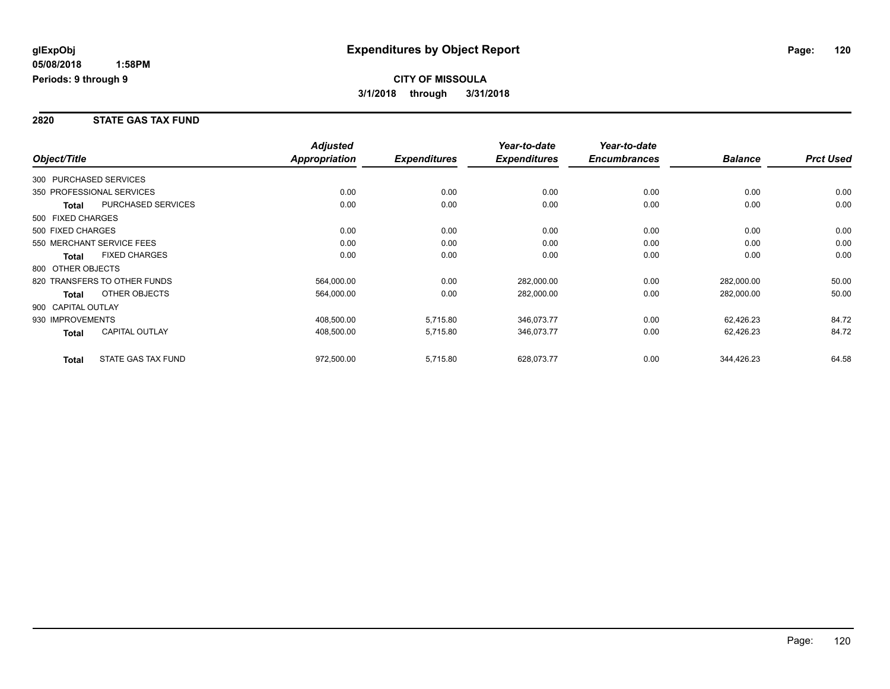### **2820 STATE GAS TAX FUND**

|                        |                              | <b>Adjusted</b>      |                     | Year-to-date        | Year-to-date        |                |                  |
|------------------------|------------------------------|----------------------|---------------------|---------------------|---------------------|----------------|------------------|
| Object/Title           |                              | <b>Appropriation</b> | <b>Expenditures</b> | <b>Expenditures</b> | <b>Encumbrances</b> | <b>Balance</b> | <b>Prct Used</b> |
| 300 PURCHASED SERVICES |                              |                      |                     |                     |                     |                |                  |
|                        | 350 PROFESSIONAL SERVICES    | 0.00                 | 0.00                | 0.00                | 0.00                | 0.00           | 0.00             |
| Total                  | <b>PURCHASED SERVICES</b>    | 0.00                 | 0.00                | 0.00                | 0.00                | 0.00           | 0.00             |
| 500 FIXED CHARGES      |                              |                      |                     |                     |                     |                |                  |
| 500 FIXED CHARGES      |                              | 0.00                 | 0.00                | 0.00                | 0.00                | 0.00           | 0.00             |
|                        | 550 MERCHANT SERVICE FEES    | 0.00                 | 0.00                | 0.00                | 0.00                | 0.00           | 0.00             |
| <b>Total</b>           | <b>FIXED CHARGES</b>         | 0.00                 | 0.00                | 0.00                | 0.00                | 0.00           | 0.00             |
| 800 OTHER OBJECTS      |                              |                      |                     |                     |                     |                |                  |
|                        | 820 TRANSFERS TO OTHER FUNDS | 564,000.00           | 0.00                | 282,000.00          | 0.00                | 282,000.00     | 50.00            |
| Total                  | OTHER OBJECTS                | 564,000.00           | 0.00                | 282,000.00          | 0.00                | 282,000.00     | 50.00            |
| 900 CAPITAL OUTLAY     |                              |                      |                     |                     |                     |                |                  |
| 930 IMPROVEMENTS       |                              | 408,500.00           | 5,715.80            | 346,073.77          | 0.00                | 62,426.23      | 84.72            |
| Total                  | <b>CAPITAL OUTLAY</b>        | 408,500.00           | 5,715.80            | 346,073.77          | 0.00                | 62,426.23      | 84.72            |
| <b>Total</b>           | STATE GAS TAX FUND           | 972,500.00           | 5,715.80            | 628,073.77          | 0.00                | 344,426.23     | 64.58            |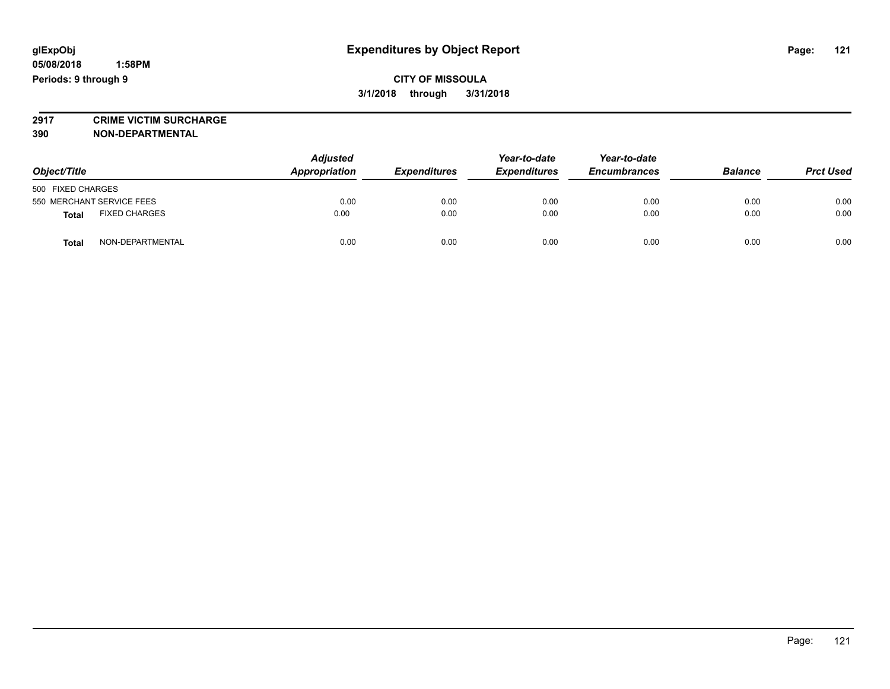# **2917 CRIME VICTIM SURCHARGE**

**390 NON-DEPARTMENTAL**

| Object/Title                         | <b>Adjusted</b><br>Appropriation | <b>Expenditures</b> | Year-to-date<br><b>Expenditures</b> | Year-to-date<br><b>Encumbrances</b> | <b>Balance</b> | <b>Prct Used</b> |
|--------------------------------------|----------------------------------|---------------------|-------------------------------------|-------------------------------------|----------------|------------------|
| 500 FIXED CHARGES                    |                                  |                     |                                     |                                     |                |                  |
| 550 MERCHANT SERVICE FEES            | 0.00                             | 0.00                | 0.00                                | 0.00                                | 0.00           | 0.00             |
| <b>FIXED CHARGES</b><br><b>Total</b> | 0.00                             | 0.00                | 0.00                                | 0.00                                | 0.00           | 0.00             |
| NON-DEPARTMENTAL<br>Total            | 0.00                             | 0.00                | 0.00                                | 0.00                                | 0.00           | 0.00             |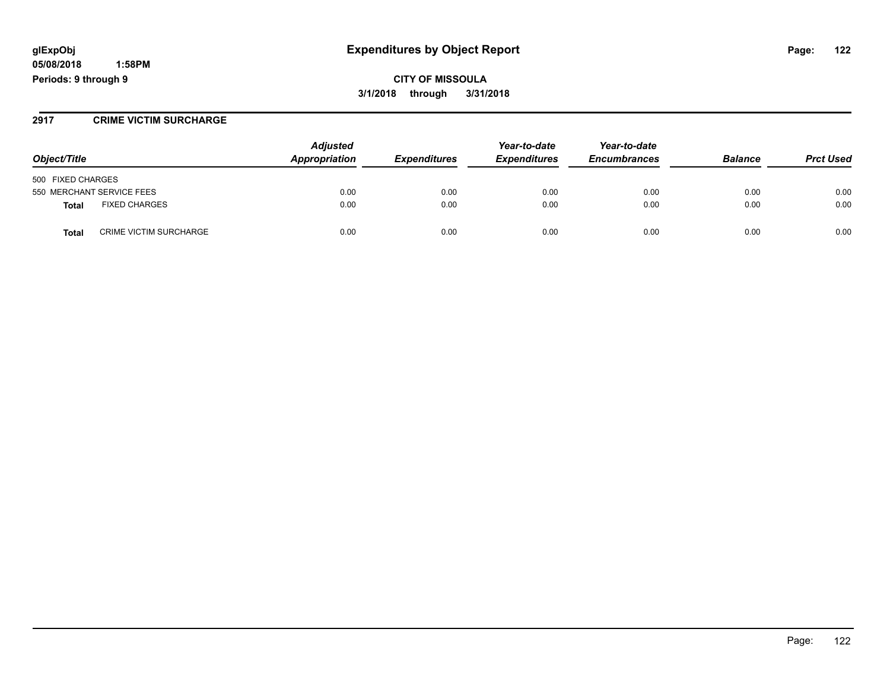**05/08/2018 1:58PM Periods: 9 through 9**

**3/1/2018 through 3/31/2018**

### **2917 CRIME VICTIM SURCHARGE**

|                                        | <b>Adjusted</b> |                     | Year-to-date        | Year-to-date        |                |                  |
|----------------------------------------|-----------------|---------------------|---------------------|---------------------|----------------|------------------|
| Object/Title                           | Appropriation   | <b>Expenditures</b> | <b>Expenditures</b> | <b>Encumbrances</b> | <b>Balance</b> | <b>Prct Used</b> |
| 500 FIXED CHARGES                      |                 |                     |                     |                     |                |                  |
| 550 MERCHANT SERVICE FEES              | 0.00            | 0.00                | 0.00                | 0.00                | 0.00           | 0.00             |
| <b>FIXED CHARGES</b><br>Total          | 0.00            | 0.00                | 0.00                | 0.00                | 0.00           | 0.00             |
| <b>CRIME VICTIM SURCHARGE</b><br>Total | 0.00            | 0.00                | 0.00                | 0.00                | 0.00           | 0.00             |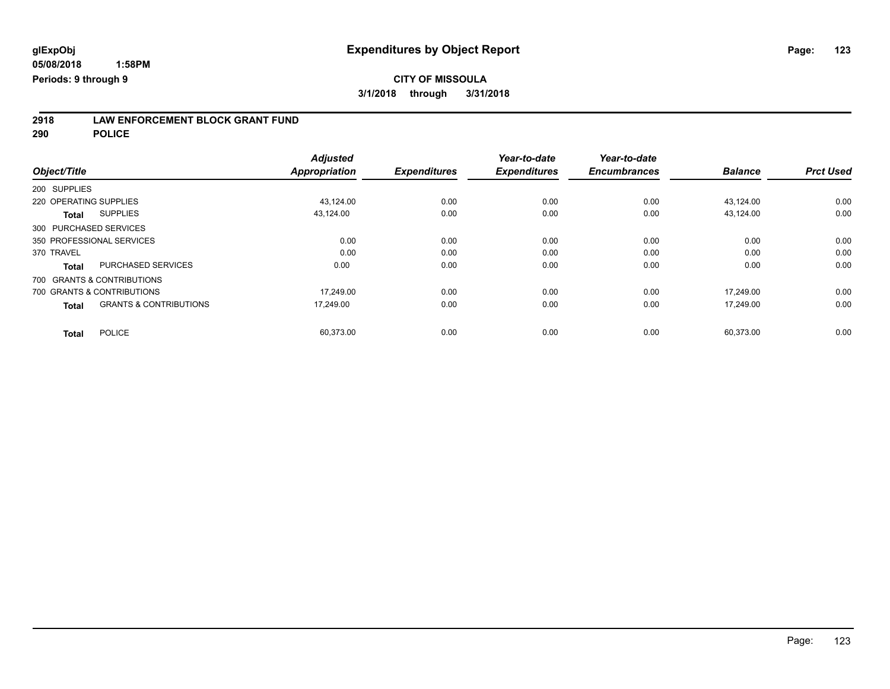# **2918 LAW ENFORCEMENT BLOCK GRANT FUND**

**290 POLICE**

|                                                   | <b>Adjusted</b>      |                     | Year-to-date        | Year-to-date        |                |                  |
|---------------------------------------------------|----------------------|---------------------|---------------------|---------------------|----------------|------------------|
| Object/Title                                      | <b>Appropriation</b> | <b>Expenditures</b> | <b>Expenditures</b> | <b>Encumbrances</b> | <b>Balance</b> | <b>Prct Used</b> |
| 200 SUPPLIES                                      |                      |                     |                     |                     |                |                  |
| 220 OPERATING SUPPLIES                            | 43,124.00            | 0.00                | 0.00                | 0.00                | 43,124.00      | 0.00             |
| <b>SUPPLIES</b><br><b>Total</b>                   | 43.124.00            | 0.00                | 0.00                | 0.00                | 43.124.00      | 0.00             |
| 300 PURCHASED SERVICES                            |                      |                     |                     |                     |                |                  |
| 350 PROFESSIONAL SERVICES                         | 0.00                 | 0.00                | 0.00                | 0.00                | 0.00           | 0.00             |
| 370 TRAVEL                                        | 0.00                 | 0.00                | 0.00                | 0.00                | 0.00           | 0.00             |
| <b>PURCHASED SERVICES</b><br><b>Total</b>         | 0.00                 | 0.00                | 0.00                | 0.00                | 0.00           | 0.00             |
| 700 GRANTS & CONTRIBUTIONS                        |                      |                     |                     |                     |                |                  |
| 700 GRANTS & CONTRIBUTIONS                        | 17.249.00            | 0.00                | 0.00                | 0.00                | 17.249.00      | 0.00             |
| <b>GRANTS &amp; CONTRIBUTIONS</b><br><b>Total</b> | 17.249.00            | 0.00                | 0.00                | 0.00                | 17,249.00      | 0.00             |
| <b>POLICE</b><br><b>Total</b>                     | 60,373.00            | 0.00                | 0.00                | 0.00                | 60,373.00      | 0.00             |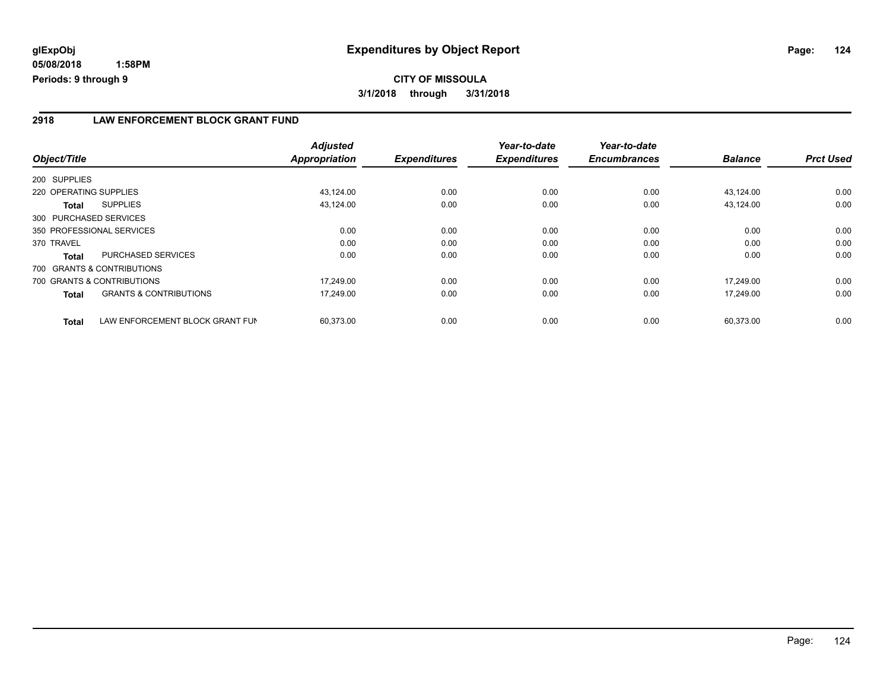**05/08/2018 1:58PM Periods: 9 through 9**

### **2918 LAW ENFORCEMENT BLOCK GRANT FUND**

| Object/Title                                    | <b>Adjusted</b><br>Appropriation | <b>Expenditures</b> | Year-to-date<br><b>Expenditures</b> | Year-to-date<br><b>Encumbrances</b> | <b>Balance</b> | <b>Prct Used</b> |
|-------------------------------------------------|----------------------------------|---------------------|-------------------------------------|-------------------------------------|----------------|------------------|
| 200 SUPPLIES                                    |                                  |                     |                                     |                                     |                |                  |
| 220 OPERATING SUPPLIES                          | 43,124.00                        | 0.00                | 0.00                                | 0.00                                | 43,124.00      | 0.00             |
|                                                 |                                  |                     |                                     |                                     |                |                  |
| <b>SUPPLIES</b><br>Total                        | 43,124.00                        | 0.00                | 0.00                                | 0.00                                | 43,124.00      | 0.00             |
| 300 PURCHASED SERVICES                          |                                  |                     |                                     |                                     |                |                  |
| 350 PROFESSIONAL SERVICES                       | 0.00                             | 0.00                | 0.00                                | 0.00                                | 0.00           | 0.00             |
| 370 TRAVEL                                      | 0.00                             | 0.00                | 0.00                                | 0.00                                | 0.00           | 0.00             |
| PURCHASED SERVICES<br><b>Total</b>              | 0.00                             | 0.00                | 0.00                                | 0.00                                | 0.00           | 0.00             |
| 700 GRANTS & CONTRIBUTIONS                      |                                  |                     |                                     |                                     |                |                  |
| 700 GRANTS & CONTRIBUTIONS                      | 17.249.00                        | 0.00                | 0.00                                | 0.00                                | 17.249.00      | 0.00             |
| <b>GRANTS &amp; CONTRIBUTIONS</b><br>Total      | 17,249.00                        | 0.00                | 0.00                                | 0.00                                | 17,249.00      | 0.00             |
| LAW ENFORCEMENT BLOCK GRANT FUN<br><b>Total</b> | 60.373.00                        | 0.00                | 0.00                                | 0.00                                | 60.373.00      | 0.00             |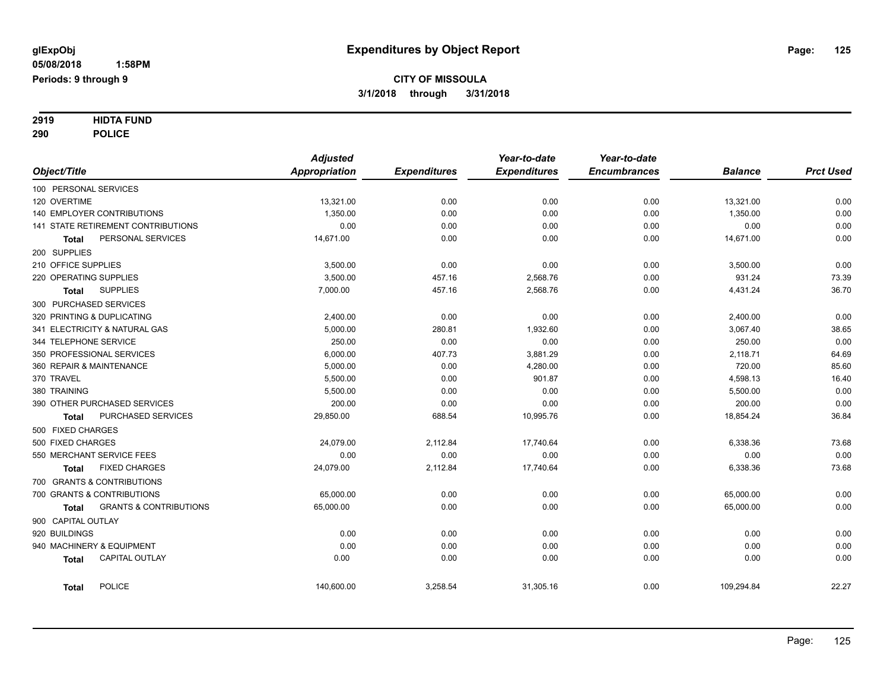# **2919 HIDTA FUND**

**290 POLICE**

|                                                   | <b>Adjusted</b>      |                     | Year-to-date        | Year-to-date        |                |                  |
|---------------------------------------------------|----------------------|---------------------|---------------------|---------------------|----------------|------------------|
| Object/Title                                      | <b>Appropriation</b> | <b>Expenditures</b> | <b>Expenditures</b> | <b>Encumbrances</b> | <b>Balance</b> | <b>Prct Used</b> |
| 100 PERSONAL SERVICES                             |                      |                     |                     |                     |                |                  |
| 120 OVERTIME                                      | 13,321.00            | 0.00                | 0.00                | 0.00                | 13,321.00      | 0.00             |
| <b>140 EMPLOYER CONTRIBUTIONS</b>                 | 1,350.00             | 0.00                | 0.00                | 0.00                | 1,350.00       | 0.00             |
| 141 STATE RETIREMENT CONTRIBUTIONS                | 0.00                 | 0.00                | 0.00                | 0.00                | 0.00           | 0.00             |
| PERSONAL SERVICES<br>Total                        | 14,671.00            | 0.00                | 0.00                | 0.00                | 14,671.00      | 0.00             |
| 200 SUPPLIES                                      |                      |                     |                     |                     |                |                  |
| 210 OFFICE SUPPLIES                               | 3,500.00             | 0.00                | 0.00                | 0.00                | 3,500.00       | 0.00             |
| 220 OPERATING SUPPLIES                            | 3,500.00             | 457.16              | 2,568.76            | 0.00                | 931.24         | 73.39            |
| <b>SUPPLIES</b><br><b>Total</b>                   | 7,000.00             | 457.16              | 2,568.76            | 0.00                | 4,431.24       | 36.70            |
| 300 PURCHASED SERVICES                            |                      |                     |                     |                     |                |                  |
| 320 PRINTING & DUPLICATING                        | 2,400.00             | 0.00                | 0.00                | 0.00                | 2,400.00       | 0.00             |
| 341 ELECTRICITY & NATURAL GAS                     | 5,000.00             | 280.81              | 1,932.60            | 0.00                | 3,067.40       | 38.65            |
| 344 TELEPHONE SERVICE                             | 250.00               | 0.00                | 0.00                | 0.00                | 250.00         | 0.00             |
| 350 PROFESSIONAL SERVICES                         | 6,000.00             | 407.73              | 3,881.29            | 0.00                | 2,118.71       | 64.69            |
| 360 REPAIR & MAINTENANCE                          | 5,000.00             | 0.00                | 4,280.00            | 0.00                | 720.00         | 85.60            |
| 370 TRAVEL                                        | 5,500.00             | 0.00                | 901.87              | 0.00                | 4,598.13       | 16.40            |
| 380 TRAINING                                      | 5,500.00             | 0.00                | 0.00                | 0.00                | 5,500.00       | 0.00             |
| 390 OTHER PURCHASED SERVICES                      | 200.00               | 0.00                | 0.00                | 0.00                | 200.00         | 0.00             |
| PURCHASED SERVICES<br><b>Total</b>                | 29,850.00            | 688.54              | 10,995.76           | 0.00                | 18,854.24      | 36.84            |
| 500 FIXED CHARGES                                 |                      |                     |                     |                     |                |                  |
| 500 FIXED CHARGES                                 | 24,079.00            | 2,112.84            | 17,740.64           | 0.00                | 6,338.36       | 73.68            |
| 550 MERCHANT SERVICE FEES                         | 0.00                 | 0.00                | 0.00                | 0.00                | 0.00           | 0.00             |
| <b>FIXED CHARGES</b><br><b>Total</b>              | 24,079.00            | 2,112.84            | 17,740.64           | 0.00                | 6,338.36       | 73.68            |
| 700 GRANTS & CONTRIBUTIONS                        |                      |                     |                     |                     |                |                  |
| 700 GRANTS & CONTRIBUTIONS                        | 65,000.00            | 0.00                | 0.00                | 0.00                | 65,000.00      | 0.00             |
| <b>GRANTS &amp; CONTRIBUTIONS</b><br><b>Total</b> | 65,000.00            | 0.00                | 0.00                | 0.00                | 65,000.00      | 0.00             |
| 900 CAPITAL OUTLAY                                |                      |                     |                     |                     |                |                  |
| 920 BUILDINGS                                     | 0.00                 | 0.00                | 0.00                | 0.00                | 0.00           | 0.00             |
| 940 MACHINERY & EQUIPMENT                         | 0.00                 | 0.00                | 0.00                | 0.00                | 0.00           | 0.00             |
| <b>CAPITAL OUTLAY</b><br><b>Total</b>             | 0.00                 | 0.00                | 0.00                | 0.00                | 0.00           | 0.00             |
| <b>POLICE</b><br><b>Total</b>                     | 140,600.00           | 3,258.54            | 31,305.16           | 0.00                | 109,294.84     | 22.27            |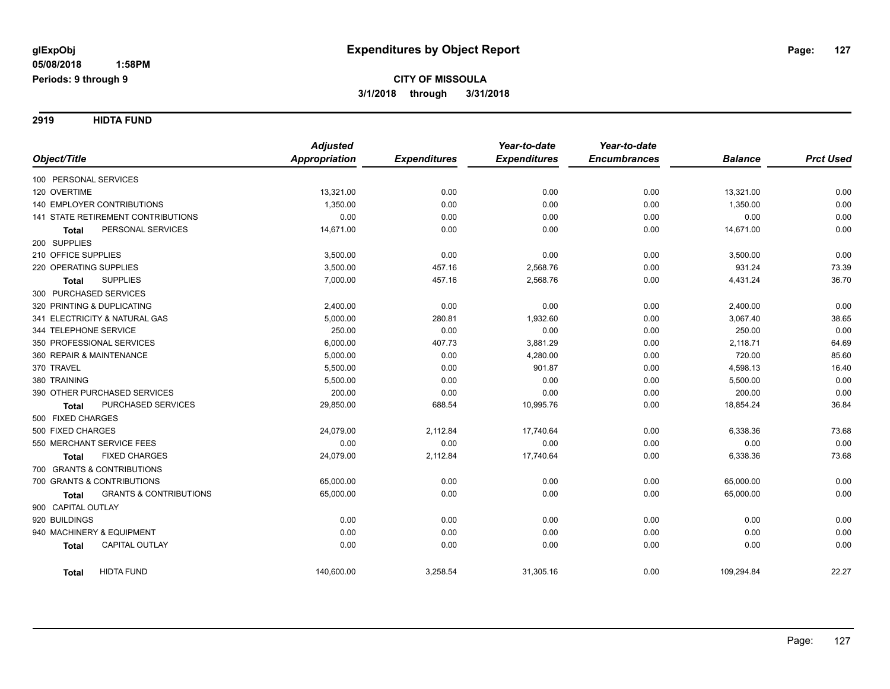**2919 HIDTA FUND**

|                                                   | <b>Adjusted</b>      |                     | Year-to-date        | Year-to-date        |                |                  |
|---------------------------------------------------|----------------------|---------------------|---------------------|---------------------|----------------|------------------|
| Object/Title                                      | <b>Appropriation</b> | <b>Expenditures</b> | <b>Expenditures</b> | <b>Encumbrances</b> | <b>Balance</b> | <b>Prct Used</b> |
| 100 PERSONAL SERVICES                             |                      |                     |                     |                     |                |                  |
| 120 OVERTIME                                      | 13,321.00            | 0.00                | 0.00                | 0.00                | 13,321.00      | 0.00             |
| <b>140 EMPLOYER CONTRIBUTIONS</b>                 | 1,350.00             | 0.00                | 0.00                | 0.00                | 1,350.00       | 0.00             |
| 141 STATE RETIREMENT CONTRIBUTIONS                | 0.00                 | 0.00                | 0.00                | 0.00                | 0.00           | 0.00             |
| PERSONAL SERVICES<br><b>Total</b>                 | 14,671.00            | 0.00                | 0.00                | 0.00                | 14,671.00      | 0.00             |
| 200 SUPPLIES                                      |                      |                     |                     |                     |                |                  |
| 210 OFFICE SUPPLIES                               | 3,500.00             | 0.00                | 0.00                | 0.00                | 3,500.00       | 0.00             |
| 220 OPERATING SUPPLIES                            | 3,500.00             | 457.16              | 2,568.76            | 0.00                | 931.24         | 73.39            |
| <b>SUPPLIES</b><br>Total                          | 7,000.00             | 457.16              | 2,568.76            | 0.00                | 4,431.24       | 36.70            |
| 300 PURCHASED SERVICES                            |                      |                     |                     |                     |                |                  |
| 320 PRINTING & DUPLICATING                        | 2,400.00             | 0.00                | 0.00                | 0.00                | 2,400.00       | 0.00             |
| 341 ELECTRICITY & NATURAL GAS                     | 5,000.00             | 280.81              | 1,932.60            | 0.00                | 3,067.40       | 38.65            |
| 344 TELEPHONE SERVICE                             | 250.00               | 0.00                | 0.00                | 0.00                | 250.00         | 0.00             |
| 350 PROFESSIONAL SERVICES                         | 6,000.00             | 407.73              | 3,881.29            | 0.00                | 2,118.71       | 64.69            |
| 360 REPAIR & MAINTENANCE                          | 5,000.00             | 0.00                | 4,280.00            | 0.00                | 720.00         | 85.60            |
| 370 TRAVEL                                        | 5,500.00             | 0.00                | 901.87              | 0.00                | 4,598.13       | 16.40            |
| 380 TRAINING                                      | 5,500.00             | 0.00                | 0.00                | 0.00                | 5,500.00       | 0.00             |
| 390 OTHER PURCHASED SERVICES                      | 200.00               | 0.00                | 0.00                | 0.00                | 200.00         | 0.00             |
| PURCHASED SERVICES<br><b>Total</b>                | 29,850.00            | 688.54              | 10,995.76           | 0.00                | 18,854.24      | 36.84            |
| 500 FIXED CHARGES                                 |                      |                     |                     |                     |                |                  |
| 500 FIXED CHARGES                                 | 24,079.00            | 2,112.84            | 17,740.64           | 0.00                | 6,338.36       | 73.68            |
| 550 MERCHANT SERVICE FEES                         | 0.00                 | 0.00                | 0.00                | 0.00                | 0.00           | 0.00             |
| <b>FIXED CHARGES</b><br>Total                     | 24,079.00            | 2,112.84            | 17,740.64           | 0.00                | 6,338.36       | 73.68            |
| 700 GRANTS & CONTRIBUTIONS                        |                      |                     |                     |                     |                |                  |
| 700 GRANTS & CONTRIBUTIONS                        | 65,000.00            | 0.00                | 0.00                | 0.00                | 65,000.00      | 0.00             |
| <b>GRANTS &amp; CONTRIBUTIONS</b><br><b>Total</b> | 65,000.00            | 0.00                | 0.00                | 0.00                | 65,000.00      | 0.00             |
| 900 CAPITAL OUTLAY                                |                      |                     |                     |                     |                |                  |
| 920 BUILDINGS                                     | 0.00                 | 0.00                | 0.00                | 0.00                | 0.00           | 0.00             |
| 940 MACHINERY & EQUIPMENT                         | 0.00                 | 0.00                | 0.00                | 0.00                | 0.00           | 0.00             |
| <b>CAPITAL OUTLAY</b><br><b>Total</b>             | 0.00                 | 0.00                | 0.00                | 0.00                | 0.00           | 0.00             |
| <b>HIDTA FUND</b><br><b>Total</b>                 | 140,600.00           | 3,258.54            | 31,305.16           | 0.00                | 109,294.84     | 22.27            |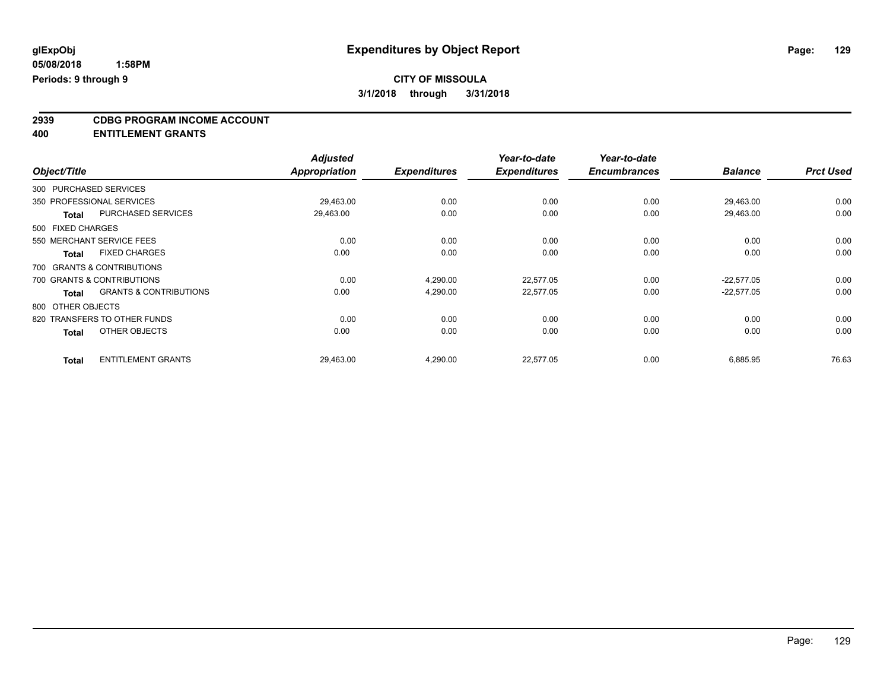## **CITY OF MISSOULA**

**3/1/2018 through 3/31/2018**

# **2939 CDBG PROGRAM INCOME ACCOUNT**

**400 ENTITLEMENT GRANTS**

|                   |                                   | <b>Adjusted</b>      |                     | Year-to-date        | Year-to-date        |                |                  |
|-------------------|-----------------------------------|----------------------|---------------------|---------------------|---------------------|----------------|------------------|
| Object/Title      |                                   | <b>Appropriation</b> | <b>Expenditures</b> | <b>Expenditures</b> | <b>Encumbrances</b> | <b>Balance</b> | <b>Prct Used</b> |
|                   | 300 PURCHASED SERVICES            |                      |                     |                     |                     |                |                  |
|                   | 350 PROFESSIONAL SERVICES         | 29,463.00            | 0.00                | 0.00                | 0.00                | 29,463.00      | 0.00             |
| <b>Total</b>      | PURCHASED SERVICES                | 29,463.00            | 0.00                | 0.00                | 0.00                | 29,463.00      | 0.00             |
| 500 FIXED CHARGES |                                   |                      |                     |                     |                     |                |                  |
|                   | 550 MERCHANT SERVICE FEES         | 0.00                 | 0.00                | 0.00                | 0.00                | 0.00           | 0.00             |
| <b>Total</b>      | <b>FIXED CHARGES</b>              | 0.00                 | 0.00                | 0.00                | 0.00                | 0.00           | 0.00             |
|                   | 700 GRANTS & CONTRIBUTIONS        |                      |                     |                     |                     |                |                  |
|                   | 700 GRANTS & CONTRIBUTIONS        | 0.00                 | 4,290.00            | 22,577.05           | 0.00                | $-22,577.05$   | 0.00             |
| <b>Total</b>      | <b>GRANTS &amp; CONTRIBUTIONS</b> | 0.00                 | 4,290.00            | 22,577.05           | 0.00                | $-22,577.05$   | 0.00             |
| 800 OTHER OBJECTS |                                   |                      |                     |                     |                     |                |                  |
|                   | 820 TRANSFERS TO OTHER FUNDS      | 0.00                 | 0.00                | 0.00                | 0.00                | 0.00           | 0.00             |
| <b>Total</b>      | OTHER OBJECTS                     | 0.00                 | 0.00                | 0.00                | 0.00                | 0.00           | 0.00             |
| <b>Total</b>      | <b>ENTITLEMENT GRANTS</b>         | 29,463.00            | 4,290.00            | 22,577.05           | 0.00                | 6,885.95       | 76.63            |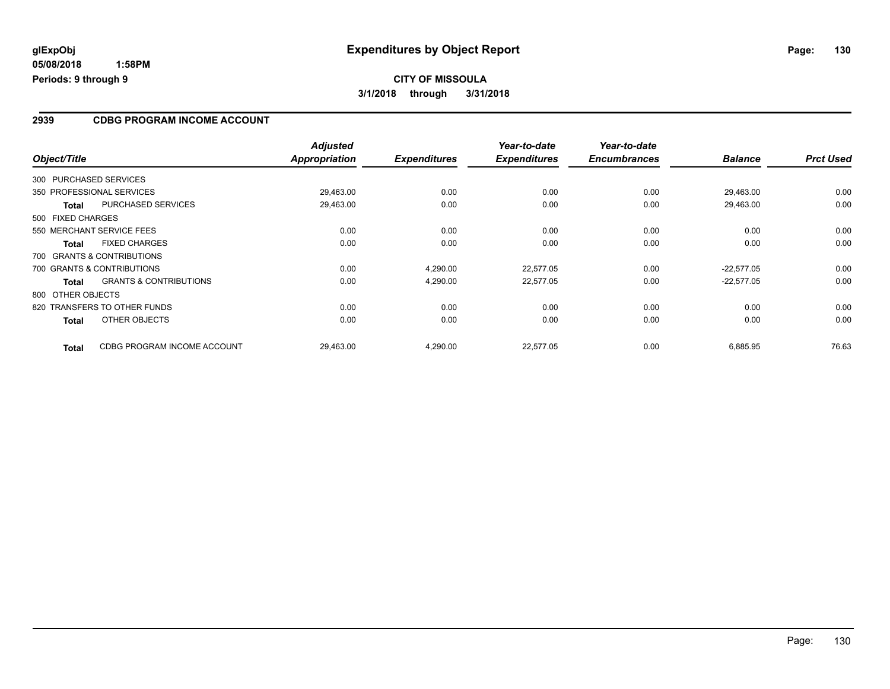**05/08/2018 1:58PM Periods: 9 through 9**

### **2939 CDBG PROGRAM INCOME ACCOUNT**

|              |                                                   | <b>Adjusted</b> |                     | Year-to-date        | Year-to-date        |                |                  |
|--------------|---------------------------------------------------|-----------------|---------------------|---------------------|---------------------|----------------|------------------|
| Object/Title |                                                   | Appropriation   | <b>Expenditures</b> | <b>Expenditures</b> | <b>Encumbrances</b> | <b>Balance</b> | <b>Prct Used</b> |
|              | 300 PURCHASED SERVICES                            |                 |                     |                     |                     |                |                  |
|              | 350 PROFESSIONAL SERVICES                         | 29,463.00       | 0.00                | 0.00                | 0.00                | 29,463.00      | 0.00             |
|              | <b>PURCHASED SERVICES</b><br><b>Total</b>         | 29,463.00       | 0.00                | 0.00                | 0.00                | 29,463.00      | 0.00             |
|              | 500 FIXED CHARGES                                 |                 |                     |                     |                     |                |                  |
|              | 550 MERCHANT SERVICE FEES                         | 0.00            | 0.00                | 0.00                | 0.00                | 0.00           | 0.00             |
|              | <b>FIXED CHARGES</b><br><b>Total</b>              | 0.00            | 0.00                | 0.00                | 0.00                | 0.00           | 0.00             |
|              | 700 GRANTS & CONTRIBUTIONS                        |                 |                     |                     |                     |                |                  |
|              | 700 GRANTS & CONTRIBUTIONS                        | 0.00            | 4,290.00            | 22,577.05           | 0.00                | $-22,577.05$   | 0.00             |
|              | <b>GRANTS &amp; CONTRIBUTIONS</b><br><b>Total</b> | 0.00            | 4,290.00            | 22,577.05           | 0.00                | $-22,577.05$   | 0.00             |
|              | 800 OTHER OBJECTS                                 |                 |                     |                     |                     |                |                  |
|              | 820 TRANSFERS TO OTHER FUNDS                      | 0.00            | 0.00                | 0.00                | 0.00                | 0.00           | 0.00             |
|              | OTHER OBJECTS<br><b>Total</b>                     | 0.00            | 0.00                | 0.00                | 0.00                | 0.00           | 0.00             |
|              | CDBG PROGRAM INCOME ACCOUNT<br><b>Total</b>       | 29,463.00       | 4.290.00            | 22,577.05           | 0.00                | 6,885.95       | 76.63            |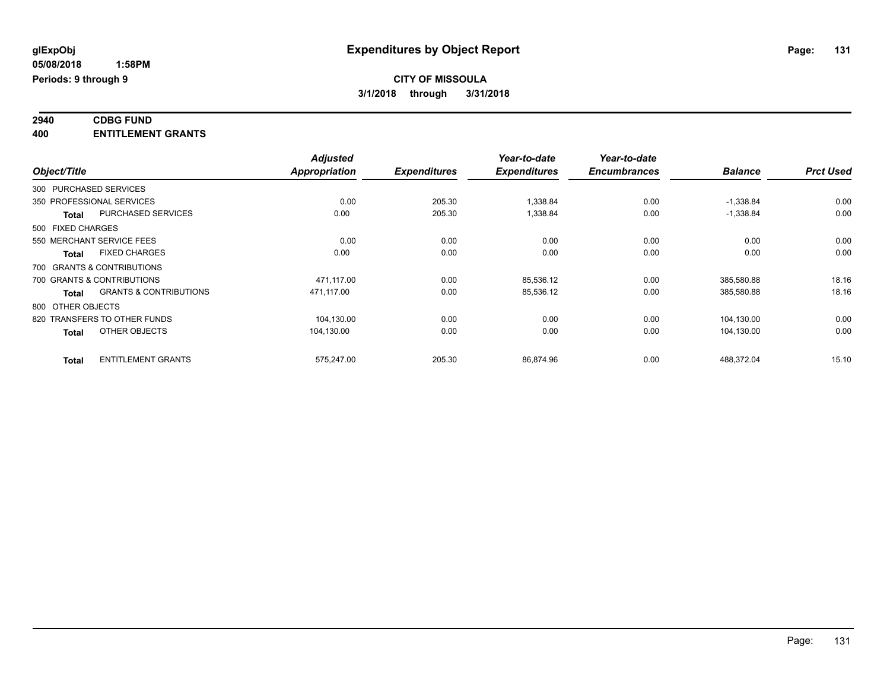### **2940 CDBG FUND 400 ENTITLEMENT GRANTS**

|                   |                                   | <b>Adjusted</b>      |                     | Year-to-date        | Year-to-date        |                |                  |
|-------------------|-----------------------------------|----------------------|---------------------|---------------------|---------------------|----------------|------------------|
| Object/Title      |                                   | <b>Appropriation</b> | <b>Expenditures</b> | <b>Expenditures</b> | <b>Encumbrances</b> | <b>Balance</b> | <b>Prct Used</b> |
|                   | 300 PURCHASED SERVICES            |                      |                     |                     |                     |                |                  |
|                   | 350 PROFESSIONAL SERVICES         | 0.00                 | 205.30              | 1,338.84            | 0.00                | $-1,338.84$    | 0.00             |
| <b>Total</b>      | <b>PURCHASED SERVICES</b>         | 0.00                 | 205.30              | 1,338.84            | 0.00                | $-1,338.84$    | 0.00             |
| 500 FIXED CHARGES |                                   |                      |                     |                     |                     |                |                  |
|                   | 550 MERCHANT SERVICE FEES         | 0.00                 | 0.00                | 0.00                | 0.00                | 0.00           | 0.00             |
| <b>Total</b>      | <b>FIXED CHARGES</b>              | 0.00                 | 0.00                | 0.00                | 0.00                | 0.00           | 0.00             |
|                   | 700 GRANTS & CONTRIBUTIONS        |                      |                     |                     |                     |                |                  |
|                   | 700 GRANTS & CONTRIBUTIONS        | 471,117.00           | 0.00                | 85,536.12           | 0.00                | 385,580.88     | 18.16            |
| <b>Total</b>      | <b>GRANTS &amp; CONTRIBUTIONS</b> | 471.117.00           | 0.00                | 85,536.12           | 0.00                | 385,580.88     | 18.16            |
| 800 OTHER OBJECTS |                                   |                      |                     |                     |                     |                |                  |
|                   | 820 TRANSFERS TO OTHER FUNDS      | 104.130.00           | 0.00                | 0.00                | 0.00                | 104.130.00     | 0.00             |
| <b>Total</b>      | OTHER OBJECTS                     | 104,130.00           | 0.00                | 0.00                | 0.00                | 104,130.00     | 0.00             |
| <b>Total</b>      | <b>ENTITLEMENT GRANTS</b>         | 575.247.00           | 205.30              | 86,874.96           | 0.00                | 488,372.04     | 15.10            |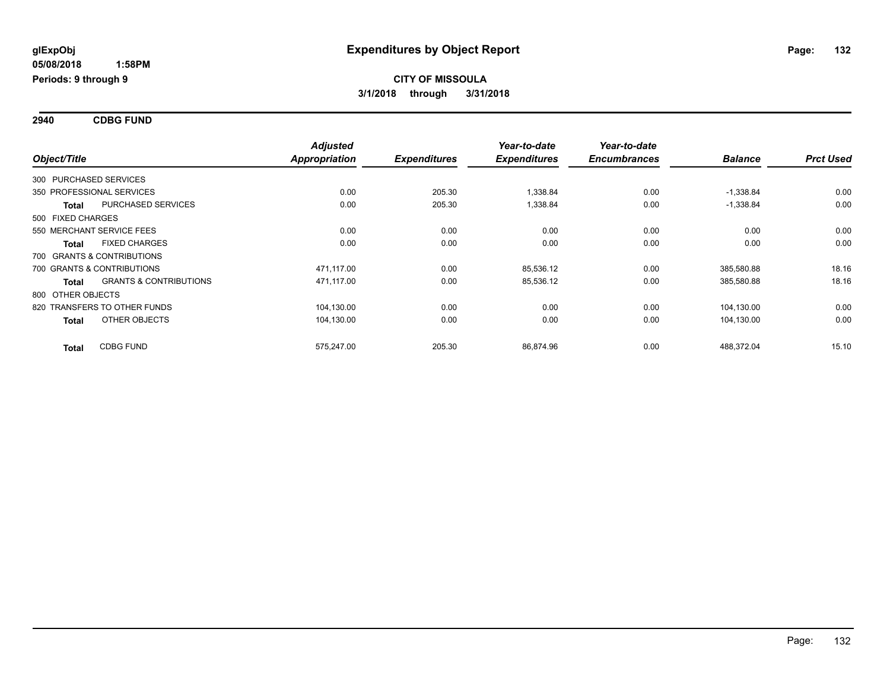**2940 CDBG FUND**

|                        |                                   | <b>Adjusted</b>      |                     | Year-to-date        | Year-to-date        |                |                  |
|------------------------|-----------------------------------|----------------------|---------------------|---------------------|---------------------|----------------|------------------|
| Object/Title           |                                   | <b>Appropriation</b> | <b>Expenditures</b> | <b>Expenditures</b> | <b>Encumbrances</b> | <b>Balance</b> | <b>Prct Used</b> |
| 300 PURCHASED SERVICES |                                   |                      |                     |                     |                     |                |                  |
|                        | 350 PROFESSIONAL SERVICES         | 0.00                 | 205.30              | 1,338.84            | 0.00                | $-1,338.84$    | 0.00             |
| <b>Total</b>           | <b>PURCHASED SERVICES</b>         | 0.00                 | 205.30              | 1,338.84            | 0.00                | $-1,338.84$    | 0.00             |
| 500 FIXED CHARGES      |                                   |                      |                     |                     |                     |                |                  |
|                        | 550 MERCHANT SERVICE FEES         | 0.00                 | 0.00                | 0.00                | 0.00                | 0.00           | 0.00             |
| <b>Total</b>           | <b>FIXED CHARGES</b>              | 0.00                 | 0.00                | 0.00                | 0.00                | 0.00           | 0.00             |
|                        | 700 GRANTS & CONTRIBUTIONS        |                      |                     |                     |                     |                |                  |
|                        | 700 GRANTS & CONTRIBUTIONS        | 471,117.00           | 0.00                | 85,536.12           | 0.00                | 385,580.88     | 18.16            |
| <b>Total</b>           | <b>GRANTS &amp; CONTRIBUTIONS</b> | 471,117.00           | 0.00                | 85,536.12           | 0.00                | 385,580.88     | 18.16            |
| 800 OTHER OBJECTS      |                                   |                      |                     |                     |                     |                |                  |
|                        | 820 TRANSFERS TO OTHER FUNDS      | 104,130.00           | 0.00                | 0.00                | 0.00                | 104,130.00     | 0.00             |
| <b>Total</b>           | OTHER OBJECTS                     | 104,130.00           | 0.00                | 0.00                | 0.00                | 104,130.00     | 0.00             |
| <b>Total</b>           | <b>CDBG FUND</b>                  | 575.247.00           | 205.30              | 86,874.96           | 0.00                | 488,372.04     | 15.10            |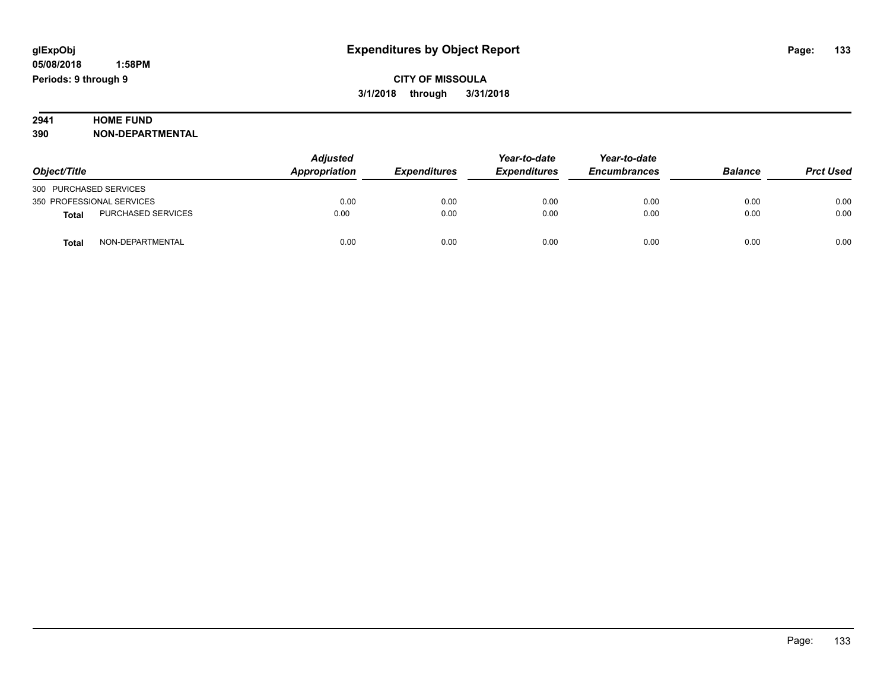# **2941 HOME FUND<br>390 NON-DEPART**

**390 NON-DEPARTMENTAL**

|                                    | Adjusted      | Year-to-date        | Year-to-date        |                     |                |                  |
|------------------------------------|---------------|---------------------|---------------------|---------------------|----------------|------------------|
| Object/Title                       | Appropriation | <b>Expenditures</b> | <b>Expenditures</b> | <b>Encumbrances</b> | <b>Balance</b> | <b>Prct Used</b> |
| 300 PURCHASED SERVICES             |               |                     |                     |                     |                |                  |
| 350 PROFESSIONAL SERVICES          | 0.00          | 0.00                | 0.00                | 0.00                | 0.00           | 0.00             |
| PURCHASED SERVICES<br><b>Total</b> | 0.00          | 0.00                | 0.00                | 0.00                | 0.00           | 0.00             |
| NON-DEPARTMENTAL<br><b>Total</b>   | 0.00          | 0.00                | 0.00                | 0.00                | 0.00           | 0.00             |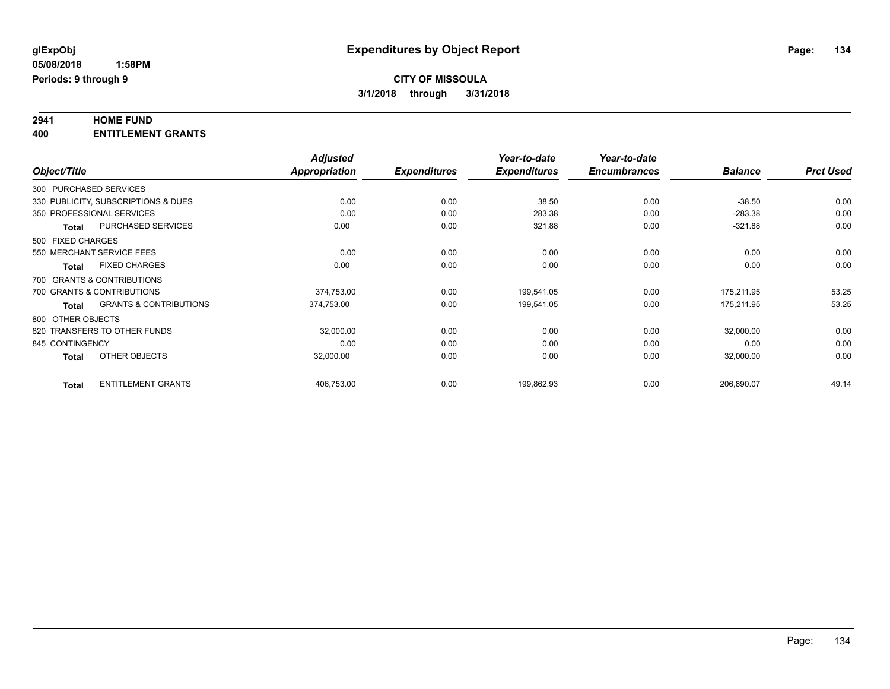# **2941 HOME FUND**

**400 ENTITLEMENT GRANTS**

|                        |                                     | <b>Adjusted</b> |                     | Year-to-date        | Year-to-date        |                |                  |
|------------------------|-------------------------------------|-----------------|---------------------|---------------------|---------------------|----------------|------------------|
| Object/Title           |                                     | Appropriation   | <b>Expenditures</b> | <b>Expenditures</b> | <b>Encumbrances</b> | <b>Balance</b> | <b>Prct Used</b> |
| 300 PURCHASED SERVICES |                                     |                 |                     |                     |                     |                |                  |
|                        | 330 PUBLICITY, SUBSCRIPTIONS & DUES | 0.00            | 0.00                | 38.50               | 0.00                | $-38.50$       | 0.00             |
|                        | 350 PROFESSIONAL SERVICES           | 0.00            | 0.00                | 283.38              | 0.00                | $-283.38$      | 0.00             |
| <b>Total</b>           | PURCHASED SERVICES                  | 0.00            | 0.00                | 321.88              | 0.00                | $-321.88$      | 0.00             |
| 500 FIXED CHARGES      |                                     |                 |                     |                     |                     |                |                  |
|                        | 550 MERCHANT SERVICE FEES           | 0.00            | 0.00                | 0.00                | 0.00                | 0.00           | 0.00             |
| Total                  | <b>FIXED CHARGES</b>                | 0.00            | 0.00                | 0.00                | 0.00                | 0.00           | 0.00             |
|                        | 700 GRANTS & CONTRIBUTIONS          |                 |                     |                     |                     |                |                  |
|                        | 700 GRANTS & CONTRIBUTIONS          | 374,753.00      | 0.00                | 199,541.05          | 0.00                | 175,211.95     | 53.25            |
| Total                  | <b>GRANTS &amp; CONTRIBUTIONS</b>   | 374,753.00      | 0.00                | 199,541.05          | 0.00                | 175,211.95     | 53.25            |
| 800 OTHER OBJECTS      |                                     |                 |                     |                     |                     |                |                  |
|                        | 820 TRANSFERS TO OTHER FUNDS        | 32,000.00       | 0.00                | 0.00                | 0.00                | 32,000.00      | 0.00             |
| 845 CONTINGENCY        |                                     | 0.00            | 0.00                | 0.00                | 0.00                | 0.00           | 0.00             |
| <b>Total</b>           | OTHER OBJECTS                       | 32,000.00       | 0.00                | 0.00                | 0.00                | 32,000.00      | 0.00             |
| <b>Total</b>           | <b>ENTITLEMENT GRANTS</b>           | 406,753.00      | 0.00                | 199,862.93          | 0.00                | 206,890.07     | 49.14            |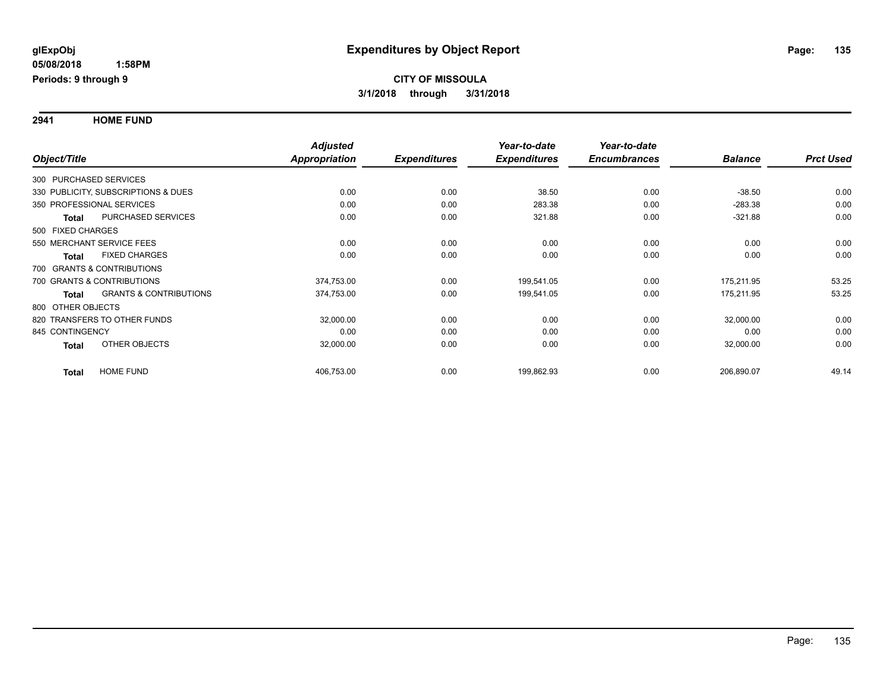**2941 HOME FUND**

|                                            | <b>Adjusted</b>      |                     | Year-to-date        | Year-to-date        |                |                  |
|--------------------------------------------|----------------------|---------------------|---------------------|---------------------|----------------|------------------|
| Object/Title                               | <b>Appropriation</b> | <b>Expenditures</b> | <b>Expenditures</b> | <b>Encumbrances</b> | <b>Balance</b> | <b>Prct Used</b> |
| 300 PURCHASED SERVICES                     |                      |                     |                     |                     |                |                  |
| 330 PUBLICITY, SUBSCRIPTIONS & DUES        | 0.00                 | 0.00                | 38.50               | 0.00                | $-38.50$       | 0.00             |
| 350 PROFESSIONAL SERVICES                  | 0.00                 | 0.00                | 283.38              | 0.00                | $-283.38$      | 0.00             |
| <b>PURCHASED SERVICES</b><br><b>Total</b>  | 0.00                 | 0.00                | 321.88              | 0.00                | $-321.88$      | 0.00             |
| 500 FIXED CHARGES                          |                      |                     |                     |                     |                |                  |
| 550 MERCHANT SERVICE FEES                  | 0.00                 | 0.00                | 0.00                | 0.00                | 0.00           | 0.00             |
| <b>FIXED CHARGES</b><br><b>Total</b>       | 0.00                 | 0.00                | 0.00                | 0.00                | 0.00           | 0.00             |
| 700 GRANTS & CONTRIBUTIONS                 |                      |                     |                     |                     |                |                  |
| 700 GRANTS & CONTRIBUTIONS                 | 374,753.00           | 0.00                | 199,541.05          | 0.00                | 175,211.95     | 53.25            |
| <b>GRANTS &amp; CONTRIBUTIONS</b><br>Total | 374,753.00           | 0.00                | 199,541.05          | 0.00                | 175,211.95     | 53.25            |
| 800 OTHER OBJECTS                          |                      |                     |                     |                     |                |                  |
| 820 TRANSFERS TO OTHER FUNDS               | 32,000.00            | 0.00                | 0.00                | 0.00                | 32,000.00      | 0.00             |
| 845 CONTINGENCY                            | 0.00                 | 0.00                | 0.00                | 0.00                | 0.00           | 0.00             |
| OTHER OBJECTS<br><b>Total</b>              | 32,000.00            | 0.00                | 0.00                | 0.00                | 32,000.00      | 0.00             |
| <b>HOME FUND</b><br><b>Total</b>           | 406,753.00           | 0.00                | 199,862.93          | 0.00                | 206,890.07     | 49.14            |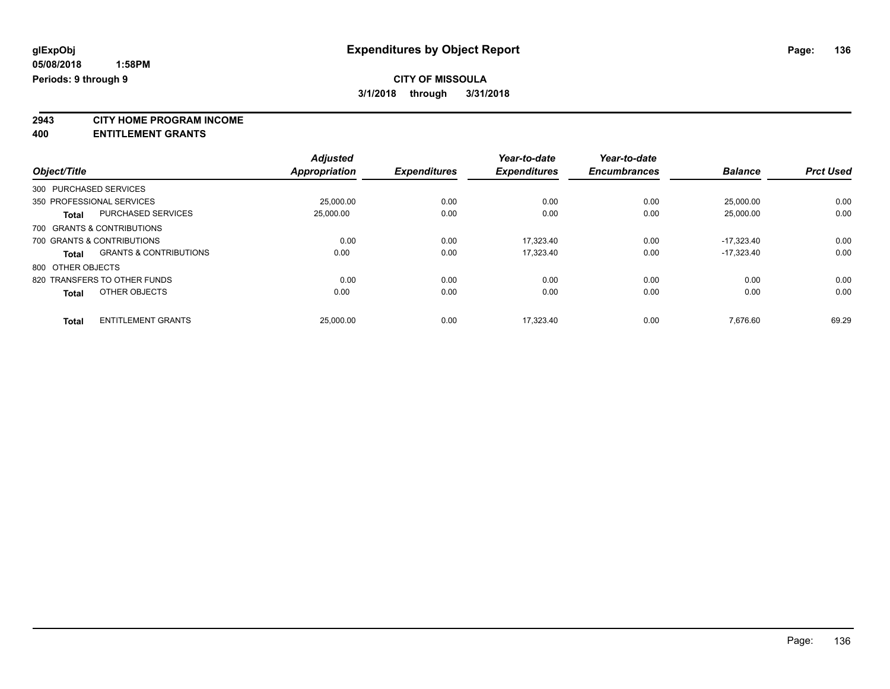**2943 CITY HOME PROGRAM INCOME**

**400 ENTITLEMENT GRANTS**

|                           |                                   | <b>Adjusted</b> |                     | Year-to-date        | Year-to-date        |                |                  |
|---------------------------|-----------------------------------|-----------------|---------------------|---------------------|---------------------|----------------|------------------|
| Object/Title              |                                   | Appropriation   | <b>Expenditures</b> | <b>Expenditures</b> | <b>Encumbrances</b> | <b>Balance</b> | <b>Prct Used</b> |
| 300 PURCHASED SERVICES    |                                   |                 |                     |                     |                     |                |                  |
| 350 PROFESSIONAL SERVICES |                                   | 25,000.00       | 0.00                | 0.00                | 0.00                | 25.000.00      | 0.00             |
| <b>Total</b>              | <b>PURCHASED SERVICES</b>         | 25,000.00       | 0.00                | 0.00                | 0.00                | 25,000.00      | 0.00             |
|                           | 700 GRANTS & CONTRIBUTIONS        |                 |                     |                     |                     |                |                  |
|                           | 700 GRANTS & CONTRIBUTIONS        | 0.00            | 0.00                | 17.323.40           | 0.00                | $-17.323.40$   | 0.00             |
| <b>Total</b>              | <b>GRANTS &amp; CONTRIBUTIONS</b> | 0.00            | 0.00                | 17,323.40           | 0.00                | $-17.323.40$   | 0.00             |
| 800 OTHER OBJECTS         |                                   |                 |                     |                     |                     |                |                  |
|                           | 820 TRANSFERS TO OTHER FUNDS      | 0.00            | 0.00                | 0.00                | 0.00                | 0.00           | 0.00             |
| <b>Total</b>              | OTHER OBJECTS                     | 0.00            | 0.00                | 0.00                | 0.00                | 0.00           | 0.00             |
| <b>Total</b>              | <b>ENTITLEMENT GRANTS</b>         | 25,000.00       | 0.00                | 17.323.40           | 0.00                | 7.676.60       | 69.29            |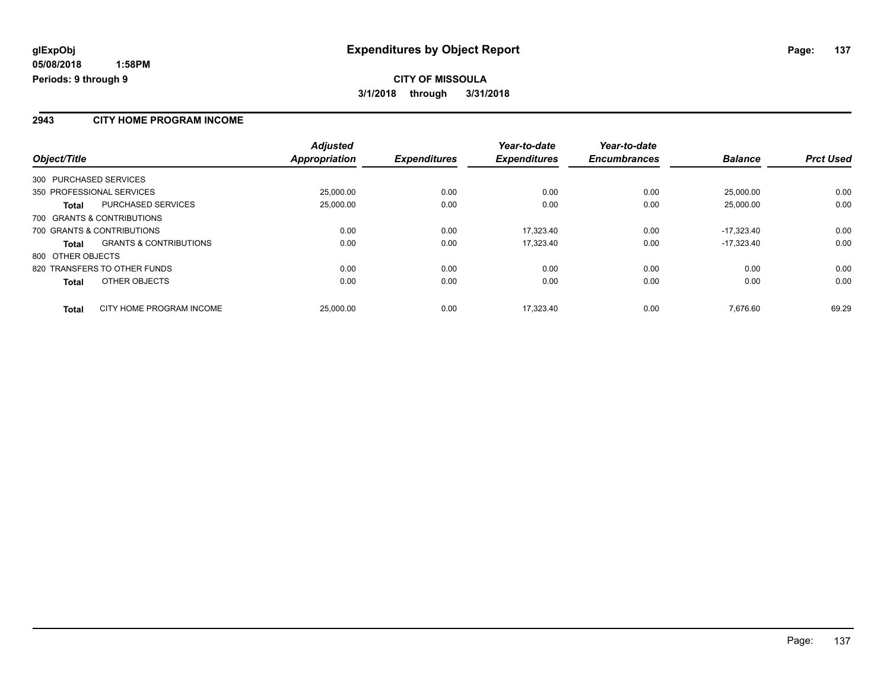### **2943 CITY HOME PROGRAM INCOME**

|                                                   | <b>Adjusted</b> |                     | Year-to-date        | Year-to-date        |                |                  |
|---------------------------------------------------|-----------------|---------------------|---------------------|---------------------|----------------|------------------|
| Object/Title                                      | Appropriation   | <b>Expenditures</b> | <b>Expenditures</b> | <b>Encumbrances</b> | <b>Balance</b> | <b>Prct Used</b> |
| 300 PURCHASED SERVICES                            |                 |                     |                     |                     |                |                  |
| 350 PROFESSIONAL SERVICES                         | 25.000.00       | 0.00                | 0.00                | 0.00                | 25.000.00      | 0.00             |
| <b>PURCHASED SERVICES</b><br>Total                | 25,000.00       | 0.00                | 0.00                | 0.00                | 25.000.00      | 0.00             |
| 700 GRANTS & CONTRIBUTIONS                        |                 |                     |                     |                     |                |                  |
| 700 GRANTS & CONTRIBUTIONS                        | 0.00            | 0.00                | 17.323.40           | 0.00                | $-17.323.40$   | 0.00             |
| <b>GRANTS &amp; CONTRIBUTIONS</b><br><b>Total</b> | 0.00            | 0.00                | 17.323.40           | 0.00                | $-17.323.40$   | 0.00             |
| 800 OTHER OBJECTS                                 |                 |                     |                     |                     |                |                  |
| 820 TRANSFERS TO OTHER FUNDS                      | 0.00            | 0.00                | 0.00                | 0.00                | 0.00           | 0.00             |
| OTHER OBJECTS<br><b>Total</b>                     | 0.00            | 0.00                | 0.00                | 0.00                | 0.00           | 0.00             |
| CITY HOME PROGRAM INCOME<br><b>Total</b>          | 25.000.00       | 0.00                | 17.323.40           | 0.00                | 7.676.60       | 69.29            |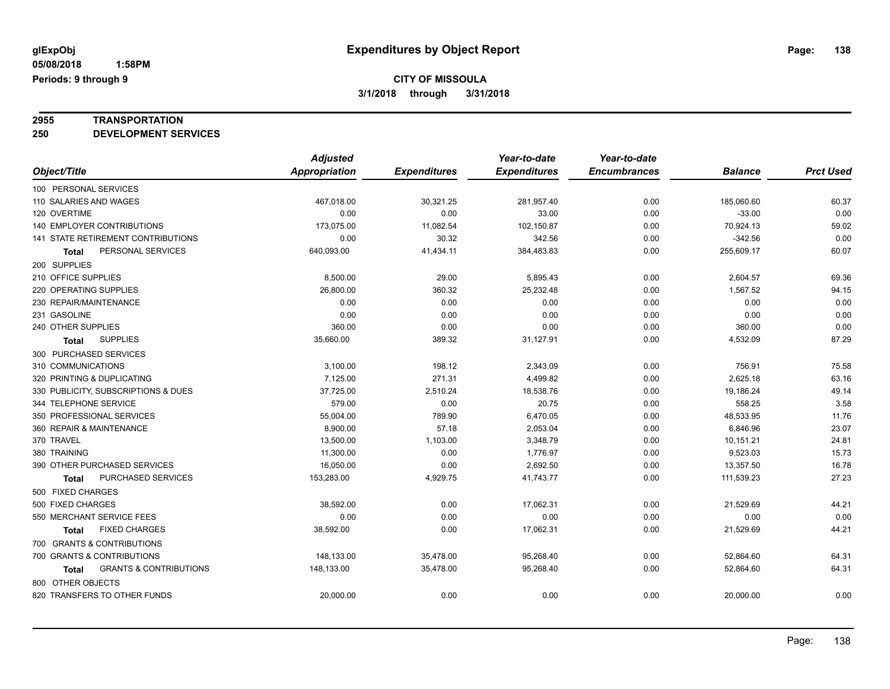# **2955 TRANSPORTATION**

**250 DEVELOPMENT SERVICES**

|                                                   | <b>Adjusted</b> |                     | Year-to-date        | Year-to-date        |                |                  |
|---------------------------------------------------|-----------------|---------------------|---------------------|---------------------|----------------|------------------|
| Object/Title                                      | Appropriation   | <b>Expenditures</b> | <b>Expenditures</b> | <b>Encumbrances</b> | <b>Balance</b> | <b>Prct Used</b> |
| 100 PERSONAL SERVICES                             |                 |                     |                     |                     |                |                  |
| 110 SALARIES AND WAGES                            | 467,018.00      | 30,321.25           | 281,957.40          | 0.00                | 185,060.60     | 60.37            |
| 120 OVERTIME                                      | 0.00            | 0.00                | 33.00               | 0.00                | $-33.00$       | 0.00             |
| 140 EMPLOYER CONTRIBUTIONS                        | 173,075.00      | 11,082.54           | 102,150.87          | 0.00                | 70,924.13      | 59.02            |
| <b>141 STATE RETIREMENT CONTRIBUTIONS</b>         | 0.00            | 30.32               | 342.56              | 0.00                | $-342.56$      | 0.00             |
| PERSONAL SERVICES<br>Total                        | 640,093.00      | 41,434.11           | 384,483.83          | 0.00                | 255,609.17     | 60.07            |
| 200 SUPPLIES                                      |                 |                     |                     |                     |                |                  |
| 210 OFFICE SUPPLIES                               | 8,500.00        | 29.00               | 5,895.43            | 0.00                | 2,604.57       | 69.36            |
| 220 OPERATING SUPPLIES                            | 26,800.00       | 360.32              | 25,232.48           | 0.00                | 1,567.52       | 94.15            |
| 230 REPAIR/MAINTENANCE                            | 0.00            | 0.00                | 0.00                | 0.00                | 0.00           | 0.00             |
| 231 GASOLINE                                      | 0.00            | 0.00                | 0.00                | 0.00                | 0.00           | 0.00             |
| 240 OTHER SUPPLIES                                | 360.00          | 0.00                | 0.00                | 0.00                | 360.00         | 0.00             |
| <b>SUPPLIES</b><br>Total                          | 35,660.00       | 389.32              | 31,127.91           | 0.00                | 4,532.09       | 87.29            |
| 300 PURCHASED SERVICES                            |                 |                     |                     |                     |                |                  |
| 310 COMMUNICATIONS                                | 3,100.00        | 198.12              | 2,343.09            | 0.00                | 756.91         | 75.58            |
| 320 PRINTING & DUPLICATING                        | 7,125.00        | 271.31              | 4,499.82            | 0.00                | 2,625.18       | 63.16            |
| 330 PUBLICITY, SUBSCRIPTIONS & DUES               | 37,725.00       | 2,510.24            | 18,538.76           | 0.00                | 19,186.24      | 49.14            |
| 344 TELEPHONE SERVICE                             | 579.00          | 0.00                | 20.75               | 0.00                | 558.25         | 3.58             |
| 350 PROFESSIONAL SERVICES                         | 55,004.00       | 789.90              | 6,470.05            | 0.00                | 48,533.95      | 11.76            |
| 360 REPAIR & MAINTENANCE                          | 8,900.00        | 57.18               | 2,053.04            | 0.00                | 6,846.96       | 23.07            |
| 370 TRAVEL                                        | 13,500.00       | 1,103.00            | 3,348.79            | 0.00                | 10,151.21      | 24.81            |
| 380 TRAINING                                      | 11,300.00       | 0.00                | 1,776.97            | 0.00                | 9,523.03       | 15.73            |
| 390 OTHER PURCHASED SERVICES                      | 16,050.00       | 0.00                | 2,692.50            | 0.00                | 13,357.50      | 16.78            |
| PURCHASED SERVICES<br>Total                       | 153,283.00      | 4,929.75            | 41,743.77           | 0.00                | 111,539.23     | 27.23            |
| 500 FIXED CHARGES                                 |                 |                     |                     |                     |                |                  |
| 500 FIXED CHARGES                                 | 38,592.00       | 0.00                | 17,062.31           | 0.00                | 21,529.69      | 44.21            |
| 550 MERCHANT SERVICE FEES                         | 0.00            | 0.00                | 0.00                | 0.00                | 0.00           | 0.00             |
| <b>FIXED CHARGES</b><br>Total                     | 38,592.00       | 0.00                | 17,062.31           | 0.00                | 21,529.69      | 44.21            |
| 700 GRANTS & CONTRIBUTIONS                        |                 |                     |                     |                     |                |                  |
| 700 GRANTS & CONTRIBUTIONS                        | 148,133.00      | 35,478.00           | 95,268.40           | 0.00                | 52,864.60      | 64.31            |
| <b>GRANTS &amp; CONTRIBUTIONS</b><br><b>Total</b> | 148,133.00      | 35,478.00           | 95,268.40           | 0.00                | 52,864.60      | 64.31            |
| 800 OTHER OBJECTS                                 |                 |                     |                     |                     |                |                  |
| 820 TRANSFERS TO OTHER FUNDS                      | 20,000.00       | 0.00                | 0.00                | 0.00                | 20,000.00      | 0.00             |
|                                                   |                 |                     |                     |                     |                |                  |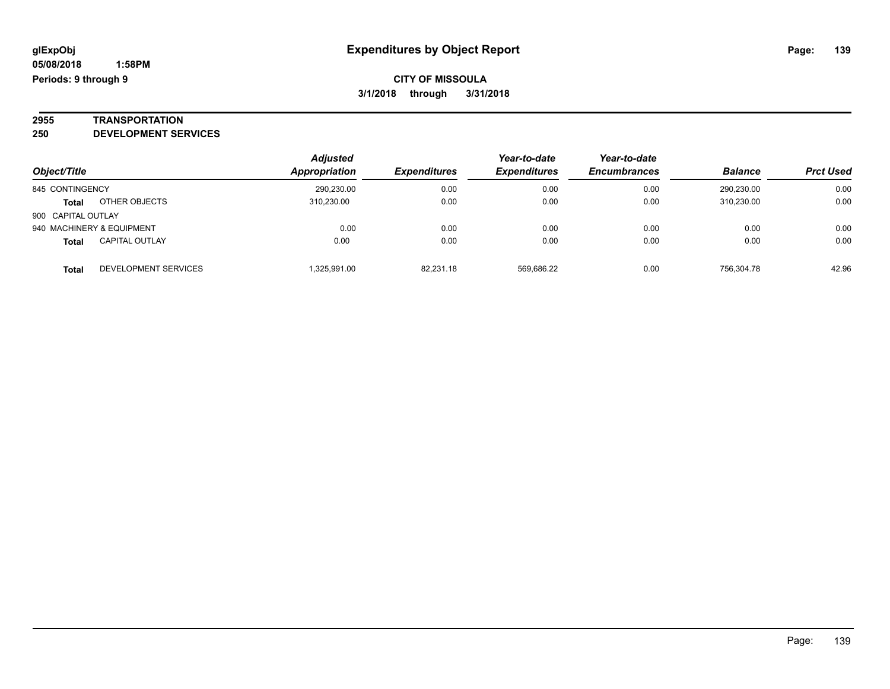# **2955 TRANSPORTATION**

**250 DEVELOPMENT SERVICES**

|                    |                           | <b>Adjusted</b> |                     | Year-to-date        | Year-to-date        |                |                  |
|--------------------|---------------------------|-----------------|---------------------|---------------------|---------------------|----------------|------------------|
| Object/Title       |                           | Appropriation   | <b>Expenditures</b> | <b>Expenditures</b> | <b>Encumbrances</b> | <b>Balance</b> | <b>Prct Used</b> |
| 845 CONTINGENCY    |                           | 290,230.00      | 0.00                | 0.00                | 0.00                | 290.230.00     | 0.00             |
| Total              | OTHER OBJECTS             | 310.230.00      | 0.00                | 0.00                | 0.00                | 310.230.00     | 0.00             |
| 900 CAPITAL OUTLAY |                           |                 |                     |                     |                     |                |                  |
|                    | 940 MACHINERY & EQUIPMENT | 0.00            | 0.00                | 0.00                | 0.00                | 0.00           | 0.00             |
| <b>Total</b>       | <b>CAPITAL OUTLAY</b>     | 0.00            | 0.00                | 0.00                | 0.00                | 0.00           | 0.00             |
| <b>Total</b>       | DEVELOPMENT SERVICES      | .325.991.00     | 82.231.18           | 569.686.22          | 0.00                | 756.304.78     | 42.96            |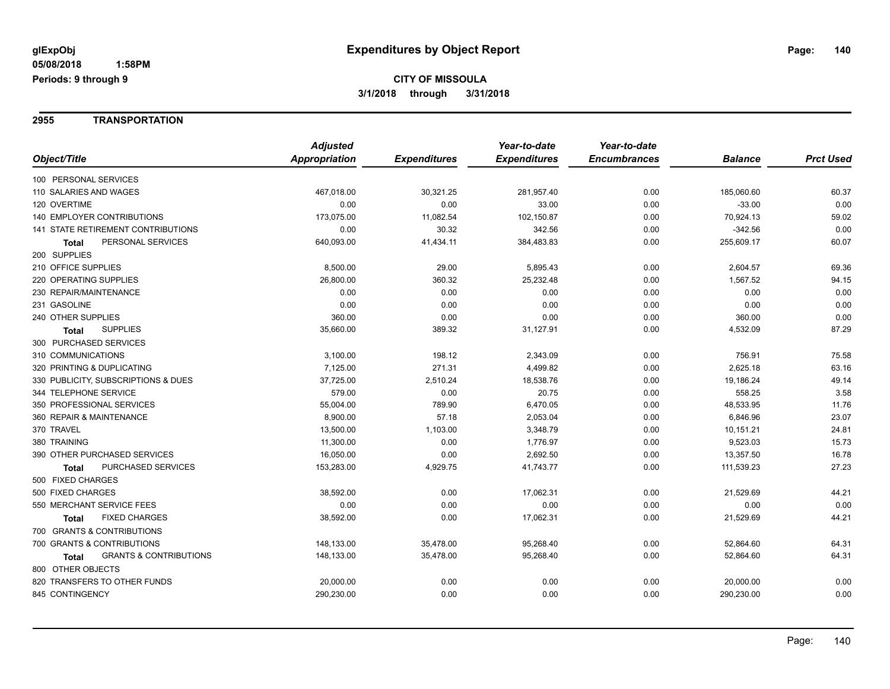**2955 TRANSPORTATION**

|                                                   | <b>Adjusted</b> |                     | Year-to-date        | Year-to-date        |                |                  |
|---------------------------------------------------|-----------------|---------------------|---------------------|---------------------|----------------|------------------|
| Object/Title                                      | Appropriation   | <b>Expenditures</b> | <b>Expenditures</b> | <b>Encumbrances</b> | <b>Balance</b> | <b>Prct Used</b> |
| 100 PERSONAL SERVICES                             |                 |                     |                     |                     |                |                  |
| 110 SALARIES AND WAGES                            | 467,018.00      | 30,321.25           | 281,957.40          | 0.00                | 185,060.60     | 60.37            |
| 120 OVERTIME                                      | 0.00            | 0.00                | 33.00               | 0.00                | $-33.00$       | 0.00             |
| <b>140 EMPLOYER CONTRIBUTIONS</b>                 | 173,075.00      | 11,082.54           | 102,150.87          | 0.00                | 70,924.13      | 59.02            |
| 141 STATE RETIREMENT CONTRIBUTIONS                | 0.00            | 30.32               | 342.56              | 0.00                | $-342.56$      | 0.00             |
| PERSONAL SERVICES<br>Total                        | 640,093.00      | 41,434.11           | 384,483.83          | 0.00                | 255,609.17     | 60.07            |
| 200 SUPPLIES                                      |                 |                     |                     |                     |                |                  |
| 210 OFFICE SUPPLIES                               | 8,500.00        | 29.00               | 5,895.43            | 0.00                | 2,604.57       | 69.36            |
| 220 OPERATING SUPPLIES                            | 26,800.00       | 360.32              | 25,232.48           | 0.00                | 1,567.52       | 94.15            |
| 230 REPAIR/MAINTENANCE                            | 0.00            | 0.00                | 0.00                | 0.00                | 0.00           | 0.00             |
| 231 GASOLINE                                      | 0.00            | 0.00                | 0.00                | 0.00                | 0.00           | 0.00             |
| 240 OTHER SUPPLIES                                | 360.00          | 0.00                | 0.00                | 0.00                | 360.00         | 0.00             |
| <b>SUPPLIES</b><br><b>Total</b>                   | 35,660.00       | 389.32              | 31,127.91           | 0.00                | 4,532.09       | 87.29            |
| 300 PURCHASED SERVICES                            |                 |                     |                     |                     |                |                  |
| 310 COMMUNICATIONS                                | 3,100.00        | 198.12              | 2,343.09            | 0.00                | 756.91         | 75.58            |
| 320 PRINTING & DUPLICATING                        | 7,125.00        | 271.31              | 4,499.82            | 0.00                | 2,625.18       | 63.16            |
| 330 PUBLICITY, SUBSCRIPTIONS & DUES               | 37,725.00       | 2,510.24            | 18,538.76           | 0.00                | 19,186.24      | 49.14            |
| 344 TELEPHONE SERVICE                             | 579.00          | 0.00                | 20.75               | 0.00                | 558.25         | 3.58             |
| 350 PROFESSIONAL SERVICES                         | 55,004.00       | 789.90              | 6,470.05            | 0.00                | 48,533.95      | 11.76            |
| 360 REPAIR & MAINTENANCE                          | 8,900.00        | 57.18               | 2,053.04            | 0.00                | 6,846.96       | 23.07            |
| 370 TRAVEL                                        | 13,500.00       | 1,103.00            | 3,348.79            | 0.00                | 10,151.21      | 24.81            |
| 380 TRAINING                                      | 11,300.00       | 0.00                | 1,776.97            | 0.00                | 9,523.03       | 15.73            |
| 390 OTHER PURCHASED SERVICES                      | 16,050.00       | 0.00                | 2,692.50            | 0.00                | 13,357.50      | 16.78            |
| PURCHASED SERVICES<br>Total                       | 153,283.00      | 4,929.75            | 41,743.77           | 0.00                | 111,539.23     | 27.23            |
| 500 FIXED CHARGES                                 |                 |                     |                     |                     |                |                  |
| 500 FIXED CHARGES                                 | 38,592.00       | 0.00                | 17,062.31           | 0.00                | 21,529.69      | 44.21            |
| 550 MERCHANT SERVICE FEES                         | 0.00            | 0.00                | 0.00                | 0.00                | 0.00           | 0.00             |
| <b>FIXED CHARGES</b><br>Total                     | 38,592.00       | 0.00                | 17,062.31           | 0.00                | 21,529.69      | 44.21            |
| 700 GRANTS & CONTRIBUTIONS                        |                 |                     |                     |                     |                |                  |
| 700 GRANTS & CONTRIBUTIONS                        | 148,133.00      | 35,478.00           | 95,268.40           | 0.00                | 52,864.60      | 64.31            |
| <b>GRANTS &amp; CONTRIBUTIONS</b><br><b>Total</b> | 148,133.00      | 35,478.00           | 95,268.40           | 0.00                | 52,864.60      | 64.31            |
| 800 OTHER OBJECTS                                 |                 |                     |                     |                     |                |                  |
| 820 TRANSFERS TO OTHER FUNDS                      | 20,000.00       | 0.00                | 0.00                | 0.00                | 20,000.00      | 0.00             |
| 845 CONTINGENCY                                   | 290,230.00      | 0.00                | 0.00                | 0.00                | 290,230.00     | 0.00             |
|                                                   |                 |                     |                     |                     |                |                  |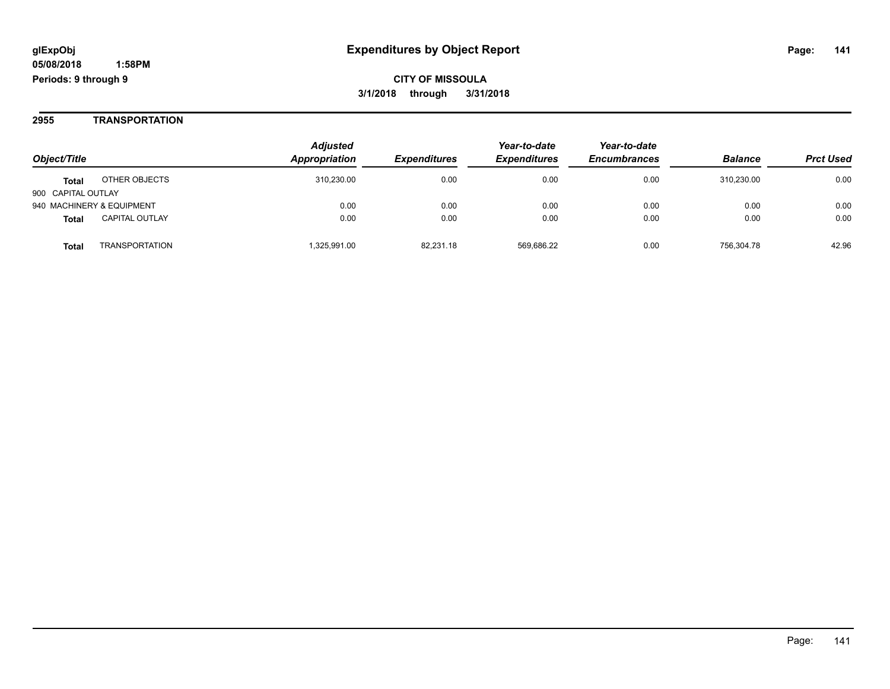**2955 TRANSPORTATION**

|                                                     | <b>Adjusted</b> |                     | Year-to-date        | Year-to-date<br><b>Encumbrances</b> |                |                  |
|-----------------------------------------------------|-----------------|---------------------|---------------------|-------------------------------------|----------------|------------------|
| Object/Title                                        | Appropriation   | <b>Expenditures</b> | <b>Expenditures</b> |                                     | <b>Balance</b> | <b>Prct Used</b> |
| OTHER OBJECTS<br><b>Total</b><br>900 CAPITAL OUTLAY | 310.230.00      | 0.00                | 0.00                | 0.00                                | 310.230.00     | 0.00             |
| 940 MACHINERY & EQUIPMENT                           | 0.00            | 0.00                | 0.00                | 0.00                                | 0.00           | 0.00             |
| <b>CAPITAL OUTLAY</b><br><b>Total</b>               | 0.00            | 0.00                | 0.00                | 0.00                                | 0.00           | 0.00             |
| <b>TRANSPORTATION</b><br><b>Total</b>               | 1,325,991.00    | 82.231.18           | 569,686.22          | 0.00                                | 756.304.78     | 42.96            |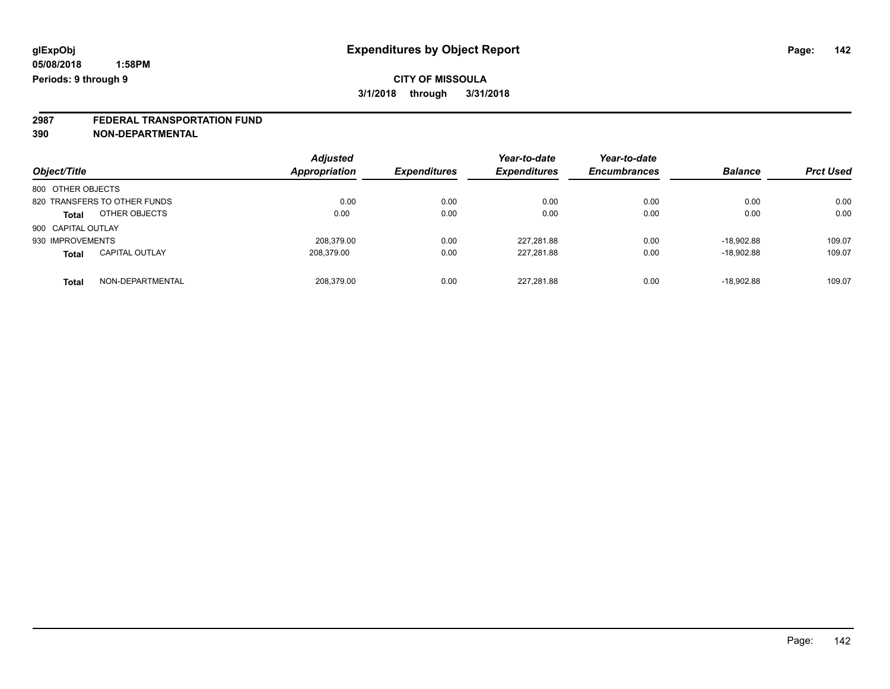# **2987 FEDERAL TRANSPORTATION FUND**

**390 NON-DEPARTMENTAL**

| Object/Title                          | <b>Adjusted</b><br><b>Appropriation</b> | <b>Expenditures</b> | Year-to-date<br><b>Expenditures</b> | Year-to-date<br><b>Encumbrances</b> | <b>Balance</b> | <b>Prct Used</b> |
|---------------------------------------|-----------------------------------------|---------------------|-------------------------------------|-------------------------------------|----------------|------------------|
|                                       |                                         |                     |                                     |                                     |                |                  |
| 800 OTHER OBJECTS                     |                                         |                     |                                     |                                     |                |                  |
| 820 TRANSFERS TO OTHER FUNDS          | 0.00                                    | 0.00                | 0.00                                | 0.00                                | 0.00           | 0.00             |
| OTHER OBJECTS<br><b>Total</b>         | 0.00                                    | 0.00                | 0.00                                | 0.00                                | 0.00           | 0.00             |
| 900 CAPITAL OUTLAY                    |                                         |                     |                                     |                                     |                |                  |
| 930 IMPROVEMENTS                      | 208,379.00                              | 0.00                | 227,281.88                          | 0.00                                | $-18.902.88$   | 109.07           |
| <b>CAPITAL OUTLAY</b><br><b>Total</b> | 208.379.00                              | 0.00                | 227,281.88                          | 0.00                                | $-18.902.88$   | 109.07           |
| NON-DEPARTMENTAL<br><b>Total</b>      | 208,379.00                              | 0.00                | 227,281.88                          | 0.00                                | $-18,902.88$   | 109.07           |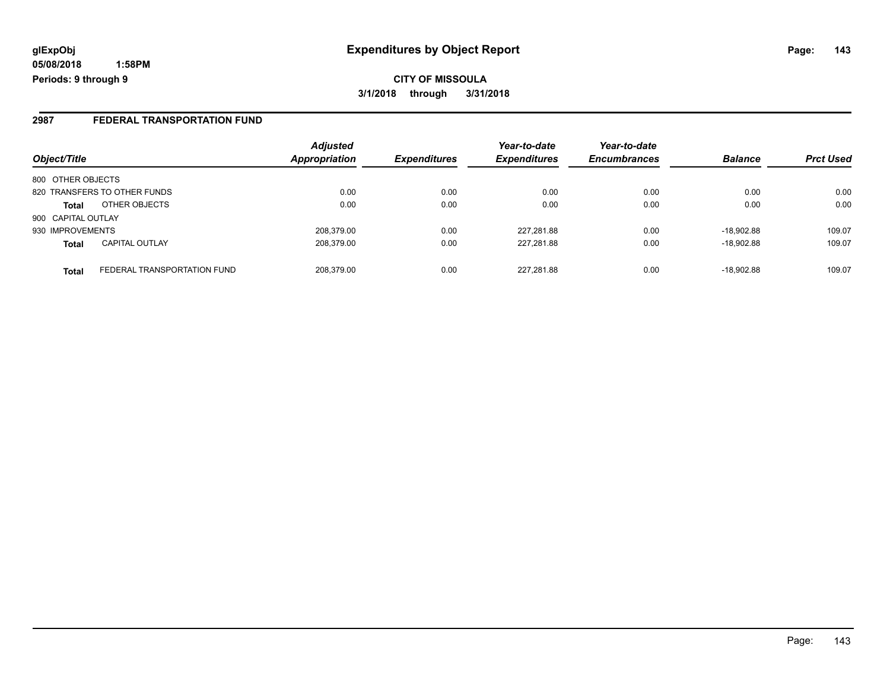**05/08/2018 1:58PM Periods: 9 through 9**

### **2987 FEDERAL TRANSPORTATION FUND**

|                    |                              | <b>Adjusted</b>      |                     | Year-to-date        | Year-to-date        |                |                  |
|--------------------|------------------------------|----------------------|---------------------|---------------------|---------------------|----------------|------------------|
| Object/Title       |                              | <b>Appropriation</b> | <b>Expenditures</b> | <b>Expenditures</b> | <b>Encumbrances</b> | <b>Balance</b> | <b>Prct Used</b> |
| 800 OTHER OBJECTS  |                              |                      |                     |                     |                     |                |                  |
|                    | 820 TRANSFERS TO OTHER FUNDS | 0.00                 | 0.00                | 0.00                | 0.00                | 0.00           | 0.00             |
| <b>Total</b>       | OTHER OBJECTS                | 0.00                 | 0.00                | 0.00                | 0.00                | 0.00           | 0.00             |
| 900 CAPITAL OUTLAY |                              |                      |                     |                     |                     |                |                  |
| 930 IMPROVEMENTS   |                              | 208.379.00           | 0.00                | 227.281.88          | 0.00                | $-18.902.88$   | 109.07           |
| <b>Total</b>       | <b>CAPITAL OUTLAY</b>        | 208.379.00           | 0.00                | 227.281.88          | 0.00                | $-18.902.88$   | 109.07           |
| <b>Total</b>       | FEDERAL TRANSPORTATION FUND  | 208.379.00           | 0.00                | 227,281.88          | 0.00                | $-18.902.88$   | 109.07           |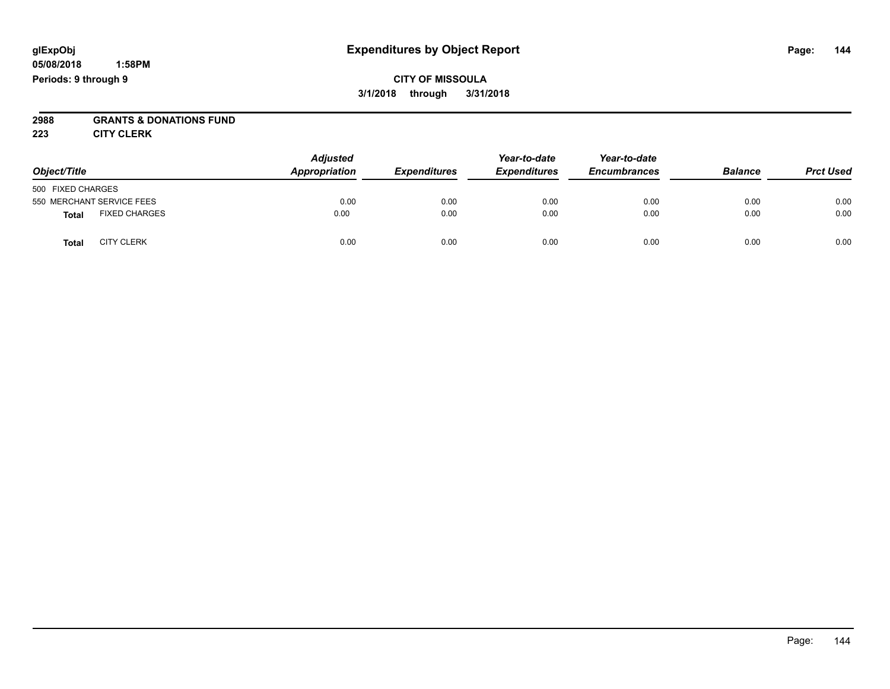### **05/08/2018 1:58PM Periods: 9 through 9**

## **CITY OF MISSOULA 3/1/2018 through 3/31/2018**

# **2988 GRANTS & DONATIONS FUND**

**223 CITY CLERK**

| Object/Title      |                           | <b>Adjusted</b><br>Appropriation | <b>Expenditures</b> | Year-to-date<br><b>Expenditures</b> | Year-to-date<br><b>Encumbrances</b> | <b>Balance</b> | <b>Prct Used</b> |
|-------------------|---------------------------|----------------------------------|---------------------|-------------------------------------|-------------------------------------|----------------|------------------|
| 500 FIXED CHARGES |                           |                                  |                     |                                     |                                     |                |                  |
|                   | 550 MERCHANT SERVICE FEES | 0.00                             | 0.00                | 0.00                                | 0.00                                | 0.00           | 0.00             |
| <b>Total</b>      | <b>FIXED CHARGES</b>      | 0.00                             | 0.00                | 0.00                                | 0.00                                | 0.00           | 0.00             |
| <b>Total</b>      | <b>CITY CLERK</b>         | 0.00                             | 0.00                | 0.00                                | 0.00                                | 0.00           | 0.00             |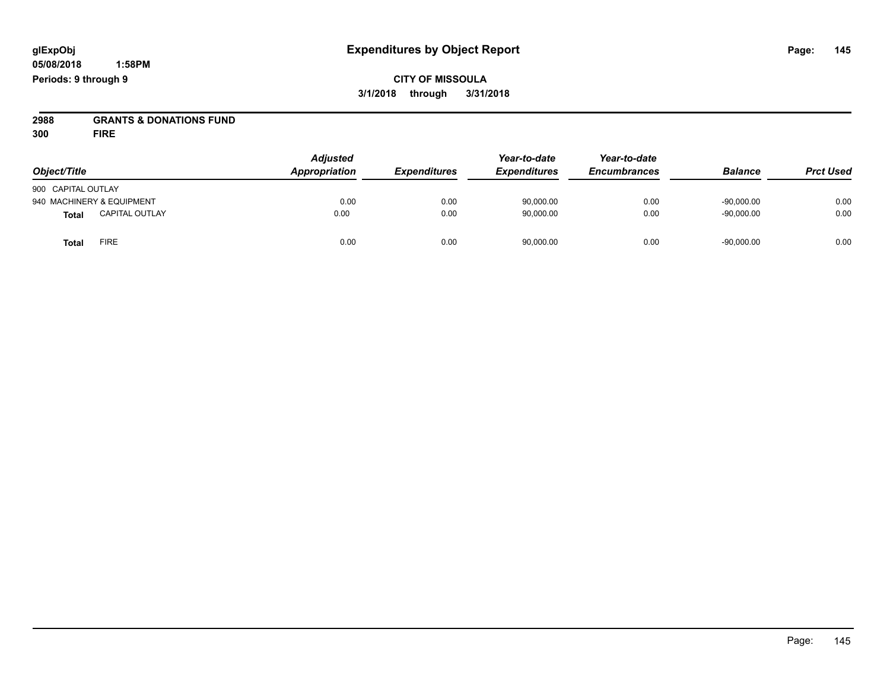**CITY OF MISSOULA 3/1/2018 through 3/31/2018**

**2988 GRANTS & DONATIONS FUND**

**300 FIRE**

| Object/Title                          | <b>Adjusted</b><br>Appropriation | <b>Expenditures</b> | Year-to-date<br><b>Expenditures</b> | Year-to-date<br><b>Encumbrances</b> | <b>Balance</b> | <b>Prct Used</b> |
|---------------------------------------|----------------------------------|---------------------|-------------------------------------|-------------------------------------|----------------|------------------|
|                                       |                                  |                     |                                     |                                     |                |                  |
| 900 CAPITAL OUTLAY                    |                                  |                     |                                     |                                     |                |                  |
| 940 MACHINERY & EQUIPMENT             | 0.00                             | 0.00                | 90,000.00                           | 0.00                                | $-90,000.00$   | 0.00             |
| <b>CAPITAL OUTLAY</b><br><b>Total</b> | 0.00                             | 0.00                | 90,000.00                           | 0.00                                | $-90,000.00$   | 0.00             |
| <b>FIRE</b><br>Total                  | 0.00                             | 0.00                | 90,000.00                           | 0.00                                | $-90,000.00$   | 0.00             |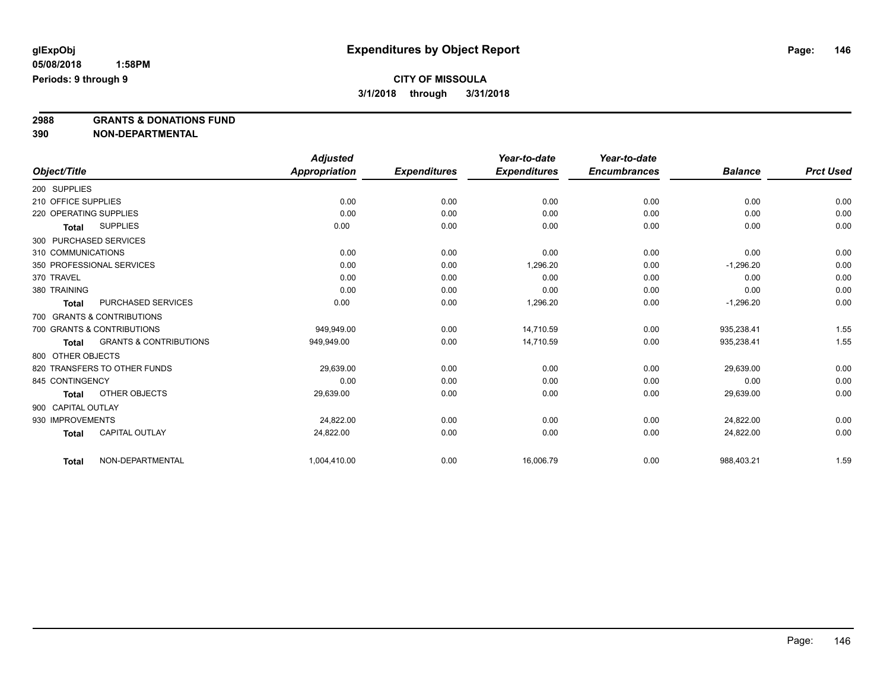**2988 GRANTS & DONATIONS FUND**

|                        |                                   | <b>Adjusted</b>      |                     | Year-to-date        | Year-to-date        |                |                  |
|------------------------|-----------------------------------|----------------------|---------------------|---------------------|---------------------|----------------|------------------|
| Object/Title           |                                   | <b>Appropriation</b> | <b>Expenditures</b> | <b>Expenditures</b> | <b>Encumbrances</b> | <b>Balance</b> | <b>Prct Used</b> |
| 200 SUPPLIES           |                                   |                      |                     |                     |                     |                |                  |
| 210 OFFICE SUPPLIES    |                                   | 0.00                 | 0.00                | 0.00                | 0.00                | 0.00           | 0.00             |
| 220 OPERATING SUPPLIES |                                   | 0.00                 | 0.00                | 0.00                | 0.00                | 0.00           | 0.00             |
| <b>Total</b>           | <b>SUPPLIES</b>                   | 0.00                 | 0.00                | 0.00                | 0.00                | 0.00           | 0.00             |
| 300 PURCHASED SERVICES |                                   |                      |                     |                     |                     |                |                  |
| 310 COMMUNICATIONS     |                                   | 0.00                 | 0.00                | 0.00                | 0.00                | 0.00           | 0.00             |
|                        | 350 PROFESSIONAL SERVICES         | 0.00                 | 0.00                | 1,296.20            | 0.00                | $-1,296.20$    | 0.00             |
| 370 TRAVEL             |                                   | 0.00                 | 0.00                | 0.00                | 0.00                | 0.00           | 0.00             |
| 380 TRAINING           |                                   | 0.00                 | 0.00                | 0.00                | 0.00                | 0.00           | 0.00             |
| <b>Total</b>           | PURCHASED SERVICES                | 0.00                 | 0.00                | 1,296.20            | 0.00                | $-1,296.20$    | 0.00             |
|                        | 700 GRANTS & CONTRIBUTIONS        |                      |                     |                     |                     |                |                  |
|                        | 700 GRANTS & CONTRIBUTIONS        | 949,949.00           | 0.00                | 14,710.59           | 0.00                | 935,238.41     | 1.55             |
| Total                  | <b>GRANTS &amp; CONTRIBUTIONS</b> | 949,949.00           | 0.00                | 14,710.59           | 0.00                | 935,238.41     | 1.55             |
| 800 OTHER OBJECTS      |                                   |                      |                     |                     |                     |                |                  |
|                        | 820 TRANSFERS TO OTHER FUNDS      | 29,639.00            | 0.00                | 0.00                | 0.00                | 29,639.00      | 0.00             |
| 845 CONTINGENCY        |                                   | 0.00                 | 0.00                | 0.00                | 0.00                | 0.00           | 0.00             |
| <b>Total</b>           | OTHER OBJECTS                     | 29,639.00            | 0.00                | 0.00                | 0.00                | 29,639.00      | 0.00             |
| 900 CAPITAL OUTLAY     |                                   |                      |                     |                     |                     |                |                  |
| 930 IMPROVEMENTS       |                                   | 24,822.00            | 0.00                | 0.00                | 0.00                | 24,822.00      | 0.00             |
| <b>Total</b>           | <b>CAPITAL OUTLAY</b>             | 24,822.00            | 0.00                | 0.00                | 0.00                | 24,822.00      | 0.00             |
| <b>Total</b>           | NON-DEPARTMENTAL                  | 1,004,410.00         | 0.00                | 16,006.79           | 0.00                | 988,403.21     | 1.59             |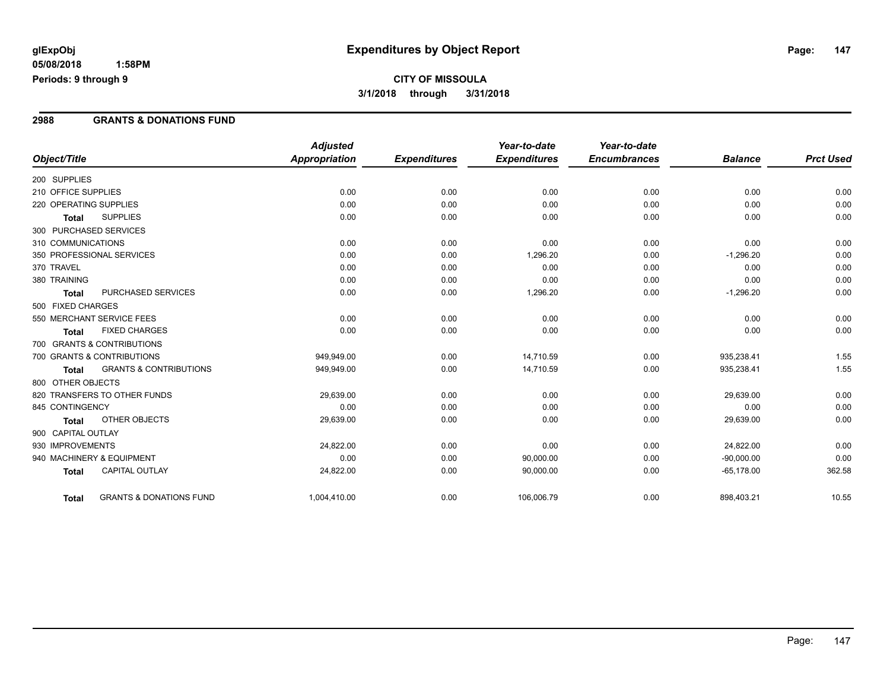### **2988 GRANTS & DONATIONS FUND**

|                        |                                    | <b>Adjusted</b> |                     | Year-to-date        | Year-to-date        |                |                  |
|------------------------|------------------------------------|-----------------|---------------------|---------------------|---------------------|----------------|------------------|
| Object/Title           |                                    | Appropriation   | <b>Expenditures</b> | <b>Expenditures</b> | <b>Encumbrances</b> | <b>Balance</b> | <b>Prct Used</b> |
| 200 SUPPLIES           |                                    |                 |                     |                     |                     |                |                  |
| 210 OFFICE SUPPLIES    |                                    | 0.00            | 0.00                | 0.00                | 0.00                | 0.00           | 0.00             |
| 220 OPERATING SUPPLIES |                                    | 0.00            | 0.00                | 0.00                | 0.00                | 0.00           | 0.00             |
| <b>Total</b>           | <b>SUPPLIES</b>                    | 0.00            | 0.00                | 0.00                | 0.00                | 0.00           | 0.00             |
| 300 PURCHASED SERVICES |                                    |                 |                     |                     |                     |                |                  |
| 310 COMMUNICATIONS     |                                    | 0.00            | 0.00                | 0.00                | 0.00                | 0.00           | 0.00             |
|                        | 350 PROFESSIONAL SERVICES          | 0.00            | 0.00                | 1,296.20            | 0.00                | $-1,296.20$    | 0.00             |
| 370 TRAVEL             |                                    | 0.00            | 0.00                | 0.00                | 0.00                | 0.00           | 0.00             |
| 380 TRAINING           |                                    | 0.00            | 0.00                | 0.00                | 0.00                | 0.00           | 0.00             |
| <b>Total</b>           | PURCHASED SERVICES                 | 0.00            | 0.00                | 1,296.20            | 0.00                | $-1,296.20$    | 0.00             |
| 500 FIXED CHARGES      |                                    |                 |                     |                     |                     |                |                  |
|                        | 550 MERCHANT SERVICE FEES          | 0.00            | 0.00                | 0.00                | 0.00                | 0.00           | 0.00             |
| <b>Total</b>           | <b>FIXED CHARGES</b>               | 0.00            | 0.00                | 0.00                | 0.00                | 0.00           | 0.00             |
|                        | 700 GRANTS & CONTRIBUTIONS         |                 |                     |                     |                     |                |                  |
|                        | 700 GRANTS & CONTRIBUTIONS         | 949,949.00      | 0.00                | 14,710.59           | 0.00                | 935,238.41     | 1.55             |
| Total                  | <b>GRANTS &amp; CONTRIBUTIONS</b>  | 949,949.00      | 0.00                | 14,710.59           | 0.00                | 935,238.41     | 1.55             |
| 800 OTHER OBJECTS      |                                    |                 |                     |                     |                     |                |                  |
|                        | 820 TRANSFERS TO OTHER FUNDS       | 29,639.00       | 0.00                | 0.00                | 0.00                | 29,639.00      | 0.00             |
| 845 CONTINGENCY        |                                    | 0.00            | 0.00                | 0.00                | 0.00                | 0.00           | 0.00             |
| <b>Total</b>           | OTHER OBJECTS                      | 29,639.00       | 0.00                | 0.00                | 0.00                | 29,639.00      | 0.00             |
| 900 CAPITAL OUTLAY     |                                    |                 |                     |                     |                     |                |                  |
| 930 IMPROVEMENTS       |                                    | 24,822.00       | 0.00                | 0.00                | 0.00                | 24,822.00      | 0.00             |
|                        | 940 MACHINERY & EQUIPMENT          | 0.00            | 0.00                | 90,000.00           | 0.00                | $-90,000.00$   | 0.00             |
| <b>Total</b>           | CAPITAL OUTLAY                     | 24,822.00       | 0.00                | 90,000.00           | 0.00                | $-65,178.00$   | 362.58           |
| <b>Total</b>           | <b>GRANTS &amp; DONATIONS FUND</b> | 1,004,410.00    | 0.00                | 106,006.79          | 0.00                | 898,403.21     | 10.55            |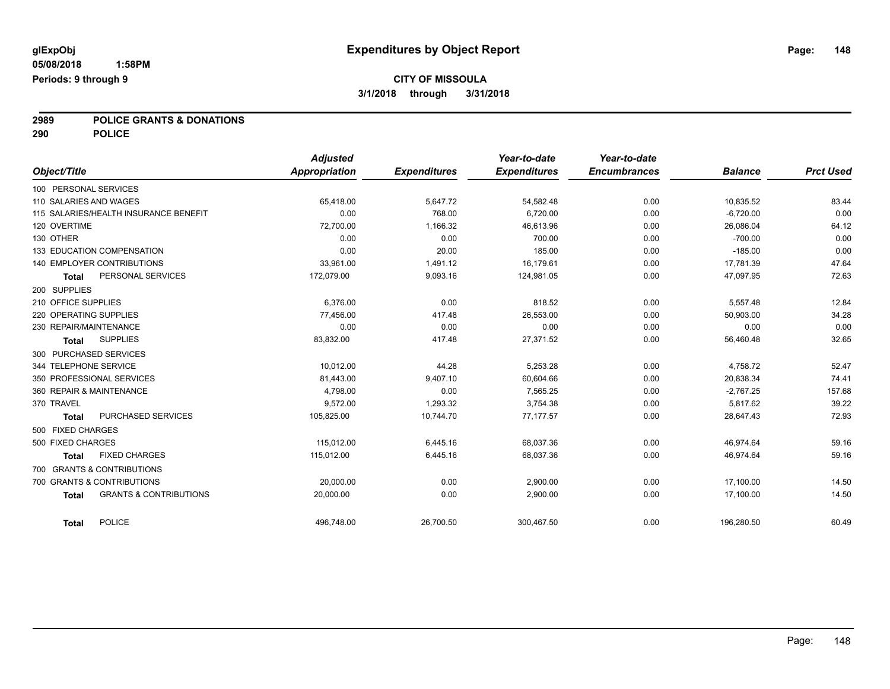# **2989 POLICE GRANTS & DONATIONS**

**290 POLICE**

| Object/Title                                      | <b>Adjusted</b><br><b>Appropriation</b> | <b>Expenditures</b> | Year-to-date<br><b>Expenditures</b> | Year-to-date<br><b>Encumbrances</b> | <b>Balance</b> | <b>Prct Used</b> |
|---------------------------------------------------|-----------------------------------------|---------------------|-------------------------------------|-------------------------------------|----------------|------------------|
| 100 PERSONAL SERVICES                             |                                         |                     |                                     |                                     |                |                  |
| 110 SALARIES AND WAGES                            | 65,418.00                               | 5,647.72            | 54,582.48                           | 0.00                                | 10,835.52      | 83.44            |
| 115 SALARIES/HEALTH INSURANCE BENEFIT             | 0.00                                    | 768.00              | 6.720.00                            | 0.00                                | $-6,720.00$    | 0.00             |
| 120 OVERTIME                                      | 72,700.00                               | 1,166.32            | 46,613.96                           | 0.00                                | 26,086.04      | 64.12            |
| 130 OTHER                                         | 0.00                                    | 0.00                | 700.00                              | 0.00                                | $-700.00$      | 0.00             |
| 133 EDUCATION COMPENSATION                        | 0.00                                    | 20.00               | 185.00                              | 0.00                                | $-185.00$      | 0.00             |
| 140 EMPLOYER CONTRIBUTIONS                        | 33,961.00                               | 1,491.12            | 16,179.61                           | 0.00                                | 17,781.39      | 47.64            |
| PERSONAL SERVICES<br><b>Total</b>                 | 172,079.00                              | 9,093.16            | 124,981.05                          | 0.00                                | 47,097.95      | 72.63            |
| 200 SUPPLIES                                      |                                         |                     |                                     |                                     |                |                  |
| 210 OFFICE SUPPLIES                               | 6,376.00                                | 0.00                | 818.52                              | 0.00                                | 5,557.48       | 12.84            |
| 220 OPERATING SUPPLIES                            | 77.456.00                               | 417.48              | 26,553.00                           | 0.00                                | 50,903.00      | 34.28            |
| 230 REPAIR/MAINTENANCE                            | 0.00                                    | 0.00                | 0.00                                | 0.00                                | 0.00           | 0.00             |
| <b>SUPPLIES</b><br><b>Total</b>                   | 83,832.00                               | 417.48              | 27,371.52                           | 0.00                                | 56,460.48      | 32.65            |
| 300 PURCHASED SERVICES                            |                                         |                     |                                     |                                     |                |                  |
| 344 TELEPHONE SERVICE                             | 10,012.00                               | 44.28               | 5,253.28                            | 0.00                                | 4,758.72       | 52.47            |
| 350 PROFESSIONAL SERVICES                         | 81,443.00                               | 9,407.10            | 60,604.66                           | 0.00                                | 20.838.34      | 74.41            |
| 360 REPAIR & MAINTENANCE                          | 4,798.00                                | 0.00                | 7,565.25                            | 0.00                                | $-2,767.25$    | 157.68           |
| 370 TRAVEL                                        | 9,572.00                                | 1,293.32            | 3,754.38                            | 0.00                                | 5,817.62       | 39.22            |
| PURCHASED SERVICES<br><b>Total</b>                | 105,825.00                              | 10,744.70           | 77,177.57                           | 0.00                                | 28,647.43      | 72.93            |
| 500 FIXED CHARGES                                 |                                         |                     |                                     |                                     |                |                  |
| 500 FIXED CHARGES                                 | 115,012.00                              | 6,445.16            | 68,037.36                           | 0.00                                | 46,974.64      | 59.16            |
| <b>FIXED CHARGES</b><br><b>Total</b>              | 115.012.00                              | 6,445.16            | 68,037.36                           | 0.00                                | 46,974.64      | 59.16            |
| 700 GRANTS & CONTRIBUTIONS                        |                                         |                     |                                     |                                     |                |                  |
| 700 GRANTS & CONTRIBUTIONS                        | 20,000.00                               | 0.00                | 2,900.00                            | 0.00                                | 17,100.00      | 14.50            |
| <b>GRANTS &amp; CONTRIBUTIONS</b><br><b>Total</b> | 20,000.00                               | 0.00                | 2,900.00                            | 0.00                                | 17,100.00      | 14.50            |
| <b>POLICE</b><br><b>Total</b>                     | 496,748.00                              | 26,700.50           | 300,467.50                          | 0.00                                | 196,280.50     | 60.49            |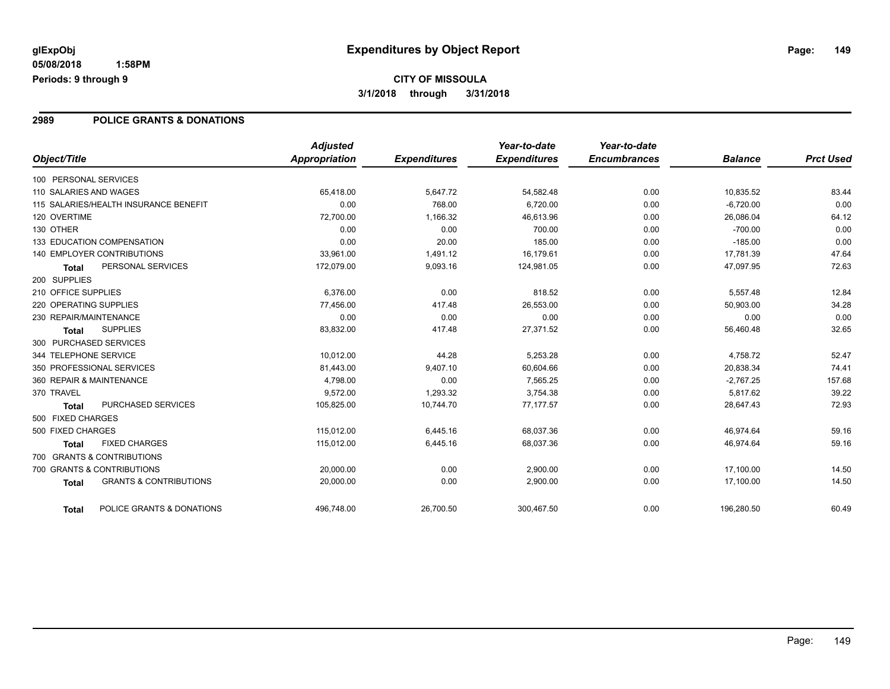### **2989 POLICE GRANTS & DONATIONS**

|                                                   | <b>Adjusted</b>      |                     | Year-to-date        | Year-to-date        |                |                  |
|---------------------------------------------------|----------------------|---------------------|---------------------|---------------------|----------------|------------------|
| Object/Title                                      | <b>Appropriation</b> | <b>Expenditures</b> | <b>Expenditures</b> | <b>Encumbrances</b> | <b>Balance</b> | <b>Prct Used</b> |
| 100 PERSONAL SERVICES                             |                      |                     |                     |                     |                |                  |
| 110 SALARIES AND WAGES                            | 65,418.00            | 5,647.72            | 54,582.48           | 0.00                | 10,835.52      | 83.44            |
| 115 SALARIES/HEALTH INSURANCE BENEFIT             | 0.00                 | 768.00              | 6,720.00            | 0.00                | $-6,720.00$    | 0.00             |
| 120 OVERTIME                                      | 72,700.00            | 1,166.32            | 46,613.96           | 0.00                | 26,086.04      | 64.12            |
| 130 OTHER                                         | 0.00                 | 0.00                | 700.00              | 0.00                | $-700.00$      | 0.00             |
| 133 EDUCATION COMPENSATION                        | 0.00                 | 20.00               | 185.00              | 0.00                | $-185.00$      | 0.00             |
| <b>140 EMPLOYER CONTRIBUTIONS</b>                 | 33,961.00            | 1,491.12            | 16,179.61           | 0.00                | 17,781.39      | 47.64            |
| PERSONAL SERVICES<br><b>Total</b>                 | 172,079.00           | 9,093.16            | 124,981.05          | 0.00                | 47,097.95      | 72.63            |
| 200 SUPPLIES                                      |                      |                     |                     |                     |                |                  |
| 210 OFFICE SUPPLIES                               | 6,376.00             | 0.00                | 818.52              | 0.00                | 5,557.48       | 12.84            |
| 220 OPERATING SUPPLIES                            | 77,456.00            | 417.48              | 26,553.00           | 0.00                | 50,903.00      | 34.28            |
| 230 REPAIR/MAINTENANCE                            | 0.00                 | 0.00                | 0.00                | 0.00                | 0.00           | 0.00             |
| <b>SUPPLIES</b><br><b>Total</b>                   | 83,832.00            | 417.48              | 27,371.52           | 0.00                | 56,460.48      | 32.65            |
| 300 PURCHASED SERVICES                            |                      |                     |                     |                     |                |                  |
| 344 TELEPHONE SERVICE                             | 10,012.00            | 44.28               | 5,253.28            | 0.00                | 4,758.72       | 52.47            |
| 350 PROFESSIONAL SERVICES                         | 81,443.00            | 9,407.10            | 60,604.66           | 0.00                | 20,838.34      | 74.41            |
| 360 REPAIR & MAINTENANCE                          | 4,798.00             | 0.00                | 7,565.25            | 0.00                | $-2,767.25$    | 157.68           |
| 370 TRAVEL                                        | 9,572.00             | 1,293.32            | 3,754.38            | 0.00                | 5,817.62       | 39.22            |
| PURCHASED SERVICES<br><b>Total</b>                | 105,825.00           | 10,744.70           | 77,177.57           | 0.00                | 28,647.43      | 72.93            |
| 500 FIXED CHARGES                                 |                      |                     |                     |                     |                |                  |
| 500 FIXED CHARGES                                 | 115,012.00           | 6,445.16            | 68,037.36           | 0.00                | 46,974.64      | 59.16            |
| <b>FIXED CHARGES</b><br><b>Total</b>              | 115,012.00           | 6,445.16            | 68,037.36           | 0.00                | 46,974.64      | 59.16            |
| 700 GRANTS & CONTRIBUTIONS                        |                      |                     |                     |                     |                |                  |
| 700 GRANTS & CONTRIBUTIONS                        | 20,000.00            | 0.00                | 2,900.00            | 0.00                | 17,100.00      | 14.50            |
| <b>GRANTS &amp; CONTRIBUTIONS</b><br><b>Total</b> | 20,000.00            | 0.00                | 2,900.00            | 0.00                | 17,100.00      | 14.50            |
| POLICE GRANTS & DONATIONS<br>Total                | 496,748.00           | 26,700.50           | 300,467.50          | 0.00                | 196,280.50     | 60.49            |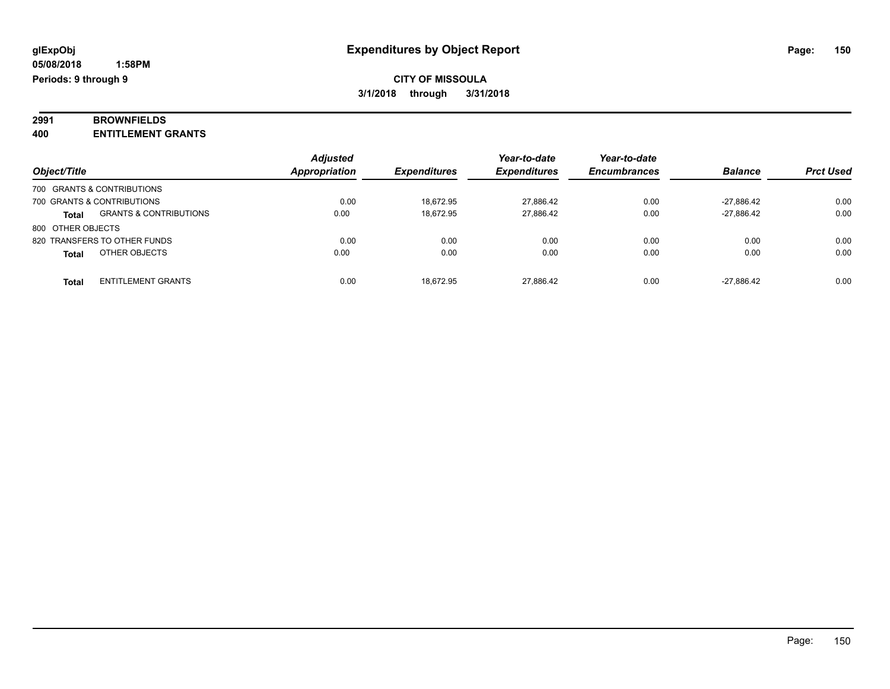# **2991 BROWNFIELDS**

**400 ENTITLEMENT GRANTS**

| Object/Title      |                                   | <b>Adjusted</b><br><b>Appropriation</b> | <b>Expenditures</b> | Year-to-date<br><b>Expenditures</b> | Year-to-date<br><b>Encumbrances</b> | <b>Balance</b> | <b>Prct Used</b> |
|-------------------|-----------------------------------|-----------------------------------------|---------------------|-------------------------------------|-------------------------------------|----------------|------------------|
|                   |                                   |                                         |                     |                                     |                                     |                |                  |
|                   | 700 GRANTS & CONTRIBUTIONS        | 0.00                                    | 18.672.95           | 27.886.42                           | 0.00                                | $-27.886.42$   | 0.00             |
| <b>Total</b>      | <b>GRANTS &amp; CONTRIBUTIONS</b> | 0.00                                    | 18.672.95           | 27,886.42                           | 0.00                                | $-27.886.42$   | 0.00             |
| 800 OTHER OBJECTS |                                   |                                         |                     |                                     |                                     |                |                  |
|                   | 820 TRANSFERS TO OTHER FUNDS      | 0.00                                    | 0.00                | 0.00                                | 0.00                                | 0.00           | 0.00             |
| <b>Total</b>      | OTHER OBJECTS                     | 0.00                                    | 0.00                | 0.00                                | 0.00                                | 0.00           | 0.00             |
| <b>Total</b>      | <b>ENTITLEMENT GRANTS</b>         | 0.00                                    | 18.672.95           | 27.886.42                           | 0.00                                | $-27.886.42$   | 0.00             |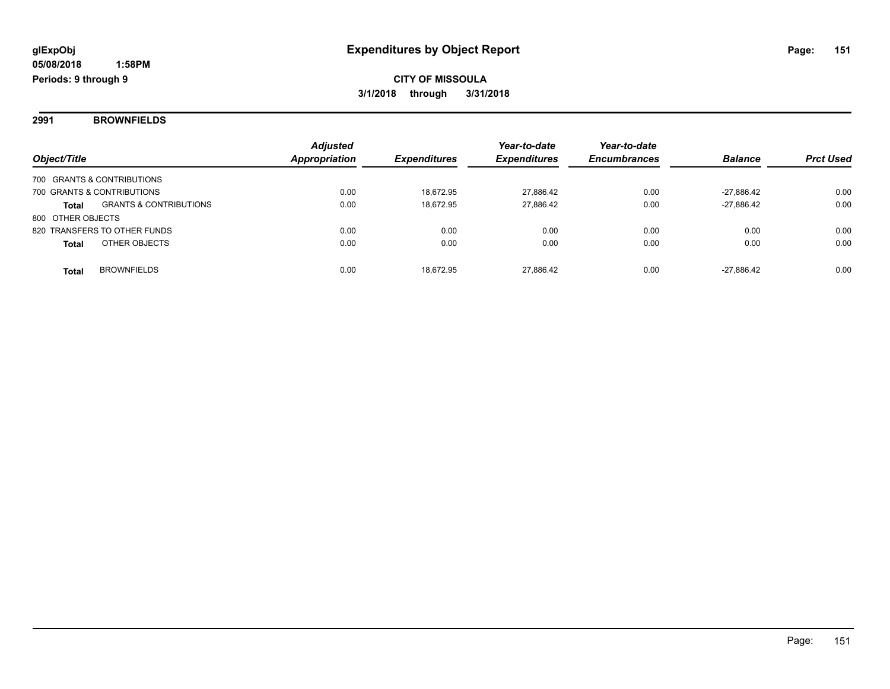**2991 BROWNFIELDS**

| Object/Title                                      | <b>Adjusted</b><br>Appropriation | <b>Expenditures</b> | Year-to-date<br><b>Expenditures</b> | Year-to-date<br><b>Encumbrances</b> | <b>Balance</b> | <b>Prct Used</b> |
|---------------------------------------------------|----------------------------------|---------------------|-------------------------------------|-------------------------------------|----------------|------------------|
| 700 GRANTS & CONTRIBUTIONS                        |                                  |                     |                                     |                                     |                |                  |
| 700 GRANTS & CONTRIBUTIONS                        | 0.00                             | 18.672.95           | 27,886.42                           | 0.00                                | $-27.886.42$   | 0.00             |
| <b>GRANTS &amp; CONTRIBUTIONS</b><br><b>Total</b> | 0.00                             | 18.672.95           | 27,886.42                           | 0.00                                | $-27.886.42$   | 0.00             |
| 800 OTHER OBJECTS                                 |                                  |                     |                                     |                                     |                |                  |
| 820 TRANSFERS TO OTHER FUNDS                      | 0.00                             | 0.00                | 0.00                                | 0.00                                | 0.00           | 0.00             |
| OTHER OBJECTS<br><b>Total</b>                     | 0.00                             | 0.00                | 0.00                                | 0.00                                | 0.00           | 0.00             |
| <b>BROWNFIELDS</b><br>Total                       | 0.00                             | 18.672.95           | 27,886.42                           | 0.00                                | $-27.886.42$   | 0.00             |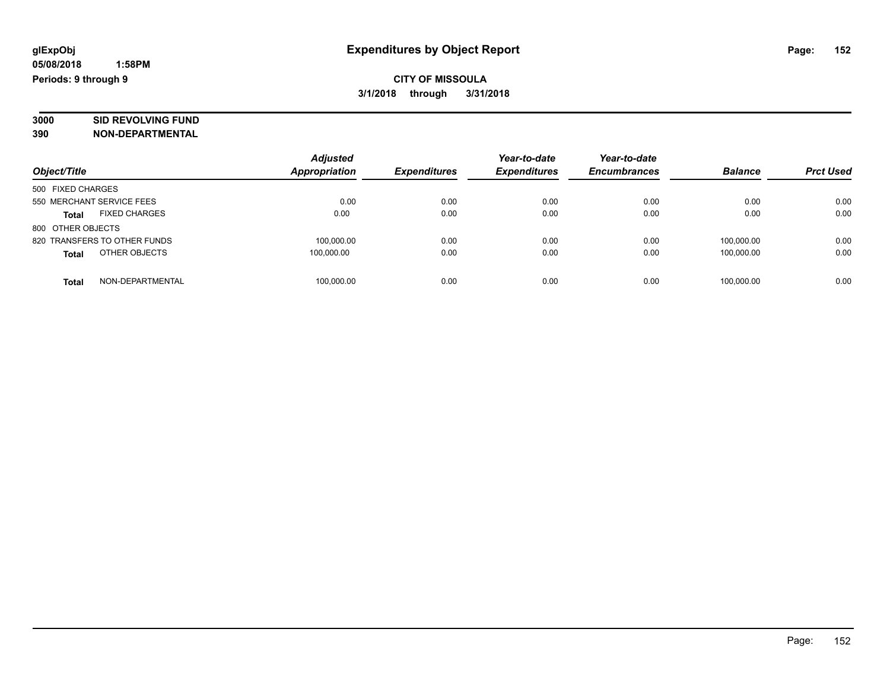**3000 SID REVOLVING FUND**

|                                      | <b>Adjusted</b>      |                     | Year-to-date        | Year-to-date        |                |                  |
|--------------------------------------|----------------------|---------------------|---------------------|---------------------|----------------|------------------|
| Object/Title                         | <b>Appropriation</b> | <b>Expenditures</b> | <b>Expenditures</b> | <b>Encumbrances</b> | <b>Balance</b> | <b>Prct Used</b> |
| 500 FIXED CHARGES                    |                      |                     |                     |                     |                |                  |
| 550 MERCHANT SERVICE FEES            | 0.00                 | 0.00                | 0.00                | 0.00                | 0.00           | 0.00             |
| <b>FIXED CHARGES</b><br><b>Total</b> | 0.00                 | 0.00                | 0.00                | 0.00                | 0.00           | 0.00             |
| 800 OTHER OBJECTS                    |                      |                     |                     |                     |                |                  |
| 820 TRANSFERS TO OTHER FUNDS         | 100,000.00           | 0.00                | 0.00                | 0.00                | 100.000.00     | 0.00             |
| OTHER OBJECTS<br><b>Total</b>        | 100.000.00           | 0.00                | 0.00                | 0.00                | 100.000.00     | 0.00             |
| NON-DEPARTMENTAL<br><b>Total</b>     | 100,000.00           | 0.00                | 0.00                | 0.00                | 100.000.00     | 0.00             |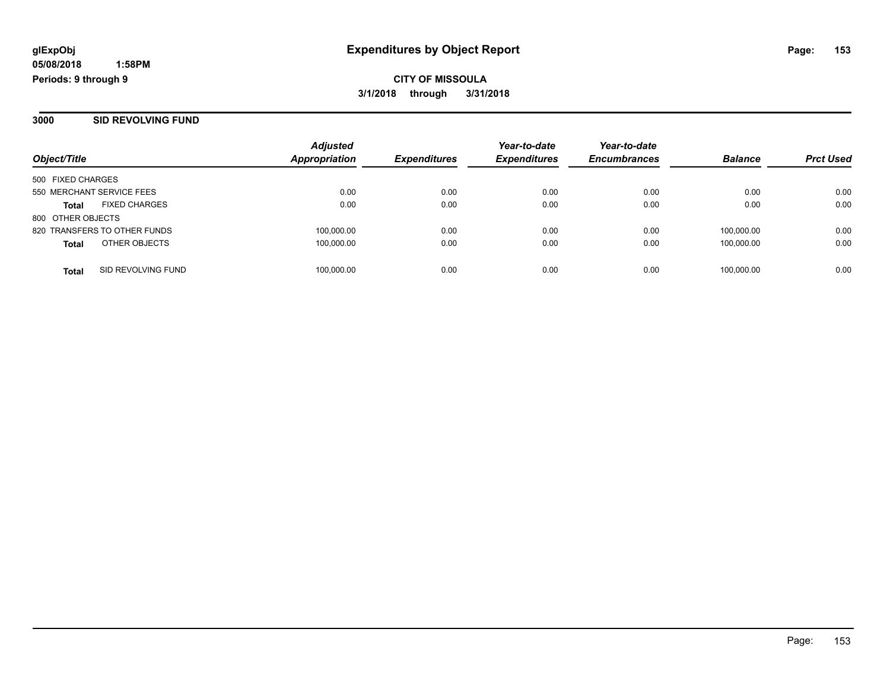**3000 SID REVOLVING FUND**

| Object/Title      |                              | <b>Adjusted</b><br>Appropriation | <b>Expenditures</b> | Year-to-date<br><b>Expenditures</b> | Year-to-date<br><b>Encumbrances</b> | <b>Balance</b> | <b>Prct Used</b> |
|-------------------|------------------------------|----------------------------------|---------------------|-------------------------------------|-------------------------------------|----------------|------------------|
|                   |                              |                                  |                     |                                     |                                     |                |                  |
|                   | 550 MERCHANT SERVICE FEES    | 0.00                             | 0.00                | 0.00                                | 0.00                                | 0.00           | 0.00             |
| <b>Total</b>      | <b>FIXED CHARGES</b>         | 0.00                             | 0.00                | 0.00                                | 0.00                                | 0.00           | 0.00             |
| 800 OTHER OBJECTS |                              |                                  |                     |                                     |                                     |                |                  |
|                   | 820 TRANSFERS TO OTHER FUNDS | 100,000.00                       | 0.00                | 0.00                                | 0.00                                | 100.000.00     | 0.00             |
| <b>Total</b>      | OTHER OBJECTS                | 100,000.00                       | 0.00                | 0.00                                | 0.00                                | 100.000.00     | 0.00             |
| <b>Total</b>      | SID REVOLVING FUND           | 100,000.00                       | 0.00                | 0.00                                | 0.00                                | 100,000.00     | 0.00             |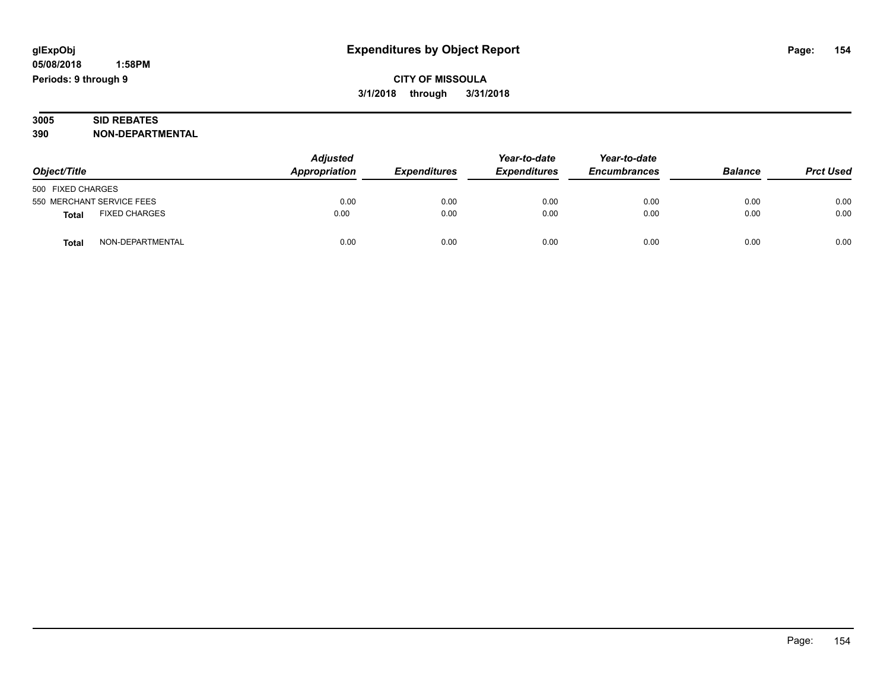### **3005 SID REBATES 390 NON-DEPARTMENTAL**

| Object/Title                         | <b>Adjusted</b><br>Appropriation | <b>Expenditures</b> | Year-to-date<br><b>Expenditures</b> | Year-to-date<br><b>Encumbrances</b> | <b>Balance</b> | <b>Prct Used</b> |
|--------------------------------------|----------------------------------|---------------------|-------------------------------------|-------------------------------------|----------------|------------------|
| 500 FIXED CHARGES                    |                                  |                     |                                     |                                     |                |                  |
| 550 MERCHANT SERVICE FEES            | 0.00                             | 0.00                | 0.00                                | 0.00                                | 0.00           | 0.00             |
| <b>FIXED CHARGES</b><br><b>Total</b> | 0.00                             | 0.00                | 0.00                                | 0.00                                | 0.00           | 0.00             |
| NON-DEPARTMENTAL<br><b>Total</b>     | 0.00                             | 0.00                | 0.00                                | 0.00                                | 0.00           | 0.00             |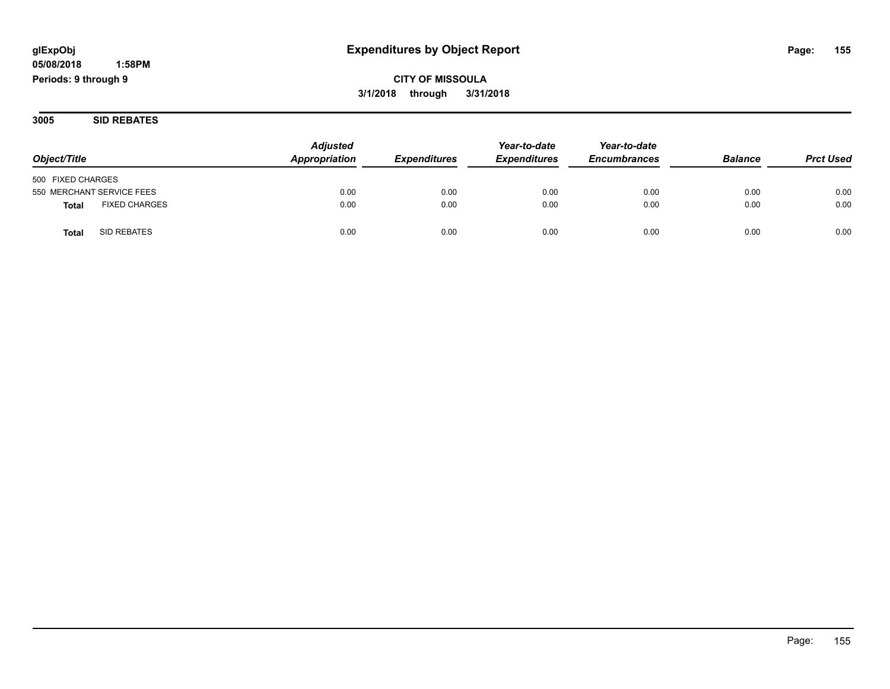**3005 SID REBATES**

|                                      | <b>Adjusted</b><br>Appropriation<br><i><b>Expenditures</b></i> | Year-to-date | Year-to-date        |                     |                |                  |
|--------------------------------------|----------------------------------------------------------------|--------------|---------------------|---------------------|----------------|------------------|
| Object/Title                         |                                                                |              | <b>Expenditures</b> | <b>Encumbrances</b> | <b>Balance</b> | <b>Prct Used</b> |
| 500 FIXED CHARGES                    |                                                                |              |                     |                     |                |                  |
| 550 MERCHANT SERVICE FEES            | 0.00                                                           | 0.00         | 0.00                | 0.00                | 0.00           | 0.00             |
| <b>FIXED CHARGES</b><br><b>Total</b> | 0.00                                                           | 0.00         | 0.00                | 0.00                | 0.00           | 0.00             |
| SID REBATES<br>Total                 | 0.00                                                           | 0.00         | 0.00                | 0.00                | 0.00           | 0.00             |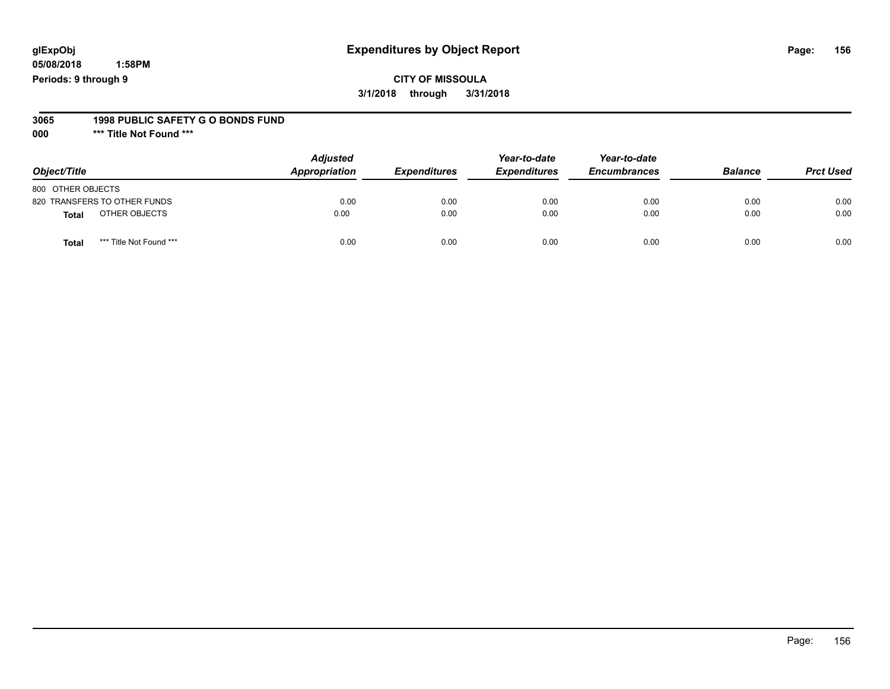### **CITY OF MISSOULA 3/1/2018 through 3/31/2018**

#### **3065 1998 PUBLIC SAFETY G O BONDS FUND**

**000 \*\*\* Title Not Found \*\*\***

| Object/Title                            | <b>Adjusted</b><br>Appropriation | <b>Expenditures</b> | Year-to-date<br><b>Expenditures</b> | Year-to-date<br><b>Encumbrances</b> | <b>Balance</b> | <b>Prct Used</b> |
|-----------------------------------------|----------------------------------|---------------------|-------------------------------------|-------------------------------------|----------------|------------------|
| 800 OTHER OBJECTS                       |                                  |                     |                                     |                                     |                |                  |
| 820 TRANSFERS TO OTHER FUNDS            | 0.00                             | 0.00                | 0.00                                | 0.00                                | 0.00           | 0.00             |
| OTHER OBJECTS<br><b>Total</b>           | 0.00                             | 0.00                | 0.00                                | 0.00                                | 0.00           | 0.00             |
| *** Title Not Found ***<br><b>Total</b> | 0.00                             | 0.00                | 0.00                                | 0.00                                | 0.00           | 0.00             |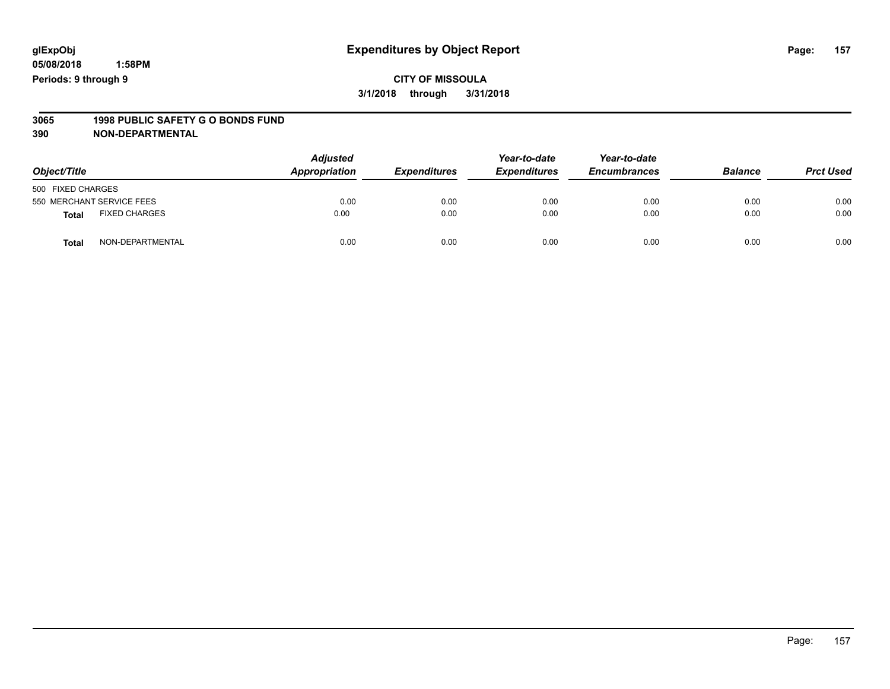# **CITY OF MISSOULA 3/1/2018 through 3/31/2018**

# **3065 1998 PUBLIC SAFETY G O BONDS FUND**

| Object/Title      |                           | <b>Adjusted</b><br>Appropriation | <b>Expenditures</b> | Year-to-date<br><b>Expenditures</b> | Year-to-date<br><b>Encumbrances</b> | <b>Balance</b> | <b>Prct Used</b> |
|-------------------|---------------------------|----------------------------------|---------------------|-------------------------------------|-------------------------------------|----------------|------------------|
| 500 FIXED CHARGES |                           |                                  |                     |                                     |                                     |                |                  |
|                   | 550 MERCHANT SERVICE FEES | 0.00                             | 0.00                | 0.00                                | 0.00                                | 0.00           | 0.00             |
| <b>Total</b>      | <b>FIXED CHARGES</b>      | 0.00                             | 0.00                | 0.00                                | 0.00                                | 0.00           | 0.00             |
| <b>Total</b>      | NON-DEPARTMENTAL          | 0.00                             | 0.00                | 0.00                                | 0.00                                | 0.00           | 0.00             |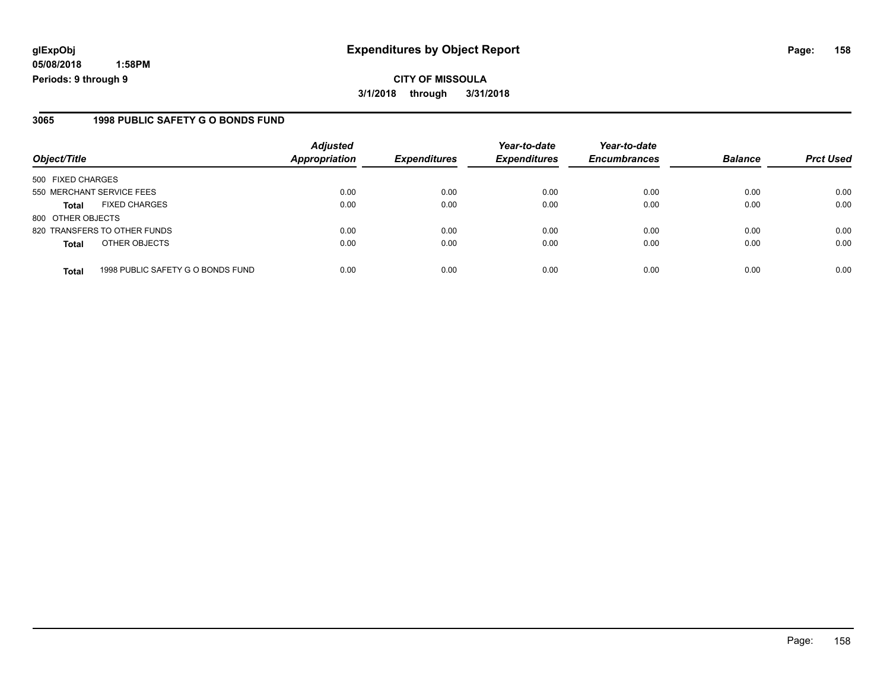### **3065 1998 PUBLIC SAFETY G O BONDS FUND**

| Object/Title              |                                   | <b>Adjusted</b><br><b>Appropriation</b> | <b>Expenditures</b> | Year-to-date<br><b>Expenditures</b> | Year-to-date<br><b>Encumbrances</b> | <b>Balance</b> | <b>Prct Used</b> |
|---------------------------|-----------------------------------|-----------------------------------------|---------------------|-------------------------------------|-------------------------------------|----------------|------------------|
|                           |                                   |                                         |                     |                                     |                                     |                |                  |
| 500 FIXED CHARGES         |                                   |                                         |                     |                                     |                                     |                |                  |
| 550 MERCHANT SERVICE FEES |                                   | 0.00                                    | 0.00                | 0.00                                | 0.00                                | 0.00           | 0.00             |
| <b>Total</b>              | <b>FIXED CHARGES</b>              | 0.00                                    | 0.00                | 0.00                                | 0.00                                | 0.00           | 0.00             |
| 800 OTHER OBJECTS         |                                   |                                         |                     |                                     |                                     |                |                  |
|                           | 820 TRANSFERS TO OTHER FUNDS      | 0.00                                    | 0.00                | 0.00                                | 0.00                                | 0.00           | 0.00             |
| <b>Total</b>              | OTHER OBJECTS                     | 0.00                                    | 0.00                | 0.00                                | 0.00                                | 0.00           | 0.00             |
| <b>Total</b>              | 1998 PUBLIC SAFETY G O BONDS FUND | 0.00                                    | 0.00                | 0.00                                | 0.00                                | 0.00           | 0.00             |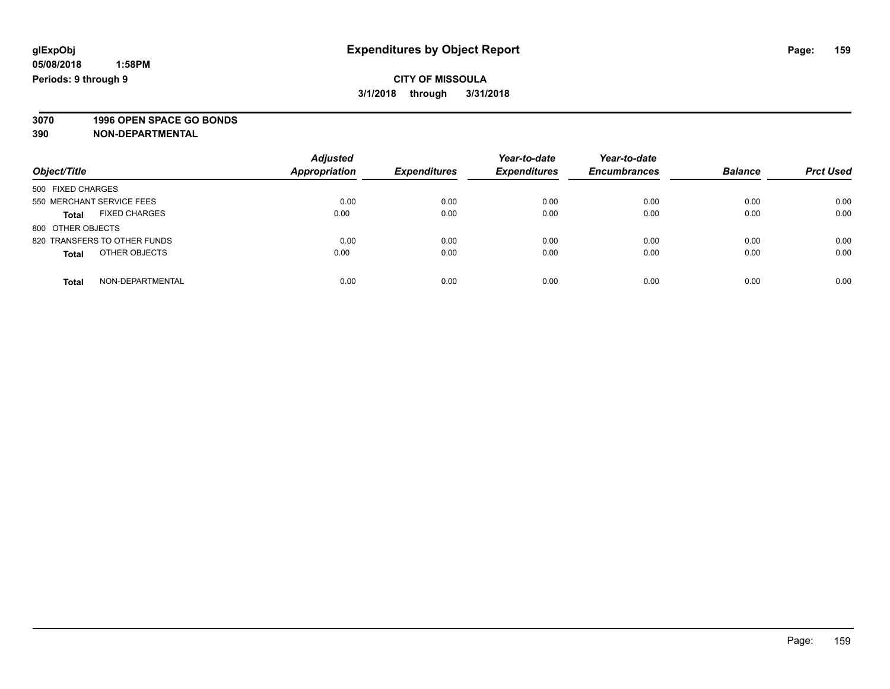**3070 1996 OPEN SPACE GO BONDS**

|                                      | <b>Adjusted</b><br><b>Appropriation</b> |                     | Year-to-date<br><b>Expenditures</b> | Year-to-date<br><b>Encumbrances</b> | <b>Balance</b> |                  |
|--------------------------------------|-----------------------------------------|---------------------|-------------------------------------|-------------------------------------|----------------|------------------|
| Object/Title                         |                                         | <b>Expenditures</b> |                                     |                                     |                | <b>Prct Used</b> |
| 500 FIXED CHARGES                    |                                         |                     |                                     |                                     |                |                  |
| 550 MERCHANT SERVICE FEES            | 0.00                                    | 0.00                | 0.00                                | 0.00                                | 0.00           | 0.00             |
| <b>FIXED CHARGES</b><br><b>Total</b> | 0.00                                    | 0.00                | 0.00                                | 0.00                                | 0.00           | 0.00             |
| 800 OTHER OBJECTS                    |                                         |                     |                                     |                                     |                |                  |
| 820 TRANSFERS TO OTHER FUNDS         | 0.00                                    | 0.00                | 0.00                                | 0.00                                | 0.00           | 0.00             |
| OTHER OBJECTS<br><b>Total</b>        | 0.00                                    | 0.00                | 0.00                                | 0.00                                | 0.00           | 0.00             |
| NON-DEPARTMENTAL<br><b>Total</b>     | 0.00                                    | 0.00                | 0.00                                | 0.00                                | 0.00           | 0.00             |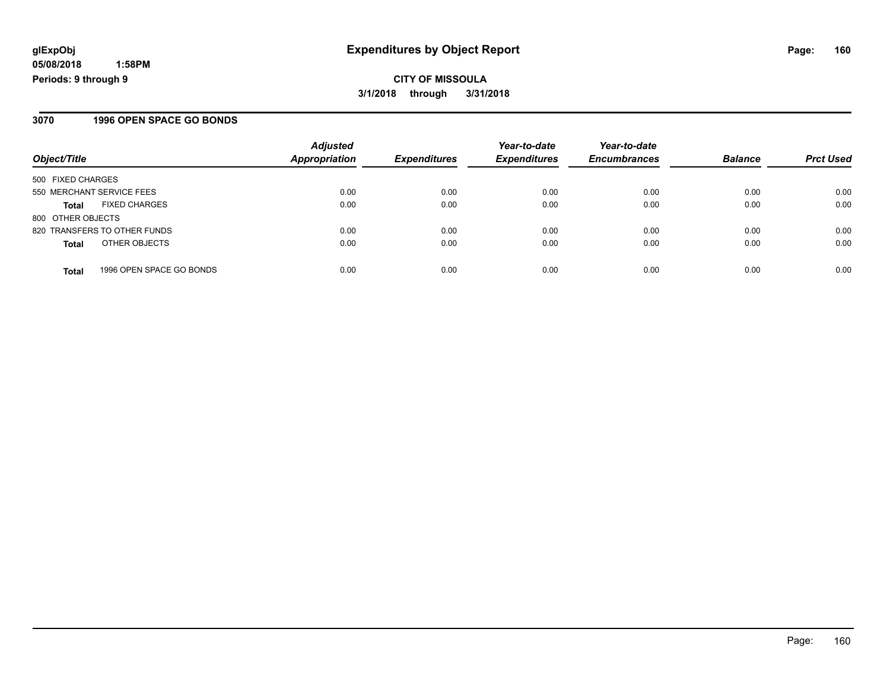**CITY OF MISSOULA 3/1/2018 through 3/31/2018**

### **3070 1996 OPEN SPACE GO BONDS**

|                                          | <b>Adjusted</b>      |                     | Year-to-date        | Year-to-date        |                |                  |
|------------------------------------------|----------------------|---------------------|---------------------|---------------------|----------------|------------------|
| Object/Title                             | <b>Appropriation</b> | <b>Expenditures</b> | <b>Expenditures</b> | <b>Encumbrances</b> | <b>Balance</b> | <b>Prct Used</b> |
| 500 FIXED CHARGES                        |                      |                     |                     |                     |                |                  |
| 550 MERCHANT SERVICE FEES                | 0.00                 | 0.00                | 0.00                | 0.00                | 0.00           | 0.00             |
| <b>FIXED CHARGES</b><br>Total            | 0.00                 | 0.00                | 0.00                | 0.00                | 0.00           | 0.00             |
| 800 OTHER OBJECTS                        |                      |                     |                     |                     |                |                  |
| 820 TRANSFERS TO OTHER FUNDS             | 0.00                 | 0.00                | 0.00                | 0.00                | 0.00           | 0.00             |
| OTHER OBJECTS<br><b>Total</b>            | 0.00                 | 0.00                | 0.00                | 0.00                | 0.00           | 0.00             |
| 1996 OPEN SPACE GO BONDS<br><b>Total</b> | 0.00                 | 0.00                | 0.00                | 0.00                | 0.00           | 0.00             |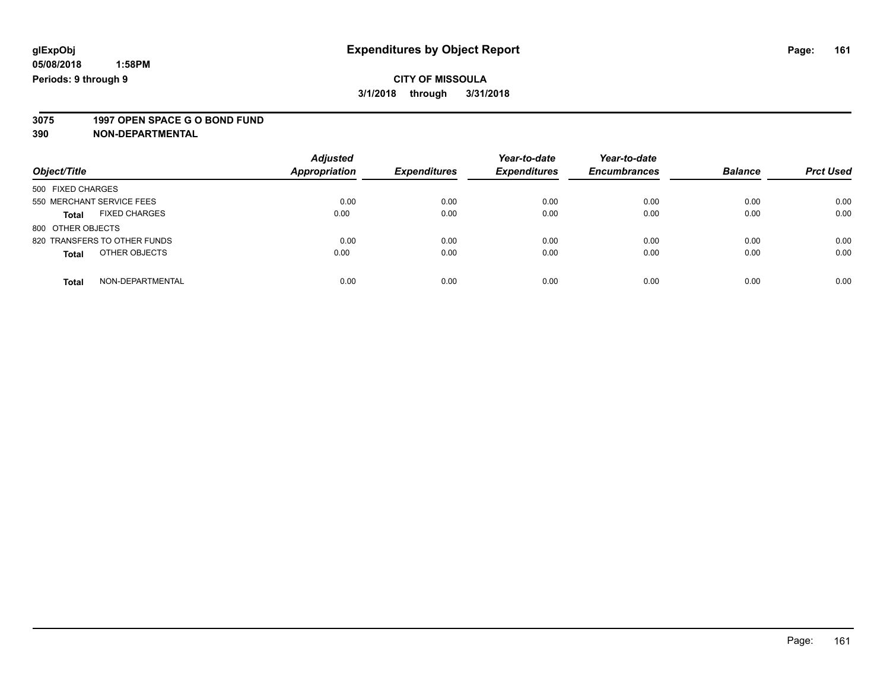# **3075 1997 OPEN SPACE G O BOND FUND**

| Object/Title                         | <b>Adjusted</b><br><b>Appropriation</b> | <b>Expenditures</b> | Year-to-date<br><b>Expenditures</b> | Year-to-date<br><b>Encumbrances</b> | <b>Balance</b> | <b>Prct Used</b> |
|--------------------------------------|-----------------------------------------|---------------------|-------------------------------------|-------------------------------------|----------------|------------------|
| 500 FIXED CHARGES                    |                                         |                     |                                     |                                     |                |                  |
| 550 MERCHANT SERVICE FEES            | 0.00                                    | 0.00                | 0.00                                | 0.00                                | 0.00           | 0.00             |
| <b>FIXED CHARGES</b><br><b>Total</b> | 0.00                                    | 0.00                | 0.00                                | 0.00                                | 0.00           | 0.00             |
| 800 OTHER OBJECTS                    |                                         |                     |                                     |                                     |                |                  |
| 820 TRANSFERS TO OTHER FUNDS         | 0.00                                    | 0.00                | 0.00                                | 0.00                                | 0.00           | 0.00             |
| OTHER OBJECTS<br><b>Total</b>        | 0.00                                    | 0.00                | 0.00                                | 0.00                                | 0.00           | 0.00             |
| NON-DEPARTMENTAL<br>Total            | 0.00                                    | 0.00                | 0.00                                | 0.00                                | 0.00           | 0.00             |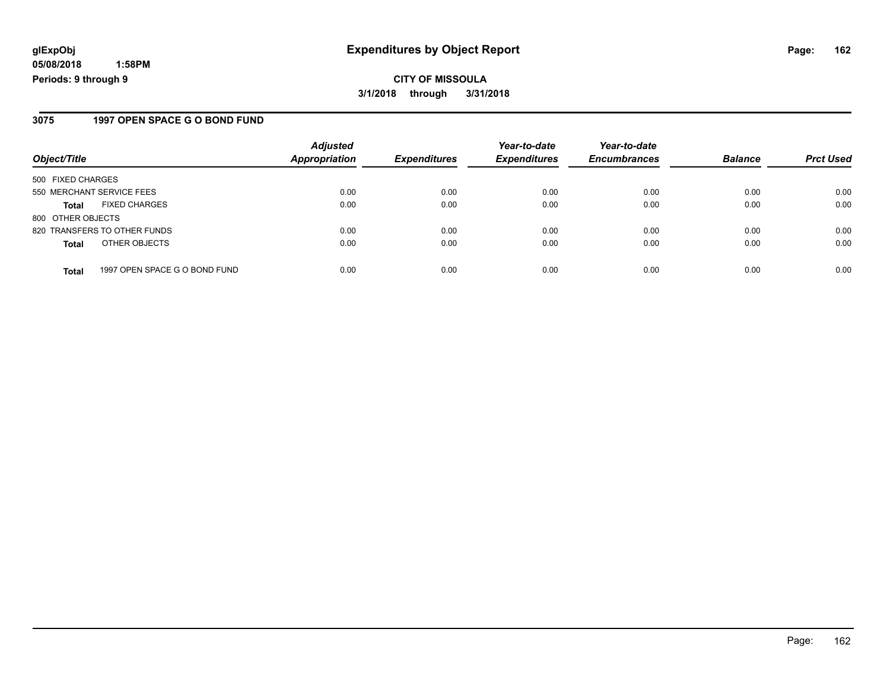### **3075 1997 OPEN SPACE G O BOND FUND**

| Object/Title              |                               | <b>Adjusted</b>      | <b>Expenditures</b> | Year-to-date<br><b>Expenditures</b> | Year-to-date<br><b>Encumbrances</b> | <b>Balance</b> | <b>Prct Used</b> |
|---------------------------|-------------------------------|----------------------|---------------------|-------------------------------------|-------------------------------------|----------------|------------------|
|                           |                               | <b>Appropriation</b> |                     |                                     |                                     |                |                  |
| 500 FIXED CHARGES         |                               |                      |                     |                                     |                                     |                |                  |
| 550 MERCHANT SERVICE FEES |                               | 0.00                 | 0.00                | 0.00                                | 0.00                                | 0.00           | 0.00             |
| <b>Total</b>              | <b>FIXED CHARGES</b>          | 0.00                 | 0.00                | 0.00                                | 0.00                                | 0.00           | 0.00             |
| 800 OTHER OBJECTS         |                               |                      |                     |                                     |                                     |                |                  |
|                           | 820 TRANSFERS TO OTHER FUNDS  | 0.00                 | 0.00                | 0.00                                | 0.00                                | 0.00           | 0.00             |
| <b>Total</b>              | OTHER OBJECTS                 | 0.00                 | 0.00                | 0.00                                | 0.00                                | 0.00           | 0.00             |
| <b>Total</b>              | 1997 OPEN SPACE G O BOND FUND | 0.00                 | 0.00                | 0.00                                | 0.00                                | 0.00           | 0.00             |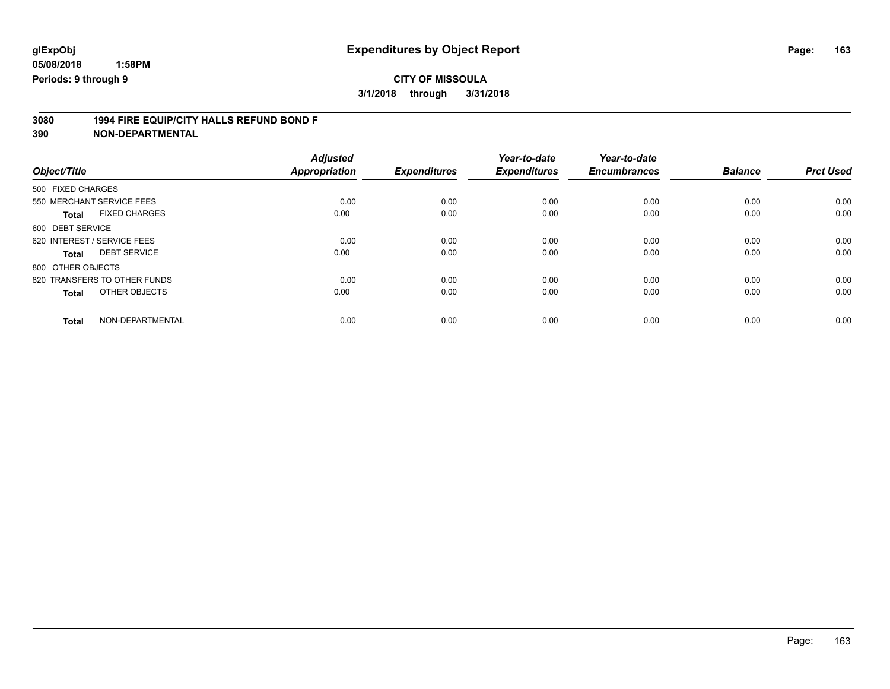# **CITY OF MISSOULA**

**3/1/2018 through 3/31/2018**

# **3080 1994 FIRE EQUIP/CITY HALLS REFUND BOND F**

|                                      | <b>Adjusted</b>      |                     | Year-to-date        | Year-to-date        |                |                  |
|--------------------------------------|----------------------|---------------------|---------------------|---------------------|----------------|------------------|
| Object/Title                         | <b>Appropriation</b> | <b>Expenditures</b> | <b>Expenditures</b> | <b>Encumbrances</b> | <b>Balance</b> | <b>Prct Used</b> |
| 500 FIXED CHARGES                    |                      |                     |                     |                     |                |                  |
| 550 MERCHANT SERVICE FEES            | 0.00                 | 0.00                | 0.00                | 0.00                | 0.00           | 0.00             |
| <b>FIXED CHARGES</b><br><b>Total</b> | 0.00                 | 0.00                | 0.00                | 0.00                | 0.00           | 0.00             |
| 600 DEBT SERVICE                     |                      |                     |                     |                     |                |                  |
| 620 INTEREST / SERVICE FEES          | 0.00                 | 0.00                | 0.00                | 0.00                | 0.00           | 0.00             |
| <b>DEBT SERVICE</b><br>Total         | 0.00                 | 0.00                | 0.00                | 0.00                | 0.00           | 0.00             |
| 800 OTHER OBJECTS                    |                      |                     |                     |                     |                |                  |
| 820 TRANSFERS TO OTHER FUNDS         | 0.00                 | 0.00                | 0.00                | 0.00                | 0.00           | 0.00             |
| OTHER OBJECTS<br><b>Total</b>        | 0.00                 | 0.00                | 0.00                | 0.00                | 0.00           | 0.00             |
|                                      |                      |                     |                     |                     |                |                  |
| NON-DEPARTMENTAL<br><b>Total</b>     | 0.00                 | 0.00                | 0.00                | 0.00                | 0.00           | 0.00             |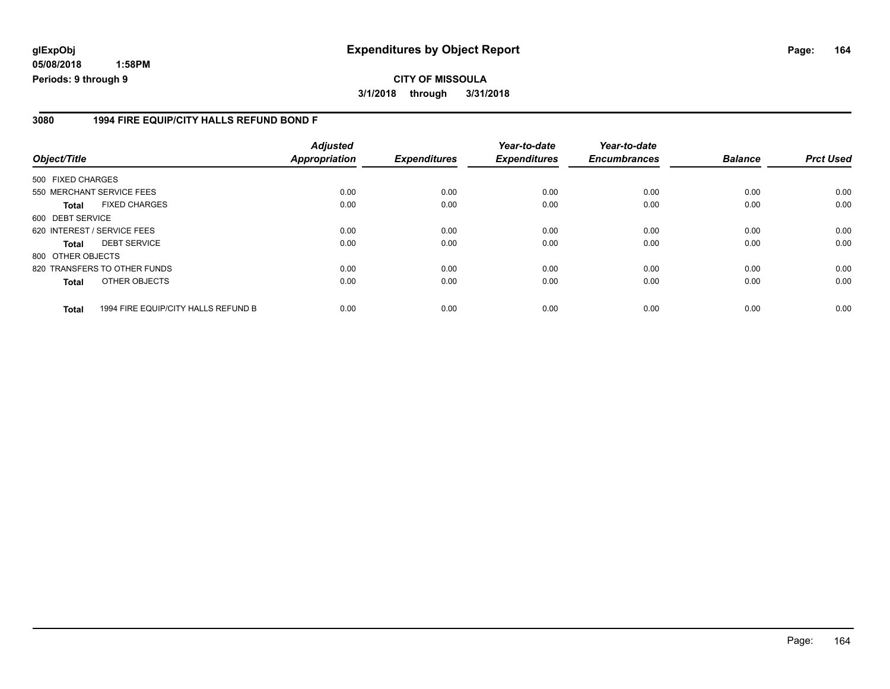### **3080 1994 FIRE EQUIP/CITY HALLS REFUND BOND F**

| Object/Title      |                                     | <b>Adjusted</b><br><b>Appropriation</b> | <b>Expenditures</b> | Year-to-date<br><b>Expenditures</b> | Year-to-date<br><b>Encumbrances</b> | <b>Balance</b> | <b>Prct Used</b> |
|-------------------|-------------------------------------|-----------------------------------------|---------------------|-------------------------------------|-------------------------------------|----------------|------------------|
| 500 FIXED CHARGES |                                     |                                         |                     |                                     |                                     |                |                  |
|                   | 550 MERCHANT SERVICE FEES           | 0.00                                    | 0.00                | 0.00                                | 0.00                                | 0.00           | 0.00             |
| Total             | <b>FIXED CHARGES</b>                | 0.00                                    | 0.00                | 0.00                                | 0.00                                | 0.00           | 0.00             |
| 600 DEBT SERVICE  |                                     |                                         |                     |                                     |                                     |                |                  |
|                   | 620 INTEREST / SERVICE FEES         | 0.00                                    | 0.00                | 0.00                                | 0.00                                | 0.00           | 0.00             |
| Total             | <b>DEBT SERVICE</b>                 | 0.00                                    | 0.00                | 0.00                                | 0.00                                | 0.00           | 0.00             |
| 800 OTHER OBJECTS |                                     |                                         |                     |                                     |                                     |                |                  |
|                   | 820 TRANSFERS TO OTHER FUNDS        | 0.00                                    | 0.00                | 0.00                                | 0.00                                | 0.00           | 0.00             |
| <b>Total</b>      | OTHER OBJECTS                       | 0.00                                    | 0.00                | 0.00                                | 0.00                                | 0.00           | 0.00             |
| <b>Total</b>      | 1994 FIRE EQUIP/CITY HALLS REFUND B | 0.00                                    | 0.00                | 0.00                                | 0.00                                | 0.00           | 0.00             |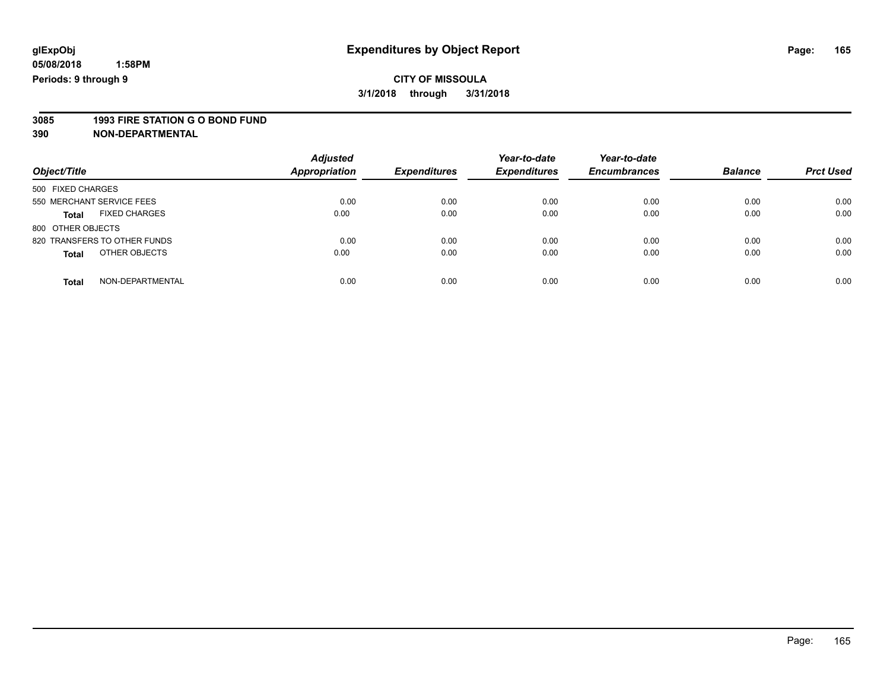# **3085 1993 FIRE STATION G O BOND FUND**

| Object/Title                         | <b>Adjusted</b><br>Appropriation | <b>Expenditures</b> | Year-to-date<br><b>Expenditures</b> | Year-to-date<br><b>Encumbrances</b> | <b>Balance</b> | <b>Prct Used</b> |
|--------------------------------------|----------------------------------|---------------------|-------------------------------------|-------------------------------------|----------------|------------------|
| 500 FIXED CHARGES                    |                                  |                     |                                     |                                     |                |                  |
| 550 MERCHANT SERVICE FEES            | 0.00                             | 0.00                | 0.00                                | 0.00                                | 0.00           | 0.00             |
| <b>FIXED CHARGES</b><br><b>Total</b> | 0.00                             | 0.00                | 0.00                                | 0.00                                | 0.00           | 0.00             |
| 800 OTHER OBJECTS                    |                                  |                     |                                     |                                     |                |                  |
| 820 TRANSFERS TO OTHER FUNDS         | 0.00                             | 0.00                | 0.00                                | 0.00                                | 0.00           | 0.00             |
| OTHER OBJECTS<br><b>Total</b>        | 0.00                             | 0.00                | 0.00                                | 0.00                                | 0.00           | 0.00             |
| NON-DEPARTMENTAL<br><b>Total</b>     | 0.00                             | 0.00                | 0.00                                | 0.00                                | 0.00           | 0.00             |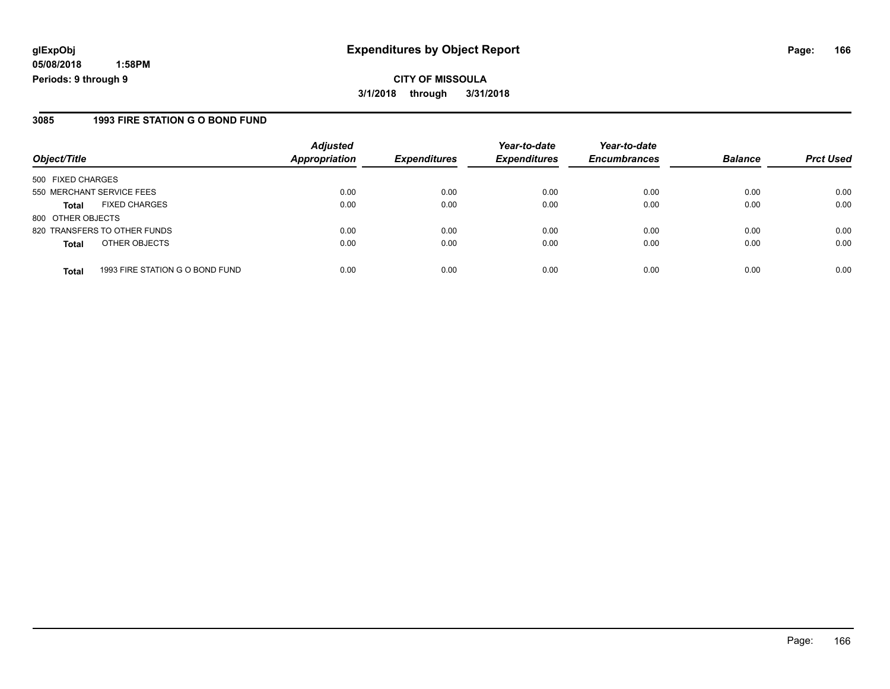### **3085 1993 FIRE STATION G O BOND FUND**

|                           |                                 | <b>Adjusted</b>      |                     | Year-to-date        | Year-to-date        |                |                  |
|---------------------------|---------------------------------|----------------------|---------------------|---------------------|---------------------|----------------|------------------|
| Object/Title              |                                 | <b>Appropriation</b> | <b>Expenditures</b> | <b>Expenditures</b> | <b>Encumbrances</b> | <b>Balance</b> | <b>Prct Used</b> |
| 500 FIXED CHARGES         |                                 |                      |                     |                     |                     |                |                  |
| 550 MERCHANT SERVICE FEES |                                 | 0.00                 | 0.00                | 0.00                | 0.00                | 0.00           | 0.00             |
| <b>Total</b>              | <b>FIXED CHARGES</b>            | 0.00                 | 0.00                | 0.00                | 0.00                | 0.00           | 0.00             |
| 800 OTHER OBJECTS         |                                 |                      |                     |                     |                     |                |                  |
|                           | 820 TRANSFERS TO OTHER FUNDS    | 0.00                 | 0.00                | 0.00                | 0.00                | 0.00           | 0.00             |
| <b>Total</b>              | OTHER OBJECTS                   | 0.00                 | 0.00                | 0.00                | 0.00                | 0.00           | 0.00             |
| <b>Total</b>              | 1993 FIRE STATION G O BOND FUND | 0.00                 | 0.00                | 0.00                | 0.00                | 0.00           | 0.00             |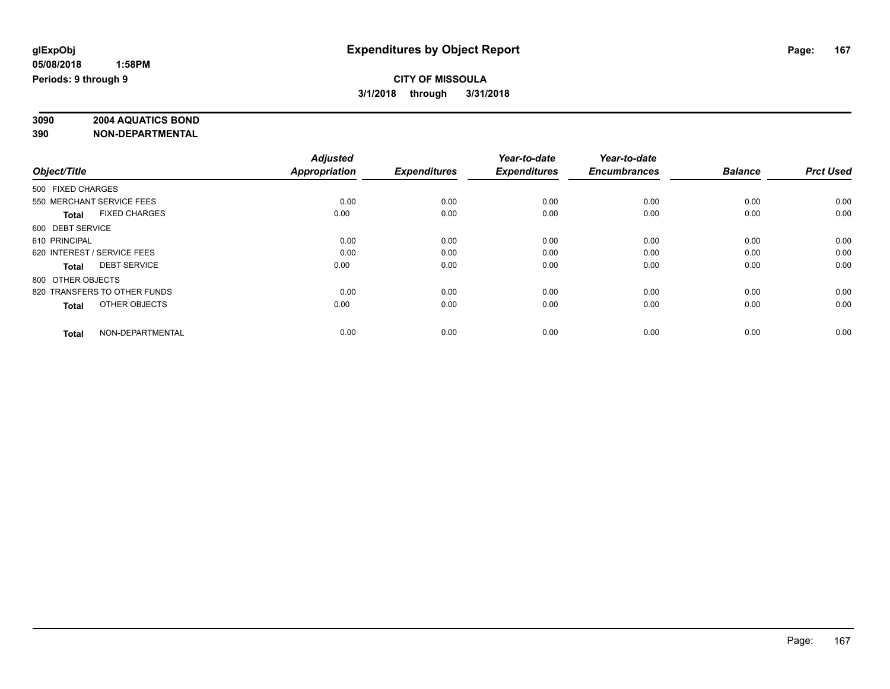# **3090 2004 AQUATICS BOND**

|                                      | <b>Adjusted</b><br>Appropriation | <b>Expenditures</b> | Year-to-date<br><b>Expenditures</b> | Year-to-date<br><b>Encumbrances</b> | <b>Balance</b> | <b>Prct Used</b> |
|--------------------------------------|----------------------------------|---------------------|-------------------------------------|-------------------------------------|----------------|------------------|
| Object/Title                         |                                  |                     |                                     |                                     |                |                  |
| 500 FIXED CHARGES                    |                                  |                     |                                     |                                     |                |                  |
| 550 MERCHANT SERVICE FEES            | 0.00                             | 0.00                | 0.00                                | 0.00                                | 0.00           | 0.00             |
| <b>FIXED CHARGES</b><br><b>Total</b> | 0.00                             | 0.00                | 0.00                                | 0.00                                | 0.00           | 0.00             |
| 600 DEBT SERVICE                     |                                  |                     |                                     |                                     |                |                  |
| 610 PRINCIPAL                        | 0.00                             | 0.00                | 0.00                                | 0.00                                | 0.00           | 0.00             |
| 620 INTEREST / SERVICE FEES          | 0.00                             | 0.00                | 0.00                                | 0.00                                | 0.00           | 0.00             |
| <b>DEBT SERVICE</b><br><b>Total</b>  | 0.00                             | 0.00                | 0.00                                | 0.00                                | 0.00           | 0.00             |
| 800 OTHER OBJECTS                    |                                  |                     |                                     |                                     |                |                  |
| 820 TRANSFERS TO OTHER FUNDS         | 0.00                             | 0.00                | 0.00                                | 0.00                                | 0.00           | 0.00             |
| OTHER OBJECTS<br><b>Total</b>        | 0.00                             | 0.00                | 0.00                                | 0.00                                | 0.00           | 0.00             |
|                                      |                                  |                     |                                     |                                     |                |                  |
| NON-DEPARTMENTAL<br><b>Total</b>     | 0.00                             | 0.00                | 0.00                                | 0.00                                | 0.00           | 0.00             |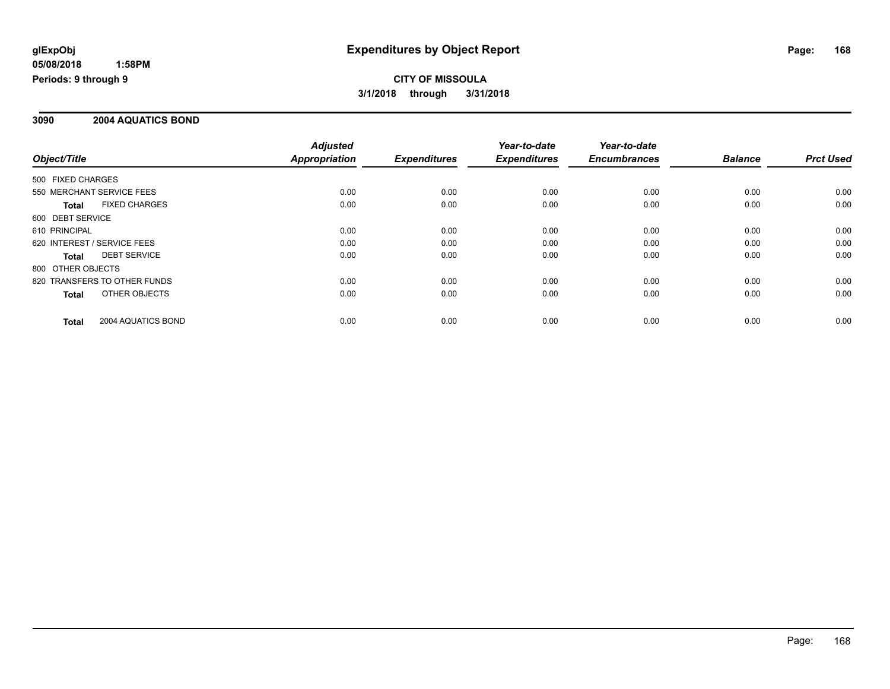### **3090 2004 AQUATICS BOND**

|                                    |  | <b>Adjusted</b> |                     | Year-to-date        | Year-to-date        |                |                  |
|------------------------------------|--|-----------------|---------------------|---------------------|---------------------|----------------|------------------|
| Object/Title                       |  | Appropriation   | <b>Expenditures</b> | <b>Expenditures</b> | <b>Encumbrances</b> | <b>Balance</b> | <b>Prct Used</b> |
| 500 FIXED CHARGES                  |  |                 |                     |                     |                     |                |                  |
| 550 MERCHANT SERVICE FEES          |  | 0.00            | 0.00                | 0.00                | 0.00                | 0.00           | 0.00             |
| <b>FIXED CHARGES</b><br>Total      |  | 0.00            | 0.00                | 0.00                | 0.00                | 0.00           | 0.00             |
| 600 DEBT SERVICE                   |  |                 |                     |                     |                     |                |                  |
| 610 PRINCIPAL                      |  | 0.00            | 0.00                | 0.00                | 0.00                | 0.00           | 0.00             |
| 620 INTEREST / SERVICE FEES        |  | 0.00            | 0.00                | 0.00                | 0.00                | 0.00           | 0.00             |
| <b>DEBT SERVICE</b><br>Total       |  | 0.00            | 0.00                | 0.00                | 0.00                | 0.00           | 0.00             |
| 800 OTHER OBJECTS                  |  |                 |                     |                     |                     |                |                  |
| 820 TRANSFERS TO OTHER FUNDS       |  | 0.00            | 0.00                | 0.00                | 0.00                | 0.00           | 0.00             |
| OTHER OBJECTS<br>Total             |  | 0.00            | 0.00                | 0.00                | 0.00                | 0.00           | 0.00             |
| 2004 AQUATICS BOND<br><b>Total</b> |  | 0.00            | 0.00                | 0.00                | 0.00                | 0.00           | 0.00             |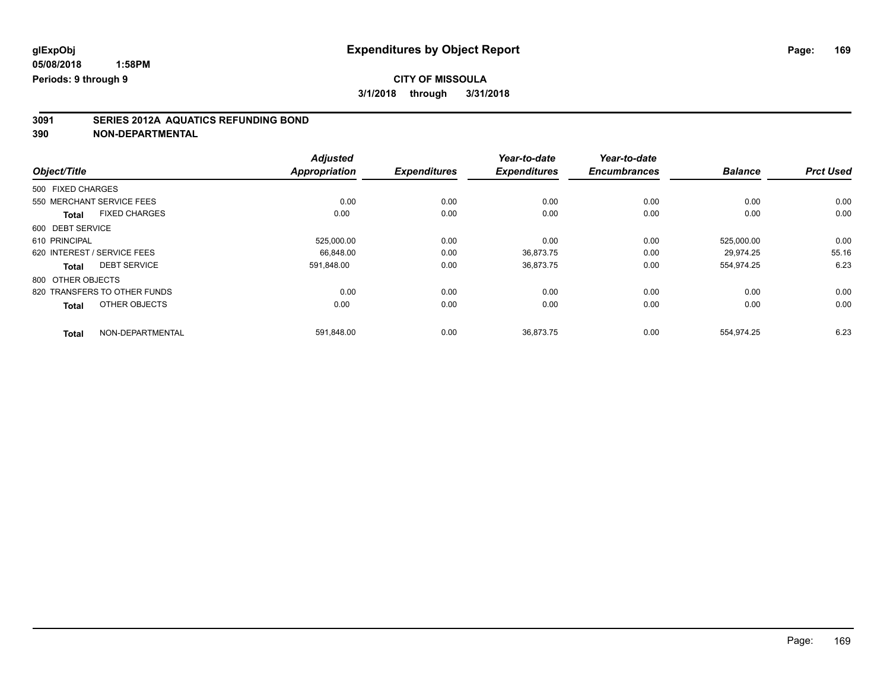# **CITY OF MISSOULA**

**3/1/2018 through 3/31/2018**

# **3091 SERIES 2012A AQUATICS REFUNDING BOND**

|                   |                              | <b>Adjusted</b>      |                     | Year-to-date        | Year-to-date        |                |                  |
|-------------------|------------------------------|----------------------|---------------------|---------------------|---------------------|----------------|------------------|
| Object/Title      |                              | <b>Appropriation</b> | <b>Expenditures</b> | <b>Expenditures</b> | <b>Encumbrances</b> | <b>Balance</b> | <b>Prct Used</b> |
| 500 FIXED CHARGES |                              |                      |                     |                     |                     |                |                  |
|                   | 550 MERCHANT SERVICE FEES    | 0.00                 | 0.00                | 0.00                | 0.00                | 0.00           | 0.00             |
| <b>Total</b>      | <b>FIXED CHARGES</b>         | 0.00                 | 0.00                | 0.00                | 0.00                | 0.00           | 0.00             |
| 600 DEBT SERVICE  |                              |                      |                     |                     |                     |                |                  |
| 610 PRINCIPAL     |                              | 525,000.00           | 0.00                | 0.00                | 0.00                | 525,000.00     | 0.00             |
|                   | 620 INTEREST / SERVICE FEES  | 66.848.00            | 0.00                | 36,873.75           | 0.00                | 29.974.25      | 55.16            |
| Total             | <b>DEBT SERVICE</b>          | 591,848.00           | 0.00                | 36,873.75           | 0.00                | 554,974.25     | 6.23             |
| 800 OTHER OBJECTS |                              |                      |                     |                     |                     |                |                  |
|                   | 820 TRANSFERS TO OTHER FUNDS | 0.00                 | 0.00                | 0.00                | 0.00                | 0.00           | 0.00             |
| <b>Total</b>      | OTHER OBJECTS                | 0.00                 | 0.00                | 0.00                | 0.00                | 0.00           | 0.00             |
| <b>Total</b>      | NON-DEPARTMENTAL             | 591,848.00           | 0.00                | 36,873.75           | 0.00                | 554,974.25     | 6.23             |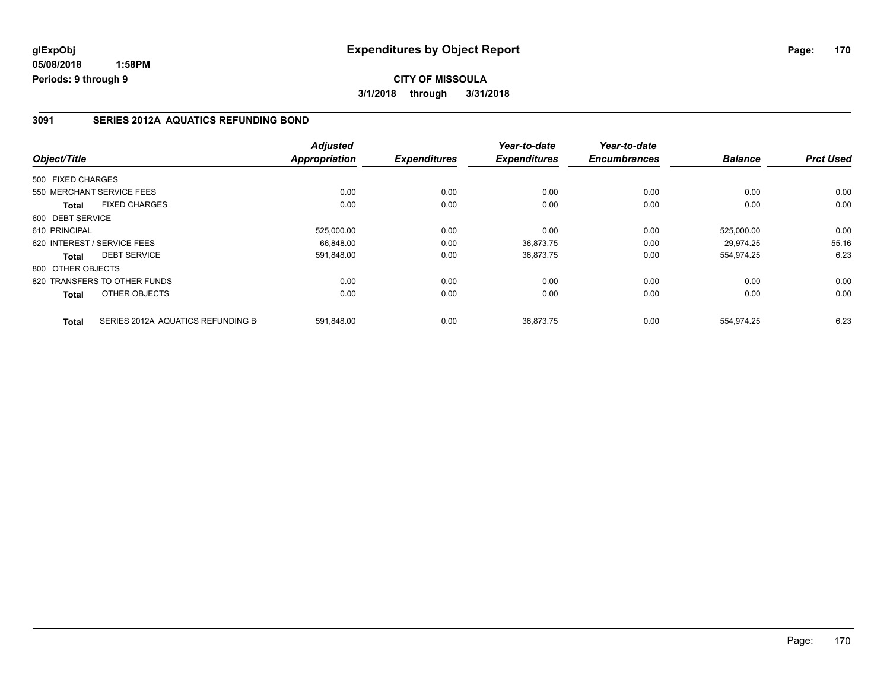### **3091 SERIES 2012A AQUATICS REFUNDING BOND**

|                                      |                                   | <b>Adjusted</b>      |                     | Year-to-date        | Year-to-date        |                |                  |
|--------------------------------------|-----------------------------------|----------------------|---------------------|---------------------|---------------------|----------------|------------------|
| Object/Title                         |                                   | <b>Appropriation</b> | <b>Expenditures</b> | <b>Expenditures</b> | <b>Encumbrances</b> | <b>Balance</b> | <b>Prct Used</b> |
| 500 FIXED CHARGES                    |                                   |                      |                     |                     |                     |                |                  |
| 550 MERCHANT SERVICE FEES            |                                   | 0.00                 | 0.00                | 0.00                | 0.00                | 0.00           | 0.00             |
| <b>FIXED CHARGES</b><br><b>Total</b> |                                   | 0.00                 | 0.00                | 0.00                | 0.00                | 0.00           | 0.00             |
| 600 DEBT SERVICE                     |                                   |                      |                     |                     |                     |                |                  |
| 610 PRINCIPAL                        |                                   | 525,000.00           | 0.00                | 0.00                | 0.00                | 525.000.00     | 0.00             |
| 620 INTEREST / SERVICE FEES          |                                   | 66.848.00            | 0.00                | 36,873.75           | 0.00                | 29.974.25      | 55.16            |
| <b>DEBT SERVICE</b><br>Total         |                                   | 591,848.00           | 0.00                | 36,873.75           | 0.00                | 554,974.25     | 6.23             |
| 800 OTHER OBJECTS                    |                                   |                      |                     |                     |                     |                |                  |
| 820 TRANSFERS TO OTHER FUNDS         |                                   | 0.00                 | 0.00                | 0.00                | 0.00                | 0.00           | 0.00             |
| OTHER OBJECTS<br>Total               |                                   | 0.00                 | 0.00                | 0.00                | 0.00                | 0.00           | 0.00             |
| <b>Total</b>                         | SERIES 2012A AQUATICS REFUNDING B | 591,848.00           | 0.00                | 36.873.75           | 0.00                | 554,974.25     | 6.23             |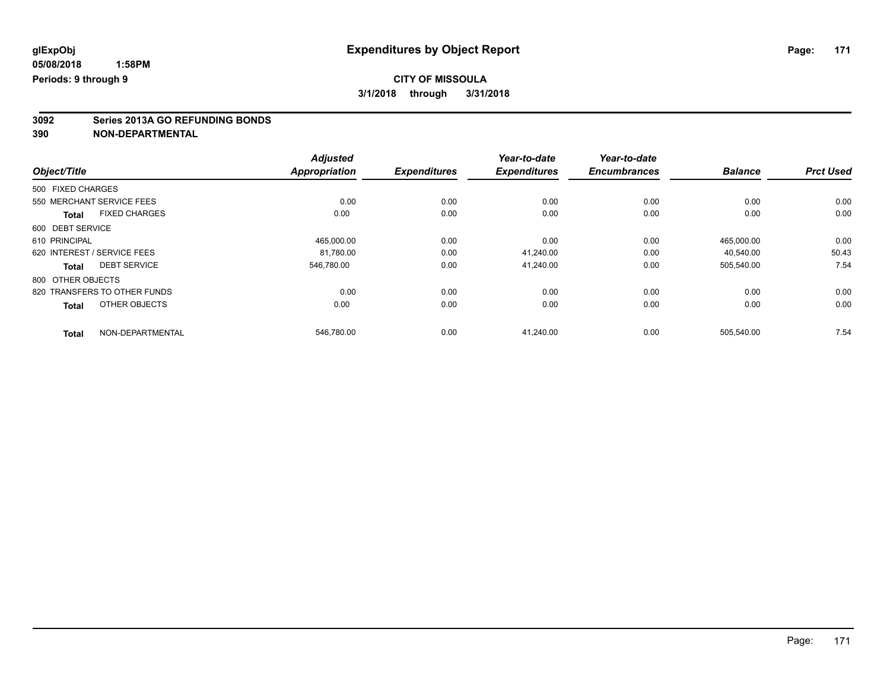# **3092 Series 2013A GO REFUNDING BONDS**

|                                      | <b>Adjusted</b>      |                     | Year-to-date        | Year-to-date        |                |                  |
|--------------------------------------|----------------------|---------------------|---------------------|---------------------|----------------|------------------|
| Object/Title                         | <b>Appropriation</b> | <b>Expenditures</b> | <b>Expenditures</b> | <b>Encumbrances</b> | <b>Balance</b> | <b>Prct Used</b> |
| 500 FIXED CHARGES                    |                      |                     |                     |                     |                |                  |
| 550 MERCHANT SERVICE FEES            | 0.00                 | 0.00                | 0.00                | 0.00                | 0.00           | 0.00             |
| <b>FIXED CHARGES</b><br><b>Total</b> | 0.00                 | 0.00                | 0.00                | 0.00                | 0.00           | 0.00             |
| 600 DEBT SERVICE                     |                      |                     |                     |                     |                |                  |
| 610 PRINCIPAL                        | 465,000.00           | 0.00                | 0.00                | 0.00                | 465,000.00     | 0.00             |
| 620 INTEREST / SERVICE FEES          | 81.780.00            | 0.00                | 41.240.00           | 0.00                | 40.540.00      | 50.43            |
| <b>DEBT SERVICE</b><br><b>Total</b>  | 546,780.00           | 0.00                | 41,240.00           | 0.00                | 505,540.00     | 7.54             |
| 800 OTHER OBJECTS                    |                      |                     |                     |                     |                |                  |
| 820 TRANSFERS TO OTHER FUNDS         | 0.00                 | 0.00                | 0.00                | 0.00                | 0.00           | 0.00             |
| OTHER OBJECTS<br><b>Total</b>        | 0.00                 | 0.00                | 0.00                | 0.00                | 0.00           | 0.00             |
| NON-DEPARTMENTAL<br><b>Total</b>     | 546,780.00           | 0.00                | 41,240.00           | 0.00                | 505,540.00     | 7.54             |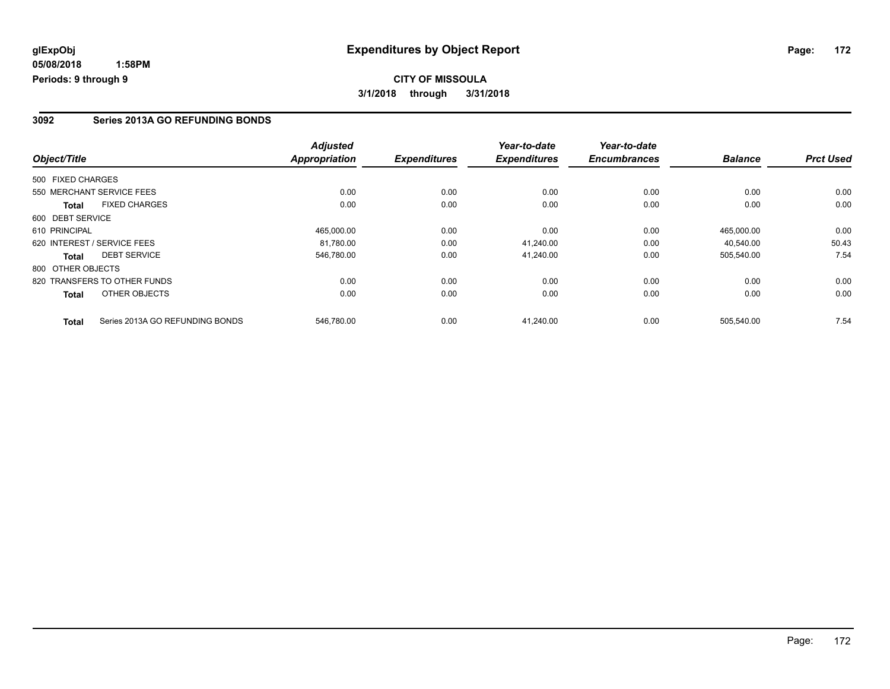### **3092 Series 2013A GO REFUNDING BONDS**

|                   |                                 | <b>Adjusted</b>      |                     | Year-to-date        | Year-to-date        |                |                  |
|-------------------|---------------------------------|----------------------|---------------------|---------------------|---------------------|----------------|------------------|
| Object/Title      |                                 | <b>Appropriation</b> | <b>Expenditures</b> | <b>Expenditures</b> | <b>Encumbrances</b> | <b>Balance</b> | <b>Prct Used</b> |
| 500 FIXED CHARGES |                                 |                      |                     |                     |                     |                |                  |
|                   | 550 MERCHANT SERVICE FEES       | 0.00                 | 0.00                | 0.00                | 0.00                | 0.00           | 0.00             |
| <b>Total</b>      | <b>FIXED CHARGES</b>            | 0.00                 | 0.00                | 0.00                | 0.00                | 0.00           | 0.00             |
| 600 DEBT SERVICE  |                                 |                      |                     |                     |                     |                |                  |
| 610 PRINCIPAL     |                                 | 465.000.00           | 0.00                | 0.00                | 0.00                | 465.000.00     | 0.00             |
|                   | 620 INTEREST / SERVICE FEES     | 81,780.00            | 0.00                | 41,240.00           | 0.00                | 40,540.00      | 50.43            |
| Total             | <b>DEBT SERVICE</b>             | 546.780.00           | 0.00                | 41.240.00           | 0.00                | 505,540.00     | 7.54             |
| 800 OTHER OBJECTS |                                 |                      |                     |                     |                     |                |                  |
|                   | 820 TRANSFERS TO OTHER FUNDS    | 0.00                 | 0.00                | 0.00                | 0.00                | 0.00           | 0.00             |
| <b>Total</b>      | OTHER OBJECTS                   | 0.00                 | 0.00                | 0.00                | 0.00                | 0.00           | 0.00             |
| <b>Total</b>      | Series 2013A GO REFUNDING BONDS | 546.780.00           | 0.00                | 41.240.00           | 0.00                | 505.540.00     | 7.54             |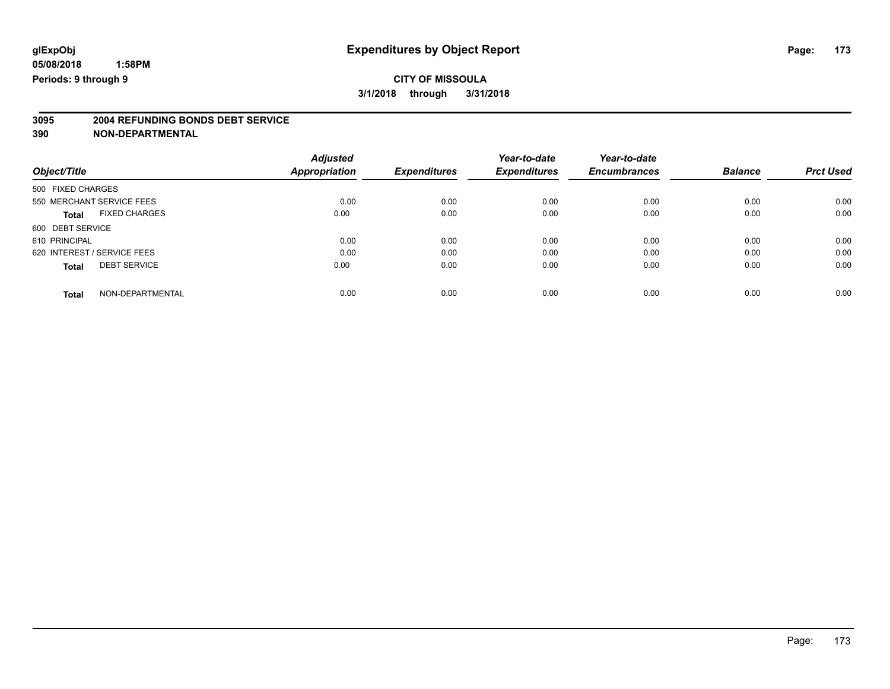# **3095 2004 REFUNDING BONDS DEBT SERVICE**

|                             |                      | <b>Adjusted</b>      |                     | Year-to-date        | Year-to-date        |                |                  |
|-----------------------------|----------------------|----------------------|---------------------|---------------------|---------------------|----------------|------------------|
| Object/Title                |                      | <b>Appropriation</b> | <b>Expenditures</b> | <b>Expenditures</b> | <b>Encumbrances</b> | <b>Balance</b> | <b>Prct Used</b> |
| 500 FIXED CHARGES           |                      |                      |                     |                     |                     |                |                  |
| 550 MERCHANT SERVICE FEES   |                      | 0.00                 | 0.00                | 0.00                | 0.00                | 0.00           | 0.00             |
| <b>Total</b>                | <b>FIXED CHARGES</b> | 0.00                 | 0.00                | 0.00                | 0.00                | 0.00           | 0.00             |
| 600 DEBT SERVICE            |                      |                      |                     |                     |                     |                |                  |
| 610 PRINCIPAL               |                      | 0.00                 | 0.00                | 0.00                | 0.00                | 0.00           | 0.00             |
| 620 INTEREST / SERVICE FEES |                      | 0.00                 | 0.00                | 0.00                | 0.00                | 0.00           | 0.00             |
| <b>Total</b>                | <b>DEBT SERVICE</b>  | 0.00                 | 0.00                | 0.00                | 0.00                | 0.00           | 0.00             |
| <b>Total</b>                | NON-DEPARTMENTAL     | 0.00                 | 0.00                | 0.00                | 0.00                | 0.00           | 0.00             |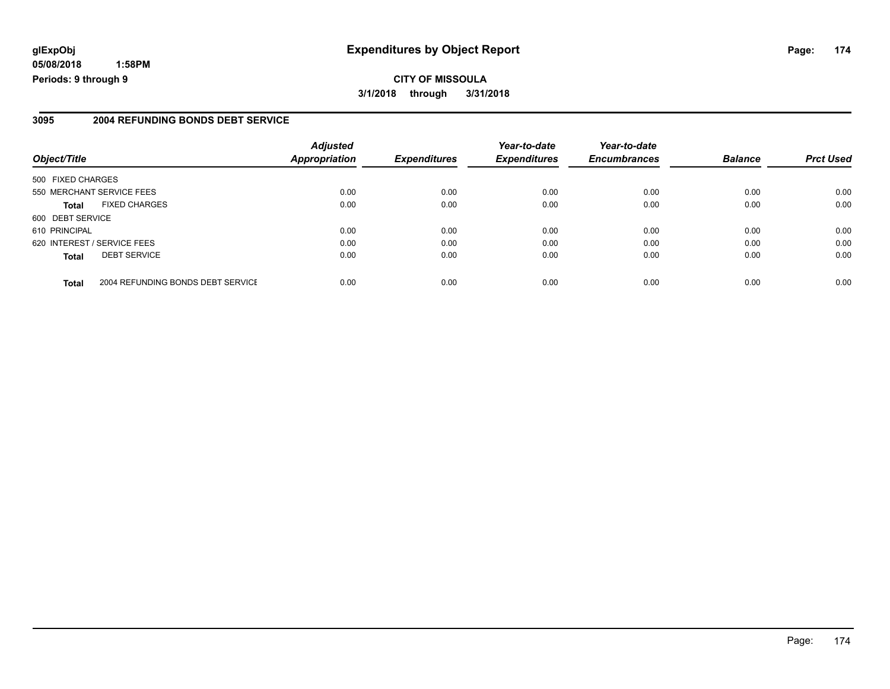### **glExpObj Expenditures by Object Report Page: 174**

**05/08/2018 1:58PM Periods: 9 through 9**

### **3095 2004 REFUNDING BONDS DEBT SERVICE**

| Object/Title      |                                   | <b>Adjusted</b><br>Appropriation | <b>Expenditures</b> | Year-to-date<br><b>Expenditures</b> | Year-to-date<br><b>Encumbrances</b> | <b>Balance</b> | <b>Prct Used</b> |
|-------------------|-----------------------------------|----------------------------------|---------------------|-------------------------------------|-------------------------------------|----------------|------------------|
|                   |                                   |                                  |                     |                                     |                                     |                |                  |
| 500 FIXED CHARGES |                                   |                                  |                     |                                     |                                     |                |                  |
|                   | 550 MERCHANT SERVICE FEES         | 0.00                             | 0.00                | 0.00                                | 0.00                                | 0.00           | 0.00             |
| <b>Total</b>      | <b>FIXED CHARGES</b>              | 0.00                             | 0.00                | 0.00                                | 0.00                                | 0.00           | 0.00             |
| 600 DEBT SERVICE  |                                   |                                  |                     |                                     |                                     |                |                  |
| 610 PRINCIPAL     |                                   | 0.00                             | 0.00                | 0.00                                | 0.00                                | 0.00           | 0.00             |
|                   | 620 INTEREST / SERVICE FEES       | 0.00                             | 0.00                | 0.00                                | 0.00                                | 0.00           | 0.00             |
| <b>Total</b>      | <b>DEBT SERVICE</b>               | 0.00                             | 0.00                | 0.00                                | 0.00                                | 0.00           | 0.00             |
| <b>Total</b>      | 2004 REFUNDING BONDS DEBT SERVICE | 0.00                             | 0.00                | 0.00                                | 0.00                                | 0.00           | 0.00             |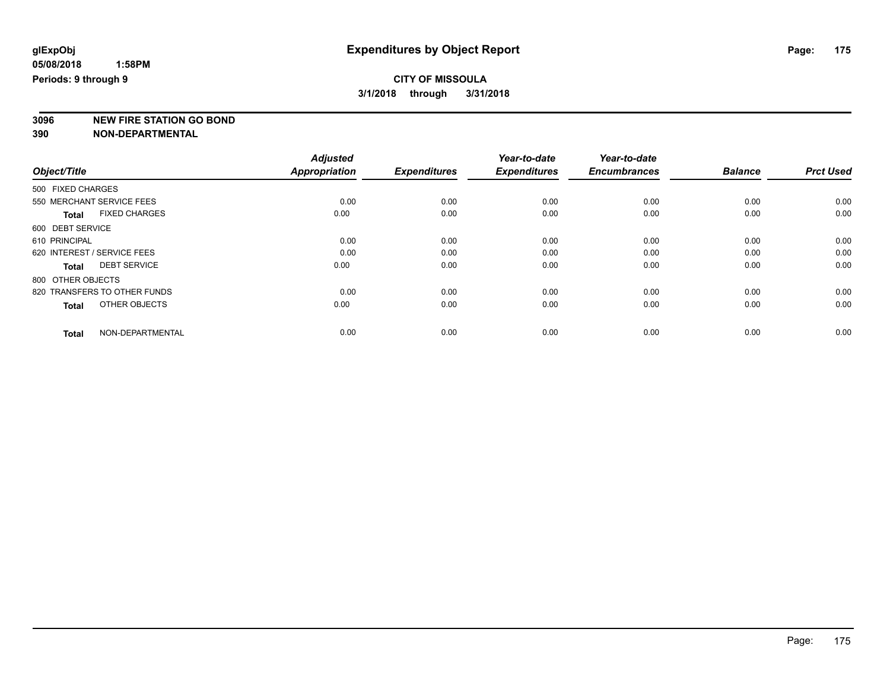**3096 NEW FIRE STATION GO BOND**

|                              | <b>Adjusted</b>      |                     | Year-to-date        | Year-to-date        |                |                  |
|------------------------------|----------------------|---------------------|---------------------|---------------------|----------------|------------------|
|                              | <b>Appropriation</b> | <b>Expenditures</b> | <b>Expenditures</b> | <b>Encumbrances</b> | <b>Balance</b> | <b>Prct Used</b> |
| 500 FIXED CHARGES            |                      |                     |                     |                     |                |                  |
| 550 MERCHANT SERVICE FEES    | 0.00                 | 0.00                | 0.00                | 0.00                | 0.00           | 0.00             |
| <b>FIXED CHARGES</b>         | 0.00                 | 0.00                | 0.00                | 0.00                | 0.00           | 0.00             |
| 600 DEBT SERVICE             |                      |                     |                     |                     |                |                  |
|                              | 0.00                 | 0.00                | 0.00                | 0.00                | 0.00           | 0.00             |
| 620 INTEREST / SERVICE FEES  | 0.00                 | 0.00                | 0.00                | 0.00                | 0.00           | 0.00             |
| <b>DEBT SERVICE</b>          | 0.00                 | 0.00                | 0.00                | 0.00                | 0.00           | 0.00             |
| 800 OTHER OBJECTS            |                      |                     |                     |                     |                |                  |
| 820 TRANSFERS TO OTHER FUNDS | 0.00                 | 0.00                | 0.00                | 0.00                | 0.00           | 0.00             |
| OTHER OBJECTS                | 0.00                 | 0.00                | 0.00                | 0.00                | 0.00           | 0.00             |
| NON-DEPARTMENTAL             | 0.00                 | 0.00                | 0.00                | 0.00                | 0.00           | 0.00             |
|                              |                      |                     |                     |                     |                |                  |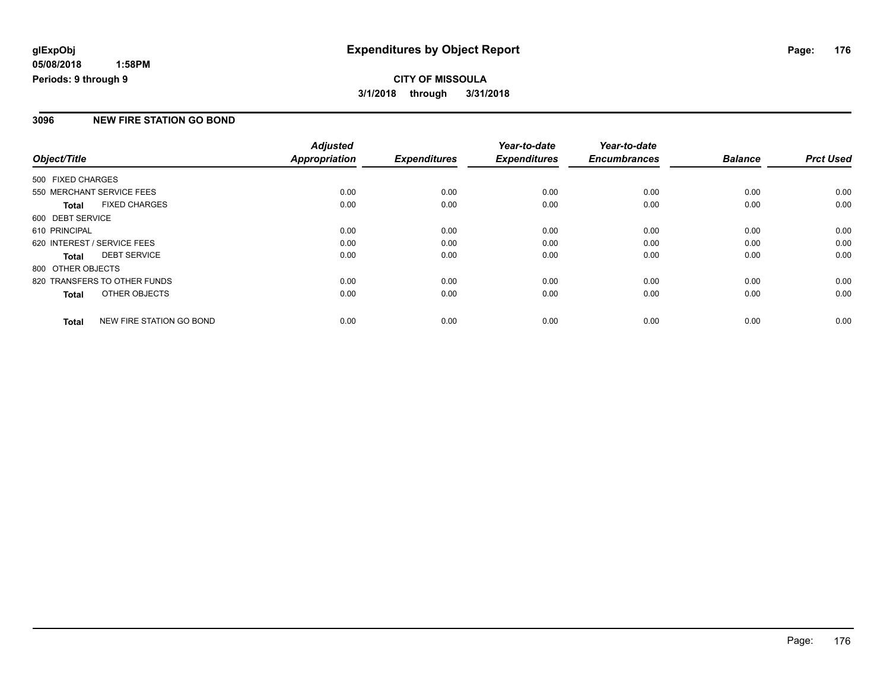### **3096 NEW FIRE STATION GO BOND**

|                             |                              | <b>Adjusted</b> |                     | Year-to-date        | Year-to-date        |                |                  |
|-----------------------------|------------------------------|-----------------|---------------------|---------------------|---------------------|----------------|------------------|
| Object/Title                |                              | Appropriation   | <b>Expenditures</b> | <b>Expenditures</b> | <b>Encumbrances</b> | <b>Balance</b> | <b>Prct Used</b> |
| 500 FIXED CHARGES           |                              |                 |                     |                     |                     |                |                  |
| 550 MERCHANT SERVICE FEES   |                              | 0.00            | 0.00                | 0.00                | 0.00                | 0.00           | 0.00             |
| <b>Total</b>                | <b>FIXED CHARGES</b>         | 0.00            | 0.00                | 0.00                | 0.00                | 0.00           | 0.00             |
| 600 DEBT SERVICE            |                              |                 |                     |                     |                     |                |                  |
| 610 PRINCIPAL               |                              | 0.00            | 0.00                | 0.00                | 0.00                | 0.00           | 0.00             |
| 620 INTEREST / SERVICE FEES |                              | 0.00            | 0.00                | 0.00                | 0.00                | 0.00           | 0.00             |
| Total                       | <b>DEBT SERVICE</b>          | 0.00            | 0.00                | 0.00                | 0.00                | 0.00           | 0.00             |
| 800 OTHER OBJECTS           |                              |                 |                     |                     |                     |                |                  |
|                             | 820 TRANSFERS TO OTHER FUNDS | 0.00            | 0.00                | 0.00                | 0.00                | 0.00           | 0.00             |
| <b>Total</b>                | OTHER OBJECTS                | 0.00            | 0.00                | 0.00                | 0.00                | 0.00           | 0.00             |
| <b>Total</b>                | NEW FIRE STATION GO BOND     | 0.00            | 0.00                | 0.00                | 0.00                | 0.00           | 0.00             |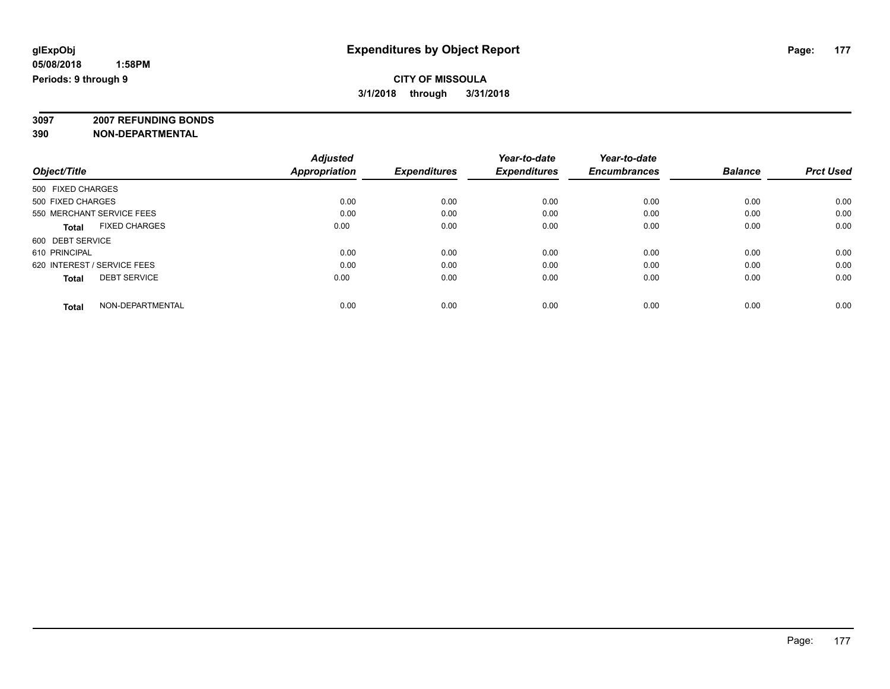**3097 2007 REFUNDING BONDS**

| Object/Title                         | <b>Adjusted</b><br><b>Appropriation</b> | <b>Expenditures</b> | Year-to-date<br><b>Expenditures</b> | Year-to-date<br><b>Encumbrances</b> | <b>Balance</b> | <b>Prct Used</b> |
|--------------------------------------|-----------------------------------------|---------------------|-------------------------------------|-------------------------------------|----------------|------------------|
|                                      |                                         |                     |                                     |                                     |                |                  |
| 500 FIXED CHARGES                    |                                         |                     |                                     |                                     |                |                  |
| 500 FIXED CHARGES                    | 0.00                                    | 0.00                | 0.00                                | 0.00                                | 0.00           | 0.00             |
| 550 MERCHANT SERVICE FEES            | 0.00                                    | 0.00                | 0.00                                | 0.00                                | 0.00           | 0.00             |
| <b>FIXED CHARGES</b><br><b>Total</b> | 0.00                                    | 0.00                | 0.00                                | 0.00                                | 0.00           | 0.00             |
| 600 DEBT SERVICE                     |                                         |                     |                                     |                                     |                |                  |
| 610 PRINCIPAL                        | 0.00                                    | 0.00                | 0.00                                | 0.00                                | 0.00           | 0.00             |
| 620 INTEREST / SERVICE FEES          | 0.00                                    | 0.00                | 0.00                                | 0.00                                | 0.00           | 0.00             |
| <b>DEBT SERVICE</b><br><b>Total</b>  | 0.00                                    | 0.00                | 0.00                                | 0.00                                | 0.00           | 0.00             |
| NON-DEPARTMENTAL<br><b>Total</b>     | 0.00                                    | 0.00                | 0.00                                | 0.00                                | 0.00           | 0.00             |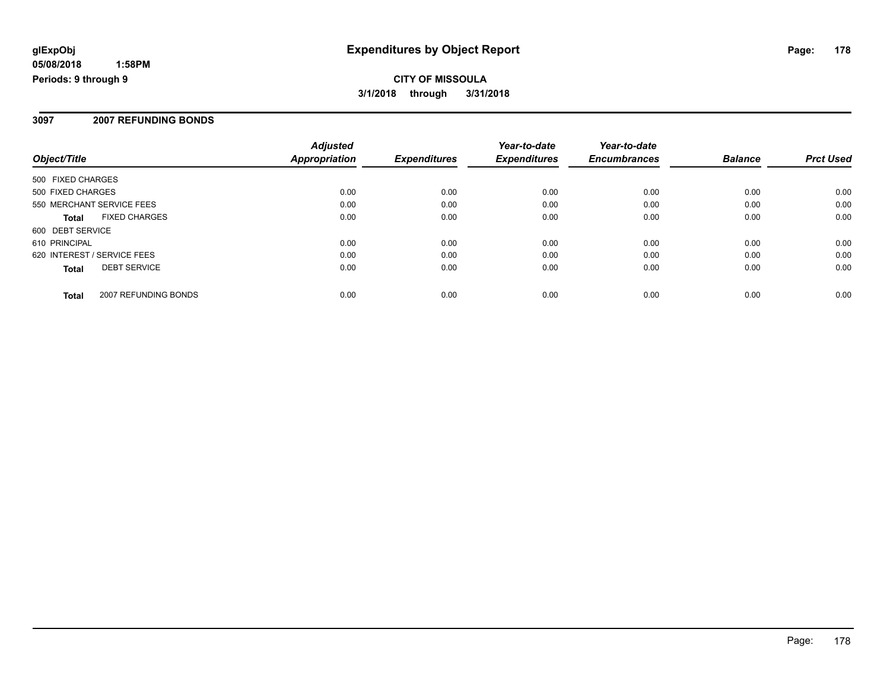#### **3097 2007 REFUNDING BONDS**

|                             |                      | <b>Adjusted</b>      |                     | Year-to-date        | Year-to-date        |                |                  |
|-----------------------------|----------------------|----------------------|---------------------|---------------------|---------------------|----------------|------------------|
| Object/Title                |                      | <b>Appropriation</b> | <b>Expenditures</b> | <b>Expenditures</b> | <b>Encumbrances</b> | <b>Balance</b> | <b>Prct Used</b> |
| 500 FIXED CHARGES           |                      |                      |                     |                     |                     |                |                  |
| 500 FIXED CHARGES           |                      | 0.00                 | 0.00                | 0.00                | 0.00                | 0.00           | 0.00             |
| 550 MERCHANT SERVICE FEES   |                      | 0.00                 | 0.00                | 0.00                | 0.00                | 0.00           | 0.00             |
| <b>Total</b>                | <b>FIXED CHARGES</b> | 0.00                 | 0.00                | 0.00                | 0.00                | 0.00           | 0.00             |
| 600 DEBT SERVICE            |                      |                      |                     |                     |                     |                |                  |
| 610 PRINCIPAL               |                      | 0.00                 | 0.00                | 0.00                | 0.00                | 0.00           | 0.00             |
| 620 INTEREST / SERVICE FEES |                      | 0.00                 | 0.00                | 0.00                | 0.00                | 0.00           | 0.00             |
| <b>Total</b>                | <b>DEBT SERVICE</b>  | 0.00                 | 0.00                | 0.00                | 0.00                | 0.00           | 0.00             |
| Total                       | 2007 REFUNDING BONDS | 0.00                 | 0.00                | 0.00                | 0.00                | 0.00           | 0.00             |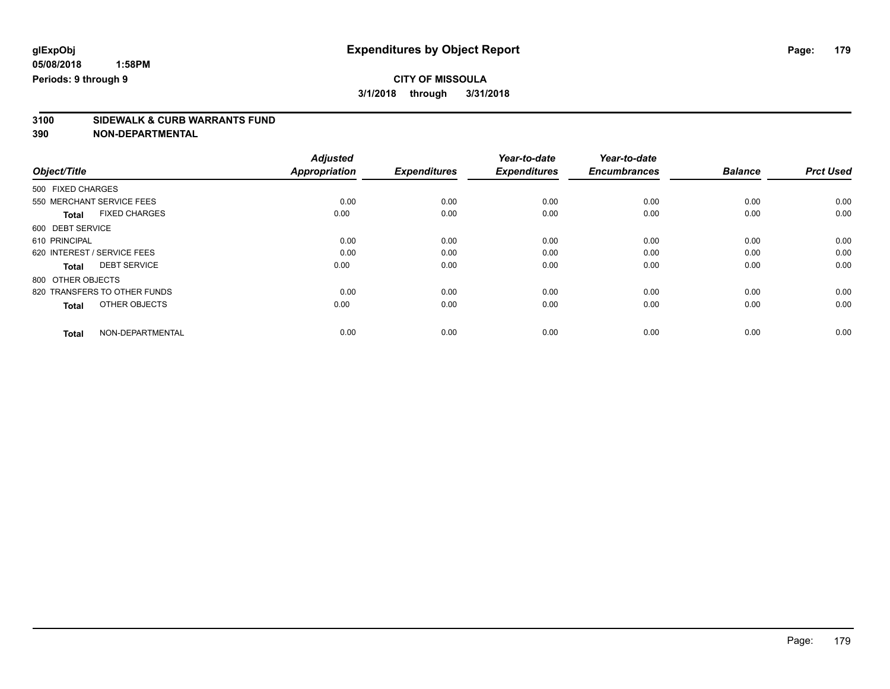# **3100 SIDEWALK & CURB WARRANTS FUND**

|                                      | <b>Adjusted</b>      |                     | Year-to-date        | Year-to-date        |                |                  |
|--------------------------------------|----------------------|---------------------|---------------------|---------------------|----------------|------------------|
| Object/Title                         | <b>Appropriation</b> | <b>Expenditures</b> | <b>Expenditures</b> | <b>Encumbrances</b> | <b>Balance</b> | <b>Prct Used</b> |
| 500 FIXED CHARGES                    |                      |                     |                     |                     |                |                  |
| 550 MERCHANT SERVICE FEES            | 0.00                 | 0.00                | 0.00                | 0.00                | 0.00           | 0.00             |
| <b>FIXED CHARGES</b><br><b>Total</b> | 0.00                 | 0.00                | 0.00                | 0.00                | 0.00           | 0.00             |
| 600 DEBT SERVICE                     |                      |                     |                     |                     |                |                  |
| 610 PRINCIPAL                        | 0.00                 | 0.00                | 0.00                | 0.00                | 0.00           | 0.00             |
| 620 INTEREST / SERVICE FEES          | 0.00                 | 0.00                | 0.00                | 0.00                | 0.00           | 0.00             |
| <b>DEBT SERVICE</b><br><b>Total</b>  | 0.00                 | 0.00                | 0.00                | 0.00                | 0.00           | 0.00             |
| 800 OTHER OBJECTS                    |                      |                     |                     |                     |                |                  |
| 820 TRANSFERS TO OTHER FUNDS         | 0.00                 | 0.00                | 0.00                | 0.00                | 0.00           | 0.00             |
| OTHER OBJECTS<br><b>Total</b>        | 0.00                 | 0.00                | 0.00                | 0.00                | 0.00           | 0.00             |
|                                      |                      |                     |                     |                     |                |                  |
| NON-DEPARTMENTAL<br><b>Total</b>     | 0.00                 | 0.00                | 0.00                | 0.00                | 0.00           | 0.00             |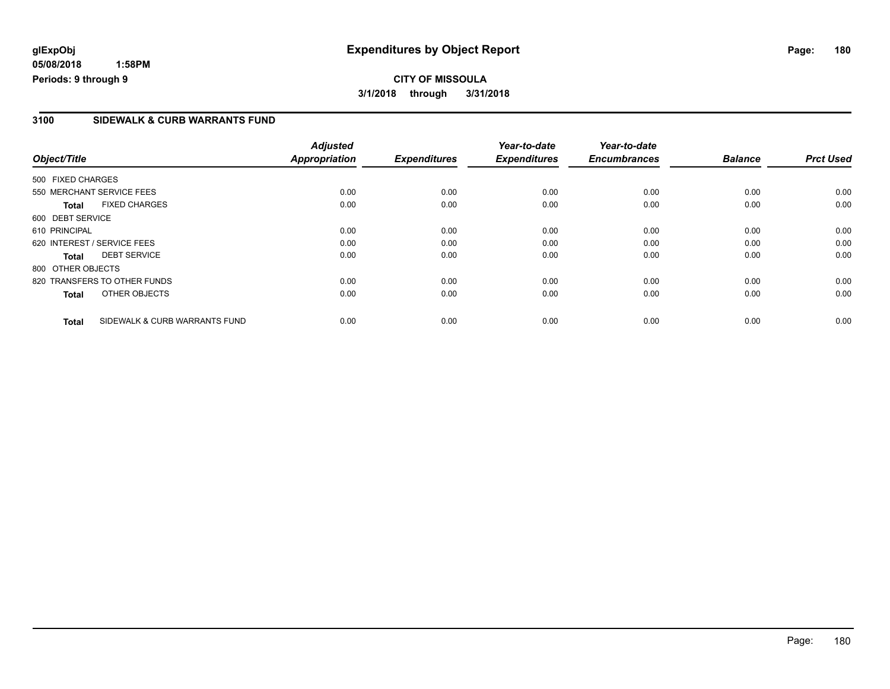### **3100 SIDEWALK & CURB WARRANTS FUND**

|                   |                               | <b>Adjusted</b>      |                     | Year-to-date        | Year-to-date        |                |                  |
|-------------------|-------------------------------|----------------------|---------------------|---------------------|---------------------|----------------|------------------|
| Object/Title      |                               | <b>Appropriation</b> | <b>Expenditures</b> | <b>Expenditures</b> | <b>Encumbrances</b> | <b>Balance</b> | <b>Prct Used</b> |
| 500 FIXED CHARGES |                               |                      |                     |                     |                     |                |                  |
|                   | 550 MERCHANT SERVICE FEES     | 0.00                 | 0.00                | 0.00                | 0.00                | 0.00           | 0.00             |
| <b>Total</b>      | <b>FIXED CHARGES</b>          | 0.00                 | 0.00                | 0.00                | 0.00                | 0.00           | 0.00             |
| 600 DEBT SERVICE  |                               |                      |                     |                     |                     |                |                  |
| 610 PRINCIPAL     |                               | 0.00                 | 0.00                | 0.00                | 0.00                | 0.00           | 0.00             |
|                   | 620 INTEREST / SERVICE FEES   | 0.00                 | 0.00                | 0.00                | 0.00                | 0.00           | 0.00             |
| <b>Total</b>      | <b>DEBT SERVICE</b>           | 0.00                 | 0.00                | 0.00                | 0.00                | 0.00           | 0.00             |
| 800 OTHER OBJECTS |                               |                      |                     |                     |                     |                |                  |
|                   | 820 TRANSFERS TO OTHER FUNDS  | 0.00                 | 0.00                | 0.00                | 0.00                | 0.00           | 0.00             |
| <b>Total</b>      | OTHER OBJECTS                 | 0.00                 | 0.00                | 0.00                | 0.00                | 0.00           | 0.00             |
| <b>Total</b>      | SIDEWALK & CURB WARRANTS FUND | 0.00                 | 0.00                | 0.00                | 0.00                | 0.00           | 0.00             |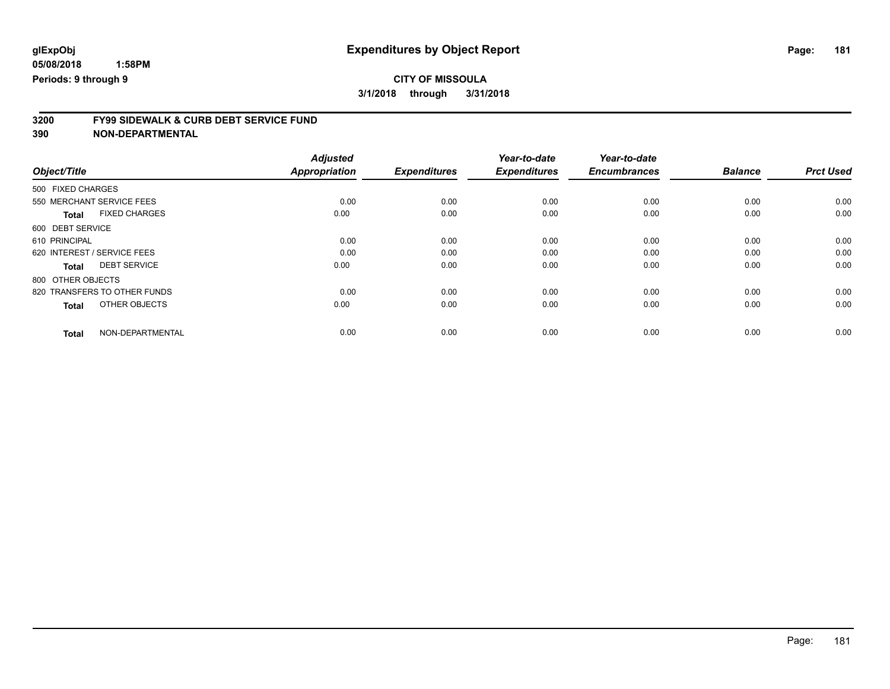# **3200 FY99 SIDEWALK & CURB DEBT SERVICE FUND**

| Object/Title                         | <b>Adjusted</b><br>Appropriation | <b>Expenditures</b> | Year-to-date<br><b>Expenditures</b> | Year-to-date<br><b>Encumbrances</b> | <b>Balance</b> | <b>Prct Used</b> |
|--------------------------------------|----------------------------------|---------------------|-------------------------------------|-------------------------------------|----------------|------------------|
|                                      |                                  |                     |                                     |                                     |                |                  |
| 500 FIXED CHARGES                    |                                  |                     |                                     |                                     |                |                  |
| 550 MERCHANT SERVICE FEES            | 0.00                             | 0.00                | 0.00                                | 0.00                                | 0.00           | 0.00             |
| <b>FIXED CHARGES</b><br><b>Total</b> | 0.00                             | 0.00                | 0.00                                | 0.00                                | 0.00           | 0.00             |
| 600 DEBT SERVICE                     |                                  |                     |                                     |                                     |                |                  |
| 610 PRINCIPAL                        | 0.00                             | 0.00                | 0.00                                | 0.00                                | 0.00           | 0.00             |
| 620 INTEREST / SERVICE FEES          | 0.00                             | 0.00                | 0.00                                | 0.00                                | 0.00           | 0.00             |
| <b>DEBT SERVICE</b><br><b>Total</b>  | 0.00                             | 0.00                | 0.00                                | 0.00                                | 0.00           | 0.00             |
| 800 OTHER OBJECTS                    |                                  |                     |                                     |                                     |                |                  |
| 820 TRANSFERS TO OTHER FUNDS         | 0.00                             | 0.00                | 0.00                                | 0.00                                | 0.00           | 0.00             |
| OTHER OBJECTS<br><b>Total</b>        | 0.00                             | 0.00                | 0.00                                | 0.00                                | 0.00           | 0.00             |
|                                      |                                  |                     |                                     |                                     |                |                  |
| NON-DEPARTMENTAL<br><b>Total</b>     | 0.00                             | 0.00                | 0.00                                | 0.00                                | 0.00           | 0.00             |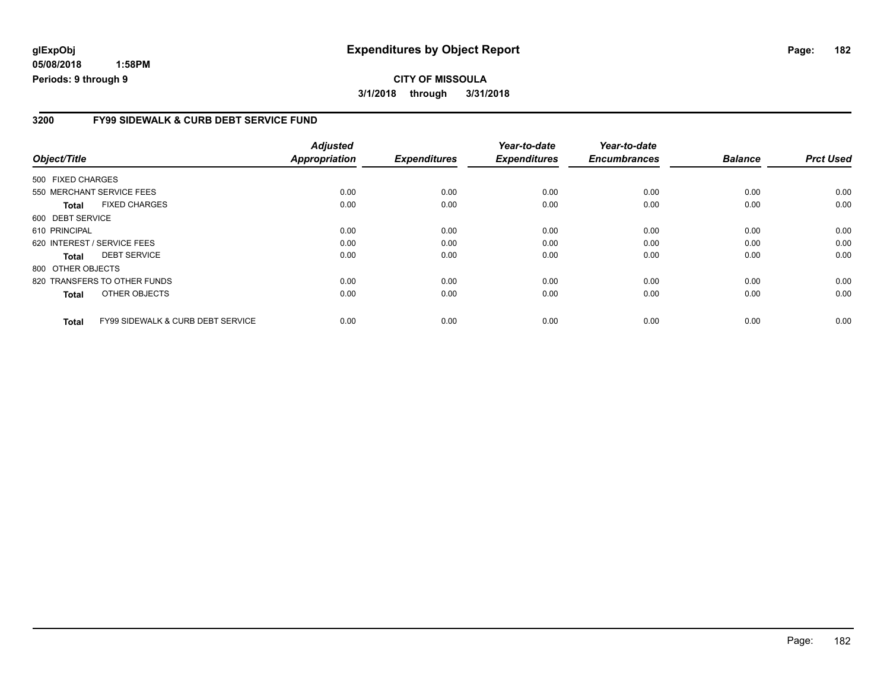#### **3200 FY99 SIDEWALK & CURB DEBT SERVICE FUND**

|                             |                                              | <b>Adjusted</b>      |                     | Year-to-date        | Year-to-date        |                |                  |
|-----------------------------|----------------------------------------------|----------------------|---------------------|---------------------|---------------------|----------------|------------------|
| Object/Title                |                                              | <b>Appropriation</b> | <b>Expenditures</b> | <b>Expenditures</b> | <b>Encumbrances</b> | <b>Balance</b> | <b>Prct Used</b> |
| 500 FIXED CHARGES           |                                              |                      |                     |                     |                     |                |                  |
| 550 MERCHANT SERVICE FEES   |                                              | 0.00                 | 0.00                | 0.00                | 0.00                | 0.00           | 0.00             |
| Total                       | <b>FIXED CHARGES</b>                         | 0.00                 | 0.00                | 0.00                | 0.00                | 0.00           | 0.00             |
| 600 DEBT SERVICE            |                                              |                      |                     |                     |                     |                |                  |
| 610 PRINCIPAL               |                                              | 0.00                 | 0.00                | 0.00                | 0.00                | 0.00           | 0.00             |
| 620 INTEREST / SERVICE FEES |                                              | 0.00                 | 0.00                | 0.00                | 0.00                | 0.00           | 0.00             |
| <b>Total</b>                | <b>DEBT SERVICE</b>                          | 0.00                 | 0.00                | 0.00                | 0.00                | 0.00           | 0.00             |
| 800 OTHER OBJECTS           |                                              |                      |                     |                     |                     |                |                  |
|                             | 820 TRANSFERS TO OTHER FUNDS                 | 0.00                 | 0.00                | 0.00                | 0.00                | 0.00           | 0.00             |
| <b>Total</b>                | OTHER OBJECTS                                | 0.00                 | 0.00                | 0.00                | 0.00                | 0.00           | 0.00             |
| <b>Total</b>                | <b>FY99 SIDEWALK &amp; CURB DEBT SERVICE</b> | 0.00                 | 0.00                | 0.00                | 0.00                | 0.00           | 0.00             |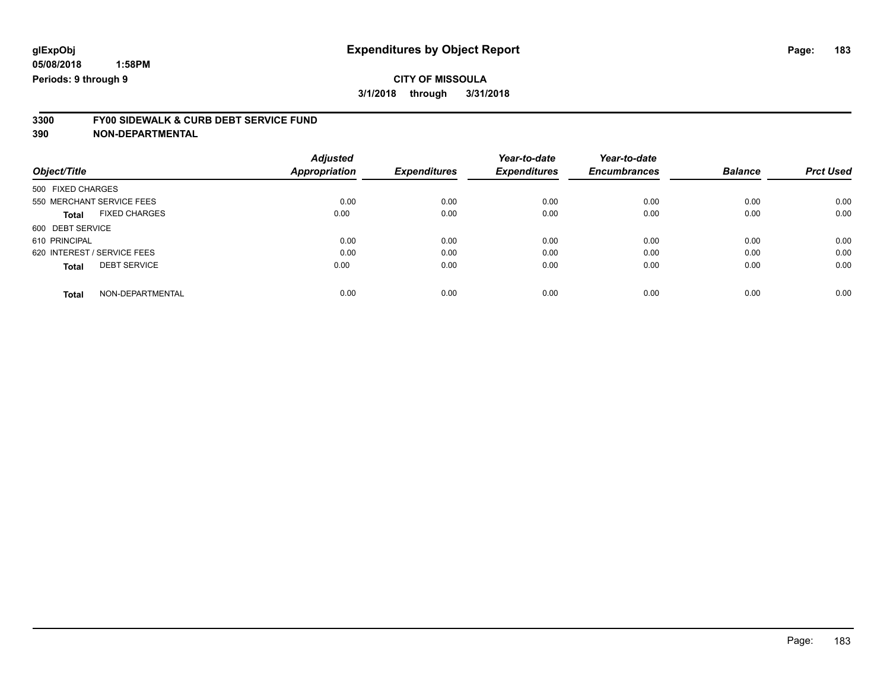**3300 FY00 SIDEWALK & CURB DEBT SERVICE FUND**

| Object/Title                         | <b>Adjusted</b><br>Appropriation | <b>Expenditures</b> | Year-to-date<br><b>Expenditures</b> | Year-to-date<br><b>Encumbrances</b> | <b>Balance</b> | <b>Prct Used</b> |
|--------------------------------------|----------------------------------|---------------------|-------------------------------------|-------------------------------------|----------------|------------------|
| 500 FIXED CHARGES                    |                                  |                     |                                     |                                     |                |                  |
| 550 MERCHANT SERVICE FEES            | 0.00                             | 0.00                | 0.00                                | 0.00                                | 0.00           | 0.00             |
| <b>FIXED CHARGES</b><br><b>Total</b> | 0.00                             | 0.00                | 0.00                                | 0.00                                | 0.00           | 0.00             |
| 600 DEBT SERVICE                     |                                  |                     |                                     |                                     |                |                  |
| 610 PRINCIPAL                        | 0.00                             | 0.00                | 0.00                                | 0.00                                | 0.00           | 0.00             |
| 620 INTEREST / SERVICE FEES          | 0.00                             | 0.00                | 0.00                                | 0.00                                | 0.00           | 0.00             |
| <b>DEBT SERVICE</b><br><b>Total</b>  | 0.00                             | 0.00                | 0.00                                | 0.00                                | 0.00           | 0.00             |
| NON-DEPARTMENTAL<br><b>Total</b>     | 0.00                             | 0.00                | 0.00                                | 0.00                                | 0.00           | 0.00             |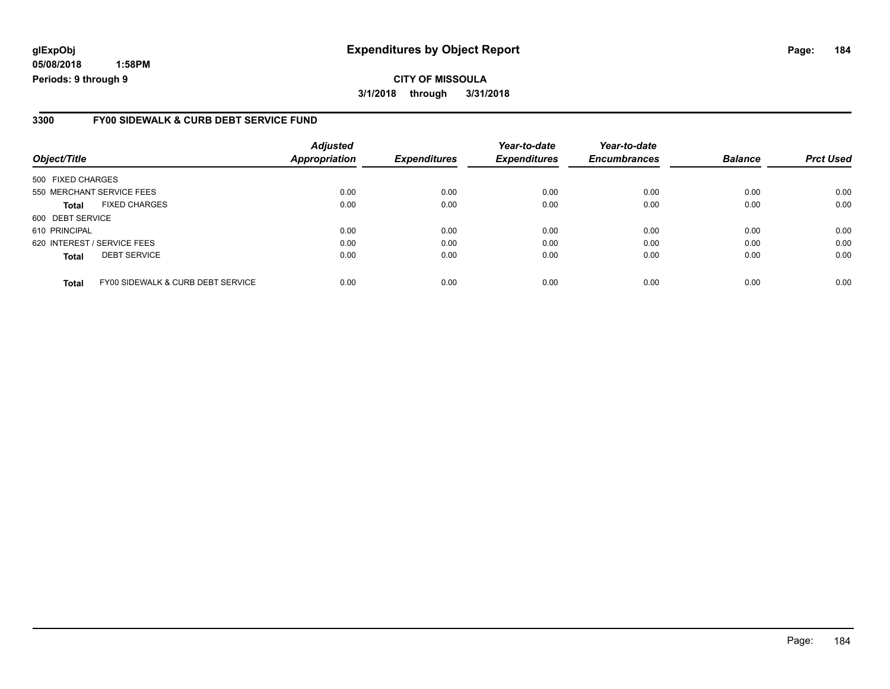# **glExpObj Expenditures by Object Report Page: 184**

**05/08/2018 1:58PM Periods: 9 through 9**

#### **3300 FY00 SIDEWALK & CURB DEBT SERVICE FUND**

| Object/Title                                      | <b>Adjusted</b><br><b>Appropriation</b> | <b>Expenditures</b> | Year-to-date<br><b>Expenditures</b> | Year-to-date<br><b>Encumbrances</b> | <b>Balance</b> | <b>Prct Used</b> |
|---------------------------------------------------|-----------------------------------------|---------------------|-------------------------------------|-------------------------------------|----------------|------------------|
|                                                   |                                         |                     |                                     |                                     |                |                  |
| 500 FIXED CHARGES                                 |                                         |                     |                                     |                                     |                |                  |
| 550 MERCHANT SERVICE FEES                         | 0.00                                    | 0.00                | 0.00                                | 0.00                                | 0.00           | 0.00             |
| <b>FIXED CHARGES</b><br><b>Total</b>              | 0.00                                    | 0.00                | 0.00                                | 0.00                                | 0.00           | 0.00             |
| 600 DEBT SERVICE                                  |                                         |                     |                                     |                                     |                |                  |
| 610 PRINCIPAL                                     | 0.00                                    | 0.00                | 0.00                                | 0.00                                | 0.00           | 0.00             |
| 620 INTEREST / SERVICE FEES                       | 0.00                                    | 0.00                | 0.00                                | 0.00                                | 0.00           | 0.00             |
| <b>DEBT SERVICE</b><br><b>Total</b>               | 0.00                                    | 0.00                | 0.00                                | 0.00                                | 0.00           | 0.00             |
|                                                   |                                         |                     |                                     |                                     |                |                  |
| FY00 SIDEWALK & CURB DEBT SERVICE<br><b>Total</b> | 0.00                                    | 0.00                | 0.00                                | 0.00                                | 0.00           | 0.00             |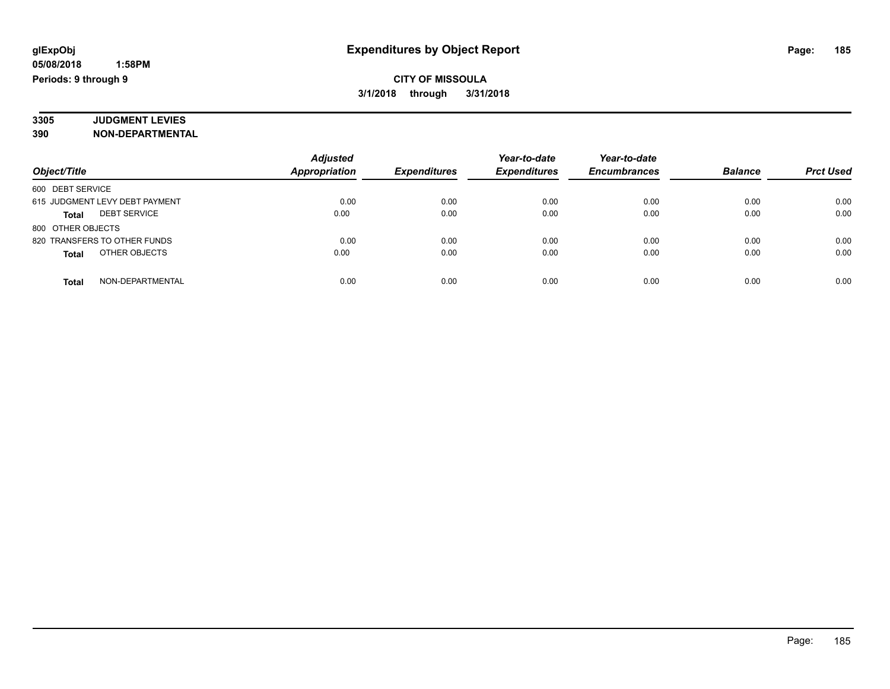#### **3305 JUDGMENT LEVIES 390 NON-DEPARTMENTAL**

| <b>Adjusted</b>      |                     | Year-to-date        | Year-to-date        |                |                  |
|----------------------|---------------------|---------------------|---------------------|----------------|------------------|
| <b>Appropriation</b> | <b>Expenditures</b> | <b>Expenditures</b> | <b>Encumbrances</b> | <b>Balance</b> | <b>Prct Used</b> |
|                      |                     |                     |                     |                |                  |
| 0.00                 | 0.00                | 0.00                | 0.00                | 0.00           | 0.00             |
| 0.00                 | 0.00                | 0.00                | 0.00                | 0.00           | 0.00             |
|                      |                     |                     |                     |                |                  |
| 0.00                 | 0.00                | 0.00                | 0.00                | 0.00           | 0.00             |
| 0.00                 | 0.00                | 0.00                | 0.00                | 0.00           | 0.00             |
|                      |                     |                     |                     |                | 0.00             |
|                      | 0.00                | 0.00                | 0.00                | 0.00           | 0.00             |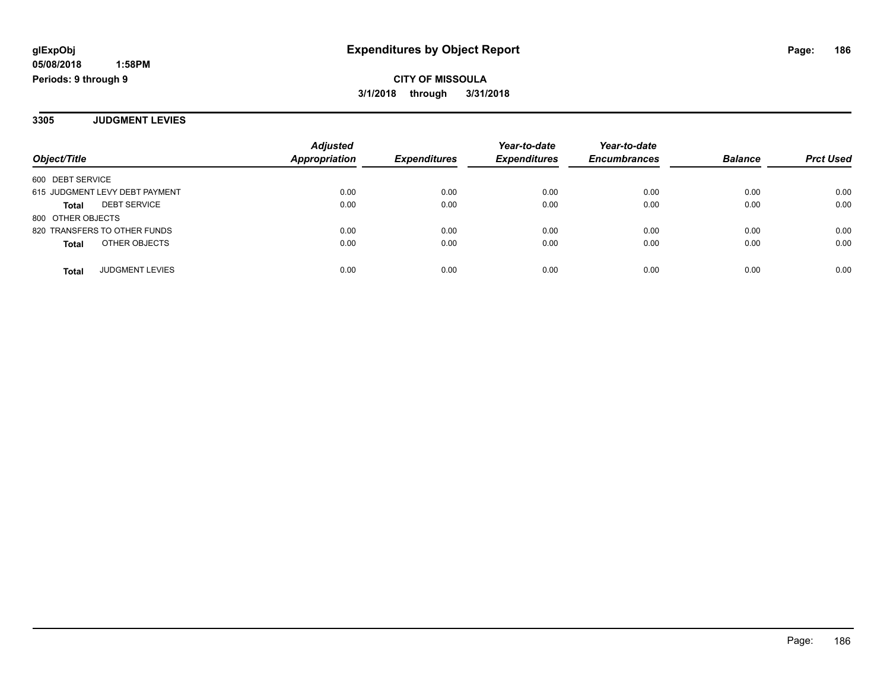**3305 JUDGMENT LEVIES**

|                                     | <b>Adjusted</b>      |                     | Year-to-date        | Year-to-date        |                |                  |
|-------------------------------------|----------------------|---------------------|---------------------|---------------------|----------------|------------------|
| Object/Title                        | <b>Appropriation</b> | <b>Expenditures</b> | <b>Expenditures</b> | <b>Encumbrances</b> | <b>Balance</b> | <b>Prct Used</b> |
| 600 DEBT SERVICE                    |                      |                     |                     |                     |                |                  |
| 615 JUDGMENT LEVY DEBT PAYMENT      | 0.00                 | 0.00                | 0.00                | 0.00                | 0.00           | 0.00             |
| <b>DEBT SERVICE</b><br><b>Total</b> | 0.00                 | 0.00                | 0.00                | 0.00                | 0.00           | 0.00             |
| 800 OTHER OBJECTS                   |                      |                     |                     |                     |                |                  |
| 820 TRANSFERS TO OTHER FUNDS        | 0.00                 | 0.00                | 0.00                | 0.00                | 0.00           | 0.00             |
| OTHER OBJECTS<br><b>Total</b>       | 0.00                 | 0.00                | 0.00                | 0.00                | 0.00           | 0.00             |
| <b>JUDGMENT LEVIES</b><br>Total     | 0.00                 | 0.00                | 0.00                | 0.00                | 0.00           | 0.00             |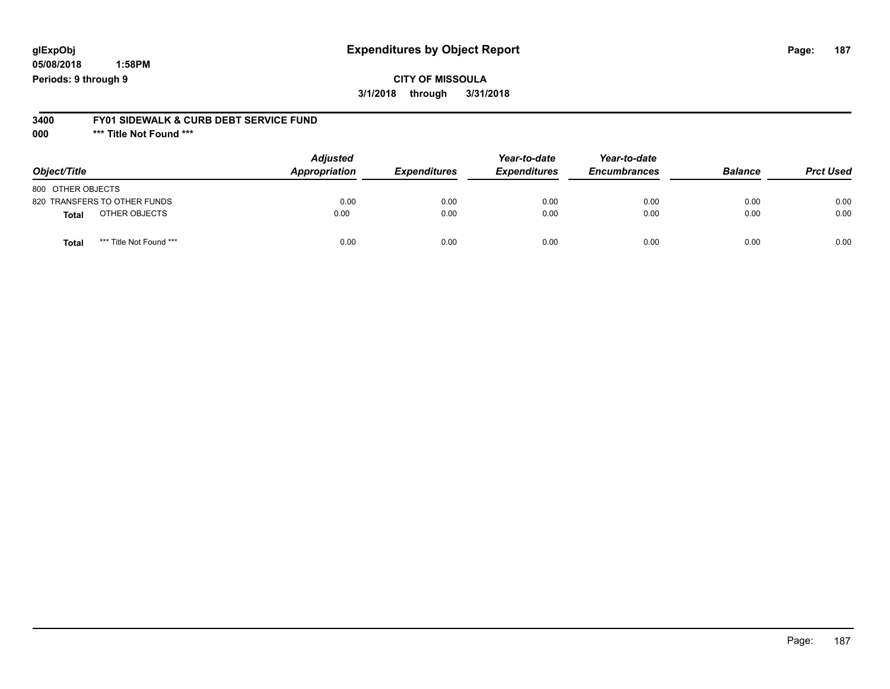# **glExpObj Expenditures by Object Report Page: 187**

**05/08/2018 1:58PM Periods: 9 through 9**

**CITY OF MISSOULA 3/1/2018 through 3/31/2018**

#### **3400 FY01 SIDEWALK & CURB DEBT SERVICE FUND**

**000 \*\*\* Title Not Found \*\*\***

| Object/Title                     | <b>Adjusted</b><br>Appropriation | <b>Expenditures</b> | Year-to-date<br><b>Expenditures</b> | Year-to-date<br><b>Encumbrances</b> | <b>Balance</b> | <b>Prct Used</b> |
|----------------------------------|----------------------------------|---------------------|-------------------------------------|-------------------------------------|----------------|------------------|
| 800 OTHER OBJECTS                |                                  |                     |                                     |                                     |                |                  |
| 820 TRANSFERS TO OTHER FUNDS     | 0.00                             | 0.00                | 0.00                                | 0.00                                | 0.00           | 0.00             |
| OTHER OBJECTS<br><b>Total</b>    | 0.00                             | 0.00                | 0.00                                | 0.00                                | 0.00           | 0.00             |
| *** Title Not Found ***<br>Total | 0.00                             | 0.00                | 0.00                                | 0.00                                | 0.00           | 0.00             |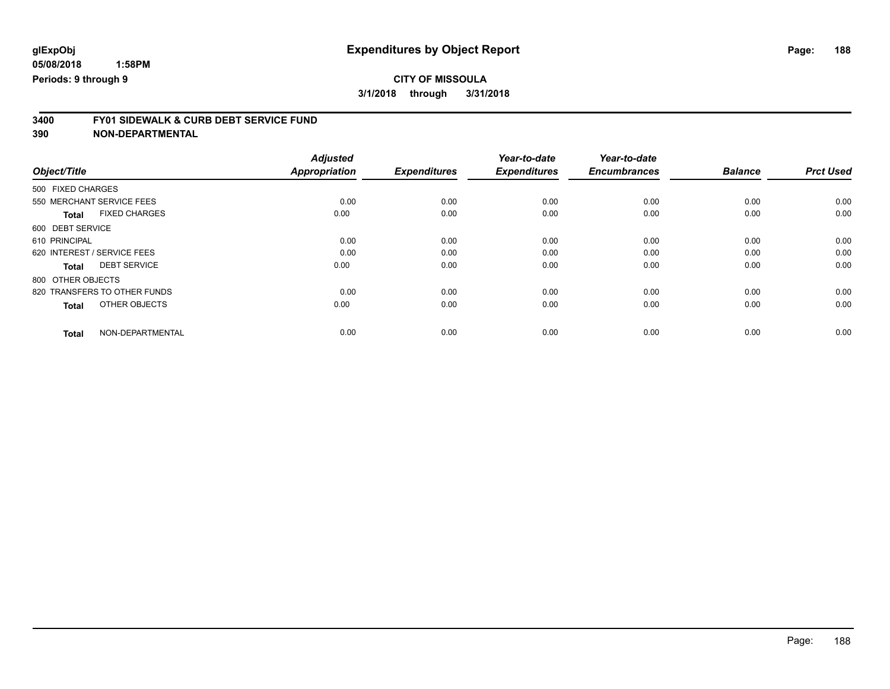# **CITY OF MISSOULA**

**3/1/2018 through 3/31/2018**

# **3400 FY01 SIDEWALK & CURB DEBT SERVICE FUND**

|                                      | <b>Adjusted</b>      |                     | Year-to-date        | Year-to-date        |                |                  |
|--------------------------------------|----------------------|---------------------|---------------------|---------------------|----------------|------------------|
| Object/Title                         | <b>Appropriation</b> | <b>Expenditures</b> | <b>Expenditures</b> | <b>Encumbrances</b> | <b>Balance</b> | <b>Prct Used</b> |
| 500 FIXED CHARGES                    |                      |                     |                     |                     |                |                  |
| 550 MERCHANT SERVICE FEES            | 0.00                 | 0.00                | 0.00                | 0.00                | 0.00           | 0.00             |
| <b>FIXED CHARGES</b><br><b>Total</b> | 0.00                 | 0.00                | 0.00                | 0.00                | 0.00           | 0.00             |
| 600 DEBT SERVICE                     |                      |                     |                     |                     |                |                  |
| 610 PRINCIPAL                        | 0.00                 | 0.00                | 0.00                | 0.00                | 0.00           | 0.00             |
| 620 INTEREST / SERVICE FEES          | 0.00                 | 0.00                | 0.00                | 0.00                | 0.00           | 0.00             |
| <b>DEBT SERVICE</b><br><b>Total</b>  | 0.00                 | 0.00                | 0.00                | 0.00                | 0.00           | 0.00             |
| 800 OTHER OBJECTS                    |                      |                     |                     |                     |                |                  |
| 820 TRANSFERS TO OTHER FUNDS         | 0.00                 | 0.00                | 0.00                | 0.00                | 0.00           | 0.00             |
| OTHER OBJECTS<br><b>Total</b>        | 0.00                 | 0.00                | 0.00                | 0.00                | 0.00           | 0.00             |
|                                      |                      |                     |                     |                     |                |                  |
| NON-DEPARTMENTAL<br><b>Total</b>     | 0.00                 | 0.00                | 0.00                | 0.00                | 0.00           | 0.00             |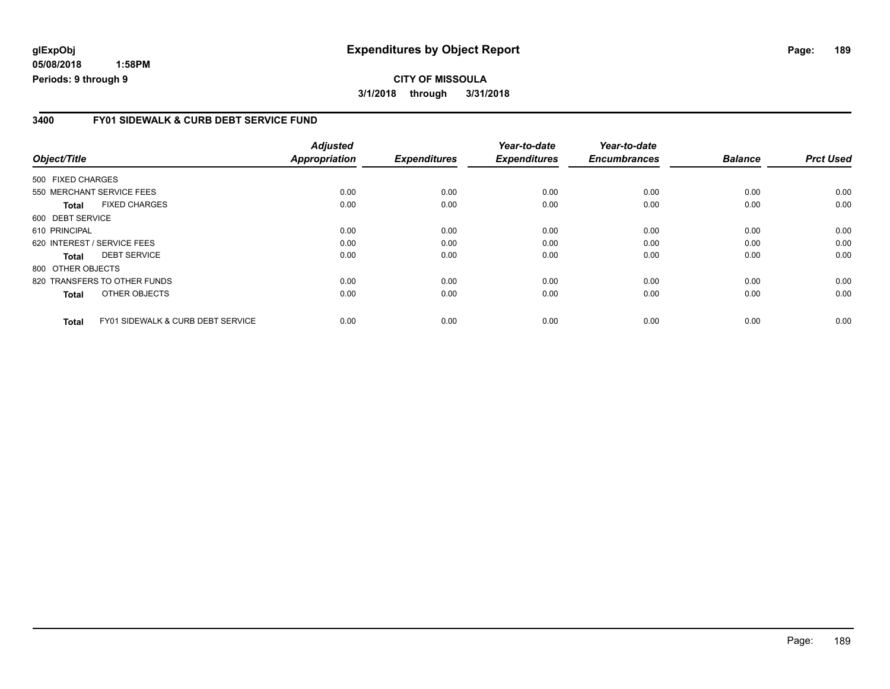#### **3400 FY01 SIDEWALK & CURB DEBT SERVICE FUND**

|                              |                                              | <b>Adjusted</b>      |                     | Year-to-date        | Year-to-date        |                |                  |
|------------------------------|----------------------------------------------|----------------------|---------------------|---------------------|---------------------|----------------|------------------|
| Object/Title                 |                                              | <b>Appropriation</b> | <b>Expenditures</b> | <b>Expenditures</b> | <b>Encumbrances</b> | <b>Balance</b> | <b>Prct Used</b> |
| 500 FIXED CHARGES            |                                              |                      |                     |                     |                     |                |                  |
| 550 MERCHANT SERVICE FEES    |                                              | 0.00                 | 0.00                | 0.00                | 0.00                | 0.00           | 0.00             |
| Total                        | <b>FIXED CHARGES</b>                         | 0.00                 | 0.00                | 0.00                | 0.00                | 0.00           | 0.00             |
| 600 DEBT SERVICE             |                                              |                      |                     |                     |                     |                |                  |
| 610 PRINCIPAL                |                                              | 0.00                 | 0.00                | 0.00                | 0.00                | 0.00           | 0.00             |
| 620 INTEREST / SERVICE FEES  |                                              | 0.00                 | 0.00                | 0.00                | 0.00                | 0.00           | 0.00             |
| <b>Total</b>                 | <b>DEBT SERVICE</b>                          | 0.00                 | 0.00                | 0.00                | 0.00                | 0.00           | 0.00             |
| 800 OTHER OBJECTS            |                                              |                      |                     |                     |                     |                |                  |
| 820 TRANSFERS TO OTHER FUNDS |                                              | 0.00                 | 0.00                | 0.00                | 0.00                | 0.00           | 0.00             |
| <b>Total</b>                 | OTHER OBJECTS                                | 0.00                 | 0.00                | 0.00                | 0.00                | 0.00           | 0.00             |
| <b>Total</b>                 | <b>FY01 SIDEWALK &amp; CURB DEBT SERVICE</b> | 0.00                 | 0.00                | 0.00                | 0.00                | 0.00           | 0.00             |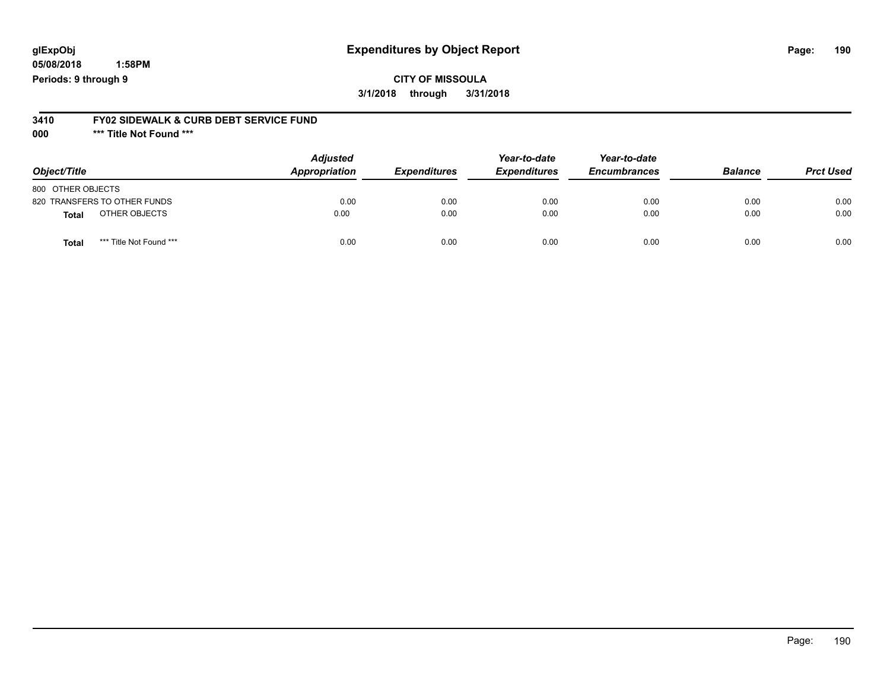# **glExpObj Expenditures by Object Report Page: 190**

**05/08/2018 1:58PM Periods: 9 through 9**

# **CITY OF MISSOULA 3/1/2018 through 3/31/2018**

# **3410 FY02 SIDEWALK & CURB DEBT SERVICE FUND**

**000 \*\*\* Title Not Found \*\*\***

| Object/Title                            | <b>Adjusted</b><br>Appropriation | <b>Expenditures</b> | Year-to-date<br><b>Expenditures</b> | Year-to-date<br><b>Encumbrances</b> | <b>Balance</b> | <b>Prct Used</b> |
|-----------------------------------------|----------------------------------|---------------------|-------------------------------------|-------------------------------------|----------------|------------------|
| 800 OTHER OBJECTS                       |                                  |                     |                                     |                                     |                |                  |
| 820 TRANSFERS TO OTHER FUNDS            | 0.00                             | 0.00                | 0.00                                | 0.00                                | 0.00           | 0.00             |
| OTHER OBJECTS<br>Total                  | 0.00                             | 0.00                | 0.00                                | 0.00                                | 0.00           | 0.00             |
| *** Title Not Found ***<br><b>Total</b> | 0.00                             | 0.00                | 0.00                                | 0.00                                | 0.00           | 0.00             |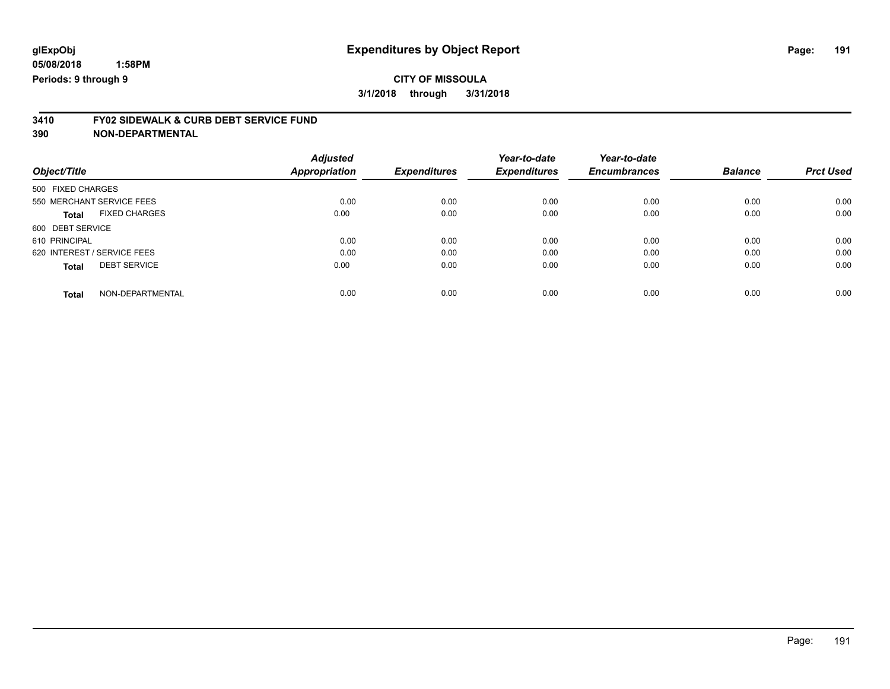# **3410 FY02 SIDEWALK & CURB DEBT SERVICE FUND**

|                                      | <b>Adjusted</b>      |                     | Year-to-date        | Year-to-date        |                |                  |
|--------------------------------------|----------------------|---------------------|---------------------|---------------------|----------------|------------------|
| Object/Title                         | <b>Appropriation</b> | <b>Expenditures</b> | <b>Expenditures</b> | <b>Encumbrances</b> | <b>Balance</b> | <b>Prct Used</b> |
| 500 FIXED CHARGES                    |                      |                     |                     |                     |                |                  |
| 550 MERCHANT SERVICE FEES            | 0.00                 | 0.00                | 0.00                | 0.00                | 0.00           | 0.00             |
| <b>FIXED CHARGES</b><br><b>Total</b> | 0.00                 | 0.00                | 0.00                | 0.00                | 0.00           | 0.00             |
| 600 DEBT SERVICE                     |                      |                     |                     |                     |                |                  |
| 610 PRINCIPAL                        | 0.00                 | 0.00                | 0.00                | 0.00                | 0.00           | 0.00             |
| 620 INTEREST / SERVICE FEES          | 0.00                 | 0.00                | 0.00                | 0.00                | 0.00           | 0.00             |
| <b>DEBT SERVICE</b><br><b>Total</b>  | 0.00                 | 0.00                | 0.00                | 0.00                | 0.00           | 0.00             |
| NON-DEPARTMENTAL<br><b>Total</b>     | 0.00                 | 0.00                | 0.00                | 0.00                | 0.00           | 0.00             |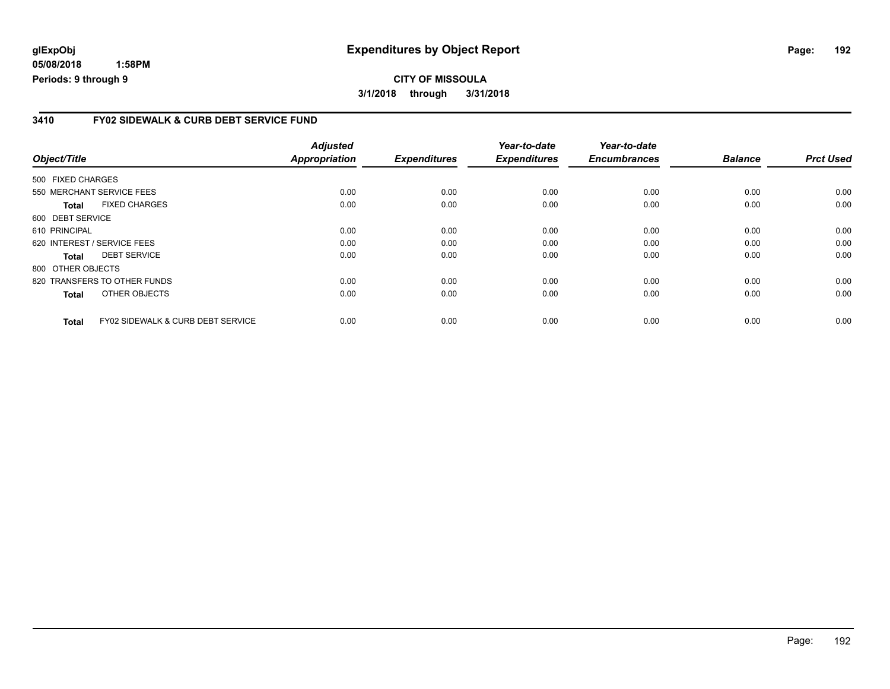#### **3410 FY02 SIDEWALK & CURB DEBT SERVICE FUND**

|                              |                                              | <b>Adjusted</b>      |                     | Year-to-date        | Year-to-date        |                |                  |
|------------------------------|----------------------------------------------|----------------------|---------------------|---------------------|---------------------|----------------|------------------|
| Object/Title                 |                                              | <b>Appropriation</b> | <b>Expenditures</b> | <b>Expenditures</b> | <b>Encumbrances</b> | <b>Balance</b> | <b>Prct Used</b> |
| 500 FIXED CHARGES            |                                              |                      |                     |                     |                     |                |                  |
| 550 MERCHANT SERVICE FEES    |                                              | 0.00                 | 0.00                | 0.00                | 0.00                | 0.00           | 0.00             |
| Total                        | <b>FIXED CHARGES</b>                         | 0.00                 | 0.00                | 0.00                | 0.00                | 0.00           | 0.00             |
| 600 DEBT SERVICE             |                                              |                      |                     |                     |                     |                |                  |
| 610 PRINCIPAL                |                                              | 0.00                 | 0.00                | 0.00                | 0.00                | 0.00           | 0.00             |
| 620 INTEREST / SERVICE FEES  |                                              | 0.00                 | 0.00                | 0.00                | 0.00                | 0.00           | 0.00             |
| <b>Total</b>                 | <b>DEBT SERVICE</b>                          | 0.00                 | 0.00                | 0.00                | 0.00                | 0.00           | 0.00             |
| 800 OTHER OBJECTS            |                                              |                      |                     |                     |                     |                |                  |
| 820 TRANSFERS TO OTHER FUNDS |                                              | 0.00                 | 0.00                | 0.00                | 0.00                | 0.00           | 0.00             |
| <b>Total</b>                 | OTHER OBJECTS                                | 0.00                 | 0.00                | 0.00                | 0.00                | 0.00           | 0.00             |
| <b>Total</b>                 | <b>FY02 SIDEWALK &amp; CURB DEBT SERVICE</b> | 0.00                 | 0.00                | 0.00                | 0.00                | 0.00           | 0.00             |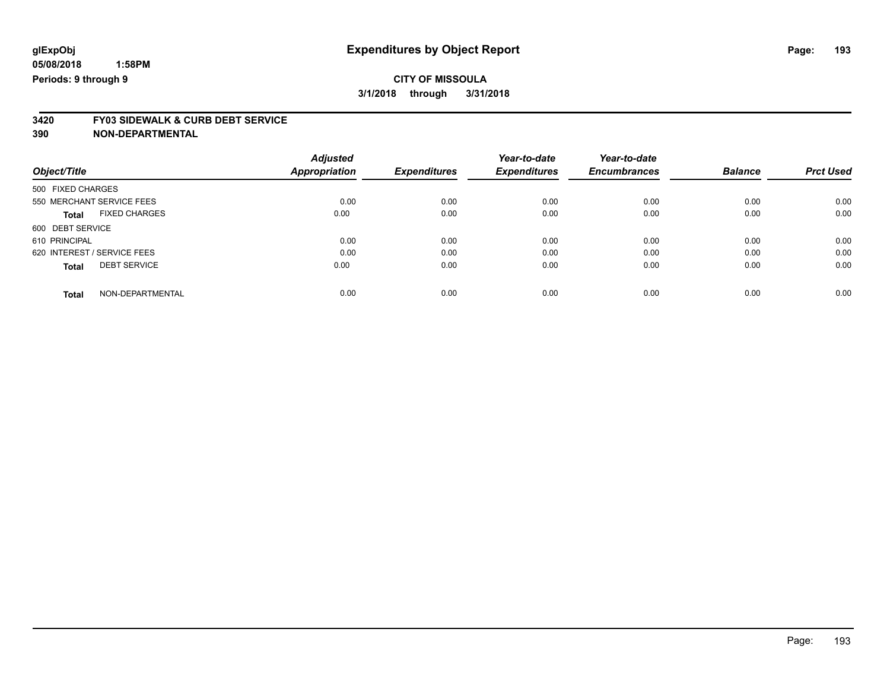# **3420 FY03 SIDEWALK & CURB DEBT SERVICE**

|                                      | <b>Adjusted</b>      |                     | Year-to-date        | Year-to-date        |                |                  |
|--------------------------------------|----------------------|---------------------|---------------------|---------------------|----------------|------------------|
| Object/Title                         | <b>Appropriation</b> | <b>Expenditures</b> | <b>Expenditures</b> | <b>Encumbrances</b> | <b>Balance</b> | <b>Prct Used</b> |
| 500 FIXED CHARGES                    |                      |                     |                     |                     |                |                  |
| 550 MERCHANT SERVICE FEES            | 0.00                 | 0.00                | 0.00                | 0.00                | 0.00           | 0.00             |
| <b>FIXED CHARGES</b><br><b>Total</b> | 0.00                 | 0.00                | 0.00                | 0.00                | 0.00           | 0.00             |
| 600 DEBT SERVICE                     |                      |                     |                     |                     |                |                  |
| 610 PRINCIPAL                        | 0.00                 | 0.00                | 0.00                | 0.00                | 0.00           | 0.00             |
| 620 INTEREST / SERVICE FEES          | 0.00                 | 0.00                | 0.00                | 0.00                | 0.00           | 0.00             |
| <b>DEBT SERVICE</b><br><b>Total</b>  | 0.00                 | 0.00                | 0.00                | 0.00                | 0.00           | 0.00             |
| NON-DEPARTMENTAL<br><b>Total</b>     | 0.00                 | 0.00                | 0.00                | 0.00                | 0.00           | 0.00             |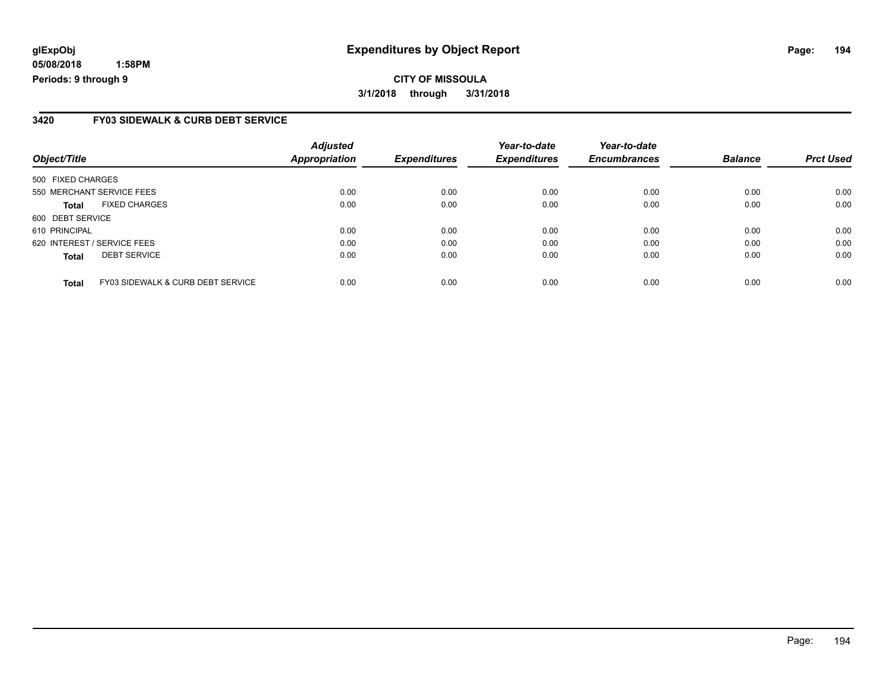**CITY OF MISSOULA 3/1/2018 through 3/31/2018**

#### **3420 FY03 SIDEWALK & CURB DEBT SERVICE**

| Object/Title                |                                              | <b>Adjusted</b><br><b>Appropriation</b> | <b>Expenditures</b> | Year-to-date<br><b>Expenditures</b> | Year-to-date<br><b>Encumbrances</b> | <b>Balance</b> | <b>Prct Used</b> |
|-----------------------------|----------------------------------------------|-----------------------------------------|---------------------|-------------------------------------|-------------------------------------|----------------|------------------|
| 500 FIXED CHARGES           |                                              |                                         |                     |                                     |                                     |                |                  |
| 550 MERCHANT SERVICE FEES   |                                              | 0.00                                    | 0.00                | 0.00                                | 0.00                                | 0.00           | 0.00             |
| <b>Total</b>                | <b>FIXED CHARGES</b>                         | 0.00                                    | 0.00                | 0.00                                | 0.00                                | 0.00           | 0.00             |
| 600 DEBT SERVICE            |                                              |                                         |                     |                                     |                                     |                |                  |
| 610 PRINCIPAL               |                                              | 0.00                                    | 0.00                | 0.00                                | 0.00                                | 0.00           | 0.00             |
| 620 INTEREST / SERVICE FEES |                                              | 0.00                                    | 0.00                | 0.00                                | 0.00                                | 0.00           | 0.00             |
| <b>Total</b>                | <b>DEBT SERVICE</b>                          | 0.00                                    | 0.00                | 0.00                                | 0.00                                | 0.00           | 0.00             |
| <b>Total</b>                | <b>FY03 SIDEWALK &amp; CURB DEBT SERVICE</b> | 0.00                                    | 0.00                | 0.00                                | 0.00                                | 0.00           | 0.00             |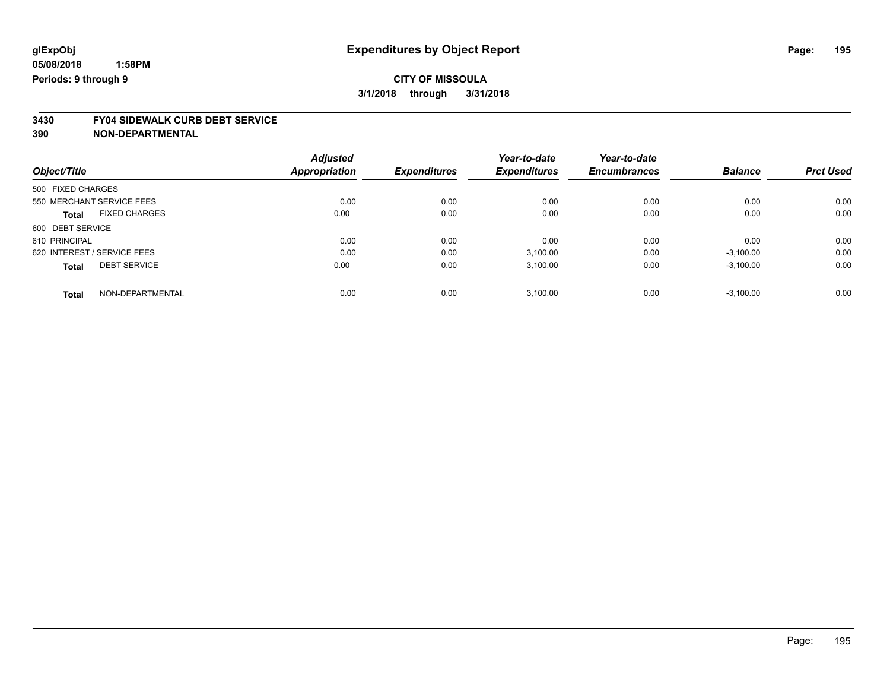# **3430 FY04 SIDEWALK CURB DEBT SERVICE**

|                                      | <b>Adjusted</b>      |                     | Year-to-date        | Year-to-date        |                |                  |
|--------------------------------------|----------------------|---------------------|---------------------|---------------------|----------------|------------------|
| Object/Title                         | <b>Appropriation</b> | <b>Expenditures</b> | <b>Expenditures</b> | <b>Encumbrances</b> | <b>Balance</b> | <b>Prct Used</b> |
| 500 FIXED CHARGES                    |                      |                     |                     |                     |                |                  |
| 550 MERCHANT SERVICE FEES            | 0.00                 | 0.00                | 0.00                | 0.00                | 0.00           | 0.00             |
| <b>FIXED CHARGES</b><br><b>Total</b> | 0.00                 | 0.00                | 0.00                | 0.00                | 0.00           | 0.00             |
| 600 DEBT SERVICE                     |                      |                     |                     |                     |                |                  |
| 610 PRINCIPAL                        | 0.00                 | 0.00                | 0.00                | 0.00                | 0.00           | 0.00             |
| 620 INTEREST / SERVICE FEES          | 0.00                 | 0.00                | 3,100.00            | 0.00                | $-3,100.00$    | 0.00             |
| <b>DEBT SERVICE</b><br><b>Total</b>  | 0.00                 | 0.00                | 3,100.00            | 0.00                | $-3,100.00$    | 0.00             |
| NON-DEPARTMENTAL<br><b>Total</b>     | 0.00                 | 0.00                | 3.100.00            | 0.00                | $-3.100.00$    | 0.00             |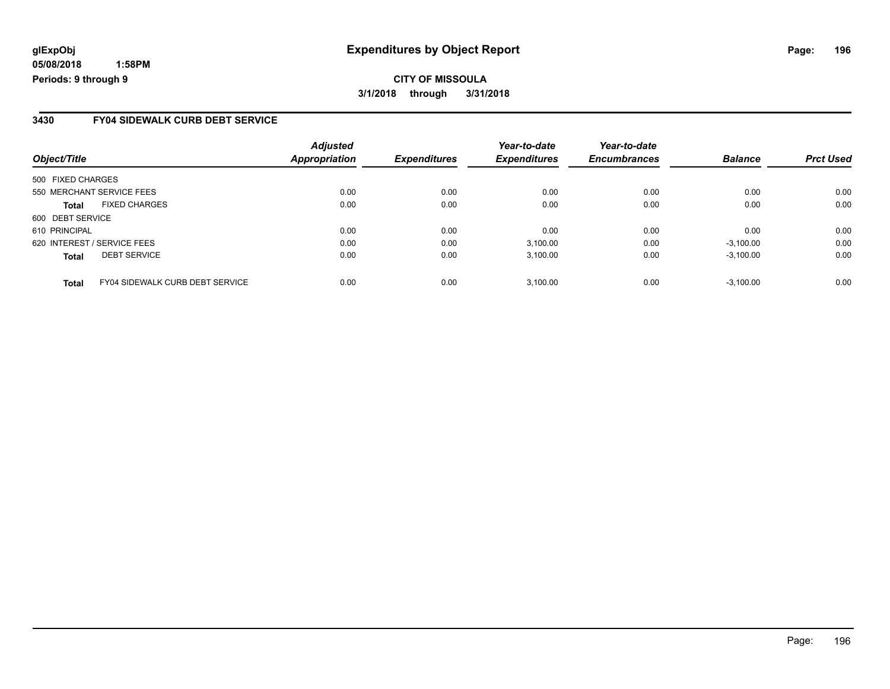### **3430 FY04 SIDEWALK CURB DEBT SERVICE**

|                                                        | <b>Adjusted</b>      |                     | Year-to-date        | Year-to-date        |                |                  |
|--------------------------------------------------------|----------------------|---------------------|---------------------|---------------------|----------------|------------------|
| Object/Title                                           | <b>Appropriation</b> | <b>Expenditures</b> | <b>Expenditures</b> | <b>Encumbrances</b> | <b>Balance</b> | <b>Prct Used</b> |
| 500 FIXED CHARGES                                      |                      |                     |                     |                     |                |                  |
| 550 MERCHANT SERVICE FEES                              | 0.00                 | 0.00                | 0.00                | 0.00                | 0.00           | 0.00             |
| <b>FIXED CHARGES</b><br><b>Total</b>                   | 0.00                 | 0.00                | 0.00                | 0.00                | 0.00           | 0.00             |
| 600 DEBT SERVICE                                       |                      |                     |                     |                     |                |                  |
| 610 PRINCIPAL                                          | 0.00                 | 0.00                | 0.00                | 0.00                | 0.00           | 0.00             |
| 620 INTEREST / SERVICE FEES                            | 0.00                 | 0.00                | 3,100.00            | 0.00                | $-3,100.00$    | 0.00             |
| <b>DEBT SERVICE</b><br><b>Total</b>                    | 0.00                 | 0.00                | 3,100.00            | 0.00                | $-3,100.00$    | 0.00             |
| <b>FY04 SIDEWALK CURB DEBT SERVICE</b><br><b>Total</b> | 0.00                 | 0.00                | 3.100.00            | 0.00                | $-3.100.00$    | 0.00             |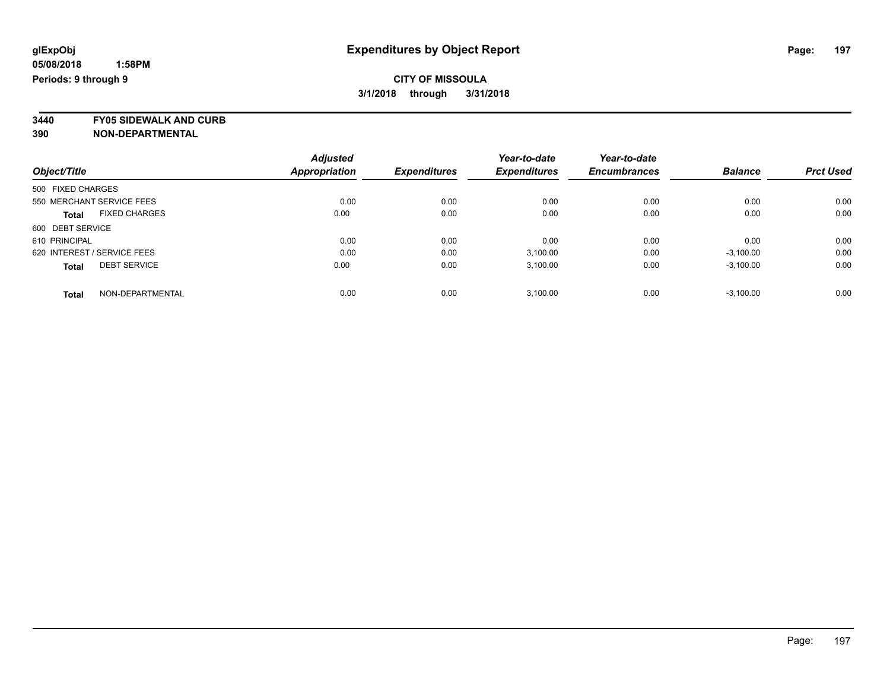**3440 FY05 SIDEWALK AND CURB**

|                                      | <b>Adjusted</b>      |                     | Year-to-date        | Year-to-date        |                |                  |
|--------------------------------------|----------------------|---------------------|---------------------|---------------------|----------------|------------------|
| Object/Title                         | <b>Appropriation</b> | <b>Expenditures</b> | <b>Expenditures</b> | <b>Encumbrances</b> | <b>Balance</b> | <b>Prct Used</b> |
| 500 FIXED CHARGES                    |                      |                     |                     |                     |                |                  |
| 550 MERCHANT SERVICE FEES            | 0.00                 | 0.00                | 0.00                | 0.00                | 0.00           | 0.00             |
| <b>FIXED CHARGES</b><br><b>Total</b> | 0.00                 | 0.00                | 0.00                | 0.00                | 0.00           | 0.00             |
| 600 DEBT SERVICE                     |                      |                     |                     |                     |                |                  |
| 610 PRINCIPAL                        | 0.00                 | 0.00                | 0.00                | 0.00                | 0.00           | 0.00             |
| 620 INTEREST / SERVICE FEES          | 0.00                 | 0.00                | 3,100.00            | 0.00                | $-3.100.00$    | 0.00             |
| <b>DEBT SERVICE</b><br><b>Total</b>  | 0.00                 | 0.00                | 3.100.00            | 0.00                | $-3,100.00$    | 0.00             |
| NON-DEPARTMENTAL<br><b>Total</b>     | 0.00                 | 0.00                | 3,100.00            | 0.00                | $-3.100.00$    | 0.00             |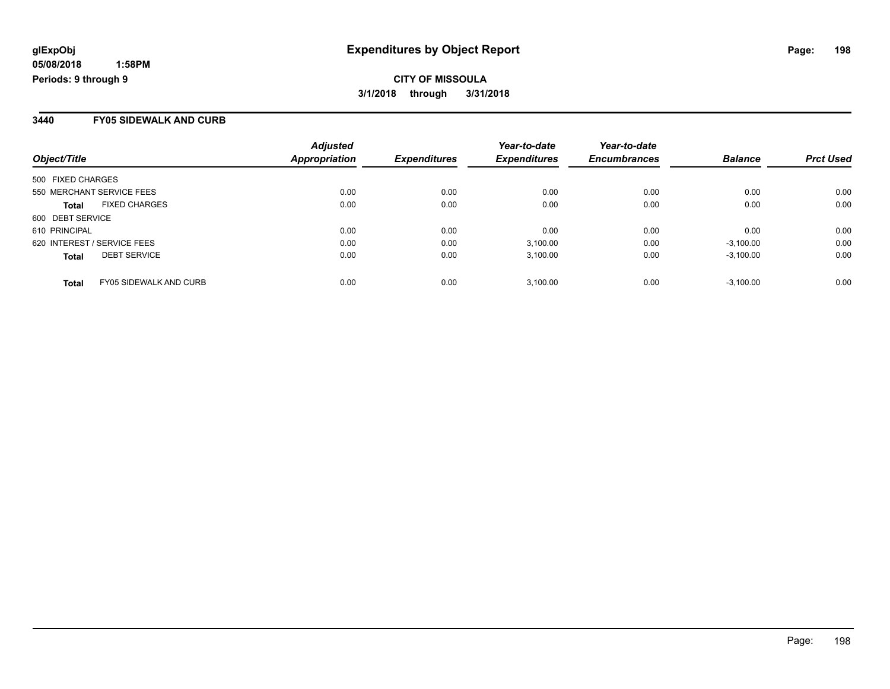#### **3440 FY05 SIDEWALK AND CURB**

| Object/Title                                  | <b>Adjusted</b><br><b>Appropriation</b> | <b>Expenditures</b> | Year-to-date<br><b>Expenditures</b> | Year-to-date<br><b>Encumbrances</b> | <b>Balance</b> | <b>Prct Used</b> |
|-----------------------------------------------|-----------------------------------------|---------------------|-------------------------------------|-------------------------------------|----------------|------------------|
| 500 FIXED CHARGES                             |                                         |                     |                                     |                                     |                |                  |
| 550 MERCHANT SERVICE FEES                     | 0.00                                    | 0.00                | 0.00                                | 0.00                                | 0.00           | 0.00             |
| <b>FIXED CHARGES</b><br><b>Total</b>          | 0.00                                    | 0.00                | 0.00                                | 0.00                                | 0.00           | 0.00             |
| 600 DEBT SERVICE                              |                                         |                     |                                     |                                     |                |                  |
| 610 PRINCIPAL                                 | 0.00                                    | 0.00                | 0.00                                | 0.00                                | 0.00           | 0.00             |
| 620 INTEREST / SERVICE FEES                   | 0.00                                    | 0.00                | 3.100.00                            | 0.00                                | $-3,100.00$    | 0.00             |
| <b>DEBT SERVICE</b><br><b>Total</b>           | 0.00                                    | 0.00                | 3.100.00                            | 0.00                                | $-3,100.00$    | 0.00             |
| <b>FY05 SIDEWALK AND CURB</b><br><b>Total</b> | 0.00                                    | 0.00                | 3.100.00                            | 0.00                                | $-3.100.00$    | 0.00             |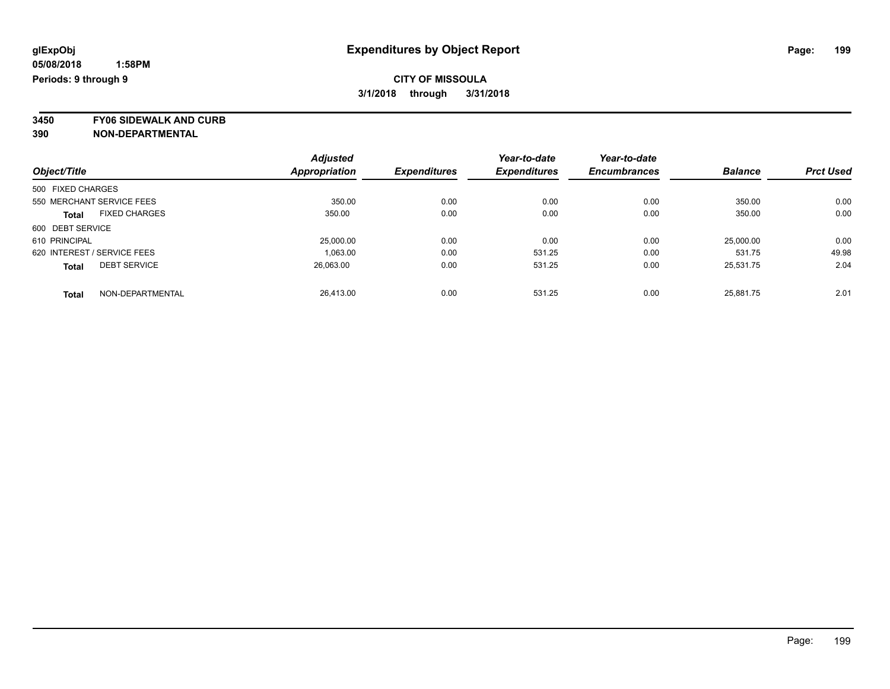**3450 FY06 SIDEWALK AND CURB**

|                                     | <b>Adjusted</b>      |                     | Year-to-date        | Year-to-date        |                |                  |
|-------------------------------------|----------------------|---------------------|---------------------|---------------------|----------------|------------------|
| Object/Title                        | <b>Appropriation</b> | <b>Expenditures</b> | <b>Expenditures</b> | <b>Encumbrances</b> | <b>Balance</b> | <b>Prct Used</b> |
| 500 FIXED CHARGES                   |                      |                     |                     |                     |                |                  |
| 550 MERCHANT SERVICE FEES           | 350.00               | 0.00                | 0.00                | 0.00                | 350.00         | 0.00             |
| <b>FIXED CHARGES</b><br>Total       | 350.00               | 0.00                | 0.00                | 0.00                | 350.00         | 0.00             |
| 600 DEBT SERVICE                    |                      |                     |                     |                     |                |                  |
| 610 PRINCIPAL                       | 25,000.00            | 0.00                | 0.00                | 0.00                | 25,000.00      | 0.00             |
| 620 INTEREST / SERVICE FEES         | 1.063.00             | 0.00                | 531.25              | 0.00                | 531.75         | 49.98            |
| <b>DEBT SERVICE</b><br><b>Total</b> | 26,063.00            | 0.00                | 531.25              | 0.00                | 25,531.75      | 2.04             |
| NON-DEPARTMENTAL<br><b>Total</b>    | 26.413.00            | 0.00                | 531.25              | 0.00                | 25.881.75      | 2.01             |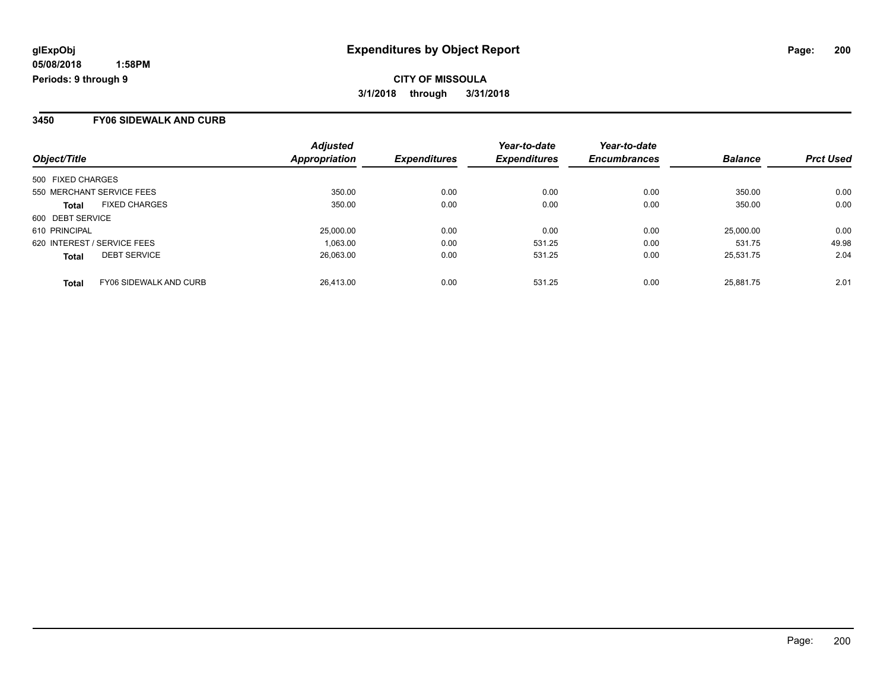#### **3450 FY06 SIDEWALK AND CURB**

| Object/Title                                  | <b>Adjusted</b><br>Appropriation | <b>Expenditures</b> | Year-to-date<br><b>Expenditures</b> | Year-to-date<br><b>Encumbrances</b> | <b>Balance</b> | <b>Prct Used</b> |
|-----------------------------------------------|----------------------------------|---------------------|-------------------------------------|-------------------------------------|----------------|------------------|
|                                               |                                  |                     |                                     |                                     |                |                  |
| 500 FIXED CHARGES                             |                                  |                     |                                     |                                     |                |                  |
| 550 MERCHANT SERVICE FEES                     | 350.00                           | 0.00                | 0.00                                | 0.00                                | 350.00         | 0.00             |
| <b>FIXED CHARGES</b><br><b>Total</b>          | 350.00                           | 0.00                | 0.00                                | 0.00                                | 350.00         | 0.00             |
| 600 DEBT SERVICE                              |                                  |                     |                                     |                                     |                |                  |
| 610 PRINCIPAL                                 | 25,000.00                        | 0.00                | 0.00                                | 0.00                                | 25,000.00      | 0.00             |
| 620 INTEREST / SERVICE FEES                   | 1.063.00                         | 0.00                | 531.25                              | 0.00                                | 531.75         | 49.98            |
| <b>DEBT SERVICE</b><br><b>Total</b>           | 26.063.00                        | 0.00                | 531.25                              | 0.00                                | 25,531.75      | 2.04             |
| <b>FY06 SIDEWALK AND CURB</b><br><b>Total</b> | 26.413.00                        | 0.00                | 531.25                              | 0.00                                | 25.881.75      | 2.01             |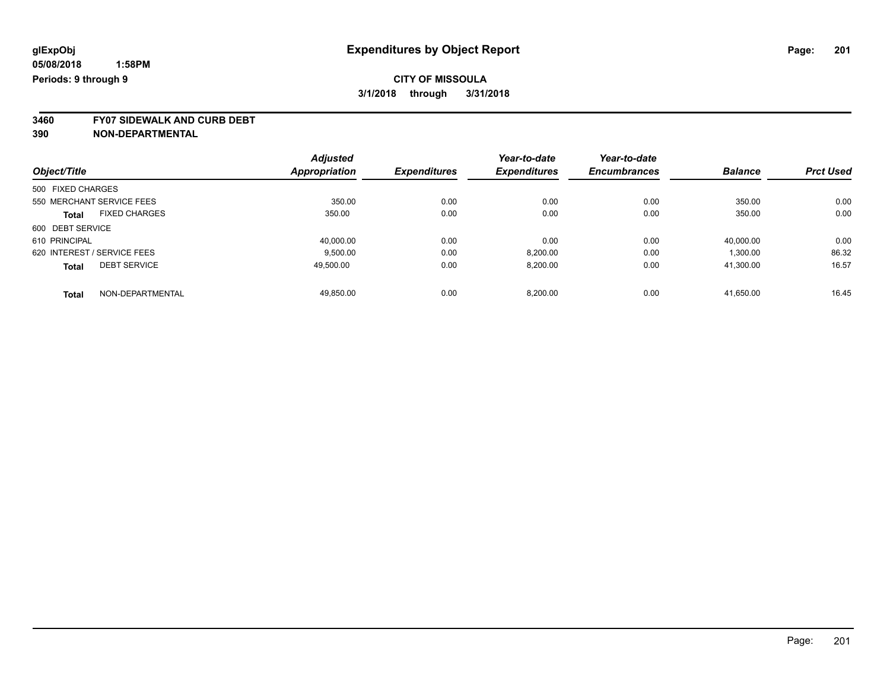**3460 FY07 SIDEWALK AND CURB DEBT**

|                                     | <b>Adjusted</b>      |                     | Year-to-date        | Year-to-date        |                |                  |
|-------------------------------------|----------------------|---------------------|---------------------|---------------------|----------------|------------------|
| Object/Title                        | <b>Appropriation</b> | <b>Expenditures</b> | <b>Expenditures</b> | <b>Encumbrances</b> | <b>Balance</b> | <b>Prct Used</b> |
| 500 FIXED CHARGES                   |                      |                     |                     |                     |                |                  |
| 550 MERCHANT SERVICE FEES           | 350.00               | 0.00                | 0.00                | 0.00                | 350.00         | 0.00             |
| <b>FIXED CHARGES</b><br>Total       | 350.00               | 0.00                | 0.00                | 0.00                | 350.00         | 0.00             |
| 600 DEBT SERVICE                    |                      |                     |                     |                     |                |                  |
| 610 PRINCIPAL                       | 40,000.00            | 0.00                | 0.00                | 0.00                | 40.000.00      | 0.00             |
| 620 INTEREST / SERVICE FEES         | 9.500.00             | 0.00                | 8.200.00            | 0.00                | 1.300.00       | 86.32            |
| <b>DEBT SERVICE</b><br><b>Total</b> | 49.500.00            | 0.00                | 8,200.00            | 0.00                | 41,300.00      | 16.57            |
| NON-DEPARTMENTAL<br><b>Total</b>    | 49.850.00            | 0.00                | 8,200.00            | 0.00                | 41.650.00      | 16.45            |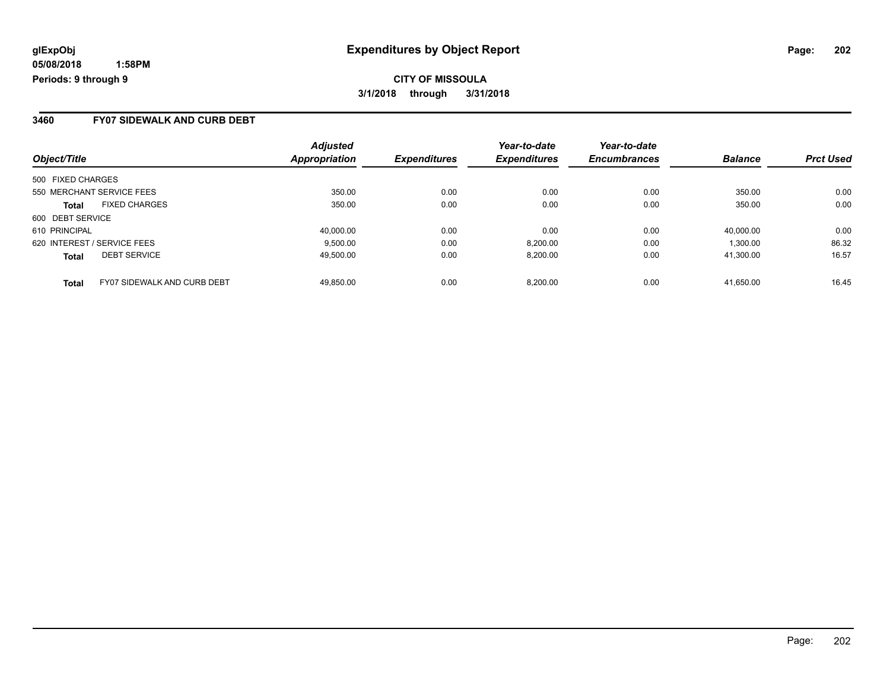#### **3460 FY07 SIDEWALK AND CURB DEBT**

| Object/Title                                       | <b>Adjusted</b><br>Appropriation | <b>Expenditures</b> | Year-to-date<br><b>Expenditures</b> | Year-to-date<br><b>Encumbrances</b> | <b>Balance</b> | <b>Prct Used</b> |
|----------------------------------------------------|----------------------------------|---------------------|-------------------------------------|-------------------------------------|----------------|------------------|
|                                                    |                                  |                     |                                     |                                     |                |                  |
| 500 FIXED CHARGES                                  |                                  |                     |                                     |                                     |                |                  |
| 550 MERCHANT SERVICE FEES                          | 350.00                           | 0.00                | 0.00                                | 0.00                                | 350.00         | 0.00             |
| <b>FIXED CHARGES</b><br>Total                      | 350.00                           | 0.00                | 0.00                                | 0.00                                | 350.00         | 0.00             |
| 600 DEBT SERVICE                                   |                                  |                     |                                     |                                     |                |                  |
| 610 PRINCIPAL                                      | 40.000.00                        | 0.00                | 0.00                                | 0.00                                | 40.000.00      | 0.00             |
| 620 INTEREST / SERVICE FEES                        | 9.500.00                         | 0.00                | 8.200.00                            | 0.00                                | 1.300.00       | 86.32            |
| <b>DEBT SERVICE</b><br><b>Total</b>                | 49,500.00                        | 0.00                | 8,200.00                            | 0.00                                | 41,300.00      | 16.57            |
| <b>FY07 SIDEWALK AND CURB DEBT</b><br><b>Total</b> | 49.850.00                        | 0.00                | 8,200.00                            | 0.00                                | 41.650.00      | 16.45            |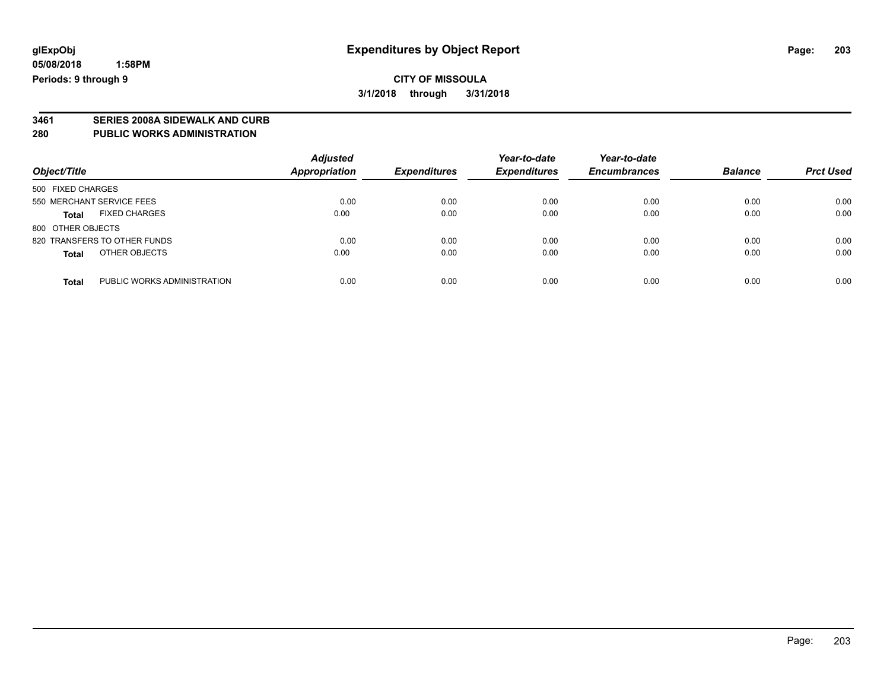**3/1/2018 through 3/31/2018**

# **3461 SERIES 2008A SIDEWALK AND CURB**

#### **280 PUBLIC WORKS ADMINISTRATION**

| Object/Title                                | <b>Adjusted</b><br><b>Appropriation</b> | <b>Expenditures</b> | Year-to-date<br><b>Expenditures</b> | Year-to-date<br><b>Encumbrances</b> | <b>Balance</b> | <b>Prct Used</b> |
|---------------------------------------------|-----------------------------------------|---------------------|-------------------------------------|-------------------------------------|----------------|------------------|
| 500 FIXED CHARGES                           |                                         |                     |                                     |                                     |                |                  |
| 550 MERCHANT SERVICE FEES                   | 0.00                                    | 0.00                | 0.00                                | 0.00                                | 0.00           | 0.00             |
| <b>FIXED CHARGES</b><br><b>Total</b>        | 0.00                                    | 0.00                | 0.00                                | 0.00                                | 0.00           | 0.00             |
| 800 OTHER OBJECTS                           |                                         |                     |                                     |                                     |                |                  |
| 820 TRANSFERS TO OTHER FUNDS                | 0.00                                    | 0.00                | 0.00                                | 0.00                                | 0.00           | 0.00             |
| OTHER OBJECTS<br><b>Total</b>               | 0.00                                    | 0.00                | 0.00                                | 0.00                                | 0.00           | 0.00             |
| PUBLIC WORKS ADMINISTRATION<br><b>Total</b> | 0.00                                    | 0.00                | 0.00                                | 0.00                                | 0.00           | 0.00             |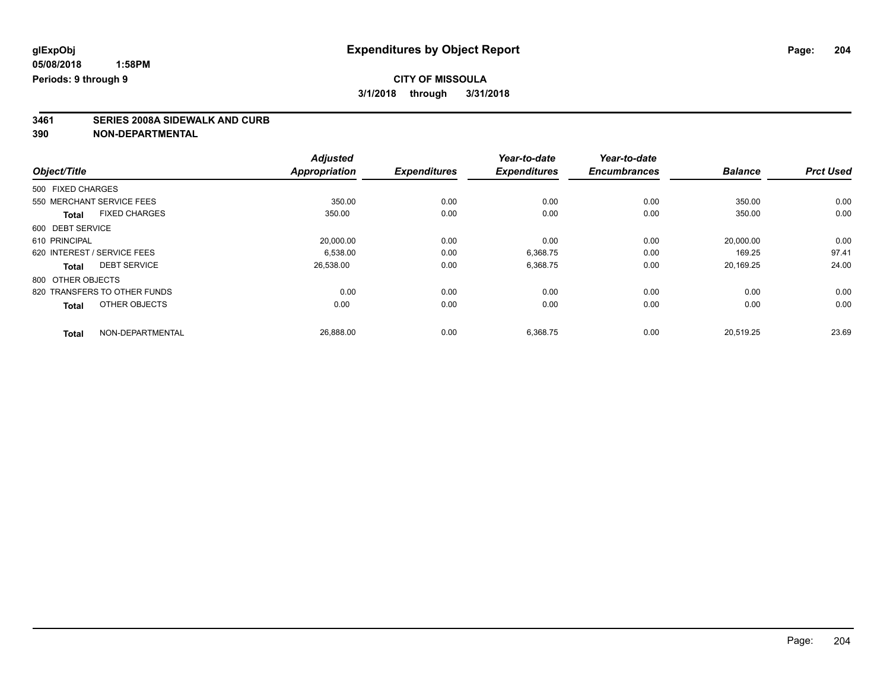# **3461 SERIES 2008A SIDEWALK AND CURB**

|                                      | <b>Adjusted</b>      |                     | Year-to-date        | Year-to-date        |                |                  |
|--------------------------------------|----------------------|---------------------|---------------------|---------------------|----------------|------------------|
| Object/Title                         | <b>Appropriation</b> | <b>Expenditures</b> | <b>Expenditures</b> | <b>Encumbrances</b> | <b>Balance</b> | <b>Prct Used</b> |
| 500 FIXED CHARGES                    |                      |                     |                     |                     |                |                  |
| 550 MERCHANT SERVICE FEES            | 350.00               | 0.00                | 0.00                | 0.00                | 350.00         | 0.00             |
| <b>FIXED CHARGES</b><br><b>Total</b> | 350.00               | 0.00                | 0.00                | 0.00                | 350.00         | 0.00             |
| 600 DEBT SERVICE                     |                      |                     |                     |                     |                |                  |
| 610 PRINCIPAL                        | 20,000.00            | 0.00                | 0.00                | 0.00                | 20,000.00      | 0.00             |
| 620 INTEREST / SERVICE FEES          | 6.538.00             | 0.00                | 6,368.75            | 0.00                | 169.25         | 97.41            |
| <b>DEBT SERVICE</b><br><b>Total</b>  | 26,538.00            | 0.00                | 6,368.75            | 0.00                | 20,169.25      | 24.00            |
| 800 OTHER OBJECTS                    |                      |                     |                     |                     |                |                  |
| 820 TRANSFERS TO OTHER FUNDS         | 0.00                 | 0.00                | 0.00                | 0.00                | 0.00           | 0.00             |
| OTHER OBJECTS<br><b>Total</b>        | 0.00                 | 0.00                | 0.00                | 0.00                | 0.00           | 0.00             |
| NON-DEPARTMENTAL<br><b>Total</b>     | 26,888.00            | 0.00                | 6,368.75            | 0.00                | 20,519.25      | 23.69            |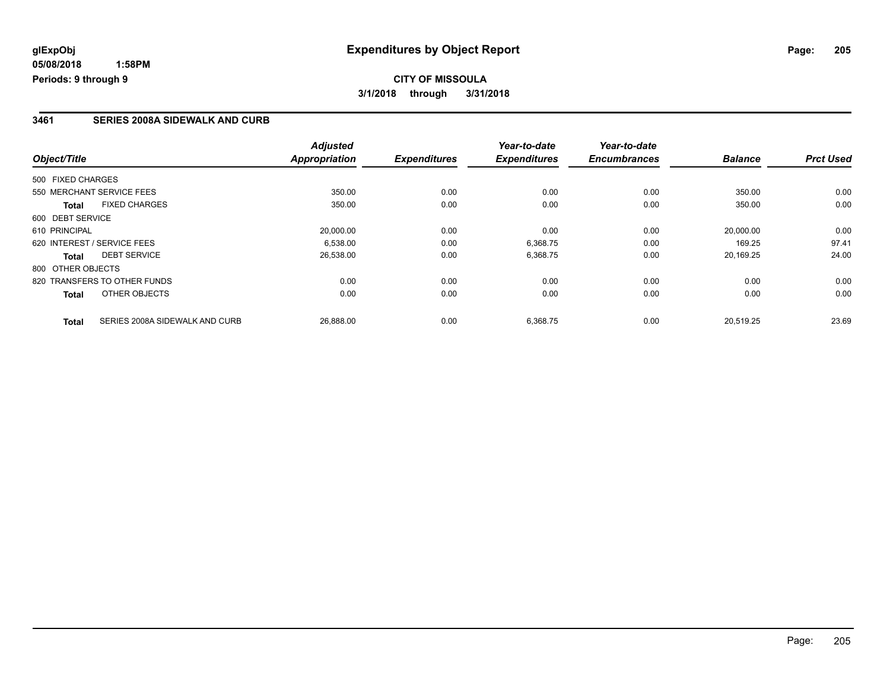### **3461 SERIES 2008A SIDEWALK AND CURB**

|                                                | <b>Adjusted</b>      |                     | Year-to-date        | Year-to-date        |                |                  |
|------------------------------------------------|----------------------|---------------------|---------------------|---------------------|----------------|------------------|
| Object/Title                                   | <b>Appropriation</b> | <b>Expenditures</b> | <b>Expenditures</b> | <b>Encumbrances</b> | <b>Balance</b> | <b>Prct Used</b> |
| 500 FIXED CHARGES                              |                      |                     |                     |                     |                |                  |
| 550 MERCHANT SERVICE FEES                      | 350.00               | 0.00                | 0.00                | 0.00                | 350.00         | 0.00             |
| <b>FIXED CHARGES</b><br>Total                  | 350.00               | 0.00                | 0.00                | 0.00                | 350.00         | 0.00             |
| 600 DEBT SERVICE                               |                      |                     |                     |                     |                |                  |
| 610 PRINCIPAL                                  | 20,000.00            | 0.00                | 0.00                | 0.00                | 20.000.00      | 0.00             |
| 620 INTEREST / SERVICE FEES                    | 6,538.00             | 0.00                | 6,368.75            | 0.00                | 169.25         | 97.41            |
| <b>DEBT SERVICE</b><br>Total                   | 26,538.00            | 0.00                | 6,368.75            | 0.00                | 20,169.25      | 24.00            |
| 800 OTHER OBJECTS                              |                      |                     |                     |                     |                |                  |
| 820 TRANSFERS TO OTHER FUNDS                   | 0.00                 | 0.00                | 0.00                | 0.00                | 0.00           | 0.00             |
| OTHER OBJECTS<br>Total                         | 0.00                 | 0.00                | 0.00                | 0.00                | 0.00           | 0.00             |
| SERIES 2008A SIDEWALK AND CURB<br><b>Total</b> | 26.888.00            | 0.00                | 6,368.75            | 0.00                | 20.519.25      | 23.69            |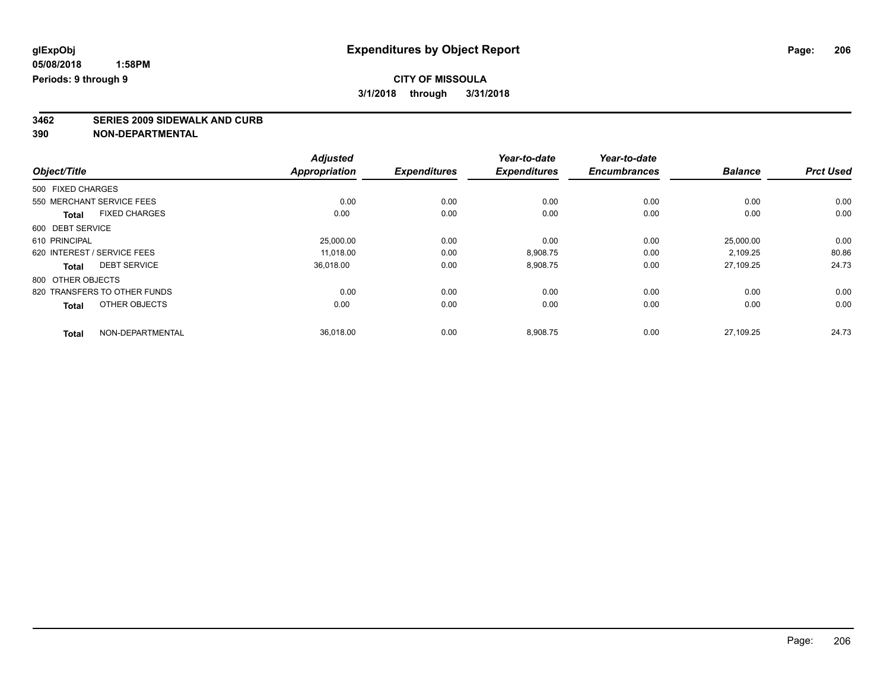# **3462 SERIES 2009 SIDEWALK AND CURB**

|                                      | <b>Adjusted</b>      |                     | Year-to-date        | Year-to-date        |                |                  |
|--------------------------------------|----------------------|---------------------|---------------------|---------------------|----------------|------------------|
| Object/Title                         | <b>Appropriation</b> | <b>Expenditures</b> | <b>Expenditures</b> | <b>Encumbrances</b> | <b>Balance</b> | <b>Prct Used</b> |
| 500 FIXED CHARGES                    |                      |                     |                     |                     |                |                  |
| 550 MERCHANT SERVICE FEES            | 0.00                 | 0.00                | 0.00                | 0.00                | 0.00           | 0.00             |
| <b>FIXED CHARGES</b><br><b>Total</b> | 0.00                 | 0.00                | 0.00                | 0.00                | 0.00           | 0.00             |
| 600 DEBT SERVICE                     |                      |                     |                     |                     |                |                  |
| 610 PRINCIPAL                        | 25,000.00            | 0.00                | 0.00                | 0.00                | 25,000.00      | 0.00             |
| 620 INTEREST / SERVICE FEES          | 11.018.00            | 0.00                | 8,908.75            | 0.00                | 2.109.25       | 80.86            |
| <b>DEBT SERVICE</b><br><b>Total</b>  | 36,018.00            | 0.00                | 8,908.75            | 0.00                | 27.109.25      | 24.73            |
| 800 OTHER OBJECTS                    |                      |                     |                     |                     |                |                  |
| 820 TRANSFERS TO OTHER FUNDS         | 0.00                 | 0.00                | 0.00                | 0.00                | 0.00           | 0.00             |
| OTHER OBJECTS<br><b>Total</b>        | 0.00                 | 0.00                | 0.00                | 0.00                | 0.00           | 0.00             |
| NON-DEPARTMENTAL<br><b>Total</b>     | 36,018.00            | 0.00                | 8,908.75            | 0.00                | 27.109.25      | 24.73            |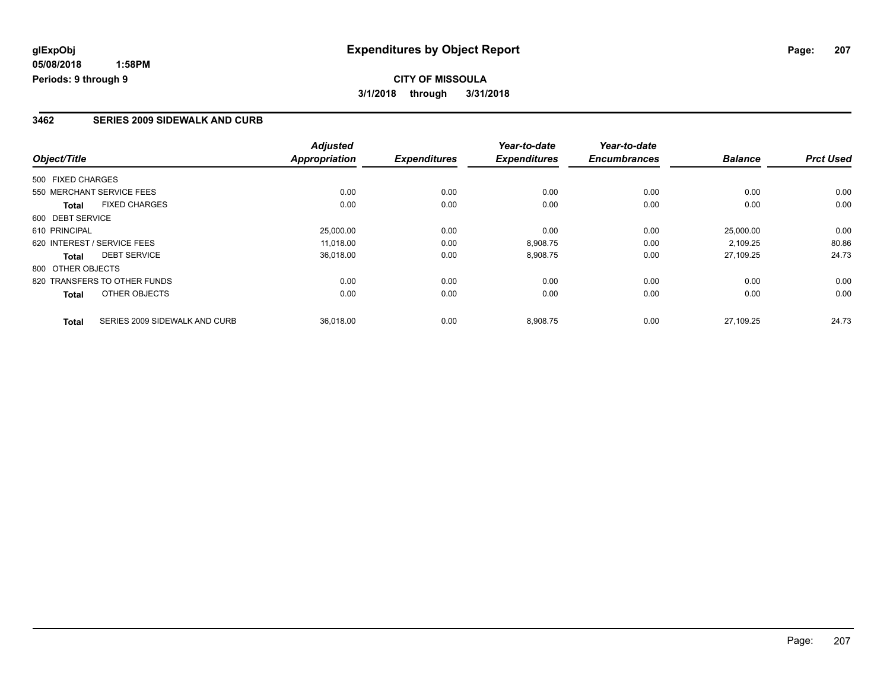# **CITY OF MISSOULA 3/1/2018 through 3/31/2018**

### **3462 SERIES 2009 SIDEWALK AND CURB**

|                                               | <b>Adjusted</b>      |                     | Year-to-date        | Year-to-date        |                |                  |
|-----------------------------------------------|----------------------|---------------------|---------------------|---------------------|----------------|------------------|
| Object/Title                                  | <b>Appropriation</b> | <b>Expenditures</b> | <b>Expenditures</b> | <b>Encumbrances</b> | <b>Balance</b> | <b>Prct Used</b> |
| 500 FIXED CHARGES                             |                      |                     |                     |                     |                |                  |
| 550 MERCHANT SERVICE FEES                     | 0.00                 | 0.00                | 0.00                | 0.00                | 0.00           | 0.00             |
| <b>FIXED CHARGES</b><br><b>Total</b>          | 0.00                 | 0.00                | 0.00                | 0.00                | 0.00           | 0.00             |
| 600 DEBT SERVICE                              |                      |                     |                     |                     |                |                  |
| 610 PRINCIPAL                                 | 25,000.00            | 0.00                | 0.00                | 0.00                | 25,000.00      | 0.00             |
| 620 INTEREST / SERVICE FEES                   | 11.018.00            | 0.00                | 8,908.75            | 0.00                | 2,109.25       | 80.86            |
| <b>DEBT SERVICE</b><br><b>Total</b>           | 36,018.00            | 0.00                | 8,908.75            | 0.00                | 27,109.25      | 24.73            |
| 800 OTHER OBJECTS                             |                      |                     |                     |                     |                |                  |
| 820 TRANSFERS TO OTHER FUNDS                  | 0.00                 | 0.00                | 0.00                | 0.00                | 0.00           | 0.00             |
| OTHER OBJECTS<br>Total                        | 0.00                 | 0.00                | 0.00                | 0.00                | 0.00           | 0.00             |
| SERIES 2009 SIDEWALK AND CURB<br><b>Total</b> | 36,018.00            | 0.00                | 8,908.75            | 0.00                | 27.109.25      | 24.73            |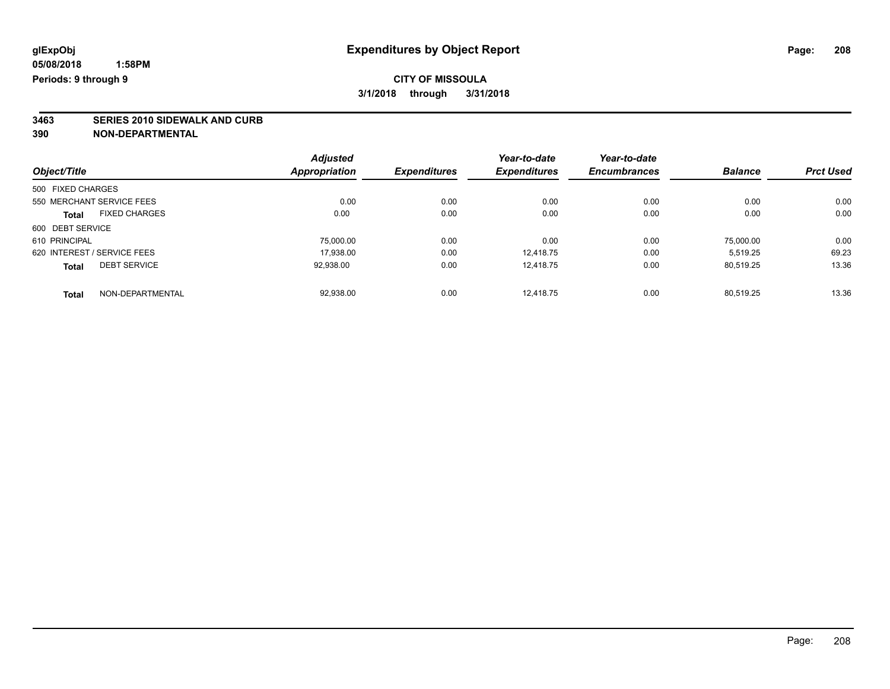# **3463 SERIES 2010 SIDEWALK AND CURB**

|                                      | <b>Adjusted</b>      |                     | Year-to-date        | Year-to-date        |                |                  |
|--------------------------------------|----------------------|---------------------|---------------------|---------------------|----------------|------------------|
| Object/Title                         | <b>Appropriation</b> | <b>Expenditures</b> | <b>Expenditures</b> | <b>Encumbrances</b> | <b>Balance</b> | <b>Prct Used</b> |
| 500 FIXED CHARGES                    |                      |                     |                     |                     |                |                  |
| 550 MERCHANT SERVICE FEES            | 0.00                 | 0.00                | 0.00                | 0.00                | 0.00           | 0.00             |
| <b>FIXED CHARGES</b><br><b>Total</b> | 0.00                 | 0.00                | 0.00                | 0.00                | 0.00           | 0.00             |
| 600 DEBT SERVICE                     |                      |                     |                     |                     |                |                  |
| 610 PRINCIPAL                        | 75,000.00            | 0.00                | 0.00                | 0.00                | 75.000.00      | 0.00             |
| 620 INTEREST / SERVICE FEES          | 17,938.00            | 0.00                | 12.418.75           | 0.00                | 5,519.25       | 69.23            |
| <b>DEBT SERVICE</b><br><b>Total</b>  | 92.938.00            | 0.00                | 12.418.75           | 0.00                | 80.519.25      | 13.36            |
| NON-DEPARTMENTAL<br><b>Total</b>     | 92.938.00            | 0.00                | 12.418.75           | 0.00                | 80.519.25      | 13.36            |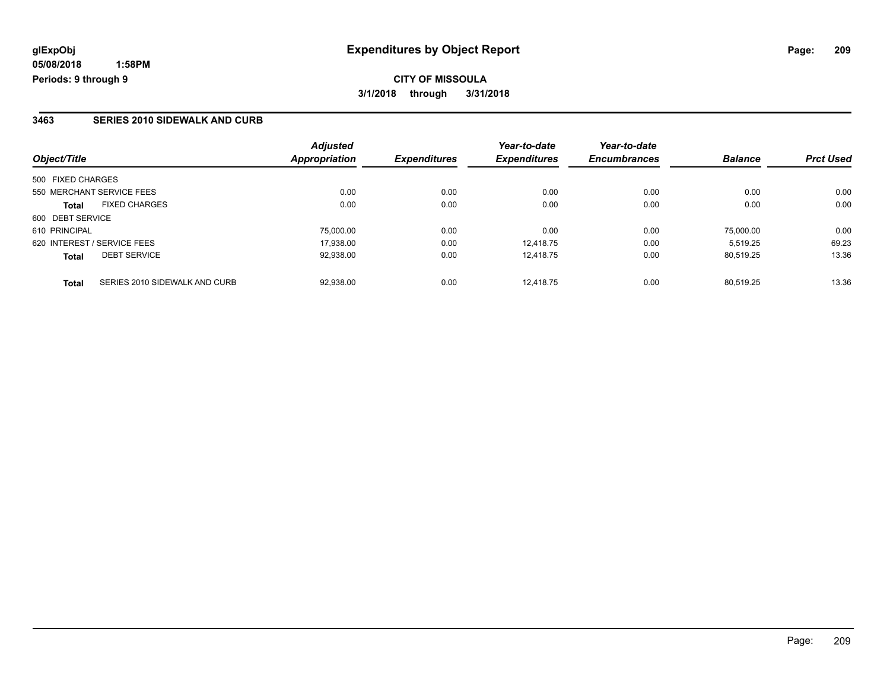### **3463 SERIES 2010 SIDEWALK AND CURB**

|                                        | <b>Adjusted</b>      |                     | Year-to-date        | Year-to-date        |                |                  |
|----------------------------------------|----------------------|---------------------|---------------------|---------------------|----------------|------------------|
| Object/Title                           | <b>Appropriation</b> | <b>Expenditures</b> | <b>Expenditures</b> | <b>Encumbrances</b> | <b>Balance</b> | <b>Prct Used</b> |
| 500 FIXED CHARGES                      |                      |                     |                     |                     |                |                  |
| 550 MERCHANT SERVICE FEES              | 0.00                 | 0.00                | 0.00                | 0.00                | 0.00           | 0.00             |
| <b>FIXED CHARGES</b><br>Total          | 0.00                 | 0.00                | 0.00                | 0.00                | 0.00           | 0.00             |
| 600 DEBT SERVICE                       |                      |                     |                     |                     |                |                  |
| 610 PRINCIPAL                          | 75,000.00            | 0.00                | 0.00                | 0.00                | 75.000.00      | 0.00             |
| 620 INTEREST / SERVICE FEES            | 17.938.00            | 0.00                | 12.418.75           | 0.00                | 5.519.25       | 69.23            |
| <b>DEBT SERVICE</b><br><b>Total</b>    | 92.938.00            | 0.00                | 12.418.75           | 0.00                | 80.519.25      | 13.36            |
| SERIES 2010 SIDEWALK AND CURB<br>Total | 92.938.00            | 0.00                | 12.418.75           | 0.00                | 80.519.25      | 13.36            |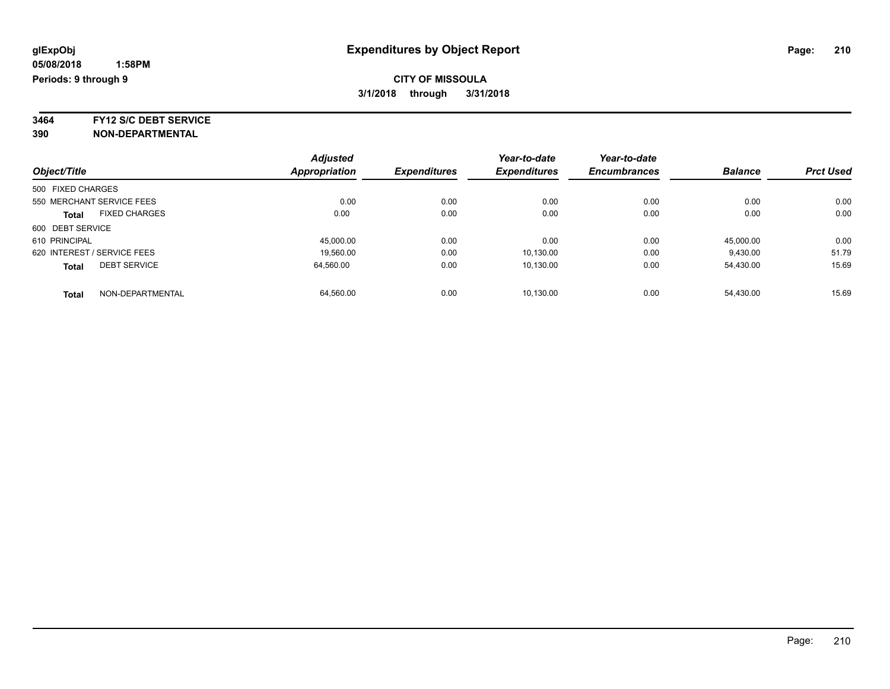**3464 FY12 S/C DEBT SERVICE**

|                                      | <b>Adjusted</b> |                     | Year-to-date        | Year-to-date        | <b>Balance</b> |                  |
|--------------------------------------|-----------------|---------------------|---------------------|---------------------|----------------|------------------|
| Object/Title                         | Appropriation   | <b>Expenditures</b> | <b>Expenditures</b> | <b>Encumbrances</b> |                | <b>Prct Used</b> |
| 500 FIXED CHARGES                    |                 |                     |                     |                     |                |                  |
| 550 MERCHANT SERVICE FEES            | 0.00            | 0.00                | 0.00                | 0.00                | 0.00           | 0.00             |
| <b>FIXED CHARGES</b><br><b>Total</b> | 0.00            | 0.00                | 0.00                | 0.00                | 0.00           | 0.00             |
| 600 DEBT SERVICE                     |                 |                     |                     |                     |                |                  |
| 610 PRINCIPAL                        | 45,000.00       | 0.00                | 0.00                | 0.00                | 45,000.00      | 0.00             |
| 620 INTEREST / SERVICE FEES          | 19,560.00       | 0.00                | 10,130.00           | 0.00                | 9,430.00       | 51.79            |
| <b>DEBT SERVICE</b><br><b>Total</b>  | 64.560.00       | 0.00                | 10.130.00           | 0.00                | 54.430.00      | 15.69            |
| NON-DEPARTMENTAL<br><b>Total</b>     | 64.560.00       | 0.00                | 10.130.00           | 0.00                | 54.430.00      | 15.69            |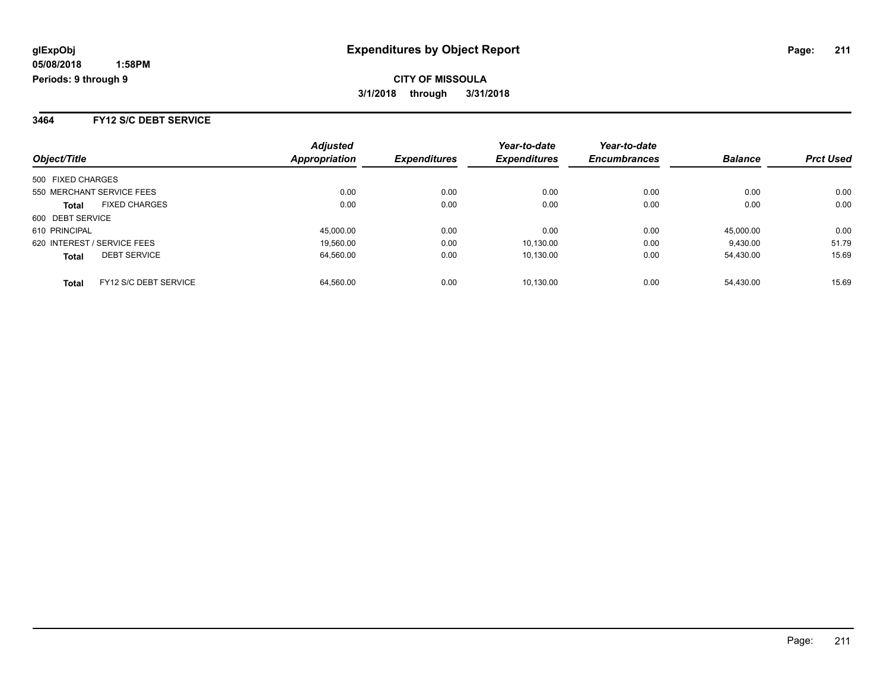**3464 FY12 S/C DEBT SERVICE**

| Object/Title                          | <b>Adjusted</b><br><b>Appropriation</b> | <b>Expenditures</b> | Year-to-date<br><b>Expenditures</b> | Year-to-date<br><b>Encumbrances</b> | <b>Balance</b> | <b>Prct Used</b> |
|---------------------------------------|-----------------------------------------|---------------------|-------------------------------------|-------------------------------------|----------------|------------------|
| 500 FIXED CHARGES                     |                                         |                     |                                     |                                     |                |                  |
| 550 MERCHANT SERVICE FEES             | 0.00                                    | 0.00                | 0.00                                | 0.00                                | 0.00           | 0.00             |
| <b>FIXED CHARGES</b><br><b>Total</b>  | 0.00                                    | 0.00                | 0.00                                | 0.00                                | 0.00           | 0.00             |
| 600 DEBT SERVICE                      |                                         |                     |                                     |                                     |                |                  |
| 610 PRINCIPAL                         | 45.000.00                               | 0.00                | 0.00                                | 0.00                                | 45,000.00      | 0.00             |
| 620 INTEREST / SERVICE FEES           | 19,560.00                               | 0.00                | 10.130.00                           | 0.00                                | 9,430.00       | 51.79            |
| <b>DEBT SERVICE</b><br><b>Total</b>   | 64,560.00                               | 0.00                | 10.130.00                           | 0.00                                | 54.430.00      | 15.69            |
| FY12 S/C DEBT SERVICE<br><b>Total</b> | 64.560.00                               | 0.00                | 10.130.00                           | 0.00                                | 54.430.00      | 15.69            |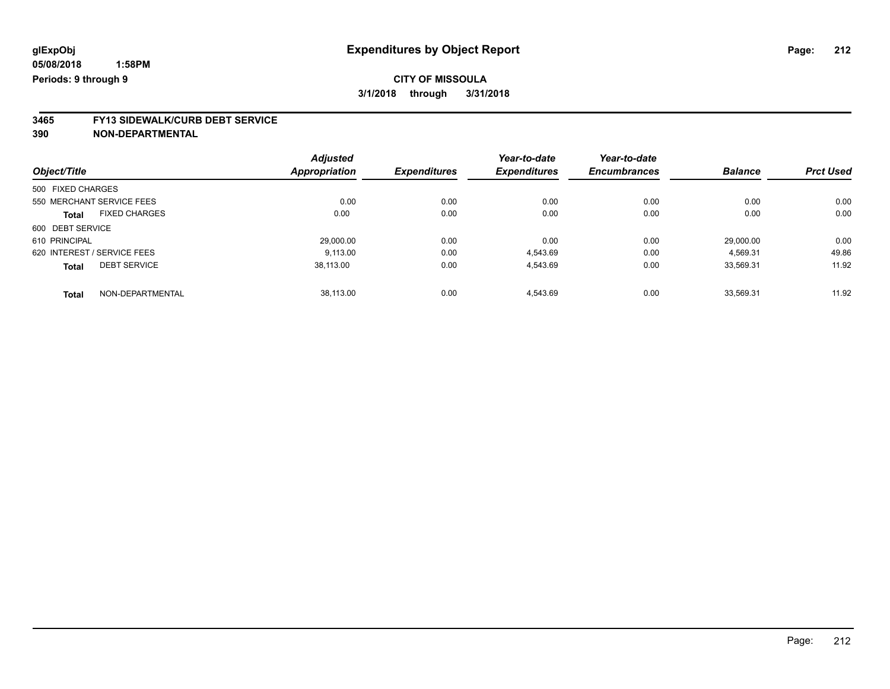# **3465 FY13 SIDEWALK/CURB DEBT SERVICE**

|                                      | <b>Adjusted</b>      |                     | Year-to-date        | Year-to-date        |                |                  |
|--------------------------------------|----------------------|---------------------|---------------------|---------------------|----------------|------------------|
| Object/Title                         | <b>Appropriation</b> | <b>Expenditures</b> | <b>Expenditures</b> | <b>Encumbrances</b> | <b>Balance</b> | <b>Prct Used</b> |
| 500 FIXED CHARGES                    |                      |                     |                     |                     |                |                  |
| 550 MERCHANT SERVICE FEES            | 0.00                 | 0.00                | 0.00                | 0.00                | 0.00           | 0.00             |
| <b>FIXED CHARGES</b><br><b>Total</b> | 0.00                 | 0.00                | 0.00                | 0.00                | 0.00           | 0.00             |
| 600 DEBT SERVICE                     |                      |                     |                     |                     |                |                  |
| 610 PRINCIPAL                        | 29,000.00            | 0.00                | 0.00                | 0.00                | 29.000.00      | 0.00             |
| 620 INTEREST / SERVICE FEES          | 9,113.00             | 0.00                | 4,543.69            | 0.00                | 4,569.31       | 49.86            |
| <b>DEBT SERVICE</b><br><b>Total</b>  | 38.113.00            | 0.00                | 4,543.69            | 0.00                | 33,569.31      | 11.92            |
| NON-DEPARTMENTAL<br><b>Total</b>     | 38.113.00            | 0.00                | 4.543.69            | 0.00                | 33.569.31      | 11.92            |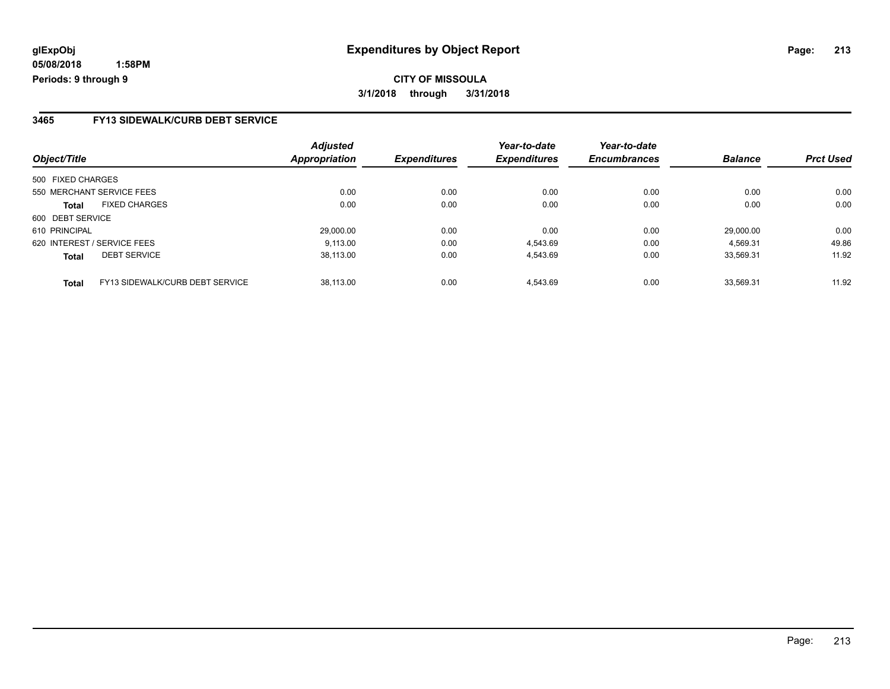### **3465 FY13 SIDEWALK/CURB DEBT SERVICE**

| Object/Title                                    | <b>Adjusted</b><br><b>Appropriation</b> | <b>Expenditures</b> | Year-to-date<br><b>Expenditures</b> | Year-to-date<br><b>Encumbrances</b> | <b>Balance</b> | <b>Prct Used</b> |
|-------------------------------------------------|-----------------------------------------|---------------------|-------------------------------------|-------------------------------------|----------------|------------------|
|                                                 |                                         |                     |                                     |                                     |                |                  |
| 500 FIXED CHARGES                               |                                         |                     |                                     |                                     |                |                  |
| 550 MERCHANT SERVICE FEES                       | 0.00                                    | 0.00                | 0.00                                | 0.00                                | 0.00           | 0.00             |
| <b>FIXED CHARGES</b><br><b>Total</b>            | 0.00                                    | 0.00                | 0.00                                | 0.00                                | 0.00           | 0.00             |
| 600 DEBT SERVICE                                |                                         |                     |                                     |                                     |                |                  |
| 610 PRINCIPAL                                   | 29,000.00                               | 0.00                | 0.00                                | 0.00                                | 29.000.00      | 0.00             |
| 620 INTEREST / SERVICE FEES                     | 9.113.00                                | 0.00                | 4.543.69                            | 0.00                                | 4.569.31       | 49.86            |
| <b>DEBT SERVICE</b><br><b>Total</b>             | 38,113.00                               | 0.00                | 4,543.69                            | 0.00                                | 33.569.31      | 11.92            |
| FY13 SIDEWALK/CURB DEBT SERVICE<br><b>Total</b> | 38.113.00                               | 0.00                | 4.543.69                            | 0.00                                | 33.569.31      | 11.92            |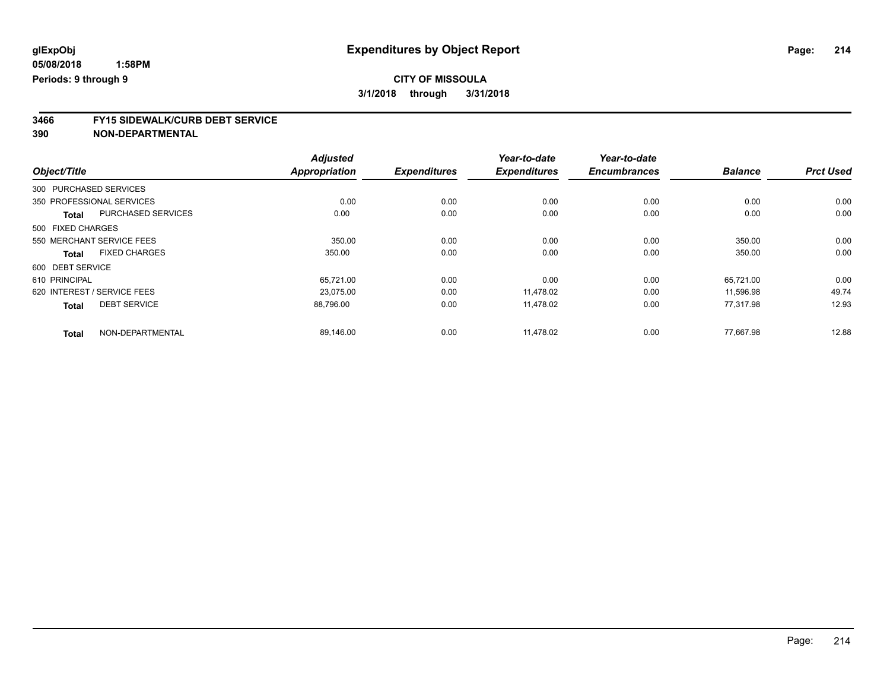# **3466 FY15 SIDEWALK/CURB DEBT SERVICE**

|                             |                           | <b>Adjusted</b>      |                     | Year-to-date        | Year-to-date        |                |                  |
|-----------------------------|---------------------------|----------------------|---------------------|---------------------|---------------------|----------------|------------------|
| Object/Title                |                           | <b>Appropriation</b> | <b>Expenditures</b> | <b>Expenditures</b> | <b>Encumbrances</b> | <b>Balance</b> | <b>Prct Used</b> |
| 300 PURCHASED SERVICES      |                           |                      |                     |                     |                     |                |                  |
| 350 PROFESSIONAL SERVICES   |                           | 0.00                 | 0.00                | 0.00                | 0.00                | 0.00           | 0.00             |
| <b>Total</b>                | <b>PURCHASED SERVICES</b> | 0.00                 | 0.00                | 0.00                | 0.00                | 0.00           | 0.00             |
| 500 FIXED CHARGES           |                           |                      |                     |                     |                     |                |                  |
| 550 MERCHANT SERVICE FEES   |                           | 350.00               | 0.00                | 0.00                | 0.00                | 350.00         | 0.00             |
| <b>Total</b>                | <b>FIXED CHARGES</b>      | 350.00               | 0.00                | 0.00                | 0.00                | 350.00         | 0.00             |
| 600 DEBT SERVICE            |                           |                      |                     |                     |                     |                |                  |
| 610 PRINCIPAL               |                           | 65,721.00            | 0.00                | 0.00                | 0.00                | 65,721.00      | 0.00             |
| 620 INTEREST / SERVICE FEES |                           | 23.075.00            | 0.00                | 11,478.02           | 0.00                | 11,596.98      | 49.74            |
| <b>Total</b>                | <b>DEBT SERVICE</b>       | 88,796.00            | 0.00                | 11,478.02           | 0.00                | 77.317.98      | 12.93            |
| <b>Total</b>                | NON-DEPARTMENTAL          | 89,146.00            | 0.00                | 11,478.02           | 0.00                | 77,667.98      | 12.88            |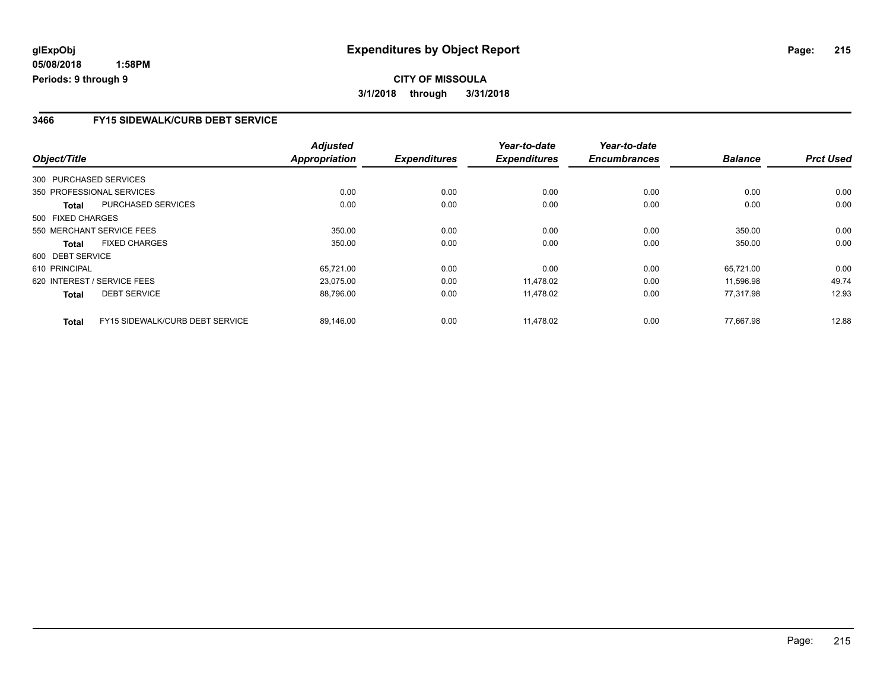### **3466 FY15 SIDEWALK/CURB DEBT SERVICE**

|                        |                                 | <b>Adjusted</b>      |                     | Year-to-date        | Year-to-date        |                |                  |
|------------------------|---------------------------------|----------------------|---------------------|---------------------|---------------------|----------------|------------------|
| Object/Title           |                                 | <b>Appropriation</b> | <b>Expenditures</b> | <b>Expenditures</b> | <b>Encumbrances</b> | <b>Balance</b> | <b>Prct Used</b> |
| 300 PURCHASED SERVICES |                                 |                      |                     |                     |                     |                |                  |
|                        | 350 PROFESSIONAL SERVICES       | 0.00                 | 0.00                | 0.00                | 0.00                | 0.00           | 0.00             |
| Total                  | PURCHASED SERVICES              | 0.00                 | 0.00                | 0.00                | 0.00                | 0.00           | 0.00             |
| 500 FIXED CHARGES      |                                 |                      |                     |                     |                     |                |                  |
|                        | 550 MERCHANT SERVICE FEES       | 350.00               | 0.00                | 0.00                | 0.00                | 350.00         | 0.00             |
| Total                  | <b>FIXED CHARGES</b>            | 350.00               | 0.00                | 0.00                | 0.00                | 350.00         | 0.00             |
| 600 DEBT SERVICE       |                                 |                      |                     |                     |                     |                |                  |
| 610 PRINCIPAL          |                                 | 65,721.00            | 0.00                | 0.00                | 0.00                | 65.721.00      | 0.00             |
|                        | 620 INTEREST / SERVICE FEES     | 23.075.00            | 0.00                | 11.478.02           | 0.00                | 11,596.98      | 49.74            |
| <b>Total</b>           | <b>DEBT SERVICE</b>             | 88,796.00            | 0.00                | 11,478.02           | 0.00                | 77.317.98      | 12.93            |
| <b>Total</b>           | FY15 SIDEWALK/CURB DEBT SERVICE | 89.146.00            | 0.00                | 11.478.02           | 0.00                | 77.667.98      | 12.88            |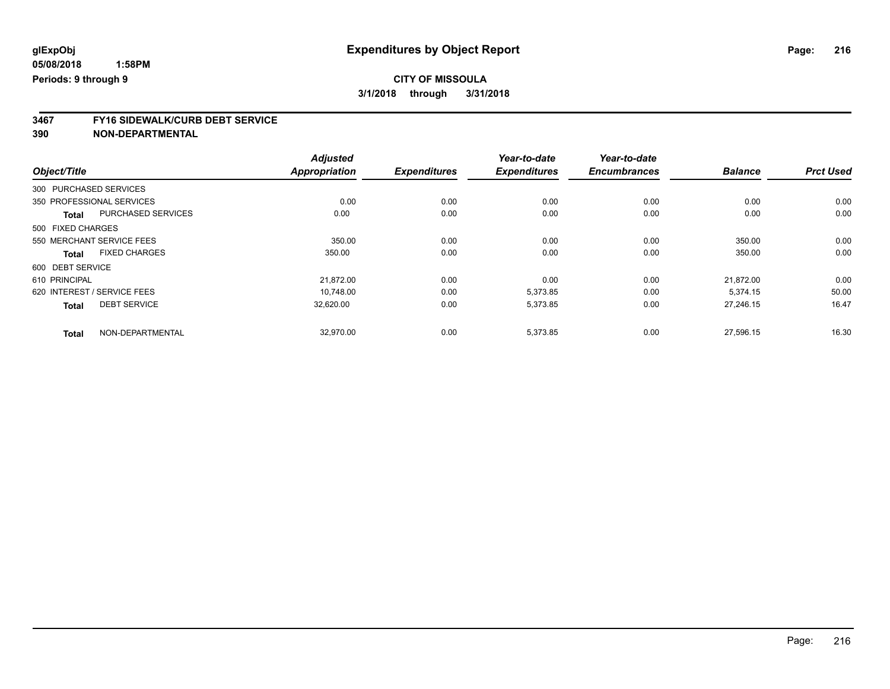# **3467 FY16 SIDEWALK/CURB DEBT SERVICE**

|                   |                             | <b>Adjusted</b>      |                     | Year-to-date        | Year-to-date        |                |                  |
|-------------------|-----------------------------|----------------------|---------------------|---------------------|---------------------|----------------|------------------|
| Object/Title      |                             | <b>Appropriation</b> | <b>Expenditures</b> | <b>Expenditures</b> | <b>Encumbrances</b> | <b>Balance</b> | <b>Prct Used</b> |
|                   | 300 PURCHASED SERVICES      |                      |                     |                     |                     |                |                  |
|                   | 350 PROFESSIONAL SERVICES   | 0.00                 | 0.00                | 0.00                | 0.00                | 0.00           | 0.00             |
| <b>Total</b>      | <b>PURCHASED SERVICES</b>   | 0.00                 | 0.00                | 0.00                | 0.00                | 0.00           | 0.00             |
| 500 FIXED CHARGES |                             |                      |                     |                     |                     |                |                  |
|                   | 550 MERCHANT SERVICE FEES   | 350.00               | 0.00                | 0.00                | 0.00                | 350.00         | 0.00             |
| <b>Total</b>      | <b>FIXED CHARGES</b>        | 350.00               | 0.00                | 0.00                | 0.00                | 350.00         | 0.00             |
| 600 DEBT SERVICE  |                             |                      |                     |                     |                     |                |                  |
| 610 PRINCIPAL     |                             | 21,872.00            | 0.00                | 0.00                | 0.00                | 21.872.00      | 0.00             |
|                   | 620 INTEREST / SERVICE FEES | 10.748.00            | 0.00                | 5,373.85            | 0.00                | 5.374.15       | 50.00            |
| <b>Total</b>      | <b>DEBT SERVICE</b>         | 32.620.00            | 0.00                | 5,373.85            | 0.00                | 27.246.15      | 16.47            |
| <b>Total</b>      | NON-DEPARTMENTAL            | 32,970.00            | 0.00                | 5,373.85            | 0.00                | 27,596.15      | 16.30            |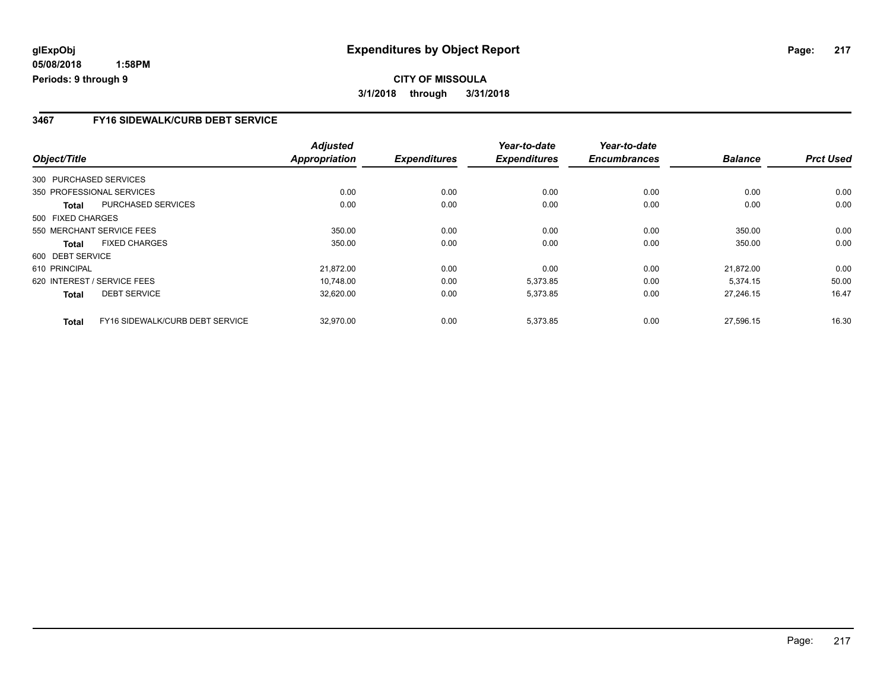## **3467 FY16 SIDEWALK/CURB DEBT SERVICE**

|                   |                                 | <b>Adjusted</b>      |                     | Year-to-date        | Year-to-date        |                |                  |
|-------------------|---------------------------------|----------------------|---------------------|---------------------|---------------------|----------------|------------------|
| Object/Title      |                                 | <b>Appropriation</b> | <b>Expenditures</b> | <b>Expenditures</b> | <b>Encumbrances</b> | <b>Balance</b> | <b>Prct Used</b> |
|                   | 300 PURCHASED SERVICES          |                      |                     |                     |                     |                |                  |
|                   | 350 PROFESSIONAL SERVICES       | 0.00                 | 0.00                | 0.00                | 0.00                | 0.00           | 0.00             |
| Total             | PURCHASED SERVICES              | 0.00                 | 0.00                | 0.00                | 0.00                | 0.00           | 0.00             |
| 500 FIXED CHARGES |                                 |                      |                     |                     |                     |                |                  |
|                   | 550 MERCHANT SERVICE FEES       | 350.00               | 0.00                | 0.00                | 0.00                | 350.00         | 0.00             |
| Total             | <b>FIXED CHARGES</b>            | 350.00               | 0.00                | 0.00                | 0.00                | 350.00         | 0.00             |
| 600 DEBT SERVICE  |                                 |                      |                     |                     |                     |                |                  |
| 610 PRINCIPAL     |                                 | 21.872.00            | 0.00                | 0.00                | 0.00                | 21.872.00      | 0.00             |
|                   | 620 INTEREST / SERVICE FEES     | 10.748.00            | 0.00                | 5,373.85            | 0.00                | 5.374.15       | 50.00            |
| <b>Total</b>      | <b>DEBT SERVICE</b>             | 32,620.00            | 0.00                | 5,373.85            | 0.00                | 27,246.15      | 16.47            |
| <b>Total</b>      | FY16 SIDEWALK/CURB DEBT SERVICE | 32,970.00            | 0.00                | 5,373.85            | 0.00                | 27.596.15      | 16.30            |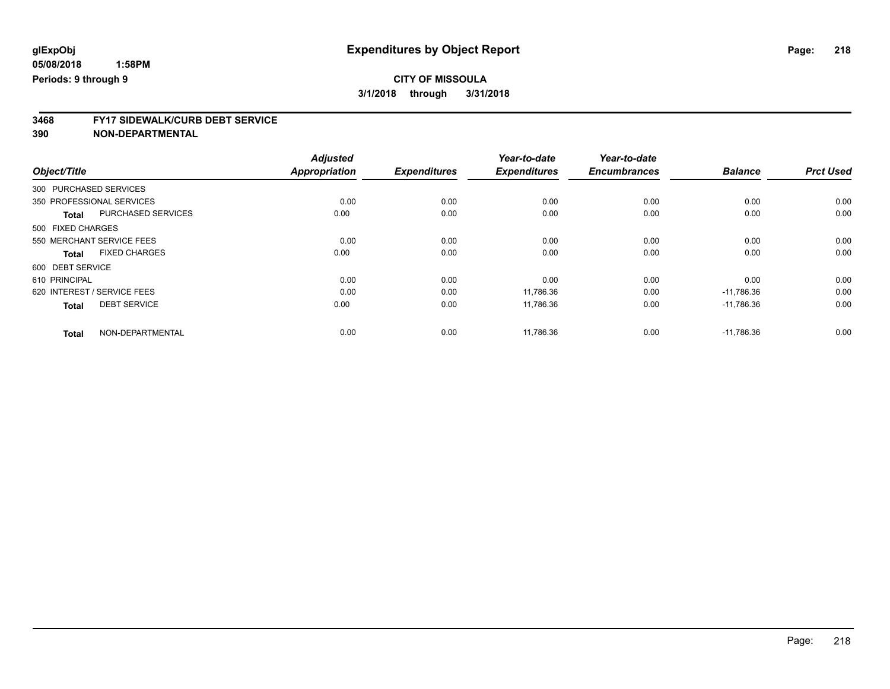# **3468 FY17 SIDEWALK/CURB DEBT SERVICE**

| Object/Title                |                      | <b>Adjusted</b>      | <b>Expenditures</b> | Year-to-date<br><b>Expenditures</b> | Year-to-date<br><b>Encumbrances</b> | <b>Balance</b> | <b>Prct Used</b> |
|-----------------------------|----------------------|----------------------|---------------------|-------------------------------------|-------------------------------------|----------------|------------------|
|                             |                      | <b>Appropriation</b> |                     |                                     |                                     |                |                  |
| 300 PURCHASED SERVICES      |                      |                      |                     |                                     |                                     |                |                  |
| 350 PROFESSIONAL SERVICES   |                      | 0.00                 | 0.00                | 0.00                                | 0.00                                | 0.00           | 0.00             |
| <b>Total</b>                | PURCHASED SERVICES   | 0.00                 | 0.00                | 0.00                                | 0.00                                | 0.00           | 0.00             |
| 500 FIXED CHARGES           |                      |                      |                     |                                     |                                     |                |                  |
| 550 MERCHANT SERVICE FEES   |                      | 0.00                 | 0.00                | 0.00                                | 0.00                                | 0.00           | 0.00             |
| <b>Total</b>                | <b>FIXED CHARGES</b> | 0.00                 | 0.00                | 0.00                                | 0.00                                | 0.00           | 0.00             |
| 600 DEBT SERVICE            |                      |                      |                     |                                     |                                     |                |                  |
| 610 PRINCIPAL               |                      | 0.00                 | 0.00                | 0.00                                | 0.00                                | 0.00           | 0.00             |
| 620 INTEREST / SERVICE FEES |                      | 0.00                 | 0.00                | 11,786.36                           | 0.00                                | $-11.786.36$   | 0.00             |
| <b>Total</b>                | <b>DEBT SERVICE</b>  | 0.00                 | 0.00                | 11,786.36                           | 0.00                                | $-11,786.36$   | 0.00             |
| <b>Total</b>                | NON-DEPARTMENTAL     | 0.00                 | 0.00                | 11,786.36                           | 0.00                                | $-11.786.36$   | 0.00             |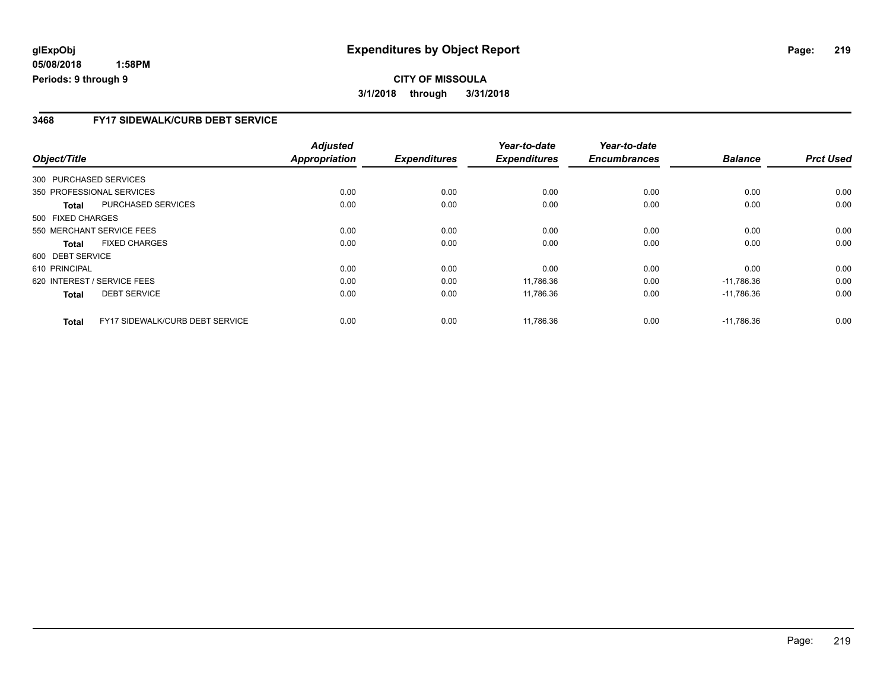## **3468 FY17 SIDEWALK/CURB DEBT SERVICE**

|                        |                                 | <b>Adjusted</b>      |                     | Year-to-date        | Year-to-date        |                |                  |
|------------------------|---------------------------------|----------------------|---------------------|---------------------|---------------------|----------------|------------------|
| Object/Title           |                                 | <b>Appropriation</b> | <b>Expenditures</b> | <b>Expenditures</b> | <b>Encumbrances</b> | <b>Balance</b> | <b>Prct Used</b> |
| 300 PURCHASED SERVICES |                                 |                      |                     |                     |                     |                |                  |
|                        | 350 PROFESSIONAL SERVICES       | 0.00                 | 0.00                | 0.00                | 0.00                | 0.00           | 0.00             |
| Total                  | PURCHASED SERVICES              | 0.00                 | 0.00                | 0.00                | 0.00                | 0.00           | 0.00             |
| 500 FIXED CHARGES      |                                 |                      |                     |                     |                     |                |                  |
|                        | 550 MERCHANT SERVICE FEES       | 0.00                 | 0.00                | 0.00                | 0.00                | 0.00           | 0.00             |
| Total                  | <b>FIXED CHARGES</b>            | 0.00                 | 0.00                | 0.00                | 0.00                | 0.00           | 0.00             |
| 600 DEBT SERVICE       |                                 |                      |                     |                     |                     |                |                  |
| 610 PRINCIPAL          |                                 | 0.00                 | 0.00                | 0.00                | 0.00                | 0.00           | 0.00             |
|                        | 620 INTEREST / SERVICE FEES     | 0.00                 | 0.00                | 11,786.36           | 0.00                | $-11.786.36$   | 0.00             |
| <b>Total</b>           | <b>DEBT SERVICE</b>             | 0.00                 | 0.00                | 11,786.36           | 0.00                | $-11,786.36$   | 0.00             |
| <b>Total</b>           | FY17 SIDEWALK/CURB DEBT SERVICE | 0.00                 | 0.00                | 11,786.36           | 0.00                | $-11.786.36$   | 0.00             |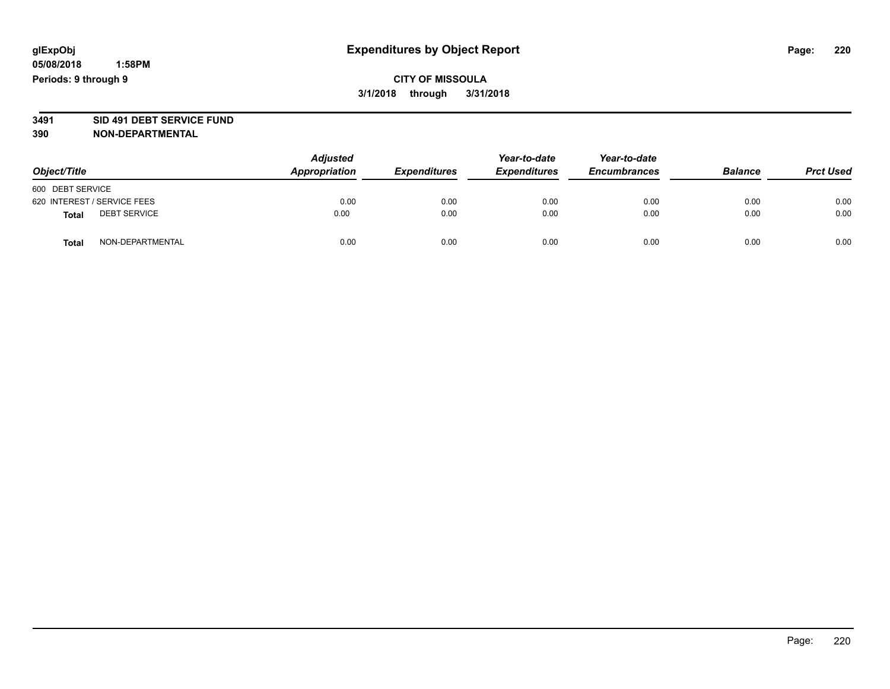# **3491 SID 491 DEBT SERVICE FUND**

| Object/Title                        | <b>Adjusted</b><br>Appropriation | <b>Expenditures</b> | Year-to-date<br><b>Expenditures</b> | Year-to-date<br><b>Encumbrances</b> | <b>Balance</b> | <b>Prct Used</b> |
|-------------------------------------|----------------------------------|---------------------|-------------------------------------|-------------------------------------|----------------|------------------|
| 600 DEBT SERVICE                    |                                  |                     |                                     |                                     |                |                  |
| 620 INTEREST / SERVICE FEES         | 0.00                             | 0.00                | 0.00                                | 0.00                                | 0.00           | 0.00             |
| <b>DEBT SERVICE</b><br><b>Total</b> | 0.00                             | 0.00                | 0.00                                | 0.00                                | 0.00           | 0.00             |
| NON-DEPARTMENTAL<br><b>Total</b>    | 0.00                             | 0.00                | 0.00                                | 0.00                                | 0.00           | 0.00             |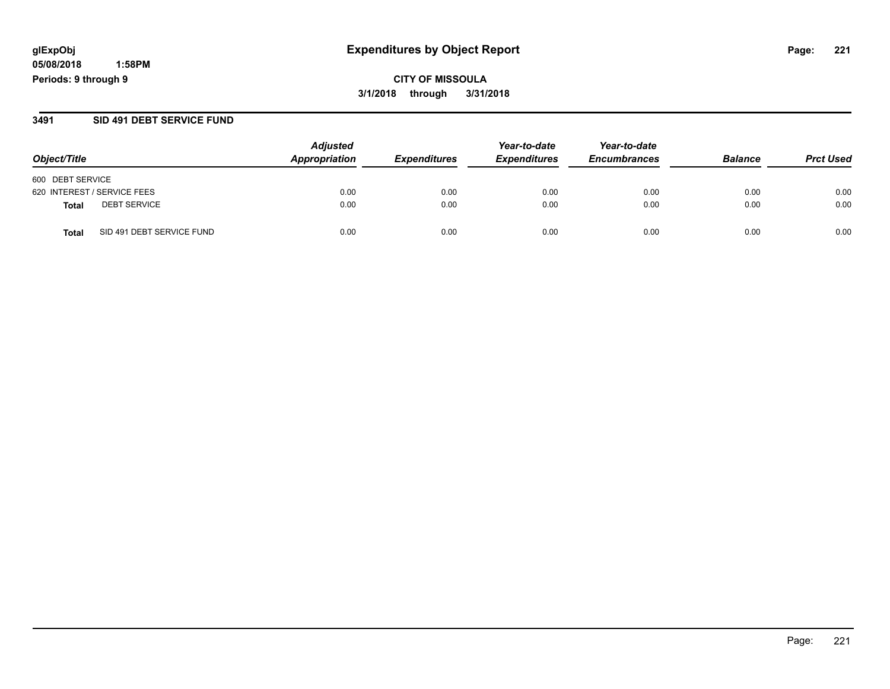**CITY OF MISSOULA 3/1/2018 through 3/31/2018**

### **3491 SID 491 DEBT SERVICE FUND**

|                                           | <b>Adjusted</b> |                     | Year-to-date        | Year-to-date        |                |                  |
|-------------------------------------------|-----------------|---------------------|---------------------|---------------------|----------------|------------------|
| Object/Title                              | Appropriation   | <b>Expenditures</b> | <b>Expenditures</b> | <b>Encumbrances</b> | <b>Balance</b> | <b>Prct Used</b> |
| 600 DEBT SERVICE                          |                 |                     |                     |                     |                |                  |
| 620 INTEREST / SERVICE FEES               | 0.00            | 0.00                | 0.00                | 0.00                | 0.00           | 0.00             |
| <b>DEBT SERVICE</b><br><b>Total</b>       | 0.00            | 0.00                | 0.00                | 0.00                | 0.00           | 0.00             |
| SID 491 DEBT SERVICE FUND<br><b>Total</b> | 0.00            | 0.00                | 0.00                | 0.00                | 0.00           | 0.00             |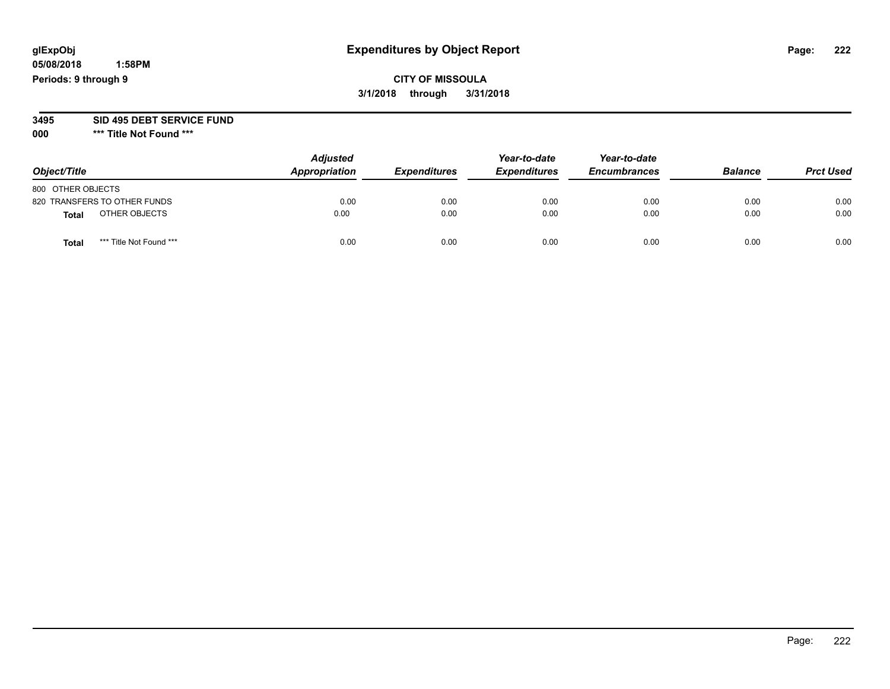# **CITY OF MISSOULA 3/1/2018 through 3/31/2018**

# **3495 SID 495 DEBT SERVICE FUND**

| Object/Title                 |                         | <b>Adjusted</b><br>Appropriation | <b>Expenditures</b> | Year-to-date<br><b>Expenditures</b> | Year-to-date<br><b>Encumbrances</b> | <b>Balance</b> | <b>Prct Used</b> |
|------------------------------|-------------------------|----------------------------------|---------------------|-------------------------------------|-------------------------------------|----------------|------------------|
| 800 OTHER OBJECTS            |                         |                                  |                     |                                     |                                     |                |                  |
| 820 TRANSFERS TO OTHER FUNDS |                         | 0.00                             | 0.00                | 0.00                                | 0.00                                | 0.00           | 0.00             |
| Total                        | OTHER OBJECTS           | 0.00                             | 0.00                | 0.00                                | 0.00                                | 0.00           | 0.00             |
| Tota                         | *** Title Not Found *** | 0.00                             | 0.00                | 0.00                                | 0.00                                | 0.00           | 0.00             |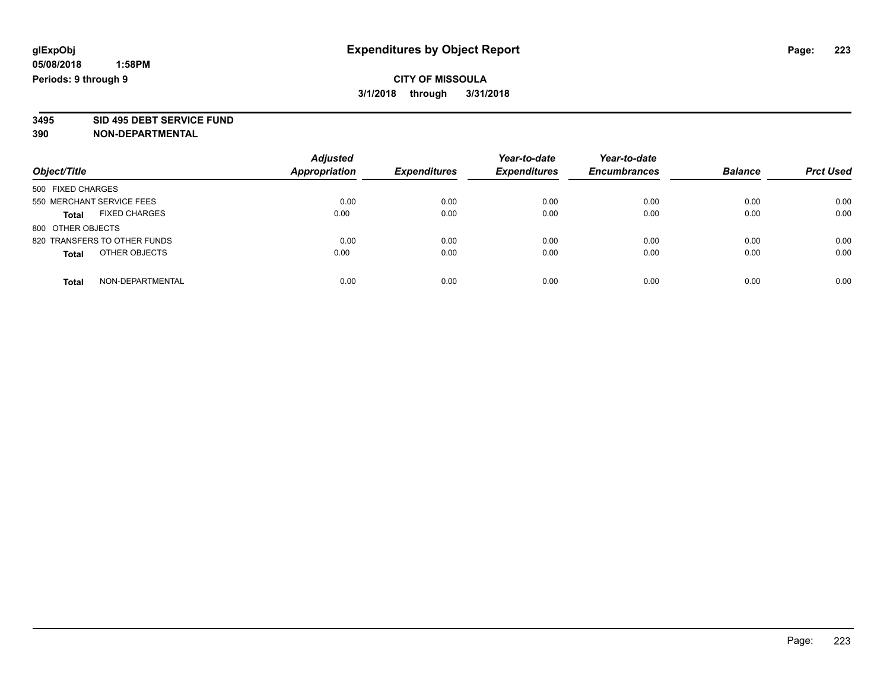**3495 SID 495 DEBT SERVICE FUND**

| Object/Title                         | <b>Adjusted</b><br><b>Appropriation</b> | <b>Expenditures</b> | Year-to-date<br><b>Expenditures</b> | Year-to-date<br><b>Encumbrances</b> | <b>Balance</b> | <b>Prct Used</b> |
|--------------------------------------|-----------------------------------------|---------------------|-------------------------------------|-------------------------------------|----------------|------------------|
| 500 FIXED CHARGES                    |                                         |                     |                                     |                                     |                |                  |
| 550 MERCHANT SERVICE FEES            | 0.00                                    | 0.00                | 0.00                                | 0.00                                | 0.00           | 0.00             |
| <b>FIXED CHARGES</b><br><b>Total</b> | 0.00                                    | 0.00                | 0.00                                | 0.00                                | 0.00           | 0.00             |
| 800 OTHER OBJECTS                    |                                         |                     |                                     |                                     |                |                  |
| 820 TRANSFERS TO OTHER FUNDS         | 0.00                                    | 0.00                | 0.00                                | 0.00                                | 0.00           | 0.00             |
| OTHER OBJECTS<br><b>Total</b>        | 0.00                                    | 0.00                | 0.00                                | 0.00                                | 0.00           | 0.00             |
| NON-DEPARTMENTAL<br><b>Total</b>     | 0.00                                    | 0.00                | 0.00                                | 0.00                                | 0.00           | 0.00             |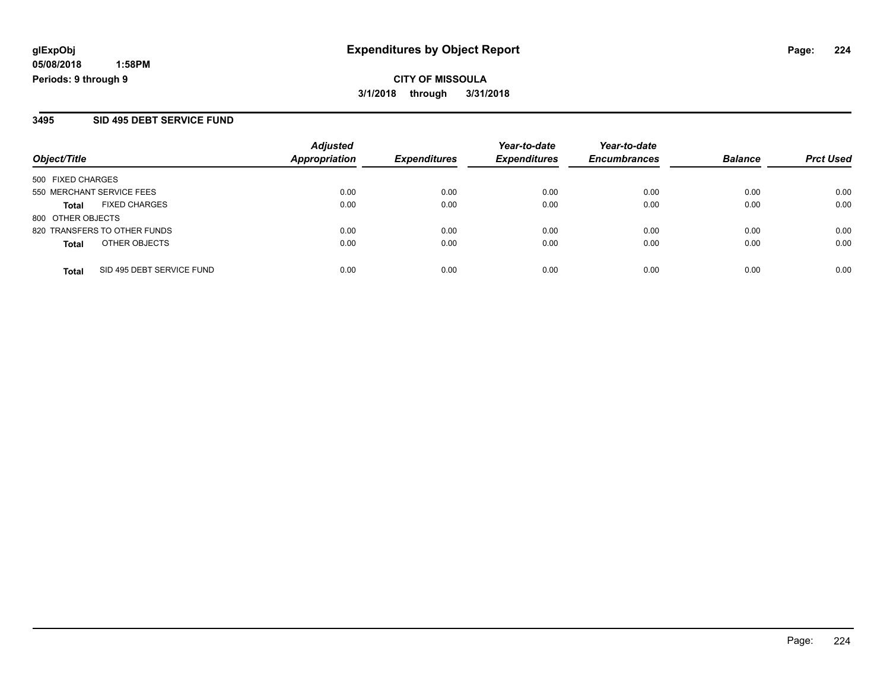**CITY OF MISSOULA 3/1/2018 through 3/31/2018**

### **3495 SID 495 DEBT SERVICE FUND**

| Object/Title                 |                           | <b>Adjusted</b><br><b>Appropriation</b> | <b>Expenditures</b> | Year-to-date<br><b>Expenditures</b> | Year-to-date<br><b>Encumbrances</b> | <b>Balance</b> | <b>Prct Used</b> |
|------------------------------|---------------------------|-----------------------------------------|---------------------|-------------------------------------|-------------------------------------|----------------|------------------|
|                              |                           |                                         |                     |                                     |                                     |                |                  |
| 550 MERCHANT SERVICE FEES    |                           | 0.00                                    | 0.00                | 0.00                                | 0.00                                | 0.00           | 0.00             |
| Total                        | <b>FIXED CHARGES</b>      | 0.00                                    | 0.00                | 0.00                                | 0.00                                | 0.00           | 0.00             |
| 800 OTHER OBJECTS            |                           |                                         |                     |                                     |                                     |                |                  |
| 820 TRANSFERS TO OTHER FUNDS |                           | 0.00                                    | 0.00                | 0.00                                | 0.00                                | 0.00           | 0.00             |
| <b>Total</b>                 | OTHER OBJECTS             | 0.00                                    | 0.00                | 0.00                                | 0.00                                | 0.00           | 0.00             |
| <b>Total</b>                 | SID 495 DEBT SERVICE FUND | 0.00                                    | 0.00                | 0.00                                | 0.00                                | 0.00           | 0.00             |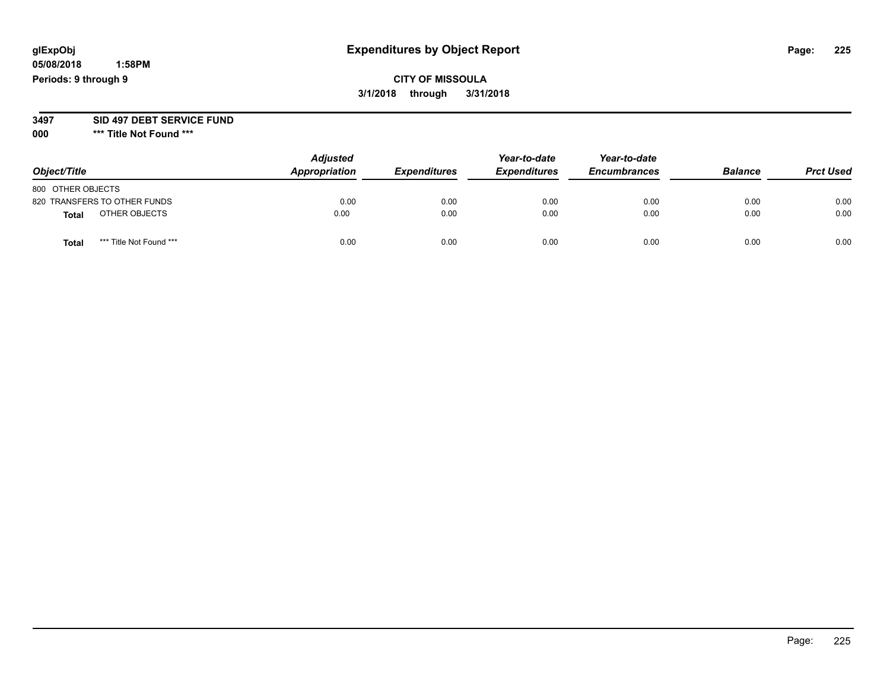# **CITY OF MISSOULA 3/1/2018 through 3/31/2018**

#### **3497 SID 497 DEBT SERVICE FUND**

| Object/Title                 |                         | <b>Adjusted</b><br>Appropriation | <b>Expenditures</b> | Year-to-date<br><b>Expenditures</b> | Year-to-date<br><b>Encumbrances</b> | <b>Balance</b> | <b>Prct Used</b> |
|------------------------------|-------------------------|----------------------------------|---------------------|-------------------------------------|-------------------------------------|----------------|------------------|
| 800 OTHER OBJECTS            |                         |                                  |                     |                                     |                                     |                |                  |
| 820 TRANSFERS TO OTHER FUNDS |                         | 0.00                             | 0.00                | 0.00                                | 0.00                                | 0.00           | 0.00             |
| Total                        | OTHER OBJECTS           | 0.00                             | 0.00                | 0.00                                | 0.00                                | 0.00           | 0.00             |
| Tota                         | *** Title Not Found *** | 0.00                             | 0.00                | 0.00                                | 0.00                                | 0.00           | 0.00             |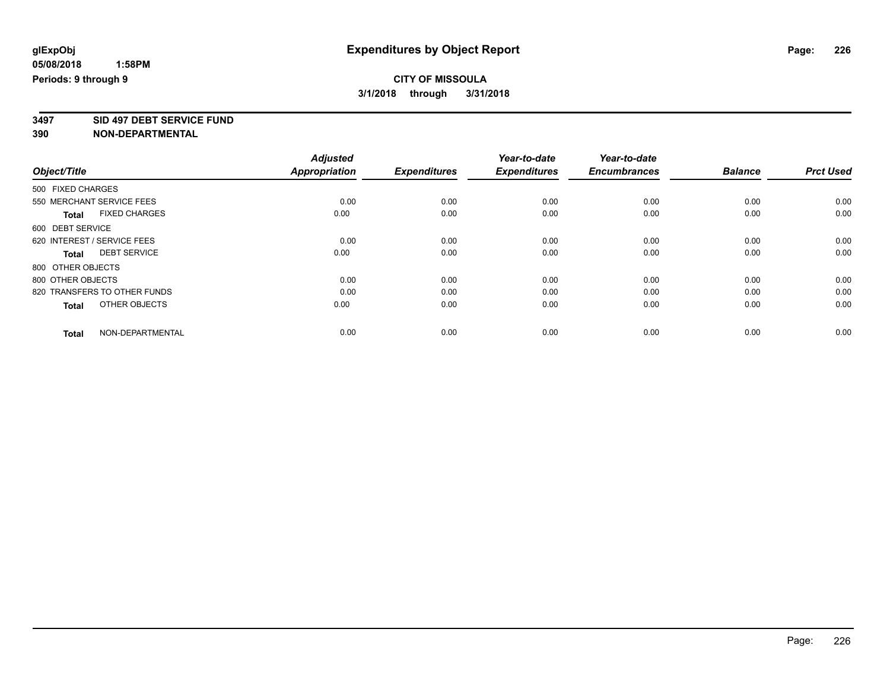**3497 SID 497 DEBT SERVICE FUND**

|                                      | <b>Adjusted</b>      | <b>Expenditures</b> | Year-to-date<br><b>Expenditures</b> | Year-to-date<br><b>Encumbrances</b> | <b>Balance</b> | <b>Prct Used</b> |
|--------------------------------------|----------------------|---------------------|-------------------------------------|-------------------------------------|----------------|------------------|
| Object/Title                         | <b>Appropriation</b> |                     |                                     |                                     |                |                  |
| 500 FIXED CHARGES                    |                      |                     |                                     |                                     |                |                  |
| 550 MERCHANT SERVICE FEES            | 0.00                 | 0.00                | 0.00                                | 0.00                                | 0.00           | 0.00             |
| <b>FIXED CHARGES</b><br><b>Total</b> | 0.00                 | 0.00                | 0.00                                | 0.00                                | 0.00           | 0.00             |
| 600 DEBT SERVICE                     |                      |                     |                                     |                                     |                |                  |
| 620 INTEREST / SERVICE FEES          | 0.00                 | 0.00                | 0.00                                | 0.00                                | 0.00           | 0.00             |
| <b>DEBT SERVICE</b><br><b>Total</b>  | 0.00                 | 0.00                | 0.00                                | 0.00                                | 0.00           | 0.00             |
| 800 OTHER OBJECTS                    |                      |                     |                                     |                                     |                |                  |
| 800 OTHER OBJECTS                    | 0.00                 | 0.00                | 0.00                                | 0.00                                | 0.00           | 0.00             |
| 820 TRANSFERS TO OTHER FUNDS         | 0.00                 | 0.00                | 0.00                                | 0.00                                | 0.00           | 0.00             |
| OTHER OBJECTS<br><b>Total</b>        | 0.00                 | 0.00                | 0.00                                | 0.00                                | 0.00           | 0.00             |
|                                      |                      |                     |                                     |                                     |                |                  |
| NON-DEPARTMENTAL<br><b>Total</b>     | 0.00                 | 0.00                | 0.00                                | 0.00                                | 0.00           | 0.00             |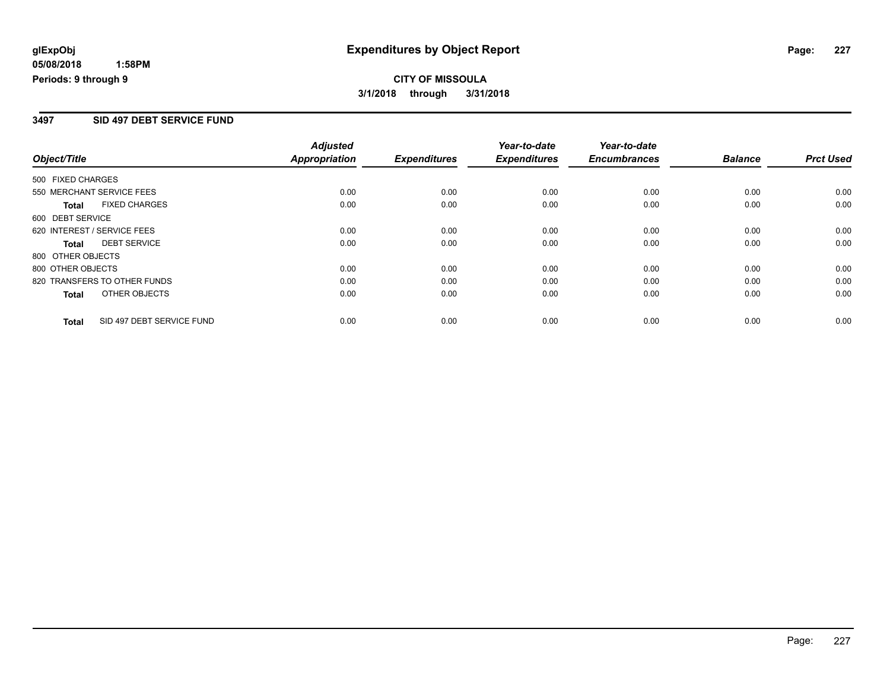## **3497 SID 497 DEBT SERVICE FUND**

|                                           | <b>Adjusted</b>      |                     | Year-to-date        | Year-to-date        |                |                  |
|-------------------------------------------|----------------------|---------------------|---------------------|---------------------|----------------|------------------|
| Object/Title                              | <b>Appropriation</b> | <b>Expenditures</b> | <b>Expenditures</b> | <b>Encumbrances</b> | <b>Balance</b> | <b>Prct Used</b> |
| 500 FIXED CHARGES                         |                      |                     |                     |                     |                |                  |
| 550 MERCHANT SERVICE FEES                 | 0.00                 | 0.00                | 0.00                | 0.00                | 0.00           | 0.00             |
| <b>FIXED CHARGES</b><br><b>Total</b>      | 0.00                 | 0.00                | 0.00                | 0.00                | 0.00           | 0.00             |
| 600 DEBT SERVICE                          |                      |                     |                     |                     |                |                  |
| 620 INTEREST / SERVICE FEES               | 0.00                 | 0.00                | 0.00                | 0.00                | 0.00           | 0.00             |
| <b>DEBT SERVICE</b><br><b>Total</b>       | 0.00                 | 0.00                | 0.00                | 0.00                | 0.00           | 0.00             |
| 800 OTHER OBJECTS                         |                      |                     |                     |                     |                |                  |
| 800 OTHER OBJECTS                         | 0.00                 | 0.00                | 0.00                | 0.00                | 0.00           | 0.00             |
| 820 TRANSFERS TO OTHER FUNDS              | 0.00                 | 0.00                | 0.00                | 0.00                | 0.00           | 0.00             |
| OTHER OBJECTS<br><b>Total</b>             | 0.00                 | 0.00                | 0.00                | 0.00                | 0.00           | 0.00             |
| SID 497 DEBT SERVICE FUND<br><b>Total</b> | 0.00                 | 0.00                | 0.00                | 0.00                | 0.00           | 0.00             |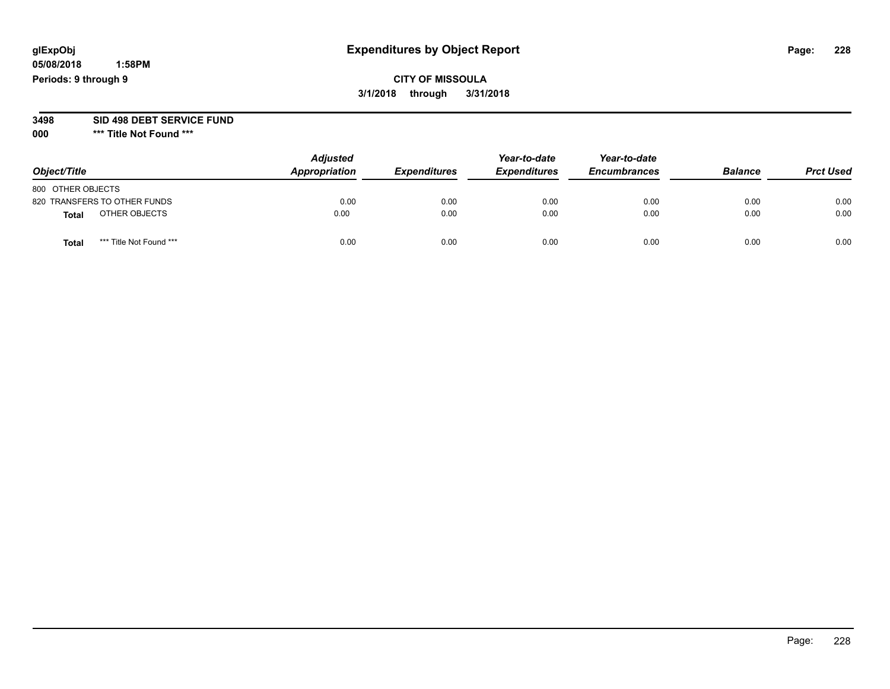# **CITY OF MISSOULA 3/1/2018 through 3/31/2018**

# **3498 SID 498 DEBT SERVICE FUND**

| Object/Title                    | <b>Adjusted</b><br>Appropriation | <b>Expenditures</b> | Year-to-date<br><b>Expenditures</b> | Year-to-date<br><b>Encumbrances</b> | <b>Balance</b> | <b>Prct Used</b> |
|---------------------------------|----------------------------------|---------------------|-------------------------------------|-------------------------------------|----------------|------------------|
| 800 OTHER OBJECTS               |                                  |                     |                                     |                                     |                |                  |
| 820 TRANSFERS TO OTHER FUNDS    | 0.00                             | 0.00                | 0.00                                | 0.00                                | 0.00           | 0.00             |
| OTHER OBJECTS<br><b>Total</b>   | 0.00                             | 0.00                | 0.00                                | 0.00                                | 0.00           | 0.00             |
| *** Title Not Found ***<br>Tota | 0.00                             | 0.00                | 0.00                                | 0.00                                | 0.00           | 0.00             |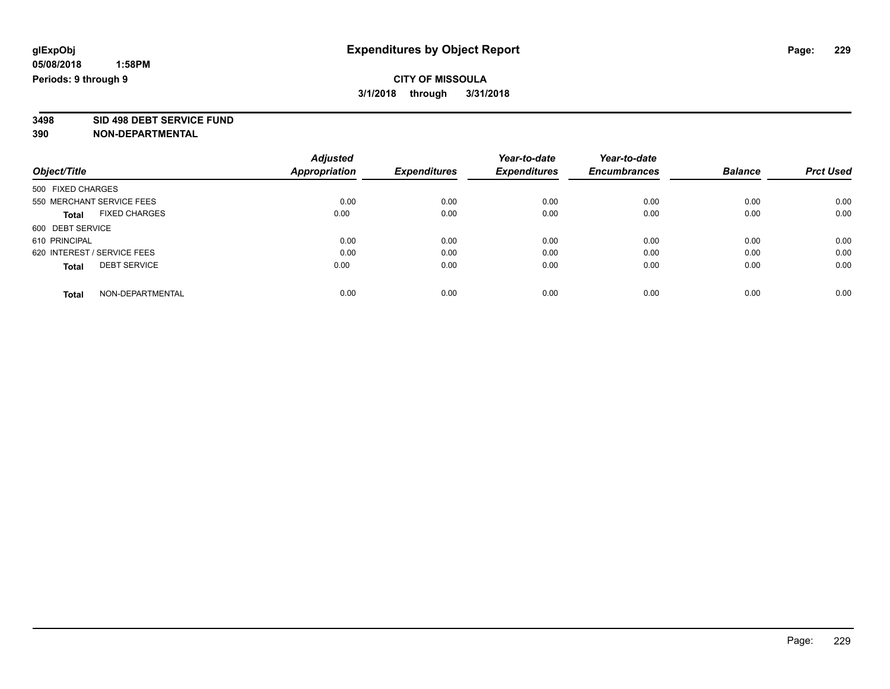**3498 SID 498 DEBT SERVICE FUND**

|                             |                      | <b>Adjusted</b> |                     | Year-to-date        | Year-to-date        |                |                  |
|-----------------------------|----------------------|-----------------|---------------------|---------------------|---------------------|----------------|------------------|
| Object/Title                |                      | Appropriation   | <b>Expenditures</b> | <b>Expenditures</b> | <b>Encumbrances</b> | <b>Balance</b> | <b>Prct Used</b> |
| 500 FIXED CHARGES           |                      |                 |                     |                     |                     |                |                  |
| 550 MERCHANT SERVICE FEES   |                      | 0.00            | 0.00                | 0.00                | 0.00                | 0.00           | 0.00             |
| <b>Total</b>                | <b>FIXED CHARGES</b> | 0.00            | 0.00                | 0.00                | 0.00                | 0.00           | 0.00             |
| 600 DEBT SERVICE            |                      |                 |                     |                     |                     |                |                  |
| 610 PRINCIPAL               |                      | 0.00            | 0.00                | 0.00                | 0.00                | 0.00           | 0.00             |
| 620 INTEREST / SERVICE FEES |                      | 0.00            | 0.00                | 0.00                | 0.00                | 0.00           | 0.00             |
| <b>Total</b>                | <b>DEBT SERVICE</b>  | 0.00            | 0.00                | 0.00                | 0.00                | 0.00           | 0.00             |
| <b>Total</b>                | NON-DEPARTMENTAL     | 0.00            | 0.00                | 0.00                | 0.00                | 0.00           | 0.00             |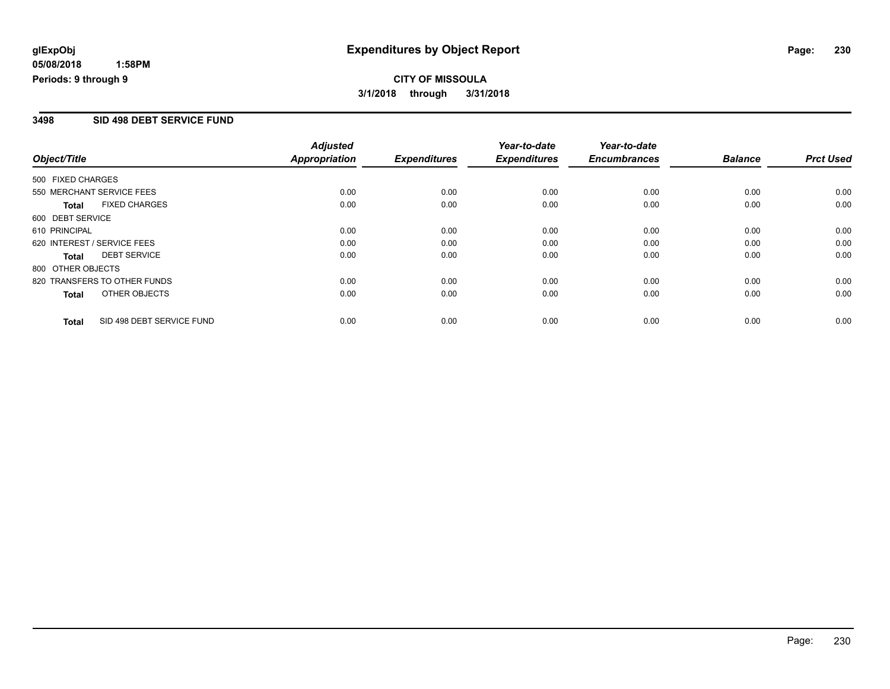#### **3498 SID 498 DEBT SERVICE FUND**

|                             |                              | <b>Adjusted</b>      |                     | Year-to-date        | Year-to-date        |                |                  |
|-----------------------------|------------------------------|----------------------|---------------------|---------------------|---------------------|----------------|------------------|
| Object/Title                |                              | <b>Appropriation</b> | <b>Expenditures</b> | <b>Expenditures</b> | <b>Encumbrances</b> | <b>Balance</b> | <b>Prct Used</b> |
| 500 FIXED CHARGES           |                              |                      |                     |                     |                     |                |                  |
| 550 MERCHANT SERVICE FEES   |                              | 0.00                 | 0.00                | 0.00                | 0.00                | 0.00           | 0.00             |
| <b>Total</b>                | <b>FIXED CHARGES</b>         | 0.00                 | 0.00                | 0.00                | 0.00                | 0.00           | 0.00             |
| 600 DEBT SERVICE            |                              |                      |                     |                     |                     |                |                  |
| 610 PRINCIPAL               |                              | 0.00                 | 0.00                | 0.00                | 0.00                | 0.00           | 0.00             |
| 620 INTEREST / SERVICE FEES |                              | 0.00                 | 0.00                | 0.00                | 0.00                | 0.00           | 0.00             |
| Total                       | <b>DEBT SERVICE</b>          | 0.00                 | 0.00                | 0.00                | 0.00                | 0.00           | 0.00             |
| 800 OTHER OBJECTS           |                              |                      |                     |                     |                     |                |                  |
|                             | 820 TRANSFERS TO OTHER FUNDS | 0.00                 | 0.00                | 0.00                | 0.00                | 0.00           | 0.00             |
| Total                       | OTHER OBJECTS                | 0.00                 | 0.00                | 0.00                | 0.00                | 0.00           | 0.00             |
| <b>Total</b>                | SID 498 DEBT SERVICE FUND    | 0.00                 | 0.00                | 0.00                | 0.00                | 0.00           | 0.00             |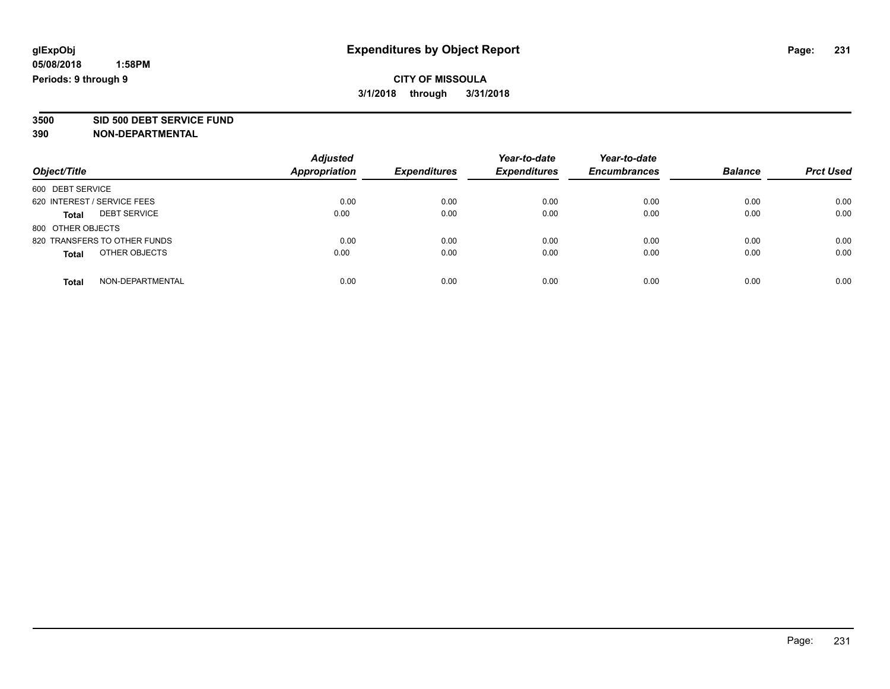**3500 SID 500 DEBT SERVICE FUND**

| Object/Title                        | <b>Adjusted</b><br><b>Appropriation</b> | <b>Expenditures</b> | Year-to-date<br><b>Expenditures</b> | Year-to-date<br><b>Encumbrances</b> | <b>Balance</b> | <b>Prct Used</b> |
|-------------------------------------|-----------------------------------------|---------------------|-------------------------------------|-------------------------------------|----------------|------------------|
| 600 DEBT SERVICE                    |                                         |                     |                                     |                                     |                |                  |
| 620 INTEREST / SERVICE FEES         | 0.00                                    | 0.00                | 0.00                                | 0.00                                | 0.00           | 0.00             |
| <b>DEBT SERVICE</b><br><b>Total</b> | 0.00                                    | 0.00                | 0.00                                | 0.00                                | 0.00           | 0.00             |
| 800 OTHER OBJECTS                   |                                         |                     |                                     |                                     |                |                  |
| 820 TRANSFERS TO OTHER FUNDS        | 0.00                                    | 0.00                | 0.00                                | 0.00                                | 0.00           | 0.00             |
| OTHER OBJECTS<br><b>Total</b>       | 0.00                                    | 0.00                | 0.00                                | 0.00                                | 0.00           | 0.00             |
| NON-DEPARTMENTAL<br><b>Total</b>    | 0.00                                    | 0.00                | 0.00                                | 0.00                                | 0.00           | 0.00             |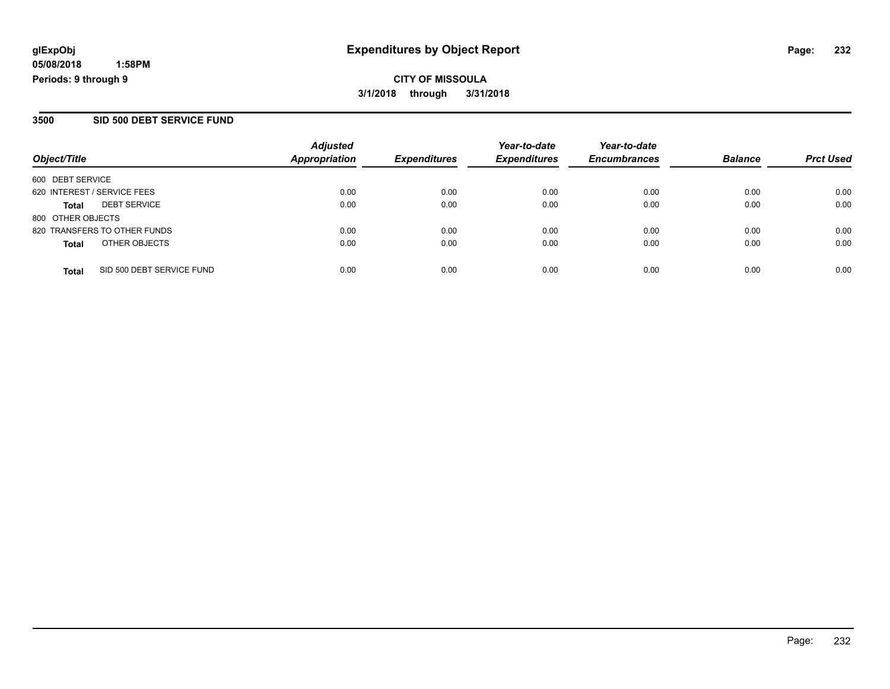**CITY OF MISSOULA 3/1/2018 through 3/31/2018**

### **3500 SID 500 DEBT SERVICE FUND**

| Object/Title                              | <b>Adjusted</b><br><b>Appropriation</b> | <b>Expenditures</b> | Year-to-date<br><b>Expenditures</b> | Year-to-date<br><b>Encumbrances</b> | <b>Balance</b> | <b>Prct Used</b> |
|-------------------------------------------|-----------------------------------------|---------------------|-------------------------------------|-------------------------------------|----------------|------------------|
| 600 DEBT SERVICE                          |                                         |                     |                                     |                                     |                |                  |
| 620 INTEREST / SERVICE FEES               | 0.00                                    | 0.00                | 0.00                                | 0.00                                | 0.00           | 0.00             |
| <b>DEBT SERVICE</b><br><b>Total</b>       | 0.00                                    | 0.00                | 0.00                                | 0.00                                | 0.00           | 0.00             |
| 800 OTHER OBJECTS                         |                                         |                     |                                     |                                     |                |                  |
| 820 TRANSFERS TO OTHER FUNDS              | 0.00                                    | 0.00                | 0.00                                | 0.00                                | 0.00           | 0.00             |
| OTHER OBJECTS<br><b>Total</b>             | 0.00                                    | 0.00                | 0.00                                | 0.00                                | 0.00           | 0.00             |
| SID 500 DEBT SERVICE FUND<br><b>Total</b> | 0.00                                    | 0.00                | 0.00                                | 0.00                                | 0.00           | 0.00             |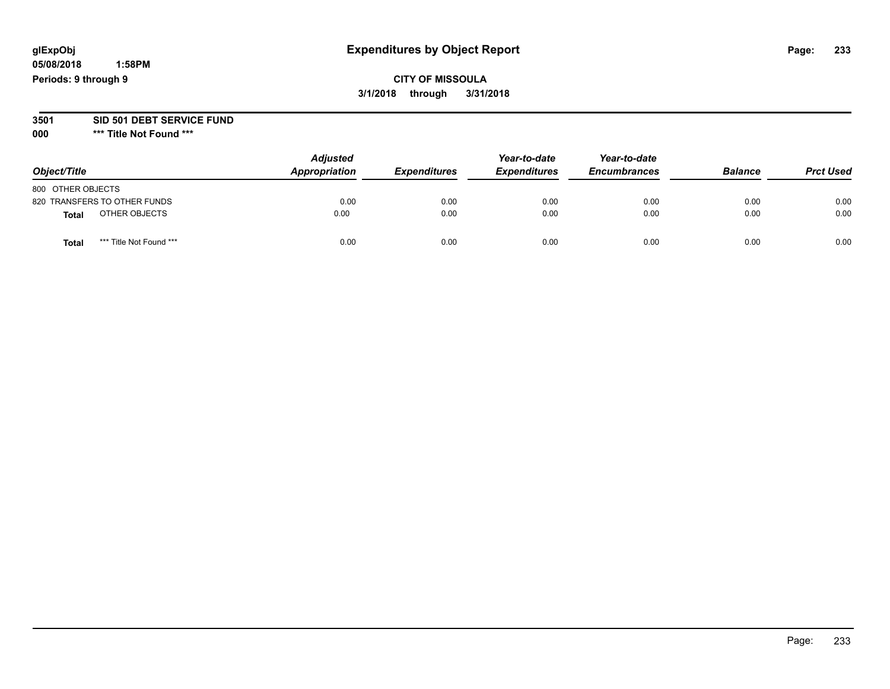# **CITY OF MISSOULA 3/1/2018 through 3/31/2018**

#### **3501 SID 501 DEBT SERVICE FUND**

| Object/Title                     | <b>Adjusted</b><br>Appropriation | <b>Expenditures</b> | Year-to-date<br><b>Expenditures</b> | Year-to-date<br><b>Encumbrances</b> | <b>Balance</b> | <b>Prct Used</b> |
|----------------------------------|----------------------------------|---------------------|-------------------------------------|-------------------------------------|----------------|------------------|
| 800 OTHER OBJECTS                |                                  |                     |                                     |                                     |                |                  |
| 820 TRANSFERS TO OTHER FUNDS     | 0.00                             | 0.00                | 0.00                                | 0.00                                | 0.00           | 0.00             |
| OTHER OBJECTS<br><b>Total</b>    | 0.00                             | 0.00                | 0.00                                | 0.00                                | 0.00           | 0.00             |
| *** Title Not Found ***<br>Total | 0.00                             | 0.00                | 0.00                                | 0.00                                | 0.00           | 0.00             |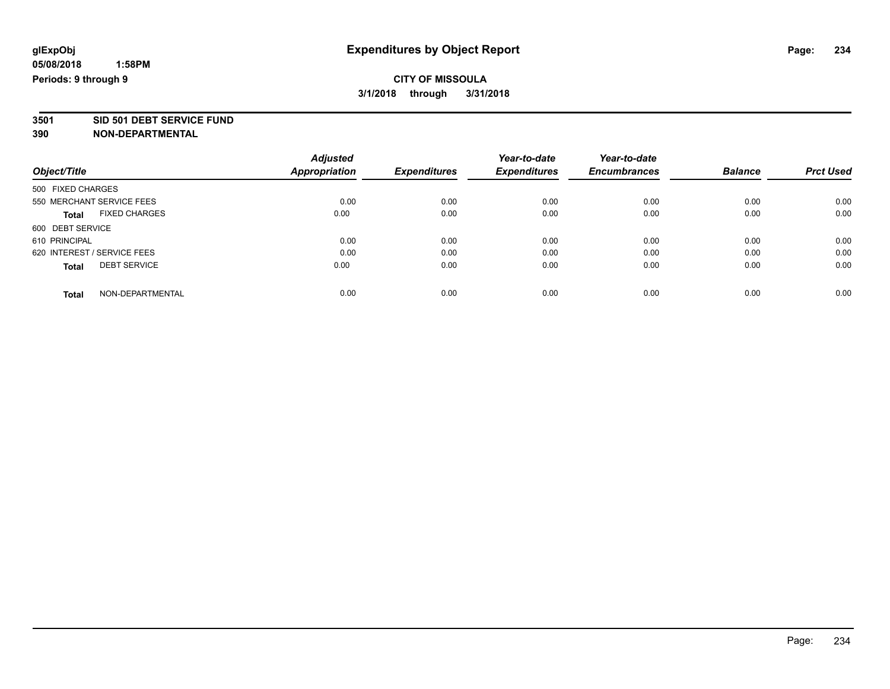**3501 SID 501 DEBT SERVICE FUND**

|                             |                           | <b>Adjusted</b> |                     | Year-to-date        | Year-to-date        |                |                  |
|-----------------------------|---------------------------|-----------------|---------------------|---------------------|---------------------|----------------|------------------|
| Object/Title                |                           | Appropriation   | <b>Expenditures</b> | <b>Expenditures</b> | <b>Encumbrances</b> | <b>Balance</b> | <b>Prct Used</b> |
| 500 FIXED CHARGES           |                           |                 |                     |                     |                     |                |                  |
|                             | 550 MERCHANT SERVICE FEES | 0.00            | 0.00                | 0.00                | 0.00                | 0.00           | 0.00             |
| <b>Total</b>                | <b>FIXED CHARGES</b>      | 0.00            | 0.00                | 0.00                | 0.00                | 0.00           | 0.00             |
| 600 DEBT SERVICE            |                           |                 |                     |                     |                     |                |                  |
| 610 PRINCIPAL               |                           | 0.00            | 0.00                | 0.00                | 0.00                | 0.00           | 0.00             |
| 620 INTEREST / SERVICE FEES |                           | 0.00            | 0.00                | 0.00                | 0.00                | 0.00           | 0.00             |
| <b>Total</b>                | <b>DEBT SERVICE</b>       | 0.00            | 0.00                | 0.00                | 0.00                | 0.00           | 0.00             |
| <b>Total</b>                | NON-DEPARTMENTAL          | 0.00            | 0.00                | 0.00                | 0.00                | 0.00           | 0.00             |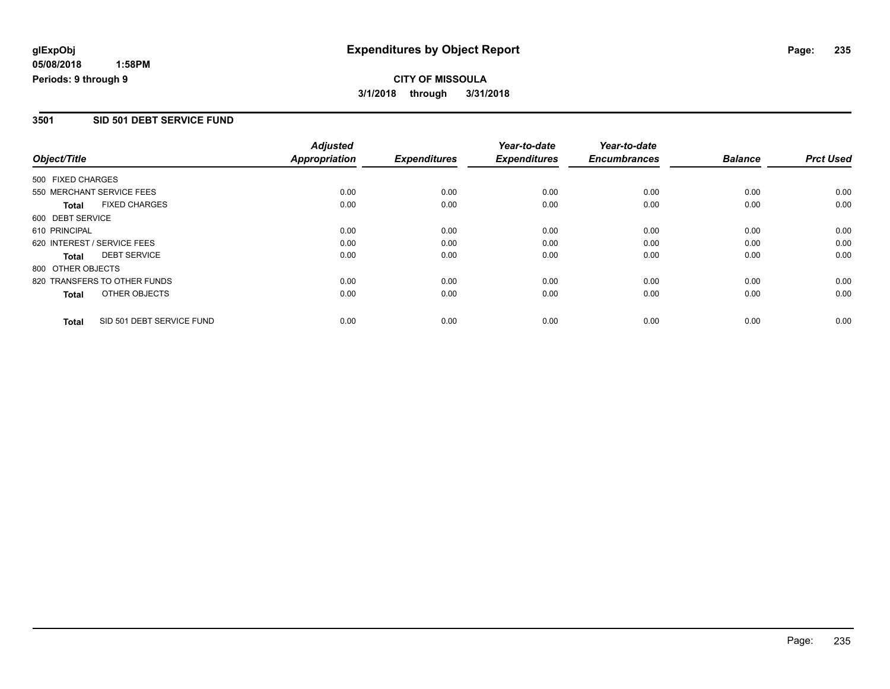## **3501 SID 501 DEBT SERVICE FUND**

|                             |                              | <b>Adjusted</b>      |                     | Year-to-date        | Year-to-date        |                |                  |
|-----------------------------|------------------------------|----------------------|---------------------|---------------------|---------------------|----------------|------------------|
| Object/Title                |                              | <b>Appropriation</b> | <b>Expenditures</b> | <b>Expenditures</b> | <b>Encumbrances</b> | <b>Balance</b> | <b>Prct Used</b> |
| 500 FIXED CHARGES           |                              |                      |                     |                     |                     |                |                  |
| 550 MERCHANT SERVICE FEES   |                              | 0.00                 | 0.00                | 0.00                | 0.00                | 0.00           | 0.00             |
| <b>Total</b>                | <b>FIXED CHARGES</b>         | 0.00                 | 0.00                | 0.00                | 0.00                | 0.00           | 0.00             |
| 600 DEBT SERVICE            |                              |                      |                     |                     |                     |                |                  |
| 610 PRINCIPAL               |                              | 0.00                 | 0.00                | 0.00                | 0.00                | 0.00           | 0.00             |
| 620 INTEREST / SERVICE FEES |                              | 0.00                 | 0.00                | 0.00                | 0.00                | 0.00           | 0.00             |
| Total                       | <b>DEBT SERVICE</b>          | 0.00                 | 0.00                | 0.00                | 0.00                | 0.00           | 0.00             |
| 800 OTHER OBJECTS           |                              |                      |                     |                     |                     |                |                  |
|                             | 820 TRANSFERS TO OTHER FUNDS | 0.00                 | 0.00                | 0.00                | 0.00                | 0.00           | 0.00             |
| Total                       | OTHER OBJECTS                | 0.00                 | 0.00                | 0.00                | 0.00                | 0.00           | 0.00             |
| <b>Total</b>                | SID 501 DEBT SERVICE FUND    | 0.00                 | 0.00                | 0.00                | 0.00                | 0.00           | 0.00             |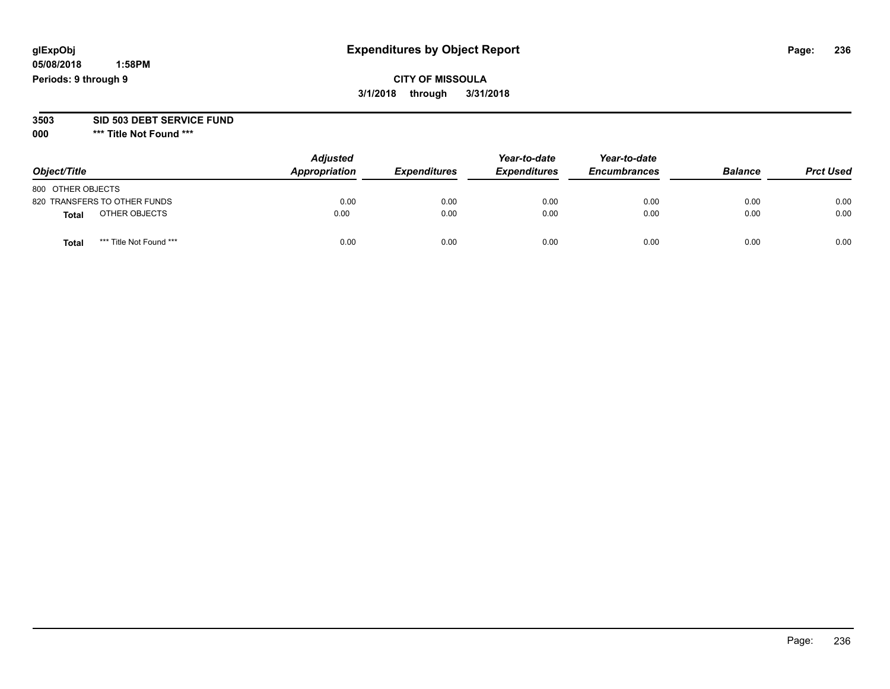# **CITY OF MISSOULA 3/1/2018 through 3/31/2018**

#### **3503 SID 503 DEBT SERVICE FUND**

| Object/Title                 |                         | <b>Adjusted</b><br>Appropriation | <b>Expenditures</b> | Year-to-date<br><b>Expenditures</b> | Year-to-date<br><b>Encumbrances</b> | <b>Balance</b> | <b>Prct Used</b> |
|------------------------------|-------------------------|----------------------------------|---------------------|-------------------------------------|-------------------------------------|----------------|------------------|
| 800 OTHER OBJECTS            |                         |                                  |                     |                                     |                                     |                |                  |
| 820 TRANSFERS TO OTHER FUNDS |                         | 0.00                             | 0.00                | 0.00                                | 0.00                                | 0.00           | 0.00             |
| Total                        | OTHER OBJECTS           | 0.00                             | 0.00                | 0.00                                | 0.00                                | 0.00           | 0.00             |
| Tota                         | *** Title Not Found *** | 0.00                             | 0.00                | 0.00                                | 0.00                                | 0.00           | 0.00             |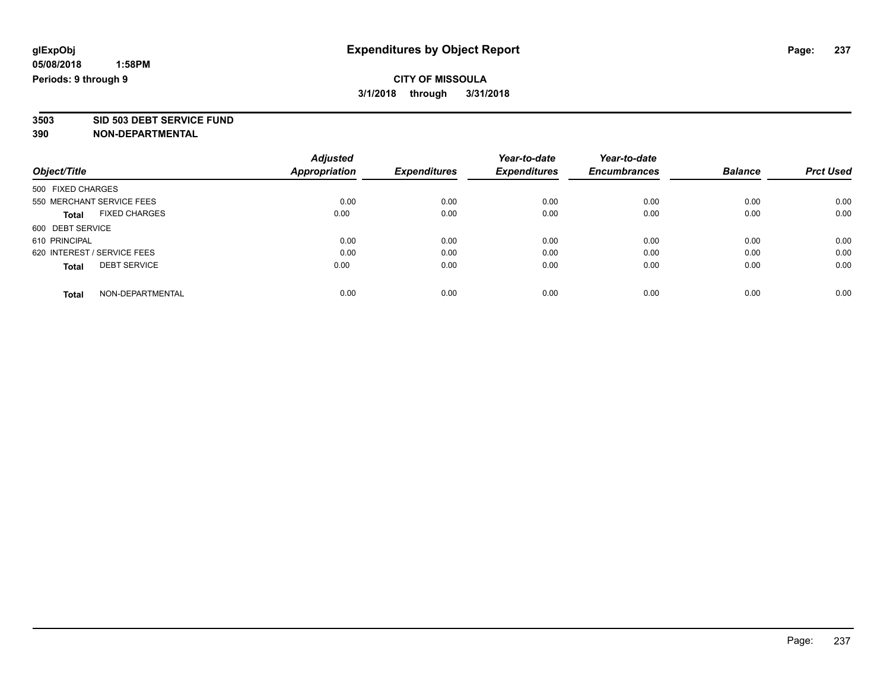**3503 SID 503 DEBT SERVICE FUND**

|                                      | <b>Adjusted</b>      |                     | Year-to-date        | Year-to-date        |                |                  |
|--------------------------------------|----------------------|---------------------|---------------------|---------------------|----------------|------------------|
| Object/Title                         | <b>Appropriation</b> | <b>Expenditures</b> | <b>Expenditures</b> | <b>Encumbrances</b> | <b>Balance</b> | <b>Prct Used</b> |
| 500 FIXED CHARGES                    |                      |                     |                     |                     |                |                  |
| 550 MERCHANT SERVICE FEES            | 0.00                 | 0.00                | 0.00                | 0.00                | 0.00           | 0.00             |
| <b>FIXED CHARGES</b><br><b>Total</b> | 0.00                 | 0.00                | 0.00                | 0.00                | 0.00           | 0.00             |
| 600 DEBT SERVICE                     |                      |                     |                     |                     |                |                  |
| 610 PRINCIPAL                        | 0.00                 | 0.00                | 0.00                | 0.00                | 0.00           | 0.00             |
| 620 INTEREST / SERVICE FEES          | 0.00                 | 0.00                | 0.00                | 0.00                | 0.00           | 0.00             |
| <b>DEBT SERVICE</b><br><b>Total</b>  | 0.00                 | 0.00                | 0.00                | 0.00                | 0.00           | 0.00             |
| NON-DEPARTMENTAL<br><b>Total</b>     | 0.00                 | 0.00                | 0.00                | 0.00                | 0.00           | 0.00             |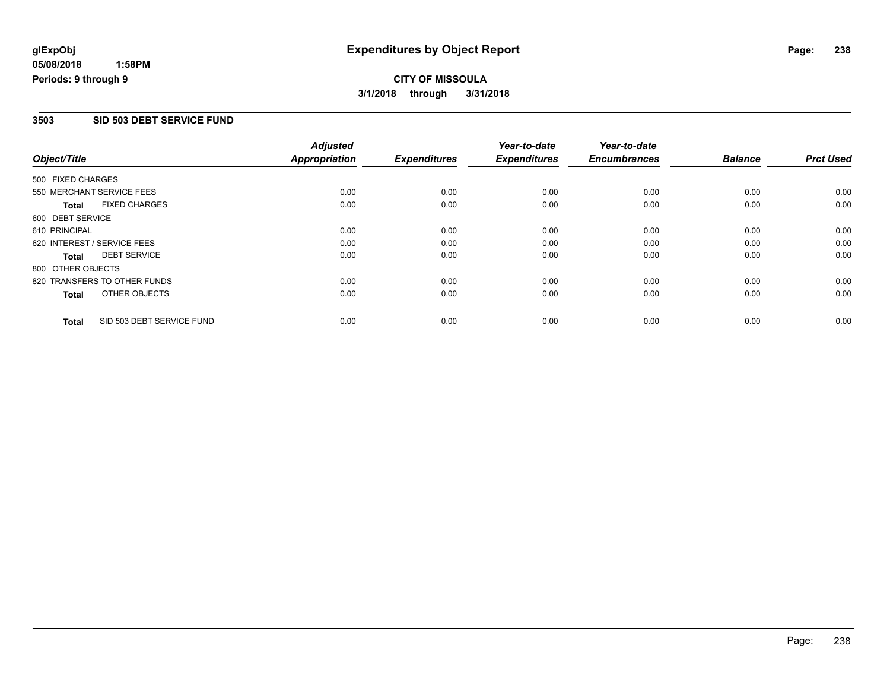## **3503 SID 503 DEBT SERVICE FUND**

|                   |                              | <b>Adjusted</b>      |                     | Year-to-date        | Year-to-date        |                |                  |
|-------------------|------------------------------|----------------------|---------------------|---------------------|---------------------|----------------|------------------|
| Object/Title      |                              | <b>Appropriation</b> | <b>Expenditures</b> | <b>Expenditures</b> | <b>Encumbrances</b> | <b>Balance</b> | <b>Prct Used</b> |
| 500 FIXED CHARGES |                              |                      |                     |                     |                     |                |                  |
|                   | 550 MERCHANT SERVICE FEES    | 0.00                 | 0.00                | 0.00                | 0.00                | 0.00           | 0.00             |
| <b>Total</b>      | <b>FIXED CHARGES</b>         | 0.00                 | 0.00                | 0.00                | 0.00                | 0.00           | 0.00             |
| 600 DEBT SERVICE  |                              |                      |                     |                     |                     |                |                  |
| 610 PRINCIPAL     |                              | 0.00                 | 0.00                | 0.00                | 0.00                | 0.00           | 0.00             |
|                   | 620 INTEREST / SERVICE FEES  | 0.00                 | 0.00                | 0.00                | 0.00                | 0.00           | 0.00             |
| Total             | <b>DEBT SERVICE</b>          | 0.00                 | 0.00                | 0.00                | 0.00                | 0.00           | 0.00             |
| 800 OTHER OBJECTS |                              |                      |                     |                     |                     |                |                  |
|                   | 820 TRANSFERS TO OTHER FUNDS | 0.00                 | 0.00                | 0.00                | 0.00                | 0.00           | 0.00             |
| Total             | OTHER OBJECTS                | 0.00                 | 0.00                | 0.00                | 0.00                | 0.00           | 0.00             |
| <b>Total</b>      | SID 503 DEBT SERVICE FUND    | 0.00                 | 0.00                | 0.00                | 0.00                | 0.00           | 0.00             |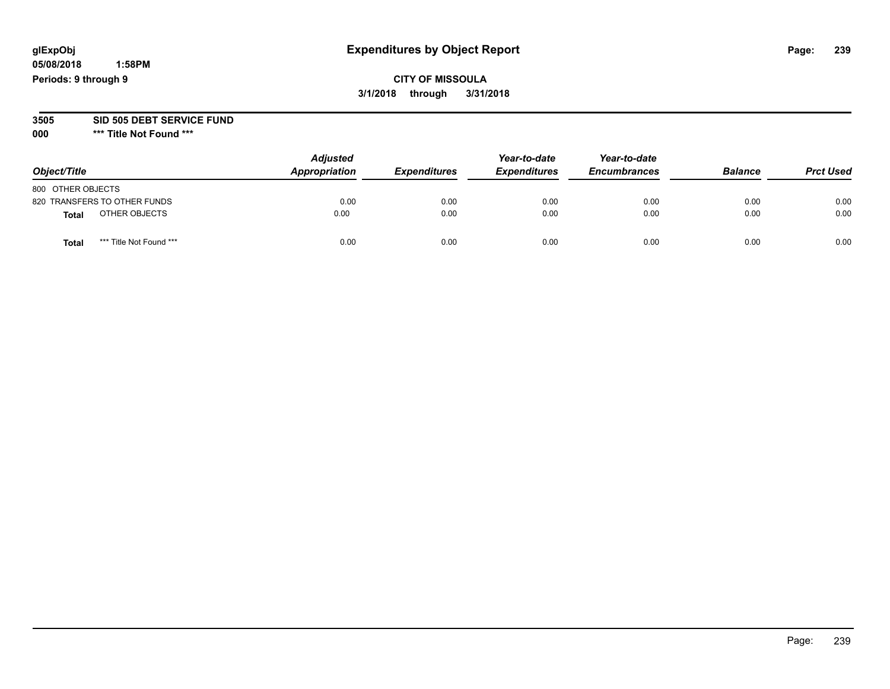# **CITY OF MISSOULA 3/1/2018 through 3/31/2018**

#### **3505 SID 505 DEBT SERVICE FUND**

| Object/Title      |                              | <b>Adjusted</b><br>Appropriation | <b>Expenditures</b> | Year-to-date<br><b>Expenditures</b> | Year-to-date<br><b>Encumbrances</b> | <b>Balance</b> | <b>Prct Used</b> |
|-------------------|------------------------------|----------------------------------|---------------------|-------------------------------------|-------------------------------------|----------------|------------------|
| 800 OTHER OBJECTS |                              |                                  |                     |                                     |                                     |                |                  |
|                   | 820 TRANSFERS TO OTHER FUNDS | 0.00                             | 0.00                | 0.00                                | 0.00                                | 0.00           | 0.00             |
| <b>Total</b>      | OTHER OBJECTS                | 0.00                             | 0.00                | 0.00                                | 0.00                                | 0.00           | 0.00             |
| <b>Total</b>      | *** Title Not Found ***      | 0.00                             | 0.00                | 0.00                                | 0.00                                | 0.00           | 0.00             |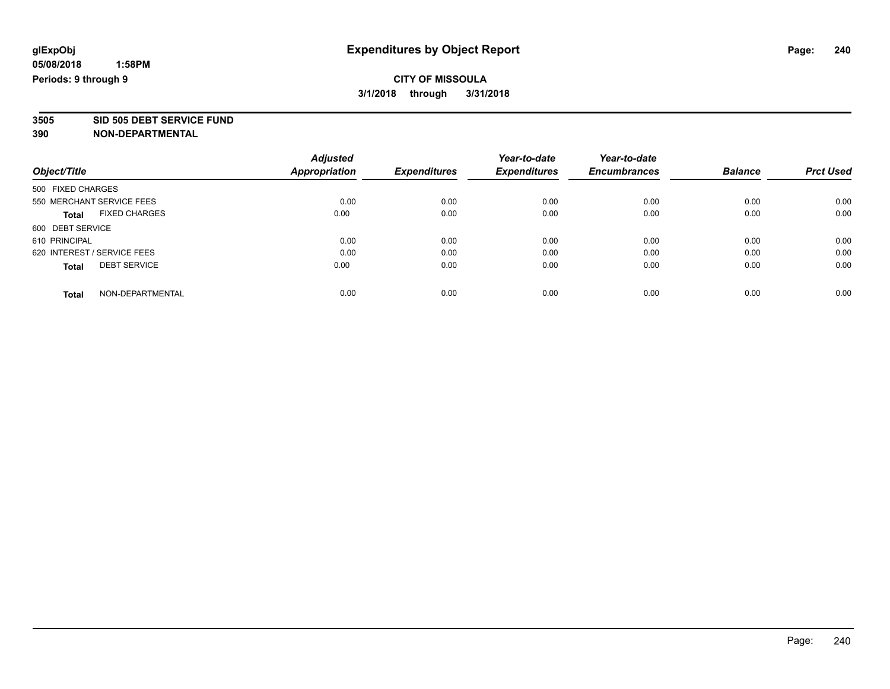**3505 SID 505 DEBT SERVICE FUND**

|                                      | <b>Adjusted</b>      |                     | Year-to-date        | Year-to-date        |                |                  |
|--------------------------------------|----------------------|---------------------|---------------------|---------------------|----------------|------------------|
| Object/Title                         | <b>Appropriation</b> | <b>Expenditures</b> | <b>Expenditures</b> | <b>Encumbrances</b> | <b>Balance</b> | <b>Prct Used</b> |
| 500 FIXED CHARGES                    |                      |                     |                     |                     |                |                  |
| 550 MERCHANT SERVICE FEES            | 0.00                 | 0.00                | 0.00                | 0.00                | 0.00           | 0.00             |
| <b>FIXED CHARGES</b><br><b>Total</b> | 0.00                 | 0.00                | 0.00                | 0.00                | 0.00           | 0.00             |
| 600 DEBT SERVICE                     |                      |                     |                     |                     |                |                  |
| 610 PRINCIPAL                        | 0.00                 | 0.00                | 0.00                | 0.00                | 0.00           | 0.00             |
| 620 INTEREST / SERVICE FEES          | 0.00                 | 0.00                | 0.00                | 0.00                | 0.00           | 0.00             |
| <b>DEBT SERVICE</b><br><b>Total</b>  | 0.00                 | 0.00                | 0.00                | 0.00                | 0.00           | 0.00             |
| NON-DEPARTMENTAL<br><b>Total</b>     | 0.00                 | 0.00                | 0.00                | 0.00                | 0.00           | 0.00             |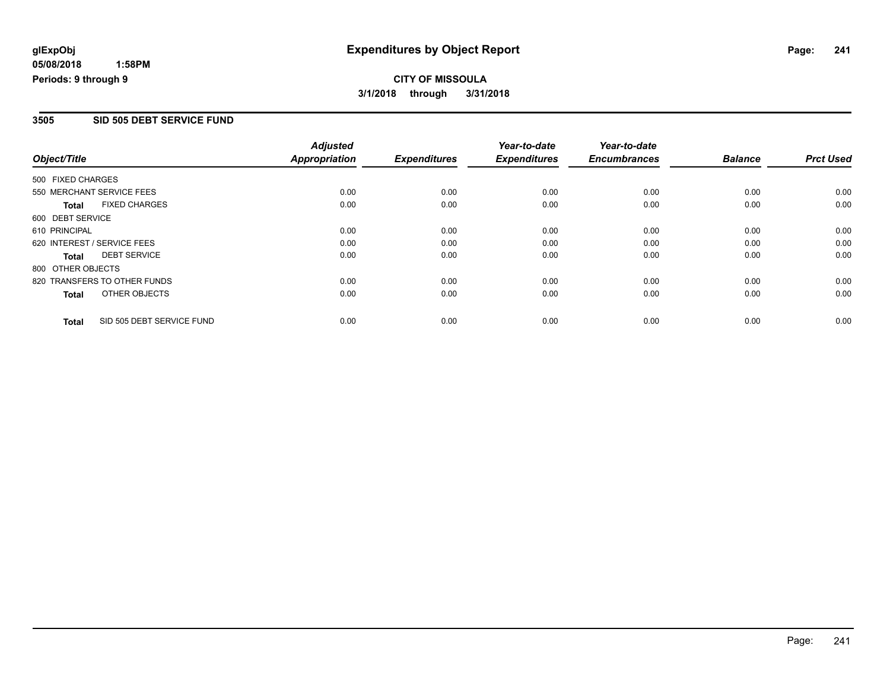## **3505 SID 505 DEBT SERVICE FUND**

|                   |                              | <b>Adjusted</b>      |                     | Year-to-date        | Year-to-date        |                |                  |
|-------------------|------------------------------|----------------------|---------------------|---------------------|---------------------|----------------|------------------|
| Object/Title      |                              | <b>Appropriation</b> | <b>Expenditures</b> | <b>Expenditures</b> | <b>Encumbrances</b> | <b>Balance</b> | <b>Prct Used</b> |
| 500 FIXED CHARGES |                              |                      |                     |                     |                     |                |                  |
|                   | 550 MERCHANT SERVICE FEES    | 0.00                 | 0.00                | 0.00                | 0.00                | 0.00           | 0.00             |
| <b>Total</b>      | <b>FIXED CHARGES</b>         | 0.00                 | 0.00                | 0.00                | 0.00                | 0.00           | 0.00             |
| 600 DEBT SERVICE  |                              |                      |                     |                     |                     |                |                  |
| 610 PRINCIPAL     |                              | 0.00                 | 0.00                | 0.00                | 0.00                | 0.00           | 0.00             |
|                   | 620 INTEREST / SERVICE FEES  | 0.00                 | 0.00                | 0.00                | 0.00                | 0.00           | 0.00             |
| Total             | <b>DEBT SERVICE</b>          | 0.00                 | 0.00                | 0.00                | 0.00                | 0.00           | 0.00             |
| 800 OTHER OBJECTS |                              |                      |                     |                     |                     |                |                  |
|                   | 820 TRANSFERS TO OTHER FUNDS | 0.00                 | 0.00                | 0.00                | 0.00                | 0.00           | 0.00             |
| Total             | OTHER OBJECTS                | 0.00                 | 0.00                | 0.00                | 0.00                | 0.00           | 0.00             |
| <b>Total</b>      | SID 505 DEBT SERVICE FUND    | 0.00                 | 0.00                | 0.00                | 0.00                | 0.00           | 0.00             |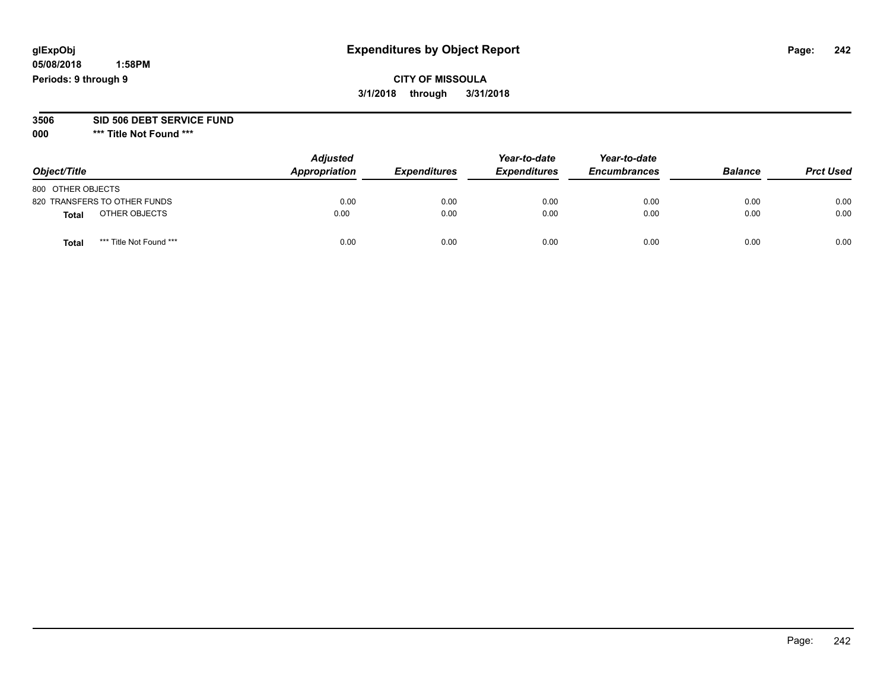# **CITY OF MISSOULA 3/1/2018 through 3/31/2018**

# **3506 SID 506 DEBT SERVICE FUND**

| Object/Title                    | <b>Adjusted</b><br>Appropriation | <b>Expenditures</b> | Year-to-date<br><b>Expenditures</b> | Year-to-date<br><b>Encumbrances</b> | <b>Balance</b> | <b>Prct Used</b> |
|---------------------------------|----------------------------------|---------------------|-------------------------------------|-------------------------------------|----------------|------------------|
| 800 OTHER OBJECTS               |                                  |                     |                                     |                                     |                |                  |
| 820 TRANSFERS TO OTHER FUNDS    | 0.00                             | 0.00                | 0.00                                | 0.00                                | 0.00           | 0.00             |
| OTHER OBJECTS<br>Total          | 0.00                             | 0.00                | 0.00                                | 0.00                                | 0.00           | 0.00             |
| *** Title Not Found ***<br>Tota | 0.00                             | 0.00                | 0.00                                | 0.00                                | 0.00           | 0.00             |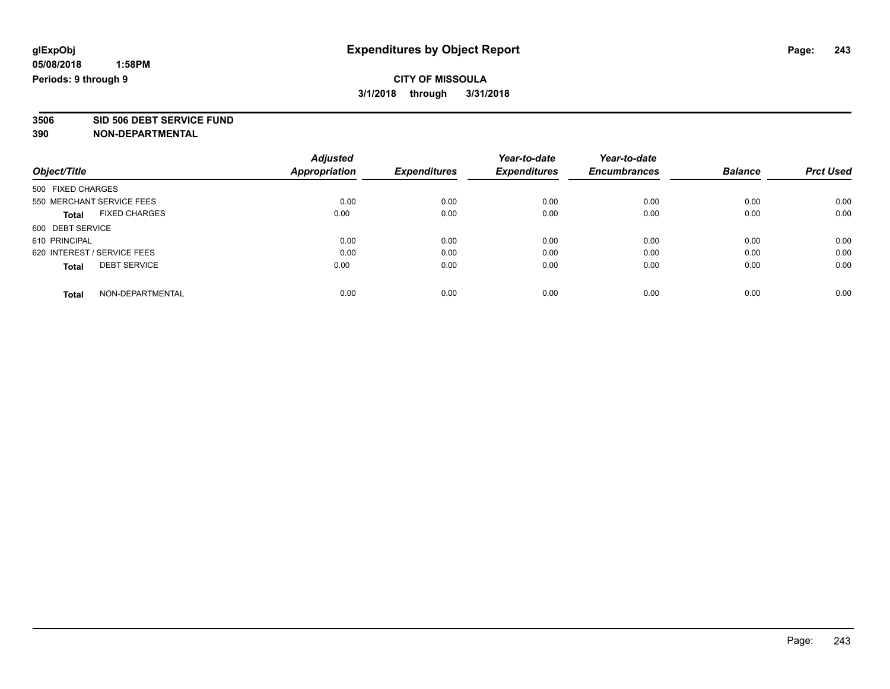**3506 SID 506 DEBT SERVICE FUND**

|                                      | <b>Adjusted</b>      |                     | Year-to-date        | Year-to-date        |                |                  |
|--------------------------------------|----------------------|---------------------|---------------------|---------------------|----------------|------------------|
| Object/Title                         | <b>Appropriation</b> | <b>Expenditures</b> | <b>Expenditures</b> | <b>Encumbrances</b> | <b>Balance</b> | <b>Prct Used</b> |
| 500 FIXED CHARGES                    |                      |                     |                     |                     |                |                  |
| 550 MERCHANT SERVICE FEES            | 0.00                 | 0.00                | 0.00                | 0.00                | 0.00           | 0.00             |
| <b>FIXED CHARGES</b><br><b>Total</b> | 0.00                 | 0.00                | 0.00                | 0.00                | 0.00           | 0.00             |
| 600 DEBT SERVICE                     |                      |                     |                     |                     |                |                  |
| 610 PRINCIPAL                        | 0.00                 | 0.00                | 0.00                | 0.00                | 0.00           | 0.00             |
| 620 INTEREST / SERVICE FEES          | 0.00                 | 0.00                | 0.00                | 0.00                | 0.00           | 0.00             |
| <b>DEBT SERVICE</b><br><b>Total</b>  | 0.00                 | 0.00                | 0.00                | 0.00                | 0.00           | 0.00             |
| NON-DEPARTMENTAL<br><b>Total</b>     | 0.00                 | 0.00                | 0.00                | 0.00                | 0.00           | 0.00             |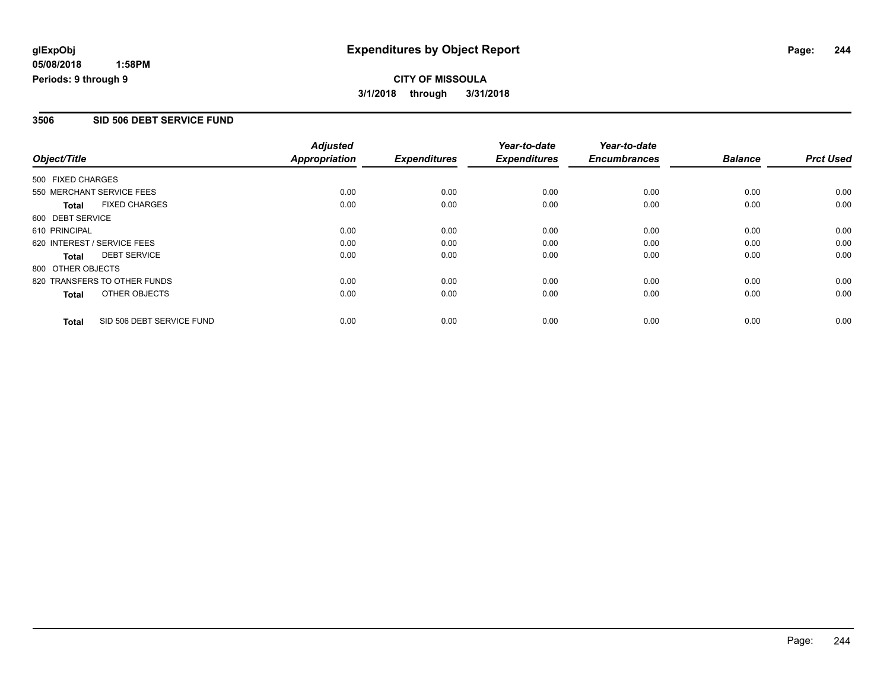## **3506 SID 506 DEBT SERVICE FUND**

|                   |                              | <b>Adjusted</b>      |                     | Year-to-date        | Year-to-date        |                |                  |
|-------------------|------------------------------|----------------------|---------------------|---------------------|---------------------|----------------|------------------|
| Object/Title      |                              | <b>Appropriation</b> | <b>Expenditures</b> | <b>Expenditures</b> | <b>Encumbrances</b> | <b>Balance</b> | <b>Prct Used</b> |
| 500 FIXED CHARGES |                              |                      |                     |                     |                     |                |                  |
|                   | 550 MERCHANT SERVICE FEES    | 0.00                 | 0.00                | 0.00                | 0.00                | 0.00           | 0.00             |
| <b>Total</b>      | <b>FIXED CHARGES</b>         | 0.00                 | 0.00                | 0.00                | 0.00                | 0.00           | 0.00             |
| 600 DEBT SERVICE  |                              |                      |                     |                     |                     |                |                  |
| 610 PRINCIPAL     |                              | 0.00                 | 0.00                | 0.00                | 0.00                | 0.00           | 0.00             |
|                   | 620 INTEREST / SERVICE FEES  | 0.00                 | 0.00                | 0.00                | 0.00                | 0.00           | 0.00             |
| Total             | <b>DEBT SERVICE</b>          | 0.00                 | 0.00                | 0.00                | 0.00                | 0.00           | 0.00             |
| 800 OTHER OBJECTS |                              |                      |                     |                     |                     |                |                  |
|                   | 820 TRANSFERS TO OTHER FUNDS | 0.00                 | 0.00                | 0.00                | 0.00                | 0.00           | 0.00             |
| Total             | OTHER OBJECTS                | 0.00                 | 0.00                | 0.00                | 0.00                | 0.00           | 0.00             |
| <b>Total</b>      | SID 506 DEBT SERVICE FUND    | 0.00                 | 0.00                | 0.00                | 0.00                | 0.00           | 0.00             |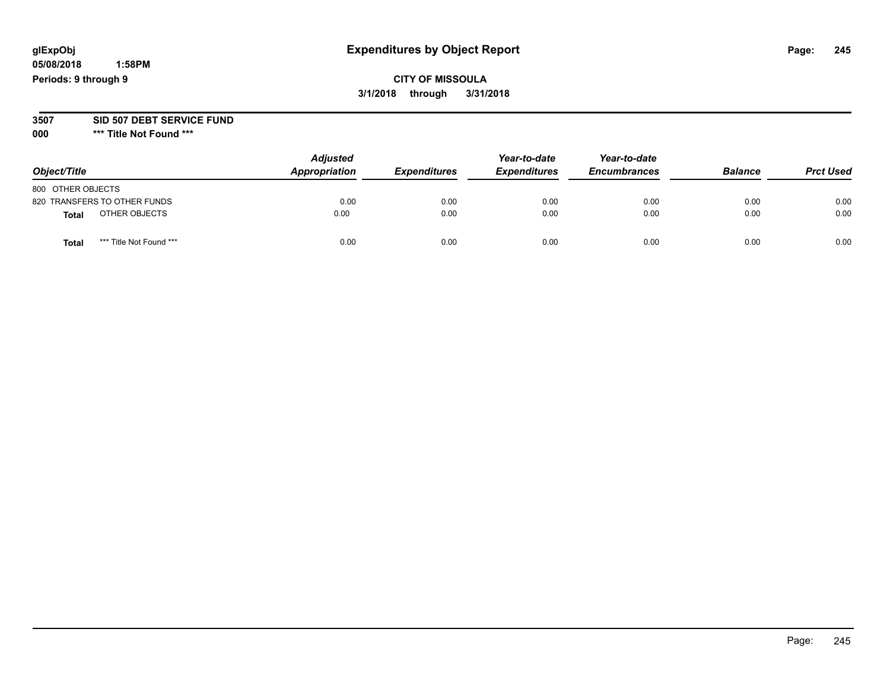# **CITY OF MISSOULA 3/1/2018 through 3/31/2018**

#### **3507 SID 507 DEBT SERVICE FUND**

| Object/Title                 |                         | <b>Adjusted</b><br>Appropriation | <b>Expenditures</b> | Year-to-date<br><b>Expenditures</b> | Year-to-date<br><b>Encumbrances</b> | <b>Balance</b> | <b>Prct Used</b> |
|------------------------------|-------------------------|----------------------------------|---------------------|-------------------------------------|-------------------------------------|----------------|------------------|
| 800 OTHER OBJECTS            |                         |                                  |                     |                                     |                                     |                |                  |
| 820 TRANSFERS TO OTHER FUNDS |                         | 0.00                             | 0.00                | 0.00                                | 0.00                                | 0.00           | 0.00             |
| Total                        | OTHER OBJECTS           | 0.00                             | 0.00                | 0.00                                | 0.00                                | 0.00           | 0.00             |
| Tota                         | *** Title Not Found *** | 0.00                             | 0.00                | 0.00                                | 0.00                                | 0.00           | 0.00             |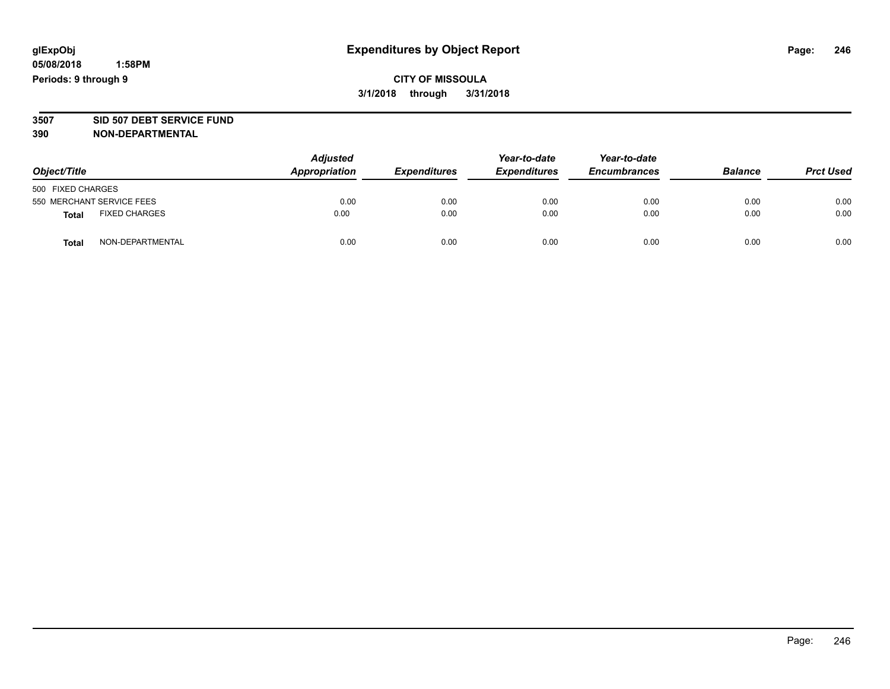# **CITY OF MISSOULA 3/1/2018 through 3/31/2018**

# **3507 SID 507 DEBT SERVICE FUND**

| Object/Title                         | <b>Adjusted</b><br>Appropriation | <b>Expenditures</b> | Year-to-date<br><b>Expenditures</b> | Year-to-date<br><b>Encumbrances</b> | <b>Balance</b> | <b>Prct Used</b> |
|--------------------------------------|----------------------------------|---------------------|-------------------------------------|-------------------------------------|----------------|------------------|
| 500 FIXED CHARGES                    |                                  |                     |                                     |                                     |                |                  |
| 550 MERCHANT SERVICE FEES            | 0.00                             | 0.00                | 0.00                                | 0.00                                | 0.00           | 0.00             |
| <b>FIXED CHARGES</b><br><b>Total</b> | 0.00                             | 0.00                | 0.00                                | 0.00                                | 0.00           | 0.00             |
| NON-DEPARTMENTAL<br>Total            | 0.00                             | 0.00                | 0.00                                | 0.00                                | 0.00           | 0.00             |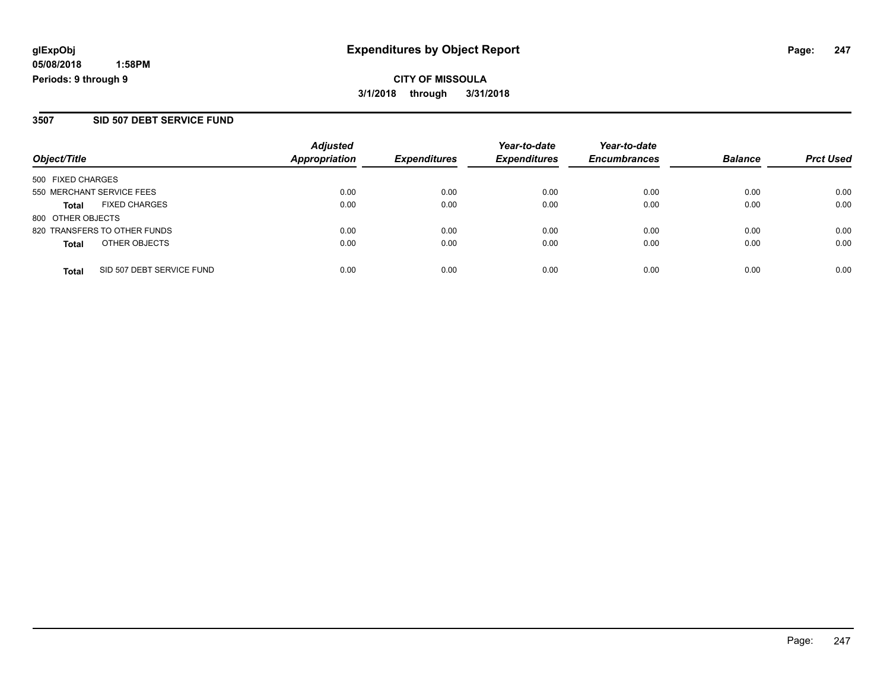**CITY OF MISSOULA 3/1/2018 through 3/31/2018**

## **3507 SID 507 DEBT SERVICE FUND**

|                           |                              | <b>Adjusted</b>      |                     | Year-to-date        | Year-to-date        |                |                  |
|---------------------------|------------------------------|----------------------|---------------------|---------------------|---------------------|----------------|------------------|
| Object/Title              |                              | <b>Appropriation</b> | <b>Expenditures</b> | <b>Expenditures</b> | <b>Encumbrances</b> | <b>Balance</b> | <b>Prct Used</b> |
| 500 FIXED CHARGES         |                              |                      |                     |                     |                     |                |                  |
| 550 MERCHANT SERVICE FEES |                              | 0.00                 | 0.00                | 0.00                | 0.00                | 0.00           | 0.00             |
| <b>Total</b>              | <b>FIXED CHARGES</b>         | 0.00                 | 0.00                | 0.00                | 0.00                | 0.00           | 0.00             |
| 800 OTHER OBJECTS         |                              |                      |                     |                     |                     |                |                  |
|                           | 820 TRANSFERS TO OTHER FUNDS | 0.00                 | 0.00                | 0.00                | 0.00                | 0.00           | 0.00             |
| <b>Total</b>              | OTHER OBJECTS                | 0.00                 | 0.00                | 0.00                | 0.00                | 0.00           | 0.00             |
| <b>Total</b>              | SID 507 DEBT SERVICE FUND    | 0.00                 | 0.00                | 0.00                | 0.00                | 0.00           | 0.00             |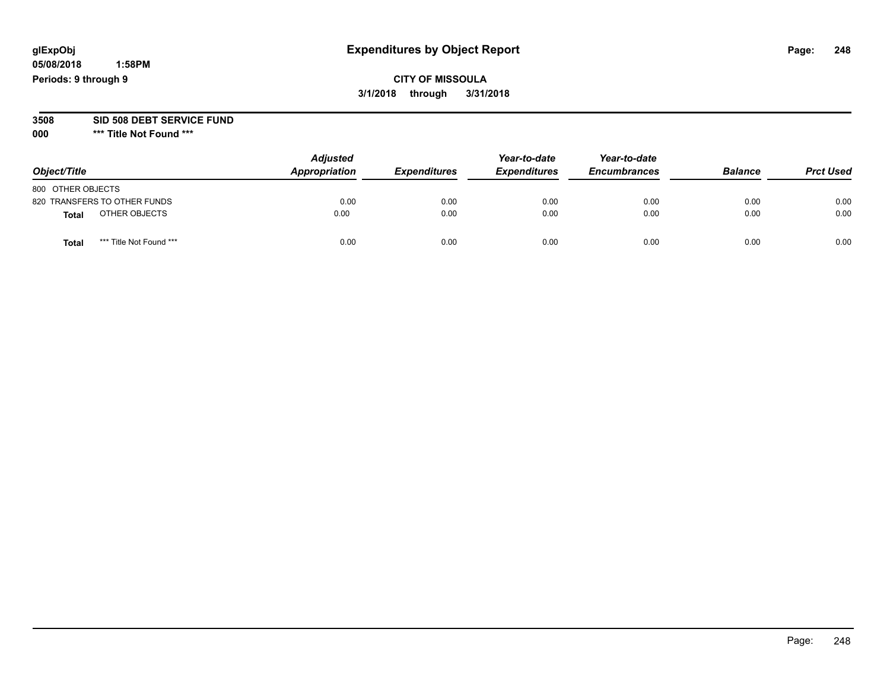# **CITY OF MISSOULA 3/1/2018 through 3/31/2018**

#### **3508 SID 508 DEBT SERVICE FUND**

| Object/Title                            | <b>Adjusted</b><br>Appropriation | <b>Expenditures</b> | Year-to-date<br><b>Expenditures</b> | Year-to-date<br><b>Encumbrances</b> | <b>Balance</b> | <b>Prct Used</b> |
|-----------------------------------------|----------------------------------|---------------------|-------------------------------------|-------------------------------------|----------------|------------------|
| 800 OTHER OBJECTS                       |                                  |                     |                                     |                                     |                |                  |
| 820 TRANSFERS TO OTHER FUNDS            | 0.00                             | 0.00                | 0.00                                | 0.00                                | 0.00           | 0.00             |
| OTHER OBJECTS<br>Total                  | 0.00                             | 0.00                | 0.00                                | 0.00                                | 0.00           | 0.00             |
| *** Title Not Found ***<br><b>Total</b> | 0.00                             | 0.00                | 0.00                                | 0.00                                | 0.00           | 0.00             |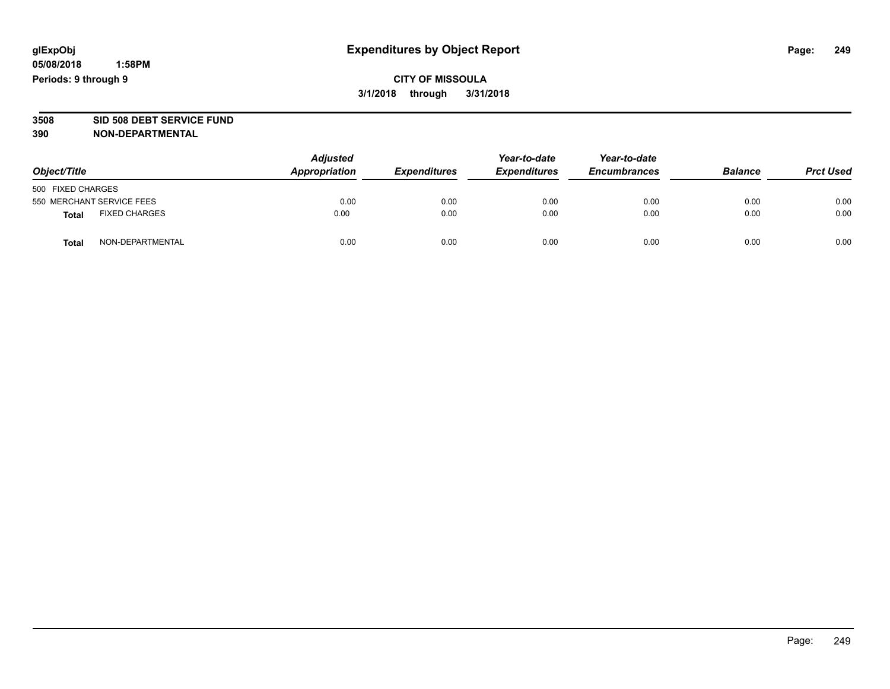# **3508 SID 508 DEBT SERVICE FUND**

| Object/Title                         |                  | <b>Adjusted</b><br>Appropriation | <b>Expenditures</b> | Year-to-date<br><b>Expenditures</b> | Year-to-date<br><b>Encumbrances</b> | <b>Balance</b> | <b>Prct Used</b> |
|--------------------------------------|------------------|----------------------------------|---------------------|-------------------------------------|-------------------------------------|----------------|------------------|
| 500 FIXED CHARGES                    |                  |                                  |                     |                                     |                                     |                |                  |
| 550 MERCHANT SERVICE FEES            |                  | 0.00                             | 0.00                | 0.00                                | 0.00                                | 0.00           | 0.00             |
| <b>FIXED CHARGES</b><br><b>Total</b> |                  | 0.00                             | 0.00                | 0.00                                | 0.00                                | 0.00           | 0.00             |
| <b>Total</b>                         | NON-DEPARTMENTAL | 0.00                             | 0.00                | 0.00                                | 0.00                                | 0.00           | 0.00             |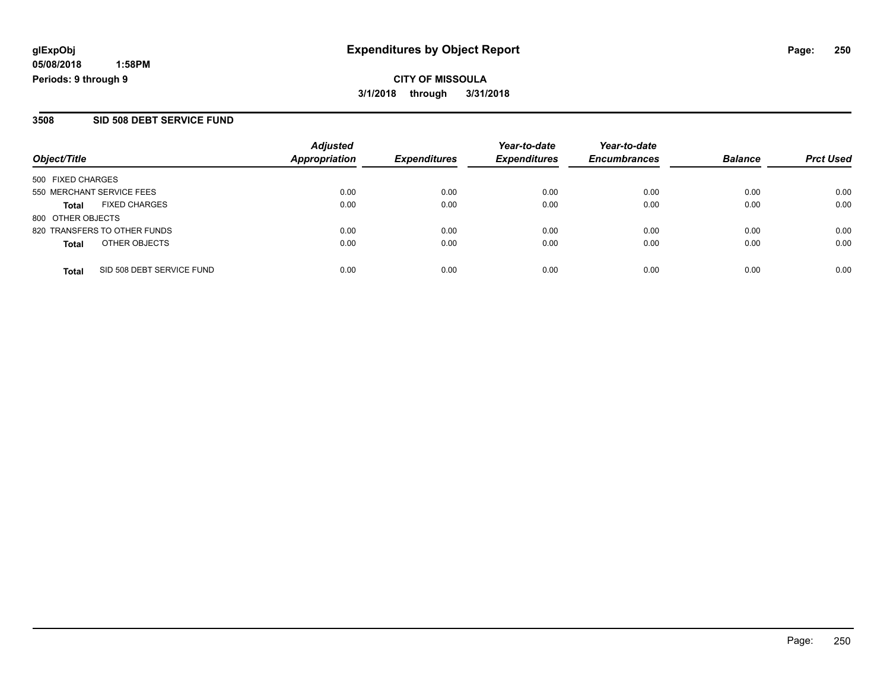**CITY OF MISSOULA 3/1/2018 through 3/31/2018**

#### **3508 SID 508 DEBT SERVICE FUND**

|                                           | <b>Adjusted</b><br><b>Appropriation</b> | <b>Expenditures</b> | Year-to-date<br><b>Expenditures</b> | Year-to-date<br><b>Encumbrances</b> | <b>Balance</b> | <b>Prct Used</b> |
|-------------------------------------------|-----------------------------------------|---------------------|-------------------------------------|-------------------------------------|----------------|------------------|
| Object/Title                              |                                         |                     |                                     |                                     |                |                  |
| 500 FIXED CHARGES                         |                                         |                     |                                     |                                     |                |                  |
| 550 MERCHANT SERVICE FEES                 | 0.00                                    | 0.00                | 0.00                                | 0.00                                | 0.00           | 0.00             |
| <b>FIXED CHARGES</b><br><b>Total</b>      | 0.00                                    | 0.00                | 0.00                                | 0.00                                | 0.00           | 0.00             |
| 800 OTHER OBJECTS                         |                                         |                     |                                     |                                     |                |                  |
| 820 TRANSFERS TO OTHER FUNDS              | 0.00                                    | 0.00                | 0.00                                | 0.00                                | 0.00           | 0.00             |
| OTHER OBJECTS<br><b>Total</b>             | 0.00                                    | 0.00                | 0.00                                | 0.00                                | 0.00           | 0.00             |
|                                           |                                         |                     |                                     |                                     |                |                  |
| SID 508 DEBT SERVICE FUND<br><b>Total</b> | 0.00                                    | 0.00                | 0.00                                | 0.00                                | 0.00           | 0.00             |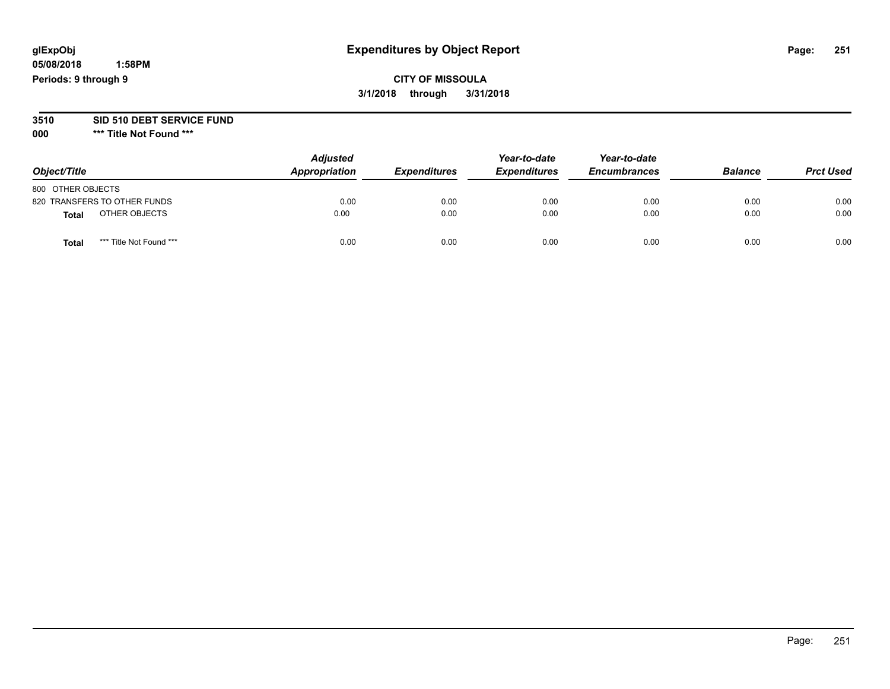# **CITY OF MISSOULA 3/1/2018 through 3/31/2018**

# **3510 SID 510 DEBT SERVICE FUND**

| Object/Title                            | <b>Adjusted</b><br>Appropriation | <b>Expenditures</b> | Year-to-date<br><b>Expenditures</b> | Year-to-date<br><b>Encumbrances</b> | <b>Balance</b> | <b>Prct Used</b> |
|-----------------------------------------|----------------------------------|---------------------|-------------------------------------|-------------------------------------|----------------|------------------|
| 800 OTHER OBJECTS                       |                                  |                     |                                     |                                     |                |                  |
| 820 TRANSFERS TO OTHER FUNDS            | 0.00                             | 0.00                | 0.00                                | 0.00                                | 0.00           | 0.00             |
| OTHER OBJECTS<br><b>Total</b>           | 0.00                             | 0.00                | 0.00                                | 0.00                                | 0.00           | 0.00             |
| *** Title Not Found ***<br><b>Total</b> | 0.00                             | 0.00                | 0.00                                | 0.00                                | 0.00           | 0.00             |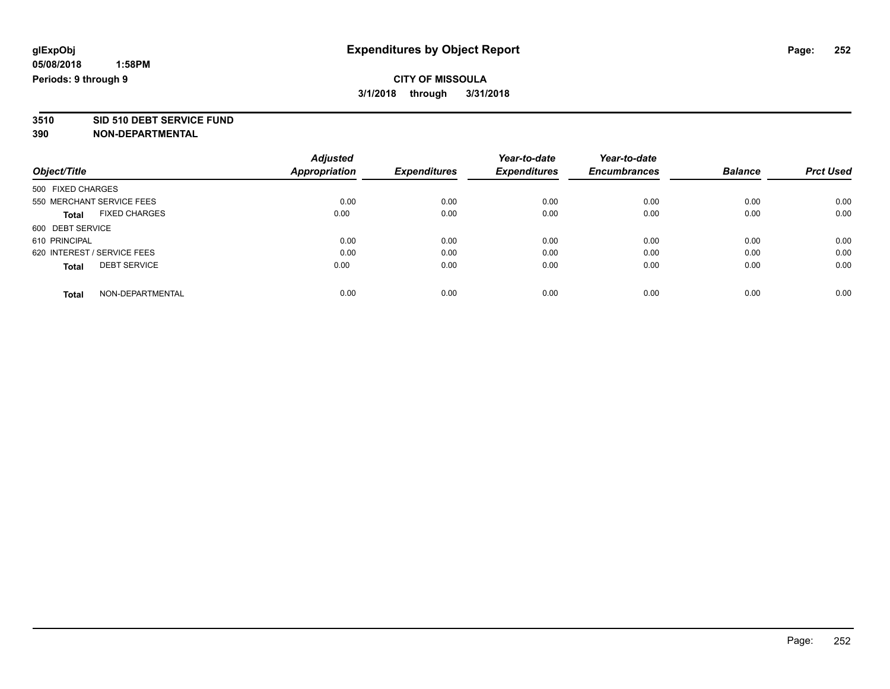# **3510 SID 510 DEBT SERVICE FUND**

|                                      | <b>Adjusted</b>      | <b>Expenditures</b> | Year-to-date<br><b>Expenditures</b> | Year-to-date<br><b>Encumbrances</b> | <b>Balance</b> | <b>Prct Used</b> |
|--------------------------------------|----------------------|---------------------|-------------------------------------|-------------------------------------|----------------|------------------|
| Object/Title                         | <b>Appropriation</b> |                     |                                     |                                     |                |                  |
| 500 FIXED CHARGES                    |                      |                     |                                     |                                     |                |                  |
| 550 MERCHANT SERVICE FEES            | 0.00                 | 0.00                | 0.00                                | 0.00                                | 0.00           | 0.00             |
| <b>FIXED CHARGES</b><br><b>Total</b> | 0.00                 | 0.00                | 0.00                                | 0.00                                | 0.00           | 0.00             |
| 600 DEBT SERVICE                     |                      |                     |                                     |                                     |                |                  |
| 610 PRINCIPAL                        | 0.00                 | 0.00                | 0.00                                | 0.00                                | 0.00           | 0.00             |
| 620 INTEREST / SERVICE FEES          | 0.00                 | 0.00                | 0.00                                | 0.00                                | 0.00           | 0.00             |
| <b>DEBT SERVICE</b><br><b>Total</b>  | 0.00                 | 0.00                | 0.00                                | 0.00                                | 0.00           | 0.00             |
| NON-DEPARTMENTAL<br><b>Total</b>     | 0.00                 | 0.00                | 0.00                                | 0.00                                | 0.00           | 0.00             |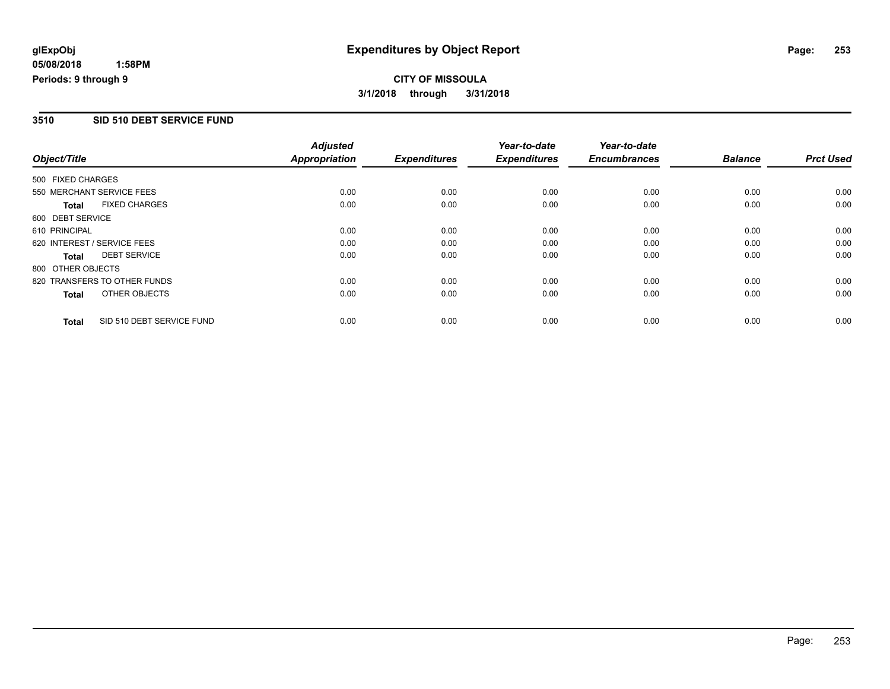## **3510 SID 510 DEBT SERVICE FUND**

|                   |                              | <b>Adjusted</b>      |                     | Year-to-date        | Year-to-date        |                |                  |
|-------------------|------------------------------|----------------------|---------------------|---------------------|---------------------|----------------|------------------|
| Object/Title      |                              | <b>Appropriation</b> | <b>Expenditures</b> | <b>Expenditures</b> | <b>Encumbrances</b> | <b>Balance</b> | <b>Prct Used</b> |
| 500 FIXED CHARGES |                              |                      |                     |                     |                     |                |                  |
|                   | 550 MERCHANT SERVICE FEES    | 0.00                 | 0.00                | 0.00                | 0.00                | 0.00           | 0.00             |
| <b>Total</b>      | <b>FIXED CHARGES</b>         | 0.00                 | 0.00                | 0.00                | 0.00                | 0.00           | 0.00             |
| 600 DEBT SERVICE  |                              |                      |                     |                     |                     |                |                  |
| 610 PRINCIPAL     |                              | 0.00                 | 0.00                | 0.00                | 0.00                | 0.00           | 0.00             |
|                   | 620 INTEREST / SERVICE FEES  | 0.00                 | 0.00                | 0.00                | 0.00                | 0.00           | 0.00             |
| Total             | <b>DEBT SERVICE</b>          | 0.00                 | 0.00                | 0.00                | 0.00                | 0.00           | 0.00             |
| 800 OTHER OBJECTS |                              |                      |                     |                     |                     |                |                  |
|                   | 820 TRANSFERS TO OTHER FUNDS | 0.00                 | 0.00                | 0.00                | 0.00                | 0.00           | 0.00             |
| Total             | OTHER OBJECTS                | 0.00                 | 0.00                | 0.00                | 0.00                | 0.00           | 0.00             |
| <b>Total</b>      | SID 510 DEBT SERVICE FUND    | 0.00                 | 0.00                | 0.00                | 0.00                | 0.00           | 0.00             |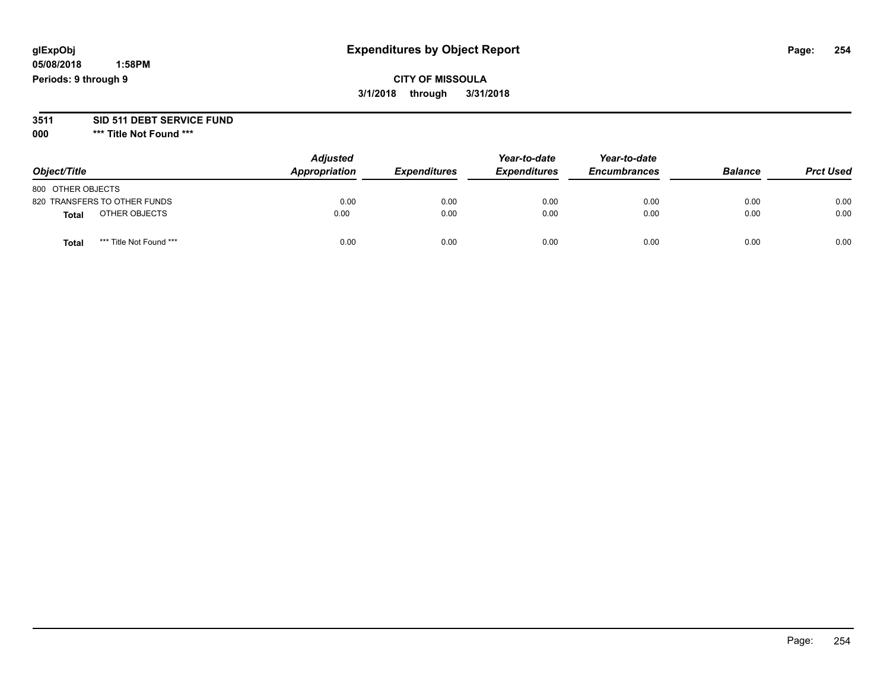#### **05/08/2018 1:58PM Periods: 9 through 9**

## **CITY OF MISSOULA 3/1/2018 through 3/31/2018**

# **3511 SID 511 DEBT SERVICE FUND**

**000 \*\*\* Title Not Found \*\*\***

| Object/Title                            | <b>Adjusted</b><br>Appropriation | <b>Expenditures</b> | Year-to-date<br><b>Expenditures</b> | Year-to-date<br><b>Encumbrances</b> | <b>Balance</b> | <b>Prct Used</b> |
|-----------------------------------------|----------------------------------|---------------------|-------------------------------------|-------------------------------------|----------------|------------------|
| 800 OTHER OBJECTS                       |                                  |                     |                                     |                                     |                |                  |
| 820 TRANSFERS TO OTHER FUNDS            | 0.00                             | 0.00                | 0.00                                | 0.00                                | 0.00           | 0.00             |
| OTHER OBJECTS<br><b>Total</b>           | 0.00                             | 0.00                | 0.00                                | 0.00                                | 0.00           | 0.00             |
| *** Title Not Found ***<br><b>Total</b> | 0.00                             | 0.00                | 0.00                                | 0.00                                | 0.00           | 0.00             |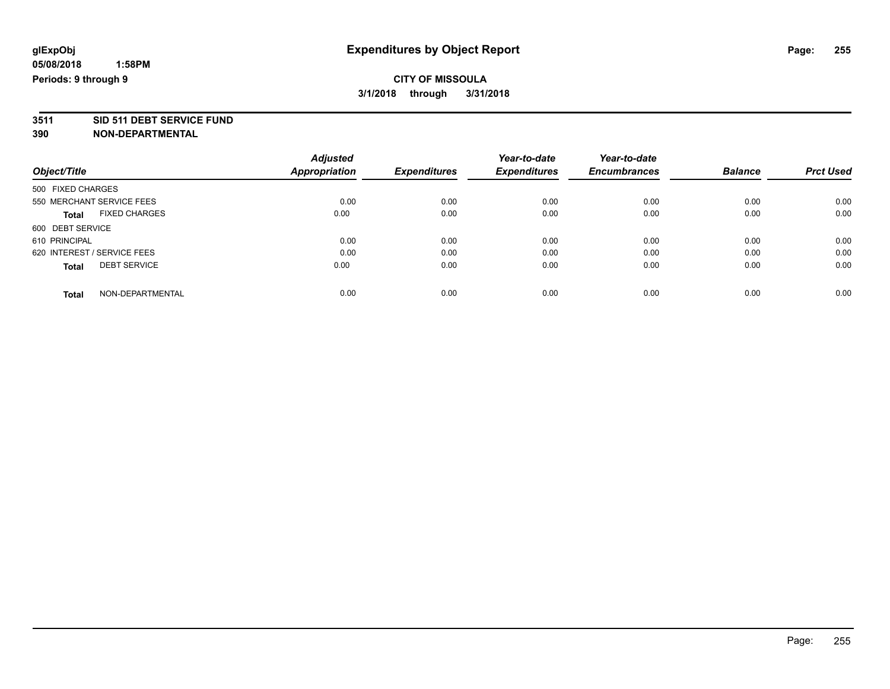**3511 SID 511 DEBT SERVICE FUND**

|                             |                           | <b>Adjusted</b>      |                     | Year-to-date        | Year-to-date        |                |                  |
|-----------------------------|---------------------------|----------------------|---------------------|---------------------|---------------------|----------------|------------------|
| Object/Title                |                           | <b>Appropriation</b> | <b>Expenditures</b> | <b>Expenditures</b> | <b>Encumbrances</b> | <b>Balance</b> | <b>Prct Used</b> |
| 500 FIXED CHARGES           |                           |                      |                     |                     |                     |                |                  |
|                             | 550 MERCHANT SERVICE FEES | 0.00                 | 0.00                | 0.00                | 0.00                | 0.00           | 0.00             |
| <b>Total</b>                | <b>FIXED CHARGES</b>      | 0.00                 | 0.00                | 0.00                | 0.00                | 0.00           | 0.00             |
| 600 DEBT SERVICE            |                           |                      |                     |                     |                     |                |                  |
| 610 PRINCIPAL               |                           | 0.00                 | 0.00                | 0.00                | 0.00                | 0.00           | 0.00             |
| 620 INTEREST / SERVICE FEES |                           | 0.00                 | 0.00                | 0.00                | 0.00                | 0.00           | 0.00             |
| <b>Total</b>                | <b>DEBT SERVICE</b>       | 0.00                 | 0.00                | 0.00                | 0.00                | 0.00           | 0.00             |
| <b>Total</b>                | NON-DEPARTMENTAL          | 0.00                 | 0.00                | 0.00                | 0.00                | 0.00           | 0.00             |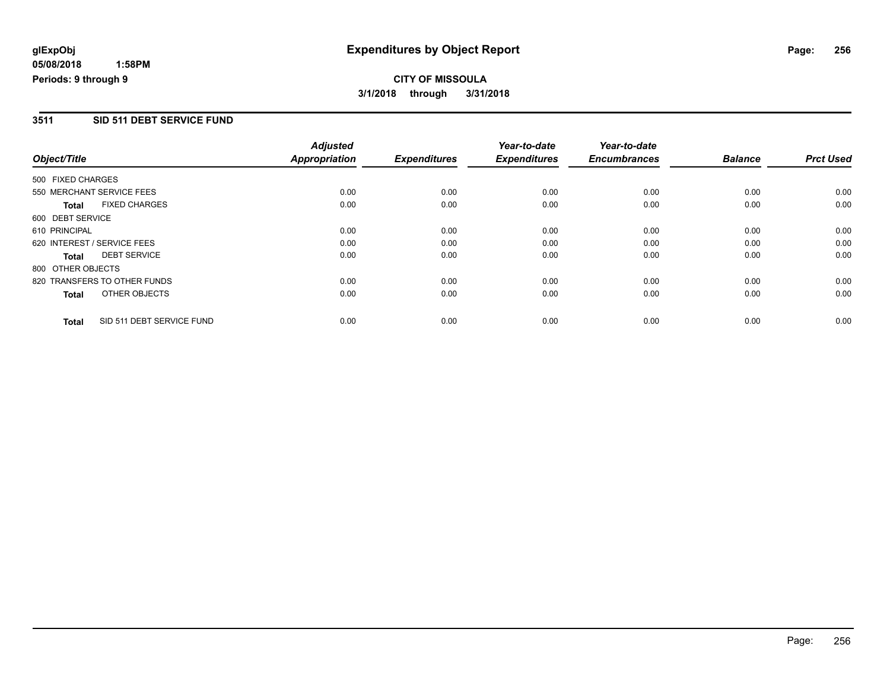### **3511 SID 511 DEBT SERVICE FUND**

|                                           | <b>Adjusted</b>      |                     | Year-to-date        | Year-to-date        |                |                  |
|-------------------------------------------|----------------------|---------------------|---------------------|---------------------|----------------|------------------|
| Object/Title                              | <b>Appropriation</b> | <b>Expenditures</b> | <b>Expenditures</b> | <b>Encumbrances</b> | <b>Balance</b> | <b>Prct Used</b> |
| 500 FIXED CHARGES                         |                      |                     |                     |                     |                |                  |
| 550 MERCHANT SERVICE FEES                 | 0.00                 | 0.00                | 0.00                | 0.00                | 0.00           | 0.00             |
| <b>FIXED CHARGES</b><br><b>Total</b>      | 0.00                 | 0.00                | 0.00                | 0.00                | 0.00           | 0.00             |
| 600 DEBT SERVICE                          |                      |                     |                     |                     |                |                  |
| 610 PRINCIPAL                             | 0.00                 | 0.00                | 0.00                | 0.00                | 0.00           | 0.00             |
| 620 INTEREST / SERVICE FEES               | 0.00                 | 0.00                | 0.00                | 0.00                | 0.00           | 0.00             |
| <b>DEBT SERVICE</b><br><b>Total</b>       | 0.00                 | 0.00                | 0.00                | 0.00                | 0.00           | 0.00             |
| 800 OTHER OBJECTS                         |                      |                     |                     |                     |                |                  |
| 820 TRANSFERS TO OTHER FUNDS              | 0.00                 | 0.00                | 0.00                | 0.00                | 0.00           | 0.00             |
| OTHER OBJECTS<br><b>Total</b>             | 0.00                 | 0.00                | 0.00                | 0.00                | 0.00           | 0.00             |
| SID 511 DEBT SERVICE FUND<br><b>Total</b> | 0.00                 | 0.00                | 0.00                | 0.00                | 0.00           | 0.00             |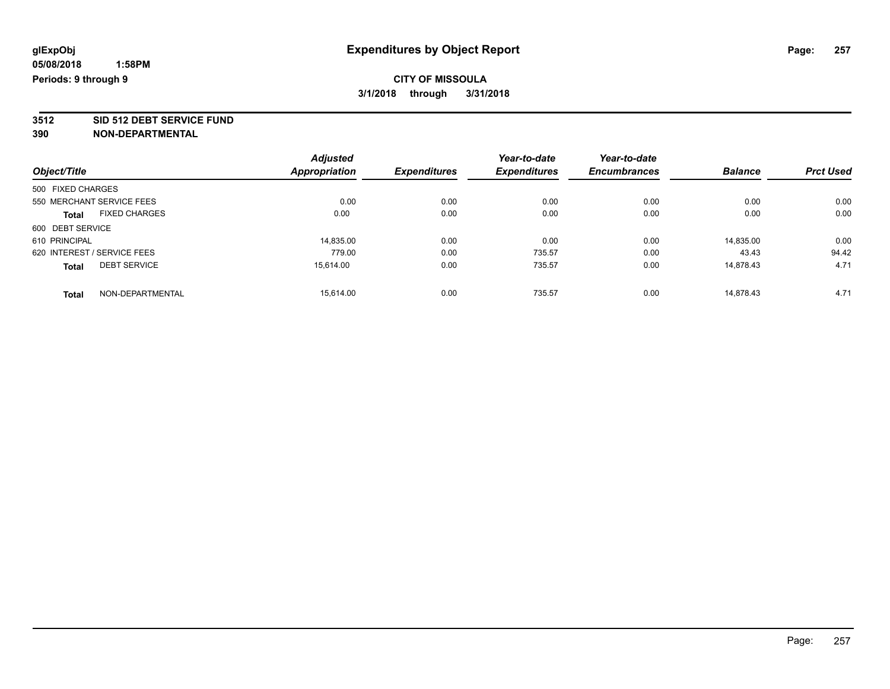**3512 SID 512 DEBT SERVICE FUND**

|                                      | <b>Adjusted</b> |                     | Year-to-date        | Year-to-date        |                |                  |
|--------------------------------------|-----------------|---------------------|---------------------|---------------------|----------------|------------------|
| Object/Title                         | Appropriation   | <b>Expenditures</b> | <b>Expenditures</b> | <b>Encumbrances</b> | <b>Balance</b> | <b>Prct Used</b> |
| 500 FIXED CHARGES                    |                 |                     |                     |                     |                |                  |
| 550 MERCHANT SERVICE FEES            | 0.00            | 0.00                | 0.00                | 0.00                | 0.00           | 0.00             |
| <b>FIXED CHARGES</b><br><b>Total</b> | 0.00            | 0.00                | 0.00                | 0.00                | 0.00           | 0.00             |
| 600 DEBT SERVICE                     |                 |                     |                     |                     |                |                  |
| 610 PRINCIPAL                        | 14,835.00       | 0.00                | 0.00                | 0.00                | 14.835.00      | 0.00             |
| 620 INTEREST / SERVICE FEES          | 779.00          | 0.00                | 735.57              | 0.00                | 43.43          | 94.42            |
| <b>DEBT SERVICE</b><br><b>Total</b>  | 15.614.00       | 0.00                | 735.57              | 0.00                | 14,878.43      | 4.71             |
| NON-DEPARTMENTAL<br><b>Total</b>     | 15.614.00       | 0.00                | 735.57              | 0.00                | 14.878.43      | 4.71             |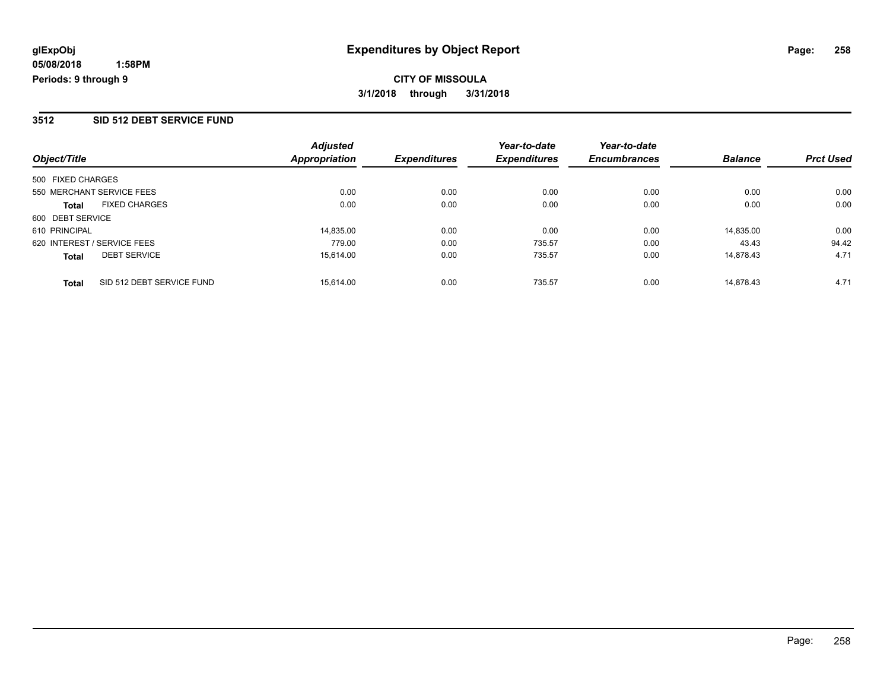### **3512 SID 512 DEBT SERVICE FUND**

|                                           | <b>Adjusted</b>      |                     | Year-to-date        | Year-to-date        |                |                  |
|-------------------------------------------|----------------------|---------------------|---------------------|---------------------|----------------|------------------|
| Object/Title                              | <b>Appropriation</b> | <b>Expenditures</b> | <b>Expenditures</b> | <b>Encumbrances</b> | <b>Balance</b> | <b>Prct Used</b> |
| 500 FIXED CHARGES                         |                      |                     |                     |                     |                |                  |
| 550 MERCHANT SERVICE FEES                 | 0.00                 | 0.00                | 0.00                | 0.00                | 0.00           | 0.00             |
| <b>FIXED CHARGES</b><br><b>Total</b>      | 0.00                 | 0.00                | 0.00                | 0.00                | 0.00           | 0.00             |
| 600 DEBT SERVICE                          |                      |                     |                     |                     |                |                  |
| 610 PRINCIPAL                             | 14.835.00            | 0.00                | 0.00                | 0.00                | 14,835.00      | 0.00             |
| 620 INTEREST / SERVICE FEES               | 779.00               | 0.00                | 735.57              | 0.00                | 43.43          | 94.42            |
| <b>DEBT SERVICE</b><br><b>Total</b>       | 15.614.00            | 0.00                | 735.57              | 0.00                | 14.878.43      | 4.71             |
| SID 512 DEBT SERVICE FUND<br><b>Total</b> | 15.614.00            | 0.00                | 735.57              | 0.00                | 14.878.43      | 4.71             |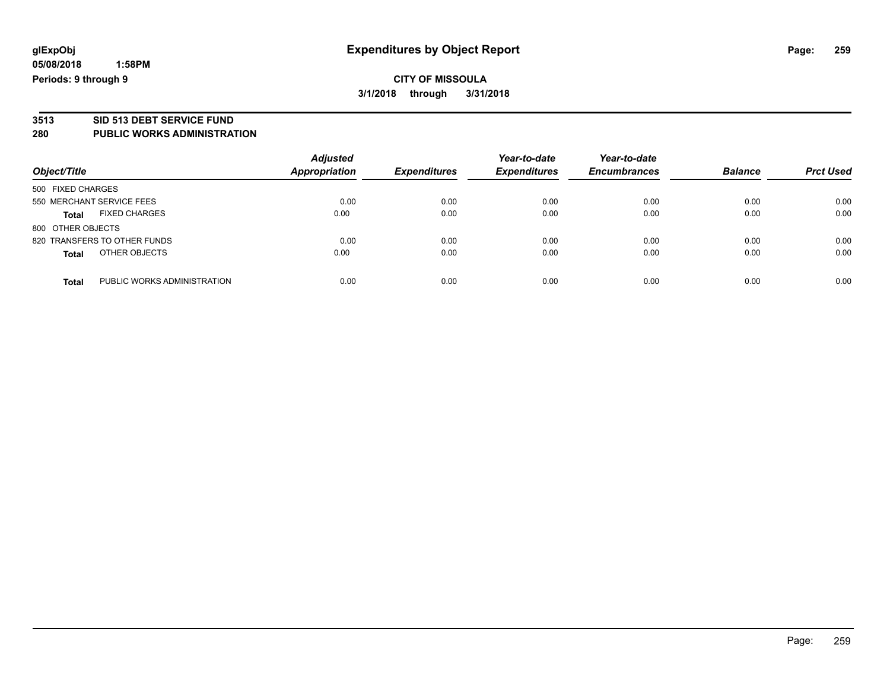**05/08/2018 1:58PM Periods: 9 through 9**

**CITY OF MISSOULA 3/1/2018 through 3/31/2018**

**3513 SID 513 DEBT SERVICE FUND**

**280 PUBLIC WORKS ADMINISTRATION**

| Object/Title                                | <b>Adjusted</b><br><b>Appropriation</b> | <b>Expenditures</b> | Year-to-date<br><b>Expenditures</b> | Year-to-date<br><b>Encumbrances</b> | <b>Balance</b> | <b>Prct Used</b> |
|---------------------------------------------|-----------------------------------------|---------------------|-------------------------------------|-------------------------------------|----------------|------------------|
| 500 FIXED CHARGES                           |                                         |                     |                                     |                                     |                |                  |
| 550 MERCHANT SERVICE FEES                   | 0.00                                    | 0.00                | 0.00                                | 0.00                                | 0.00           | 0.00             |
| <b>FIXED CHARGES</b><br><b>Total</b>        | 0.00                                    | 0.00                | 0.00                                | 0.00                                | 0.00           | 0.00             |
| 800 OTHER OBJECTS                           |                                         |                     |                                     |                                     |                |                  |
| 820 TRANSFERS TO OTHER FUNDS                | 0.00                                    | 0.00                | 0.00                                | 0.00                                | 0.00           | 0.00             |
| OTHER OBJECTS<br><b>Total</b>               | 0.00                                    | 0.00                | 0.00                                | 0.00                                | 0.00           | 0.00             |
| PUBLIC WORKS ADMINISTRATION<br><b>Total</b> | 0.00                                    | 0.00                | 0.00                                | 0.00                                | 0.00           | 0.00             |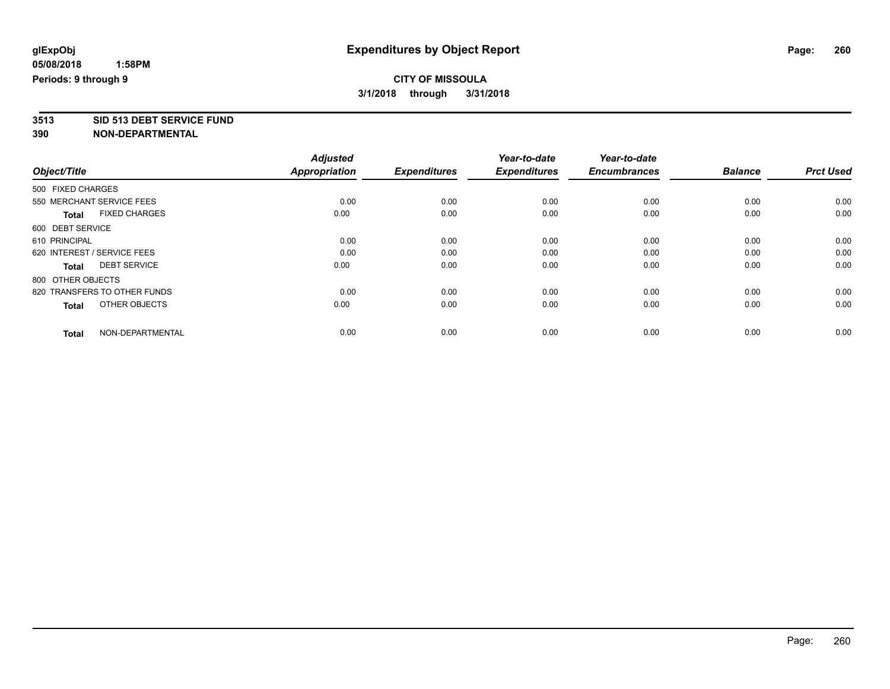# **3513 SID 513 DEBT SERVICE FUND**

|                                      | <b>Adjusted</b> |                     | Year-to-date        | Year-to-date        |                |                  |
|--------------------------------------|-----------------|---------------------|---------------------|---------------------|----------------|------------------|
| Object/Title                         | Appropriation   | <b>Expenditures</b> | <b>Expenditures</b> | <b>Encumbrances</b> | <b>Balance</b> | <b>Prct Used</b> |
| 500 FIXED CHARGES                    |                 |                     |                     |                     |                |                  |
| 550 MERCHANT SERVICE FEES            | 0.00            | 0.00                | 0.00                | 0.00                | 0.00           | 0.00             |
| <b>FIXED CHARGES</b><br><b>Total</b> | 0.00            | 0.00                | 0.00                | 0.00                | 0.00           | 0.00             |
| 600 DEBT SERVICE                     |                 |                     |                     |                     |                |                  |
| 610 PRINCIPAL                        | 0.00            | 0.00                | 0.00                | 0.00                | 0.00           | 0.00             |
| 620 INTEREST / SERVICE FEES          | 0.00            | 0.00                | 0.00                | 0.00                | 0.00           | 0.00             |
| <b>DEBT SERVICE</b><br><b>Total</b>  | 0.00            | 0.00                | 0.00                | 0.00                | 0.00           | 0.00             |
| 800 OTHER OBJECTS                    |                 |                     |                     |                     |                |                  |
| 820 TRANSFERS TO OTHER FUNDS         | 0.00            | 0.00                | 0.00                | 0.00                | 0.00           | 0.00             |
| OTHER OBJECTS<br><b>Total</b>        | 0.00            | 0.00                | 0.00                | 0.00                | 0.00           | 0.00             |
|                                      |                 |                     |                     |                     |                |                  |
| NON-DEPARTMENTAL<br><b>Total</b>     | 0.00            | 0.00                | 0.00                | 0.00                | 0.00           | 0.00             |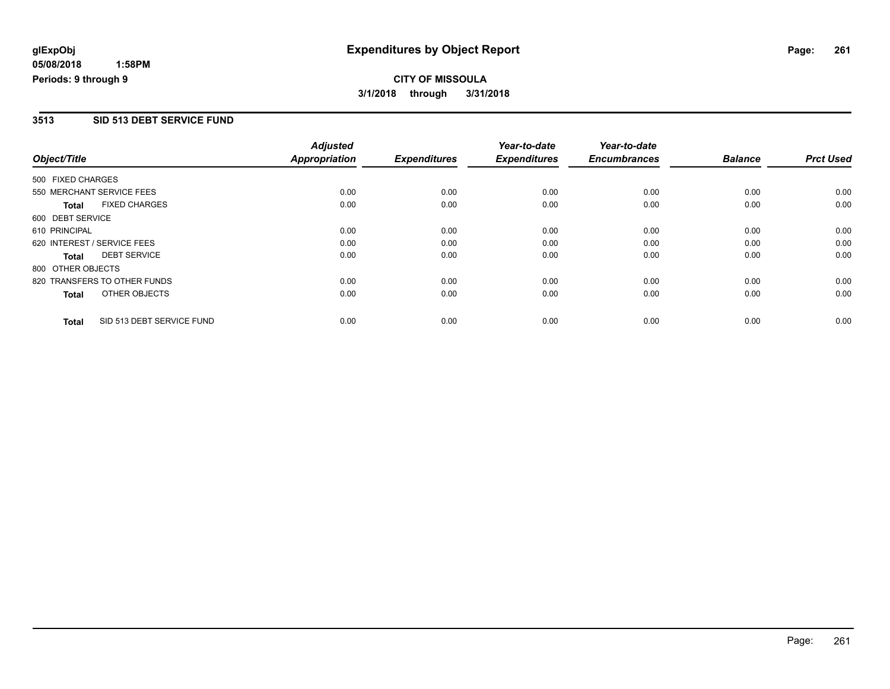## **3513 SID 513 DEBT SERVICE FUND**

|                              |                           | <b>Adjusted</b>      |                     | Year-to-date        | Year-to-date        |                |                  |
|------------------------------|---------------------------|----------------------|---------------------|---------------------|---------------------|----------------|------------------|
| Object/Title                 |                           | <b>Appropriation</b> | <b>Expenditures</b> | <b>Expenditures</b> | <b>Encumbrances</b> | <b>Balance</b> | <b>Prct Used</b> |
| 500 FIXED CHARGES            |                           |                      |                     |                     |                     |                |                  |
| 550 MERCHANT SERVICE FEES    |                           | 0.00                 | 0.00                | 0.00                | 0.00                | 0.00           | 0.00             |
| <b>Total</b>                 | <b>FIXED CHARGES</b>      | 0.00                 | 0.00                | 0.00                | 0.00                | 0.00           | 0.00             |
| 600 DEBT SERVICE             |                           |                      |                     |                     |                     |                |                  |
| 610 PRINCIPAL                |                           | 0.00                 | 0.00                | 0.00                | 0.00                | 0.00           | 0.00             |
| 620 INTEREST / SERVICE FEES  |                           | 0.00                 | 0.00                | 0.00                | 0.00                | 0.00           | 0.00             |
| Total                        | <b>DEBT SERVICE</b>       | 0.00                 | 0.00                | 0.00                | 0.00                | 0.00           | 0.00             |
| 800 OTHER OBJECTS            |                           |                      |                     |                     |                     |                |                  |
| 820 TRANSFERS TO OTHER FUNDS |                           | 0.00                 | 0.00                | 0.00                | 0.00                | 0.00           | 0.00             |
| Total                        | OTHER OBJECTS             | 0.00                 | 0.00                | 0.00                | 0.00                | 0.00           | 0.00             |
| <b>Total</b>                 | SID 513 DEBT SERVICE FUND | 0.00                 | 0.00                | 0.00                | 0.00                | 0.00           | 0.00             |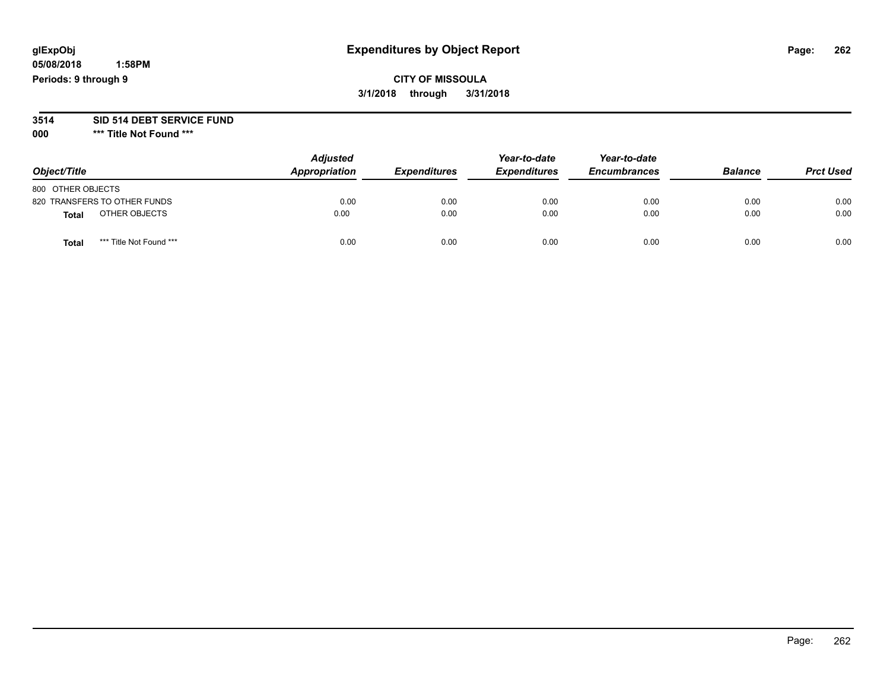#### **05/08/2018 1:58PM Periods: 9 through 9**

## **CITY OF MISSOULA 3/1/2018 through 3/31/2018**

### **3514 SID 514 DEBT SERVICE FUND**

**000 \*\*\* Title Not Found \*\*\***

| Object/Title                     | <b>Adjusted</b><br>Appropriation | <b>Expenditures</b> | Year-to-date<br><b>Expenditures</b> | Year-to-date<br><b>Encumbrances</b> | <b>Balance</b> | <b>Prct Used</b> |
|----------------------------------|----------------------------------|---------------------|-------------------------------------|-------------------------------------|----------------|------------------|
| 800 OTHER OBJECTS                |                                  |                     |                                     |                                     |                |                  |
| 820 TRANSFERS TO OTHER FUNDS     | 0.00                             | 0.00                | 0.00                                | 0.00                                | 0.00           | 0.00             |
| OTHER OBJECTS<br><b>Total</b>    | 0.00                             | 0.00                | 0.00                                | 0.00                                | 0.00           | 0.00             |
| *** Title Not Found ***<br>Total | 0.00                             | 0.00                | 0.00                                | 0.00                                | 0.00           | 0.00             |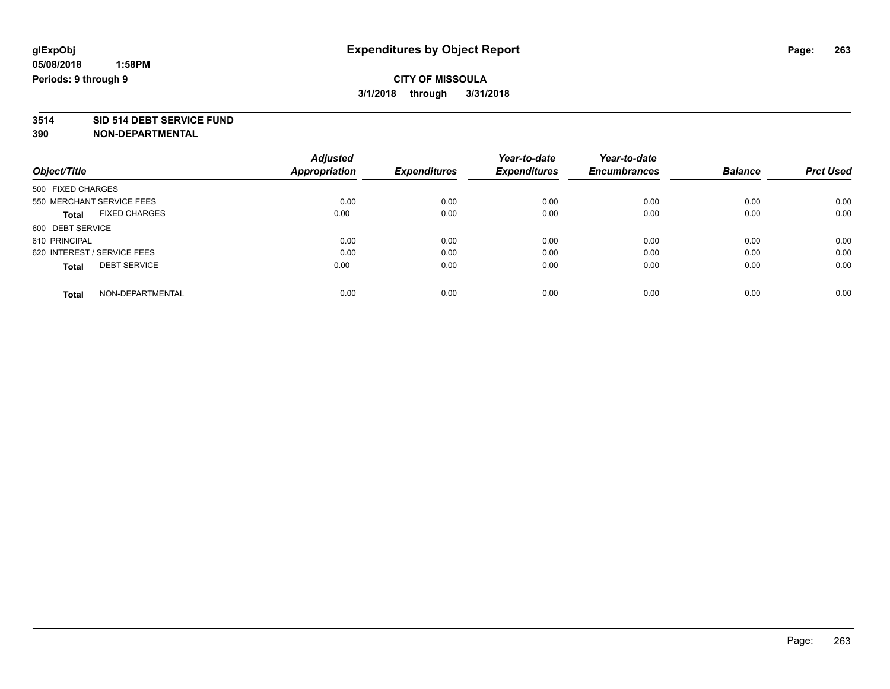# **3514 SID 514 DEBT SERVICE FUND**

|                                      | <b>Adjusted</b> |                     | Year-to-date        | Year-to-date        |                |                  |
|--------------------------------------|-----------------|---------------------|---------------------|---------------------|----------------|------------------|
| Object/Title                         | Appropriation   | <b>Expenditures</b> | <b>Expenditures</b> | <b>Encumbrances</b> | <b>Balance</b> | <b>Prct Used</b> |
| 500 FIXED CHARGES                    |                 |                     |                     |                     |                |                  |
| 550 MERCHANT SERVICE FEES            | 0.00            | 0.00                | 0.00                | 0.00                | 0.00           | 0.00             |
| <b>FIXED CHARGES</b><br><b>Total</b> | 0.00            | 0.00                | 0.00                | 0.00                | 0.00           | 0.00             |
| 600 DEBT SERVICE                     |                 |                     |                     |                     |                |                  |
| 610 PRINCIPAL                        | 0.00            | 0.00                | 0.00                | 0.00                | 0.00           | 0.00             |
| 620 INTEREST / SERVICE FEES          | 0.00            | 0.00                | 0.00                | 0.00                | 0.00           | 0.00             |
| <b>DEBT SERVICE</b><br><b>Total</b>  | 0.00            | 0.00                | 0.00                | 0.00                | 0.00           | 0.00             |
| NON-DEPARTMENTAL<br><b>Total</b>     | 0.00            | 0.00                | 0.00                | 0.00                | 0.00           | 0.00             |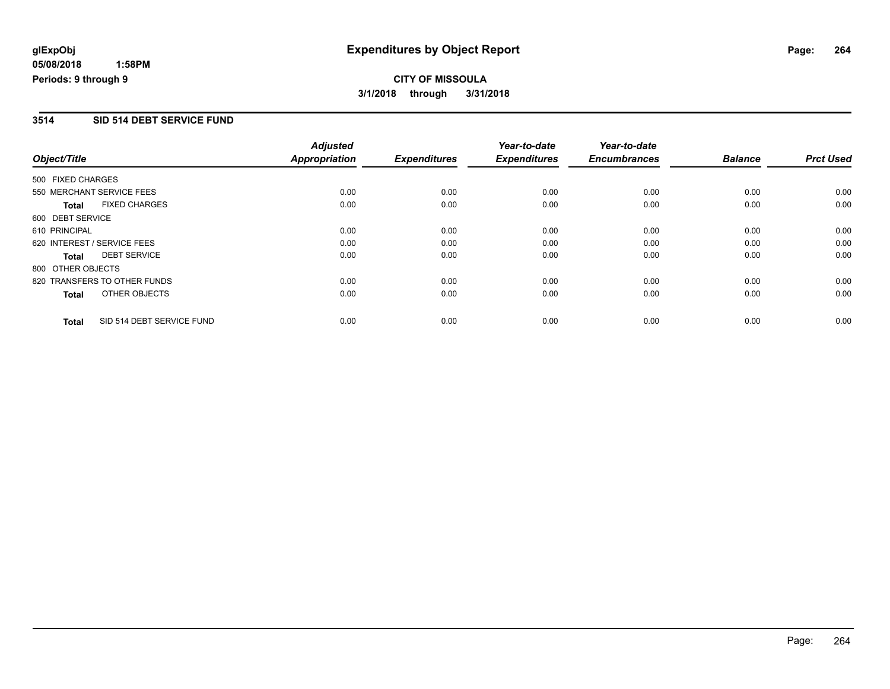## **3514 SID 514 DEBT SERVICE FUND**

|                             |                              | <b>Adjusted</b>      |                     | Year-to-date        | Year-to-date        |                |                  |
|-----------------------------|------------------------------|----------------------|---------------------|---------------------|---------------------|----------------|------------------|
| Object/Title                |                              | <b>Appropriation</b> | <b>Expenditures</b> | <b>Expenditures</b> | <b>Encumbrances</b> | <b>Balance</b> | <b>Prct Used</b> |
| 500 FIXED CHARGES           |                              |                      |                     |                     |                     |                |                  |
|                             | 550 MERCHANT SERVICE FEES    | 0.00                 | 0.00                | 0.00                | 0.00                | 0.00           | 0.00             |
| <b>Total</b>                | <b>FIXED CHARGES</b>         | 0.00                 | 0.00                | 0.00                | 0.00                | 0.00           | 0.00             |
| 600 DEBT SERVICE            |                              |                      |                     |                     |                     |                |                  |
| 610 PRINCIPAL               |                              | 0.00                 | 0.00                | 0.00                | 0.00                | 0.00           | 0.00             |
| 620 INTEREST / SERVICE FEES |                              | 0.00                 | 0.00                | 0.00                | 0.00                | 0.00           | 0.00             |
| Total                       | <b>DEBT SERVICE</b>          | 0.00                 | 0.00                | 0.00                | 0.00                | 0.00           | 0.00             |
| 800 OTHER OBJECTS           |                              |                      |                     |                     |                     |                |                  |
|                             | 820 TRANSFERS TO OTHER FUNDS | 0.00                 | 0.00                | 0.00                | 0.00                | 0.00           | 0.00             |
| Total                       | OTHER OBJECTS                | 0.00                 | 0.00                | 0.00                | 0.00                | 0.00           | 0.00             |
| <b>Total</b>                | SID 514 DEBT SERVICE FUND    | 0.00                 | 0.00                | 0.00                | 0.00                | 0.00           | 0.00             |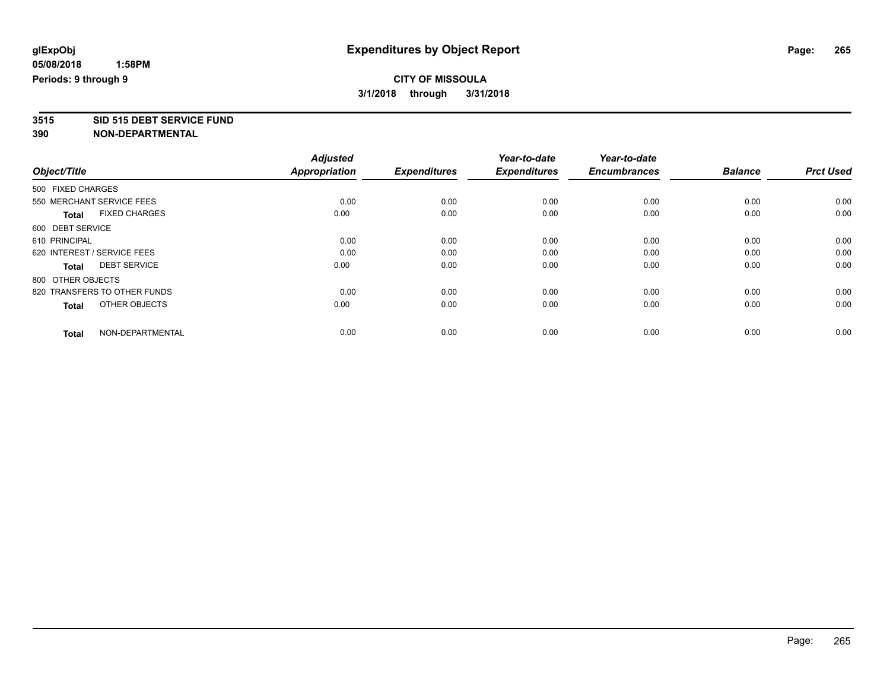# **3515 SID 515 DEBT SERVICE FUND**

|                                      | <b>Adjusted</b><br><b>Appropriation</b> | <b>Expenditures</b> | Year-to-date<br><b>Expenditures</b> | Year-to-date<br><b>Encumbrances</b> | <b>Balance</b> | <b>Prct Used</b> |
|--------------------------------------|-----------------------------------------|---------------------|-------------------------------------|-------------------------------------|----------------|------------------|
| Object/Title                         |                                         |                     |                                     |                                     |                |                  |
| 500 FIXED CHARGES                    |                                         |                     |                                     |                                     |                |                  |
| 550 MERCHANT SERVICE FEES            | 0.00                                    | 0.00                | 0.00                                | 0.00                                | 0.00           | 0.00             |
| <b>FIXED CHARGES</b><br><b>Total</b> | 0.00                                    | 0.00                | 0.00                                | 0.00                                | 0.00           | 0.00             |
| 600 DEBT SERVICE                     |                                         |                     |                                     |                                     |                |                  |
| 610 PRINCIPAL                        | 0.00                                    | 0.00                | 0.00                                | 0.00                                | 0.00           | 0.00             |
| 620 INTEREST / SERVICE FEES          | 0.00                                    | 0.00                | 0.00                                | 0.00                                | 0.00           | 0.00             |
| <b>DEBT SERVICE</b><br><b>Total</b>  | 0.00                                    | 0.00                | 0.00                                | 0.00                                | 0.00           | 0.00             |
| 800 OTHER OBJECTS                    |                                         |                     |                                     |                                     |                |                  |
| 820 TRANSFERS TO OTHER FUNDS         | 0.00                                    | 0.00                | 0.00                                | 0.00                                | 0.00           | 0.00             |
| OTHER OBJECTS<br><b>Total</b>        | 0.00                                    | 0.00                | 0.00                                | 0.00                                | 0.00           | 0.00             |
|                                      |                                         |                     |                                     |                                     |                |                  |
| NON-DEPARTMENTAL<br><b>Total</b>     | 0.00                                    | 0.00                | 0.00                                | 0.00                                | 0.00           | 0.00             |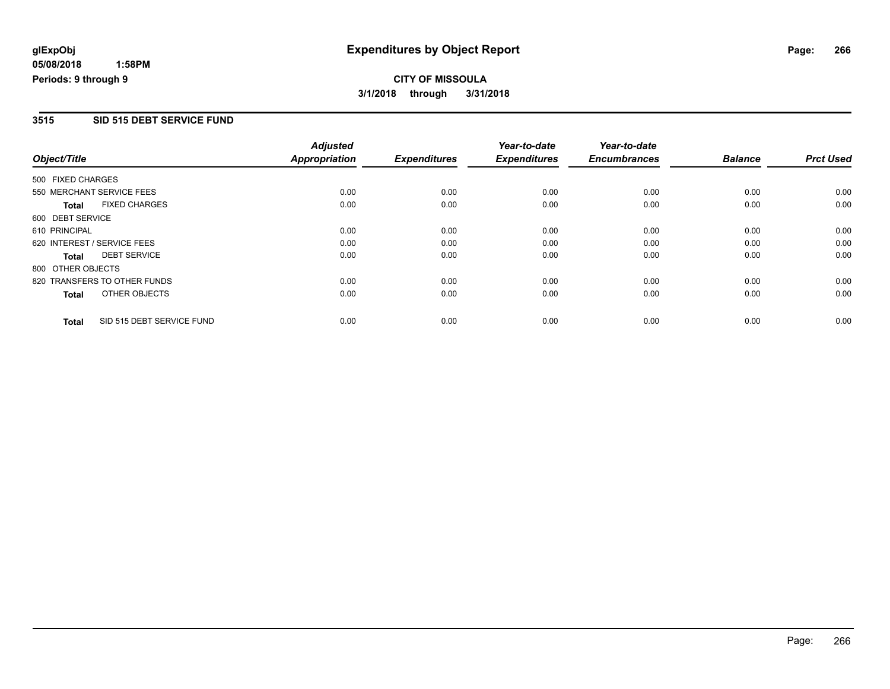## **3515 SID 515 DEBT SERVICE FUND**

|                              |                           | <b>Adjusted</b>      |                     | Year-to-date        | Year-to-date        |                |                  |
|------------------------------|---------------------------|----------------------|---------------------|---------------------|---------------------|----------------|------------------|
| Object/Title                 |                           | <b>Appropriation</b> | <b>Expenditures</b> | <b>Expenditures</b> | <b>Encumbrances</b> | <b>Balance</b> | <b>Prct Used</b> |
| 500 FIXED CHARGES            |                           |                      |                     |                     |                     |                |                  |
| 550 MERCHANT SERVICE FEES    |                           | 0.00                 | 0.00                | 0.00                | 0.00                | 0.00           | 0.00             |
| <b>Total</b>                 | <b>FIXED CHARGES</b>      | 0.00                 | 0.00                | 0.00                | 0.00                | 0.00           | 0.00             |
| 600 DEBT SERVICE             |                           |                      |                     |                     |                     |                |                  |
| 610 PRINCIPAL                |                           | 0.00                 | 0.00                | 0.00                | 0.00                | 0.00           | 0.00             |
| 620 INTEREST / SERVICE FEES  |                           | 0.00                 | 0.00                | 0.00                | 0.00                | 0.00           | 0.00             |
| Total                        | <b>DEBT SERVICE</b>       | 0.00                 | 0.00                | 0.00                | 0.00                | 0.00           | 0.00             |
| 800 OTHER OBJECTS            |                           |                      |                     |                     |                     |                |                  |
| 820 TRANSFERS TO OTHER FUNDS |                           | 0.00                 | 0.00                | 0.00                | 0.00                | 0.00           | 0.00             |
| Total                        | OTHER OBJECTS             | 0.00                 | 0.00                | 0.00                | 0.00                | 0.00           | 0.00             |
| <b>Total</b>                 | SID 515 DEBT SERVICE FUND | 0.00                 | 0.00                | 0.00                | 0.00                | 0.00           | 0.00             |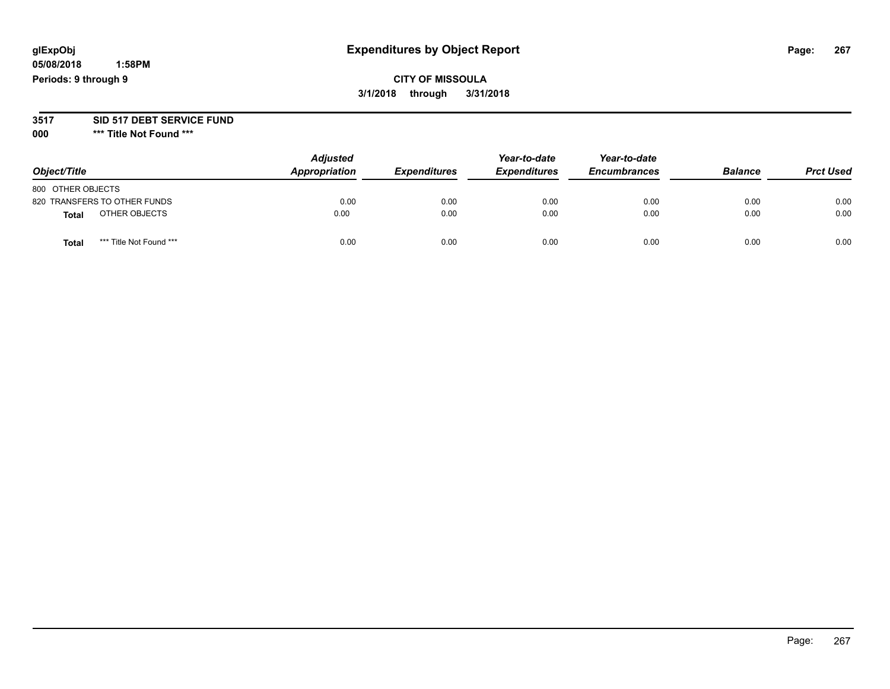#### **05/08/2018 1:58PM Periods: 9 through 9**

## **CITY OF MISSOULA 3/1/2018 through 3/31/2018**

### **3517 SID 517 DEBT SERVICE FUND**

**000 \*\*\* Title Not Found \*\*\***

| Object/Title                            | <b>Adjusted</b><br>Appropriation | <b>Expenditures</b> | Year-to-date<br><b>Expenditures</b> | Year-to-date<br><b>Encumbrances</b> | <b>Balance</b> | <b>Prct Used</b> |
|-----------------------------------------|----------------------------------|---------------------|-------------------------------------|-------------------------------------|----------------|------------------|
| 800 OTHER OBJECTS                       |                                  |                     |                                     |                                     |                |                  |
| 820 TRANSFERS TO OTHER FUNDS            | 0.00                             | 0.00                | 0.00                                | 0.00                                | 0.00           | 0.00             |
| OTHER OBJECTS<br><b>Total</b>           | 0.00                             | 0.00                | 0.00                                | 0.00                                | 0.00           | 0.00             |
| *** Title Not Found ***<br><b>Total</b> | 0.00                             | 0.00                | 0.00                                | 0.00                                | 0.00           | 0.00             |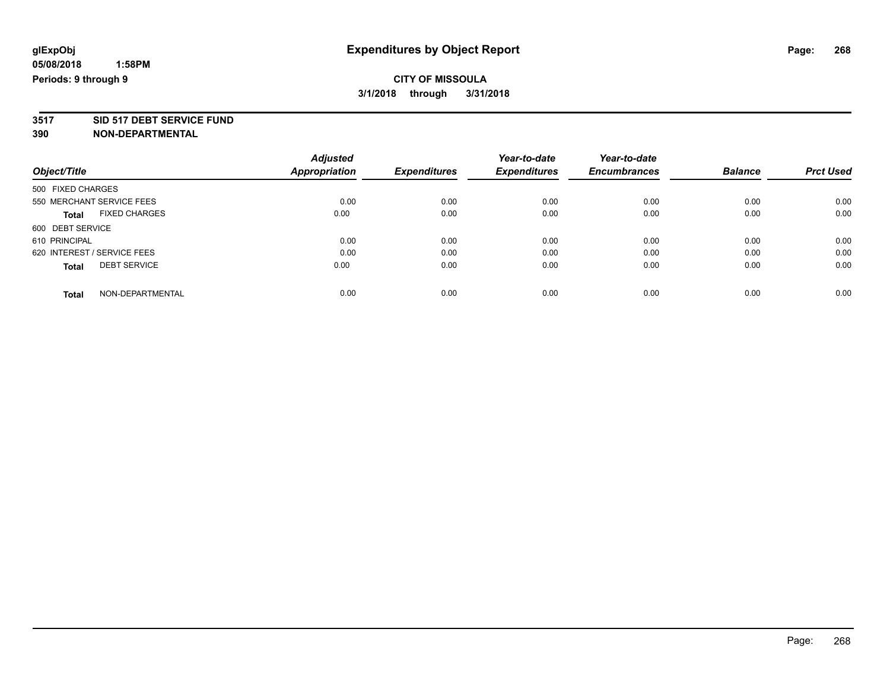**3517 SID 517 DEBT SERVICE FUND**

|                                      | <b>Adjusted</b>      | <b>Expenditures</b> | Year-to-date        | Year-to-date        | <b>Balance</b> | <b>Prct Used</b> |
|--------------------------------------|----------------------|---------------------|---------------------|---------------------|----------------|------------------|
| Object/Title                         | <b>Appropriation</b> |                     | <b>Expenditures</b> | <b>Encumbrances</b> |                |                  |
| 500 FIXED CHARGES                    |                      |                     |                     |                     |                |                  |
| 550 MERCHANT SERVICE FEES            | 0.00                 | 0.00                | 0.00                | 0.00                | 0.00           | 0.00             |
| <b>FIXED CHARGES</b><br><b>Total</b> | 0.00                 | 0.00                | 0.00                | 0.00                | 0.00           | 0.00             |
| 600 DEBT SERVICE                     |                      |                     |                     |                     |                |                  |
| 610 PRINCIPAL                        | 0.00                 | 0.00                | 0.00                | 0.00                | 0.00           | 0.00             |
| 620 INTEREST / SERVICE FEES          | 0.00                 | 0.00                | 0.00                | 0.00                | 0.00           | 0.00             |
| <b>DEBT SERVICE</b><br><b>Total</b>  | 0.00                 | 0.00                | 0.00                | 0.00                | 0.00           | 0.00             |
| NON-DEPARTMENTAL<br><b>Total</b>     | 0.00                 | 0.00                | 0.00                | 0.00                | 0.00           | 0.00             |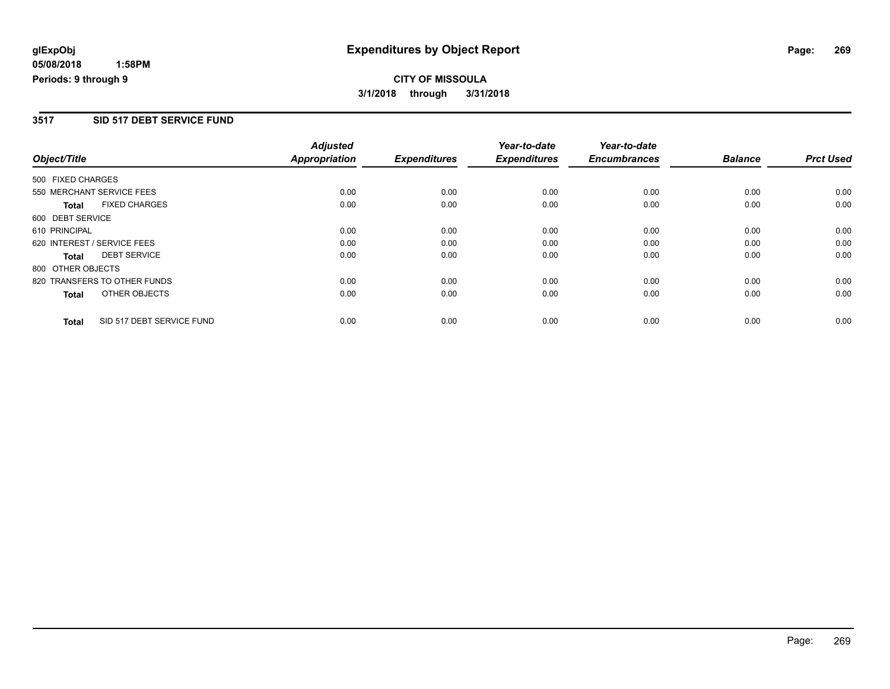## **3517 SID 517 DEBT SERVICE FUND**

|                             |                              | <b>Adjusted</b>      |                     | Year-to-date        | Year-to-date        |                |                  |
|-----------------------------|------------------------------|----------------------|---------------------|---------------------|---------------------|----------------|------------------|
| Object/Title                |                              | <b>Appropriation</b> | <b>Expenditures</b> | <b>Expenditures</b> | <b>Encumbrances</b> | <b>Balance</b> | <b>Prct Used</b> |
| 500 FIXED CHARGES           |                              |                      |                     |                     |                     |                |                  |
|                             | 550 MERCHANT SERVICE FEES    | 0.00                 | 0.00                | 0.00                | 0.00                | 0.00           | 0.00             |
| <b>Total</b>                | <b>FIXED CHARGES</b>         | 0.00                 | 0.00                | 0.00                | 0.00                | 0.00           | 0.00             |
| 600 DEBT SERVICE            |                              |                      |                     |                     |                     |                |                  |
| 610 PRINCIPAL               |                              | 0.00                 | 0.00                | 0.00                | 0.00                | 0.00           | 0.00             |
| 620 INTEREST / SERVICE FEES |                              | 0.00                 | 0.00                | 0.00                | 0.00                | 0.00           | 0.00             |
| Total                       | <b>DEBT SERVICE</b>          | 0.00                 | 0.00                | 0.00                | 0.00                | 0.00           | 0.00             |
| 800 OTHER OBJECTS           |                              |                      |                     |                     |                     |                |                  |
|                             | 820 TRANSFERS TO OTHER FUNDS | 0.00                 | 0.00                | 0.00                | 0.00                | 0.00           | 0.00             |
| Total                       | OTHER OBJECTS                | 0.00                 | 0.00                | 0.00                | 0.00                | 0.00           | 0.00             |
| <b>Total</b>                | SID 517 DEBT SERVICE FUND    | 0.00                 | 0.00                | 0.00                | 0.00                | 0.00           | 0.00             |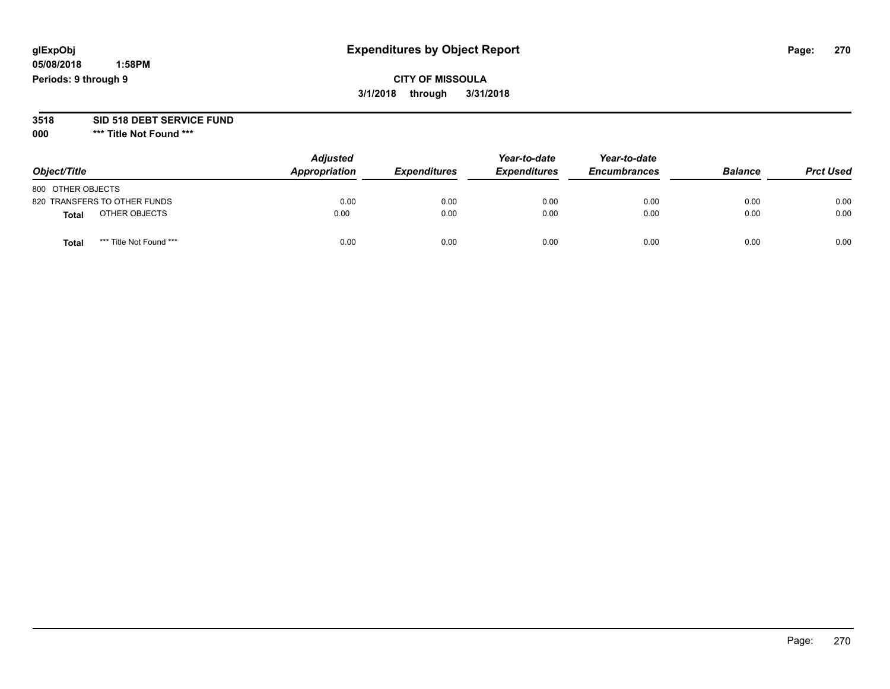#### **05/08/2018 1:58PM Periods: 9 through 9**

## **CITY OF MISSOULA 3/1/2018 through 3/31/2018**

# **3518 SID 518 DEBT SERVICE FUND**

**000 \*\*\* Title Not Found \*\*\***

| Object/Title                     | <b>Adjusted</b><br>Appropriation | <b>Expenditures</b> | Year-to-date<br><b>Expenditures</b> | Year-to-date<br><b>Encumbrances</b> | <b>Balance</b> | <b>Prct Used</b> |
|----------------------------------|----------------------------------|---------------------|-------------------------------------|-------------------------------------|----------------|------------------|
| 800 OTHER OBJECTS                |                                  |                     |                                     |                                     |                |                  |
| 820 TRANSFERS TO OTHER FUNDS     | 0.00                             | 0.00                | 0.00                                | 0.00                                | 0.00           | 0.00             |
| OTHER OBJECTS<br><b>Total</b>    | 0.00                             | 0.00                | 0.00                                | 0.00                                | 0.00           | 0.00             |
| *** Title Not Found ***<br>Total | 0.00                             | 0.00                | 0.00                                | 0.00                                | 0.00           | 0.00             |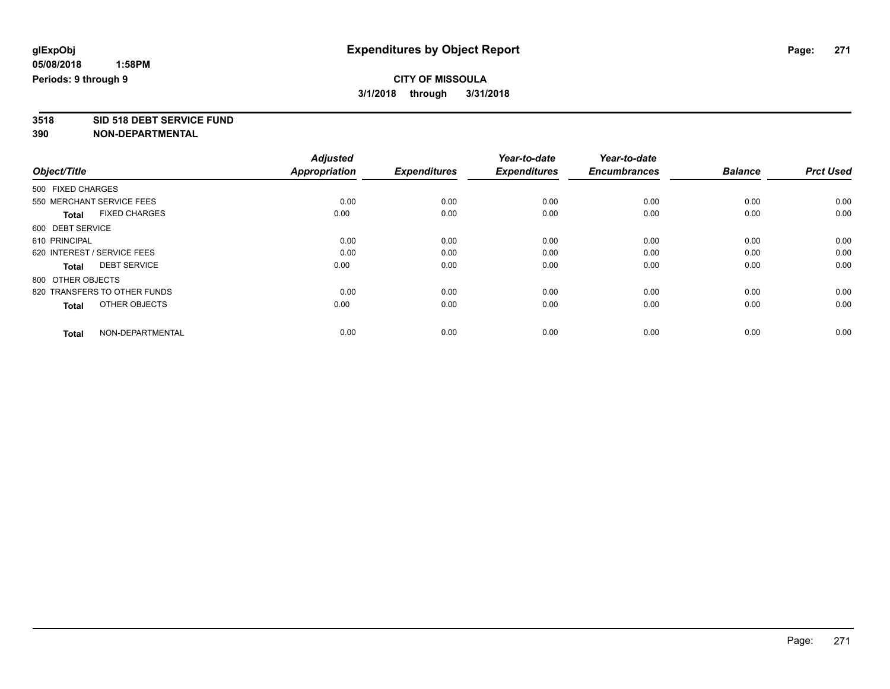# **3518 SID 518 DEBT SERVICE FUND**

|                                      | <b>Adjusted</b>      |                     | Year-to-date        | Year-to-date        |                |                  |
|--------------------------------------|----------------------|---------------------|---------------------|---------------------|----------------|------------------|
| Object/Title                         | <b>Appropriation</b> | <b>Expenditures</b> | <b>Expenditures</b> | <b>Encumbrances</b> | <b>Balance</b> | <b>Prct Used</b> |
| 500 FIXED CHARGES                    |                      |                     |                     |                     |                |                  |
| 550 MERCHANT SERVICE FEES            | 0.00                 | 0.00                | 0.00                | 0.00                | 0.00           | 0.00             |
| <b>FIXED CHARGES</b><br><b>Total</b> | 0.00                 | 0.00                | 0.00                | 0.00                | 0.00           | 0.00             |
| 600 DEBT SERVICE                     |                      |                     |                     |                     |                |                  |
| 610 PRINCIPAL                        | 0.00                 | 0.00                | 0.00                | 0.00                | 0.00           | 0.00             |
| 620 INTEREST / SERVICE FEES          | 0.00                 | 0.00                | 0.00                | 0.00                | 0.00           | 0.00             |
| <b>DEBT SERVICE</b><br><b>Total</b>  | 0.00                 | 0.00                | 0.00                | 0.00                | 0.00           | 0.00             |
| 800 OTHER OBJECTS                    |                      |                     |                     |                     |                |                  |
| 820 TRANSFERS TO OTHER FUNDS         | 0.00                 | 0.00                | 0.00                | 0.00                | 0.00           | 0.00             |
| OTHER OBJECTS<br><b>Total</b>        | 0.00                 | 0.00                | 0.00                | 0.00                | 0.00           | 0.00             |
|                                      |                      |                     |                     |                     |                |                  |
| NON-DEPARTMENTAL<br><b>Total</b>     | 0.00                 | 0.00                | 0.00                | 0.00                | 0.00           | 0.00             |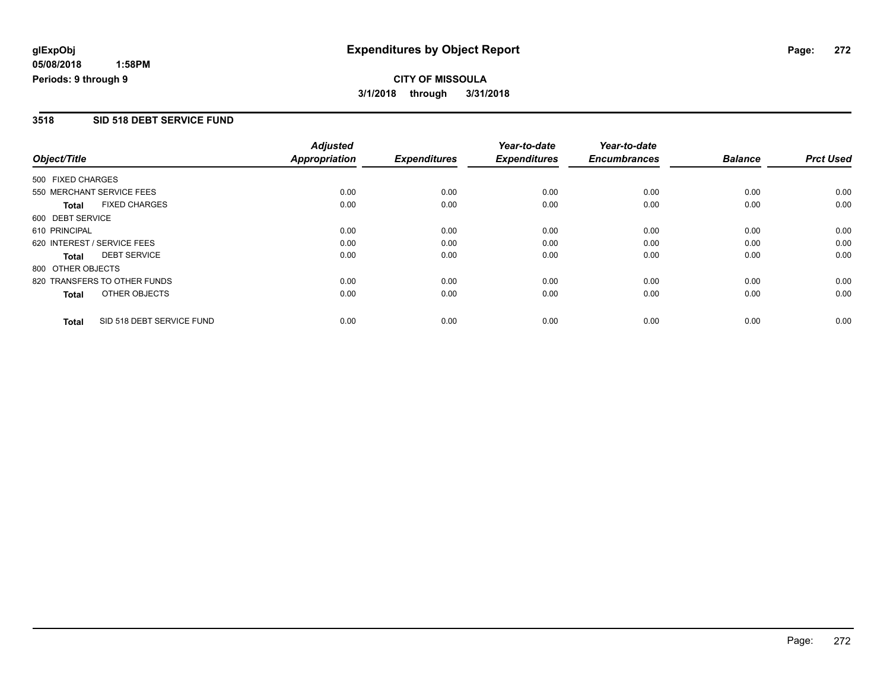## **3518 SID 518 DEBT SERVICE FUND**

|                   |                              | <b>Adjusted</b>      |                     | Year-to-date        | Year-to-date        |                |                  |
|-------------------|------------------------------|----------------------|---------------------|---------------------|---------------------|----------------|------------------|
| Object/Title      |                              | <b>Appropriation</b> | <b>Expenditures</b> | <b>Expenditures</b> | <b>Encumbrances</b> | <b>Balance</b> | <b>Prct Used</b> |
| 500 FIXED CHARGES |                              |                      |                     |                     |                     |                |                  |
|                   | 550 MERCHANT SERVICE FEES    | 0.00                 | 0.00                | 0.00                | 0.00                | 0.00           | 0.00             |
| <b>Total</b>      | <b>FIXED CHARGES</b>         | 0.00                 | 0.00                | 0.00                | 0.00                | 0.00           | 0.00             |
| 600 DEBT SERVICE  |                              |                      |                     |                     |                     |                |                  |
| 610 PRINCIPAL     |                              | 0.00                 | 0.00                | 0.00                | 0.00                | 0.00           | 0.00             |
|                   | 620 INTEREST / SERVICE FEES  | 0.00                 | 0.00                | 0.00                | 0.00                | 0.00           | 0.00             |
| Total             | <b>DEBT SERVICE</b>          | 0.00                 | 0.00                | 0.00                | 0.00                | 0.00           | 0.00             |
| 800 OTHER OBJECTS |                              |                      |                     |                     |                     |                |                  |
|                   | 820 TRANSFERS TO OTHER FUNDS | 0.00                 | 0.00                | 0.00                | 0.00                | 0.00           | 0.00             |
| Total             | OTHER OBJECTS                | 0.00                 | 0.00                | 0.00                | 0.00                | 0.00           | 0.00             |
| <b>Total</b>      | SID 518 DEBT SERVICE FUND    | 0.00                 | 0.00                | 0.00                | 0.00                | 0.00           | 0.00             |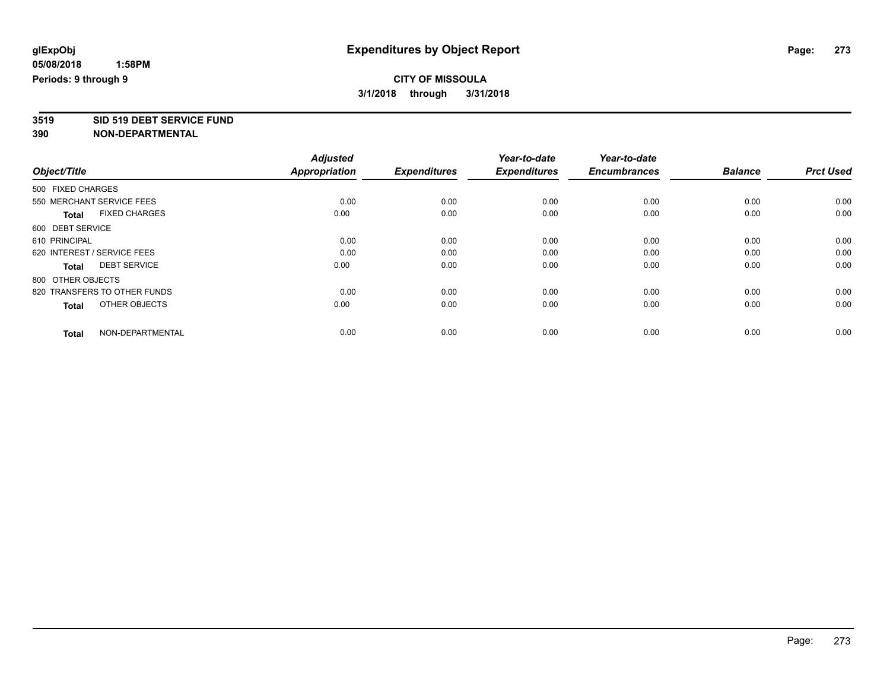# **3519 SID 519 DEBT SERVICE FUND**

|                                      | <b>Adjusted</b>      |                     | Year-to-date        | Year-to-date        |                |                  |
|--------------------------------------|----------------------|---------------------|---------------------|---------------------|----------------|------------------|
| Object/Title                         | <b>Appropriation</b> | <b>Expenditures</b> | <b>Expenditures</b> | <b>Encumbrances</b> | <b>Balance</b> | <b>Prct Used</b> |
| 500 FIXED CHARGES                    |                      |                     |                     |                     |                |                  |
| 550 MERCHANT SERVICE FEES            | 0.00                 | 0.00                | 0.00                | 0.00                | 0.00           | 0.00             |
| <b>FIXED CHARGES</b><br><b>Total</b> | 0.00                 | 0.00                | 0.00                | 0.00                | 0.00           | 0.00             |
| 600 DEBT SERVICE                     |                      |                     |                     |                     |                |                  |
| 610 PRINCIPAL                        | 0.00                 | 0.00                | 0.00                | 0.00                | 0.00           | 0.00             |
| 620 INTEREST / SERVICE FEES          | 0.00                 | 0.00                | 0.00                | 0.00                | 0.00           | 0.00             |
| <b>DEBT SERVICE</b><br><b>Total</b>  | 0.00                 | 0.00                | 0.00                | 0.00                | 0.00           | 0.00             |
| 800 OTHER OBJECTS                    |                      |                     |                     |                     |                |                  |
| 820 TRANSFERS TO OTHER FUNDS         | 0.00                 | 0.00                | 0.00                | 0.00                | 0.00           | 0.00             |
| OTHER OBJECTS<br><b>Total</b>        | 0.00                 | 0.00                | 0.00                | 0.00                | 0.00           | 0.00             |
|                                      |                      |                     |                     |                     |                |                  |
| NON-DEPARTMENTAL<br><b>Total</b>     | 0.00                 | 0.00                | 0.00                | 0.00                | 0.00           | 0.00             |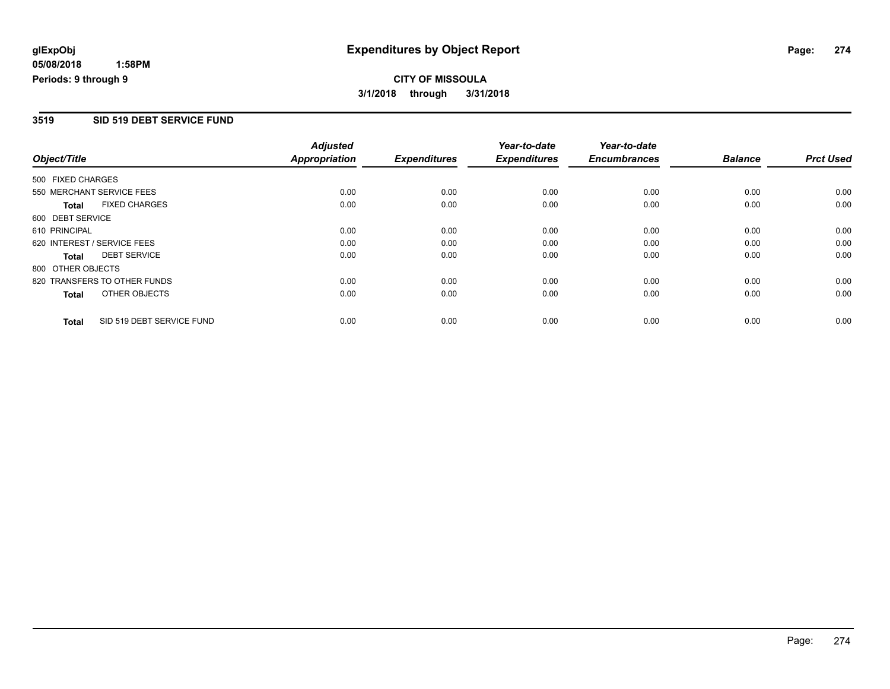## **3519 SID 519 DEBT SERVICE FUND**

|                             |                              | <b>Adjusted</b>      |                     | Year-to-date        | Year-to-date        |                |                  |
|-----------------------------|------------------------------|----------------------|---------------------|---------------------|---------------------|----------------|------------------|
| Object/Title                |                              | <b>Appropriation</b> | <b>Expenditures</b> | <b>Expenditures</b> | <b>Encumbrances</b> | <b>Balance</b> | <b>Prct Used</b> |
| 500 FIXED CHARGES           |                              |                      |                     |                     |                     |                |                  |
| 550 MERCHANT SERVICE FEES   |                              | 0.00                 | 0.00                | 0.00                | 0.00                | 0.00           | 0.00             |
| <b>Total</b>                | <b>FIXED CHARGES</b>         | 0.00                 | 0.00                | 0.00                | 0.00                | 0.00           | 0.00             |
| 600 DEBT SERVICE            |                              |                      |                     |                     |                     |                |                  |
| 610 PRINCIPAL               |                              | 0.00                 | 0.00                | 0.00                | 0.00                | 0.00           | 0.00             |
| 620 INTEREST / SERVICE FEES |                              | 0.00                 | 0.00                | 0.00                | 0.00                | 0.00           | 0.00             |
| Total                       | <b>DEBT SERVICE</b>          | 0.00                 | 0.00                | 0.00                | 0.00                | 0.00           | 0.00             |
| 800 OTHER OBJECTS           |                              |                      |                     |                     |                     |                |                  |
|                             | 820 TRANSFERS TO OTHER FUNDS | 0.00                 | 0.00                | 0.00                | 0.00                | 0.00           | 0.00             |
| Total                       | OTHER OBJECTS                | 0.00                 | 0.00                | 0.00                | 0.00                | 0.00           | 0.00             |
| <b>Total</b>                | SID 519 DEBT SERVICE FUND    | 0.00                 | 0.00                | 0.00                | 0.00                | 0.00           | 0.00             |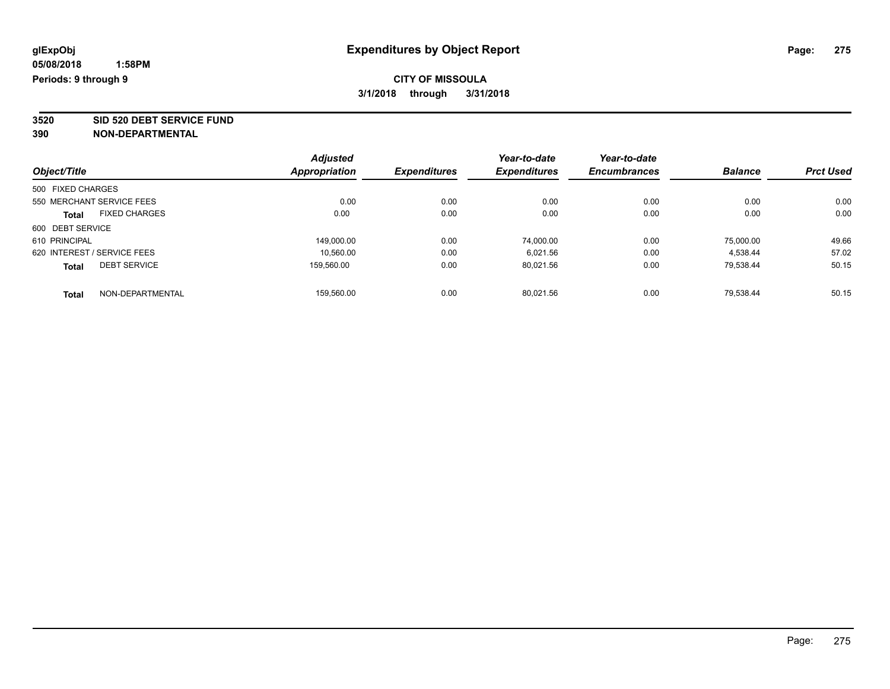**3520 SID 520 DEBT SERVICE FUND**

|                                      | <b>Adjusted</b>      |                     | Year-to-date        | Year-to-date        |                |                  |
|--------------------------------------|----------------------|---------------------|---------------------|---------------------|----------------|------------------|
| Object/Title                         | <b>Appropriation</b> | <b>Expenditures</b> | <b>Expenditures</b> | <b>Encumbrances</b> | <b>Balance</b> | <b>Prct Used</b> |
| 500 FIXED CHARGES                    |                      |                     |                     |                     |                |                  |
| 550 MERCHANT SERVICE FEES            | 0.00                 | 0.00                | 0.00                | 0.00                | 0.00           | 0.00             |
| <b>FIXED CHARGES</b><br><b>Total</b> | 0.00                 | 0.00                | 0.00                | 0.00                | 0.00           | 0.00             |
| 600 DEBT SERVICE                     |                      |                     |                     |                     |                |                  |
| 610 PRINCIPAL                        | 149.000.00           | 0.00                | 74,000.00           | 0.00                | 75,000.00      | 49.66            |
| 620 INTEREST / SERVICE FEES          | 10.560.00            | 0.00                | 6.021.56            | 0.00                | 4.538.44       | 57.02            |
| <b>DEBT SERVICE</b><br><b>Total</b>  | 159.560.00           | 0.00                | 80,021.56           | 0.00                | 79.538.44      | 50.15            |
| NON-DEPARTMENTAL<br><b>Total</b>     | 159.560.00           | 0.00                | 80.021.56           | 0.00                | 79.538.44      | 50.15            |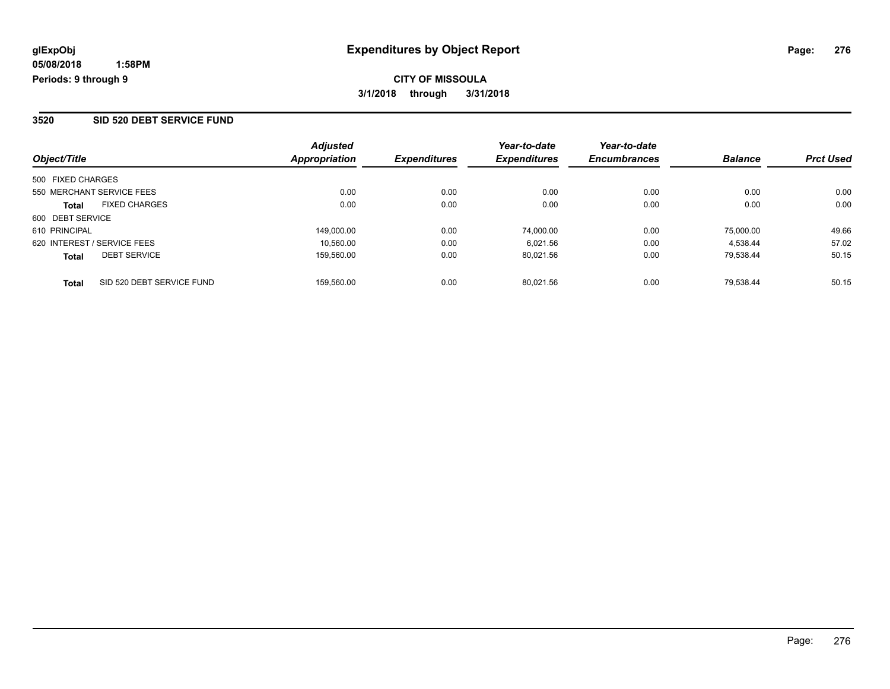#### **3520 SID 520 DEBT SERVICE FUND**

| Object/Title                              | <b>Adjusted</b><br>Appropriation | <b>Expenditures</b> | Year-to-date<br><b>Expenditures</b> | Year-to-date<br><b>Encumbrances</b> | <b>Balance</b> | <b>Prct Used</b> |
|-------------------------------------------|----------------------------------|---------------------|-------------------------------------|-------------------------------------|----------------|------------------|
| 500 FIXED CHARGES                         |                                  |                     |                                     |                                     |                |                  |
| 550 MERCHANT SERVICE FEES                 | 0.00                             | 0.00                | 0.00                                | 0.00                                | 0.00           | 0.00             |
| <b>FIXED CHARGES</b><br><b>Total</b>      | 0.00                             | 0.00                | 0.00                                | 0.00                                | 0.00           | 0.00             |
| 600 DEBT SERVICE                          |                                  |                     |                                     |                                     |                |                  |
| 610 PRINCIPAL                             | 149.000.00                       | 0.00                | 74,000.00                           | 0.00                                | 75,000.00      | 49.66            |
| 620 INTEREST / SERVICE FEES               | 10.560.00                        | 0.00                | 6.021.56                            | 0.00                                | 4.538.44       | 57.02            |
| <b>DEBT SERVICE</b><br><b>Total</b>       | 159.560.00                       | 0.00                | 80.021.56                           | 0.00                                | 79.538.44      | 50.15            |
| SID 520 DEBT SERVICE FUND<br><b>Total</b> | 159.560.00                       | 0.00                | 80.021.56                           | 0.00                                | 79.538.44      | 50.15            |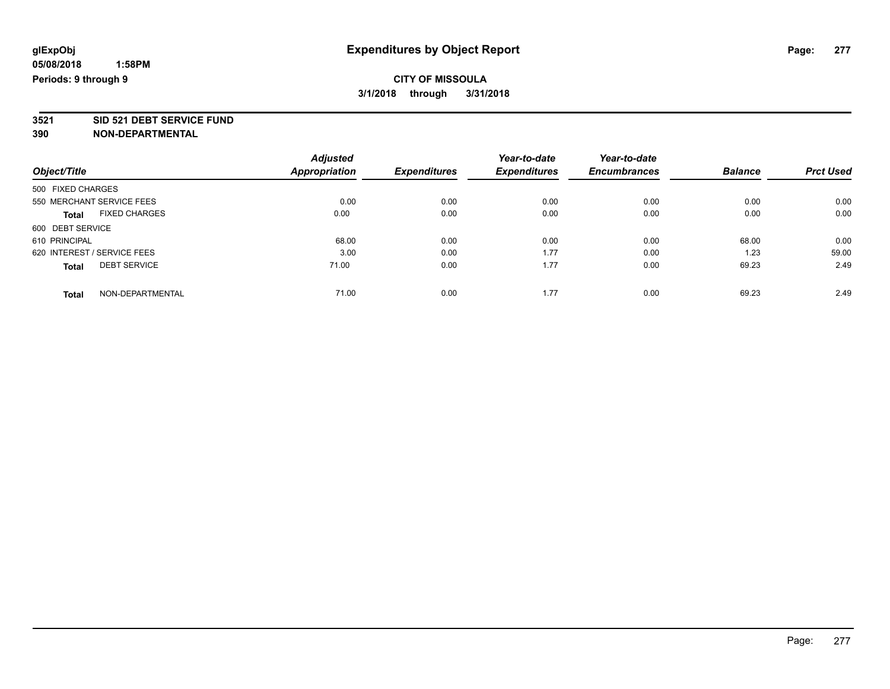**3521 SID 521 DEBT SERVICE FUND**

| Object/Title                |                      | <b>Adjusted</b> | <b>Expenditures</b> | Year-to-date<br><b>Expenditures</b> | Year-to-date<br><b>Encumbrances</b> | <b>Balance</b> | <b>Prct Used</b> |
|-----------------------------|----------------------|-----------------|---------------------|-------------------------------------|-------------------------------------|----------------|------------------|
|                             |                      | Appropriation   |                     |                                     |                                     |                |                  |
| 500 FIXED CHARGES           |                      |                 |                     |                                     |                                     |                |                  |
| 550 MERCHANT SERVICE FEES   |                      | 0.00            | 0.00                | 0.00                                | 0.00                                | 0.00           | 0.00             |
| <b>Total</b>                | <b>FIXED CHARGES</b> | 0.00            | 0.00                | 0.00                                | 0.00                                | 0.00           | 0.00             |
| 600 DEBT SERVICE            |                      |                 |                     |                                     |                                     |                |                  |
| 610 PRINCIPAL               |                      | 68.00           | 0.00                | 0.00                                | 0.00                                | 68.00          | 0.00             |
| 620 INTEREST / SERVICE FEES |                      | 3.00            | 0.00                | 1.77                                | 0.00                                | 1.23           | 59.00            |
| <b>Total</b>                | <b>DEBT SERVICE</b>  | 71.00           | 0.00                | 1.77                                | 0.00                                | 69.23          | 2.49             |
| <b>Total</b>                | NON-DEPARTMENTAL     | 71.00           | 0.00                | 1.77                                | 0.00                                | 69.23          | 2.49             |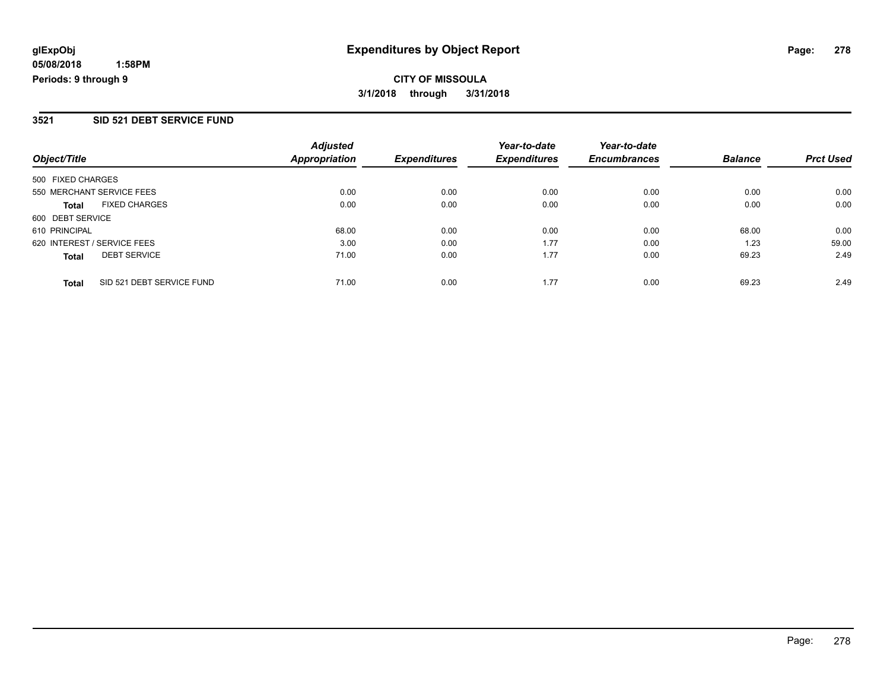## **3521 SID 521 DEBT SERVICE FUND**

|                                           | <b>Adjusted</b> |                     | Year-to-date        | Year-to-date        |                |                  |
|-------------------------------------------|-----------------|---------------------|---------------------|---------------------|----------------|------------------|
| Object/Title                              | Appropriation   | <b>Expenditures</b> | <b>Expenditures</b> | <b>Encumbrances</b> | <b>Balance</b> | <b>Prct Used</b> |
| 500 FIXED CHARGES                         |                 |                     |                     |                     |                |                  |
| 550 MERCHANT SERVICE FEES                 | 0.00            | 0.00                | 0.00                | 0.00                | 0.00           | 0.00             |
| <b>FIXED CHARGES</b><br><b>Total</b>      | 0.00            | 0.00                | 0.00                | 0.00                | 0.00           | 0.00             |
| 600 DEBT SERVICE                          |                 |                     |                     |                     |                |                  |
| 610 PRINCIPAL                             | 68.00           | 0.00                | 0.00                | 0.00                | 68.00          | 0.00             |
| 620 INTEREST / SERVICE FEES               | 3.00            | 0.00                | 1.77                | 0.00                | 1.23           | 59.00            |
| <b>DEBT SERVICE</b><br><b>Total</b>       | 71.00           | 0.00                | 1.77                | 0.00                | 69.23          | 2.49             |
| SID 521 DEBT SERVICE FUND<br><b>Total</b> | 71.00           | 0.00                | 1.77                | 0.00                | 69.23          | 2.49             |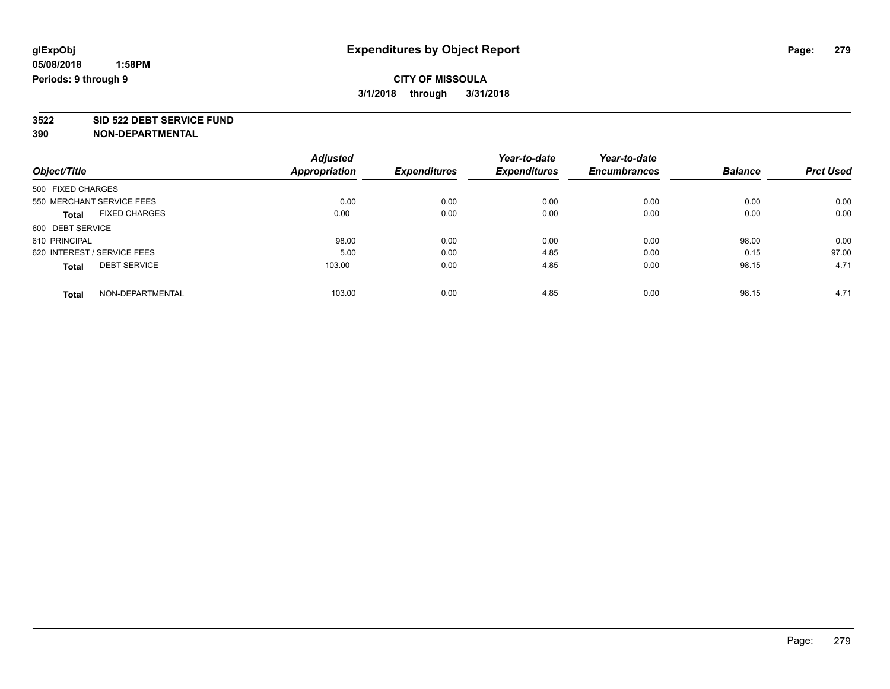**3522 SID 522 DEBT SERVICE FUND**

|                                      | <b>Adjusted</b>      | <b>Expenditures</b> | Year-to-date<br><b>Expenditures</b> | Year-to-date        | <b>Balance</b> | <b>Prct Used</b> |
|--------------------------------------|----------------------|---------------------|-------------------------------------|---------------------|----------------|------------------|
| Object/Title                         | <b>Appropriation</b> |                     |                                     | <b>Encumbrances</b> |                |                  |
| 500 FIXED CHARGES                    |                      |                     |                                     |                     |                |                  |
| 550 MERCHANT SERVICE FEES            | 0.00                 | 0.00                | 0.00                                | 0.00                | 0.00           | 0.00             |
| <b>FIXED CHARGES</b><br><b>Total</b> | 0.00                 | 0.00                | 0.00                                | 0.00                | 0.00           | 0.00             |
| 600 DEBT SERVICE                     |                      |                     |                                     |                     |                |                  |
| 610 PRINCIPAL                        | 98.00                | 0.00                | 0.00                                | 0.00                | 98.00          | 0.00             |
| 620 INTEREST / SERVICE FEES          | 5.00                 | 0.00                | 4.85                                | 0.00                | 0.15           | 97.00            |
| <b>DEBT SERVICE</b><br><b>Total</b>  | 103.00               | 0.00                | 4.85                                | 0.00                | 98.15          | 4.71             |
| NON-DEPARTMENTAL<br><b>Total</b>     | 103.00               | 0.00                | 4.85                                | 0.00                | 98.15          | 4.71             |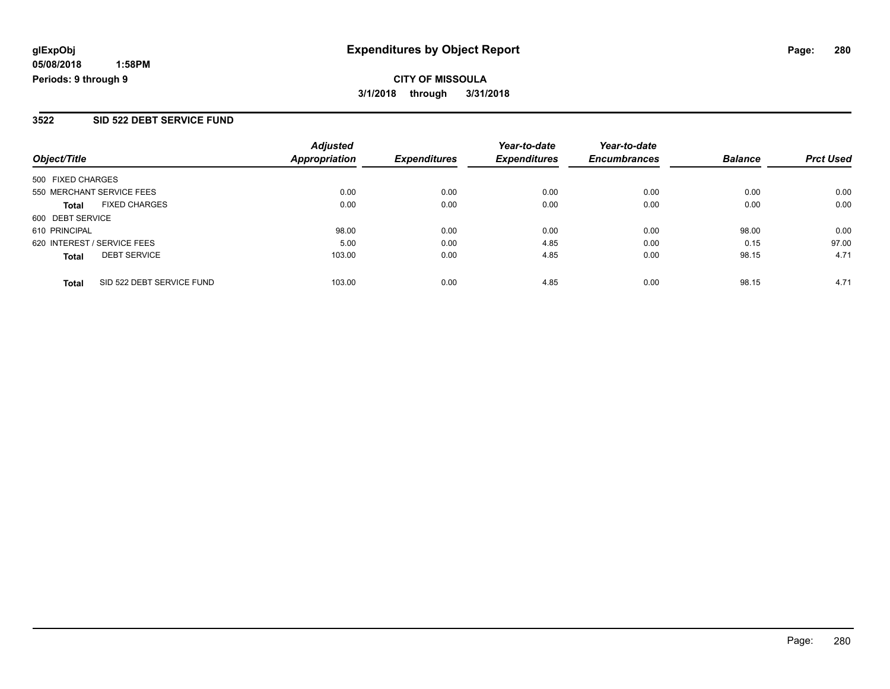### **3522 SID 522 DEBT SERVICE FUND**

|                                           | <b>Adjusted</b> |                     | Year-to-date        | Year-to-date        |                |                  |
|-------------------------------------------|-----------------|---------------------|---------------------|---------------------|----------------|------------------|
| Object/Title                              | Appropriation   | <b>Expenditures</b> | <b>Expenditures</b> | <b>Encumbrances</b> | <b>Balance</b> | <b>Prct Used</b> |
| 500 FIXED CHARGES                         |                 |                     |                     |                     |                |                  |
| 550 MERCHANT SERVICE FEES                 | 0.00            | 0.00                | 0.00                | 0.00                | 0.00           | 0.00             |
| <b>FIXED CHARGES</b><br><b>Total</b>      | 0.00            | 0.00                | 0.00                | 0.00                | 0.00           | 0.00             |
| 600 DEBT SERVICE                          |                 |                     |                     |                     |                |                  |
| 610 PRINCIPAL                             | 98.00           | 0.00                | 0.00                | 0.00                | 98.00          | 0.00             |
| 620 INTEREST / SERVICE FEES               | 5.00            | 0.00                | 4.85                | 0.00                | 0.15           | 97.00            |
| <b>DEBT SERVICE</b><br><b>Total</b>       | 103.00          | 0.00                | 4.85                | 0.00                | 98.15          | 4.71             |
| SID 522 DEBT SERVICE FUND<br><b>Total</b> | 103.00          | 0.00                | 4.85                | 0.00                | 98.15          | 4.71             |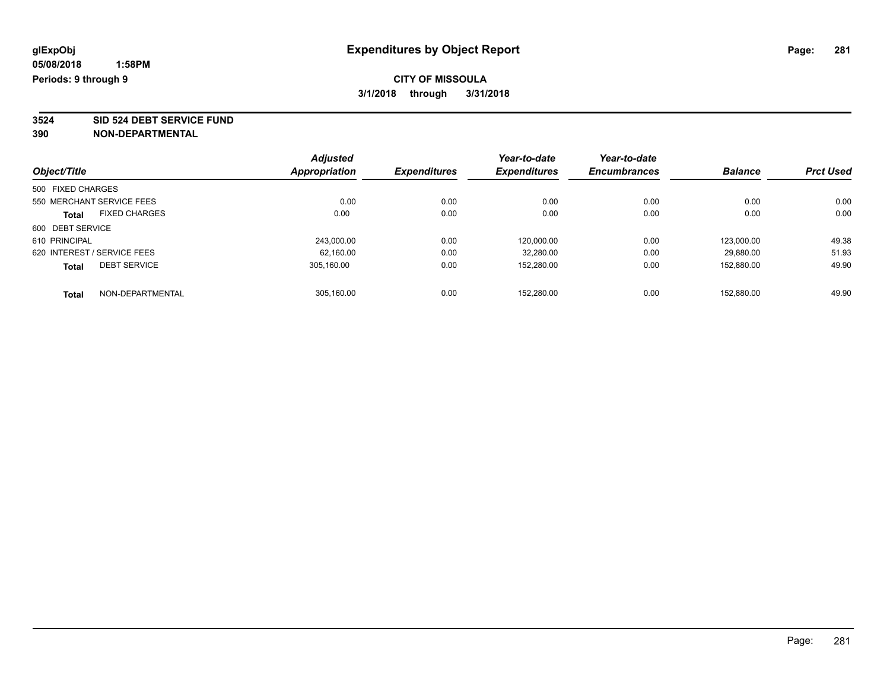**3524 SID 524 DEBT SERVICE FUND**

|                                      |  | <b>Adjusted</b> |                     | Year-to-date        | Year-to-date        |                |                  |
|--------------------------------------|--|-----------------|---------------------|---------------------|---------------------|----------------|------------------|
| Object/Title                         |  | Appropriation   | <b>Expenditures</b> | <b>Expenditures</b> | <b>Encumbrances</b> | <b>Balance</b> | <b>Prct Used</b> |
| 500 FIXED CHARGES                    |  |                 |                     |                     |                     |                |                  |
| 550 MERCHANT SERVICE FEES            |  | 0.00            | 0.00                | 0.00                | 0.00                | 0.00           | 0.00             |
| <b>FIXED CHARGES</b><br><b>Total</b> |  | 0.00            | 0.00                | 0.00                | 0.00                | 0.00           | 0.00             |
| 600 DEBT SERVICE                     |  |                 |                     |                     |                     |                |                  |
| 610 PRINCIPAL                        |  | 243,000.00      | 0.00                | 120,000.00          | 0.00                | 123.000.00     | 49.38            |
| 620 INTEREST / SERVICE FEES          |  | 62.160.00       | 0.00                | 32,280.00           | 0.00                | 29.880.00      | 51.93            |
| <b>DEBT SERVICE</b><br><b>Total</b>  |  | 305.160.00      | 0.00                | 152.280.00          | 0.00                | 152.880.00     | 49.90            |
| NON-DEPARTMENTAL<br><b>Total</b>     |  | 305.160.00      | 0.00                | 152.280.00          | 0.00                | 152.880.00     | 49.90            |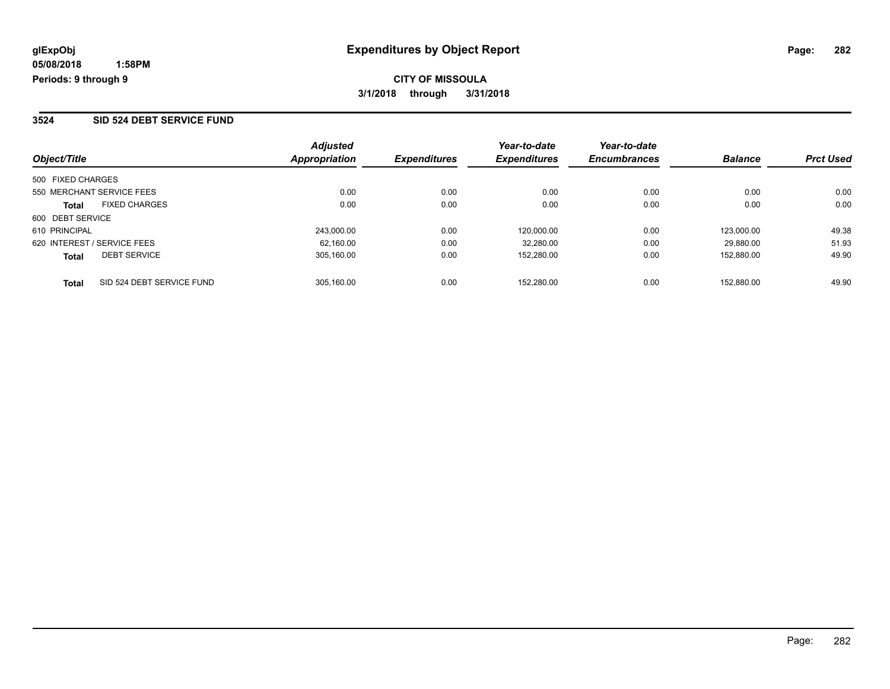### **3524 SID 524 DEBT SERVICE FUND**

| Object/Title                |                           | <b>Adjusted</b><br>Appropriation | <b>Expenditures</b> | Year-to-date<br><b>Expenditures</b> | Year-to-date<br><b>Encumbrances</b> | <b>Balance</b> | <b>Prct Used</b> |
|-----------------------------|---------------------------|----------------------------------|---------------------|-------------------------------------|-------------------------------------|----------------|------------------|
| 500 FIXED CHARGES           |                           |                                  |                     |                                     |                                     |                |                  |
|                             |                           |                                  |                     |                                     |                                     |                |                  |
|                             | 550 MERCHANT SERVICE FEES | 0.00                             | 0.00                | 0.00                                | 0.00                                | 0.00           | 0.00             |
| <b>Total</b>                | <b>FIXED CHARGES</b>      | 0.00                             | 0.00                | 0.00                                | 0.00                                | 0.00           | 0.00             |
| 600 DEBT SERVICE            |                           |                                  |                     |                                     |                                     |                |                  |
| 610 PRINCIPAL               |                           | 243.000.00                       | 0.00                | 120.000.00                          | 0.00                                | 123,000.00     | 49.38            |
| 620 INTEREST / SERVICE FEES |                           | 62,160.00                        | 0.00                | 32,280.00                           | 0.00                                | 29.880.00      | 51.93            |
| <b>Total</b>                | <b>DEBT SERVICE</b>       | 305.160.00                       | 0.00                | 152,280.00                          | 0.00                                | 152.880.00     | 49.90            |
| <b>Total</b>                | SID 524 DEBT SERVICE FUND | 305.160.00                       | 0.00                | 152.280.00                          | 0.00                                | 152.880.00     | 49.90            |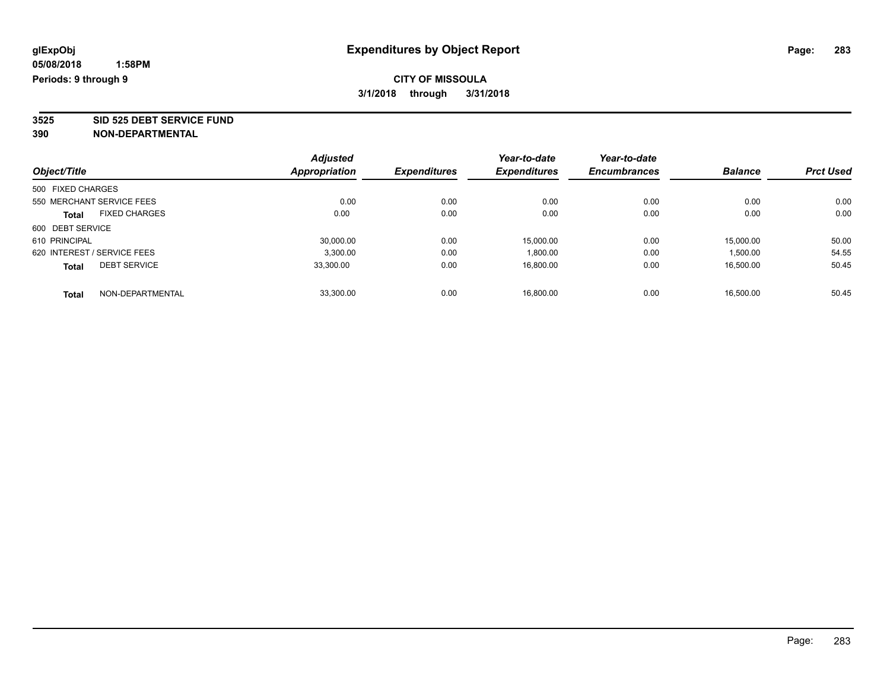**3525 SID 525 DEBT SERVICE FUND**

| Object/Title                         |  | <b>Adjusted</b> | <b>Expenditures</b> | Year-to-date<br><b>Expenditures</b> | Year-to-date<br><b>Encumbrances</b> |                | <b>Prct Used</b> |
|--------------------------------------|--|-----------------|---------------------|-------------------------------------|-------------------------------------|----------------|------------------|
|                                      |  | Appropriation   |                     |                                     |                                     | <b>Balance</b> |                  |
| 500 FIXED CHARGES                    |  |                 |                     |                                     |                                     |                |                  |
| 550 MERCHANT SERVICE FEES            |  | 0.00            | 0.00                | 0.00                                | 0.00                                | 0.00           | 0.00             |
| <b>FIXED CHARGES</b><br><b>Total</b> |  | 0.00            | 0.00                | 0.00                                | 0.00                                | 0.00           | 0.00             |
| 600 DEBT SERVICE                     |  |                 |                     |                                     |                                     |                |                  |
| 610 PRINCIPAL                        |  | 30,000.00       | 0.00                | 15,000.00                           | 0.00                                | 15,000.00      | 50.00            |
| 620 INTEREST / SERVICE FEES          |  | 3,300.00        | 0.00                | 1,800.00                            | 0.00                                | 1,500.00       | 54.55            |
| <b>DEBT SERVICE</b><br><b>Total</b>  |  | 33.300.00       | 0.00                | 16.800.00                           | 0.00                                | 16.500.00      | 50.45            |
| NON-DEPARTMENTAL<br><b>Total</b>     |  | 33.300.00       | 0.00                | 16.800.00                           | 0.00                                | 16.500.00      | 50.45            |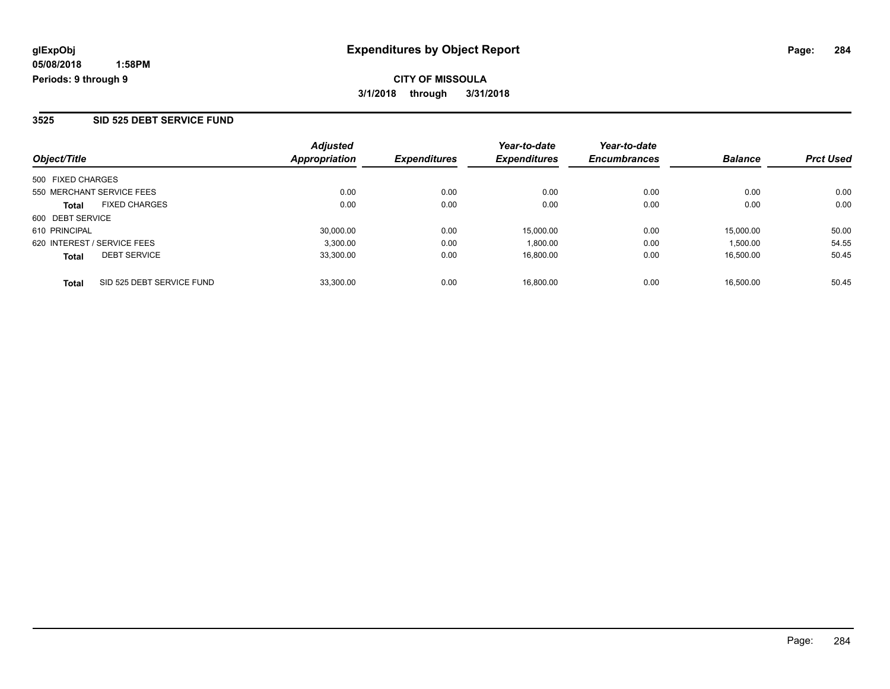#### **3525 SID 525 DEBT SERVICE FUND**

| Object/Title                              | <b>Adjusted</b><br>Appropriation | <b>Expenditures</b> | Year-to-date<br><b>Expenditures</b> | Year-to-date<br><b>Encumbrances</b> | <b>Balance</b> | <b>Prct Used</b> |
|-------------------------------------------|----------------------------------|---------------------|-------------------------------------|-------------------------------------|----------------|------------------|
| 500 FIXED CHARGES                         |                                  |                     |                                     |                                     |                |                  |
| 550 MERCHANT SERVICE FEES                 | 0.00                             | 0.00                | 0.00                                | 0.00                                | 0.00           | 0.00             |
| <b>FIXED CHARGES</b><br><b>Total</b>      | 0.00                             | 0.00                | 0.00                                | 0.00                                | 0.00           | 0.00             |
| 600 DEBT SERVICE                          |                                  |                     |                                     |                                     |                |                  |
| 610 PRINCIPAL                             | 30,000.00                        | 0.00                | 15,000.00                           | 0.00                                | 15,000.00      | 50.00            |
| 620 INTEREST / SERVICE FEES               | 3,300.00                         | 0.00                | 1,800.00                            | 0.00                                | 1,500.00       | 54.55            |
| <b>DEBT SERVICE</b><br><b>Total</b>       | 33,300.00                        | 0.00                | 16,800.00                           | 0.00                                | 16.500.00      | 50.45            |
| SID 525 DEBT SERVICE FUND<br><b>Total</b> | 33.300.00                        | 0.00                | 16.800.00                           | 0.00                                | 16.500.00      | 50.45            |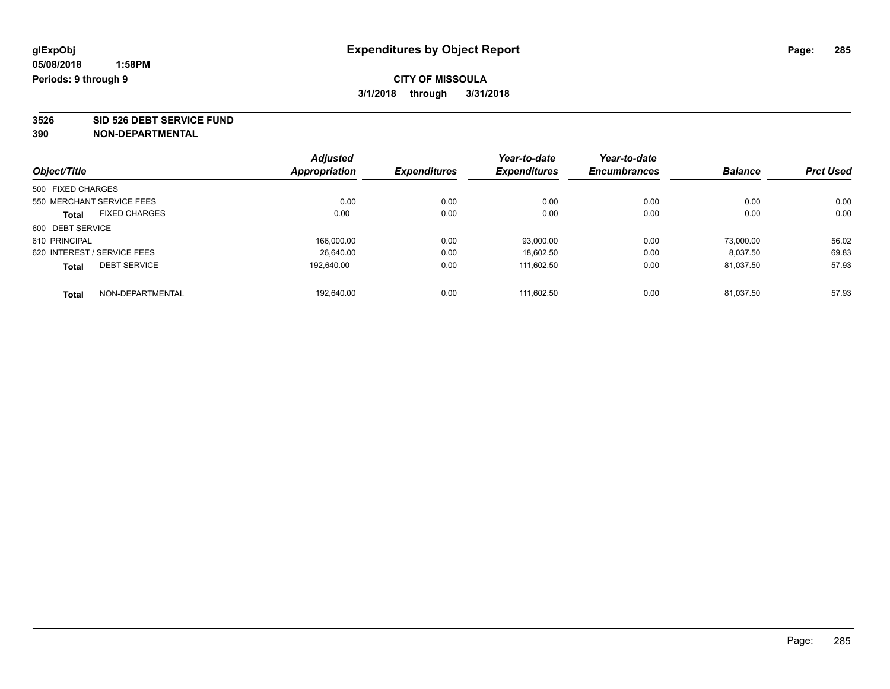**3526 SID 526 DEBT SERVICE FUND**

|                                      | <b>Adjusted</b> |                     | Year-to-date        | Year-to-date        |                |                  |
|--------------------------------------|-----------------|---------------------|---------------------|---------------------|----------------|------------------|
| Object/Title                         | Appropriation   | <b>Expenditures</b> | <b>Expenditures</b> | <b>Encumbrances</b> | <b>Balance</b> | <b>Prct Used</b> |
| 500 FIXED CHARGES                    |                 |                     |                     |                     |                |                  |
| 550 MERCHANT SERVICE FEES            | 0.00            | 0.00                | 0.00                | 0.00                | 0.00           | 0.00             |
| <b>FIXED CHARGES</b><br><b>Total</b> | 0.00            | 0.00                | 0.00                | 0.00                | 0.00           | 0.00             |
| 600 DEBT SERVICE                     |                 |                     |                     |                     |                |                  |
| 610 PRINCIPAL                        | 166.000.00      | 0.00                | 93.000.00           | 0.00                | 73.000.00      | 56.02            |
| 620 INTEREST / SERVICE FEES          | 26.640.00       | 0.00                | 18.602.50           | 0.00                | 8.037.50       | 69.83            |
| <b>DEBT SERVICE</b><br><b>Total</b>  | 192.640.00      | 0.00                | 111.602.50          | 0.00                | 81.037.50      | 57.93            |
| NON-DEPARTMENTAL<br><b>Total</b>     | 192.640.00      | 0.00                | 111.602.50          | 0.00                | 81.037.50      | 57.93            |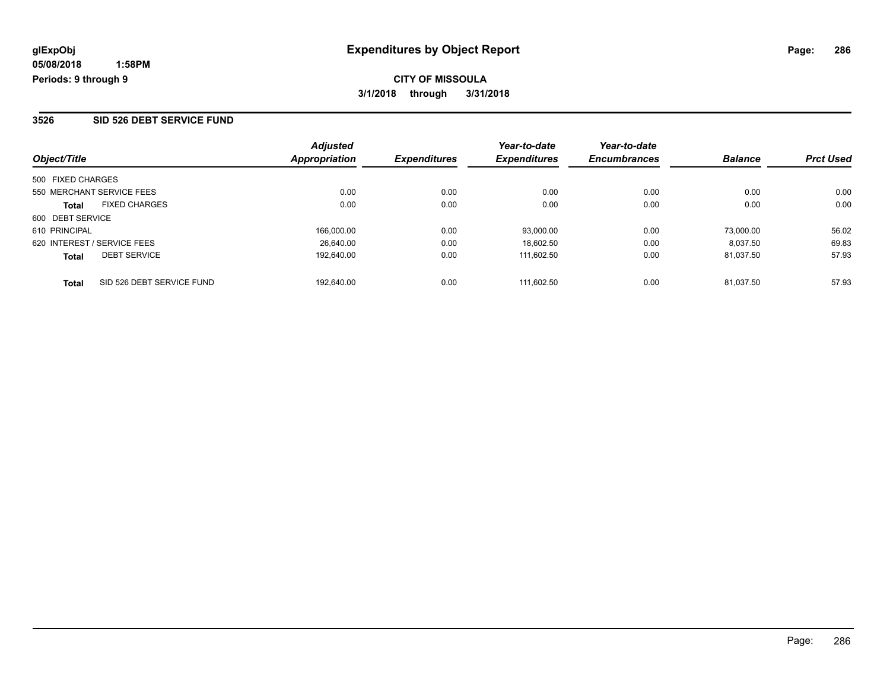#### **3526 SID 526 DEBT SERVICE FUND**

| Object/Title                              | <b>Adjusted</b><br>Appropriation | <b>Expenditures</b> | Year-to-date<br><b>Expenditures</b> | Year-to-date<br><b>Encumbrances</b> | <b>Balance</b> | <b>Prct Used</b> |
|-------------------------------------------|----------------------------------|---------------------|-------------------------------------|-------------------------------------|----------------|------------------|
| 500 FIXED CHARGES                         |                                  |                     |                                     |                                     |                |                  |
| 550 MERCHANT SERVICE FEES                 | 0.00                             | 0.00                | 0.00                                | 0.00                                | 0.00           | 0.00             |
| <b>FIXED CHARGES</b><br><b>Total</b>      | 0.00                             | 0.00                | 0.00                                | 0.00                                | 0.00           | 0.00             |
| 600 DEBT SERVICE                          |                                  |                     |                                     |                                     |                |                  |
| 610 PRINCIPAL                             | 166.000.00                       | 0.00                | 93,000.00                           | 0.00                                | 73.000.00      | 56.02            |
| 620 INTEREST / SERVICE FEES               | 26.640.00                        | 0.00                | 18.602.50                           | 0.00                                | 8.037.50       | 69.83            |
| <b>DEBT SERVICE</b><br><b>Total</b>       | 192.640.00                       | 0.00                | 111.602.50                          | 0.00                                | 81.037.50      | 57.93            |
| SID 526 DEBT SERVICE FUND<br><b>Total</b> | 192.640.00                       | 0.00                | 111.602.50                          | 0.00                                | 81.037.50      | 57.93            |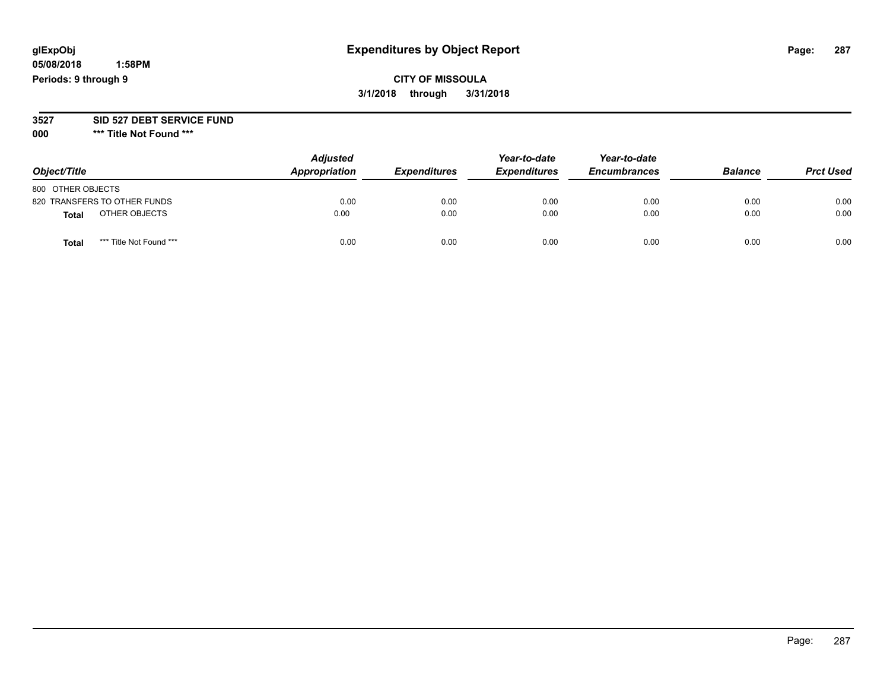#### **05/08/2018 1:58PM Periods: 9 through 9**

## **CITY OF MISSOULA 3/1/2018 through 3/31/2018**

#### **3527 SID 527 DEBT SERVICE FUND**

**000 \*\*\* Title Not Found \*\*\***

| Object/Title                    | <b>Adjusted</b><br>Appropriation | <b>Expenditures</b> | Year-to-date<br><b>Expenditures</b> | Year-to-date<br><b>Encumbrances</b> | <b>Balance</b> | <b>Prct Used</b> |
|---------------------------------|----------------------------------|---------------------|-------------------------------------|-------------------------------------|----------------|------------------|
| 800 OTHER OBJECTS               |                                  |                     |                                     |                                     |                |                  |
| 820 TRANSFERS TO OTHER FUNDS    | 0.00                             | 0.00                | 0.00                                | 0.00                                | 0.00           | 0.00             |
| OTHER OBJECTS<br><b>Total</b>   | 0.00                             | 0.00                | 0.00                                | 0.00                                | 0.00           | 0.00             |
| *** Title Not Found ***<br>Tota | 0.00                             | 0.00                | 0.00                                | 0.00                                | 0.00           | 0.00             |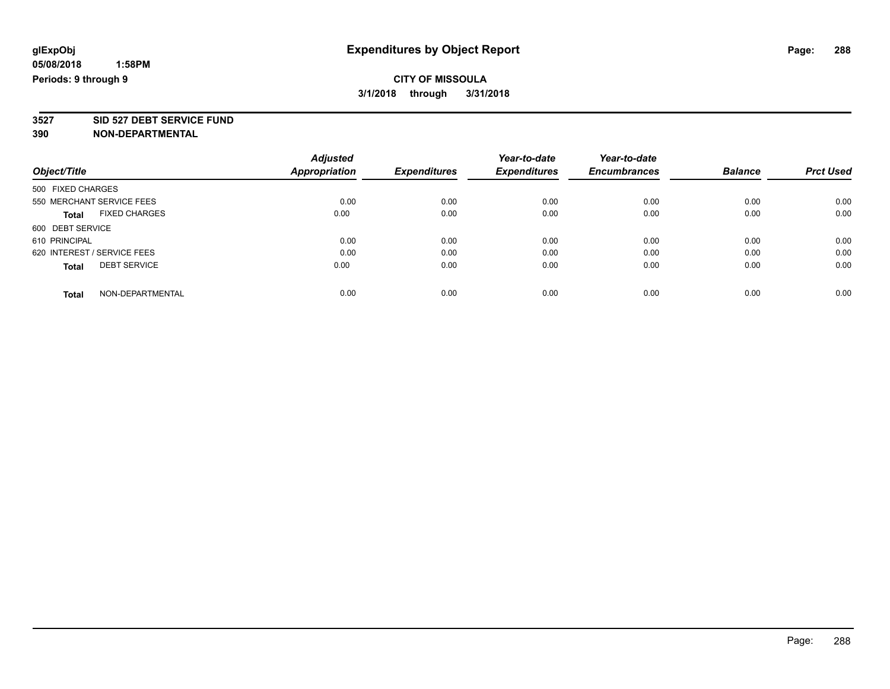**3527 SID 527 DEBT SERVICE FUND**

|                                      | <b>Adjusted</b>      | <b>Expenditures</b> | Year-to-date        | Year-to-date        | <b>Balance</b> | <b>Prct Used</b> |
|--------------------------------------|----------------------|---------------------|---------------------|---------------------|----------------|------------------|
| Object/Title                         | <b>Appropriation</b> |                     | <b>Expenditures</b> | <b>Encumbrances</b> |                |                  |
| 500 FIXED CHARGES                    |                      |                     |                     |                     |                |                  |
| 550 MERCHANT SERVICE FEES            | 0.00                 | 0.00                | 0.00                | 0.00                | 0.00           | 0.00             |
| <b>FIXED CHARGES</b><br><b>Total</b> | 0.00                 | 0.00                | 0.00                | 0.00                | 0.00           | 0.00             |
| 600 DEBT SERVICE                     |                      |                     |                     |                     |                |                  |
| 610 PRINCIPAL                        | 0.00                 | 0.00                | 0.00                | 0.00                | 0.00           | 0.00             |
| 620 INTEREST / SERVICE FEES          | 0.00                 | 0.00                | 0.00                | 0.00                | 0.00           | 0.00             |
| <b>DEBT SERVICE</b><br><b>Total</b>  | 0.00                 | 0.00                | 0.00                | 0.00                | 0.00           | 0.00             |
| NON-DEPARTMENTAL<br><b>Total</b>     | 0.00                 | 0.00                | 0.00                | 0.00                | 0.00           | 0.00             |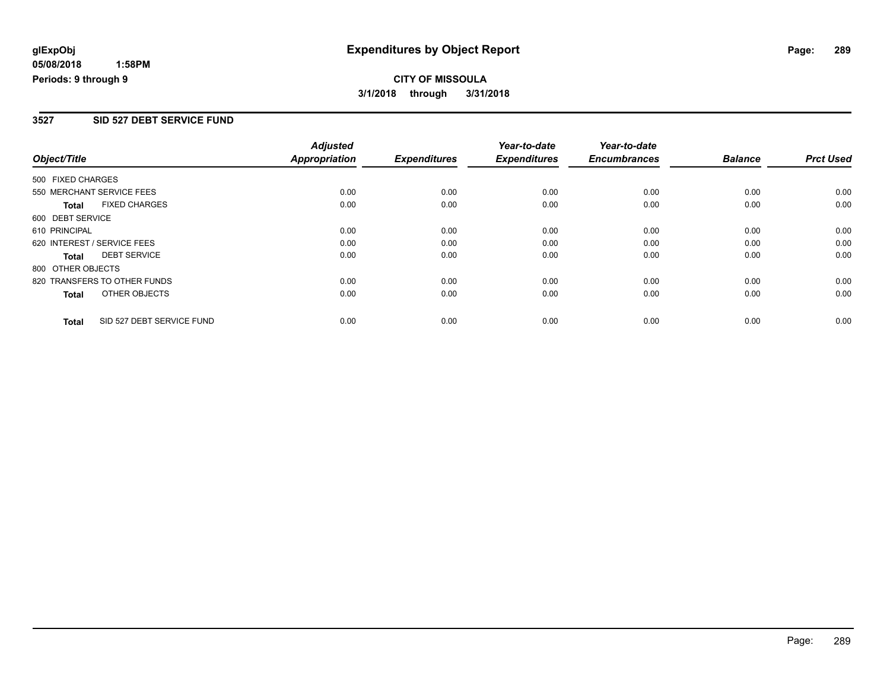### **3527 SID 527 DEBT SERVICE FUND**

|                   |                              | <b>Adjusted</b>      |                     | Year-to-date        | Year-to-date        |                |                  |
|-------------------|------------------------------|----------------------|---------------------|---------------------|---------------------|----------------|------------------|
| Object/Title      |                              | <b>Appropriation</b> | <b>Expenditures</b> | <b>Expenditures</b> | <b>Encumbrances</b> | <b>Balance</b> | <b>Prct Used</b> |
| 500 FIXED CHARGES |                              |                      |                     |                     |                     |                |                  |
|                   | 550 MERCHANT SERVICE FEES    | 0.00                 | 0.00                | 0.00                | 0.00                | 0.00           | 0.00             |
| <b>Total</b>      | <b>FIXED CHARGES</b>         | 0.00                 | 0.00                | 0.00                | 0.00                | 0.00           | 0.00             |
| 600 DEBT SERVICE  |                              |                      |                     |                     |                     |                |                  |
| 610 PRINCIPAL     |                              | 0.00                 | 0.00                | 0.00                | 0.00                | 0.00           | 0.00             |
|                   | 620 INTEREST / SERVICE FEES  | 0.00                 | 0.00                | 0.00                | 0.00                | 0.00           | 0.00             |
| Total             | <b>DEBT SERVICE</b>          | 0.00                 | 0.00                | 0.00                | 0.00                | 0.00           | 0.00             |
| 800 OTHER OBJECTS |                              |                      |                     |                     |                     |                |                  |
|                   | 820 TRANSFERS TO OTHER FUNDS | 0.00                 | 0.00                | 0.00                | 0.00                | 0.00           | 0.00             |
| Total             | OTHER OBJECTS                | 0.00                 | 0.00                | 0.00                | 0.00                | 0.00           | 0.00             |
| <b>Total</b>      | SID 527 DEBT SERVICE FUND    | 0.00                 | 0.00                | 0.00                | 0.00                | 0.00           | 0.00             |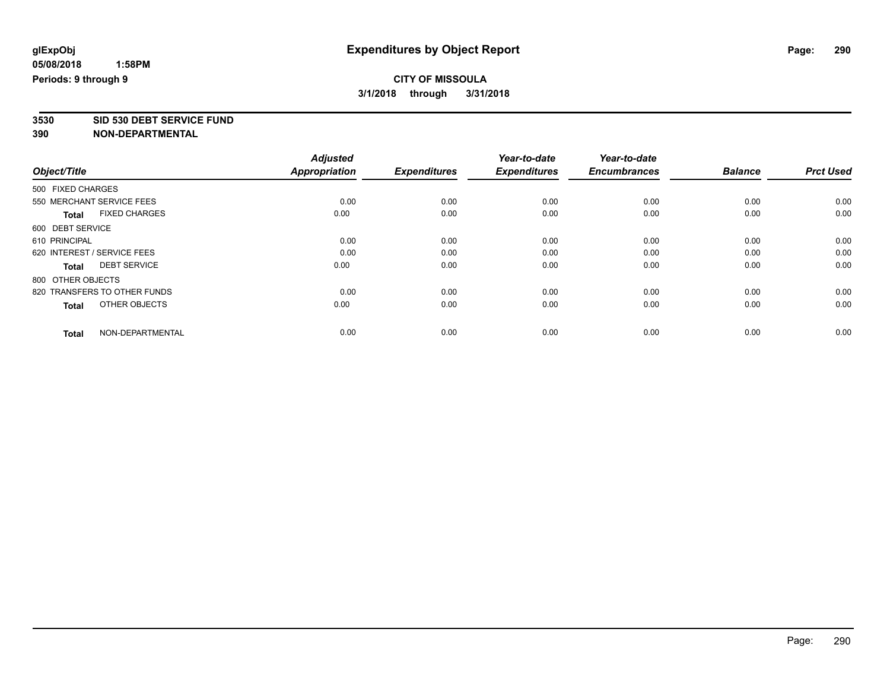**3530 SID 530 DEBT SERVICE FUND**

|                                      | <b>Adjusted</b>      |                     | Year-to-date        | Year-to-date        |                |                  |
|--------------------------------------|----------------------|---------------------|---------------------|---------------------|----------------|------------------|
| Object/Title                         | <b>Appropriation</b> | <b>Expenditures</b> | <b>Expenditures</b> | <b>Encumbrances</b> | <b>Balance</b> | <b>Prct Used</b> |
| 500 FIXED CHARGES                    |                      |                     |                     |                     |                |                  |
| 550 MERCHANT SERVICE FEES            | 0.00                 | 0.00                | 0.00                | 0.00                | 0.00           | 0.00             |
| <b>FIXED CHARGES</b><br><b>Total</b> | 0.00                 | 0.00                | 0.00                | 0.00                | 0.00           | 0.00             |
| 600 DEBT SERVICE                     |                      |                     |                     |                     |                |                  |
| 610 PRINCIPAL                        | 0.00                 | 0.00                | 0.00                | 0.00                | 0.00           | 0.00             |
| 620 INTEREST / SERVICE FEES          | 0.00                 | 0.00                | 0.00                | 0.00                | 0.00           | 0.00             |
| <b>DEBT SERVICE</b><br><b>Total</b>  | 0.00                 | 0.00                | 0.00                | 0.00                | 0.00           | 0.00             |
| 800 OTHER OBJECTS                    |                      |                     |                     |                     |                |                  |
| 820 TRANSFERS TO OTHER FUNDS         | 0.00                 | 0.00                | 0.00                | 0.00                | 0.00           | 0.00             |
| OTHER OBJECTS<br><b>Total</b>        | 0.00                 | 0.00                | 0.00                | 0.00                | 0.00           | 0.00             |
|                                      |                      |                     |                     |                     |                |                  |
| NON-DEPARTMENTAL<br><b>Total</b>     | 0.00                 | 0.00                | 0.00                | 0.00                | 0.00           | 0.00             |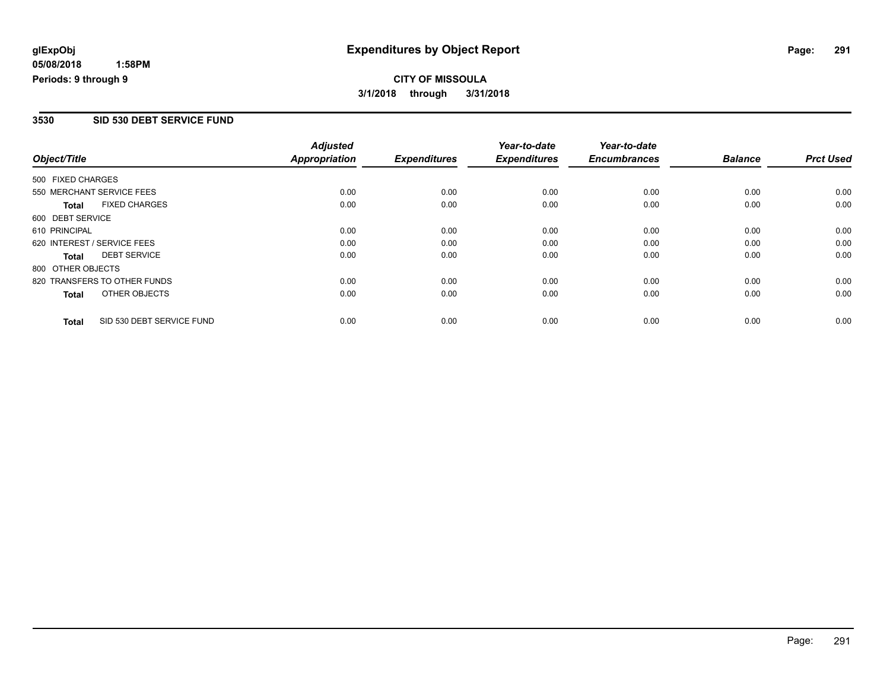### **3530 SID 530 DEBT SERVICE FUND**

|                   |                              | <b>Adjusted</b>      |                     | Year-to-date        | Year-to-date        |                |                  |
|-------------------|------------------------------|----------------------|---------------------|---------------------|---------------------|----------------|------------------|
| Object/Title      |                              | <b>Appropriation</b> | <b>Expenditures</b> | <b>Expenditures</b> | <b>Encumbrances</b> | <b>Balance</b> | <b>Prct Used</b> |
| 500 FIXED CHARGES |                              |                      |                     |                     |                     |                |                  |
|                   | 550 MERCHANT SERVICE FEES    | 0.00                 | 0.00                | 0.00                | 0.00                | 0.00           | 0.00             |
| <b>Total</b>      | <b>FIXED CHARGES</b>         | 0.00                 | 0.00                | 0.00                | 0.00                | 0.00           | 0.00             |
| 600 DEBT SERVICE  |                              |                      |                     |                     |                     |                |                  |
| 610 PRINCIPAL     |                              | 0.00                 | 0.00                | 0.00                | 0.00                | 0.00           | 0.00             |
|                   | 620 INTEREST / SERVICE FEES  | 0.00                 | 0.00                | 0.00                | 0.00                | 0.00           | 0.00             |
| Total             | <b>DEBT SERVICE</b>          | 0.00                 | 0.00                | 0.00                | 0.00                | 0.00           | 0.00             |
| 800 OTHER OBJECTS |                              |                      |                     |                     |                     |                |                  |
|                   | 820 TRANSFERS TO OTHER FUNDS | 0.00                 | 0.00                | 0.00                | 0.00                | 0.00           | 0.00             |
| Total             | OTHER OBJECTS                | 0.00                 | 0.00                | 0.00                | 0.00                | 0.00           | 0.00             |
| <b>Total</b>      | SID 530 DEBT SERVICE FUND    | 0.00                 | 0.00                | 0.00                | 0.00                | 0.00           | 0.00             |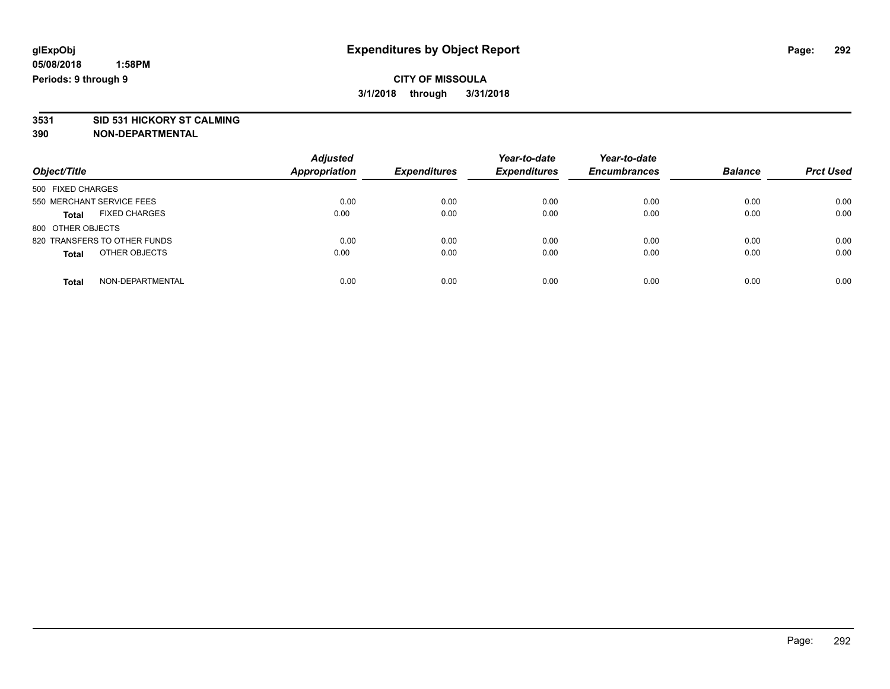# **3531 SID 531 HICKORY ST CALMING**

|                                      | <b>Adjusted</b><br><b>Appropriation</b> | <b>Expenditures</b> | Year-to-date        | Year-to-date<br><b>Encumbrances</b> | <b>Balance</b> | <b>Prct Used</b> |
|--------------------------------------|-----------------------------------------|---------------------|---------------------|-------------------------------------|----------------|------------------|
| Object/Title                         |                                         |                     | <b>Expenditures</b> |                                     |                |                  |
| 500 FIXED CHARGES                    |                                         |                     |                     |                                     |                |                  |
| 550 MERCHANT SERVICE FEES            | 0.00                                    | 0.00                | 0.00                | 0.00                                | 0.00           | 0.00             |
| <b>FIXED CHARGES</b><br><b>Total</b> | 0.00                                    | 0.00                | 0.00                | 0.00                                | 0.00           | 0.00             |
| 800 OTHER OBJECTS                    |                                         |                     |                     |                                     |                |                  |
| 820 TRANSFERS TO OTHER FUNDS         | 0.00                                    | 0.00                | 0.00                | 0.00                                | 0.00           | 0.00             |
| OTHER OBJECTS<br><b>Total</b>        | 0.00                                    | 0.00                | 0.00                | 0.00                                | 0.00           | 0.00             |
| NON-DEPARTMENTAL<br><b>Total</b>     | 0.00                                    | 0.00                | 0.00                | 0.00                                | 0.00           | 0.00             |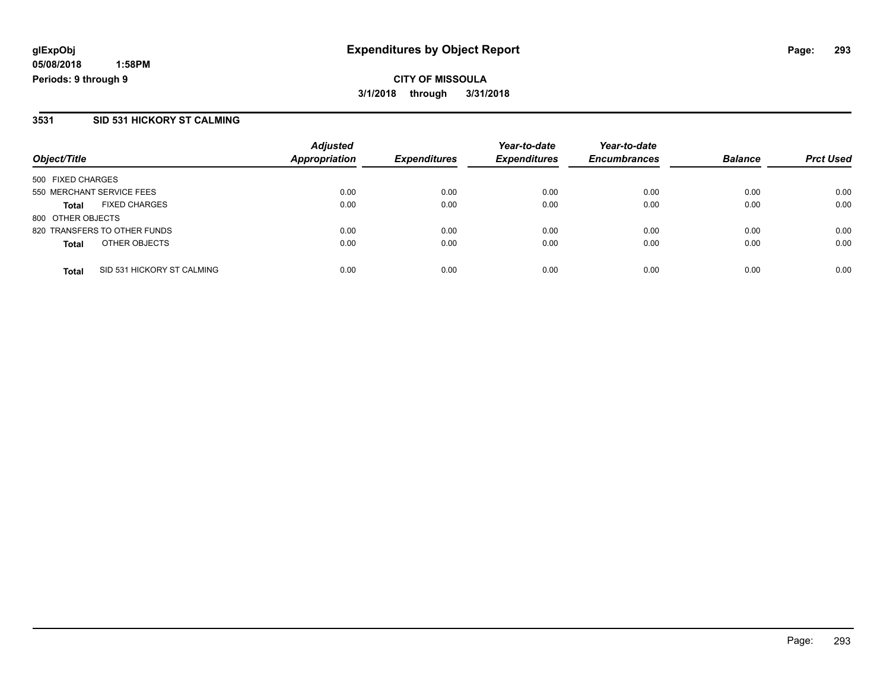### **3531 SID 531 HICKORY ST CALMING**

| Object/Title              |                              | <b>Adjusted</b><br><b>Appropriation</b> | <b>Expenditures</b> | Year-to-date<br><b>Expenditures</b> | Year-to-date<br><b>Encumbrances</b> | <b>Balance</b> |                  |
|---------------------------|------------------------------|-----------------------------------------|---------------------|-------------------------------------|-------------------------------------|----------------|------------------|
|                           |                              |                                         |                     |                                     |                                     |                | <b>Prct Used</b> |
| 500 FIXED CHARGES         |                              |                                         |                     |                                     |                                     |                |                  |
| 550 MERCHANT SERVICE FEES |                              | 0.00                                    | 0.00                | 0.00                                | 0.00                                | 0.00           | 0.00             |
| <b>Total</b>              | <b>FIXED CHARGES</b>         | 0.00                                    | 0.00                | 0.00                                | 0.00                                | 0.00           | 0.00             |
| 800 OTHER OBJECTS         |                              |                                         |                     |                                     |                                     |                |                  |
|                           | 820 TRANSFERS TO OTHER FUNDS | 0.00                                    | 0.00                | 0.00                                | 0.00                                | 0.00           | 0.00             |
| <b>Total</b>              | OTHER OBJECTS                | 0.00                                    | 0.00                | 0.00                                | 0.00                                | 0.00           | 0.00             |
| <b>Total</b>              | SID 531 HICKORY ST CALMING   | 0.00                                    | 0.00                | 0.00                                | 0.00                                | 0.00           | 0.00             |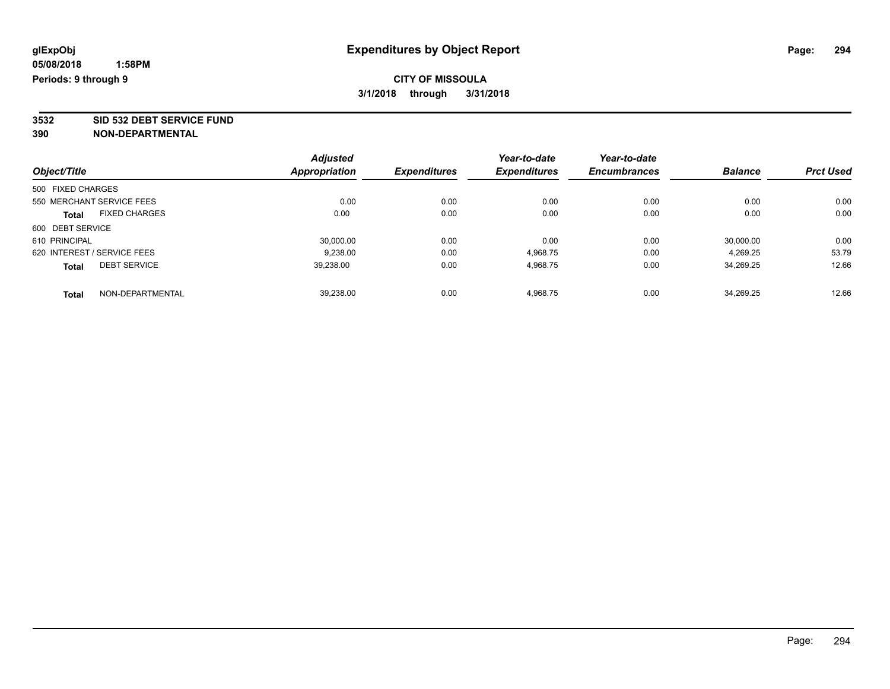**3532 SID 532 DEBT SERVICE FUND**

|                                      | <b>Adjusted</b> | <b>Expenditures</b> | Year-to-date<br><b>Expenditures</b> | Year-to-date        | <b>Balance</b> | <b>Prct Used</b> |
|--------------------------------------|-----------------|---------------------|-------------------------------------|---------------------|----------------|------------------|
| Object/Title                         | Appropriation   |                     |                                     | <b>Encumbrances</b> |                |                  |
| 500 FIXED CHARGES                    |                 |                     |                                     |                     |                |                  |
| 550 MERCHANT SERVICE FEES            | 0.00            | 0.00                | 0.00                                | 0.00                | 0.00           | 0.00             |
| <b>FIXED CHARGES</b><br><b>Total</b> | 0.00            | 0.00                | 0.00                                | 0.00                | 0.00           | 0.00             |
| 600 DEBT SERVICE                     |                 |                     |                                     |                     |                |                  |
| 610 PRINCIPAL                        | 30,000.00       | 0.00                | 0.00                                | 0.00                | 30,000.00      | 0.00             |
| 620 INTEREST / SERVICE FEES          | 9.238.00        | 0.00                | 4,968.75                            | 0.00                | 4.269.25       | 53.79            |
| <b>DEBT SERVICE</b><br><b>Total</b>  | 39,238.00       | 0.00                | 4,968.75                            | 0.00                | 34,269.25      | 12.66            |
| NON-DEPARTMENTAL<br><b>Total</b>     | 39.238.00       | 0.00                | 4.968.75                            | 0.00                | 34.269.25      | 12.66            |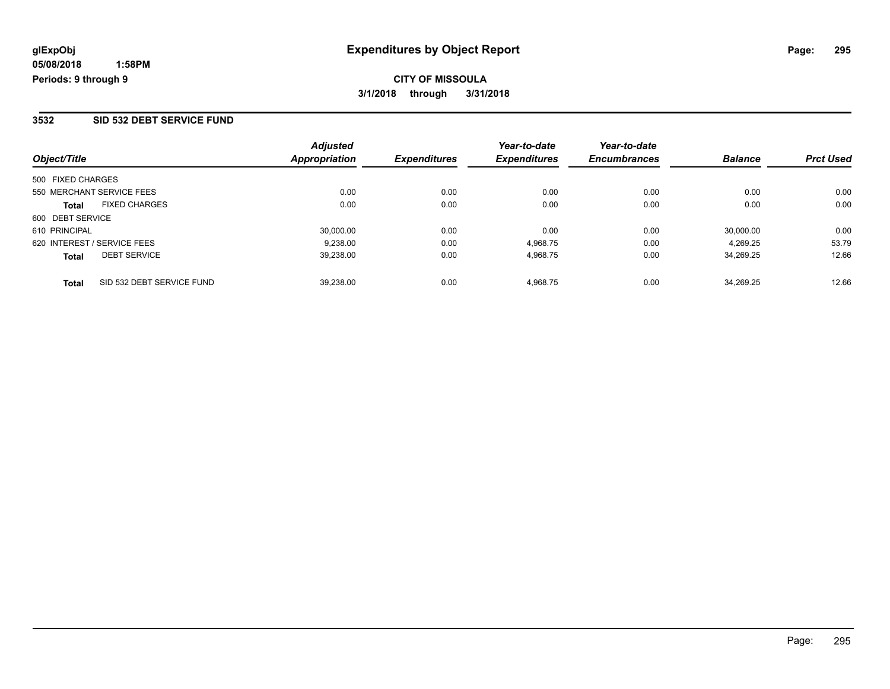### **3532 SID 532 DEBT SERVICE FUND**

| Object/Title      |                             | <b>Adjusted</b><br>Appropriation | <b>Expenditures</b> | Year-to-date<br><b>Expenditures</b> | Year-to-date<br><b>Encumbrances</b> | <b>Balance</b> | <b>Prct Used</b> |
|-------------------|-----------------------------|----------------------------------|---------------------|-------------------------------------|-------------------------------------|----------------|------------------|
|                   |                             |                                  |                     |                                     |                                     |                |                  |
| 500 FIXED CHARGES |                             |                                  |                     |                                     |                                     |                |                  |
|                   | 550 MERCHANT SERVICE FEES   | 0.00                             | 0.00                | 0.00                                | 0.00                                | 0.00           | 0.00             |
| <b>Total</b>      | <b>FIXED CHARGES</b>        | 0.00                             | 0.00                | 0.00                                | 0.00                                | 0.00           | 0.00             |
| 600 DEBT SERVICE  |                             |                                  |                     |                                     |                                     |                |                  |
| 610 PRINCIPAL     |                             | 30.000.00                        | 0.00                | 0.00                                | 0.00                                | 30,000.00      | 0.00             |
|                   | 620 INTEREST / SERVICE FEES | 9.238.00                         | 0.00                | 4.968.75                            | 0.00                                | 4.269.25       | 53.79            |
| <b>Total</b>      | <b>DEBT SERVICE</b>         | 39,238.00                        | 0.00                | 4,968.75                            | 0.00                                | 34.269.25      | 12.66            |
| <b>Total</b>      | SID 532 DEBT SERVICE FUND   | 39.238.00                        | 0.00                | 4.968.75                            | 0.00                                | 34.269.25      | 12.66            |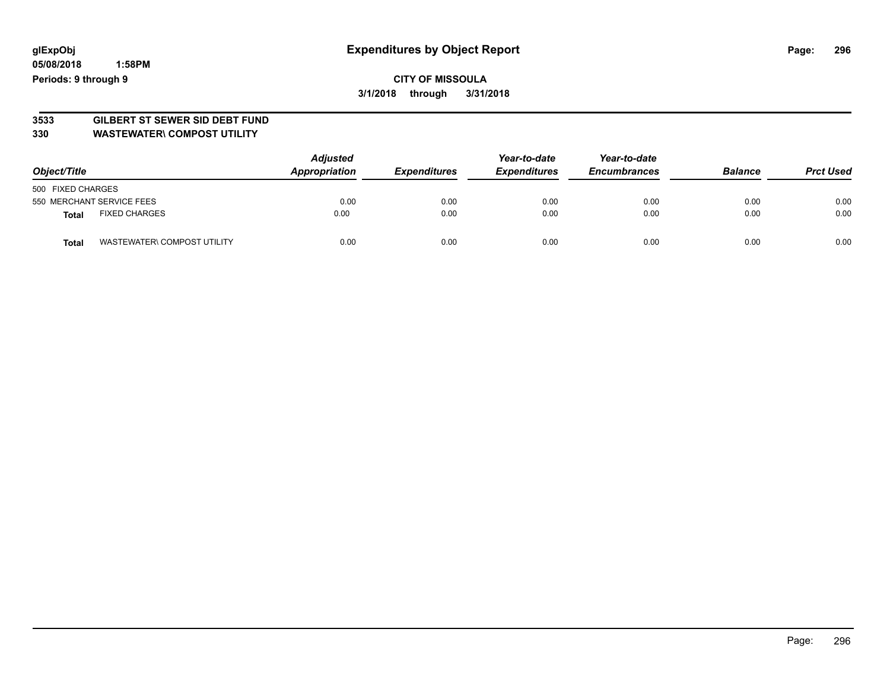**CITY OF MISSOULA 3/1/2018 through 3/31/2018**

#### **3533 GILBERT ST SEWER SID DEBT FUND 330 WASTEWATER\ COMPOST UTILITY**

| Object/Title                         | <b>Adjusted</b><br>Appropriation | <b>Expenditures</b> | Year-to-date<br><b>Expenditures</b> | Year-to-date<br><b>Encumbrances</b> | <b>Balance</b> | <b>Prct Used</b> |
|--------------------------------------|----------------------------------|---------------------|-------------------------------------|-------------------------------------|----------------|------------------|
| 500 FIXED CHARGES                    |                                  |                     |                                     |                                     |                |                  |
| 550 MERCHANT SERVICE FEES            | 0.00                             | 0.00                | 0.00                                | 0.00                                | 0.00           | 0.00             |
| <b>FIXED CHARGES</b><br><b>Total</b> | 0.00                             | 0.00                | 0.00                                | 0.00                                | 0.00           | 0.00             |
| WASTEWATER\ COMPOST UTILITY<br>Total | 0.00                             | 0.00                | 0.00                                | 0.00                                | 0.00           | 0.00             |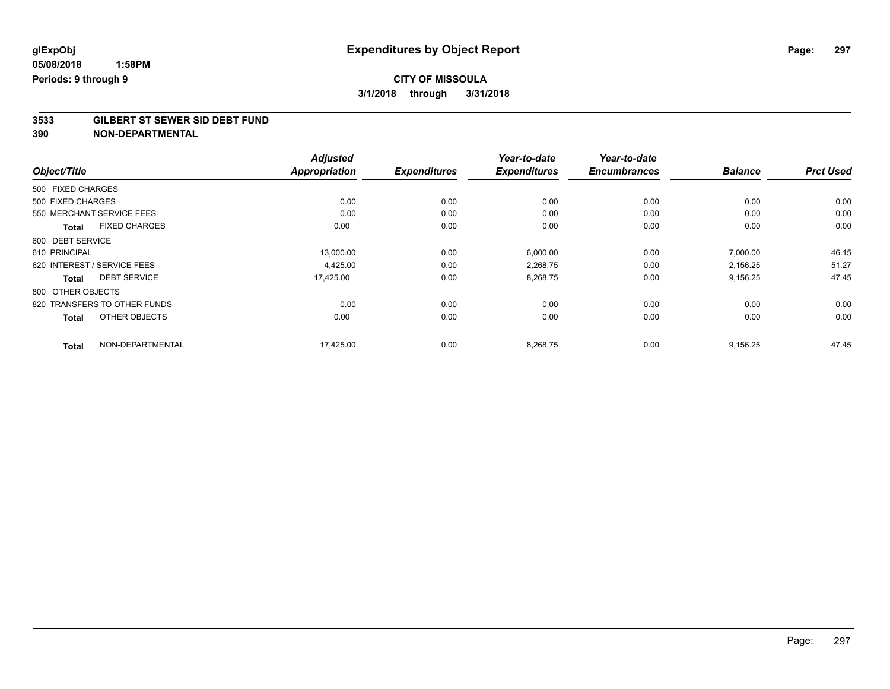# **3533 GILBERT ST SEWER SID DEBT FUND**

|                                      | <b>Adjusted</b>      |                     | Year-to-date        | Year-to-date<br><b>Encumbrances</b> | <b>Balance</b> | <b>Prct Used</b> |
|--------------------------------------|----------------------|---------------------|---------------------|-------------------------------------|----------------|------------------|
| Object/Title                         | <b>Appropriation</b> | <b>Expenditures</b> | <b>Expenditures</b> |                                     |                |                  |
| 500 FIXED CHARGES                    |                      |                     |                     |                                     |                |                  |
| 500 FIXED CHARGES                    | 0.00                 | 0.00                | 0.00                | 0.00                                | 0.00           | 0.00             |
| 550 MERCHANT SERVICE FEES            | 0.00                 | 0.00                | 0.00                | 0.00                                | 0.00           | 0.00             |
| <b>FIXED CHARGES</b><br><b>Total</b> | 0.00                 | 0.00                | 0.00                | 0.00                                | 0.00           | 0.00             |
| 600 DEBT SERVICE                     |                      |                     |                     |                                     |                |                  |
| 610 PRINCIPAL                        | 13,000.00            | 0.00                | 6,000.00            | 0.00                                | 7,000.00       | 46.15            |
| 620 INTEREST / SERVICE FEES          | 4,425.00             | 0.00                | 2,268.75            | 0.00                                | 2,156.25       | 51.27            |
| <b>DEBT SERVICE</b><br><b>Total</b>  | 17,425.00            | 0.00                | 8,268.75            | 0.00                                | 9,156.25       | 47.45            |
| 800 OTHER OBJECTS                    |                      |                     |                     |                                     |                |                  |
| 820 TRANSFERS TO OTHER FUNDS         | 0.00                 | 0.00                | 0.00                | 0.00                                | 0.00           | 0.00             |
| OTHER OBJECTS<br><b>Total</b>        | 0.00                 | 0.00                | 0.00                | 0.00                                | 0.00           | 0.00             |
| NON-DEPARTMENTAL<br><b>Total</b>     | 17,425.00            | 0.00                | 8,268.75            | 0.00                                | 9,156.25       | 47.45            |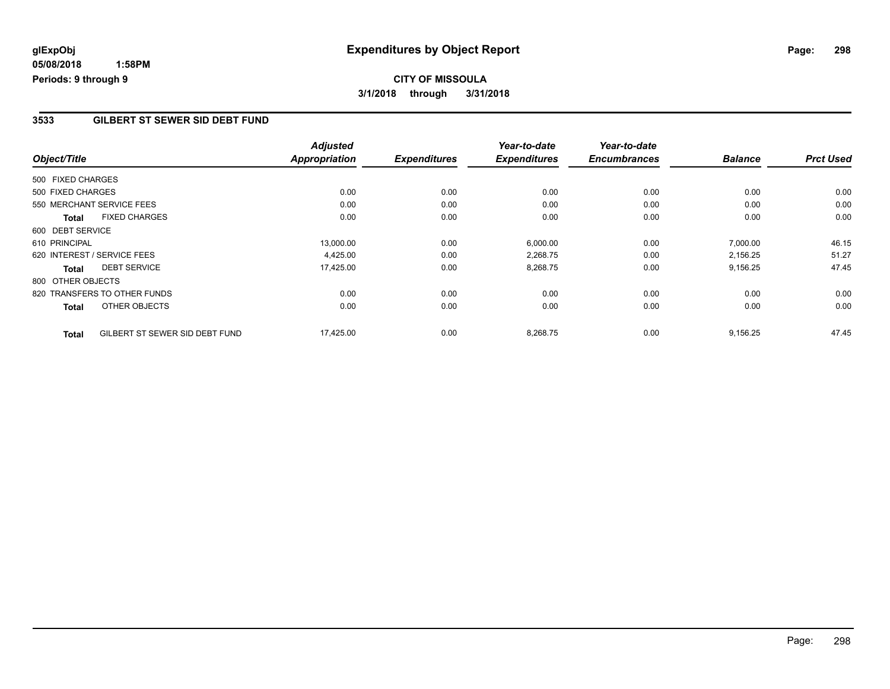# **CITY OF MISSOULA 3/1/2018 through 3/31/2018**

### **3533 GILBERT ST SEWER SID DEBT FUND**

| Object/Title      |                                | <b>Adjusted</b><br><b>Appropriation</b> | <b>Expenditures</b> | Year-to-date<br><b>Expenditures</b> | Year-to-date<br><b>Encumbrances</b> | <b>Balance</b> | <b>Prct Used</b> |
|-------------------|--------------------------------|-----------------------------------------|---------------------|-------------------------------------|-------------------------------------|----------------|------------------|
|                   |                                |                                         |                     |                                     |                                     |                |                  |
| 500 FIXED CHARGES |                                | 0.00                                    | 0.00                | 0.00                                | 0.00                                | 0.00           | 0.00             |
|                   | 550 MERCHANT SERVICE FEES      | 0.00                                    | 0.00                | 0.00                                | 0.00                                | 0.00           | 0.00             |
| <b>Total</b>      | <b>FIXED CHARGES</b>           | 0.00                                    | 0.00                | 0.00                                | 0.00                                | 0.00           | 0.00             |
| 600 DEBT SERVICE  |                                |                                         |                     |                                     |                                     |                |                  |
| 610 PRINCIPAL     |                                | 13,000.00                               | 0.00                | 6,000.00                            | 0.00                                | 7,000.00       | 46.15            |
|                   | 620 INTEREST / SERVICE FEES    | 4,425.00                                | 0.00                | 2,268.75                            | 0.00                                | 2,156.25       | 51.27            |
| <b>Total</b>      | <b>DEBT SERVICE</b>            | 17,425.00                               | 0.00                | 8,268.75                            | 0.00                                | 9,156.25       | 47.45            |
| 800 OTHER OBJECTS |                                |                                         |                     |                                     |                                     |                |                  |
|                   | 820 TRANSFERS TO OTHER FUNDS   | 0.00                                    | 0.00                | 0.00                                | 0.00                                | 0.00           | 0.00             |
| <b>Total</b>      | OTHER OBJECTS                  | 0.00                                    | 0.00                | 0.00                                | 0.00                                | 0.00           | 0.00             |
| <b>Total</b>      | GILBERT ST SEWER SID DEBT FUND | 17,425.00                               | 0.00                | 8,268.75                            | 0.00                                | 9,156.25       | 47.45            |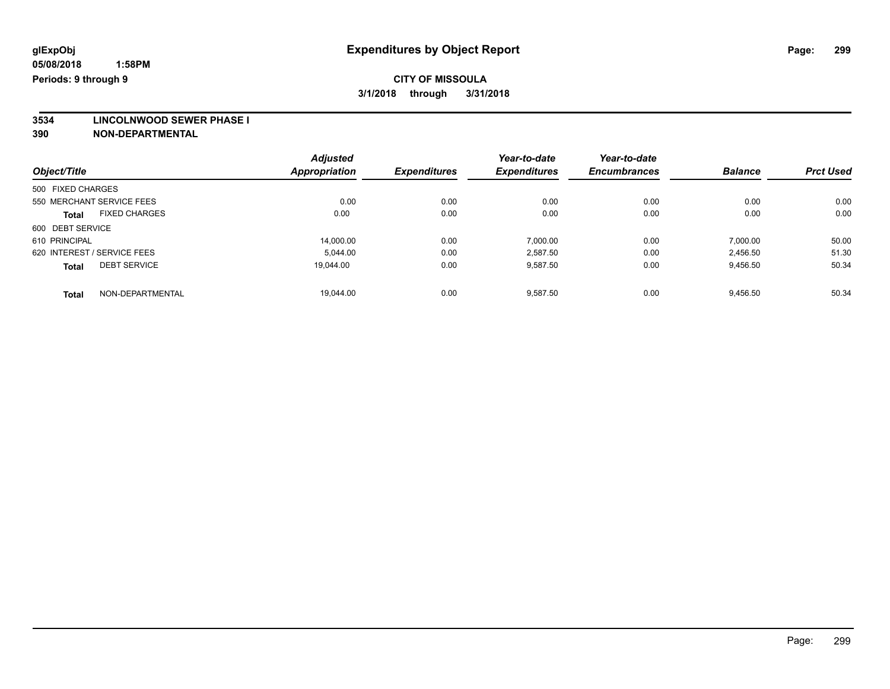**3534 LINCOLNWOOD SEWER PHASE I**

|                                      | <b>Adjusted</b>      |                     | Year-to-date        | Year-to-date        |                |                  |
|--------------------------------------|----------------------|---------------------|---------------------|---------------------|----------------|------------------|
| Object/Title                         | <b>Appropriation</b> | <b>Expenditures</b> | <b>Expenditures</b> | <b>Encumbrances</b> | <b>Balance</b> | <b>Prct Used</b> |
| 500 FIXED CHARGES                    |                      |                     |                     |                     |                |                  |
| 550 MERCHANT SERVICE FEES            | 0.00                 | 0.00                | 0.00                | 0.00                | 0.00           | 0.00             |
| <b>FIXED CHARGES</b><br><b>Total</b> | 0.00                 | 0.00                | 0.00                | 0.00                | 0.00           | 0.00             |
| 600 DEBT SERVICE                     |                      |                     |                     |                     |                |                  |
| 610 PRINCIPAL                        | 14.000.00            | 0.00                | 7.000.00            | 0.00                | 7.000.00       | 50.00            |
| 620 INTEREST / SERVICE FEES          | 5.044.00             | 0.00                | 2,587.50            | 0.00                | 2,456.50       | 51.30            |
| <b>DEBT SERVICE</b><br><b>Total</b>  | 19.044.00            | 0.00                | 9,587.50            | 0.00                | 9,456.50       | 50.34            |
| NON-DEPARTMENTAL<br><b>Total</b>     | 19.044.00            | 0.00                | 9.587.50            | 0.00                | 9.456.50       | 50.34            |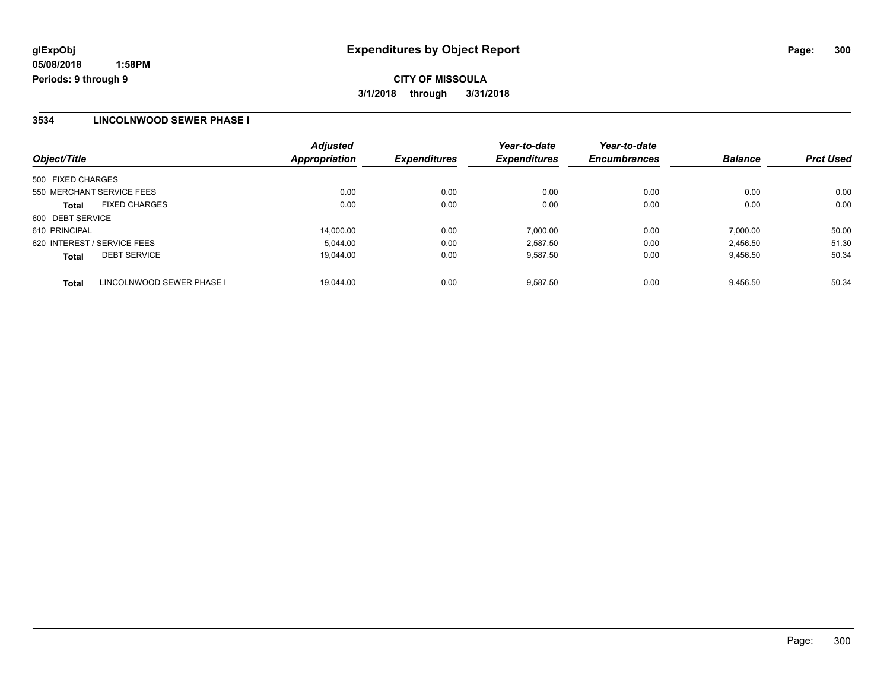### **3534 LINCOLNWOOD SEWER PHASE I**

|                                           | <b>Adjusted</b> |                     | Year-to-date        | Year-to-date        |                |                  |
|-------------------------------------------|-----------------|---------------------|---------------------|---------------------|----------------|------------------|
| Object/Title                              | Appropriation   | <b>Expenditures</b> | <b>Expenditures</b> | <b>Encumbrances</b> | <b>Balance</b> | <b>Prct Used</b> |
| 500 FIXED CHARGES                         |                 |                     |                     |                     |                |                  |
| 550 MERCHANT SERVICE FEES                 | 0.00            | 0.00                | 0.00                | 0.00                | 0.00           | 0.00             |
| <b>FIXED CHARGES</b><br><b>Total</b>      | 0.00            | 0.00                | 0.00                | 0.00                | 0.00           | 0.00             |
| 600 DEBT SERVICE                          |                 |                     |                     |                     |                |                  |
| 610 PRINCIPAL                             | 14,000.00       | 0.00                | 7.000.00            | 0.00                | 7.000.00       | 50.00            |
| 620 INTEREST / SERVICE FEES               | 5.044.00        | 0.00                | 2.587.50            | 0.00                | 2,456.50       | 51.30            |
| <b>DEBT SERVICE</b><br><b>Total</b>       | 19.044.00       | 0.00                | 9,587.50            | 0.00                | 9,456.50       | 50.34            |
| LINCOLNWOOD SEWER PHASE I<br><b>Total</b> | 19.044.00       | 0.00                | 9.587.50            | 0.00                | 9.456.50       | 50.34            |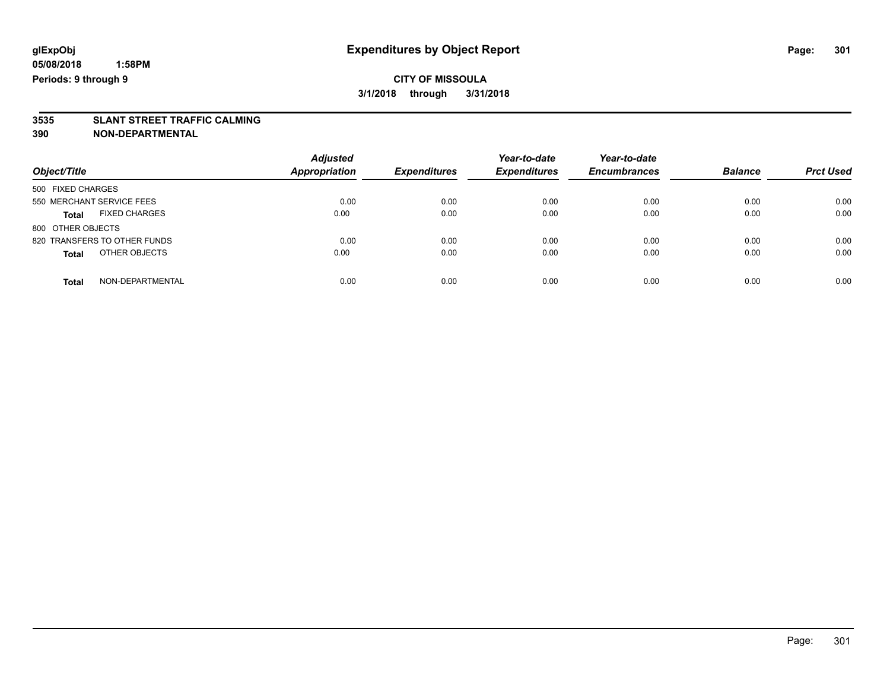# **3535 SLANT STREET TRAFFIC CALMING**

| Object/Title                         | <b>Adjusted</b><br><b>Appropriation</b> | <b>Expenditures</b> | Year-to-date<br><b>Expenditures</b> | Year-to-date<br><b>Encumbrances</b> | <b>Balance</b> | <b>Prct Used</b> |
|--------------------------------------|-----------------------------------------|---------------------|-------------------------------------|-------------------------------------|----------------|------------------|
| 500 FIXED CHARGES                    |                                         |                     |                                     |                                     |                |                  |
| 550 MERCHANT SERVICE FEES            | 0.00                                    | 0.00                | 0.00                                | 0.00                                | 0.00           | 0.00             |
| <b>FIXED CHARGES</b><br><b>Total</b> | 0.00                                    | 0.00                | 0.00                                | 0.00                                | 0.00           | 0.00             |
| 800 OTHER OBJECTS                    |                                         |                     |                                     |                                     |                |                  |
| 820 TRANSFERS TO OTHER FUNDS         | 0.00                                    | 0.00                | 0.00                                | 0.00                                | 0.00           | 0.00             |
| OTHER OBJECTS<br><b>Total</b>        | 0.00                                    | 0.00                | 0.00                                | 0.00                                | 0.00           | 0.00             |
| NON-DEPARTMENTAL<br>Total            | 0.00                                    | 0.00                | 0.00                                | 0.00                                | 0.00           | 0.00             |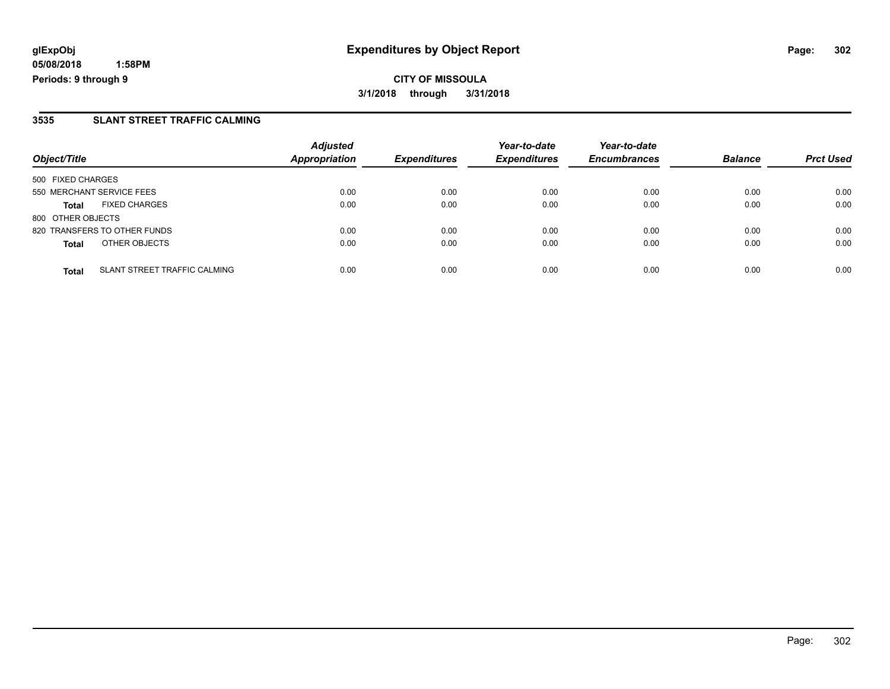**CITY OF MISSOULA 3/1/2018 through 3/31/2018**

### **3535 SLANT STREET TRAFFIC CALMING**

|                              |                                     | <b>Adjusted</b>      |                     | Year-to-date        | Year-to-date        |                |                  |
|------------------------------|-------------------------------------|----------------------|---------------------|---------------------|---------------------|----------------|------------------|
| Object/Title                 |                                     | <b>Appropriation</b> | <b>Expenditures</b> | <b>Expenditures</b> | <b>Encumbrances</b> | <b>Balance</b> | <b>Prct Used</b> |
| 500 FIXED CHARGES            |                                     |                      |                     |                     |                     |                |                  |
| 550 MERCHANT SERVICE FEES    |                                     | 0.00                 | 0.00                | 0.00                | 0.00                | 0.00           | 0.00             |
| <b>Total</b>                 | <b>FIXED CHARGES</b>                | 0.00                 | 0.00                | 0.00                | 0.00                | 0.00           | 0.00             |
| 800 OTHER OBJECTS            |                                     |                      |                     |                     |                     |                |                  |
| 820 TRANSFERS TO OTHER FUNDS |                                     | 0.00                 | 0.00                | 0.00                | 0.00                | 0.00           | 0.00             |
| <b>Total</b>                 | OTHER OBJECTS                       | 0.00                 | 0.00                | 0.00                | 0.00                | 0.00           | 0.00             |
| <b>Total</b>                 | <b>SLANT STREET TRAFFIC CALMING</b> | 0.00                 | 0.00                | 0.00                | 0.00                | 0.00           | 0.00             |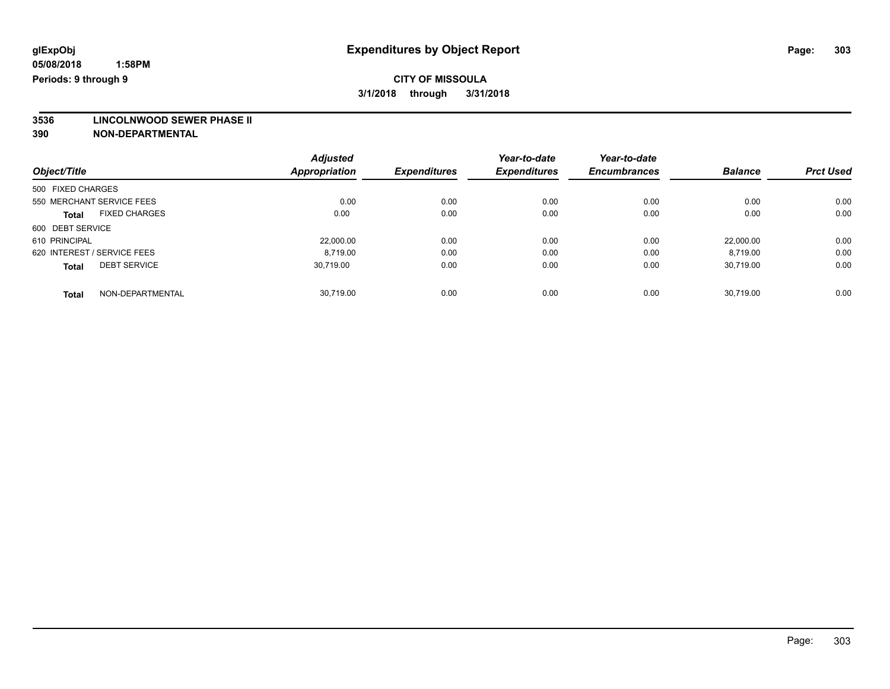# **3536 LINCOLNWOOD SEWER PHASE II**

|                                      | <b>Adjusted</b>      |                     | Year-to-date        | Year-to-date        | <b>Balance</b> | <b>Prct Used</b> |
|--------------------------------------|----------------------|---------------------|---------------------|---------------------|----------------|------------------|
| Object/Title                         | <b>Appropriation</b> | <b>Expenditures</b> | <b>Expenditures</b> | <b>Encumbrances</b> |                |                  |
| 500 FIXED CHARGES                    |                      |                     |                     |                     |                |                  |
| 550 MERCHANT SERVICE FEES            | 0.00                 | 0.00                | 0.00                | 0.00                | 0.00           | 0.00             |
| <b>FIXED CHARGES</b><br><b>Total</b> | 0.00                 | 0.00                | 0.00                | 0.00                | 0.00           | 0.00             |
| 600 DEBT SERVICE                     |                      |                     |                     |                     |                |                  |
| 610 PRINCIPAL                        | 22,000.00            | 0.00                | 0.00                | 0.00                | 22,000.00      | 0.00             |
| 620 INTEREST / SERVICE FEES          | 8.719.00             | 0.00                | 0.00                | 0.00                | 8.719.00       | 0.00             |
| <b>DEBT SERVICE</b><br><b>Total</b>  | 30.719.00            | 0.00                | 0.00                | 0.00                | 30.719.00      | 0.00             |
| NON-DEPARTMENTAL<br><b>Total</b>     | 30.719.00            | 0.00                | 0.00                | 0.00                | 30.719.00      | 0.00             |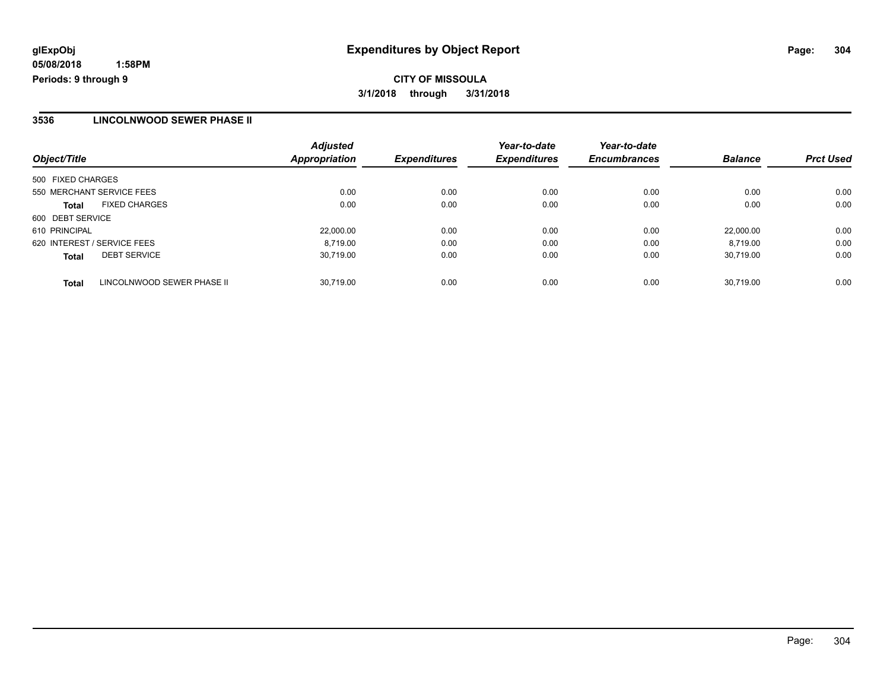### **3536 LINCOLNWOOD SEWER PHASE II**

| Object/Title                               | <b>Adjusted</b><br>Appropriation | <b>Expenditures</b> | Year-to-date<br><b>Expenditures</b> | Year-to-date<br><b>Encumbrances</b> | <b>Balance</b> | <b>Prct Used</b> |
|--------------------------------------------|----------------------------------|---------------------|-------------------------------------|-------------------------------------|----------------|------------------|
| 500 FIXED CHARGES                          |                                  |                     |                                     |                                     |                |                  |
|                                            |                                  |                     |                                     |                                     |                |                  |
| 550 MERCHANT SERVICE FEES                  | 0.00                             | 0.00                | 0.00                                | 0.00                                | 0.00           | 0.00             |
| <b>FIXED CHARGES</b><br><b>Total</b>       | 0.00                             | 0.00                | 0.00                                | 0.00                                | 0.00           | 0.00             |
| 600 DEBT SERVICE                           |                                  |                     |                                     |                                     |                |                  |
| 610 PRINCIPAL                              | 22,000.00                        | 0.00                | 0.00                                | 0.00                                | 22.000.00      | 0.00             |
| 620 INTEREST / SERVICE FEES                | 8.719.00                         | 0.00                | 0.00                                | 0.00                                | 8.719.00       | 0.00             |
| <b>DEBT SERVICE</b><br><b>Total</b>        | 30,719.00                        | 0.00                | 0.00                                | 0.00                                | 30,719.00      | 0.00             |
| LINCOLNWOOD SEWER PHASE II<br><b>Total</b> | 30.719.00                        | 0.00                | 0.00                                | 0.00                                | 30.719.00      | 0.00             |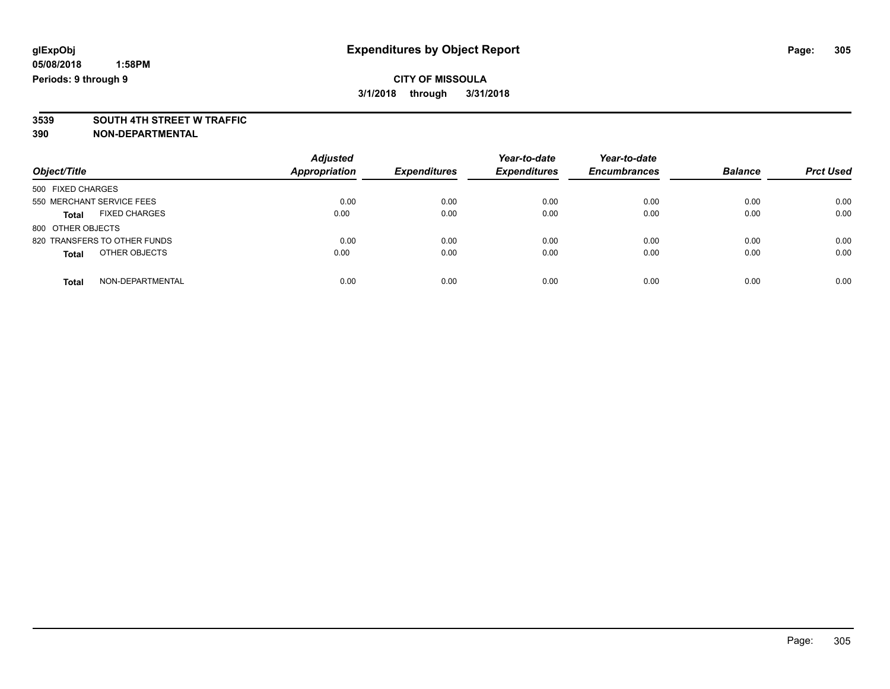# **3539 SOUTH 4TH STREET W TRAFFIC**

|                                      | <b>Adjusted</b>      |                     | Year-to-date        | Year-to-date        |                |                  |
|--------------------------------------|----------------------|---------------------|---------------------|---------------------|----------------|------------------|
| Object/Title                         | <b>Appropriation</b> | <b>Expenditures</b> | <b>Expenditures</b> | <b>Encumbrances</b> | <b>Balance</b> | <b>Prct Used</b> |
| 500 FIXED CHARGES                    |                      |                     |                     |                     |                |                  |
| 550 MERCHANT SERVICE FEES            | 0.00                 | 0.00                | 0.00                | 0.00                | 0.00           | 0.00             |
| <b>FIXED CHARGES</b><br><b>Total</b> | 0.00                 | 0.00                | 0.00                | 0.00                | 0.00           | 0.00             |
| 800 OTHER OBJECTS                    |                      |                     |                     |                     |                |                  |
| 820 TRANSFERS TO OTHER FUNDS         | 0.00                 | 0.00                | 0.00                | 0.00                | 0.00           | 0.00             |
| OTHER OBJECTS<br><b>Total</b>        | 0.00                 | 0.00                | 0.00                | 0.00                | 0.00           | 0.00             |
| NON-DEPARTMENTAL<br>Total            | 0.00                 | 0.00                | 0.00                | 0.00                | 0.00           | 0.00             |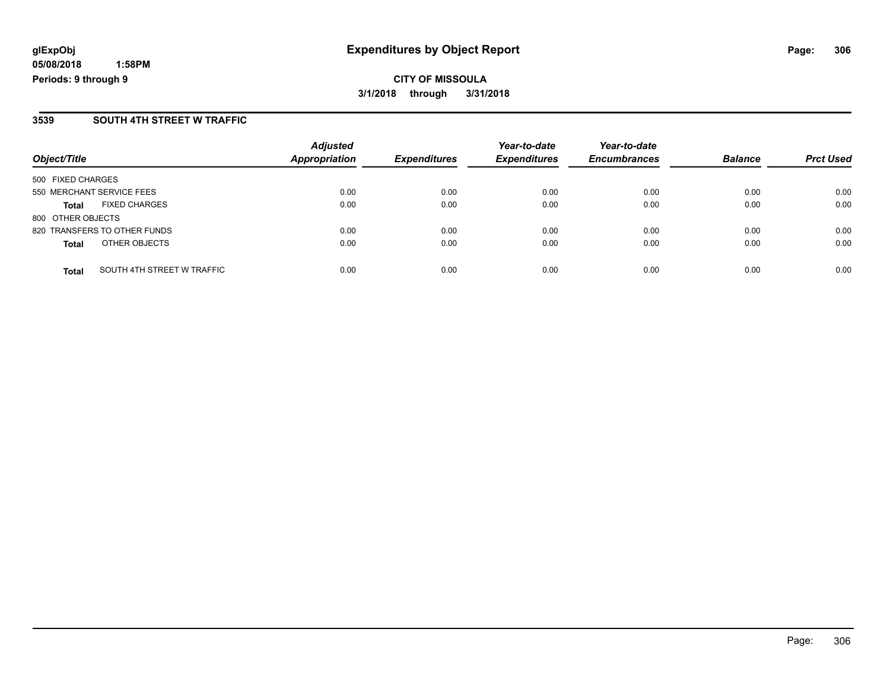**3/1/2018 through 3/31/2018**

### **3539 SOUTH 4TH STREET W TRAFFIC**

|                                            | <b>Adjusted</b>      |                     | Year-to-date        | Year-to-date<br><b>Encumbrances</b> | <b>Balance</b> |                  |
|--------------------------------------------|----------------------|---------------------|---------------------|-------------------------------------|----------------|------------------|
| Object/Title                               | <b>Appropriation</b> | <b>Expenditures</b> | <b>Expenditures</b> |                                     |                | <b>Prct Used</b> |
| 500 FIXED CHARGES                          |                      |                     |                     |                                     |                |                  |
| 550 MERCHANT SERVICE FEES                  | 0.00                 | 0.00                | 0.00                | 0.00                                | 0.00           | 0.00             |
| <b>FIXED CHARGES</b><br><b>Total</b>       | 0.00                 | 0.00                | 0.00                | 0.00                                | 0.00           | 0.00             |
| 800 OTHER OBJECTS                          |                      |                     |                     |                                     |                |                  |
| 820 TRANSFERS TO OTHER FUNDS               | 0.00                 | 0.00                | 0.00                | 0.00                                | 0.00           | 0.00             |
| OTHER OBJECTS<br><b>Total</b>              | 0.00                 | 0.00                | 0.00                | 0.00                                | 0.00           | 0.00             |
| SOUTH 4TH STREET W TRAFFIC<br><b>Total</b> | 0.00                 | 0.00                | 0.00                | 0.00                                | 0.00           | 0.00             |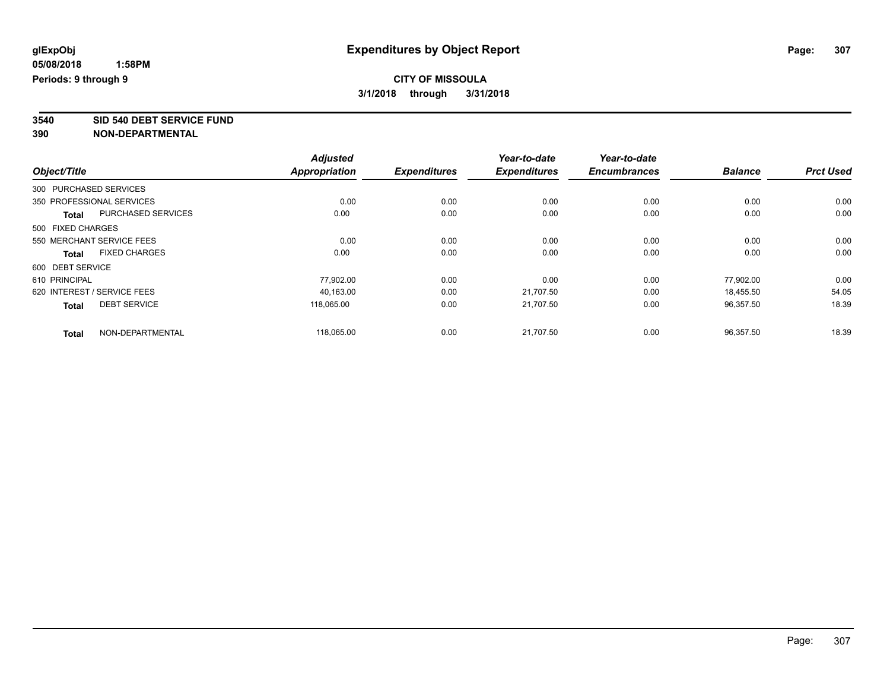**3540 SID 540 DEBT SERVICE FUND**

| Object/Title                |                           | <b>Adjusted</b><br><b>Appropriation</b> | <b>Expenditures</b> | Year-to-date<br><b>Expenditures</b> | Year-to-date<br><b>Encumbrances</b> | <b>Balance</b> | <b>Prct Used</b> |
|-----------------------------|---------------------------|-----------------------------------------|---------------------|-------------------------------------|-------------------------------------|----------------|------------------|
|                             |                           |                                         |                     |                                     |                                     |                |                  |
| 350 PROFESSIONAL SERVICES   |                           | 0.00                                    | 0.00                | 0.00                                | 0.00                                | 0.00           | 0.00             |
| <b>Total</b>                | <b>PURCHASED SERVICES</b> | 0.00                                    | 0.00                | 0.00                                | 0.00                                | 0.00           | 0.00             |
| 500 FIXED CHARGES           |                           |                                         |                     |                                     |                                     |                |                  |
| 550 MERCHANT SERVICE FEES   |                           | 0.00                                    | 0.00                | 0.00                                | 0.00                                | 0.00           | 0.00             |
| <b>Total</b>                | <b>FIXED CHARGES</b>      | 0.00                                    | 0.00                | 0.00                                | 0.00                                | 0.00           | 0.00             |
| 600 DEBT SERVICE            |                           |                                         |                     |                                     |                                     |                |                  |
| 610 PRINCIPAL               |                           | 77,902.00                               | 0.00                | 0.00                                | 0.00                                | 77,902.00      | 0.00             |
| 620 INTEREST / SERVICE FEES |                           | 40,163.00                               | 0.00                | 21,707.50                           | 0.00                                | 18,455.50      | 54.05            |
| <b>Total</b>                | <b>DEBT SERVICE</b>       | 118.065.00                              | 0.00                | 21.707.50                           | 0.00                                | 96,357.50      | 18.39            |
| <b>Total</b>                | NON-DEPARTMENTAL          | 118,065.00                              | 0.00                | 21,707.50                           | 0.00                                | 96,357.50      | 18.39            |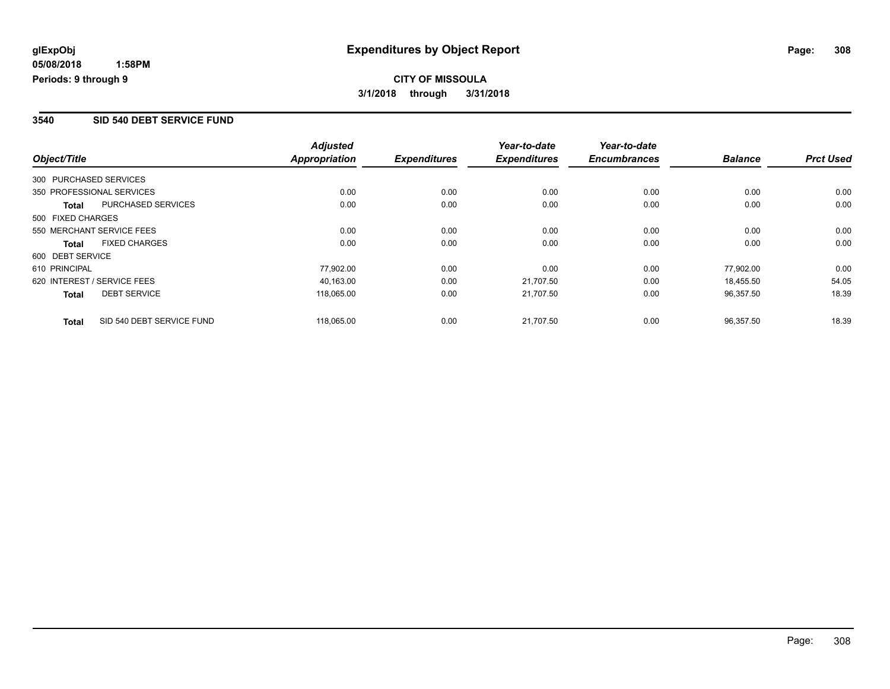### **3540 SID 540 DEBT SERVICE FUND**

|                             |                           | <b>Adjusted</b> |                     | Year-to-date        | Year-to-date        |                |                  |
|-----------------------------|---------------------------|-----------------|---------------------|---------------------|---------------------|----------------|------------------|
| Object/Title                |                           | Appropriation   | <b>Expenditures</b> | <b>Expenditures</b> | <b>Encumbrances</b> | <b>Balance</b> | <b>Prct Used</b> |
| 300 PURCHASED SERVICES      |                           |                 |                     |                     |                     |                |                  |
| 350 PROFESSIONAL SERVICES   |                           | 0.00            | 0.00                | 0.00                | 0.00                | 0.00           | 0.00             |
| Total                       | <b>PURCHASED SERVICES</b> | 0.00            | 0.00                | 0.00                | 0.00                | 0.00           | 0.00             |
| 500 FIXED CHARGES           |                           |                 |                     |                     |                     |                |                  |
| 550 MERCHANT SERVICE FEES   |                           | 0.00            | 0.00                | 0.00                | 0.00                | 0.00           | 0.00             |
| Total                       | <b>FIXED CHARGES</b>      | 0.00            | 0.00                | 0.00                | 0.00                | 0.00           | 0.00             |
| 600 DEBT SERVICE            |                           |                 |                     |                     |                     |                |                  |
| 610 PRINCIPAL               |                           | 77.902.00       | 0.00                | 0.00                | 0.00                | 77.902.00      | 0.00             |
| 620 INTEREST / SERVICE FEES |                           | 40.163.00       | 0.00                | 21.707.50           | 0.00                | 18.455.50      | 54.05            |
| <b>Total</b>                | <b>DEBT SERVICE</b>       | 118,065.00      | 0.00                | 21,707.50           | 0.00                | 96,357.50      | 18.39            |
| <b>Total</b>                | SID 540 DEBT SERVICE FUND | 118,065.00      | 0.00                | 21,707.50           | 0.00                | 96,357.50      | 18.39            |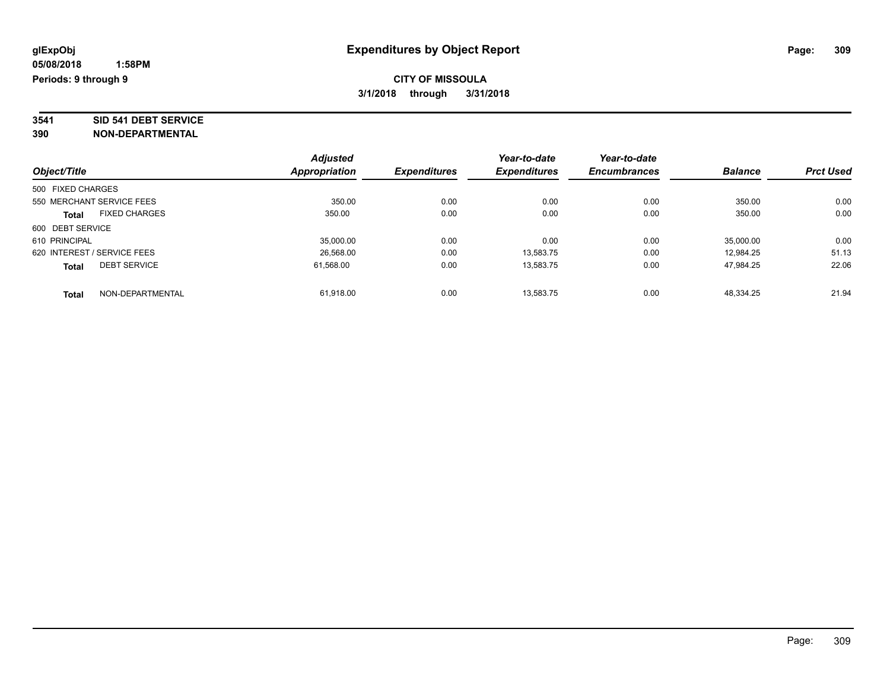# **3541 SID 541 DEBT SERVICE**

|                             |                      | <b>Adjusted</b>     | <b>Expenditures</b> | Year-to-date        | Year-to-date | <b>Balance</b> | <b>Prct Used</b> |
|-----------------------------|----------------------|---------------------|---------------------|---------------------|--------------|----------------|------------------|
| Object/Title                | Appropriation        | <b>Expenditures</b> |                     | <b>Encumbrances</b> |              |                |                  |
| 500 FIXED CHARGES           |                      |                     |                     |                     |              |                |                  |
| 550 MERCHANT SERVICE FEES   |                      | 350.00              | 0.00                | 0.00                | 0.00         | 350.00         | 0.00             |
| <b>Total</b>                | <b>FIXED CHARGES</b> | 350.00              | 0.00                | 0.00                | 0.00         | 350.00         | 0.00             |
| 600 DEBT SERVICE            |                      |                     |                     |                     |              |                |                  |
| 610 PRINCIPAL               |                      | 35,000.00           | 0.00                | 0.00                | 0.00         | 35,000.00      | 0.00             |
| 620 INTEREST / SERVICE FEES |                      | 26,568.00           | 0.00                | 13,583.75           | 0.00         | 12.984.25      | 51.13            |
| <b>Total</b>                | <b>DEBT SERVICE</b>  | 61.568.00           | 0.00                | 13.583.75           | 0.00         | 47.984.25      | 22.06            |
| <b>Total</b>                | NON-DEPARTMENTAL     | 61,918.00           | 0.00                | 13.583.75           | 0.00         | 48.334.25      | 21.94            |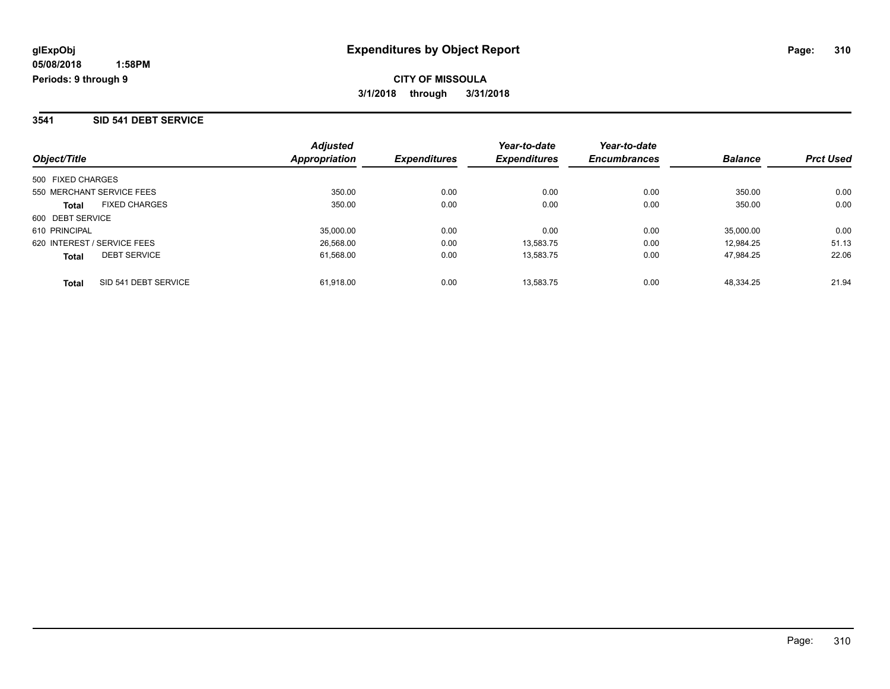#### **3541 SID 541 DEBT SERVICE**

| Object/Title                         | <b>Adjusted</b><br>Appropriation | <b>Expenditures</b> | Year-to-date<br><b>Expenditures</b> | Year-to-date<br><b>Encumbrances</b> | <b>Balance</b> | <b>Prct Used</b> |
|--------------------------------------|----------------------------------|---------------------|-------------------------------------|-------------------------------------|----------------|------------------|
| 500 FIXED CHARGES                    |                                  |                     |                                     |                                     |                |                  |
| 550 MERCHANT SERVICE FEES            | 350.00                           | 0.00                | 0.00                                | 0.00                                | 350.00         | 0.00             |
| <b>FIXED CHARGES</b><br><b>Total</b> | 350.00                           | 0.00                | 0.00                                | 0.00                                | 350.00         | 0.00             |
| 600 DEBT SERVICE                     |                                  |                     |                                     |                                     |                |                  |
| 610 PRINCIPAL                        | 35,000.00                        | 0.00                | 0.00                                | 0.00                                | 35,000.00      | 0.00             |
| 620 INTEREST / SERVICE FEES          | 26,568.00                        | 0.00                | 13.583.75                           | 0.00                                | 12.984.25      | 51.13            |
| <b>DEBT SERVICE</b><br><b>Total</b>  | 61,568.00                        | 0.00                | 13,583.75                           | 0.00                                | 47.984.25      | 22.06            |
| SID 541 DEBT SERVICE<br><b>Total</b> | 61.918.00                        | 0.00                | 13.583.75                           | 0.00                                | 48.334.25      | 21.94            |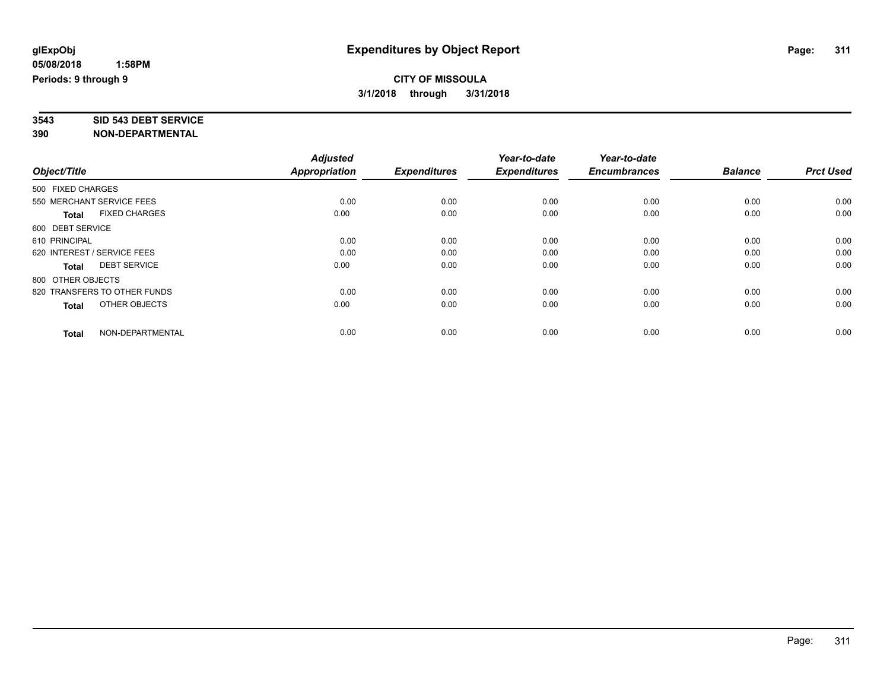# **3543 SID 543 DEBT SERVICE**

|                                      | <b>Adjusted</b><br><b>Appropriation</b> | <b>Expenditures</b> | Year-to-date<br><b>Expenditures</b> | Year-to-date<br><b>Encumbrances</b> | <b>Balance</b> | <b>Prct Used</b> |
|--------------------------------------|-----------------------------------------|---------------------|-------------------------------------|-------------------------------------|----------------|------------------|
| Object/Title                         |                                         |                     |                                     |                                     |                |                  |
| 500 FIXED CHARGES                    |                                         |                     |                                     |                                     |                |                  |
| 550 MERCHANT SERVICE FEES            | 0.00                                    | 0.00                | 0.00                                | 0.00                                | 0.00           | 0.00             |
| <b>FIXED CHARGES</b><br><b>Total</b> | 0.00                                    | 0.00                | 0.00                                | 0.00                                | 0.00           | 0.00             |
| 600 DEBT SERVICE                     |                                         |                     |                                     |                                     |                |                  |
| 610 PRINCIPAL                        | 0.00                                    | 0.00                | 0.00                                | 0.00                                | 0.00           | 0.00             |
| 620 INTEREST / SERVICE FEES          | 0.00                                    | 0.00                | 0.00                                | 0.00                                | 0.00           | 0.00             |
| <b>DEBT SERVICE</b><br><b>Total</b>  | 0.00                                    | 0.00                | 0.00                                | 0.00                                | 0.00           | 0.00             |
| 800 OTHER OBJECTS                    |                                         |                     |                                     |                                     |                |                  |
| 820 TRANSFERS TO OTHER FUNDS         | 0.00                                    | 0.00                | 0.00                                | 0.00                                | 0.00           | 0.00             |
| OTHER OBJECTS<br><b>Total</b>        | 0.00                                    | 0.00                | 0.00                                | 0.00                                | 0.00           | 0.00             |
|                                      |                                         |                     |                                     |                                     |                |                  |
| NON-DEPARTMENTAL<br><b>Total</b>     | 0.00                                    | 0.00                | 0.00                                | 0.00                                | 0.00           | 0.00             |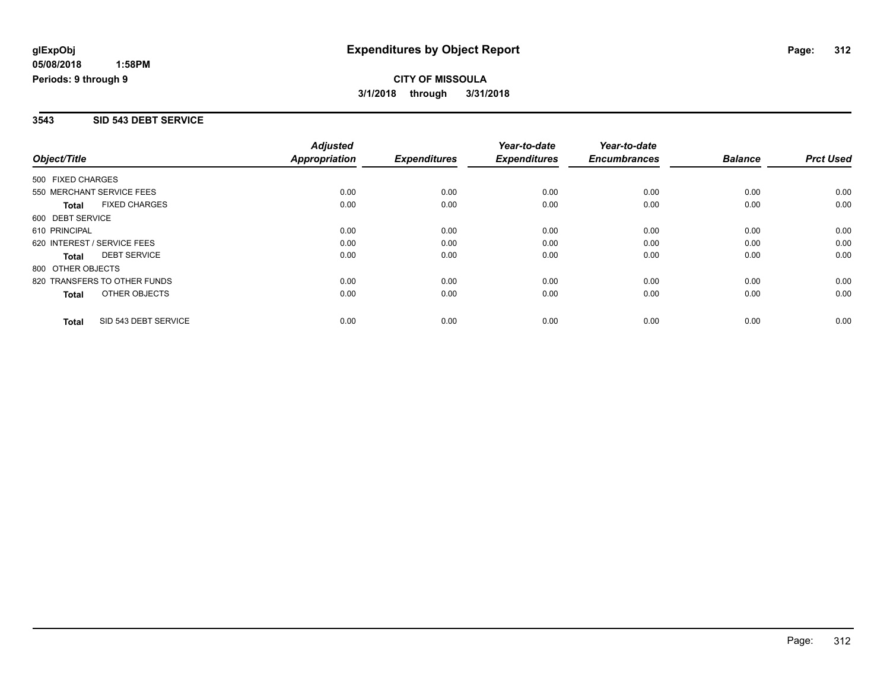### **3543 SID 543 DEBT SERVICE**

|                              |                      | <b>Adjusted</b>     |                     | Year-to-date        | Year-to-date   |                  |      |
|------------------------------|----------------------|---------------------|---------------------|---------------------|----------------|------------------|------|
| Object/Title                 | <b>Appropriation</b> | <b>Expenditures</b> | <b>Expenditures</b> | <b>Encumbrances</b> | <b>Balance</b> | <b>Prct Used</b> |      |
| 500 FIXED CHARGES            |                      |                     |                     |                     |                |                  |      |
| 550 MERCHANT SERVICE FEES    |                      | 0.00                | 0.00                | 0.00                | 0.00           | 0.00             | 0.00 |
| <b>Total</b>                 | <b>FIXED CHARGES</b> | 0.00                | 0.00                | 0.00                | 0.00           | 0.00             | 0.00 |
| 600 DEBT SERVICE             |                      |                     |                     |                     |                |                  |      |
| 610 PRINCIPAL                |                      | 0.00                | 0.00                | 0.00                | 0.00           | 0.00             | 0.00 |
| 620 INTEREST / SERVICE FEES  |                      | 0.00                | 0.00                | 0.00                | 0.00           | 0.00             | 0.00 |
| Total                        | <b>DEBT SERVICE</b>  | 0.00                | 0.00                | 0.00                | 0.00           | 0.00             | 0.00 |
| 800 OTHER OBJECTS            |                      |                     |                     |                     |                |                  |      |
| 820 TRANSFERS TO OTHER FUNDS |                      | 0.00                | 0.00                | 0.00                | 0.00           | 0.00             | 0.00 |
| Total                        | OTHER OBJECTS        | 0.00                | 0.00                | 0.00                | 0.00           | 0.00             | 0.00 |
| <b>Total</b>                 | SID 543 DEBT SERVICE | 0.00                | 0.00                | 0.00                | 0.00           | 0.00             | 0.00 |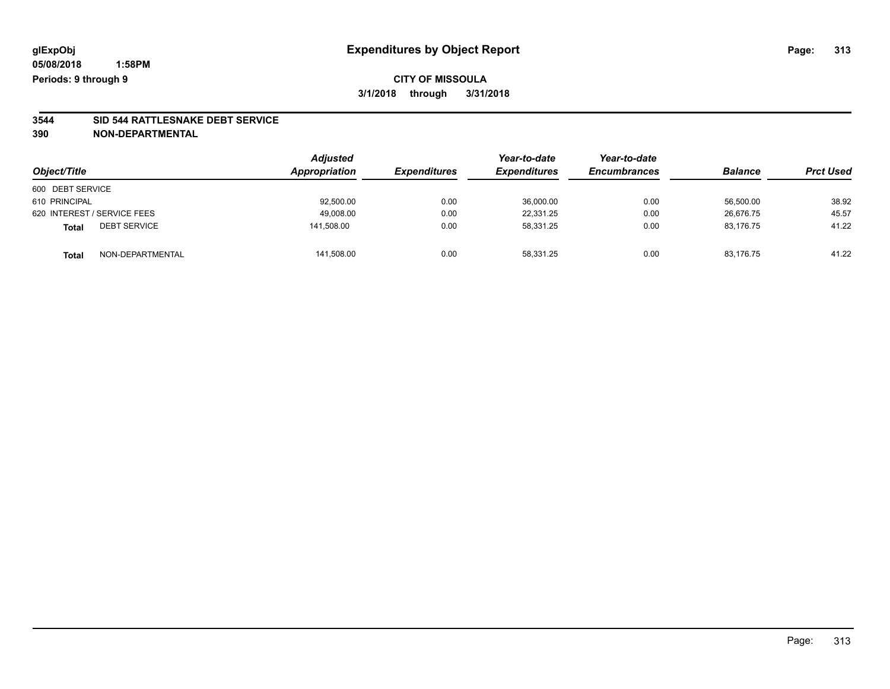# **3544 SID 544 RATTLESNAKE DEBT SERVICE**

|                                     | <b>Adjusted</b><br>Appropriation |                     | Year-to-date        | Year-to-date        | <b>Balance</b> |                  |
|-------------------------------------|----------------------------------|---------------------|---------------------|---------------------|----------------|------------------|
| Object/Title                        |                                  | <b>Expenditures</b> | <b>Expenditures</b> | <b>Encumbrances</b> |                | <b>Prct Used</b> |
| 600 DEBT SERVICE                    |                                  |                     |                     |                     |                |                  |
| 610 PRINCIPAL                       | 92,500.00                        | 0.00                | 36,000.00           | 0.00                | 56,500.00      | 38.92            |
| 620 INTEREST / SERVICE FEES         | 49,008.00                        | 0.00                | 22.331.25           | 0.00                | 26.676.75      | 45.57            |
| <b>DEBT SERVICE</b><br><b>Total</b> | 141.508.00                       | 0.00                | 58.331.25           | 0.00                | 83.176.75      | 41.22            |
| NON-DEPARTMENTAL<br>Total           | 141,508.00                       | 0.00                | 58.331.25           | 0.00                | 83.176.75      | 41.22            |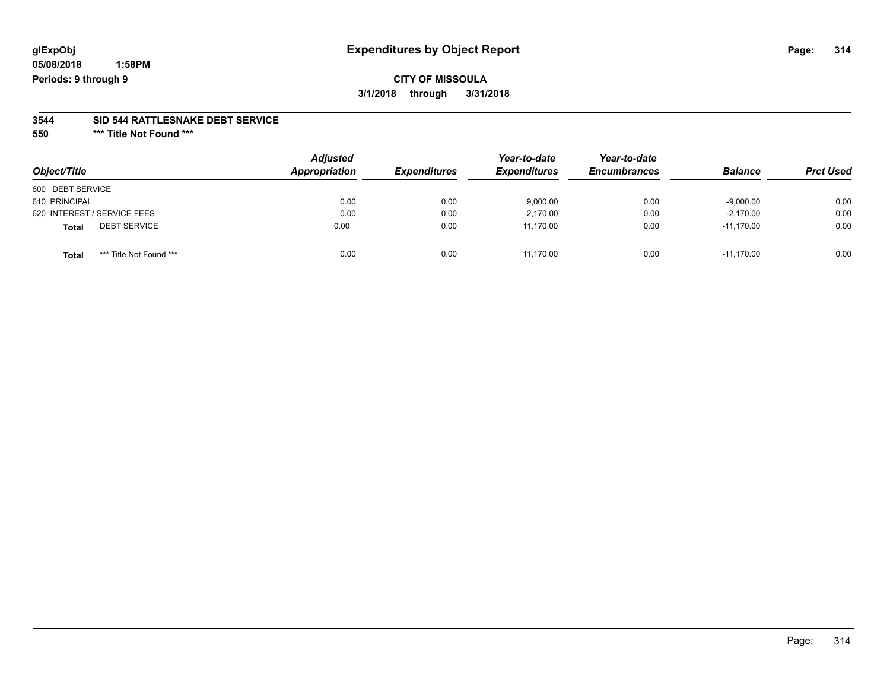# **CITY OF MISSOULA 3/1/2018 through 3/31/2018**

### **3544 SID 544 RATTLESNAKE DEBT SERVICE**

**550 \*\*\* Title Not Found \*\*\***

| Object/Title                            | <b>Adjusted</b><br>Appropriation | <b>Expenditures</b> | Year-to-date<br><b>Expenditures</b> | Year-to-date<br><b>Encumbrances</b> | <b>Balance</b> | <b>Prct Used</b> |
|-----------------------------------------|----------------------------------|---------------------|-------------------------------------|-------------------------------------|----------------|------------------|
| 600 DEBT SERVICE                        |                                  |                     |                                     |                                     |                |                  |
| 610 PRINCIPAL                           | 0.00                             | 0.00                | 9.000.00                            | 0.00                                | $-9,000.00$    | 0.00             |
| 620 INTEREST / SERVICE FEES             | 0.00                             | 0.00                | 2,170.00                            | 0.00                                | $-2,170.00$    | 0.00             |
| <b>DEBT SERVICE</b><br><b>Total</b>     | 0.00                             | 0.00                | 11,170.00                           | 0.00                                | $-11,170.00$   | 0.00             |
| *** Title Not Found ***<br><b>Total</b> | 0.00                             | 0.00                | 11.170.00                           | 0.00                                | $-11.170.00$   | 0.00             |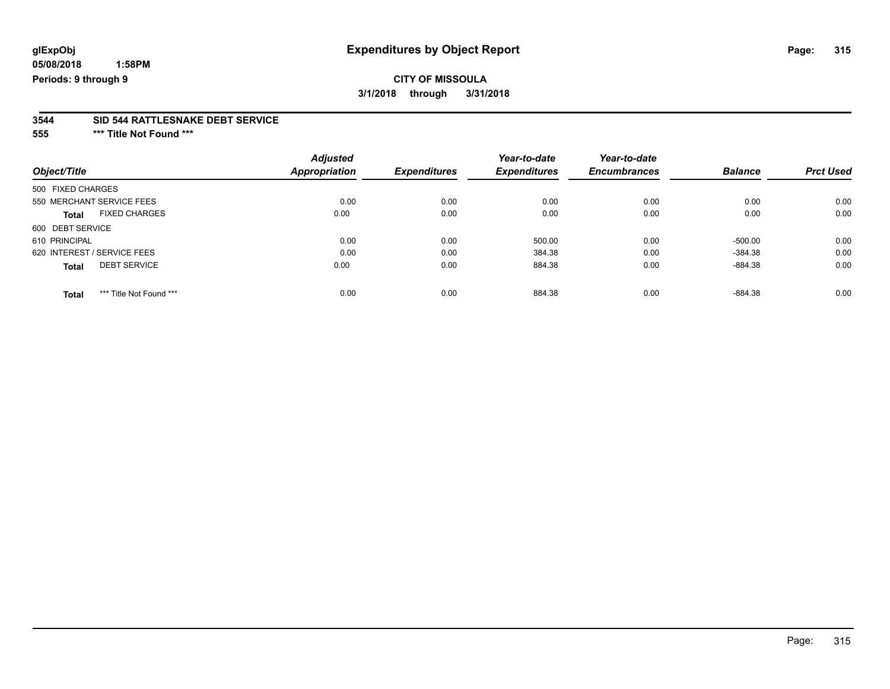# **CITY OF MISSOULA 3/1/2018 through 3/31/2018**

#### **3544 SID 544 RATTLESNAKE DEBT SERVICE**

**555 \*\*\* Title Not Found \*\*\***

|                                         | <b>Adjusted</b><br><b>Appropriation</b> | <b>Expenditures</b> | Year-to-date<br><b>Expenditures</b> | Year-to-date<br><b>Encumbrances</b> | <b>Balance</b> | <b>Prct Used</b> |
|-----------------------------------------|-----------------------------------------|---------------------|-------------------------------------|-------------------------------------|----------------|------------------|
| Object/Title                            |                                         |                     |                                     |                                     |                |                  |
| 500 FIXED CHARGES                       |                                         |                     |                                     |                                     |                |                  |
| 550 MERCHANT SERVICE FEES               | 0.00                                    | 0.00                | 0.00                                | 0.00                                | 0.00           | 0.00             |
| <b>FIXED CHARGES</b><br><b>Total</b>    | 0.00                                    | 0.00                | 0.00                                | 0.00                                | 0.00           | 0.00             |
| 600 DEBT SERVICE                        |                                         |                     |                                     |                                     |                |                  |
| 610 PRINCIPAL                           | 0.00                                    | 0.00                | 500.00                              | 0.00                                | $-500.00$      | 0.00             |
| 620 INTEREST / SERVICE FEES             | 0.00                                    | 0.00                | 384.38                              | 0.00                                | $-384.38$      | 0.00             |
| <b>DEBT SERVICE</b><br><b>Total</b>     | 0.00                                    | 0.00                | 884.38                              | 0.00                                | $-884.38$      | 0.00             |
| *** Title Not Found ***<br><b>Total</b> | 0.00                                    | 0.00                | 884.38                              | 0.00                                | $-884.38$      | 0.00             |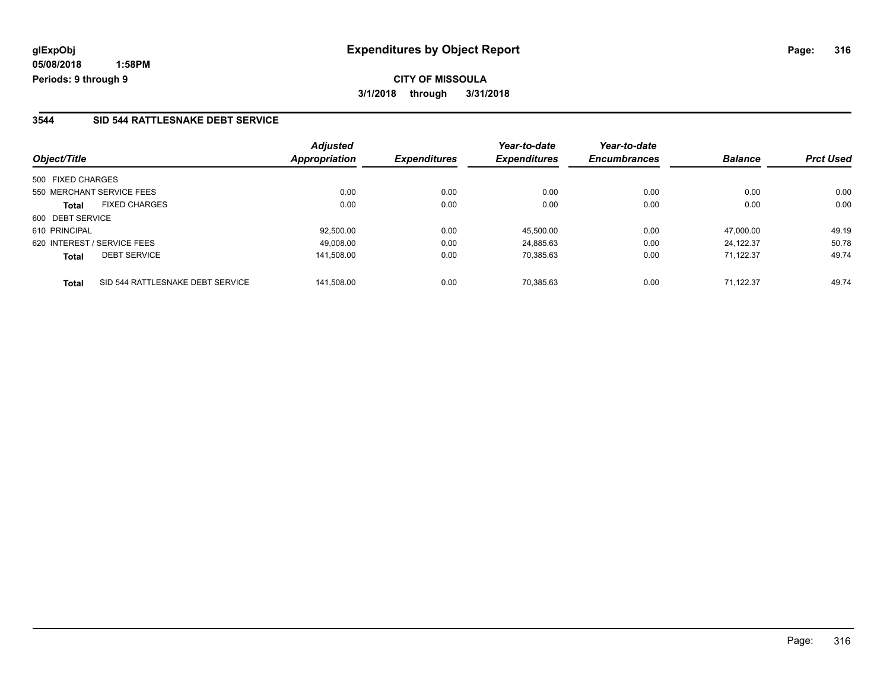### **3544 SID 544 RATTLESNAKE DEBT SERVICE**

|                   |                                  | <b>Adjusted</b>      |                     | Year-to-date        | Year-to-date        |                |                  |
|-------------------|----------------------------------|----------------------|---------------------|---------------------|---------------------|----------------|------------------|
| Object/Title      |                                  | <b>Appropriation</b> | <b>Expenditures</b> | <b>Expenditures</b> | <b>Encumbrances</b> | <b>Balance</b> | <b>Prct Used</b> |
| 500 FIXED CHARGES |                                  |                      |                     |                     |                     |                |                  |
|                   | 550 MERCHANT SERVICE FEES        | 0.00                 | 0.00                | 0.00                | 0.00                | 0.00           | 0.00             |
| <b>Total</b>      | <b>FIXED CHARGES</b>             | 0.00                 | 0.00                | 0.00                | 0.00                | 0.00           | 0.00             |
| 600 DEBT SERVICE  |                                  |                      |                     |                     |                     |                |                  |
| 610 PRINCIPAL     |                                  | 92.500.00            | 0.00                | 45.500.00           | 0.00                | 47.000.00      | 49.19            |
|                   | 620 INTEREST / SERVICE FEES      | 49.008.00            | 0.00                | 24,885.63           | 0.00                | 24.122.37      | 50.78            |
| <b>Total</b>      | <b>DEBT SERVICE</b>              | 141.508.00           | 0.00                | 70,385.63           | 0.00                | 71.122.37      | 49.74            |
| <b>Total</b>      | SID 544 RATTLESNAKE DEBT SERVICE | 141.508.00           | 0.00                | 70.385.63           | 0.00                | 71.122.37      | 49.74            |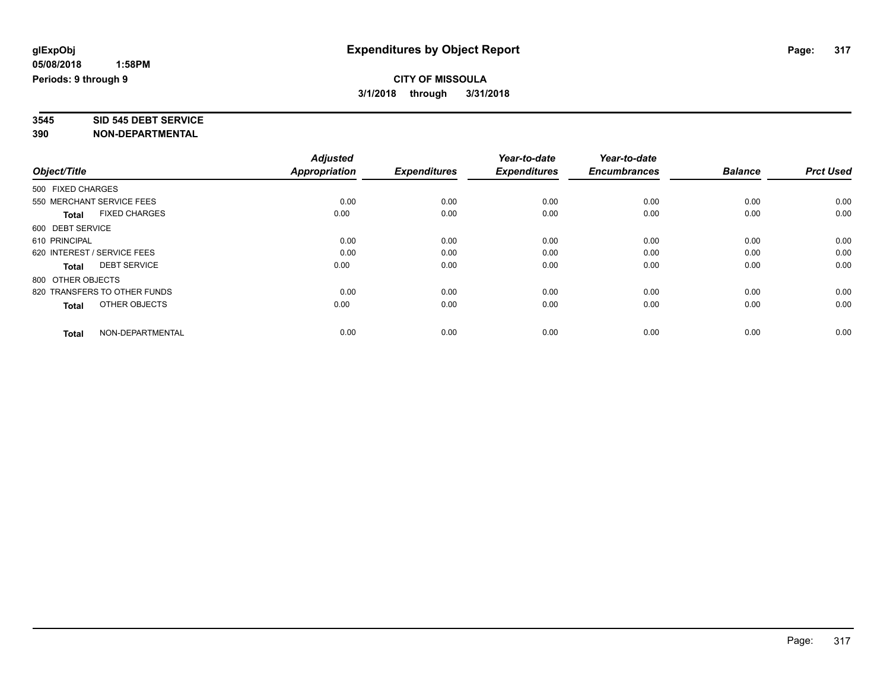# **3545 SID 545 DEBT SERVICE**

| Object/Title                        |                      | <b>Adjusted</b><br><b>Appropriation</b> |                     | Year-to-date<br><b>Expenditures</b> | Year-to-date<br><b>Encumbrances</b> | <b>Balance</b> | <b>Prct Used</b> |
|-------------------------------------|----------------------|-----------------------------------------|---------------------|-------------------------------------|-------------------------------------|----------------|------------------|
|                                     |                      |                                         | <b>Expenditures</b> |                                     |                                     |                |                  |
| 500 FIXED CHARGES                   |                      |                                         |                     |                                     |                                     |                |                  |
| 550 MERCHANT SERVICE FEES           |                      | 0.00                                    | 0.00                | 0.00                                | 0.00                                | 0.00           | 0.00             |
| <b>Total</b>                        | <b>FIXED CHARGES</b> | 0.00                                    | 0.00                | 0.00                                | 0.00                                | 0.00           | 0.00             |
| 600 DEBT SERVICE                    |                      |                                         |                     |                                     |                                     |                |                  |
| 610 PRINCIPAL                       |                      | 0.00                                    | 0.00                | 0.00                                | 0.00                                | 0.00           | 0.00             |
| 620 INTEREST / SERVICE FEES         |                      | 0.00                                    | 0.00                | 0.00                                | 0.00                                | 0.00           | 0.00             |
| <b>DEBT SERVICE</b><br><b>Total</b> |                      | 0.00                                    | 0.00                | 0.00                                | 0.00                                | 0.00           | 0.00             |
| 800 OTHER OBJECTS                   |                      |                                         |                     |                                     |                                     |                |                  |
| 820 TRANSFERS TO OTHER FUNDS        |                      | 0.00                                    | 0.00                | 0.00                                | 0.00                                | 0.00           | 0.00             |
| <b>Total</b>                        | OTHER OBJECTS        | 0.00                                    | 0.00                | 0.00                                | 0.00                                | 0.00           | 0.00             |
|                                     |                      |                                         |                     |                                     |                                     |                |                  |
| <b>Total</b>                        | NON-DEPARTMENTAL     | 0.00                                    | 0.00                | 0.00                                | 0.00                                | 0.00           | 0.00             |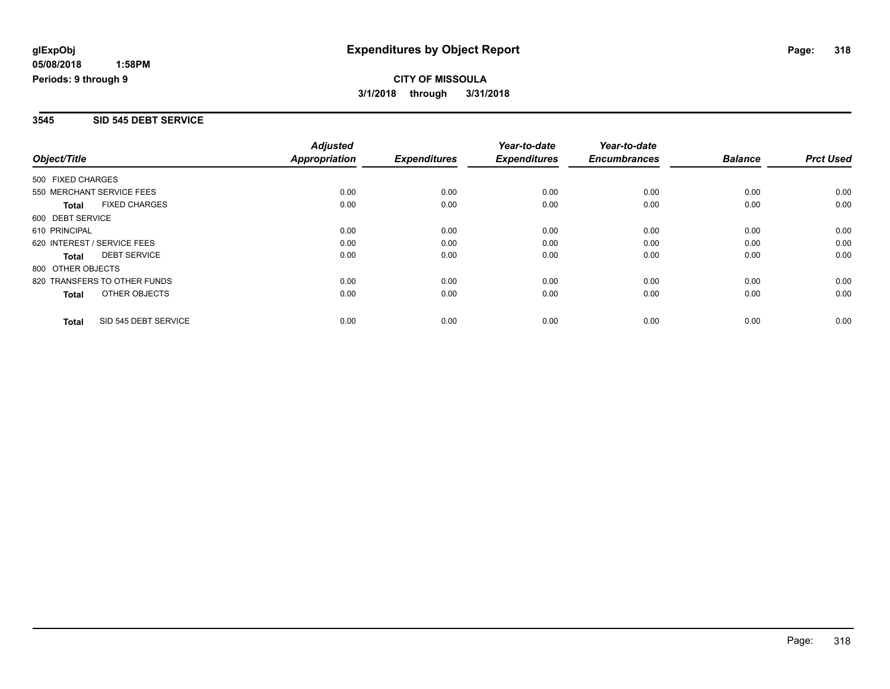#### **3545 SID 545 DEBT SERVICE**

|                   |                              | <b>Adjusted</b> |                     | Year-to-date        | Year-to-date        |                |                  |
|-------------------|------------------------------|-----------------|---------------------|---------------------|---------------------|----------------|------------------|
| Object/Title      |                              | Appropriation   | <b>Expenditures</b> | <b>Expenditures</b> | <b>Encumbrances</b> | <b>Balance</b> | <b>Prct Used</b> |
| 500 FIXED CHARGES |                              |                 |                     |                     |                     |                |                  |
|                   | 550 MERCHANT SERVICE FEES    | 0.00            | 0.00                | 0.00                | 0.00                | 0.00           | 0.00             |
| Total             | <b>FIXED CHARGES</b>         | 0.00            | 0.00                | 0.00                | 0.00                | 0.00           | 0.00             |
| 600 DEBT SERVICE  |                              |                 |                     |                     |                     |                |                  |
| 610 PRINCIPAL     |                              | 0.00            | 0.00                | 0.00                | 0.00                | 0.00           | 0.00             |
|                   | 620 INTEREST / SERVICE FEES  | 0.00            | 0.00                | 0.00                | 0.00                | 0.00           | 0.00             |
| Total             | <b>DEBT SERVICE</b>          | 0.00            | 0.00                | 0.00                | 0.00                | 0.00           | 0.00             |
| 800 OTHER OBJECTS |                              |                 |                     |                     |                     |                |                  |
|                   | 820 TRANSFERS TO OTHER FUNDS | 0.00            | 0.00                | 0.00                | 0.00                | 0.00           | 0.00             |
| Total             | OTHER OBJECTS                | 0.00            | 0.00                | 0.00                | 0.00                | 0.00           | 0.00             |
| <b>Total</b>      | SID 545 DEBT SERVICE         | 0.00            | 0.00                | 0.00                | 0.00                | 0.00           | 0.00             |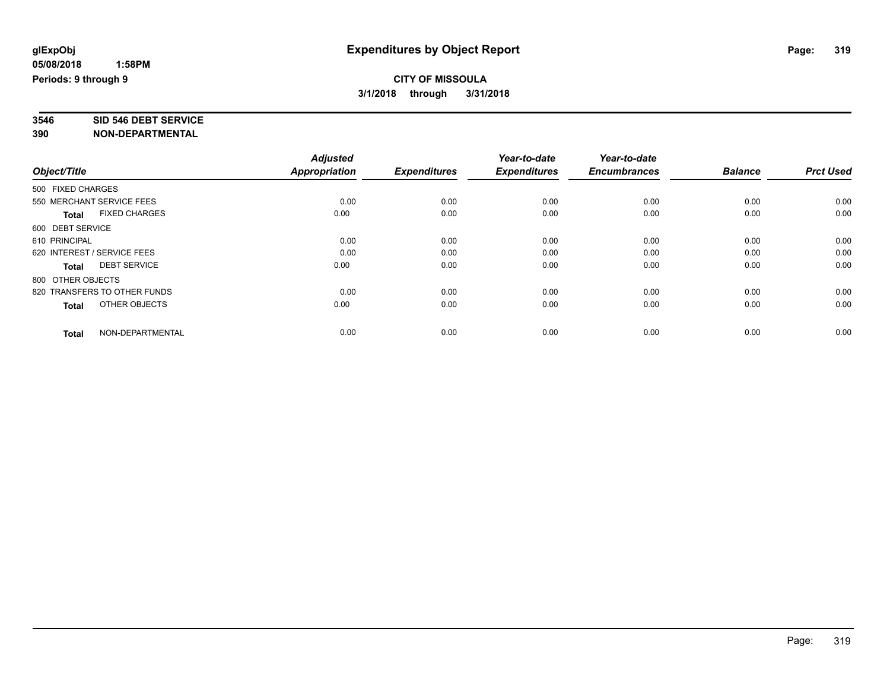# **3546 SID 546 DEBT SERVICE**

|                                      | <b>Adjusted</b> |                     | Year-to-date        | Year-to-date<br><b>Encumbrances</b> | <b>Balance</b> | <b>Prct Used</b> |
|--------------------------------------|-----------------|---------------------|---------------------|-------------------------------------|----------------|------------------|
| Object/Title                         | Appropriation   | <b>Expenditures</b> | <b>Expenditures</b> |                                     |                |                  |
| 500 FIXED CHARGES                    |                 |                     |                     |                                     |                |                  |
| 550 MERCHANT SERVICE FEES            | 0.00            | 0.00                | 0.00                | 0.00                                | 0.00           | 0.00             |
| <b>FIXED CHARGES</b><br><b>Total</b> | 0.00            | 0.00                | 0.00                | 0.00                                | 0.00           | 0.00             |
| 600 DEBT SERVICE                     |                 |                     |                     |                                     |                |                  |
| 610 PRINCIPAL                        | 0.00            | 0.00                | 0.00                | 0.00                                | 0.00           | 0.00             |
| 620 INTEREST / SERVICE FEES          | 0.00            | 0.00                | 0.00                | 0.00                                | 0.00           | 0.00             |
| <b>DEBT SERVICE</b><br><b>Total</b>  | 0.00            | 0.00                | 0.00                | 0.00                                | 0.00           | 0.00             |
| 800 OTHER OBJECTS                    |                 |                     |                     |                                     |                |                  |
| 820 TRANSFERS TO OTHER FUNDS         | 0.00            | 0.00                | 0.00                | 0.00                                | 0.00           | 0.00             |
| OTHER OBJECTS<br><b>Total</b>        | 0.00            | 0.00                | 0.00                | 0.00                                | 0.00           | 0.00             |
|                                      |                 |                     |                     |                                     |                |                  |
| NON-DEPARTMENTAL<br><b>Total</b>     | 0.00            | 0.00                | 0.00                | 0.00                                | 0.00           | 0.00             |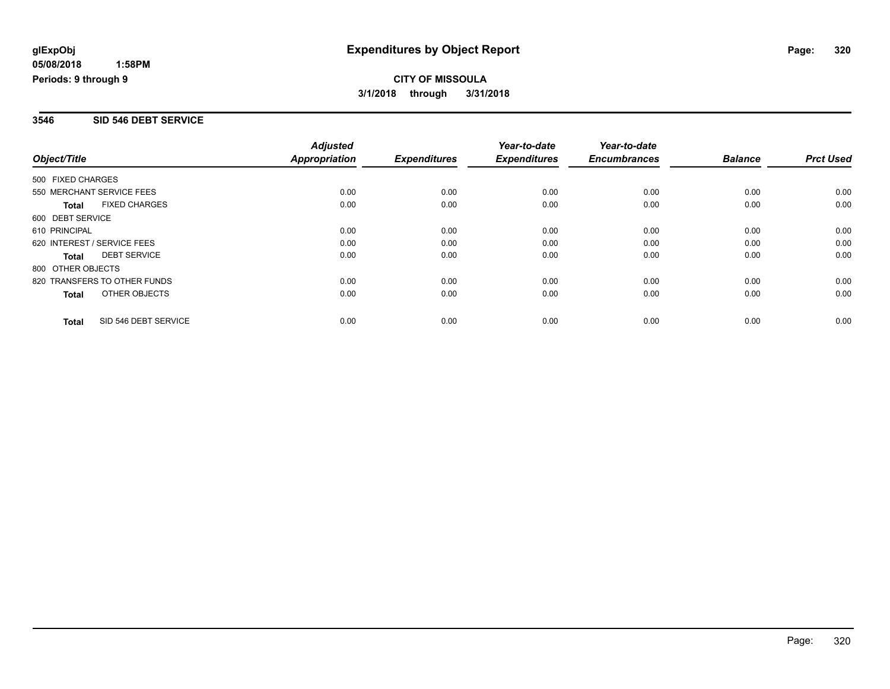### **3546 SID 546 DEBT SERVICE**

|                              |                      | <b>Adjusted</b><br><b>Appropriation</b> |                     | Year-to-date   | Year-to-date<br><b>Encumbrances</b> |                  |      |
|------------------------------|----------------------|-----------------------------------------|---------------------|----------------|-------------------------------------|------------------|------|
| Object/Title                 | <b>Expenditures</b>  |                                         | <b>Expenditures</b> | <b>Balance</b> |                                     | <b>Prct Used</b> |      |
| 500 FIXED CHARGES            |                      |                                         |                     |                |                                     |                  |      |
| 550 MERCHANT SERVICE FEES    |                      | 0.00                                    | 0.00                | 0.00           | 0.00                                | 0.00             | 0.00 |
| <b>Total</b>                 | <b>FIXED CHARGES</b> | 0.00                                    | 0.00                | 0.00           | 0.00                                | 0.00             | 0.00 |
| 600 DEBT SERVICE             |                      |                                         |                     |                |                                     |                  |      |
| 610 PRINCIPAL                |                      | 0.00                                    | 0.00                | 0.00           | 0.00                                | 0.00             | 0.00 |
| 620 INTEREST / SERVICE FEES  |                      | 0.00                                    | 0.00                | 0.00           | 0.00                                | 0.00             | 0.00 |
| Total                        | <b>DEBT SERVICE</b>  | 0.00                                    | 0.00                | 0.00           | 0.00                                | 0.00             | 0.00 |
| 800 OTHER OBJECTS            |                      |                                         |                     |                |                                     |                  |      |
| 820 TRANSFERS TO OTHER FUNDS |                      | 0.00                                    | 0.00                | 0.00           | 0.00                                | 0.00             | 0.00 |
| Total                        | OTHER OBJECTS        | 0.00                                    | 0.00                | 0.00           | 0.00                                | 0.00             | 0.00 |
| <b>Total</b>                 | SID 546 DEBT SERVICE | 0.00                                    | 0.00                | 0.00           | 0.00                                | 0.00             | 0.00 |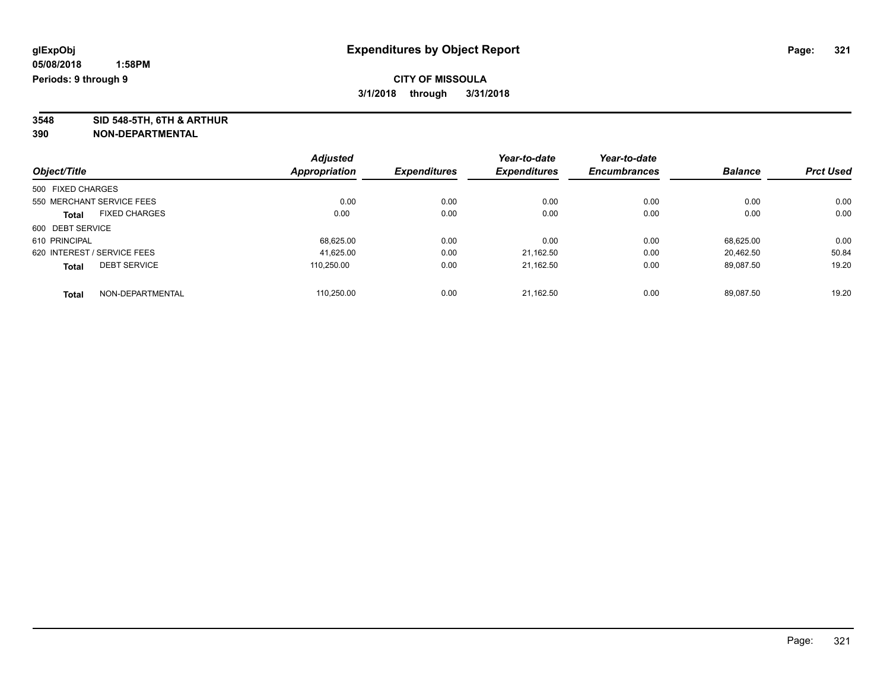**3548 SID 548-5TH, 6TH & ARTHUR**

|                                      | <b>Adjusted</b> |                     | Year-to-date        | Year-to-date<br><b>Encumbrances</b> | <b>Balance</b> | <b>Prct Used</b> |
|--------------------------------------|-----------------|---------------------|---------------------|-------------------------------------|----------------|------------------|
| Object/Title                         | Appropriation   | <b>Expenditures</b> | <b>Expenditures</b> |                                     |                |                  |
| 500 FIXED CHARGES                    |                 |                     |                     |                                     |                |                  |
| 550 MERCHANT SERVICE FEES            | 0.00            | 0.00                | 0.00                | 0.00                                | 0.00           | 0.00             |
| <b>FIXED CHARGES</b><br><b>Total</b> | 0.00            | 0.00                | 0.00                | 0.00                                | 0.00           | 0.00             |
| 600 DEBT SERVICE                     |                 |                     |                     |                                     |                |                  |
| 610 PRINCIPAL                        | 68,625.00       | 0.00                | 0.00                | 0.00                                | 68.625.00      | 0.00             |
| 620 INTEREST / SERVICE FEES          | 41.625.00       | 0.00                | 21,162.50           | 0.00                                | 20.462.50      | 50.84            |
| <b>DEBT SERVICE</b><br><b>Total</b>  | 110.250.00      | 0.00                | 21.162.50           | 0.00                                | 89.087.50      | 19.20            |
| NON-DEPARTMENTAL<br><b>Total</b>     | 110.250.00      | 0.00                | 21.162.50           | 0.00                                | 89.087.50      | 19.20            |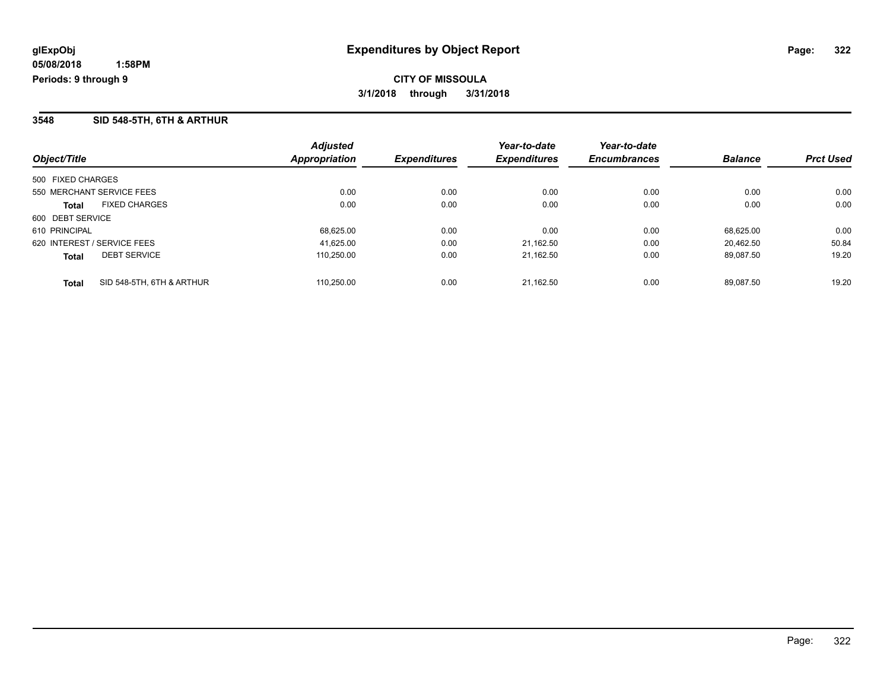# **3548 SID 548-5TH, 6TH & ARTHUR**

| Object/Title                              | <b>Adjusted</b><br><b>Appropriation</b> | <b>Expenditures</b> | Year-to-date<br><b>Expenditures</b> | Year-to-date<br><b>Encumbrances</b> | <b>Balance</b> | <b>Prct Used</b> |
|-------------------------------------------|-----------------------------------------|---------------------|-------------------------------------|-------------------------------------|----------------|------------------|
|                                           |                                         |                     |                                     |                                     |                |                  |
| 500 FIXED CHARGES                         |                                         |                     |                                     |                                     |                |                  |
| 550 MERCHANT SERVICE FEES                 | 0.00                                    | 0.00                | 0.00                                | 0.00                                | 0.00           | 0.00             |
| <b>FIXED CHARGES</b><br><b>Total</b>      | 0.00                                    | 0.00                | 0.00                                | 0.00                                | 0.00           | 0.00             |
| 600 DEBT SERVICE                          |                                         |                     |                                     |                                     |                |                  |
| 610 PRINCIPAL                             | 68.625.00                               | 0.00                | 0.00                                | 0.00                                | 68.625.00      | 0.00             |
| 620 INTEREST / SERVICE FEES               | 41.625.00                               | 0.00                | 21.162.50                           | 0.00                                | 20.462.50      | 50.84            |
| <b>DEBT SERVICE</b><br><b>Total</b>       | 110,250.00                              | 0.00                | 21,162.50                           | 0.00                                | 89.087.50      | 19.20            |
| SID 548-5TH, 6TH & ARTHUR<br><b>Total</b> | 110.250.00                              | 0.00                | 21.162.50                           | 0.00                                | 89.087.50      | 19.20            |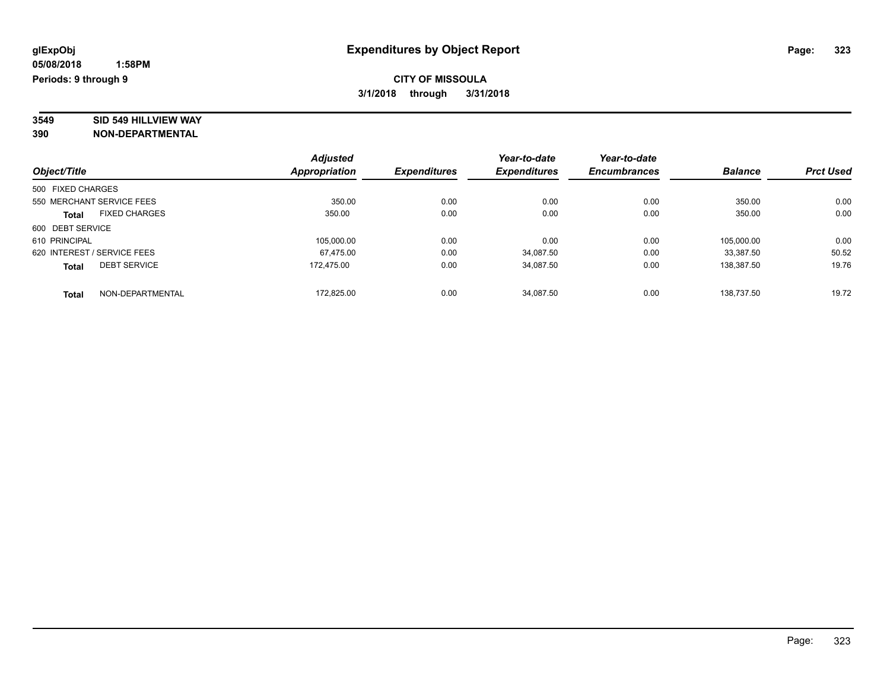# **3549 SID 549 HILLVIEW WAY**

|                                      | <b>Adjusted</b><br>Appropriation | <b>Expenditures</b> | Year-to-date<br><b>Expenditures</b> | Year-to-date        | <b>Balance</b> | <b>Prct Used</b> |
|--------------------------------------|----------------------------------|---------------------|-------------------------------------|---------------------|----------------|------------------|
| Object/Title                         |                                  |                     |                                     | <b>Encumbrances</b> |                |                  |
| 500 FIXED CHARGES                    |                                  |                     |                                     |                     |                |                  |
| 550 MERCHANT SERVICE FEES            | 350.00                           | 0.00                | 0.00                                | 0.00                | 350.00         | 0.00             |
| <b>FIXED CHARGES</b><br><b>Total</b> | 350.00                           | 0.00                | 0.00                                | 0.00                | 350.00         | 0.00             |
| 600 DEBT SERVICE                     |                                  |                     |                                     |                     |                |                  |
| 610 PRINCIPAL                        | 105,000.00                       | 0.00                | 0.00                                | 0.00                | 105.000.00     | 0.00             |
| 620 INTEREST / SERVICE FEES          | 67.475.00                        | 0.00                | 34.087.50                           | 0.00                | 33.387.50      | 50.52            |
| <b>DEBT SERVICE</b><br><b>Total</b>  | 172.475.00                       | 0.00                | 34,087.50                           | 0.00                | 138.387.50     | 19.76            |
|                                      |                                  |                     |                                     |                     |                |                  |
| NON-DEPARTMENTAL<br><b>Total</b>     | 172.825.00                       | 0.00                | 34.087.50                           | 0.00                | 138.737.50     | 19.72            |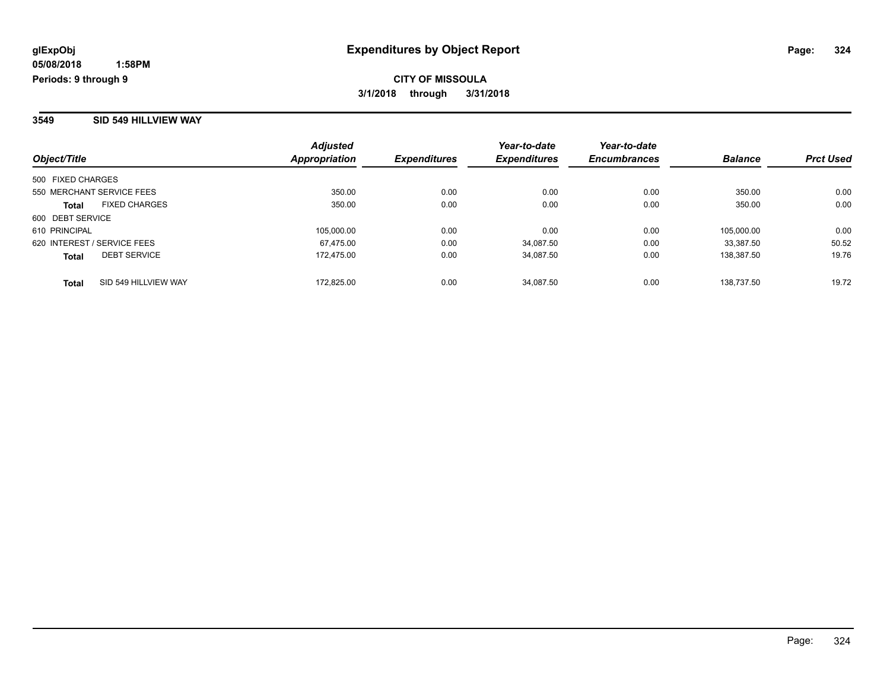#### **3549 SID 549 HILLVIEW WAY**

| Object/Title                         | <b>Adjusted</b><br>Appropriation | <b>Expenditures</b> | Year-to-date<br><b>Expenditures</b> | Year-to-date<br><b>Encumbrances</b> | <b>Balance</b> | <b>Prct Used</b> |
|--------------------------------------|----------------------------------|---------------------|-------------------------------------|-------------------------------------|----------------|------------------|
|                                      |                                  |                     |                                     |                                     |                |                  |
| 500 FIXED CHARGES                    |                                  |                     |                                     |                                     |                |                  |
| 550 MERCHANT SERVICE FEES            | 350.00                           | 0.00                | 0.00                                | 0.00                                | 350.00         | 0.00             |
| <b>FIXED CHARGES</b><br><b>Total</b> | 350.00                           | 0.00                | 0.00                                | 0.00                                | 350.00         | 0.00             |
| 600 DEBT SERVICE                     |                                  |                     |                                     |                                     |                |                  |
| 610 PRINCIPAL                        | 105.000.00                       | 0.00                | 0.00                                | 0.00                                | 105.000.00     | 0.00             |
| 620 INTEREST / SERVICE FEES          | 67.475.00                        | 0.00                | 34.087.50                           | 0.00                                | 33,387.50      | 50.52            |
| <b>DEBT SERVICE</b><br><b>Total</b>  | 172.475.00                       | 0.00                | 34,087.50                           | 0.00                                | 138,387.50     | 19.76            |
| SID 549 HILLVIEW WAY<br><b>Total</b> | 172.825.00                       | 0.00                | 34.087.50                           | 0.00                                | 138.737.50     | 19.72            |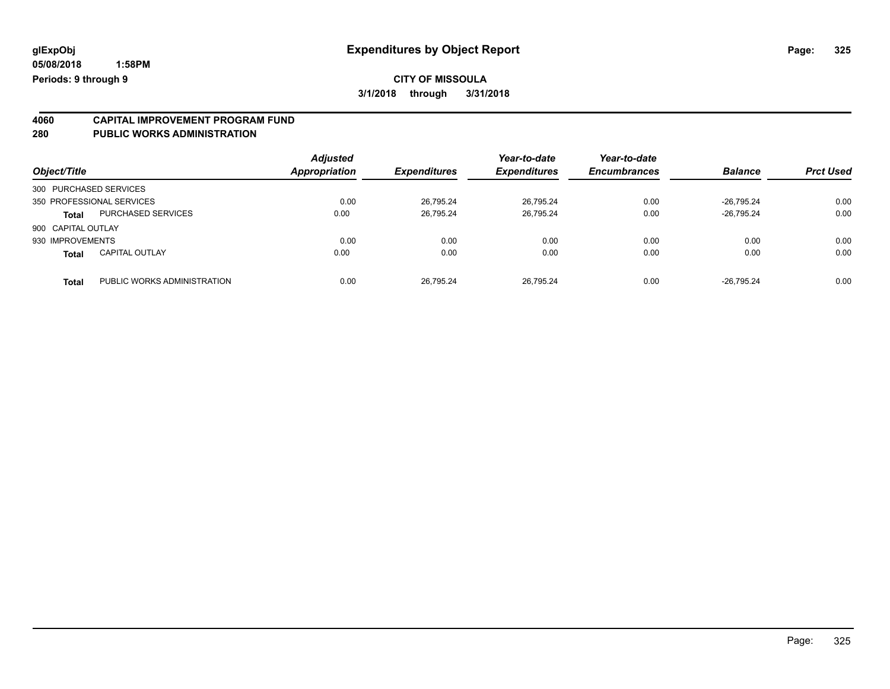## **4060 CAPITAL IMPROVEMENT PROGRAM FUND**

| Object/Title              |                             | <b>Adjusted</b><br><b>Appropriation</b> | <i><b>Expenditures</b></i> | Year-to-date<br><b>Expenditures</b> | Year-to-date<br><b>Encumbrances</b> | <b>Balance</b> | <b>Prct Used</b> |
|---------------------------|-----------------------------|-----------------------------------------|----------------------------|-------------------------------------|-------------------------------------|----------------|------------------|
| 300 PURCHASED SERVICES    |                             |                                         |                            |                                     |                                     |                |                  |
| 350 PROFESSIONAL SERVICES |                             | 0.00                                    | 26,795.24                  | 26.795.24                           | 0.00                                | -26.795.24     | 0.00             |
| <b>Total</b>              | <b>PURCHASED SERVICES</b>   | 0.00                                    | 26,795.24                  | 26,795.24                           | 0.00                                | $-26,795.24$   | 0.00             |
| 900 CAPITAL OUTLAY        |                             |                                         |                            |                                     |                                     |                |                  |
| 930 IMPROVEMENTS          |                             | 0.00                                    | 0.00                       | 0.00                                | 0.00                                | 0.00           | 0.00             |
| <b>Total</b>              | <b>CAPITAL OUTLAY</b>       | 0.00                                    | 0.00                       | 0.00                                | 0.00                                | 0.00           | 0.00             |
| <b>Total</b>              | PUBLIC WORKS ADMINISTRATION | 0.00                                    | 26.795.24                  | 26.795.24                           | 0.00                                | $-26.795.24$   | 0.00             |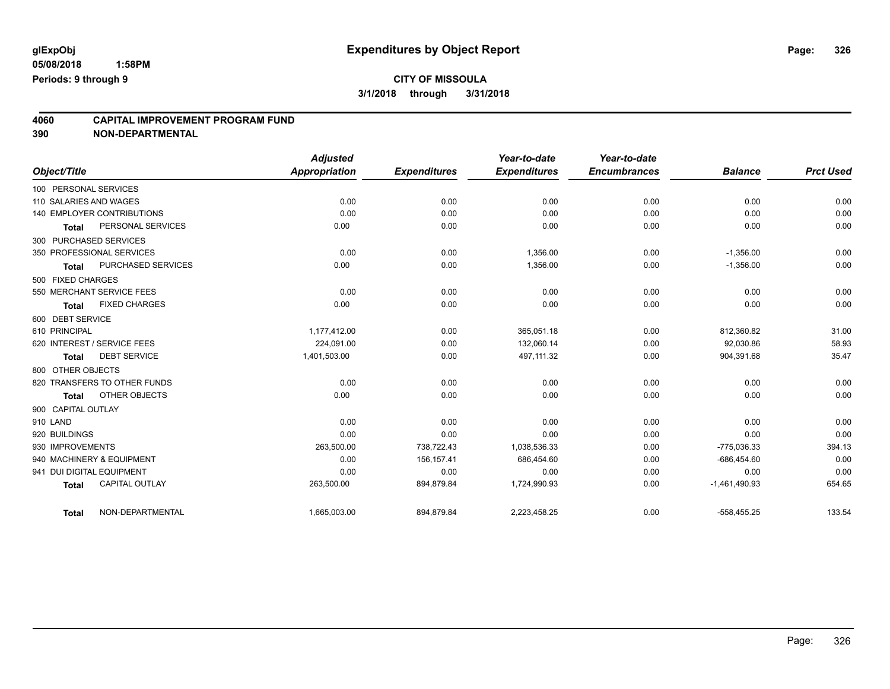### **CITY OF MISSOULA 3/1/2018 through 3/31/2018**

## **4060 CAPITAL IMPROVEMENT PROGRAM FUND**

**390 NON-DEPARTMENTAL**

|                             |                                   | <b>Adjusted</b> |                     | Year-to-date        | Year-to-date        |                 |                  |
|-----------------------------|-----------------------------------|-----------------|---------------------|---------------------|---------------------|-----------------|------------------|
| Object/Title                |                                   | Appropriation   | <b>Expenditures</b> | <b>Expenditures</b> | <b>Encumbrances</b> | <b>Balance</b>  | <b>Prct Used</b> |
| 100 PERSONAL SERVICES       |                                   |                 |                     |                     |                     |                 |                  |
| 110 SALARIES AND WAGES      |                                   | 0.00            | 0.00                | 0.00                | 0.00                | 0.00            | 0.00             |
|                             | <b>140 EMPLOYER CONTRIBUTIONS</b> | 0.00            | 0.00                | 0.00                | 0.00                | 0.00            | 0.00             |
| <b>Total</b>                | PERSONAL SERVICES                 | 0.00            | 0.00                | 0.00                | 0.00                | 0.00            | 0.00             |
| 300 PURCHASED SERVICES      |                                   |                 |                     |                     |                     |                 |                  |
| 350 PROFESSIONAL SERVICES   |                                   | 0.00            | 0.00                | 1.356.00            | 0.00                | $-1,356.00$     | 0.00             |
| <b>Total</b>                | PURCHASED SERVICES                | 0.00            | 0.00                | 1,356.00            | 0.00                | $-1,356.00$     | 0.00             |
| 500 FIXED CHARGES           |                                   |                 |                     |                     |                     |                 |                  |
| 550 MERCHANT SERVICE FEES   |                                   | 0.00            | 0.00                | 0.00                | 0.00                | 0.00            | 0.00             |
| <b>Total</b>                | <b>FIXED CHARGES</b>              | 0.00            | 0.00                | 0.00                | 0.00                | 0.00            | 0.00             |
| 600 DEBT SERVICE            |                                   |                 |                     |                     |                     |                 |                  |
| 610 PRINCIPAL               |                                   | 1,177,412.00    | 0.00                | 365,051.18          | 0.00                | 812,360.82      | 31.00            |
| 620 INTEREST / SERVICE FEES |                                   | 224,091.00      | 0.00                | 132,060.14          | 0.00                | 92,030.86       | 58.93            |
| <b>Total</b>                | <b>DEBT SERVICE</b>               | 1,401,503.00    | 0.00                | 497,111.32          | 0.00                | 904,391.68      | 35.47            |
| 800 OTHER OBJECTS           |                                   |                 |                     |                     |                     |                 |                  |
|                             | 820 TRANSFERS TO OTHER FUNDS      | 0.00            | 0.00                | 0.00                | 0.00                | 0.00            | 0.00             |
| <b>Total</b>                | <b>OTHER OBJECTS</b>              | 0.00            | 0.00                | 0.00                | 0.00                | 0.00            | 0.00             |
| 900 CAPITAL OUTLAY          |                                   |                 |                     |                     |                     |                 |                  |
| 910 LAND                    |                                   | 0.00            | 0.00                | 0.00                | 0.00                | 0.00            | 0.00             |
| 920 BUILDINGS               |                                   | 0.00            | 0.00                | 0.00                | 0.00                | 0.00            | 0.00             |
| 930 IMPROVEMENTS            |                                   | 263,500.00      | 738,722.43          | 1,038,536.33        | 0.00                | $-775,036.33$   | 394.13           |
| 940 MACHINERY & EQUIPMENT   |                                   | 0.00            | 156, 157.41         | 686,454.60          | 0.00                | $-686,454.60$   | 0.00             |
| 941 DUI DIGITAL EQUIPMENT   |                                   | 0.00            | 0.00                | 0.00                | 0.00                | 0.00            | 0.00             |
| <b>Total</b>                | <b>CAPITAL OUTLAY</b>             | 263,500.00      | 894,879.84          | 1,724,990.93        | 0.00                | $-1,461,490.93$ | 654.65           |
| <b>Total</b>                | NON-DEPARTMENTAL                  | 1,665,003.00    | 894,879.84          | 2,223,458.25        | 0.00                | $-558,455.25$   | 133.54           |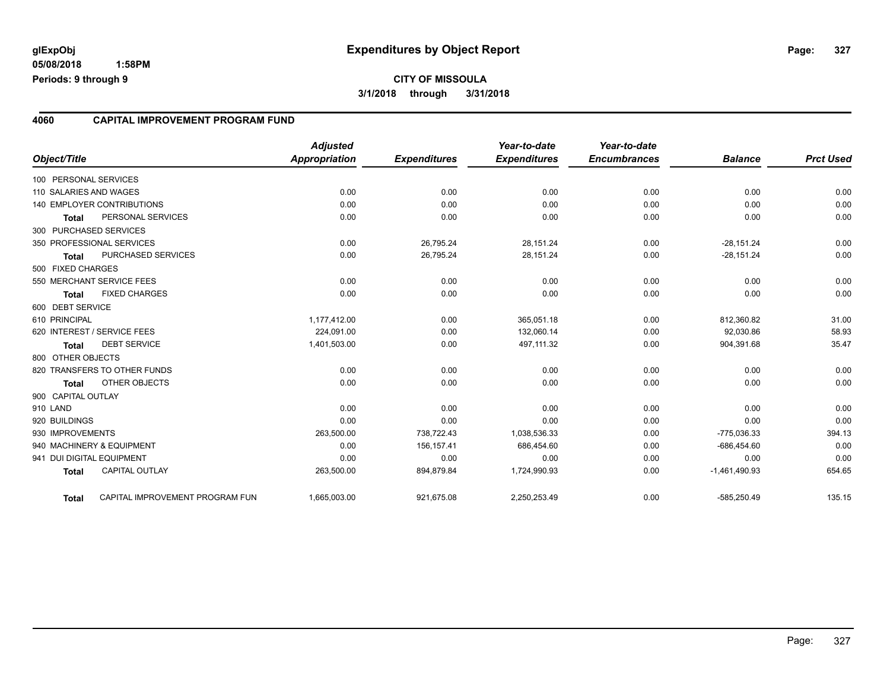#### **4060 CAPITAL IMPROVEMENT PROGRAM FUND**

|                        |                                 | <b>Adjusted</b> |                     | Year-to-date        | Year-to-date        |                 |                  |
|------------------------|---------------------------------|-----------------|---------------------|---------------------|---------------------|-----------------|------------------|
| Object/Title           |                                 | Appropriation   | <b>Expenditures</b> | <b>Expenditures</b> | <b>Encumbrances</b> | <b>Balance</b>  | <b>Prct Used</b> |
| 100 PERSONAL SERVICES  |                                 |                 |                     |                     |                     |                 |                  |
| 110 SALARIES AND WAGES |                                 | 0.00            | 0.00                | 0.00                | 0.00                | 0.00            | 0.00             |
|                        | 140 EMPLOYER CONTRIBUTIONS      | 0.00            | 0.00                | 0.00                | 0.00                | 0.00            | 0.00             |
| <b>Total</b>           | PERSONAL SERVICES               | 0.00            | 0.00                | 0.00                | 0.00                | 0.00            | 0.00             |
|                        | 300 PURCHASED SERVICES          |                 |                     |                     |                     |                 |                  |
|                        | 350 PROFESSIONAL SERVICES       | 0.00            | 26,795.24           | 28,151.24           | 0.00                | $-28,151.24$    | 0.00             |
| <b>Total</b>           | PURCHASED SERVICES              | 0.00            | 26,795.24           | 28,151.24           | 0.00                | $-28,151.24$    | 0.00             |
| 500 FIXED CHARGES      |                                 |                 |                     |                     |                     |                 |                  |
|                        | 550 MERCHANT SERVICE FEES       | 0.00            | 0.00                | 0.00                | 0.00                | 0.00            | 0.00             |
| <b>Total</b>           | <b>FIXED CHARGES</b>            | 0.00            | 0.00                | 0.00                | 0.00                | 0.00            | 0.00             |
| 600 DEBT SERVICE       |                                 |                 |                     |                     |                     |                 |                  |
| 610 PRINCIPAL          |                                 | 1,177,412.00    | 0.00                | 365,051.18          | 0.00                | 812,360.82      | 31.00            |
|                        | 620 INTEREST / SERVICE FEES     | 224,091.00      | 0.00                | 132,060.14          | 0.00                | 92,030.86       | 58.93            |
| <b>Total</b>           | <b>DEBT SERVICE</b>             | 1,401,503.00    | 0.00                | 497,111.32          | 0.00                | 904,391.68      | 35.47            |
| 800 OTHER OBJECTS      |                                 |                 |                     |                     |                     |                 |                  |
|                        | 820 TRANSFERS TO OTHER FUNDS    | 0.00            | 0.00                | 0.00                | 0.00                | 0.00            | 0.00             |
| <b>Total</b>           | <b>OTHER OBJECTS</b>            | 0.00            | 0.00                | 0.00                | 0.00                | 0.00            | 0.00             |
| 900 CAPITAL OUTLAY     |                                 |                 |                     |                     |                     |                 |                  |
| 910 LAND               |                                 | 0.00            | 0.00                | 0.00                | 0.00                | 0.00            | 0.00             |
| 920 BUILDINGS          |                                 | 0.00            | 0.00                | 0.00                | 0.00                | 0.00            | 0.00             |
| 930 IMPROVEMENTS       |                                 | 263,500.00      | 738,722.43          | 1,038,536.33        | 0.00                | $-775,036.33$   | 394.13           |
|                        | 940 MACHINERY & EQUIPMENT       | 0.00            | 156,157.41          | 686,454.60          | 0.00                | $-686,454.60$   | 0.00             |
|                        | 941 DUI DIGITAL EQUIPMENT       | 0.00            | 0.00                | 0.00                | 0.00                | 0.00            | 0.00             |
| <b>Total</b>           | <b>CAPITAL OUTLAY</b>           | 263,500.00      | 894,879.84          | 1,724,990.93        | 0.00                | $-1,461,490.93$ | 654.65           |
| <b>Total</b>           | CAPITAL IMPROVEMENT PROGRAM FUN | 1,665,003.00    | 921,675.08          | 2,250,253.49        | 0.00                | $-585,250.49$   | 135.15           |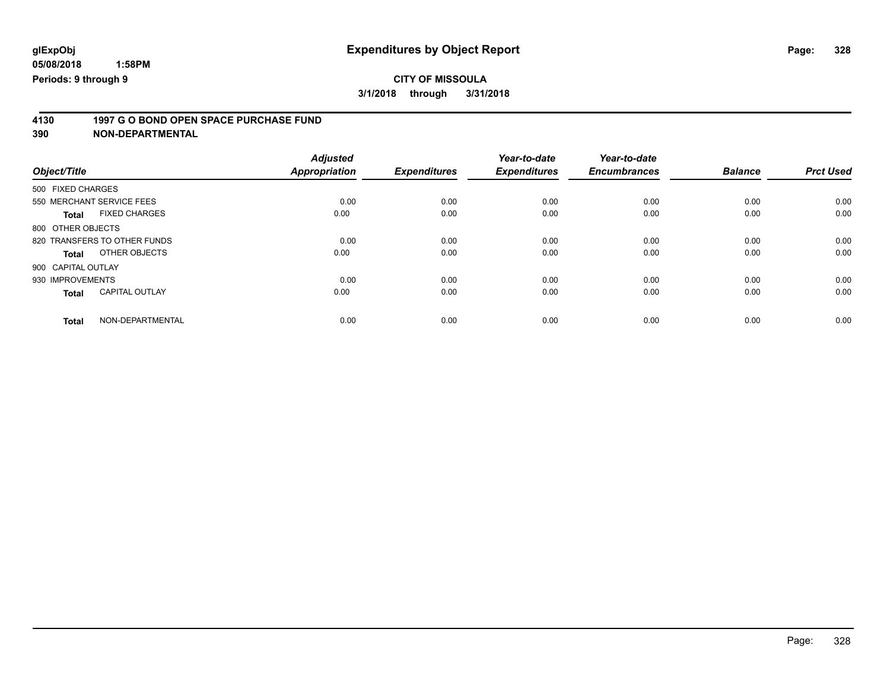### **CITY OF MISSOULA**

**3/1/2018 through 3/31/2018**

# **4130 1997 G O BOND OPEN SPACE PURCHASE FUND**

**390 NON-DEPARTMENTAL**

|                                       | <b>Adjusted</b>      |                     | Year-to-date        | Year-to-date        |                |                  |
|---------------------------------------|----------------------|---------------------|---------------------|---------------------|----------------|------------------|
| Object/Title                          | <b>Appropriation</b> | <b>Expenditures</b> | <b>Expenditures</b> | <b>Encumbrances</b> | <b>Balance</b> | <b>Prct Used</b> |
| 500 FIXED CHARGES                     |                      |                     |                     |                     |                |                  |
| 550 MERCHANT SERVICE FEES             | 0.00                 | 0.00                | 0.00                | 0.00                | 0.00           | 0.00             |
| <b>FIXED CHARGES</b><br><b>Total</b>  | 0.00                 | 0.00                | 0.00                | 0.00                | 0.00           | 0.00             |
| 800 OTHER OBJECTS                     |                      |                     |                     |                     |                |                  |
| 820 TRANSFERS TO OTHER FUNDS          | 0.00                 | 0.00                | 0.00                | 0.00                | 0.00           | 0.00             |
| OTHER OBJECTS<br>Total                | 0.00                 | 0.00                | 0.00                | 0.00                | 0.00           | 0.00             |
| 900 CAPITAL OUTLAY                    |                      |                     |                     |                     |                |                  |
| 930 IMPROVEMENTS                      | 0.00                 | 0.00                | 0.00                | 0.00                | 0.00           | 0.00             |
| <b>CAPITAL OUTLAY</b><br><b>Total</b> | 0.00                 | 0.00                | 0.00                | 0.00                | 0.00           | 0.00             |
| NON-DEPARTMENTAL<br><b>Total</b>      | 0.00                 | 0.00                | 0.00                | 0.00                | 0.00           | 0.00             |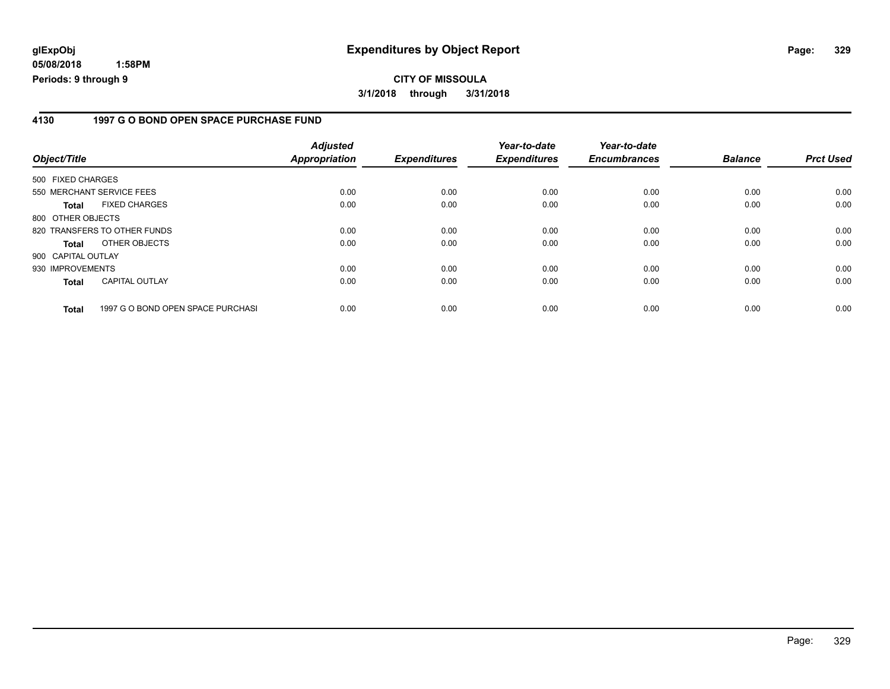#### **4130 1997 G O BOND OPEN SPACE PURCHASE FUND**

| Object/Title                 |                                   | <b>Adjusted</b><br>Appropriation | <b>Expenditures</b> | Year-to-date<br><b>Expenditures</b> | Year-to-date<br><b>Encumbrances</b> | <b>Balance</b> | <b>Prct Used</b> |
|------------------------------|-----------------------------------|----------------------------------|---------------------|-------------------------------------|-------------------------------------|----------------|------------------|
| 500 FIXED CHARGES            |                                   |                                  |                     |                                     |                                     |                |                  |
| 550 MERCHANT SERVICE FEES    |                                   | 0.00                             | 0.00                | 0.00                                | 0.00                                | 0.00           | 0.00             |
| Total                        | <b>FIXED CHARGES</b>              | 0.00                             | 0.00                | 0.00                                | 0.00                                | 0.00           | 0.00             |
| 800 OTHER OBJECTS            |                                   |                                  |                     |                                     |                                     |                |                  |
| 820 TRANSFERS TO OTHER FUNDS |                                   | 0.00                             | 0.00                | 0.00                                | 0.00                                | 0.00           | 0.00             |
| <b>Total</b>                 | OTHER OBJECTS                     | 0.00                             | 0.00                | 0.00                                | 0.00                                | 0.00           | 0.00             |
| 900 CAPITAL OUTLAY           |                                   |                                  |                     |                                     |                                     |                |                  |
| 930 IMPROVEMENTS             |                                   | 0.00                             | 0.00                | 0.00                                | 0.00                                | 0.00           | 0.00             |
| <b>Total</b>                 | <b>CAPITAL OUTLAY</b>             | 0.00                             | 0.00                | 0.00                                | 0.00                                | 0.00           | 0.00             |
| <b>Total</b>                 | 1997 G O BOND OPEN SPACE PURCHASI | 0.00                             | 0.00                | 0.00                                | 0.00                                | 0.00           | 0.00             |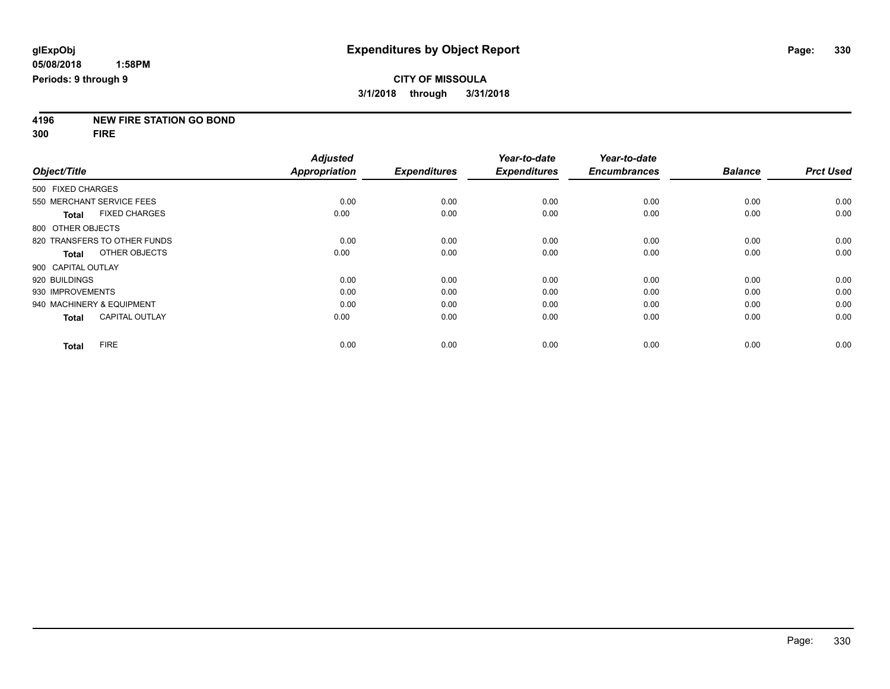### **CITY OF MISSOULA 3/1/2018 through 3/31/2018**

# **4196 NEW FIRE STATION GO BOND**

**300 FIRE**

|                                | <b>Adjusted</b>      |                     | Year-to-date        | Year-to-date        |                |                  |
|--------------------------------|----------------------|---------------------|---------------------|---------------------|----------------|------------------|
| Object/Title                   | <b>Appropriation</b> | <b>Expenditures</b> | <b>Expenditures</b> | <b>Encumbrances</b> | <b>Balance</b> | <b>Prct Used</b> |
| 500 FIXED CHARGES              |                      |                     |                     |                     |                |                  |
| 550 MERCHANT SERVICE FEES      | 0.00                 | 0.00                | 0.00                | 0.00                | 0.00           | 0.00             |
| <b>FIXED CHARGES</b><br>Total  | 0.00                 | 0.00                | 0.00                | 0.00                | 0.00           | 0.00             |
| 800 OTHER OBJECTS              |                      |                     |                     |                     |                |                  |
| 820 TRANSFERS TO OTHER FUNDS   | 0.00                 | 0.00                | 0.00                | 0.00                | 0.00           | 0.00             |
| OTHER OBJECTS<br>Total         | 0.00                 | 0.00                | 0.00                | 0.00                | 0.00           | 0.00             |
| 900 CAPITAL OUTLAY             |                      |                     |                     |                     |                |                  |
| 920 BUILDINGS                  | 0.00                 | 0.00                | 0.00                | 0.00                | 0.00           | 0.00             |
| 930 IMPROVEMENTS               | 0.00                 | 0.00                | 0.00                | 0.00                | 0.00           | 0.00             |
| 940 MACHINERY & EQUIPMENT      | 0.00                 | 0.00                | 0.00                | 0.00                | 0.00           | 0.00             |
| CAPITAL OUTLAY<br><b>Total</b> | 0.00                 | 0.00                | 0.00                | 0.00                | 0.00           | 0.00             |
| <b>FIRE</b><br>Total           | 0.00                 | 0.00                | 0.00                | 0.00                | 0.00           | 0.00             |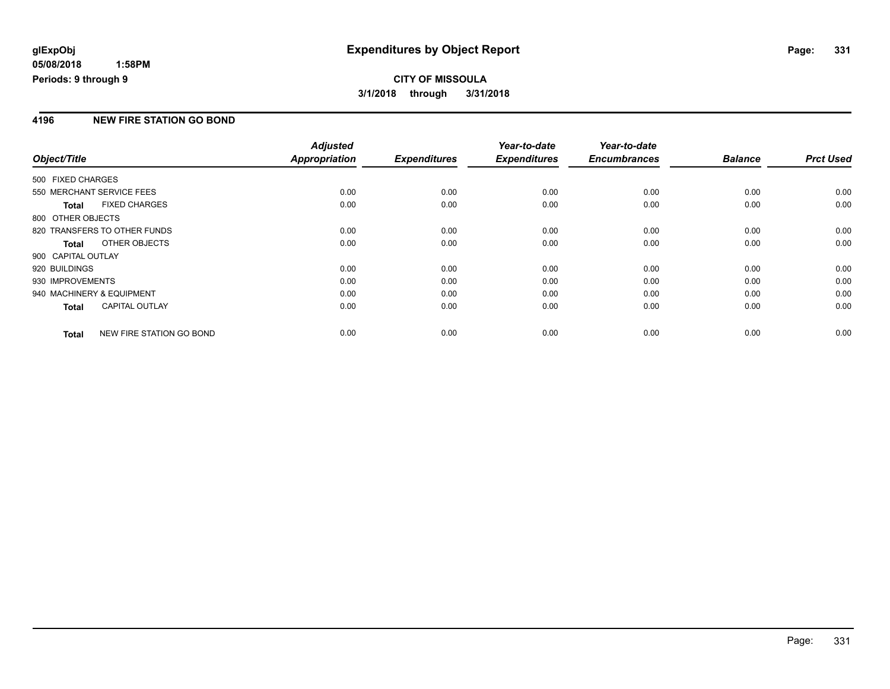### **CITY OF MISSOULA 3/1/2018 through 3/31/2018**

### **4196 NEW FIRE STATION GO BOND**

|                           |                              | <b>Adjusted</b>      |                     | Year-to-date        | Year-to-date        |                |                  |
|---------------------------|------------------------------|----------------------|---------------------|---------------------|---------------------|----------------|------------------|
| Object/Title              |                              | <b>Appropriation</b> | <b>Expenditures</b> | <b>Expenditures</b> | <b>Encumbrances</b> | <b>Balance</b> | <b>Prct Used</b> |
| 500 FIXED CHARGES         |                              |                      |                     |                     |                     |                |                  |
| 550 MERCHANT SERVICE FEES |                              | 0.00                 | 0.00                | 0.00                | 0.00                | 0.00           | 0.00             |
| <b>Total</b>              | <b>FIXED CHARGES</b>         | 0.00                 | 0.00                | 0.00                | 0.00                | 0.00           | 0.00             |
| 800 OTHER OBJECTS         |                              |                      |                     |                     |                     |                |                  |
|                           | 820 TRANSFERS TO OTHER FUNDS | 0.00                 | 0.00                | 0.00                | 0.00                | 0.00           | 0.00             |
| <b>Total</b>              | OTHER OBJECTS                | 0.00                 | 0.00                | 0.00                | 0.00                | 0.00           | 0.00             |
| 900 CAPITAL OUTLAY        |                              |                      |                     |                     |                     |                |                  |
| 920 BUILDINGS             |                              | 0.00                 | 0.00                | 0.00                | 0.00                | 0.00           | 0.00             |
| 930 IMPROVEMENTS          |                              | 0.00                 | 0.00                | 0.00                | 0.00                | 0.00           | 0.00             |
| 940 MACHINERY & EQUIPMENT |                              | 0.00                 | 0.00                | 0.00                | 0.00                | 0.00           | 0.00             |
| <b>Total</b>              | <b>CAPITAL OUTLAY</b>        | 0.00                 | 0.00                | 0.00                | 0.00                | 0.00           | 0.00             |
| <b>Total</b>              | NEW FIRE STATION GO BOND     | 0.00                 | 0.00                | 0.00                | 0.00                | 0.00           | 0.00             |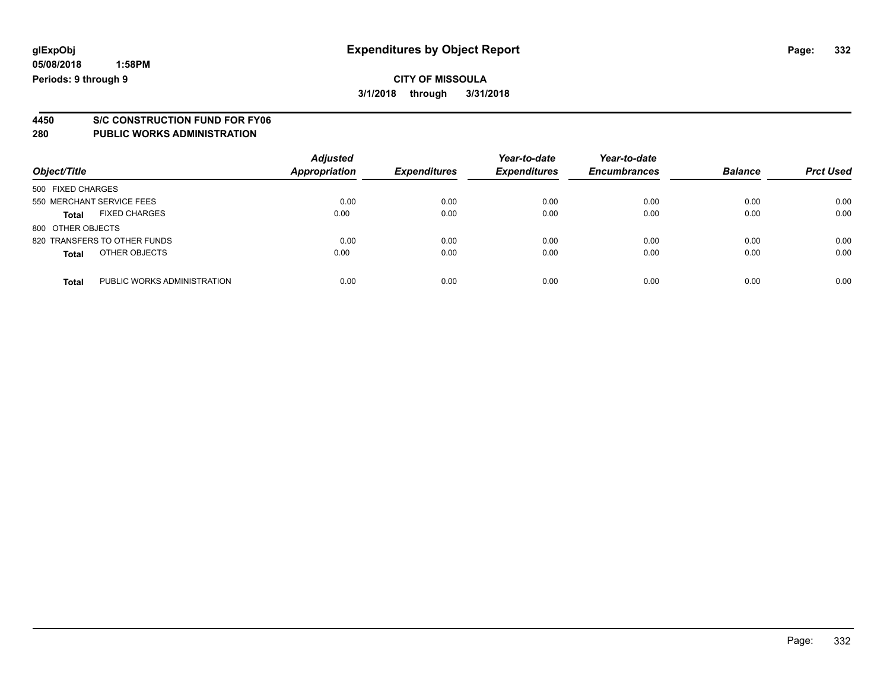# **4450 S/C CONSTRUCTION FUND FOR FY06**

| Object/Title                                | <b>Adjusted</b><br><b>Appropriation</b> | <b>Expenditures</b> | Year-to-date<br><b>Expenditures</b> | Year-to-date<br><b>Encumbrances</b> | <b>Balance</b> | <b>Prct Used</b> |
|---------------------------------------------|-----------------------------------------|---------------------|-------------------------------------|-------------------------------------|----------------|------------------|
| 500 FIXED CHARGES                           |                                         |                     |                                     |                                     |                |                  |
| 550 MERCHANT SERVICE FEES                   | 0.00                                    | 0.00                | 0.00                                | 0.00                                | 0.00           | 0.00             |
| <b>FIXED CHARGES</b><br><b>Total</b>        | 0.00                                    | 0.00                | 0.00                                | 0.00                                | 0.00           | 0.00             |
| 800 OTHER OBJECTS                           |                                         |                     |                                     |                                     |                |                  |
| 820 TRANSFERS TO OTHER FUNDS                | 0.00                                    | 0.00                | 0.00                                | 0.00                                | 0.00           | 0.00             |
| OTHER OBJECTS<br><b>Total</b>               | 0.00                                    | 0.00                | 0.00                                | 0.00                                | 0.00           | 0.00             |
| PUBLIC WORKS ADMINISTRATION<br><b>Total</b> | 0.00                                    | 0.00                | 0.00                                | 0.00                                | 0.00           | 0.00             |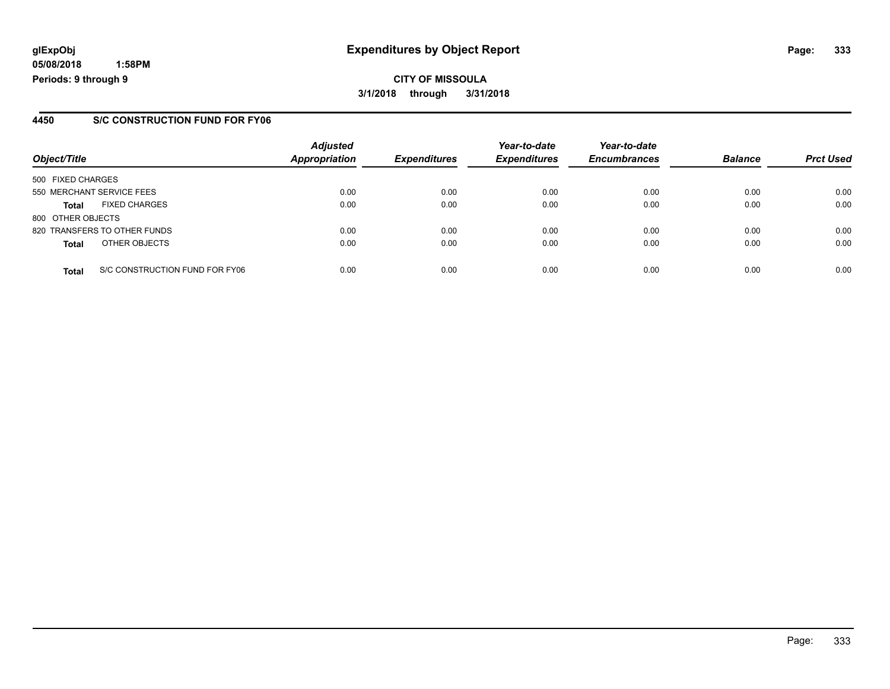**CITY OF MISSOULA 3/1/2018 through 3/31/2018**

#### **4450 S/C CONSTRUCTION FUND FOR FY06**

| Object/Title      |                                | <b>Adjusted</b><br>Appropriation | <b>Expenditures</b> | Year-to-date<br><b>Expenditures</b> | Year-to-date<br><b>Encumbrances</b> | <b>Balance</b> | <b>Prct Used</b> |
|-------------------|--------------------------------|----------------------------------|---------------------|-------------------------------------|-------------------------------------|----------------|------------------|
|                   |                                |                                  |                     |                                     |                                     |                |                  |
|                   | 550 MERCHANT SERVICE FEES      | 0.00                             | 0.00                | 0.00                                | 0.00                                | 0.00           | 0.00             |
| <b>Total</b>      | <b>FIXED CHARGES</b>           | 0.00                             | 0.00                | 0.00                                | 0.00                                | 0.00           | 0.00             |
| 800 OTHER OBJECTS |                                |                                  |                     |                                     |                                     |                |                  |
|                   | 820 TRANSFERS TO OTHER FUNDS   | 0.00                             | 0.00                | 0.00                                | 0.00                                | 0.00           | 0.00             |
| <b>Total</b>      | OTHER OBJECTS                  | 0.00                             | 0.00                | 0.00                                | 0.00                                | 0.00           | 0.00             |
| <b>Total</b>      | S/C CONSTRUCTION FUND FOR FY06 | 0.00                             | 0.00                | 0.00                                | 0.00                                | 0.00           | 0.00             |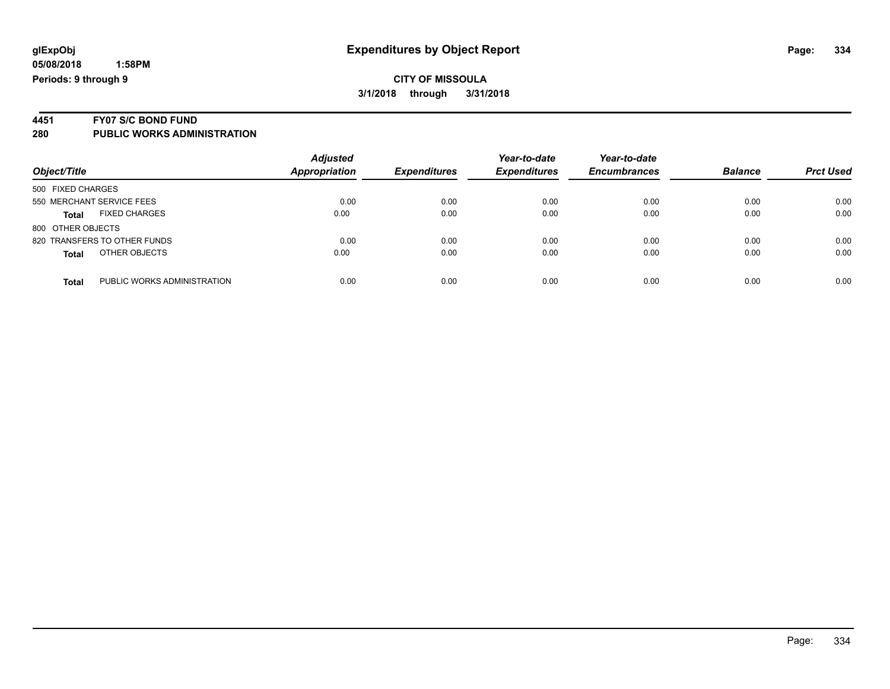### **CITY OF MISSOULA 3/1/2018 through 3/31/2018**

# **4451 FY07 S/C BOND FUND**

| Object/Title                                | <b>Adjusted</b><br><b>Appropriation</b> | <b>Expenditures</b> | Year-to-date<br><b>Expenditures</b> | Year-to-date<br><b>Encumbrances</b> | <b>Balance</b> | <b>Prct Used</b> |
|---------------------------------------------|-----------------------------------------|---------------------|-------------------------------------|-------------------------------------|----------------|------------------|
| 500 FIXED CHARGES                           |                                         |                     |                                     |                                     |                |                  |
| 550 MERCHANT SERVICE FEES                   | 0.00                                    | 0.00                | 0.00                                | 0.00                                | 0.00           | 0.00             |
| <b>FIXED CHARGES</b><br><b>Total</b>        | 0.00                                    | 0.00                | 0.00                                | 0.00                                | 0.00           | 0.00             |
| 800 OTHER OBJECTS                           |                                         |                     |                                     |                                     |                |                  |
| 820 TRANSFERS TO OTHER FUNDS                | 0.00                                    | 0.00                | 0.00                                | 0.00                                | 0.00           | 0.00             |
| OTHER OBJECTS<br><b>Total</b>               | 0.00                                    | 0.00                | 0.00                                | 0.00                                | 0.00           | 0.00             |
| PUBLIC WORKS ADMINISTRATION<br><b>Total</b> | 0.00                                    | 0.00                | 0.00                                | 0.00                                | 0.00           | 0.00             |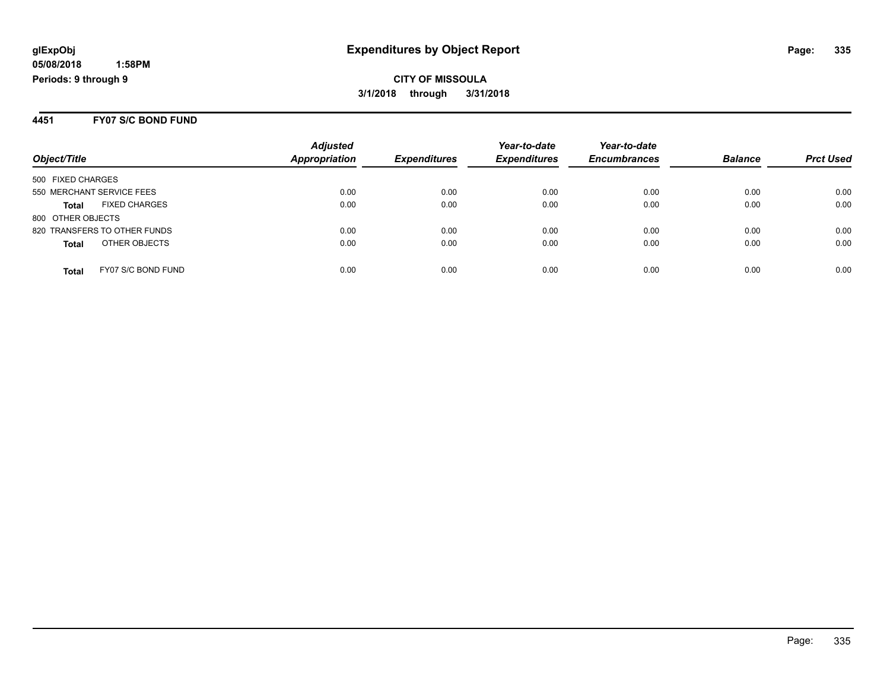**CITY OF MISSOULA 3/1/2018 through 3/31/2018**

#### **4451 FY07 S/C BOND FUND**

|                                      | <b>Adjusted</b>      |                     | Year-to-date        | Year-to-date        |                |                  |
|--------------------------------------|----------------------|---------------------|---------------------|---------------------|----------------|------------------|
| Object/Title                         | <b>Appropriation</b> | <b>Expenditures</b> | <b>Expenditures</b> | <b>Encumbrances</b> | <b>Balance</b> | <b>Prct Used</b> |
| 500 FIXED CHARGES                    |                      |                     |                     |                     |                |                  |
| 550 MERCHANT SERVICE FEES            | 0.00                 | 0.00                | 0.00                | 0.00                | 0.00           | 0.00             |
| <b>FIXED CHARGES</b><br><b>Total</b> | 0.00                 | 0.00                | 0.00                | 0.00                | 0.00           | 0.00             |
| 800 OTHER OBJECTS                    |                      |                     |                     |                     |                |                  |
| 820 TRANSFERS TO OTHER FUNDS         | 0.00                 | 0.00                | 0.00                | 0.00                | 0.00           | 0.00             |
| OTHER OBJECTS<br><b>Total</b>        | 0.00                 | 0.00                | 0.00                | 0.00                | 0.00           | 0.00             |
| FY07 S/C BOND FUND<br><b>Total</b>   | 0.00                 | 0.00                | 0.00                | 0.00                | 0.00           | 0.00             |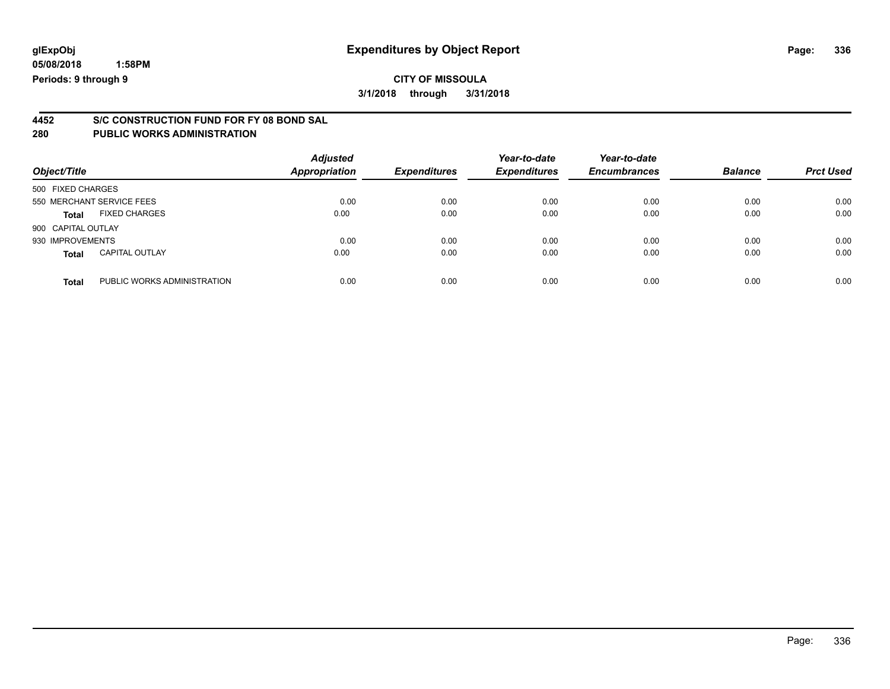**3/1/2018 through 3/31/2018**

# **4452 S/C CONSTRUCTION FUND FOR FY 08 BOND SAL**

| Object/Title       |                             | <b>Adjusted</b><br><b>Appropriation</b> | <b>Expenditures</b> | Year-to-date<br><b>Expenditures</b> | Year-to-date<br><b>Encumbrances</b> | <b>Balance</b> | <b>Prct Used</b> |
|--------------------|-----------------------------|-----------------------------------------|---------------------|-------------------------------------|-------------------------------------|----------------|------------------|
| 500 FIXED CHARGES  |                             |                                         |                     |                                     |                                     |                |                  |
|                    | 550 MERCHANT SERVICE FEES   | 0.00                                    | 0.00                | 0.00                                | 0.00                                | 0.00           | 0.00             |
| <b>Total</b>       | <b>FIXED CHARGES</b>        | 0.00                                    | 0.00                | 0.00                                | 0.00                                | 0.00           | 0.00             |
| 900 CAPITAL OUTLAY |                             |                                         |                     |                                     |                                     |                |                  |
| 930 IMPROVEMENTS   |                             | 0.00                                    | 0.00                | 0.00                                | 0.00                                | 0.00           | 0.00             |
| <b>Total</b>       | <b>CAPITAL OUTLAY</b>       | 0.00                                    | 0.00                | 0.00                                | 0.00                                | 0.00           | 0.00             |
| <b>Total</b>       | PUBLIC WORKS ADMINISTRATION | 0.00                                    | 0.00                | 0.00                                | 0.00                                | 0.00           | 0.00             |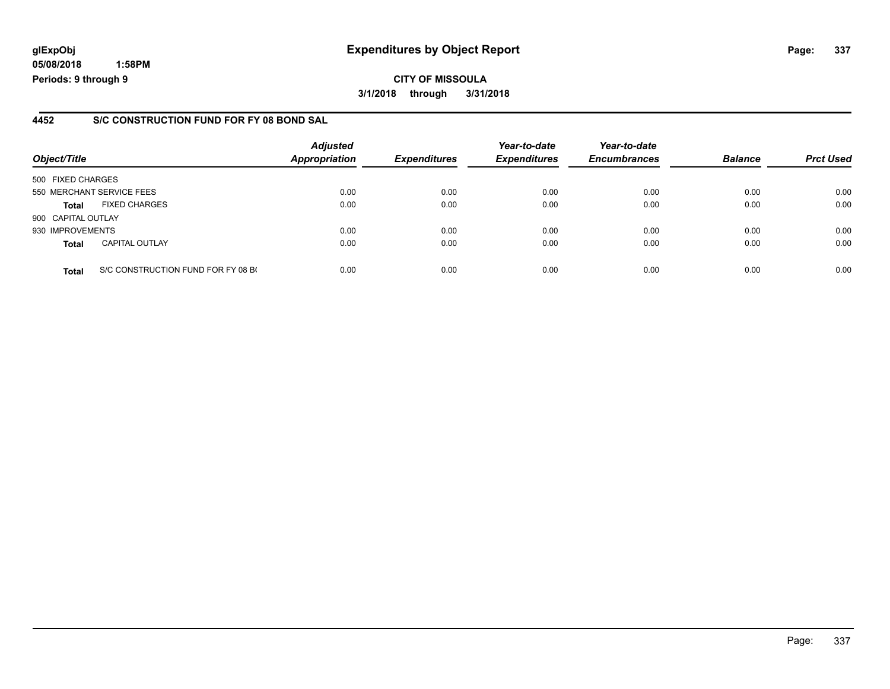### **glExpObj Expenditures by Object Report Page: 337**

**05/08/2018 1:58PM Periods: 9 through 9**

#### **4452 S/C CONSTRUCTION FUND FOR FY 08 BOND SAL**

| Object/Title       |                                    | <b>Adjusted</b><br><b>Appropriation</b> | <b>Expenditures</b> | Year-to-date<br><b>Expenditures</b> | Year-to-date<br><b>Encumbrances</b> | <b>Balance</b> | <b>Prct Used</b> |
|--------------------|------------------------------------|-----------------------------------------|---------------------|-------------------------------------|-------------------------------------|----------------|------------------|
| 500 FIXED CHARGES  |                                    |                                         |                     |                                     |                                     |                |                  |
|                    | 550 MERCHANT SERVICE FEES          | 0.00                                    | 0.00                | 0.00                                | 0.00                                | 0.00           | 0.00             |
| <b>Total</b>       | <b>FIXED CHARGES</b>               | 0.00                                    | 0.00                | 0.00                                | 0.00                                | 0.00           | 0.00             |
| 900 CAPITAL OUTLAY |                                    |                                         |                     |                                     |                                     |                |                  |
| 930 IMPROVEMENTS   |                                    | 0.00                                    | 0.00                | 0.00                                | 0.00                                | 0.00           | 0.00             |
| <b>Total</b>       | <b>CAPITAL OUTLAY</b>              | 0.00                                    | 0.00                | 0.00                                | 0.00                                | 0.00           | 0.00             |
| <b>Total</b>       | S/C CONSTRUCTION FUND FOR FY 08 BO | 0.00                                    | 0.00                | 0.00                                | 0.00                                | 0.00           | 0.00             |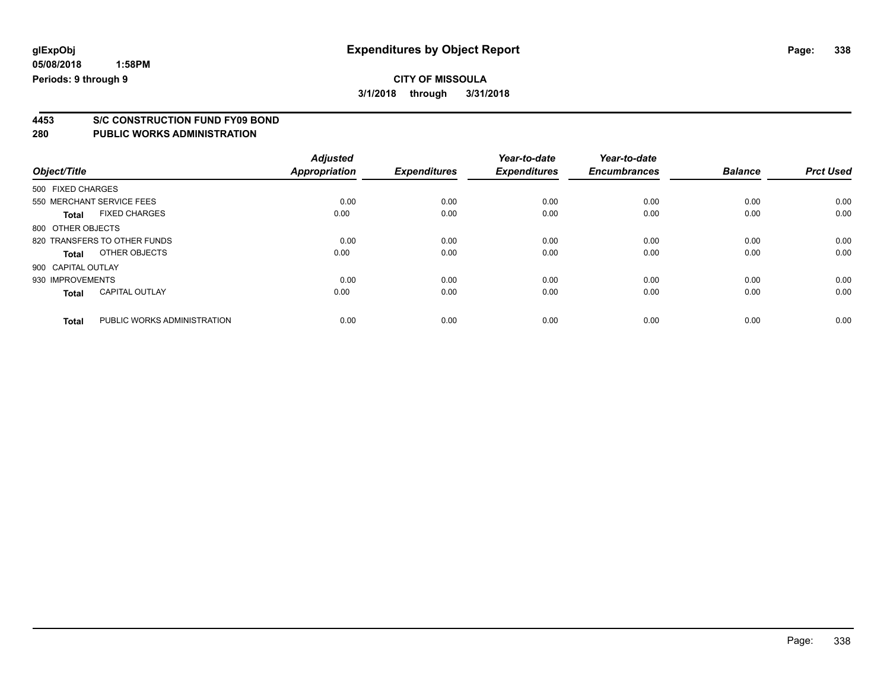# **4453 S/C CONSTRUCTION FUND FY09 BOND**

#### **280 PUBLIC WORKS ADMINISTRATION**

| Object/Title       |                              | <b>Adjusted</b><br><b>Appropriation</b> | <b>Expenditures</b> | Year-to-date<br><b>Expenditures</b> | Year-to-date<br><b>Encumbrances</b> | <b>Balance</b> | <b>Prct Used</b> |
|--------------------|------------------------------|-----------------------------------------|---------------------|-------------------------------------|-------------------------------------|----------------|------------------|
| 500 FIXED CHARGES  |                              |                                         |                     |                                     |                                     |                |                  |
|                    | 550 MERCHANT SERVICE FEES    | 0.00                                    | 0.00                | 0.00                                | 0.00                                | 0.00           | 0.00             |
| <b>Total</b>       | <b>FIXED CHARGES</b>         | 0.00                                    | 0.00                | 0.00                                | 0.00                                | 0.00           | 0.00             |
| 800 OTHER OBJECTS  |                              |                                         |                     |                                     |                                     |                |                  |
|                    | 820 TRANSFERS TO OTHER FUNDS | 0.00                                    | 0.00                | 0.00                                | 0.00                                | 0.00           | 0.00             |
| Total              | OTHER OBJECTS                | 0.00                                    | 0.00                | 0.00                                | 0.00                                | 0.00           | 0.00             |
| 900 CAPITAL OUTLAY |                              |                                         |                     |                                     |                                     |                |                  |
| 930 IMPROVEMENTS   |                              | 0.00                                    | 0.00                | 0.00                                | 0.00                                | 0.00           | 0.00             |
| <b>Total</b>       | <b>CAPITAL OUTLAY</b>        | 0.00                                    | 0.00                | 0.00                                | 0.00                                | 0.00           | 0.00             |
| <b>Total</b>       | PUBLIC WORKS ADMINISTRATION  | 0.00                                    | 0.00                | 0.00                                | 0.00                                | 0.00           | 0.00             |

Page: 338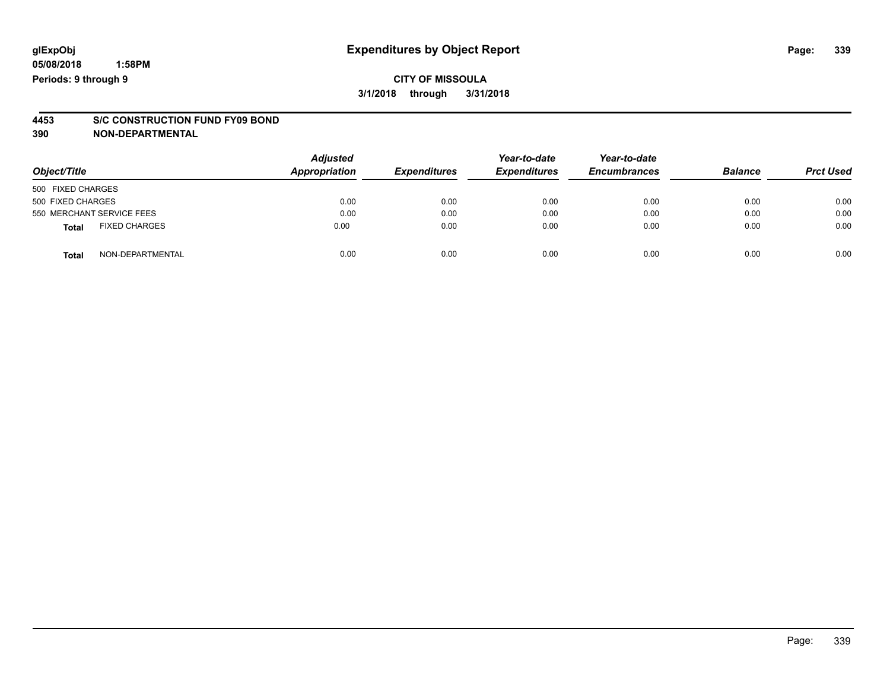### **CITY OF MISSOULA 3/1/2018 through 3/31/2018**

# **4453 S/C CONSTRUCTION FUND FY09 BOND**

**390 NON-DEPARTMENTAL**

| Object/Title                         | <b>Adjusted</b><br>Appropriation | <b>Expenditures</b> | Year-to-date<br><b>Expenditures</b> | Year-to-date<br><b>Encumbrances</b> | <b>Balance</b> | <b>Prct Used</b> |
|--------------------------------------|----------------------------------|---------------------|-------------------------------------|-------------------------------------|----------------|------------------|
| 500 FIXED CHARGES                    |                                  |                     |                                     |                                     |                |                  |
| 500 FIXED CHARGES                    | 0.00                             | 0.00                | 0.00                                | 0.00                                | 0.00           | 0.00             |
| 550 MERCHANT SERVICE FEES            | 0.00                             | 0.00                | 0.00                                | 0.00                                | 0.00           | 0.00             |
| <b>FIXED CHARGES</b><br><b>Total</b> | 0.00                             | 0.00                | 0.00                                | 0.00                                | 0.00           | 0.00             |
| NON-DEPARTMENTAL<br><b>Total</b>     | 0.00                             | 0.00                | 0.00                                | 0.00                                | 0.00           | 0.00             |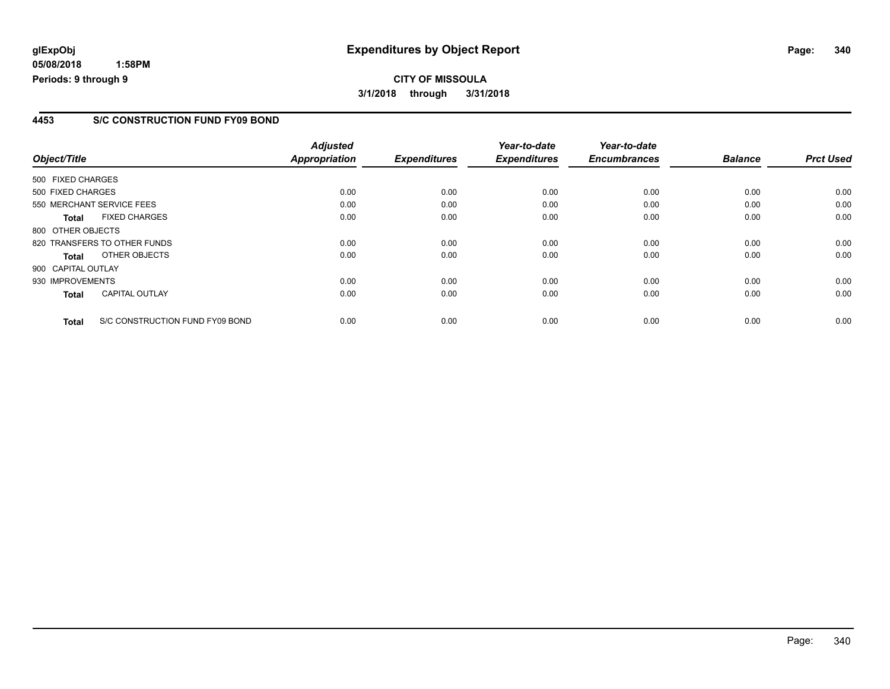### **4453 S/C CONSTRUCTION FUND FY09 BOND**

|                    |                                 | <b>Adjusted</b>      |                     | Year-to-date        | Year-to-date        |                |                  |
|--------------------|---------------------------------|----------------------|---------------------|---------------------|---------------------|----------------|------------------|
| Object/Title       |                                 | <b>Appropriation</b> | <b>Expenditures</b> | <b>Expenditures</b> | <b>Encumbrances</b> | <b>Balance</b> | <b>Prct Used</b> |
| 500 FIXED CHARGES  |                                 |                      |                     |                     |                     |                |                  |
| 500 FIXED CHARGES  |                                 | 0.00                 | 0.00                | 0.00                | 0.00                | 0.00           | 0.00             |
|                    | 550 MERCHANT SERVICE FEES       | 0.00                 | 0.00                | 0.00                | 0.00                | 0.00           | 0.00             |
| <b>Total</b>       | <b>FIXED CHARGES</b>            | 0.00                 | 0.00                | 0.00                | 0.00                | 0.00           | 0.00             |
| 800 OTHER OBJECTS  |                                 |                      |                     |                     |                     |                |                  |
|                    | 820 TRANSFERS TO OTHER FUNDS    | 0.00                 | 0.00                | 0.00                | 0.00                | 0.00           | 0.00             |
| Total              | OTHER OBJECTS                   | 0.00                 | 0.00                | 0.00                | 0.00                | 0.00           | 0.00             |
| 900 CAPITAL OUTLAY |                                 |                      |                     |                     |                     |                |                  |
| 930 IMPROVEMENTS   |                                 | 0.00                 | 0.00                | 0.00                | 0.00                | 0.00           | 0.00             |
| <b>Total</b>       | <b>CAPITAL OUTLAY</b>           | 0.00                 | 0.00                | 0.00                | 0.00                | 0.00           | 0.00             |
| <b>Total</b>       | S/C CONSTRUCTION FUND FY09 BOND | 0.00                 | 0.00                | 0.00                | 0.00                | 0.00           | 0.00             |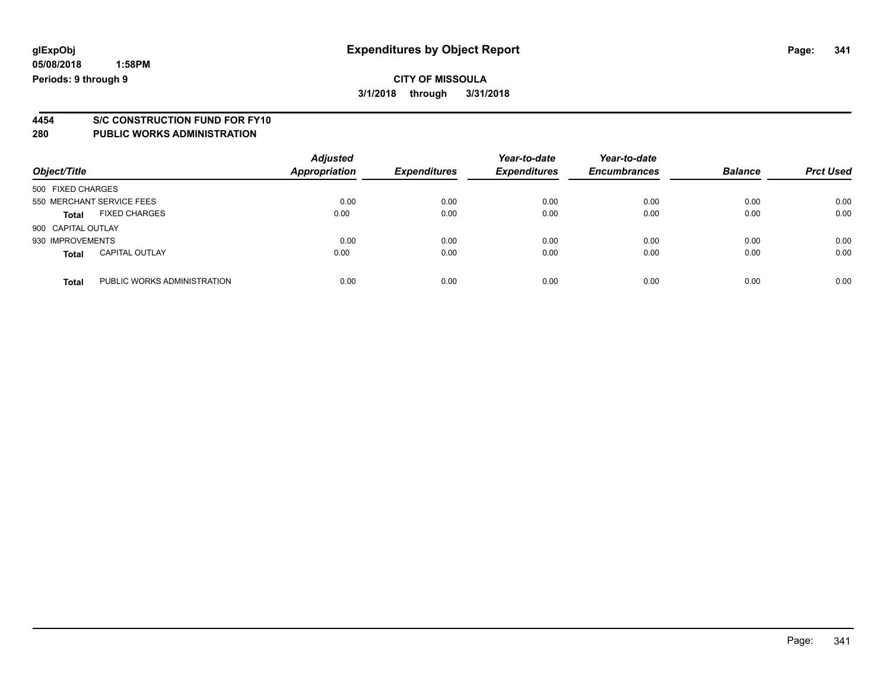### **CITY OF MISSOULA 3/1/2018 through 3/31/2018**

# **4454 S/C CONSTRUCTION FUND FOR FY10**

| Object/Title                                | <b>Adjusted</b><br><b>Appropriation</b> | <b>Expenditures</b> | Year-to-date<br><b>Expenditures</b> | Year-to-date<br><b>Encumbrances</b> | <b>Balance</b> | <b>Prct Used</b> |
|---------------------------------------------|-----------------------------------------|---------------------|-------------------------------------|-------------------------------------|----------------|------------------|
| 500 FIXED CHARGES                           |                                         |                     |                                     |                                     |                |                  |
| 550 MERCHANT SERVICE FEES                   | 0.00                                    | 0.00                | 0.00                                | 0.00                                | 0.00           | 0.00             |
| <b>FIXED CHARGES</b><br><b>Total</b>        | 0.00                                    | 0.00                | 0.00                                | 0.00                                | 0.00           | 0.00             |
| 900 CAPITAL OUTLAY                          |                                         |                     |                                     |                                     |                |                  |
| 930 IMPROVEMENTS                            | 0.00                                    | 0.00                | 0.00                                | 0.00                                | 0.00           | 0.00             |
| <b>CAPITAL OUTLAY</b><br><b>Total</b>       | 0.00                                    | 0.00                | 0.00                                | 0.00                                | 0.00           | 0.00             |
| PUBLIC WORKS ADMINISTRATION<br><b>Total</b> | 0.00                                    | 0.00                | 0.00                                | 0.00                                | 0.00           | 0.00             |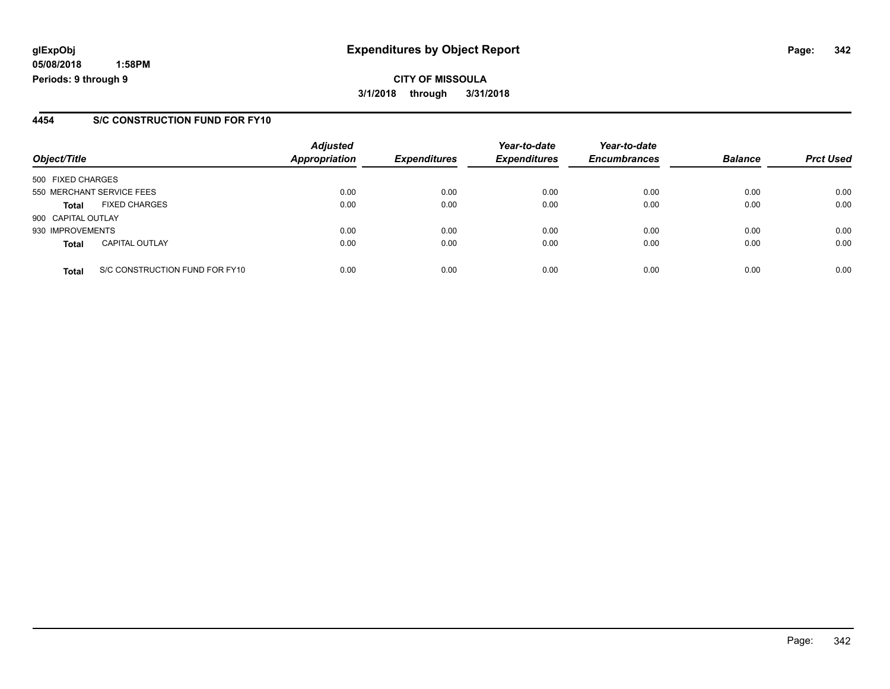**CITY OF MISSOULA 3/1/2018 through 3/31/2018**

#### **4454 S/C CONSTRUCTION FUND FOR FY10**

|                           | <b>Adjusted</b>                                     |                      | Year-to-date                | Year-to-date<br><b>Encumbrances</b> | <b>Balance</b> | <b>Prct Used</b> |
|---------------------------|-----------------------------------------------------|----------------------|-----------------------------|-------------------------------------|----------------|------------------|
|                           |                                                     |                      |                             |                                     |                |                  |
|                           |                                                     |                      |                             |                                     |                |                  |
| 550 MERCHANT SERVICE FEES | 0.00                                                | 0.00                 | 0.00                        | 0.00                                | 0.00           | 0.00             |
| <b>FIXED CHARGES</b>      | 0.00                                                | 0.00                 | 0.00                        | 0.00                                | 0.00           | 0.00             |
| 900 CAPITAL OUTLAY        |                                                     |                      |                             |                                     |                |                  |
| 930 IMPROVEMENTS          | 0.00                                                | 0.00                 | 0.00                        | 0.00                                | 0.00           | 0.00             |
| <b>CAPITAL OUTLAY</b>     | 0.00                                                | 0.00                 | 0.00                        | 0.00                                | 0.00           | 0.00             |
|                           | 0.00                                                |                      | 0.00                        | 0.00                                | 0.00           | 0.00             |
|                           | 500 FIXED CHARGES<br>S/C CONSTRUCTION FUND FOR FY10 | <b>Appropriation</b> | <b>Expenditures</b><br>0.00 | <b>Expenditures</b>                 |                |                  |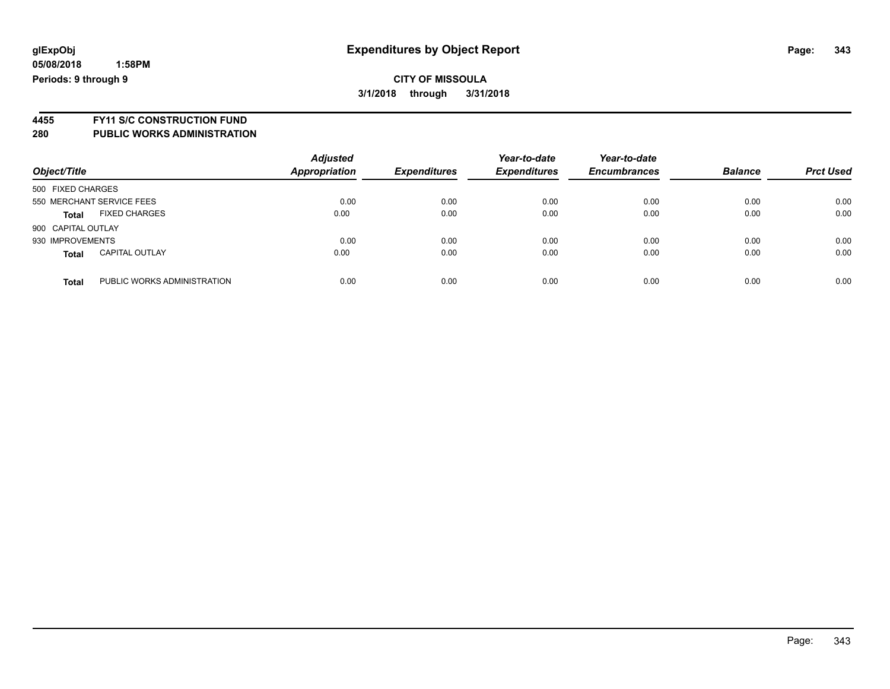### **CITY OF MISSOULA 3/1/2018 through 3/31/2018**

# **4455 FY11 S/C CONSTRUCTION FUND**

| Object/Title                                | <b>Adjusted</b><br><b>Appropriation</b> | <b>Expenditures</b> | Year-to-date<br><b>Expenditures</b> | Year-to-date<br><b>Encumbrances</b> | <b>Balance</b> | <b>Prct Used</b> |
|---------------------------------------------|-----------------------------------------|---------------------|-------------------------------------|-------------------------------------|----------------|------------------|
| 500 FIXED CHARGES                           |                                         |                     |                                     |                                     |                |                  |
| 550 MERCHANT SERVICE FEES                   | 0.00                                    | 0.00                | 0.00                                | 0.00                                | 0.00           | 0.00             |
| <b>FIXED CHARGES</b><br><b>Total</b>        | 0.00                                    | 0.00                | 0.00                                | 0.00                                | 0.00           | 0.00             |
| 900 CAPITAL OUTLAY                          |                                         |                     |                                     |                                     |                |                  |
| 930 IMPROVEMENTS                            | 0.00                                    | 0.00                | 0.00                                | 0.00                                | 0.00           | 0.00             |
| <b>CAPITAL OUTLAY</b><br><b>Total</b>       | 0.00                                    | 0.00                | 0.00                                | 0.00                                | 0.00           | 0.00             |
| PUBLIC WORKS ADMINISTRATION<br><b>Total</b> | 0.00                                    | 0.00                | 0.00                                | 0.00                                | 0.00           | 0.00             |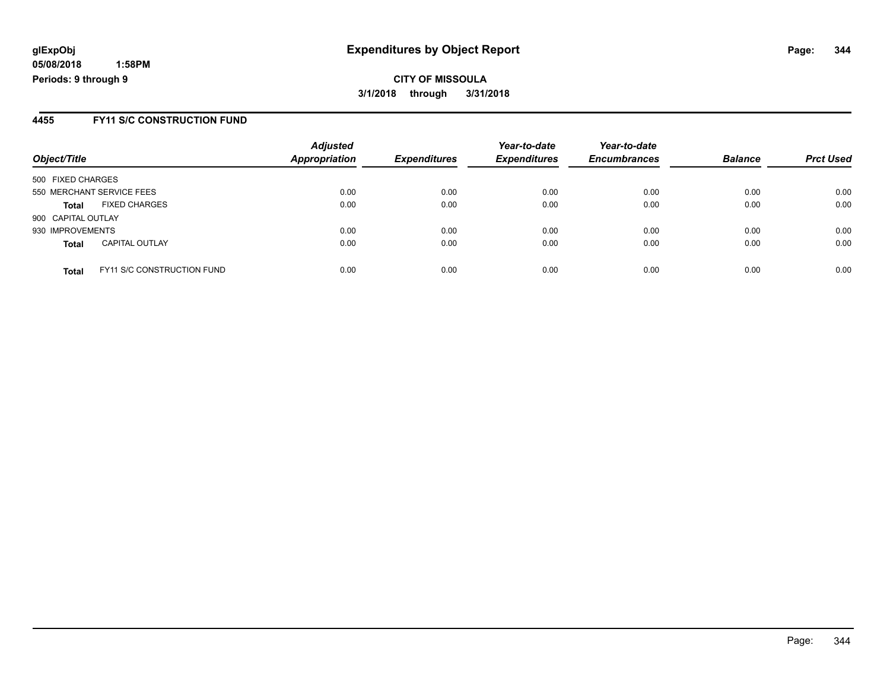**CITY OF MISSOULA 3/1/2018 through 3/31/2018**

#### **4455 FY11 S/C CONSTRUCTION FUND**

| Object/Title              |                                   | <b>Adjusted</b><br>Appropriation | <b>Expenditures</b> | Year-to-date<br><b>Expenditures</b> | Year-to-date<br><b>Encumbrances</b> | <b>Balance</b> | <b>Prct Used</b> |
|---------------------------|-----------------------------------|----------------------------------|---------------------|-------------------------------------|-------------------------------------|----------------|------------------|
| 500 FIXED CHARGES         |                                   |                                  |                     |                                     |                                     |                |                  |
| 550 MERCHANT SERVICE FEES |                                   | 0.00                             | 0.00                | 0.00                                | 0.00                                | 0.00           | 0.00             |
| <b>Total</b>              | <b>FIXED CHARGES</b>              | 0.00                             | 0.00                | 0.00                                | 0.00                                | 0.00           | 0.00             |
| 900 CAPITAL OUTLAY        |                                   |                                  |                     |                                     |                                     |                |                  |
| 930 IMPROVEMENTS          |                                   | 0.00                             | 0.00                | 0.00                                | 0.00                                | 0.00           | 0.00             |
| <b>Total</b>              | <b>CAPITAL OUTLAY</b>             | 0.00                             | 0.00                | 0.00                                | 0.00                                | 0.00           | 0.00             |
| <b>Total</b>              | <b>FY11 S/C CONSTRUCTION FUND</b> | 0.00                             | 0.00                | 0.00                                | 0.00                                | 0.00           | 0.00             |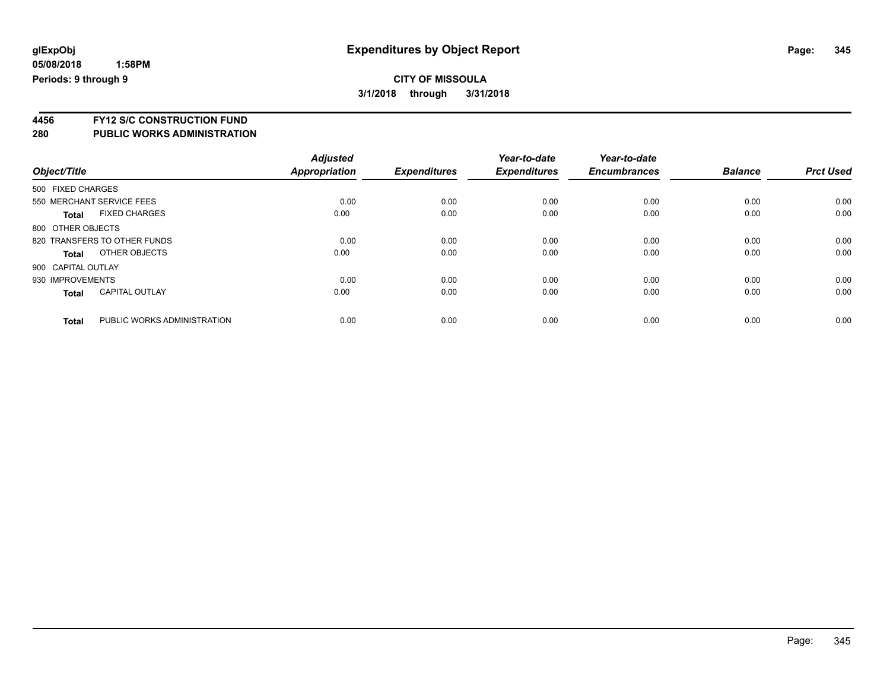# **4456 FY12 S/C CONSTRUCTION FUND**

**280 PUBLIC WORKS ADMINISTRATION**

|                                             | <b>Adjusted</b>      |                     | Year-to-date        | Year-to-date        |                |                  |
|---------------------------------------------|----------------------|---------------------|---------------------|---------------------|----------------|------------------|
| Object/Title                                | <b>Appropriation</b> | <b>Expenditures</b> | <b>Expenditures</b> | <b>Encumbrances</b> | <b>Balance</b> | <b>Prct Used</b> |
| 500 FIXED CHARGES                           |                      |                     |                     |                     |                |                  |
| 550 MERCHANT SERVICE FEES                   | 0.00                 | 0.00                | 0.00                | 0.00                | 0.00           | 0.00             |
| <b>FIXED CHARGES</b><br><b>Total</b>        | 0.00                 | 0.00                | 0.00                | 0.00                | 0.00           | 0.00             |
| 800 OTHER OBJECTS                           |                      |                     |                     |                     |                |                  |
| 820 TRANSFERS TO OTHER FUNDS                | 0.00                 | 0.00                | 0.00                | 0.00                | 0.00           | 0.00             |
| OTHER OBJECTS<br>Total                      | 0.00                 | 0.00                | 0.00                | 0.00                | 0.00           | 0.00             |
| 900 CAPITAL OUTLAY                          |                      |                     |                     |                     |                |                  |
| 930 IMPROVEMENTS                            | 0.00                 | 0.00                | 0.00                | 0.00                | 0.00           | 0.00             |
| <b>CAPITAL OUTLAY</b><br><b>Total</b>       | 0.00                 | 0.00                | 0.00                | 0.00                | 0.00           | 0.00             |
| PUBLIC WORKS ADMINISTRATION<br><b>Total</b> | 0.00                 | 0.00                | 0.00                | 0.00                | 0.00           | 0.00             |

Page: 345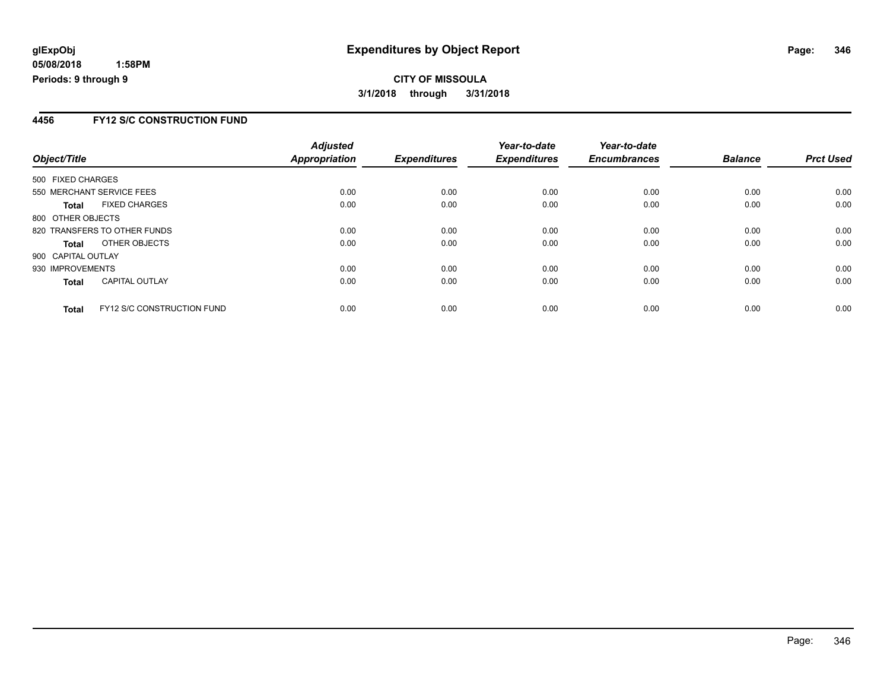**CITY OF MISSOULA 3/1/2018 through 3/31/2018**

### **4456 FY12 S/C CONSTRUCTION FUND**

|                    |                                   | <b>Adjusted</b>      |                     | Year-to-date        | Year-to-date        |                |                  |
|--------------------|-----------------------------------|----------------------|---------------------|---------------------|---------------------|----------------|------------------|
| Object/Title       |                                   | <b>Appropriation</b> | <b>Expenditures</b> | <b>Expenditures</b> | <b>Encumbrances</b> | <b>Balance</b> | <b>Prct Used</b> |
| 500 FIXED CHARGES  |                                   |                      |                     |                     |                     |                |                  |
|                    | 550 MERCHANT SERVICE FEES         | 0.00                 | 0.00                | 0.00                | 0.00                | 0.00           | 0.00             |
| Total              | <b>FIXED CHARGES</b>              | 0.00                 | 0.00                | 0.00                | 0.00                | 0.00           | 0.00             |
| 800 OTHER OBJECTS  |                                   |                      |                     |                     |                     |                |                  |
|                    | 820 TRANSFERS TO OTHER FUNDS      | 0.00                 | 0.00                | 0.00                | 0.00                | 0.00           | 0.00             |
| <b>Total</b>       | OTHER OBJECTS                     | 0.00                 | 0.00                | 0.00                | 0.00                | 0.00           | 0.00             |
| 900 CAPITAL OUTLAY |                                   |                      |                     |                     |                     |                |                  |
| 930 IMPROVEMENTS   |                                   | 0.00                 | 0.00                | 0.00                | 0.00                | 0.00           | 0.00             |
| <b>Total</b>       | <b>CAPITAL OUTLAY</b>             | 0.00                 | 0.00                | 0.00                | 0.00                | 0.00           | 0.00             |
| <b>Total</b>       | <b>FY12 S/C CONSTRUCTION FUND</b> | 0.00                 | 0.00                | 0.00                | 0.00                | 0.00           | 0.00             |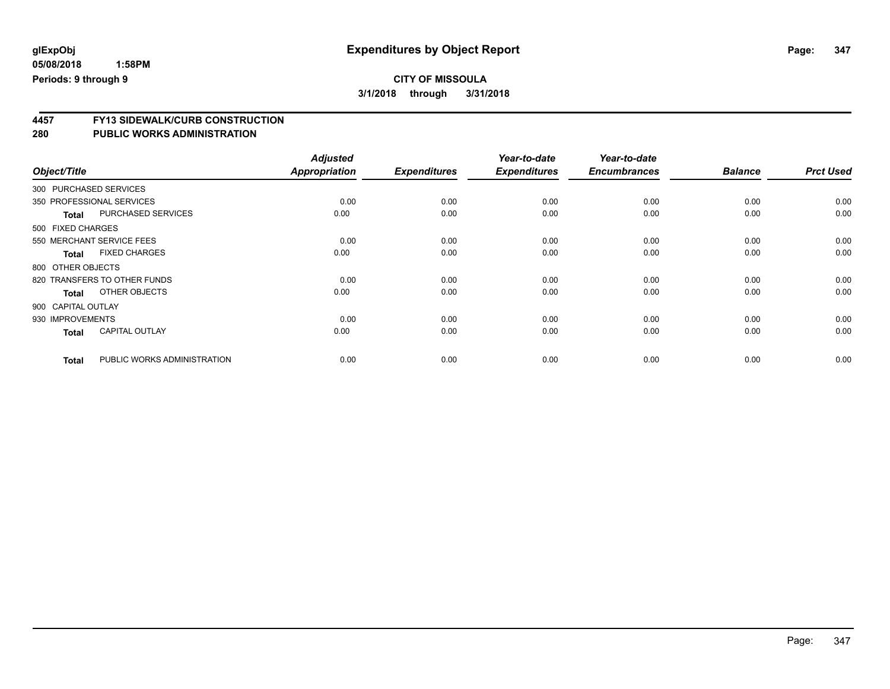# **4457 FY13 SIDEWALK/CURB CONSTRUCTION**

| Object/Title       |                              | <b>Adjusted</b><br>Appropriation | <b>Expenditures</b> | Year-to-date<br><b>Expenditures</b> | Year-to-date<br><b>Encumbrances</b> | <b>Balance</b> | <b>Prct Used</b> |
|--------------------|------------------------------|----------------------------------|---------------------|-------------------------------------|-------------------------------------|----------------|------------------|
|                    | 300 PURCHASED SERVICES       |                                  |                     |                                     |                                     |                |                  |
|                    | 350 PROFESSIONAL SERVICES    | 0.00                             | 0.00                | 0.00                                | 0.00                                | 0.00           | 0.00             |
| <b>Total</b>       | PURCHASED SERVICES           | 0.00                             | 0.00                | 0.00                                | 0.00                                | 0.00           | 0.00             |
| 500 FIXED CHARGES  |                              |                                  |                     |                                     |                                     |                |                  |
|                    | 550 MERCHANT SERVICE FEES    | 0.00                             | 0.00                | 0.00                                | 0.00                                | 0.00           | 0.00             |
| Total              | <b>FIXED CHARGES</b>         | 0.00                             | 0.00                | 0.00                                | 0.00                                | 0.00           | 0.00             |
| 800 OTHER OBJECTS  |                              |                                  |                     |                                     |                                     |                |                  |
|                    | 820 TRANSFERS TO OTHER FUNDS | 0.00                             | 0.00                | 0.00                                | 0.00                                | 0.00           | 0.00             |
| Total              | OTHER OBJECTS                | 0.00                             | 0.00                | 0.00                                | 0.00                                | 0.00           | 0.00             |
| 900 CAPITAL OUTLAY |                              |                                  |                     |                                     |                                     |                |                  |
| 930 IMPROVEMENTS   |                              | 0.00                             | 0.00                | 0.00                                | 0.00                                | 0.00           | 0.00             |
| <b>Total</b>       | <b>CAPITAL OUTLAY</b>        | 0.00                             | 0.00                | 0.00                                | 0.00                                | 0.00           | 0.00             |
| <b>Total</b>       | PUBLIC WORKS ADMINISTRATION  | 0.00                             | 0.00                | 0.00                                | 0.00                                | 0.00           | 0.00             |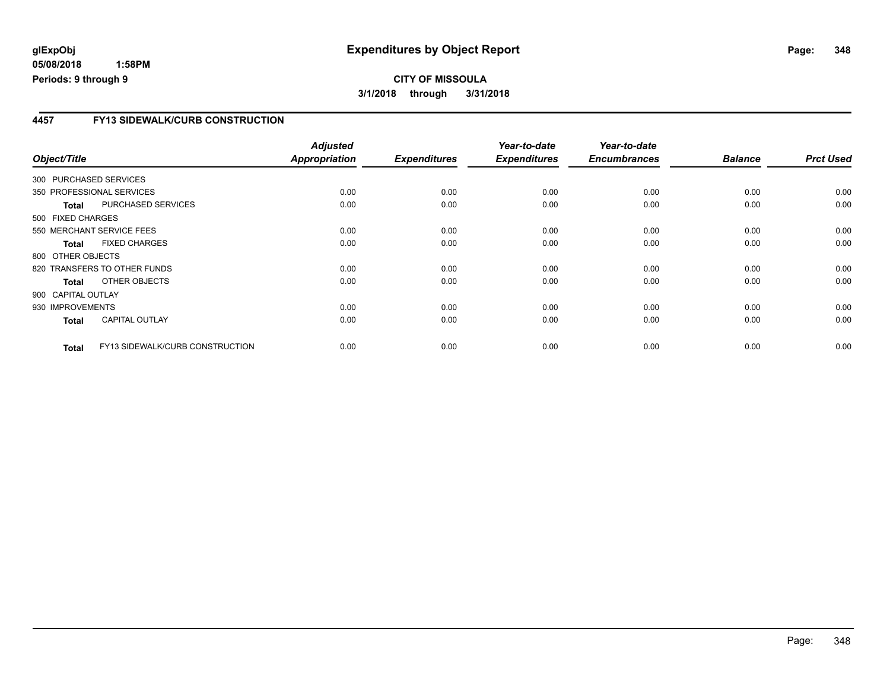### **4457 FY13 SIDEWALK/CURB CONSTRUCTION**

|                    |                                 | <b>Adjusted</b>      |                     | Year-to-date        | Year-to-date        |                |                  |
|--------------------|---------------------------------|----------------------|---------------------|---------------------|---------------------|----------------|------------------|
| Object/Title       |                                 | <b>Appropriation</b> | <b>Expenditures</b> | <b>Expenditures</b> | <b>Encumbrances</b> | <b>Balance</b> | <b>Prct Used</b> |
|                    | 300 PURCHASED SERVICES          |                      |                     |                     |                     |                |                  |
|                    | 350 PROFESSIONAL SERVICES       | 0.00                 | 0.00                | 0.00                | 0.00                | 0.00           | 0.00             |
| <b>Total</b>       | PURCHASED SERVICES              | 0.00                 | 0.00                | 0.00                | 0.00                | 0.00           | 0.00             |
| 500 FIXED CHARGES  |                                 |                      |                     |                     |                     |                |                  |
|                    | 550 MERCHANT SERVICE FEES       | 0.00                 | 0.00                | 0.00                | 0.00                | 0.00           | 0.00             |
| <b>Total</b>       | <b>FIXED CHARGES</b>            | 0.00                 | 0.00                | 0.00                | 0.00                | 0.00           | 0.00             |
| 800 OTHER OBJECTS  |                                 |                      |                     |                     |                     |                |                  |
|                    | 820 TRANSFERS TO OTHER FUNDS    | 0.00                 | 0.00                | 0.00                | 0.00                | 0.00           | 0.00             |
| Total              | OTHER OBJECTS                   | 0.00                 | 0.00                | 0.00                | 0.00                | 0.00           | 0.00             |
| 900 CAPITAL OUTLAY |                                 |                      |                     |                     |                     |                |                  |
| 930 IMPROVEMENTS   |                                 | 0.00                 | 0.00                | 0.00                | 0.00                | 0.00           | 0.00             |
| <b>Total</b>       | <b>CAPITAL OUTLAY</b>           | 0.00                 | 0.00                | 0.00                | 0.00                | 0.00           | 0.00             |
| <b>Total</b>       | FY13 SIDEWALK/CURB CONSTRUCTION | 0.00                 | 0.00                | 0.00                | 0.00                | 0.00           | 0.00             |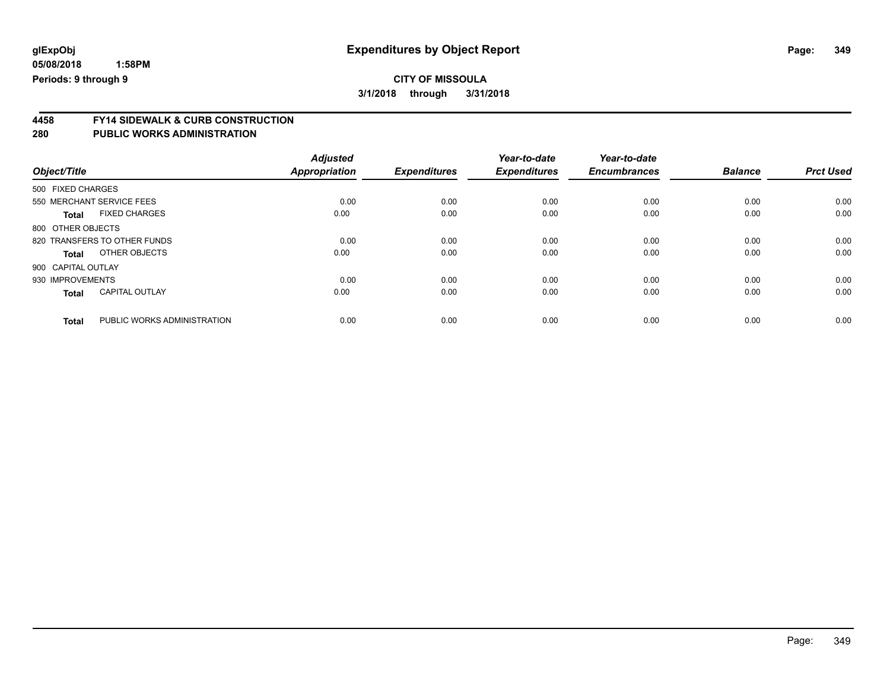### **CITY OF MISSOULA 3/1/2018 through 3/31/2018**

# **4458 FY14 SIDEWALK & CURB CONSTRUCTION**

| Object/Title       |                              | <b>Adjusted</b><br><b>Appropriation</b> | <b>Expenditures</b> | Year-to-date<br><b>Expenditures</b> | Year-to-date<br><b>Encumbrances</b> | <b>Balance</b> | <b>Prct Used</b> |
|--------------------|------------------------------|-----------------------------------------|---------------------|-------------------------------------|-------------------------------------|----------------|------------------|
| 500 FIXED CHARGES  |                              |                                         |                     |                                     |                                     |                |                  |
|                    | 550 MERCHANT SERVICE FEES    | 0.00                                    | 0.00                | 0.00                                | 0.00                                | 0.00           | 0.00             |
| <b>Total</b>       | <b>FIXED CHARGES</b>         | 0.00                                    | 0.00                | 0.00                                | 0.00                                | 0.00           | 0.00             |
| 800 OTHER OBJECTS  |                              |                                         |                     |                                     |                                     |                |                  |
|                    | 820 TRANSFERS TO OTHER FUNDS | 0.00                                    | 0.00                | 0.00                                | 0.00                                | 0.00           | 0.00             |
| <b>Total</b>       | OTHER OBJECTS                | 0.00                                    | 0.00                | 0.00                                | 0.00                                | 0.00           | 0.00             |
| 900 CAPITAL OUTLAY |                              |                                         |                     |                                     |                                     |                |                  |
| 930 IMPROVEMENTS   |                              | 0.00                                    | 0.00                | 0.00                                | 0.00                                | 0.00           | 0.00             |
| <b>Total</b>       | <b>CAPITAL OUTLAY</b>        | 0.00                                    | 0.00                | 0.00                                | 0.00                                | 0.00           | 0.00             |
| <b>Total</b>       | PUBLIC WORKS ADMINISTRATION  | 0.00                                    | 0.00                | 0.00                                | 0.00                                | 0.00           | 0.00             |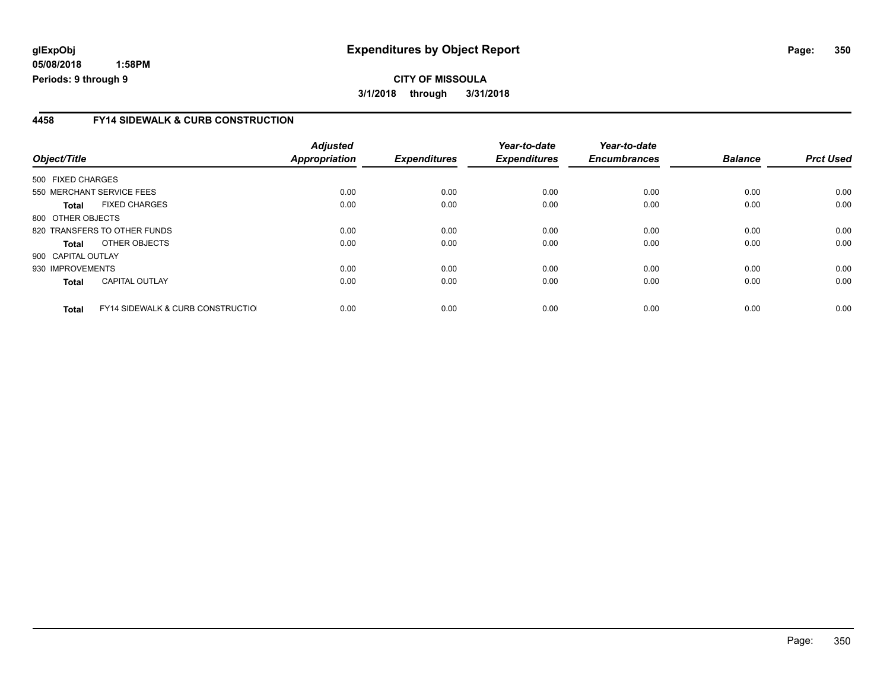### **4458 FY14 SIDEWALK & CURB CONSTRUCTION**

| Object/Title       |                                              | <b>Adjusted</b><br><b>Appropriation</b> | <b>Expenditures</b> | Year-to-date<br><b>Expenditures</b> | Year-to-date<br><b>Encumbrances</b> | <b>Balance</b> | <b>Prct Used</b> |
|--------------------|----------------------------------------------|-----------------------------------------|---------------------|-------------------------------------|-------------------------------------|----------------|------------------|
| 500 FIXED CHARGES  |                                              |                                         |                     |                                     |                                     |                |                  |
|                    | 550 MERCHANT SERVICE FEES                    | 0.00                                    | 0.00                | 0.00                                | 0.00                                | 0.00           | 0.00             |
|                    |                                              |                                         |                     |                                     |                                     |                |                  |
| Total              | <b>FIXED CHARGES</b>                         | 0.00                                    | 0.00                | 0.00                                | 0.00                                | 0.00           | 0.00             |
| 800 OTHER OBJECTS  |                                              |                                         |                     |                                     |                                     |                |                  |
|                    | 820 TRANSFERS TO OTHER FUNDS                 | 0.00                                    | 0.00                | 0.00                                | 0.00                                | 0.00           | 0.00             |
| Total              | OTHER OBJECTS                                | 0.00                                    | 0.00                | 0.00                                | 0.00                                | 0.00           | 0.00             |
| 900 CAPITAL OUTLAY |                                              |                                         |                     |                                     |                                     |                |                  |
| 930 IMPROVEMENTS   |                                              | 0.00                                    | 0.00                | 0.00                                | 0.00                                | 0.00           | 0.00             |
| <b>Total</b>       | <b>CAPITAL OUTLAY</b>                        | 0.00                                    | 0.00                | 0.00                                | 0.00                                | 0.00           | 0.00             |
| <b>Total</b>       | <b>FY14 SIDEWALK &amp; CURB CONSTRUCTIOL</b> | 0.00                                    | 0.00                | 0.00                                | 0.00                                | 0.00           | 0.00             |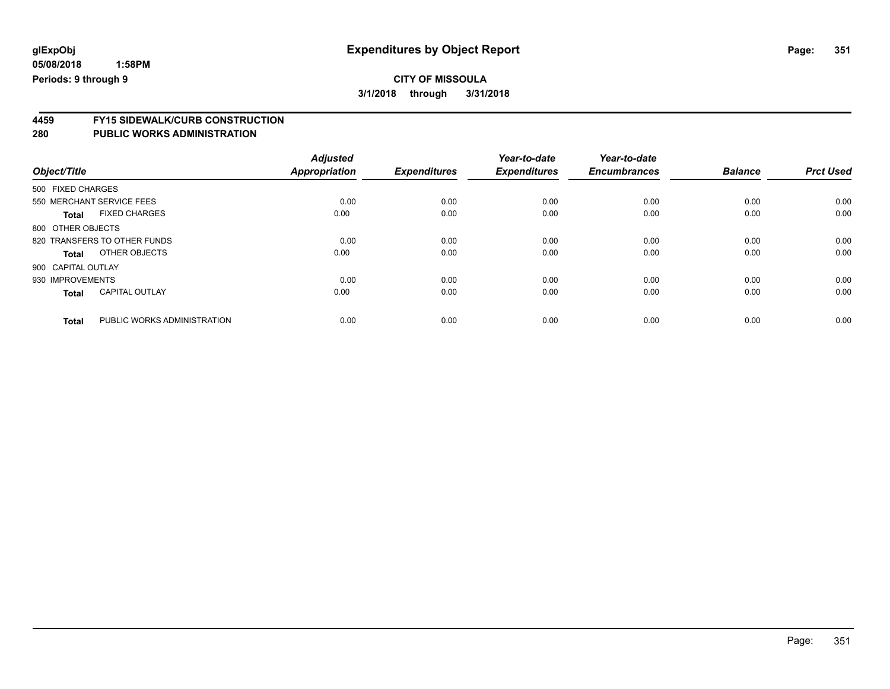### **CITY OF MISSOULA 3/1/2018 through 3/31/2018**

**4459 FY15 SIDEWALK/CURB CONSTRUCTION**

| Object/Title       |                              | <b>Adjusted</b><br><b>Appropriation</b> | <b>Expenditures</b> | Year-to-date<br><b>Expenditures</b> | Year-to-date<br><b>Encumbrances</b> | <b>Balance</b> | <b>Prct Used</b> |
|--------------------|------------------------------|-----------------------------------------|---------------------|-------------------------------------|-------------------------------------|----------------|------------------|
| 500 FIXED CHARGES  |                              |                                         |                     |                                     |                                     |                |                  |
|                    | 550 MERCHANT SERVICE FEES    | 0.00                                    | 0.00                | 0.00                                | 0.00                                | 0.00           | 0.00             |
| <b>Total</b>       | <b>FIXED CHARGES</b>         | 0.00                                    | 0.00                | 0.00                                | 0.00                                | 0.00           | 0.00             |
| 800 OTHER OBJECTS  |                              |                                         |                     |                                     |                                     |                |                  |
|                    | 820 TRANSFERS TO OTHER FUNDS | 0.00                                    | 0.00                | 0.00                                | 0.00                                | 0.00           | 0.00             |
| Total              | OTHER OBJECTS                | 0.00                                    | 0.00                | 0.00                                | 0.00                                | 0.00           | 0.00             |
| 900 CAPITAL OUTLAY |                              |                                         |                     |                                     |                                     |                |                  |
| 930 IMPROVEMENTS   |                              | 0.00                                    | 0.00                | 0.00                                | 0.00                                | 0.00           | 0.00             |
| <b>Total</b>       | <b>CAPITAL OUTLAY</b>        | 0.00                                    | 0.00                | 0.00                                | 0.00                                | 0.00           | 0.00             |
| <b>Total</b>       | PUBLIC WORKS ADMINISTRATION  | 0.00                                    | 0.00                | 0.00                                | 0.00                                | 0.00           | 0.00             |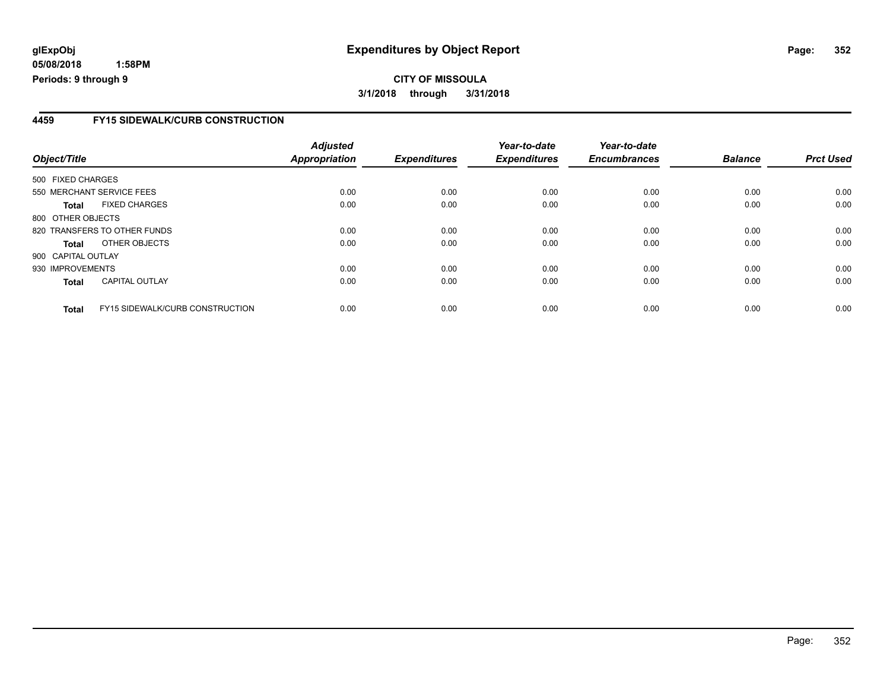### **4459 FY15 SIDEWALK/CURB CONSTRUCTION**

| Object/Title               |                                        | <b>Adjusted</b><br>Appropriation | <b>Expenditures</b> | Year-to-date<br><b>Expenditures</b> | Year-to-date<br><b>Encumbrances</b> | <b>Balance</b> | <b>Prct Used</b> |
|----------------------------|----------------------------------------|----------------------------------|---------------------|-------------------------------------|-------------------------------------|----------------|------------------|
| 500 FIXED CHARGES          |                                        |                                  |                     |                                     |                                     |                |                  |
|                            | 550 MERCHANT SERVICE FEES              | 0.00                             | 0.00                | 0.00                                | 0.00                                | 0.00           | 0.00             |
|                            | <b>FIXED CHARGES</b>                   | 0.00                             | 0.00                | 0.00                                | 0.00                                | 0.00           | 0.00             |
| Total<br>800 OTHER OBJECTS |                                        |                                  |                     |                                     |                                     |                |                  |
|                            | 820 TRANSFERS TO OTHER FUNDS           | 0.00                             | 0.00                | 0.00                                | 0.00                                | 0.00           | 0.00             |
| Total                      | OTHER OBJECTS                          | 0.00                             | 0.00                | 0.00                                | 0.00                                | 0.00           | 0.00             |
| 900 CAPITAL OUTLAY         |                                        |                                  |                     |                                     |                                     |                |                  |
| 930 IMPROVEMENTS           |                                        | 0.00                             | 0.00                | 0.00                                | 0.00                                | 0.00           | 0.00             |
| <b>Total</b>               | <b>CAPITAL OUTLAY</b>                  | 0.00                             | 0.00                | 0.00                                | 0.00                                | 0.00           | 0.00             |
| <b>Total</b>               | <b>FY15 SIDEWALK/CURB CONSTRUCTION</b> | 0.00                             | 0.00                | 0.00                                | 0.00                                | 0.00           | 0.00             |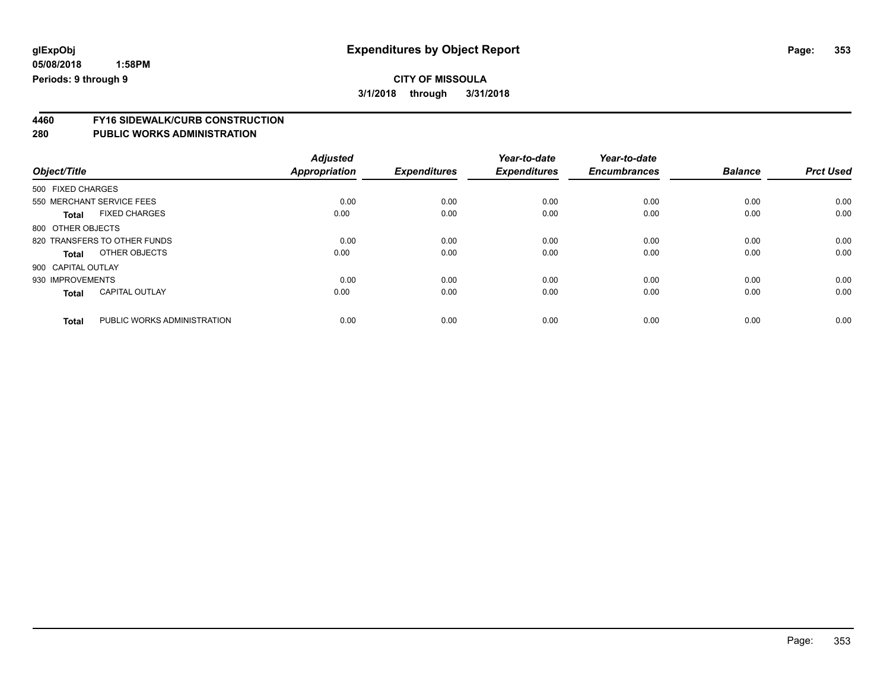### **CITY OF MISSOULA 3/1/2018 through 3/31/2018**

# **4460 FY16 SIDEWALK/CURB CONSTRUCTION**

| Object/Title       |                              | <b>Adjusted</b><br><b>Appropriation</b> | <b>Expenditures</b> | Year-to-date<br><b>Expenditures</b> | Year-to-date<br><b>Encumbrances</b> | <b>Balance</b> | <b>Prct Used</b> |
|--------------------|------------------------------|-----------------------------------------|---------------------|-------------------------------------|-------------------------------------|----------------|------------------|
| 500 FIXED CHARGES  |                              |                                         |                     |                                     |                                     |                |                  |
|                    | 550 MERCHANT SERVICE FEES    | 0.00                                    | 0.00                | 0.00                                | 0.00                                | 0.00           | 0.00             |
| <b>Total</b>       | <b>FIXED CHARGES</b>         | 0.00                                    | 0.00                | 0.00                                | 0.00                                | 0.00           | 0.00             |
| 800 OTHER OBJECTS  |                              |                                         |                     |                                     |                                     |                |                  |
|                    | 820 TRANSFERS TO OTHER FUNDS | 0.00                                    | 0.00                | 0.00                                | 0.00                                | 0.00           | 0.00             |
| Total              | OTHER OBJECTS                | 0.00                                    | 0.00                | 0.00                                | 0.00                                | 0.00           | 0.00             |
| 900 CAPITAL OUTLAY |                              |                                         |                     |                                     |                                     |                |                  |
| 930 IMPROVEMENTS   |                              | 0.00                                    | 0.00                | 0.00                                | 0.00                                | 0.00           | 0.00             |
| <b>Total</b>       | <b>CAPITAL OUTLAY</b>        | 0.00                                    | 0.00                | 0.00                                | 0.00                                | 0.00           | 0.00             |
| <b>Total</b>       | PUBLIC WORKS ADMINISTRATION  | 0.00                                    | 0.00                | 0.00                                | 0.00                                | 0.00           | 0.00             |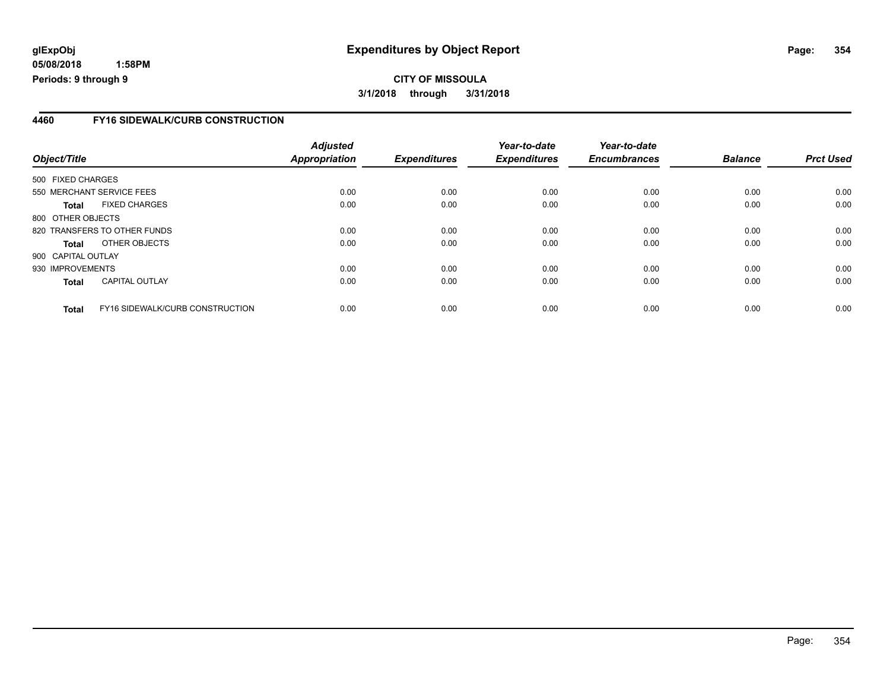### **4460 FY16 SIDEWALK/CURB CONSTRUCTION**

| Object/Title       |                                 | <b>Adjusted</b><br>Appropriation | <b>Expenditures</b> | Year-to-date<br><b>Expenditures</b> | Year-to-date<br><b>Encumbrances</b> | <b>Balance</b> | <b>Prct Used</b> |
|--------------------|---------------------------------|----------------------------------|---------------------|-------------------------------------|-------------------------------------|----------------|------------------|
| 500 FIXED CHARGES  |                                 |                                  |                     |                                     |                                     |                |                  |
|                    | 550 MERCHANT SERVICE FEES       | 0.00                             | 0.00                | 0.00                                | 0.00                                | 0.00           | 0.00             |
| Total              | <b>FIXED CHARGES</b>            | 0.00                             | 0.00                | 0.00                                | 0.00                                | 0.00           | 0.00             |
| 800 OTHER OBJECTS  |                                 |                                  |                     |                                     |                                     |                |                  |
|                    | 820 TRANSFERS TO OTHER FUNDS    | 0.00                             | 0.00                | 0.00                                | 0.00                                | 0.00           | 0.00             |
| Total              | OTHER OBJECTS                   | 0.00                             | 0.00                | 0.00                                | 0.00                                | 0.00           | 0.00             |
| 900 CAPITAL OUTLAY |                                 |                                  |                     |                                     |                                     |                |                  |
| 930 IMPROVEMENTS   |                                 | 0.00                             | 0.00                | 0.00                                | 0.00                                | 0.00           | 0.00             |
| <b>Total</b>       | <b>CAPITAL OUTLAY</b>           | 0.00                             | 0.00                | 0.00                                | 0.00                                | 0.00           | 0.00             |
| <b>Total</b>       | FY16 SIDEWALK/CURB CONSTRUCTION | 0.00                             | 0.00                | 0.00                                | 0.00                                | 0.00           | 0.00             |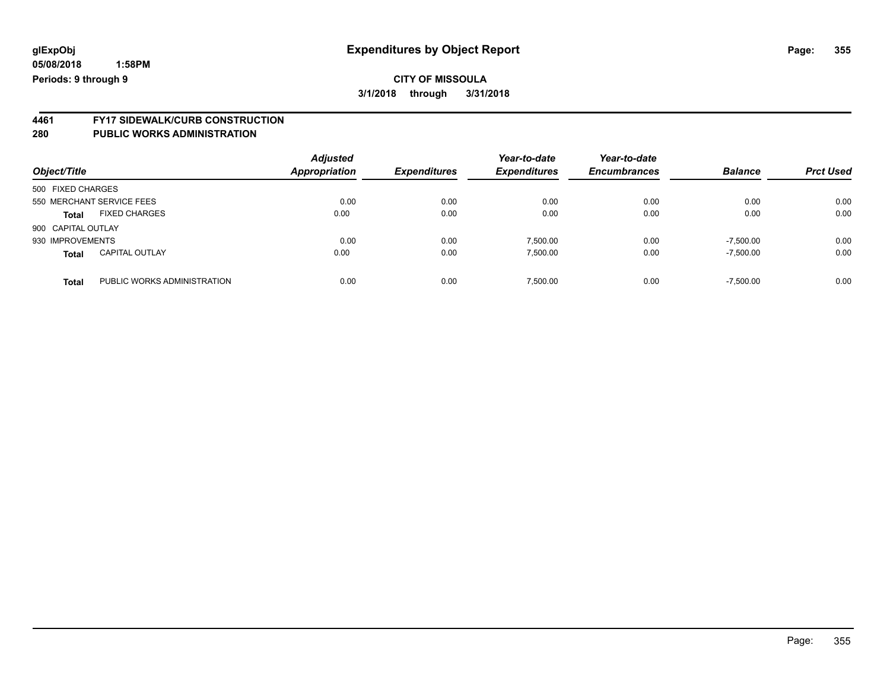### **CITY OF MISSOULA 3/1/2018 through 3/31/2018**

# **4461 FY17 SIDEWALK/CURB CONSTRUCTION**

| Object/Title       |                             | <b>Adjusted</b><br><b>Appropriation</b> | <b>Expenditures</b> | Year-to-date<br><b>Expenditures</b> | Year-to-date<br><b>Encumbrances</b> | <b>Balance</b> | <b>Prct Used</b> |
|--------------------|-----------------------------|-----------------------------------------|---------------------|-------------------------------------|-------------------------------------|----------------|------------------|
| 500 FIXED CHARGES  |                             |                                         |                     |                                     |                                     |                |                  |
|                    | 550 MERCHANT SERVICE FEES   | 0.00                                    | 0.00                | 0.00                                | 0.00                                | 0.00           | 0.00             |
| <b>Total</b>       | <b>FIXED CHARGES</b>        | 0.00                                    | 0.00                | 0.00                                | 0.00                                | 0.00           | 0.00             |
| 900 CAPITAL OUTLAY |                             |                                         |                     |                                     |                                     |                |                  |
| 930 IMPROVEMENTS   |                             | 0.00                                    | 0.00                | 7.500.00                            | 0.00                                | $-7,500.00$    | 0.00             |
| <b>Total</b>       | <b>CAPITAL OUTLAY</b>       | 0.00                                    | 0.00                | 7.500.00                            | 0.00                                | $-7,500.00$    | 0.00             |
| <b>Total</b>       | PUBLIC WORKS ADMINISTRATION | 0.00                                    | 0.00                | 7.500.00                            | 0.00                                | $-7,500.00$    | 0.00             |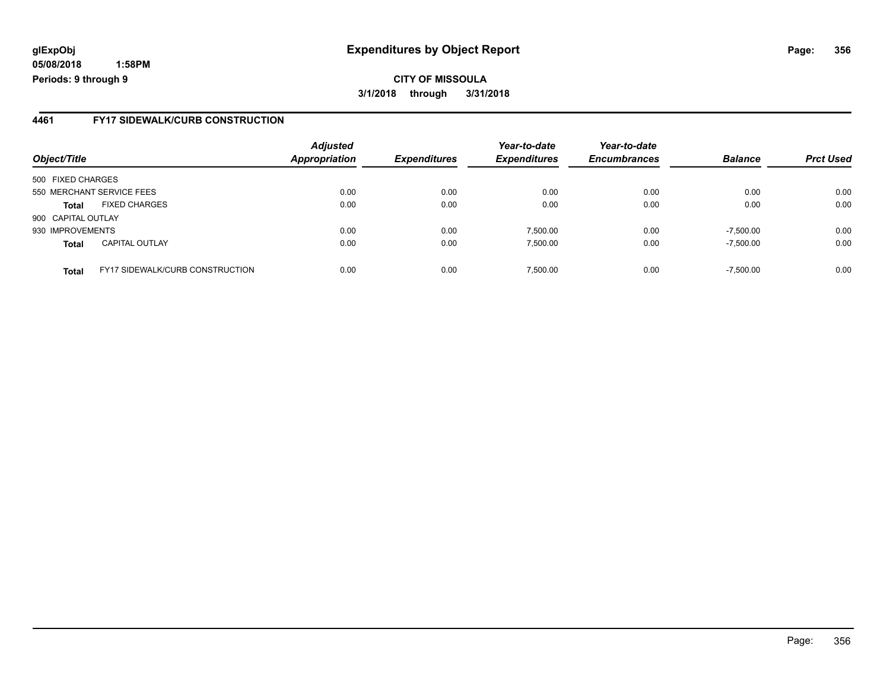**CITY OF MISSOULA 3/1/2018 through 3/31/2018**

#### **4461 FY17 SIDEWALK/CURB CONSTRUCTION**

|                    |                                        | <b>Adjusted</b>      |                     | Year-to-date        | Year-to-date        |                |                  |
|--------------------|----------------------------------------|----------------------|---------------------|---------------------|---------------------|----------------|------------------|
| Object/Title       |                                        | <b>Appropriation</b> | <b>Expenditures</b> | <b>Expenditures</b> | <b>Encumbrances</b> | <b>Balance</b> | <b>Prct Used</b> |
| 500 FIXED CHARGES  |                                        |                      |                     |                     |                     |                |                  |
|                    | 550 MERCHANT SERVICE FEES              | 0.00                 | 0.00                | 0.00                | 0.00                | 0.00           | 0.00             |
| <b>Total</b>       | <b>FIXED CHARGES</b>                   | 0.00                 | 0.00                | 0.00                | 0.00                | 0.00           | 0.00             |
| 900 CAPITAL OUTLAY |                                        |                      |                     |                     |                     |                |                  |
| 930 IMPROVEMENTS   |                                        | 0.00                 | 0.00                | 7,500.00            | 0.00                | $-7,500.00$    | 0.00             |
| <b>Total</b>       | <b>CAPITAL OUTLAY</b>                  | 0.00                 | 0.00                | 7.500.00            | 0.00                | $-7,500.00$    | 0.00             |
| <b>Total</b>       | <b>FY17 SIDEWALK/CURB CONSTRUCTION</b> | 0.00                 | 0.00                | 7,500.00            | 0.00                | $-7,500.00$    | 0.00             |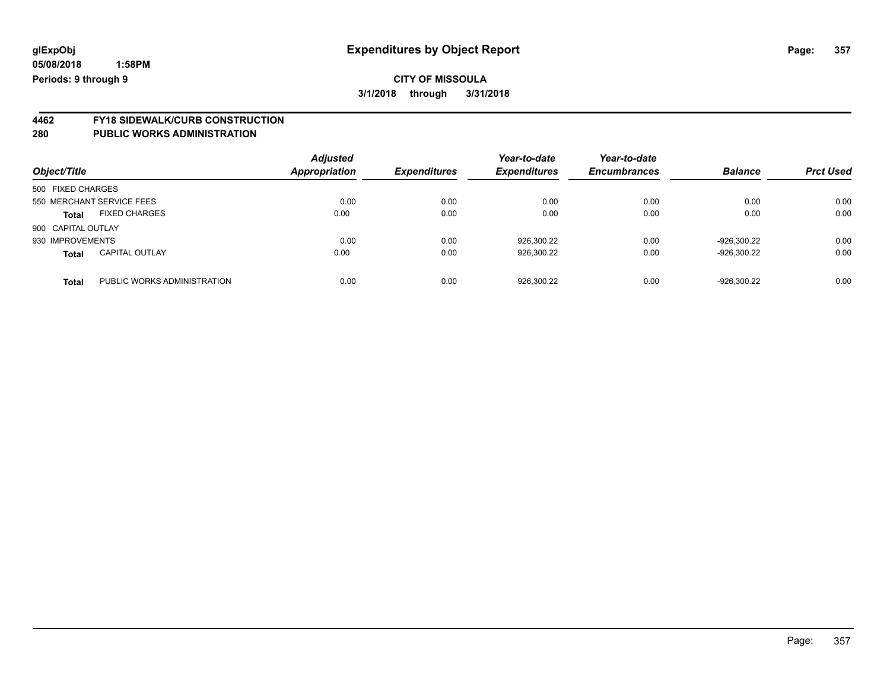# **4462 FY18 SIDEWALK/CURB CONSTRUCTION**

| Object/Title       |                             | <b>Adjusted</b><br><b>Appropriation</b> | <b>Expenditures</b> | Year-to-date<br><b>Expenditures</b> | Year-to-date<br><b>Encumbrances</b> | <b>Balance</b> | <b>Prct Used</b> |
|--------------------|-----------------------------|-----------------------------------------|---------------------|-------------------------------------|-------------------------------------|----------------|------------------|
| 500 FIXED CHARGES  |                             |                                         |                     |                                     |                                     |                |                  |
|                    | 550 MERCHANT SERVICE FEES   | 0.00                                    | 0.00                | 0.00                                | 0.00                                | 0.00           | 0.00             |
| <b>Total</b>       | <b>FIXED CHARGES</b>        | 0.00                                    | 0.00                | 0.00                                | 0.00                                | 0.00           | 0.00             |
| 900 CAPITAL OUTLAY |                             |                                         |                     |                                     |                                     |                |                  |
| 930 IMPROVEMENTS   |                             | 0.00                                    | 0.00                | 926.300.22                          | 0.00                                | -926.300.22    | 0.00             |
| <b>Total</b>       | <b>CAPITAL OUTLAY</b>       | 0.00                                    | 0.00                | 926,300.22                          | 0.00                                | -926,300.22    | 0.00             |
| <b>Total</b>       | PUBLIC WORKS ADMINISTRATION | 0.00                                    | 0.00                | 926,300.22                          | 0.00                                | -926.300.22    | 0.00             |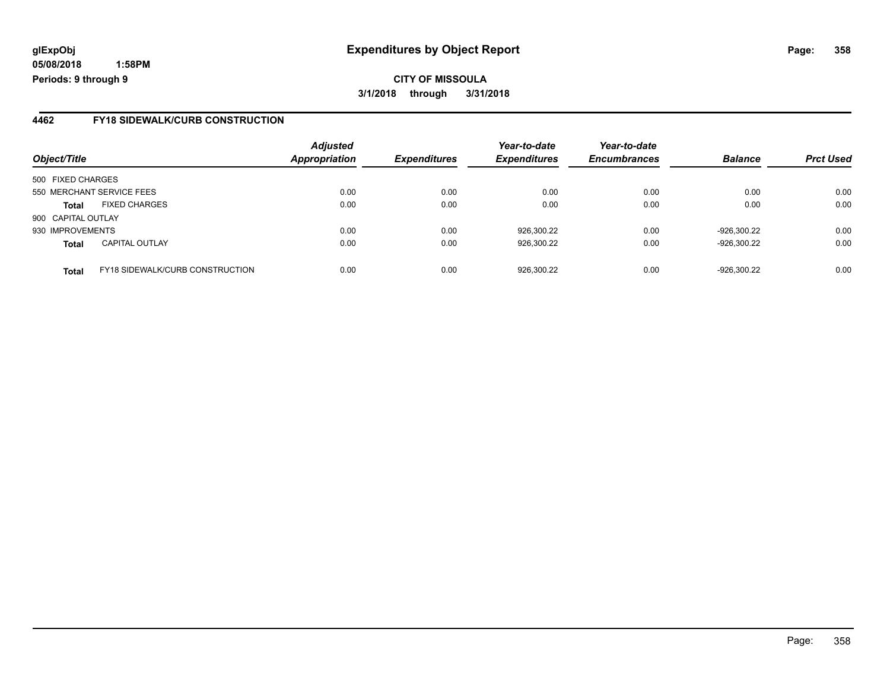**CITY OF MISSOULA 3/1/2018 through 3/31/2018**

#### **4462 FY18 SIDEWALK/CURB CONSTRUCTION**

|                    |                                 | <b>Adjusted</b>      |                     | Year-to-date        | Year-to-date        |                |                  |
|--------------------|---------------------------------|----------------------|---------------------|---------------------|---------------------|----------------|------------------|
| Object/Title       |                                 | <b>Appropriation</b> | <b>Expenditures</b> | <b>Expenditures</b> | <b>Encumbrances</b> | <b>Balance</b> | <b>Prct Used</b> |
| 500 FIXED CHARGES  |                                 |                      |                     |                     |                     |                |                  |
|                    | 550 MERCHANT SERVICE FEES       | 0.00                 | 0.00                | 0.00                | 0.00                | 0.00           | 0.00             |
| <b>Total</b>       | <b>FIXED CHARGES</b>            | 0.00                 | 0.00                | 0.00                | 0.00                | 0.00           | 0.00             |
| 900 CAPITAL OUTLAY |                                 |                      |                     |                     |                     |                |                  |
| 930 IMPROVEMENTS   |                                 | 0.00                 | 0.00                | 926,300.22          | 0.00                | $-926,300.22$  | 0.00             |
| <b>Total</b>       | <b>CAPITAL OUTLAY</b>           | 0.00                 | 0.00                | 926,300.22          | 0.00                | $-926,300.22$  | 0.00             |
| <b>Total</b>       | FY18 SIDEWALK/CURB CONSTRUCTION | 0.00                 | 0.00                | 926,300.22          | 0.00                | $-926,300.22$  | 0.00             |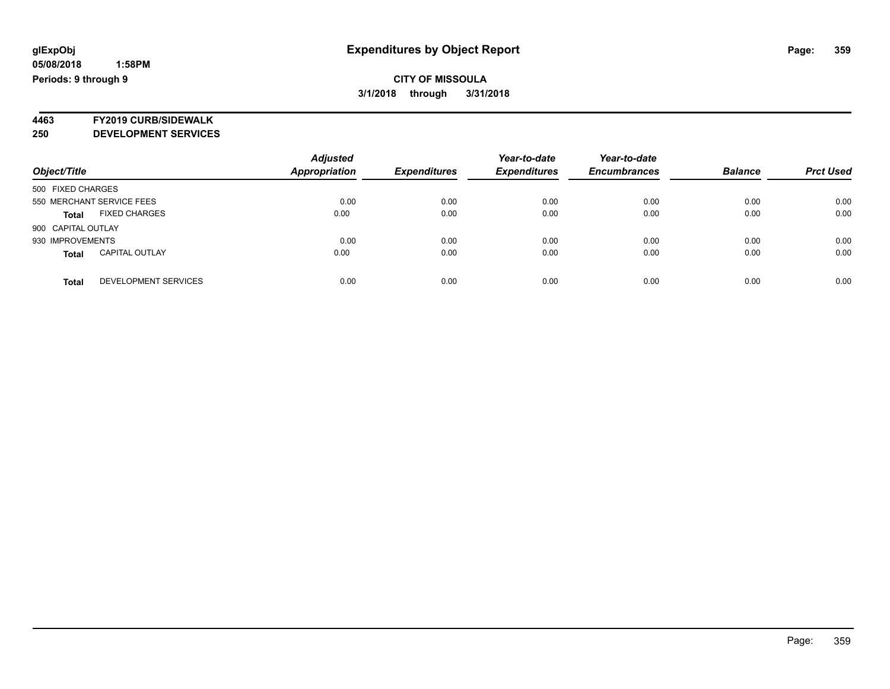### **CITY OF MISSOULA 3/1/2018 through 3/31/2018**

# **4463 FY2019 CURB/SIDEWALK**

**250 DEVELOPMENT SERVICES**

| Object/Title                          | <b>Adjusted</b><br><b>Appropriation</b> | <b>Expenditures</b> | Year-to-date<br><b>Expenditures</b> | Year-to-date<br><b>Encumbrances</b> | <b>Balance</b> | <b>Prct Used</b> |
|---------------------------------------|-----------------------------------------|---------------------|-------------------------------------|-------------------------------------|----------------|------------------|
| 500 FIXED CHARGES                     |                                         |                     |                                     |                                     |                |                  |
| 550 MERCHANT SERVICE FEES             | 0.00                                    | 0.00                | 0.00                                | 0.00                                | 0.00           | 0.00             |
| <b>FIXED CHARGES</b><br><b>Total</b>  | 0.00                                    | 0.00                | 0.00                                | 0.00                                | 0.00           | 0.00             |
| 900 CAPITAL OUTLAY                    |                                         |                     |                                     |                                     |                |                  |
| 930 IMPROVEMENTS                      | 0.00                                    | 0.00                | 0.00                                | 0.00                                | 0.00           | 0.00             |
| <b>CAPITAL OUTLAY</b><br><b>Total</b> | 0.00                                    | 0.00                | 0.00                                | 0.00                                | 0.00           | 0.00             |
| DEVELOPMENT SERVICES<br>Total         | 0.00                                    | 0.00                | 0.00                                | 0.00                                | 0.00           | 0.00             |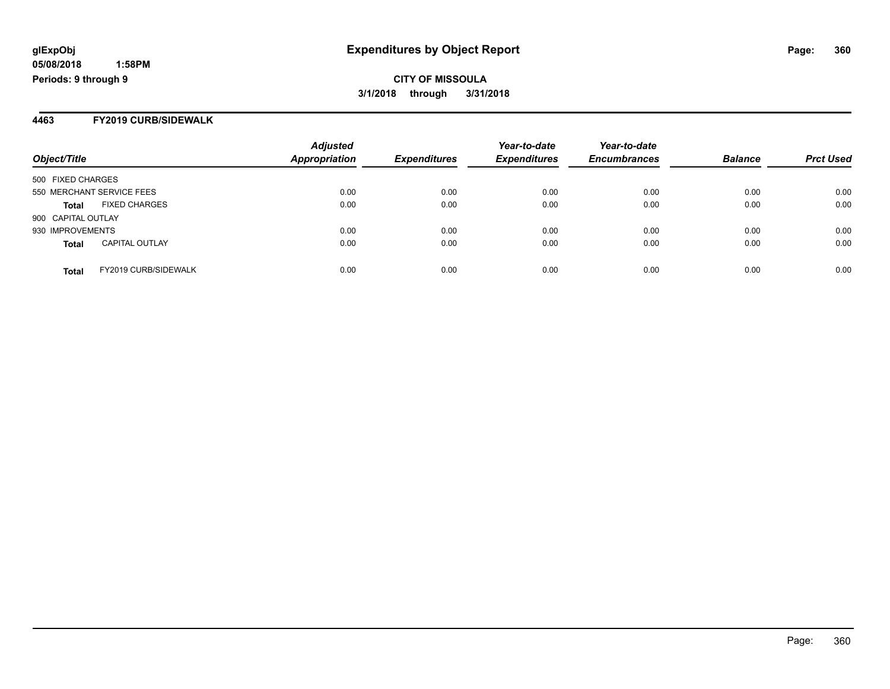**CITY OF MISSOULA 3/1/2018 through 3/31/2018**

#### **4463 FY2019 CURB/SIDEWALK**

|                    |                           | <b>Adjusted</b>      |                     | Year-to-date        | Year-to-date        |                |                  |
|--------------------|---------------------------|----------------------|---------------------|---------------------|---------------------|----------------|------------------|
| Object/Title       |                           | <b>Appropriation</b> | <b>Expenditures</b> | <b>Expenditures</b> | <b>Encumbrances</b> | <b>Balance</b> | <b>Prct Used</b> |
| 500 FIXED CHARGES  |                           |                      |                     |                     |                     |                |                  |
|                    | 550 MERCHANT SERVICE FEES | 0.00                 | 0.00                | 0.00                | 0.00                | 0.00           | 0.00             |
| <b>Total</b>       | <b>FIXED CHARGES</b>      | 0.00                 | 0.00                | 0.00                | 0.00                | 0.00           | 0.00             |
| 900 CAPITAL OUTLAY |                           |                      |                     |                     |                     |                |                  |
| 930 IMPROVEMENTS   |                           | 0.00                 | 0.00                | 0.00                | 0.00                | 0.00           | 0.00             |
| <b>Total</b>       | <b>CAPITAL OUTLAY</b>     | 0.00                 | 0.00                | 0.00                | 0.00                | 0.00           | 0.00             |
| <b>Total</b>       | FY2019 CURB/SIDEWALK      | 0.00                 | 0.00                | 0.00                | 0.00                | 0.00           | 0.00             |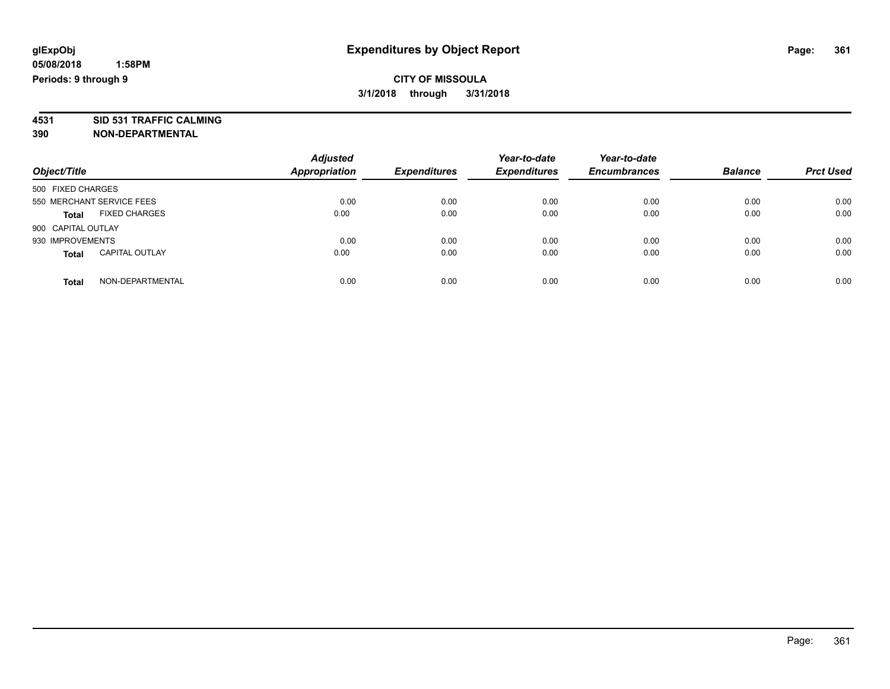**4531 SID 531 TRAFFIC CALMING 390 NON-DEPARTMENTAL**

| Object/Title                          | <b>Adjusted</b><br><b>Appropriation</b> | <b>Expenditures</b> | Year-to-date<br><b>Expenditures</b> | Year-to-date<br><b>Encumbrances</b> | <b>Balance</b> | <b>Prct Used</b> |
|---------------------------------------|-----------------------------------------|---------------------|-------------------------------------|-------------------------------------|----------------|------------------|
| 500 FIXED CHARGES                     |                                         |                     |                                     |                                     |                |                  |
| 550 MERCHANT SERVICE FEES             | 0.00                                    | 0.00                | 0.00                                | 0.00                                | 0.00           | 0.00             |
| <b>FIXED CHARGES</b><br><b>Total</b>  | 0.00                                    | 0.00                | 0.00                                | 0.00                                | 0.00           | 0.00             |
| 900 CAPITAL OUTLAY                    |                                         |                     |                                     |                                     |                |                  |
| 930 IMPROVEMENTS                      | 0.00                                    | 0.00                | 0.00                                | 0.00                                | 0.00           | 0.00             |
| <b>CAPITAL OUTLAY</b><br><b>Total</b> | 0.00                                    | 0.00                | 0.00                                | 0.00                                | 0.00           | 0.00             |
| NON-DEPARTMENTAL<br>Total             | 0.00                                    | 0.00                | 0.00                                | 0.00                                | 0.00           | 0.00             |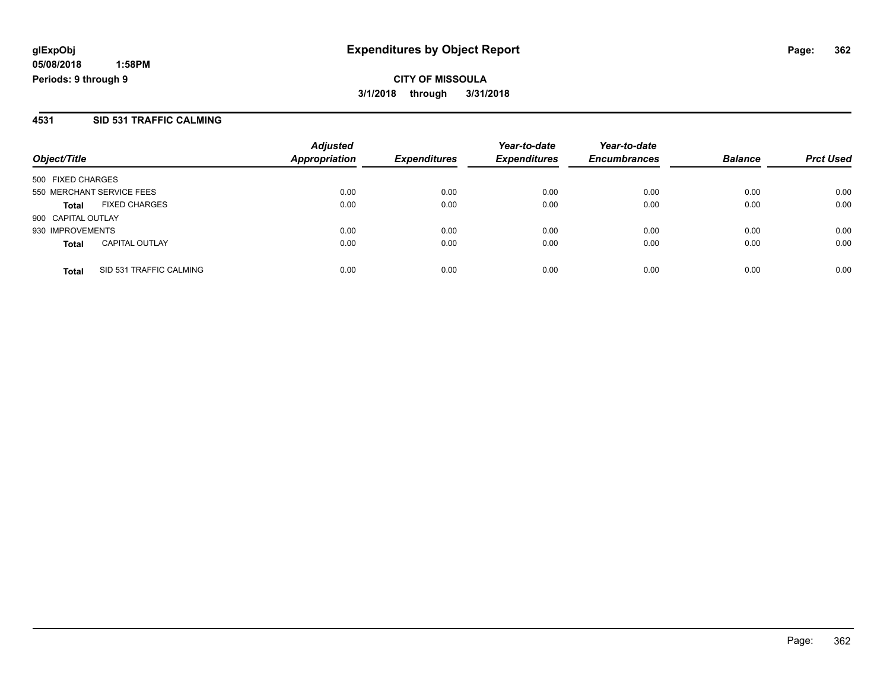#### **4531 SID 531 TRAFFIC CALMING**

|                    |                           | <b>Adjusted</b>      |                     | Year-to-date        | Year-to-date        |                |                  |
|--------------------|---------------------------|----------------------|---------------------|---------------------|---------------------|----------------|------------------|
| Object/Title       |                           | <b>Appropriation</b> | <b>Expenditures</b> | <b>Expenditures</b> | <b>Encumbrances</b> | <b>Balance</b> | <b>Prct Used</b> |
| 500 FIXED CHARGES  |                           |                      |                     |                     |                     |                |                  |
|                    | 550 MERCHANT SERVICE FEES | 0.00                 | 0.00                | 0.00                | 0.00                | 0.00           | 0.00             |
| <b>Total</b>       | <b>FIXED CHARGES</b>      | 0.00                 | 0.00                | 0.00                | 0.00                | 0.00           | 0.00             |
| 900 CAPITAL OUTLAY |                           |                      |                     |                     |                     |                |                  |
| 930 IMPROVEMENTS   |                           | 0.00                 | 0.00                | 0.00                | 0.00                | 0.00           | 0.00             |
| <b>Total</b>       | <b>CAPITAL OUTLAY</b>     | 0.00                 | 0.00                | 0.00                | 0.00                | 0.00           | 0.00             |
| <b>Total</b>       | SID 531 TRAFFIC CALMING   | 0.00                 | 0.00                | 0.00                | 0.00                | 0.00           | 0.00             |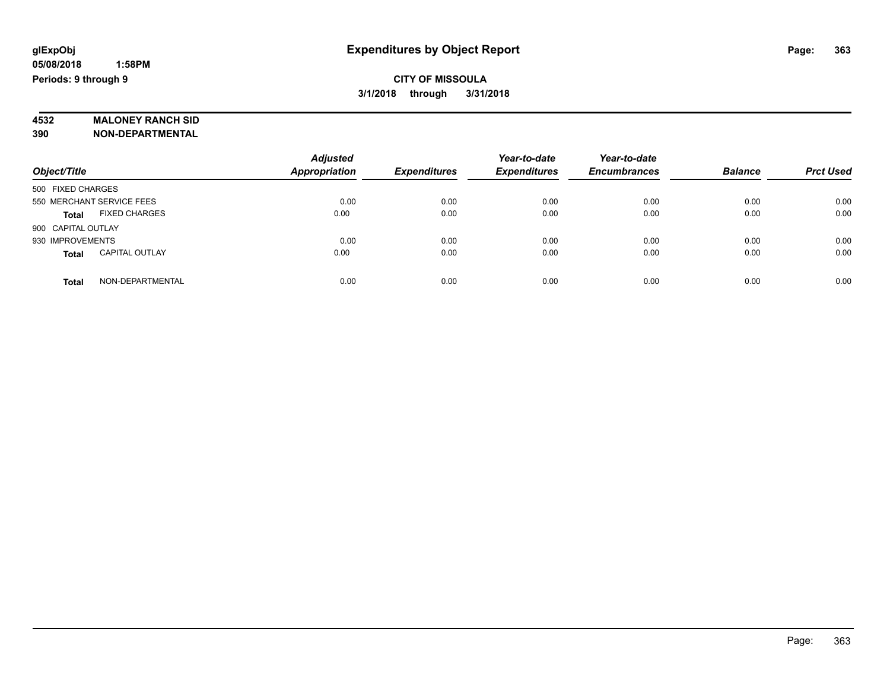# **4532 MALONEY RANCH SID**

| Object/Title                          | <b>Adjusted</b><br><b>Appropriation</b> | <b>Expenditures</b> | Year-to-date<br><b>Expenditures</b> | Year-to-date<br><b>Encumbrances</b> | <b>Balance</b> | <b>Prct Used</b> |
|---------------------------------------|-----------------------------------------|---------------------|-------------------------------------|-------------------------------------|----------------|------------------|
| 500 FIXED CHARGES                     |                                         |                     |                                     |                                     |                |                  |
| 550 MERCHANT SERVICE FEES             | 0.00                                    | 0.00                | 0.00                                | 0.00                                | 0.00           | 0.00             |
| <b>FIXED CHARGES</b><br><b>Total</b>  | 0.00                                    | 0.00                | 0.00                                | 0.00                                | 0.00           | 0.00             |
| 900 CAPITAL OUTLAY                    |                                         |                     |                                     |                                     |                |                  |
| 930 IMPROVEMENTS                      | 0.00                                    | 0.00                | 0.00                                | 0.00                                | 0.00           | 0.00             |
| <b>CAPITAL OUTLAY</b><br><b>Total</b> | 0.00                                    | 0.00                | 0.00                                | 0.00                                | 0.00           | 0.00             |
| NON-DEPARTMENTAL<br>Total             | 0.00                                    | 0.00                | 0.00                                | 0.00                                | 0.00           | 0.00             |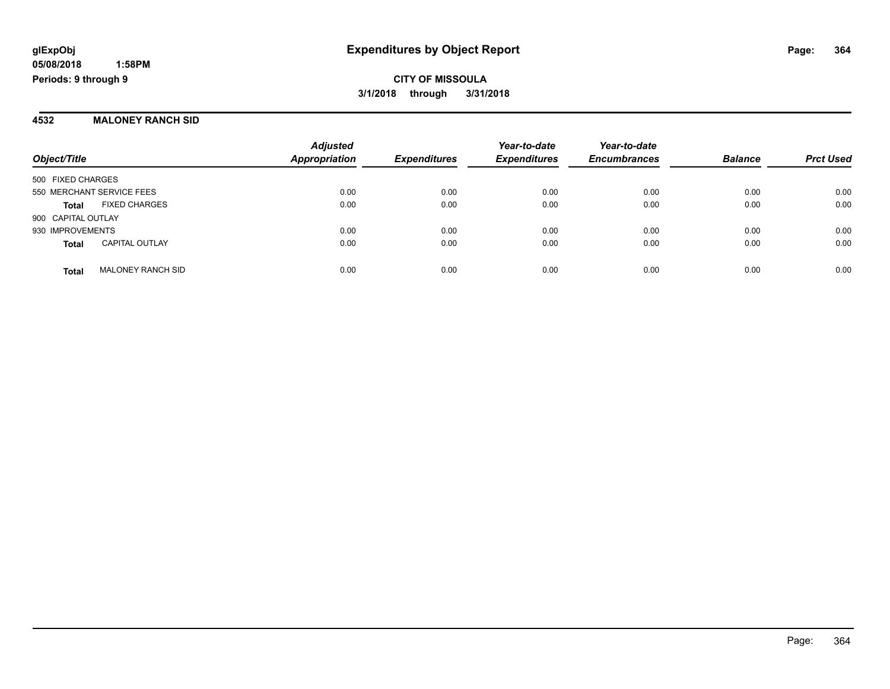#### **4532 MALONEY RANCH SID**

| Object/Title              |                          | <b>Adjusted</b><br><b>Appropriation</b> | <b>Expenditures</b> | Year-to-date<br><b>Expenditures</b> | Year-to-date<br><b>Encumbrances</b> | <b>Balance</b> | <b>Prct Used</b> |
|---------------------------|--------------------------|-----------------------------------------|---------------------|-------------------------------------|-------------------------------------|----------------|------------------|
| 500 FIXED CHARGES         |                          |                                         |                     |                                     |                                     |                |                  |
| 550 MERCHANT SERVICE FEES |                          | 0.00                                    | 0.00                | 0.00                                | 0.00                                | 0.00           | 0.00             |
| <b>Total</b>              | <b>FIXED CHARGES</b>     | 0.00                                    | 0.00                | 0.00                                | 0.00                                | 0.00           | 0.00             |
| 900 CAPITAL OUTLAY        |                          |                                         |                     |                                     |                                     |                |                  |
| 930 IMPROVEMENTS          |                          | 0.00                                    | 0.00                | 0.00                                | 0.00                                | 0.00           | 0.00             |
| <b>Total</b>              | <b>CAPITAL OUTLAY</b>    | 0.00                                    | 0.00                | 0.00                                | 0.00                                | 0.00           | 0.00             |
| <b>Total</b>              | <b>MALONEY RANCH SID</b> | 0.00                                    | 0.00                | 0.00                                | 0.00                                | 0.00           | 0.00             |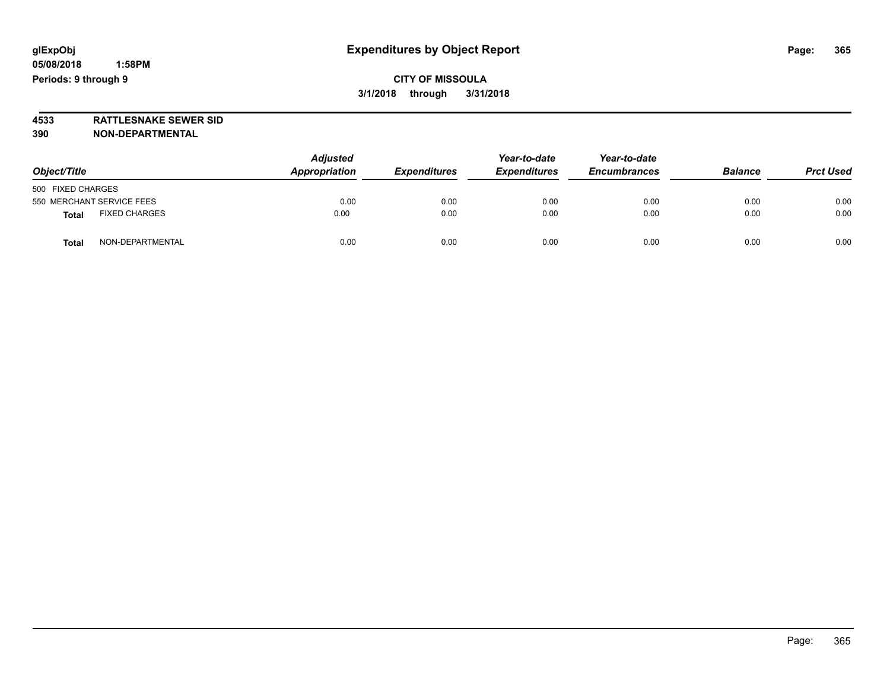**4533 RATTLESNAKE SEWER SID 390 NON-DEPARTMENTAL**

| Object/Title                         | <b>Adjusted</b><br>Appropriation | <b>Expenditures</b> | Year-to-date<br><b>Expenditures</b> | Year-to-date<br><b>Encumbrances</b> | <b>Balance</b> | <b>Prct Used</b> |
|--------------------------------------|----------------------------------|---------------------|-------------------------------------|-------------------------------------|----------------|------------------|
| 500 FIXED CHARGES                    |                                  |                     |                                     |                                     |                |                  |
| 550 MERCHANT SERVICE FEES            | 0.00                             | 0.00                | 0.00                                | 0.00                                | 0.00           | 0.00             |
| <b>FIXED CHARGES</b><br><b>Total</b> | 0.00                             | 0.00                | 0.00                                | 0.00                                | 0.00           | 0.00             |
| NON-DEPARTMENTAL<br><b>Total</b>     | 0.00                             | 0.00                | 0.00                                | 0.00                                | 0.00           | 0.00             |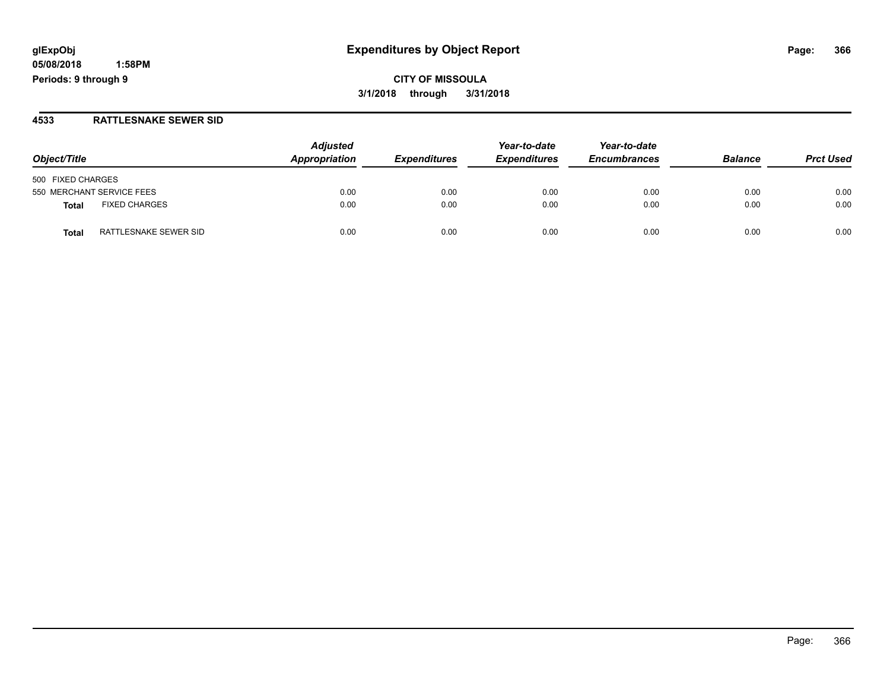**CITY OF MISSOULA 3/1/2018 through 3/31/2018**

#### **4533 RATTLESNAKE SEWER SID**

|                                       | <b>Adjusted</b><br>Appropriation<br><b>Expenditures</b> | Year-to-date | Year-to-date        |                     |                |                  |
|---------------------------------------|---------------------------------------------------------|--------------|---------------------|---------------------|----------------|------------------|
| Object/Title                          |                                                         |              | <b>Expenditures</b> | <b>Encumbrances</b> | <b>Balance</b> | <b>Prct Used</b> |
| 500 FIXED CHARGES                     |                                                         |              |                     |                     |                |                  |
| 550 MERCHANT SERVICE FEES             | 0.00                                                    | 0.00         | 0.00                | 0.00                | 0.00           | 0.00             |
| <b>FIXED CHARGES</b><br>Total         | 0.00                                                    | 0.00         | 0.00                | 0.00                | 0.00           | 0.00             |
| RATTLESNAKE SEWER SID<br><b>Total</b> | 0.00                                                    | 0.00         | 0.00                | 0.00                | 0.00           | 0.00             |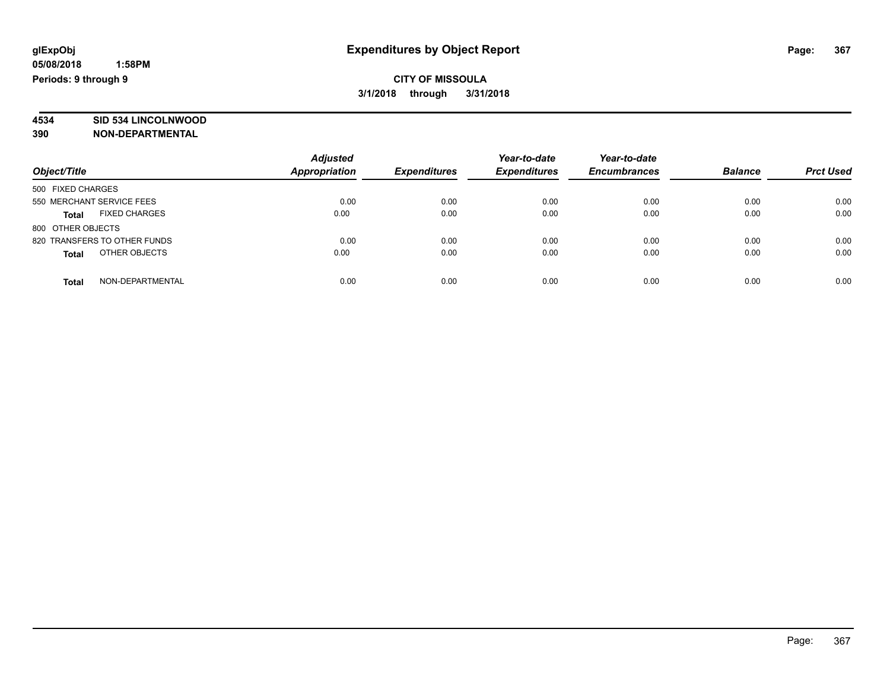# **4534 SID 534 LINCOLNWOOD**

|                                      | <b>Adjusted</b>      |                     | Year-to-date        | Year-to-date        |                |                  |
|--------------------------------------|----------------------|---------------------|---------------------|---------------------|----------------|------------------|
| Object/Title                         | <b>Appropriation</b> | <b>Expenditures</b> | <b>Expenditures</b> | <b>Encumbrances</b> | <b>Balance</b> | <b>Prct Used</b> |
| 500 FIXED CHARGES                    |                      |                     |                     |                     |                |                  |
| 550 MERCHANT SERVICE FEES            | 0.00                 | 0.00                | 0.00                | 0.00                | 0.00           | 0.00             |
| <b>FIXED CHARGES</b><br><b>Total</b> | 0.00                 | 0.00                | 0.00                | 0.00                | 0.00           | 0.00             |
| 800 OTHER OBJECTS                    |                      |                     |                     |                     |                |                  |
| 820 TRANSFERS TO OTHER FUNDS         | 0.00                 | 0.00                | 0.00                | 0.00                | 0.00           | 0.00             |
| OTHER OBJECTS<br><b>Total</b>        | 0.00                 | 0.00                | 0.00                | 0.00                | 0.00           | 0.00             |
| NON-DEPARTMENTAL<br>Total            | 0.00                 | 0.00                | 0.00                | 0.00                | 0.00           | 0.00             |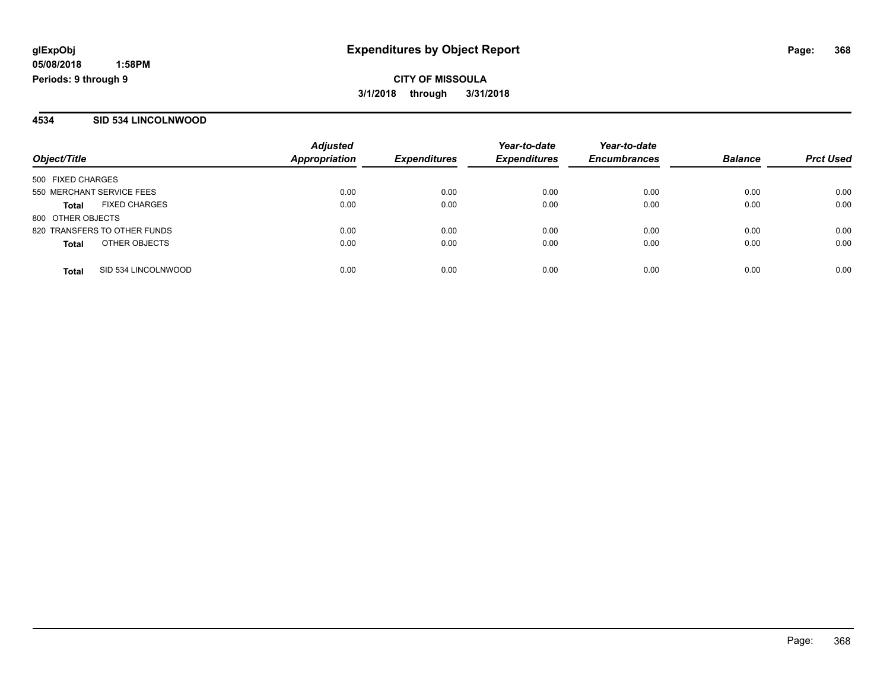#### **4534 SID 534 LINCOLNWOOD**

|                           |                              | <b>Adjusted</b>      |                     | Year-to-date        | Year-to-date        |                |                  |
|---------------------------|------------------------------|----------------------|---------------------|---------------------|---------------------|----------------|------------------|
| Object/Title              |                              | <b>Appropriation</b> | <b>Expenditures</b> | <b>Expenditures</b> | <b>Encumbrances</b> | <b>Balance</b> | <b>Prct Used</b> |
| 500 FIXED CHARGES         |                              |                      |                     |                     |                     |                |                  |
| 550 MERCHANT SERVICE FEES |                              | 0.00                 | 0.00                | 0.00                | 0.00                | 0.00           | 0.00             |
| Total                     | <b>FIXED CHARGES</b>         | 0.00                 | 0.00                | 0.00                | 0.00                | 0.00           | 0.00             |
| 800 OTHER OBJECTS         |                              |                      |                     |                     |                     |                |                  |
|                           | 820 TRANSFERS TO OTHER FUNDS | 0.00                 | 0.00                | 0.00                | 0.00                | 0.00           | 0.00             |
| <b>Total</b>              | OTHER OBJECTS                | 0.00                 | 0.00                | 0.00                | 0.00                | 0.00           | 0.00             |
| <b>Total</b>              | SID 534 LINCOLNWOOD          | 0.00                 | 0.00                | 0.00                | 0.00                | 0.00           | 0.00             |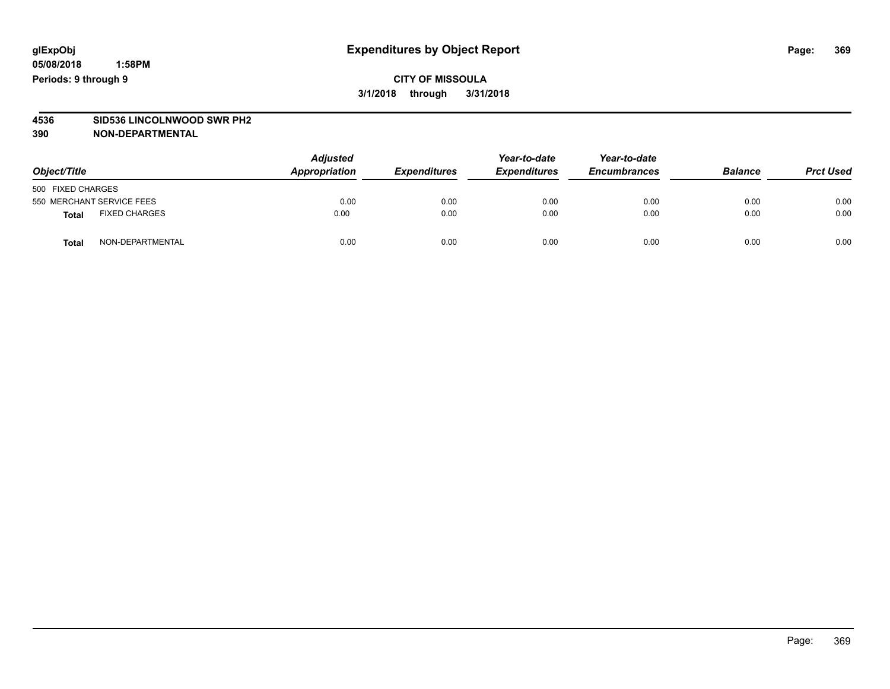# **4536 SID536 LINCOLNWOOD SWR PH2**

| Object/Title      |                           | <b>Adjusted</b><br>Appropriation | <b>Expenditures</b> | Year-to-date<br><b>Expenditures</b> | Year-to-date<br><b>Encumbrances</b> | <b>Balance</b> | <b>Prct Used</b> |
|-------------------|---------------------------|----------------------------------|---------------------|-------------------------------------|-------------------------------------|----------------|------------------|
| 500 FIXED CHARGES |                           |                                  |                     |                                     |                                     |                |                  |
|                   | 550 MERCHANT SERVICE FEES | 0.00                             | 0.00                | 0.00                                | 0.00                                | 0.00           | 0.00             |
| <b>Total</b>      | <b>FIXED CHARGES</b>      | 0.00                             | 0.00                | 0.00                                | 0.00                                | 0.00           | 0.00             |
| <b>Total</b>      | NON-DEPARTMENTAL          | 0.00                             | 0.00                | 0.00                                | 0.00                                | 0.00           | 0.00             |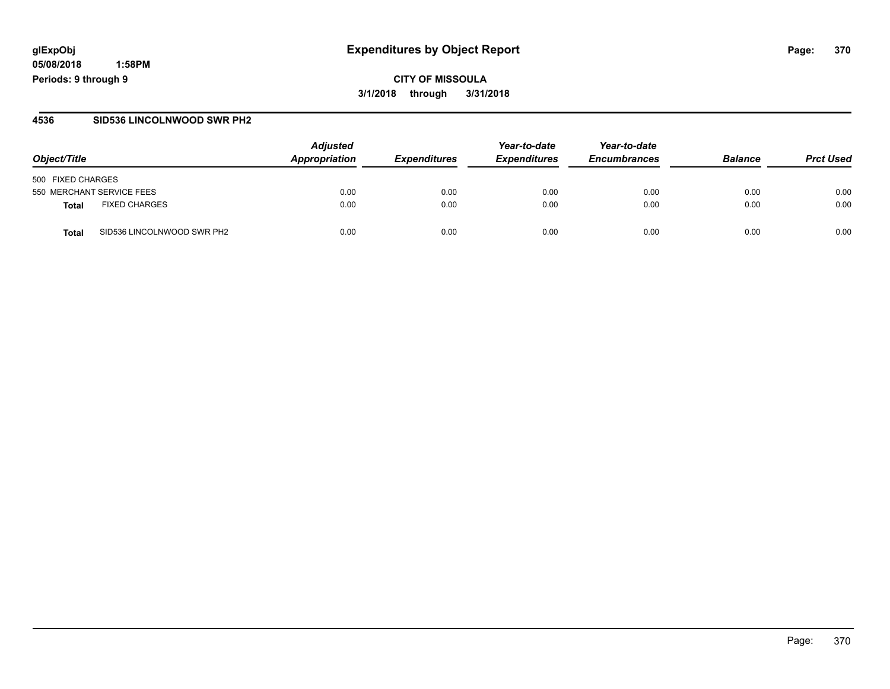**CITY OF MISSOULA 3/1/2018 through 3/31/2018**

#### **4536 SID536 LINCOLNWOOD SWR PH2**

|                                            | <b>Adjusted</b> |                     | Year-to-date        | Year-to-date        |                |                  |
|--------------------------------------------|-----------------|---------------------|---------------------|---------------------|----------------|------------------|
| Object/Title                               | Appropriation   | <b>Expenditures</b> | <b>Expenditures</b> | <b>Encumbrances</b> | <b>Balance</b> | <b>Prct Used</b> |
| 500 FIXED CHARGES                          |                 |                     |                     |                     |                |                  |
| 550 MERCHANT SERVICE FEES                  | 0.00            | 0.00                | 0.00                | 0.00                | 0.00           | 0.00             |
| <b>FIXED CHARGES</b><br>Total              | 0.00            | 0.00                | 0.00                | 0.00                | 0.00           | 0.00             |
| SID536 LINCOLNWOOD SWR PH2<br><b>Total</b> | 0.00            | 0.00                | 0.00                | 0.00                | 0.00           | 0.00             |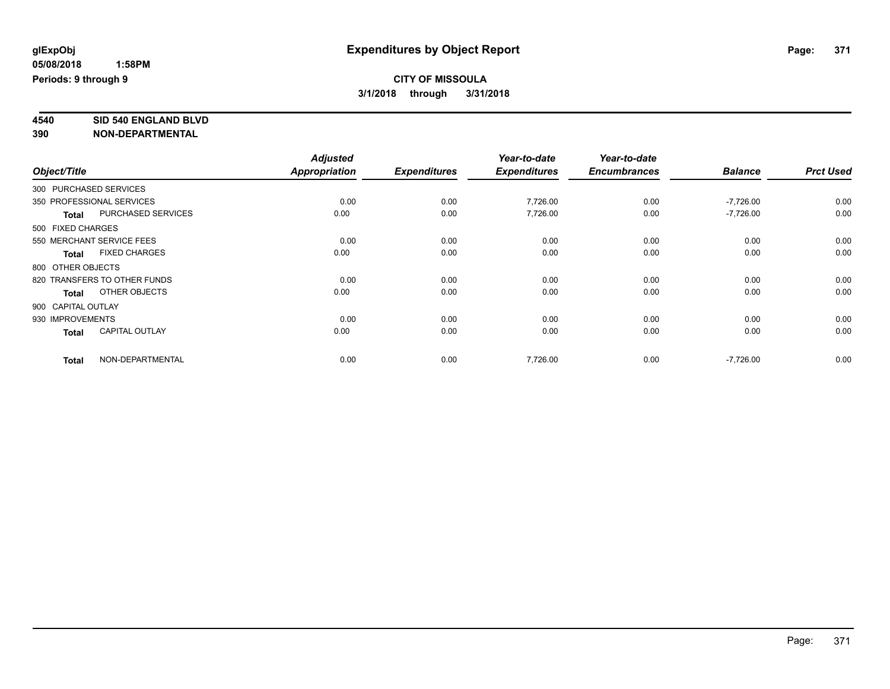**4540 SID 540 ENGLAND BLVD**

|                        |                              | <b>Adjusted</b> |                     | Year-to-date        | Year-to-date        |                |                  |
|------------------------|------------------------------|-----------------|---------------------|---------------------|---------------------|----------------|------------------|
| Object/Title           |                              | Appropriation   | <b>Expenditures</b> | <b>Expenditures</b> | <b>Encumbrances</b> | <b>Balance</b> | <b>Prct Used</b> |
| 300 PURCHASED SERVICES |                              |                 |                     |                     |                     |                |                  |
|                        | 350 PROFESSIONAL SERVICES    | 0.00            | 0.00                | 7,726.00            | 0.00                | $-7,726.00$    | 0.00             |
| <b>Total</b>           | PURCHASED SERVICES           | 0.00            | 0.00                | 7,726.00            | 0.00                | $-7,726.00$    | 0.00             |
| 500 FIXED CHARGES      |                              |                 |                     |                     |                     |                |                  |
|                        | 550 MERCHANT SERVICE FEES    | 0.00            | 0.00                | 0.00                | 0.00                | 0.00           | 0.00             |
| <b>Total</b>           | <b>FIXED CHARGES</b>         | 0.00            | 0.00                | 0.00                | 0.00                | 0.00           | 0.00             |
| 800 OTHER OBJECTS      |                              |                 |                     |                     |                     |                |                  |
|                        | 820 TRANSFERS TO OTHER FUNDS | 0.00            | 0.00                | 0.00                | 0.00                | 0.00           | 0.00             |
| <b>Total</b>           | OTHER OBJECTS                | 0.00            | 0.00                | 0.00                | 0.00                | 0.00           | 0.00             |
| 900 CAPITAL OUTLAY     |                              |                 |                     |                     |                     |                |                  |
| 930 IMPROVEMENTS       |                              | 0.00            | 0.00                | 0.00                | 0.00                | 0.00           | 0.00             |
| <b>Total</b>           | <b>CAPITAL OUTLAY</b>        | 0.00            | 0.00                | 0.00                | 0.00                | 0.00           | 0.00             |
| <b>Total</b>           | NON-DEPARTMENTAL             | 0.00            | 0.00                | 7,726.00            | 0.00                | $-7,726.00$    | 0.00             |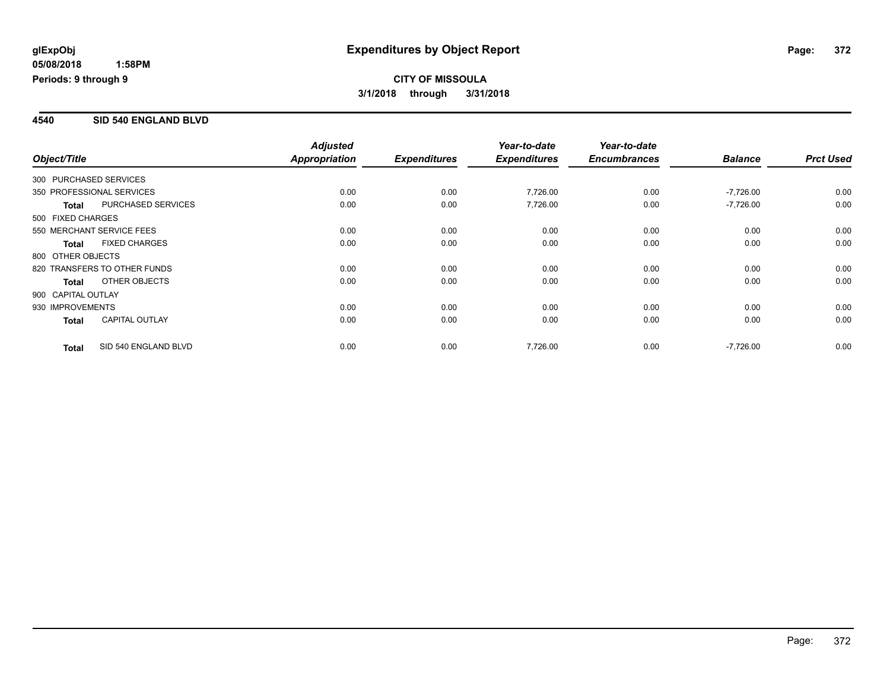#### **4540 SID 540 ENGLAND BLVD**

|                        |                              | <b>Adjusted</b> |                     | Year-to-date        | Year-to-date        |                |                  |
|------------------------|------------------------------|-----------------|---------------------|---------------------|---------------------|----------------|------------------|
| Object/Title           |                              | Appropriation   | <b>Expenditures</b> | <b>Expenditures</b> | <b>Encumbrances</b> | <b>Balance</b> | <b>Prct Used</b> |
| 300 PURCHASED SERVICES |                              |                 |                     |                     |                     |                |                  |
|                        | 350 PROFESSIONAL SERVICES    | 0.00            | 0.00                | 7,726.00            | 0.00                | $-7,726.00$    | 0.00             |
| <b>Total</b>           | PURCHASED SERVICES           | 0.00            | 0.00                | 7,726.00            | 0.00                | $-7,726.00$    | 0.00             |
| 500 FIXED CHARGES      |                              |                 |                     |                     |                     |                |                  |
|                        | 550 MERCHANT SERVICE FEES    | 0.00            | 0.00                | 0.00                | 0.00                | 0.00           | 0.00             |
| <b>Total</b>           | <b>FIXED CHARGES</b>         | 0.00            | 0.00                | 0.00                | 0.00                | 0.00           | 0.00             |
| 800 OTHER OBJECTS      |                              |                 |                     |                     |                     |                |                  |
|                        | 820 TRANSFERS TO OTHER FUNDS | 0.00            | 0.00                | 0.00                | 0.00                | 0.00           | 0.00             |
| <b>Total</b>           | OTHER OBJECTS                | 0.00            | 0.00                | 0.00                | 0.00                | 0.00           | 0.00             |
| 900 CAPITAL OUTLAY     |                              |                 |                     |                     |                     |                |                  |
| 930 IMPROVEMENTS       |                              | 0.00            | 0.00                | 0.00                | 0.00                | 0.00           | 0.00             |
| <b>Total</b>           | <b>CAPITAL OUTLAY</b>        | 0.00            | 0.00                | 0.00                | 0.00                | 0.00           | 0.00             |
| <b>Total</b>           | SID 540 ENGLAND BLVD         | 0.00            | 0.00                | 7,726.00            | 0.00                | $-7,726.00$    | 0.00             |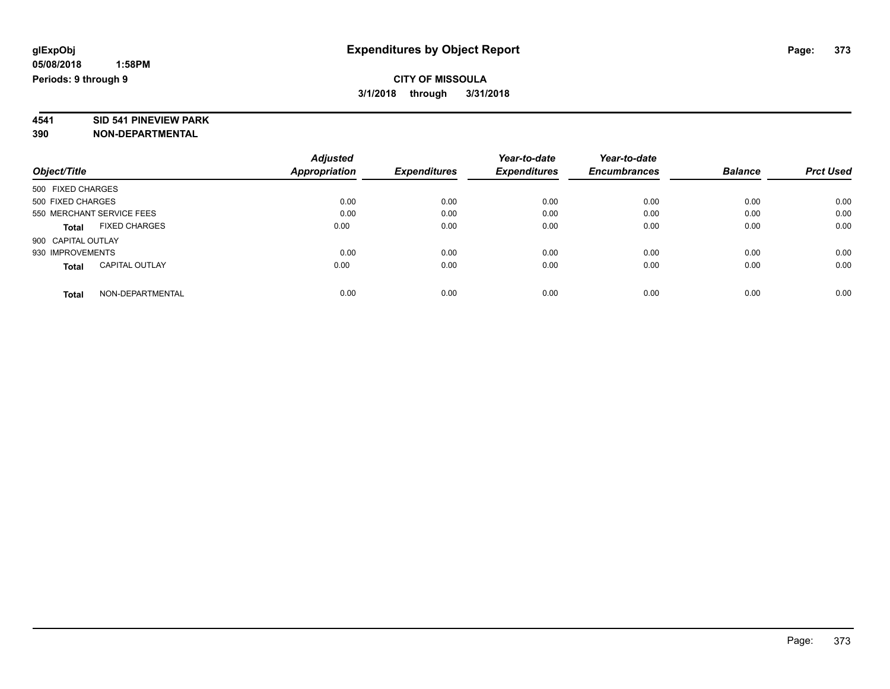# **4541 SID 541 PINEVIEW PARK**

|                                       | <b>Adjusted</b> |                     | Year-to-date        | Year-to-date        |                |                  |
|---------------------------------------|-----------------|---------------------|---------------------|---------------------|----------------|------------------|
| Object/Title                          | Appropriation   | <b>Expenditures</b> | <b>Expenditures</b> | <b>Encumbrances</b> | <b>Balance</b> | <b>Prct Used</b> |
| 500 FIXED CHARGES                     |                 |                     |                     |                     |                |                  |
| 500 FIXED CHARGES                     | 0.00            | 0.00                | 0.00                | 0.00                | 0.00           | 0.00             |
| 550 MERCHANT SERVICE FEES             | 0.00            | 0.00                | 0.00                | 0.00                | 0.00           | 0.00             |
| <b>FIXED CHARGES</b><br><b>Total</b>  | 0.00            | 0.00                | 0.00                | 0.00                | 0.00           | 0.00             |
| 900 CAPITAL OUTLAY                    |                 |                     |                     |                     |                |                  |
| 930 IMPROVEMENTS                      | 0.00            | 0.00                | 0.00                | 0.00                | 0.00           | 0.00             |
| <b>CAPITAL OUTLAY</b><br><b>Total</b> | 0.00            | 0.00                | 0.00                | 0.00                | 0.00           | 0.00             |
| NON-DEPARTMENTAL<br><b>Total</b>      | 0.00            | 0.00                | 0.00                | 0.00                | 0.00           | 0.00             |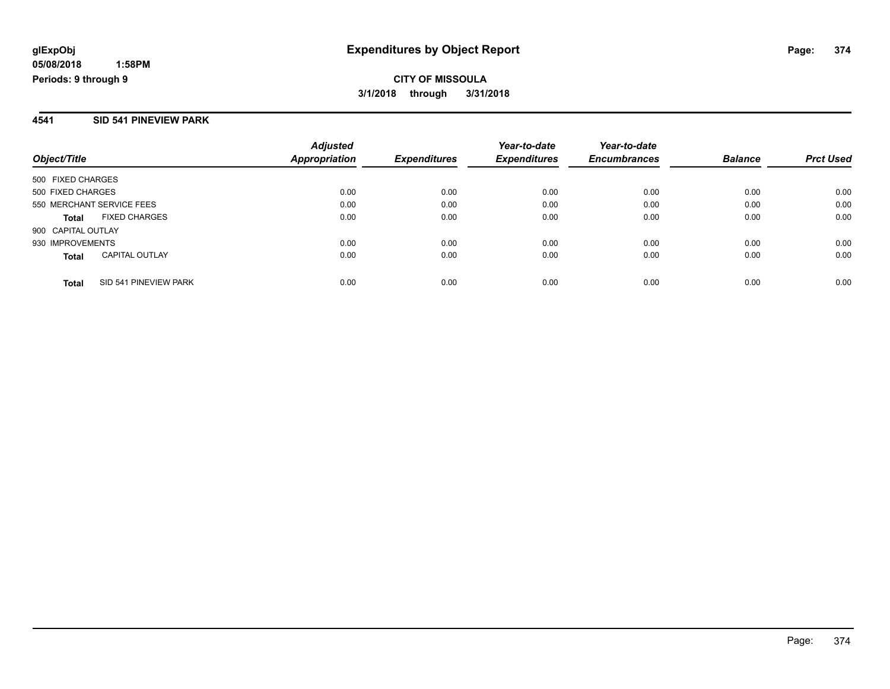#### **4541 SID 541 PINEVIEW PARK**

| Object/Title                          | <b>Adjusted</b><br><b>Appropriation</b> | <b>Expenditures</b> | Year-to-date<br><b>Expenditures</b> | Year-to-date<br><b>Encumbrances</b> | <b>Balance</b> | <b>Prct Used</b> |
|---------------------------------------|-----------------------------------------|---------------------|-------------------------------------|-------------------------------------|----------------|------------------|
| 500 FIXED CHARGES                     |                                         |                     |                                     |                                     |                |                  |
| 500 FIXED CHARGES                     | 0.00                                    | 0.00                | 0.00                                | 0.00                                | 0.00           | 0.00             |
| 550 MERCHANT SERVICE FEES             | 0.00                                    | 0.00                | 0.00                                | 0.00                                | 0.00           | 0.00             |
| <b>FIXED CHARGES</b><br><b>Total</b>  | 0.00                                    | 0.00                | 0.00                                | 0.00                                | 0.00           | 0.00             |
| 900 CAPITAL OUTLAY                    |                                         |                     |                                     |                                     |                |                  |
| 930 IMPROVEMENTS                      | 0.00                                    | 0.00                | 0.00                                | 0.00                                | 0.00           | 0.00             |
| <b>CAPITAL OUTLAY</b><br><b>Total</b> | 0.00                                    | 0.00                | 0.00                                | 0.00                                | 0.00           | 0.00             |
| SID 541 PINEVIEW PARK<br><b>Total</b> | 0.00                                    | 0.00                | 0.00                                | 0.00                                | 0.00           | 0.00             |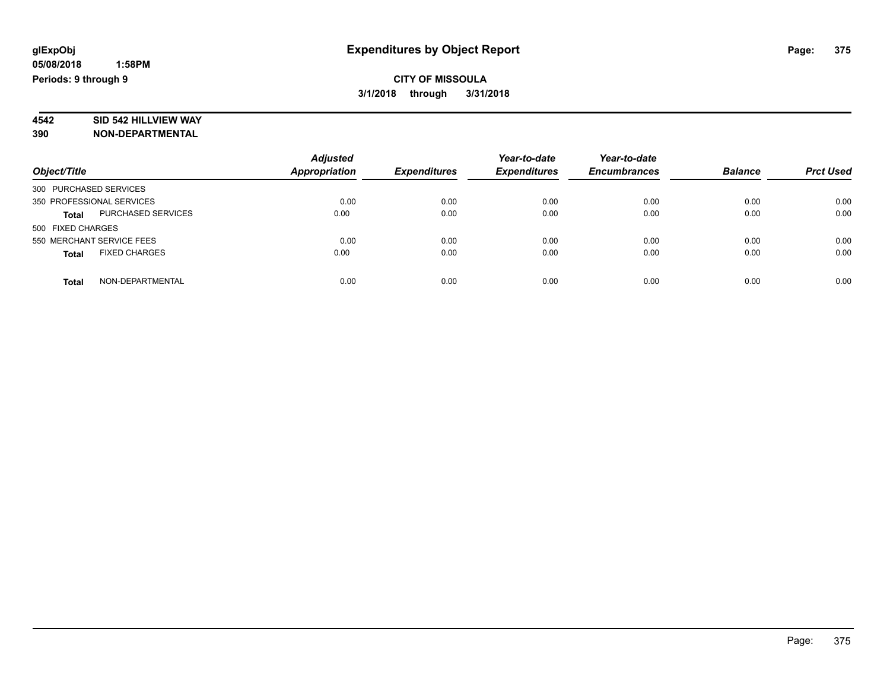# **4542 SID 542 HILLVIEW WAY**

|                                           | <b>Adjusted</b>      |                     | Year-to-date        | Year-to-date        |                |                  |
|-------------------------------------------|----------------------|---------------------|---------------------|---------------------|----------------|------------------|
| Object/Title                              | <b>Appropriation</b> | <b>Expenditures</b> | <b>Expenditures</b> | <b>Encumbrances</b> | <b>Balance</b> | <b>Prct Used</b> |
| 300 PURCHASED SERVICES                    |                      |                     |                     |                     |                |                  |
| 350 PROFESSIONAL SERVICES                 | 0.00                 | 0.00                | 0.00                | 0.00                | 0.00           | 0.00             |
| <b>PURCHASED SERVICES</b><br><b>Total</b> | 0.00                 | 0.00                | 0.00                | 0.00                | 0.00           | 0.00             |
| 500 FIXED CHARGES                         |                      |                     |                     |                     |                |                  |
| 550 MERCHANT SERVICE FEES                 | 0.00                 | 0.00                | 0.00                | 0.00                | 0.00           | 0.00             |
| <b>FIXED CHARGES</b><br><b>Total</b>      | 0.00                 | 0.00                | 0.00                | 0.00                | 0.00           | 0.00             |
| NON-DEPARTMENTAL<br><b>Total</b>          | 0.00                 | 0.00                | 0.00                | 0.00                | 0.00           | 0.00             |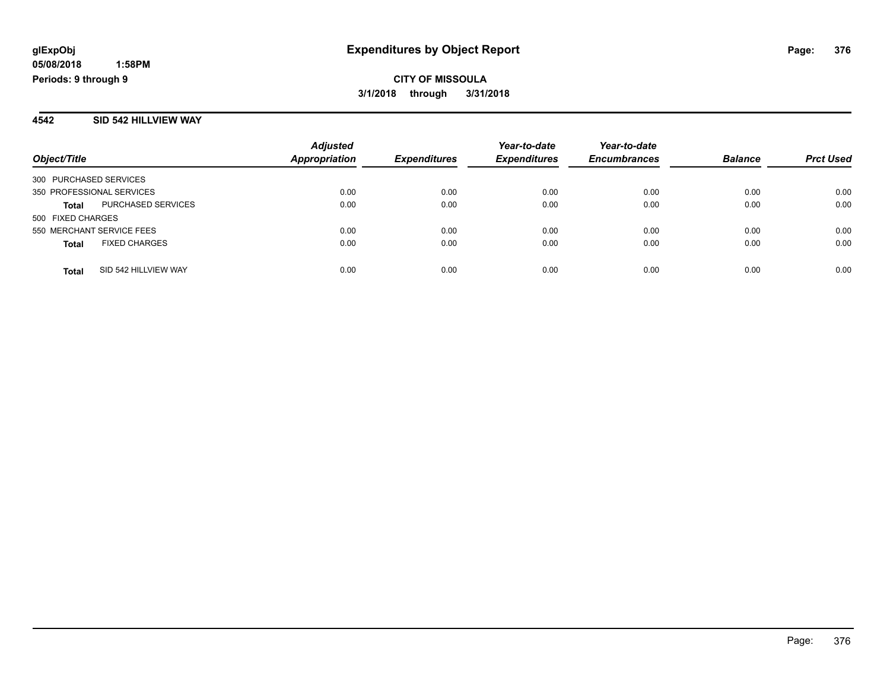#### **4542 SID 542 HILLVIEW WAY**

|                           |                      | <b>Adjusted</b>      |                     | Year-to-date        | Year-to-date        |                |                  |
|---------------------------|----------------------|----------------------|---------------------|---------------------|---------------------|----------------|------------------|
| Object/Title              |                      | <b>Appropriation</b> | <b>Expenditures</b> | <b>Expenditures</b> | <b>Encumbrances</b> | <b>Balance</b> | <b>Prct Used</b> |
| 300 PURCHASED SERVICES    |                      |                      |                     |                     |                     |                |                  |
| 350 PROFESSIONAL SERVICES |                      | 0.00                 | 0.00                | 0.00                | 0.00                | 0.00           | 0.00             |
| <b>Total</b>              | PURCHASED SERVICES   | 0.00                 | 0.00                | 0.00                | 0.00                | 0.00           | 0.00             |
| 500 FIXED CHARGES         |                      |                      |                     |                     |                     |                |                  |
| 550 MERCHANT SERVICE FEES |                      | 0.00                 | 0.00                | 0.00                | 0.00                | 0.00           | 0.00             |
| <b>Total</b>              | <b>FIXED CHARGES</b> | 0.00                 | 0.00                | 0.00                | 0.00                | 0.00           | 0.00             |
| <b>Total</b>              | SID 542 HILLVIEW WAY | 0.00                 | 0.00                | 0.00                | 0.00                | 0.00           | 0.00             |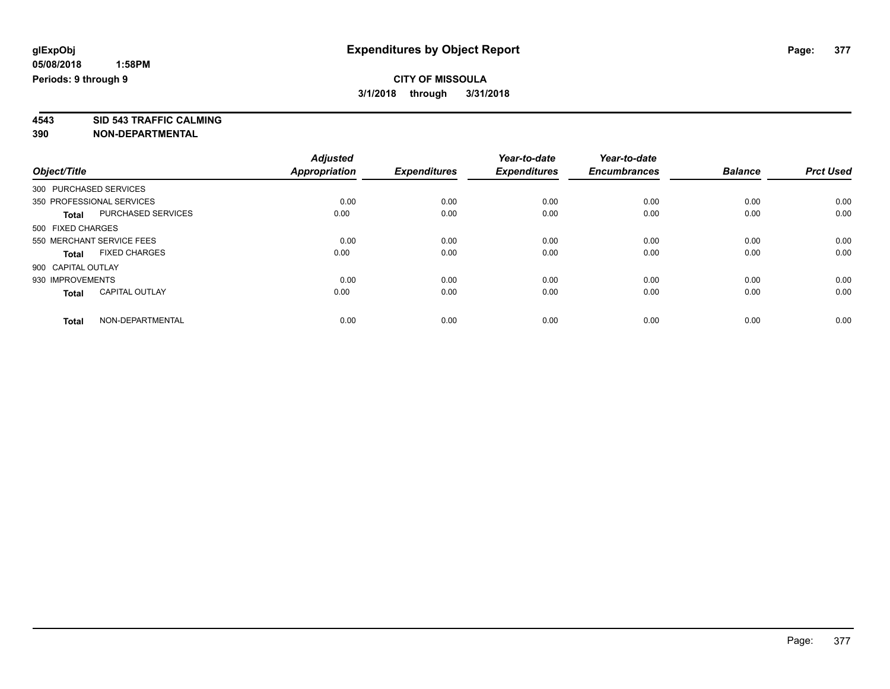**4543 SID 543 TRAFFIC CALMING**

|                        |                           | <b>Adjusted</b> |                     | Year-to-date        | Year-to-date        |                |                  |
|------------------------|---------------------------|-----------------|---------------------|---------------------|---------------------|----------------|------------------|
| Object/Title           |                           | Appropriation   | <b>Expenditures</b> | <b>Expenditures</b> | <b>Encumbrances</b> | <b>Balance</b> | <b>Prct Used</b> |
| 300 PURCHASED SERVICES |                           |                 |                     |                     |                     |                |                  |
|                        | 350 PROFESSIONAL SERVICES | 0.00            | 0.00                | 0.00                | 0.00                | 0.00           | 0.00             |
| Total                  | PURCHASED SERVICES        | 0.00            | 0.00                | 0.00                | 0.00                | 0.00           | 0.00             |
| 500 FIXED CHARGES      |                           |                 |                     |                     |                     |                |                  |
|                        | 550 MERCHANT SERVICE FEES | 0.00            | 0.00                | 0.00                | 0.00                | 0.00           | 0.00             |
| <b>Total</b>           | <b>FIXED CHARGES</b>      | 0.00            | 0.00                | 0.00                | 0.00                | 0.00           | 0.00             |
| 900 CAPITAL OUTLAY     |                           |                 |                     |                     |                     |                |                  |
| 930 IMPROVEMENTS       |                           | 0.00            | 0.00                | 0.00                | 0.00                | 0.00           | 0.00             |
| <b>Total</b>           | <b>CAPITAL OUTLAY</b>     | 0.00            | 0.00                | 0.00                | 0.00                | 0.00           | 0.00             |
| Total                  | NON-DEPARTMENTAL          | 0.00            | 0.00                | 0.00                | 0.00                | 0.00           | 0.00             |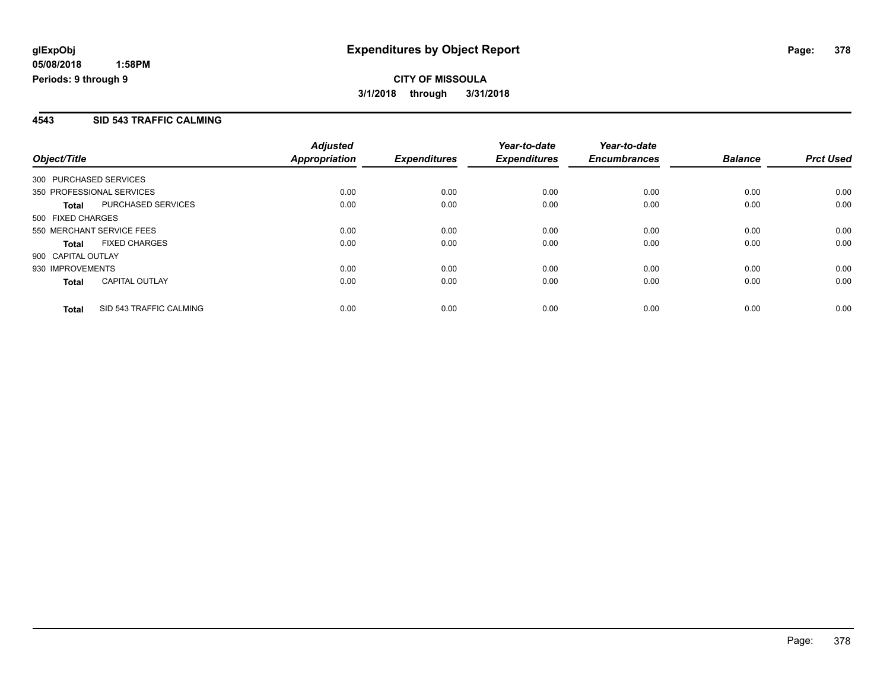#### **4543 SID 543 TRAFFIC CALMING**

|                                         | <b>Adjusted</b> |                     | Year-to-date        | Year-to-date        |                |                  |
|-----------------------------------------|-----------------|---------------------|---------------------|---------------------|----------------|------------------|
| Object/Title                            | Appropriation   | <b>Expenditures</b> | <b>Expenditures</b> | <b>Encumbrances</b> | <b>Balance</b> | <b>Prct Used</b> |
| 300 PURCHASED SERVICES                  |                 |                     |                     |                     |                |                  |
| 350 PROFESSIONAL SERVICES               | 0.00            | 0.00                | 0.00                | 0.00                | 0.00           | 0.00             |
| PURCHASED SERVICES<br><b>Total</b>      | 0.00            | 0.00                | 0.00                | 0.00                | 0.00           | 0.00             |
| 500 FIXED CHARGES                       |                 |                     |                     |                     |                |                  |
| 550 MERCHANT SERVICE FEES               | 0.00            | 0.00                | 0.00                | 0.00                | 0.00           | 0.00             |
| <b>FIXED CHARGES</b><br><b>Total</b>    | 0.00            | 0.00                | 0.00                | 0.00                | 0.00           | 0.00             |
| 900 CAPITAL OUTLAY                      |                 |                     |                     |                     |                |                  |
| 930 IMPROVEMENTS                        | 0.00            | 0.00                | 0.00                | 0.00                | 0.00           | 0.00             |
| <b>CAPITAL OUTLAY</b><br><b>Total</b>   | 0.00            | 0.00                | 0.00                | 0.00                | 0.00           | 0.00             |
| SID 543 TRAFFIC CALMING<br><b>Total</b> | 0.00            | 0.00                | 0.00                | 0.00                | 0.00           | 0.00             |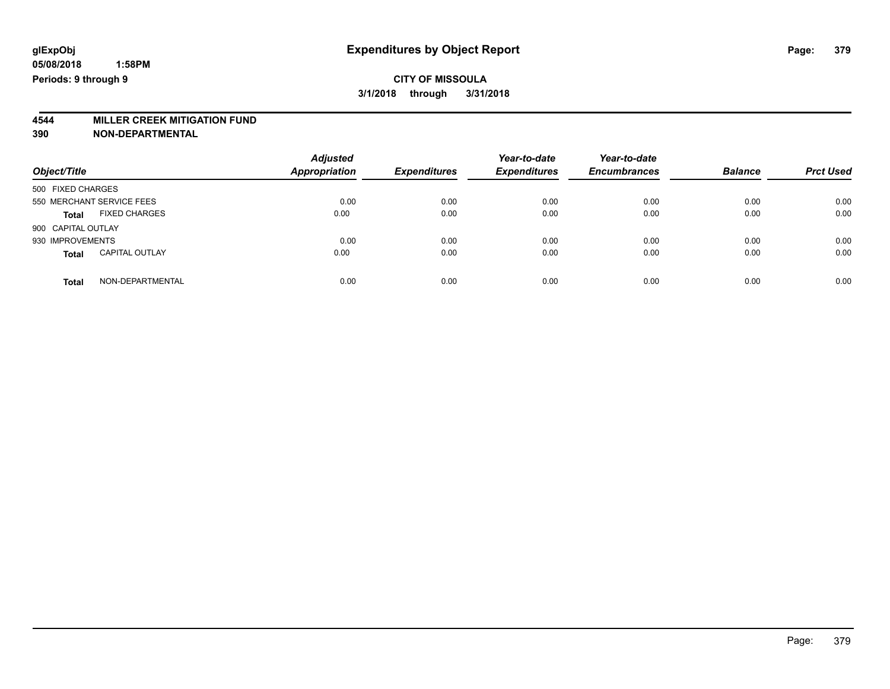# **4544 MILLER CREEK MITIGATION FUND**

| Object/Title                          | <b>Adjusted</b><br><b>Appropriation</b> | <b>Expenditures</b> | Year-to-date<br><b>Expenditures</b> | Year-to-date<br><b>Encumbrances</b> | <b>Balance</b> | <b>Prct Used</b> |
|---------------------------------------|-----------------------------------------|---------------------|-------------------------------------|-------------------------------------|----------------|------------------|
| 500 FIXED CHARGES                     |                                         |                     |                                     |                                     |                |                  |
| 550 MERCHANT SERVICE FEES             | 0.00                                    | 0.00                | 0.00                                | 0.00                                | 0.00           | 0.00             |
| <b>FIXED CHARGES</b><br><b>Total</b>  | 0.00                                    | 0.00                | 0.00                                | 0.00                                | 0.00           | 0.00             |
| 900 CAPITAL OUTLAY                    |                                         |                     |                                     |                                     |                |                  |
| 930 IMPROVEMENTS                      | 0.00                                    | 0.00                | 0.00                                | 0.00                                | 0.00           | 0.00             |
| <b>CAPITAL OUTLAY</b><br><b>Total</b> | 0.00                                    | 0.00                | 0.00                                | 0.00                                | 0.00           | 0.00             |
| NON-DEPARTMENTAL<br>Total             | 0.00                                    | 0.00                | 0.00                                | 0.00                                | 0.00           | 0.00             |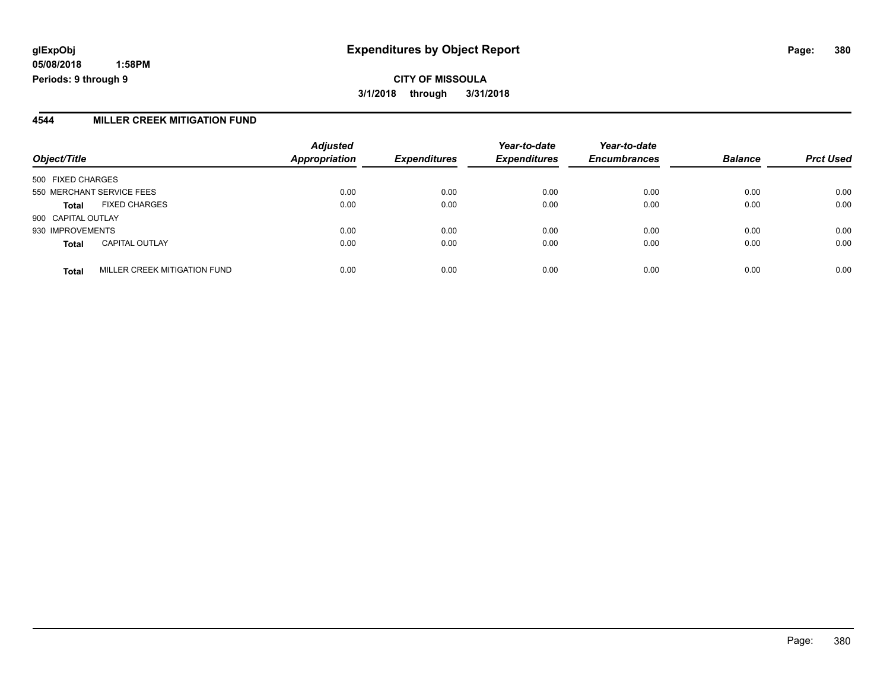**CITY OF MISSOULA 3/1/2018 through 3/31/2018**

#### **4544 MILLER CREEK MITIGATION FUND**

| Object/Title       |                              | <b>Adjusted</b><br>Appropriation | <b>Expenditures</b> | Year-to-date<br><b>Expenditures</b> | Year-to-date<br><b>Encumbrances</b> | <b>Balance</b> | <b>Prct Used</b> |
|--------------------|------------------------------|----------------------------------|---------------------|-------------------------------------|-------------------------------------|----------------|------------------|
| 500 FIXED CHARGES  |                              |                                  |                     |                                     |                                     |                |                  |
|                    | 550 MERCHANT SERVICE FEES    | 0.00                             | 0.00                | 0.00                                | 0.00                                | 0.00           | 0.00             |
| <b>Total</b>       | <b>FIXED CHARGES</b>         | 0.00                             | 0.00                | 0.00                                | 0.00                                | 0.00           | 0.00             |
| 900 CAPITAL OUTLAY |                              |                                  |                     |                                     |                                     |                |                  |
| 930 IMPROVEMENTS   |                              | 0.00                             | 0.00                | 0.00                                | 0.00                                | 0.00           | 0.00             |
| <b>Total</b>       | <b>CAPITAL OUTLAY</b>        | 0.00                             | 0.00                | 0.00                                | 0.00                                | 0.00           | 0.00             |
| <b>Total</b>       | MILLER CREEK MITIGATION FUND | 0.00                             | 0.00                | 0.00                                | 0.00                                | 0.00           | 0.00             |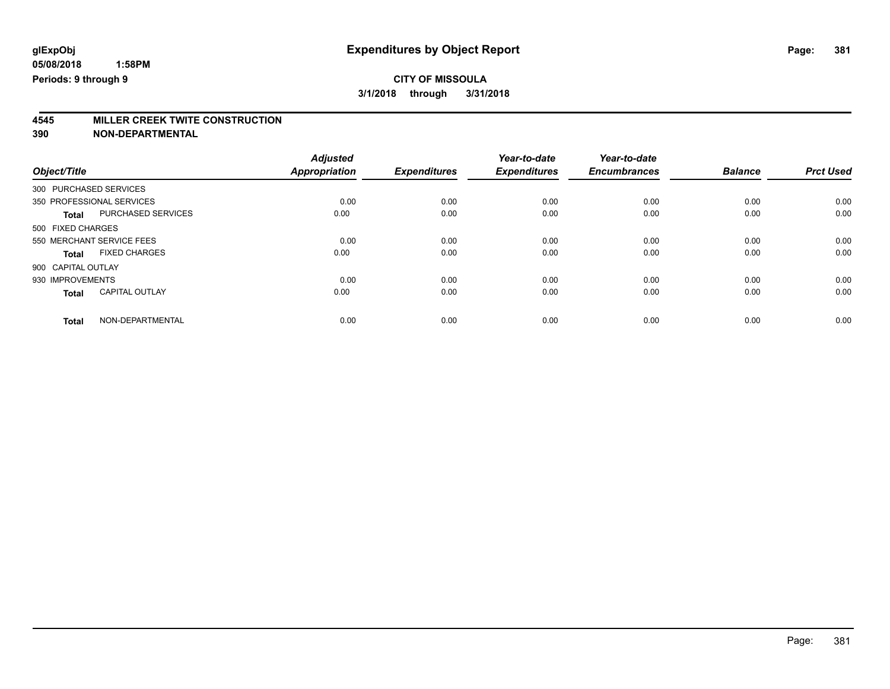# **4545 MILLER CREEK TWITE CONSTRUCTION**

|                        |                           | <b>Adjusted</b>      |                     | Year-to-date        | Year-to-date        |                |                  |
|------------------------|---------------------------|----------------------|---------------------|---------------------|---------------------|----------------|------------------|
| Object/Title           |                           | <b>Appropriation</b> | <b>Expenditures</b> | <b>Expenditures</b> | <b>Encumbrances</b> | <b>Balance</b> | <b>Prct Used</b> |
| 300 PURCHASED SERVICES |                           |                      |                     |                     |                     |                |                  |
|                        | 350 PROFESSIONAL SERVICES | 0.00                 | 0.00                | 0.00                | 0.00                | 0.00           | 0.00             |
| <b>Total</b>           | PURCHASED SERVICES        | 0.00                 | 0.00                | 0.00                | 0.00                | 0.00           | 0.00             |
| 500 FIXED CHARGES      |                           |                      |                     |                     |                     |                |                  |
|                        | 550 MERCHANT SERVICE FEES | 0.00                 | 0.00                | 0.00                | 0.00                | 0.00           | 0.00             |
| <b>Total</b>           | <b>FIXED CHARGES</b>      | 0.00                 | 0.00                | 0.00                | 0.00                | 0.00           | 0.00             |
| 900 CAPITAL OUTLAY     |                           |                      |                     |                     |                     |                |                  |
| 930 IMPROVEMENTS       |                           | 0.00                 | 0.00                | 0.00                | 0.00                | 0.00           | 0.00             |
| <b>Total</b>           | <b>CAPITAL OUTLAY</b>     | 0.00                 | 0.00                | 0.00                | 0.00                | 0.00           | 0.00             |
| <b>Total</b>           | NON-DEPARTMENTAL          | 0.00                 | 0.00                | 0.00                | 0.00                | 0.00           | 0.00             |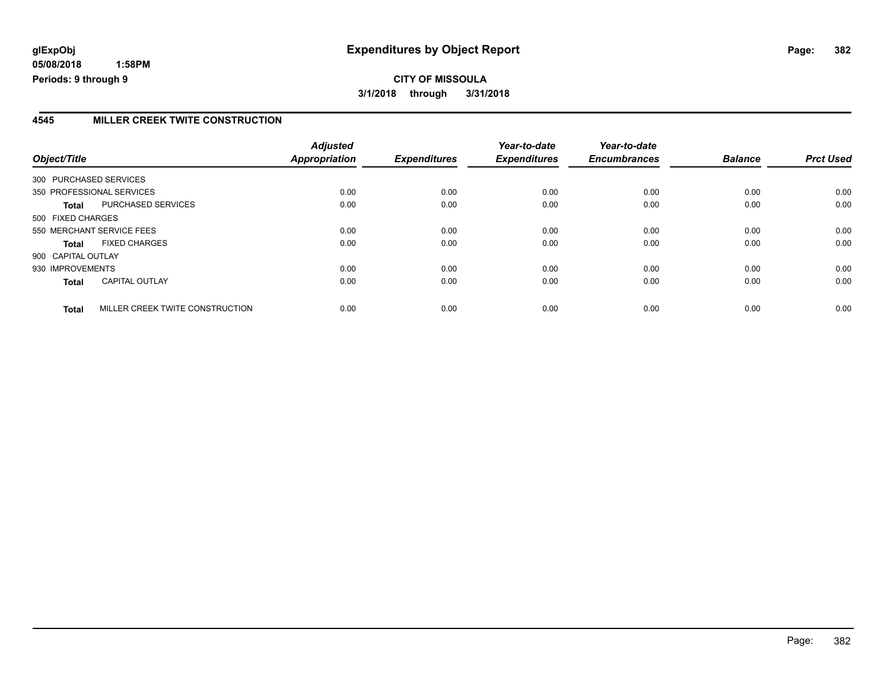#### **4545 MILLER CREEK TWITE CONSTRUCTION**

|                           |                                 | <b>Adjusted</b> |                     | Year-to-date        | Year-to-date        |                |                  |
|---------------------------|---------------------------------|-----------------|---------------------|---------------------|---------------------|----------------|------------------|
| Object/Title              |                                 | Appropriation   | <b>Expenditures</b> | <b>Expenditures</b> | <b>Encumbrances</b> | <b>Balance</b> | <b>Prct Used</b> |
| 300 PURCHASED SERVICES    |                                 |                 |                     |                     |                     |                |                  |
| 350 PROFESSIONAL SERVICES |                                 | 0.00            | 0.00                | 0.00                | 0.00                | 0.00           | 0.00             |
| <b>Total</b>              | <b>PURCHASED SERVICES</b>       | 0.00            | 0.00                | 0.00                | 0.00                | 0.00           | 0.00             |
| 500 FIXED CHARGES         |                                 |                 |                     |                     |                     |                |                  |
| 550 MERCHANT SERVICE FEES |                                 | 0.00            | 0.00                | 0.00                | 0.00                | 0.00           | 0.00             |
| <b>Total</b>              | <b>FIXED CHARGES</b>            | 0.00            | 0.00                | 0.00                | 0.00                | 0.00           | 0.00             |
| 900 CAPITAL OUTLAY        |                                 |                 |                     |                     |                     |                |                  |
| 930 IMPROVEMENTS          |                                 | 0.00            | 0.00                | 0.00                | 0.00                | 0.00           | 0.00             |
| <b>Total</b>              | <b>CAPITAL OUTLAY</b>           | 0.00            | 0.00                | 0.00                | 0.00                | 0.00           | 0.00             |
| <b>Total</b>              | MILLER CREEK TWITE CONSTRUCTION | 0.00            | 0.00                | 0.00                | 0.00                | 0.00           | 0.00             |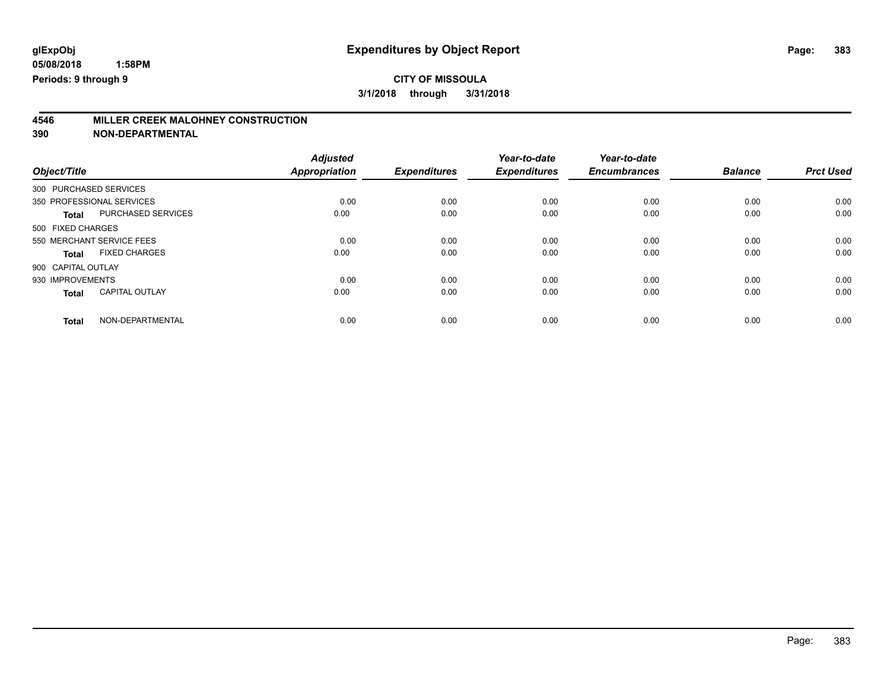## **CITY OF MISSOULA**

**3/1/2018 through 3/31/2018**

# **4546 MILLER CREEK MALOHNEY CONSTRUCTION**

|                        |                           | <b>Adjusted</b>      |                     | Year-to-date        | Year-to-date        |                |                  |
|------------------------|---------------------------|----------------------|---------------------|---------------------|---------------------|----------------|------------------|
| Object/Title           |                           | <b>Appropriation</b> | <b>Expenditures</b> | <b>Expenditures</b> | <b>Encumbrances</b> | <b>Balance</b> | <b>Prct Used</b> |
| 300 PURCHASED SERVICES |                           |                      |                     |                     |                     |                |                  |
|                        | 350 PROFESSIONAL SERVICES | 0.00                 | 0.00                | 0.00                | 0.00                | 0.00           | 0.00             |
| <b>Total</b>           | PURCHASED SERVICES        | 0.00                 | 0.00                | 0.00                | 0.00                | 0.00           | 0.00             |
| 500 FIXED CHARGES      |                           |                      |                     |                     |                     |                |                  |
|                        | 550 MERCHANT SERVICE FEES | 0.00                 | 0.00                | 0.00                | 0.00                | 0.00           | 0.00             |
| Total                  | <b>FIXED CHARGES</b>      | 0.00                 | 0.00                | 0.00                | 0.00                | 0.00           | 0.00             |
| 900 CAPITAL OUTLAY     |                           |                      |                     |                     |                     |                |                  |
| 930 IMPROVEMENTS       |                           | 0.00                 | 0.00                | 0.00                | 0.00                | 0.00           | 0.00             |
| <b>Total</b>           | <b>CAPITAL OUTLAY</b>     | 0.00                 | 0.00                | 0.00                | 0.00                | 0.00           | 0.00             |
| <b>Total</b>           | NON-DEPARTMENTAL          | 0.00                 | 0.00                | 0.00                | 0.00                | 0.00           | 0.00             |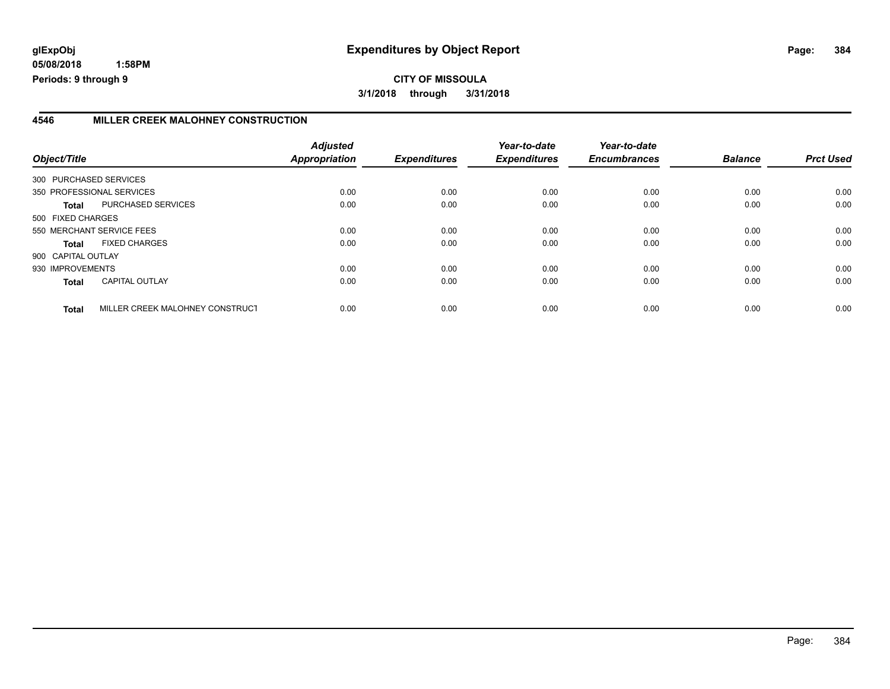#### **4546 MILLER CREEK MALOHNEY CONSTRUCTION**

| Object/Title           |                                 | <b>Adjusted</b><br><b>Appropriation</b> | <b>Expenditures</b> | Year-to-date<br><b>Expenditures</b> | Year-to-date<br><b>Encumbrances</b> | <b>Balance</b> | <b>Prct Used</b> |
|------------------------|---------------------------------|-----------------------------------------|---------------------|-------------------------------------|-------------------------------------|----------------|------------------|
| 300 PURCHASED SERVICES |                                 |                                         |                     |                                     |                                     |                |                  |
|                        | 350 PROFESSIONAL SERVICES       | 0.00                                    | 0.00                | 0.00                                | 0.00                                | 0.00           | 0.00             |
| Total                  | PURCHASED SERVICES              | 0.00                                    | 0.00                | 0.00                                | 0.00                                | 0.00           | 0.00             |
| 500 FIXED CHARGES      |                                 |                                         |                     |                                     |                                     |                |                  |
|                        | 550 MERCHANT SERVICE FEES       | 0.00                                    | 0.00                | 0.00                                | 0.00                                | 0.00           | 0.00             |
| Total                  | <b>FIXED CHARGES</b>            | 0.00                                    | 0.00                | 0.00                                | 0.00                                | 0.00           | 0.00             |
| 900 CAPITAL OUTLAY     |                                 |                                         |                     |                                     |                                     |                |                  |
| 930 IMPROVEMENTS       |                                 | 0.00                                    | 0.00                | 0.00                                | 0.00                                | 0.00           | 0.00             |
| <b>Total</b>           | <b>CAPITAL OUTLAY</b>           | 0.00                                    | 0.00                | 0.00                                | 0.00                                | 0.00           | 0.00             |
| <b>Total</b>           | MILLER CREEK MALOHNEY CONSTRUCT | 0.00                                    | 0.00                | 0.00                                | 0.00                                | 0.00           | 0.00             |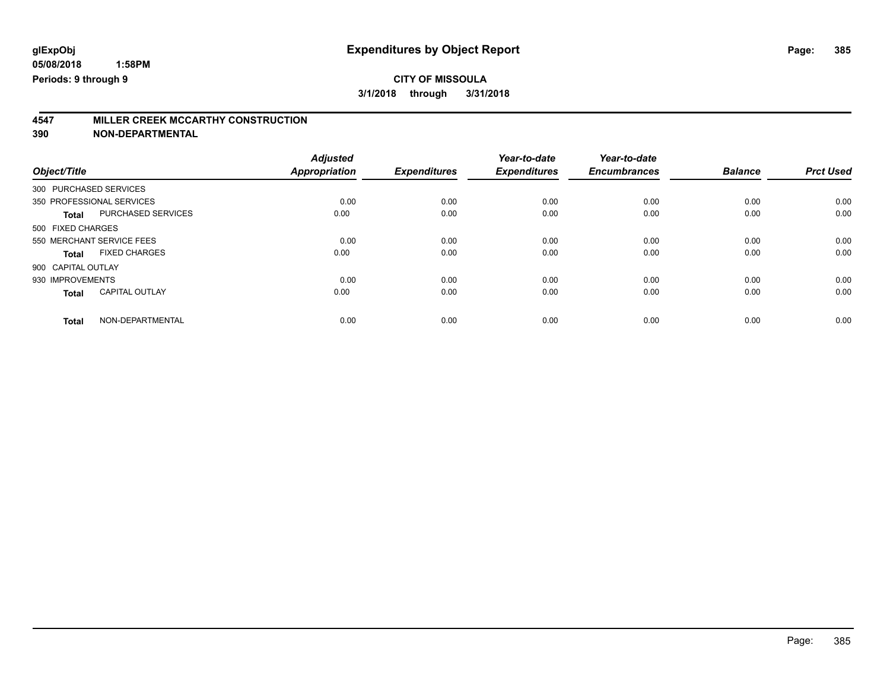## **CITY OF MISSOULA**

**3/1/2018 through 3/31/2018**

## **4547 MILLER CREEK MCCARTHY CONSTRUCTION**

|                        |                           | <b>Adjusted</b>      |                     | Year-to-date        | Year-to-date        |                |                  |
|------------------------|---------------------------|----------------------|---------------------|---------------------|---------------------|----------------|------------------|
| Object/Title           |                           | <b>Appropriation</b> | <b>Expenditures</b> | <b>Expenditures</b> | <b>Encumbrances</b> | <b>Balance</b> | <b>Prct Used</b> |
| 300 PURCHASED SERVICES |                           |                      |                     |                     |                     |                |                  |
|                        | 350 PROFESSIONAL SERVICES | 0.00                 | 0.00                | 0.00                | 0.00                | 0.00           | 0.00             |
| <b>Total</b>           | PURCHASED SERVICES        | 0.00                 | 0.00                | 0.00                | 0.00                | 0.00           | 0.00             |
| 500 FIXED CHARGES      |                           |                      |                     |                     |                     |                |                  |
|                        | 550 MERCHANT SERVICE FEES | 0.00                 | 0.00                | 0.00                | 0.00                | 0.00           | 0.00             |
| <b>Total</b>           | <b>FIXED CHARGES</b>      | 0.00                 | 0.00                | 0.00                | 0.00                | 0.00           | 0.00             |
| 900 CAPITAL OUTLAY     |                           |                      |                     |                     |                     |                |                  |
| 930 IMPROVEMENTS       |                           | 0.00                 | 0.00                | 0.00                | 0.00                | 0.00           | 0.00             |
| <b>Total</b>           | <b>CAPITAL OUTLAY</b>     | 0.00                 | 0.00                | 0.00                | 0.00                | 0.00           | 0.00             |
| <b>Total</b>           | NON-DEPARTMENTAL          | 0.00                 | 0.00                | 0.00                | 0.00                | 0.00           | 0.00             |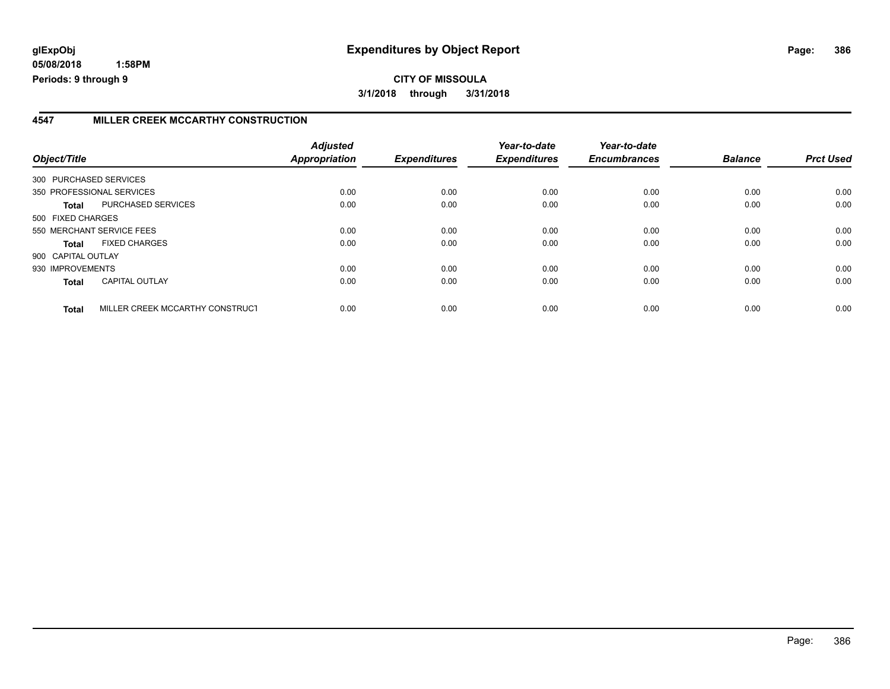#### **4547 MILLER CREEK MCCARTHY CONSTRUCTION**

| Object/Title           |                                 | <b>Adjusted</b><br><b>Appropriation</b> | <b>Expenditures</b> | Year-to-date<br><b>Expenditures</b> | Year-to-date<br><b>Encumbrances</b> | <b>Balance</b> | <b>Prct Used</b> |
|------------------------|---------------------------------|-----------------------------------------|---------------------|-------------------------------------|-------------------------------------|----------------|------------------|
| 300 PURCHASED SERVICES |                                 |                                         |                     |                                     |                                     |                |                  |
|                        | 350 PROFESSIONAL SERVICES       | 0.00                                    | 0.00                | 0.00                                | 0.00                                | 0.00           | 0.00             |
|                        |                                 |                                         |                     |                                     |                                     |                |                  |
| Total                  | PURCHASED SERVICES              | 0.00                                    | 0.00                | 0.00                                | 0.00                                | 0.00           | 0.00             |
| 500 FIXED CHARGES      |                                 |                                         |                     |                                     |                                     |                |                  |
|                        | 550 MERCHANT SERVICE FEES       | 0.00                                    | 0.00                | 0.00                                | 0.00                                | 0.00           | 0.00             |
| <b>Total</b>           | <b>FIXED CHARGES</b>            | 0.00                                    | 0.00                | 0.00                                | 0.00                                | 0.00           | 0.00             |
| 900 CAPITAL OUTLAY     |                                 |                                         |                     |                                     |                                     |                |                  |
| 930 IMPROVEMENTS       |                                 | 0.00                                    | 0.00                | 0.00                                | 0.00                                | 0.00           | 0.00             |
| <b>Total</b>           | <b>CAPITAL OUTLAY</b>           | 0.00                                    | 0.00                | 0.00                                | 0.00                                | 0.00           | 0.00             |
| <b>Total</b>           | MILLER CREEK MCCARTHY CONSTRUCT | 0.00                                    | 0.00                | 0.00                                | 0.00                                | 0.00           | 0.00             |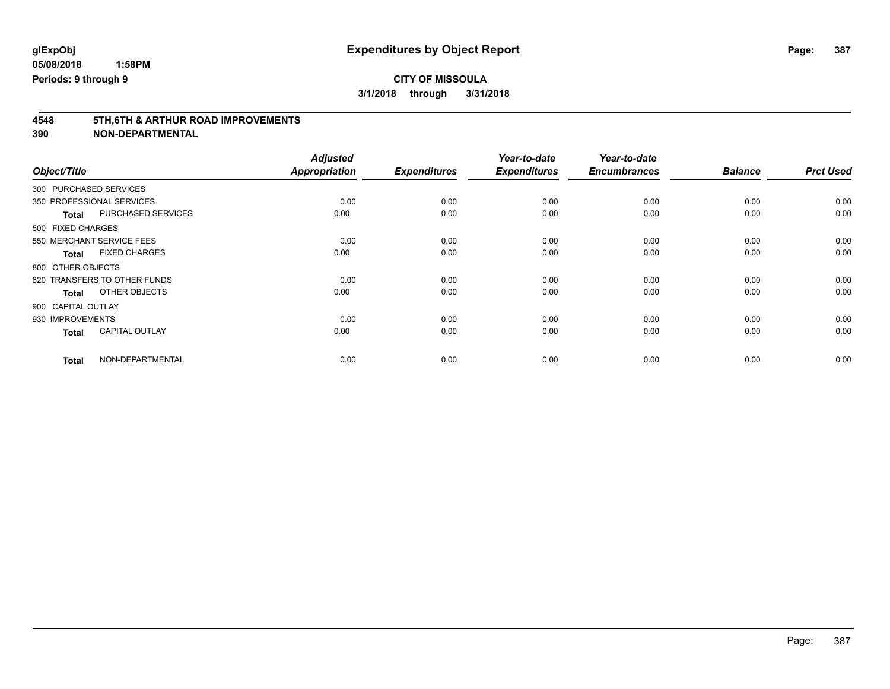### **CITY OF MISSOULA**

**3/1/2018 through 3/31/2018**

# **4548 5TH,6TH & ARTHUR ROAD IMPROVEMENTS**

|                        |                              | <b>Adjusted</b>      |                     | Year-to-date        | Year-to-date        |                |                  |
|------------------------|------------------------------|----------------------|---------------------|---------------------|---------------------|----------------|------------------|
| Object/Title           |                              | <b>Appropriation</b> | <b>Expenditures</b> | <b>Expenditures</b> | <b>Encumbrances</b> | <b>Balance</b> | <b>Prct Used</b> |
| 300 PURCHASED SERVICES |                              |                      |                     |                     |                     |                |                  |
|                        | 350 PROFESSIONAL SERVICES    | 0.00                 | 0.00                | 0.00                | 0.00                | 0.00           | 0.00             |
| <b>Total</b>           | <b>PURCHASED SERVICES</b>    | 0.00                 | 0.00                | 0.00                | 0.00                | 0.00           | 0.00             |
| 500 FIXED CHARGES      |                              |                      |                     |                     |                     |                |                  |
|                        | 550 MERCHANT SERVICE FEES    | 0.00                 | 0.00                | 0.00                | 0.00                | 0.00           | 0.00             |
| <b>Total</b>           | <b>FIXED CHARGES</b>         | 0.00                 | 0.00                | 0.00                | 0.00                | 0.00           | 0.00             |
| 800 OTHER OBJECTS      |                              |                      |                     |                     |                     |                |                  |
|                        | 820 TRANSFERS TO OTHER FUNDS | 0.00                 | 0.00                | 0.00                | 0.00                | 0.00           | 0.00             |
| <b>Total</b>           | OTHER OBJECTS                | 0.00                 | 0.00                | 0.00                | 0.00                | 0.00           | 0.00             |
| 900 CAPITAL OUTLAY     |                              |                      |                     |                     |                     |                |                  |
| 930 IMPROVEMENTS       |                              | 0.00                 | 0.00                | 0.00                | 0.00                | 0.00           | 0.00             |
| <b>Total</b>           | <b>CAPITAL OUTLAY</b>        | 0.00                 | 0.00                | 0.00                | 0.00                | 0.00           | 0.00             |
| <b>Total</b>           | NON-DEPARTMENTAL             | 0.00                 | 0.00                | 0.00                | 0.00                | 0.00           | 0.00             |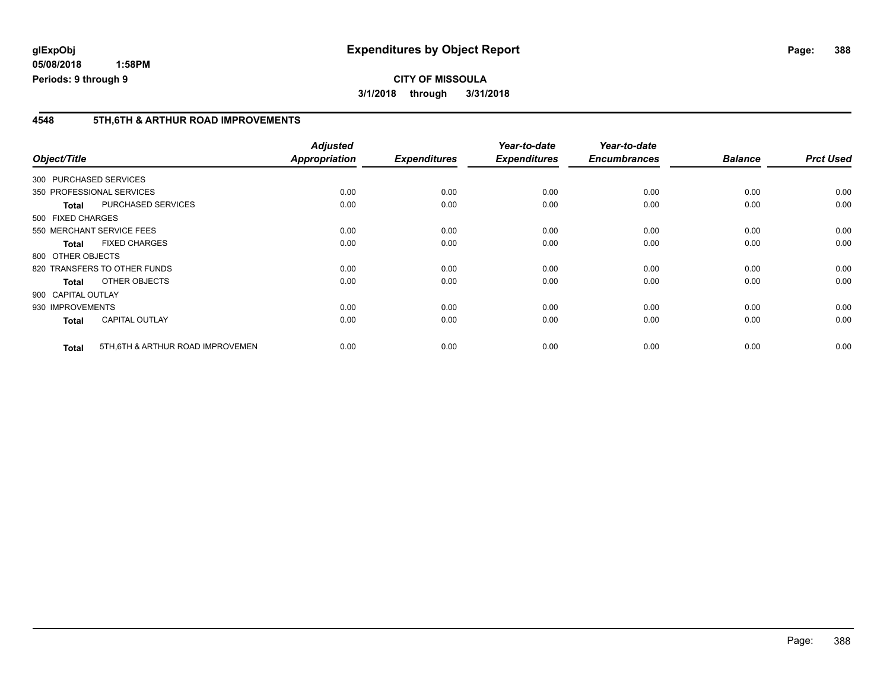#### **4548 5TH,6TH & ARTHUR ROAD IMPROVEMENTS**

| Object/Title       |                                   | <b>Adjusted</b><br><b>Appropriation</b> | <b>Expenditures</b> | Year-to-date<br><b>Expenditures</b> | Year-to-date<br><b>Encumbrances</b> | <b>Balance</b> | <b>Prct Used</b> |
|--------------------|-----------------------------------|-----------------------------------------|---------------------|-------------------------------------|-------------------------------------|----------------|------------------|
|                    |                                   |                                         |                     |                                     |                                     |                |                  |
|                    | 300 PURCHASED SERVICES            |                                         |                     |                                     |                                     |                |                  |
|                    | 350 PROFESSIONAL SERVICES         | 0.00                                    | 0.00                | 0.00                                | 0.00                                | 0.00           | 0.00             |
| <b>Total</b>       | PURCHASED SERVICES                | 0.00                                    | 0.00                | 0.00                                | 0.00                                | 0.00           | 0.00             |
| 500 FIXED CHARGES  |                                   |                                         |                     |                                     |                                     |                |                  |
|                    | 550 MERCHANT SERVICE FEES         | 0.00                                    | 0.00                | 0.00                                | 0.00                                | 0.00           | 0.00             |
| <b>Total</b>       | <b>FIXED CHARGES</b>              | 0.00                                    | 0.00                | 0.00                                | 0.00                                | 0.00           | 0.00             |
| 800 OTHER OBJECTS  |                                   |                                         |                     |                                     |                                     |                |                  |
|                    | 820 TRANSFERS TO OTHER FUNDS      | 0.00                                    | 0.00                | 0.00                                | 0.00                                | 0.00           | 0.00             |
| <b>Total</b>       | OTHER OBJECTS                     | 0.00                                    | 0.00                | 0.00                                | 0.00                                | 0.00           | 0.00             |
| 900 CAPITAL OUTLAY |                                   |                                         |                     |                                     |                                     |                |                  |
| 930 IMPROVEMENTS   |                                   | 0.00                                    | 0.00                | 0.00                                | 0.00                                | 0.00           | 0.00             |
| <b>Total</b>       | <b>CAPITAL OUTLAY</b>             | 0.00                                    | 0.00                | 0.00                                | 0.00                                | 0.00           | 0.00             |
| <b>Total</b>       | 5TH, 6TH & ARTHUR ROAD IMPROVEMEN | 0.00                                    | 0.00                | 0.00                                | 0.00                                | 0.00           | 0.00             |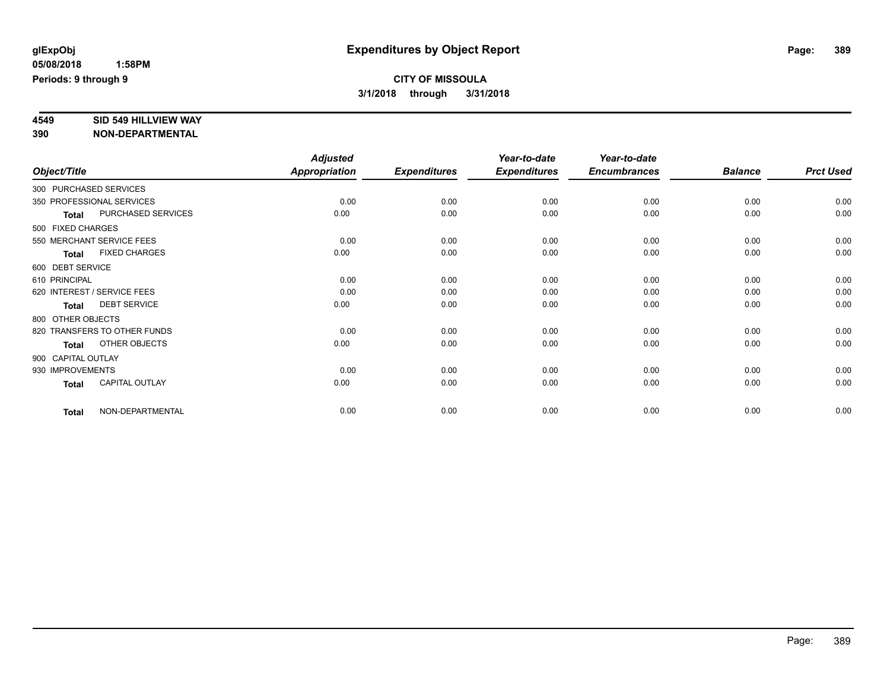# **4549 SID 549 HILLVIEW WAY**

|                    |                              | <b>Adjusted</b>      |                     | Year-to-date        | Year-to-date        |                |                  |
|--------------------|------------------------------|----------------------|---------------------|---------------------|---------------------|----------------|------------------|
| Object/Title       |                              | <b>Appropriation</b> | <b>Expenditures</b> | <b>Expenditures</b> | <b>Encumbrances</b> | <b>Balance</b> | <b>Prct Used</b> |
|                    | 300 PURCHASED SERVICES       |                      |                     |                     |                     |                |                  |
|                    | 350 PROFESSIONAL SERVICES    | 0.00                 | 0.00                | 0.00                | 0.00                | 0.00           | 0.00             |
| <b>Total</b>       | PURCHASED SERVICES           | 0.00                 | 0.00                | 0.00                | 0.00                | 0.00           | 0.00             |
| 500 FIXED CHARGES  |                              |                      |                     |                     |                     |                |                  |
|                    | 550 MERCHANT SERVICE FEES    | 0.00                 | 0.00                | 0.00                | 0.00                | 0.00           | 0.00             |
| <b>Total</b>       | <b>FIXED CHARGES</b>         | 0.00                 | 0.00                | 0.00                | 0.00                | 0.00           | 0.00             |
| 600 DEBT SERVICE   |                              |                      |                     |                     |                     |                |                  |
| 610 PRINCIPAL      |                              | 0.00                 | 0.00                | 0.00                | 0.00                | 0.00           | 0.00             |
|                    | 620 INTEREST / SERVICE FEES  | 0.00                 | 0.00                | 0.00                | 0.00                | 0.00           | 0.00             |
| <b>Total</b>       | <b>DEBT SERVICE</b>          | 0.00                 | 0.00                | 0.00                | 0.00                | 0.00           | 0.00             |
| 800 OTHER OBJECTS  |                              |                      |                     |                     |                     |                |                  |
|                    | 820 TRANSFERS TO OTHER FUNDS | 0.00                 | 0.00                | 0.00                | 0.00                | 0.00           | 0.00             |
| <b>Total</b>       | OTHER OBJECTS                | 0.00                 | 0.00                | 0.00                | 0.00                | 0.00           | 0.00             |
| 900 CAPITAL OUTLAY |                              |                      |                     |                     |                     |                |                  |
| 930 IMPROVEMENTS   |                              | 0.00                 | 0.00                | 0.00                | 0.00                | 0.00           | 0.00             |
| <b>Total</b>       | <b>CAPITAL OUTLAY</b>        | 0.00                 | 0.00                | 0.00                | 0.00                | 0.00           | 0.00             |
| <b>Total</b>       | NON-DEPARTMENTAL             | 0.00                 | 0.00                | 0.00                | 0.00                | 0.00           | 0.00             |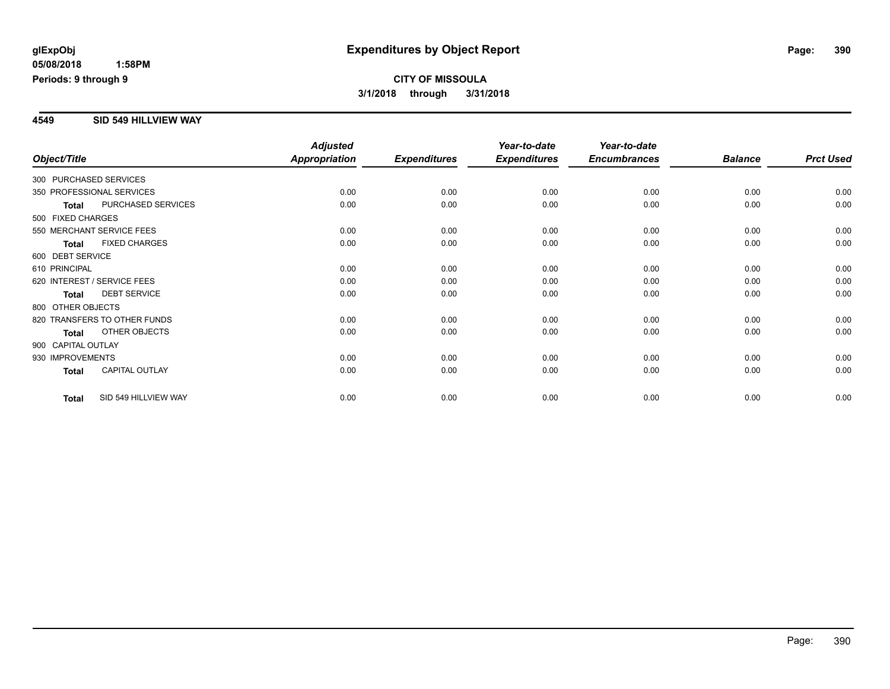#### **4549 SID 549 HILLVIEW WAY**

|                    |                              | <b>Adjusted</b>      |                     | Year-to-date        | Year-to-date        |                |                  |
|--------------------|------------------------------|----------------------|---------------------|---------------------|---------------------|----------------|------------------|
| Object/Title       |                              | <b>Appropriation</b> | <b>Expenditures</b> | <b>Expenditures</b> | <b>Encumbrances</b> | <b>Balance</b> | <b>Prct Used</b> |
|                    | 300 PURCHASED SERVICES       |                      |                     |                     |                     |                |                  |
|                    | 350 PROFESSIONAL SERVICES    | 0.00                 | 0.00                | 0.00                | 0.00                | 0.00           | 0.00             |
| <b>Total</b>       | PURCHASED SERVICES           | 0.00                 | 0.00                | 0.00                | 0.00                | 0.00           | 0.00             |
| 500 FIXED CHARGES  |                              |                      |                     |                     |                     |                |                  |
|                    | 550 MERCHANT SERVICE FEES    | 0.00                 | 0.00                | 0.00                | 0.00                | 0.00           | 0.00             |
| Total              | <b>FIXED CHARGES</b>         | 0.00                 | 0.00                | 0.00                | 0.00                | 0.00           | 0.00             |
| 600 DEBT SERVICE   |                              |                      |                     |                     |                     |                |                  |
| 610 PRINCIPAL      |                              | 0.00                 | 0.00                | 0.00                | 0.00                | 0.00           | 0.00             |
|                    | 620 INTEREST / SERVICE FEES  | 0.00                 | 0.00                | 0.00                | 0.00                | 0.00           | 0.00             |
| <b>Total</b>       | <b>DEBT SERVICE</b>          | 0.00                 | 0.00                | 0.00                | 0.00                | 0.00           | 0.00             |
| 800 OTHER OBJECTS  |                              |                      |                     |                     |                     |                |                  |
|                    | 820 TRANSFERS TO OTHER FUNDS | 0.00                 | 0.00                | 0.00                | 0.00                | 0.00           | 0.00             |
| <b>Total</b>       | OTHER OBJECTS                | 0.00                 | 0.00                | 0.00                | 0.00                | 0.00           | 0.00             |
| 900 CAPITAL OUTLAY |                              |                      |                     |                     |                     |                |                  |
| 930 IMPROVEMENTS   |                              | 0.00                 | 0.00                | 0.00                | 0.00                | 0.00           | 0.00             |
| <b>Total</b>       | <b>CAPITAL OUTLAY</b>        | 0.00                 | 0.00                | 0.00                | 0.00                | 0.00           | 0.00             |
| <b>Total</b>       | SID 549 HILLVIEW WAY         | 0.00                 | 0.00                | 0.00                | 0.00                | 0.00           | 0.00             |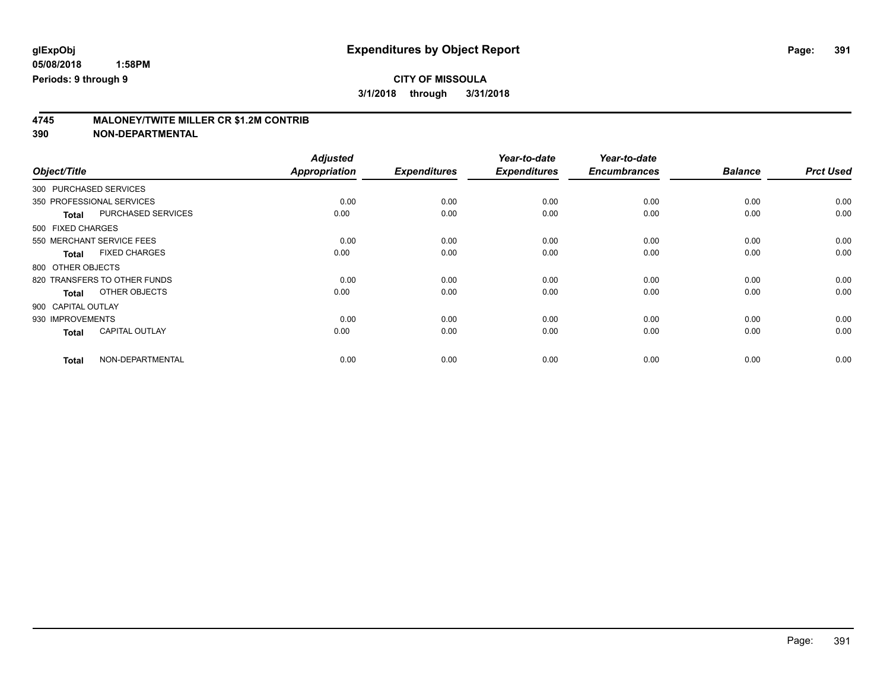### **CITY OF MISSOULA**

**3/1/2018 through 3/31/2018**

# **4745 MALONEY/TWITE MILLER CR \$1.2M CONTRIB**

|                        |                              | <b>Adjusted</b>      |                     | Year-to-date        | Year-to-date        |                |                  |
|------------------------|------------------------------|----------------------|---------------------|---------------------|---------------------|----------------|------------------|
| Object/Title           |                              | <b>Appropriation</b> | <b>Expenditures</b> | <b>Expenditures</b> | <b>Encumbrances</b> | <b>Balance</b> | <b>Prct Used</b> |
| 300 PURCHASED SERVICES |                              |                      |                     |                     |                     |                |                  |
|                        | 350 PROFESSIONAL SERVICES    | 0.00                 | 0.00                | 0.00                | 0.00                | 0.00           | 0.00             |
| <b>Total</b>           | <b>PURCHASED SERVICES</b>    | 0.00                 | 0.00                | 0.00                | 0.00                | 0.00           | 0.00             |
| 500 FIXED CHARGES      |                              |                      |                     |                     |                     |                |                  |
|                        | 550 MERCHANT SERVICE FEES    | 0.00                 | 0.00                | 0.00                | 0.00                | 0.00           | 0.00             |
| <b>Total</b>           | <b>FIXED CHARGES</b>         | 0.00                 | 0.00                | 0.00                | 0.00                | 0.00           | 0.00             |
| 800 OTHER OBJECTS      |                              |                      |                     |                     |                     |                |                  |
|                        | 820 TRANSFERS TO OTHER FUNDS | 0.00                 | 0.00                | 0.00                | 0.00                | 0.00           | 0.00             |
| <b>Total</b>           | OTHER OBJECTS                | 0.00                 | 0.00                | 0.00                | 0.00                | 0.00           | 0.00             |
| 900 CAPITAL OUTLAY     |                              |                      |                     |                     |                     |                |                  |
| 930 IMPROVEMENTS       |                              | 0.00                 | 0.00                | 0.00                | 0.00                | 0.00           | 0.00             |
| <b>Total</b>           | <b>CAPITAL OUTLAY</b>        | 0.00                 | 0.00                | 0.00                | 0.00                | 0.00           | 0.00             |
| <b>Total</b>           | NON-DEPARTMENTAL             | 0.00                 | 0.00                | 0.00                | 0.00                | 0.00           | 0.00             |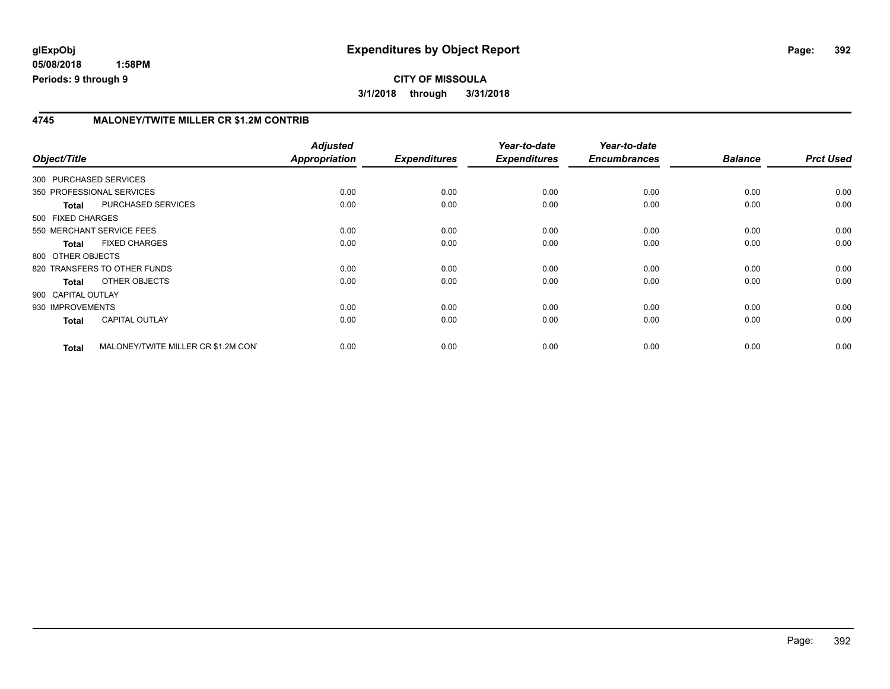#### **4745 MALONEY/TWITE MILLER CR \$1.2M CONTRIB**

| Object/Title           |                                     | <b>Adjusted</b><br>Appropriation | <b>Expenditures</b> | Year-to-date<br><b>Expenditures</b> | Year-to-date<br><b>Encumbrances</b> | <b>Balance</b> | <b>Prct Used</b> |
|------------------------|-------------------------------------|----------------------------------|---------------------|-------------------------------------|-------------------------------------|----------------|------------------|
| 300 PURCHASED SERVICES |                                     |                                  |                     |                                     |                                     |                |                  |
|                        | 350 PROFESSIONAL SERVICES           | 0.00                             | 0.00                | 0.00                                | 0.00                                | 0.00           | 0.00             |
| <b>Total</b>           | PURCHASED SERVICES                  | 0.00                             | 0.00                | 0.00                                | 0.00                                | 0.00           | 0.00             |
| 500 FIXED CHARGES      |                                     |                                  |                     |                                     |                                     |                |                  |
|                        | 550 MERCHANT SERVICE FEES           | 0.00                             | 0.00                | 0.00                                | 0.00                                | 0.00           | 0.00             |
| <b>Total</b>           | <b>FIXED CHARGES</b>                | 0.00                             | 0.00                | 0.00                                | 0.00                                | 0.00           | 0.00             |
| 800 OTHER OBJECTS      |                                     |                                  |                     |                                     |                                     |                |                  |
|                        | 820 TRANSFERS TO OTHER FUNDS        | 0.00                             | 0.00                | 0.00                                | 0.00                                | 0.00           | 0.00             |
| <b>Total</b>           | OTHER OBJECTS                       | 0.00                             | 0.00                | 0.00                                | 0.00                                | 0.00           | 0.00             |
| 900 CAPITAL OUTLAY     |                                     |                                  |                     |                                     |                                     |                |                  |
| 930 IMPROVEMENTS       |                                     | 0.00                             | 0.00                | 0.00                                | 0.00                                | 0.00           | 0.00             |
| <b>Total</b>           | <b>CAPITAL OUTLAY</b>               | 0.00                             | 0.00                | 0.00                                | 0.00                                | 0.00           | 0.00             |
| <b>Total</b>           | MALONEY/TWITE MILLER CR \$1.2M CONT | 0.00                             | 0.00                | 0.00                                | 0.00                                | 0.00           | 0.00             |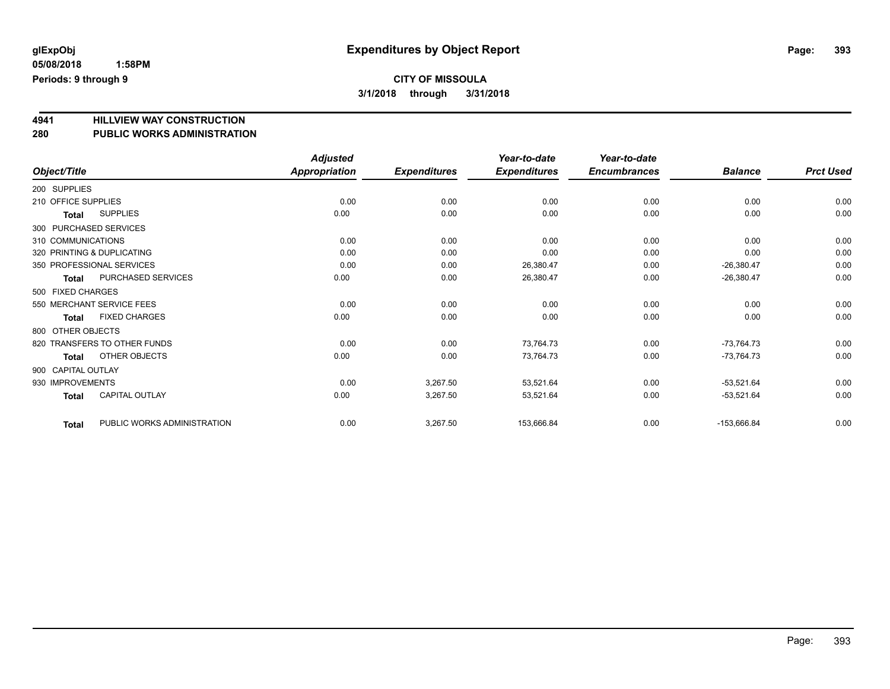#### **CITY OF MISSOULA 3/1/2018 through 3/31/2018**

# **4941 HILLVIEW WAY CONSTRUCTION**

#### **280 PUBLIC WORKS ADMINISTRATION**

|                     |                              | <b>Adjusted</b>      |                     | Year-to-date        | Year-to-date        |                |                  |
|---------------------|------------------------------|----------------------|---------------------|---------------------|---------------------|----------------|------------------|
| Object/Title        |                              | <b>Appropriation</b> | <b>Expenditures</b> | <b>Expenditures</b> | <b>Encumbrances</b> | <b>Balance</b> | <b>Prct Used</b> |
| 200 SUPPLIES        |                              |                      |                     |                     |                     |                |                  |
| 210 OFFICE SUPPLIES |                              | 0.00                 | 0.00                | 0.00                | 0.00                | 0.00           | 0.00             |
| Total               | <b>SUPPLIES</b>              | 0.00                 | 0.00                | 0.00                | 0.00                | 0.00           | 0.00             |
|                     | 300 PURCHASED SERVICES       |                      |                     |                     |                     |                |                  |
| 310 COMMUNICATIONS  |                              | 0.00                 | 0.00                | 0.00                | 0.00                | 0.00           | 0.00             |
|                     | 320 PRINTING & DUPLICATING   | 0.00                 | 0.00                | 0.00                | 0.00                | 0.00           | 0.00             |
|                     | 350 PROFESSIONAL SERVICES    | 0.00                 | 0.00                | 26,380.47           | 0.00                | $-26,380.47$   | 0.00             |
| Total               | PURCHASED SERVICES           | 0.00                 | 0.00                | 26,380.47           | 0.00                | $-26,380.47$   | 0.00             |
| 500 FIXED CHARGES   |                              |                      |                     |                     |                     |                |                  |
|                     | 550 MERCHANT SERVICE FEES    | 0.00                 | 0.00                | 0.00                | 0.00                | 0.00           | 0.00             |
| <b>Total</b>        | <b>FIXED CHARGES</b>         | 0.00                 | 0.00                | 0.00                | 0.00                | 0.00           | 0.00             |
| 800 OTHER OBJECTS   |                              |                      |                     |                     |                     |                |                  |
|                     | 820 TRANSFERS TO OTHER FUNDS | 0.00                 | 0.00                | 73,764.73           | 0.00                | $-73,764.73$   | 0.00             |
| <b>Total</b>        | OTHER OBJECTS                | 0.00                 | 0.00                | 73,764.73           | 0.00                | $-73,764.73$   | 0.00             |
| 900 CAPITAL OUTLAY  |                              |                      |                     |                     |                     |                |                  |
| 930 IMPROVEMENTS    |                              | 0.00                 | 3,267.50            | 53,521.64           | 0.00                | $-53,521.64$   | 0.00             |
| <b>Total</b>        | CAPITAL OUTLAY               | 0.00                 | 3,267.50            | 53,521.64           | 0.00                | $-53,521.64$   | 0.00             |
| <b>Total</b>        | PUBLIC WORKS ADMINISTRATION  | 0.00                 | 3,267.50            | 153,666.84          | 0.00                | $-153,666.84$  | 0.00             |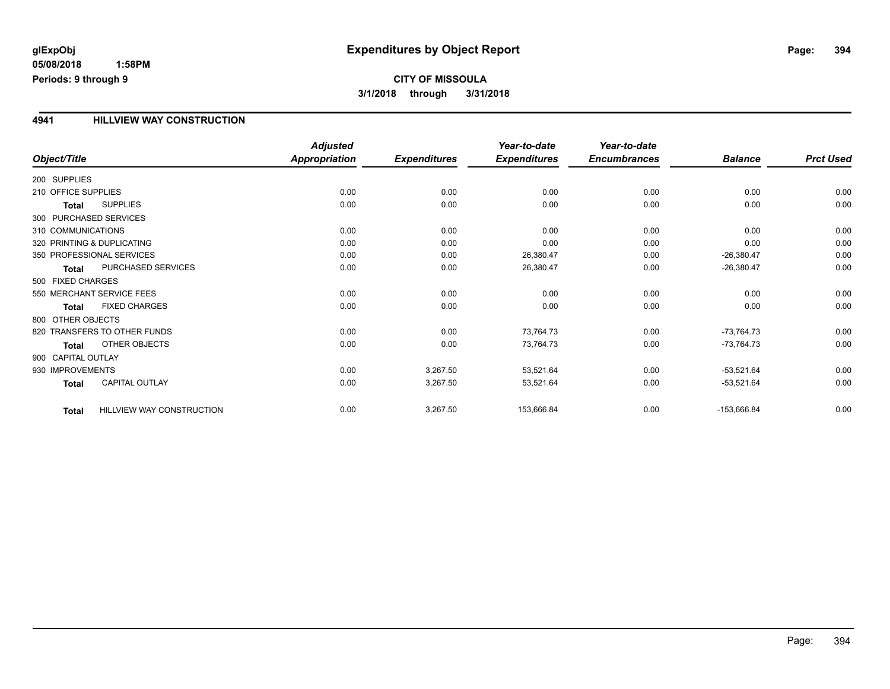#### **4941 HILLVIEW WAY CONSTRUCTION**

|                        |                              | <b>Adjusted</b>      |                     | Year-to-date        | Year-to-date        |                |                  |
|------------------------|------------------------------|----------------------|---------------------|---------------------|---------------------|----------------|------------------|
| Object/Title           |                              | <b>Appropriation</b> | <b>Expenditures</b> | <b>Expenditures</b> | <b>Encumbrances</b> | <b>Balance</b> | <b>Prct Used</b> |
| 200 SUPPLIES           |                              |                      |                     |                     |                     |                |                  |
| 210 OFFICE SUPPLIES    |                              | 0.00                 | 0.00                | 0.00                | 0.00                | 0.00           | 0.00             |
| <b>Total</b>           | <b>SUPPLIES</b>              | 0.00                 | 0.00                | 0.00                | 0.00                | 0.00           | 0.00             |
| 300 PURCHASED SERVICES |                              |                      |                     |                     |                     |                |                  |
| 310 COMMUNICATIONS     |                              | 0.00                 | 0.00                | 0.00                | 0.00                | 0.00           | 0.00             |
|                        | 320 PRINTING & DUPLICATING   | 0.00                 | 0.00                | 0.00                | 0.00                | 0.00           | 0.00             |
|                        | 350 PROFESSIONAL SERVICES    | 0.00                 | 0.00                | 26,380.47           | 0.00                | $-26,380.47$   | 0.00             |
| <b>Total</b>           | PURCHASED SERVICES           | 0.00                 | 0.00                | 26,380.47           | 0.00                | $-26,380.47$   | 0.00             |
| 500 FIXED CHARGES      |                              |                      |                     |                     |                     |                |                  |
|                        | 550 MERCHANT SERVICE FEES    | 0.00                 | 0.00                | 0.00                | 0.00                | 0.00           | 0.00             |
| <b>Total</b>           | <b>FIXED CHARGES</b>         | 0.00                 | 0.00                | 0.00                | 0.00                | 0.00           | 0.00             |
| 800 OTHER OBJECTS      |                              |                      |                     |                     |                     |                |                  |
|                        | 820 TRANSFERS TO OTHER FUNDS | 0.00                 | 0.00                | 73,764.73           | 0.00                | $-73,764.73$   | 0.00             |
| <b>Total</b>           | OTHER OBJECTS                | 0.00                 | 0.00                | 73,764.73           | 0.00                | $-73,764.73$   | 0.00             |
| 900 CAPITAL OUTLAY     |                              |                      |                     |                     |                     |                |                  |
| 930 IMPROVEMENTS       |                              | 0.00                 | 3,267.50            | 53,521.64           | 0.00                | $-53,521.64$   | 0.00             |
| <b>Total</b>           | CAPITAL OUTLAY               | 0.00                 | 3,267.50            | 53,521.64           | 0.00                | $-53,521.64$   | 0.00             |
| <b>Total</b>           | HILLVIEW WAY CONSTRUCTION    | 0.00                 | 3,267.50            | 153,666.84          | 0.00                | -153,666.84    | 0.00             |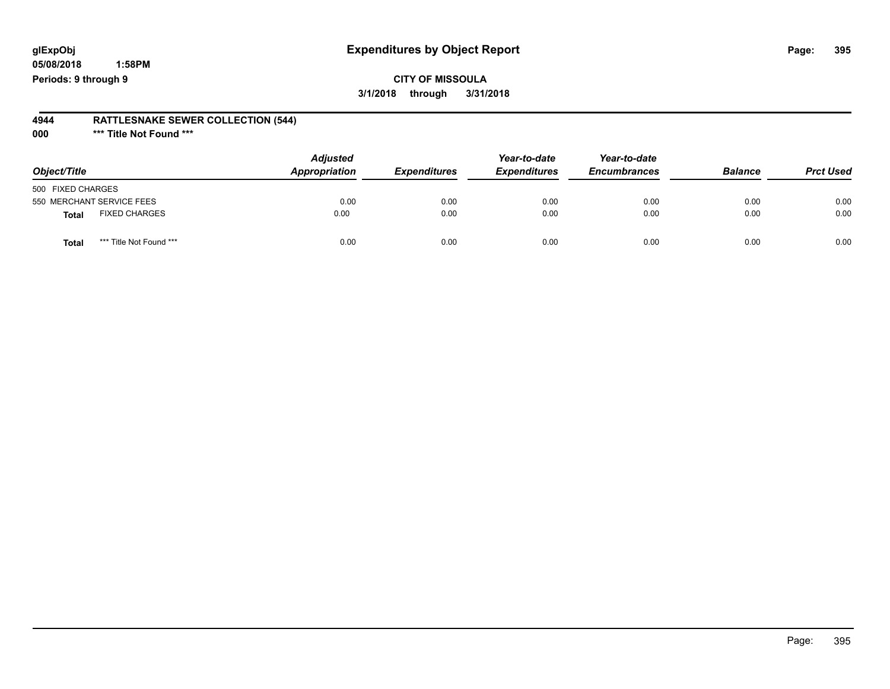#### **CITY OF MISSOULA 3/1/2018 through 3/31/2018**

#### **4944 RATTLESNAKE SEWER COLLECTION (544)**

**000 \*\*\* Title Not Found \*\*\***

| Object/Title                            | <b>Adjusted</b><br>Appropriation | <b>Expenditures</b> | Year-to-date<br><b>Expenditures</b> | Year-to-date<br><b>Encumbrances</b> | <b>Balance</b> | <b>Prct Used</b> |
|-----------------------------------------|----------------------------------|---------------------|-------------------------------------|-------------------------------------|----------------|------------------|
| 500 FIXED CHARGES                       |                                  |                     |                                     |                                     |                |                  |
| 550 MERCHANT SERVICE FEES               | 0.00                             | 0.00                | 0.00                                | 0.00                                | 0.00           | 0.00             |
| <b>FIXED CHARGES</b><br><b>Total</b>    | 0.00                             | 0.00                | 0.00                                | 0.00                                | 0.00           | 0.00             |
| *** Title Not Found ***<br><b>Total</b> | 0.00                             | 0.00                | 0.00                                | 0.00                                | 0.00           | 0.00             |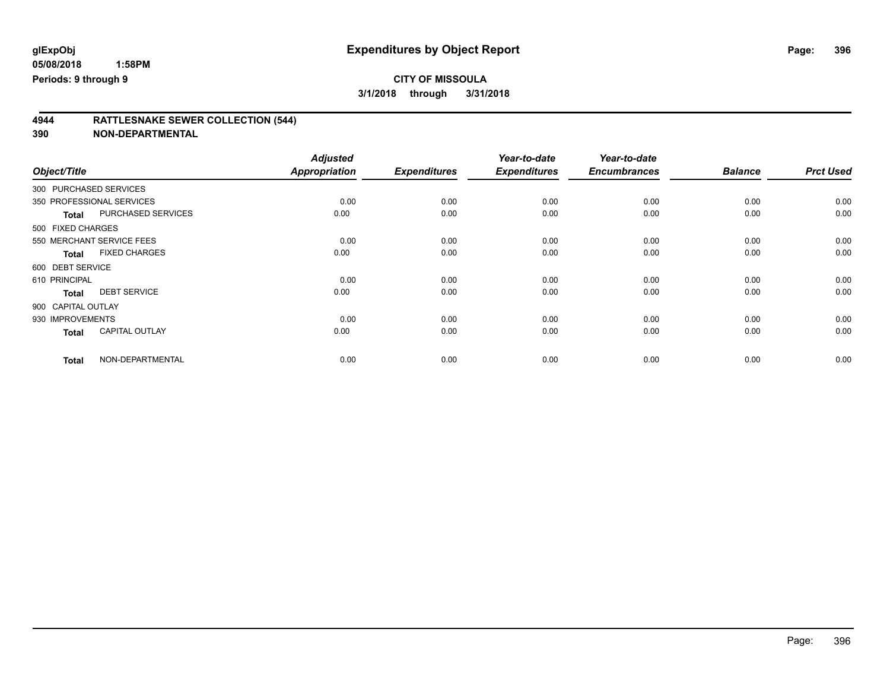## **CITY OF MISSOULA**

**3/1/2018 through 3/31/2018**

## **4944 RATTLESNAKE SEWER COLLECTION (544)**

| Object/Title       |                           | <b>Adjusted</b><br><b>Appropriation</b> | <b>Expenditures</b> | Year-to-date<br><b>Expenditures</b> | Year-to-date<br><b>Encumbrances</b> | <b>Balance</b> | <b>Prct Used</b> |
|--------------------|---------------------------|-----------------------------------------|---------------------|-------------------------------------|-------------------------------------|----------------|------------------|
|                    |                           |                                         |                     |                                     |                                     |                |                  |
|                    | 300 PURCHASED SERVICES    |                                         |                     |                                     |                                     |                |                  |
|                    | 350 PROFESSIONAL SERVICES | 0.00                                    | 0.00                | 0.00                                | 0.00                                | 0.00           | 0.00             |
| <b>Total</b>       | PURCHASED SERVICES        | 0.00                                    | 0.00                | 0.00                                | 0.00                                | 0.00           | 0.00             |
| 500 FIXED CHARGES  |                           |                                         |                     |                                     |                                     |                |                  |
|                    | 550 MERCHANT SERVICE FEES | 0.00                                    | 0.00                | 0.00                                | 0.00                                | 0.00           | 0.00             |
| <b>Total</b>       | <b>FIXED CHARGES</b>      | 0.00                                    | 0.00                | 0.00                                | 0.00                                | 0.00           | 0.00             |
| 600 DEBT SERVICE   |                           |                                         |                     |                                     |                                     |                |                  |
| 610 PRINCIPAL      |                           | 0.00                                    | 0.00                | 0.00                                | 0.00                                | 0.00           | 0.00             |
| <b>Total</b>       | <b>DEBT SERVICE</b>       | 0.00                                    | 0.00                | 0.00                                | 0.00                                | 0.00           | 0.00             |
| 900 CAPITAL OUTLAY |                           |                                         |                     |                                     |                                     |                |                  |
| 930 IMPROVEMENTS   |                           | 0.00                                    | 0.00                | 0.00                                | 0.00                                | 0.00           | 0.00             |
| <b>Total</b>       | <b>CAPITAL OUTLAY</b>     | 0.00                                    | 0.00                | 0.00                                | 0.00                                | 0.00           | 0.00             |
| <b>Total</b>       | NON-DEPARTMENTAL          | 0.00                                    | 0.00                | 0.00                                | 0.00                                | 0.00           | 0.00             |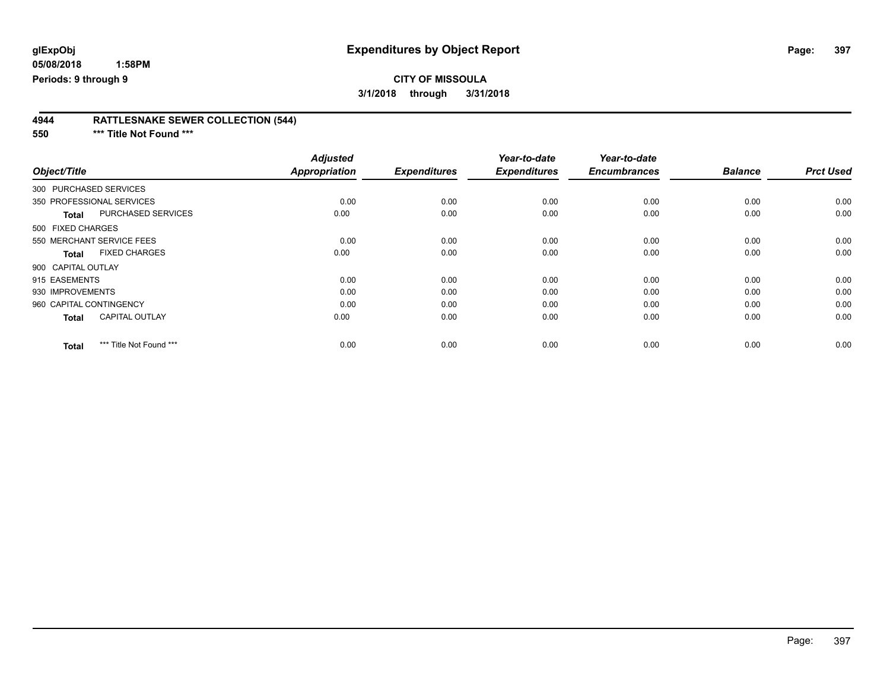# **CITY OF MISSOULA**

**3/1/2018 through 3/31/2018**

#### **4944 RATTLESNAKE SEWER COLLECTION (544)**

|                                           | <b>Adjusted</b>      |                     | Year-to-date        | Year-to-date        |                |                  |
|-------------------------------------------|----------------------|---------------------|---------------------|---------------------|----------------|------------------|
| Object/Title                              | <b>Appropriation</b> | <b>Expenditures</b> | <b>Expenditures</b> | <b>Encumbrances</b> | <b>Balance</b> | <b>Prct Used</b> |
| 300 PURCHASED SERVICES                    |                      |                     |                     |                     |                |                  |
| 350 PROFESSIONAL SERVICES                 | 0.00                 | 0.00                | 0.00                | 0.00                | 0.00           | 0.00             |
| <b>PURCHASED SERVICES</b><br><b>Total</b> | 0.00                 | 0.00                | 0.00                | 0.00                | 0.00           | 0.00             |
| 500 FIXED CHARGES                         |                      |                     |                     |                     |                |                  |
| 550 MERCHANT SERVICE FEES                 | 0.00                 | 0.00                | 0.00                | 0.00                | 0.00           | 0.00             |
| <b>FIXED CHARGES</b><br><b>Total</b>      | 0.00                 | 0.00                | 0.00                | 0.00                | 0.00           | 0.00             |
| 900 CAPITAL OUTLAY                        |                      |                     |                     |                     |                |                  |
| 915 EASEMENTS                             | 0.00                 | 0.00                | 0.00                | 0.00                | 0.00           | 0.00             |
| 930 IMPROVEMENTS                          | 0.00                 | 0.00                | 0.00                | 0.00                | 0.00           | 0.00             |
| 960 CAPITAL CONTINGENCY                   | 0.00                 | 0.00                | 0.00                | 0.00                | 0.00           | 0.00             |
| <b>CAPITAL OUTLAY</b><br><b>Total</b>     | 0.00                 | 0.00                | 0.00                | 0.00                | 0.00           | 0.00             |
| *** Title Not Found ***<br><b>Total</b>   | 0.00                 | 0.00                | 0.00                | 0.00                | 0.00           | 0.00             |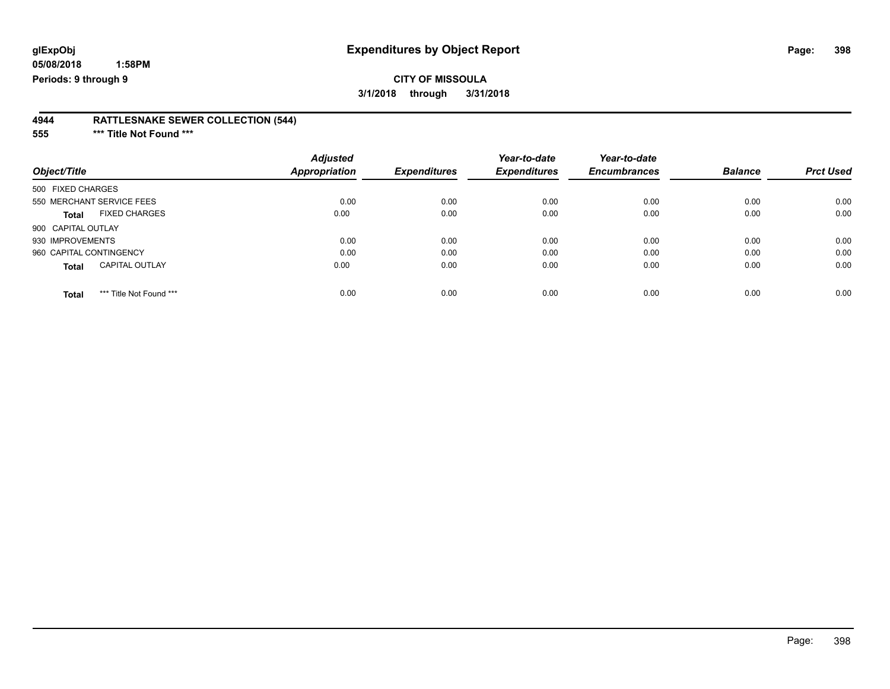# **CITY OF MISSOULA**

**3/1/2018 through 3/31/2018**

#### **4944 RATTLESNAKE SEWER COLLECTION (544)**

| Object/Title                            | <b>Adjusted</b><br><b>Appropriation</b> | <b>Expenditures</b> | Year-to-date<br><b>Expenditures</b> | Year-to-date<br><b>Encumbrances</b> | <b>Balance</b> | <b>Prct Used</b> |
|-----------------------------------------|-----------------------------------------|---------------------|-------------------------------------|-------------------------------------|----------------|------------------|
|                                         |                                         |                     |                                     |                                     |                |                  |
| 500 FIXED CHARGES                       |                                         |                     |                                     |                                     |                |                  |
| 550 MERCHANT SERVICE FEES               | 0.00                                    | 0.00                | 0.00                                | 0.00                                | 0.00           | 0.00             |
| <b>FIXED CHARGES</b><br><b>Total</b>    | 0.00                                    | 0.00                | 0.00                                | 0.00                                | 0.00           | 0.00             |
| 900 CAPITAL OUTLAY                      |                                         |                     |                                     |                                     |                |                  |
| 930 IMPROVEMENTS                        | 0.00                                    | 0.00                | 0.00                                | 0.00                                | 0.00           | 0.00             |
| 960 CAPITAL CONTINGENCY                 | 0.00                                    | 0.00                | 0.00                                | 0.00                                | 0.00           | 0.00             |
| <b>CAPITAL OUTLAY</b><br><b>Total</b>   | 0.00                                    | 0.00                | 0.00                                | 0.00                                | 0.00           | 0.00             |
| *** Title Not Found ***<br><b>Total</b> | 0.00                                    | 0.00                | 0.00                                | 0.00                                | 0.00           | 0.00             |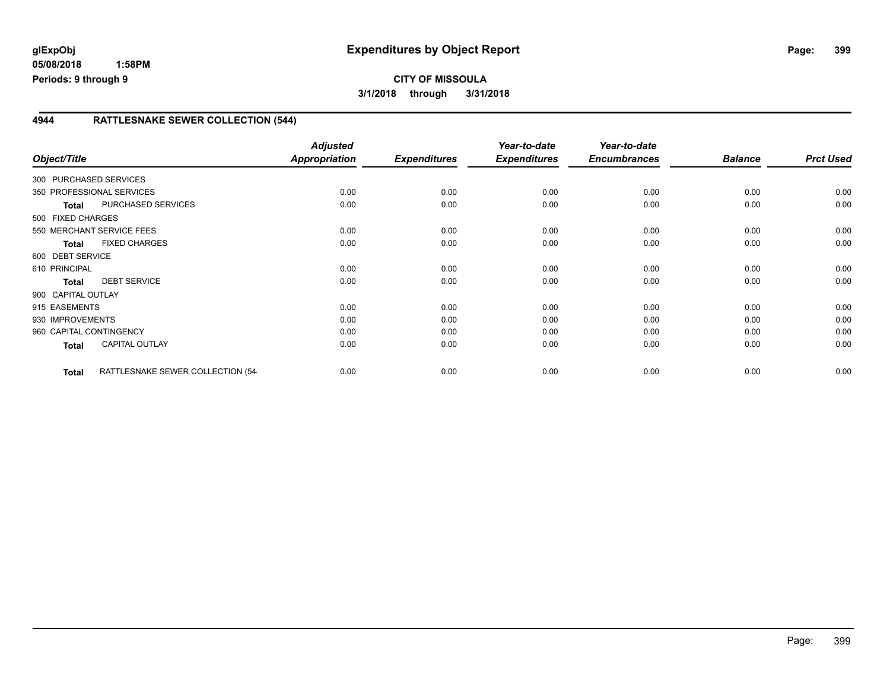#### **4944 RATTLESNAKE SEWER COLLECTION (544)**

| Object/Title            |                                  | <b>Adjusted</b><br>Appropriation | <b>Expenditures</b> | Year-to-date<br><b>Expenditures</b> | Year-to-date<br><b>Encumbrances</b> | <b>Balance</b> | <b>Prct Used</b> |
|-------------------------|----------------------------------|----------------------------------|---------------------|-------------------------------------|-------------------------------------|----------------|------------------|
| 300 PURCHASED SERVICES  |                                  |                                  |                     |                                     |                                     |                |                  |
|                         | 350 PROFESSIONAL SERVICES        | 0.00                             | 0.00                | 0.00                                | 0.00                                | 0.00           | 0.00             |
| Total                   | PURCHASED SERVICES               | 0.00                             | 0.00                | 0.00                                | 0.00                                | 0.00           | 0.00             |
| 500 FIXED CHARGES       |                                  |                                  |                     |                                     |                                     |                |                  |
|                         | 550 MERCHANT SERVICE FEES        | 0.00                             | 0.00                | 0.00                                | 0.00                                | 0.00           | 0.00             |
| <b>Total</b>            | <b>FIXED CHARGES</b>             | 0.00                             | 0.00                | 0.00                                | 0.00                                | 0.00           | 0.00             |
| 600 DEBT SERVICE        |                                  |                                  |                     |                                     |                                     |                |                  |
| 610 PRINCIPAL           |                                  | 0.00                             | 0.00                | 0.00                                | 0.00                                | 0.00           | 0.00             |
| <b>Total</b>            | <b>DEBT SERVICE</b>              | 0.00                             | 0.00                | 0.00                                | 0.00                                | 0.00           | 0.00             |
| 900 CAPITAL OUTLAY      |                                  |                                  |                     |                                     |                                     |                |                  |
| 915 EASEMENTS           |                                  | 0.00                             | 0.00                | 0.00                                | 0.00                                | 0.00           | 0.00             |
| 930 IMPROVEMENTS        |                                  | 0.00                             | 0.00                | 0.00                                | 0.00                                | 0.00           | 0.00             |
| 960 CAPITAL CONTINGENCY |                                  | 0.00                             | 0.00                | 0.00                                | 0.00                                | 0.00           | 0.00             |
| <b>Total</b>            | <b>CAPITAL OUTLAY</b>            | 0.00                             | 0.00                | 0.00                                | 0.00                                | 0.00           | 0.00             |
| <b>Total</b>            | RATTLESNAKE SEWER COLLECTION (54 | 0.00                             | 0.00                | 0.00                                | 0.00                                | 0.00           | 0.00             |

Page: 399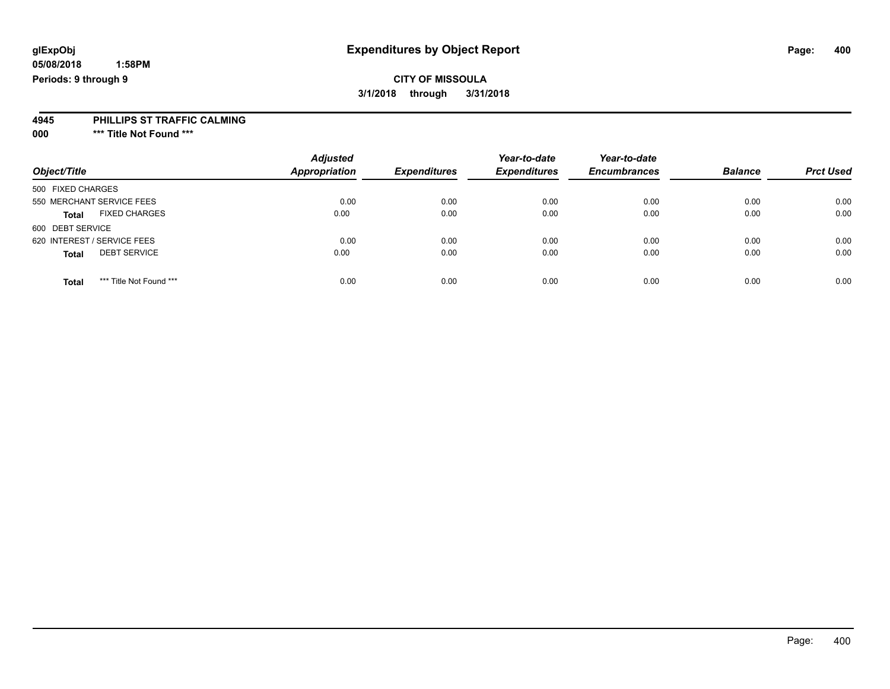### **CITY OF MISSOULA 3/1/2018 through 3/31/2018**

#### **4945 PHILLIPS ST TRAFFIC CALMING**

|                                         | <b>Adjusted</b>      |                     | Year-to-date        | Year-to-date        |                |                  |
|-----------------------------------------|----------------------|---------------------|---------------------|---------------------|----------------|------------------|
| Object/Title                            | <b>Appropriation</b> | <b>Expenditures</b> | <b>Expenditures</b> | <b>Encumbrances</b> | <b>Balance</b> | <b>Prct Used</b> |
| 500 FIXED CHARGES                       |                      |                     |                     |                     |                |                  |
| 550 MERCHANT SERVICE FEES               | 0.00                 | 0.00                | 0.00                | 0.00                | 0.00           | 0.00             |
| <b>FIXED CHARGES</b><br><b>Total</b>    | 0.00                 | 0.00                | 0.00                | 0.00                | 0.00           | 0.00             |
| 600 DEBT SERVICE                        |                      |                     |                     |                     |                |                  |
| 620 INTEREST / SERVICE FEES             | 0.00                 | 0.00                | 0.00                | 0.00                | 0.00           | 0.00             |
| <b>DEBT SERVICE</b><br><b>Total</b>     | 0.00                 | 0.00                | 0.00                | 0.00                | 0.00           | 0.00             |
| *** Title Not Found ***<br><b>Total</b> | 0.00                 | 0.00                | 0.00                | 0.00                | 0.00           | 0.00             |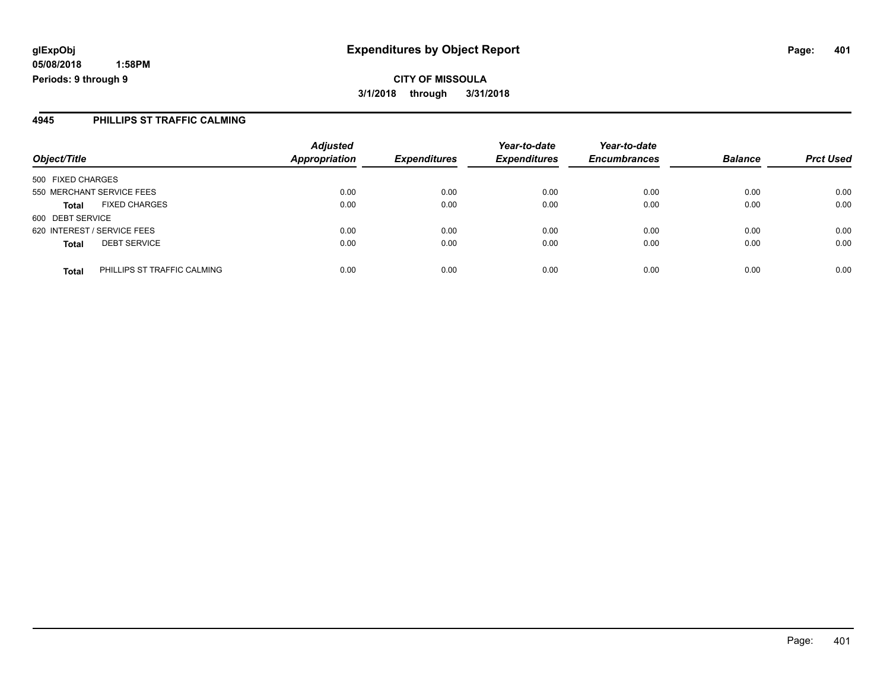**CITY OF MISSOULA 3/1/2018 through 3/31/2018**

#### **4945 PHILLIPS ST TRAFFIC CALMING**

|                             |                             | <b>Adjusted</b>      |                     | Year-to-date        | Year-to-date        |                |                  |
|-----------------------------|-----------------------------|----------------------|---------------------|---------------------|---------------------|----------------|------------------|
| Object/Title                |                             | <b>Appropriation</b> | <b>Expenditures</b> | <b>Expenditures</b> | <b>Encumbrances</b> | <b>Balance</b> | <b>Prct Used</b> |
| 500 FIXED CHARGES           |                             |                      |                     |                     |                     |                |                  |
| 550 MERCHANT SERVICE FEES   |                             | 0.00                 | 0.00                | 0.00                | 0.00                | 0.00           | 0.00             |
| <b>Total</b>                | <b>FIXED CHARGES</b>        | 0.00                 | 0.00                | 0.00                | 0.00                | 0.00           | 0.00             |
| 600 DEBT SERVICE            |                             |                      |                     |                     |                     |                |                  |
| 620 INTEREST / SERVICE FEES |                             | 0.00                 | 0.00                | 0.00                | 0.00                | 0.00           | 0.00             |
| <b>Total</b>                | <b>DEBT SERVICE</b>         | 0.00                 | 0.00                | 0.00                | 0.00                | 0.00           | 0.00             |
| <b>Total</b>                | PHILLIPS ST TRAFFIC CALMING | 0.00                 | 0.00                | 0.00                | 0.00                | 0.00           | 0.00             |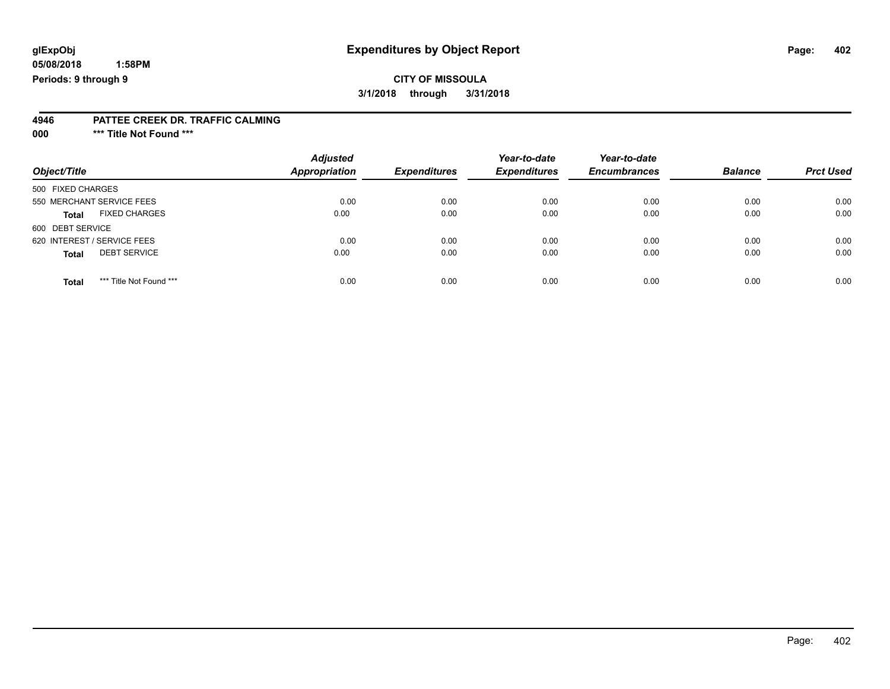### **CITY OF MISSOULA 3/1/2018 through 3/31/2018**

#### **4946 PATTEE CREEK DR. TRAFFIC CALMING**

| Object/Title                            | <b>Adjusted</b><br><b>Appropriation</b> | <b>Expenditures</b> | Year-to-date<br><b>Expenditures</b> | Year-to-date<br><b>Encumbrances</b> | <b>Balance</b> | <b>Prct Used</b> |
|-----------------------------------------|-----------------------------------------|---------------------|-------------------------------------|-------------------------------------|----------------|------------------|
| 500 FIXED CHARGES                       |                                         |                     |                                     |                                     |                |                  |
| 550 MERCHANT SERVICE FEES               | 0.00                                    | 0.00                | 0.00                                | 0.00                                | 0.00           | 0.00             |
| <b>FIXED CHARGES</b><br><b>Total</b>    | 0.00                                    | 0.00                | 0.00                                | 0.00                                | 0.00           | 0.00             |
| 600 DEBT SERVICE                        |                                         |                     |                                     |                                     |                |                  |
| 620 INTEREST / SERVICE FEES             | 0.00                                    | 0.00                | 0.00                                | 0.00                                | 0.00           | 0.00             |
| <b>DEBT SERVICE</b><br><b>Total</b>     | 0.00                                    | 0.00                | 0.00                                | 0.00                                | 0.00           | 0.00             |
| *** Title Not Found ***<br><b>Total</b> | 0.00                                    | 0.00                | 0.00                                | 0.00                                | 0.00           | 0.00             |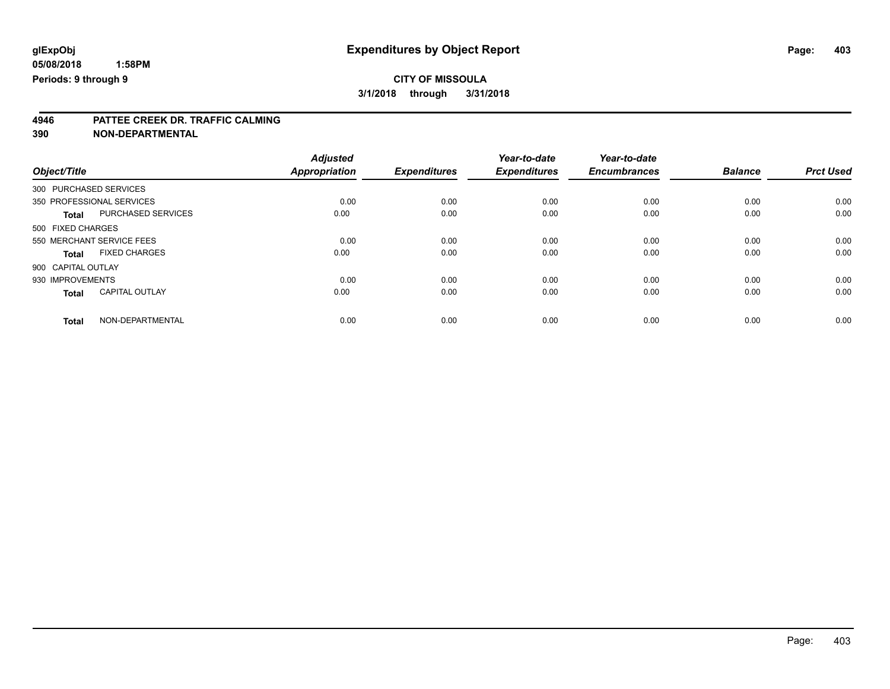# **4946 PATTEE CREEK DR. TRAFFIC CALMING**

**390 NON-DEPARTMENTAL**

|                        |                           | <b>Adjusted</b>      |                     | Year-to-date        | Year-to-date        |                |                  |
|------------------------|---------------------------|----------------------|---------------------|---------------------|---------------------|----------------|------------------|
| Object/Title           |                           | <b>Appropriation</b> | <b>Expenditures</b> | <b>Expenditures</b> | <b>Encumbrances</b> | <b>Balance</b> | <b>Prct Used</b> |
| 300 PURCHASED SERVICES |                           |                      |                     |                     |                     |                |                  |
|                        | 350 PROFESSIONAL SERVICES | 0.00                 | 0.00                | 0.00                | 0.00                | 0.00           | 0.00             |
| <b>Total</b>           | PURCHASED SERVICES        | 0.00                 | 0.00                | 0.00                | 0.00                | 0.00           | 0.00             |
| 500 FIXED CHARGES      |                           |                      |                     |                     |                     |                |                  |
|                        | 550 MERCHANT SERVICE FEES | 0.00                 | 0.00                | 0.00                | 0.00                | 0.00           | 0.00             |
| <b>Total</b>           | <b>FIXED CHARGES</b>      | 0.00                 | 0.00                | 0.00                | 0.00                | 0.00           | 0.00             |
| 900 CAPITAL OUTLAY     |                           |                      |                     |                     |                     |                |                  |
| 930 IMPROVEMENTS       |                           | 0.00                 | 0.00                | 0.00                | 0.00                | 0.00           | 0.00             |
| <b>Total</b>           | <b>CAPITAL OUTLAY</b>     | 0.00                 | 0.00                | 0.00                | 0.00                | 0.00           | 0.00             |
| <b>Total</b>           | NON-DEPARTMENTAL          | 0.00                 | 0.00                | 0.00                | 0.00                | 0.00           | 0.00             |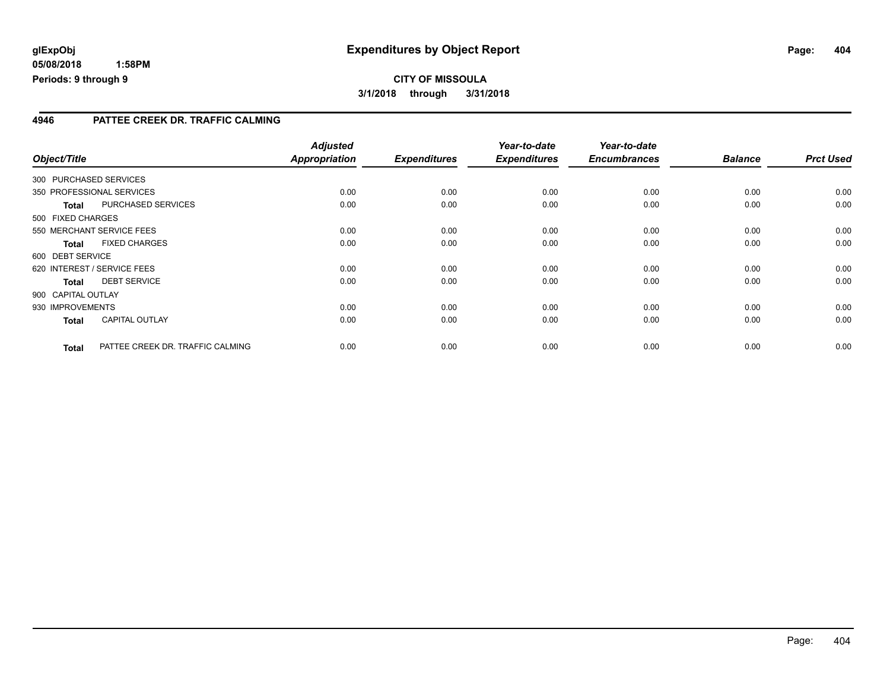#### **4946 PATTEE CREEK DR. TRAFFIC CALMING**

|                    |                                  | <b>Adjusted</b>      |                     | Year-to-date        | Year-to-date        |                |                  |
|--------------------|----------------------------------|----------------------|---------------------|---------------------|---------------------|----------------|------------------|
| Object/Title       |                                  | <b>Appropriation</b> | <b>Expenditures</b> | <b>Expenditures</b> | <b>Encumbrances</b> | <b>Balance</b> | <b>Prct Used</b> |
|                    | 300 PURCHASED SERVICES           |                      |                     |                     |                     |                |                  |
|                    | 350 PROFESSIONAL SERVICES        | 0.00                 | 0.00                | 0.00                | 0.00                | 0.00           | 0.00             |
| <b>Total</b>       | PURCHASED SERVICES               | 0.00                 | 0.00                | 0.00                | 0.00                | 0.00           | 0.00             |
| 500 FIXED CHARGES  |                                  |                      |                     |                     |                     |                |                  |
|                    | 550 MERCHANT SERVICE FEES        | 0.00                 | 0.00                | 0.00                | 0.00                | 0.00           | 0.00             |
| <b>Total</b>       | <b>FIXED CHARGES</b>             | 0.00                 | 0.00                | 0.00                | 0.00                | 0.00           | 0.00             |
| 600 DEBT SERVICE   |                                  |                      |                     |                     |                     |                |                  |
|                    | 620 INTEREST / SERVICE FEES      | 0.00                 | 0.00                | 0.00                | 0.00                | 0.00           | 0.00             |
| <b>Total</b>       | <b>DEBT SERVICE</b>              | 0.00                 | 0.00                | 0.00                | 0.00                | 0.00           | 0.00             |
| 900 CAPITAL OUTLAY |                                  |                      |                     |                     |                     |                |                  |
| 930 IMPROVEMENTS   |                                  | 0.00                 | 0.00                | 0.00                | 0.00                | 0.00           | 0.00             |
| <b>Total</b>       | <b>CAPITAL OUTLAY</b>            | 0.00                 | 0.00                | 0.00                | 0.00                | 0.00           | 0.00             |
| <b>Total</b>       | PATTEE CREEK DR. TRAFFIC CALMING | 0.00                 | 0.00                | 0.00                | 0.00                | 0.00           | 0.00             |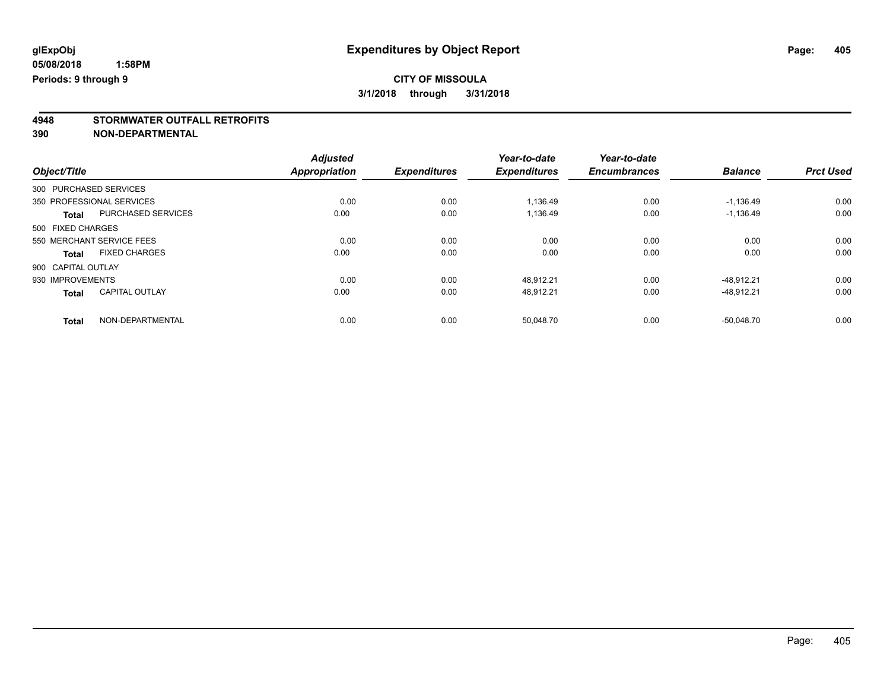# **4948 STORMWATER OUTFALL RETROFITS**

**390 NON-DEPARTMENTAL**

|                                       | <b>Adjusted</b>      |                     | Year-to-date        | Year-to-date        |                |                  |
|---------------------------------------|----------------------|---------------------|---------------------|---------------------|----------------|------------------|
| Object/Title                          | <b>Appropriation</b> | <b>Expenditures</b> | <b>Expenditures</b> | <b>Encumbrances</b> | <b>Balance</b> | <b>Prct Used</b> |
| 300 PURCHASED SERVICES                |                      |                     |                     |                     |                |                  |
| 350 PROFESSIONAL SERVICES             | 0.00                 | 0.00                | 1,136.49            | 0.00                | $-1,136.49$    | 0.00             |
| PURCHASED SERVICES<br><b>Total</b>    | 0.00                 | 0.00                | 1.136.49            | 0.00                | $-1.136.49$    | 0.00             |
| 500 FIXED CHARGES                     |                      |                     |                     |                     |                |                  |
| 550 MERCHANT SERVICE FEES             | 0.00                 | 0.00                | 0.00                | 0.00                | 0.00           | 0.00             |
| <b>FIXED CHARGES</b><br>Total         | 0.00                 | 0.00                | 0.00                | 0.00                | 0.00           | 0.00             |
| 900 CAPITAL OUTLAY                    |                      |                     |                     |                     |                |                  |
| 930 IMPROVEMENTS                      | 0.00                 | 0.00                | 48.912.21           | 0.00                | $-48.912.21$   | 0.00             |
| <b>CAPITAL OUTLAY</b><br><b>Total</b> | 0.00                 | 0.00                | 48,912.21           | 0.00                | $-48,912.21$   | 0.00             |
| NON-DEPARTMENTAL<br><b>Total</b>      | 0.00                 | 0.00                | 50.048.70           | 0.00                | $-50.048.70$   | 0.00             |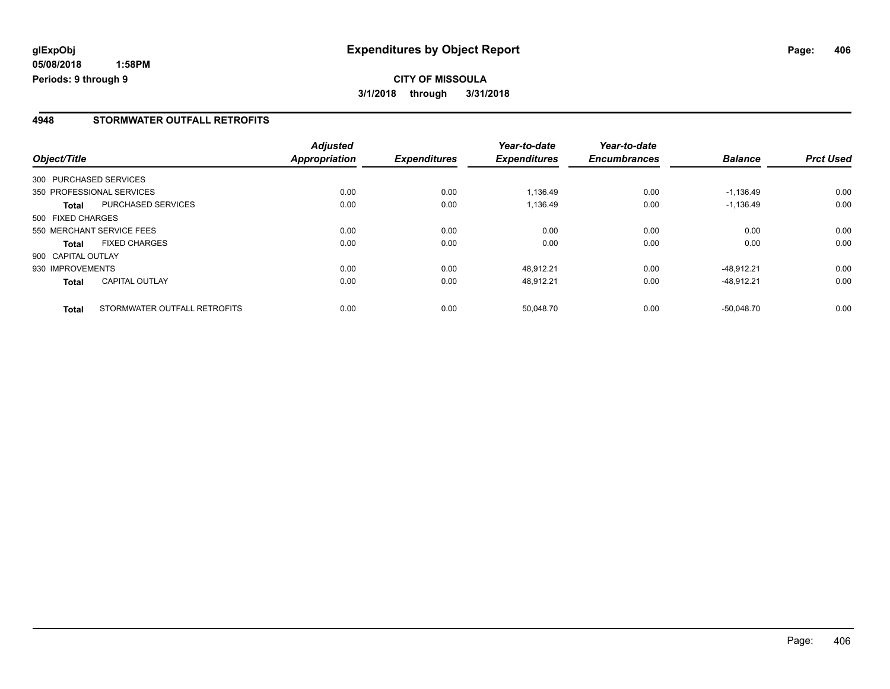#### **4948 STORMWATER OUTFALL RETROFITS**

|                    |                              | <b>Adjusted</b>      |                     | Year-to-date        | Year-to-date        |                |                  |
|--------------------|------------------------------|----------------------|---------------------|---------------------|---------------------|----------------|------------------|
| Object/Title       |                              | <b>Appropriation</b> | <b>Expenditures</b> | <b>Expenditures</b> | <b>Encumbrances</b> | <b>Balance</b> | <b>Prct Used</b> |
|                    | 300 PURCHASED SERVICES       |                      |                     |                     |                     |                |                  |
|                    | 350 PROFESSIONAL SERVICES    | 0.00                 | 0.00                | 1,136.49            | 0.00                | $-1,136.49$    | 0.00             |
| Total              | <b>PURCHASED SERVICES</b>    | 0.00                 | 0.00                | 1,136.49            | 0.00                | $-1,136.49$    | 0.00             |
| 500 FIXED CHARGES  |                              |                      |                     |                     |                     |                |                  |
|                    | 550 MERCHANT SERVICE FEES    | 0.00                 | 0.00                | 0.00                | 0.00                | 0.00           | 0.00             |
| <b>Total</b>       | <b>FIXED CHARGES</b>         | 0.00                 | 0.00                | 0.00                | 0.00                | 0.00           | 0.00             |
| 900 CAPITAL OUTLAY |                              |                      |                     |                     |                     |                |                  |
| 930 IMPROVEMENTS   |                              | 0.00                 | 0.00                | 48,912.21           | 0.00                | $-48.912.21$   | 0.00             |
| <b>Total</b>       | <b>CAPITAL OUTLAY</b>        | 0.00                 | 0.00                | 48.912.21           | 0.00                | $-48.912.21$   | 0.00             |
| <b>Total</b>       | STORMWATER OUTFALL RETROFITS | 0.00                 | 0.00                | 50,048.70           | 0.00                | $-50.048.70$   | 0.00             |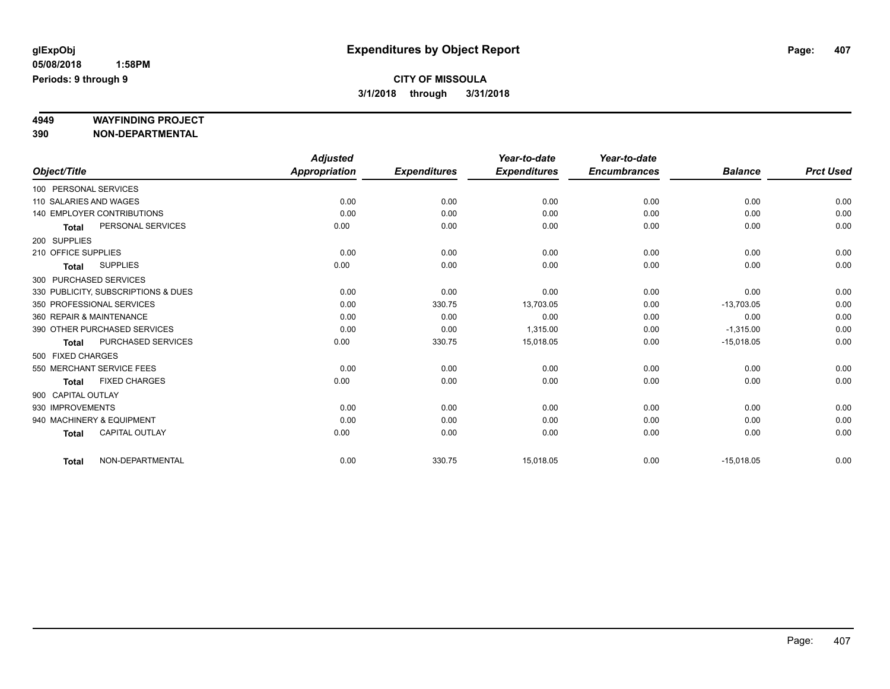# **4949 WAYFINDING PROJECT**

**390 NON-DEPARTMENTAL**

|                                      |                    | <b>Adjusted</b> |                     | Year-to-date        | Year-to-date        |                |                  |
|--------------------------------------|--------------------|-----------------|---------------------|---------------------|---------------------|----------------|------------------|
| Object/Title                         |                    | Appropriation   | <b>Expenditures</b> | <b>Expenditures</b> | <b>Encumbrances</b> | <b>Balance</b> | <b>Prct Used</b> |
| 100 PERSONAL SERVICES                |                    |                 |                     |                     |                     |                |                  |
| 110 SALARIES AND WAGES               |                    | 0.00            | 0.00                | 0.00                | 0.00                | 0.00           | 0.00             |
| <b>140 EMPLOYER CONTRIBUTIONS</b>    |                    | 0.00            | 0.00                | 0.00                | 0.00                | 0.00           | 0.00             |
| PERSONAL SERVICES<br><b>Total</b>    |                    | 0.00            | 0.00                | 0.00                | 0.00                | 0.00           | 0.00             |
| 200 SUPPLIES                         |                    |                 |                     |                     |                     |                |                  |
| 210 OFFICE SUPPLIES                  |                    | 0.00            | 0.00                | 0.00                | 0.00                | 0.00           | 0.00             |
| <b>SUPPLIES</b><br><b>Total</b>      |                    | 0.00            | 0.00                | 0.00                | 0.00                | 0.00           | 0.00             |
| 300 PURCHASED SERVICES               |                    |                 |                     |                     |                     |                |                  |
| 330 PUBLICITY, SUBSCRIPTIONS & DUES  |                    | 0.00            | 0.00                | 0.00                | 0.00                | 0.00           | 0.00             |
| 350 PROFESSIONAL SERVICES            |                    | 0.00            | 330.75              | 13,703.05           | 0.00                | $-13,703.05$   | 0.00             |
| 360 REPAIR & MAINTENANCE             |                    | 0.00            | 0.00                | 0.00                | 0.00                | 0.00           | 0.00             |
| 390 OTHER PURCHASED SERVICES         |                    | 0.00            | 0.00                | 1,315.00            | 0.00                | $-1,315.00$    | 0.00             |
| <b>Total</b>                         | PURCHASED SERVICES | 0.00            | 330.75              | 15,018.05           | 0.00                | $-15,018.05$   | 0.00             |
| 500 FIXED CHARGES                    |                    |                 |                     |                     |                     |                |                  |
| 550 MERCHANT SERVICE FEES            |                    | 0.00            | 0.00                | 0.00                | 0.00                | 0.00           | 0.00             |
| <b>FIXED CHARGES</b><br><b>Total</b> |                    | 0.00            | 0.00                | 0.00                | 0.00                | 0.00           | 0.00             |
| 900 CAPITAL OUTLAY                   |                    |                 |                     |                     |                     |                |                  |
| 930 IMPROVEMENTS                     |                    | 0.00            | 0.00                | 0.00                | 0.00                | 0.00           | 0.00             |
| 940 MACHINERY & EQUIPMENT            |                    | 0.00            | 0.00                | 0.00                | 0.00                | 0.00           | 0.00             |
| CAPITAL OUTLAY<br><b>Total</b>       |                    | 0.00            | 0.00                | 0.00                | 0.00                | 0.00           | 0.00             |
| NON-DEPARTMENTAL<br><b>Total</b>     |                    | 0.00            | 330.75              | 15,018.05           | 0.00                | $-15,018.05$   | 0.00             |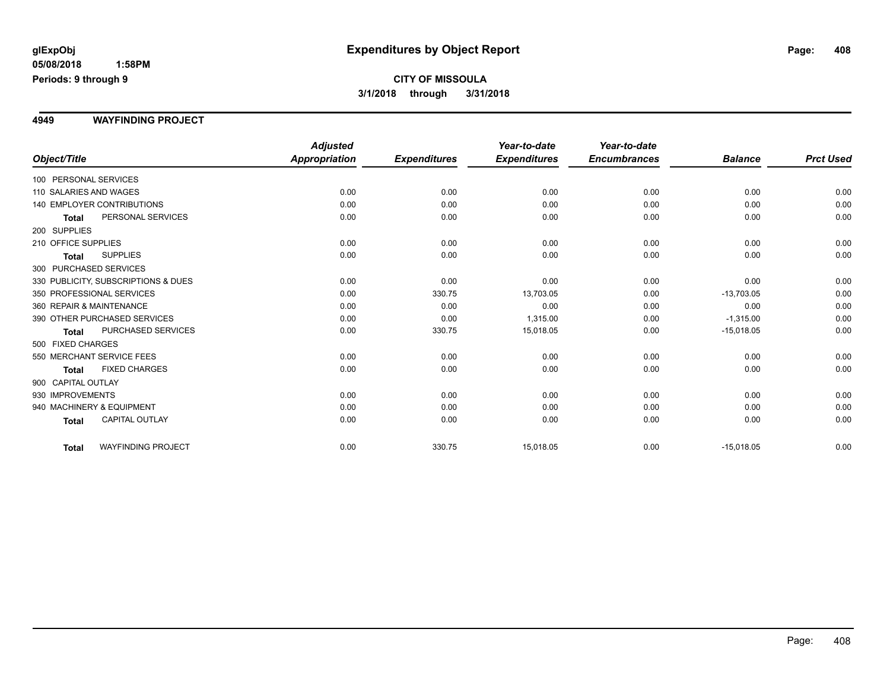#### **4949 WAYFINDING PROJECT**

|                                           | <b>Adjusted</b>      |                     | Year-to-date        | Year-to-date        |                |                  |
|-------------------------------------------|----------------------|---------------------|---------------------|---------------------|----------------|------------------|
| Object/Title                              | <b>Appropriation</b> | <b>Expenditures</b> | <b>Expenditures</b> | <b>Encumbrances</b> | <b>Balance</b> | <b>Prct Used</b> |
| 100 PERSONAL SERVICES                     |                      |                     |                     |                     |                |                  |
| 110 SALARIES AND WAGES                    | 0.00                 | 0.00                | 0.00                | 0.00                | 0.00           | 0.00             |
| <b>140 EMPLOYER CONTRIBUTIONS</b>         | 0.00                 | 0.00                | 0.00                | 0.00                | 0.00           | 0.00             |
| PERSONAL SERVICES<br><b>Total</b>         | 0.00                 | 0.00                | 0.00                | 0.00                | 0.00           | 0.00             |
| 200 SUPPLIES                              |                      |                     |                     |                     |                |                  |
| 210 OFFICE SUPPLIES                       | 0.00                 | 0.00                | 0.00                | 0.00                | 0.00           | 0.00             |
| <b>SUPPLIES</b><br><b>Total</b>           | 0.00                 | 0.00                | 0.00                | 0.00                | 0.00           | 0.00             |
| 300 PURCHASED SERVICES                    |                      |                     |                     |                     |                |                  |
| 330 PUBLICITY, SUBSCRIPTIONS & DUES       | 0.00                 | 0.00                | 0.00                | 0.00                | 0.00           | 0.00             |
| 350 PROFESSIONAL SERVICES                 | 0.00                 | 330.75              | 13,703.05           | 0.00                | $-13,703.05$   | 0.00             |
| 360 REPAIR & MAINTENANCE                  | 0.00                 | 0.00                | 0.00                | 0.00                | 0.00           | 0.00             |
| 390 OTHER PURCHASED SERVICES              | 0.00                 | 0.00                | 1,315.00            | 0.00                | $-1,315.00$    | 0.00             |
| PURCHASED SERVICES<br><b>Total</b>        | 0.00                 | 330.75              | 15,018.05           | 0.00                | $-15,018.05$   | 0.00             |
| 500 FIXED CHARGES                         |                      |                     |                     |                     |                |                  |
| 550 MERCHANT SERVICE FEES                 | 0.00                 | 0.00                | 0.00                | 0.00                | 0.00           | 0.00             |
| <b>FIXED CHARGES</b><br><b>Total</b>      | 0.00                 | 0.00                | 0.00                | 0.00                | 0.00           | 0.00             |
| 900 CAPITAL OUTLAY                        |                      |                     |                     |                     |                |                  |
| 930 IMPROVEMENTS                          | 0.00                 | 0.00                | 0.00                | 0.00                | 0.00           | 0.00             |
| 940 MACHINERY & EQUIPMENT                 | 0.00                 | 0.00                | 0.00                | 0.00                | 0.00           | 0.00             |
| CAPITAL OUTLAY<br><b>Total</b>            | 0.00                 | 0.00                | 0.00                | 0.00                | 0.00           | 0.00             |
| <b>WAYFINDING PROJECT</b><br><b>Total</b> | 0.00                 | 330.75              | 15,018.05           | 0.00                | $-15,018.05$   | 0.00             |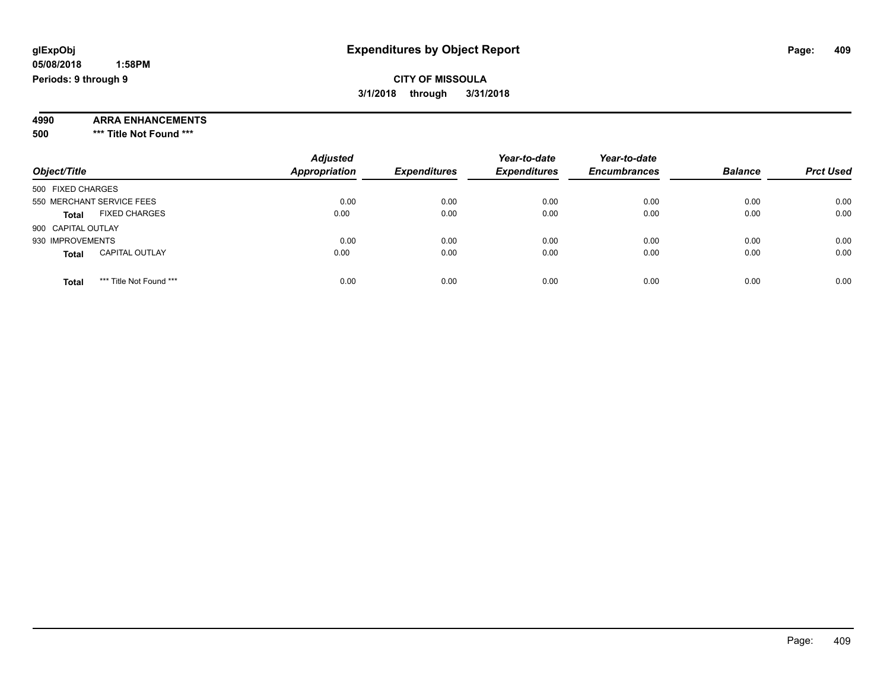### **CITY OF MISSOULA 3/1/2018 through 3/31/2018**

#### **4990 ARRA ENHANCEMENTS**

| Object/Title                            | <b>Adjusted</b><br><b>Appropriation</b> | <b>Expenditures</b> | Year-to-date<br><b>Expenditures</b> | Year-to-date<br><b>Encumbrances</b> | <b>Balance</b> | <b>Prct Used</b> |
|-----------------------------------------|-----------------------------------------|---------------------|-------------------------------------|-------------------------------------|----------------|------------------|
|                                         |                                         |                     |                                     |                                     |                |                  |
| 500 FIXED CHARGES                       |                                         |                     |                                     |                                     |                |                  |
| 550 MERCHANT SERVICE FEES               | 0.00                                    | 0.00                | 0.00                                | 0.00                                | 0.00           | 0.00             |
| <b>FIXED CHARGES</b><br><b>Total</b>    | 0.00                                    | 0.00                | 0.00                                | 0.00                                | 0.00           | 0.00             |
| 900 CAPITAL OUTLAY                      |                                         |                     |                                     |                                     |                |                  |
| 930 IMPROVEMENTS                        | 0.00                                    | 0.00                | 0.00                                | 0.00                                | 0.00           | 0.00             |
| <b>CAPITAL OUTLAY</b><br><b>Total</b>   | 0.00                                    | 0.00                | 0.00                                | 0.00                                | 0.00           | 0.00             |
| *** Title Not Found ***<br><b>Total</b> | 0.00                                    | 0.00                | 0.00                                | 0.00                                | 0.00           | 0.00             |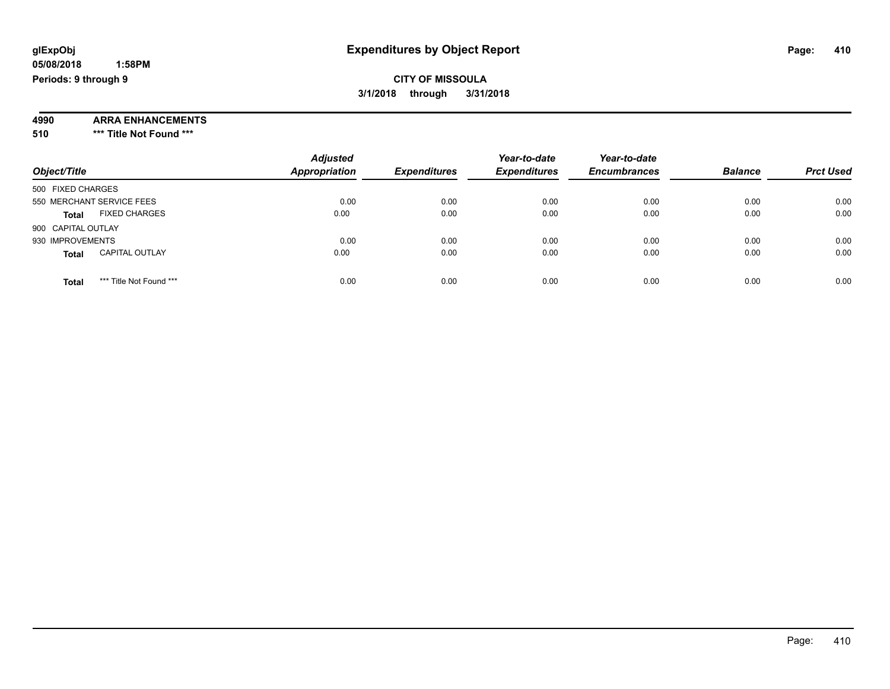# **4990 ARRA ENHANCEMENTS**

| Object/Title                            | <b>Adjusted</b><br>Appropriation | <b>Expenditures</b> | Year-to-date<br><b>Expenditures</b> | Year-to-date<br><b>Encumbrances</b> | <b>Balance</b> | <b>Prct Used</b> |
|-----------------------------------------|----------------------------------|---------------------|-------------------------------------|-------------------------------------|----------------|------------------|
| 500 FIXED CHARGES                       |                                  |                     |                                     |                                     |                |                  |
| 550 MERCHANT SERVICE FEES               | 0.00                             | 0.00                | 0.00                                | 0.00                                | 0.00           | 0.00             |
| <b>FIXED CHARGES</b><br><b>Total</b>    | 0.00                             | 0.00                | 0.00                                | 0.00                                | 0.00           | 0.00             |
| 900 CAPITAL OUTLAY                      |                                  |                     |                                     |                                     |                |                  |
| 930 IMPROVEMENTS                        | 0.00                             | 0.00                | 0.00                                | 0.00                                | 0.00           | 0.00             |
| <b>CAPITAL OUTLAY</b><br><b>Total</b>   | 0.00                             | 0.00                | 0.00                                | 0.00                                | 0.00           | 0.00             |
| *** Title Not Found ***<br><b>Total</b> | 0.00                             | 0.00                | 0.00                                | 0.00                                | 0.00           | 0.00             |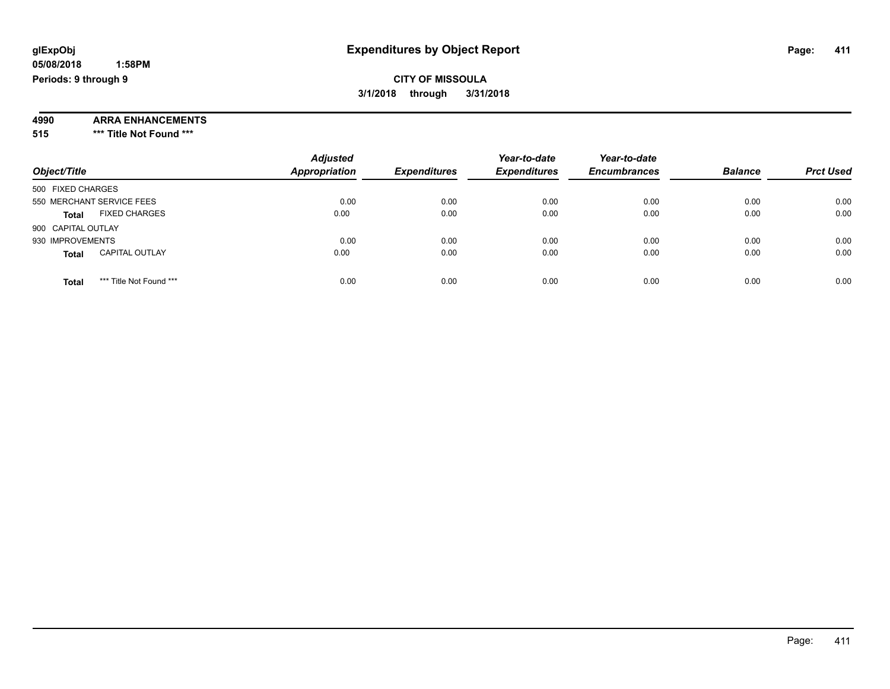### **CITY OF MISSOULA 3/1/2018 through 3/31/2018**

| Object/Title                            | <b>Adjusted</b><br><b>Appropriation</b> | <b>Expenditures</b> | Year-to-date<br><b>Expenditures</b> | Year-to-date<br><b>Encumbrances</b> | <b>Balance</b> | <b>Prct Used</b> |
|-----------------------------------------|-----------------------------------------|---------------------|-------------------------------------|-------------------------------------|----------------|------------------|
| 500 FIXED CHARGES                       |                                         |                     |                                     |                                     |                |                  |
| 550 MERCHANT SERVICE FEES               | 0.00                                    | 0.00                | 0.00                                | 0.00                                | 0.00           | 0.00             |
| <b>FIXED CHARGES</b><br><b>Total</b>    | 0.00                                    | 0.00                | 0.00                                | 0.00                                | 0.00           | 0.00             |
| 900 CAPITAL OUTLAY                      |                                         |                     |                                     |                                     |                |                  |
| 930 IMPROVEMENTS                        | 0.00                                    | 0.00                | 0.00                                | 0.00                                | 0.00           | 0.00             |
| <b>CAPITAL OUTLAY</b><br><b>Total</b>   | 0.00                                    | 0.00                | 0.00                                | 0.00                                | 0.00           | 0.00             |
| *** Title Not Found ***<br><b>Total</b> | 0.00                                    | 0.00                | 0.00                                | 0.00                                | 0.00           | 0.00             |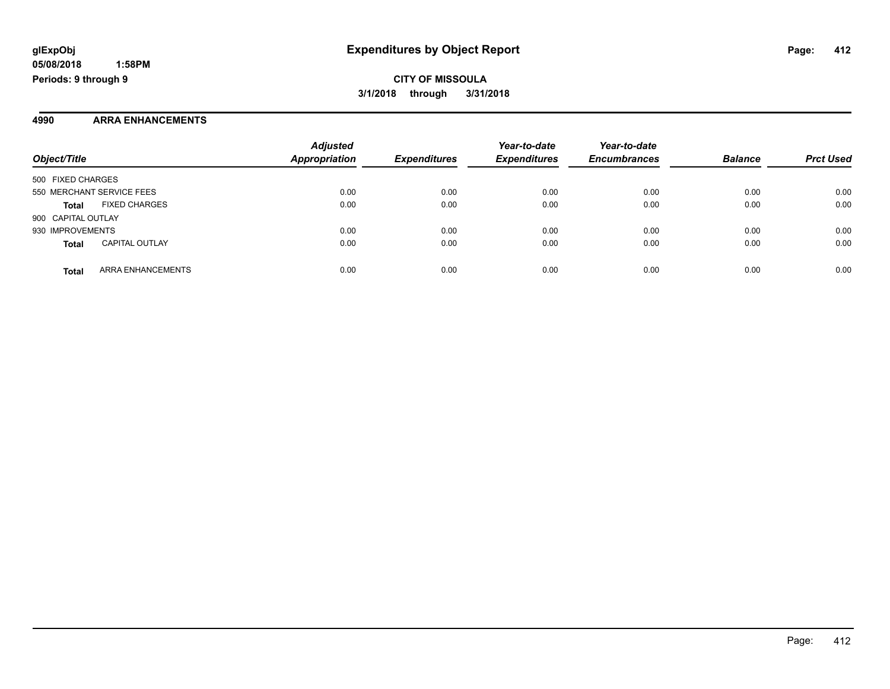#### **4990 ARRA ENHANCEMENTS**

| Object/Title              |                          | <b>Adjusted</b><br><b>Appropriation</b> | <b>Expenditures</b> | Year-to-date<br><b>Expenditures</b> | Year-to-date<br><b>Encumbrances</b> | <b>Balance</b> | <b>Prct Used</b> |
|---------------------------|--------------------------|-----------------------------------------|---------------------|-------------------------------------|-------------------------------------|----------------|------------------|
| 500 FIXED CHARGES         |                          |                                         |                     |                                     |                                     |                |                  |
| 550 MERCHANT SERVICE FEES |                          | 0.00                                    | 0.00                | 0.00                                | 0.00                                | 0.00           | 0.00             |
| <b>Total</b>              | <b>FIXED CHARGES</b>     | 0.00                                    | 0.00                | 0.00                                | 0.00                                | 0.00           | 0.00             |
| 900 CAPITAL OUTLAY        |                          |                                         |                     |                                     |                                     |                |                  |
| 930 IMPROVEMENTS          |                          | 0.00                                    | 0.00                | 0.00                                | 0.00                                | 0.00           | 0.00             |
| <b>Total</b>              | <b>CAPITAL OUTLAY</b>    | 0.00                                    | 0.00                | 0.00                                | 0.00                                | 0.00           | 0.00             |
| <b>Total</b>              | <b>ARRA ENHANCEMENTS</b> | 0.00                                    | 0.00                | 0.00                                | 0.00                                | 0.00           | 0.00             |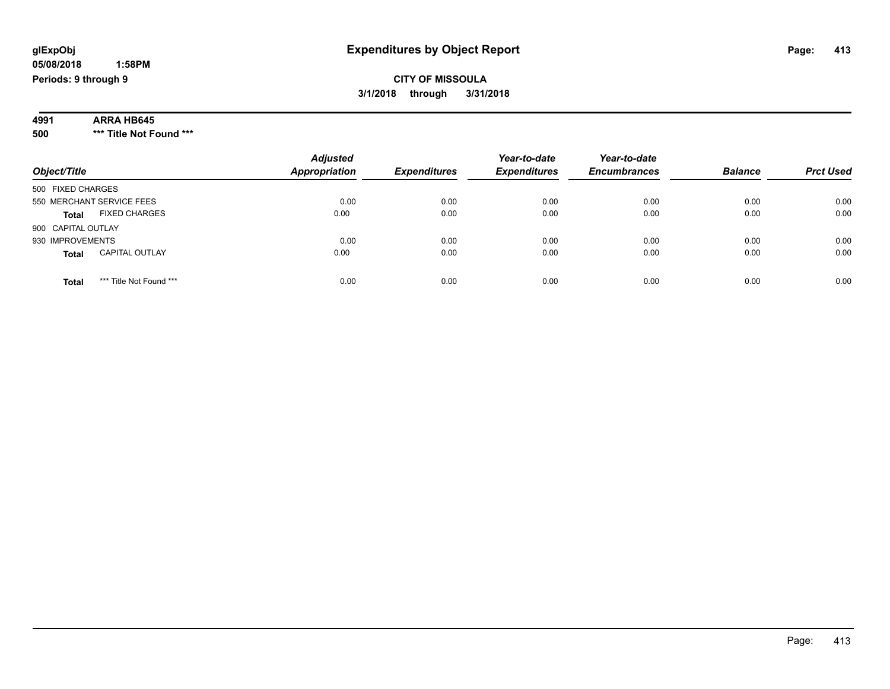# **CITY OF MISSOULA 3/1/2018 through 3/31/2018**

#### **4991 ARRA HB645**

| Object/Title                            | <b>Adjusted</b><br><b>Appropriation</b> | <b>Expenditures</b> | Year-to-date<br><b>Expenditures</b> | Year-to-date<br><b>Encumbrances</b> | <b>Balance</b> | <b>Prct Used</b> |
|-----------------------------------------|-----------------------------------------|---------------------|-------------------------------------|-------------------------------------|----------------|------------------|
| 500 FIXED CHARGES                       |                                         |                     |                                     |                                     |                |                  |
| 550 MERCHANT SERVICE FEES               | 0.00                                    | 0.00                | 0.00                                | 0.00                                | 0.00           | 0.00             |
| <b>FIXED CHARGES</b><br><b>Total</b>    | 0.00                                    | 0.00                | 0.00                                | 0.00                                | 0.00           | 0.00             |
| 900 CAPITAL OUTLAY                      |                                         |                     |                                     |                                     |                |                  |
| 930 IMPROVEMENTS                        | 0.00                                    | 0.00                | 0.00                                | 0.00                                | 0.00           | 0.00             |
| <b>CAPITAL OUTLAY</b><br><b>Total</b>   | 0.00                                    | 0.00                | 0.00                                | 0.00                                | 0.00           | 0.00             |
| *** Title Not Found ***<br><b>Total</b> | 0.00                                    | 0.00                | 0.00                                | 0.00                                | 0.00           | 0.00             |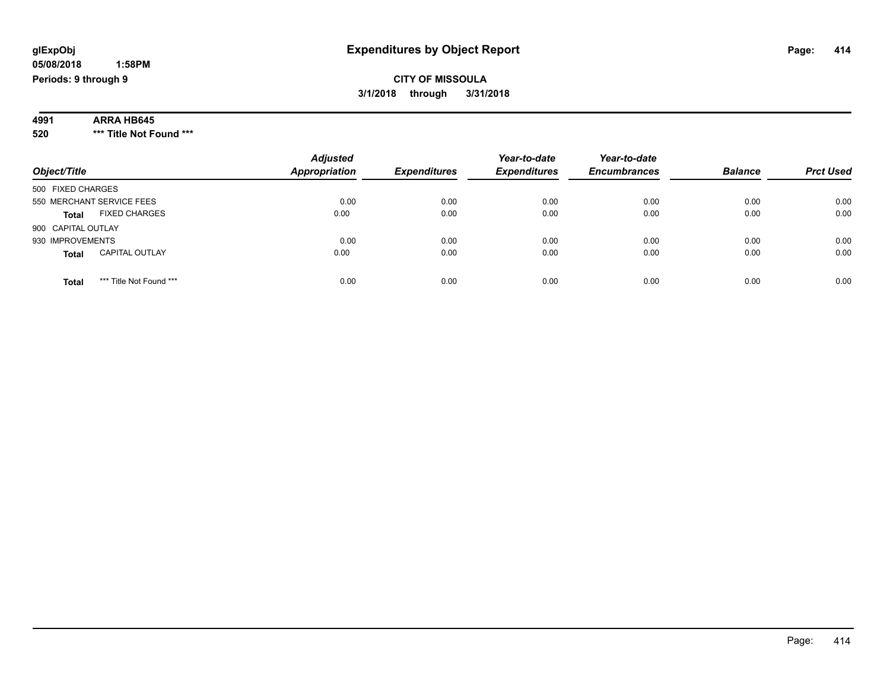# **CITY OF MISSOULA 3/1/2018 through 3/31/2018**

#### **4991 ARRA HB645**

| Object/Title                            | <b>Adjusted</b><br><b>Appropriation</b> | <b>Expenditures</b> | Year-to-date<br><b>Expenditures</b> | Year-to-date<br><b>Encumbrances</b> | <b>Balance</b> | <b>Prct Used</b> |
|-----------------------------------------|-----------------------------------------|---------------------|-------------------------------------|-------------------------------------|----------------|------------------|
| 500 FIXED CHARGES                       |                                         |                     |                                     |                                     |                |                  |
| 550 MERCHANT SERVICE FEES               | 0.00                                    | 0.00                | 0.00                                | 0.00                                | 0.00           | 0.00             |
| <b>FIXED CHARGES</b><br><b>Total</b>    | 0.00                                    | 0.00                | 0.00                                | 0.00                                | 0.00           | 0.00             |
| 900 CAPITAL OUTLAY                      |                                         |                     |                                     |                                     |                |                  |
| 930 IMPROVEMENTS                        | 0.00                                    | 0.00                | 0.00                                | 0.00                                | 0.00           | 0.00             |
| <b>CAPITAL OUTLAY</b><br><b>Total</b>   | 0.00                                    | 0.00                | 0.00                                | 0.00                                | 0.00           | 0.00             |
| *** Title Not Found ***<br><b>Total</b> | 0.00                                    | 0.00                | 0.00                                | 0.00                                | 0.00           | 0.00             |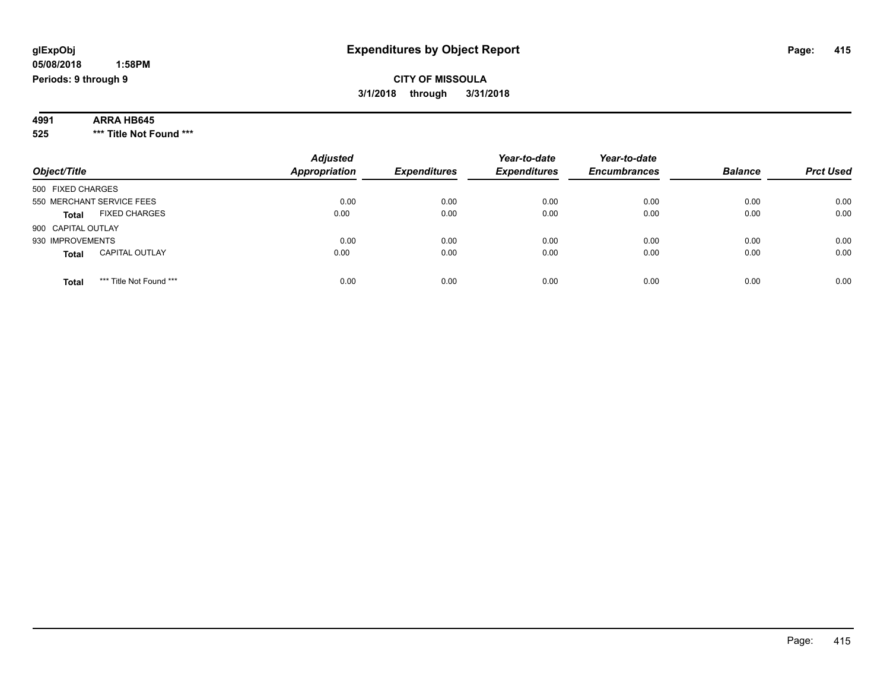# **CITY OF MISSOULA 3/1/2018 through 3/31/2018**

# **4991 ARRA HB645**

| Object/Title                            | <b>Adjusted</b><br><b>Appropriation</b> | <b>Expenditures</b> | Year-to-date<br><b>Expenditures</b> | Year-to-date<br><b>Encumbrances</b> | <b>Balance</b> | <b>Prct Used</b> |
|-----------------------------------------|-----------------------------------------|---------------------|-------------------------------------|-------------------------------------|----------------|------------------|
| 500 FIXED CHARGES                       |                                         |                     |                                     |                                     |                |                  |
| 550 MERCHANT SERVICE FEES               | 0.00                                    | 0.00                | 0.00                                | 0.00                                | 0.00           | 0.00             |
| <b>FIXED CHARGES</b><br><b>Total</b>    | 0.00                                    | 0.00                | 0.00                                | 0.00                                | 0.00           | 0.00             |
| 900 CAPITAL OUTLAY                      |                                         |                     |                                     |                                     |                |                  |
| 930 IMPROVEMENTS                        | 0.00                                    | 0.00                | 0.00                                | 0.00                                | 0.00           | 0.00             |
| <b>CAPITAL OUTLAY</b><br><b>Total</b>   | 0.00                                    | 0.00                | 0.00                                | 0.00                                | 0.00           | 0.00             |
| *** Title Not Found ***<br><b>Total</b> | 0.00                                    | 0.00                | 0.00                                | 0.00                                | 0.00           | 0.00             |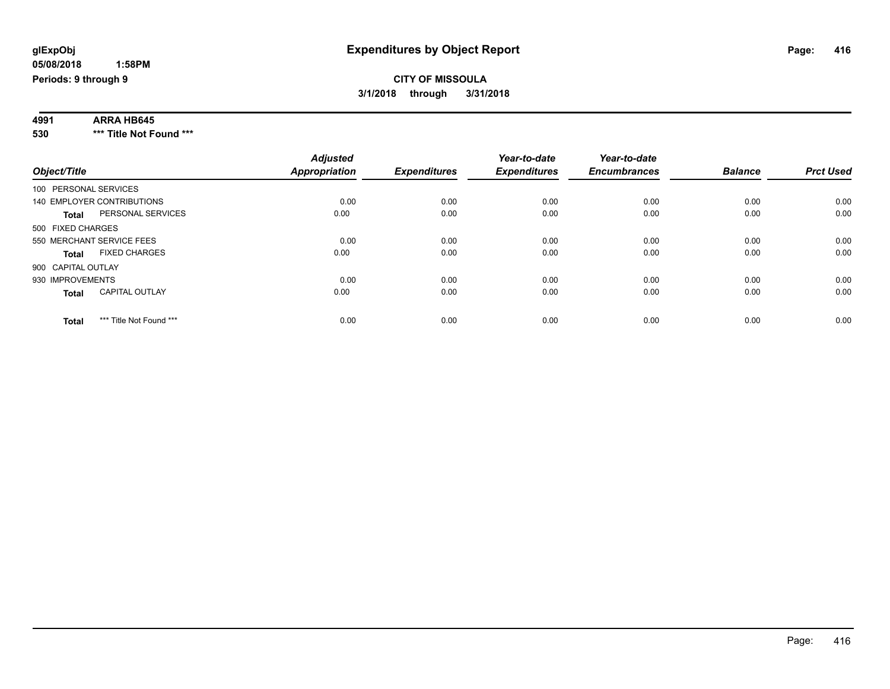# **4991 ARRA HB645**

|                       |                            | <b>Adjusted</b>      |                     | Year-to-date        | Year-to-date        |                |                  |
|-----------------------|----------------------------|----------------------|---------------------|---------------------|---------------------|----------------|------------------|
| Object/Title          |                            | <b>Appropriation</b> | <b>Expenditures</b> | <b>Expenditures</b> | <b>Encumbrances</b> | <b>Balance</b> | <b>Prct Used</b> |
| 100 PERSONAL SERVICES |                            |                      |                     |                     |                     |                |                  |
|                       | 140 EMPLOYER CONTRIBUTIONS | 0.00                 | 0.00                | 0.00                | 0.00                | 0.00           | 0.00             |
| <b>Total</b>          | PERSONAL SERVICES          | 0.00                 | 0.00                | 0.00                | 0.00                | 0.00           | 0.00             |
| 500 FIXED CHARGES     |                            |                      |                     |                     |                     |                |                  |
|                       | 550 MERCHANT SERVICE FEES  | 0.00                 | 0.00                | 0.00                | 0.00                | 0.00           | 0.00             |
| <b>Total</b>          | <b>FIXED CHARGES</b>       | 0.00                 | 0.00                | 0.00                | 0.00                | 0.00           | 0.00             |
| 900 CAPITAL OUTLAY    |                            |                      |                     |                     |                     |                |                  |
| 930 IMPROVEMENTS      |                            | 0.00                 | 0.00                | 0.00                | 0.00                | 0.00           | 0.00             |
| <b>Total</b>          | <b>CAPITAL OUTLAY</b>      | 0.00                 | 0.00                | 0.00                | 0.00                | 0.00           | 0.00             |
| <b>Total</b>          | *** Title Not Found ***    | 0.00                 | 0.00                | 0.00                | 0.00                | 0.00           | 0.00             |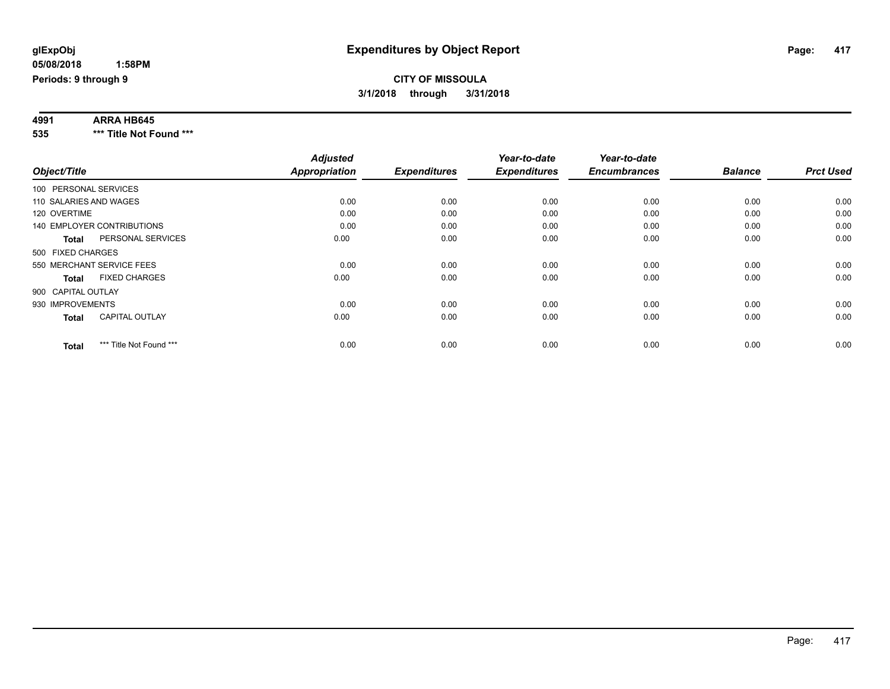# **4991 ARRA HB645**

|                                         | <b>Adjusted</b>      |                     | Year-to-date        | Year-to-date        |                |                  |
|-----------------------------------------|----------------------|---------------------|---------------------|---------------------|----------------|------------------|
| Object/Title                            | <b>Appropriation</b> | <b>Expenditures</b> | <b>Expenditures</b> | <b>Encumbrances</b> | <b>Balance</b> | <b>Prct Used</b> |
| 100 PERSONAL SERVICES                   |                      |                     |                     |                     |                |                  |
| 110 SALARIES AND WAGES                  | 0.00                 | 0.00                | 0.00                | 0.00                | 0.00           | 0.00             |
| 120 OVERTIME                            | 0.00                 | 0.00                | 0.00                | 0.00                | 0.00           | 0.00             |
| <b>140 EMPLOYER CONTRIBUTIONS</b>       | 0.00                 | 0.00                | 0.00                | 0.00                | 0.00           | 0.00             |
| PERSONAL SERVICES<br><b>Total</b>       | 0.00                 | 0.00                | 0.00                | 0.00                | 0.00           | 0.00             |
| 500 FIXED CHARGES                       |                      |                     |                     |                     |                |                  |
| 550 MERCHANT SERVICE FEES               | 0.00                 | 0.00                | 0.00                | 0.00                | 0.00           | 0.00             |
| <b>FIXED CHARGES</b><br><b>Total</b>    | 0.00                 | 0.00                | 0.00                | 0.00                | 0.00           | 0.00             |
| 900 CAPITAL OUTLAY                      |                      |                     |                     |                     |                |                  |
| 930 IMPROVEMENTS                        | 0.00                 | 0.00                | 0.00                | 0.00                | 0.00           | 0.00             |
| <b>CAPITAL OUTLAY</b><br><b>Total</b>   | 0.00                 | 0.00                | 0.00                | 0.00                | 0.00           | 0.00             |
| *** Title Not Found ***<br><b>Total</b> | 0.00                 | 0.00                | 0.00                | 0.00                | 0.00           | 0.00             |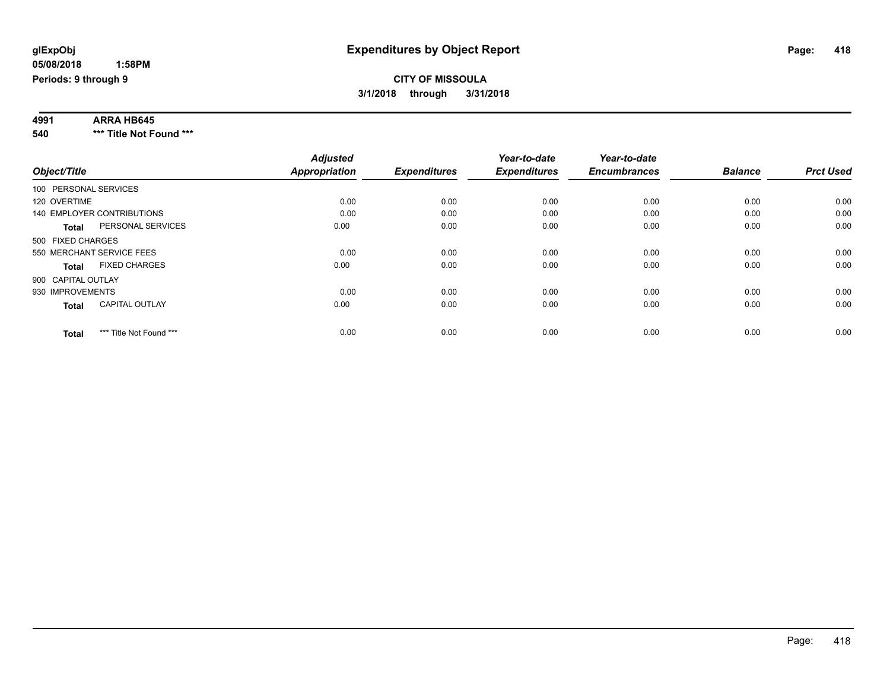# **4991 ARRA HB645**

|                                         | <b>Adjusted</b>      |                     | Year-to-date        | Year-to-date        |                |                  |
|-----------------------------------------|----------------------|---------------------|---------------------|---------------------|----------------|------------------|
| Object/Title                            | <b>Appropriation</b> | <b>Expenditures</b> | <b>Expenditures</b> | <b>Encumbrances</b> | <b>Balance</b> | <b>Prct Used</b> |
| 100 PERSONAL SERVICES                   |                      |                     |                     |                     |                |                  |
| 120 OVERTIME                            | 0.00                 | 0.00                | 0.00                | 0.00                | 0.00           | 0.00             |
| 140 EMPLOYER CONTRIBUTIONS              | 0.00                 | 0.00                | 0.00                | 0.00                | 0.00           | 0.00             |
| PERSONAL SERVICES<br><b>Total</b>       | 0.00                 | 0.00                | 0.00                | 0.00                | 0.00           | 0.00             |
| 500 FIXED CHARGES                       |                      |                     |                     |                     |                |                  |
| 550 MERCHANT SERVICE FEES               | 0.00                 | 0.00                | 0.00                | 0.00                | 0.00           | 0.00             |
| <b>FIXED CHARGES</b><br><b>Total</b>    | 0.00                 | 0.00                | 0.00                | 0.00                | 0.00           | 0.00             |
| 900 CAPITAL OUTLAY                      |                      |                     |                     |                     |                |                  |
| 930 IMPROVEMENTS                        | 0.00                 | 0.00                | 0.00                | 0.00                | 0.00           | 0.00             |
| <b>CAPITAL OUTLAY</b><br><b>Total</b>   | 0.00                 | 0.00                | 0.00                | 0.00                | 0.00           | 0.00             |
|                                         |                      |                     |                     |                     |                |                  |
| *** Title Not Found ***<br><b>Total</b> | 0.00                 | 0.00                | 0.00                | 0.00                | 0.00           | 0.00             |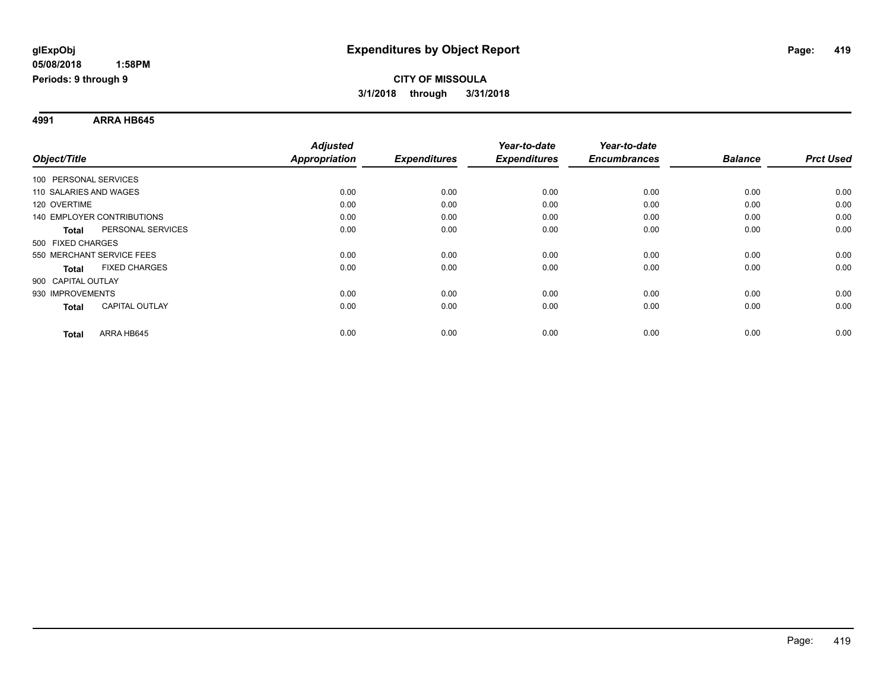**4991 ARRA HB645**

|                                   |                       | <b>Adjusted</b>      |                     | Year-to-date        | Year-to-date        |                |                  |
|-----------------------------------|-----------------------|----------------------|---------------------|---------------------|---------------------|----------------|------------------|
| Object/Title                      |                       | <b>Appropriation</b> | <b>Expenditures</b> | <b>Expenditures</b> | <b>Encumbrances</b> | <b>Balance</b> | <b>Prct Used</b> |
| 100 PERSONAL SERVICES             |                       |                      |                     |                     |                     |                |                  |
| 110 SALARIES AND WAGES            |                       | 0.00                 | 0.00                | 0.00                | 0.00                | 0.00           | 0.00             |
| 120 OVERTIME                      |                       | 0.00                 | 0.00                | 0.00                | 0.00                | 0.00           | 0.00             |
| <b>140 EMPLOYER CONTRIBUTIONS</b> |                       | 0.00                 | 0.00                | 0.00                | 0.00                | 0.00           | 0.00             |
| <b>Total</b>                      | PERSONAL SERVICES     | 0.00                 | 0.00                | 0.00                | 0.00                | 0.00           | 0.00             |
| 500 FIXED CHARGES                 |                       |                      |                     |                     |                     |                |                  |
| 550 MERCHANT SERVICE FEES         |                       | 0.00                 | 0.00                | 0.00                | 0.00                | 0.00           | 0.00             |
| <b>Total</b>                      | <b>FIXED CHARGES</b>  | 0.00                 | 0.00                | 0.00                | 0.00                | 0.00           | 0.00             |
| 900 CAPITAL OUTLAY                |                       |                      |                     |                     |                     |                |                  |
| 930 IMPROVEMENTS                  |                       | 0.00                 | 0.00                | 0.00                | 0.00                | 0.00           | 0.00             |
| <b>Total</b>                      | <b>CAPITAL OUTLAY</b> | 0.00                 | 0.00                | 0.00                | 0.00                | 0.00           | 0.00             |
| <b>Total</b>                      | ARRA HB645            | 0.00                 | 0.00                | 0.00                | 0.00                | 0.00           | 0.00             |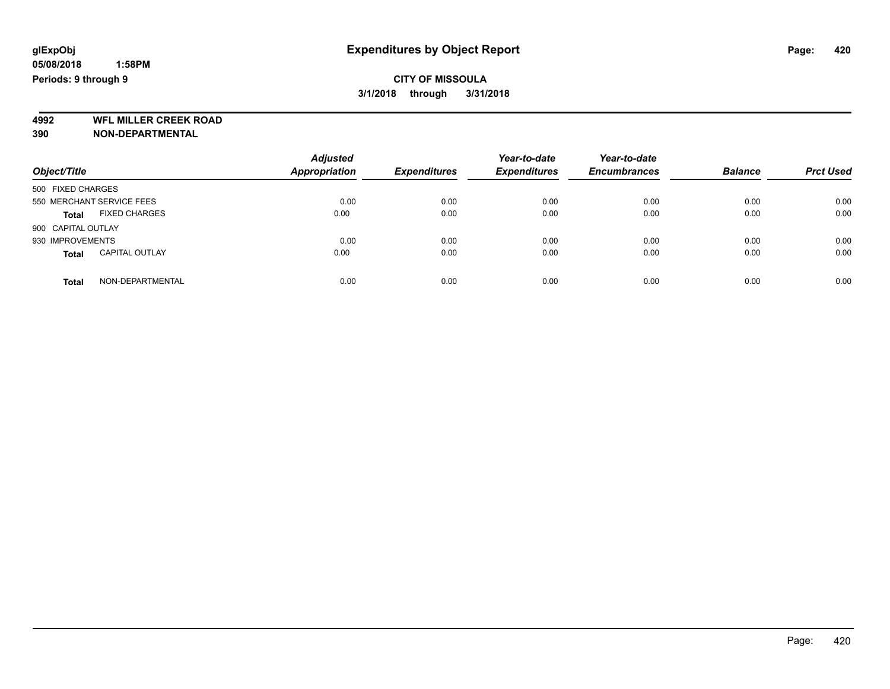**4992 WFL MILLER CREEK ROAD 390 NON-DEPARTMENTAL**

| Object/Title       |                           | <b>Adjusted</b><br><b>Appropriation</b> | <b>Expenditures</b> | Year-to-date<br><b>Expenditures</b> | Year-to-date<br><b>Encumbrances</b> | <b>Balance</b> | <b>Prct Used</b> |
|--------------------|---------------------------|-----------------------------------------|---------------------|-------------------------------------|-------------------------------------|----------------|------------------|
| 500 FIXED CHARGES  |                           |                                         |                     |                                     |                                     |                |                  |
|                    | 550 MERCHANT SERVICE FEES | 0.00                                    | 0.00                | 0.00                                | 0.00                                | 0.00           | 0.00             |
| Total              | <b>FIXED CHARGES</b>      | 0.00                                    | 0.00                | 0.00                                | 0.00                                | 0.00           | 0.00             |
| 900 CAPITAL OUTLAY |                           |                                         |                     |                                     |                                     |                |                  |
| 930 IMPROVEMENTS   |                           | 0.00                                    | 0.00                | 0.00                                | 0.00                                | 0.00           | 0.00             |
| Total              | <b>CAPITAL OUTLAY</b>     | 0.00                                    | 0.00                | 0.00                                | 0.00                                | 0.00           | 0.00             |
| <b>Total</b>       | NON-DEPARTMENTAL          | 0.00                                    | 0.00                | 0.00                                | 0.00                                | 0.00           | 0.00             |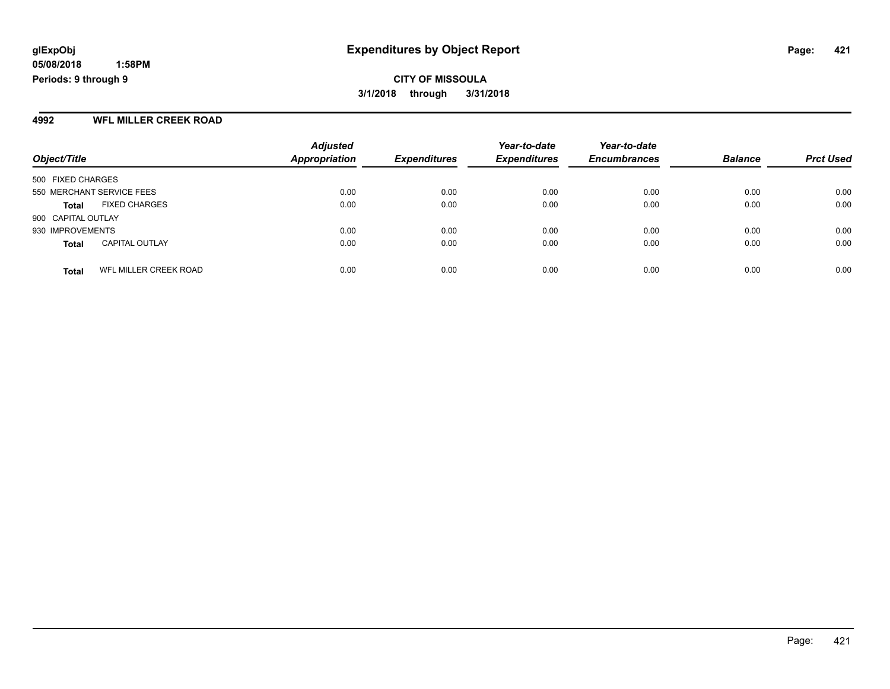#### **4992 WFL MILLER CREEK ROAD**

|                           |                       | <b>Adjusted</b>      |                     | Year-to-date        | Year-to-date        |                |                  |
|---------------------------|-----------------------|----------------------|---------------------|---------------------|---------------------|----------------|------------------|
| Object/Title              |                       | <b>Appropriation</b> | <b>Expenditures</b> | <b>Expenditures</b> | <b>Encumbrances</b> | <b>Balance</b> | <b>Prct Used</b> |
| 500 FIXED CHARGES         |                       |                      |                     |                     |                     |                |                  |
| 550 MERCHANT SERVICE FEES |                       | 0.00                 | 0.00                | 0.00                | 0.00                | 0.00           | 0.00             |
| <b>Total</b>              | <b>FIXED CHARGES</b>  | 0.00                 | 0.00                | 0.00                | 0.00                | 0.00           | 0.00             |
| 900 CAPITAL OUTLAY        |                       |                      |                     |                     |                     |                |                  |
| 930 IMPROVEMENTS          |                       | 0.00                 | 0.00                | 0.00                | 0.00                | 0.00           | 0.00             |
| <b>Total</b>              | <b>CAPITAL OUTLAY</b> | 0.00                 | 0.00                | 0.00                | 0.00                | 0.00           | 0.00             |
| <b>Total</b>              | WFL MILLER CREEK ROAD | 0.00                 | 0.00                | 0.00                | 0.00                | 0.00           | 0.00             |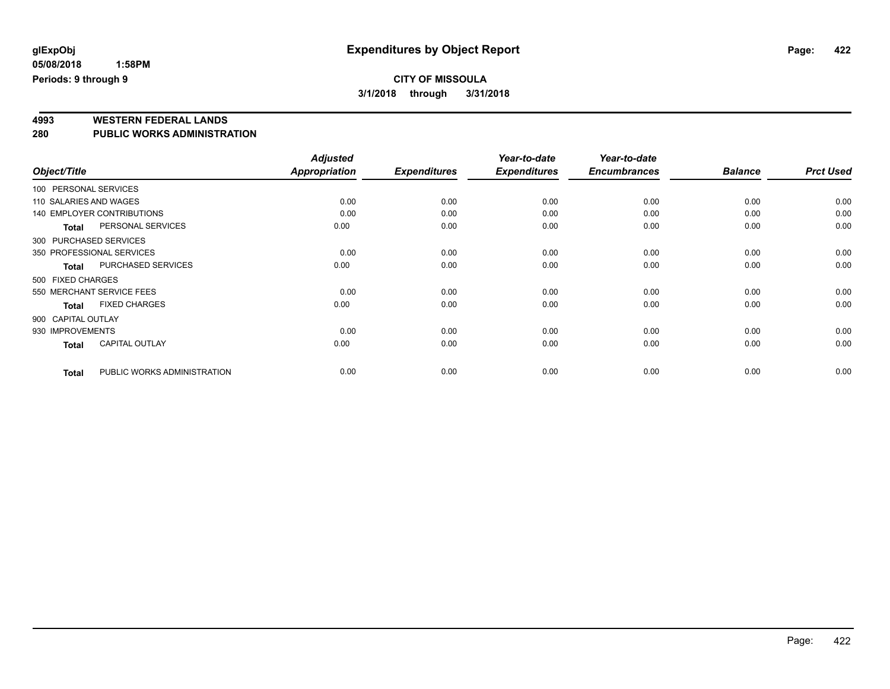### **CITY OF MISSOULA 3/1/2018 through 3/31/2018**

# **4993 WESTERN FEDERAL LANDS**

#### **280 PUBLIC WORKS ADMINISTRATION**

|                        |                                   | <b>Adjusted</b> |                     | Year-to-date        | Year-to-date        |                |                  |
|------------------------|-----------------------------------|-----------------|---------------------|---------------------|---------------------|----------------|------------------|
| Object/Title           |                                   | Appropriation   | <b>Expenditures</b> | <b>Expenditures</b> | <b>Encumbrances</b> | <b>Balance</b> | <b>Prct Used</b> |
| 100 PERSONAL SERVICES  |                                   |                 |                     |                     |                     |                |                  |
| 110 SALARIES AND WAGES |                                   | 0.00            | 0.00                | 0.00                | 0.00                | 0.00           | 0.00             |
|                        | <b>140 EMPLOYER CONTRIBUTIONS</b> | 0.00            | 0.00                | 0.00                | 0.00                | 0.00           | 0.00             |
| <b>Total</b>           | PERSONAL SERVICES                 | 0.00            | 0.00                | 0.00                | 0.00                | 0.00           | 0.00             |
| 300 PURCHASED SERVICES |                                   |                 |                     |                     |                     |                |                  |
|                        | 350 PROFESSIONAL SERVICES         | 0.00            | 0.00                | 0.00                | 0.00                | 0.00           | 0.00             |
| Total                  | PURCHASED SERVICES                | 0.00            | 0.00                | 0.00                | 0.00                | 0.00           | 0.00             |
| 500 FIXED CHARGES      |                                   |                 |                     |                     |                     |                |                  |
|                        | 550 MERCHANT SERVICE FEES         | 0.00            | 0.00                | 0.00                | 0.00                | 0.00           | 0.00             |
| <b>Total</b>           | <b>FIXED CHARGES</b>              | 0.00            | 0.00                | 0.00                | 0.00                | 0.00           | 0.00             |
| 900 CAPITAL OUTLAY     |                                   |                 |                     |                     |                     |                |                  |
| 930 IMPROVEMENTS       |                                   | 0.00            | 0.00                | 0.00                | 0.00                | 0.00           | 0.00             |
| <b>Total</b>           | <b>CAPITAL OUTLAY</b>             | 0.00            | 0.00                | 0.00                | 0.00                | 0.00           | 0.00             |
| <b>Total</b>           | PUBLIC WORKS ADMINISTRATION       | 0.00            | 0.00                | 0.00                | 0.00                | 0.00           | 0.00             |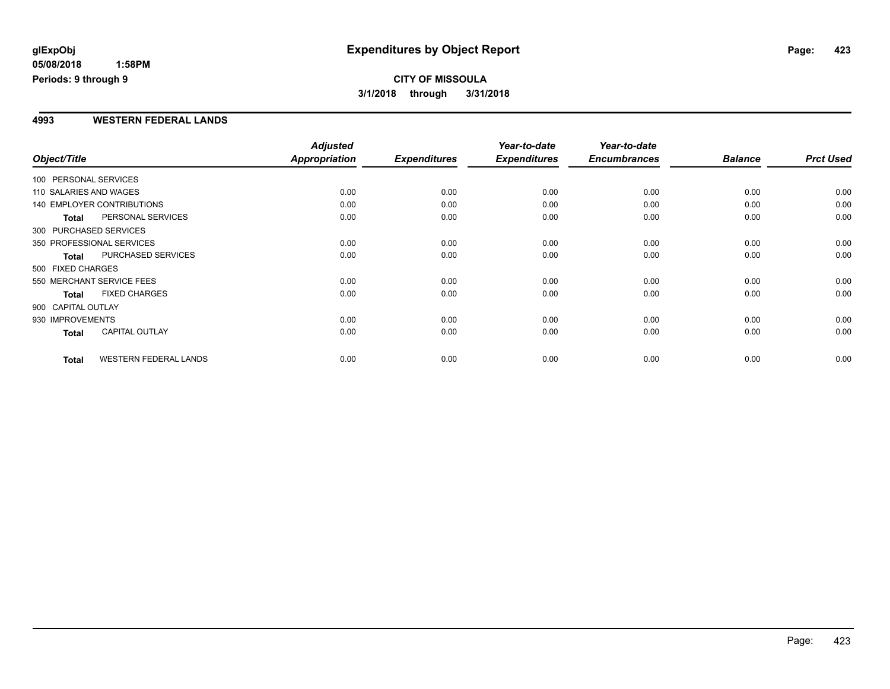#### **4993 WESTERN FEDERAL LANDS**

|                        |                              | <b>Adjusted</b>      |                     | Year-to-date        | Year-to-date        |                |                  |
|------------------------|------------------------------|----------------------|---------------------|---------------------|---------------------|----------------|------------------|
| Object/Title           |                              | <b>Appropriation</b> | <b>Expenditures</b> | <b>Expenditures</b> | <b>Encumbrances</b> | <b>Balance</b> | <b>Prct Used</b> |
| 100 PERSONAL SERVICES  |                              |                      |                     |                     |                     |                |                  |
| 110 SALARIES AND WAGES |                              | 0.00                 | 0.00                | 0.00                | 0.00                | 0.00           | 0.00             |
|                        | 140 EMPLOYER CONTRIBUTIONS   | 0.00                 | 0.00                | 0.00                | 0.00                | 0.00           | 0.00             |
| <b>Total</b>           | PERSONAL SERVICES            | 0.00                 | 0.00                | 0.00                | 0.00                | 0.00           | 0.00             |
|                        | 300 PURCHASED SERVICES       |                      |                     |                     |                     |                |                  |
|                        | 350 PROFESSIONAL SERVICES    | 0.00                 | 0.00                | 0.00                | 0.00                | 0.00           | 0.00             |
| <b>Total</b>           | PURCHASED SERVICES           | 0.00                 | 0.00                | 0.00                | 0.00                | 0.00           | 0.00             |
| 500 FIXED CHARGES      |                              |                      |                     |                     |                     |                |                  |
|                        | 550 MERCHANT SERVICE FEES    | 0.00                 | 0.00                | 0.00                | 0.00                | 0.00           | 0.00             |
| <b>Total</b>           | <b>FIXED CHARGES</b>         | 0.00                 | 0.00                | 0.00                | 0.00                | 0.00           | 0.00             |
| 900 CAPITAL OUTLAY     |                              |                      |                     |                     |                     |                |                  |
| 930 IMPROVEMENTS       |                              | 0.00                 | 0.00                | 0.00                | 0.00                | 0.00           | 0.00             |
| Total                  | <b>CAPITAL OUTLAY</b>        | 0.00                 | 0.00                | 0.00                | 0.00                | 0.00           | 0.00             |
| <b>Total</b>           | <b>WESTERN FEDERAL LANDS</b> | 0.00                 | 0.00                | 0.00                | 0.00                | 0.00           | 0.00             |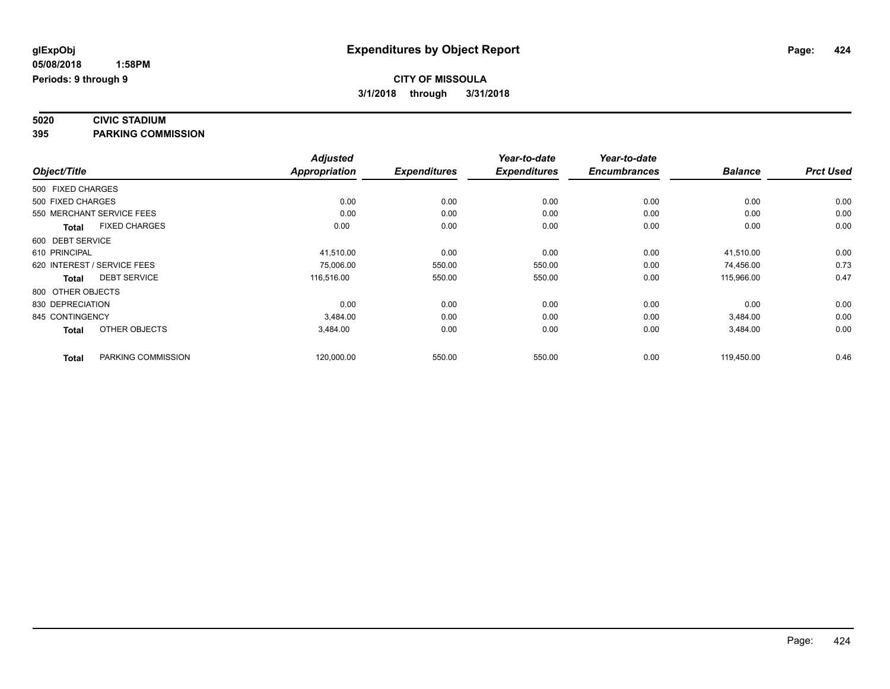# **5020 CIVIC STADIUM**

**395 PARKING COMMISSION**

|                   |                             | <b>Adjusted</b> |                     | Year-to-date        | Year-to-date        |                |                  |
|-------------------|-----------------------------|-----------------|---------------------|---------------------|---------------------|----------------|------------------|
| Object/Title      |                             | Appropriation   | <b>Expenditures</b> | <b>Expenditures</b> | <b>Encumbrances</b> | <b>Balance</b> | <b>Prct Used</b> |
| 500 FIXED CHARGES |                             |                 |                     |                     |                     |                |                  |
| 500 FIXED CHARGES |                             | 0.00            | 0.00                | 0.00                | 0.00                | 0.00           | 0.00             |
|                   | 550 MERCHANT SERVICE FEES   | 0.00            | 0.00                | 0.00                | 0.00                | 0.00           | 0.00             |
| <b>Total</b>      | <b>FIXED CHARGES</b>        | 0.00            | 0.00                | 0.00                | 0.00                | 0.00           | 0.00             |
| 600 DEBT SERVICE  |                             |                 |                     |                     |                     |                |                  |
| 610 PRINCIPAL     |                             | 41,510.00       | 0.00                | 0.00                | 0.00                | 41,510.00      | 0.00             |
|                   | 620 INTEREST / SERVICE FEES | 75.006.00       | 550.00              | 550.00              | 0.00                | 74.456.00      | 0.73             |
| <b>Total</b>      | <b>DEBT SERVICE</b>         | 116,516.00      | 550.00              | 550.00              | 0.00                | 115,966.00     | 0.47             |
| 800 OTHER OBJECTS |                             |                 |                     |                     |                     |                |                  |
| 830 DEPRECIATION  |                             | 0.00            | 0.00                | 0.00                | 0.00                | 0.00           | 0.00             |
| 845 CONTINGENCY   |                             | 3,484.00        | 0.00                | 0.00                | 0.00                | 3,484.00       | 0.00             |
| <b>Total</b>      | OTHER OBJECTS               | 3,484.00        | 0.00                | 0.00                | 0.00                | 3,484.00       | 0.00             |
| <b>Total</b>      | PARKING COMMISSION          | 120,000.00      | 550.00              | 550.00              | 0.00                | 119,450.00     | 0.46             |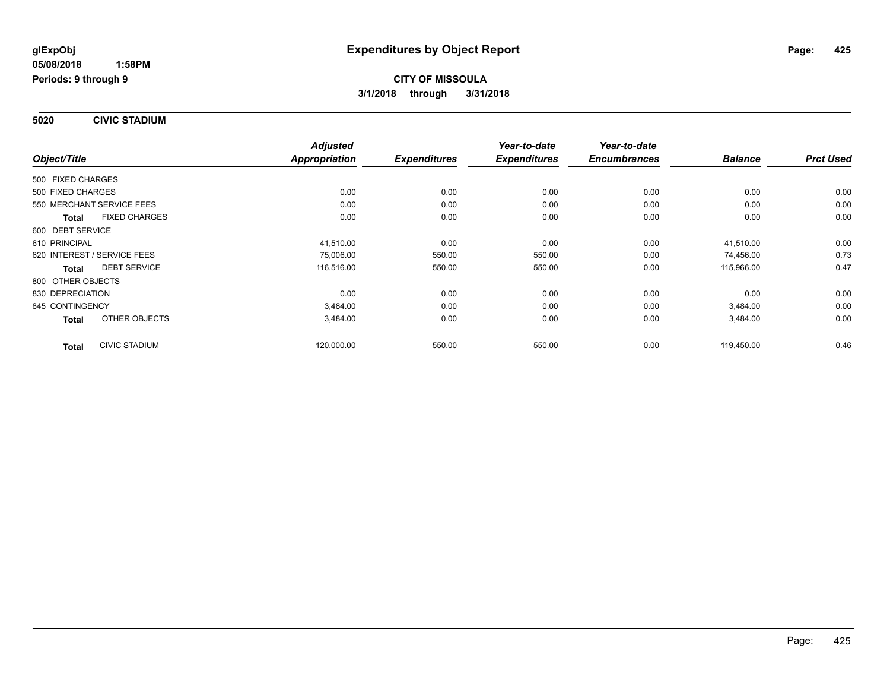**5020 CIVIC STADIUM**

|                             |                      | <b>Adjusted</b> |                     | Year-to-date        | Year-to-date        |                |                  |
|-----------------------------|----------------------|-----------------|---------------------|---------------------|---------------------|----------------|------------------|
| Object/Title                |                      | Appropriation   | <b>Expenditures</b> | <b>Expenditures</b> | <b>Encumbrances</b> | <b>Balance</b> | <b>Prct Used</b> |
| 500 FIXED CHARGES           |                      |                 |                     |                     |                     |                |                  |
| 500 FIXED CHARGES           |                      | 0.00            | 0.00                | 0.00                | 0.00                | 0.00           | 0.00             |
| 550 MERCHANT SERVICE FEES   |                      | 0.00            | 0.00                | 0.00                | 0.00                | 0.00           | 0.00             |
| <b>Total</b>                | <b>FIXED CHARGES</b> | 0.00            | 0.00                | 0.00                | 0.00                | 0.00           | 0.00             |
| 600 DEBT SERVICE            |                      |                 |                     |                     |                     |                |                  |
| 610 PRINCIPAL               |                      | 41,510.00       | 0.00                | 0.00                | 0.00                | 41,510.00      | 0.00             |
| 620 INTEREST / SERVICE FEES |                      | 75,006.00       | 550.00              | 550.00              | 0.00                | 74,456.00      | 0.73             |
| <b>Total</b>                | <b>DEBT SERVICE</b>  | 116,516.00      | 550.00              | 550.00              | 0.00                | 115,966.00     | 0.47             |
| 800 OTHER OBJECTS           |                      |                 |                     |                     |                     |                |                  |
| 830 DEPRECIATION            |                      | 0.00            | 0.00                | 0.00                | 0.00                | 0.00           | 0.00             |
| 845 CONTINGENCY             |                      | 3,484.00        | 0.00                | 0.00                | 0.00                | 3,484.00       | 0.00             |
| <b>Total</b>                | OTHER OBJECTS        | 3,484.00        | 0.00                | 0.00                | 0.00                | 3,484.00       | 0.00             |
| <b>Total</b>                | <b>CIVIC STADIUM</b> | 120,000.00      | 550.00              | 550.00              | 0.00                | 119.450.00     | 0.46             |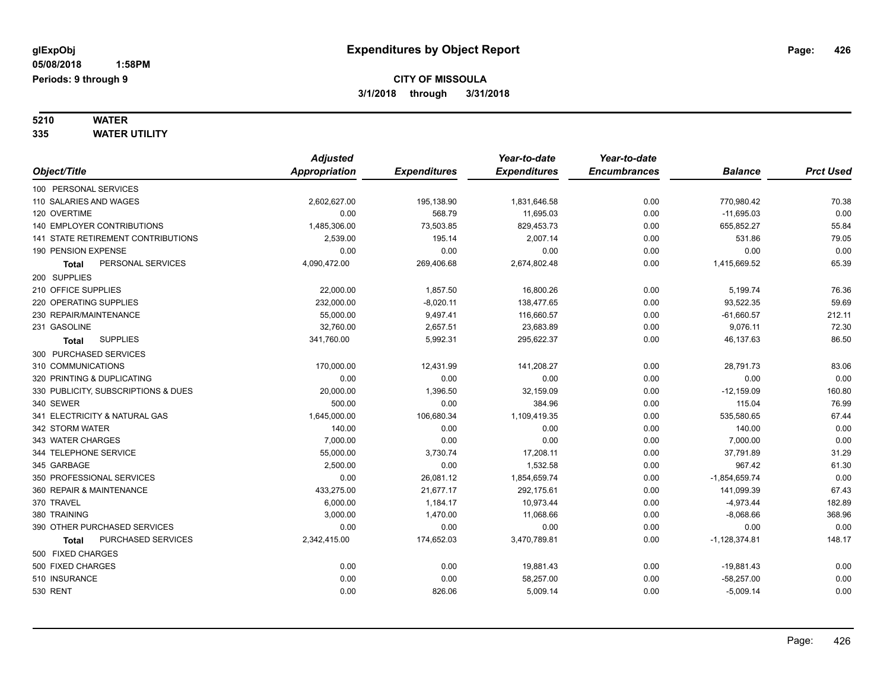# **5210 WATER**

**335 WATER UTILITY**

|                                     | <b>Adjusted</b> |                     | Year-to-date        | Year-to-date        |                 |                  |
|-------------------------------------|-----------------|---------------------|---------------------|---------------------|-----------------|------------------|
| Object/Title                        | Appropriation   | <b>Expenditures</b> | <b>Expenditures</b> | <b>Encumbrances</b> | <b>Balance</b>  | <b>Prct Used</b> |
| 100 PERSONAL SERVICES               |                 |                     |                     |                     |                 |                  |
| 110 SALARIES AND WAGES              | 2,602,627.00    | 195,138.90          | 1,831,646.58        | 0.00                | 770,980.42      | 70.38            |
| 120 OVERTIME                        | 0.00            | 568.79              | 11,695.03           | 0.00                | $-11,695.03$    | 0.00             |
| 140 EMPLOYER CONTRIBUTIONS          | 1,485,306.00    | 73,503.85           | 829,453.73          | 0.00                | 655,852.27      | 55.84            |
| 141 STATE RETIREMENT CONTRIBUTIONS  | 2,539.00        | 195.14              | 2,007.14            | 0.00                | 531.86          | 79.05            |
| 190 PENSION EXPENSE                 | 0.00            | 0.00                | 0.00                | 0.00                | 0.00            | 0.00             |
| PERSONAL SERVICES<br>Total          | 4,090,472.00    | 269,406.68          | 2,674,802.48        | 0.00                | 1,415,669.52    | 65.39            |
| 200 SUPPLIES                        |                 |                     |                     |                     |                 |                  |
| 210 OFFICE SUPPLIES                 | 22,000.00       | 1,857.50            | 16,800.26           | 0.00                | 5,199.74        | 76.36            |
| 220 OPERATING SUPPLIES              | 232,000.00      | $-8,020.11$         | 138,477.65          | 0.00                | 93,522.35       | 59.69            |
| 230 REPAIR/MAINTENANCE              | 55,000.00       | 9,497.41            | 116,660.57          | 0.00                | $-61,660.57$    | 212.11           |
| 231 GASOLINE                        | 32,760.00       | 2,657.51            | 23,683.89           | 0.00                | 9,076.11        | 72.30            |
| <b>SUPPLIES</b><br><b>Total</b>     | 341,760.00      | 5,992.31            | 295,622.37          | 0.00                | 46,137.63       | 86.50            |
| 300 PURCHASED SERVICES              |                 |                     |                     |                     |                 |                  |
| 310 COMMUNICATIONS                  | 170,000.00      | 12,431.99           | 141,208.27          | 0.00                | 28,791.73       | 83.06            |
| 320 PRINTING & DUPLICATING          | 0.00            | 0.00                | 0.00                | 0.00                | 0.00            | 0.00             |
| 330 PUBLICITY, SUBSCRIPTIONS & DUES | 20,000.00       | 1,396.50            | 32,159.09           | 0.00                | $-12,159.09$    | 160.80           |
| 340 SEWER                           | 500.00          | 0.00                | 384.96              | 0.00                | 115.04          | 76.99            |
| 341 ELECTRICITY & NATURAL GAS       | 1,645,000.00    | 106,680.34          | 1,109,419.35        | 0.00                | 535,580.65      | 67.44            |
| 342 STORM WATER                     | 140.00          | 0.00                | 0.00                | 0.00                | 140.00          | 0.00             |
| 343 WATER CHARGES                   | 7,000.00        | 0.00                | 0.00                | 0.00                | 7,000.00        | 0.00             |
| 344 TELEPHONE SERVICE               | 55,000.00       | 3,730.74            | 17,208.11           | 0.00                | 37,791.89       | 31.29            |
| 345 GARBAGE                         | 2,500.00        | 0.00                | 1,532.58            | 0.00                | 967.42          | 61.30            |
| 350 PROFESSIONAL SERVICES           | 0.00            | 26,081.12           | 1,854,659.74        | 0.00                | $-1,854,659.74$ | 0.00             |
| 360 REPAIR & MAINTENANCE            | 433,275.00      | 21,677.17           | 292,175.61          | 0.00                | 141,099.39      | 67.43            |
| 370 TRAVEL                          | 6,000.00        | 1,184.17            | 10,973.44           | 0.00                | $-4,973.44$     | 182.89           |
| 380 TRAINING                        | 3,000.00        | 1,470.00            | 11,068.66           | 0.00                | $-8,068.66$     | 368.96           |
| 390 OTHER PURCHASED SERVICES        | 0.00            | 0.00                | 0.00                | 0.00                | 0.00            | 0.00             |
| PURCHASED SERVICES<br>Total         | 2,342,415.00    | 174,652.03          | 3,470,789.81        | 0.00                | $-1,128,374.81$ | 148.17           |
| 500 FIXED CHARGES                   |                 |                     |                     |                     |                 |                  |
| 500 FIXED CHARGES                   | 0.00            | 0.00                | 19,881.43           | 0.00                | $-19,881.43$    | 0.00             |
| 510 INSURANCE                       | 0.00            | 0.00                | 58,257.00           | 0.00                | $-58,257.00$    | 0.00             |
| <b>530 RENT</b>                     | 0.00            | 826.06              | 5,009.14            | 0.00                | $-5,009.14$     | 0.00             |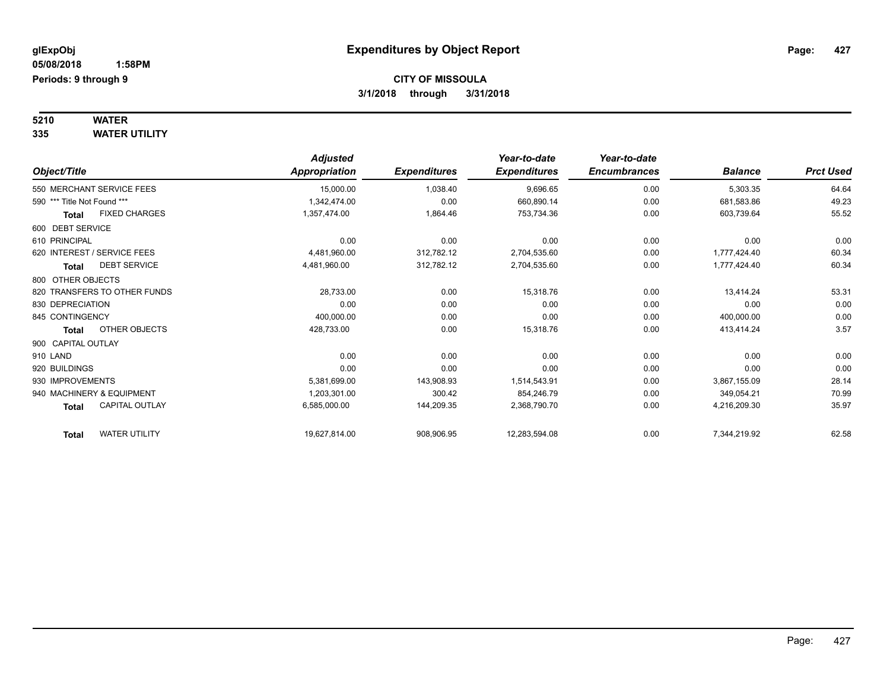# **5210 WATER**

**335 WATER UTILITY**

|                                       | <b>Adjusted</b> |                     | Year-to-date        | Year-to-date        |                |                  |
|---------------------------------------|-----------------|---------------------|---------------------|---------------------|----------------|------------------|
| Object/Title                          | Appropriation   | <b>Expenditures</b> | <b>Expenditures</b> | <b>Encumbrances</b> | <b>Balance</b> | <b>Prct Used</b> |
| 550 MERCHANT SERVICE FEES             | 15,000.00       | 1,038.40            | 9,696.65            | 0.00                | 5,303.35       | 64.64            |
| 590 *** Title Not Found ***           | 1,342,474.00    | 0.00                | 660,890.14          | 0.00                | 681,583.86     | 49.23            |
| <b>FIXED CHARGES</b><br><b>Total</b>  | 1,357,474.00    | 1,864.46            | 753,734.36          | 0.00                | 603,739.64     | 55.52            |
| 600 DEBT SERVICE                      |                 |                     |                     |                     |                |                  |
| 610 PRINCIPAL                         | 0.00            | 0.00                | 0.00                | 0.00                | 0.00           | 0.00             |
| 620 INTEREST / SERVICE FEES           | 4,481,960.00    | 312,782.12          | 2,704,535.60        | 0.00                | 1,777,424.40   | 60.34            |
| <b>DEBT SERVICE</b><br><b>Total</b>   | 4,481,960.00    | 312,782.12          | 2,704,535.60        | 0.00                | 1,777,424.40   | 60.34            |
| 800 OTHER OBJECTS                     |                 |                     |                     |                     |                |                  |
| 820 TRANSFERS TO OTHER FUNDS          | 28,733.00       | 0.00                | 15,318.76           | 0.00                | 13,414.24      | 53.31            |
| 830 DEPRECIATION                      | 0.00            | 0.00                | 0.00                | 0.00                | 0.00           | 0.00             |
| 845 CONTINGENCY                       | 400,000.00      | 0.00                | 0.00                | 0.00                | 400,000.00     | 0.00             |
| OTHER OBJECTS<br><b>Total</b>         | 428,733.00      | 0.00                | 15,318.76           | 0.00                | 413,414.24     | 3.57             |
| 900 CAPITAL OUTLAY                    |                 |                     |                     |                     |                |                  |
| 910 LAND                              | 0.00            | 0.00                | 0.00                | 0.00                | 0.00           | 0.00             |
| 920 BUILDINGS                         | 0.00            | 0.00                | 0.00                | 0.00                | 0.00           | 0.00             |
| 930 IMPROVEMENTS                      | 5,381,699.00    | 143,908.93          | 1,514,543.91        | 0.00                | 3.867.155.09   | 28.14            |
| 940 MACHINERY & EQUIPMENT             | 1,203,301.00    | 300.42              | 854,246.79          | 0.00                | 349,054.21     | 70.99            |
| <b>CAPITAL OUTLAY</b><br><b>Total</b> | 6,585,000.00    | 144,209.35          | 2,368,790.70        | 0.00                | 4,216,209.30   | 35.97            |
| <b>WATER UTILITY</b><br><b>Total</b>  | 19,627,814.00   | 908,906.95          | 12,283,594.08       | 0.00                | 7,344,219.92   | 62.58            |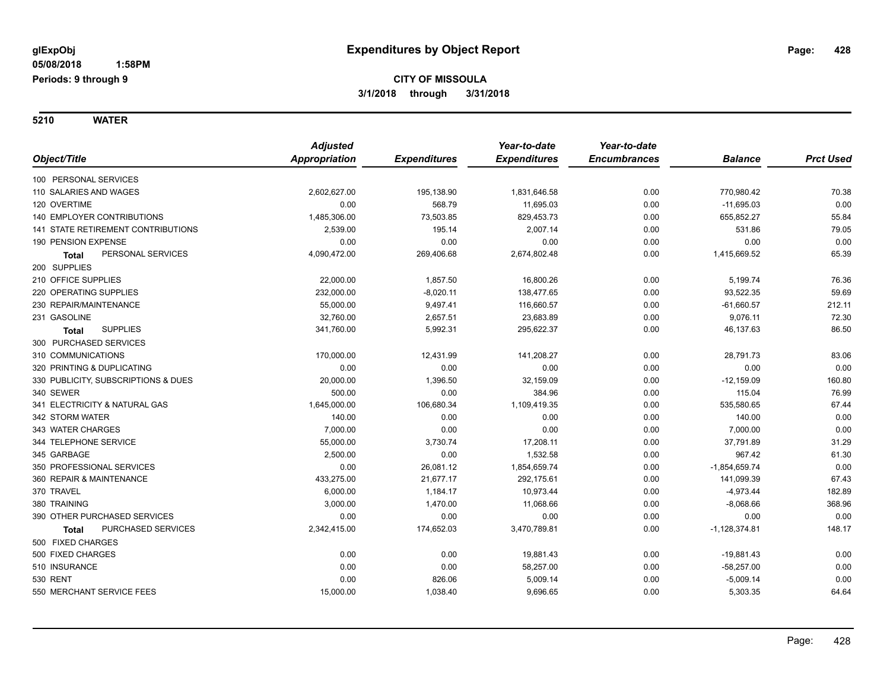**5210 WATER**

|                                           | <b>Adjusted</b> |                     | Year-to-date        | Year-to-date        |                 |                  |
|-------------------------------------------|-----------------|---------------------|---------------------|---------------------|-----------------|------------------|
| Object/Title                              | Appropriation   | <b>Expenditures</b> | <b>Expenditures</b> | <b>Encumbrances</b> | <b>Balance</b>  | <b>Prct Used</b> |
| 100 PERSONAL SERVICES                     |                 |                     |                     |                     |                 |                  |
| 110 SALARIES AND WAGES                    | 2,602,627.00    | 195,138.90          | 1,831,646.58        | 0.00                | 770,980.42      | 70.38            |
| 120 OVERTIME                              | 0.00            | 568.79              | 11,695.03           | 0.00                | $-11,695.03$    | 0.00             |
| <b>140 EMPLOYER CONTRIBUTIONS</b>         | 1,485,306.00    | 73,503.85           | 829,453.73          | 0.00                | 655,852.27      | 55.84            |
| <b>141 STATE RETIREMENT CONTRIBUTIONS</b> | 2,539.00        | 195.14              | 2,007.14            | 0.00                | 531.86          | 79.05            |
| 190 PENSION EXPENSE                       | 0.00            | 0.00                | 0.00                | 0.00                | 0.00            | 0.00             |
| PERSONAL SERVICES<br><b>Total</b>         | 4,090,472.00    | 269,406.68          | 2,674,802.48        | 0.00                | 1,415,669.52    | 65.39            |
| 200 SUPPLIES                              |                 |                     |                     |                     |                 |                  |
| 210 OFFICE SUPPLIES                       | 22,000.00       | 1,857.50            | 16,800.26           | 0.00                | 5,199.74        | 76.36            |
| 220 OPERATING SUPPLIES                    | 232,000.00      | $-8,020.11$         | 138,477.65          | 0.00                | 93,522.35       | 59.69            |
| 230 REPAIR/MAINTENANCE                    | 55,000.00       | 9,497.41            | 116,660.57          | 0.00                | $-61,660.57$    | 212.11           |
| 231 GASOLINE                              | 32,760.00       | 2,657.51            | 23,683.89           | 0.00                | 9,076.11        | 72.30            |
| <b>SUPPLIES</b><br>Total                  | 341,760.00      | 5,992.31            | 295,622.37          | 0.00                | 46,137.63       | 86.50            |
| 300 PURCHASED SERVICES                    |                 |                     |                     |                     |                 |                  |
| 310 COMMUNICATIONS                        | 170,000.00      | 12,431.99           | 141,208.27          | 0.00                | 28,791.73       | 83.06            |
| 320 PRINTING & DUPLICATING                | 0.00            | 0.00                | 0.00                | 0.00                | 0.00            | 0.00             |
| 330 PUBLICITY, SUBSCRIPTIONS & DUES       | 20,000.00       | 1,396.50            | 32,159.09           | 0.00                | $-12,159.09$    | 160.80           |
| 340 SEWER                                 | 500.00          | 0.00                | 384.96              | 0.00                | 115.04          | 76.99            |
| 341 ELECTRICITY & NATURAL GAS             | 1,645,000.00    | 106,680.34          | 1,109,419.35        | 0.00                | 535,580.65      | 67.44            |
| 342 STORM WATER                           | 140.00          | 0.00                | 0.00                | 0.00                | 140.00          | 0.00             |
| 343 WATER CHARGES                         | 7,000.00        | 0.00                | 0.00                | 0.00                | 7,000.00        | 0.00             |
| 344 TELEPHONE SERVICE                     | 55,000.00       | 3,730.74            | 17,208.11           | 0.00                | 37,791.89       | 31.29            |
| 345 GARBAGE                               | 2,500.00        | 0.00                | 1,532.58            | 0.00                | 967.42          | 61.30            |
| 350 PROFESSIONAL SERVICES                 | 0.00            | 26,081.12           | 1,854,659.74        | 0.00                | $-1,854,659.74$ | 0.00             |
| 360 REPAIR & MAINTENANCE                  | 433,275.00      | 21,677.17           | 292,175.61          | 0.00                | 141,099.39      | 67.43            |
| 370 TRAVEL                                | 6,000.00        | 1,184.17            | 10,973.44           | 0.00                | $-4,973.44$     | 182.89           |
| 380 TRAINING                              | 3,000.00        | 1,470.00            | 11,068.66           | 0.00                | $-8,068.66$     | 368.96           |
| 390 OTHER PURCHASED SERVICES              | 0.00            | 0.00                | 0.00                | 0.00                | 0.00            | 0.00             |
| PURCHASED SERVICES<br>Total               | 2,342,415.00    | 174,652.03          | 3,470,789.81        | 0.00                | $-1,128,374.81$ | 148.17           |
| 500 FIXED CHARGES                         |                 |                     |                     |                     |                 |                  |
| 500 FIXED CHARGES                         | 0.00            | 0.00                | 19,881.43           | 0.00                | $-19,881.43$    | 0.00             |
| 510 INSURANCE                             | 0.00            | 0.00                | 58,257.00           | 0.00                | $-58,257.00$    | 0.00             |
| 530 RENT                                  | 0.00            | 826.06              | 5,009.14            | 0.00                | $-5,009.14$     | 0.00             |
| 550 MERCHANT SERVICE FEES                 | 15,000.00       | 1,038.40            | 9,696.65            | 0.00                | 5,303.35        | 64.64            |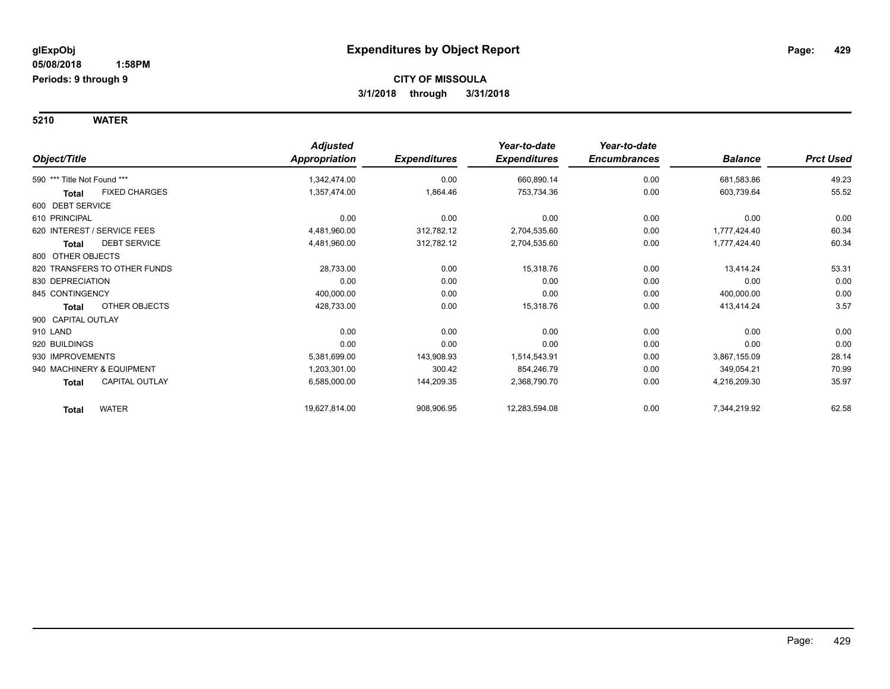**5210 WATER**

| Object/Title                         | <b>Adjusted</b><br>Appropriation | <b>Expenditures</b> | Year-to-date<br><b>Expenditures</b> | Year-to-date<br><b>Encumbrances</b> | <b>Balance</b> | <b>Prct Used</b> |
|--------------------------------------|----------------------------------|---------------------|-------------------------------------|-------------------------------------|----------------|------------------|
| 590 *** Title Not Found ***          | 1,342,474.00                     | 0.00                | 660,890.14                          | 0.00                                | 681,583.86     | 49.23            |
| <b>FIXED CHARGES</b><br><b>Total</b> | 1,357,474.00                     | 1,864.46            | 753,734.36                          | 0.00                                | 603,739.64     | 55.52            |
| 600 DEBT SERVICE                     |                                  |                     |                                     |                                     |                |                  |
| 610 PRINCIPAL                        | 0.00                             | 0.00                | 0.00                                | 0.00                                | 0.00           | 0.00             |
| 620 INTEREST / SERVICE FEES          | 4,481,960.00                     | 312,782.12          | 2,704,535.60                        | 0.00                                | 1,777,424.40   | 60.34            |
| <b>DEBT SERVICE</b><br><b>Total</b>  | 4,481,960.00                     | 312,782.12          | 2,704,535.60                        | 0.00                                | 1,777,424.40   | 60.34            |
| 800 OTHER OBJECTS                    |                                  |                     |                                     |                                     |                |                  |
| 820 TRANSFERS TO OTHER FUNDS         | 28,733.00                        | 0.00                | 15,318.76                           | 0.00                                | 13,414.24      | 53.31            |
| 830 DEPRECIATION                     | 0.00                             | 0.00                | 0.00                                | 0.00                                | 0.00           | 0.00             |
| 845 CONTINGENCY                      | 400,000.00                       | 0.00                | 0.00                                | 0.00                                | 400,000.00     | 0.00             |
| OTHER OBJECTS<br>Total               | 428,733.00                       | 0.00                | 15,318.76                           | 0.00                                | 413,414.24     | 3.57             |
| 900 CAPITAL OUTLAY                   |                                  |                     |                                     |                                     |                |                  |
| 910 LAND                             | 0.00                             | 0.00                | 0.00                                | 0.00                                | 0.00           | 0.00             |
| 920 BUILDINGS                        | 0.00                             | 0.00                | 0.00                                | 0.00                                | 0.00           | 0.00             |
| 930 IMPROVEMENTS                     | 5,381,699.00                     | 143,908.93          | 1,514,543.91                        | 0.00                                | 3,867,155.09   | 28.14            |
| 940 MACHINERY & EQUIPMENT            | 1,203,301.00                     | 300.42              | 854,246.79                          | 0.00                                | 349,054.21     | 70.99            |
| <b>CAPITAL OUTLAY</b><br>Total       | 6,585,000.00                     | 144,209.35          | 2,368,790.70                        | 0.00                                | 4,216,209.30   | 35.97            |
| <b>WATER</b><br><b>Total</b>         | 19,627,814.00                    | 908,906.95          | 12,283,594.08                       | 0.00                                | 7,344,219.92   | 62.58            |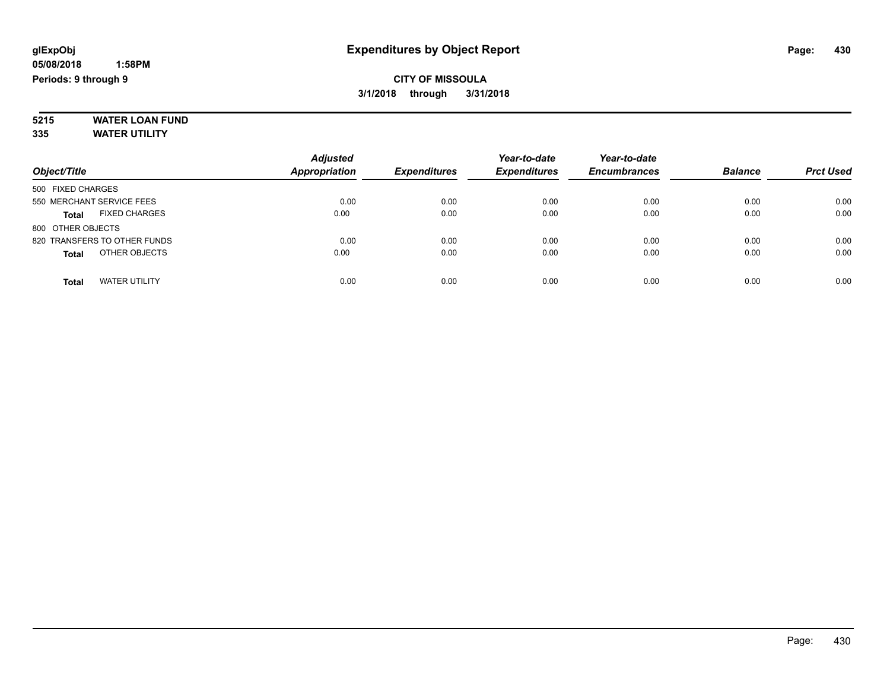#### **5215 WATER LOAN FUND 335 WATER UTILITY**

|                                      | <b>Adjusted</b>      |                     | Year-to-date        | Year-to-date        |                |                  |
|--------------------------------------|----------------------|---------------------|---------------------|---------------------|----------------|------------------|
| Object/Title                         | <b>Appropriation</b> | <b>Expenditures</b> | <b>Expenditures</b> | <b>Encumbrances</b> | <b>Balance</b> | <b>Prct Used</b> |
| 500 FIXED CHARGES                    |                      |                     |                     |                     |                |                  |
| 550 MERCHANT SERVICE FEES            | 0.00                 | 0.00                | 0.00                | 0.00                | 0.00           | 0.00             |
| <b>FIXED CHARGES</b><br><b>Total</b> | 0.00                 | 0.00                | 0.00                | 0.00                | 0.00           | 0.00             |
| 800 OTHER OBJECTS                    |                      |                     |                     |                     |                |                  |
| 820 TRANSFERS TO OTHER FUNDS         | 0.00                 | 0.00                | 0.00                | 0.00                | 0.00           | 0.00             |
| OTHER OBJECTS<br><b>Total</b>        | 0.00                 | 0.00                | 0.00                | 0.00                | 0.00           | 0.00             |
| <b>WATER UTILITY</b><br><b>Total</b> | 0.00                 | 0.00                | 0.00                | 0.00                | 0.00           | 0.00             |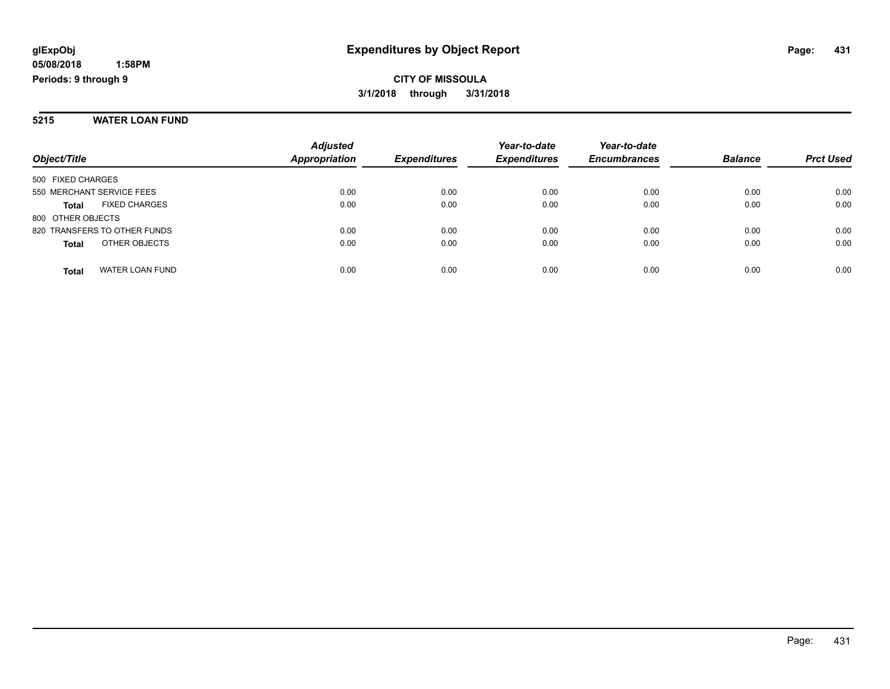#### **5215 WATER LOAN FUND**

|                                      | <b>Adjusted</b> |                     | Year-to-date        | Year-to-date        |                |                  |
|--------------------------------------|-----------------|---------------------|---------------------|---------------------|----------------|------------------|
| Object/Title                         | Appropriation   | <b>Expenditures</b> | <b>Expenditures</b> | <b>Encumbrances</b> | <b>Balance</b> | <b>Prct Used</b> |
| 500 FIXED CHARGES                    |                 |                     |                     |                     |                |                  |
| 550 MERCHANT SERVICE FEES            | 0.00            | 0.00                | 0.00                | 0.00                | 0.00           | 0.00             |
| <b>FIXED CHARGES</b><br><b>Total</b> | 0.00            | 0.00                | 0.00                | 0.00                | 0.00           | 0.00             |
| 800 OTHER OBJECTS                    |                 |                     |                     |                     |                |                  |
| 820 TRANSFERS TO OTHER FUNDS         | 0.00            | 0.00                | 0.00                | 0.00                | 0.00           | 0.00             |
| OTHER OBJECTS<br><b>Total</b>        | 0.00            | 0.00                | 0.00                | 0.00                | 0.00           | 0.00             |
| WATER LOAN FUND<br><b>Total</b>      | 0.00            | 0.00                | 0.00                | 0.00                | 0.00           | 0.00             |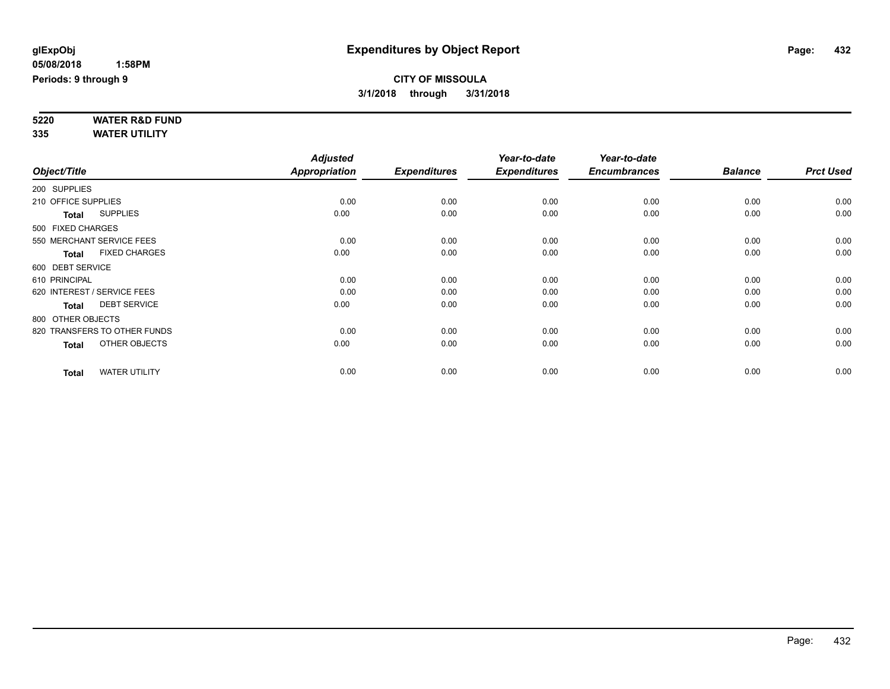| 5220 | <b>WATER R&amp;D FUND</b> |  |
|------|---------------------------|--|
|      |                           |  |

**335 WATER UTILITY**

|                     |                              | <b>Adjusted</b> |                     | Year-to-date        | Year-to-date        |                |                  |
|---------------------|------------------------------|-----------------|---------------------|---------------------|---------------------|----------------|------------------|
| Object/Title        |                              | Appropriation   | <b>Expenditures</b> | <b>Expenditures</b> | <b>Encumbrances</b> | <b>Balance</b> | <b>Prct Used</b> |
| 200 SUPPLIES        |                              |                 |                     |                     |                     |                |                  |
| 210 OFFICE SUPPLIES |                              | 0.00            | 0.00                | 0.00                | 0.00                | 0.00           | 0.00             |
| <b>Total</b>        | <b>SUPPLIES</b>              | 0.00            | 0.00                | 0.00                | 0.00                | 0.00           | 0.00             |
| 500 FIXED CHARGES   |                              |                 |                     |                     |                     |                |                  |
|                     | 550 MERCHANT SERVICE FEES    | 0.00            | 0.00                | 0.00                | 0.00                | 0.00           | 0.00             |
| <b>Total</b>        | <b>FIXED CHARGES</b>         | 0.00            | 0.00                | 0.00                | 0.00                | 0.00           | 0.00             |
| 600 DEBT SERVICE    |                              |                 |                     |                     |                     |                |                  |
| 610 PRINCIPAL       |                              | 0.00            | 0.00                | 0.00                | 0.00                | 0.00           | 0.00             |
|                     | 620 INTEREST / SERVICE FEES  | 0.00            | 0.00                | 0.00                | 0.00                | 0.00           | 0.00             |
| <b>Total</b>        | <b>DEBT SERVICE</b>          | 0.00            | 0.00                | 0.00                | 0.00                | 0.00           | 0.00             |
| 800 OTHER OBJECTS   |                              |                 |                     |                     |                     |                |                  |
|                     | 820 TRANSFERS TO OTHER FUNDS | 0.00            | 0.00                | 0.00                | 0.00                | 0.00           | 0.00             |
| <b>Total</b>        | OTHER OBJECTS                | 0.00            | 0.00                | 0.00                | 0.00                | 0.00           | 0.00             |
| <b>Total</b>        | <b>WATER UTILITY</b>         | 0.00            | 0.00                | 0.00                | 0.00                | 0.00           | 0.00             |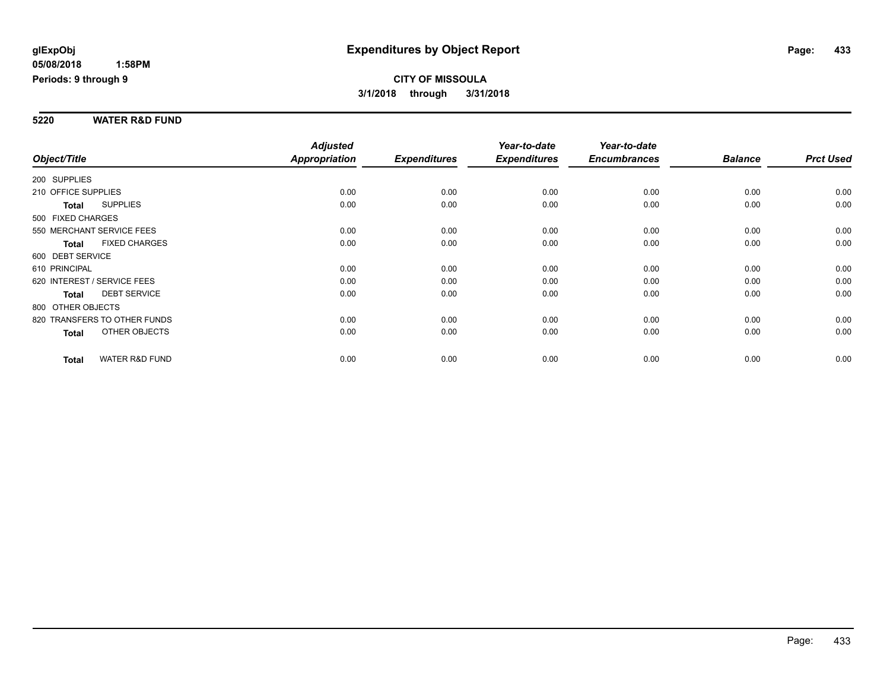**CITY OF MISSOULA 3/1/2018 through 3/31/2018**

#### **5220 WATER R&D FUND**

|                     |                              | <b>Adjusted</b> |                     | Year-to-date        | Year-to-date        |                |                  |
|---------------------|------------------------------|-----------------|---------------------|---------------------|---------------------|----------------|------------------|
| Object/Title        |                              | Appropriation   | <b>Expenditures</b> | <b>Expenditures</b> | <b>Encumbrances</b> | <b>Balance</b> | <b>Prct Used</b> |
| 200 SUPPLIES        |                              |                 |                     |                     |                     |                |                  |
| 210 OFFICE SUPPLIES |                              | 0.00            | 0.00                | 0.00                | 0.00                | 0.00           | 0.00             |
| Total               | <b>SUPPLIES</b>              | 0.00            | 0.00                | 0.00                | 0.00                | 0.00           | 0.00             |
| 500 FIXED CHARGES   |                              |                 |                     |                     |                     |                |                  |
|                     | 550 MERCHANT SERVICE FEES    | 0.00            | 0.00                | 0.00                | 0.00                | 0.00           | 0.00             |
| <b>Total</b>        | <b>FIXED CHARGES</b>         | 0.00            | 0.00                | 0.00                | 0.00                | 0.00           | 0.00             |
| 600 DEBT SERVICE    |                              |                 |                     |                     |                     |                |                  |
| 610 PRINCIPAL       |                              | 0.00            | 0.00                | 0.00                | 0.00                | 0.00           | 0.00             |
|                     | 620 INTEREST / SERVICE FEES  | 0.00            | 0.00                | 0.00                | 0.00                | 0.00           | 0.00             |
| <b>Total</b>        | <b>DEBT SERVICE</b>          | 0.00            | 0.00                | 0.00                | 0.00                | 0.00           | 0.00             |
| 800 OTHER OBJECTS   |                              |                 |                     |                     |                     |                |                  |
|                     | 820 TRANSFERS TO OTHER FUNDS | 0.00            | 0.00                | 0.00                | 0.00                | 0.00           | 0.00             |
| <b>Total</b>        | OTHER OBJECTS                | 0.00            | 0.00                | 0.00                | 0.00                | 0.00           | 0.00             |
| <b>Total</b>        | <b>WATER R&amp;D FUND</b>    | 0.00            | 0.00                | 0.00                | 0.00                | 0.00           | 0.00             |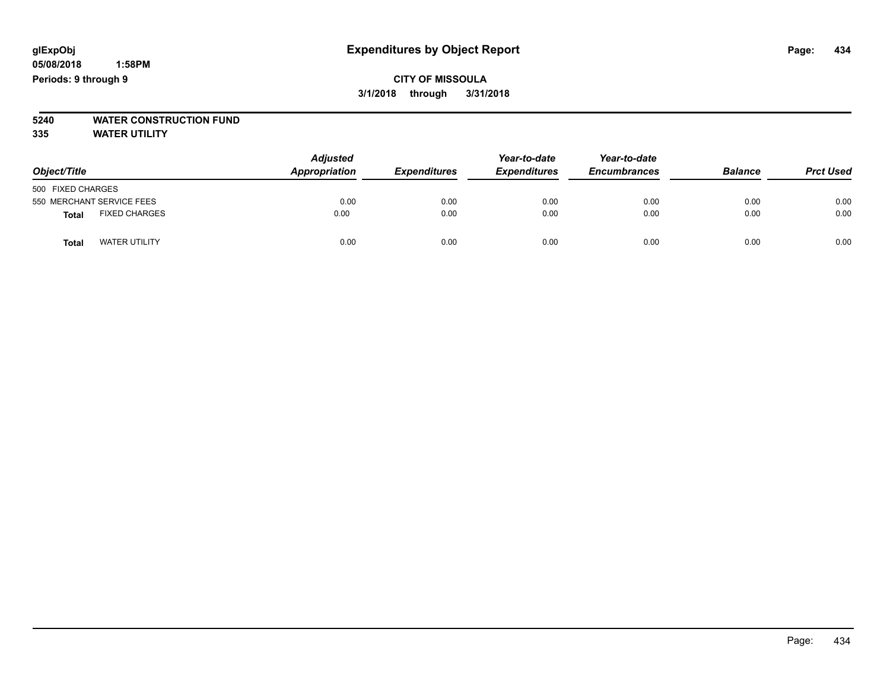## **CITY OF MISSOULA 3/1/2018 through 3/31/2018**

# **5240 WATER CONSTRUCTION FUND**

**335 WATER UTILITY**

| Object/Title                         | <b>Adjusted</b><br><b>Appropriation</b> | <b>Expenditures</b> | Year-to-date<br><b>Expenditures</b> | Year-to-date<br><b>Encumbrances</b> | <b>Balance</b> | <b>Prct Used</b> |
|--------------------------------------|-----------------------------------------|---------------------|-------------------------------------|-------------------------------------|----------------|------------------|
| 500 FIXED CHARGES                    |                                         |                     |                                     |                                     |                |                  |
| 550 MERCHANT SERVICE FEES            | 0.00                                    | 0.00                | 0.00                                | 0.00                                | 0.00           | 0.00             |
| <b>FIXED CHARGES</b><br><b>Total</b> | 0.00                                    | 0.00                | 0.00                                | 0.00                                | 0.00           | 0.00             |
| <b>WATER UTILITY</b><br><b>Total</b> | 0.00                                    | 0.00                | 0.00                                | 0.00                                | 0.00           | 0.00             |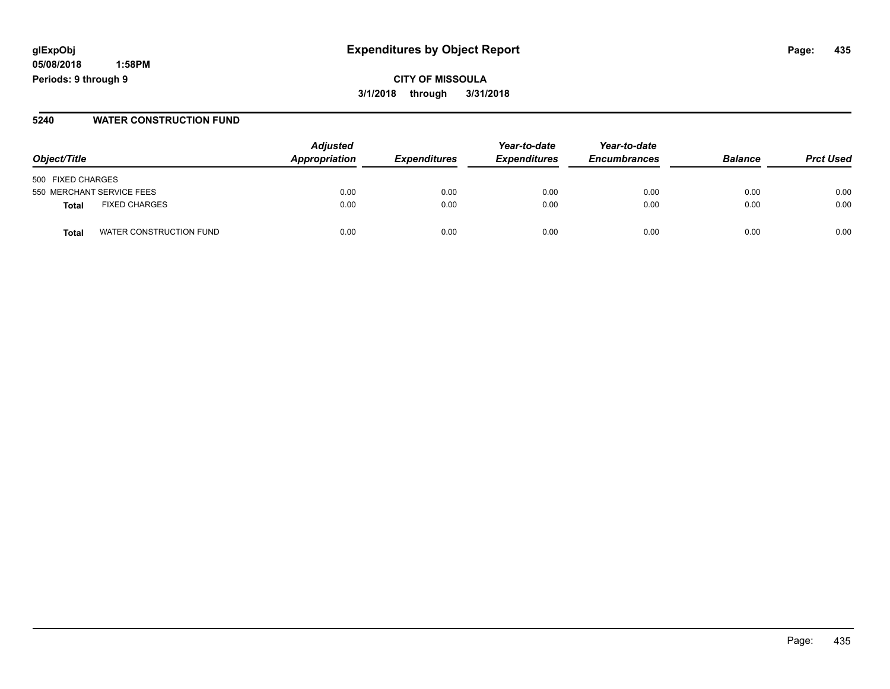**CITY OF MISSOULA 3/1/2018 through 3/31/2018**

#### **5240 WATER CONSTRUCTION FUND**

| Object/Title                     | <b>Adjusted</b><br>Appropriation | <b>Expenditures</b> | Year-to-date<br><b>Expenditures</b> | Year-to-date<br><b>Encumbrances</b> | <b>Balance</b> | <b>Prct Used</b> |
|----------------------------------|----------------------------------|---------------------|-------------------------------------|-------------------------------------|----------------|------------------|
| 500 FIXED CHARGES                |                                  |                     |                                     |                                     |                |                  |
| 550 MERCHANT SERVICE FEES        | 0.00                             | 0.00                | 0.00                                | 0.00                                | 0.00           | 0.00             |
| <b>FIXED CHARGES</b><br>Total    | 0.00                             | 0.00                | 0.00                                | 0.00                                | 0.00           | 0.00             |
| WATER CONSTRUCTION FUND<br>Total | 0.00                             | 0.00                | 0.00                                | 0.00                                | 0.00           | 0.00             |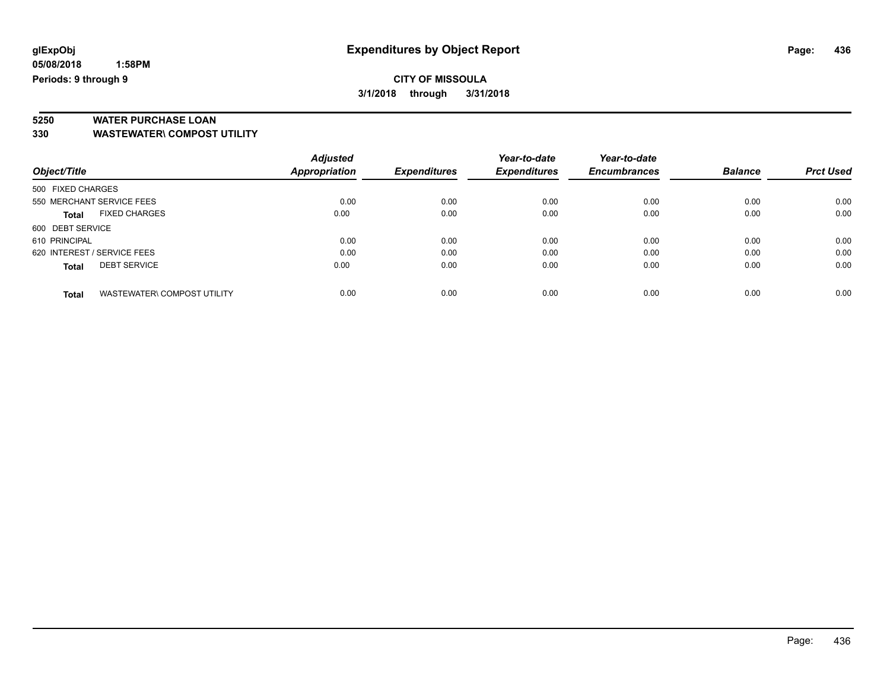## **CITY OF MISSOULA 3/1/2018 through 3/31/2018**

# **5250 WATER PURCHASE LOAN**

|                             |                                    | <b>Adjusted</b> |                     | Year-to-date        | Year-to-date        |                |                  |
|-----------------------------|------------------------------------|-----------------|---------------------|---------------------|---------------------|----------------|------------------|
| Object/Title                |                                    | Appropriation   | <b>Expenditures</b> | <b>Expenditures</b> | <b>Encumbrances</b> | <b>Balance</b> | <b>Prct Used</b> |
| 500 FIXED CHARGES           |                                    |                 |                     |                     |                     |                |                  |
|                             | 550 MERCHANT SERVICE FEES          | 0.00            | 0.00                | 0.00                | 0.00                | 0.00           | 0.00             |
| <b>Total</b>                | <b>FIXED CHARGES</b>               | 0.00            | 0.00                | 0.00                | 0.00                | 0.00           | 0.00             |
| 600 DEBT SERVICE            |                                    |                 |                     |                     |                     |                |                  |
| 610 PRINCIPAL               |                                    | 0.00            | 0.00                | 0.00                | 0.00                | 0.00           | 0.00             |
| 620 INTEREST / SERVICE FEES |                                    | 0.00            | 0.00                | 0.00                | 0.00                | 0.00           | 0.00             |
| <b>Total</b>                | <b>DEBT SERVICE</b>                | 0.00            | 0.00                | 0.00                | 0.00                | 0.00           | 0.00             |
| <b>Total</b>                | <b>WASTEWATER\ COMPOST UTILITY</b> | 0.00            | 0.00                | 0.00                | 0.00                | 0.00           | 0.00             |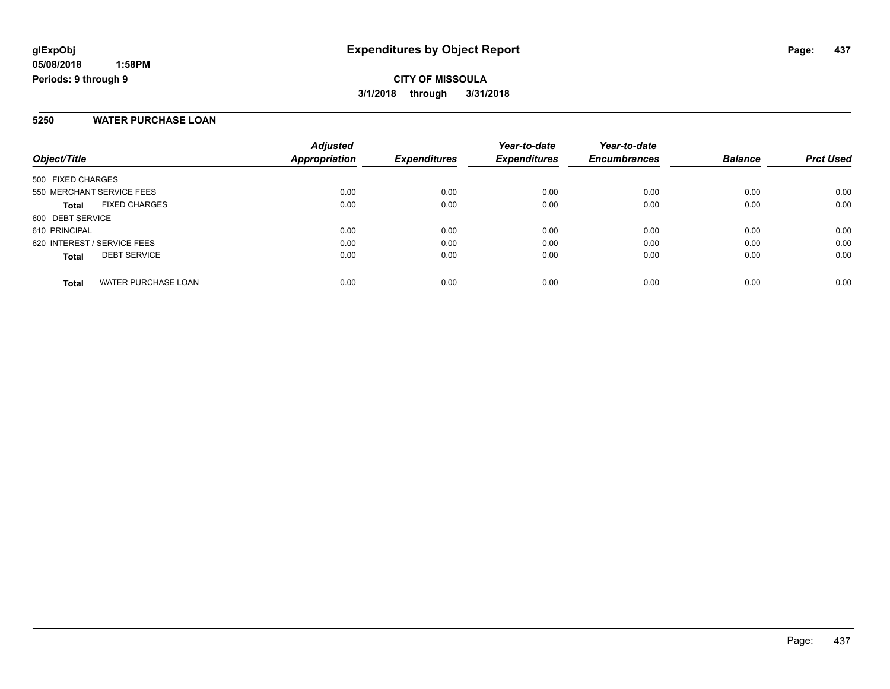**CITY OF MISSOULA 3/1/2018 through 3/31/2018**

#### **5250 WATER PURCHASE LOAN**

| Object/Title                               | <b>Adjusted</b><br><b>Appropriation</b> | <b>Expenditures</b> | Year-to-date<br><b>Expenditures</b> | Year-to-date<br><b>Encumbrances</b> | <b>Balance</b> | <b>Prct Used</b> |
|--------------------------------------------|-----------------------------------------|---------------------|-------------------------------------|-------------------------------------|----------------|------------------|
| 500 FIXED CHARGES                          |                                         |                     |                                     |                                     |                |                  |
| 550 MERCHANT SERVICE FEES                  | 0.00                                    | 0.00                | 0.00                                | 0.00                                | 0.00           | 0.00             |
| <b>FIXED CHARGES</b><br><b>Total</b>       | 0.00                                    | 0.00                | 0.00                                | 0.00                                | 0.00           | 0.00             |
| 600 DEBT SERVICE                           |                                         |                     |                                     |                                     |                |                  |
| 610 PRINCIPAL                              | 0.00                                    | 0.00                | 0.00                                | 0.00                                | 0.00           | 0.00             |
| 620 INTEREST / SERVICE FEES                | 0.00                                    | 0.00                | 0.00                                | 0.00                                | 0.00           | 0.00             |
| <b>DEBT SERVICE</b><br><b>Total</b>        | 0.00                                    | 0.00                | 0.00                                | 0.00                                | 0.00           | 0.00             |
| <b>WATER PURCHASE LOAN</b><br><b>Total</b> | 0.00                                    | 0.00                | 0.00                                | 0.00                                | 0.00           | 0.00             |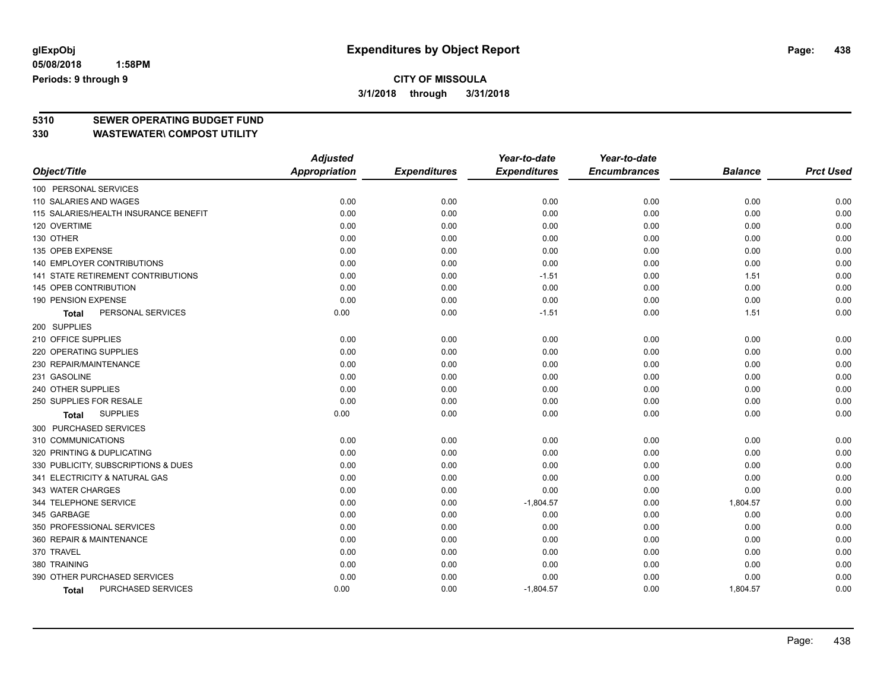**CITY OF MISSOULA 3/1/2018 through 3/31/2018**

# **5310 SEWER OPERATING BUDGET FUND<br>330 WASTEWATER\ COMPOST UTILITY**

|                                           | <b>Adjusted</b>      |                     | Year-to-date        | Year-to-date        |                |                  |
|-------------------------------------------|----------------------|---------------------|---------------------|---------------------|----------------|------------------|
| Object/Title                              | <b>Appropriation</b> | <b>Expenditures</b> | <b>Expenditures</b> | <b>Encumbrances</b> | <b>Balance</b> | <b>Prct Used</b> |
| 100 PERSONAL SERVICES                     |                      |                     |                     |                     |                |                  |
| 110 SALARIES AND WAGES                    | 0.00                 | 0.00                | 0.00                | 0.00                | 0.00           | 0.00             |
| 115 SALARIES/HEALTH INSURANCE BENEFIT     | 0.00                 | 0.00                | 0.00                | 0.00                | 0.00           | 0.00             |
| 120 OVERTIME                              | 0.00                 | 0.00                | 0.00                | 0.00                | 0.00           | 0.00             |
| 130 OTHER                                 | 0.00                 | 0.00                | 0.00                | 0.00                | 0.00           | 0.00             |
| 135 OPEB EXPENSE                          | 0.00                 | 0.00                | 0.00                | 0.00                | 0.00           | 0.00             |
| 140 EMPLOYER CONTRIBUTIONS                | 0.00                 | 0.00                | 0.00                | 0.00                | 0.00           | 0.00             |
| <b>141 STATE RETIREMENT CONTRIBUTIONS</b> | 0.00                 | 0.00                | $-1.51$             | 0.00                | 1.51           | 0.00             |
| 145 OPEB CONTRIBUTION                     | 0.00                 | 0.00                | 0.00                | 0.00                | 0.00           | 0.00             |
| 190 PENSION EXPENSE                       | 0.00                 | 0.00                | 0.00                | 0.00                | 0.00           | 0.00             |
| PERSONAL SERVICES<br><b>Total</b>         | 0.00                 | 0.00                | $-1.51$             | 0.00                | 1.51           | 0.00             |
| 200 SUPPLIES                              |                      |                     |                     |                     |                |                  |
| 210 OFFICE SUPPLIES                       | 0.00                 | 0.00                | 0.00                | 0.00                | 0.00           | 0.00             |
| 220 OPERATING SUPPLIES                    | 0.00                 | 0.00                | 0.00                | 0.00                | 0.00           | 0.00             |
| 230 REPAIR/MAINTENANCE                    | 0.00                 | 0.00                | 0.00                | 0.00                | 0.00           | 0.00             |
| 231 GASOLINE                              | 0.00                 | 0.00                | 0.00                | 0.00                | 0.00           | 0.00             |
| 240 OTHER SUPPLIES                        | 0.00                 | 0.00                | 0.00                | 0.00                | 0.00           | 0.00             |
| 250 SUPPLIES FOR RESALE                   | 0.00                 | 0.00                | 0.00                | 0.00                | 0.00           | 0.00             |
| <b>SUPPLIES</b><br>Total                  | 0.00                 | 0.00                | 0.00                | 0.00                | 0.00           | 0.00             |
| 300 PURCHASED SERVICES                    |                      |                     |                     |                     |                |                  |
| 310 COMMUNICATIONS                        | 0.00                 | 0.00                | 0.00                | 0.00                | 0.00           | 0.00             |
| 320 PRINTING & DUPLICATING                | 0.00                 | 0.00                | 0.00                | 0.00                | 0.00           | 0.00             |
| 330 PUBLICITY, SUBSCRIPTIONS & DUES       | 0.00                 | 0.00                | 0.00                | 0.00                | 0.00           | 0.00             |
| 341 ELECTRICITY & NATURAL GAS             | 0.00                 | 0.00                | 0.00                | 0.00                | 0.00           | 0.00             |
| 343 WATER CHARGES                         | 0.00                 | 0.00                | 0.00                | 0.00                | 0.00           | 0.00             |
| 344 TELEPHONE SERVICE                     | 0.00                 | 0.00                | $-1,804.57$         | 0.00                | 1,804.57       | 0.00             |
| 345 GARBAGE                               | 0.00                 | 0.00                | 0.00                | 0.00                | 0.00           | 0.00             |
| 350 PROFESSIONAL SERVICES                 | 0.00                 | 0.00                | 0.00                | 0.00                | 0.00           | 0.00             |
| 360 REPAIR & MAINTENANCE                  | 0.00                 | 0.00                | 0.00                | 0.00                | 0.00           | 0.00             |
| 370 TRAVEL                                | 0.00                 | 0.00                | 0.00                | 0.00                | 0.00           | 0.00             |
| 380 TRAINING                              | 0.00                 | 0.00                | 0.00                | 0.00                | 0.00           | 0.00             |
| 390 OTHER PURCHASED SERVICES              | 0.00                 | 0.00                | 0.00                | 0.00                | 0.00           | 0.00             |
| PURCHASED SERVICES<br><b>Total</b>        | 0.00                 | 0.00                | $-1,804.57$         | 0.00                | 1,804.57       | 0.00             |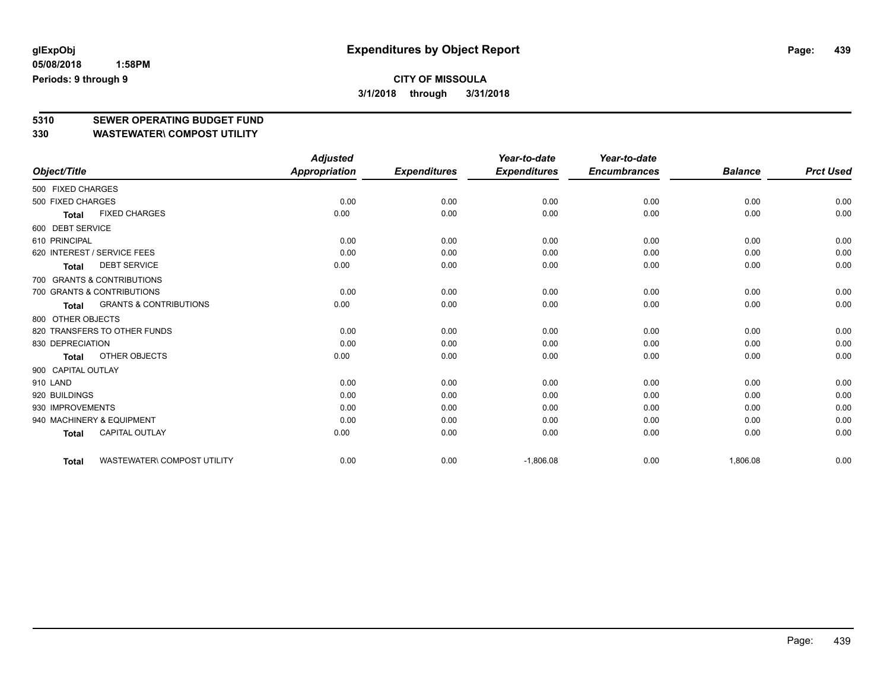# **5310 SEWER OPERATING BUDGET FUND<br>330 WASTEWATER\ COMPOST UTILITY**

|                    |                                    | <b>Adjusted</b>      |                     | Year-to-date        | Year-to-date        |                |                  |
|--------------------|------------------------------------|----------------------|---------------------|---------------------|---------------------|----------------|------------------|
| Object/Title       |                                    | <b>Appropriation</b> | <b>Expenditures</b> | <b>Expenditures</b> | <b>Encumbrances</b> | <b>Balance</b> | <b>Prct Used</b> |
| 500 FIXED CHARGES  |                                    |                      |                     |                     |                     |                |                  |
| 500 FIXED CHARGES  |                                    | 0.00                 | 0.00                | 0.00                | 0.00                | 0.00           | 0.00             |
| <b>Total</b>       | <b>FIXED CHARGES</b>               | 0.00                 | 0.00                | 0.00                | 0.00                | 0.00           | 0.00             |
| 600 DEBT SERVICE   |                                    |                      |                     |                     |                     |                |                  |
| 610 PRINCIPAL      |                                    | 0.00                 | 0.00                | 0.00                | 0.00                | 0.00           | 0.00             |
|                    | 620 INTEREST / SERVICE FEES        | 0.00                 | 0.00                | 0.00                | 0.00                | 0.00           | 0.00             |
| <b>Total</b>       | <b>DEBT SERVICE</b>                | 0.00                 | 0.00                | 0.00                | 0.00                | 0.00           | 0.00             |
|                    | 700 GRANTS & CONTRIBUTIONS         |                      |                     |                     |                     |                |                  |
|                    | 700 GRANTS & CONTRIBUTIONS         | 0.00                 | 0.00                | 0.00                | 0.00                | 0.00           | 0.00             |
| <b>Total</b>       | <b>GRANTS &amp; CONTRIBUTIONS</b>  | 0.00                 | 0.00                | 0.00                | 0.00                | 0.00           | 0.00             |
| 800 OTHER OBJECTS  |                                    |                      |                     |                     |                     |                |                  |
|                    | 820 TRANSFERS TO OTHER FUNDS       | 0.00                 | 0.00                | 0.00                | 0.00                | 0.00           | 0.00             |
| 830 DEPRECIATION   |                                    | 0.00                 | 0.00                | 0.00                | 0.00                | 0.00           | 0.00             |
| <b>Total</b>       | OTHER OBJECTS                      | 0.00                 | 0.00                | 0.00                | 0.00                | 0.00           | 0.00             |
| 900 CAPITAL OUTLAY |                                    |                      |                     |                     |                     |                |                  |
| 910 LAND           |                                    | 0.00                 | 0.00                | 0.00                | 0.00                | 0.00           | 0.00             |
| 920 BUILDINGS      |                                    | 0.00                 | 0.00                | 0.00                | 0.00                | 0.00           | 0.00             |
| 930 IMPROVEMENTS   |                                    | 0.00                 | 0.00                | 0.00                | 0.00                | 0.00           | 0.00             |
|                    | 940 MACHINERY & EQUIPMENT          | 0.00                 | 0.00                | 0.00                | 0.00                | 0.00           | 0.00             |
| <b>Total</b>       | <b>CAPITAL OUTLAY</b>              | 0.00                 | 0.00                | 0.00                | 0.00                | 0.00           | 0.00             |
| <b>Total</b>       | <b>WASTEWATER\ COMPOST UTILITY</b> | 0.00                 | 0.00                | $-1,806.08$         | 0.00                | 1,806.08       | 0.00             |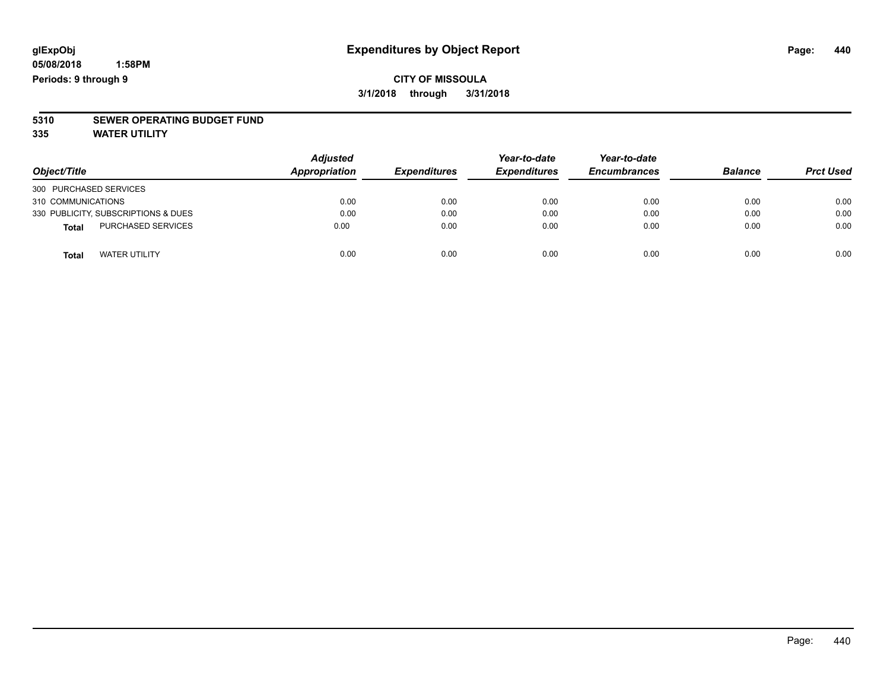### **CITY OF MISSOULA 3/1/2018 through 3/31/2018**

# **5310 SEWER OPERATING BUDGET FUND**

**335 WATER UTILITY**

|                                           | <b>Adjusted</b> |                     | Year-to-date        | Year-to-date<br><b>Encumbrances</b> | <b>Balance</b> |                  |
|-------------------------------------------|-----------------|---------------------|---------------------|-------------------------------------|----------------|------------------|
| Object/Title                              | Appropriation   | <b>Expenditures</b> | <b>Expenditures</b> |                                     |                | <b>Prct Used</b> |
| 300 PURCHASED SERVICES                    |                 |                     |                     |                                     |                |                  |
| 310 COMMUNICATIONS                        | 0.00            | 0.00                | 0.00                | 0.00                                | 0.00           | 0.00             |
| 330 PUBLICITY, SUBSCRIPTIONS & DUES       | 0.00            | 0.00                | 0.00                | 0.00                                | 0.00           | 0.00             |
| <b>PURCHASED SERVICES</b><br><b>Total</b> | 0.00            | 0.00                | 0.00                | 0.00                                | 0.00           | 0.00             |
| <b>WATER UTILITY</b><br><b>Total</b>      | 0.00            | 0.00                | 0.00                | 0.00                                | 0.00           | 0.00             |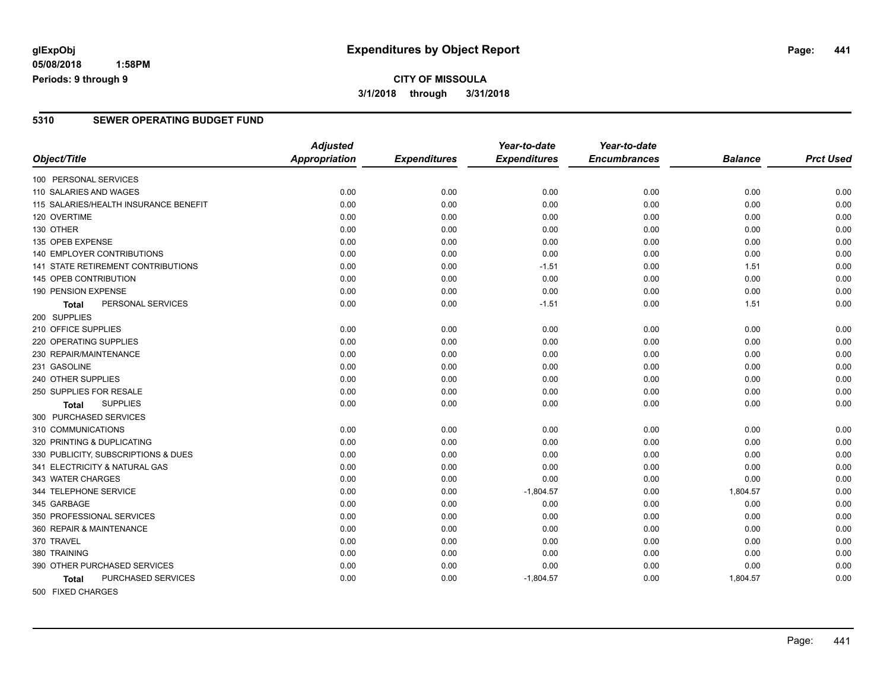## **glExpObj Expenditures by Object Report Page: 441**

**05/08/2018 1:58PM Periods: 9 through 9**

#### **5310 SEWER OPERATING BUDGET FUND**

|                                           | <b>Adjusted</b>      |                     | Year-to-date        | Year-to-date        |                |                  |
|-------------------------------------------|----------------------|---------------------|---------------------|---------------------|----------------|------------------|
| Object/Title                              | <b>Appropriation</b> | <b>Expenditures</b> | <b>Expenditures</b> | <b>Encumbrances</b> | <b>Balance</b> | <b>Prct Used</b> |
| 100 PERSONAL SERVICES                     |                      |                     |                     |                     |                |                  |
| 110 SALARIES AND WAGES                    | 0.00                 | 0.00                | 0.00                | 0.00                | 0.00           | 0.00             |
| 115 SALARIES/HEALTH INSURANCE BENEFIT     | 0.00                 | 0.00                | 0.00                | 0.00                | 0.00           | 0.00             |
| 120 OVERTIME                              | 0.00                 | 0.00                | 0.00                | 0.00                | 0.00           | 0.00             |
| 130 OTHER                                 | 0.00                 | 0.00                | 0.00                | 0.00                | 0.00           | 0.00             |
| 135 OPEB EXPENSE                          | 0.00                 | 0.00                | 0.00                | 0.00                | 0.00           | 0.00             |
| <b>140 EMPLOYER CONTRIBUTIONS</b>         | 0.00                 | 0.00                | 0.00                | 0.00                | 0.00           | 0.00             |
| 141 STATE RETIREMENT CONTRIBUTIONS        | 0.00                 | 0.00                | $-1.51$             | 0.00                | 1.51           | 0.00             |
| 145 OPEB CONTRIBUTION                     | 0.00                 | 0.00                | 0.00                | 0.00                | 0.00           | 0.00             |
| 190 PENSION EXPENSE                       | 0.00                 | 0.00                | 0.00                | 0.00                | 0.00           | 0.00             |
| PERSONAL SERVICES<br><b>Total</b>         | 0.00                 | 0.00                | $-1.51$             | 0.00                | 1.51           | 0.00             |
| 200 SUPPLIES                              |                      |                     |                     |                     |                |                  |
| 210 OFFICE SUPPLIES                       | 0.00                 | 0.00                | 0.00                | 0.00                | 0.00           | 0.00             |
| 220 OPERATING SUPPLIES                    | 0.00                 | 0.00                | 0.00                | 0.00                | 0.00           | 0.00             |
| 230 REPAIR/MAINTENANCE                    | 0.00                 | 0.00                | 0.00                | 0.00                | 0.00           | 0.00             |
| 231 GASOLINE                              | 0.00                 | 0.00                | 0.00                | 0.00                | 0.00           | 0.00             |
| 240 OTHER SUPPLIES                        | 0.00                 | 0.00                | 0.00                | 0.00                | 0.00           | 0.00             |
| 250 SUPPLIES FOR RESALE                   | 0.00                 | 0.00                | 0.00                | 0.00                | 0.00           | 0.00             |
| <b>SUPPLIES</b><br>Total                  | 0.00                 | 0.00                | 0.00                | 0.00                | 0.00           | 0.00             |
| 300 PURCHASED SERVICES                    |                      |                     |                     |                     |                |                  |
| 310 COMMUNICATIONS                        | 0.00                 | 0.00                | 0.00                | 0.00                | 0.00           | 0.00             |
| 320 PRINTING & DUPLICATING                | 0.00                 | 0.00                | 0.00                | 0.00                | 0.00           | 0.00             |
| 330 PUBLICITY, SUBSCRIPTIONS & DUES       | 0.00                 | 0.00                | 0.00                | 0.00                | 0.00           | 0.00             |
| 341 ELECTRICITY & NATURAL GAS             | 0.00                 | 0.00                | 0.00                | 0.00                | 0.00           | 0.00             |
| 343 WATER CHARGES                         | 0.00                 | 0.00                | 0.00                | 0.00                | 0.00           | 0.00             |
| 344 TELEPHONE SERVICE                     | 0.00                 | 0.00                | $-1,804.57$         | 0.00                | 1,804.57       | 0.00             |
| 345 GARBAGE                               | 0.00                 | 0.00                | 0.00                | 0.00                | 0.00           | 0.00             |
| 350 PROFESSIONAL SERVICES                 | 0.00                 | 0.00                | 0.00                | 0.00                | 0.00           | 0.00             |
| 360 REPAIR & MAINTENANCE                  | 0.00                 | 0.00                | 0.00                | 0.00                | 0.00           | 0.00             |
| 370 TRAVEL                                | 0.00                 | 0.00                | 0.00                | 0.00                | 0.00           | 0.00             |
| 380 TRAINING                              | 0.00                 | 0.00                | 0.00                | 0.00                | 0.00           | 0.00             |
| 390 OTHER PURCHASED SERVICES              | 0.00                 | 0.00                | 0.00                | 0.00                | 0.00           | 0.00             |
| <b>PURCHASED SERVICES</b><br><b>Total</b> | 0.00                 | 0.00                | $-1,804.57$         | 0.00                | 1,804.57       | 0.00             |
| FOR FIVED OURDOED                         |                      |                     |                     |                     |                |                  |

500 FIXED CHARGES

Page: 441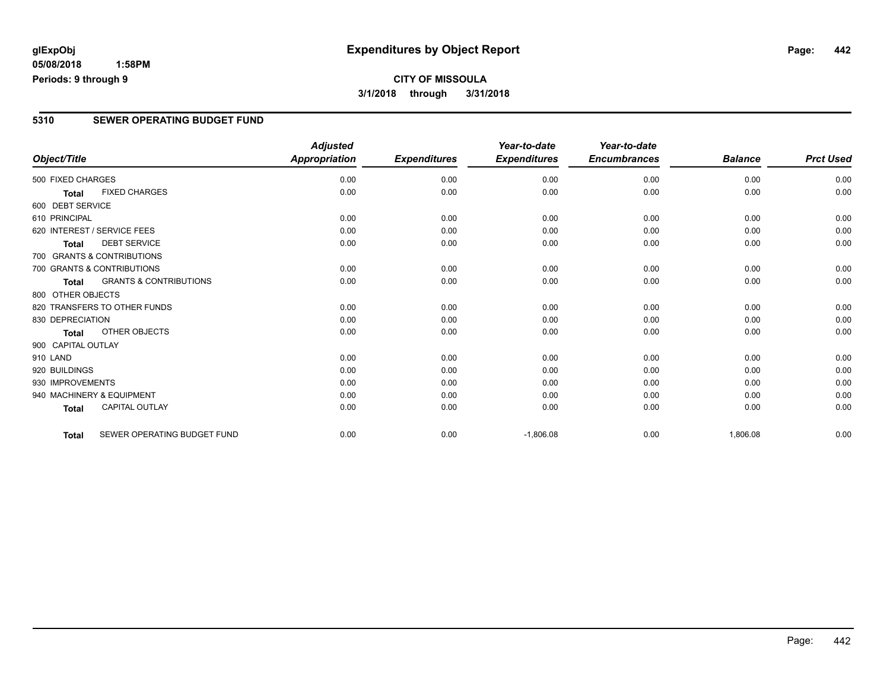## **glExpObj Expenditures by Object Report Page: 442**

**05/08/2018 1:58PM Periods: 9 through 9**

### **5310 SEWER OPERATING BUDGET FUND**

|                    |                                   | <b>Adjusted</b>      |                     | Year-to-date        | Year-to-date        |                |                  |
|--------------------|-----------------------------------|----------------------|---------------------|---------------------|---------------------|----------------|------------------|
| Object/Title       |                                   | <b>Appropriation</b> | <b>Expenditures</b> | <b>Expenditures</b> | <b>Encumbrances</b> | <b>Balance</b> | <b>Prct Used</b> |
| 500 FIXED CHARGES  |                                   | 0.00                 | 0.00                | 0.00                | 0.00                | 0.00           | 0.00             |
| <b>Total</b>       | <b>FIXED CHARGES</b>              | 0.00                 | 0.00                | 0.00                | 0.00                | 0.00           | 0.00             |
| 600 DEBT SERVICE   |                                   |                      |                     |                     |                     |                |                  |
| 610 PRINCIPAL      |                                   | 0.00                 | 0.00                | 0.00                | 0.00                | 0.00           | 0.00             |
|                    | 620 INTEREST / SERVICE FEES       | 0.00                 | 0.00                | 0.00                | 0.00                | 0.00           | 0.00             |
| <b>Total</b>       | <b>DEBT SERVICE</b>               | 0.00                 | 0.00                | 0.00                | 0.00                | 0.00           | 0.00             |
|                    | 700 GRANTS & CONTRIBUTIONS        |                      |                     |                     |                     |                |                  |
|                    | 700 GRANTS & CONTRIBUTIONS        | 0.00                 | 0.00                | 0.00                | 0.00                | 0.00           | 0.00             |
| <b>Total</b>       | <b>GRANTS &amp; CONTRIBUTIONS</b> | 0.00                 | 0.00                | 0.00                | 0.00                | 0.00           | 0.00             |
| 800 OTHER OBJECTS  |                                   |                      |                     |                     |                     |                |                  |
|                    | 820 TRANSFERS TO OTHER FUNDS      | 0.00                 | 0.00                | 0.00                | 0.00                | 0.00           | 0.00             |
| 830 DEPRECIATION   |                                   | 0.00                 | 0.00                | 0.00                | 0.00                | 0.00           | 0.00             |
| <b>Total</b>       | OTHER OBJECTS                     | 0.00                 | 0.00                | 0.00                | 0.00                | 0.00           | 0.00             |
| 900 CAPITAL OUTLAY |                                   |                      |                     |                     |                     |                |                  |
| 910 LAND           |                                   | 0.00                 | 0.00                | 0.00                | 0.00                | 0.00           | 0.00             |
| 920 BUILDINGS      |                                   | 0.00                 | 0.00                | 0.00                | 0.00                | 0.00           | 0.00             |
| 930 IMPROVEMENTS   |                                   | 0.00                 | 0.00                | 0.00                | 0.00                | 0.00           | 0.00             |
|                    | 940 MACHINERY & EQUIPMENT         | 0.00                 | 0.00                | 0.00                | 0.00                | 0.00           | 0.00             |
| <b>Total</b>       | CAPITAL OUTLAY                    | 0.00                 | 0.00                | 0.00                | 0.00                | 0.00           | 0.00             |
| <b>Total</b>       | SEWER OPERATING BUDGET FUND       | 0.00                 | 0.00                | $-1,806.08$         | 0.00                | 1,806.08       | 0.00             |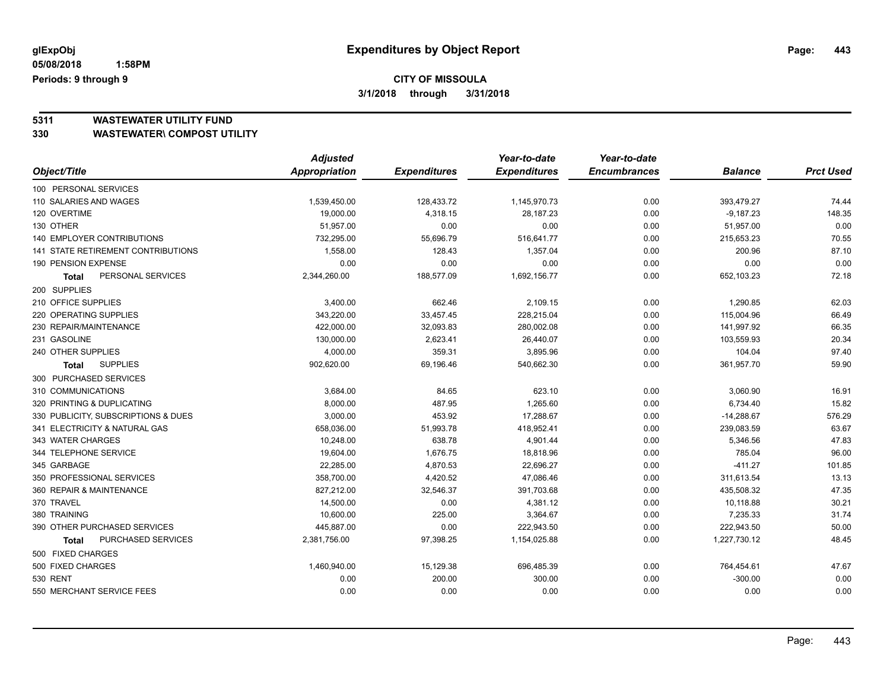### **CITY OF MISSOULA 3/1/2018 through 3/31/2018**

# **5311 WASTEWATER UTILITY FUND**<br>330 WASTEWATER\ COMPOST UTI

|                                           | <b>Adjusted</b> |                     | Year-to-date        | Year-to-date        |                |                  |
|-------------------------------------------|-----------------|---------------------|---------------------|---------------------|----------------|------------------|
| Object/Title                              | Appropriation   | <b>Expenditures</b> | <b>Expenditures</b> | <b>Encumbrances</b> | <b>Balance</b> | <b>Prct Used</b> |
| 100 PERSONAL SERVICES                     |                 |                     |                     |                     |                |                  |
| 110 SALARIES AND WAGES                    | 1,539,450.00    | 128,433.72          | 1,145,970.73        | 0.00                | 393,479.27     | 74.44            |
| 120 OVERTIME                              | 19,000.00       | 4,318.15            | 28,187.23           | 0.00                | $-9,187.23$    | 148.35           |
| 130 OTHER                                 | 51,957.00       | 0.00                | 0.00                | 0.00                | 51,957.00      | 0.00             |
| 140 EMPLOYER CONTRIBUTIONS                | 732,295.00      | 55,696.79           | 516,641.77          | 0.00                | 215,653.23     | 70.55            |
| 141 STATE RETIREMENT CONTRIBUTIONS        | 1,558.00        | 128.43              | 1,357.04            | 0.00                | 200.96         | 87.10            |
| 190 PENSION EXPENSE                       | 0.00            | 0.00                | 0.00                | 0.00                | 0.00           | 0.00             |
| PERSONAL SERVICES<br>Total                | 2,344,260.00    | 188,577.09          | 1,692,156.77        | 0.00                | 652,103.23     | 72.18            |
| 200 SUPPLIES                              |                 |                     |                     |                     |                |                  |
| 210 OFFICE SUPPLIES                       | 3,400.00        | 662.46              | 2,109.15            | 0.00                | 1,290.85       | 62.03            |
| <b>220 OPERATING SUPPLIES</b>             | 343,220.00      | 33,457.45           | 228,215.04          | 0.00                | 115,004.96     | 66.49            |
| 230 REPAIR/MAINTENANCE                    | 422,000.00      | 32,093.83           | 280,002.08          | 0.00                | 141,997.92     | 66.35            |
| 231 GASOLINE                              | 130,000.00      | 2,623.41            | 26,440.07           | 0.00                | 103,559.93     | 20.34            |
| 240 OTHER SUPPLIES                        | 4,000.00        | 359.31              | 3,895.96            | 0.00                | 104.04         | 97.40            |
| <b>SUPPLIES</b><br>Total                  | 902,620.00      | 69,196.46           | 540,662.30          | 0.00                | 361,957.70     | 59.90            |
| 300 PURCHASED SERVICES                    |                 |                     |                     |                     |                |                  |
| 310 COMMUNICATIONS                        | 3,684.00        | 84.65               | 623.10              | 0.00                | 3,060.90       | 16.91            |
| 320 PRINTING & DUPLICATING                | 8,000.00        | 487.95              | 1,265.60            | 0.00                | 6,734.40       | 15.82            |
| 330 PUBLICITY, SUBSCRIPTIONS & DUES       | 3,000.00        | 453.92              | 17,288.67           | 0.00                | $-14,288.67$   | 576.29           |
| 341 ELECTRICITY & NATURAL GAS             | 658,036.00      | 51,993.78           | 418,952.41          | 0.00                | 239,083.59     | 63.67            |
| 343 WATER CHARGES                         | 10,248.00       | 638.78              | 4,901.44            | 0.00                | 5,346.56       | 47.83            |
| 344 TELEPHONE SERVICE                     | 19,604.00       | 1,676.75            | 18,818.96           | 0.00                | 785.04         | 96.00            |
| 345 GARBAGE                               | 22,285.00       | 4,870.53            | 22,696.27           | 0.00                | $-411.27$      | 101.85           |
| 350 PROFESSIONAL SERVICES                 | 358,700.00      | 4,420.52            | 47,086.46           | 0.00                | 311,613.54     | 13.13            |
| 360 REPAIR & MAINTENANCE                  | 827,212.00      | 32,546.37           | 391,703.68          | 0.00                | 435,508.32     | 47.35            |
| 370 TRAVEL                                | 14,500.00       | 0.00                | 4,381.12            | 0.00                | 10,118.88      | 30.21            |
| 380 TRAINING                              | 10,600.00       | 225.00              | 3,364.67            | 0.00                | 7,235.33       | 31.74            |
| 390 OTHER PURCHASED SERVICES              | 445,887.00      | 0.00                | 222,943.50          | 0.00                | 222,943.50     | 50.00            |
| <b>PURCHASED SERVICES</b><br><b>Total</b> | 2,381,756.00    | 97,398.25           | 1,154,025.88        | 0.00                | 1,227,730.12   | 48.45            |
| 500 FIXED CHARGES                         |                 |                     |                     |                     |                |                  |
| 500 FIXED CHARGES                         | 1,460,940.00    | 15,129.38           | 696,485.39          | 0.00                | 764,454.61     | 47.67            |
| <b>530 RENT</b>                           | 0.00            | 200.00              | 300.00              | 0.00                | $-300.00$      | 0.00             |
| 550 MERCHANT SERVICE FEES                 | 0.00            | 0.00                | 0.00                | 0.00                | 0.00           | 0.00             |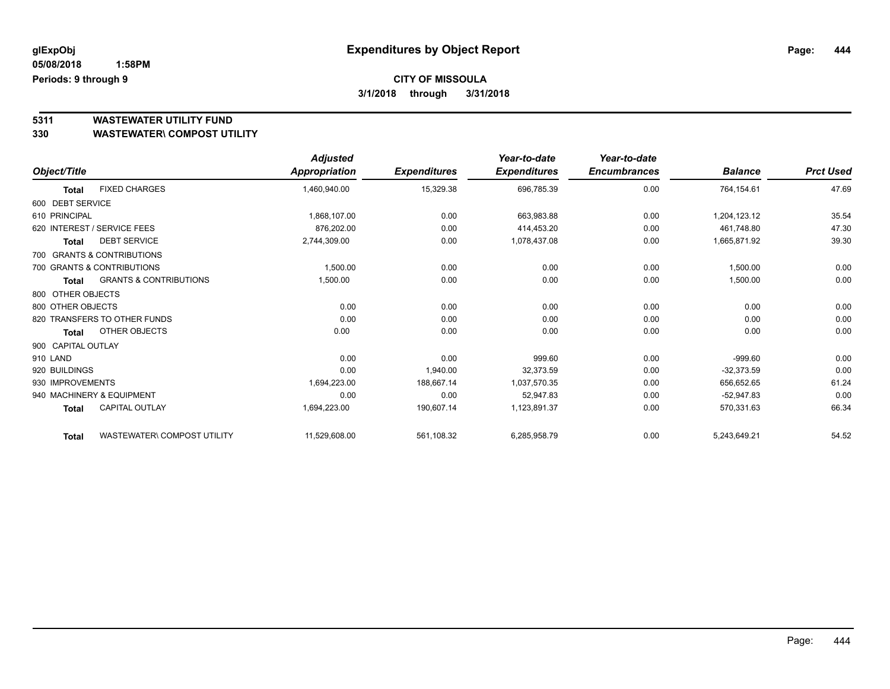# **5311 WASTEWATER UTILITY FUND**<br>330 WASTEWATER\ COMPOST UTI

|                    |                                    | <b>Adjusted</b>      |                     | Year-to-date        | Year-to-date        |                |                  |
|--------------------|------------------------------------|----------------------|---------------------|---------------------|---------------------|----------------|------------------|
| Object/Title       |                                    | <b>Appropriation</b> | <b>Expenditures</b> | <b>Expenditures</b> | <b>Encumbrances</b> | <b>Balance</b> | <b>Prct Used</b> |
| Total              | <b>FIXED CHARGES</b>               | 1,460,940.00         | 15,329.38           | 696,785.39          | 0.00                | 764,154.61     | 47.69            |
| 600 DEBT SERVICE   |                                    |                      |                     |                     |                     |                |                  |
| 610 PRINCIPAL      |                                    | 1,868,107.00         | 0.00                | 663,983.88          | 0.00                | 1,204,123.12   | 35.54            |
|                    | 620 INTEREST / SERVICE FEES        | 876,202.00           | 0.00                | 414,453.20          | 0.00                | 461.748.80     | 47.30            |
| <b>Total</b>       | <b>DEBT SERVICE</b>                | 2,744,309.00         | 0.00                | 1,078,437.08        | 0.00                | 1,665,871.92   | 39.30            |
|                    | 700 GRANTS & CONTRIBUTIONS         |                      |                     |                     |                     |                |                  |
|                    | 700 GRANTS & CONTRIBUTIONS         | 1,500.00             | 0.00                | 0.00                | 0.00                | 1,500.00       | 0.00             |
| <b>Total</b>       | <b>GRANTS &amp; CONTRIBUTIONS</b>  | 1,500.00             | 0.00                | 0.00                | 0.00                | 1,500.00       | 0.00             |
| 800 OTHER OBJECTS  |                                    |                      |                     |                     |                     |                |                  |
| 800 OTHER OBJECTS  |                                    | 0.00                 | 0.00                | 0.00                | 0.00                | 0.00           | 0.00             |
|                    | 820 TRANSFERS TO OTHER FUNDS       | 0.00                 | 0.00                | 0.00                | 0.00                | 0.00           | 0.00             |
| <b>Total</b>       | OTHER OBJECTS                      | 0.00                 | 0.00                | 0.00                | 0.00                | 0.00           | 0.00             |
| 900 CAPITAL OUTLAY |                                    |                      |                     |                     |                     |                |                  |
| 910 LAND           |                                    | 0.00                 | 0.00                | 999.60              | 0.00                | $-999.60$      | 0.00             |
| 920 BUILDINGS      |                                    | 0.00                 | 1,940.00            | 32,373.59           | 0.00                | $-32,373.59$   | 0.00             |
| 930 IMPROVEMENTS   |                                    | 1,694,223.00         | 188,667.14          | 1,037,570.35        | 0.00                | 656,652.65     | 61.24            |
|                    | 940 MACHINERY & EQUIPMENT          | 0.00                 | 0.00                | 52,947.83           | 0.00                | $-52,947.83$   | 0.00             |
| <b>Total</b>       | <b>CAPITAL OUTLAY</b>              | 1,694,223.00         | 190,607.14          | 1,123,891.37        | 0.00                | 570.331.63     | 66.34            |
| <b>Total</b>       | <b>WASTEWATER\ COMPOST UTILITY</b> | 11,529,608.00        | 561,108.32          | 6,285,958.79        | 0.00                | 5,243,649.21   | 54.52            |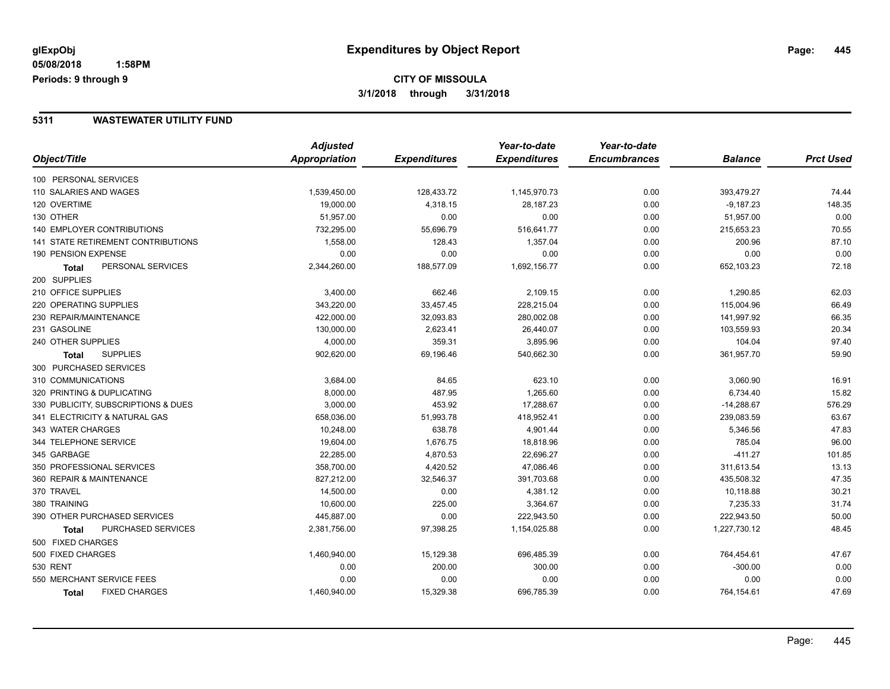## **CITY OF MISSOULA 3/1/2018 through 3/31/2018**

#### **5311 WASTEWATER UTILITY FUND**

|                                      | <b>Adjusted</b> |                     | Year-to-date        | Year-to-date        |                |                  |
|--------------------------------------|-----------------|---------------------|---------------------|---------------------|----------------|------------------|
| Object/Title                         | Appropriation   | <b>Expenditures</b> | <b>Expenditures</b> | <b>Encumbrances</b> | <b>Balance</b> | <b>Prct Used</b> |
| 100 PERSONAL SERVICES                |                 |                     |                     |                     |                |                  |
| 110 SALARIES AND WAGES               | 1,539,450.00    | 128,433.72          | 1,145,970.73        | 0.00                | 393,479.27     | 74.44            |
| 120 OVERTIME                         | 19,000.00       | 4,318.15            | 28,187.23           | 0.00                | $-9,187.23$    | 148.35           |
| 130 OTHER                            | 51,957.00       | 0.00                | 0.00                | 0.00                | 51,957.00      | 0.00             |
| <b>140 EMPLOYER CONTRIBUTIONS</b>    | 732,295.00      | 55,696.79           | 516,641.77          | 0.00                | 215,653.23     | 70.55            |
| 141 STATE RETIREMENT CONTRIBUTIONS   | 1,558.00        | 128.43              | 1,357.04            | 0.00                | 200.96         | 87.10            |
| 190 PENSION EXPENSE                  | 0.00            | 0.00                | 0.00                | 0.00                | 0.00           | 0.00             |
| PERSONAL SERVICES<br>Total           | 2,344,260.00    | 188,577.09          | 1,692,156.77        | 0.00                | 652,103.23     | 72.18            |
| 200 SUPPLIES                         |                 |                     |                     |                     |                |                  |
| 210 OFFICE SUPPLIES                  | 3,400.00        | 662.46              | 2,109.15            | 0.00                | 1,290.85       | 62.03            |
| 220 OPERATING SUPPLIES               | 343,220.00      | 33,457.45           | 228,215.04          | 0.00                | 115,004.96     | 66.49            |
| 230 REPAIR/MAINTENANCE               | 422,000.00      | 32,093.83           | 280,002.08          | 0.00                | 141,997.92     | 66.35            |
| 231 GASOLINE                         | 130,000.00      | 2,623.41            | 26,440.07           | 0.00                | 103,559.93     | 20.34            |
| 240 OTHER SUPPLIES                   | 4,000.00        | 359.31              | 3,895.96            | 0.00                | 104.04         | 97.40            |
| <b>SUPPLIES</b><br><b>Total</b>      | 902,620.00      | 69,196.46           | 540,662.30          | 0.00                | 361,957.70     | 59.90            |
| 300 PURCHASED SERVICES               |                 |                     |                     |                     |                |                  |
| 310 COMMUNICATIONS                   | 3,684.00        | 84.65               | 623.10              | 0.00                | 3,060.90       | 16.91            |
| 320 PRINTING & DUPLICATING           | 8,000.00        | 487.95              | 1,265.60            | 0.00                | 6,734.40       | 15.82            |
| 330 PUBLICITY, SUBSCRIPTIONS & DUES  | 3,000.00        | 453.92              | 17,288.67           | 0.00                | $-14,288.67$   | 576.29           |
| 341 ELECTRICITY & NATURAL GAS        | 658,036.00      | 51,993.78           | 418,952.41          | 0.00                | 239,083.59     | 63.67            |
| 343 WATER CHARGES                    | 10,248.00       | 638.78              | 4,901.44            | 0.00                | 5,346.56       | 47.83            |
| 344 TELEPHONE SERVICE                | 19,604.00       | 1,676.75            | 18,818.96           | 0.00                | 785.04         | 96.00            |
| 345 GARBAGE                          | 22,285.00       | 4,870.53            | 22,696.27           | 0.00                | $-411.27$      | 101.85           |
| 350 PROFESSIONAL SERVICES            | 358,700.00      | 4,420.52            | 47,086.46           | 0.00                | 311,613.54     | 13.13            |
| 360 REPAIR & MAINTENANCE             | 827,212.00      | 32,546.37           | 391,703.68          | 0.00                | 435,508.32     | 47.35            |
| 370 TRAVEL                           | 14,500.00       | 0.00                | 4,381.12            | 0.00                | 10,118.88      | 30.21            |
| 380 TRAINING                         | 10,600.00       | 225.00              | 3,364.67            | 0.00                | 7,235.33       | 31.74            |
| 390 OTHER PURCHASED SERVICES         | 445,887.00      | 0.00                | 222,943.50          | 0.00                | 222,943.50     | 50.00            |
| PURCHASED SERVICES<br>Total          | 2,381,756.00    | 97,398.25           | 1,154,025.88        | 0.00                | 1,227,730.12   | 48.45            |
| 500 FIXED CHARGES                    |                 |                     |                     |                     |                |                  |
| 500 FIXED CHARGES                    | 1,460,940.00    | 15,129.38           | 696,485.39          | 0.00                | 764,454.61     | 47.67            |
| 530 RENT                             | 0.00            | 200.00              | 300.00              | 0.00                | $-300.00$      | 0.00             |
| 550 MERCHANT SERVICE FEES            | 0.00            | 0.00                | 0.00                | 0.00                | 0.00           | 0.00             |
| <b>FIXED CHARGES</b><br><b>Total</b> | 1,460,940.00    | 15,329.38           | 696,785.39          | 0.00                | 764,154.61     | 47.69            |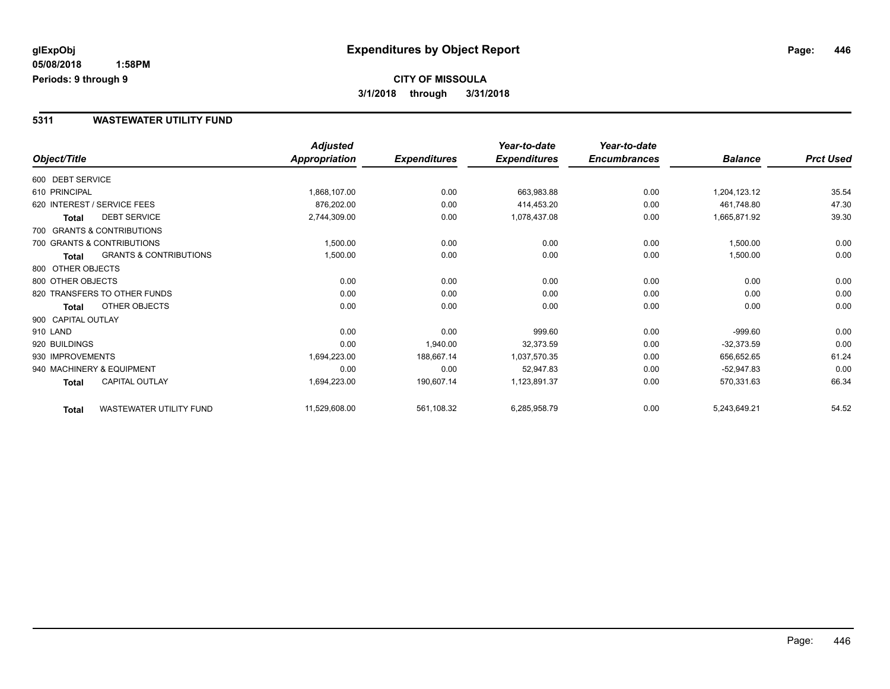**CITY OF MISSOULA 3/1/2018 through 3/31/2018**

#### **5311 WASTEWATER UTILITY FUND**

|                    |                                   | <b>Adjusted</b> |                     | Year-to-date        | Year-to-date        |                |                  |
|--------------------|-----------------------------------|-----------------|---------------------|---------------------|---------------------|----------------|------------------|
| Object/Title       |                                   | Appropriation   | <b>Expenditures</b> | <b>Expenditures</b> | <b>Encumbrances</b> | <b>Balance</b> | <b>Prct Used</b> |
| 600 DEBT SERVICE   |                                   |                 |                     |                     |                     |                |                  |
| 610 PRINCIPAL      |                                   | 1,868,107.00    | 0.00                | 663,983.88          | 0.00                | 1,204,123.12   | 35.54            |
|                    | 620 INTEREST / SERVICE FEES       | 876,202.00      | 0.00                | 414,453.20          | 0.00                | 461,748.80     | 47.30            |
| <b>Total</b>       | <b>DEBT SERVICE</b>               | 2,744,309.00    | 0.00                | 1,078,437.08        | 0.00                | 1,665,871.92   | 39.30            |
|                    | 700 GRANTS & CONTRIBUTIONS        |                 |                     |                     |                     |                |                  |
|                    | 700 GRANTS & CONTRIBUTIONS        | 1,500.00        | 0.00                | 0.00                | 0.00                | 1,500.00       | 0.00             |
| <b>Total</b>       | <b>GRANTS &amp; CONTRIBUTIONS</b> | 1,500.00        | 0.00                | 0.00                | 0.00                | 1,500.00       | 0.00             |
| 800 OTHER OBJECTS  |                                   |                 |                     |                     |                     |                |                  |
| 800 OTHER OBJECTS  |                                   | 0.00            | 0.00                | 0.00                | 0.00                | 0.00           | 0.00             |
|                    | 820 TRANSFERS TO OTHER FUNDS      | 0.00            | 0.00                | 0.00                | 0.00                | 0.00           | 0.00             |
| Total              | OTHER OBJECTS                     | 0.00            | 0.00                | 0.00                | 0.00                | 0.00           | 0.00             |
| 900 CAPITAL OUTLAY |                                   |                 |                     |                     |                     |                |                  |
| 910 LAND           |                                   | 0.00            | 0.00                | 999.60              | 0.00                | $-999.60$      | 0.00             |
| 920 BUILDINGS      |                                   | 0.00            | 1,940.00            | 32,373.59           | 0.00                | $-32,373.59$   | 0.00             |
| 930 IMPROVEMENTS   |                                   | 1,694,223.00    | 188,667.14          | 1,037,570.35        | 0.00                | 656,652.65     | 61.24            |
|                    | 940 MACHINERY & EQUIPMENT         | 0.00            | 0.00                | 52,947.83           | 0.00                | $-52,947.83$   | 0.00             |
| <b>Total</b>       | <b>CAPITAL OUTLAY</b>             | 1,694,223.00    | 190,607.14          | 1,123,891.37        | 0.00                | 570,331.63     | 66.34            |
| <b>Total</b>       | WASTEWATER UTILITY FUND           | 11,529,608.00   | 561,108.32          | 6,285,958.79        | 0.00                | 5,243,649.21   | 54.52            |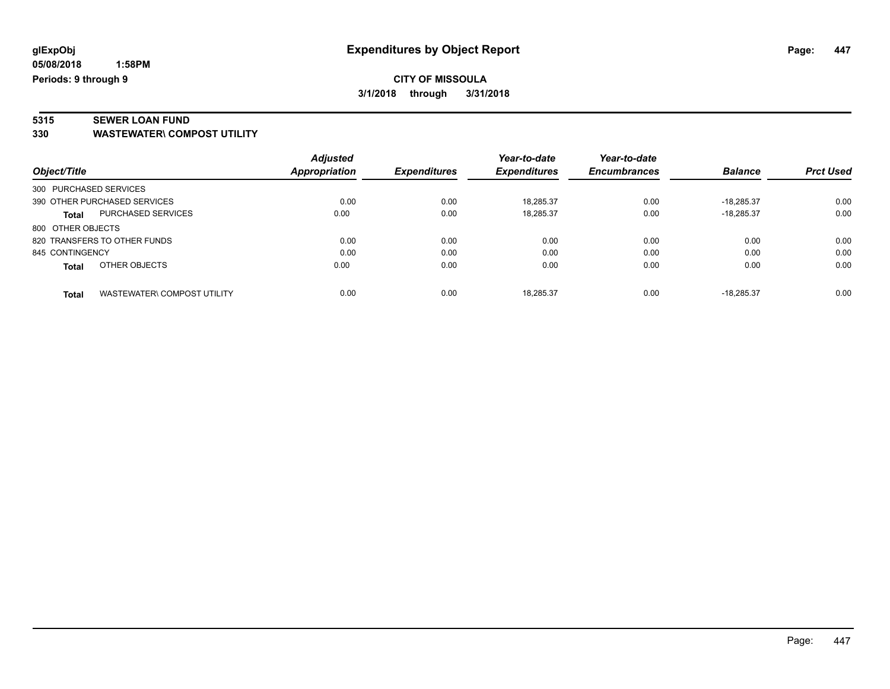**CITY OF MISSOULA 3/1/2018 through 3/31/2018**

# **5315 SEWER LOAN FUND**

|                        |                                    | <b>Adjusted</b> |                     | Year-to-date        | Year-to-date        |                |                  |
|------------------------|------------------------------------|-----------------|---------------------|---------------------|---------------------|----------------|------------------|
| Object/Title           |                                    | Appropriation   | <b>Expenditures</b> | <b>Expenditures</b> | <b>Encumbrances</b> | <b>Balance</b> | <b>Prct Used</b> |
| 300 PURCHASED SERVICES |                                    |                 |                     |                     |                     |                |                  |
|                        | 390 OTHER PURCHASED SERVICES       | 0.00            | 0.00                | 18.285.37           | 0.00                | $-18.285.37$   | 0.00             |
| <b>Total</b>           | <b>PURCHASED SERVICES</b>          | 0.00            | 0.00                | 18.285.37           | 0.00                | $-18.285.37$   | 0.00             |
| 800 OTHER OBJECTS      |                                    |                 |                     |                     |                     |                |                  |
|                        | 820 TRANSFERS TO OTHER FUNDS       | 0.00            | 0.00                | 0.00                | 0.00                | 0.00           | 0.00             |
| 845 CONTINGENCY        |                                    | 0.00            | 0.00                | 0.00                | 0.00                | 0.00           | 0.00             |
| <b>Total</b>           | OTHER OBJECTS                      | 0.00            | 0.00                | 0.00                | 0.00                | 0.00           | 0.00             |
|                        |                                    |                 |                     |                     |                     |                |                  |
| <b>Total</b>           | <b>WASTEWATER\ COMPOST UTILITY</b> | 0.00            | 0.00                | 18.285.37           | 0.00                | $-18.285.37$   | 0.00             |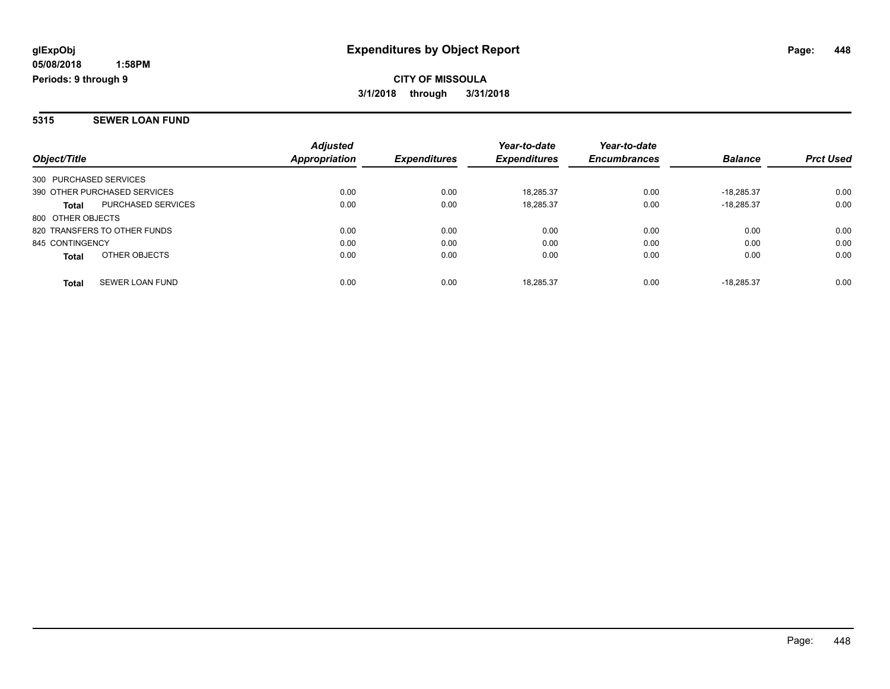**CITY OF MISSOULA 3/1/2018 through 3/31/2018**

#### **5315 SEWER LOAN FUND**

|                                        | <b>Adjusted</b> |                     | Year-to-date        | Year-to-date        |                |                  |
|----------------------------------------|-----------------|---------------------|---------------------|---------------------|----------------|------------------|
| Object/Title                           | Appropriation   | <b>Expenditures</b> | <b>Expenditures</b> | <b>Encumbrances</b> | <b>Balance</b> | <b>Prct Used</b> |
| 300 PURCHASED SERVICES                 |                 |                     |                     |                     |                |                  |
| 390 OTHER PURCHASED SERVICES           | 0.00            | 0.00                | 18.285.37           | 0.00                | $-18.285.37$   | 0.00             |
| PURCHASED SERVICES<br><b>Total</b>     | 0.00            | 0.00                | 18,285.37           | 0.00                | $-18.285.37$   | 0.00             |
| 800 OTHER OBJECTS                      |                 |                     |                     |                     |                |                  |
| 820 TRANSFERS TO OTHER FUNDS           | 0.00            | 0.00                | 0.00                | 0.00                | 0.00           | 0.00             |
| 845 CONTINGENCY                        | 0.00            | 0.00                | 0.00                | 0.00                | 0.00           | 0.00             |
| OTHER OBJECTS<br><b>Total</b>          | 0.00            | 0.00                | 0.00                | 0.00                | 0.00           | 0.00             |
| <b>SEWER LOAN FUND</b><br><b>Total</b> | 0.00            | 0.00                | 18.285.37           | 0.00                | $-18.285.37$   | 0.00             |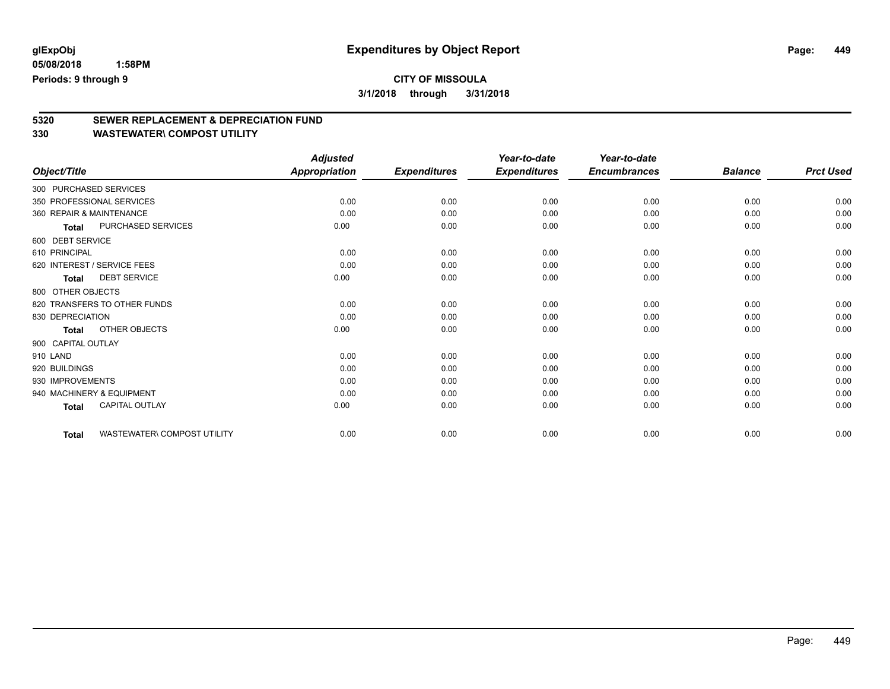# **5320 SEWER REPLACEMENT & DEPRECIATION FUND**

|                          |                                    | <b>Adjusted</b>      |                     | Year-to-date        | Year-to-date        |                |                  |
|--------------------------|------------------------------------|----------------------|---------------------|---------------------|---------------------|----------------|------------------|
| Object/Title             |                                    | <b>Appropriation</b> | <b>Expenditures</b> | <b>Expenditures</b> | <b>Encumbrances</b> | <b>Balance</b> | <b>Prct Used</b> |
| 300 PURCHASED SERVICES   |                                    |                      |                     |                     |                     |                |                  |
|                          | 350 PROFESSIONAL SERVICES          | 0.00                 | 0.00                | 0.00                | 0.00                | 0.00           | 0.00             |
| 360 REPAIR & MAINTENANCE |                                    | 0.00                 | 0.00                | 0.00                | 0.00                | 0.00           | 0.00             |
| <b>Total</b>             | PURCHASED SERVICES                 | 0.00                 | 0.00                | 0.00                | 0.00                | 0.00           | 0.00             |
| 600 DEBT SERVICE         |                                    |                      |                     |                     |                     |                |                  |
| 610 PRINCIPAL            |                                    | 0.00                 | 0.00                | 0.00                | 0.00                | 0.00           | 0.00             |
|                          | 620 INTEREST / SERVICE FEES        | 0.00                 | 0.00                | 0.00                | 0.00                | 0.00           | 0.00             |
| <b>Total</b>             | <b>DEBT SERVICE</b>                | 0.00                 | 0.00                | 0.00                | 0.00                | 0.00           | 0.00             |
| 800 OTHER OBJECTS        |                                    |                      |                     |                     |                     |                |                  |
|                          | 820 TRANSFERS TO OTHER FUNDS       | 0.00                 | 0.00                | 0.00                | 0.00                | 0.00           | 0.00             |
| 830 DEPRECIATION         |                                    | 0.00                 | 0.00                | 0.00                | 0.00                | 0.00           | 0.00             |
| <b>Total</b>             | OTHER OBJECTS                      | 0.00                 | 0.00                | 0.00                | 0.00                | 0.00           | 0.00             |
| 900 CAPITAL OUTLAY       |                                    |                      |                     |                     |                     |                |                  |
| 910 LAND                 |                                    | 0.00                 | 0.00                | 0.00                | 0.00                | 0.00           | 0.00             |
| 920 BUILDINGS            |                                    | 0.00                 | 0.00                | 0.00                | 0.00                | 0.00           | 0.00             |
| 930 IMPROVEMENTS         |                                    | 0.00                 | 0.00                | 0.00                | 0.00                | 0.00           | 0.00             |
|                          | 940 MACHINERY & EQUIPMENT          | 0.00                 | 0.00                | 0.00                | 0.00                | 0.00           | 0.00             |
| <b>Total</b>             | <b>CAPITAL OUTLAY</b>              | 0.00                 | 0.00                | 0.00                | 0.00                | 0.00           | 0.00             |
| <b>Total</b>             | <b>WASTEWATER\ COMPOST UTILITY</b> | 0.00                 | 0.00                | 0.00                | 0.00                | 0.00           | 0.00             |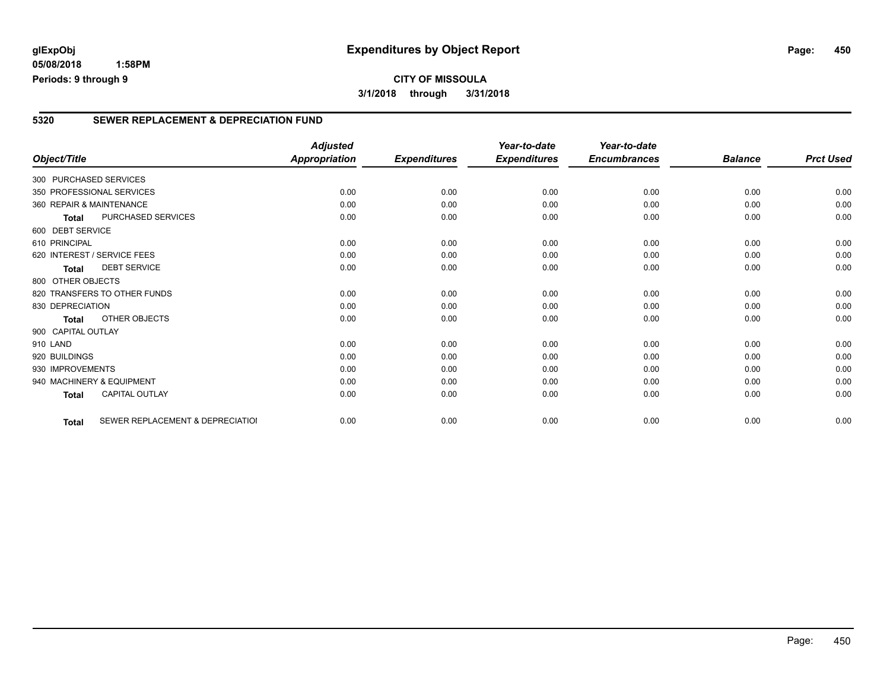#### **5320 SEWER REPLACEMENT & DEPRECIATION FUND**

|                          |                                  | <b>Adjusted</b>      |                     | Year-to-date        | Year-to-date        |                |                  |
|--------------------------|----------------------------------|----------------------|---------------------|---------------------|---------------------|----------------|------------------|
| Object/Title             |                                  | <b>Appropriation</b> | <b>Expenditures</b> | <b>Expenditures</b> | <b>Encumbrances</b> | <b>Balance</b> | <b>Prct Used</b> |
| 300 PURCHASED SERVICES   |                                  |                      |                     |                     |                     |                |                  |
|                          | 350 PROFESSIONAL SERVICES        | 0.00                 | 0.00                | 0.00                | 0.00                | 0.00           | 0.00             |
| 360 REPAIR & MAINTENANCE |                                  | 0.00                 | 0.00                | 0.00                | 0.00                | 0.00           | 0.00             |
| <b>Total</b>             | PURCHASED SERVICES               | 0.00                 | 0.00                | 0.00                | 0.00                | 0.00           | 0.00             |
| 600 DEBT SERVICE         |                                  |                      |                     |                     |                     |                |                  |
| 610 PRINCIPAL            |                                  | 0.00                 | 0.00                | 0.00                | 0.00                | 0.00           | 0.00             |
|                          | 620 INTEREST / SERVICE FEES      | 0.00                 | 0.00                | 0.00                | 0.00                | 0.00           | 0.00             |
| <b>Total</b>             | <b>DEBT SERVICE</b>              | 0.00                 | 0.00                | 0.00                | 0.00                | 0.00           | 0.00             |
| 800 OTHER OBJECTS        |                                  |                      |                     |                     |                     |                |                  |
|                          | 820 TRANSFERS TO OTHER FUNDS     | 0.00                 | 0.00                | 0.00                | 0.00                | 0.00           | 0.00             |
| 830 DEPRECIATION         |                                  | 0.00                 | 0.00                | 0.00                | 0.00                | 0.00           | 0.00             |
| <b>Total</b>             | OTHER OBJECTS                    | 0.00                 | 0.00                | 0.00                | 0.00                | 0.00           | 0.00             |
| 900 CAPITAL OUTLAY       |                                  |                      |                     |                     |                     |                |                  |
| 910 LAND                 |                                  | 0.00                 | 0.00                | 0.00                | 0.00                | 0.00           | 0.00             |
| 920 BUILDINGS            |                                  | 0.00                 | 0.00                | 0.00                | 0.00                | 0.00           | 0.00             |
| 930 IMPROVEMENTS         |                                  | 0.00                 | 0.00                | 0.00                | 0.00                | 0.00           | 0.00             |
|                          | 940 MACHINERY & EQUIPMENT        | 0.00                 | 0.00                | 0.00                | 0.00                | 0.00           | 0.00             |
| <b>Total</b>             | <b>CAPITAL OUTLAY</b>            | 0.00                 | 0.00                | 0.00                | 0.00                | 0.00           | 0.00             |
| <b>Total</b>             | SEWER REPLACEMENT & DEPRECIATIOI | 0.00                 | 0.00                | 0.00                | 0.00                | 0.00           | 0.00             |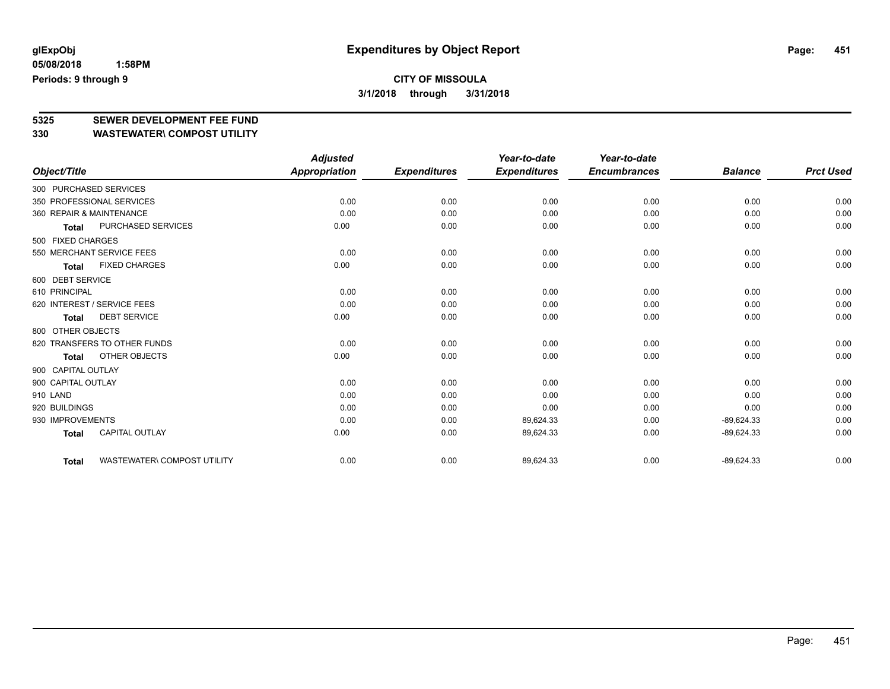# **5325 SEWER DEVELOPMENT FEE FUND<br>330 WASTEWATER\ COMPOST UTILITY**

|                          |                                    | <b>Adjusted</b>      |                     | Year-to-date        | Year-to-date        |                |                  |
|--------------------------|------------------------------------|----------------------|---------------------|---------------------|---------------------|----------------|------------------|
| Object/Title             |                                    | <b>Appropriation</b> | <b>Expenditures</b> | <b>Expenditures</b> | <b>Encumbrances</b> | <b>Balance</b> | <b>Prct Used</b> |
| 300 PURCHASED SERVICES   |                                    |                      |                     |                     |                     |                |                  |
|                          | 350 PROFESSIONAL SERVICES          | 0.00                 | 0.00                | 0.00                | 0.00                | 0.00           | 0.00             |
| 360 REPAIR & MAINTENANCE |                                    | 0.00                 | 0.00                | 0.00                | 0.00                | 0.00           | 0.00             |
| <b>Total</b>             | PURCHASED SERVICES                 | 0.00                 | 0.00                | 0.00                | 0.00                | 0.00           | 0.00             |
| 500 FIXED CHARGES        |                                    |                      |                     |                     |                     |                |                  |
|                          | 550 MERCHANT SERVICE FEES          | 0.00                 | 0.00                | 0.00                | 0.00                | 0.00           | 0.00             |
| <b>Total</b>             | <b>FIXED CHARGES</b>               | 0.00                 | 0.00                | 0.00                | 0.00                | 0.00           | 0.00             |
| 600 DEBT SERVICE         |                                    |                      |                     |                     |                     |                |                  |
| 610 PRINCIPAL            |                                    | 0.00                 | 0.00                | 0.00                | 0.00                | 0.00           | 0.00             |
|                          | 620 INTEREST / SERVICE FEES        | 0.00                 | 0.00                | 0.00                | 0.00                | 0.00           | 0.00             |
| <b>Total</b>             | <b>DEBT SERVICE</b>                | 0.00                 | 0.00                | 0.00                | 0.00                | 0.00           | 0.00             |
| 800 OTHER OBJECTS        |                                    |                      |                     |                     |                     |                |                  |
|                          | 820 TRANSFERS TO OTHER FUNDS       | 0.00                 | 0.00                | 0.00                | 0.00                | 0.00           | 0.00             |
| Total                    | OTHER OBJECTS                      | 0.00                 | 0.00                | 0.00                | 0.00                | 0.00           | 0.00             |
| 900 CAPITAL OUTLAY       |                                    |                      |                     |                     |                     |                |                  |
| 900 CAPITAL OUTLAY       |                                    | 0.00                 | 0.00                | 0.00                | 0.00                | 0.00           | 0.00             |
| 910 LAND                 |                                    | 0.00                 | 0.00                | 0.00                | 0.00                | 0.00           | 0.00             |
| 920 BUILDINGS            |                                    | 0.00                 | 0.00                | 0.00                | 0.00                | 0.00           | 0.00             |
| 930 IMPROVEMENTS         |                                    | 0.00                 | 0.00                | 89,624.33           | 0.00                | $-89,624.33$   | 0.00             |
| <b>Total</b>             | <b>CAPITAL OUTLAY</b>              | 0.00                 | 0.00                | 89,624.33           | 0.00                | $-89,624.33$   | 0.00             |
| <b>Total</b>             | <b>WASTEWATER\ COMPOST UTILITY</b> | 0.00                 | 0.00                | 89,624.33           | 0.00                | $-89,624.33$   | 0.00             |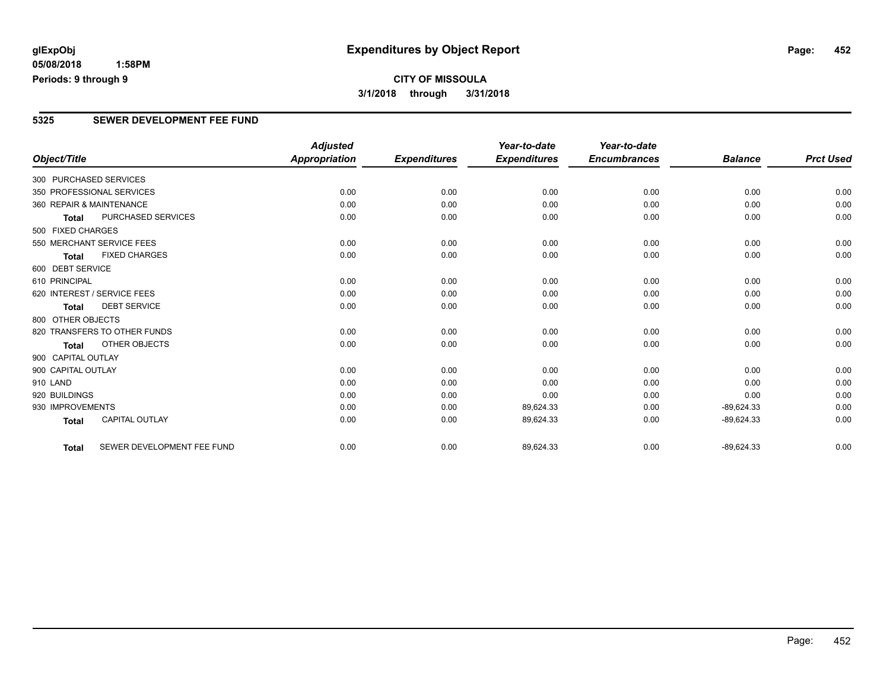## **CITY OF MISSOULA 3/1/2018 through 3/31/2018**

### **5325 SEWER DEVELOPMENT FEE FUND**

|                          |                              | <b>Adjusted</b>      |                     | Year-to-date        | Year-to-date        |                |                  |
|--------------------------|------------------------------|----------------------|---------------------|---------------------|---------------------|----------------|------------------|
| Object/Title             |                              | <b>Appropriation</b> | <b>Expenditures</b> | <b>Expenditures</b> | <b>Encumbrances</b> | <b>Balance</b> | <b>Prct Used</b> |
| 300 PURCHASED SERVICES   |                              |                      |                     |                     |                     |                |                  |
|                          | 350 PROFESSIONAL SERVICES    | 0.00                 | 0.00                | 0.00                | 0.00                | 0.00           | 0.00             |
| 360 REPAIR & MAINTENANCE |                              | 0.00                 | 0.00                | 0.00                | 0.00                | 0.00           | 0.00             |
| Total                    | PURCHASED SERVICES           | 0.00                 | 0.00                | 0.00                | 0.00                | 0.00           | 0.00             |
| 500 FIXED CHARGES        |                              |                      |                     |                     |                     |                |                  |
|                          | 550 MERCHANT SERVICE FEES    | 0.00                 | 0.00                | 0.00                | 0.00                | 0.00           | 0.00             |
| <b>Total</b>             | <b>FIXED CHARGES</b>         | 0.00                 | 0.00                | 0.00                | 0.00                | 0.00           | 0.00             |
| 600 DEBT SERVICE         |                              |                      |                     |                     |                     |                |                  |
| 610 PRINCIPAL            |                              | 0.00                 | 0.00                | 0.00                | 0.00                | 0.00           | 0.00             |
|                          | 620 INTEREST / SERVICE FEES  | 0.00                 | 0.00                | 0.00                | 0.00                | 0.00           | 0.00             |
| <b>Total</b>             | <b>DEBT SERVICE</b>          | 0.00                 | 0.00                | 0.00                | 0.00                | 0.00           | 0.00             |
| 800 OTHER OBJECTS        |                              |                      |                     |                     |                     |                |                  |
|                          | 820 TRANSFERS TO OTHER FUNDS | 0.00                 | 0.00                | 0.00                | 0.00                | 0.00           | 0.00             |
| <b>Total</b>             | OTHER OBJECTS                | 0.00                 | 0.00                | 0.00                | 0.00                | 0.00           | 0.00             |
| 900 CAPITAL OUTLAY       |                              |                      |                     |                     |                     |                |                  |
| 900 CAPITAL OUTLAY       |                              | 0.00                 | 0.00                | 0.00                | 0.00                | 0.00           | 0.00             |
| 910 LAND                 |                              | 0.00                 | 0.00                | 0.00                | 0.00                | 0.00           | 0.00             |
| 920 BUILDINGS            |                              | 0.00                 | 0.00                | 0.00                | 0.00                | 0.00           | 0.00             |
| 930 IMPROVEMENTS         |                              | 0.00                 | 0.00                | 89,624.33           | 0.00                | $-89,624.33$   | 0.00             |
| <b>Total</b>             | <b>CAPITAL OUTLAY</b>        | 0.00                 | 0.00                | 89,624.33           | 0.00                | $-89,624.33$   | 0.00             |
| <b>Total</b>             | SEWER DEVELOPMENT FEE FUND   | 0.00                 | 0.00                | 89,624.33           | 0.00                | $-89,624.33$   | 0.00             |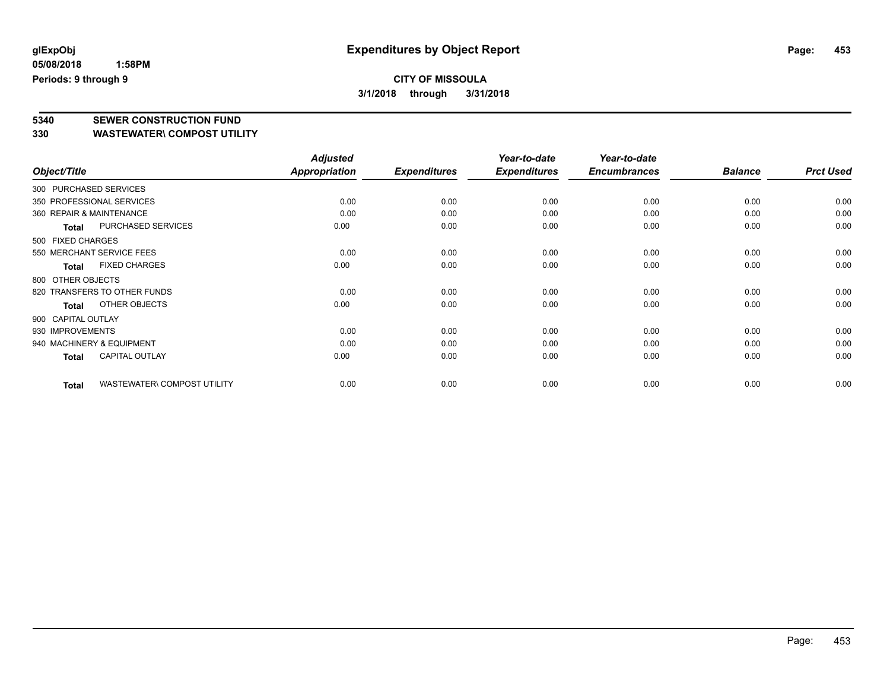# **5340 SEWER CONSTRUCTION FUND<br>330 WASTEWATER\ COMPOST UTILI**

| Object/Title             |                                    | <b>Adjusted</b><br>Appropriation | <b>Expenditures</b> | Year-to-date<br><b>Expenditures</b> | Year-to-date<br><b>Encumbrances</b> | <b>Balance</b> | <b>Prct Used</b> |
|--------------------------|------------------------------------|----------------------------------|---------------------|-------------------------------------|-------------------------------------|----------------|------------------|
| 300 PURCHASED SERVICES   |                                    |                                  |                     |                                     |                                     |                |                  |
|                          | 350 PROFESSIONAL SERVICES          | 0.00                             | 0.00                | 0.00                                | 0.00                                | 0.00           | 0.00             |
| 360 REPAIR & MAINTENANCE |                                    | 0.00                             | 0.00                | 0.00                                | 0.00                                | 0.00           | 0.00             |
| <b>Total</b>             | PURCHASED SERVICES                 | 0.00                             | 0.00                | 0.00                                | 0.00                                | 0.00           | 0.00             |
| 500 FIXED CHARGES        |                                    |                                  |                     |                                     |                                     |                |                  |
|                          | 550 MERCHANT SERVICE FEES          | 0.00                             | 0.00                | 0.00                                | 0.00                                | 0.00           | 0.00             |
| <b>Total</b>             | <b>FIXED CHARGES</b>               | 0.00                             | 0.00                | 0.00                                | 0.00                                | 0.00           | 0.00             |
| 800 OTHER OBJECTS        |                                    |                                  |                     |                                     |                                     |                |                  |
|                          | 820 TRANSFERS TO OTHER FUNDS       | 0.00                             | 0.00                | 0.00                                | 0.00                                | 0.00           | 0.00             |
| <b>Total</b>             | OTHER OBJECTS                      | 0.00                             | 0.00                | 0.00                                | 0.00                                | 0.00           | 0.00             |
| 900 CAPITAL OUTLAY       |                                    |                                  |                     |                                     |                                     |                |                  |
| 930 IMPROVEMENTS         |                                    | 0.00                             | 0.00                | 0.00                                | 0.00                                | 0.00           | 0.00             |
|                          | 940 MACHINERY & EQUIPMENT          | 0.00                             | 0.00                | 0.00                                | 0.00                                | 0.00           | 0.00             |
| <b>Total</b>             | <b>CAPITAL OUTLAY</b>              | 0.00                             | 0.00                | 0.00                                | 0.00                                | 0.00           | 0.00             |
| <b>Total</b>             | <b>WASTEWATER\ COMPOST UTILITY</b> | 0.00                             | 0.00                | 0.00                                | 0.00                                | 0.00           | 0.00             |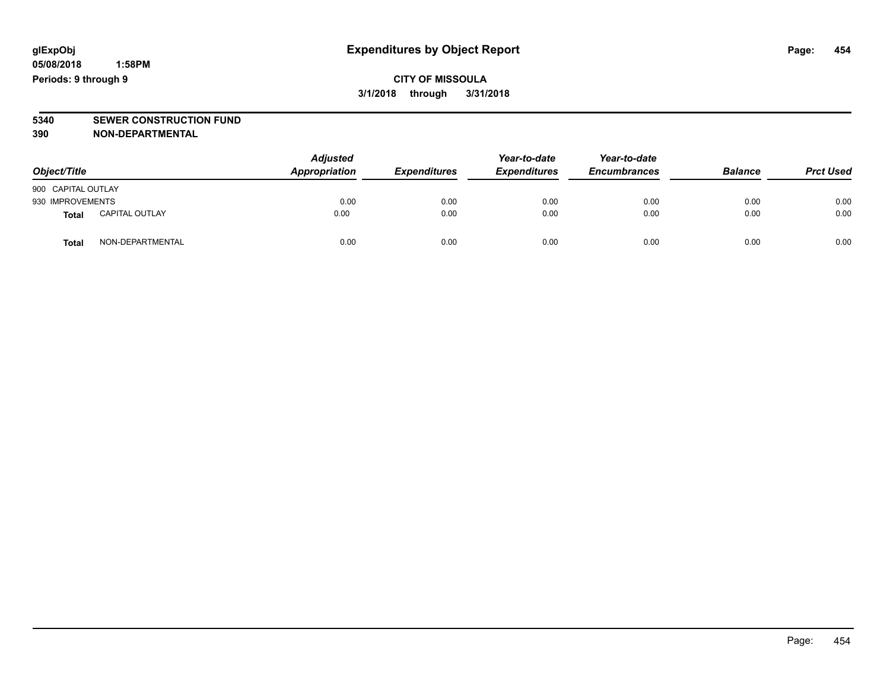**CITY OF MISSOULA 3/1/2018 through 3/31/2018**

**5340 SEWER CONSTRUCTION FUND**

**390 NON-DEPARTMENTAL**

| Object/Title       |                       | <b>Adjusted</b><br>Appropriation | <b>Expenditures</b> | Year-to-date<br><b>Expenditures</b> | Year-to-date<br><b>Encumbrances</b> | <b>Balance</b> | <b>Prct Used</b> |
|--------------------|-----------------------|----------------------------------|---------------------|-------------------------------------|-------------------------------------|----------------|------------------|
| 900 CAPITAL OUTLAY |                       |                                  |                     |                                     |                                     |                |                  |
| 930 IMPROVEMENTS   |                       | 0.00                             | 0.00                | 0.00                                | 0.00                                | 0.00           | 0.00             |
| <b>Total</b>       | <b>CAPITAL OUTLAY</b> | 0.00                             | 0.00                | 0.00                                | 0.00                                | 0.00           | 0.00             |
| <b>Total</b>       | NON-DEPARTMENTAL      | 0.00                             | 0.00                | 0.00                                | 0.00                                | 0.00           | 0.00             |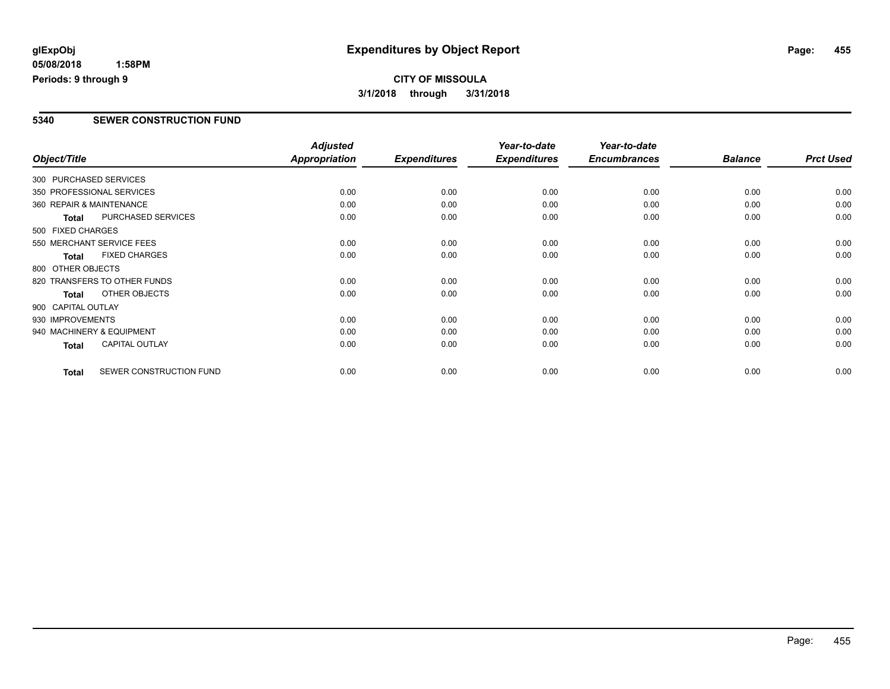## **CITY OF MISSOULA 3/1/2018 through 3/31/2018**

### **5340 SEWER CONSTRUCTION FUND**

|                          |                              | <b>Adjusted</b>      |                     | Year-to-date        | Year-to-date        |                |                  |
|--------------------------|------------------------------|----------------------|---------------------|---------------------|---------------------|----------------|------------------|
| Object/Title             |                              | <b>Appropriation</b> | <b>Expenditures</b> | <b>Expenditures</b> | <b>Encumbrances</b> | <b>Balance</b> | <b>Prct Used</b> |
| 300 PURCHASED SERVICES   |                              |                      |                     |                     |                     |                |                  |
|                          | 350 PROFESSIONAL SERVICES    | 0.00                 | 0.00                | 0.00                | 0.00                | 0.00           | 0.00             |
| 360 REPAIR & MAINTENANCE |                              | 0.00                 | 0.00                | 0.00                | 0.00                | 0.00           | 0.00             |
| Total                    | PURCHASED SERVICES           | 0.00                 | 0.00                | 0.00                | 0.00                | 0.00           | 0.00             |
| 500 FIXED CHARGES        |                              |                      |                     |                     |                     |                |                  |
|                          | 550 MERCHANT SERVICE FEES    | 0.00                 | 0.00                | 0.00                | 0.00                | 0.00           | 0.00             |
| <b>Total</b>             | <b>FIXED CHARGES</b>         | 0.00                 | 0.00                | 0.00                | 0.00                | 0.00           | 0.00             |
| 800 OTHER OBJECTS        |                              |                      |                     |                     |                     |                |                  |
|                          | 820 TRANSFERS TO OTHER FUNDS | 0.00                 | 0.00                | 0.00                | 0.00                | 0.00           | 0.00             |
| <b>Total</b>             | OTHER OBJECTS                | 0.00                 | 0.00                | 0.00                | 0.00                | 0.00           | 0.00             |
| 900 CAPITAL OUTLAY       |                              |                      |                     |                     |                     |                |                  |
| 930 IMPROVEMENTS         |                              | 0.00                 | 0.00                | 0.00                | 0.00                | 0.00           | 0.00             |
|                          | 940 MACHINERY & EQUIPMENT    | 0.00                 | 0.00                | 0.00                | 0.00                | 0.00           | 0.00             |
| <b>Total</b>             | <b>CAPITAL OUTLAY</b>        | 0.00                 | 0.00                | 0.00                | 0.00                | 0.00           | 0.00             |
| <b>Total</b>             | SEWER CONSTRUCTION FUND      | 0.00                 | 0.00                | 0.00                | 0.00                | 0.00           | 0.00             |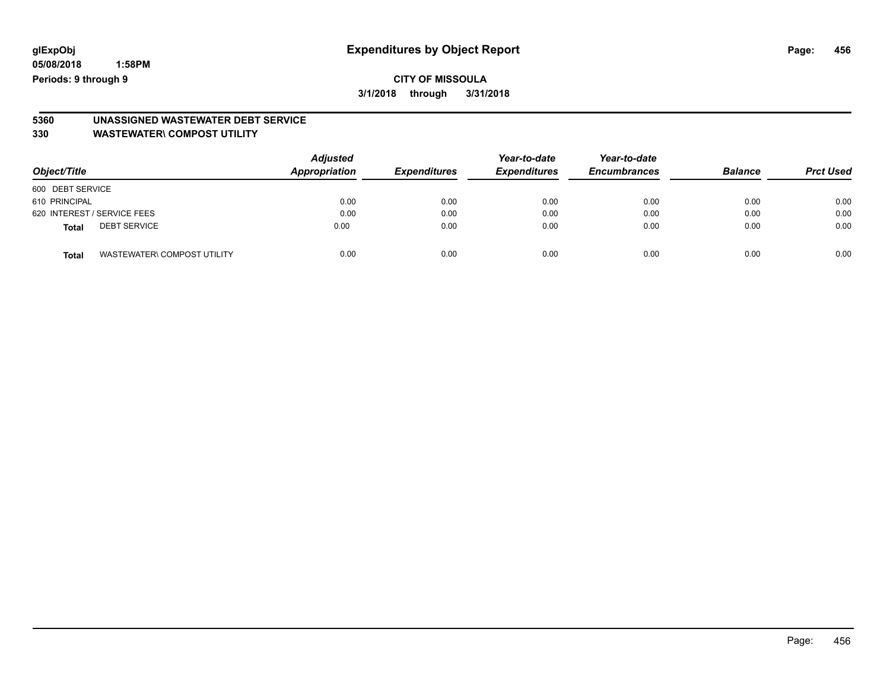#### **5360 UNASSIGNED WASTEWATER DEBT SERVICE 330 WASTEWATER\ COMPOST UTILITY**

| Object/Title                                | <b>Adjusted</b><br>Appropriation | <b>Expenditures</b> | Year-to-date<br><b>Expenditures</b> | Year-to-date<br><b>Encumbrances</b> | <b>Balance</b> | <b>Prct Used</b> |
|---------------------------------------------|----------------------------------|---------------------|-------------------------------------|-------------------------------------|----------------|------------------|
| 600 DEBT SERVICE                            |                                  |                     |                                     |                                     |                |                  |
| 610 PRINCIPAL                               | 0.00                             | 0.00                | 0.00                                | 0.00                                | 0.00           | 0.00             |
| 620 INTEREST / SERVICE FEES                 | 0.00                             | 0.00                | 0.00                                | 0.00                                | 0.00           | 0.00             |
| <b>DEBT SERVICE</b><br><b>Total</b>         | 0.00                             | 0.00                | 0.00                                | 0.00                                | 0.00           | 0.00             |
| WASTEWATER\ COMPOST UTILITY<br><b>Total</b> | 0.00                             | 0.00                | 0.00                                | 0.00                                | 0.00           | 0.00             |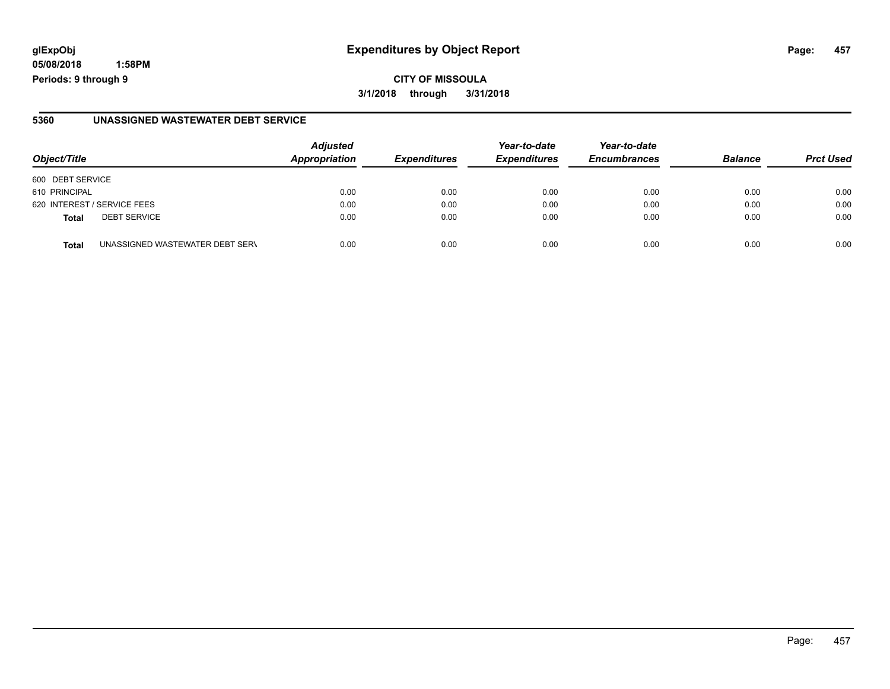### **glExpObj Expenditures by Object Report Page: 457**

**05/08/2018 1:58PM Periods: 9 through 9**

#### **5360 UNASSIGNED WASTEWATER DEBT SERVICE**

| Object/Title                                    | <b>Adjusted</b><br><b>Appropriation</b> | <b>Expenditures</b> | Year-to-date<br><b>Expenditures</b> | Year-to-date<br><b>Encumbrances</b> | <b>Balance</b> | <b>Prct Used</b> |
|-------------------------------------------------|-----------------------------------------|---------------------|-------------------------------------|-------------------------------------|----------------|------------------|
| 600 DEBT SERVICE                                |                                         |                     |                                     |                                     |                |                  |
| 610 PRINCIPAL                                   | 0.00                                    | 0.00                | 0.00                                | 0.00                                | 0.00           | 0.00             |
| 620 INTEREST / SERVICE FEES                     | 0.00                                    | 0.00                | 0.00                                | 0.00                                | 0.00           | 0.00             |
| <b>DEBT SERVICE</b><br><b>Total</b>             | 0.00                                    | 0.00                | 0.00                                | 0.00                                | 0.00           | 0.00             |
| UNASSIGNED WASTEWATER DEBT SERV<br><b>Total</b> | 0.00                                    | 0.00                | 0.00                                | 0.00                                | 0.00           | 0.00             |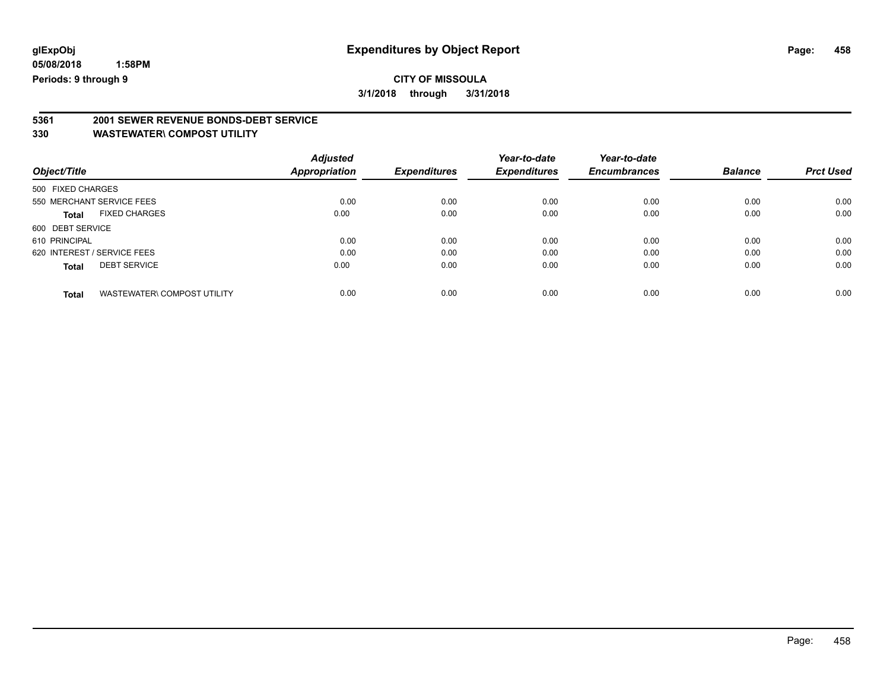# **5361 2001 SEWER REVENUE BONDS-DEBT SERVICE**

| Object/Title                |                                    | <b>Adjusted</b><br><b>Appropriation</b> | <b>Expenditures</b> | Year-to-date<br><b>Expenditures</b> | Year-to-date<br><b>Encumbrances</b> | <b>Balance</b> | <b>Prct Used</b> |
|-----------------------------|------------------------------------|-----------------------------------------|---------------------|-------------------------------------|-------------------------------------|----------------|------------------|
| 500 FIXED CHARGES           |                                    |                                         |                     |                                     |                                     |                |                  |
|                             | 550 MERCHANT SERVICE FEES          | 0.00                                    | 0.00                | 0.00                                | 0.00                                | 0.00           | 0.00             |
| Total                       | <b>FIXED CHARGES</b>               | 0.00                                    | 0.00                | 0.00                                | 0.00                                | 0.00           | 0.00             |
| 600 DEBT SERVICE            |                                    |                                         |                     |                                     |                                     |                |                  |
| 610 PRINCIPAL               |                                    | 0.00                                    | 0.00                | 0.00                                | 0.00                                | 0.00           | 0.00             |
| 620 INTEREST / SERVICE FEES |                                    | 0.00                                    | 0.00                | 0.00                                | 0.00                                | 0.00           | 0.00             |
| <b>Total</b>                | <b>DEBT SERVICE</b>                | 0.00                                    | 0.00                | 0.00                                | 0.00                                | 0.00           | 0.00             |
| <b>Total</b>                | <b>WASTEWATER\ COMPOST UTILITY</b> | 0.00                                    | 0.00                | 0.00                                | 0.00                                | 0.00           | 0.00             |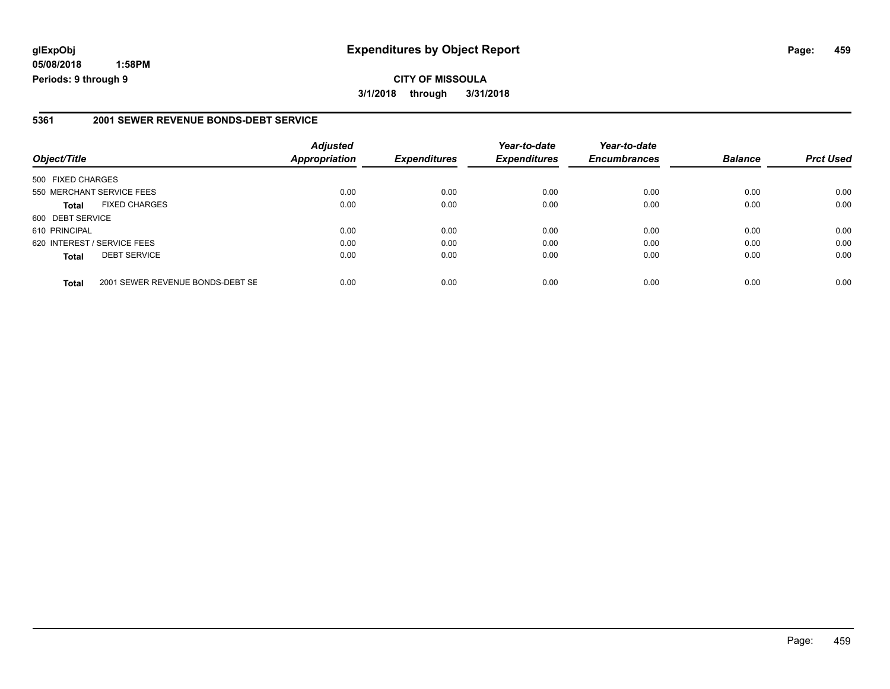## **glExpObj Expenditures by Object Report Page: 459**

**05/08/2018 1:58PM Periods: 9 through 9**

#### **5361 2001 SEWER REVENUE BONDS-DEBT SERVICE**

| Object/Title                |                                  | <b>Adjusted</b><br><b>Appropriation</b> | <b>Expenditures</b> | Year-to-date<br><b>Expenditures</b> | Year-to-date<br><b>Encumbrances</b> | <b>Balance</b> | <b>Prct Used</b> |
|-----------------------------|----------------------------------|-----------------------------------------|---------------------|-------------------------------------|-------------------------------------|----------------|------------------|
| 500 FIXED CHARGES           |                                  |                                         |                     |                                     |                                     |                |                  |
|                             | 550 MERCHANT SERVICE FEES        | 0.00                                    | 0.00                | 0.00                                | 0.00                                | 0.00           | 0.00             |
| <b>Total</b>                | <b>FIXED CHARGES</b>             | 0.00                                    | 0.00                | 0.00                                | 0.00                                | 0.00           | 0.00             |
| 600 DEBT SERVICE            |                                  |                                         |                     |                                     |                                     |                |                  |
| 610 PRINCIPAL               |                                  | 0.00                                    | 0.00                | 0.00                                | 0.00                                | 0.00           | 0.00             |
| 620 INTEREST / SERVICE FEES |                                  | 0.00                                    | 0.00                | 0.00                                | 0.00                                | 0.00           | 0.00             |
| <b>Total</b>                | <b>DEBT SERVICE</b>              | 0.00                                    | 0.00                | 0.00                                | 0.00                                | 0.00           | 0.00             |
| <b>Total</b>                | 2001 SEWER REVENUE BONDS-DEBT SE | 0.00                                    | 0.00                | 0.00                                | 0.00                                | 0.00           | 0.00             |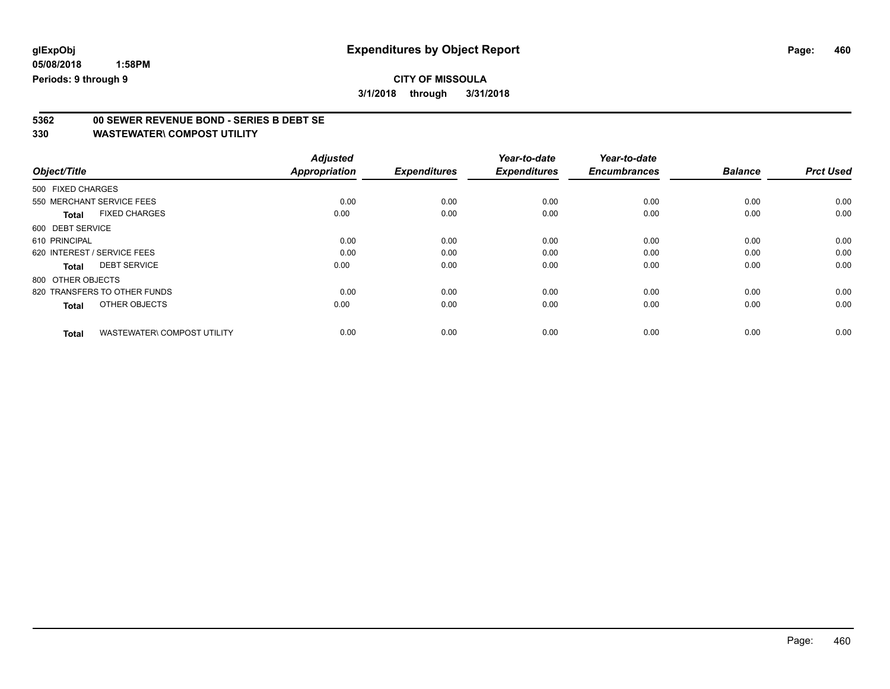### **CITY OF MISSOULA 3/1/2018 through 3/31/2018**

# **5362 00 SEWER REVENUE BOND - SERIES B DEBT SE**

| Object/Title      |                                    | <b>Adjusted</b><br><b>Appropriation</b> | <b>Expenditures</b> | Year-to-date<br><b>Expenditures</b> | Year-to-date<br><b>Encumbrances</b> | <b>Balance</b> | <b>Prct Used</b> |
|-------------------|------------------------------------|-----------------------------------------|---------------------|-------------------------------------|-------------------------------------|----------------|------------------|
|                   |                                    |                                         |                     |                                     |                                     |                |                  |
| 500 FIXED CHARGES |                                    |                                         |                     |                                     |                                     |                |                  |
|                   | 550 MERCHANT SERVICE FEES          | 0.00                                    | 0.00                | 0.00                                | 0.00                                | 0.00           | 0.00             |
| <b>Total</b>      | <b>FIXED CHARGES</b>               | 0.00                                    | 0.00                | 0.00                                | 0.00                                | 0.00           | 0.00             |
| 600 DEBT SERVICE  |                                    |                                         |                     |                                     |                                     |                |                  |
| 610 PRINCIPAL     |                                    | 0.00                                    | 0.00                | 0.00                                | 0.00                                | 0.00           | 0.00             |
|                   | 620 INTEREST / SERVICE FEES        | 0.00                                    | 0.00                | 0.00                                | 0.00                                | 0.00           | 0.00             |
| <b>Total</b>      | <b>DEBT SERVICE</b>                | 0.00                                    | 0.00                | 0.00                                | 0.00                                | 0.00           | 0.00             |
| 800 OTHER OBJECTS |                                    |                                         |                     |                                     |                                     |                |                  |
|                   | 820 TRANSFERS TO OTHER FUNDS       | 0.00                                    | 0.00                | 0.00                                | 0.00                                | 0.00           | 0.00             |
| <b>Total</b>      | OTHER OBJECTS                      | 0.00                                    | 0.00                | 0.00                                | 0.00                                | 0.00           | 0.00             |
| <b>Total</b>      | <b>WASTEWATER\ COMPOST UTILITY</b> | 0.00                                    | 0.00                | 0.00                                | 0.00                                | 0.00           | 0.00             |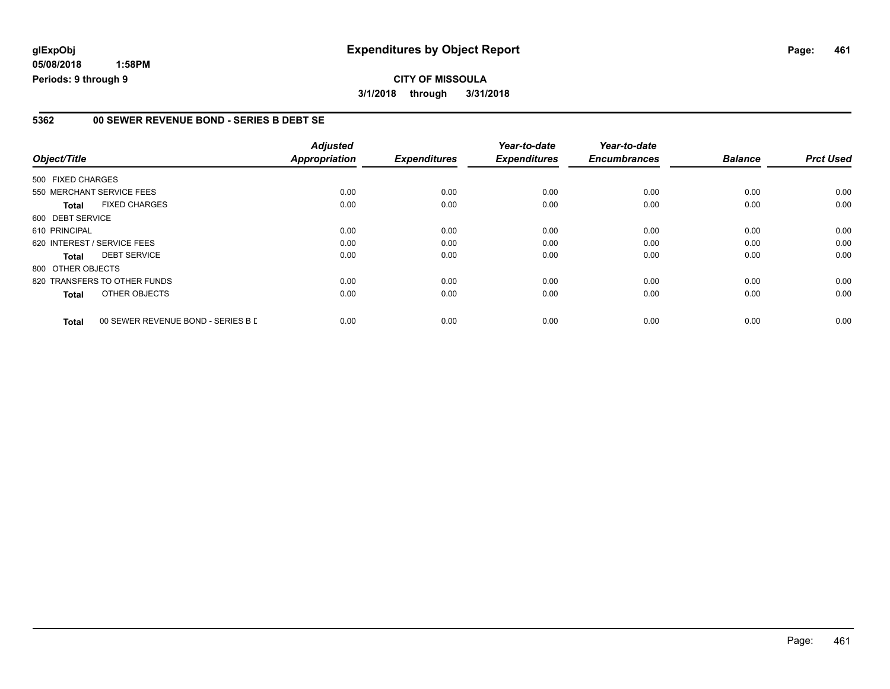#### **5362 00 SEWER REVENUE BOND - SERIES B DEBT SE**

|                   |                                    | <b>Adjusted</b>      | <b>Expenditures</b> | Year-to-date<br><b>Expenditures</b> | Year-to-date<br><b>Encumbrances</b> | <b>Balance</b> | <b>Prct Used</b> |
|-------------------|------------------------------------|----------------------|---------------------|-------------------------------------|-------------------------------------|----------------|------------------|
| Object/Title      |                                    | <b>Appropriation</b> |                     |                                     |                                     |                |                  |
| 500 FIXED CHARGES |                                    |                      |                     |                                     |                                     |                |                  |
|                   | 550 MERCHANT SERVICE FEES          | 0.00                 | 0.00                | 0.00                                | 0.00                                | 0.00           | 0.00             |
| Total             | <b>FIXED CHARGES</b>               | 0.00                 | 0.00                | 0.00                                | 0.00                                | 0.00           | 0.00             |
| 600 DEBT SERVICE  |                                    |                      |                     |                                     |                                     |                |                  |
| 610 PRINCIPAL     |                                    | 0.00                 | 0.00                | 0.00                                | 0.00                                | 0.00           | 0.00             |
|                   | 620 INTEREST / SERVICE FEES        | 0.00                 | 0.00                | 0.00                                | 0.00                                | 0.00           | 0.00             |
| Total             | <b>DEBT SERVICE</b>                | 0.00                 | 0.00                | 0.00                                | 0.00                                | 0.00           | 0.00             |
| 800 OTHER OBJECTS |                                    |                      |                     |                                     |                                     |                |                  |
|                   | 820 TRANSFERS TO OTHER FUNDS       | 0.00                 | 0.00                | 0.00                                | 0.00                                | 0.00           | 0.00             |
| <b>Total</b>      | OTHER OBJECTS                      | 0.00                 | 0.00                | 0.00                                | 0.00                                | 0.00           | 0.00             |
| <b>Total</b>      | 00 SEWER REVENUE BOND - SERIES B L | 0.00                 | 0.00                | 0.00                                | 0.00                                | 0.00           | 0.00             |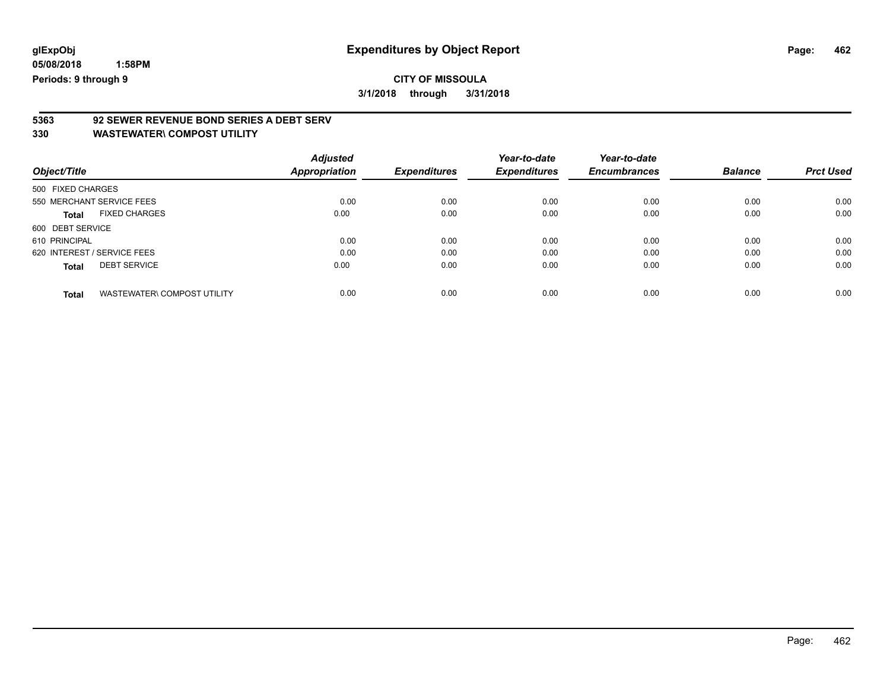### **CITY OF MISSOULA 3/1/2018 through 3/31/2018**

## **5363 92 SEWER REVENUE BOND SERIES A DEBT SERV**

| Object/Title                |                                    | <b>Adjusted</b><br><b>Appropriation</b> | <b>Expenditures</b> | Year-to-date<br><b>Expenditures</b> | Year-to-date<br><b>Encumbrances</b> | <b>Balance</b> | <b>Prct Used</b> |
|-----------------------------|------------------------------------|-----------------------------------------|---------------------|-------------------------------------|-------------------------------------|----------------|------------------|
| 500 FIXED CHARGES           |                                    |                                         |                     |                                     |                                     |                |                  |
| 550 MERCHANT SERVICE FEES   |                                    | 0.00                                    | 0.00                | 0.00                                | 0.00                                | 0.00           | 0.00             |
| <b>Total</b>                | <b>FIXED CHARGES</b>               | 0.00                                    | 0.00                | 0.00                                | 0.00                                | 0.00           | 0.00             |
| 600 DEBT SERVICE            |                                    |                                         |                     |                                     |                                     |                |                  |
| 610 PRINCIPAL               |                                    | 0.00                                    | 0.00                | 0.00                                | 0.00                                | 0.00           | 0.00             |
| 620 INTEREST / SERVICE FEES |                                    | 0.00                                    | 0.00                | 0.00                                | 0.00                                | 0.00           | 0.00             |
| <b>Total</b>                | <b>DEBT SERVICE</b>                | 0.00                                    | 0.00                | 0.00                                | 0.00                                | 0.00           | 0.00             |
| <b>Total</b>                | <b>WASTEWATER\ COMPOST UTILITY</b> | 0.00                                    | 0.00                | 0.00                                | 0.00                                | 0.00           | 0.00             |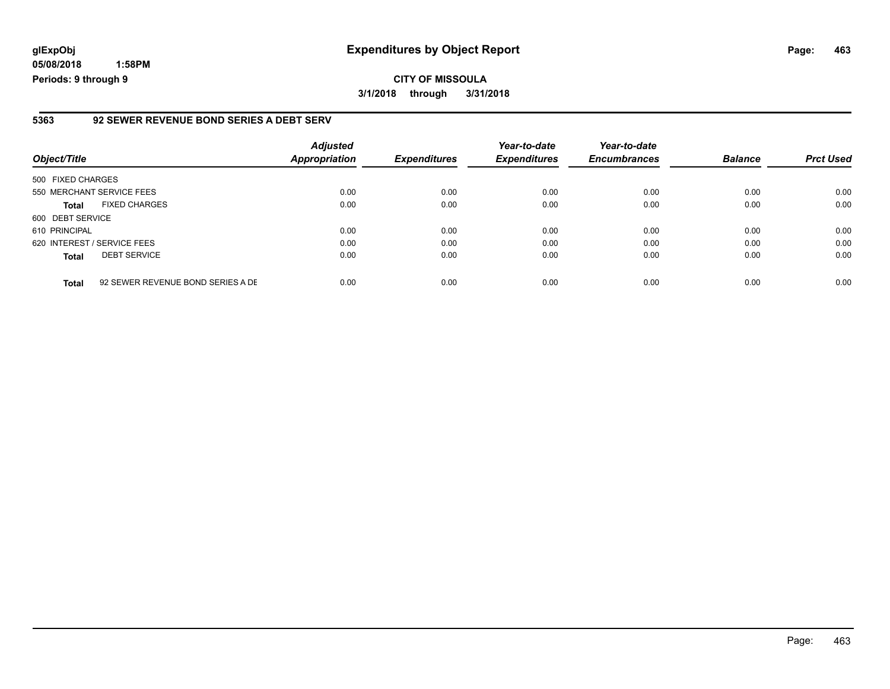## **glExpObj Expenditures by Object Report Page: 463**

**05/08/2018 1:58PM Periods: 9 through 9**

#### **5363 92 SEWER REVENUE BOND SERIES A DEBT SERV**

| Object/Title                |                                   | <b>Adjusted</b><br><b>Appropriation</b> | <b>Expenditures</b> | Year-to-date<br><b>Expenditures</b> | Year-to-date<br><b>Encumbrances</b> | <b>Balance</b> | <b>Prct Used</b> |
|-----------------------------|-----------------------------------|-----------------------------------------|---------------------|-------------------------------------|-------------------------------------|----------------|------------------|
| 500 FIXED CHARGES           |                                   |                                         |                     |                                     |                                     |                |                  |
| 550 MERCHANT SERVICE FEES   |                                   | 0.00                                    | 0.00                | 0.00                                | 0.00                                | 0.00           | 0.00             |
| <b>Total</b>                | <b>FIXED CHARGES</b>              | 0.00                                    | 0.00                | 0.00                                | 0.00                                | 0.00           | 0.00             |
| 600 DEBT SERVICE            |                                   |                                         |                     |                                     |                                     |                |                  |
| 610 PRINCIPAL               |                                   | 0.00                                    | 0.00                | 0.00                                | 0.00                                | 0.00           | 0.00             |
| 620 INTEREST / SERVICE FEES |                                   | 0.00                                    | 0.00                | 0.00                                | 0.00                                | 0.00           | 0.00             |
| <b>Total</b>                | <b>DEBT SERVICE</b>               | 0.00                                    | 0.00                | 0.00                                | 0.00                                | 0.00           | 0.00             |
| <b>Total</b>                | 92 SEWER REVENUE BOND SERIES A DE | 0.00                                    | 0.00                | 0.00                                | 0.00                                | 0.00           | 0.00             |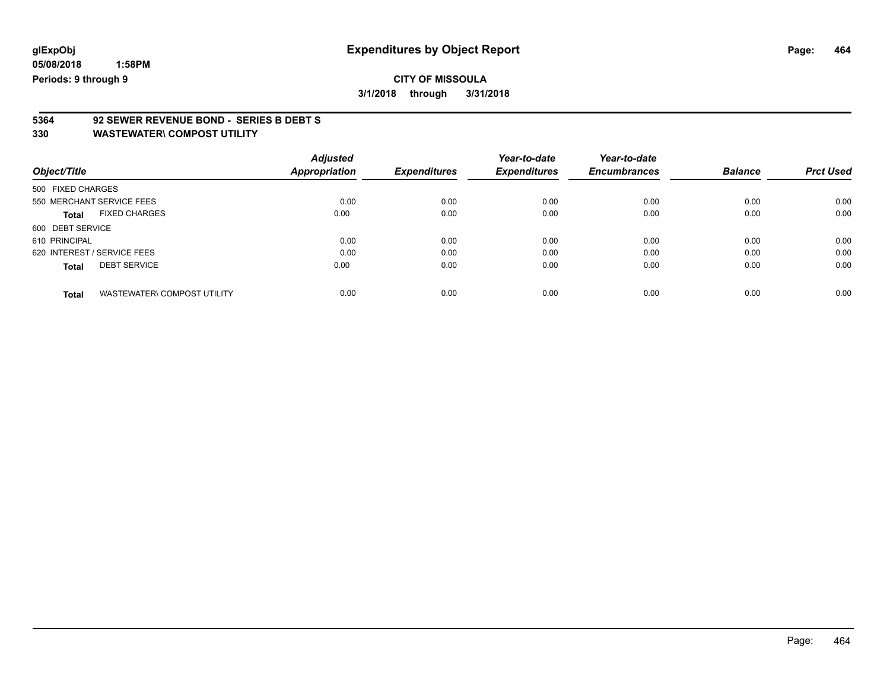### **CITY OF MISSOULA 3/1/2018 through 3/31/2018**

# **5364 92 SEWER REVENUE BOND - SERIES B DEBT S**

| Object/Title                |                                    | <b>Adjusted</b><br><b>Appropriation</b> | <b>Expenditures</b> | Year-to-date<br><b>Expenditures</b> | Year-to-date<br><b>Encumbrances</b> | <b>Balance</b> | <b>Prct Used</b> |
|-----------------------------|------------------------------------|-----------------------------------------|---------------------|-------------------------------------|-------------------------------------|----------------|------------------|
| 500 FIXED CHARGES           |                                    |                                         |                     |                                     |                                     |                |                  |
|                             | 550 MERCHANT SERVICE FEES          | 0.00                                    | 0.00                | 0.00                                | 0.00                                | 0.00           | 0.00             |
| <b>Total</b>                | <b>FIXED CHARGES</b>               | 0.00                                    | 0.00                | 0.00                                | 0.00                                | 0.00           | 0.00             |
| 600 DEBT SERVICE            |                                    |                                         |                     |                                     |                                     |                |                  |
| 610 PRINCIPAL               |                                    | 0.00                                    | 0.00                | 0.00                                | 0.00                                | 0.00           | 0.00             |
| 620 INTEREST / SERVICE FEES |                                    | 0.00                                    | 0.00                | 0.00                                | 0.00                                | 0.00           | 0.00             |
| <b>Total</b>                | <b>DEBT SERVICE</b>                | 0.00                                    | 0.00                | 0.00                                | 0.00                                | 0.00           | 0.00             |
| <b>Total</b>                | <b>WASTEWATER\ COMPOST UTILITY</b> | 0.00                                    | 0.00                | 0.00                                | 0.00                                | 0.00           | 0.00             |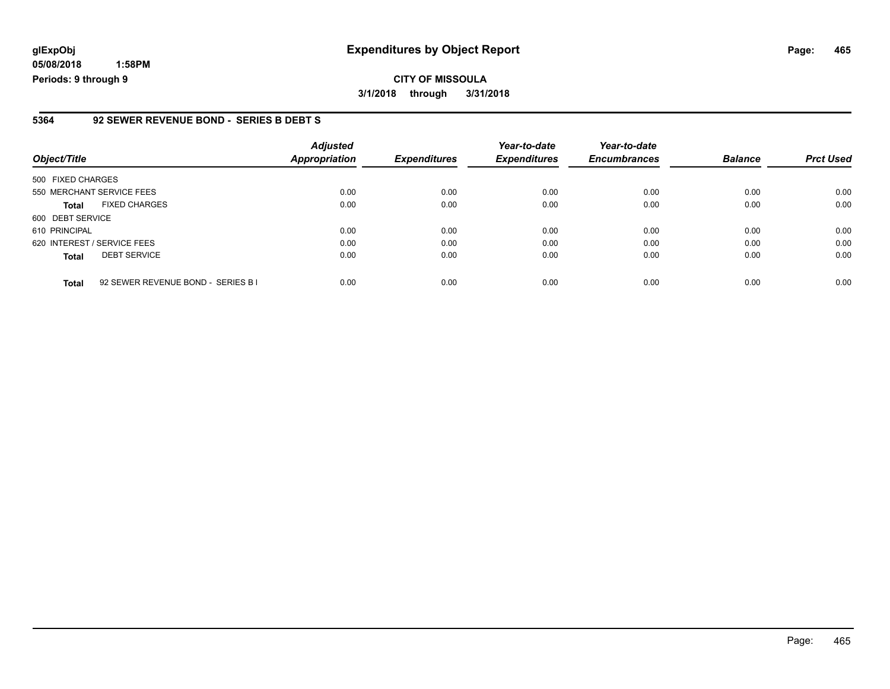#### **5364 92 SEWER REVENUE BOND - SERIES B DEBT S**

| Object/Title                                       | <b>Adjusted</b><br>Appropriation | <b>Expenditures</b> | Year-to-date<br><b>Expenditures</b> | Year-to-date<br><b>Encumbrances</b> | <b>Balance</b> | <b>Prct Used</b> |
|----------------------------------------------------|----------------------------------|---------------------|-------------------------------------|-------------------------------------|----------------|------------------|
| 500 FIXED CHARGES                                  |                                  |                     |                                     |                                     |                |                  |
| 550 MERCHANT SERVICE FEES                          | 0.00                             | 0.00                | 0.00                                | 0.00                                | 0.00           | 0.00             |
| <b>FIXED CHARGES</b><br><b>Total</b>               | 0.00                             | 0.00                | 0.00                                | 0.00                                | 0.00           | 0.00             |
| 600 DEBT SERVICE                                   |                                  |                     |                                     |                                     |                |                  |
| 610 PRINCIPAL                                      | 0.00                             | 0.00                | 0.00                                | 0.00                                | 0.00           | 0.00             |
| 620 INTEREST / SERVICE FEES                        | 0.00                             | 0.00                | 0.00                                | 0.00                                | 0.00           | 0.00             |
| <b>DEBT SERVICE</b><br><b>Total</b>                | 0.00                             | 0.00                | 0.00                                | 0.00                                | 0.00           | 0.00             |
| 92 SEWER REVENUE BOND - SERIES B I<br><b>Total</b> | 0.00                             | 0.00                | 0.00                                | 0.00                                | 0.00           | 0.00             |

Page: 465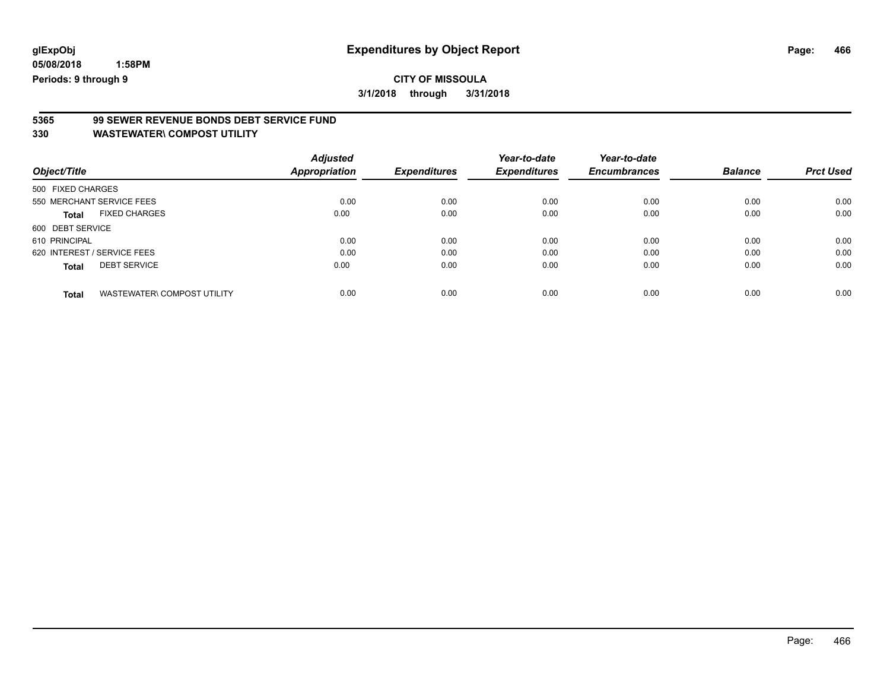### **CITY OF MISSOULA 3/1/2018 through 3/31/2018**

## **5365 99 SEWER REVENUE BONDS DEBT SERVICE FUND**

|                   |                                    | <b>Adjusted</b>      |                     | Year-to-date        | Year-to-date        |                |                  |
|-------------------|------------------------------------|----------------------|---------------------|---------------------|---------------------|----------------|------------------|
| Object/Title      |                                    | <b>Appropriation</b> | <b>Expenditures</b> | <b>Expenditures</b> | <b>Encumbrances</b> | <b>Balance</b> | <b>Prct Used</b> |
| 500 FIXED CHARGES |                                    |                      |                     |                     |                     |                |                  |
|                   | 550 MERCHANT SERVICE FEES          | 0.00                 | 0.00                | 0.00                | 0.00                | 0.00           | 0.00             |
| <b>Total</b>      | <b>FIXED CHARGES</b>               | 0.00                 | 0.00                | 0.00                | 0.00                | 0.00           | 0.00             |
| 600 DEBT SERVICE  |                                    |                      |                     |                     |                     |                |                  |
| 610 PRINCIPAL     |                                    | 0.00                 | 0.00                | 0.00                | 0.00                | 0.00           | 0.00             |
|                   | 620 INTEREST / SERVICE FEES        | 0.00                 | 0.00                | 0.00                | 0.00                | 0.00           | 0.00             |
| <b>Total</b>      | <b>DEBT SERVICE</b>                | 0.00                 | 0.00                | 0.00                | 0.00                | 0.00           | 0.00             |
| <b>Total</b>      | <b>WASTEWATER\ COMPOST UTILITY</b> | 0.00                 | 0.00                | 0.00                | 0.00                | 0.00           | 0.00             |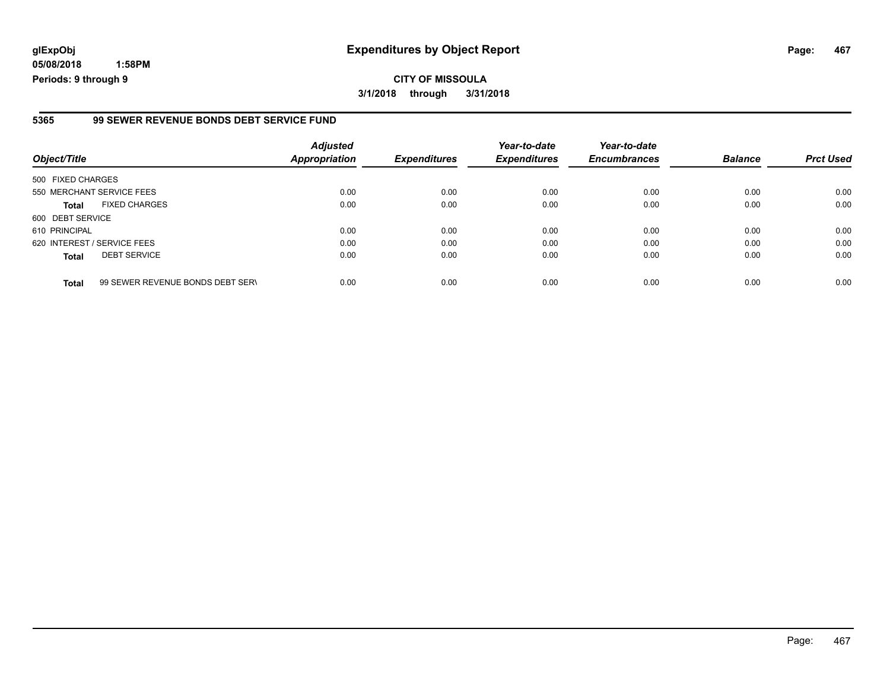## **glExpObj Expenditures by Object Report Page: 467**

**05/08/2018 1:58PM Periods: 9 through 9**

#### **5365 99 SEWER REVENUE BONDS DEBT SERVICE FUND**

| Object/Title                |                                  | <b>Adjusted</b><br><b>Appropriation</b> | <b>Expenditures</b> | Year-to-date<br><b>Expenditures</b> | Year-to-date<br><b>Encumbrances</b> | <b>Balance</b> | <b>Prct Used</b> |
|-----------------------------|----------------------------------|-----------------------------------------|---------------------|-------------------------------------|-------------------------------------|----------------|------------------|
|                             |                                  |                                         |                     |                                     |                                     |                |                  |
| 500 FIXED CHARGES           |                                  |                                         |                     |                                     |                                     |                |                  |
|                             | 550 MERCHANT SERVICE FEES        | 0.00                                    | 0.00                | 0.00                                | 0.00                                | 0.00           | 0.00             |
| <b>Total</b>                | <b>FIXED CHARGES</b>             | 0.00                                    | 0.00                | 0.00                                | 0.00                                | 0.00           | 0.00             |
| 600 DEBT SERVICE            |                                  |                                         |                     |                                     |                                     |                |                  |
| 610 PRINCIPAL               |                                  | 0.00                                    | 0.00                | 0.00                                | 0.00                                | 0.00           | 0.00             |
| 620 INTEREST / SERVICE FEES |                                  | 0.00                                    | 0.00                | 0.00                                | 0.00                                | 0.00           | 0.00             |
| <b>Total</b>                | <b>DEBT SERVICE</b>              | 0.00                                    | 0.00                | 0.00                                | 0.00                                | 0.00           | 0.00             |
| <b>Total</b>                | 99 SEWER REVENUE BONDS DEBT SERV | 0.00                                    | 0.00                | 0.00                                | 0.00                                | 0.00           | 0.00             |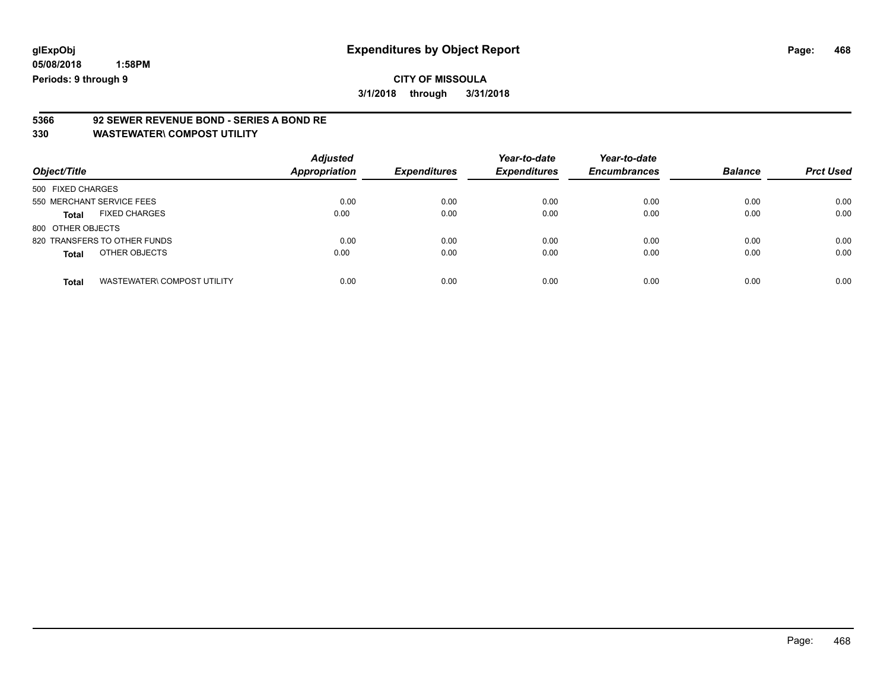### **CITY OF MISSOULA 3/1/2018 through 3/31/2018**

# **5366 92 SEWER REVENUE BOND - SERIES A BOND RE**

| Object/Title                                       | <b>Adjusted</b><br>Appropriation | <b>Expenditures</b> | Year-to-date<br><b>Expenditures</b> | Year-to-date<br><b>Encumbrances</b> | <b>Balance</b> | <b>Prct Used</b> |
|----------------------------------------------------|----------------------------------|---------------------|-------------------------------------|-------------------------------------|----------------|------------------|
| 500 FIXED CHARGES                                  |                                  |                     |                                     |                                     |                |                  |
| 550 MERCHANT SERVICE FEES                          | 0.00                             | 0.00                | 0.00                                | 0.00                                | 0.00           | 0.00             |
| <b>FIXED CHARGES</b><br><b>Total</b>               | 0.00                             | 0.00                | 0.00                                | 0.00                                | 0.00           | 0.00             |
| 800 OTHER OBJECTS                                  |                                  |                     |                                     |                                     |                |                  |
| 820 TRANSFERS TO OTHER FUNDS                       | 0.00                             | 0.00                | 0.00                                | 0.00                                | 0.00           | 0.00             |
| OTHER OBJECTS<br><b>Total</b>                      | 0.00                             | 0.00                | 0.00                                | 0.00                                | 0.00           | 0.00             |
| <b>WASTEWATER\ COMPOST UTILITY</b><br><b>Total</b> | 0.00                             | 0.00                | 0.00                                | 0.00                                | 0.00           | 0.00             |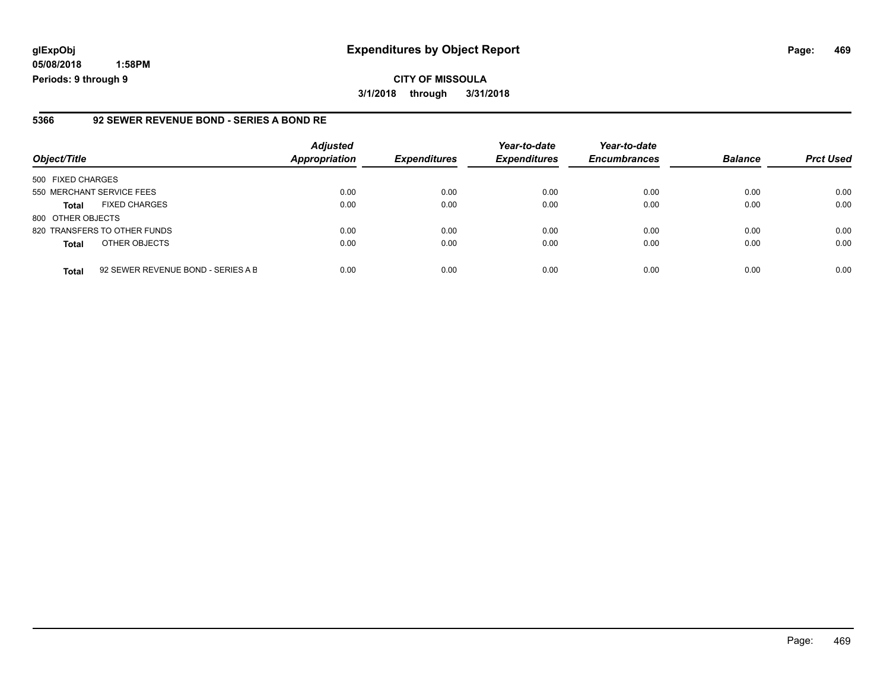#### **glExpObj Expenditures by Object Report Page: 469**

**05/08/2018 1:58PM Periods: 9 through 9**

#### **5366 92 SEWER REVENUE BOND - SERIES A BOND RE**

| Object/Title              |                                    | <b>Adjusted</b><br><b>Appropriation</b> | <b>Expenditures</b> | Year-to-date<br><b>Expenditures</b> | Year-to-date<br><b>Encumbrances</b> | <b>Balance</b> | <b>Prct Used</b> |
|---------------------------|------------------------------------|-----------------------------------------|---------------------|-------------------------------------|-------------------------------------|----------------|------------------|
| 500 FIXED CHARGES         |                                    |                                         |                     |                                     |                                     |                |                  |
| 550 MERCHANT SERVICE FEES |                                    | 0.00                                    | 0.00                | 0.00                                | 0.00                                | 0.00           | 0.00             |
| <b>Total</b>              | <b>FIXED CHARGES</b>               | 0.00                                    | 0.00                | 0.00                                | 0.00                                | 0.00           | 0.00             |
| 800 OTHER OBJECTS         |                                    |                                         |                     |                                     |                                     |                |                  |
|                           | 820 TRANSFERS TO OTHER FUNDS       | 0.00                                    | 0.00                | 0.00                                | 0.00                                | 0.00           | 0.00             |
| <b>Total</b>              | OTHER OBJECTS                      | 0.00                                    | 0.00                | 0.00                                | 0.00                                | 0.00           | 0.00             |
| <b>Total</b>              | 92 SEWER REVENUE BOND - SERIES A B | 0.00                                    | 0.00                | 0.00                                | 0.00                                | 0.00           | 0.00             |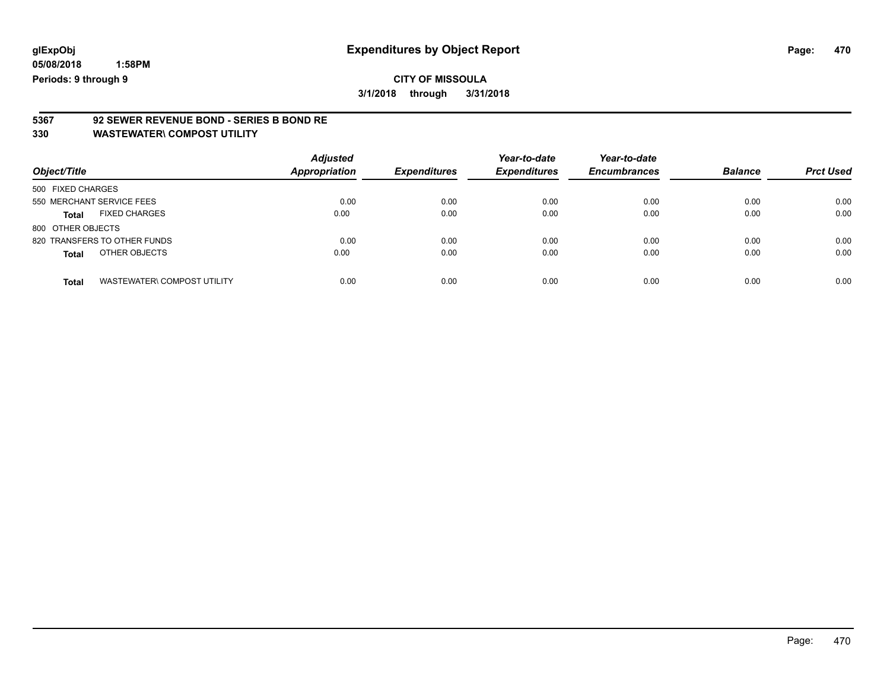#### **CITY OF MISSOULA 3/1/2018 through 3/31/2018**

# **5367 92 SEWER REVENUE BOND - SERIES B BOND RE**

| Object/Title                                       | <b>Adjusted</b><br><b>Appropriation</b> | <b>Expenditures</b> | Year-to-date<br><b>Expenditures</b> | Year-to-date<br><b>Encumbrances</b> | <b>Balance</b> | <b>Prct Used</b> |
|----------------------------------------------------|-----------------------------------------|---------------------|-------------------------------------|-------------------------------------|----------------|------------------|
| 500 FIXED CHARGES                                  |                                         |                     |                                     |                                     |                |                  |
| 550 MERCHANT SERVICE FEES                          | 0.00                                    | 0.00                | 0.00                                | 0.00                                | 0.00           | 0.00             |
| <b>FIXED CHARGES</b><br><b>Total</b>               | 0.00                                    | 0.00                | 0.00                                | 0.00                                | 0.00           | 0.00             |
| 800 OTHER OBJECTS                                  |                                         |                     |                                     |                                     |                |                  |
| 820 TRANSFERS TO OTHER FUNDS                       | 0.00                                    | 0.00                | 0.00                                | 0.00                                | 0.00           | 0.00             |
| OTHER OBJECTS<br><b>Total</b>                      | 0.00                                    | 0.00                | 0.00                                | 0.00                                | 0.00           | 0.00             |
| <b>WASTEWATER\ COMPOST UTILITY</b><br><b>Total</b> | 0.00                                    | 0.00                | 0.00                                | 0.00                                | 0.00           | 0.00             |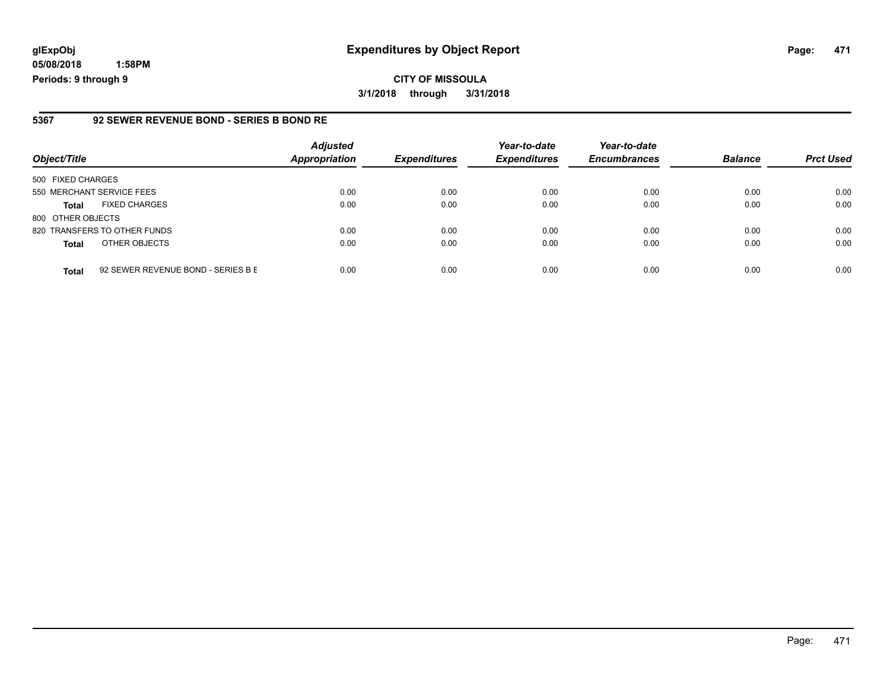#### **glExpObj Expenditures by Object Report Page: 471**

**05/08/2018 1:58PM Periods: 9 through 9**

#### **5367 92 SEWER REVENUE BOND - SERIES B BOND RE**

| Object/Title              |                                    | <b>Adjusted</b><br><b>Appropriation</b> | <b>Expenditures</b> | Year-to-date<br><b>Expenditures</b> | Year-to-date<br><b>Encumbrances</b> | <b>Balance</b> | <b>Prct Used</b> |
|---------------------------|------------------------------------|-----------------------------------------|---------------------|-------------------------------------|-------------------------------------|----------------|------------------|
| 500 FIXED CHARGES         |                                    |                                         |                     |                                     |                                     |                |                  |
| 550 MERCHANT SERVICE FEES |                                    | 0.00                                    | 0.00                | 0.00                                | 0.00                                | 0.00           | 0.00             |
| <b>Total</b>              | <b>FIXED CHARGES</b>               | 0.00                                    | 0.00                | 0.00                                | 0.00                                | 0.00           | 0.00             |
| 800 OTHER OBJECTS         |                                    |                                         |                     |                                     |                                     |                |                  |
|                           | 820 TRANSFERS TO OTHER FUNDS       | 0.00                                    | 0.00                | 0.00                                | 0.00                                | 0.00           | 0.00             |
| <b>Total</b>              | OTHER OBJECTS                      | 0.00                                    | 0.00                | 0.00                                | 0.00                                | 0.00           | 0.00             |
| <b>Total</b>              | 92 SEWER REVENUE BOND - SERIES B E | 0.00                                    | 0.00                | 0.00                                | 0.00                                | 0.00           | 0.00             |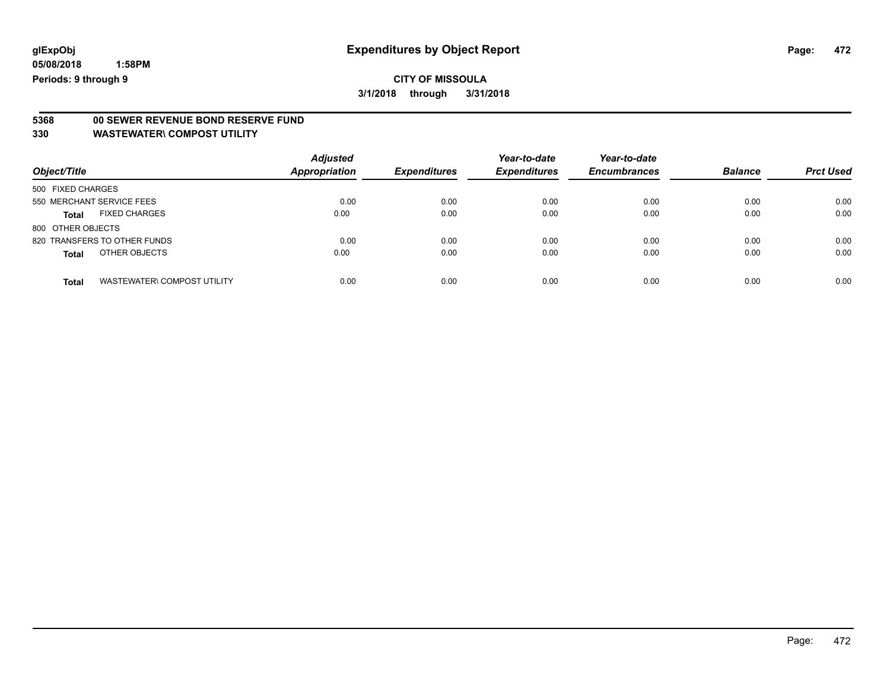# **5368 00 SEWER REVENUE BOND RESERVE FUND**

| Object/Title                                       | <b>Adjusted</b><br><b>Appropriation</b> | <b>Expenditures</b> | Year-to-date<br><b>Expenditures</b> | Year-to-date<br><b>Encumbrances</b> | <b>Balance</b> | <b>Prct Used</b> |
|----------------------------------------------------|-----------------------------------------|---------------------|-------------------------------------|-------------------------------------|----------------|------------------|
| 500 FIXED CHARGES                                  |                                         |                     |                                     |                                     |                |                  |
| 550 MERCHANT SERVICE FEES                          | 0.00                                    | 0.00                | 0.00                                | 0.00                                | 0.00           | 0.00             |
| <b>FIXED CHARGES</b><br><b>Total</b>               | 0.00                                    | 0.00                | 0.00                                | 0.00                                | 0.00           | 0.00             |
| 800 OTHER OBJECTS                                  |                                         |                     |                                     |                                     |                |                  |
| 820 TRANSFERS TO OTHER FUNDS                       | 0.00                                    | 0.00                | 0.00                                | 0.00                                | 0.00           | 0.00             |
| OTHER OBJECTS<br><b>Total</b>                      | 0.00                                    | 0.00                | 0.00                                | 0.00                                | 0.00           | 0.00             |
| <b>WASTEWATER\ COMPOST UTILITY</b><br><b>Total</b> | 0.00                                    | 0.00                | 0.00                                | 0.00                                | 0.00           | 0.00             |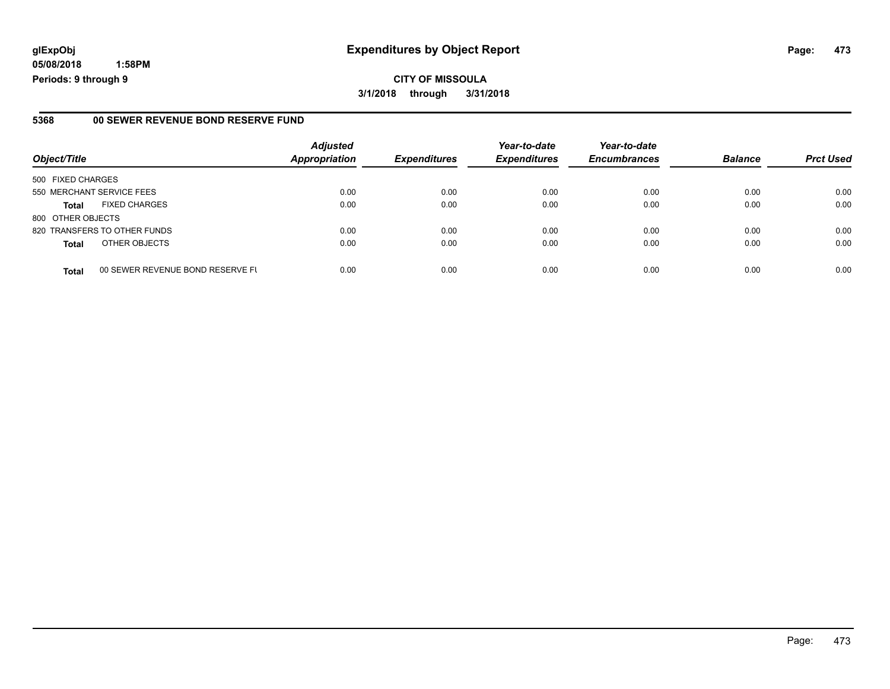**CITY OF MISSOULA 3/1/2018 through 3/31/2018**

#### **5368 00 SEWER REVENUE BOND RESERVE FUND**

| Object/Title                 |                                  | <b>Adjusted</b><br><b>Appropriation</b> | <b>Expenditures</b> | Year-to-date<br><b>Expenditures</b> | Year-to-date        | <b>Balance</b> | <b>Prct Used</b> |
|------------------------------|----------------------------------|-----------------------------------------|---------------------|-------------------------------------|---------------------|----------------|------------------|
|                              |                                  |                                         |                     |                                     | <b>Encumbrances</b> |                |                  |
| 500 FIXED CHARGES            |                                  |                                         |                     |                                     |                     |                |                  |
| 550 MERCHANT SERVICE FEES    |                                  | 0.00                                    | 0.00                | 0.00                                | 0.00                | 0.00           | 0.00             |
| <b>Total</b>                 | <b>FIXED CHARGES</b>             | 0.00                                    | 0.00                | 0.00                                | 0.00                | 0.00           | 0.00             |
| 800 OTHER OBJECTS            |                                  |                                         |                     |                                     |                     |                |                  |
| 820 TRANSFERS TO OTHER FUNDS |                                  | 0.00                                    | 0.00                | 0.00                                | 0.00                | 0.00           | 0.00             |
| <b>Total</b>                 | OTHER OBJECTS                    | 0.00                                    | 0.00                | 0.00                                | 0.00                | 0.00           | 0.00             |
| <b>Total</b>                 | 00 SEWER REVENUE BOND RESERVE FL | 0.00                                    | 0.00                | 0.00                                | 0.00                | 0.00           | 0.00             |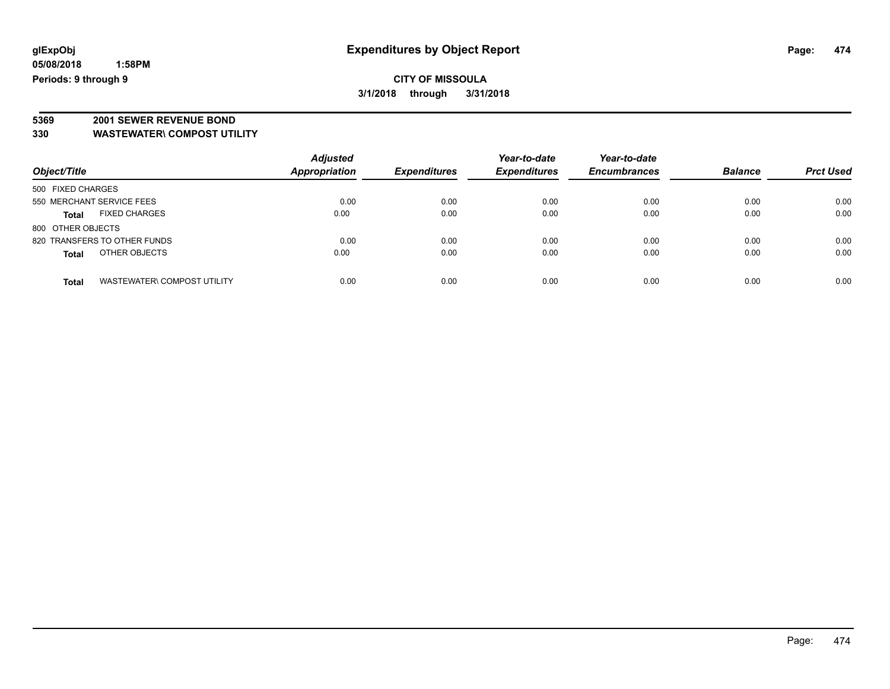#### **CITY OF MISSOULA 3/1/2018 through 3/31/2018**

# **5369 2001 SEWER REVENUE BOND<br>330 WASTEWATER\ COMPOST UTIL**

| Object/Title                                       | <b>Adjusted</b><br>Appropriation | <b>Expenditures</b> | Year-to-date<br><b>Expenditures</b> | Year-to-date<br><b>Encumbrances</b> | <b>Balance</b> | <b>Prct Used</b> |
|----------------------------------------------------|----------------------------------|---------------------|-------------------------------------|-------------------------------------|----------------|------------------|
| 500 FIXED CHARGES                                  |                                  |                     |                                     |                                     |                |                  |
| 550 MERCHANT SERVICE FEES                          | 0.00                             | 0.00                | 0.00                                | 0.00                                | 0.00           | 0.00             |
| <b>FIXED CHARGES</b><br><b>Total</b>               | 0.00                             | 0.00                | 0.00                                | 0.00                                | 0.00           | 0.00             |
| 800 OTHER OBJECTS                                  |                                  |                     |                                     |                                     |                |                  |
| 820 TRANSFERS TO OTHER FUNDS                       | 0.00                             | 0.00                | 0.00                                | 0.00                                | 0.00           | 0.00             |
| OTHER OBJECTS<br><b>Total</b>                      | 0.00                             | 0.00                | 0.00                                | 0.00                                | 0.00           | 0.00             |
|                                                    |                                  |                     |                                     |                                     |                |                  |
| <b>WASTEWATER\ COMPOST UTILITY</b><br><b>Total</b> | 0.00                             | 0.00                | 0.00                                | 0.00                                | 0.00           | 0.00             |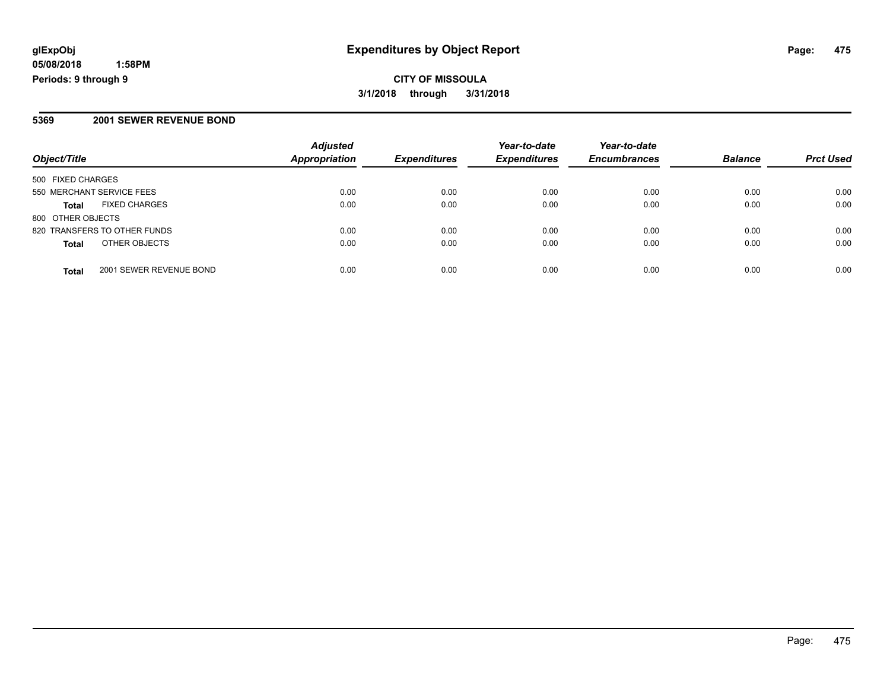**CITY OF MISSOULA 3/1/2018 through 3/31/2018**

#### **5369 2001 SEWER REVENUE BOND**

|                                         | <b>Adjusted</b><br><b>Appropriation</b> |                     | Year-to-date        | Year-to-date        |                |                  |
|-----------------------------------------|-----------------------------------------|---------------------|---------------------|---------------------|----------------|------------------|
| Object/Title                            |                                         | <b>Expenditures</b> | <b>Expenditures</b> | <b>Encumbrances</b> | <b>Balance</b> | <b>Prct Used</b> |
| 500 FIXED CHARGES                       |                                         |                     |                     |                     |                |                  |
| 550 MERCHANT SERVICE FEES               | 0.00                                    | 0.00                | 0.00                | 0.00                | 0.00           | 0.00             |
| <b>FIXED CHARGES</b><br>Total           | 0.00                                    | 0.00                | 0.00                | 0.00                | 0.00           | 0.00             |
| 800 OTHER OBJECTS                       |                                         |                     |                     |                     |                |                  |
| 820 TRANSFERS TO OTHER FUNDS            | 0.00                                    | 0.00                | 0.00                | 0.00                | 0.00           | 0.00             |
| OTHER OBJECTS<br><b>Total</b>           | 0.00                                    | 0.00                | 0.00                | 0.00                | 0.00           | 0.00             |
| 2001 SEWER REVENUE BOND<br><b>Total</b> | 0.00                                    | 0.00                | 0.00                | 0.00                | 0.00           | 0.00             |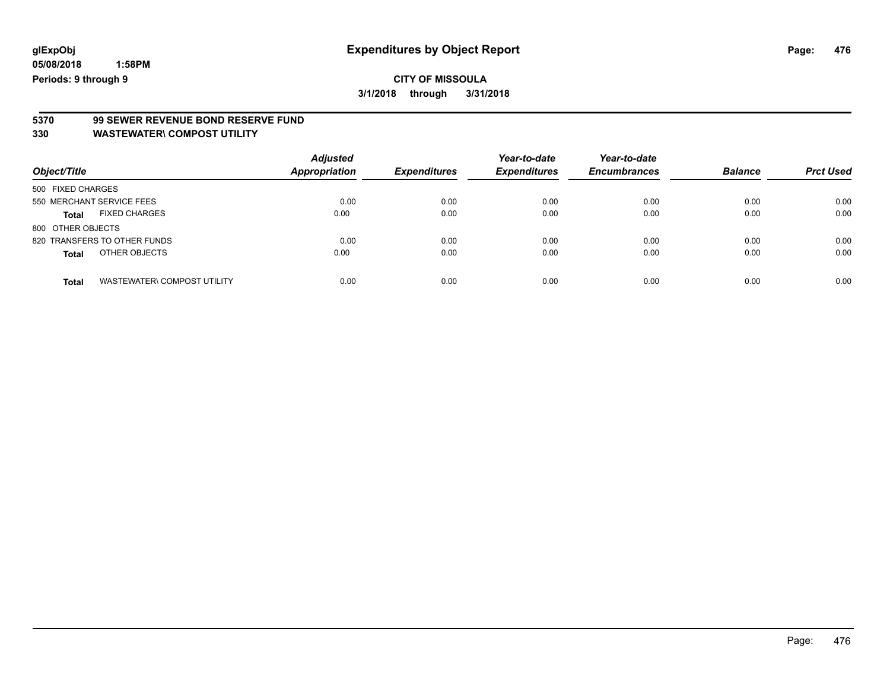# **5370 99 SEWER REVENUE BOND RESERVE FUND**

| Object/Title                                       | <b>Adjusted</b><br><b>Appropriation</b> | <b>Expenditures</b> | Year-to-date<br><b>Expenditures</b> | Year-to-date<br><b>Encumbrances</b> | <b>Balance</b> | <b>Prct Used</b> |
|----------------------------------------------------|-----------------------------------------|---------------------|-------------------------------------|-------------------------------------|----------------|------------------|
| 500 FIXED CHARGES                                  |                                         |                     |                                     |                                     |                |                  |
| 550 MERCHANT SERVICE FEES                          | 0.00                                    | 0.00                | 0.00                                | 0.00                                | 0.00           | 0.00             |
| <b>FIXED CHARGES</b><br><b>Total</b>               | 0.00                                    | 0.00                | 0.00                                | 0.00                                | 0.00           | 0.00             |
| 800 OTHER OBJECTS                                  |                                         |                     |                                     |                                     |                |                  |
| 820 TRANSFERS TO OTHER FUNDS                       | 0.00                                    | 0.00                | 0.00                                | 0.00                                | 0.00           | 0.00             |
| OTHER OBJECTS<br><b>Total</b>                      | 0.00                                    | 0.00                | 0.00                                | 0.00                                | 0.00           | 0.00             |
| <b>WASTEWATER\ COMPOST UTILITY</b><br><b>Total</b> | 0.00                                    | 0.00                | 0.00                                | 0.00                                | 0.00           | 0.00             |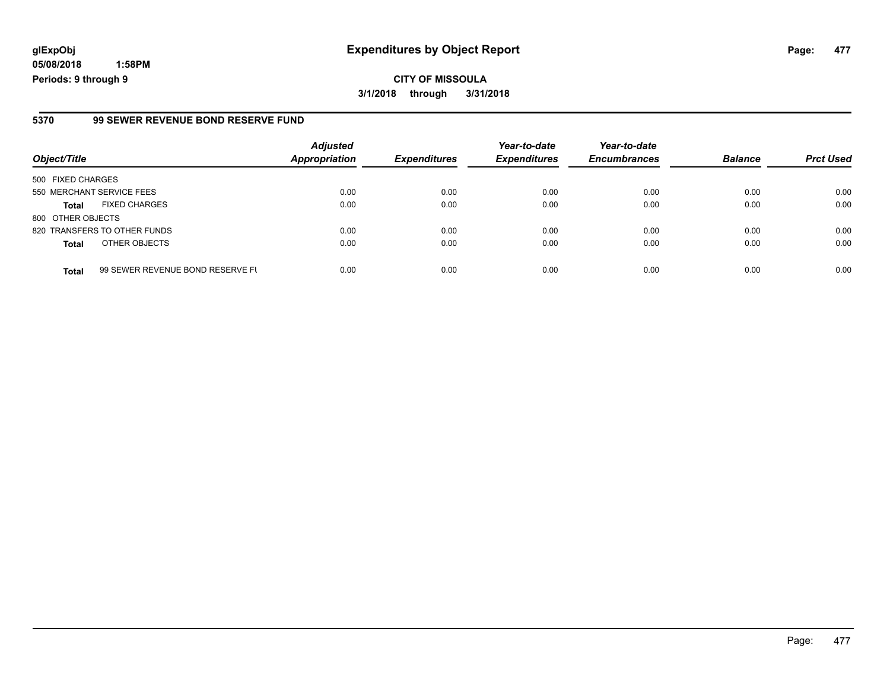**CITY OF MISSOULA 3/1/2018 through 3/31/2018**

#### **5370 99 SEWER REVENUE BOND RESERVE FUND**

| Object/Title      |                                  | <b>Adjusted</b><br><b>Appropriation</b> | <b>Expenditures</b> | Year-to-date<br><b>Expenditures</b> | Year-to-date        | <b>Balance</b> | <b>Prct Used</b> |
|-------------------|----------------------------------|-----------------------------------------|---------------------|-------------------------------------|---------------------|----------------|------------------|
|                   |                                  |                                         |                     |                                     | <b>Encumbrances</b> |                |                  |
| 500 FIXED CHARGES |                                  |                                         |                     |                                     |                     |                |                  |
|                   | 550 MERCHANT SERVICE FEES        | 0.00                                    | 0.00                | 0.00                                | 0.00                | 0.00           | 0.00             |
| <b>Total</b>      | <b>FIXED CHARGES</b>             | 0.00                                    | 0.00                | 0.00                                | 0.00                | 0.00           | 0.00             |
| 800 OTHER OBJECTS |                                  |                                         |                     |                                     |                     |                |                  |
|                   | 820 TRANSFERS TO OTHER FUNDS     | 0.00                                    | 0.00                | 0.00                                | 0.00                | 0.00           | 0.00             |
| <b>Total</b>      | OTHER OBJECTS                    | 0.00                                    | 0.00                | 0.00                                | 0.00                | 0.00           | 0.00             |
| <b>Total</b>      | 99 SEWER REVENUE BOND RESERVE FL | 0.00                                    | 0.00                | 0.00                                | 0.00                | 0.00           | 0.00             |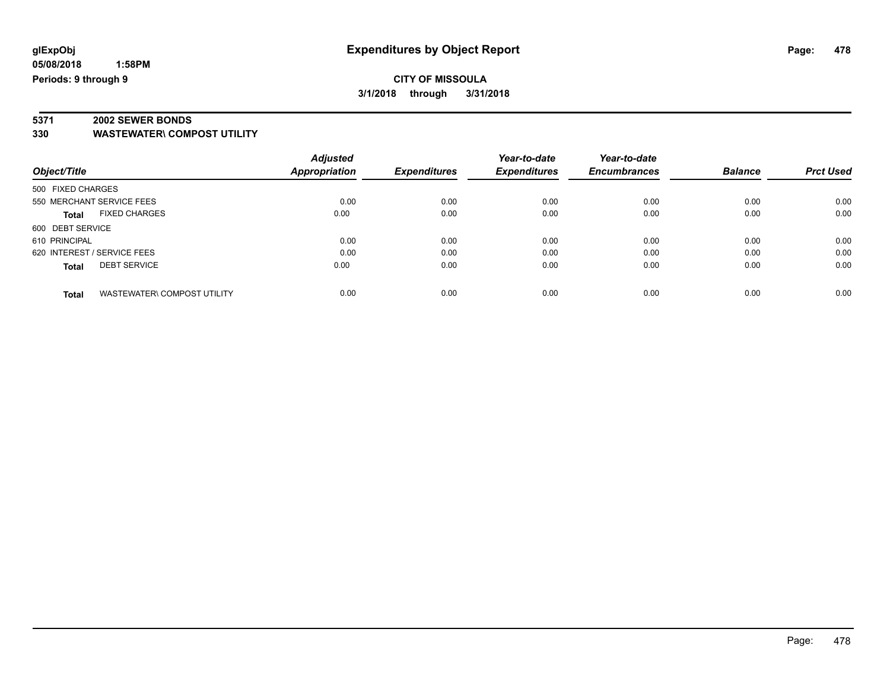#### **CITY OF MISSOULA 3/1/2018 through 3/31/2018**

**5371 2002 SEWER BONDS 330 WASTEWATER\ COMPOST UTILITY**

|                                                    | <b>Adjusted</b>      |                     | Year-to-date        | Year-to-date        |                |                  |
|----------------------------------------------------|----------------------|---------------------|---------------------|---------------------|----------------|------------------|
| Object/Title                                       | <b>Appropriation</b> | <b>Expenditures</b> | <b>Expenditures</b> | <b>Encumbrances</b> | <b>Balance</b> | <b>Prct Used</b> |
| 500 FIXED CHARGES                                  |                      |                     |                     |                     |                |                  |
| 550 MERCHANT SERVICE FEES                          | 0.00                 | 0.00                | 0.00                | 0.00                | 0.00           | 0.00             |
| <b>FIXED CHARGES</b><br><b>Total</b>               | 0.00                 | 0.00                | 0.00                | 0.00                | 0.00           | 0.00             |
| 600 DEBT SERVICE                                   |                      |                     |                     |                     |                |                  |
| 610 PRINCIPAL                                      | 0.00                 | 0.00                | 0.00                | 0.00                | 0.00           | 0.00             |
| 620 INTEREST / SERVICE FEES                        | 0.00                 | 0.00                | 0.00                | 0.00                | 0.00           | 0.00             |
| <b>DEBT SERVICE</b><br><b>Total</b>                | 0.00                 | 0.00                | 0.00                | 0.00                | 0.00           | 0.00             |
| <b>WASTEWATER\ COMPOST UTILITY</b><br><b>Total</b> | 0.00                 | 0.00                | 0.00                | 0.00                | 0.00           | 0.00             |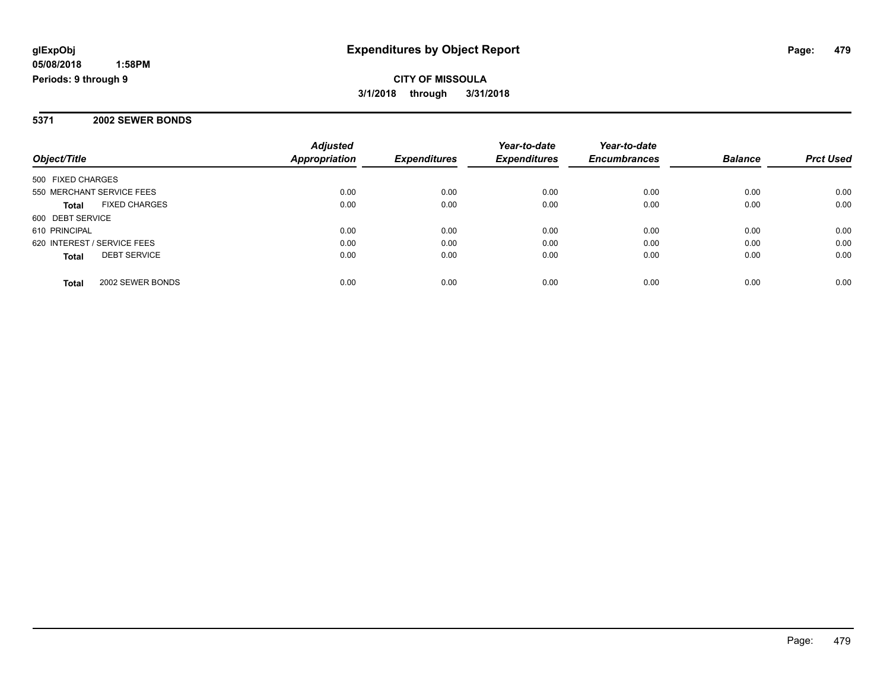**CITY OF MISSOULA 3/1/2018 through 3/31/2018**

#### **5371 2002 SEWER BONDS**

|                                      | <b>Adjusted</b>      |                     | Year-to-date        | Year-to-date        |                |                  |
|--------------------------------------|----------------------|---------------------|---------------------|---------------------|----------------|------------------|
| Object/Title                         | <b>Appropriation</b> | <b>Expenditures</b> | <b>Expenditures</b> | <b>Encumbrances</b> | <b>Balance</b> | <b>Prct Used</b> |
| 500 FIXED CHARGES                    |                      |                     |                     |                     |                |                  |
| 550 MERCHANT SERVICE FEES            | 0.00                 | 0.00                | 0.00                | 0.00                | 0.00           | 0.00             |
| <b>FIXED CHARGES</b><br><b>Total</b> | 0.00                 | 0.00                | 0.00                | 0.00                | 0.00           | 0.00             |
| 600 DEBT SERVICE                     |                      |                     |                     |                     |                |                  |
| 610 PRINCIPAL                        | 0.00                 | 0.00                | 0.00                | 0.00                | 0.00           | 0.00             |
| 620 INTEREST / SERVICE FEES          | 0.00                 | 0.00                | 0.00                | 0.00                | 0.00           | 0.00             |
| <b>DEBT SERVICE</b><br><b>Total</b>  | 0.00                 | 0.00                | 0.00                | 0.00                | 0.00           | 0.00             |
| 2002 SEWER BONDS<br>Total            | 0.00                 | 0.00                | 0.00                | 0.00                | 0.00           | 0.00             |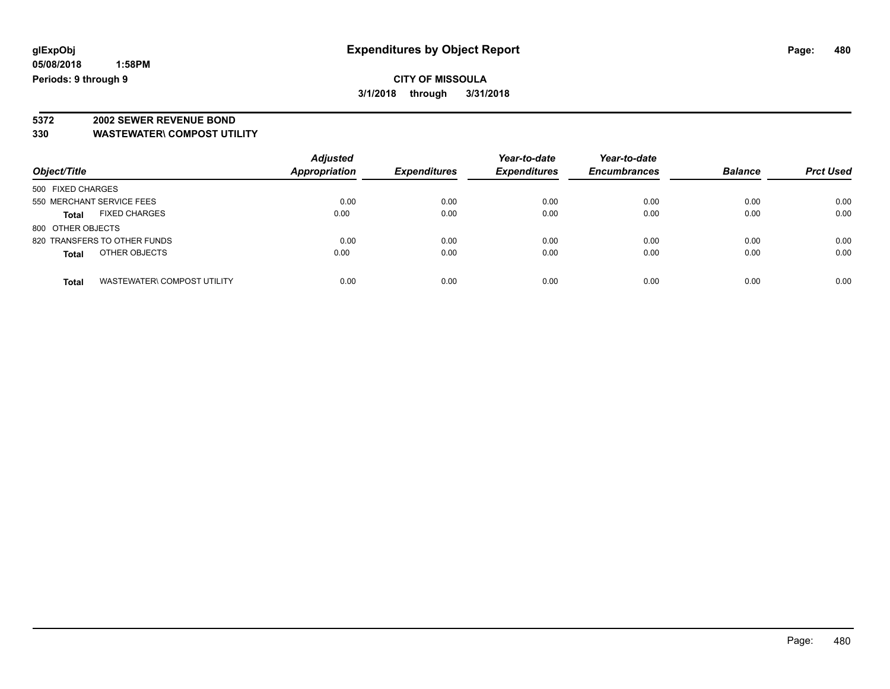#### **CITY OF MISSOULA 3/1/2018 through 3/31/2018**

# **5372 2002 SEWER REVENUE BOND**<br>**330 WASTEWATER\ COMPOST UTIL**

| Object/Title                                       | <b>Adjusted</b><br><b>Appropriation</b> | <b>Expenditures</b> | Year-to-date<br><b>Expenditures</b> | Year-to-date<br><b>Encumbrances</b> | <b>Balance</b> | <b>Prct Used</b> |
|----------------------------------------------------|-----------------------------------------|---------------------|-------------------------------------|-------------------------------------|----------------|------------------|
| 500 FIXED CHARGES                                  |                                         |                     |                                     |                                     |                |                  |
| 550 MERCHANT SERVICE FEES                          | 0.00                                    | 0.00                | 0.00                                | 0.00                                | 0.00           | 0.00             |
| <b>FIXED CHARGES</b><br><b>Total</b>               | 0.00                                    | 0.00                | 0.00                                | 0.00                                | 0.00           | 0.00             |
| 800 OTHER OBJECTS                                  |                                         |                     |                                     |                                     |                |                  |
| 820 TRANSFERS TO OTHER FUNDS                       | 0.00                                    | 0.00                | 0.00                                | 0.00                                | 0.00           | 0.00             |
| OTHER OBJECTS<br><b>Total</b>                      | 0.00                                    | 0.00                | 0.00                                | 0.00                                | 0.00           | 0.00             |
| <b>WASTEWATER\ COMPOST UTILITY</b><br><b>Total</b> | 0.00                                    | 0.00                | 0.00                                | 0.00                                | 0.00           | 0.00             |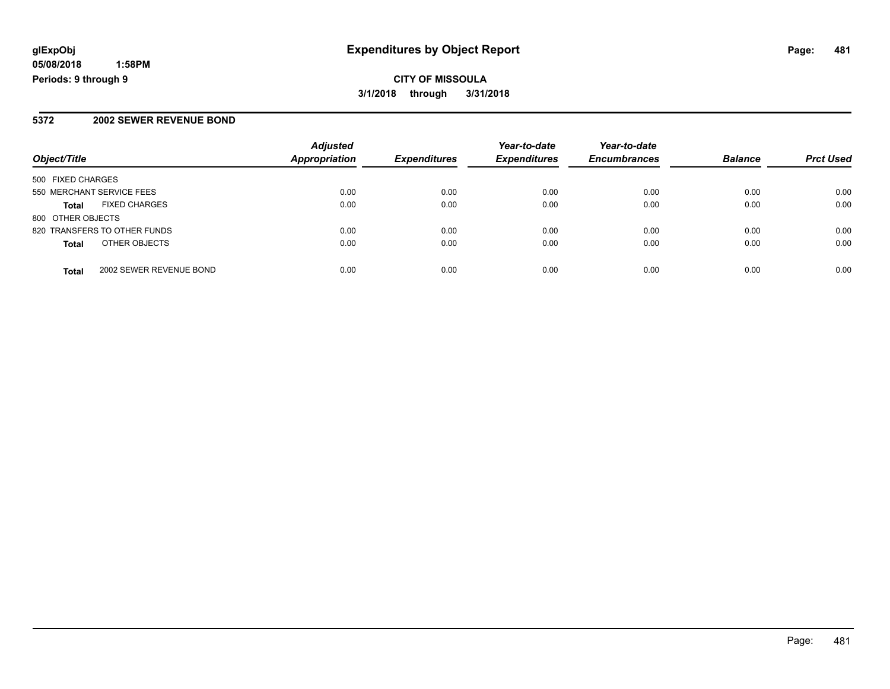**CITY OF MISSOULA 3/1/2018 through 3/31/2018**

#### **5372 2002 SEWER REVENUE BOND**

|                              |                         | <b>Adjusted</b>      |                     | Year-to-date        | Year-to-date        |                |                  |
|------------------------------|-------------------------|----------------------|---------------------|---------------------|---------------------|----------------|------------------|
| Object/Title                 |                         | <b>Appropriation</b> | <b>Expenditures</b> | <b>Expenditures</b> | <b>Encumbrances</b> | <b>Balance</b> | <b>Prct Used</b> |
| 500 FIXED CHARGES            |                         |                      |                     |                     |                     |                |                  |
| 550 MERCHANT SERVICE FEES    |                         | 0.00                 | 0.00                | 0.00                | 0.00                | 0.00           | 0.00             |
| <b>Total</b>                 | <b>FIXED CHARGES</b>    | 0.00                 | 0.00                | 0.00                | 0.00                | 0.00           | 0.00             |
| 800 OTHER OBJECTS            |                         |                      |                     |                     |                     |                |                  |
| 820 TRANSFERS TO OTHER FUNDS |                         | 0.00                 | 0.00                | 0.00                | 0.00                | 0.00           | 0.00             |
| <b>Total</b>                 | OTHER OBJECTS           | 0.00                 | 0.00                | 0.00                | 0.00                | 0.00           | 0.00             |
| <b>Total</b>                 | 2002 SEWER REVENUE BOND | 0.00                 | 0.00                | 0.00                | 0.00                | 0.00           | 0.00             |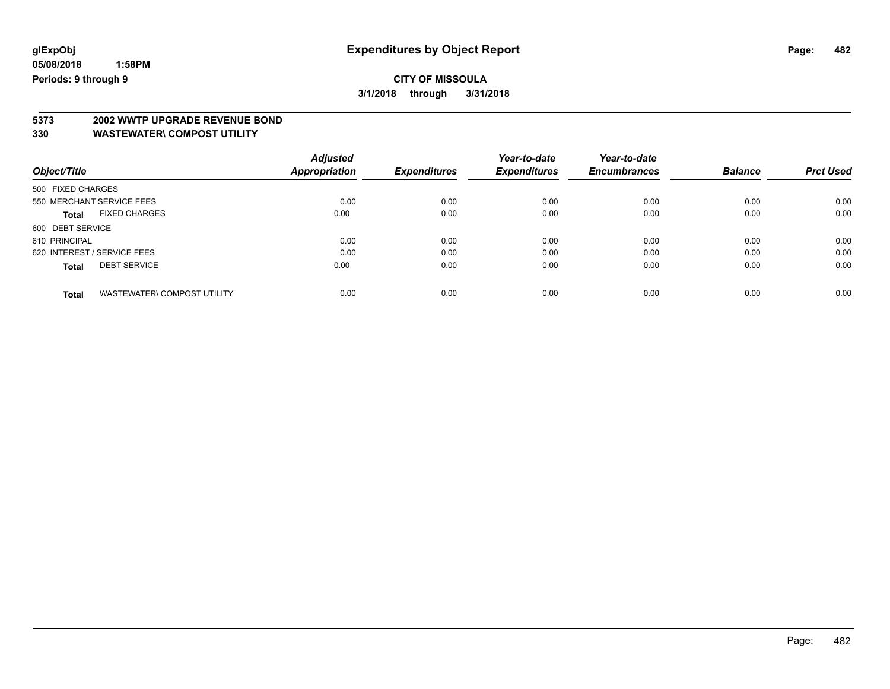# **5373 2002 WWTP UPGRADE REVENUE BOND**

| Object/Title                |                                    | <b>Adjusted</b><br><b>Appropriation</b> | <b>Expenditures</b> | Year-to-date<br><b>Expenditures</b> | Year-to-date<br><b>Encumbrances</b> | <b>Balance</b> | <b>Prct Used</b> |
|-----------------------------|------------------------------------|-----------------------------------------|---------------------|-------------------------------------|-------------------------------------|----------------|------------------|
| 500 FIXED CHARGES           |                                    |                                         |                     |                                     |                                     |                |                  |
| 550 MERCHANT SERVICE FEES   |                                    | 0.00                                    | 0.00                | 0.00                                | 0.00                                | 0.00           | 0.00             |
| <b>Total</b>                | <b>FIXED CHARGES</b>               | 0.00                                    | 0.00                | 0.00                                | 0.00                                | 0.00           | 0.00             |
| 600 DEBT SERVICE            |                                    |                                         |                     |                                     |                                     |                |                  |
| 610 PRINCIPAL               |                                    | 0.00                                    | 0.00                | 0.00                                | 0.00                                | 0.00           | 0.00             |
| 620 INTEREST / SERVICE FEES |                                    | 0.00                                    | 0.00                | 0.00                                | 0.00                                | 0.00           | 0.00             |
| <b>Total</b>                | <b>DEBT SERVICE</b>                | 0.00                                    | 0.00                | 0.00                                | 0.00                                | 0.00           | 0.00             |
| <b>Total</b>                | <b>WASTEWATER\ COMPOST UTILITY</b> | 0.00                                    | 0.00                | 0.00                                | 0.00                                | 0.00           | 0.00             |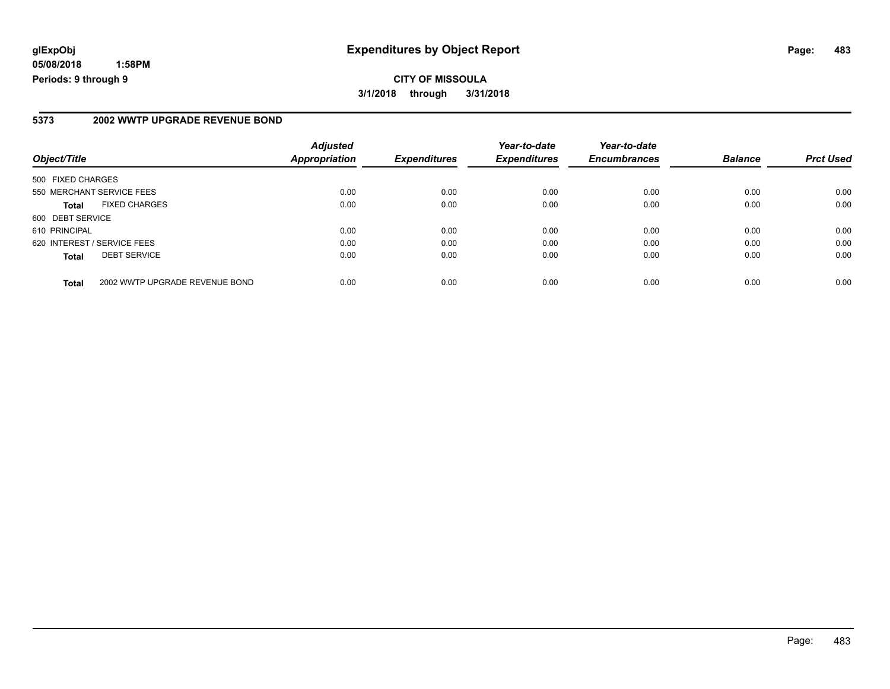#### **5373 2002 WWTP UPGRADE REVENUE BOND**

| Object/Title                |                                | <b>Adjusted</b><br><b>Appropriation</b> | <b>Expenditures</b> | Year-to-date<br><b>Expenditures</b> | Year-to-date<br><b>Encumbrances</b> | <b>Balance</b> | <b>Prct Used</b> |
|-----------------------------|--------------------------------|-----------------------------------------|---------------------|-------------------------------------|-------------------------------------|----------------|------------------|
|                             |                                |                                         |                     |                                     |                                     |                |                  |
| 500 FIXED CHARGES           |                                |                                         |                     |                                     |                                     |                |                  |
| 550 MERCHANT SERVICE FEES   |                                | 0.00                                    | 0.00                | 0.00                                | 0.00                                | 0.00           | 0.00             |
| <b>Total</b>                | <b>FIXED CHARGES</b>           | 0.00                                    | 0.00                | 0.00                                | 0.00                                | 0.00           | 0.00             |
| 600 DEBT SERVICE            |                                |                                         |                     |                                     |                                     |                |                  |
| 610 PRINCIPAL               |                                | 0.00                                    | 0.00                | 0.00                                | 0.00                                | 0.00           | 0.00             |
| 620 INTEREST / SERVICE FEES |                                | 0.00                                    | 0.00                | 0.00                                | 0.00                                | 0.00           | 0.00             |
| <b>Total</b>                | <b>DEBT SERVICE</b>            | 0.00                                    | 0.00                | 0.00                                | 0.00                                | 0.00           | 0.00             |
| <b>Total</b>                | 2002 WWTP UPGRADE REVENUE BOND | 0.00                                    | 0.00                | 0.00                                | 0.00                                | 0.00           | 0.00             |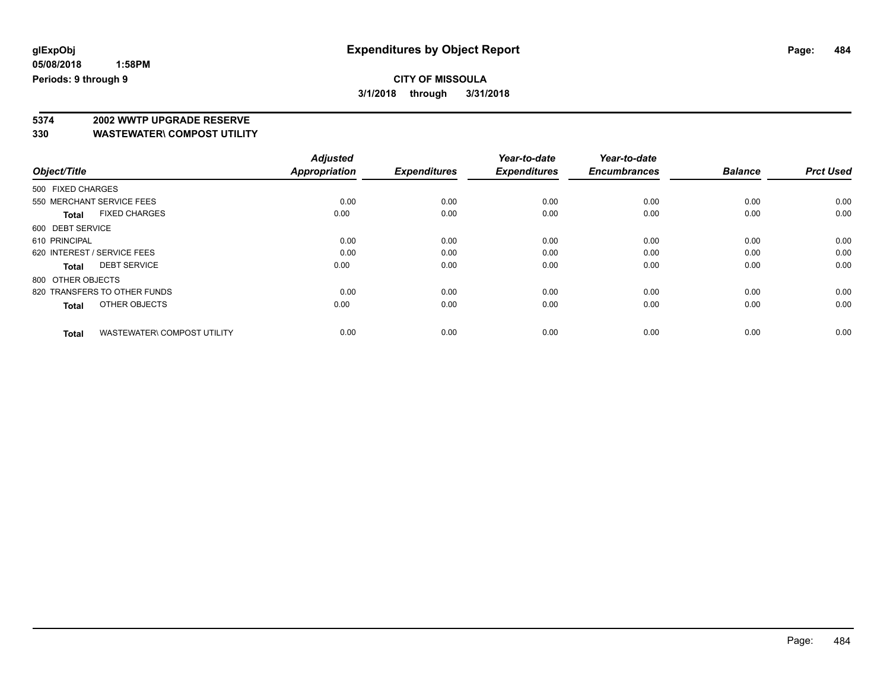# **5374 2002 WWTP UPGRADE RESERVE**

| Object/Title      |                                    | <b>Adjusted</b><br><b>Appropriation</b> | <b>Expenditures</b> | Year-to-date<br><b>Expenditures</b> | Year-to-date<br><b>Encumbrances</b> | <b>Balance</b> | <b>Prct Used</b> |
|-------------------|------------------------------------|-----------------------------------------|---------------------|-------------------------------------|-------------------------------------|----------------|------------------|
| 500 FIXED CHARGES |                                    |                                         |                     |                                     |                                     |                |                  |
|                   |                                    |                                         |                     |                                     |                                     |                |                  |
|                   | 550 MERCHANT SERVICE FEES          | 0.00                                    | 0.00                | 0.00                                | 0.00                                | 0.00           | 0.00             |
| <b>Total</b>      | <b>FIXED CHARGES</b>               | 0.00                                    | 0.00                | 0.00                                | 0.00                                | 0.00           | 0.00             |
| 600 DEBT SERVICE  |                                    |                                         |                     |                                     |                                     |                |                  |
| 610 PRINCIPAL     |                                    | 0.00                                    | 0.00                | 0.00                                | 0.00                                | 0.00           | 0.00             |
|                   | 620 INTEREST / SERVICE FEES        | 0.00                                    | 0.00                | 0.00                                | 0.00                                | 0.00           | 0.00             |
| Total             | <b>DEBT SERVICE</b>                | 0.00                                    | 0.00                | 0.00                                | 0.00                                | 0.00           | 0.00             |
| 800 OTHER OBJECTS |                                    |                                         |                     |                                     |                                     |                |                  |
|                   | 820 TRANSFERS TO OTHER FUNDS       | 0.00                                    | 0.00                | 0.00                                | 0.00                                | 0.00           | 0.00             |
| <b>Total</b>      | OTHER OBJECTS                      | 0.00                                    | 0.00                | 0.00                                | 0.00                                | 0.00           | 0.00             |
| <b>Total</b>      | <b>WASTEWATER\ COMPOST UTILITY</b> | 0.00                                    | 0.00                | 0.00                                | 0.00                                | 0.00           | 0.00             |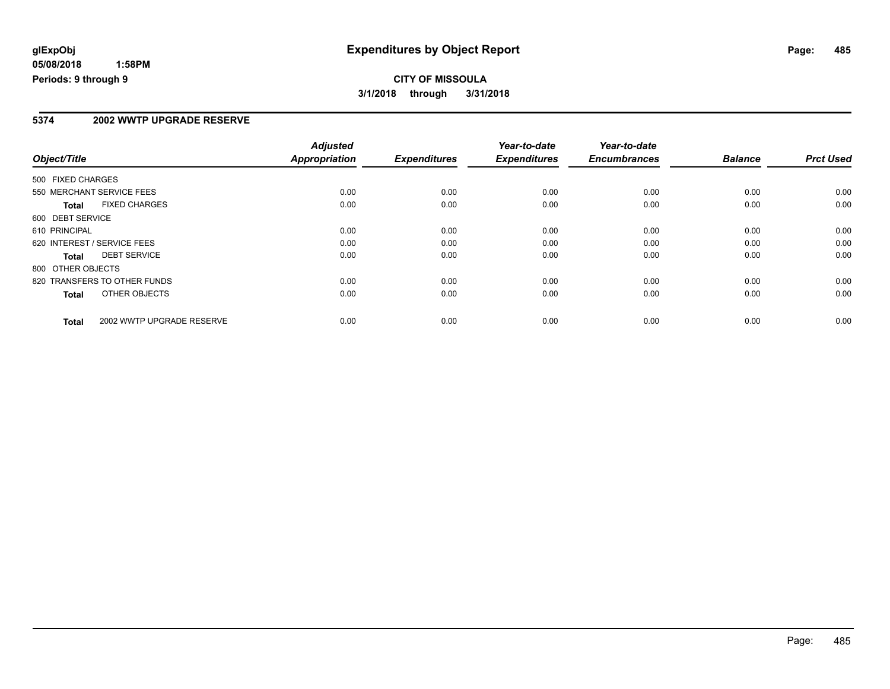### **CITY OF MISSOULA 3/1/2018 through 3/31/2018**

#### **5374 2002 WWTP UPGRADE RESERVE**

|                             |                              | <b>Adjusted</b>      |                     | Year-to-date        | Year-to-date        |                |                  |
|-----------------------------|------------------------------|----------------------|---------------------|---------------------|---------------------|----------------|------------------|
| Object/Title                |                              | <b>Appropriation</b> | <b>Expenditures</b> | <b>Expenditures</b> | <b>Encumbrances</b> | <b>Balance</b> | <b>Prct Used</b> |
| 500 FIXED CHARGES           |                              |                      |                     |                     |                     |                |                  |
| 550 MERCHANT SERVICE FEES   |                              | 0.00                 | 0.00                | 0.00                | 0.00                | 0.00           | 0.00             |
| <b>Total</b>                | <b>FIXED CHARGES</b>         | 0.00                 | 0.00                | 0.00                | 0.00                | 0.00           | 0.00             |
| 600 DEBT SERVICE            |                              |                      |                     |                     |                     |                |                  |
| 610 PRINCIPAL               |                              | 0.00                 | 0.00                | 0.00                | 0.00                | 0.00           | 0.00             |
| 620 INTEREST / SERVICE FEES |                              | 0.00                 | 0.00                | 0.00                | 0.00                | 0.00           | 0.00             |
| Total                       | <b>DEBT SERVICE</b>          | 0.00                 | 0.00                | 0.00                | 0.00                | 0.00           | 0.00             |
| 800 OTHER OBJECTS           |                              |                      |                     |                     |                     |                |                  |
|                             | 820 TRANSFERS TO OTHER FUNDS | 0.00                 | 0.00                | 0.00                | 0.00                | 0.00           | 0.00             |
| <b>Total</b>                | OTHER OBJECTS                | 0.00                 | 0.00                | 0.00                | 0.00                | 0.00           | 0.00             |
| <b>Total</b>                | 2002 WWTP UPGRADE RESERVE    | 0.00                 | 0.00                | 0.00                | 0.00                | 0.00           | 0.00             |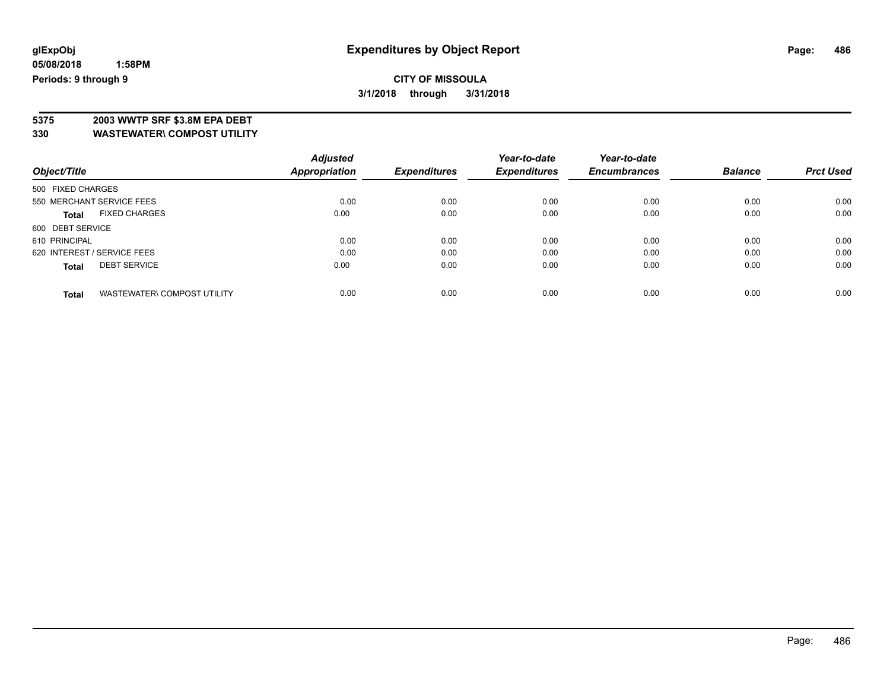# **5375 2003 WWTP SRF \$3.8M EPA DEBT**

|                                                    | <b>Adjusted</b> |                     | Year-to-date        | Year-to-date        |                |                  |
|----------------------------------------------------|-----------------|---------------------|---------------------|---------------------|----------------|------------------|
| Object/Title                                       | Appropriation   | <b>Expenditures</b> | <b>Expenditures</b> | <b>Encumbrances</b> | <b>Balance</b> | <b>Prct Used</b> |
| 500 FIXED CHARGES                                  |                 |                     |                     |                     |                |                  |
| 550 MERCHANT SERVICE FEES                          | 0.00            | 0.00                | 0.00                | 0.00                | 0.00           | 0.00             |
| <b>FIXED CHARGES</b><br><b>Total</b>               | 0.00            | 0.00                | 0.00                | 0.00                | 0.00           | 0.00             |
| 600 DEBT SERVICE                                   |                 |                     |                     |                     |                |                  |
| 610 PRINCIPAL                                      | 0.00            | 0.00                | 0.00                | 0.00                | 0.00           | 0.00             |
| 620 INTEREST / SERVICE FEES                        | 0.00            | 0.00                | 0.00                | 0.00                | 0.00           | 0.00             |
| <b>DEBT SERVICE</b><br><b>Total</b>                | 0.00            | 0.00                | 0.00                | 0.00                | 0.00           | 0.00             |
| <b>WASTEWATER\ COMPOST UTILITY</b><br><b>Total</b> | 0.00            | 0.00                | 0.00                | 0.00                | 0.00           | 0.00             |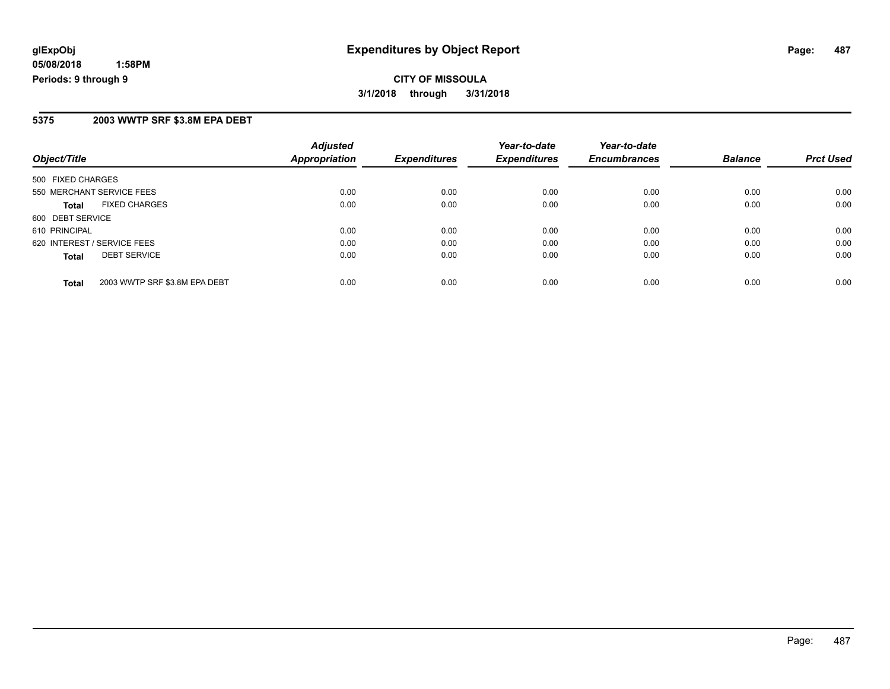**CITY OF MISSOULA 3/1/2018 through 3/31/2018**

#### **5375 2003 WWTP SRF \$3.8M EPA DEBT**

| Object/Title                                  | <b>Adjusted</b><br>Appropriation | <b>Expenditures</b> | Year-to-date<br><b>Expenditures</b> | Year-to-date<br><b>Encumbrances</b> | <b>Balance</b> | <b>Prct Used</b> |
|-----------------------------------------------|----------------------------------|---------------------|-------------------------------------|-------------------------------------|----------------|------------------|
|                                               |                                  |                     |                                     |                                     |                |                  |
| 500 FIXED CHARGES                             |                                  |                     |                                     |                                     |                |                  |
| 550 MERCHANT SERVICE FEES                     | 0.00                             | 0.00                | 0.00                                | 0.00                                | 0.00           | 0.00             |
| <b>FIXED CHARGES</b><br><b>Total</b>          | 0.00                             | 0.00                | 0.00                                | 0.00                                | 0.00           | 0.00             |
| 600 DEBT SERVICE                              |                                  |                     |                                     |                                     |                |                  |
| 610 PRINCIPAL                                 | 0.00                             | 0.00                | 0.00                                | 0.00                                | 0.00           | 0.00             |
| 620 INTEREST / SERVICE FEES                   | 0.00                             | 0.00                | 0.00                                | 0.00                                | 0.00           | 0.00             |
| <b>DEBT SERVICE</b><br><b>Total</b>           | 0.00                             | 0.00                | 0.00                                | 0.00                                | 0.00           | 0.00             |
| 2003 WWTP SRF \$3.8M EPA DEBT<br><b>Total</b> | 0.00                             | 0.00                | 0.00                                | 0.00                                | 0.00           | 0.00             |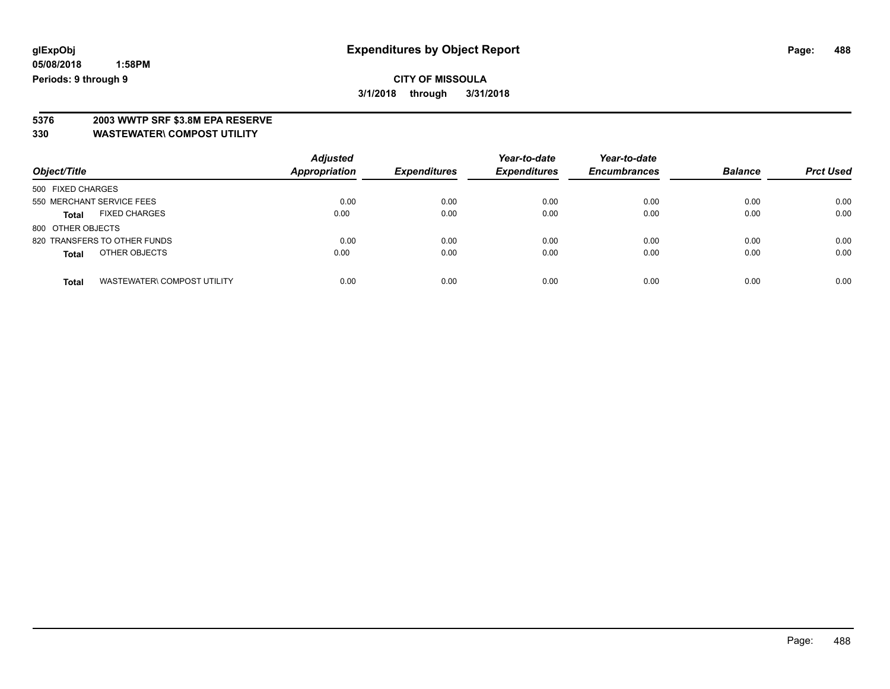# **5376 2003 WWTP SRF \$3.8M EPA RESERVE**

| Object/Title                                       | <b>Adjusted</b><br><b>Appropriation</b> | <b>Expenditures</b> | Year-to-date<br><b>Expenditures</b> | Year-to-date<br><b>Encumbrances</b> | <b>Balance</b> | <b>Prct Used</b> |
|----------------------------------------------------|-----------------------------------------|---------------------|-------------------------------------|-------------------------------------|----------------|------------------|
| 500 FIXED CHARGES                                  |                                         |                     |                                     |                                     |                |                  |
| 550 MERCHANT SERVICE FEES                          | 0.00                                    | 0.00                | 0.00                                | 0.00                                | 0.00           | 0.00             |
| <b>FIXED CHARGES</b><br>Total                      | 0.00                                    | 0.00                | 0.00                                | 0.00                                | 0.00           | 0.00             |
| 800 OTHER OBJECTS                                  |                                         |                     |                                     |                                     |                |                  |
| 820 TRANSFERS TO OTHER FUNDS                       | 0.00                                    | 0.00                | 0.00                                | 0.00                                | 0.00           | 0.00             |
| OTHER OBJECTS<br><b>Total</b>                      | 0.00                                    | 0.00                | 0.00                                | 0.00                                | 0.00           | 0.00             |
| <b>WASTEWATER\ COMPOST UTILITY</b><br><b>Total</b> | 0.00                                    | 0.00                | 0.00                                | 0.00                                | 0.00           | 0.00             |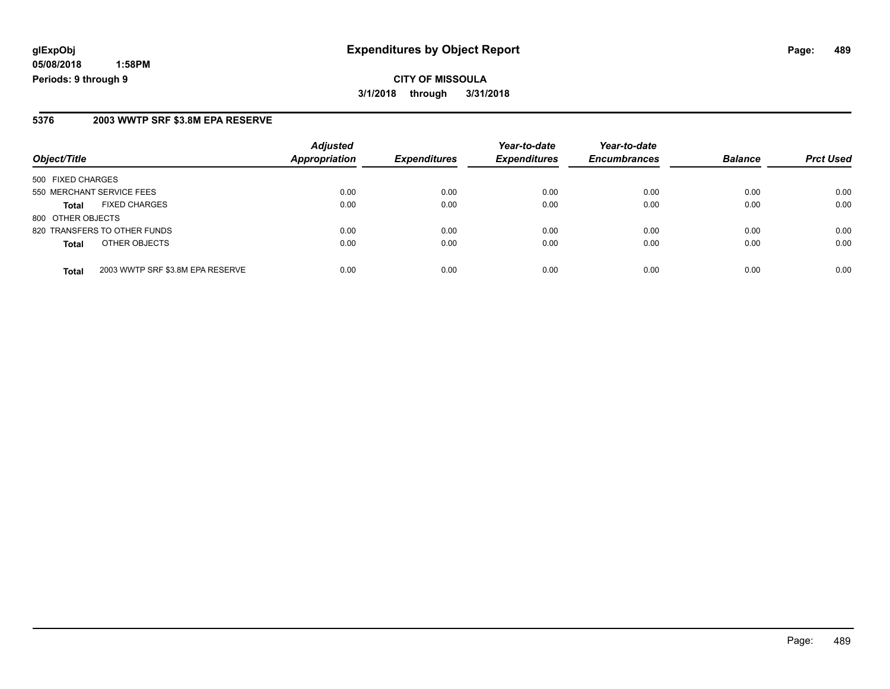**CITY OF MISSOULA 3/1/2018 through 3/31/2018**

#### **5376 2003 WWTP SRF \$3.8M EPA RESERVE**

|                           |                                  | <b>Adjusted</b>      |                     | Year-to-date        | Year-to-date        |                |                  |
|---------------------------|----------------------------------|----------------------|---------------------|---------------------|---------------------|----------------|------------------|
| Object/Title              |                                  | <b>Appropriation</b> | <b>Expenditures</b> | <b>Expenditures</b> | <b>Encumbrances</b> | <b>Balance</b> | <b>Prct Used</b> |
| 500 FIXED CHARGES         |                                  |                      |                     |                     |                     |                |                  |
| 550 MERCHANT SERVICE FEES |                                  | 0.00                 | 0.00                | 0.00                | 0.00                | 0.00           | 0.00             |
| <b>Total</b>              | <b>FIXED CHARGES</b>             | 0.00                 | 0.00                | 0.00                | 0.00                | 0.00           | 0.00             |
| 800 OTHER OBJECTS         |                                  |                      |                     |                     |                     |                |                  |
|                           | 820 TRANSFERS TO OTHER FUNDS     | 0.00                 | 0.00                | 0.00                | 0.00                | 0.00           | 0.00             |
| <b>Total</b>              | OTHER OBJECTS                    | 0.00                 | 0.00                | 0.00                | 0.00                | 0.00           | 0.00             |
| <b>Total</b>              | 2003 WWTP SRF \$3.8M EPA RESERVE | 0.00                 | 0.00                | 0.00                | 0.00                | 0.00           | 0.00             |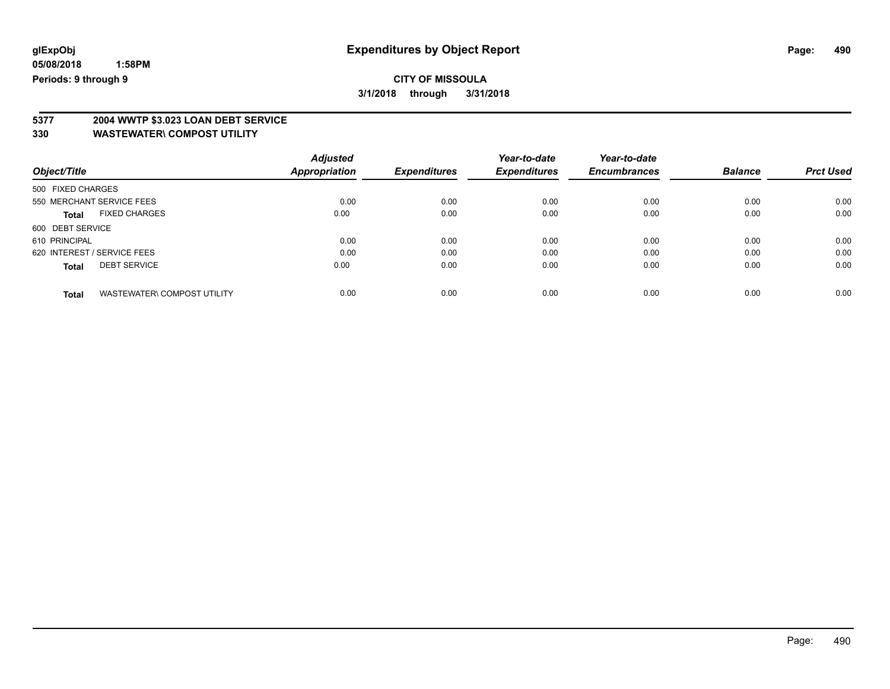# **5377 2004 WWTP \$3.023 LOAN DEBT SERVICE**

| Object/Title                |                                    | <b>Adjusted</b><br>Appropriation | <b>Expenditures</b> | Year-to-date<br><b>Expenditures</b> | Year-to-date<br><b>Encumbrances</b> | <b>Balance</b> | <b>Prct Used</b> |
|-----------------------------|------------------------------------|----------------------------------|---------------------|-------------------------------------|-------------------------------------|----------------|------------------|
|                             |                                    |                                  |                     |                                     |                                     |                |                  |
| 500 FIXED CHARGES           |                                    |                                  |                     |                                     |                                     |                |                  |
|                             | 550 MERCHANT SERVICE FEES          | 0.00                             | 0.00                | 0.00                                | 0.00                                | 0.00           | 0.00             |
| Total                       | <b>FIXED CHARGES</b>               | 0.00                             | 0.00                | 0.00                                | 0.00                                | 0.00           | 0.00             |
| 600 DEBT SERVICE            |                                    |                                  |                     |                                     |                                     |                |                  |
| 610 PRINCIPAL               |                                    | 0.00                             | 0.00                | 0.00                                | 0.00                                | 0.00           | 0.00             |
| 620 INTEREST / SERVICE FEES |                                    | 0.00                             | 0.00                | 0.00                                | 0.00                                | 0.00           | 0.00             |
| <b>Total</b>                | <b>DEBT SERVICE</b>                | 0.00                             | 0.00                | 0.00                                | 0.00                                | 0.00           | 0.00             |
| <b>Total</b>                | <b>WASTEWATER\ COMPOST UTILITY</b> | 0.00                             | 0.00                | 0.00                                | 0.00                                | 0.00           | 0.00             |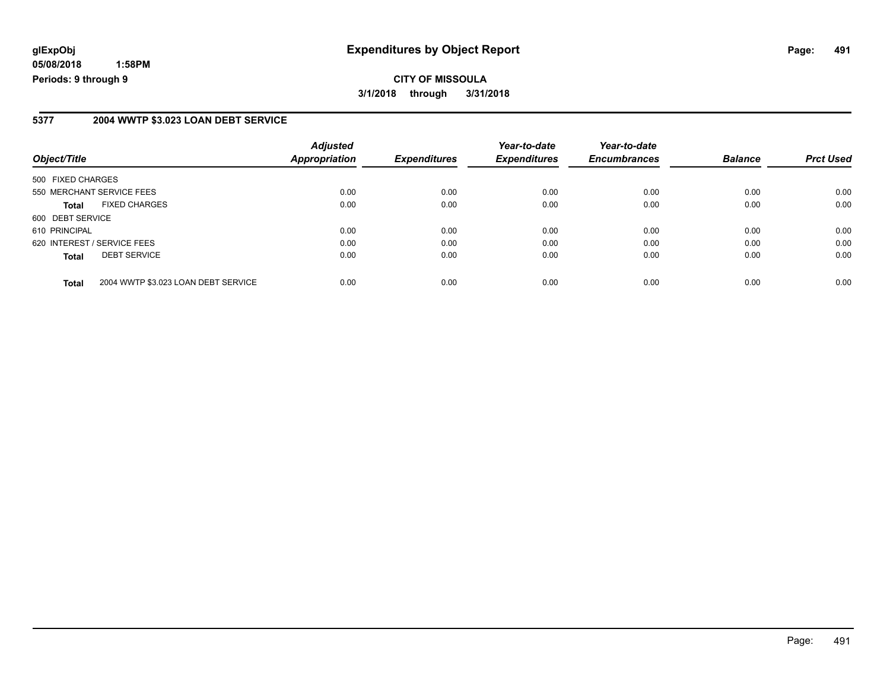**CITY OF MISSOULA 3/1/2018 through 3/31/2018**

#### **5377 2004 WWTP \$3.023 LOAN DEBT SERVICE**

| Object/Title                                        | <b>Adjusted</b><br><b>Appropriation</b> | <b>Expenditures</b> | Year-to-date<br><b>Expenditures</b> | Year-to-date<br><b>Encumbrances</b> | <b>Balance</b> | <b>Prct Used</b> |
|-----------------------------------------------------|-----------------------------------------|---------------------|-------------------------------------|-------------------------------------|----------------|------------------|
| 500 FIXED CHARGES                                   |                                         |                     |                                     |                                     |                |                  |
| 550 MERCHANT SERVICE FEES                           | 0.00                                    | 0.00                | 0.00                                | 0.00                                | 0.00           | 0.00             |
| <b>FIXED CHARGES</b><br><b>Total</b>                | 0.00                                    | 0.00                | 0.00                                | 0.00                                | 0.00           | 0.00             |
| 600 DEBT SERVICE                                    |                                         |                     |                                     |                                     |                |                  |
| 610 PRINCIPAL                                       | 0.00                                    | 0.00                | 0.00                                | 0.00                                | 0.00           | 0.00             |
| 620 INTEREST / SERVICE FEES                         | 0.00                                    | 0.00                | 0.00                                | 0.00                                | 0.00           | 0.00             |
| <b>DEBT SERVICE</b><br><b>Total</b>                 | 0.00                                    | 0.00                | 0.00                                | 0.00                                | 0.00           | 0.00             |
| 2004 WWTP \$3.023 LOAN DEBT SERVICE<br><b>Total</b> | 0.00                                    | 0.00                | 0.00                                | 0.00                                | 0.00           | 0.00             |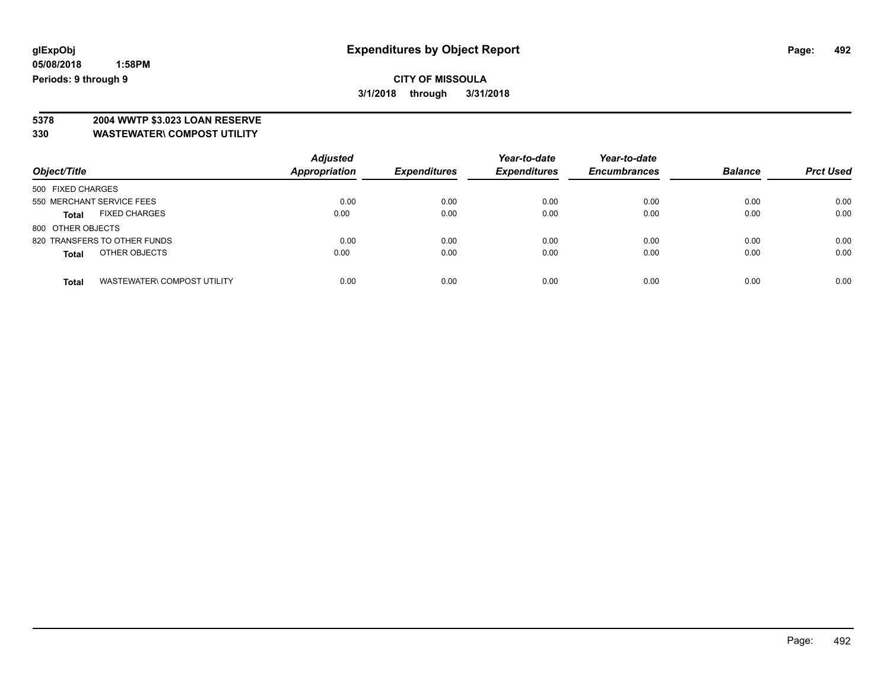#### **CITY OF MISSOULA 3/1/2018 through 3/31/2018**

# **5378 2004 WWTP \$3.023 LOAN RESERVE**

| Object/Title                                       | <b>Adjusted</b><br><b>Appropriation</b> | <b>Expenditures</b> | Year-to-date<br><b>Expenditures</b> | Year-to-date<br><b>Encumbrances</b> | <b>Balance</b> | <b>Prct Used</b> |
|----------------------------------------------------|-----------------------------------------|---------------------|-------------------------------------|-------------------------------------|----------------|------------------|
| 500 FIXED CHARGES                                  |                                         |                     |                                     |                                     |                |                  |
| 550 MERCHANT SERVICE FEES                          | 0.00                                    | 0.00                | 0.00                                | 0.00                                | 0.00           | 0.00             |
| <b>FIXED CHARGES</b><br><b>Total</b>               | 0.00                                    | 0.00                | 0.00                                | 0.00                                | 0.00           | 0.00             |
| 800 OTHER OBJECTS                                  |                                         |                     |                                     |                                     |                |                  |
| 820 TRANSFERS TO OTHER FUNDS                       | 0.00                                    | 0.00                | 0.00                                | 0.00                                | 0.00           | 0.00             |
| OTHER OBJECTS<br><b>Total</b>                      | 0.00                                    | 0.00                | 0.00                                | 0.00                                | 0.00           | 0.00             |
| <b>WASTEWATER\ COMPOST UTILITY</b><br><b>Total</b> | 0.00                                    | 0.00                | 0.00                                | 0.00                                | 0.00           | 0.00             |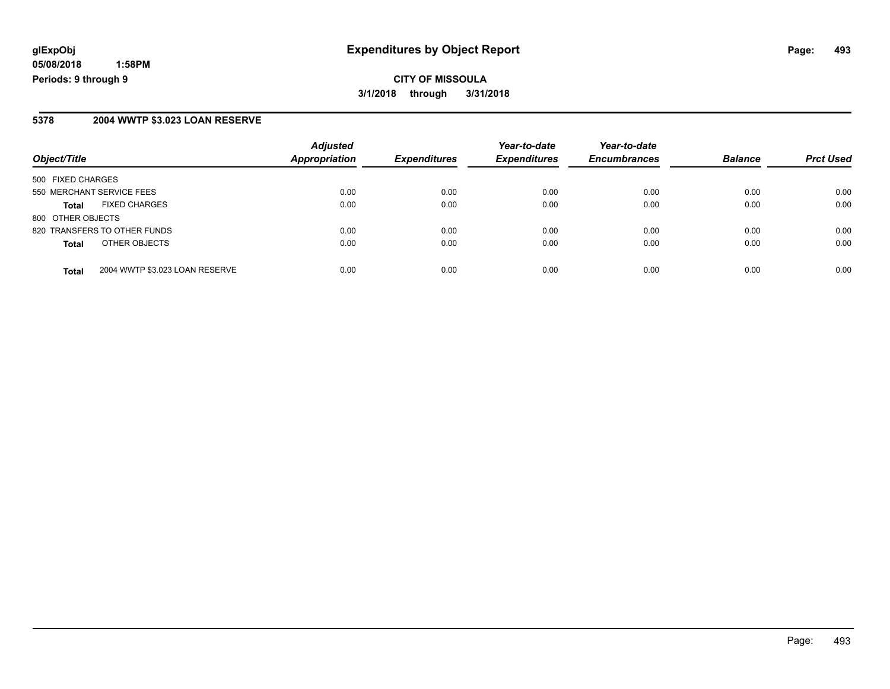#### **5378 2004 WWTP \$3.023 LOAN RESERVE**

| Object/Title                 |                                | <b>Adjusted</b><br><b>Appropriation</b> |                     | Year-to-date<br><b>Expenditures</b> | Year-to-date<br><b>Encumbrances</b> | <b>Balance</b> | <b>Prct Used</b> |
|------------------------------|--------------------------------|-----------------------------------------|---------------------|-------------------------------------|-------------------------------------|----------------|------------------|
|                              |                                |                                         | <b>Expenditures</b> |                                     |                                     |                |                  |
| 500 FIXED CHARGES            |                                |                                         |                     |                                     |                                     |                |                  |
| 550 MERCHANT SERVICE FEES    |                                | 0.00                                    | 0.00                | 0.00                                | 0.00                                | 0.00           | 0.00             |
| Total                        | <b>FIXED CHARGES</b>           | 0.00                                    | 0.00                | 0.00                                | 0.00                                | 0.00           | 0.00             |
| 800 OTHER OBJECTS            |                                |                                         |                     |                                     |                                     |                |                  |
| 820 TRANSFERS TO OTHER FUNDS |                                | 0.00                                    | 0.00                | 0.00                                | 0.00                                | 0.00           | 0.00             |
| <b>Total</b>                 | OTHER OBJECTS                  | 0.00                                    | 0.00                | 0.00                                | 0.00                                | 0.00           | 0.00             |
| <b>Total</b>                 | 2004 WWTP \$3.023 LOAN RESERVE | 0.00                                    | 0.00                | 0.00                                | 0.00                                | 0.00           | 0.00             |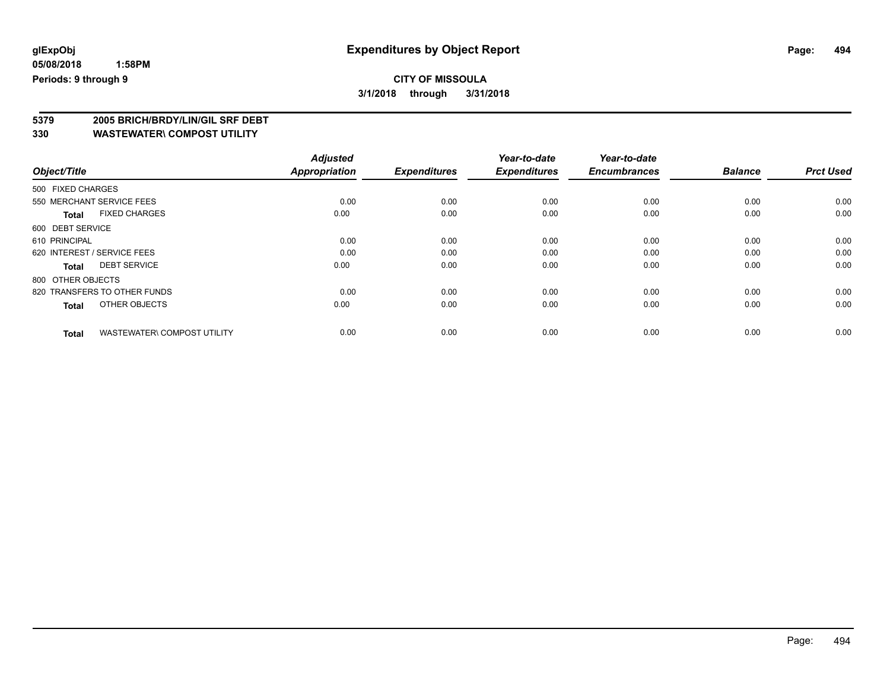**5379 2005 BRICH/BRDY/LIN/GIL SRF DEBT**

|                   |                                    | <b>Adjusted</b>      |                     | Year-to-date        | Year-to-date        |                |                  |
|-------------------|------------------------------------|----------------------|---------------------|---------------------|---------------------|----------------|------------------|
| Object/Title      |                                    | <b>Appropriation</b> | <b>Expenditures</b> | <b>Expenditures</b> | <b>Encumbrances</b> | <b>Balance</b> | <b>Prct Used</b> |
| 500 FIXED CHARGES |                                    |                      |                     |                     |                     |                |                  |
|                   | 550 MERCHANT SERVICE FEES          | 0.00                 | 0.00                | 0.00                | 0.00                | 0.00           | 0.00             |
| <b>Total</b>      | <b>FIXED CHARGES</b>               | 0.00                 | 0.00                | 0.00                | 0.00                | 0.00           | 0.00             |
| 600 DEBT SERVICE  |                                    |                      |                     |                     |                     |                |                  |
| 610 PRINCIPAL     |                                    | 0.00                 | 0.00                | 0.00                | 0.00                | 0.00           | 0.00             |
|                   | 620 INTEREST / SERVICE FEES        | 0.00                 | 0.00                | 0.00                | 0.00                | 0.00           | 0.00             |
| <b>Total</b>      | <b>DEBT SERVICE</b>                | 0.00                 | 0.00                | 0.00                | 0.00                | 0.00           | 0.00             |
| 800 OTHER OBJECTS |                                    |                      |                     |                     |                     |                |                  |
|                   | 820 TRANSFERS TO OTHER FUNDS       | 0.00                 | 0.00                | 0.00                | 0.00                | 0.00           | 0.00             |
| <b>Total</b>      | OTHER OBJECTS                      | 0.00                 | 0.00                | 0.00                | 0.00                | 0.00           | 0.00             |
|                   |                                    |                      |                     |                     |                     |                |                  |
| <b>Total</b>      | <b>WASTEWATER\ COMPOST UTILITY</b> | 0.00                 | 0.00                | 0.00                | 0.00                | 0.00           | 0.00             |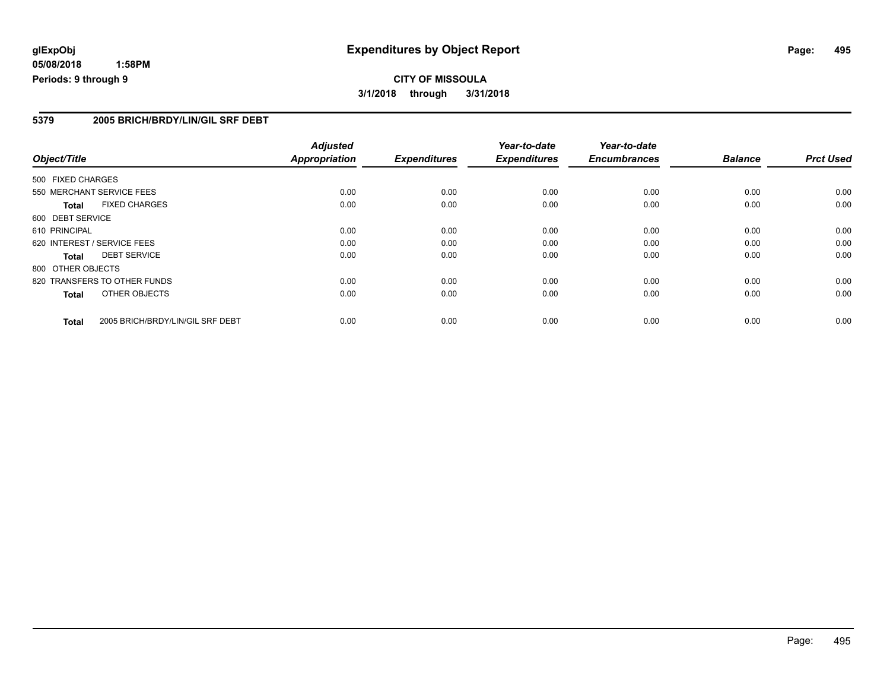### **CITY OF MISSOULA 3/1/2018 through 3/31/2018**

#### **5379 2005 BRICH/BRDY/LIN/GIL SRF DEBT**

|                   |                                  | <b>Adjusted</b>      |                     | Year-to-date        | Year-to-date        |                |                  |
|-------------------|----------------------------------|----------------------|---------------------|---------------------|---------------------|----------------|------------------|
| Object/Title      |                                  | <b>Appropriation</b> | <b>Expenditures</b> | <b>Expenditures</b> | <b>Encumbrances</b> | <b>Balance</b> | <b>Prct Used</b> |
| 500 FIXED CHARGES |                                  |                      |                     |                     |                     |                |                  |
|                   | 550 MERCHANT SERVICE FEES        | 0.00                 | 0.00                | 0.00                | 0.00                | 0.00           | 0.00             |
| <b>Total</b>      | <b>FIXED CHARGES</b>             | 0.00                 | 0.00                | 0.00                | 0.00                | 0.00           | 0.00             |
| 600 DEBT SERVICE  |                                  |                      |                     |                     |                     |                |                  |
| 610 PRINCIPAL     |                                  | 0.00                 | 0.00                | 0.00                | 0.00                | 0.00           | 0.00             |
|                   | 620 INTEREST / SERVICE FEES      | 0.00                 | 0.00                | 0.00                | 0.00                | 0.00           | 0.00             |
| <b>Total</b>      | <b>DEBT SERVICE</b>              | 0.00                 | 0.00                | 0.00                | 0.00                | 0.00           | 0.00             |
| 800 OTHER OBJECTS |                                  |                      |                     |                     |                     |                |                  |
|                   | 820 TRANSFERS TO OTHER FUNDS     | 0.00                 | 0.00                | 0.00                | 0.00                | 0.00           | 0.00             |
| <b>Total</b>      | OTHER OBJECTS                    | 0.00                 | 0.00                | 0.00                | 0.00                | 0.00           | 0.00             |
| <b>Total</b>      | 2005 BRICH/BRDY/LIN/GIL SRF DEBT | 0.00                 | 0.00                | 0.00                | 0.00                | 0.00           | 0.00             |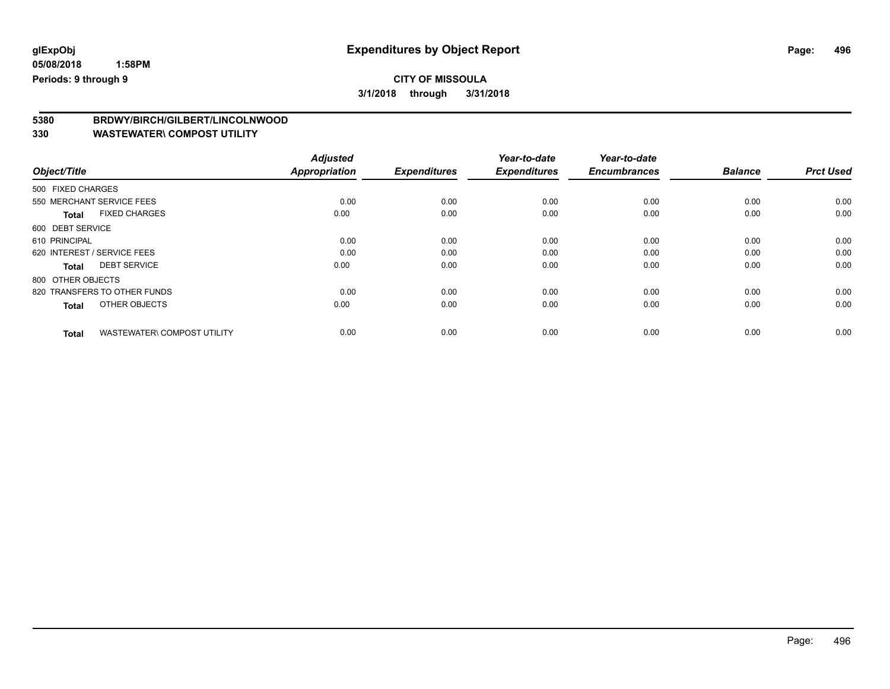**5380 BRDWY/BIRCH/GILBERT/LINCOLNWOOD**

|                                                    | <b>Adjusted</b>      |                     | Year-to-date        | Year-to-date        |                |                  |
|----------------------------------------------------|----------------------|---------------------|---------------------|---------------------|----------------|------------------|
| Object/Title                                       | <b>Appropriation</b> | <b>Expenditures</b> | <b>Expenditures</b> | <b>Encumbrances</b> | <b>Balance</b> | <b>Prct Used</b> |
| 500 FIXED CHARGES                                  |                      |                     |                     |                     |                |                  |
| 550 MERCHANT SERVICE FEES                          | 0.00                 | 0.00                | 0.00                | 0.00                | 0.00           | 0.00             |
| <b>FIXED CHARGES</b><br>Total                      | 0.00                 | 0.00                | 0.00                | 0.00                | 0.00           | 0.00             |
| 600 DEBT SERVICE                                   |                      |                     |                     |                     |                |                  |
| 610 PRINCIPAL                                      | 0.00                 | 0.00                | 0.00                | 0.00                | 0.00           | 0.00             |
| 620 INTEREST / SERVICE FEES                        | 0.00                 | 0.00                | 0.00                | 0.00                | 0.00           | 0.00             |
| <b>DEBT SERVICE</b><br>Total                       | 0.00                 | 0.00                | 0.00                | 0.00                | 0.00           | 0.00             |
| 800 OTHER OBJECTS                                  |                      |                     |                     |                     |                |                  |
| 820 TRANSFERS TO OTHER FUNDS                       | 0.00                 | 0.00                | 0.00                | 0.00                | 0.00           | 0.00             |
| OTHER OBJECTS<br><b>Total</b>                      | 0.00                 | 0.00                | 0.00                | 0.00                | 0.00           | 0.00             |
| <b>WASTEWATER\ COMPOST UTILITY</b><br><b>Total</b> | 0.00                 | 0.00                | 0.00                | 0.00                | 0.00           | 0.00             |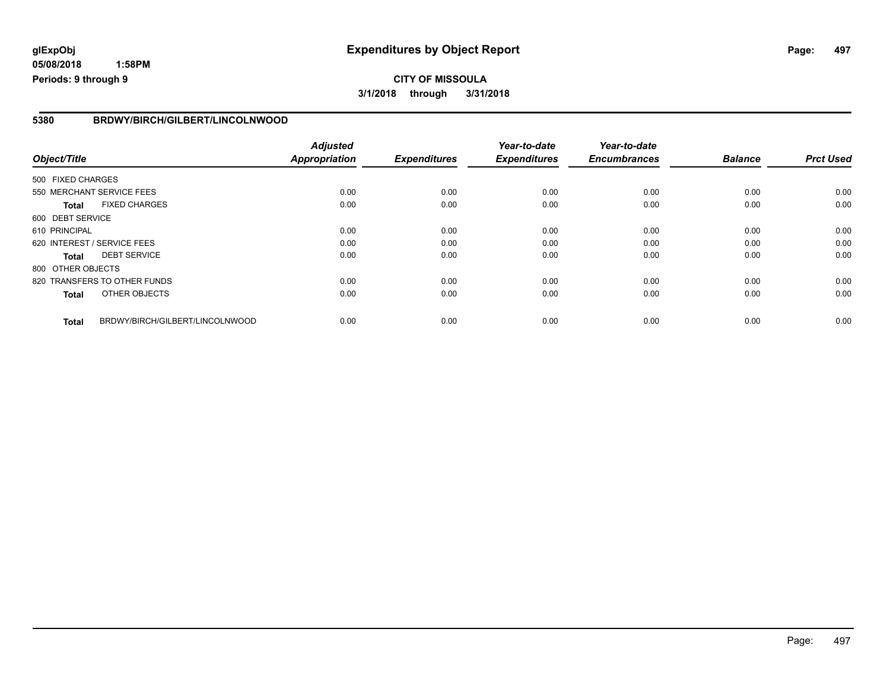#### **5380 BRDWY/BIRCH/GILBERT/LINCOLNWOOD**

|                   |                                 | <b>Adjusted</b>      |                     | Year-to-date        | Year-to-date        |                |                  |
|-------------------|---------------------------------|----------------------|---------------------|---------------------|---------------------|----------------|------------------|
| Object/Title      |                                 | <b>Appropriation</b> | <b>Expenditures</b> | <b>Expenditures</b> | <b>Encumbrances</b> | <b>Balance</b> | <b>Prct Used</b> |
| 500 FIXED CHARGES |                                 |                      |                     |                     |                     |                |                  |
|                   | 550 MERCHANT SERVICE FEES       | 0.00                 | 0.00                | 0.00                | 0.00                | 0.00           | 0.00             |
| <b>Total</b>      | <b>FIXED CHARGES</b>            | 0.00                 | 0.00                | 0.00                | 0.00                | 0.00           | 0.00             |
| 600 DEBT SERVICE  |                                 |                      |                     |                     |                     |                |                  |
| 610 PRINCIPAL     |                                 | 0.00                 | 0.00                | 0.00                | 0.00                | 0.00           | 0.00             |
|                   | 620 INTEREST / SERVICE FEES     | 0.00                 | 0.00                | 0.00                | 0.00                | 0.00           | 0.00             |
| Total             | <b>DEBT SERVICE</b>             | 0.00                 | 0.00                | 0.00                | 0.00                | 0.00           | 0.00             |
| 800 OTHER OBJECTS |                                 |                      |                     |                     |                     |                |                  |
|                   | 820 TRANSFERS TO OTHER FUNDS    | 0.00                 | 0.00                | 0.00                | 0.00                | 0.00           | 0.00             |
| <b>Total</b>      | OTHER OBJECTS                   | 0.00                 | 0.00                | 0.00                | 0.00                | 0.00           | 0.00             |
| <b>Total</b>      | BRDWY/BIRCH/GILBERT/LINCOLNWOOD | 0.00                 | 0.00                | 0.00                | 0.00                | 0.00           | 0.00             |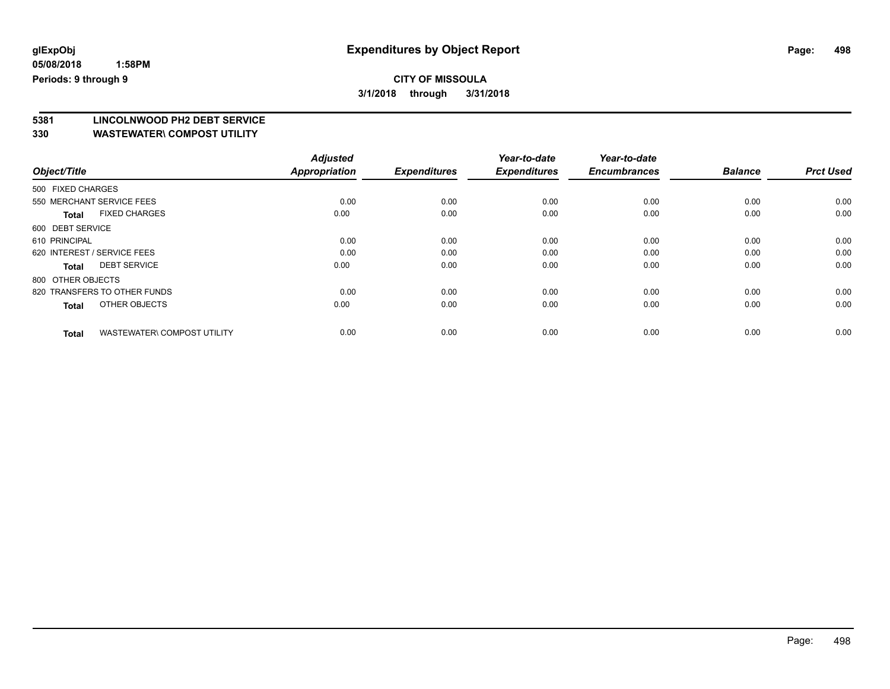# **5381 LINCOLNWOOD PH2 DEBT SERVICE**

|                                                    | <b>Adjusted</b>      |                     | Year-to-date        | Year-to-date        |                |                  |
|----------------------------------------------------|----------------------|---------------------|---------------------|---------------------|----------------|------------------|
| Object/Title                                       | <b>Appropriation</b> | <b>Expenditures</b> | <b>Expenditures</b> | <b>Encumbrances</b> | <b>Balance</b> | <b>Prct Used</b> |
| 500 FIXED CHARGES                                  |                      |                     |                     |                     |                |                  |
| 550 MERCHANT SERVICE FEES                          | 0.00                 | 0.00                | 0.00                | 0.00                | 0.00           | 0.00             |
| <b>FIXED CHARGES</b><br><b>Total</b>               | 0.00                 | 0.00                | 0.00                | 0.00                | 0.00           | 0.00             |
| 600 DEBT SERVICE                                   |                      |                     |                     |                     |                |                  |
| 610 PRINCIPAL                                      | 0.00                 | 0.00                | 0.00                | 0.00                | 0.00           | 0.00             |
| 620 INTEREST / SERVICE FEES                        | 0.00                 | 0.00                | 0.00                | 0.00                | 0.00           | 0.00             |
| <b>DEBT SERVICE</b><br>Total                       | 0.00                 | 0.00                | 0.00                | 0.00                | 0.00           | 0.00             |
| 800 OTHER OBJECTS                                  |                      |                     |                     |                     |                |                  |
| 820 TRANSFERS TO OTHER FUNDS                       | 0.00                 | 0.00                | 0.00                | 0.00                | 0.00           | 0.00             |
| OTHER OBJECTS<br><b>Total</b>                      | 0.00                 | 0.00                | 0.00                | 0.00                | 0.00           | 0.00             |
|                                                    |                      |                     |                     |                     |                |                  |
| <b>WASTEWATER\ COMPOST UTILITY</b><br><b>Total</b> | 0.00                 | 0.00                | 0.00                | 0.00                | 0.00           | 0.00             |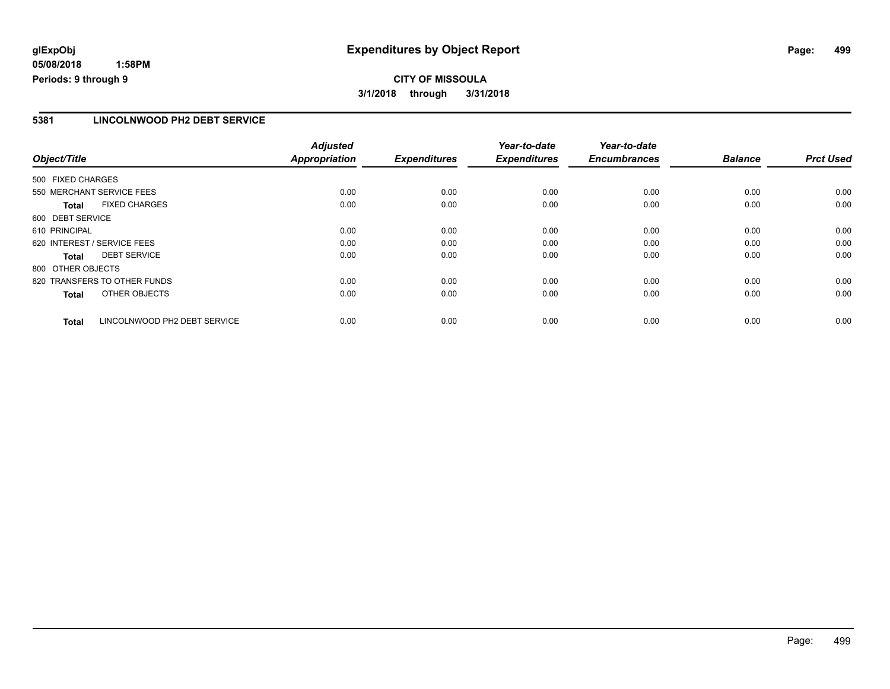### **CITY OF MISSOULA 3/1/2018 through 3/31/2018**

#### **5381 LINCOLNWOOD PH2 DEBT SERVICE**

|                             |                              | <b>Adjusted</b>      |                     | Year-to-date        | Year-to-date        |                |                  |
|-----------------------------|------------------------------|----------------------|---------------------|---------------------|---------------------|----------------|------------------|
| Object/Title                |                              | <b>Appropriation</b> | <b>Expenditures</b> | <b>Expenditures</b> | <b>Encumbrances</b> | <b>Balance</b> | <b>Prct Used</b> |
| 500 FIXED CHARGES           |                              |                      |                     |                     |                     |                |                  |
| 550 MERCHANT SERVICE FEES   |                              | 0.00                 | 0.00                | 0.00                | 0.00                | 0.00           | 0.00             |
| <b>Total</b>                | <b>FIXED CHARGES</b>         | 0.00                 | 0.00                | 0.00                | 0.00                | 0.00           | 0.00             |
| 600 DEBT SERVICE            |                              |                      |                     |                     |                     |                |                  |
| 610 PRINCIPAL               |                              | 0.00                 | 0.00                | 0.00                | 0.00                | 0.00           | 0.00             |
| 620 INTEREST / SERVICE FEES |                              | 0.00                 | 0.00                | 0.00                | 0.00                | 0.00           | 0.00             |
| Total                       | <b>DEBT SERVICE</b>          | 0.00                 | 0.00                | 0.00                | 0.00                | 0.00           | 0.00             |
| 800 OTHER OBJECTS           |                              |                      |                     |                     |                     |                |                  |
|                             | 820 TRANSFERS TO OTHER FUNDS | 0.00                 | 0.00                | 0.00                | 0.00                | 0.00           | 0.00             |
| <b>Total</b>                | OTHER OBJECTS                | 0.00                 | 0.00                | 0.00                | 0.00                | 0.00           | 0.00             |
| <b>Total</b>                | LINCOLNWOOD PH2 DEBT SERVICE | 0.00                 | 0.00                | 0.00                | 0.00                | 0.00           | 0.00             |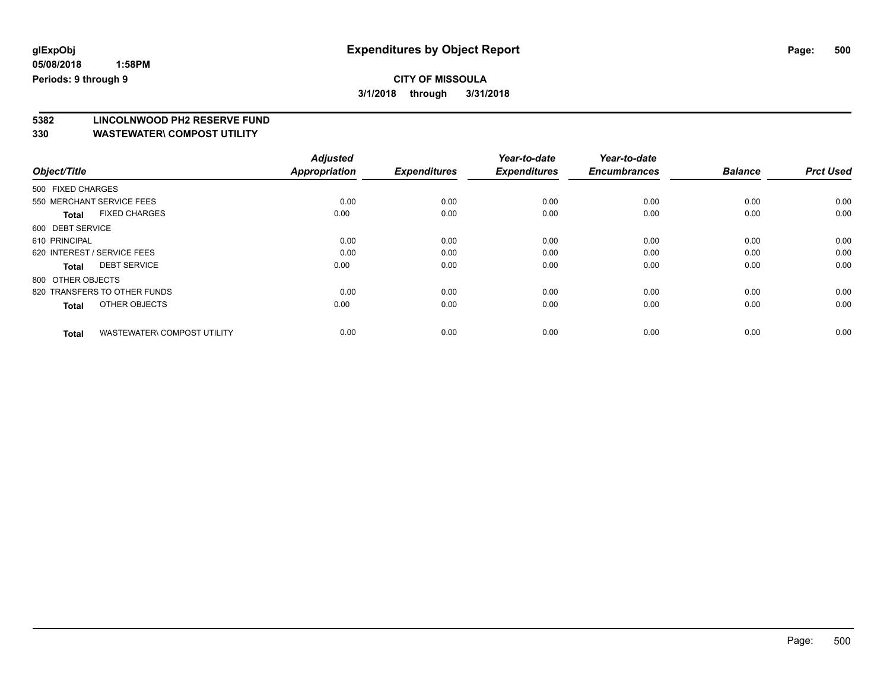**5382 LINCOLNWOOD PH2 RESERVE FUND**<br>330 WASTEWATER\ COMPOST UTILITY

| Object/Title      |                                    | <b>Adjusted</b><br><b>Appropriation</b> | <b>Expenditures</b> | Year-to-date<br><b>Expenditures</b> | Year-to-date<br><b>Encumbrances</b> | <b>Balance</b> | <b>Prct Used</b> |
|-------------------|------------------------------------|-----------------------------------------|---------------------|-------------------------------------|-------------------------------------|----------------|------------------|
| 500 FIXED CHARGES |                                    |                                         |                     |                                     |                                     |                |                  |
|                   | 550 MERCHANT SERVICE FEES          | 0.00                                    | 0.00                | 0.00                                | 0.00                                | 0.00           | 0.00             |
| <b>Total</b>      | <b>FIXED CHARGES</b>               | 0.00                                    | 0.00                | 0.00                                | 0.00                                | 0.00           | 0.00             |
| 600 DEBT SERVICE  |                                    |                                         |                     |                                     |                                     |                |                  |
| 610 PRINCIPAL     |                                    | 0.00                                    | 0.00                | 0.00                                | 0.00                                | 0.00           | 0.00             |
|                   | 620 INTEREST / SERVICE FEES        | 0.00                                    | 0.00                | 0.00                                | 0.00                                | 0.00           | 0.00             |
| <b>Total</b>      | <b>DEBT SERVICE</b>                | 0.00                                    | 0.00                | 0.00                                | 0.00                                | 0.00           | 0.00             |
| 800 OTHER OBJECTS |                                    |                                         |                     |                                     |                                     |                |                  |
|                   | 820 TRANSFERS TO OTHER FUNDS       | 0.00                                    | 0.00                | 0.00                                | 0.00                                | 0.00           | 0.00             |
| <b>Total</b>      | OTHER OBJECTS                      | 0.00                                    | 0.00                | 0.00                                | 0.00                                | 0.00           | 0.00             |
| <b>Total</b>      | <b>WASTEWATER\ COMPOST UTILITY</b> | 0.00                                    | 0.00                | 0.00                                | 0.00                                | 0.00           | 0.00             |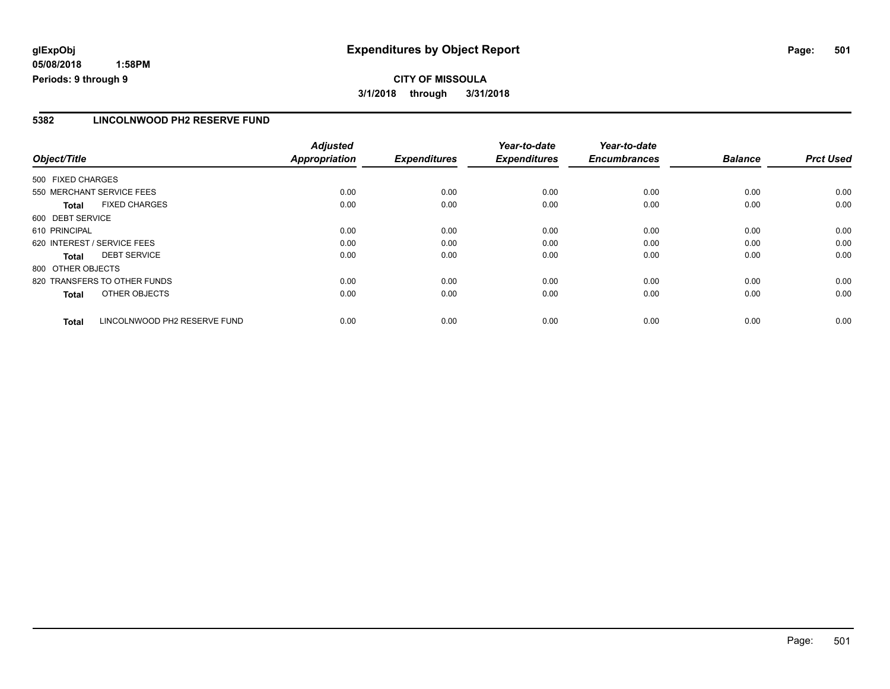### **CITY OF MISSOULA 3/1/2018 through 3/31/2018**

#### **5382 LINCOLNWOOD PH2 RESERVE FUND**

|                   |                              | <b>Adjusted</b>      |                     | Year-to-date        | Year-to-date        |                |                  |
|-------------------|------------------------------|----------------------|---------------------|---------------------|---------------------|----------------|------------------|
| Object/Title      |                              | <b>Appropriation</b> | <b>Expenditures</b> | <b>Expenditures</b> | <b>Encumbrances</b> | <b>Balance</b> | <b>Prct Used</b> |
| 500 FIXED CHARGES |                              |                      |                     |                     |                     |                |                  |
|                   | 550 MERCHANT SERVICE FEES    | 0.00                 | 0.00                | 0.00                | 0.00                | 0.00           | 0.00             |
| <b>Total</b>      | <b>FIXED CHARGES</b>         | 0.00                 | 0.00                | 0.00                | 0.00                | 0.00           | 0.00             |
| 600 DEBT SERVICE  |                              |                      |                     |                     |                     |                |                  |
| 610 PRINCIPAL     |                              | 0.00                 | 0.00                | 0.00                | 0.00                | 0.00           | 0.00             |
|                   | 620 INTEREST / SERVICE FEES  | 0.00                 | 0.00                | 0.00                | 0.00                | 0.00           | 0.00             |
| <b>Total</b>      | <b>DEBT SERVICE</b>          | 0.00                 | 0.00                | 0.00                | 0.00                | 0.00           | 0.00             |
| 800 OTHER OBJECTS |                              |                      |                     |                     |                     |                |                  |
|                   | 820 TRANSFERS TO OTHER FUNDS | 0.00                 | 0.00                | 0.00                | 0.00                | 0.00           | 0.00             |
| <b>Total</b>      | OTHER OBJECTS                | 0.00                 | 0.00                | 0.00                | 0.00                | 0.00           | 0.00             |
| <b>Total</b>      | LINCOLNWOOD PH2 RESERVE FUND | 0.00                 | 0.00                | 0.00                | 0.00                | 0.00           | 0.00             |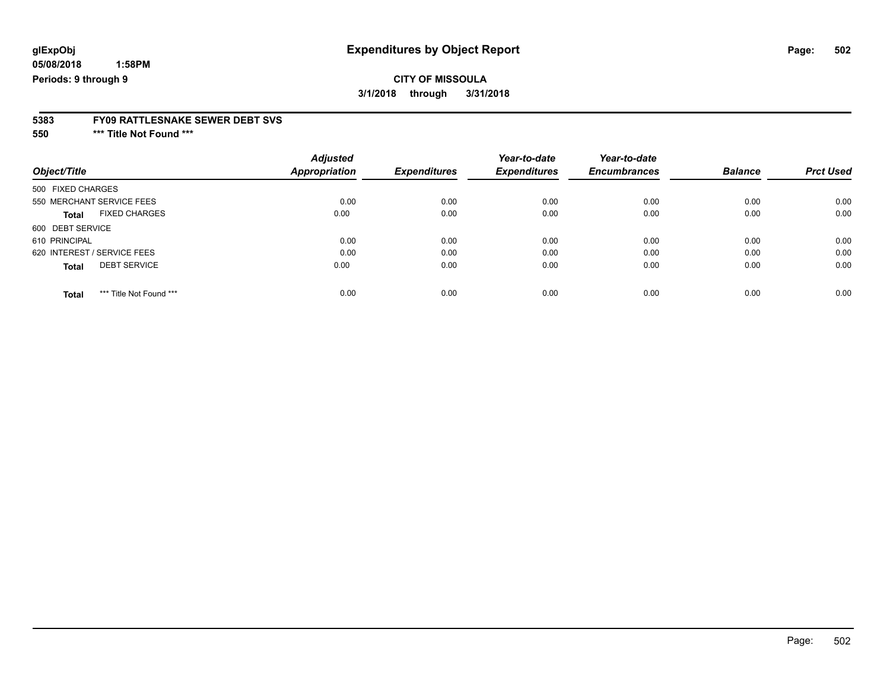### **CITY OF MISSOULA**

**3/1/2018 through 3/31/2018**

#### **5383 FY09 RATTLESNAKE SEWER DEBT SVS**

**550 \*\*\* Title Not Found \*\*\***

|                                         | <b>Adjusted</b> |                     | Year-to-date        | Year-to-date        |                |                  |
|-----------------------------------------|-----------------|---------------------|---------------------|---------------------|----------------|------------------|
| Object/Title                            | Appropriation   | <b>Expenditures</b> | <b>Expenditures</b> | <b>Encumbrances</b> | <b>Balance</b> | <b>Prct Used</b> |
| 500 FIXED CHARGES                       |                 |                     |                     |                     |                |                  |
| 550 MERCHANT SERVICE FEES               | 0.00            | 0.00                | 0.00                | 0.00                | 0.00           | 0.00             |
| <b>FIXED CHARGES</b><br><b>Total</b>    | 0.00            | 0.00                | 0.00                | 0.00                | 0.00           | 0.00             |
| 600 DEBT SERVICE                        |                 |                     |                     |                     |                |                  |
| 610 PRINCIPAL                           | 0.00            | 0.00                | 0.00                | 0.00                | 0.00           | 0.00             |
| 620 INTEREST / SERVICE FEES             | 0.00            | 0.00                | 0.00                | 0.00                | 0.00           | 0.00             |
| <b>DEBT SERVICE</b><br><b>Total</b>     | 0.00            | 0.00                | 0.00                | 0.00                | 0.00           | 0.00             |
| *** Title Not Found ***<br><b>Total</b> | 0.00            | 0.00                | 0.00                | 0.00                | 0.00           | 0.00             |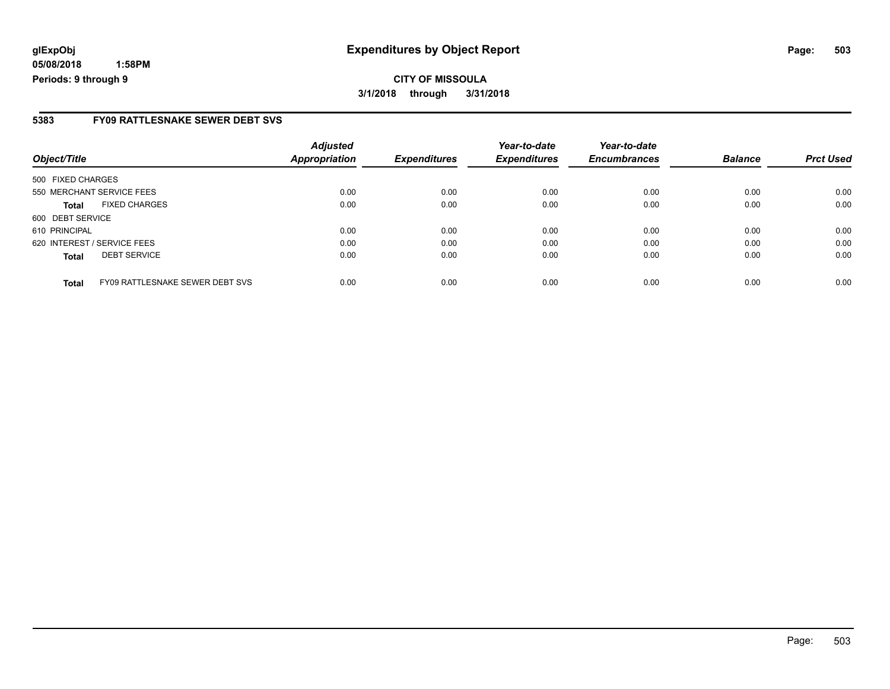**CITY OF MISSOULA 3/1/2018 through 3/31/2018**

#### **5383 FY09 RATTLESNAKE SEWER DEBT SVS**

| Object/Title                                    | <b>Adjusted</b><br><b>Appropriation</b> | <b>Expenditures</b> | Year-to-date<br><b>Expenditures</b> | Year-to-date<br><b>Encumbrances</b> | <b>Balance</b> | <b>Prct Used</b> |
|-------------------------------------------------|-----------------------------------------|---------------------|-------------------------------------|-------------------------------------|----------------|------------------|
| 500 FIXED CHARGES                               |                                         |                     |                                     |                                     |                |                  |
| 550 MERCHANT SERVICE FEES                       | 0.00                                    | 0.00                | 0.00                                | 0.00                                | 0.00           | 0.00             |
| <b>FIXED CHARGES</b><br><b>Total</b>            | 0.00                                    | 0.00                | 0.00                                | 0.00                                | 0.00           | 0.00             |
| 600 DEBT SERVICE                                |                                         |                     |                                     |                                     |                |                  |
| 610 PRINCIPAL                                   | 0.00                                    | 0.00                | 0.00                                | 0.00                                | 0.00           | 0.00             |
| 620 INTEREST / SERVICE FEES                     | 0.00                                    | 0.00                | 0.00                                | 0.00                                | 0.00           | 0.00             |
| <b>DEBT SERVICE</b><br><b>Total</b>             | 0.00                                    | 0.00                | 0.00                                | 0.00                                | 0.00           | 0.00             |
| FY09 RATTLESNAKE SEWER DEBT SVS<br><b>Total</b> | 0.00                                    | 0.00                | 0.00                                | 0.00                                | 0.00           | 0.00             |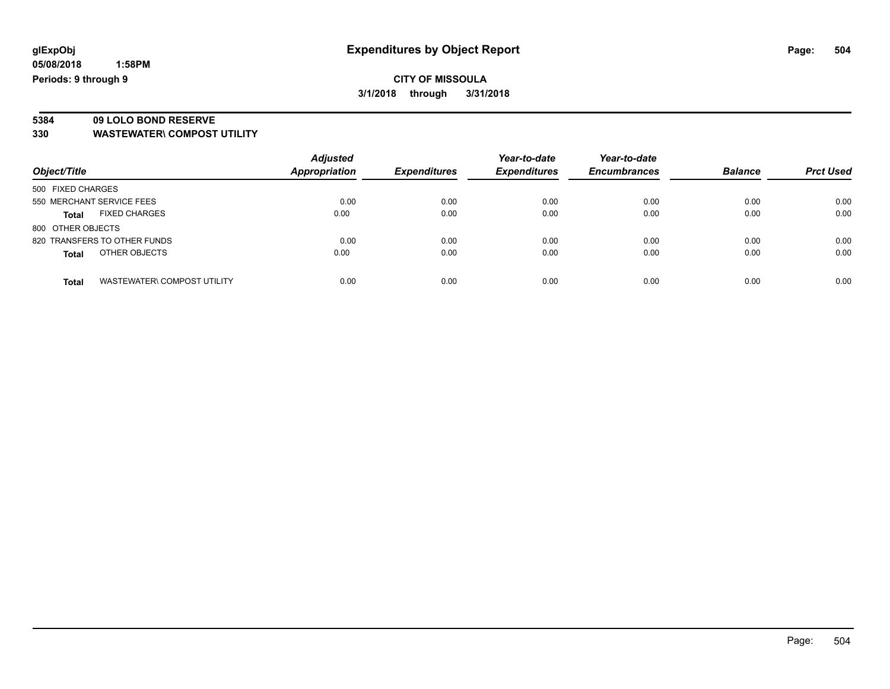**CITY OF MISSOULA 3/1/2018 through 3/31/2018**

# **5384 09 LOLO BOND RESERVE**

| Object/Title                                | <b>Adjusted</b><br>Appropriation | <b>Expenditures</b> | Year-to-date<br><b>Expenditures</b> | Year-to-date<br><b>Encumbrances</b> | <b>Balance</b> | <b>Prct Used</b> |
|---------------------------------------------|----------------------------------|---------------------|-------------------------------------|-------------------------------------|----------------|------------------|
| 500 FIXED CHARGES                           |                                  |                     |                                     |                                     |                |                  |
| 550 MERCHANT SERVICE FEES                   | 0.00                             | 0.00                | 0.00                                | 0.00                                | 0.00           | 0.00             |
| <b>FIXED CHARGES</b><br><b>Total</b>        | 0.00                             | 0.00                | 0.00                                | 0.00                                | 0.00           | 0.00             |
| 800 OTHER OBJECTS                           |                                  |                     |                                     |                                     |                |                  |
| 820 TRANSFERS TO OTHER FUNDS                | 0.00                             | 0.00                | 0.00                                | 0.00                                | 0.00           | 0.00             |
| OTHER OBJECTS<br><b>Total</b>               | 0.00                             | 0.00                | 0.00                                | 0.00                                | 0.00           | 0.00             |
|                                             |                                  |                     |                                     |                                     |                |                  |
| <b>WASTEWATER\ COMPOST UTILITY</b><br>Total | 0.00                             | 0.00                | 0.00                                | 0.00                                | 0.00           | 0.00             |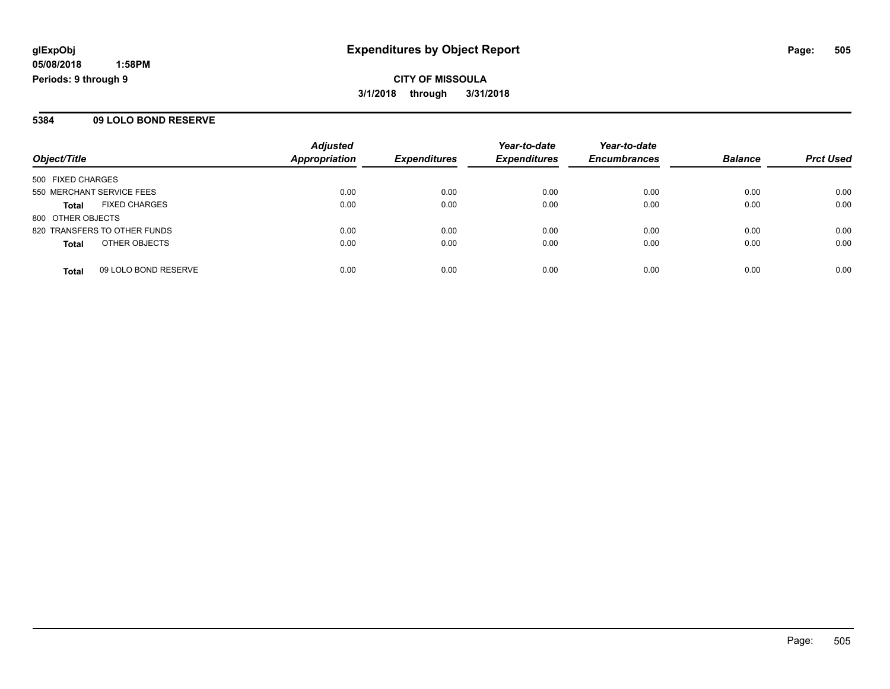#### **5384 09 LOLO BOND RESERVE**

| Object/Title              |                              | <b>Adjusted</b><br><b>Appropriation</b> |                     | Year-to-date        | Year-to-date        |                | <b>Prct Used</b> |
|---------------------------|------------------------------|-----------------------------------------|---------------------|---------------------|---------------------|----------------|------------------|
|                           |                              |                                         | <b>Expenditures</b> | <b>Expenditures</b> | <b>Encumbrances</b> | <b>Balance</b> |                  |
| 500 FIXED CHARGES         |                              |                                         |                     |                     |                     |                |                  |
| 550 MERCHANT SERVICE FEES |                              | 0.00                                    | 0.00                | 0.00                | 0.00                | 0.00           | 0.00             |
| Total                     | <b>FIXED CHARGES</b>         | 0.00                                    | 0.00                | 0.00                | 0.00                | 0.00           | 0.00             |
| 800 OTHER OBJECTS         |                              |                                         |                     |                     |                     |                |                  |
|                           | 820 TRANSFERS TO OTHER FUNDS | 0.00                                    | 0.00                | 0.00                | 0.00                | 0.00           | 0.00             |
| <b>Total</b>              | OTHER OBJECTS                | 0.00                                    | 0.00                | 0.00                | 0.00                | 0.00           | 0.00             |
| <b>Total</b>              | 09 LOLO BOND RESERVE         | 0.00                                    | 0.00                | 0.00                | 0.00                | 0.00           | 0.00             |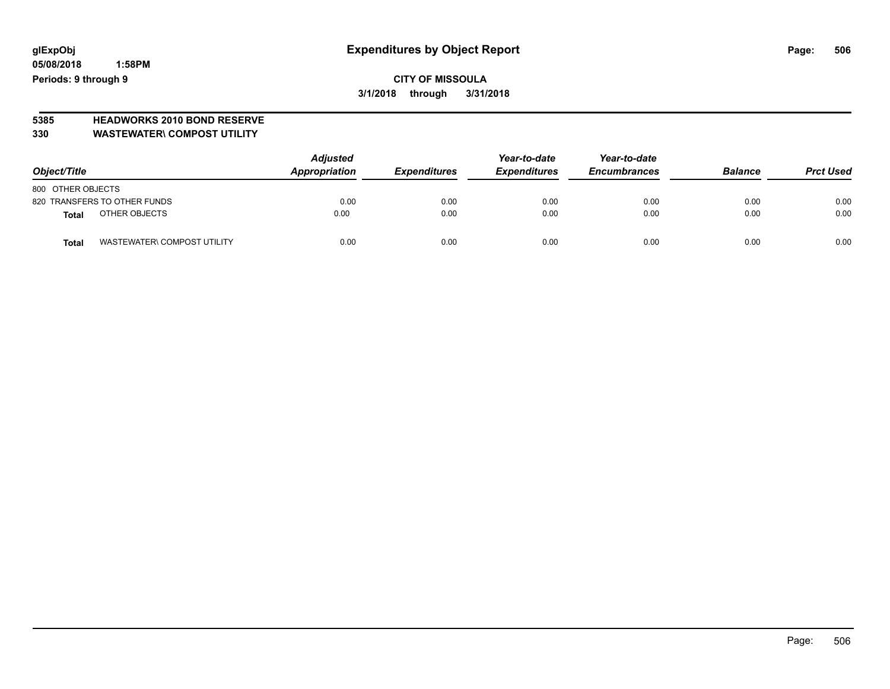# **5385 HEADWORKS 2010 BOND RESERVE**

### **330 WASTEWATER\ COMPOST UTILITY**

| Object/Title                                | <b>Adjusted</b><br>Appropriation | <b>Expenditures</b> | Year-to-date<br><b>Expenditures</b> | Year-to-date<br><b>Encumbrances</b> | <b>Balance</b> | <b>Prct Used</b> |
|---------------------------------------------|----------------------------------|---------------------|-------------------------------------|-------------------------------------|----------------|------------------|
| 800 OTHER OBJECTS                           |                                  |                     |                                     |                                     |                |                  |
| 820 TRANSFERS TO OTHER FUNDS                | 0.00                             | 0.00                | 0.00                                | 0.00                                | 0.00           | 0.00             |
| OTHER OBJECTS<br>Total                      | 0.00                             | 0.00                | 0.00                                | 0.00                                | 0.00           | 0.00             |
| WASTEWATER\ COMPOST UTILITY<br><b>Total</b> | 0.00                             | 0.00                | 0.00                                | 0.00                                | 0.00           | 0.00             |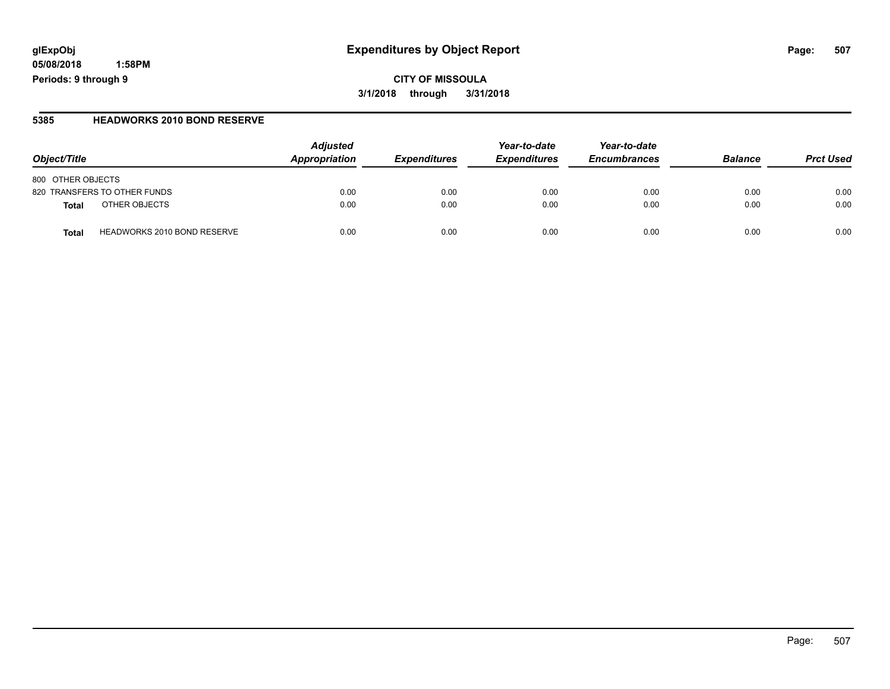#### **glExpObj Expenditures by Object Report Page: 507**

**05/08/2018 1:58PM Periods: 9 through 9**

#### **5385 HEADWORKS 2010 BOND RESERVE**

| Object/Title                                | <b>Adjusted</b><br>Appropriation | <b>Expenditures</b> | Year-to-date<br><b>Expenditures</b> | Year-to-date<br><b>Encumbrances</b> | <b>Balance</b> | <b>Prct Used</b> |
|---------------------------------------------|----------------------------------|---------------------|-------------------------------------|-------------------------------------|----------------|------------------|
| 800 OTHER OBJECTS                           |                                  |                     |                                     |                                     |                |                  |
| 820 TRANSFERS TO OTHER FUNDS                | 0.00                             | 0.00                | 0.00                                | 0.00                                | 0.00           | 0.00             |
| OTHER OBJECTS<br>Total                      | 0.00                             | 0.00                | 0.00                                | 0.00                                | 0.00           | 0.00             |
| <b>HEADWORKS 2010 BOND RESERVE</b><br>Total | 0.00                             | 0.00                | 0.00                                | 0.00                                | 0.00           | 0.00             |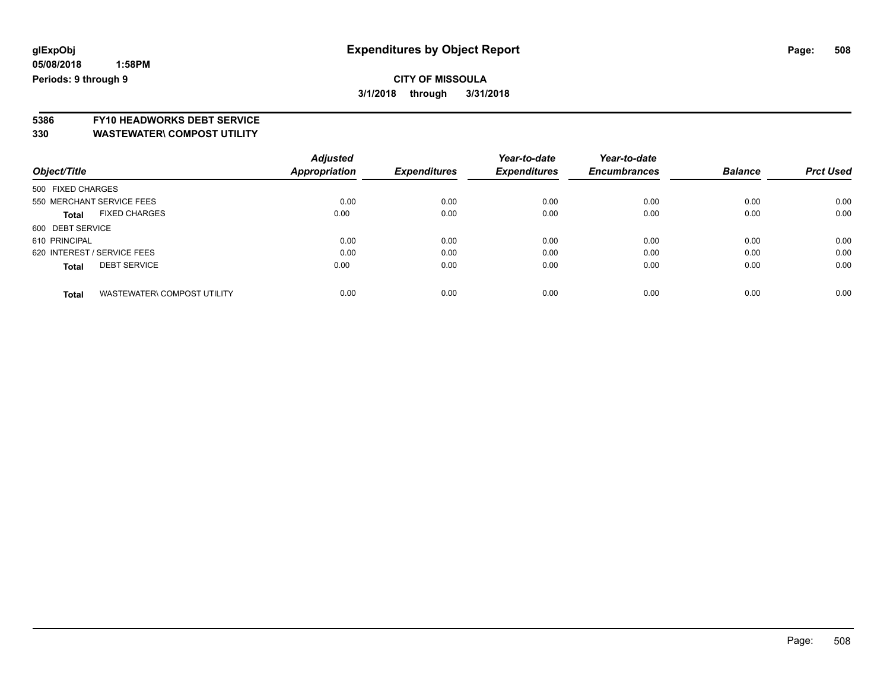# **5386 FY10 HEADWORKS DEBT SERVICE**

**330 WASTEWATER\ COMPOST UTILITY**

| Object/Title                |                                    | <b>Adjusted</b> | <b>Expenditures</b> | Year-to-date        | Year-to-date<br><b>Encumbrances</b> | <b>Balance</b> | <b>Prct Used</b> |
|-----------------------------|------------------------------------|-----------------|---------------------|---------------------|-------------------------------------|----------------|------------------|
|                             |                                    | Appropriation   |                     | <b>Expenditures</b> |                                     |                |                  |
| 500 FIXED CHARGES           |                                    |                 |                     |                     |                                     |                |                  |
| 550 MERCHANT SERVICE FEES   |                                    | 0.00            | 0.00                | 0.00                | 0.00                                | 0.00           | 0.00             |
| <b>Total</b>                | <b>FIXED CHARGES</b>               | 0.00            | 0.00                | 0.00                | 0.00                                | 0.00           | 0.00             |
| 600 DEBT SERVICE            |                                    |                 |                     |                     |                                     |                |                  |
| 610 PRINCIPAL               |                                    | 0.00            | 0.00                | 0.00                | 0.00                                | 0.00           | 0.00             |
| 620 INTEREST / SERVICE FEES |                                    | 0.00            | 0.00                | 0.00                | 0.00                                | 0.00           | 0.00             |
| <b>Total</b>                | <b>DEBT SERVICE</b>                | 0.00            | 0.00                | 0.00                | 0.00                                | 0.00           | 0.00             |
| <b>Total</b>                | <b>WASTEWATER\ COMPOST UTILITY</b> | 0.00            | 0.00                | 0.00                | 0.00                                | 0.00           | 0.00             |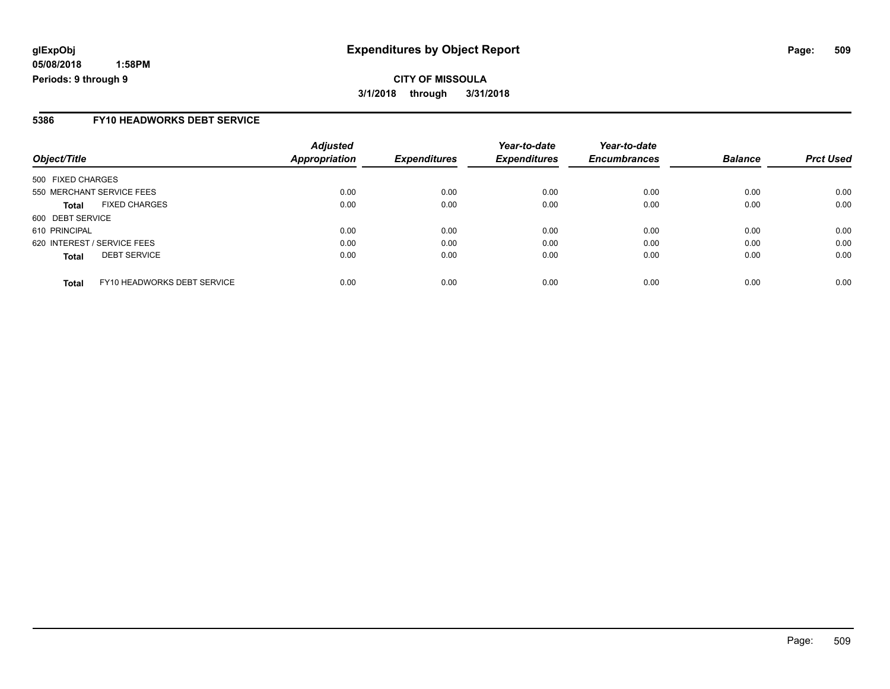#### **5386 FY10 HEADWORKS DEBT SERVICE**

| Object/Title                                | <b>Adjusted</b><br><b>Appropriation</b> | <b>Expenditures</b> | Year-to-date<br><b>Expenditures</b> | Year-to-date<br><b>Encumbrances</b> | <b>Balance</b> | <b>Prct Used</b> |
|---------------------------------------------|-----------------------------------------|---------------------|-------------------------------------|-------------------------------------|----------------|------------------|
| 500 FIXED CHARGES                           |                                         |                     |                                     |                                     |                |                  |
| 550 MERCHANT SERVICE FEES                   | 0.00                                    | 0.00                | 0.00                                | 0.00                                | 0.00           | 0.00             |
| <b>FIXED CHARGES</b><br><b>Total</b>        | 0.00                                    | 0.00                | 0.00                                | 0.00                                | 0.00           | 0.00             |
| 600 DEBT SERVICE                            |                                         |                     |                                     |                                     |                |                  |
| 610 PRINCIPAL                               | 0.00                                    | 0.00                | 0.00                                | 0.00                                | 0.00           | 0.00             |
| 620 INTEREST / SERVICE FEES                 | 0.00                                    | 0.00                | 0.00                                | 0.00                                | 0.00           | 0.00             |
| <b>DEBT SERVICE</b><br><b>Total</b>         | 0.00                                    | 0.00                | 0.00                                | 0.00                                | 0.00           | 0.00             |
| FY10 HEADWORKS DEBT SERVICE<br><b>Total</b> | 0.00                                    | 0.00                | 0.00                                | 0.00                                | 0.00           | 0.00             |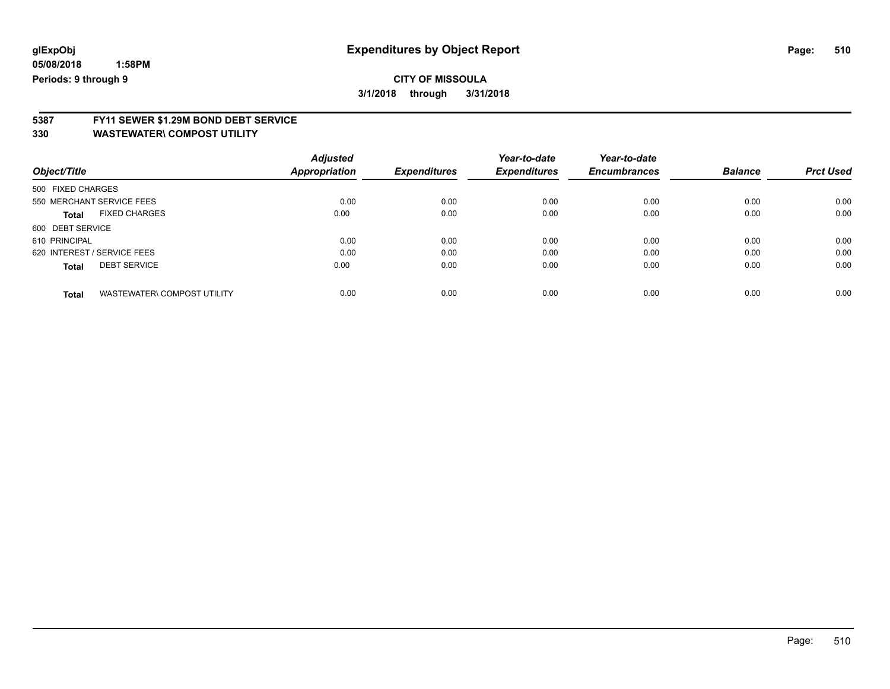#### **CITY OF MISSOULA 3/1/2018 through 3/31/2018**

# **5387 FY11 SEWER \$1.29M BOND DEBT SERVICE**

#### **330 WASTEWATER\ COMPOST UTILITY**

| Object/Title      |                                    | <b>Adjusted</b><br><b>Appropriation</b> | <b>Expenditures</b> | Year-to-date<br><b>Expenditures</b> | Year-to-date<br><b>Encumbrances</b> | <b>Balance</b> | <b>Prct Used</b> |
|-------------------|------------------------------------|-----------------------------------------|---------------------|-------------------------------------|-------------------------------------|----------------|------------------|
| 500 FIXED CHARGES |                                    |                                         |                     |                                     |                                     |                |                  |
|                   | 550 MERCHANT SERVICE FEES          | 0.00                                    | 0.00                | 0.00                                | 0.00                                | 0.00           | 0.00             |
| <b>Total</b>      | <b>FIXED CHARGES</b>               | 0.00                                    | 0.00                | 0.00                                | 0.00                                | 0.00           | 0.00             |
| 600 DEBT SERVICE  |                                    |                                         |                     |                                     |                                     |                |                  |
| 610 PRINCIPAL     |                                    | 0.00                                    | 0.00                | 0.00                                | 0.00                                | 0.00           | 0.00             |
|                   | 620 INTEREST / SERVICE FEES        | 0.00                                    | 0.00                | 0.00                                | 0.00                                | 0.00           | 0.00             |
| <b>Total</b>      | <b>DEBT SERVICE</b>                | 0.00                                    | 0.00                | 0.00                                | 0.00                                | 0.00           | 0.00             |
| <b>Total</b>      | <b>WASTEWATER\ COMPOST UTILITY</b> | 0.00                                    | 0.00                | 0.00                                | 0.00                                | 0.00           | 0.00             |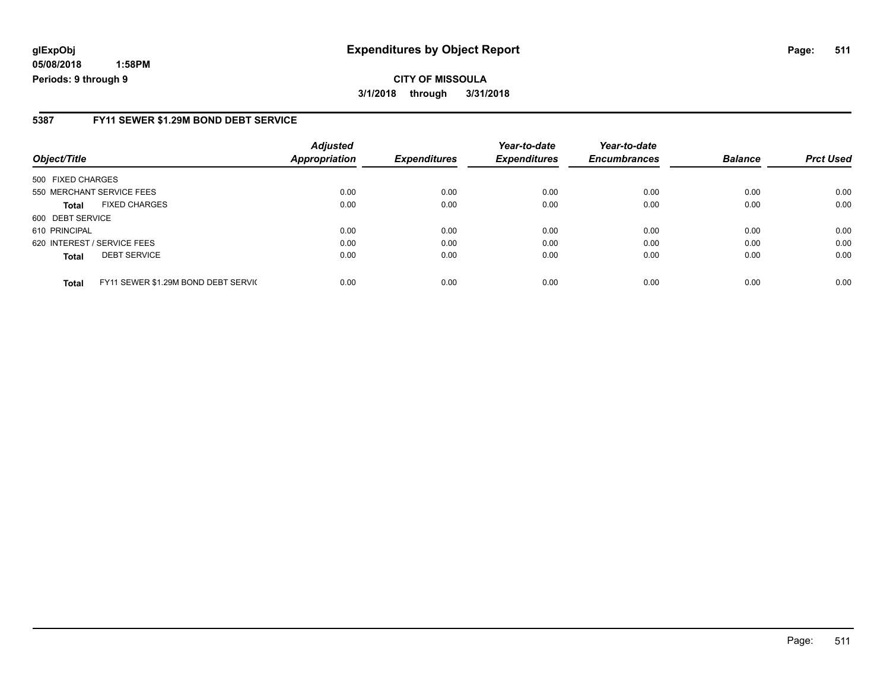#### **5387 FY11 SEWER \$1.29M BOND DEBT SERVICE**

| Object/Title      |                                     | <b>Adjusted</b><br><b>Appropriation</b> | <b>Expenditures</b> | Year-to-date<br><b>Expenditures</b> | Year-to-date<br><b>Encumbrances</b> | <b>Balance</b> | <b>Prct Used</b> |
|-------------------|-------------------------------------|-----------------------------------------|---------------------|-------------------------------------|-------------------------------------|----------------|------------------|
|                   |                                     |                                         |                     |                                     |                                     |                |                  |
| 500 FIXED CHARGES |                                     |                                         |                     |                                     |                                     |                |                  |
|                   | 550 MERCHANT SERVICE FEES           | 0.00                                    | 0.00                | 0.00                                | 0.00                                | 0.00           | 0.00             |
| Total             | <b>FIXED CHARGES</b>                | 0.00                                    | 0.00                | 0.00                                | 0.00                                | 0.00           | 0.00             |
| 600 DEBT SERVICE  |                                     |                                         |                     |                                     |                                     |                |                  |
| 610 PRINCIPAL     |                                     | 0.00                                    | 0.00                | 0.00                                | 0.00                                | 0.00           | 0.00             |
|                   | 620 INTEREST / SERVICE FEES         | 0.00                                    | 0.00                | 0.00                                | 0.00                                | 0.00           | 0.00             |
| <b>Total</b>      | <b>DEBT SERVICE</b>                 | 0.00                                    | 0.00                | 0.00                                | 0.00                                | 0.00           | 0.00             |
| <b>Total</b>      | FY11 SEWER \$1.29M BOND DEBT SERVIC | 0.00                                    | 0.00                | 0.00                                | 0.00                                | 0.00           | 0.00             |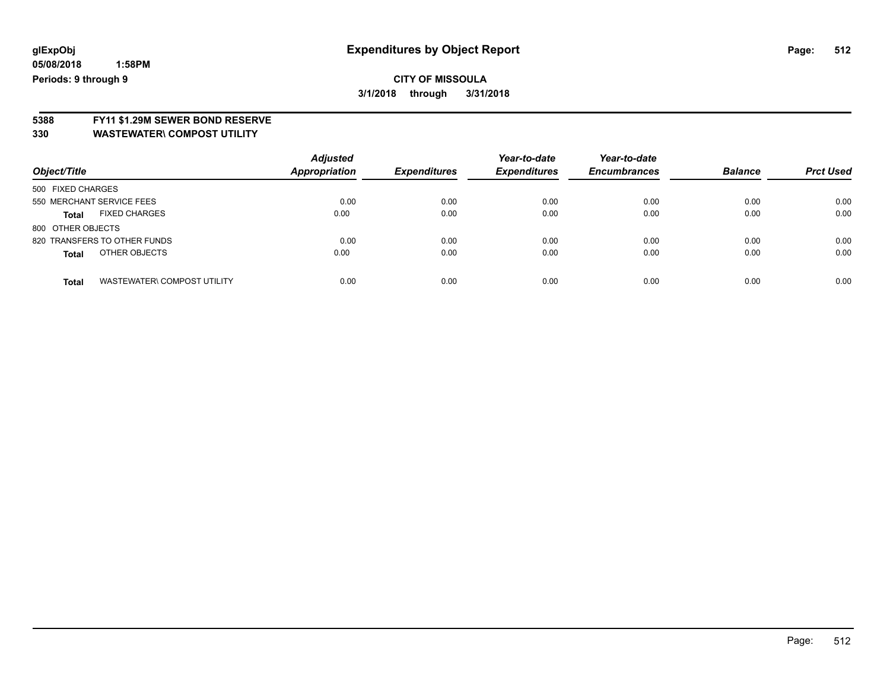**3/1/2018 through 3/31/2018**

# **5388 FY11 \$1.29M SEWER BOND RESERVE**

#### **330 WASTEWATER\ COMPOST UTILITY**

| Object/Title                                       | <b>Adjusted</b><br><b>Appropriation</b> | <b>Expenditures</b> | Year-to-date<br><b>Expenditures</b> | Year-to-date<br><b>Encumbrances</b> | <b>Balance</b> | <b>Prct Used</b> |
|----------------------------------------------------|-----------------------------------------|---------------------|-------------------------------------|-------------------------------------|----------------|------------------|
| 500 FIXED CHARGES                                  |                                         |                     |                                     |                                     |                |                  |
| 550 MERCHANT SERVICE FEES                          | 0.00                                    | 0.00                | 0.00                                | 0.00                                | 0.00           | 0.00             |
| <b>FIXED CHARGES</b><br><b>Total</b>               | 0.00                                    | 0.00                | 0.00                                | 0.00                                | 0.00           | 0.00             |
| 800 OTHER OBJECTS                                  |                                         |                     |                                     |                                     |                |                  |
| 820 TRANSFERS TO OTHER FUNDS                       | 0.00                                    | 0.00                | 0.00                                | 0.00                                | 0.00           | 0.00             |
| OTHER OBJECTS<br><b>Total</b>                      | 0.00                                    | 0.00                | 0.00                                | 0.00                                | 0.00           | 0.00             |
| <b>WASTEWATER\ COMPOST UTILITY</b><br><b>Total</b> | 0.00                                    | 0.00                | 0.00                                | 0.00                                | 0.00           | 0.00             |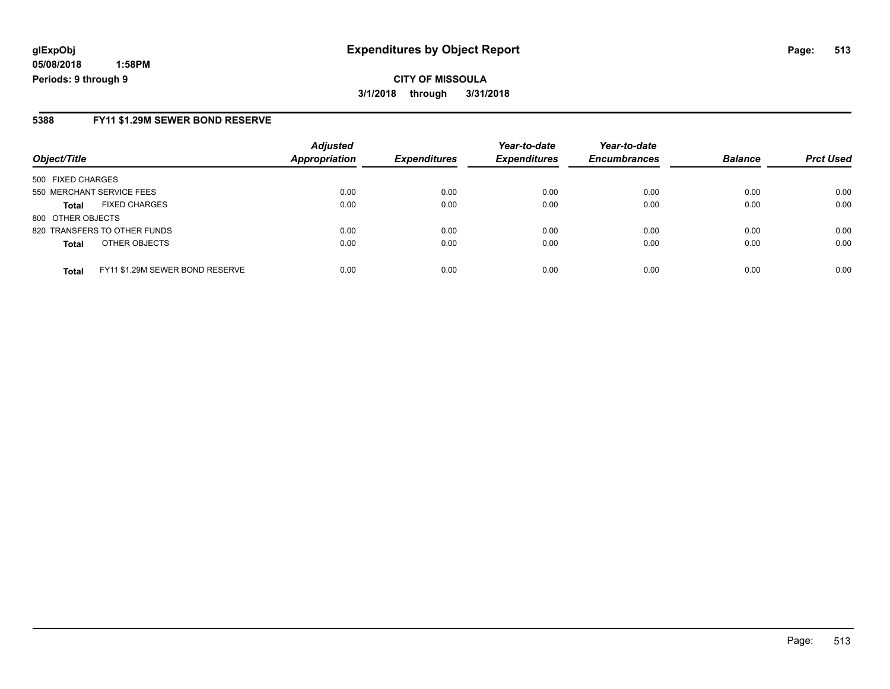#### **5388 FY11 \$1.29M SEWER BOND RESERVE**

| Object/Title              |                                 | <b>Adjusted</b>      | <b>Expenditures</b> | Year-to-date<br><b>Expenditures</b> | Year-to-date<br><b>Encumbrances</b> | <b>Balance</b> | <b>Prct Used</b> |
|---------------------------|---------------------------------|----------------------|---------------------|-------------------------------------|-------------------------------------|----------------|------------------|
|                           |                                 | <b>Appropriation</b> |                     |                                     |                                     |                |                  |
| 500 FIXED CHARGES         |                                 |                      |                     |                                     |                                     |                |                  |
| 550 MERCHANT SERVICE FEES |                                 | 0.00                 | 0.00                | 0.00                                | 0.00                                | 0.00           | 0.00             |
| Total                     | <b>FIXED CHARGES</b>            | 0.00                 | 0.00                | 0.00                                | 0.00                                | 0.00           | 0.00             |
| 800 OTHER OBJECTS         |                                 |                      |                     |                                     |                                     |                |                  |
|                           | 820 TRANSFERS TO OTHER FUNDS    | 0.00                 | 0.00                | 0.00                                | 0.00                                | 0.00           | 0.00             |
| Total                     | OTHER OBJECTS                   | 0.00                 | 0.00                | 0.00                                | 0.00                                | 0.00           | 0.00             |
| <b>Total</b>              | FY11 \$1.29M SEWER BOND RESERVE | 0.00                 | 0.00                | 0.00                                | 0.00                                | 0.00           | 0.00             |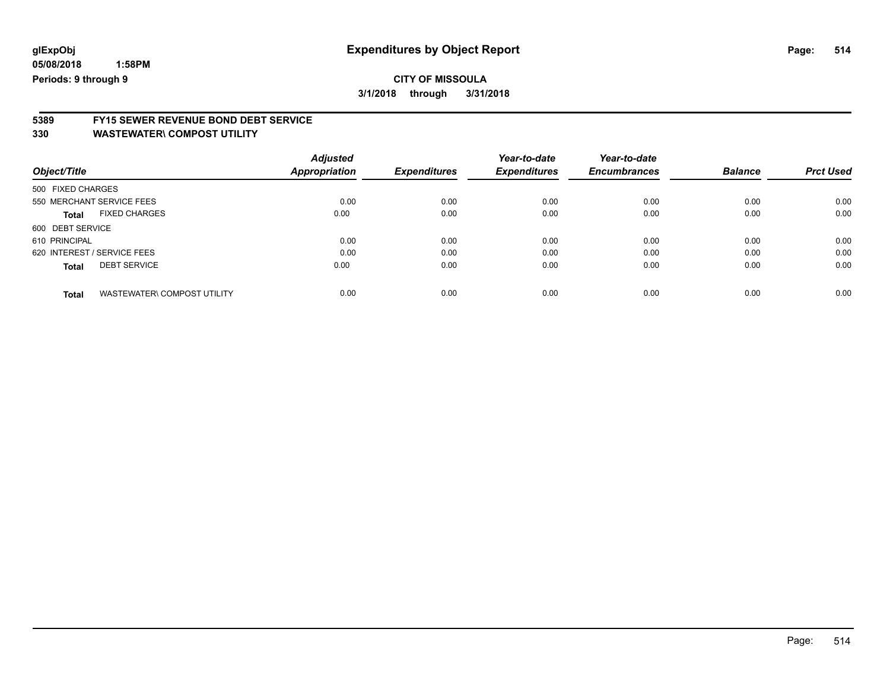#### **CITY OF MISSOULA 3/1/2018 through 3/31/2018**

# **5389 FY15 SEWER REVENUE BOND DEBT SERVICE**

#### **330 WASTEWATER\ COMPOST UTILITY**

| Object/Title      |                                    | <b>Adjusted</b><br><b>Appropriation</b> | <b>Expenditures</b> | Year-to-date<br><b>Expenditures</b> | Year-to-date<br><b>Encumbrances</b> | <b>Balance</b> | <b>Prct Used</b> |
|-------------------|------------------------------------|-----------------------------------------|---------------------|-------------------------------------|-------------------------------------|----------------|------------------|
| 500 FIXED CHARGES |                                    |                                         |                     |                                     |                                     |                |                  |
|                   | 550 MERCHANT SERVICE FEES          | 0.00                                    | 0.00                | 0.00                                | 0.00                                | 0.00           | 0.00             |
| <b>Total</b>      | <b>FIXED CHARGES</b>               | 0.00                                    | 0.00                | 0.00                                | 0.00                                | 0.00           | 0.00             |
| 600 DEBT SERVICE  |                                    |                                         |                     |                                     |                                     |                |                  |
| 610 PRINCIPAL     |                                    | 0.00                                    | 0.00                | 0.00                                | 0.00                                | 0.00           | 0.00             |
|                   | 620 INTEREST / SERVICE FEES        | 0.00                                    | 0.00                | 0.00                                | 0.00                                | 0.00           | 0.00             |
| <b>Total</b>      | <b>DEBT SERVICE</b>                | 0.00                                    | 0.00                | 0.00                                | 0.00                                | 0.00           | 0.00             |
| <b>Total</b>      | <b>WASTEWATER\ COMPOST UTILITY</b> | 0.00                                    | 0.00                | 0.00                                | 0.00                                | 0.00           | 0.00             |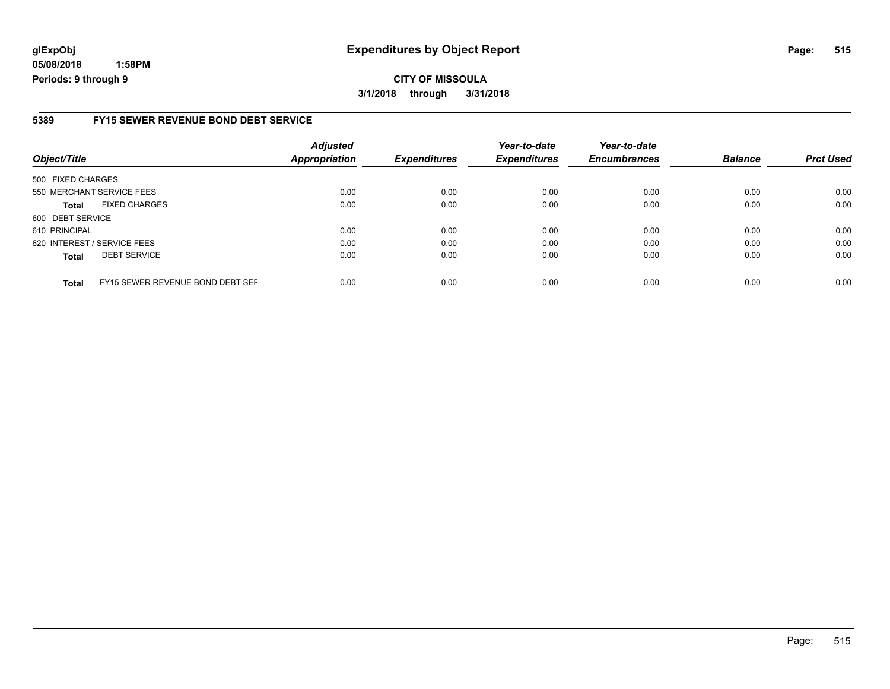### **glExpObj Expenditures by Object Report Page: 515**

**05/08/2018 1:58PM Periods: 9 through 9**

#### **5389 FY15 SEWER REVENUE BOND DEBT SERVICE**

| Object/Title                                     | <b>Adjusted</b><br>Appropriation | <b>Expenditures</b> | Year-to-date<br><b>Expenditures</b> | Year-to-date<br><b>Encumbrances</b> | <b>Balance</b> | <b>Prct Used</b> |
|--------------------------------------------------|----------------------------------|---------------------|-------------------------------------|-------------------------------------|----------------|------------------|
|                                                  |                                  |                     |                                     |                                     |                |                  |
| 500 FIXED CHARGES                                |                                  |                     |                                     |                                     |                |                  |
| 550 MERCHANT SERVICE FEES                        | 0.00                             | 0.00                | 0.00                                | 0.00                                | 0.00           | 0.00             |
| <b>FIXED CHARGES</b><br><b>Total</b>             | 0.00                             | 0.00                | 0.00                                | 0.00                                | 0.00           | 0.00             |
| 600 DEBT SERVICE                                 |                                  |                     |                                     |                                     |                |                  |
| 610 PRINCIPAL                                    | 0.00                             | 0.00                | 0.00                                | 0.00                                | 0.00           | 0.00             |
| 620 INTEREST / SERVICE FEES                      | 0.00                             | 0.00                | 0.00                                | 0.00                                | 0.00           | 0.00             |
| <b>DEBT SERVICE</b><br><b>Total</b>              | 0.00                             | 0.00                | 0.00                                | 0.00                                | 0.00           | 0.00             |
| FY15 SEWER REVENUE BOND DEBT SEF<br><b>Total</b> | 0.00                             | 0.00                | 0.00                                | 0.00                                | 0.00           | 0.00             |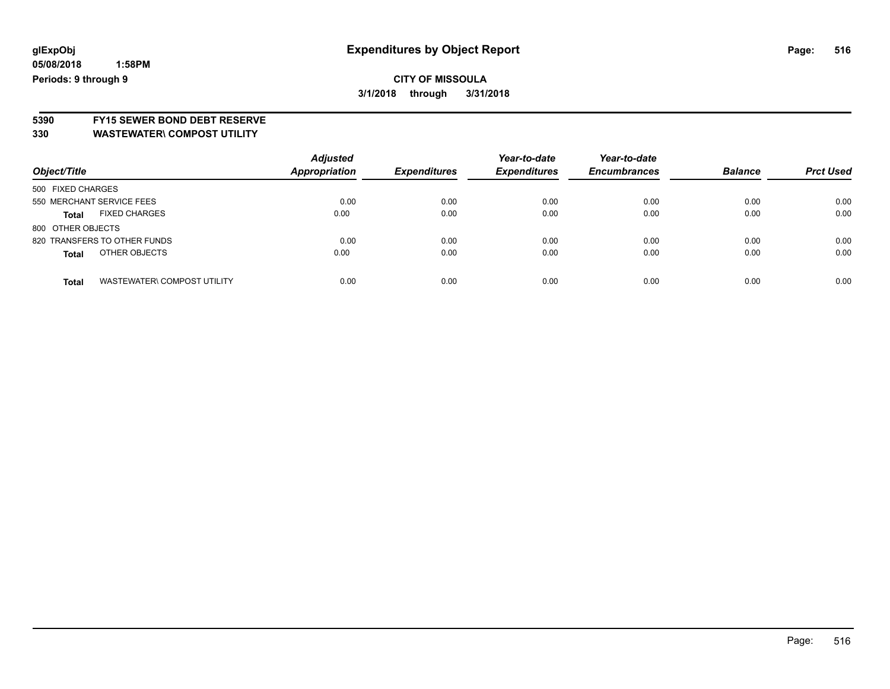**5390 FY15 SEWER BOND DEBT RESERVE 330 WASTEWATER\ COMPOST UTILITY**

| Object/Title              |                                    | <b>Adjusted</b><br>Appropriation | <b>Expenditures</b> | Year-to-date<br><b>Expenditures</b> | Year-to-date<br><b>Encumbrances</b> | <b>Balance</b> | <b>Prct Used</b> |
|---------------------------|------------------------------------|----------------------------------|---------------------|-------------------------------------|-------------------------------------|----------------|------------------|
| 500 FIXED CHARGES         |                                    |                                  |                     |                                     |                                     |                |                  |
| 550 MERCHANT SERVICE FEES |                                    | 0.00                             | 0.00                | 0.00                                | 0.00                                | 0.00           | 0.00             |
| <b>Total</b>              | <b>FIXED CHARGES</b>               | 0.00                             | 0.00                | 0.00                                | 0.00                                | 0.00           | 0.00             |
| 800 OTHER OBJECTS         |                                    |                                  |                     |                                     |                                     |                |                  |
|                           | 820 TRANSFERS TO OTHER FUNDS       | 0.00                             | 0.00                | 0.00                                | 0.00                                | 0.00           | 0.00             |
| <b>Total</b>              | OTHER OBJECTS                      | 0.00                             | 0.00                | 0.00                                | 0.00                                | 0.00           | 0.00             |
| <b>Total</b>              | <b>WASTEWATER\ COMPOST UTILITY</b> | 0.00                             | 0.00                | 0.00                                | 0.00                                | 0.00           | 0.00             |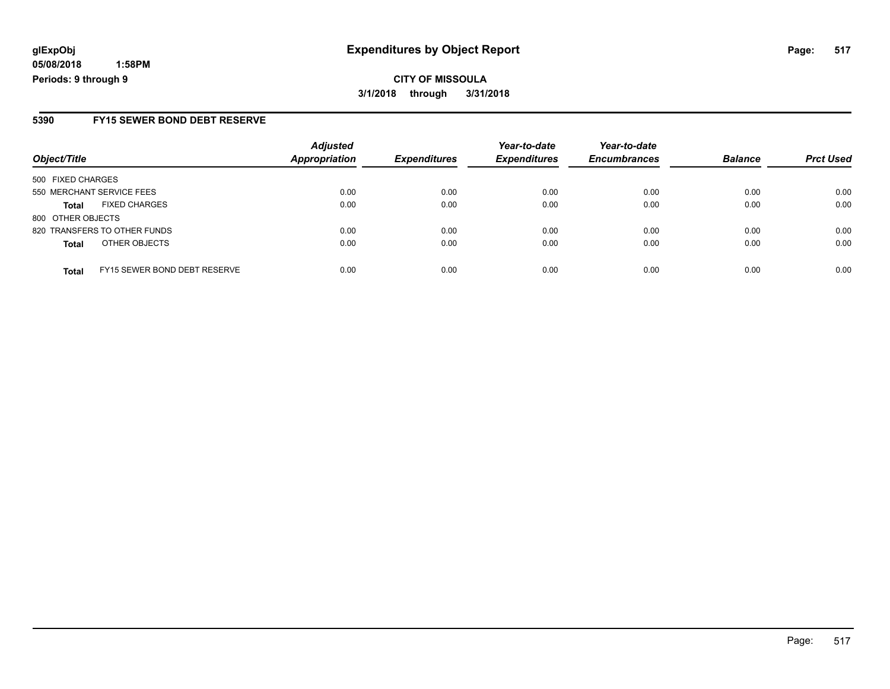#### **5390 FY15 SEWER BOND DEBT RESERVE**

|                   |                              | <b>Adjusted</b>      |                     | Year-to-date        | Year-to-date        |                |                  |
|-------------------|------------------------------|----------------------|---------------------|---------------------|---------------------|----------------|------------------|
| Object/Title      |                              | <b>Appropriation</b> | <b>Expenditures</b> | <b>Expenditures</b> | <b>Encumbrances</b> | <b>Balance</b> | <b>Prct Used</b> |
| 500 FIXED CHARGES |                              |                      |                     |                     |                     |                |                  |
|                   | 550 MERCHANT SERVICE FEES    | 0.00                 | 0.00                | 0.00                | 0.00                | 0.00           | 0.00             |
| <b>Total</b>      | <b>FIXED CHARGES</b>         | 0.00                 | 0.00                | 0.00                | 0.00                | 0.00           | 0.00             |
| 800 OTHER OBJECTS |                              |                      |                     |                     |                     |                |                  |
|                   | 820 TRANSFERS TO OTHER FUNDS | 0.00                 | 0.00                | 0.00                | 0.00                | 0.00           | 0.00             |
| <b>Total</b>      | OTHER OBJECTS                | 0.00                 | 0.00                | 0.00                | 0.00                | 0.00           | 0.00             |
| <b>Total</b>      | FY15 SEWER BOND DEBT RESERVE | 0.00                 | 0.00                | 0.00                | 0.00                | 0.00           | 0.00             |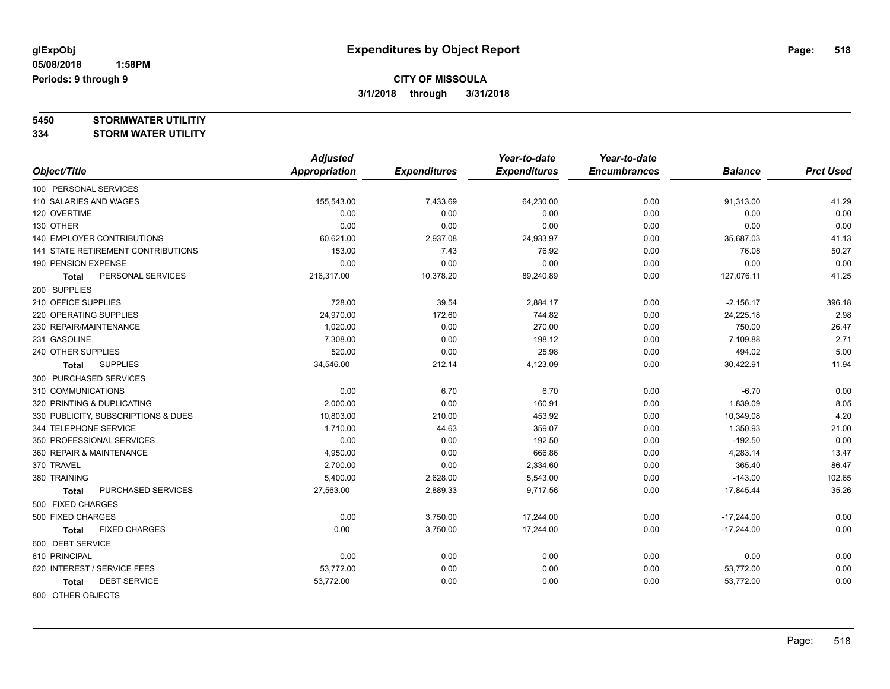# **5450 STORMWATER UTILITIY**

**334 STORM WATER UTILITY**

|                                      | <b>Adjusted</b> |                     | Year-to-date        | Year-to-date        |                |                  |
|--------------------------------------|-----------------|---------------------|---------------------|---------------------|----------------|------------------|
| Object/Title                         | Appropriation   | <b>Expenditures</b> | <b>Expenditures</b> | <b>Encumbrances</b> | <b>Balance</b> | <b>Prct Used</b> |
| 100 PERSONAL SERVICES                |                 |                     |                     |                     |                |                  |
| 110 SALARIES AND WAGES               | 155,543.00      | 7,433.69            | 64,230.00           | 0.00                | 91,313.00      | 41.29            |
| 120 OVERTIME                         | 0.00            | 0.00                | 0.00                | 0.00                | 0.00           | 0.00             |
| 130 OTHER                            | 0.00            | 0.00                | 0.00                | 0.00                | 0.00           | 0.00             |
| 140 EMPLOYER CONTRIBUTIONS           | 60,621.00       | 2,937.08            | 24,933.97           | 0.00                | 35,687.03      | 41.13            |
| 141 STATE RETIREMENT CONTRIBUTIONS   | 153.00          | 7.43                | 76.92               | 0.00                | 76.08          | 50.27            |
| 190 PENSION EXPENSE                  | 0.00            | 0.00                | 0.00                | 0.00                | 0.00           | 0.00             |
| PERSONAL SERVICES<br>Total           | 216,317.00      | 10,378.20           | 89,240.89           | 0.00                | 127,076.11     | 41.25            |
| 200 SUPPLIES                         |                 |                     |                     |                     |                |                  |
| 210 OFFICE SUPPLIES                  | 728.00          | 39.54               | 2,884.17            | 0.00                | $-2,156.17$    | 396.18           |
| 220 OPERATING SUPPLIES               | 24,970.00       | 172.60              | 744.82              | 0.00                | 24,225.18      | 2.98             |
| 230 REPAIR/MAINTENANCE               | 1,020.00        | 0.00                | 270.00              | 0.00                | 750.00         | 26.47            |
| 231 GASOLINE                         | 7,308.00        | 0.00                | 198.12              | 0.00                | 7,109.88       | 2.71             |
| 240 OTHER SUPPLIES                   | 520.00          | 0.00                | 25.98               | 0.00                | 494.02         | 5.00             |
| <b>SUPPLIES</b><br>Total             | 34,546.00       | 212.14              | 4,123.09            | 0.00                | 30,422.91      | 11.94            |
| 300 PURCHASED SERVICES               |                 |                     |                     |                     |                |                  |
| 310 COMMUNICATIONS                   | 0.00            | 6.70                | 6.70                | 0.00                | $-6.70$        | 0.00             |
| 320 PRINTING & DUPLICATING           | 2,000.00        | 0.00                | 160.91              | 0.00                | 1,839.09       | 8.05             |
| 330 PUBLICITY, SUBSCRIPTIONS & DUES  | 10,803.00       | 210.00              | 453.92              | 0.00                | 10,349.08      | 4.20             |
| 344 TELEPHONE SERVICE                | 1,710.00        | 44.63               | 359.07              | 0.00                | 1,350.93       | 21.00            |
| 350 PROFESSIONAL SERVICES            | 0.00            | 0.00                | 192.50              | 0.00                | $-192.50$      | 0.00             |
| 360 REPAIR & MAINTENANCE             | 4,950.00        | 0.00                | 666.86              | 0.00                | 4,283.14       | 13.47            |
| 370 TRAVEL                           | 2,700.00        | 0.00                | 2,334.60            | 0.00                | 365.40         | 86.47            |
| 380 TRAINING                         | 5,400.00        | 2,628.00            | 5,543.00            | 0.00                | $-143.00$      | 102.65           |
| PURCHASED SERVICES<br><b>Total</b>   | 27,563.00       | 2,889.33            | 9,717.56            | 0.00                | 17,845.44      | 35.26            |
| 500 FIXED CHARGES                    |                 |                     |                     |                     |                |                  |
| 500 FIXED CHARGES                    | 0.00            | 3,750.00            | 17,244.00           | 0.00                | $-17,244.00$   | 0.00             |
| <b>FIXED CHARGES</b><br><b>Total</b> | 0.00            | 3,750.00            | 17,244.00           | 0.00                | $-17,244.00$   | 0.00             |
| 600 DEBT SERVICE                     |                 |                     |                     |                     |                |                  |
| 610 PRINCIPAL                        | 0.00            | 0.00                | 0.00                | 0.00                | 0.00           | 0.00             |
| 620 INTEREST / SERVICE FEES          | 53,772.00       | 0.00                | 0.00                | 0.00                | 53,772.00      | 0.00             |
| <b>DEBT SERVICE</b><br>Total         | 53,772.00       | 0.00                | 0.00                | 0.00                | 53,772.00      | 0.00             |
| 800 OTHER OBJECTS                    |                 |                     |                     |                     |                |                  |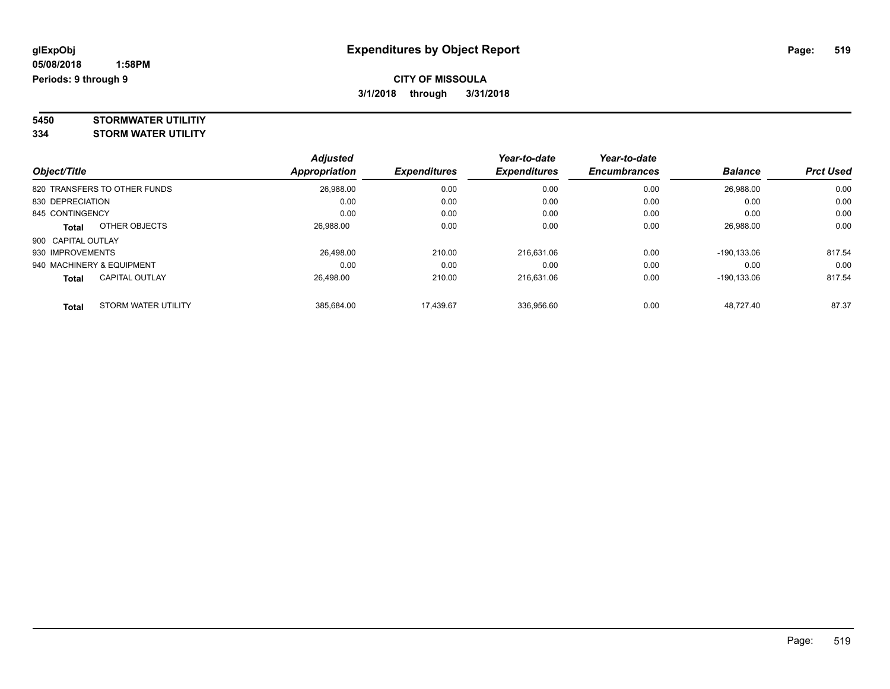**5450 STORMWATER UTILITIY**

**334 STORM WATER UTILITY**

| Object/Title                               | <b>Adjusted</b><br><b>Appropriation</b> | <b>Expenditures</b> | Year-to-date<br><b>Expenditures</b> | Year-to-date<br><b>Encumbrances</b> | <b>Balance</b> | <b>Prct Used</b> |
|--------------------------------------------|-----------------------------------------|---------------------|-------------------------------------|-------------------------------------|----------------|------------------|
| 820 TRANSFERS TO OTHER FUNDS               | 26,988.00                               | 0.00                | 0.00                                | 0.00                                | 26.988.00      | 0.00             |
| 830 DEPRECIATION                           | 0.00                                    | 0.00                | 0.00                                | 0.00                                | 0.00           | 0.00             |
| 845 CONTINGENCY                            | 0.00                                    | 0.00                | 0.00                                | 0.00                                | 0.00           | 0.00             |
| OTHER OBJECTS<br><b>Total</b>              | 26.988.00                               | 0.00                | 0.00                                | 0.00                                | 26.988.00      | 0.00             |
| 900 CAPITAL OUTLAY                         |                                         |                     |                                     |                                     |                |                  |
| 930 IMPROVEMENTS                           | 26.498.00                               | 210.00              | 216.631.06                          | 0.00                                | $-190.133.06$  | 817.54           |
| 940 MACHINERY & EQUIPMENT                  | 0.00                                    | 0.00                | 0.00                                | 0.00                                | 0.00           | 0.00             |
| <b>CAPITAL OUTLAY</b><br><b>Total</b>      | 26.498.00                               | 210.00              | 216.631.06                          | 0.00                                | $-190.133.06$  | 817.54           |
| <b>STORM WATER UTILITY</b><br><b>Total</b> | 385.684.00                              | 17.439.67           | 336.956.60                          | 0.00                                | 48.727.40      | 87.37            |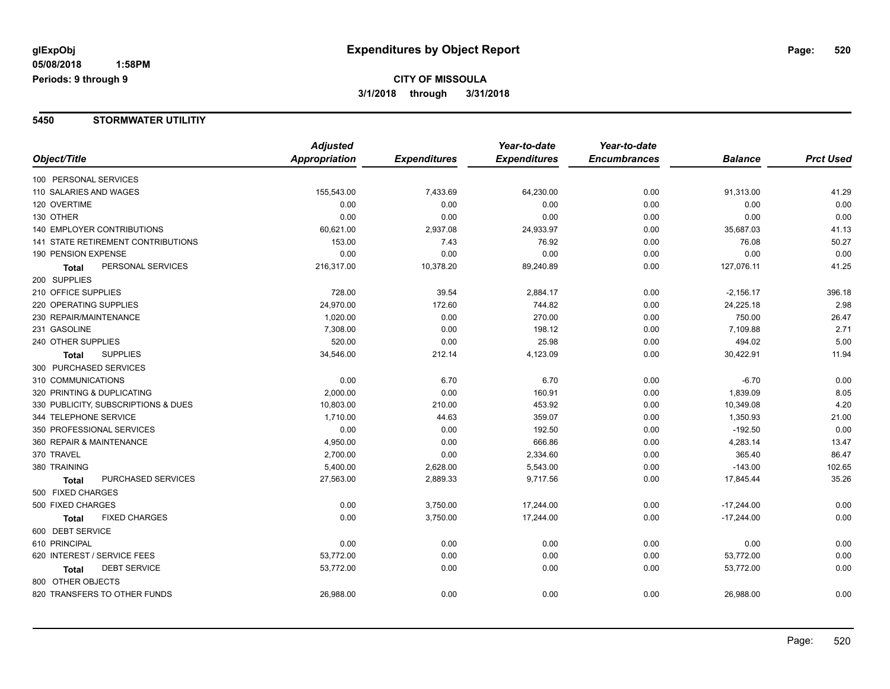#### **5450 STORMWATER UTILITIY**

|                                           | <b>Adjusted</b>      |                     | Year-to-date        | Year-to-date        |                |                  |
|-------------------------------------------|----------------------|---------------------|---------------------|---------------------|----------------|------------------|
| Object/Title                              | <b>Appropriation</b> | <b>Expenditures</b> | <b>Expenditures</b> | <b>Encumbrances</b> | <b>Balance</b> | <b>Prct Used</b> |
| 100 PERSONAL SERVICES                     |                      |                     |                     |                     |                |                  |
| 110 SALARIES AND WAGES                    | 155,543.00           | 7,433.69            | 64,230.00           | 0.00                | 91,313.00      | 41.29            |
| 120 OVERTIME                              | 0.00                 | 0.00                | 0.00                | 0.00                | 0.00           | 0.00             |
| 130 OTHER                                 | 0.00                 | 0.00                | 0.00                | 0.00                | 0.00           | 0.00             |
| 140 EMPLOYER CONTRIBUTIONS                | 60,621.00            | 2,937.08            | 24,933.97           | 0.00                | 35,687.03      | 41.13            |
| <b>141 STATE RETIREMENT CONTRIBUTIONS</b> | 153.00               | 7.43                | 76.92               | 0.00                | 76.08          | 50.27            |
| 190 PENSION EXPENSE                       | 0.00                 | 0.00                | 0.00                | 0.00                | 0.00           | 0.00             |
| PERSONAL SERVICES<br><b>Total</b>         | 216,317.00           | 10,378.20           | 89,240.89           | 0.00                | 127,076.11     | 41.25            |
| 200 SUPPLIES                              |                      |                     |                     |                     |                |                  |
| 210 OFFICE SUPPLIES                       | 728.00               | 39.54               | 2,884.17            | 0.00                | $-2,156.17$    | 396.18           |
| 220 OPERATING SUPPLIES                    | 24,970.00            | 172.60              | 744.82              | 0.00                | 24,225.18      | 2.98             |
| 230 REPAIR/MAINTENANCE                    | 1,020.00             | 0.00                | 270.00              | 0.00                | 750.00         | 26.47            |
| 231 GASOLINE                              | 7,308.00             | 0.00                | 198.12              | 0.00                | 7,109.88       | 2.71             |
| 240 OTHER SUPPLIES                        | 520.00               | 0.00                | 25.98               | 0.00                | 494.02         | 5.00             |
| <b>SUPPLIES</b><br><b>Total</b>           | 34,546.00            | 212.14              | 4,123.09            | 0.00                | 30,422.91      | 11.94            |
| 300 PURCHASED SERVICES                    |                      |                     |                     |                     |                |                  |
| 310 COMMUNICATIONS                        | 0.00                 | 6.70                | 6.70                | 0.00                | $-6.70$        | 0.00             |
| 320 PRINTING & DUPLICATING                | 2,000.00             | 0.00                | 160.91              | 0.00                | 1,839.09       | 8.05             |
| 330 PUBLICITY, SUBSCRIPTIONS & DUES       | 10,803.00            | 210.00              | 453.92              | 0.00                | 10,349.08      | 4.20             |
| 344 TELEPHONE SERVICE                     | 1,710.00             | 44.63               | 359.07              | 0.00                | 1,350.93       | 21.00            |
| 350 PROFESSIONAL SERVICES                 | 0.00                 | 0.00                | 192.50              | 0.00                | $-192.50$      | 0.00             |
| 360 REPAIR & MAINTENANCE                  | 4,950.00             | 0.00                | 666.86              | 0.00                | 4,283.14       | 13.47            |
| 370 TRAVEL                                | 2,700.00             | 0.00                | 2,334.60            | 0.00                | 365.40         | 86.47            |
| 380 TRAINING                              | 5,400.00             | 2,628.00            | 5,543.00            | 0.00                | $-143.00$      | 102.65           |
| PURCHASED SERVICES<br><b>Total</b>        | 27,563.00            | 2,889.33            | 9,717.56            | 0.00                | 17,845.44      | 35.26            |
| 500 FIXED CHARGES                         |                      |                     |                     |                     |                |                  |
| 500 FIXED CHARGES                         | 0.00                 | 3,750.00            | 17,244.00           | 0.00                | $-17,244.00$   | 0.00             |
| <b>FIXED CHARGES</b><br><b>Total</b>      | 0.00                 | 3,750.00            | 17,244.00           | 0.00                | $-17,244.00$   | 0.00             |
| 600 DEBT SERVICE                          |                      |                     |                     |                     |                |                  |
| 610 PRINCIPAL                             | 0.00                 | 0.00                | 0.00                | 0.00                | 0.00           | 0.00             |
| 620 INTEREST / SERVICE FEES               | 53,772.00            | 0.00                | 0.00                | 0.00                | 53,772.00      | 0.00             |
| <b>DEBT SERVICE</b><br>Total              | 53,772.00            | 0.00                | 0.00                | 0.00                | 53,772.00      | 0.00             |
| 800 OTHER OBJECTS                         |                      |                     |                     |                     |                |                  |
| 820 TRANSFERS TO OTHER FUNDS              | 26,988.00            | 0.00                | 0.00                | 0.00                | 26,988.00      | 0.00             |
|                                           |                      |                     |                     |                     |                |                  |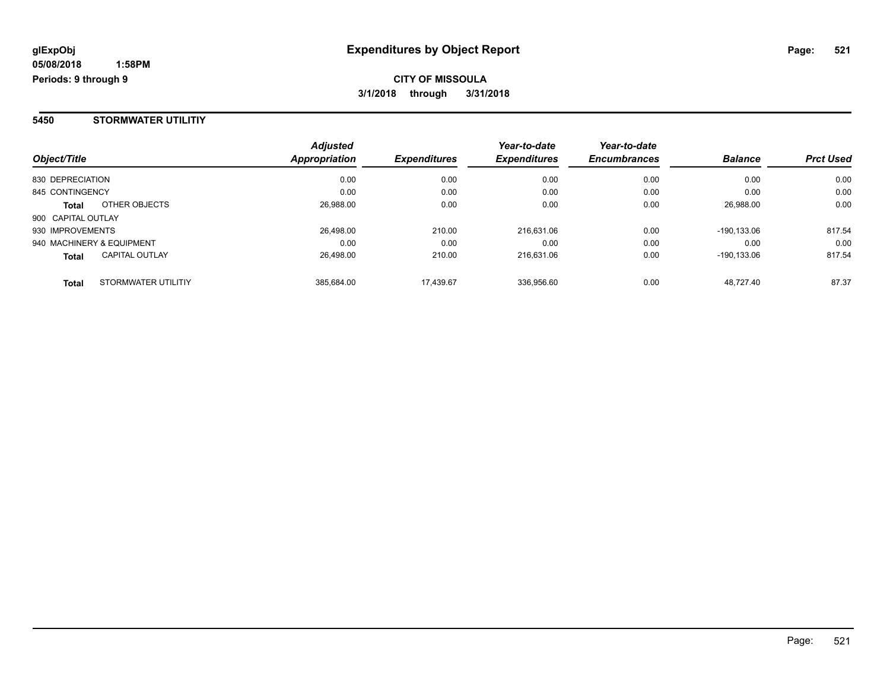#### **5450 STORMWATER UTILITIY**

| Object/Title                          | <b>Adjusted</b><br>Appropriation | <b>Expenditures</b> | Year-to-date<br><b>Expenditures</b> | Year-to-date<br><b>Encumbrances</b> | <b>Balance</b> | <b>Prct Used</b> |
|---------------------------------------|----------------------------------|---------------------|-------------------------------------|-------------------------------------|----------------|------------------|
| 830 DEPRECIATION                      | 0.00                             | 0.00                | 0.00                                | 0.00                                | 0.00           | 0.00             |
| 845 CONTINGENCY                       | 0.00                             | 0.00                | 0.00                                | 0.00                                | 0.00           | 0.00             |
| OTHER OBJECTS<br><b>Total</b>         | 26.988.00                        | 0.00                | 0.00                                | 0.00                                | 26,988.00      | 0.00             |
| 900 CAPITAL OUTLAY                    |                                  |                     |                                     |                                     |                |                  |
| 930 IMPROVEMENTS                      | 26,498.00                        | 210.00              | 216.631.06                          | 0.00                                | $-190.133.06$  | 817.54           |
| 940 MACHINERY & EQUIPMENT             | 0.00                             | 0.00                | 0.00                                | 0.00                                | 0.00           | 0.00             |
| <b>CAPITAL OUTLAY</b><br><b>Total</b> | 26.498.00                        | 210.00              | 216.631.06                          | 0.00                                | $-190.133.06$  | 817.54           |
| STORMWATER UTILITIY<br><b>Total</b>   | 385.684.00                       | 17.439.67           | 336.956.60                          | 0.00                                | 48.727.40      | 87.37            |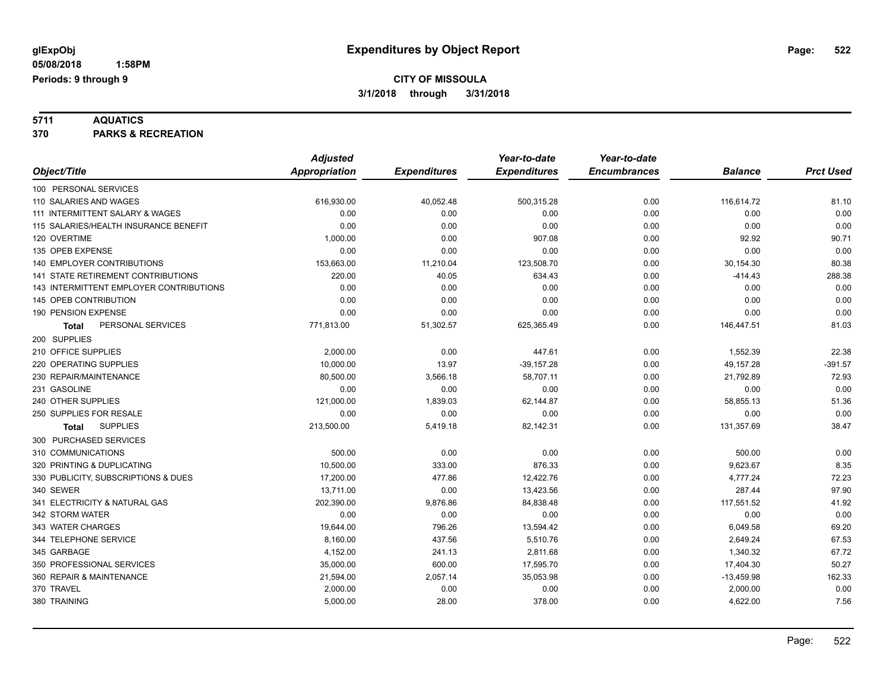**5711 AQUATICS 370 PARKS & RECREATION**

|                                           | <b>Adjusted</b>      |                     | Year-to-date        | Year-to-date        |                |                  |
|-------------------------------------------|----------------------|---------------------|---------------------|---------------------|----------------|------------------|
| Object/Title                              | <b>Appropriation</b> | <b>Expenditures</b> | <b>Expenditures</b> | <b>Encumbrances</b> | <b>Balance</b> | <b>Prct Used</b> |
| 100 PERSONAL SERVICES                     |                      |                     |                     |                     |                |                  |
| 110 SALARIES AND WAGES                    | 616,930.00           | 40,052.48           | 500,315.28          | 0.00                | 116,614.72     | 81.10            |
| 111 INTERMITTENT SALARY & WAGES           | 0.00                 | 0.00                | 0.00                | 0.00                | 0.00           | 0.00             |
| 115 SALARIES/HEALTH INSURANCE BENEFIT     | 0.00                 | 0.00                | 0.00                | 0.00                | 0.00           | 0.00             |
| 120 OVERTIME                              | 1,000.00             | 0.00                | 907.08              | 0.00                | 92.92          | 90.71            |
| 135 OPEB EXPENSE                          | 0.00                 | 0.00                | 0.00                | 0.00                | 0.00           | 0.00             |
| 140 EMPLOYER CONTRIBUTIONS                | 153,663.00           | 11,210.04           | 123,508.70          | 0.00                | 30,154.30      | 80.38            |
| <b>141 STATE RETIREMENT CONTRIBUTIONS</b> | 220.00               | 40.05               | 634.43              | 0.00                | $-414.43$      | 288.38           |
| 143 INTERMITTENT EMPLOYER CONTRIBUTIONS   | 0.00                 | 0.00                | 0.00                | 0.00                | 0.00           | 0.00             |
| 145 OPEB CONTRIBUTION                     | 0.00                 | 0.00                | 0.00                | 0.00                | 0.00           | 0.00             |
| 190 PENSION EXPENSE                       | 0.00                 | 0.00                | 0.00                | 0.00                | 0.00           | 0.00             |
| PERSONAL SERVICES<br><b>Total</b>         | 771,813.00           | 51,302.57           | 625,365.49          | 0.00                | 146,447.51     | 81.03            |
| 200 SUPPLIES                              |                      |                     |                     |                     |                |                  |
| 210 OFFICE SUPPLIES                       | 2,000.00             | 0.00                | 447.61              | 0.00                | 1,552.39       | 22.38            |
| 220 OPERATING SUPPLIES                    | 10,000.00            | 13.97               | $-39, 157.28$       | 0.00                | 49,157.28      | $-391.57$        |
| 230 REPAIR/MAINTENANCE                    | 80,500.00            | 3,566.18            | 58,707.11           | 0.00                | 21,792.89      | 72.93            |
| 231 GASOLINE                              | 0.00                 | 0.00                | 0.00                | 0.00                | 0.00           | 0.00             |
| 240 OTHER SUPPLIES                        | 121,000.00           | 1,839.03            | 62,144.87           | 0.00                | 58,855.13      | 51.36            |
| 250 SUPPLIES FOR RESALE                   | 0.00                 | 0.00                | 0.00                | 0.00                | 0.00           | 0.00             |
| <b>SUPPLIES</b><br><b>Total</b>           | 213,500.00           | 5,419.18            | 82,142.31           | 0.00                | 131,357.69     | 38.47            |
| 300 PURCHASED SERVICES                    |                      |                     |                     |                     |                |                  |
| 310 COMMUNICATIONS                        | 500.00               | 0.00                | 0.00                | 0.00                | 500.00         | 0.00             |
| 320 PRINTING & DUPLICATING                | 10,500.00            | 333.00              | 876.33              | 0.00                | 9,623.67       | 8.35             |
| 330 PUBLICITY, SUBSCRIPTIONS & DUES       | 17,200.00            | 477.86              | 12,422.76           | 0.00                | 4,777.24       | 72.23            |
| 340 SEWER                                 | 13,711.00            | 0.00                | 13,423.56           | 0.00                | 287.44         | 97.90            |
| 341 ELECTRICITY & NATURAL GAS             | 202,390.00           | 9,876.86            | 84,838.48           | 0.00                | 117,551.52     | 41.92            |
| 342 STORM WATER                           | 0.00                 | 0.00                | 0.00                | 0.00                | 0.00           | 0.00             |
| 343 WATER CHARGES                         | 19,644.00            | 796.26              | 13,594.42           | 0.00                | 6,049.58       | 69.20            |
| 344 TELEPHONE SERVICE                     | 8,160.00             | 437.56              | 5,510.76            | 0.00                | 2,649.24       | 67.53            |
| 345 GARBAGE                               | 4,152.00             | 241.13              | 2,811.68            | 0.00                | 1,340.32       | 67.72            |
| 350 PROFESSIONAL SERVICES                 | 35,000.00            | 600.00              | 17,595.70           | 0.00                | 17,404.30      | 50.27            |
| 360 REPAIR & MAINTENANCE                  | 21,594.00            | 2,057.14            | 35,053.98           | 0.00                | $-13,459.98$   | 162.33           |
| 370 TRAVEL                                | 2,000.00             | 0.00                | 0.00                | 0.00                | 2,000.00       | 0.00             |
| 380 TRAINING                              | 5,000.00             | 28.00               | 378.00              | 0.00                | 4,622.00       | 7.56             |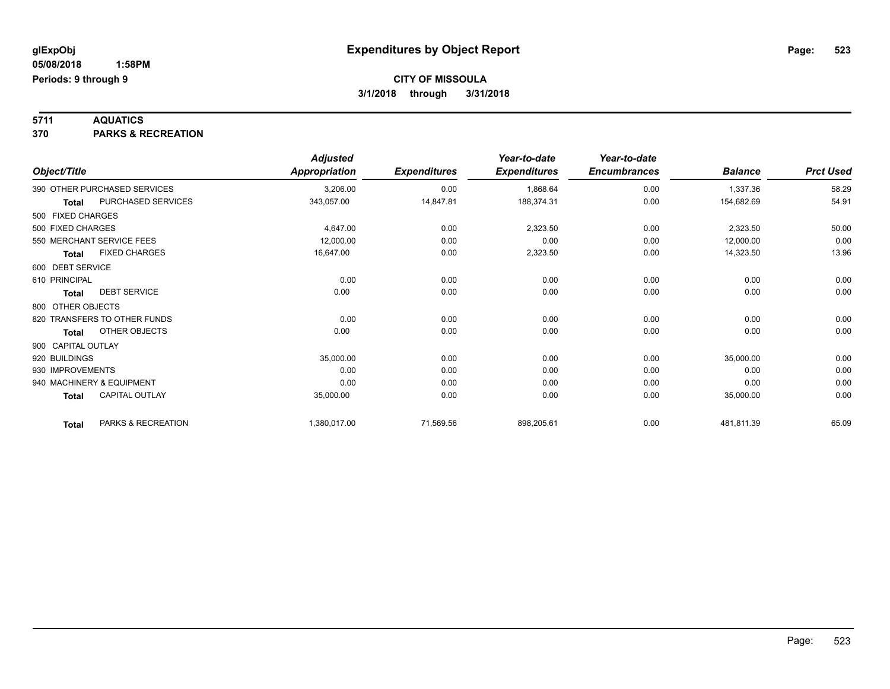**5711 AQUATICS 370 PARKS & RECREATION**

|                              |                       | <b>Adjusted</b>      |                     | Year-to-date        | Year-to-date        |                |                  |
|------------------------------|-----------------------|----------------------|---------------------|---------------------|---------------------|----------------|------------------|
| Object/Title                 |                       | <b>Appropriation</b> | <b>Expenditures</b> | <b>Expenditures</b> | <b>Encumbrances</b> | <b>Balance</b> | <b>Prct Used</b> |
| 390 OTHER PURCHASED SERVICES |                       | 3,206.00             | 0.00                | 1,868.64            | 0.00                | 1,337.36       | 58.29            |
| <b>Total</b>                 | PURCHASED SERVICES    | 343,057.00           | 14,847.81           | 188,374.31          | 0.00                | 154,682.69     | 54.91            |
| 500 FIXED CHARGES            |                       |                      |                     |                     |                     |                |                  |
| 500 FIXED CHARGES            |                       | 4,647.00             | 0.00                | 2,323.50            | 0.00                | 2,323.50       | 50.00            |
| 550 MERCHANT SERVICE FEES    |                       | 12,000.00            | 0.00                | 0.00                | 0.00                | 12,000.00      | 0.00             |
| <b>Total</b>                 | <b>FIXED CHARGES</b>  | 16,647.00            | 0.00                | 2,323.50            | 0.00                | 14,323.50      | 13.96            |
| 600 DEBT SERVICE             |                       |                      |                     |                     |                     |                |                  |
| 610 PRINCIPAL                |                       | 0.00                 | 0.00                | 0.00                | 0.00                | 0.00           | 0.00             |
| <b>Total</b>                 | <b>DEBT SERVICE</b>   | 0.00                 | 0.00                | 0.00                | 0.00                | 0.00           | 0.00             |
| 800 OTHER OBJECTS            |                       |                      |                     |                     |                     |                |                  |
| 820 TRANSFERS TO OTHER FUNDS |                       | 0.00                 | 0.00                | 0.00                | 0.00                | 0.00           | 0.00             |
| <b>Total</b>                 | OTHER OBJECTS         | 0.00                 | 0.00                | 0.00                | 0.00                | 0.00           | 0.00             |
| 900 CAPITAL OUTLAY           |                       |                      |                     |                     |                     |                |                  |
| 920 BUILDINGS                |                       | 35,000.00            | 0.00                | 0.00                | 0.00                | 35,000.00      | 0.00             |
| 930 IMPROVEMENTS             |                       | 0.00                 | 0.00                | 0.00                | 0.00                | 0.00           | 0.00             |
| 940 MACHINERY & EQUIPMENT    |                       | 0.00                 | 0.00                | 0.00                | 0.00                | 0.00           | 0.00             |
| <b>Total</b>                 | <b>CAPITAL OUTLAY</b> | 35,000.00            | 0.00                | 0.00                | 0.00                | 35,000.00      | 0.00             |
| <b>Total</b>                 | PARKS & RECREATION    | 1,380,017.00         | 71,569.56           | 898,205.61          | 0.00                | 481,811.39     | 65.09            |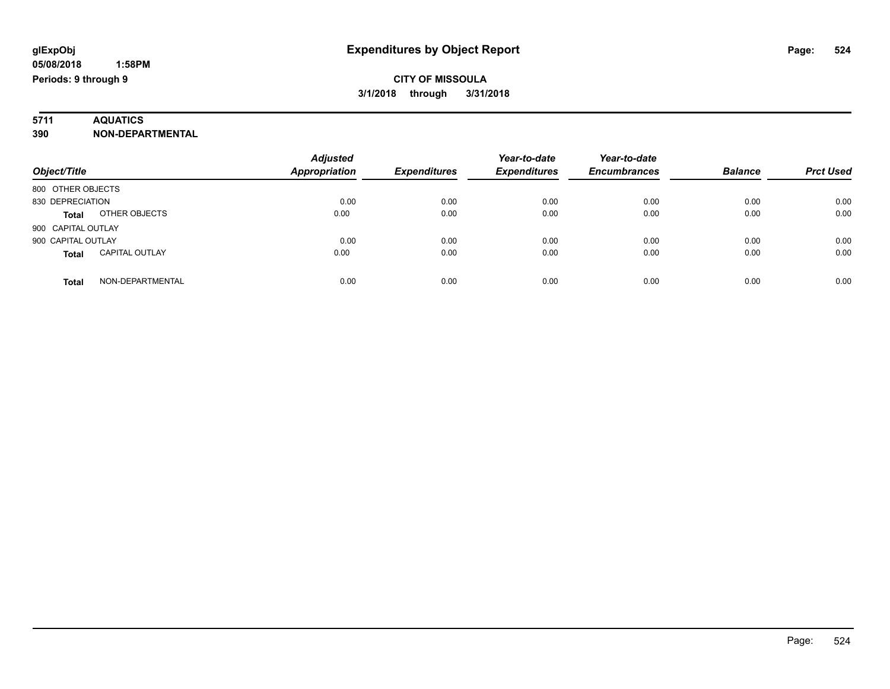# **5711 AQUATICS**

#### **390 NON-DEPARTMENTAL**

| Object/Title                          | <b>Adjusted</b><br><b>Appropriation</b> | <b>Expenditures</b> | Year-to-date<br><b>Expenditures</b> | Year-to-date<br><b>Encumbrances</b> | <b>Balance</b> | <b>Prct Used</b> |
|---------------------------------------|-----------------------------------------|---------------------|-------------------------------------|-------------------------------------|----------------|------------------|
| 800 OTHER OBJECTS                     |                                         |                     |                                     |                                     |                |                  |
| 830 DEPRECIATION                      | 0.00                                    | 0.00                | 0.00                                | 0.00                                | 0.00           | 0.00             |
| OTHER OBJECTS<br><b>Total</b>         | 0.00                                    | 0.00                | 0.00                                | 0.00                                | 0.00           | 0.00             |
| 900 CAPITAL OUTLAY                    |                                         |                     |                                     |                                     |                |                  |
| 900 CAPITAL OUTLAY                    | 0.00                                    | 0.00                | 0.00                                | 0.00                                | 0.00           | 0.00             |
| <b>CAPITAL OUTLAY</b><br><b>Total</b> | 0.00                                    | 0.00                | 0.00                                | 0.00                                | 0.00           | 0.00             |
| NON-DEPARTMENTAL<br>Total             | 0.00                                    | 0.00                | 0.00                                | 0.00                                | 0.00           | 0.00             |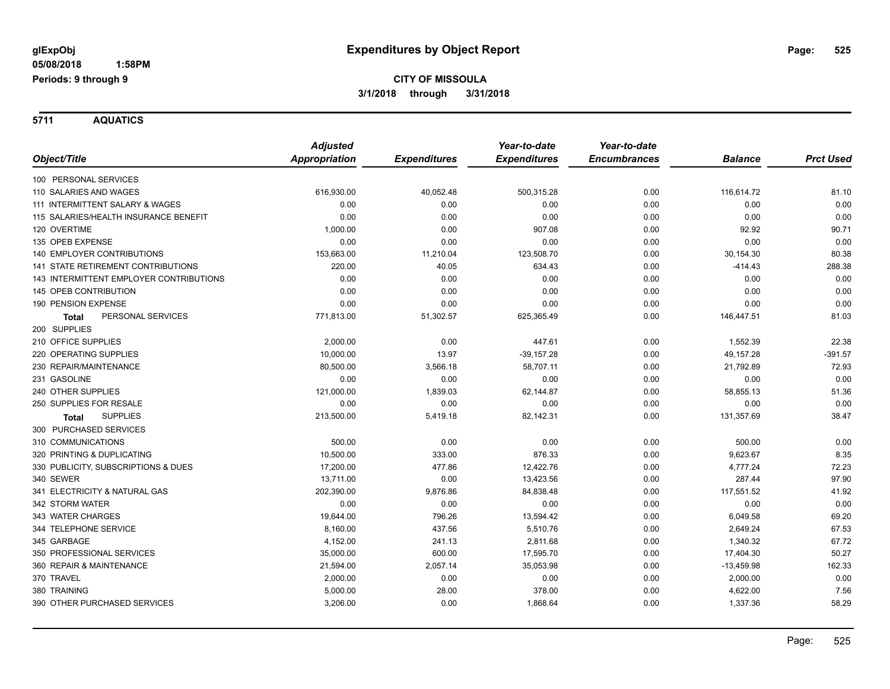**5711 AQUATICS**

|                                           | <b>Adjusted</b>      |                     | Year-to-date        | Year-to-date        |                |                  |
|-------------------------------------------|----------------------|---------------------|---------------------|---------------------|----------------|------------------|
| Object/Title                              | <b>Appropriation</b> | <b>Expenditures</b> | <b>Expenditures</b> | <b>Encumbrances</b> | <b>Balance</b> | <b>Prct Used</b> |
| 100 PERSONAL SERVICES                     |                      |                     |                     |                     |                |                  |
| 110 SALARIES AND WAGES                    | 616,930.00           | 40,052.48           | 500,315.28          | 0.00                | 116,614.72     | 81.10            |
| 111 INTERMITTENT SALARY & WAGES           | 0.00                 | 0.00                | 0.00                | 0.00                | 0.00           | 0.00             |
| 115 SALARIES/HEALTH INSURANCE BENEFIT     | 0.00                 | 0.00                | 0.00                | 0.00                | 0.00           | 0.00             |
| 120 OVERTIME                              | 1,000.00             | 0.00                | 907.08              | 0.00                | 92.92          | 90.71            |
| 135 OPEB EXPENSE                          | 0.00                 | 0.00                | 0.00                | 0.00                | 0.00           | 0.00             |
| 140 EMPLOYER CONTRIBUTIONS                | 153,663.00           | 11,210.04           | 123,508.70          | 0.00                | 30,154.30      | 80.38            |
| <b>141 STATE RETIREMENT CONTRIBUTIONS</b> | 220.00               | 40.05               | 634.43              | 0.00                | $-414.43$      | 288.38           |
| 143 INTERMITTENT EMPLOYER CONTRIBUTIONS   | 0.00                 | 0.00                | 0.00                | 0.00                | 0.00           | 0.00             |
| <b>145 OPEB CONTRIBUTION</b>              | 0.00                 | 0.00                | 0.00                | 0.00                | 0.00           | 0.00             |
| 190 PENSION EXPENSE                       | 0.00                 | 0.00                | 0.00                | 0.00                | 0.00           | 0.00             |
| PERSONAL SERVICES<br>Total                | 771,813.00           | 51,302.57           | 625,365.49          | 0.00                | 146,447.51     | 81.03            |
| 200 SUPPLIES                              |                      |                     |                     |                     |                |                  |
| 210 OFFICE SUPPLIES                       | 2,000.00             | 0.00                | 447.61              | 0.00                | 1,552.39       | 22.38            |
| 220 OPERATING SUPPLIES                    | 10,000.00            | 13.97               | $-39,157.28$        | 0.00                | 49,157.28      | $-391.57$        |
| 230 REPAIR/MAINTENANCE                    | 80,500.00            | 3,566.18            | 58,707.11           | 0.00                | 21,792.89      | 72.93            |
| 231 GASOLINE                              | 0.00                 | 0.00                | 0.00                | 0.00                | 0.00           | 0.00             |
| 240 OTHER SUPPLIES                        | 121,000.00           | 1,839.03            | 62,144.87           | 0.00                | 58,855.13      | 51.36            |
| 250 SUPPLIES FOR RESALE                   | 0.00                 | 0.00                | 0.00                | 0.00                | 0.00           | 0.00             |
| <b>SUPPLIES</b><br>Total                  | 213,500.00           | 5,419.18            | 82,142.31           | 0.00                | 131,357.69     | 38.47            |
| 300 PURCHASED SERVICES                    |                      |                     |                     |                     |                |                  |
| 310 COMMUNICATIONS                        | 500.00               | 0.00                | 0.00                | 0.00                | 500.00         | 0.00             |
| 320 PRINTING & DUPLICATING                | 10,500.00            | 333.00              | 876.33              | 0.00                | 9,623.67       | 8.35             |
| 330 PUBLICITY, SUBSCRIPTIONS & DUES       | 17,200.00            | 477.86              | 12,422.76           | 0.00                | 4,777.24       | 72.23            |
| 340 SEWER                                 | 13,711.00            | 0.00                | 13,423.56           | 0.00                | 287.44         | 97.90            |
| 341 ELECTRICITY & NATURAL GAS             | 202,390.00           | 9,876.86            | 84,838.48           | 0.00                | 117,551.52     | 41.92            |
| 342 STORM WATER                           | 0.00                 | 0.00                | 0.00                | 0.00                | 0.00           | 0.00             |
| 343 WATER CHARGES                         | 19,644.00            | 796.26              | 13,594.42           | 0.00                | 6,049.58       | 69.20            |
| 344 TELEPHONE SERVICE                     | 8,160.00             | 437.56              | 5,510.76            | 0.00                | 2,649.24       | 67.53            |
| 345 GARBAGE                               | 4,152.00             | 241.13              | 2,811.68            | 0.00                | 1,340.32       | 67.72            |
| 350 PROFESSIONAL SERVICES                 | 35,000.00            | 600.00              | 17,595.70           | 0.00                | 17,404.30      | 50.27            |
| 360 REPAIR & MAINTENANCE                  | 21,594.00            | 2,057.14            | 35,053.98           | 0.00                | $-13,459.98$   | 162.33           |
| 370 TRAVEL                                | 2,000.00             | 0.00                | 0.00                | 0.00                | 2,000.00       | 0.00             |
| 380 TRAINING                              | 5,000.00             | 28.00               | 378.00              | 0.00                | 4,622.00       | 7.56             |
| 390 OTHER PURCHASED SERVICES              | 3,206.00             | 0.00                | 1,868.64            | 0.00                | 1,337.36       | 58.29            |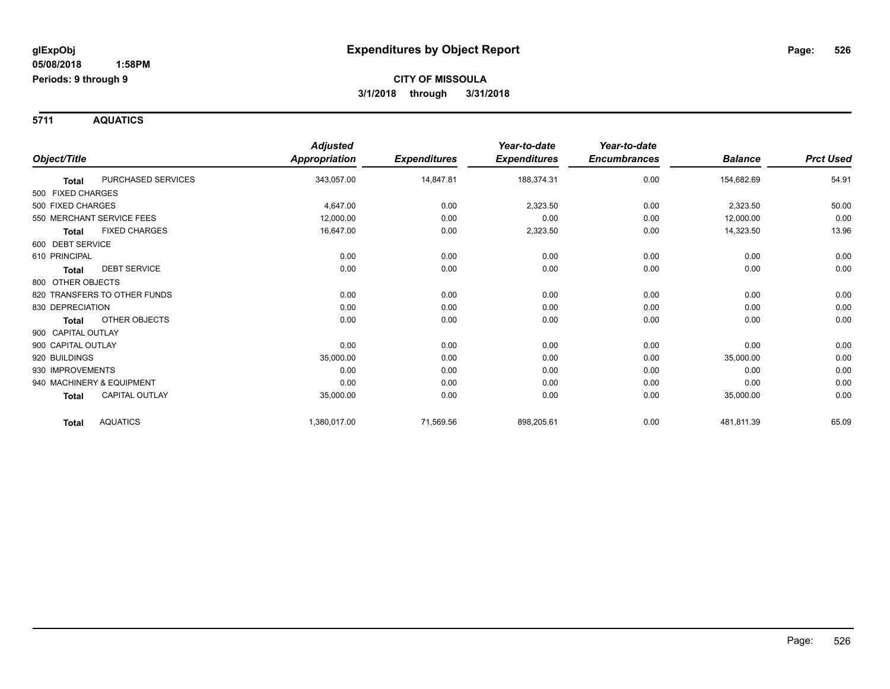**5711 AQUATICS**

|                                      | <b>Adjusted</b> |                     | Year-to-date        | Year-to-date        |                |                  |
|--------------------------------------|-----------------|---------------------|---------------------|---------------------|----------------|------------------|
| Object/Title                         | Appropriation   | <b>Expenditures</b> | <b>Expenditures</b> | <b>Encumbrances</b> | <b>Balance</b> | <b>Prct Used</b> |
| PURCHASED SERVICES<br><b>Total</b>   | 343,057.00      | 14,847.81           | 188,374.31          | 0.00                | 154,682.69     | 54.91            |
| 500 FIXED CHARGES                    |                 |                     |                     |                     |                |                  |
| 500 FIXED CHARGES                    | 4,647.00        | 0.00                | 2,323.50            | 0.00                | 2,323.50       | 50.00            |
| 550 MERCHANT SERVICE FEES            | 12,000.00       | 0.00                | 0.00                | 0.00                | 12,000.00      | 0.00             |
| <b>FIXED CHARGES</b><br><b>Total</b> | 16,647.00       | 0.00                | 2,323.50            | 0.00                | 14,323.50      | 13.96            |
| 600 DEBT SERVICE                     |                 |                     |                     |                     |                |                  |
| 610 PRINCIPAL                        | 0.00            | 0.00                | 0.00                | 0.00                | 0.00           | 0.00             |
| <b>DEBT SERVICE</b><br>Total         | 0.00            | 0.00                | 0.00                | 0.00                | 0.00           | 0.00             |
| 800 OTHER OBJECTS                    |                 |                     |                     |                     |                |                  |
| 820 TRANSFERS TO OTHER FUNDS         | 0.00            | 0.00                | 0.00                | 0.00                | 0.00           | 0.00             |
| 830 DEPRECIATION                     | 0.00            | 0.00                | 0.00                | 0.00                | 0.00           | 0.00             |
| <b>OTHER OBJECTS</b><br>Total        | 0.00            | 0.00                | 0.00                | 0.00                | 0.00           | 0.00             |
| 900 CAPITAL OUTLAY                   |                 |                     |                     |                     |                |                  |
| 900 CAPITAL OUTLAY                   | 0.00            | 0.00                | 0.00                | 0.00                | 0.00           | 0.00             |
| 920 BUILDINGS                        | 35,000.00       | 0.00                | 0.00                | 0.00                | 35,000.00      | 0.00             |
| 930 IMPROVEMENTS                     | 0.00            | 0.00                | 0.00                | 0.00                | 0.00           | 0.00             |
| 940 MACHINERY & EQUIPMENT            | 0.00            | 0.00                | 0.00                | 0.00                | 0.00           | 0.00             |
| CAPITAL OUTLAY<br><b>Total</b>       | 35,000.00       | 0.00                | 0.00                | 0.00                | 35,000.00      | 0.00             |
| <b>AQUATICS</b><br><b>Total</b>      | 1,380,017.00    | 71,569.56           | 898,205.61          | 0.00                | 481,811.39     | 65.09            |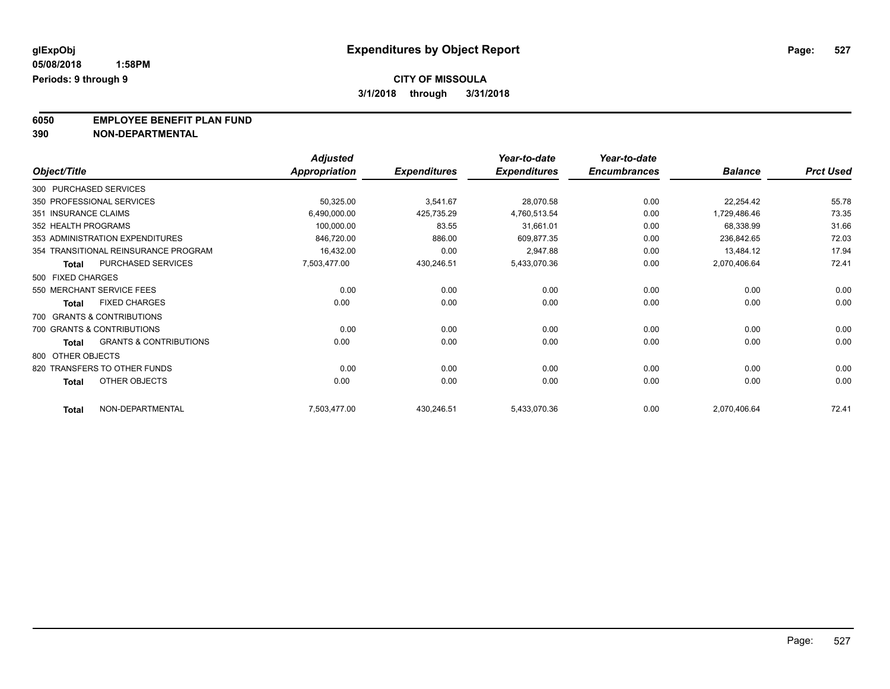**6050 EMPLOYEE BENEFIT PLAN FUND**<br>390 NON-DEPARTMENTAL

**390 NON-DEPARTMENTAL**

|                      |                                      | <b>Adjusted</b>      |                     | Year-to-date        | Year-to-date        |                |                  |
|----------------------|--------------------------------------|----------------------|---------------------|---------------------|---------------------|----------------|------------------|
| Object/Title         |                                      | <b>Appropriation</b> | <b>Expenditures</b> | <b>Expenditures</b> | <b>Encumbrances</b> | <b>Balance</b> | <b>Prct Used</b> |
|                      | 300 PURCHASED SERVICES               |                      |                     |                     |                     |                |                  |
|                      | 350 PROFESSIONAL SERVICES            | 50,325.00            | 3,541.67            | 28,070.58           | 0.00                | 22,254.42      | 55.78            |
| 351 INSURANCE CLAIMS |                                      | 6,490,000.00         | 425,735.29          | 4,760,513.54        | 0.00                | 1,729,486.46   | 73.35            |
| 352 HEALTH PROGRAMS  |                                      | 100,000.00           | 83.55               | 31,661.01           | 0.00                | 68,338.99      | 31.66            |
|                      | 353 ADMINISTRATION EXPENDITURES      | 846,720.00           | 886.00              | 609,877.35          | 0.00                | 236,842.65     | 72.03            |
|                      | 354 TRANSITIONAL REINSURANCE PROGRAM | 16,432.00            | 0.00                | 2,947.88            | 0.00                | 13,484.12      | 17.94            |
| <b>Total</b>         | PURCHASED SERVICES                   | 7,503,477.00         | 430,246.51          | 5,433,070.36        | 0.00                | 2,070,406.64   | 72.41            |
| 500 FIXED CHARGES    |                                      |                      |                     |                     |                     |                |                  |
|                      | 550 MERCHANT SERVICE FEES            | 0.00                 | 0.00                | 0.00                | 0.00                | 0.00           | 0.00             |
| <b>Total</b>         | <b>FIXED CHARGES</b>                 | 0.00                 | 0.00                | 0.00                | 0.00                | 0.00           | 0.00             |
|                      | 700 GRANTS & CONTRIBUTIONS           |                      |                     |                     |                     |                |                  |
|                      | 700 GRANTS & CONTRIBUTIONS           | 0.00                 | 0.00                | 0.00                | 0.00                | 0.00           | 0.00             |
| <b>Total</b>         | <b>GRANTS &amp; CONTRIBUTIONS</b>    | 0.00                 | 0.00                | 0.00                | 0.00                | 0.00           | 0.00             |
| 800 OTHER OBJECTS    |                                      |                      |                     |                     |                     |                |                  |
|                      | 820 TRANSFERS TO OTHER FUNDS         | 0.00                 | 0.00                | 0.00                | 0.00                | 0.00           | 0.00             |
| <b>Total</b>         | <b>OTHER OBJECTS</b>                 | 0.00                 | 0.00                | 0.00                | 0.00                | 0.00           | 0.00             |
| <b>Total</b>         | NON-DEPARTMENTAL                     | 7,503,477.00         | 430,246.51          | 5,433,070.36        | 0.00                | 2,070,406.64   | 72.41            |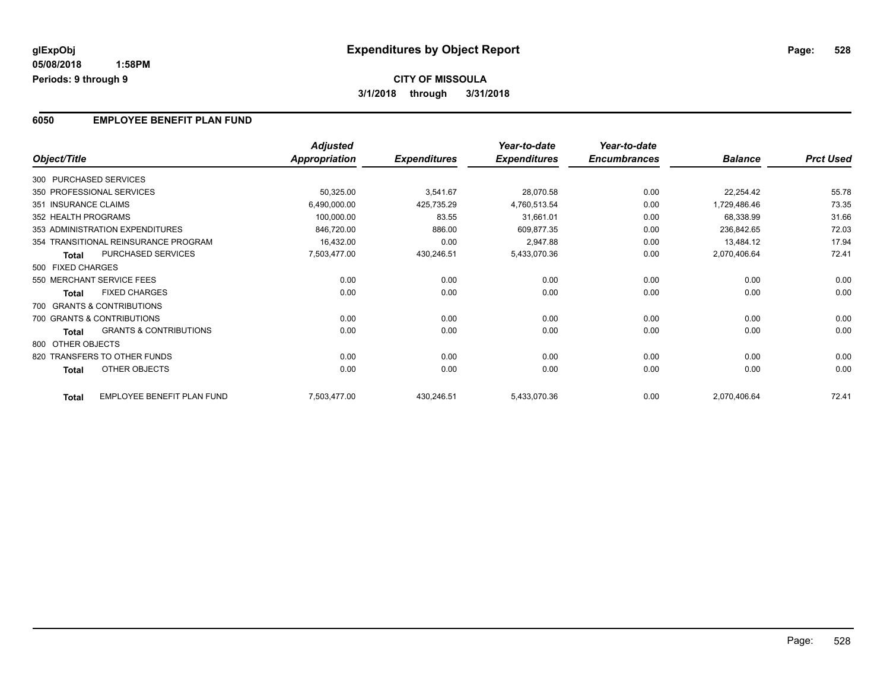#### **6050 EMPLOYEE BENEFIT PLAN FUND**

|                      |                                      | <b>Adjusted</b>      |                     | Year-to-date        | Year-to-date        |                |                  |
|----------------------|--------------------------------------|----------------------|---------------------|---------------------|---------------------|----------------|------------------|
| Object/Title         |                                      | <b>Appropriation</b> | <b>Expenditures</b> | <b>Expenditures</b> | <b>Encumbrances</b> | <b>Balance</b> | <b>Prct Used</b> |
|                      | 300 PURCHASED SERVICES               |                      |                     |                     |                     |                |                  |
|                      | 350 PROFESSIONAL SERVICES            | 50,325.00            | 3,541.67            | 28,070.58           | 0.00                | 22,254.42      | 55.78            |
| 351 INSURANCE CLAIMS |                                      | 6,490,000.00         | 425,735.29          | 4,760,513.54        | 0.00                | 1,729,486.46   | 73.35            |
| 352 HEALTH PROGRAMS  |                                      | 100,000.00           | 83.55               | 31,661.01           | 0.00                | 68,338.99      | 31.66            |
|                      | 353 ADMINISTRATION EXPENDITURES      | 846,720.00           | 886.00              | 609,877.35          | 0.00                | 236,842.65     | 72.03            |
|                      | 354 TRANSITIONAL REINSURANCE PROGRAM | 16,432.00            | 0.00                | 2,947.88            | 0.00                | 13,484.12      | 17.94            |
| <b>Total</b>         | PURCHASED SERVICES                   | 7,503,477.00         | 430,246.51          | 5,433,070.36        | 0.00                | 2,070,406.64   | 72.41            |
| 500 FIXED CHARGES    |                                      |                      |                     |                     |                     |                |                  |
|                      | 550 MERCHANT SERVICE FEES            | 0.00                 | 0.00                | 0.00                | 0.00                | 0.00           | 0.00             |
| <b>Total</b>         | <b>FIXED CHARGES</b>                 | 0.00                 | 0.00                | 0.00                | 0.00                | 0.00           | 0.00             |
|                      | 700 GRANTS & CONTRIBUTIONS           |                      |                     |                     |                     |                |                  |
|                      | 700 GRANTS & CONTRIBUTIONS           | 0.00                 | 0.00                | 0.00                | 0.00                | 0.00           | 0.00             |
| Total                | <b>GRANTS &amp; CONTRIBUTIONS</b>    | 0.00                 | 0.00                | 0.00                | 0.00                | 0.00           | 0.00             |
| 800 OTHER OBJECTS    |                                      |                      |                     |                     |                     |                |                  |
|                      | 820 TRANSFERS TO OTHER FUNDS         | 0.00                 | 0.00                | 0.00                | 0.00                | 0.00           | 0.00             |
| Total                | OTHER OBJECTS                        | 0.00                 | 0.00                | 0.00                | 0.00                | 0.00           | 0.00             |
| <b>Total</b>         | EMPLOYEE BENEFIT PLAN FUND           | 7,503,477.00         | 430,246.51          | 5,433,070.36        | 0.00                | 2,070,406.64   | 72.41            |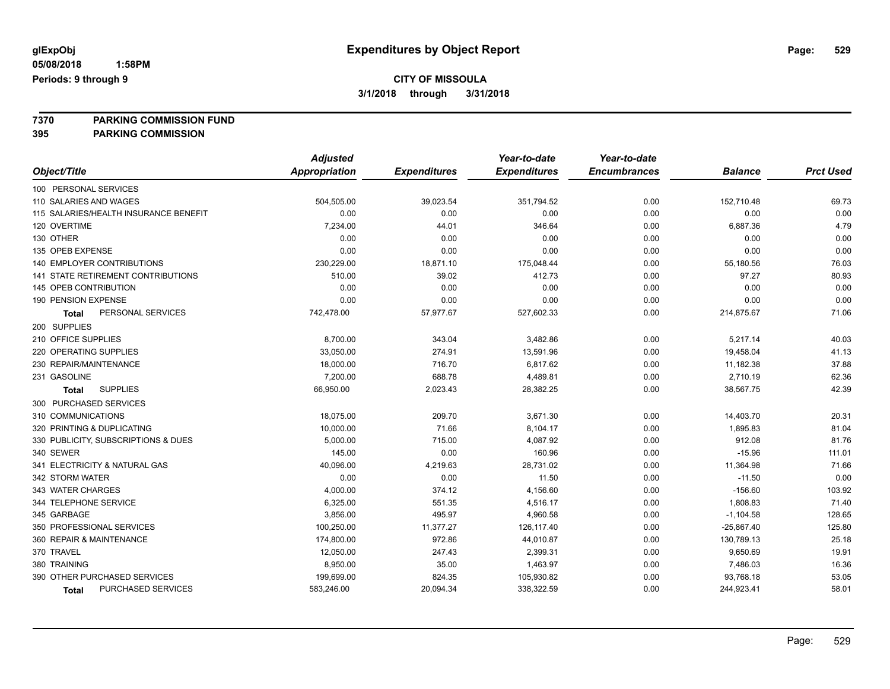### **CITY OF MISSOULA**

**3/1/2018 through 3/31/2018**

**7370 PARKING COMMISSION FUND**

**395 PARKING COMMISSION**

|                                       | <b>Adjusted</b> |                     | Year-to-date        | Year-to-date        |                |                  |
|---------------------------------------|-----------------|---------------------|---------------------|---------------------|----------------|------------------|
| Object/Title                          | Appropriation   | <b>Expenditures</b> | <b>Expenditures</b> | <b>Encumbrances</b> | <b>Balance</b> | <b>Prct Used</b> |
| 100 PERSONAL SERVICES                 |                 |                     |                     |                     |                |                  |
| 110 SALARIES AND WAGES                | 504,505.00      | 39,023.54           | 351,794.52          | 0.00                | 152,710.48     | 69.73            |
| 115 SALARIES/HEALTH INSURANCE BENEFIT | 0.00            | 0.00                | 0.00                | 0.00                | 0.00           | 0.00             |
| 120 OVERTIME                          | 7,234.00        | 44.01               | 346.64              | 0.00                | 6,887.36       | 4.79             |
| 130 OTHER                             | 0.00            | 0.00                | 0.00                | 0.00                | 0.00           | 0.00             |
| 135 OPEB EXPENSE                      | 0.00            | 0.00                | 0.00                | 0.00                | 0.00           | 0.00             |
| <b>140 EMPLOYER CONTRIBUTIONS</b>     | 230,229.00      | 18,871.10           | 175,048.44          | 0.00                | 55,180.56      | 76.03            |
| 141 STATE RETIREMENT CONTRIBUTIONS    | 510.00          | 39.02               | 412.73              | 0.00                | 97.27          | 80.93            |
| 145 OPEB CONTRIBUTION                 | 0.00            | 0.00                | 0.00                | 0.00                | 0.00           | 0.00             |
| 190 PENSION EXPENSE                   | 0.00            | 0.00                | 0.00                | 0.00                | 0.00           | 0.00             |
| PERSONAL SERVICES<br><b>Total</b>     | 742,478.00      | 57,977.67           | 527,602.33          | 0.00                | 214,875.67     | 71.06            |
| 200 SUPPLIES                          |                 |                     |                     |                     |                |                  |
| 210 OFFICE SUPPLIES                   | 8,700.00        | 343.04              | 3,482.86            | 0.00                | 5,217.14       | 40.03            |
| 220 OPERATING SUPPLIES                | 33,050.00       | 274.91              | 13,591.96           | 0.00                | 19,458.04      | 41.13            |
| 230 REPAIR/MAINTENANCE                | 18,000.00       | 716.70              | 6,817.62            | 0.00                | 11,182.38      | 37.88            |
| 231 GASOLINE                          | 7,200.00        | 688.78              | 4,489.81            | 0.00                | 2,710.19       | 62.36            |
| <b>SUPPLIES</b><br>Total              | 66,950.00       | 2,023.43            | 28,382.25           | 0.00                | 38,567.75      | 42.39            |
| 300 PURCHASED SERVICES                |                 |                     |                     |                     |                |                  |
| 310 COMMUNICATIONS                    | 18,075.00       | 209.70              | 3,671.30            | 0.00                | 14,403.70      | 20.31            |
| 320 PRINTING & DUPLICATING            | 10,000.00       | 71.66               | 8,104.17            | 0.00                | 1,895.83       | 81.04            |
| 330 PUBLICITY, SUBSCRIPTIONS & DUES   | 5,000.00        | 715.00              | 4,087.92            | 0.00                | 912.08         | 81.76            |
| 340 SEWER                             | 145.00          | 0.00                | 160.96              | 0.00                | $-15.96$       | 111.01           |
| 341 ELECTRICITY & NATURAL GAS         | 40,096.00       | 4,219.63            | 28,731.02           | 0.00                | 11,364.98      | 71.66            |
| 342 STORM WATER                       | 0.00            | 0.00                | 11.50               | 0.00                | $-11.50$       | 0.00             |
| 343 WATER CHARGES                     | 4,000.00        | 374.12              | 4,156.60            | 0.00                | $-156.60$      | 103.92           |
| 344 TELEPHONE SERVICE                 | 6,325.00        | 551.35              | 4,516.17            | 0.00                | 1,808.83       | 71.40            |
| 345 GARBAGE                           | 3,856.00        | 495.97              | 4,960.58            | 0.00                | $-1,104.58$    | 128.65           |
| 350 PROFESSIONAL SERVICES             | 100,250.00      | 11,377.27           | 126,117.40          | 0.00                | $-25,867.40$   | 125.80           |
| 360 REPAIR & MAINTENANCE              | 174,800.00      | 972.86              | 44,010.87           | 0.00                | 130,789.13     | 25.18            |
| 370 TRAVEL                            | 12,050.00       | 247.43              | 2,399.31            | 0.00                | 9,650.69       | 19.91            |
| 380 TRAINING                          | 8,950.00        | 35.00               | 1,463.97            | 0.00                | 7,486.03       | 16.36            |
| 390 OTHER PURCHASED SERVICES          | 199,699.00      | 824.35              | 105,930.82          | 0.00                | 93,768.18      | 53.05            |
| PURCHASED SERVICES<br>Total           | 583,246.00      | 20,094.34           | 338,322.59          | 0.00                | 244,923.41     | 58.01            |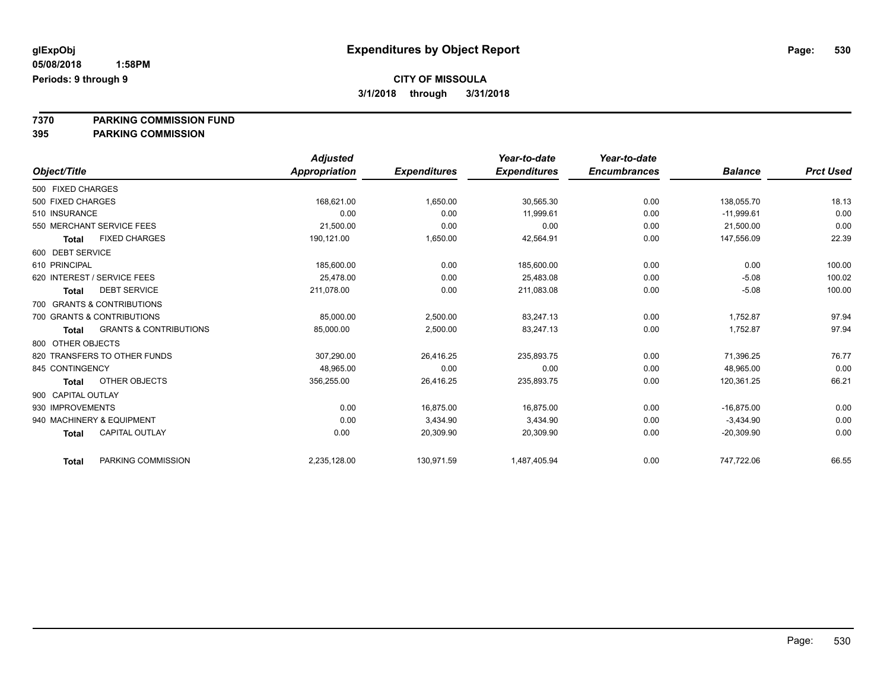### **CITY OF MISSOULA**

**3/1/2018 through 3/31/2018**

**7370 PARKING COMMISSION FUND**

**395 PARKING COMMISSION**

|                    |                                   | <b>Adjusted</b> |                     | Year-to-date        | Year-to-date        |                |                  |
|--------------------|-----------------------------------|-----------------|---------------------|---------------------|---------------------|----------------|------------------|
| Object/Title       |                                   | Appropriation   | <b>Expenditures</b> | <b>Expenditures</b> | <b>Encumbrances</b> | <b>Balance</b> | <b>Prct Used</b> |
| 500 FIXED CHARGES  |                                   |                 |                     |                     |                     |                |                  |
| 500 FIXED CHARGES  |                                   | 168,621.00      | 1,650.00            | 30,565.30           | 0.00                | 138,055.70     | 18.13            |
| 510 INSURANCE      |                                   | 0.00            | 0.00                | 11,999.61           | 0.00                | $-11,999.61$   | 0.00             |
|                    | 550 MERCHANT SERVICE FEES         | 21,500.00       | 0.00                | 0.00                | 0.00                | 21,500.00      | 0.00             |
| <b>Total</b>       | <b>FIXED CHARGES</b>              | 190,121.00      | 1,650.00            | 42,564.91           | 0.00                | 147,556.09     | 22.39            |
| 600 DEBT SERVICE   |                                   |                 |                     |                     |                     |                |                  |
| 610 PRINCIPAL      |                                   | 185,600.00      | 0.00                | 185,600.00          | 0.00                | 0.00           | 100.00           |
|                    | 620 INTEREST / SERVICE FEES       | 25.478.00       | 0.00                | 25,483.08           | 0.00                | $-5.08$        | 100.02           |
| <b>Total</b>       | <b>DEBT SERVICE</b>               | 211.078.00      | 0.00                | 211,083.08          | 0.00                | $-5.08$        | 100.00           |
|                    | 700 GRANTS & CONTRIBUTIONS        |                 |                     |                     |                     |                |                  |
|                    | 700 GRANTS & CONTRIBUTIONS        | 85,000.00       | 2,500.00            | 83,247.13           | 0.00                | 1,752.87       | 97.94            |
| <b>Total</b>       | <b>GRANTS &amp; CONTRIBUTIONS</b> | 85,000.00       | 2,500.00            | 83,247.13           | 0.00                | 1,752.87       | 97.94            |
| 800 OTHER OBJECTS  |                                   |                 |                     |                     |                     |                |                  |
|                    | 820 TRANSFERS TO OTHER FUNDS      | 307,290.00      | 26,416.25           | 235,893.75          | 0.00                | 71,396.25      | 76.77            |
| 845 CONTINGENCY    |                                   | 48,965.00       | 0.00                | 0.00                | 0.00                | 48,965.00      | 0.00             |
| <b>Total</b>       | OTHER OBJECTS                     | 356,255.00      | 26,416.25           | 235,893.75          | 0.00                | 120,361.25     | 66.21            |
| 900 CAPITAL OUTLAY |                                   |                 |                     |                     |                     |                |                  |
| 930 IMPROVEMENTS   |                                   | 0.00            | 16,875.00           | 16,875.00           | 0.00                | $-16,875.00$   | 0.00             |
|                    | 940 MACHINERY & EQUIPMENT         | 0.00            | 3,434.90            | 3,434.90            | 0.00                | $-3,434.90$    | 0.00             |
| <b>Total</b>       | <b>CAPITAL OUTLAY</b>             | 0.00            | 20,309.90           | 20,309.90           | 0.00                | $-20,309.90$   | 0.00             |
| <b>Total</b>       | PARKING COMMISSION                | 2,235,128.00    | 130,971.59          | 1,487,405.94        | 0.00                | 747,722.06     | 66.55            |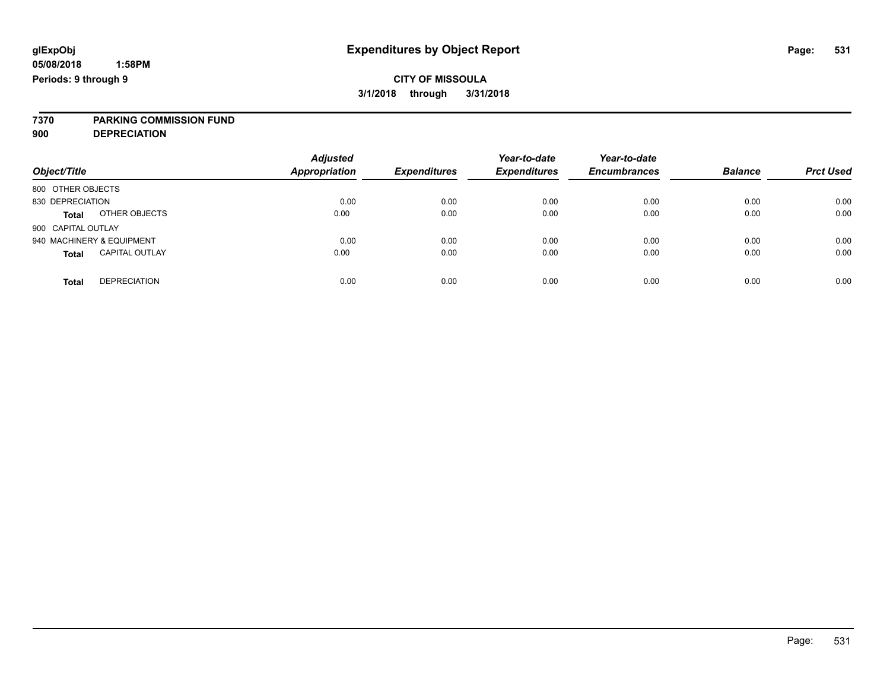# **7370 PARKING COMMISSION FUND**

**900 DEPRECIATION**

| Object/Title                          | <b>Adjusted</b><br><b>Appropriation</b> | <b>Expenditures</b> | Year-to-date<br><b>Expenditures</b> | Year-to-date<br><b>Encumbrances</b> | <b>Balance</b> | <b>Prct Used</b> |
|---------------------------------------|-----------------------------------------|---------------------|-------------------------------------|-------------------------------------|----------------|------------------|
| 800 OTHER OBJECTS                     |                                         |                     |                                     |                                     |                |                  |
| 830 DEPRECIATION                      | 0.00                                    | 0.00                | 0.00                                | 0.00                                | 0.00           | 0.00             |
| OTHER OBJECTS<br><b>Total</b>         | 0.00                                    | 0.00                | 0.00                                | 0.00                                | 0.00           | 0.00             |
| 900 CAPITAL OUTLAY                    |                                         |                     |                                     |                                     |                |                  |
| 940 MACHINERY & EQUIPMENT             | 0.00                                    | 0.00                | 0.00                                | 0.00                                | 0.00           | 0.00             |
| <b>CAPITAL OUTLAY</b><br><b>Total</b> | 0.00                                    | 0.00                | 0.00                                | 0.00                                | 0.00           | 0.00             |
|                                       |                                         |                     |                                     |                                     |                |                  |
| <b>DEPRECIATION</b><br>Total          | 0.00                                    | 0.00                | 0.00                                | 0.00                                | 0.00           | 0.00             |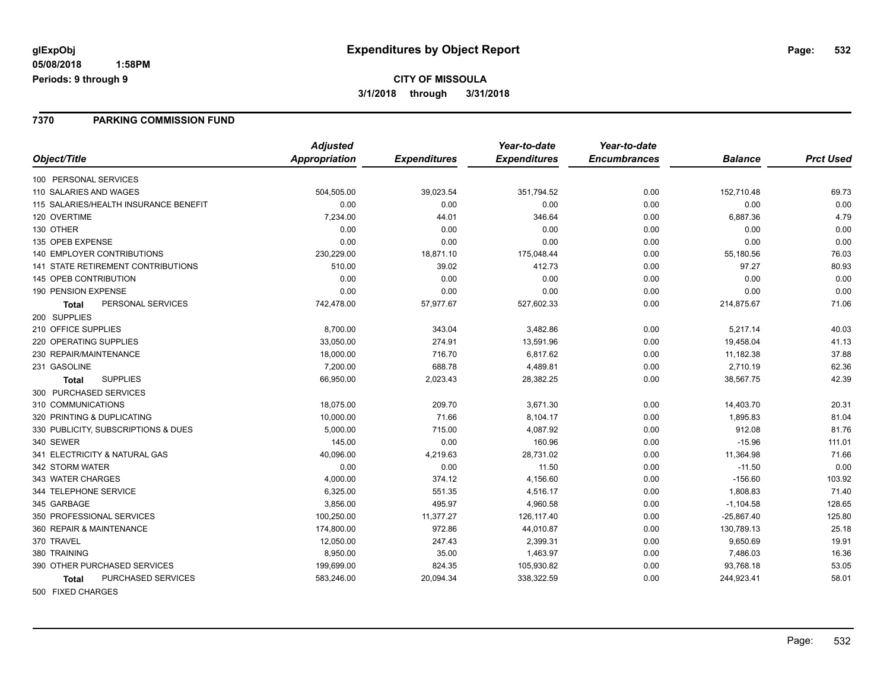#### **7370 PARKING COMMISSION FUND**

|                                           | <b>Adjusted</b> |                     | Year-to-date        | Year-to-date        |                |                  |
|-------------------------------------------|-----------------|---------------------|---------------------|---------------------|----------------|------------------|
| Object/Title                              | Appropriation   | <b>Expenditures</b> | <b>Expenditures</b> | <b>Encumbrances</b> | <b>Balance</b> | <b>Prct Used</b> |
| 100 PERSONAL SERVICES                     |                 |                     |                     |                     |                |                  |
| 110 SALARIES AND WAGES                    | 504,505.00      | 39,023.54           | 351,794.52          | 0.00                | 152,710.48     | 69.73            |
| 115 SALARIES/HEALTH INSURANCE BENEFIT     | 0.00            | 0.00                | 0.00                | 0.00                | 0.00           | 0.00             |
| 120 OVERTIME                              | 7,234.00        | 44.01               | 346.64              | 0.00                | 6,887.36       | 4.79             |
| 130 OTHER                                 | 0.00            | 0.00                | 0.00                | 0.00                | 0.00           | 0.00             |
| 135 OPEB EXPENSE                          | 0.00            | 0.00                | 0.00                | 0.00                | 0.00           | 0.00             |
| <b>140 EMPLOYER CONTRIBUTIONS</b>         | 230,229.00      | 18,871.10           | 175,048.44          | 0.00                | 55,180.56      | 76.03            |
| 141 STATE RETIREMENT CONTRIBUTIONS        | 510.00          | 39.02               | 412.73              | 0.00                | 97.27          | 80.93            |
| <b>145 OPEB CONTRIBUTION</b>              | 0.00            | 0.00                | 0.00                | 0.00                | 0.00           | 0.00             |
| 190 PENSION EXPENSE                       | 0.00            | 0.00                | 0.00                | 0.00                | 0.00           | 0.00             |
| PERSONAL SERVICES<br><b>Total</b>         | 742,478.00      | 57,977.67           | 527,602.33          | 0.00                | 214,875.67     | 71.06            |
| 200 SUPPLIES                              |                 |                     |                     |                     |                |                  |
| 210 OFFICE SUPPLIES                       | 8,700.00        | 343.04              | 3,482.86            | 0.00                | 5,217.14       | 40.03            |
| 220 OPERATING SUPPLIES                    | 33,050.00       | 274.91              | 13,591.96           | 0.00                | 19,458.04      | 41.13            |
| 230 REPAIR/MAINTENANCE                    | 18,000.00       | 716.70              | 6,817.62            | 0.00                | 11,182.38      | 37.88            |
| 231 GASOLINE                              | 7,200.00        | 688.78              | 4,489.81            | 0.00                | 2,710.19       | 62.36            |
| <b>SUPPLIES</b><br><b>Total</b>           | 66,950.00       | 2,023.43            | 28,382.25           | 0.00                | 38,567.75      | 42.39            |
| 300 PURCHASED SERVICES                    |                 |                     |                     |                     |                |                  |
| 310 COMMUNICATIONS                        | 18,075.00       | 209.70              | 3,671.30            | 0.00                | 14,403.70      | 20.31            |
| 320 PRINTING & DUPLICATING                | 10,000.00       | 71.66               | 8,104.17            | 0.00                | 1,895.83       | 81.04            |
| 330 PUBLICITY, SUBSCRIPTIONS & DUES       | 5,000.00        | 715.00              | 4,087.92            | 0.00                | 912.08         | 81.76            |
| 340 SEWER                                 | 145.00          | 0.00                | 160.96              | 0.00                | $-15.96$       | 111.01           |
| 341 ELECTRICITY & NATURAL GAS             | 40,096.00       | 4,219.63            | 28,731.02           | 0.00                | 11,364.98      | 71.66            |
| 342 STORM WATER                           | 0.00            | 0.00                | 11.50               | 0.00                | $-11.50$       | 0.00             |
| 343 WATER CHARGES                         | 4,000.00        | 374.12              | 4,156.60            | 0.00                | $-156.60$      | 103.92           |
| 344 TELEPHONE SERVICE                     | 6,325.00        | 551.35              | 4,516.17            | 0.00                | 1,808.83       | 71.40            |
| 345 GARBAGE                               | 3,856.00        | 495.97              | 4,960.58            | 0.00                | $-1,104.58$    | 128.65           |
| 350 PROFESSIONAL SERVICES                 | 100,250.00      | 11,377.27           | 126,117.40          | 0.00                | $-25,867.40$   | 125.80           |
| 360 REPAIR & MAINTENANCE                  | 174,800.00      | 972.86              | 44,010.87           | 0.00                | 130,789.13     | 25.18            |
| 370 TRAVEL                                | 12,050.00       | 247.43              | 2,399.31            | 0.00                | 9,650.69       | 19.91            |
| 380 TRAINING                              | 8,950.00        | 35.00               | 1,463.97            | 0.00                | 7,486.03       | 16.36            |
| 390 OTHER PURCHASED SERVICES              | 199,699.00      | 824.35              | 105,930.82          | 0.00                | 93,768.18      | 53.05            |
| <b>PURCHASED SERVICES</b><br><b>Total</b> | 583,246.00      | 20,094.34           | 338,322.59          | 0.00                | 244,923.41     | 58.01            |
|                                           |                 |                     |                     |                     |                |                  |

500 FIXED CHARGES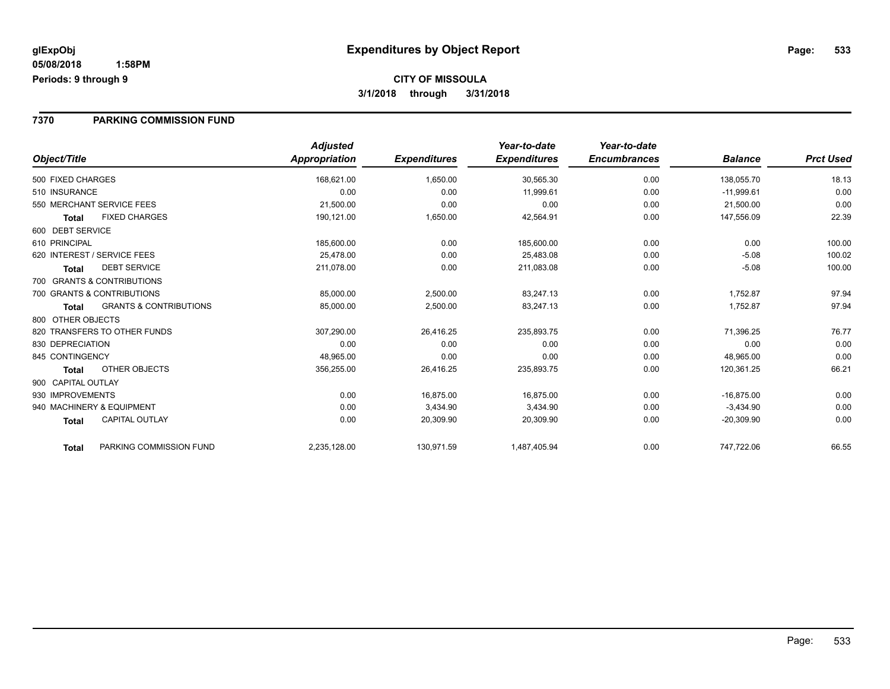#### **7370 PARKING COMMISSION FUND**

|                    |                                   | <b>Adjusted</b>      |                     | Year-to-date        | Year-to-date        |                |                  |
|--------------------|-----------------------------------|----------------------|---------------------|---------------------|---------------------|----------------|------------------|
| Object/Title       |                                   | <b>Appropriation</b> | <b>Expenditures</b> | <b>Expenditures</b> | <b>Encumbrances</b> | <b>Balance</b> | <b>Prct Used</b> |
| 500 FIXED CHARGES  |                                   | 168,621.00           | 1,650.00            | 30,565.30           | 0.00                | 138,055.70     | 18.13            |
| 510 INSURANCE      |                                   | 0.00                 | 0.00                | 11,999.61           | 0.00                | $-11,999.61$   | 0.00             |
|                    | 550 MERCHANT SERVICE FEES         | 21,500.00            | 0.00                | 0.00                | 0.00                | 21,500.00      | 0.00             |
| <b>Total</b>       | <b>FIXED CHARGES</b>              | 190,121.00           | 1,650.00            | 42,564.91           | 0.00                | 147,556.09     | 22.39            |
| 600 DEBT SERVICE   |                                   |                      |                     |                     |                     |                |                  |
| 610 PRINCIPAL      |                                   | 185,600.00           | 0.00                | 185,600.00          | 0.00                | 0.00           | 100.00           |
|                    | 620 INTEREST / SERVICE FEES       | 25,478.00            | 0.00                | 25,483.08           | 0.00                | $-5.08$        | 100.02           |
| Total              | <b>DEBT SERVICE</b>               | 211,078.00           | 0.00                | 211,083.08          | 0.00                | $-5.08$        | 100.00           |
|                    | 700 GRANTS & CONTRIBUTIONS        |                      |                     |                     |                     |                |                  |
|                    | 700 GRANTS & CONTRIBUTIONS        | 85,000.00            | 2,500.00            | 83,247.13           | 0.00                | 1,752.87       | 97.94            |
| <b>Total</b>       | <b>GRANTS &amp; CONTRIBUTIONS</b> | 85,000.00            | 2,500.00            | 83,247.13           | 0.00                | 1,752.87       | 97.94            |
| 800 OTHER OBJECTS  |                                   |                      |                     |                     |                     |                |                  |
|                    | 820 TRANSFERS TO OTHER FUNDS      | 307,290.00           | 26,416.25           | 235,893.75          | 0.00                | 71,396.25      | 76.77            |
| 830 DEPRECIATION   |                                   | 0.00                 | 0.00                | 0.00                | 0.00                | 0.00           | 0.00             |
| 845 CONTINGENCY    |                                   | 48,965.00            | 0.00                | 0.00                | 0.00                | 48,965.00      | 0.00             |
| Total              | OTHER OBJECTS                     | 356,255.00           | 26,416.25           | 235,893.75          | 0.00                | 120,361.25     | 66.21            |
| 900 CAPITAL OUTLAY |                                   |                      |                     |                     |                     |                |                  |
| 930 IMPROVEMENTS   |                                   | 0.00                 | 16,875.00           | 16,875.00           | 0.00                | $-16,875.00$   | 0.00             |
|                    | 940 MACHINERY & EQUIPMENT         | 0.00                 | 3,434.90            | 3,434.90            | 0.00                | $-3,434.90$    | 0.00             |
| <b>Total</b>       | <b>CAPITAL OUTLAY</b>             | 0.00                 | 20,309.90           | 20,309.90           | 0.00                | $-20,309.90$   | 0.00             |
| <b>Total</b>       | PARKING COMMISSION FUND           | 2,235,128.00         | 130,971.59          | 1,487,405.94        | 0.00                | 747,722.06     | 66.55            |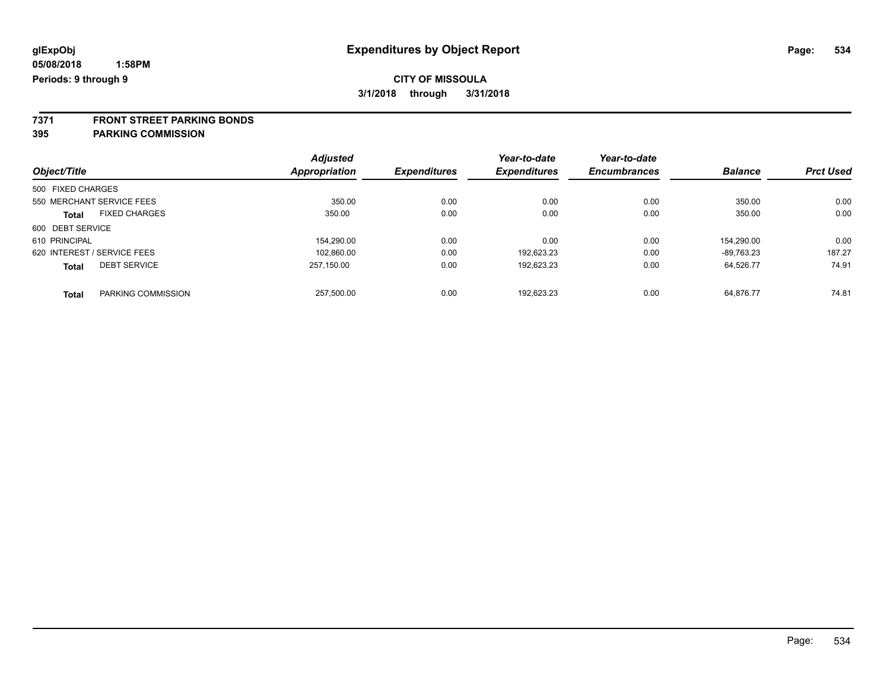**7371 FRONT STREET PARKING BONDS**

**395 PARKING COMMISSION**

| Object/Title                         |                    | <b>Adjusted</b><br>Appropriation | <b>Expenditures</b> | Year-to-date        | Year-to-date<br><b>Encumbrances</b> |                | <b>Prct Used</b> |
|--------------------------------------|--------------------|----------------------------------|---------------------|---------------------|-------------------------------------|----------------|------------------|
|                                      |                    |                                  |                     | <b>Expenditures</b> |                                     | <b>Balance</b> |                  |
| 500 FIXED CHARGES                    |                    |                                  |                     |                     |                                     |                |                  |
| 550 MERCHANT SERVICE FEES            |                    | 350.00                           | 0.00                | 0.00                | 0.00                                | 350.00         | 0.00             |
| <b>FIXED CHARGES</b><br><b>Total</b> |                    | 350.00                           | 0.00                | 0.00                | 0.00                                | 350.00         | 0.00             |
| 600 DEBT SERVICE                     |                    |                                  |                     |                     |                                     |                |                  |
| 610 PRINCIPAL                        |                    | 154,290.00                       | 0.00                | 0.00                | 0.00                                | 154,290.00     | 0.00             |
| 620 INTEREST / SERVICE FEES          |                    | 102.860.00                       | 0.00                | 192.623.23          | 0.00                                | $-89.763.23$   | 187.27           |
| <b>DEBT SERVICE</b><br><b>Total</b>  |                    | 257.150.00                       | 0.00                | 192.623.23          | 0.00                                | 64.526.77      | 74.91            |
| <b>Total</b>                         | PARKING COMMISSION | 257.500.00                       | 0.00                | 192.623.23          | 0.00                                | 64.876.77      | 74.81            |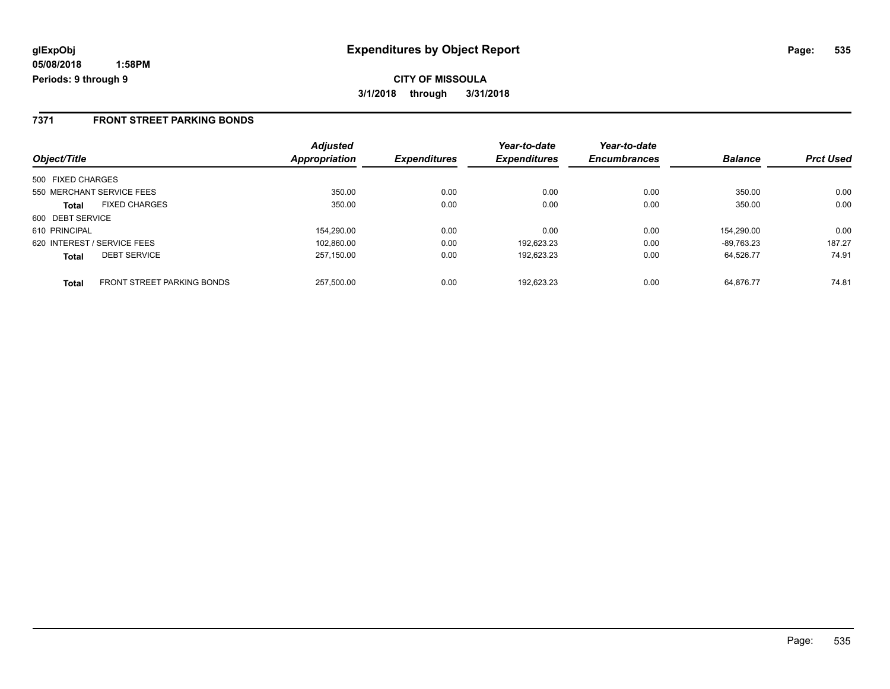#### **7371 FRONT STREET PARKING BONDS**

| Object/Title                                      | <b>Adjusted</b><br>Appropriation | <b>Expenditures</b> | Year-to-date<br><b>Expenditures</b> | Year-to-date<br><b>Encumbrances</b> | <b>Balance</b> | <b>Prct Used</b> |
|---------------------------------------------------|----------------------------------|---------------------|-------------------------------------|-------------------------------------|----------------|------------------|
|                                                   |                                  |                     |                                     |                                     |                |                  |
| 500 FIXED CHARGES                                 |                                  |                     |                                     |                                     |                |                  |
| 550 MERCHANT SERVICE FEES                         | 350.00                           | 0.00                | 0.00                                | 0.00                                | 350.00         | 0.00             |
| <b>FIXED CHARGES</b><br><b>Total</b>              | 350.00                           | 0.00                | 0.00                                | 0.00                                | 350.00         | 0.00             |
| 600 DEBT SERVICE                                  |                                  |                     |                                     |                                     |                |                  |
| 610 PRINCIPAL                                     | 154.290.00                       | 0.00                | 0.00                                | 0.00                                | 154,290.00     | 0.00             |
| 620 INTEREST / SERVICE FEES                       | 102,860.00                       | 0.00                | 192.623.23                          | 0.00                                | $-89.763.23$   | 187.27           |
| <b>DEBT SERVICE</b><br><b>Total</b>               | 257.150.00                       | 0.00                | 192.623.23                          | 0.00                                | 64.526.77      | 74.91            |
| <b>FRONT STREET PARKING BONDS</b><br><b>Total</b> | 257.500.00                       | 0.00                | 192.623.23                          | 0.00                                | 64.876.77      | 74.81            |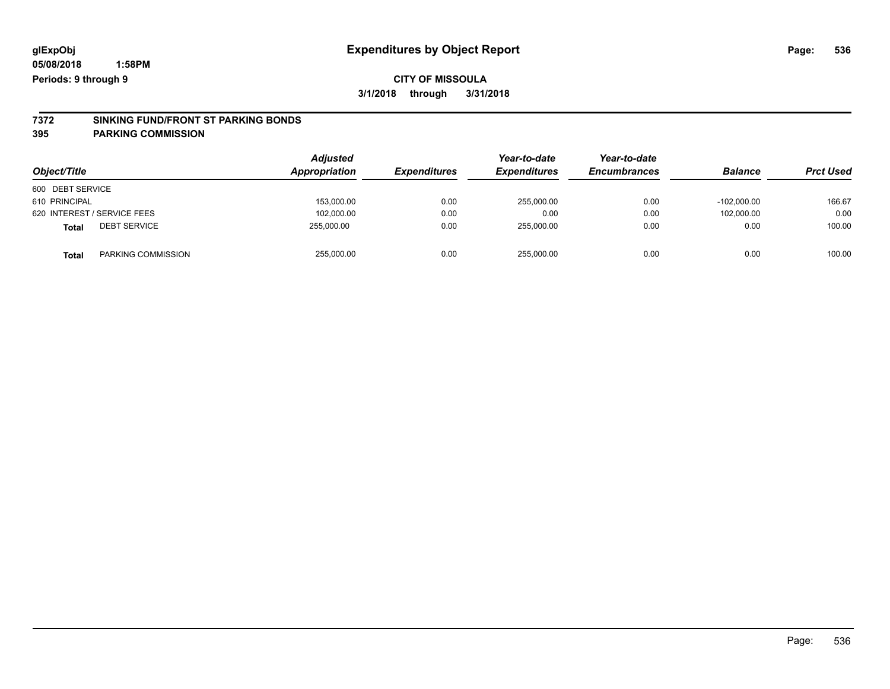### **CITY OF MISSOULA**

**3/1/2018 through 3/31/2018**

# **7372 SINKING FUND/FRONT ST PARKING BONDS**

**395 PARKING COMMISSION**

| Object/Title                        | <b>Adjusted</b><br>Appropriation | <b>Expenditures</b> | Year-to-date<br><b>Expenditures</b> | Year-to-date<br><b>Encumbrances</b> | <b>Balance</b> | <b>Prct Used</b> |
|-------------------------------------|----------------------------------|---------------------|-------------------------------------|-------------------------------------|----------------|------------------|
| 600 DEBT SERVICE                    |                                  |                     |                                     |                                     |                |                  |
| 610 PRINCIPAL                       | 153,000.00                       | 0.00                | 255,000.00                          | 0.00                                | $-102.000.00$  | 166.67           |
| 620 INTEREST / SERVICE FEES         | 102,000.00                       | 0.00                | 0.00                                | 0.00                                | 102.000.00     | 0.00             |
| <b>DEBT SERVICE</b><br><b>Total</b> | 255,000.00                       | 0.00                | 255,000.00                          | 0.00                                | 0.00           | 100.00           |
| PARKING COMMISSION<br>Total         | 255,000.00                       | 0.00                | 255.000.00                          | 0.00                                | 0.00           | 100.00           |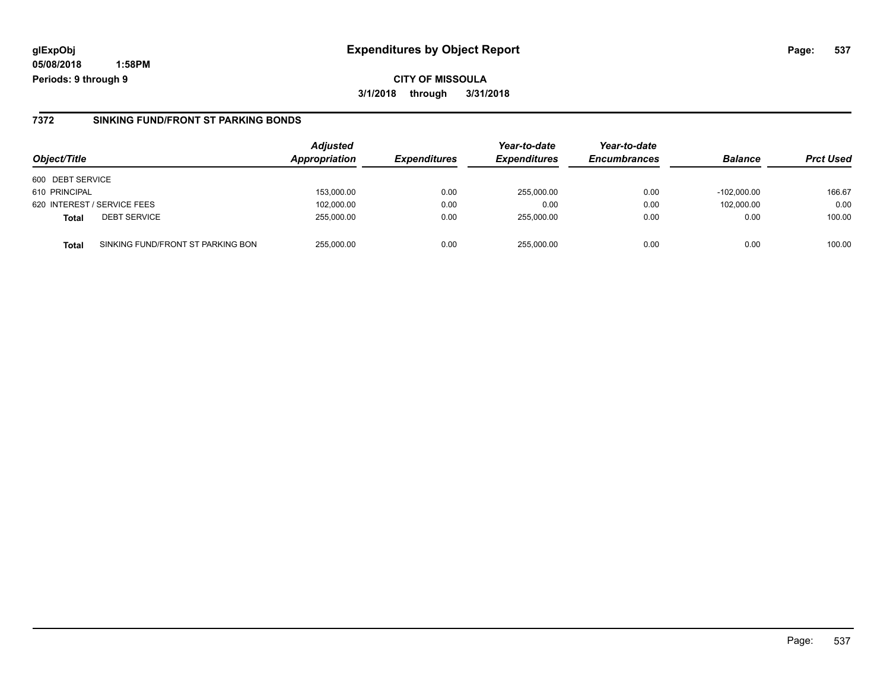**CITY OF MISSOULA 3/1/2018 through 3/31/2018**

#### **7372 SINKING FUND/FRONT ST PARKING BONDS**

| Object/Title                        |                                   | <b>Adjusted</b><br>Appropriation | <b>Expenditures</b> | Year-to-date<br><b>Expenditures</b> | Year-to-date<br><b>Encumbrances</b> | <b>Balance</b> | <b>Prct Used</b> |
|-------------------------------------|-----------------------------------|----------------------------------|---------------------|-------------------------------------|-------------------------------------|----------------|------------------|
| 600 DEBT SERVICE                    |                                   |                                  |                     |                                     |                                     |                |                  |
| 610 PRINCIPAL                       |                                   | 153,000.00                       | 0.00                | 255,000.00                          | 0.00                                | $-102.000.00$  | 166.67           |
| 620 INTEREST / SERVICE FEES         |                                   | 102,000.00                       | 0.00                | 0.00                                | 0.00                                | 102.000.00     | 0.00             |
| <b>DEBT SERVICE</b><br><b>Total</b> |                                   | 255,000.00                       | 0.00                | 255,000.00                          | 0.00                                | 0.00           | 100.00           |
| <b>Total</b>                        | SINKING FUND/FRONT ST PARKING BON | 255,000.00                       | 0.00                | 255.000.00                          | 0.00                                | 0.00           | 100.00           |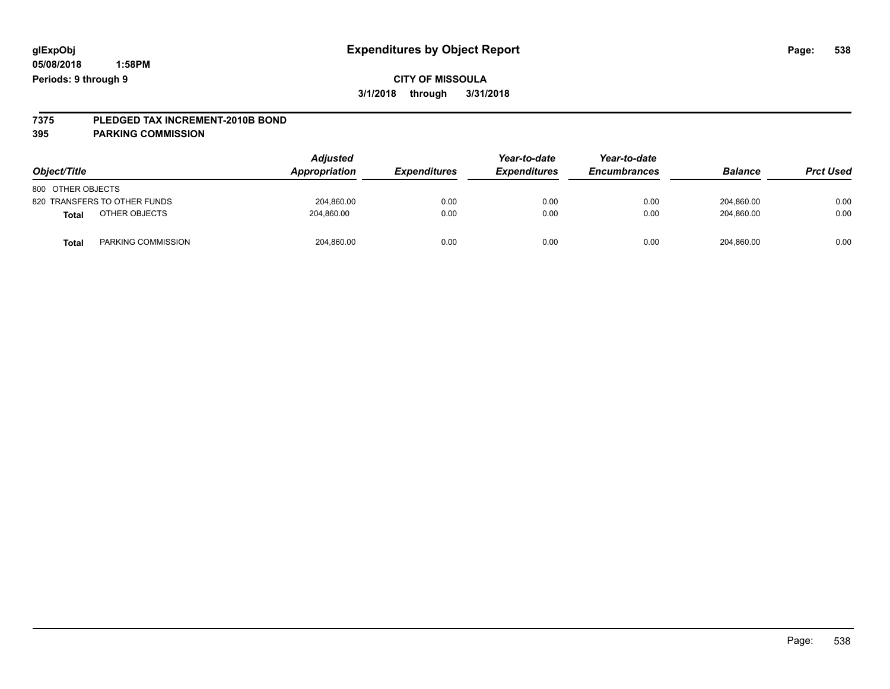**7375 PLEDGED TAX INCREMENT-2010B BOND**

**395 PARKING COMMISSION**

| Object/Title      |                              | <b>Adjusted</b><br>Appropriation | <b>Expenditures</b> | Year-to-date<br><b>Expenditures</b> | Year-to-date<br><b>Encumbrances</b> | <b>Balance</b> | <b>Prct Used</b> |
|-------------------|------------------------------|----------------------------------|---------------------|-------------------------------------|-------------------------------------|----------------|------------------|
| 800 OTHER OBJECTS |                              |                                  |                     |                                     |                                     |                |                  |
|                   | 820 TRANSFERS TO OTHER FUNDS | 204,860.00                       | 0.00                | 0.00                                | 0.00                                | 204,860.00     | 0.00             |
| <b>Total</b>      | OTHER OBJECTS                | 204,860.00                       | 0.00                | 0.00                                | 0.00                                | 204,860.00     | 0.00             |
| Total             | PARKING COMMISSION           | 204,860.00                       | 0.00                | 0.00                                | 0.00                                | 204,860.00     | 0.00             |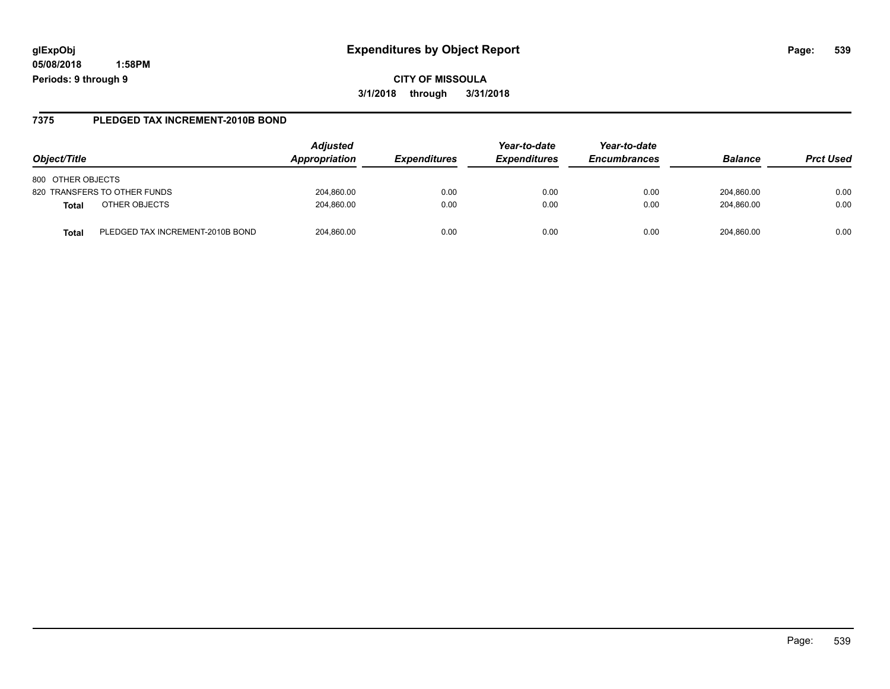**CITY OF MISSOULA 3/1/2018 through 3/31/2018**

#### **7375 PLEDGED TAX INCREMENT-2010B BOND**

| Object/Title                                     | <b>Adjusted</b><br>Appropriation | <i><b>Expenditures</b></i> | Year-to-date<br><b>Expenditures</b> | Year-to-date<br><b>Encumbrances</b> | <b>Balance</b> | <b>Prct Used</b> |
|--------------------------------------------------|----------------------------------|----------------------------|-------------------------------------|-------------------------------------|----------------|------------------|
| 800 OTHER OBJECTS                                |                                  |                            |                                     |                                     |                |                  |
| 820 TRANSFERS TO OTHER FUNDS                     | 204,860.00                       | 0.00                       | 0.00                                | 0.00                                | 204,860.00     | 0.00             |
| OTHER OBJECTS<br>Total                           | 204,860.00                       | 0.00                       | 0.00                                | 0.00                                | 204,860.00     | 0.00             |
| PLEDGED TAX INCREMENT-2010B BOND<br><b>Total</b> | 204.860.00                       | 0.00                       | 0.00                                | 0.00                                | 204.860.00     | 0.00             |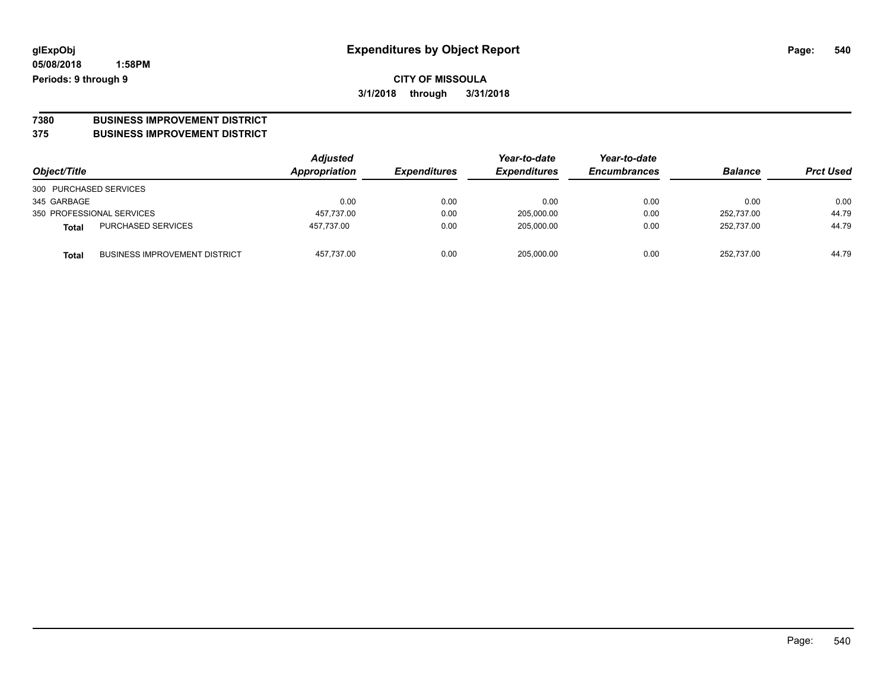**CITY OF MISSOULA 3/1/2018 through 3/31/2018**

# **7380 BUSINESS IMPROVEMENT DISTRICT**

#### **375 BUSINESS IMPROVEMENT DISTRICT**

| Object/Title                                         | <b>Adjusted</b><br>Appropriation | <b>Expenditures</b> | Year-to-date<br><b>Expenditures</b> | Year-to-date<br><b>Encumbrances</b> | <b>Balance</b> | <b>Prct Used</b> |
|------------------------------------------------------|----------------------------------|---------------------|-------------------------------------|-------------------------------------|----------------|------------------|
| 300 PURCHASED SERVICES                               |                                  |                     |                                     |                                     |                |                  |
| 345 GARBAGE                                          | 0.00                             | 0.00                | 0.00                                | 0.00                                | 0.00           | 0.00             |
| 350 PROFESSIONAL SERVICES                            | 457.737.00                       | 0.00                | 205.000.00                          | 0.00                                | 252.737.00     | 44.79            |
| <b>PURCHASED SERVICES</b><br>Total                   | 457.737.00                       | 0.00                | 205,000.00                          | 0.00                                | 252.737.00     | 44.79            |
| <b>BUSINESS IMPROVEMENT DISTRICT</b><br><b>Total</b> | 457.737.00                       | 0.00                | 205.000.00                          | 0.00                                | 252.737.00     | 44.79            |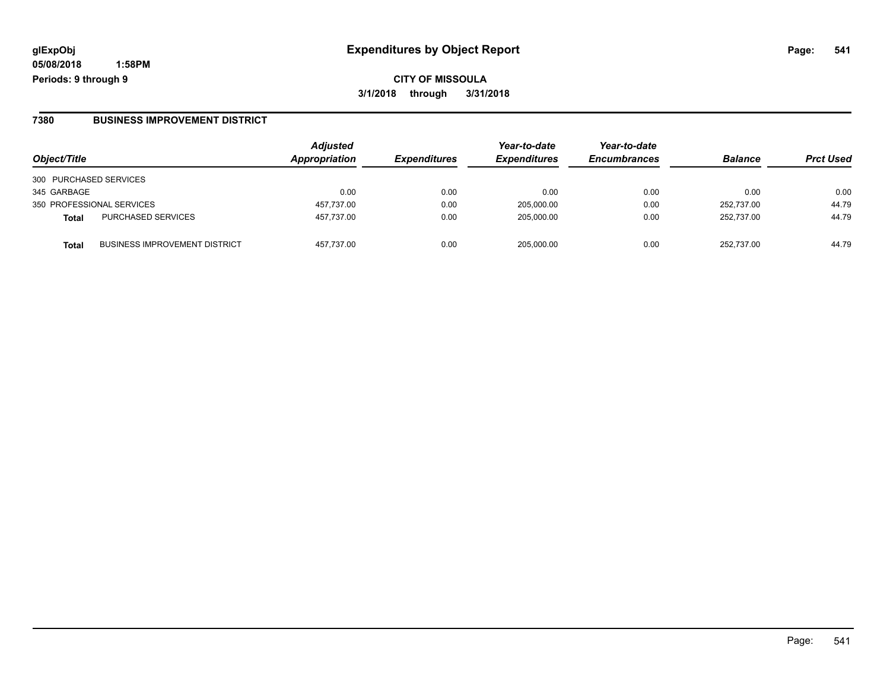**CITY OF MISSOULA 3/1/2018 through 3/31/2018**

#### **7380 BUSINESS IMPROVEMENT DISTRICT**

| Object/Title              |                                      | <b>Adjusted</b><br>Appropriation | <b>Expenditures</b> | Year-to-date<br><b>Expenditures</b> | Year-to-date<br><b>Encumbrances</b> | <b>Balance</b> | <b>Prct Used</b> |
|---------------------------|--------------------------------------|----------------------------------|---------------------|-------------------------------------|-------------------------------------|----------------|------------------|
| 300 PURCHASED SERVICES    |                                      |                                  |                     |                                     |                                     |                |                  |
| 345 GARBAGE               |                                      | 0.00                             | 0.00                | 0.00                                | 0.00                                | 0.00           | 0.00             |
| 350 PROFESSIONAL SERVICES |                                      | 457,737.00                       | 0.00                | 205,000.00                          | 0.00                                | 252,737.00     | 44.79            |
| <b>Total</b>              | <b>PURCHASED SERVICES</b>            | 457,737.00                       | 0.00                | 205.000.00                          | 0.00                                | 252.737.00     | 44.79            |
| Total                     | <b>BUSINESS IMPROVEMENT DISTRICT</b> | 457.737.00                       | 0.00                | 205.000.00                          | 0.00                                | 252.737.00     | 44.79            |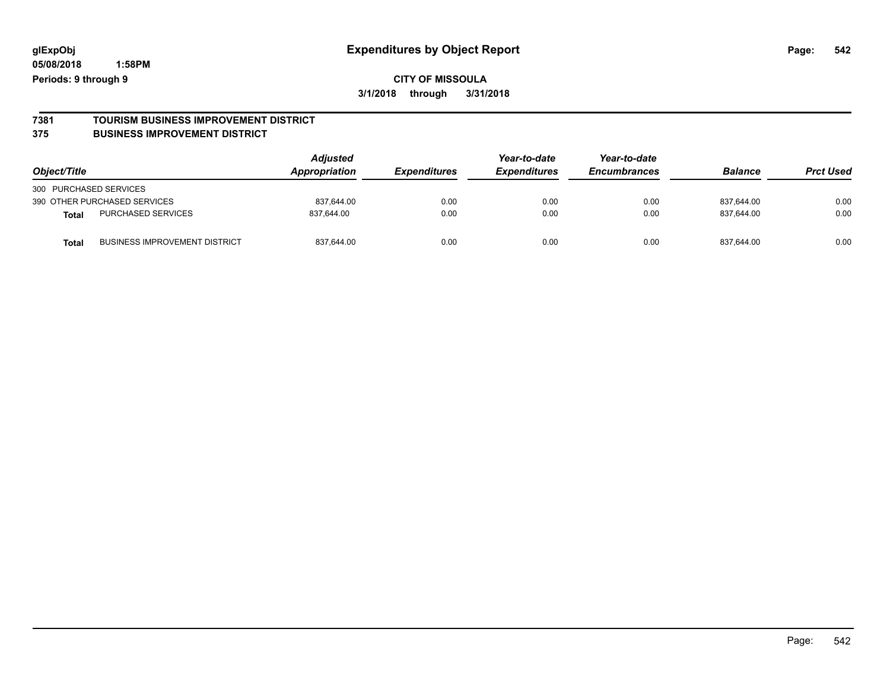**CITY OF MISSOULA 3/1/2018 through 3/31/2018**

# **7381 TOURISM BUSINESS IMPROVEMENT DISTRICT**

### **375 BUSINESS IMPROVEMENT DISTRICT**

| Object/Title                                  | <b>Adjusted</b><br><b>Appropriation</b> | <i><b>Expenditures</b></i> | Year-to-date<br><b>Expenditures</b> | Year-to-date<br><b>Encumbrances</b> | <b>Balance</b> | <b>Prct Used</b> |
|-----------------------------------------------|-----------------------------------------|----------------------------|-------------------------------------|-------------------------------------|----------------|------------------|
| 300 PURCHASED SERVICES                        |                                         |                            |                                     |                                     |                |                  |
| 390 OTHER PURCHASED SERVICES                  | 837,644.00                              | 0.00                       | 0.00                                | 0.00                                | 837.644.00     | 0.00             |
| <b>PURCHASED SERVICES</b><br>Total            | 837.644.00                              | 0.00                       | 0.00                                | 0.00                                | 837.644.00     | 0.00             |
| <b>BUSINESS IMPROVEMENT DISTRICT</b><br>Total | 837,644.00                              | 0.00                       | 0.00                                | 0.00                                | 837,644.00     | 0.00             |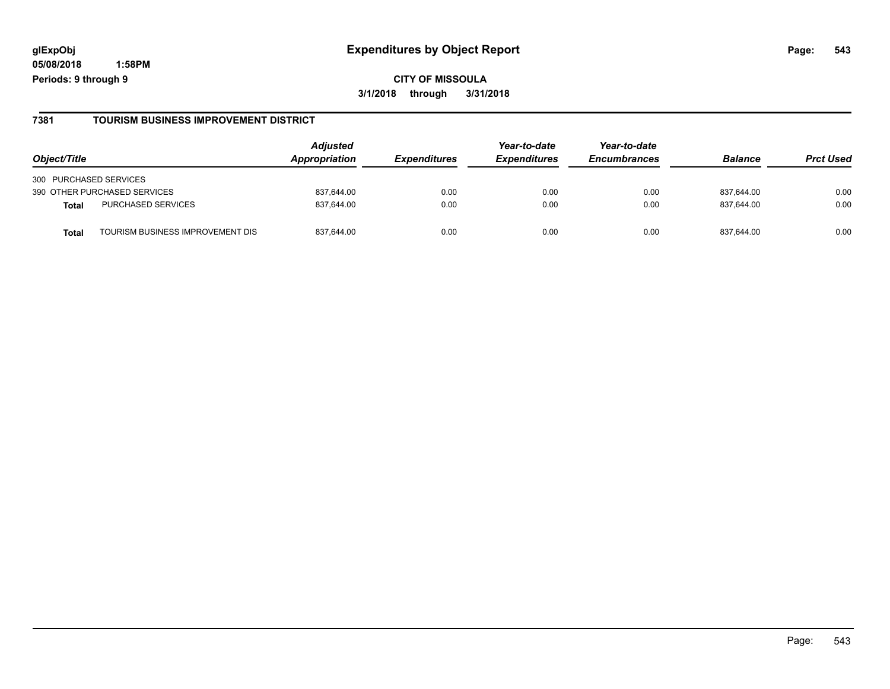#### **7381 TOURISM BUSINESS IMPROVEMENT DISTRICT**

| Object/Title                             | <b>Adjusted</b><br>Appropriation | <i><b>Expenditures</b></i> | Year-to-date<br><b>Expenditures</b> | Year-to-date<br><b>Encumbrances</b> | <b>Balance</b> | <b>Prct Used</b> |
|------------------------------------------|----------------------------------|----------------------------|-------------------------------------|-------------------------------------|----------------|------------------|
| 300 PURCHASED SERVICES                   |                                  |                            |                                     |                                     |                |                  |
| 390 OTHER PURCHASED SERVICES             | 837.644.00                       | 0.00                       | 0.00                                | 0.00                                | 837.644.00     | 0.00             |
| PURCHASED SERVICES<br><b>Total</b>       | 837.644.00                       | 0.00                       | 0.00                                | 0.00                                | 837.644.00     | 0.00             |
| TOURISM BUSINESS IMPROVEMENT DIS<br>Tota | 837.644.00                       | 0.00                       | 0.00                                | 0.00                                | 837.644.00     | 0.00             |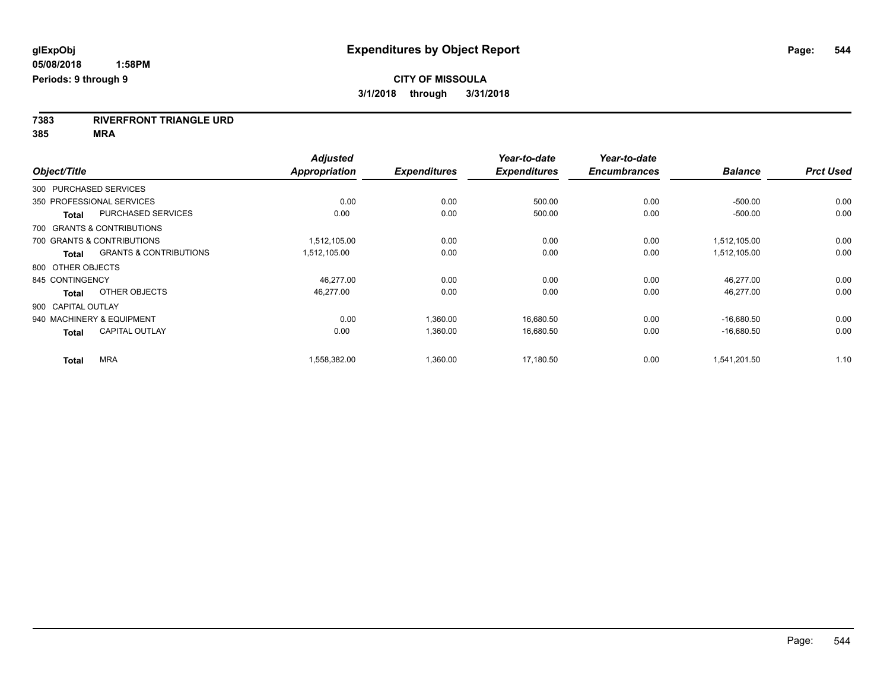**7383 RIVERFRONT TRIANGLE URD**

|                    |                                   | <b>Adjusted</b>      |                     | Year-to-date        | Year-to-date        |                |                  |
|--------------------|-----------------------------------|----------------------|---------------------|---------------------|---------------------|----------------|------------------|
| Object/Title       |                                   | <b>Appropriation</b> | <b>Expenditures</b> | <b>Expenditures</b> | <b>Encumbrances</b> | <b>Balance</b> | <b>Prct Used</b> |
|                    | 300 PURCHASED SERVICES            |                      |                     |                     |                     |                |                  |
|                    | 350 PROFESSIONAL SERVICES         | 0.00                 | 0.00                | 500.00              | 0.00                | $-500.00$      | 0.00             |
| <b>Total</b>       | <b>PURCHASED SERVICES</b>         | 0.00                 | 0.00                | 500.00              | 0.00                | $-500.00$      | 0.00             |
|                    | 700 GRANTS & CONTRIBUTIONS        |                      |                     |                     |                     |                |                  |
|                    | 700 GRANTS & CONTRIBUTIONS        | 1,512,105.00         | 0.00                | 0.00                | 0.00                | 1,512,105.00   | 0.00             |
| <b>Total</b>       | <b>GRANTS &amp; CONTRIBUTIONS</b> | 1,512,105.00         | 0.00                | 0.00                | 0.00                | 1,512,105.00   | 0.00             |
| 800 OTHER OBJECTS  |                                   |                      |                     |                     |                     |                |                  |
| 845 CONTINGENCY    |                                   | 46,277.00            | 0.00                | 0.00                | 0.00                | 46,277.00      | 0.00             |
| <b>Total</b>       | OTHER OBJECTS                     | 46,277.00            | 0.00                | 0.00                | 0.00                | 46,277.00      | 0.00             |
| 900 CAPITAL OUTLAY |                                   |                      |                     |                     |                     |                |                  |
|                    | 940 MACHINERY & EQUIPMENT         | 0.00                 | 1,360.00            | 16,680.50           | 0.00                | $-16,680.50$   | 0.00             |
| <b>Total</b>       | <b>CAPITAL OUTLAY</b>             | 0.00                 | 1,360.00            | 16,680.50           | 0.00                | $-16,680.50$   | 0.00             |
| <b>Total</b>       | <b>MRA</b>                        | 1,558,382.00         | 1,360.00            | 17,180.50           | 0.00                | 1,541,201.50   | 1.10             |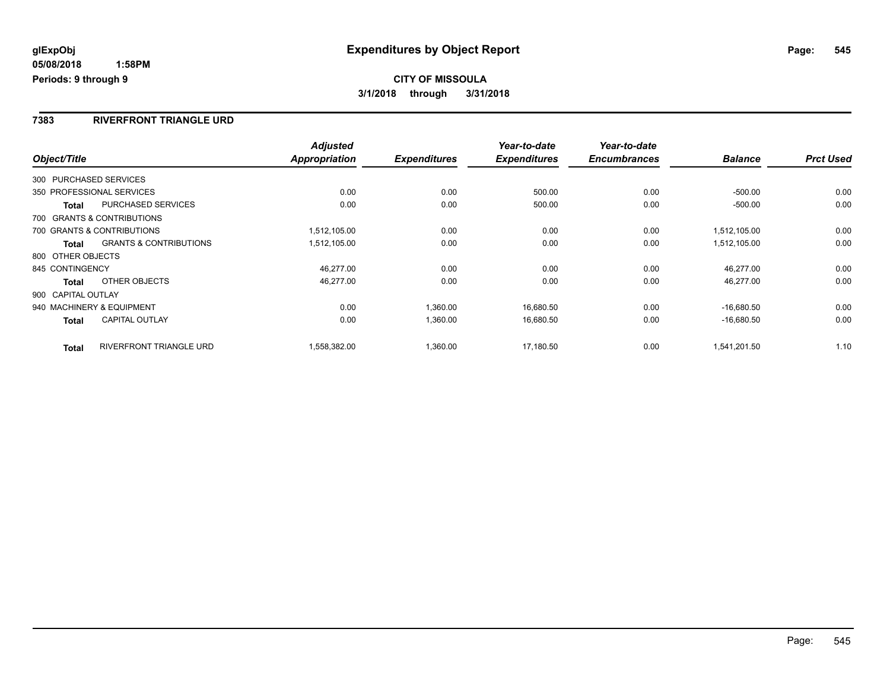#### **7383 RIVERFRONT TRIANGLE URD**

|                    |                                   | <b>Adjusted</b>      |                     | Year-to-date        | Year-to-date        |                |                  |
|--------------------|-----------------------------------|----------------------|---------------------|---------------------|---------------------|----------------|------------------|
| Object/Title       |                                   | <b>Appropriation</b> | <b>Expenditures</b> | <b>Expenditures</b> | <b>Encumbrances</b> | <b>Balance</b> | <b>Prct Used</b> |
|                    | 300 PURCHASED SERVICES            |                      |                     |                     |                     |                |                  |
|                    | 350 PROFESSIONAL SERVICES         | 0.00                 | 0.00                | 500.00              | 0.00                | $-500.00$      | 0.00             |
| <b>Total</b>       | PURCHASED SERVICES                | 0.00                 | 0.00                | 500.00              | 0.00                | $-500.00$      | 0.00             |
|                    | 700 GRANTS & CONTRIBUTIONS        |                      |                     |                     |                     |                |                  |
|                    | 700 GRANTS & CONTRIBUTIONS        | 1,512,105.00         | 0.00                | 0.00                | 0.00                | 1.512.105.00   | 0.00             |
| Total              | <b>GRANTS &amp; CONTRIBUTIONS</b> | 1,512,105.00         | 0.00                | 0.00                | 0.00                | 1,512,105.00   | 0.00             |
| 800 OTHER OBJECTS  |                                   |                      |                     |                     |                     |                |                  |
| 845 CONTINGENCY    |                                   | 46,277.00            | 0.00                | 0.00                | 0.00                | 46,277.00      | 0.00             |
| Total              | OTHER OBJECTS                     | 46,277.00            | 0.00                | 0.00                | 0.00                | 46,277.00      | 0.00             |
| 900 CAPITAL OUTLAY |                                   |                      |                     |                     |                     |                |                  |
|                    | 940 MACHINERY & EQUIPMENT         | 0.00                 | 1,360.00            | 16,680.50           | 0.00                | $-16,680.50$   | 0.00             |
| Total              | <b>CAPITAL OUTLAY</b>             | 0.00                 | 1,360.00            | 16,680.50           | 0.00                | $-16,680.50$   | 0.00             |
| <b>Total</b>       | <b>RIVERFRONT TRIANGLE URD</b>    | 1,558,382.00         | 1,360.00            | 17,180.50           | 0.00                | 1,541,201.50   | 1.10             |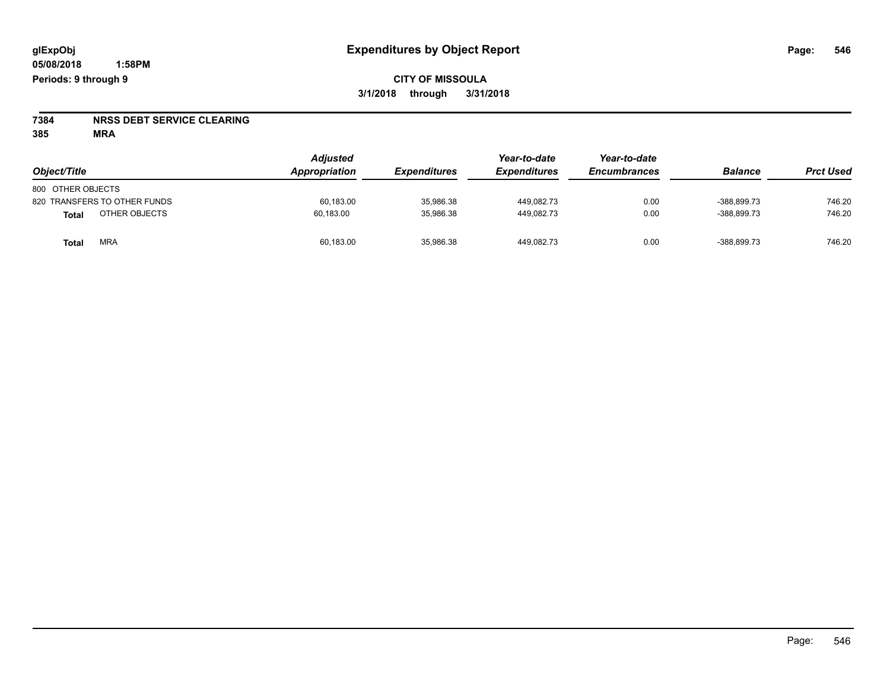# **7384 NRSS DEBT SERVICE CLEARING**

|                               | <b>Adjusted</b><br>Appropriation | <b>Expenditures</b> | Year-to-date<br><b>Expenditures</b> | Year-to-date<br><b>Encumbrances</b> | <b>Balance</b> | <b>Prct Used</b> |
|-------------------------------|----------------------------------|---------------------|-------------------------------------|-------------------------------------|----------------|------------------|
| Object/Title                  |                                  |                     |                                     |                                     |                |                  |
| 800 OTHER OBJECTS             |                                  |                     |                                     |                                     |                |                  |
| 820 TRANSFERS TO OTHER FUNDS  | 60,183.00                        | 35,986.38           | 449.082.73                          | 0.00                                | -388,899.73    | 746.20           |
| OTHER OBJECTS<br><b>Total</b> | 60.183.00                        | 35,986.38           | 449.082.73                          | 0.00                                | -388.899.73    | 746.20           |
| <b>MRA</b><br>Total           | 60,183.00                        | 35,986.38           | 449,082.73                          | 0.00                                | -388,899.73    | 746.20           |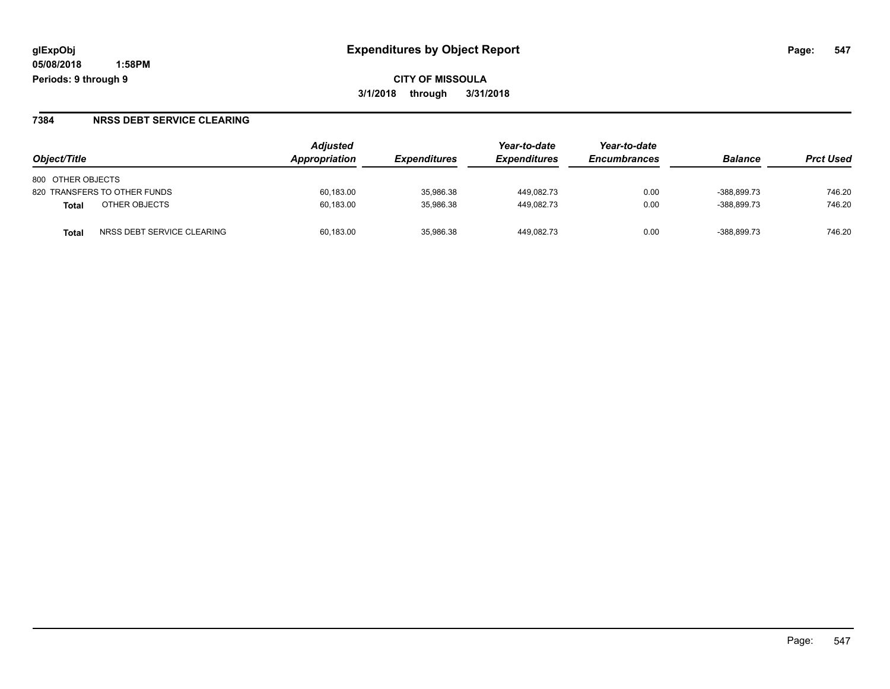#### **7384 NRSS DEBT SERVICE CLEARING**

|                                                 | <b>Adjusted</b> |                     | Year-to-date        | Year-to-date        |                |                  |
|-------------------------------------------------|-----------------|---------------------|---------------------|---------------------|----------------|------------------|
| Object/Title                                    | Appropriation   | <b>Expenditures</b> | <b>Expenditures</b> | <b>Encumbrances</b> | <b>Balance</b> | <b>Prct Used</b> |
| 800 OTHER OBJECTS                               |                 |                     |                     |                     |                |                  |
| 820 TRANSFERS TO OTHER FUNDS                    | 60.183.00       | 35.986.38           | 449.082.73          | 0.00                | $-388.899.73$  | 746.20           |
| OTHER OBJECTS<br><b>Total</b>                   | 60,183.00       | 35,986.38           | 449.082.73          | 0.00                | $-388.899.73$  | 746.20           |
| NRSS DEBT SERVICE CLEARING<br>Tota <sub>i</sub> | 60.183.00       | 35.986.38           | 449.082.73          | 0.00                | $-388.899.73$  | 746.20           |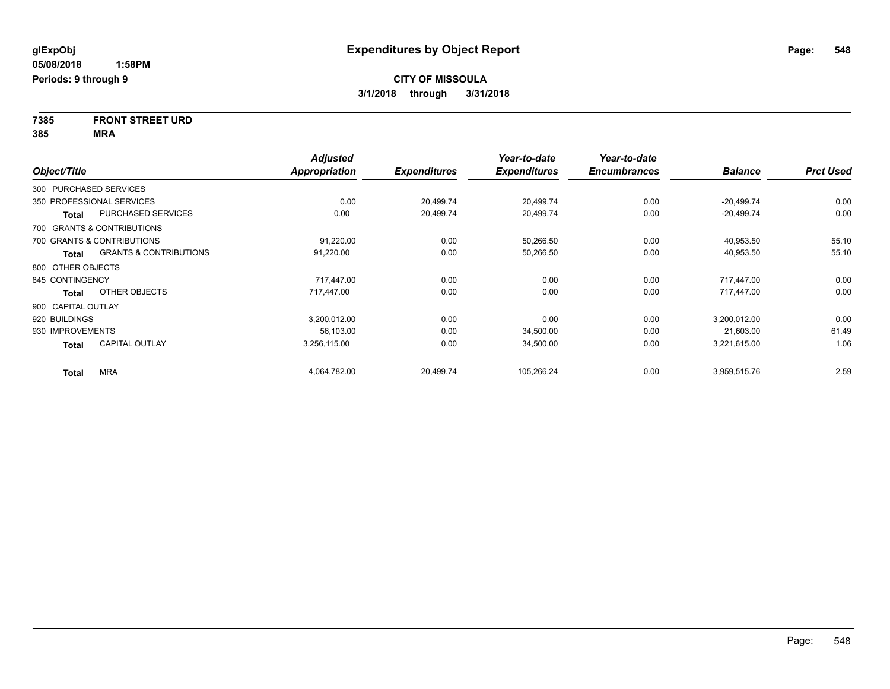**7385 FRONT STREET URD 385 MRA**

|                        |                                   | <b>Adjusted</b>      |                     | Year-to-date        | Year-to-date        |                |                  |
|------------------------|-----------------------------------|----------------------|---------------------|---------------------|---------------------|----------------|------------------|
| Object/Title           |                                   | <b>Appropriation</b> | <b>Expenditures</b> | <b>Expenditures</b> | <b>Encumbrances</b> | <b>Balance</b> | <b>Prct Used</b> |
| 300 PURCHASED SERVICES |                                   |                      |                     |                     |                     |                |                  |
|                        | 350 PROFESSIONAL SERVICES         | 0.00                 | 20,499.74           | 20,499.74           | 0.00                | $-20,499.74$   | 0.00             |
| <b>Total</b>           | <b>PURCHASED SERVICES</b>         | 0.00                 | 20,499.74           | 20,499.74           | 0.00                | $-20,499.74$   | 0.00             |
|                        | 700 GRANTS & CONTRIBUTIONS        |                      |                     |                     |                     |                |                  |
|                        | 700 GRANTS & CONTRIBUTIONS        | 91,220.00            | 0.00                | 50,266.50           | 0.00                | 40,953.50      | 55.10            |
| Total                  | <b>GRANTS &amp; CONTRIBUTIONS</b> | 91,220.00            | 0.00                | 50,266.50           | 0.00                | 40,953.50      | 55.10            |
| 800 OTHER OBJECTS      |                                   |                      |                     |                     |                     |                |                  |
| 845 CONTINGENCY        |                                   | 717,447.00           | 0.00                | 0.00                | 0.00                | 717,447.00     | 0.00             |
| Total                  | OTHER OBJECTS                     | 717,447.00           | 0.00                | 0.00                | 0.00                | 717,447.00     | 0.00             |
| 900 CAPITAL OUTLAY     |                                   |                      |                     |                     |                     |                |                  |
| 920 BUILDINGS          |                                   | 3,200,012.00         | 0.00                | 0.00                | 0.00                | 3,200,012.00   | 0.00             |
| 930 IMPROVEMENTS       |                                   | 56.103.00            | 0.00                | 34,500.00           | 0.00                | 21,603.00      | 61.49            |
| <b>Total</b>           | <b>CAPITAL OUTLAY</b>             | 3,256,115.00         | 0.00                | 34,500.00           | 0.00                | 3,221,615.00   | 1.06             |
| <b>Total</b>           | <b>MRA</b>                        | 4,064,782.00         | 20,499.74           | 105,266.24          | 0.00                | 3,959,515.76   | 2.59             |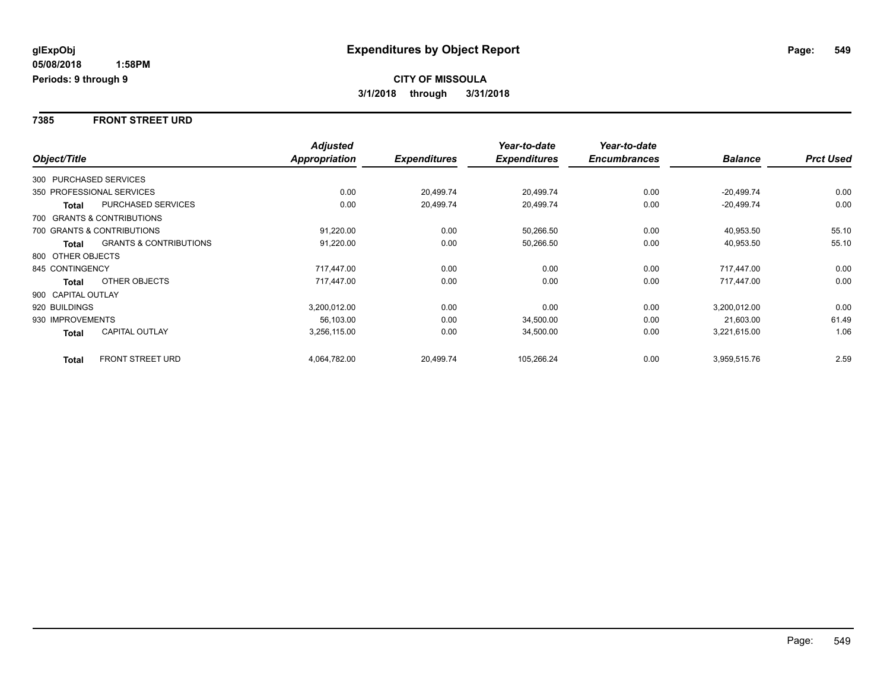#### **7385 FRONT STREET URD**

|                        |                                   | <b>Adjusted</b> |                     | Year-to-date        | Year-to-date        |                |                  |
|------------------------|-----------------------------------|-----------------|---------------------|---------------------|---------------------|----------------|------------------|
| Object/Title           |                                   | Appropriation   | <b>Expenditures</b> | <b>Expenditures</b> | <b>Encumbrances</b> | <b>Balance</b> | <b>Prct Used</b> |
| 300 PURCHASED SERVICES |                                   |                 |                     |                     |                     |                |                  |
|                        | 350 PROFESSIONAL SERVICES         | 0.00            | 20,499.74           | 20,499.74           | 0.00                | $-20,499.74$   | 0.00             |
| Total                  | PURCHASED SERVICES                | 0.00            | 20,499.74           | 20,499.74           | 0.00                | $-20,499.74$   | 0.00             |
|                        | 700 GRANTS & CONTRIBUTIONS        |                 |                     |                     |                     |                |                  |
|                        | 700 GRANTS & CONTRIBUTIONS        | 91,220.00       | 0.00                | 50,266.50           | 0.00                | 40,953.50      | 55.10            |
| Total                  | <b>GRANTS &amp; CONTRIBUTIONS</b> | 91,220.00       | 0.00                | 50,266.50           | 0.00                | 40,953.50      | 55.10            |
| 800 OTHER OBJECTS      |                                   |                 |                     |                     |                     |                |                  |
| 845 CONTINGENCY        |                                   | 717,447.00      | 0.00                | 0.00                | 0.00                | 717,447.00     | 0.00             |
| <b>Total</b>           | OTHER OBJECTS                     | 717,447.00      | 0.00                | 0.00                | 0.00                | 717,447.00     | 0.00             |
| 900 CAPITAL OUTLAY     |                                   |                 |                     |                     |                     |                |                  |
| 920 BUILDINGS          |                                   | 3,200,012.00    | 0.00                | 0.00                | 0.00                | 3,200,012.00   | 0.00             |
| 930 IMPROVEMENTS       |                                   | 56.103.00       | 0.00                | 34,500.00           | 0.00                | 21.603.00      | 61.49            |
| Total                  | <b>CAPITAL OUTLAY</b>             | 3,256,115.00    | 0.00                | 34,500.00           | 0.00                | 3,221,615.00   | 1.06             |
| <b>Total</b>           | <b>FRONT STREET URD</b>           | 4,064,782.00    | 20,499.74           | 105,266.24          | 0.00                | 3,959,515.76   | 2.59             |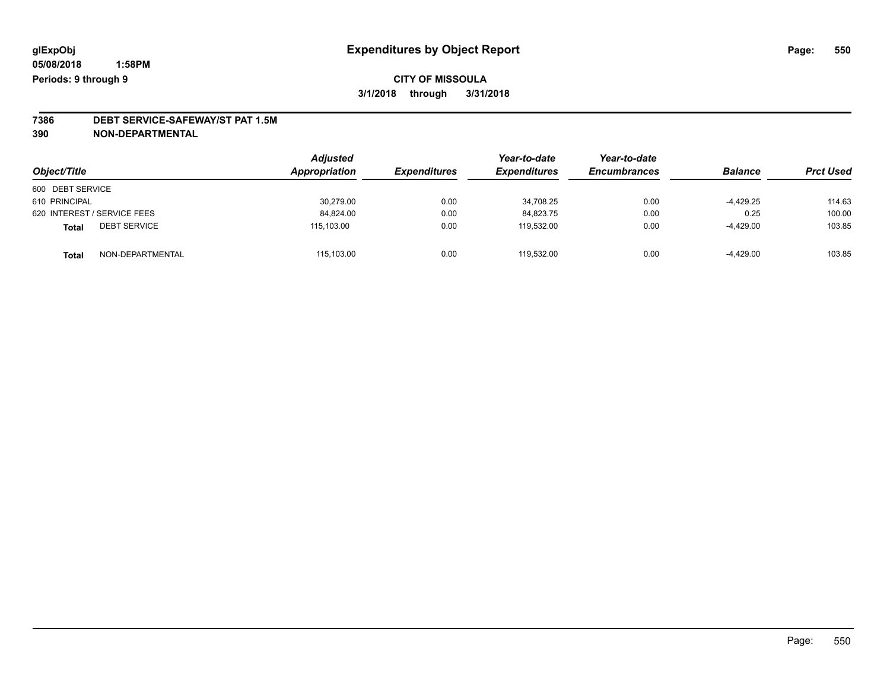# **7386 DEBT SERVICE-SAFEWAY/ST PAT 1.5M**

**390 NON-DEPARTMENTAL**

| Object/Title                        | <b>Adjusted</b><br>Appropriation | <b>Expenditures</b> | Year-to-date<br><b>Expenditures</b> | Year-to-date<br><b>Encumbrances</b> | <b>Balance</b> | <b>Prct Used</b> |
|-------------------------------------|----------------------------------|---------------------|-------------------------------------|-------------------------------------|----------------|------------------|
| 600 DEBT SERVICE                    |                                  |                     |                                     |                                     |                |                  |
| 610 PRINCIPAL                       | 30.279.00                        | 0.00                | 34.708.25                           | 0.00                                | $-4.429.25$    | 114.63           |
| 620 INTEREST / SERVICE FEES         | 84.824.00                        | 0.00                | 84.823.75                           | 0.00                                | 0.25           | 100.00           |
| <b>DEBT SERVICE</b><br><b>Total</b> | 115.103.00                       | 0.00                | 119,532.00                          | 0.00                                | $-4,429.00$    | 103.85           |
| NON-DEPARTMENTAL<br><b>Total</b>    | 115.103.00                       | 0.00                | 119.532.00                          | 0.00                                | $-4,429.00$    | 103.85           |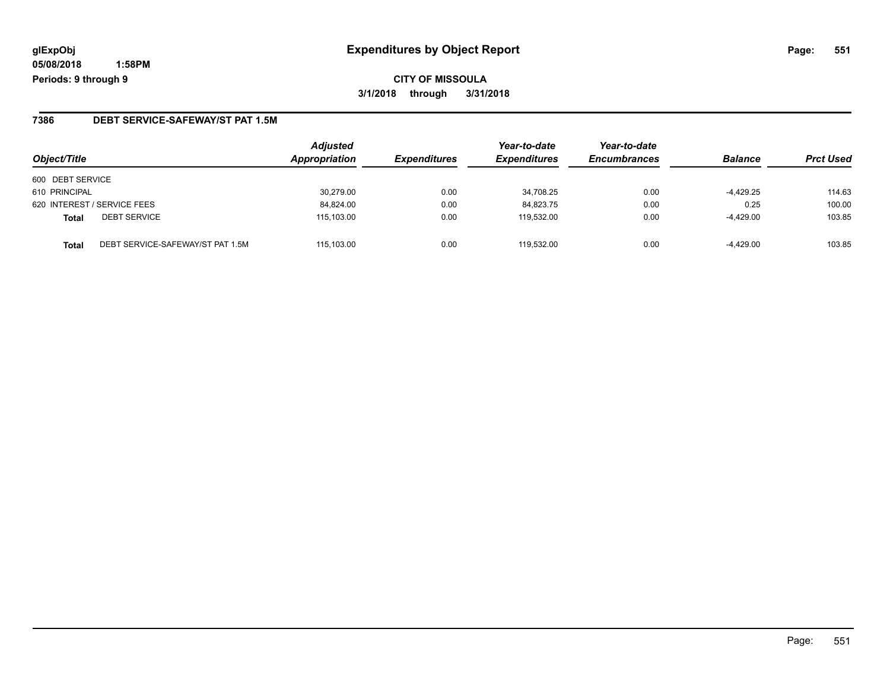**CITY OF MISSOULA 3/1/2018 through 3/31/2018**

#### **7386 DEBT SERVICE-SAFEWAY/ST PAT 1.5M**

| Object/Title                              | <b>Adjusted</b><br>Appropriation | <b>Expenditures</b> | Year-to-date<br><b>Expenditures</b> | Year-to-date<br><b>Encumbrances</b> | <b>Balance</b> | <b>Prct Used</b> |
|-------------------------------------------|----------------------------------|---------------------|-------------------------------------|-------------------------------------|----------------|------------------|
| 600 DEBT SERVICE                          |                                  |                     |                                     |                                     |                |                  |
| 610 PRINCIPAL                             | 30,279.00                        | 0.00                | 34,708.25                           | 0.00                                | $-4,429.25$    | 114.63           |
| 620 INTEREST / SERVICE FEES               | 84,824.00                        | 0.00                | 84.823.75                           | 0.00                                | 0.25           | 100.00           |
| <b>DEBT SERVICE</b><br>Total              | 115,103.00                       | 0.00                | 119.532.00                          | 0.00                                | $-4,429.00$    | 103.85           |
| DEBT SERVICE-SAFEWAY/ST PAT 1.5M<br>Total | 115.103.00                       | 0.00                | 119.532.00                          | 0.00                                | $-4.429.00$    | 103.85           |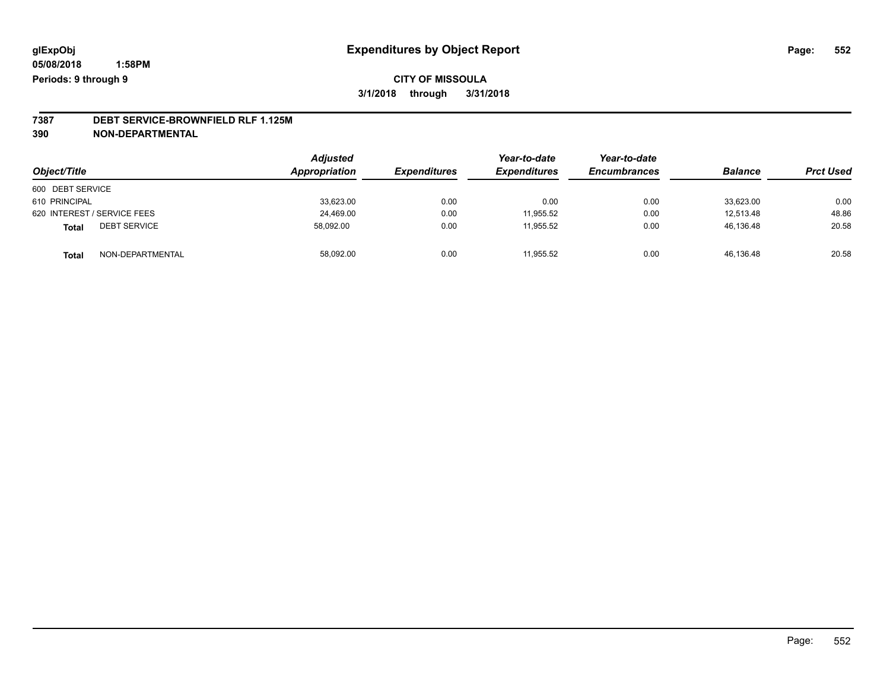# **7387 DEBT SERVICE-BROWNFIELD RLF 1.125M**

**390 NON-DEPARTMENTAL**

| Object/Title                     | <b>Adjusted</b><br>Appropriation | <b>Expenditures</b> | Year-to-date<br><b>Expenditures</b> | Year-to-date<br><b>Encumbrances</b> | <b>Balance</b> | <b>Prct Used</b> |
|----------------------------------|----------------------------------|---------------------|-------------------------------------|-------------------------------------|----------------|------------------|
| 600 DEBT SERVICE                 |                                  |                     |                                     |                                     |                |                  |
| 610 PRINCIPAL                    | 33,623.00                        | 0.00                | 0.00                                | 0.00                                | 33.623.00      | 0.00             |
| 620 INTEREST / SERVICE FEES      | 24,469.00                        | 0.00                | 11.955.52                           | 0.00                                | 12.513.48      | 48.86            |
| <b>DEBT SERVICE</b><br>Total     | 58,092.00                        | 0.00                | 11,955.52                           | 0.00                                | 46,136.48      | 20.58            |
| NON-DEPARTMENTAL<br><b>Total</b> | 58,092.00                        | 0.00                | 11.955.52                           | 0.00                                | 46,136.48      | 20.58            |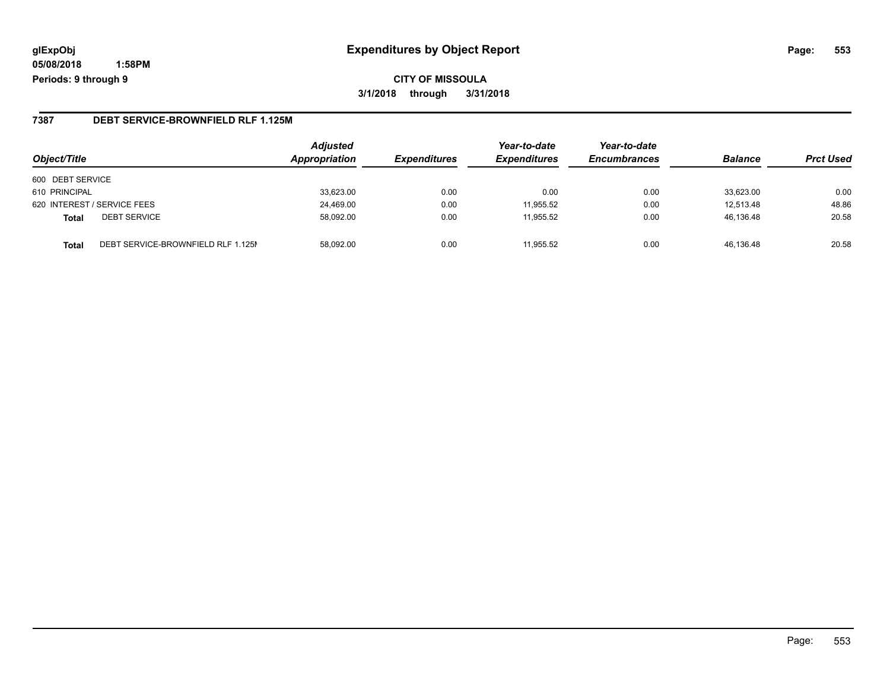# **glExpObj Expenditures by Object Report Page: 553**

**05/08/2018 1:58PM Periods: 9 through 9**

**CITY OF MISSOULA 3/1/2018 through 3/31/2018**

#### **7387 DEBT SERVICE-BROWNFIELD RLF 1.125M**

| Object/Title                                       | <b>Adjusted</b><br>Appropriation | <b>Expenditures</b> | Year-to-date<br><b>Expenditures</b> | Year-to-date<br><b>Encumbrances</b> | <b>Balance</b> | <b>Prct Used</b> |
|----------------------------------------------------|----------------------------------|---------------------|-------------------------------------|-------------------------------------|----------------|------------------|
| 600 DEBT SERVICE                                   |                                  |                     |                                     |                                     |                |                  |
| 610 PRINCIPAL                                      | 33,623.00                        | 0.00                | 0.00                                | 0.00                                | 33,623.00      | 0.00             |
| 620 INTEREST / SERVICE FEES                        | 24,469.00                        | 0.00                | 11,955.52                           | 0.00                                | 12,513.48      | 48.86            |
| <b>DEBT SERVICE</b><br><b>Total</b>                | 58,092.00                        | 0.00                | 11,955.52                           | 0.00                                | 46.136.48      | 20.58            |
| DEBT SERVICE-BROWNFIELD RLF 1.125M<br><b>Total</b> | 58.092.00                        | 0.00                | 11.955.52                           | 0.00                                | 46.136.48      | 20.58            |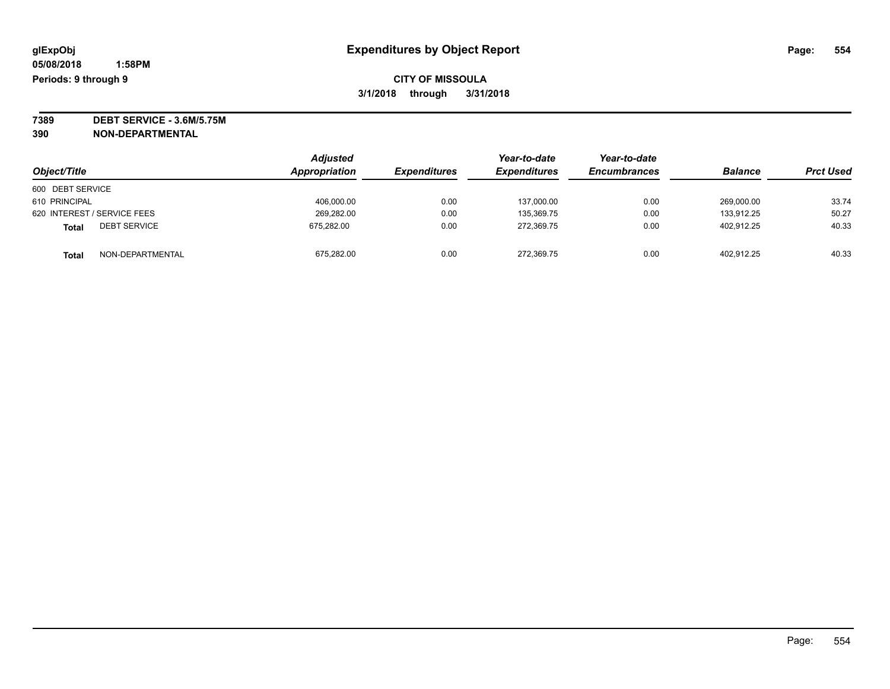**7389 DEBT SERVICE - 3.6M/5.75M**

**390 NON-DEPARTMENTAL**

|                                  | <b>Adjusted</b> |                     | Year-to-date        | Year-to-date        | <b>Balance</b> |                  |
|----------------------------------|-----------------|---------------------|---------------------|---------------------|----------------|------------------|
| Object/Title                     | Appropriation   | <b>Expenditures</b> | <b>Expenditures</b> | <b>Encumbrances</b> |                | <b>Prct Used</b> |
| 600 DEBT SERVICE                 |                 |                     |                     |                     |                |                  |
| 610 PRINCIPAL                    | 406,000.00      | 0.00                | 137,000.00          | 0.00                | 269,000.00     | 33.74            |
| 620 INTEREST / SERVICE FEES      | 269.282.00      | 0.00                | 135.369.75          | 0.00                | 133.912.25     | 50.27            |
| <b>DEBT SERVICE</b><br>Total     | 675.282.00      | 0.00                | 272.369.75          | 0.00                | 402.912.25     | 40.33            |
| NON-DEPARTMENTAL<br><b>Total</b> | 675,282.00      | 0.00                | 272,369.75          | 0.00                | 402.912.25     | 40.33            |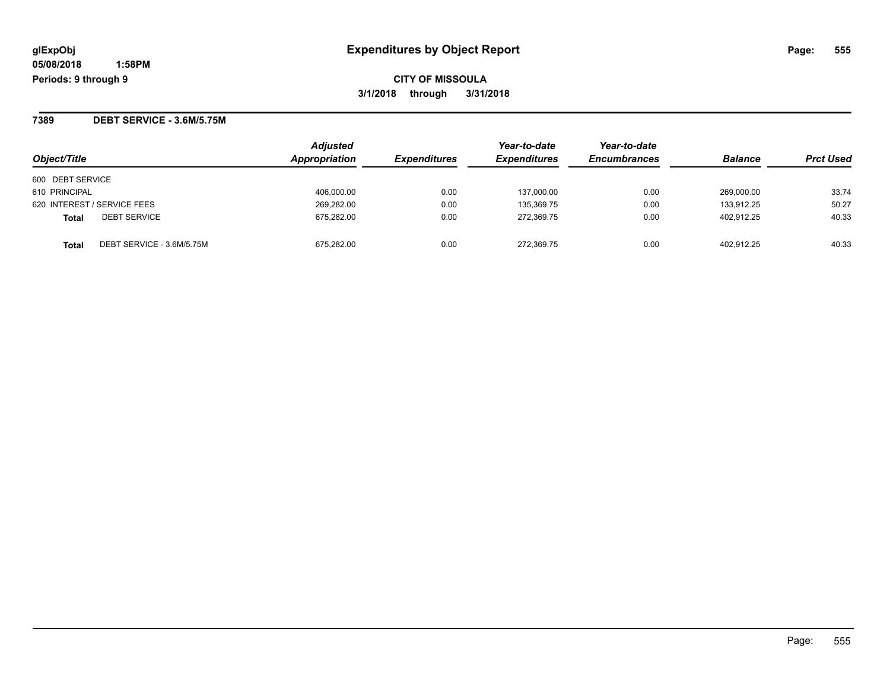**7389 DEBT SERVICE - 3.6M/5.75M**

| Object/Title                              | <b>Adjusted</b><br>Appropriation | <i><b>Expenditures</b></i> | Year-to-date<br><b>Expenditures</b> | Year-to-date<br><b>Encumbrances</b> | <b>Balance</b> | <b>Prct Used</b> |
|-------------------------------------------|----------------------------------|----------------------------|-------------------------------------|-------------------------------------|----------------|------------------|
| 600 DEBT SERVICE                          |                                  |                            |                                     |                                     |                |                  |
| 610 PRINCIPAL                             | 406,000.00                       | 0.00                       | 137.000.00                          | 0.00                                | 269.000.00     | 33.74            |
| 620 INTEREST / SERVICE FEES               | 269,282.00                       | 0.00                       | 135,369.75                          | 0.00                                | 133.912.25     | 50.27            |
| <b>DEBT SERVICE</b><br><b>Total</b>       | 675.282.00                       | 0.00                       | 272.369.75                          | 0.00                                | 402.912.25     | 40.33            |
| DEBT SERVICE - 3.6M/5.75M<br><b>Total</b> | 675.282.00                       | 0.00                       | 272.369.75                          | 0.00                                | 402.912.25     | 40.33            |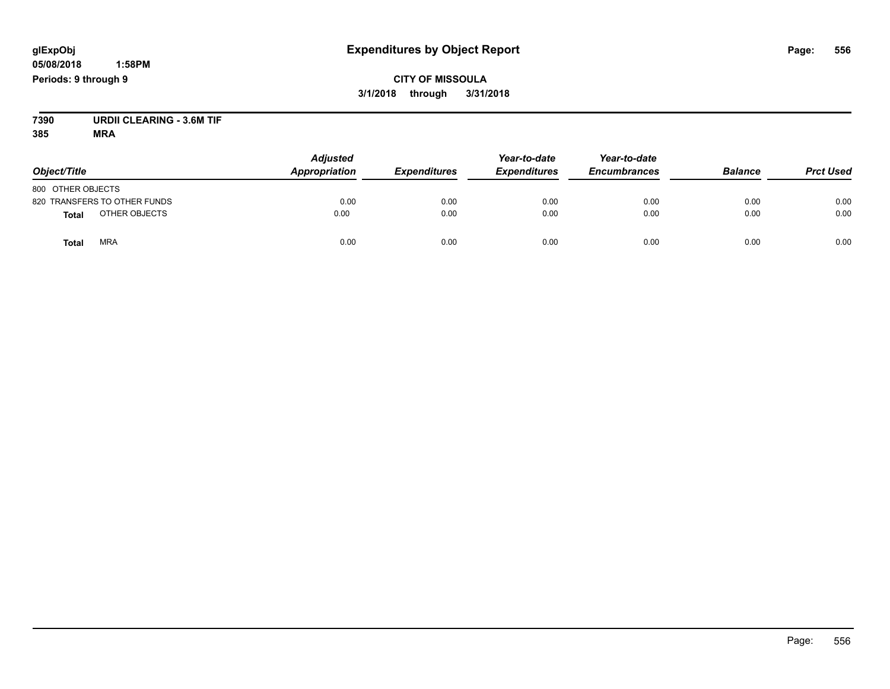**CITY OF MISSOULA 3/1/2018 through 3/31/2018**

**7390 URDII CLEARING - 3.6M TIF**

| Object/Title                  | <b>Adjusted</b><br>Appropriation | <b>Expenditures</b> | Year-to-date<br><b>Expenditures</b> | Year-to-date<br><b>Encumbrances</b> | <b>Balance</b> | <b>Prct Used</b> |
|-------------------------------|----------------------------------|---------------------|-------------------------------------|-------------------------------------|----------------|------------------|
| 800 OTHER OBJECTS             |                                  |                     |                                     |                                     |                |                  |
| 820 TRANSFERS TO OTHER FUNDS  | 0.00                             | 0.00                | 0.00                                | 0.00                                | 0.00           | 0.00             |
| OTHER OBJECTS<br><b>Total</b> | 0.00                             | 0.00                | 0.00                                | 0.00                                | 0.00           | 0.00             |
| <b>MRA</b><br>Total           | 0.00                             | 0.00                | 0.00                                | 0.00                                | 0.00           | 0.00             |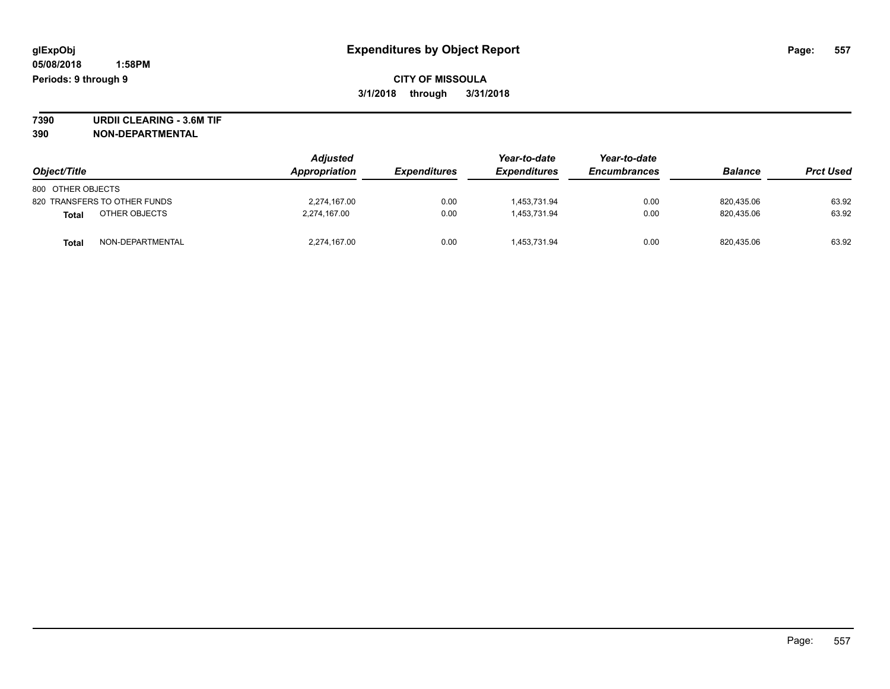**7390 URDII CLEARING - 3.6M TIF 390 NON-DEPARTMENTAL**

| Object/Title                     | <b>Adjusted</b><br>Appropriation | <b>Expenditures</b> | Year-to-date<br><b>Expenditures</b> | Year-to-date<br><b>Encumbrances</b> | <b>Balance</b> | <b>Prct Used</b> |
|----------------------------------|----------------------------------|---------------------|-------------------------------------|-------------------------------------|----------------|------------------|
| 800 OTHER OBJECTS                |                                  |                     |                                     |                                     |                |                  |
| 820 TRANSFERS TO OTHER FUNDS     | 2,274,167.00                     | 0.00                | 1,453,731.94                        | 0.00                                | 820.435.06     | 63.92            |
| OTHER OBJECTS<br><b>Total</b>    | 2.274.167.00                     | 0.00                | 1.453.731.94                        | 0.00                                | 820.435.06     | 63.92            |
| NON-DEPARTMENTAL<br><b>Total</b> | 2,274,167.00                     | 0.00                | 1,453,731.94                        | 0.00                                | 820,435.06     | 63.92            |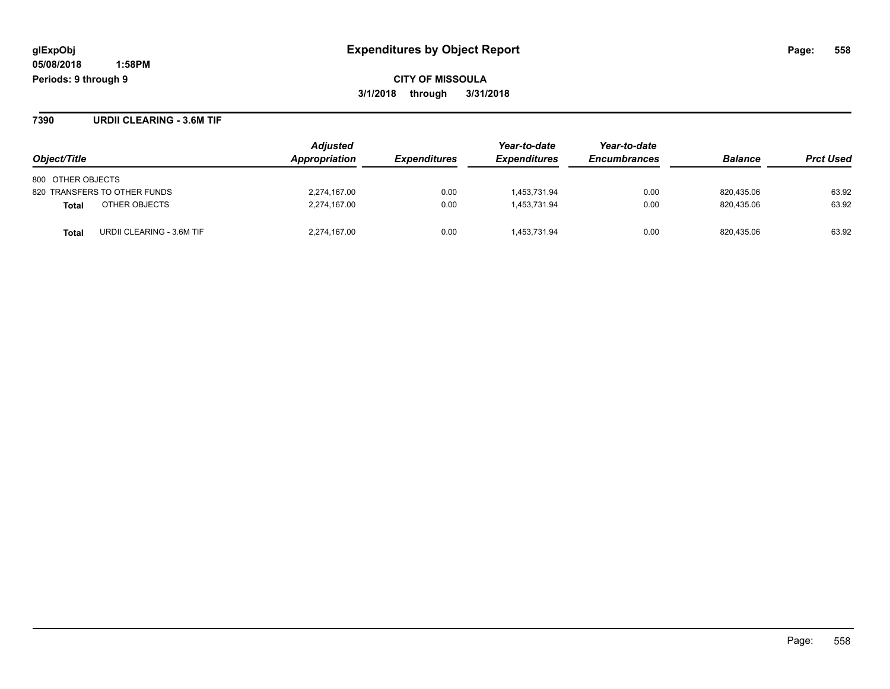**7390 URDII CLEARING - 3.6M TIF**

|                                    | <b>Adjusted</b><br>Appropriation<br><i><b>Expenditures</b></i> | Year-to-date | Year-to-date        |                     |                |                  |
|------------------------------------|----------------------------------------------------------------|--------------|---------------------|---------------------|----------------|------------------|
| Object/Title                       |                                                                |              | <b>Expenditures</b> | <b>Encumbrances</b> | <b>Balance</b> | <b>Prct Used</b> |
| 800 OTHER OBJECTS                  |                                                                |              |                     |                     |                |                  |
| 820 TRANSFERS TO OTHER FUNDS       | 2,274,167.00                                                   | 0.00         | 1.453.731.94        | 0.00                | 820,435.06     | 63.92            |
| OTHER OBJECTS<br><b>Total</b>      | 2,274,167.00                                                   | 0.00         | 1.453.731.94        | 0.00                | 820.435.06     | 63.92            |
| URDII CLEARING - 3.6M TIF<br>Total | 2,274,167.00                                                   | 0.00         | 1.453.731.94        | 0.00                | 820.435.06     | 63.92            |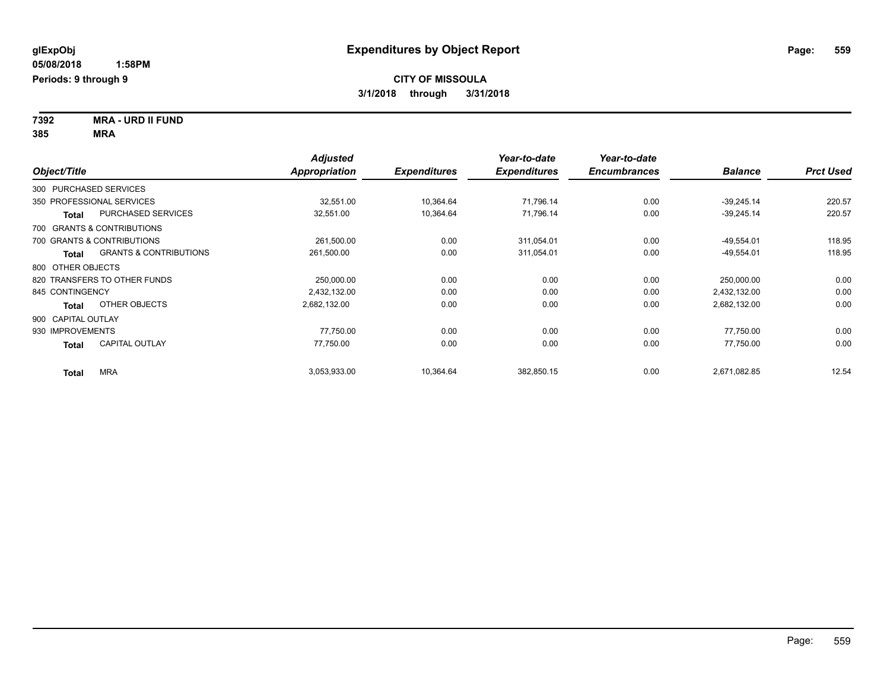**7392 MRA - URD II FUND 385 MRA**

|                    |                                   | <b>Adjusted</b> |                     | Year-to-date        | Year-to-date        |                |                  |
|--------------------|-----------------------------------|-----------------|---------------------|---------------------|---------------------|----------------|------------------|
| Object/Title       |                                   | Appropriation   | <b>Expenditures</b> | <b>Expenditures</b> | <b>Encumbrances</b> | <b>Balance</b> | <b>Prct Used</b> |
|                    | 300 PURCHASED SERVICES            |                 |                     |                     |                     |                |                  |
|                    | 350 PROFESSIONAL SERVICES         | 32,551.00       | 10,364.64           | 71,796.14           | 0.00                | $-39,245.14$   | 220.57           |
| Total              | <b>PURCHASED SERVICES</b>         | 32,551.00       | 10,364.64           | 71,796.14           | 0.00                | $-39,245.14$   | 220.57           |
|                    | 700 GRANTS & CONTRIBUTIONS        |                 |                     |                     |                     |                |                  |
|                    | 700 GRANTS & CONTRIBUTIONS        | 261,500.00      | 0.00                | 311,054.01          | 0.00                | $-49,554.01$   | 118.95           |
| <b>Total</b>       | <b>GRANTS &amp; CONTRIBUTIONS</b> | 261,500.00      | 0.00                | 311,054.01          | 0.00                | $-49,554.01$   | 118.95           |
| 800 OTHER OBJECTS  |                                   |                 |                     |                     |                     |                |                  |
|                    | 820 TRANSFERS TO OTHER FUNDS      | 250,000.00      | 0.00                | 0.00                | 0.00                | 250,000.00     | 0.00             |
| 845 CONTINGENCY    |                                   | 2.432.132.00    | 0.00                | 0.00                | 0.00                | 2,432,132.00   | 0.00             |
| <b>Total</b>       | OTHER OBJECTS                     | 2,682,132.00    | 0.00                | 0.00                | 0.00                | 2,682,132.00   | 0.00             |
| 900 CAPITAL OUTLAY |                                   |                 |                     |                     |                     |                |                  |
| 930 IMPROVEMENTS   |                                   | 77,750.00       | 0.00                | 0.00                | 0.00                | 77,750.00      | 0.00             |
| <b>Total</b>       | <b>CAPITAL OUTLAY</b>             | 77,750.00       | 0.00                | 0.00                | 0.00                | 77,750.00      | 0.00             |
| <b>Total</b>       | <b>MRA</b>                        | 3,053,933.00    | 10,364.64           | 382,850.15          | 0.00                | 2,671,082.85   | 12.54            |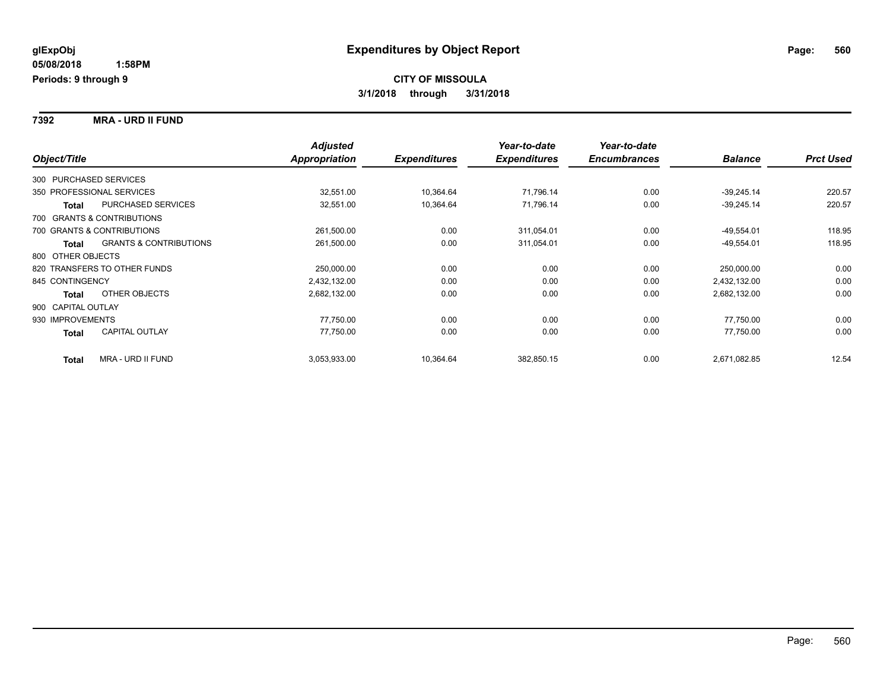**7392 MRA - URD II FUND**

|                        |                                   | <b>Adjusted</b>      |                     | Year-to-date        | Year-to-date        |                |                  |
|------------------------|-----------------------------------|----------------------|---------------------|---------------------|---------------------|----------------|------------------|
| Object/Title           |                                   | <b>Appropriation</b> | <b>Expenditures</b> | <b>Expenditures</b> | <b>Encumbrances</b> | <b>Balance</b> | <b>Prct Used</b> |
| 300 PURCHASED SERVICES |                                   |                      |                     |                     |                     |                |                  |
|                        | 350 PROFESSIONAL SERVICES         | 32,551.00            | 10,364.64           | 71,796.14           | 0.00                | $-39,245.14$   | 220.57           |
| Total                  | PURCHASED SERVICES                | 32,551.00            | 10,364.64           | 71,796.14           | 0.00                | $-39,245.14$   | 220.57           |
|                        | 700 GRANTS & CONTRIBUTIONS        |                      |                     |                     |                     |                |                  |
|                        | 700 GRANTS & CONTRIBUTIONS        | 261,500.00           | 0.00                | 311,054.01          | 0.00                | $-49.554.01$   | 118.95           |
| <b>Total</b>           | <b>GRANTS &amp; CONTRIBUTIONS</b> | 261,500.00           | 0.00                | 311,054.01          | 0.00                | $-49,554.01$   | 118.95           |
| 800 OTHER OBJECTS      |                                   |                      |                     |                     |                     |                |                  |
|                        | 820 TRANSFERS TO OTHER FUNDS      | 250,000.00           | 0.00                | 0.00                | 0.00                | 250,000.00     | 0.00             |
| 845 CONTINGENCY        |                                   | 2,432,132.00         | 0.00                | 0.00                | 0.00                | 2,432,132.00   | 0.00             |
| <b>Total</b>           | OTHER OBJECTS                     | 2,682,132.00         | 0.00                | 0.00                | 0.00                | 2,682,132.00   | 0.00             |
| 900 CAPITAL OUTLAY     |                                   |                      |                     |                     |                     |                |                  |
| 930 IMPROVEMENTS       |                                   | 77,750.00            | 0.00                | 0.00                | 0.00                | 77,750.00      | 0.00             |
| Total                  | <b>CAPITAL OUTLAY</b>             | 77,750.00            | 0.00                | 0.00                | 0.00                | 77,750.00      | 0.00             |
| <b>Total</b>           | <b>MRA - URD II FUND</b>          | 3,053,933.00         | 10,364.64           | 382,850.15          | 0.00                | 2,671,082.85   | 12.54            |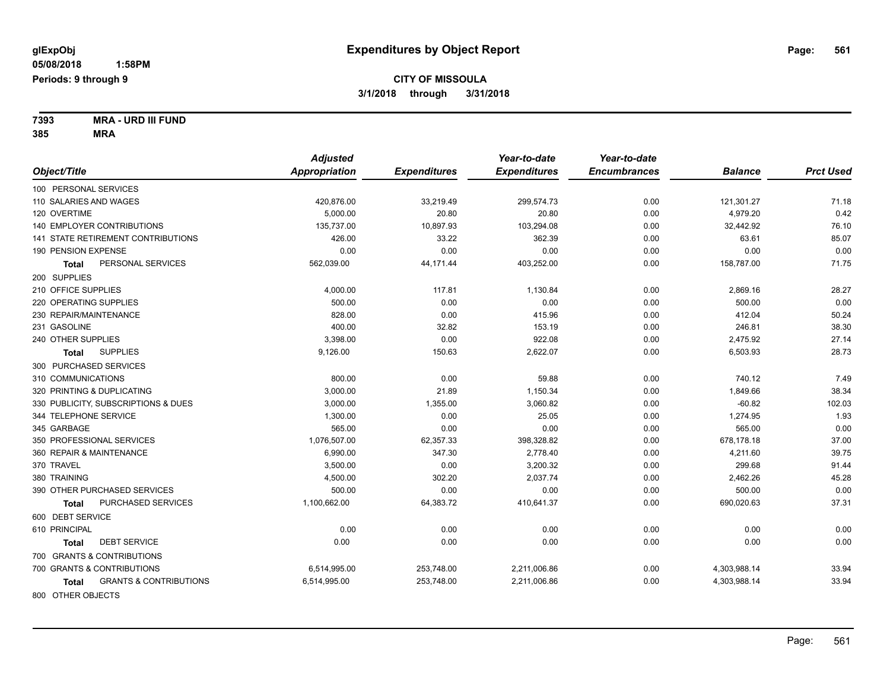**7393 MRA - URD III FUND 385 MRA**

|                                                   | <b>Adjusted</b> |                     | Year-to-date        | Year-to-date        |                |                  |
|---------------------------------------------------|-----------------|---------------------|---------------------|---------------------|----------------|------------------|
| Object/Title                                      | Appropriation   | <b>Expenditures</b> | <b>Expenditures</b> | <b>Encumbrances</b> | <b>Balance</b> | <b>Prct Used</b> |
| 100 PERSONAL SERVICES                             |                 |                     |                     |                     |                |                  |
| 110 SALARIES AND WAGES                            | 420,876.00      | 33,219.49           | 299,574.73          | 0.00                | 121,301.27     | 71.18            |
| 120 OVERTIME                                      | 5.000.00        | 20.80               | 20.80               | 0.00                | 4,979.20       | 0.42             |
| 140 EMPLOYER CONTRIBUTIONS                        | 135,737.00      | 10,897.93           | 103,294.08          | 0.00                | 32,442.92      | 76.10            |
| 141 STATE RETIREMENT CONTRIBUTIONS                | 426.00          | 33.22               | 362.39              | 0.00                | 63.61          | 85.07            |
| 190 PENSION EXPENSE                               | 0.00            | 0.00                | 0.00                | 0.00                | 0.00           | 0.00             |
| PERSONAL SERVICES<br><b>Total</b>                 | 562,039.00      | 44,171.44           | 403,252.00          | 0.00                | 158,787.00     | 71.75            |
| 200 SUPPLIES                                      |                 |                     |                     |                     |                |                  |
| 210 OFFICE SUPPLIES                               | 4,000.00        | 117.81              | 1,130.84            | 0.00                | 2,869.16       | 28.27            |
| 220 OPERATING SUPPLIES                            | 500.00          | 0.00                | 0.00                | 0.00                | 500.00         | 0.00             |
| 230 REPAIR/MAINTENANCE                            | 828.00          | 0.00                | 415.96              | 0.00                | 412.04         | 50.24            |
| 231 GASOLINE                                      | 400.00          | 32.82               | 153.19              | 0.00                | 246.81         | 38.30            |
| 240 OTHER SUPPLIES                                | 3,398.00        | 0.00                | 922.08              | 0.00                | 2,475.92       | 27.14            |
| <b>SUPPLIES</b><br><b>Total</b>                   | 9,126.00        | 150.63              | 2,622.07            | 0.00                | 6,503.93       | 28.73            |
| 300 PURCHASED SERVICES                            |                 |                     |                     |                     |                |                  |
| 310 COMMUNICATIONS                                | 800.00          | 0.00                | 59.88               | 0.00                | 740.12         | 7.49             |
| 320 PRINTING & DUPLICATING                        | 3,000.00        | 21.89               | 1,150.34            | 0.00                | 1,849.66       | 38.34            |
| 330 PUBLICITY, SUBSCRIPTIONS & DUES               | 3,000.00        | 1,355.00            | 3,060.82            | 0.00                | $-60.82$       | 102.03           |
| 344 TELEPHONE SERVICE                             | 1,300.00        | 0.00                | 25.05               | 0.00                | 1,274.95       | 1.93             |
| 345 GARBAGE                                       | 565.00          | 0.00                | 0.00                | 0.00                | 565.00         | 0.00             |
| 350 PROFESSIONAL SERVICES                         | 1,076,507.00    | 62,357.33           | 398,328.82          | 0.00                | 678,178.18     | 37.00            |
| 360 REPAIR & MAINTENANCE                          | 6,990.00        | 347.30              | 2,778.40            | 0.00                | 4,211.60       | 39.75            |
| 370 TRAVEL                                        | 3,500.00        | 0.00                | 3,200.32            | 0.00                | 299.68         | 91.44            |
| 380 TRAINING                                      | 4,500.00        | 302.20              | 2,037.74            | 0.00                | 2,462.26       | 45.28            |
| 390 OTHER PURCHASED SERVICES                      | 500.00          | 0.00                | 0.00                | 0.00                | 500.00         | 0.00             |
| PURCHASED SERVICES<br><b>Total</b>                | 1,100,662.00    | 64,383.72           | 410,641.37          | 0.00                | 690,020.63     | 37.31            |
| 600 DEBT SERVICE                                  |                 |                     |                     |                     |                |                  |
| 610 PRINCIPAL                                     | 0.00            | 0.00                | 0.00                | 0.00                | 0.00           | 0.00             |
| <b>DEBT SERVICE</b><br>Total                      | 0.00            | 0.00                | 0.00                | 0.00                | 0.00           | 0.00             |
| 700 GRANTS & CONTRIBUTIONS                        |                 |                     |                     |                     |                |                  |
| 700 GRANTS & CONTRIBUTIONS                        | 6,514,995.00    | 253,748.00          | 2,211,006.86        | 0.00                | 4,303,988.14   | 33.94            |
| <b>GRANTS &amp; CONTRIBUTIONS</b><br><b>Total</b> | 6,514,995.00    | 253,748.00          | 2,211,006.86        | 0.00                | 4,303,988.14   | 33.94            |
| 800 OTHER OBJECTS                                 |                 |                     |                     |                     |                |                  |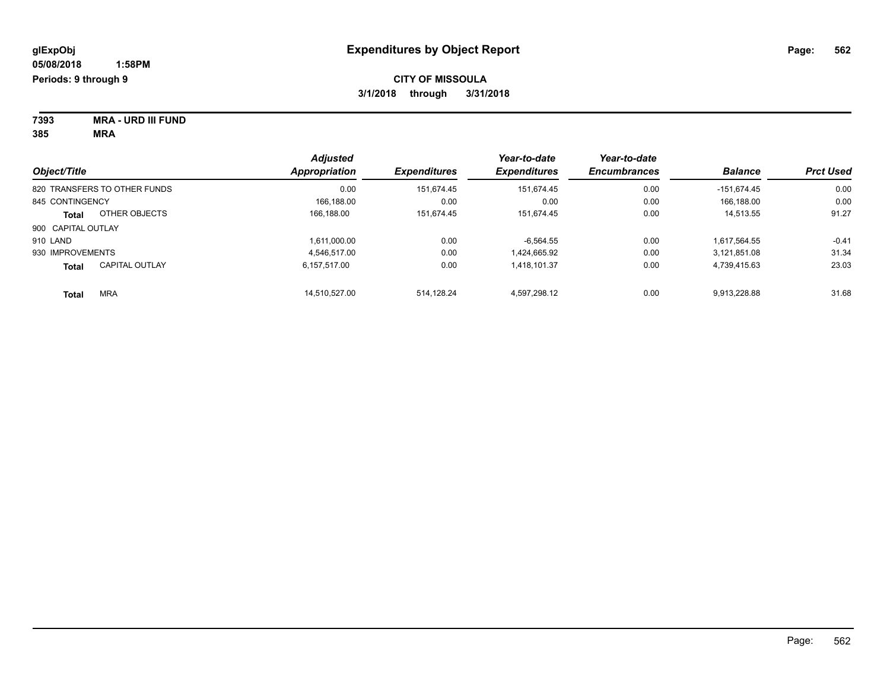**7393 MRA - URD III FUND 385 MRA**

|                    |                              | <b>Adjusted</b> |                     | Year-to-date        | Year-to-date        |                |                  |
|--------------------|------------------------------|-----------------|---------------------|---------------------|---------------------|----------------|------------------|
| Object/Title       |                              | Appropriation   | <b>Expenditures</b> | <b>Expenditures</b> | <b>Encumbrances</b> | <b>Balance</b> | <b>Prct Used</b> |
|                    | 820 TRANSFERS TO OTHER FUNDS | 0.00            | 151.674.45          | 151.674.45          | 0.00                | $-151.674.45$  | 0.00             |
| 845 CONTINGENCY    |                              | 166.188.00      | 0.00                | 0.00                | 0.00                | 166.188.00     | 0.00             |
| Total              | OTHER OBJECTS                | 166.188.00      | 151.674.45          | 151,674.45          | 0.00                | 14,513.55      | 91.27            |
| 900 CAPITAL OUTLAY |                              |                 |                     |                     |                     |                |                  |
| 910 LAND           |                              | 1.611.000.00    | 0.00                | $-6.564.55$         | 0.00                | 1.617.564.55   | $-0.41$          |
| 930 IMPROVEMENTS   |                              | 4.546.517.00    | 0.00                | 1,424,665.92        | 0.00                | 3.121.851.08   | 31.34            |
| <b>Total</b>       | <b>CAPITAL OUTLAY</b>        | 6.157.517.00    | 0.00                | 1.418.101.37        | 0.00                | 4,739,415.63   | 23.03            |
| <b>Total</b>       | <b>MRA</b>                   | 14.510.527.00   | 514.128.24          | 4.597.298.12        | 0.00                | 9.913.228.88   | 31.68            |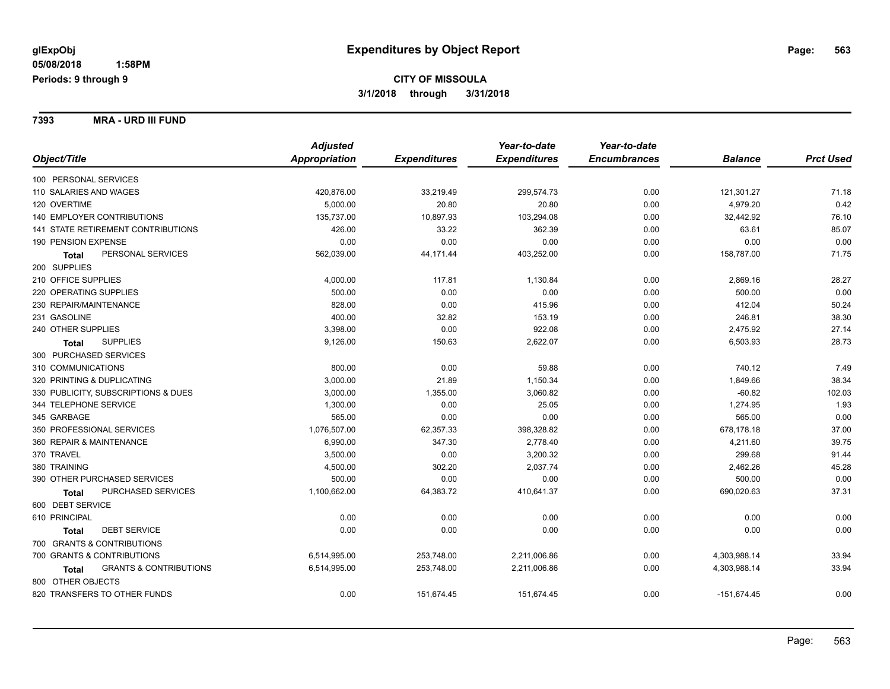**7393 MRA - URD III FUND**

|                                                   | <b>Adjusted</b> |                     | Year-to-date        | Year-to-date        |                |                  |
|---------------------------------------------------|-----------------|---------------------|---------------------|---------------------|----------------|------------------|
| Object/Title                                      | Appropriation   | <b>Expenditures</b> | <b>Expenditures</b> | <b>Encumbrances</b> | <b>Balance</b> | <b>Prct Used</b> |
| 100 PERSONAL SERVICES                             |                 |                     |                     |                     |                |                  |
| 110 SALARIES AND WAGES                            | 420,876.00      | 33,219.49           | 299,574.73          | 0.00                | 121,301.27     | 71.18            |
| 120 OVERTIME                                      | 5,000.00        | 20.80               | 20.80               | 0.00                | 4,979.20       | 0.42             |
| <b>140 EMPLOYER CONTRIBUTIONS</b>                 | 135,737.00      | 10,897.93           | 103,294.08          | 0.00                | 32,442.92      | 76.10            |
| 141 STATE RETIREMENT CONTRIBUTIONS                | 426.00          | 33.22               | 362.39              | 0.00                | 63.61          | 85.07            |
| 190 PENSION EXPENSE                               | 0.00            | 0.00                | 0.00                | 0.00                | 0.00           | 0.00             |
| PERSONAL SERVICES<br><b>Total</b>                 | 562,039.00      | 44,171.44           | 403,252.00          | 0.00                | 158,787.00     | 71.75            |
| 200 SUPPLIES                                      |                 |                     |                     |                     |                |                  |
| 210 OFFICE SUPPLIES                               | 4,000.00        | 117.81              | 1,130.84            | 0.00                | 2,869.16       | 28.27            |
| 220 OPERATING SUPPLIES                            | 500.00          | 0.00                | 0.00                | 0.00                | 500.00         | 0.00             |
| 230 REPAIR/MAINTENANCE                            | 828.00          | 0.00                | 415.96              | 0.00                | 412.04         | 50.24            |
| 231 GASOLINE                                      | 400.00          | 32.82               | 153.19              | 0.00                | 246.81         | 38.30            |
| 240 OTHER SUPPLIES                                | 3,398.00        | 0.00                | 922.08              | 0.00                | 2,475.92       | 27.14            |
| <b>SUPPLIES</b><br>Total                          | 9,126.00        | 150.63              | 2,622.07            | 0.00                | 6,503.93       | 28.73            |
| 300 PURCHASED SERVICES                            |                 |                     |                     |                     |                |                  |
| 310 COMMUNICATIONS                                | 800.00          | 0.00                | 59.88               | 0.00                | 740.12         | 7.49             |
| 320 PRINTING & DUPLICATING                        | 3,000.00        | 21.89               | 1,150.34            | 0.00                | 1,849.66       | 38.34            |
| 330 PUBLICITY, SUBSCRIPTIONS & DUES               | 3,000.00        | 1,355.00            | 3,060.82            | 0.00                | $-60.82$       | 102.03           |
| 344 TELEPHONE SERVICE                             | 1,300.00        | 0.00                | 25.05               | 0.00                | 1,274.95       | 1.93             |
| 345 GARBAGE                                       | 565.00          | 0.00                | 0.00                | 0.00                | 565.00         | 0.00             |
| 350 PROFESSIONAL SERVICES                         | 1,076,507.00    | 62,357.33           | 398,328.82          | 0.00                | 678,178.18     | 37.00            |
| 360 REPAIR & MAINTENANCE                          | 6,990.00        | 347.30              | 2,778.40            | 0.00                | 4,211.60       | 39.75            |
| 370 TRAVEL                                        | 3,500.00        | 0.00                | 3,200.32            | 0.00                | 299.68         | 91.44            |
| 380 TRAINING                                      | 4,500.00        | 302.20              | 2,037.74            | 0.00                | 2,462.26       | 45.28            |
| 390 OTHER PURCHASED SERVICES                      | 500.00          | 0.00                | 0.00                | 0.00                | 500.00         | 0.00             |
| PURCHASED SERVICES<br><b>Total</b>                | 1,100,662.00    | 64,383.72           | 410,641.37          | 0.00                | 690,020.63     | 37.31            |
| 600 DEBT SERVICE                                  |                 |                     |                     |                     |                |                  |
| 610 PRINCIPAL                                     | 0.00            | 0.00                | 0.00                | 0.00                | 0.00           | 0.00             |
| <b>DEBT SERVICE</b><br><b>Total</b>               | 0.00            | 0.00                | 0.00                | 0.00                | 0.00           | 0.00             |
| 700 GRANTS & CONTRIBUTIONS                        |                 |                     |                     |                     |                |                  |
| 700 GRANTS & CONTRIBUTIONS                        | 6,514,995.00    | 253,748.00          | 2,211,006.86        | 0.00                | 4,303,988.14   | 33.94            |
| <b>GRANTS &amp; CONTRIBUTIONS</b><br><b>Total</b> | 6,514,995.00    | 253,748.00          | 2,211,006.86        | 0.00                | 4,303,988.14   | 33.94            |
| 800 OTHER OBJECTS                                 |                 |                     |                     |                     |                |                  |
| 820 TRANSFERS TO OTHER FUNDS                      | 0.00            | 151,674.45          | 151,674.45          | 0.00                | $-151,674.45$  | 0.00             |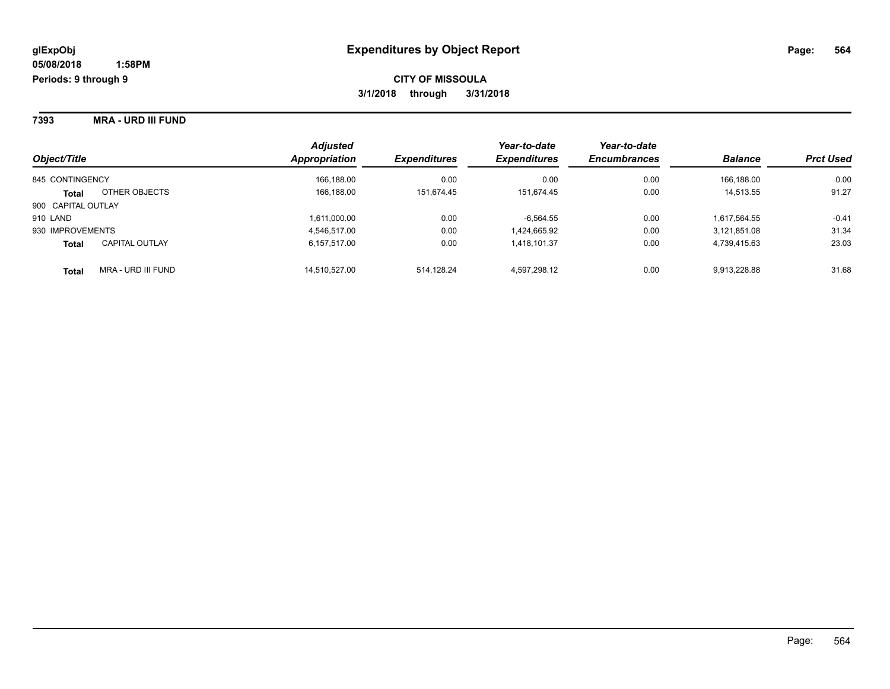**7393 MRA - URD III FUND**

| Object/Title       |                    | <b>Adjusted</b><br>Appropriation | <b>Expenditures</b> | Year-to-date<br><b>Expenditures</b> | Year-to-date<br><b>Encumbrances</b> | <b>Balance</b> | <b>Prct Used</b> |
|--------------------|--------------------|----------------------------------|---------------------|-------------------------------------|-------------------------------------|----------------|------------------|
| 845 CONTINGENCY    |                    | 166,188.00                       | 0.00                | 0.00                                | 0.00                                | 166.188.00     | 0.00             |
| <b>Total</b>       | OTHER OBJECTS      | 166,188.00                       | 151,674.45          | 151,674.45                          | 0.00                                | 14,513.55      | 91.27            |
| 900 CAPITAL OUTLAY |                    |                                  |                     |                                     |                                     |                |                  |
| 910 LAND           |                    | 1,611,000.00                     | 0.00                | $-6,564.55$                         | 0.00                                | 1,617,564.55   | $-0.41$          |
| 930 IMPROVEMENTS   |                    | 4.546.517.00                     | 0.00                | 1,424,665.92                        | 0.00                                | 3,121,851.08   | 31.34            |
| <b>Total</b>       | CAPITAL OUTLAY     | 6.157.517.00                     | 0.00                | 1,418,101.37                        | 0.00                                | 4,739,415.63   | 23.03            |
| <b>Total</b>       | MRA - URD III FUND | 14.510.527.00                    | 514.128.24          | 4.597.298.12                        | 0.00                                | 9.913.228.88   | 31.68            |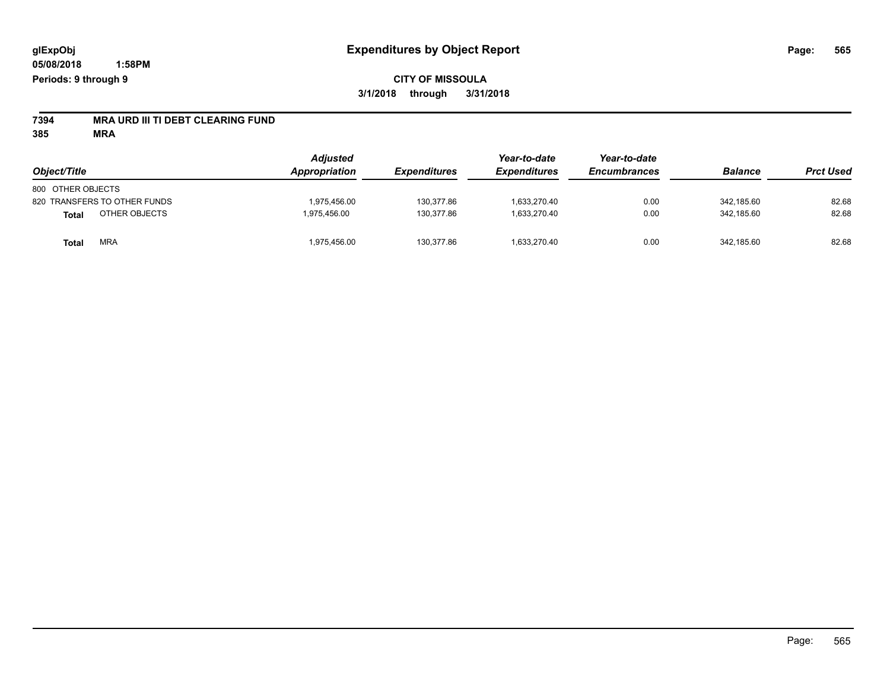**CITY OF MISSOULA 3/1/2018 through 3/31/2018**

# **7394 MRA URD III TI DEBT CLEARING FUND**

| Object/Title                  | <b>Adjusted</b><br><b>Appropriation</b> | <b>Expenditures</b> | Year-to-date<br><b>Expenditures</b> | Year-to-date<br><b>Encumbrances</b> | <b>Balance</b> | <b>Prct Used</b> |
|-------------------------------|-----------------------------------------|---------------------|-------------------------------------|-------------------------------------|----------------|------------------|
|                               |                                         |                     |                                     |                                     |                |                  |
| 800 OTHER OBJECTS             |                                         |                     |                                     |                                     |                |                  |
| 820 TRANSFERS TO OTHER FUNDS  | 1,975,456.00                            | 130.377.86          | 1,633,270.40                        | 0.00                                | 342.185.60     | 82.68            |
| OTHER OBJECTS<br><b>Total</b> | 1,975,456.00                            | 130.377.86          | 1,633,270.40                        | 0.00                                | 342.185.60     | 82.68            |
| <b>MRA</b><br>Total           | 1,975,456.00                            | 130.377.86          | 1.633.270.40                        | 0.00                                | 342,185.60     | 82.68            |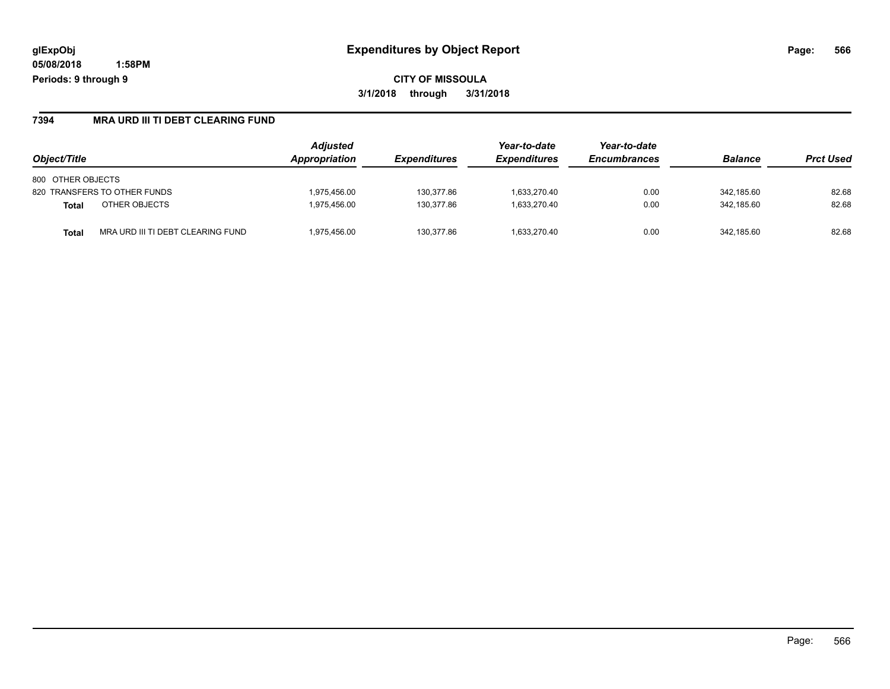**CITY OF MISSOULA 3/1/2018 through 3/31/2018**

#### **7394 MRA URD III TI DEBT CLEARING FUND**

|                                            | <b>Adjusted</b> |                            | Year-to-date        | Year-to-date        |                |                  |
|--------------------------------------------|-----------------|----------------------------|---------------------|---------------------|----------------|------------------|
| Object/Title                               | Appropriation   | <i><b>Expenditures</b></i> | <b>Expenditures</b> | <b>Encumbrances</b> | <b>Balance</b> | <b>Prct Used</b> |
| 800 OTHER OBJECTS                          |                 |                            |                     |                     |                |                  |
| 820 TRANSFERS TO OTHER FUNDS               | 1.975.456.00    | 130.377.86                 | 1.633.270.40        | 0.00                | 342.185.60     | 82.68            |
| OTHER OBJECTS<br><b>Total</b>              | 1.975.456.00    | 130.377.86                 | 1.633.270.40        | 0.00                | 342.185.60     | 82.68            |
| MRA URD III TI DEBT CLEARING FUND<br>Total | 1.975.456.00    | 130.377.86                 | 1.633.270.40        | 0.00                | 342.185.60     | 82.68            |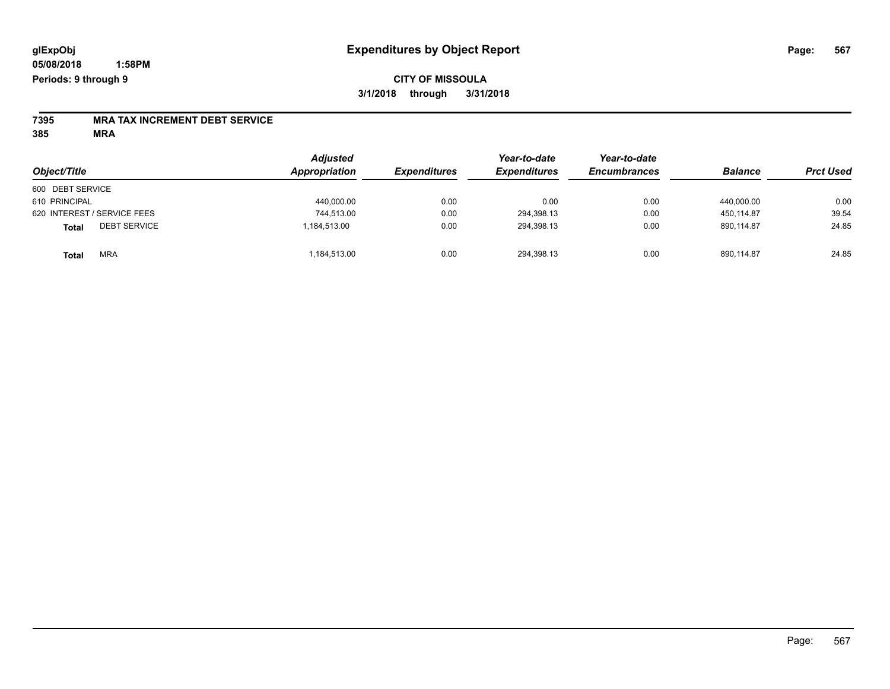## **CITY OF MISSOULA 3/1/2018 through 3/31/2018**

# **7395 MRA TAX INCREMENT DEBT SERVICE**

| Object/Title                 | <b>Adjusted</b><br>Appropriation | <b>Expenditures</b> | Year-to-date<br><b>Expenditures</b> | Year-to-date<br><b>Encumbrances</b> | <b>Balance</b> | <b>Prct Used</b> |
|------------------------------|----------------------------------|---------------------|-------------------------------------|-------------------------------------|----------------|------------------|
| 600 DEBT SERVICE             |                                  |                     |                                     |                                     |                |                  |
| 610 PRINCIPAL                | 440,000.00                       | 0.00                | 0.00                                | 0.00                                | 440.000.00     | 0.00             |
| 620 INTEREST / SERVICE FEES  | 744,513.00                       | 0.00                | 294,398.13                          | 0.00                                | 450.114.87     | 39.54            |
| <b>DEBT SERVICE</b><br>Total | 1,184,513.00                     | 0.00                | 294,398.13                          | 0.00                                | 890.114.87     | 24.85            |
| <b>MRA</b><br><b>Total</b>   | 184,513.00                       | 0.00                | 294,398.13                          | 0.00                                | 890,114.87     | 24.85            |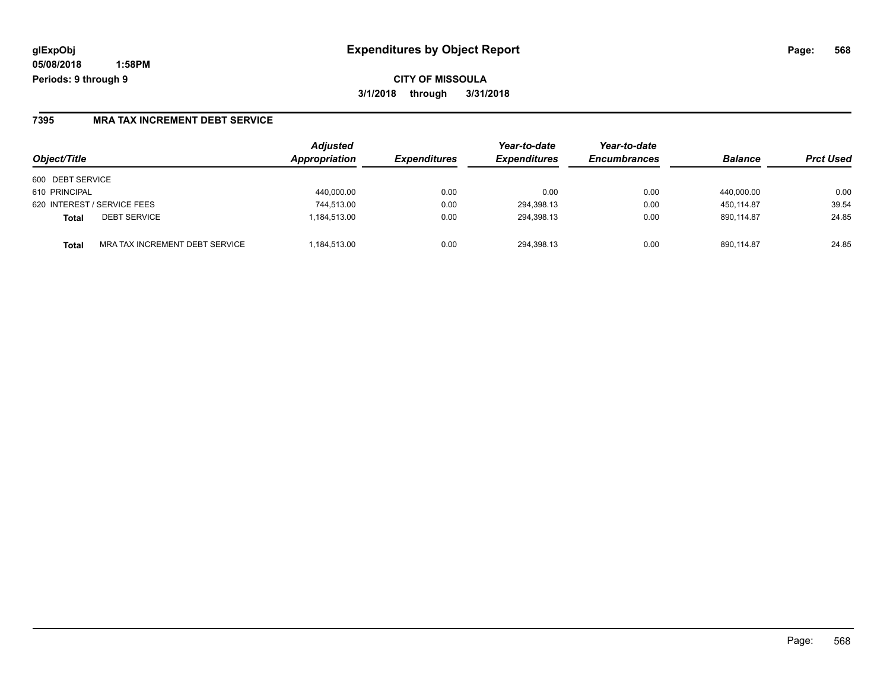### **7395 MRA TAX INCREMENT DEBT SERVICE**

| Object/Title                                   | <b>Adjusted</b><br><b>Appropriation</b> | <b>Expenditures</b> | Year-to-date<br><b>Expenditures</b> | Year-to-date<br><b>Encumbrances</b> | <b>Balance</b> | <b>Prct Used</b> |
|------------------------------------------------|-----------------------------------------|---------------------|-------------------------------------|-------------------------------------|----------------|------------------|
| 600 DEBT SERVICE                               |                                         |                     |                                     |                                     |                |                  |
| 610 PRINCIPAL                                  | 440,000.00                              | 0.00                | 0.00                                | 0.00                                | 440.000.00     | 0.00             |
| 620 INTEREST / SERVICE FEES                    | 744,513.00                              | 0.00                | 294,398.13                          | 0.00                                | 450,114.87     | 39.54            |
| <b>DEBT SERVICE</b><br><b>Total</b>            | .184.513.00                             | 0.00                | 294.398.13                          | 0.00                                | 890.114.87     | 24.85            |
| MRA TAX INCREMENT DEBT SERVICE<br><b>Total</b> | .184.513.00                             | 0.00                | 294.398.13                          | 0.00                                | 890.114.87     | 24.85            |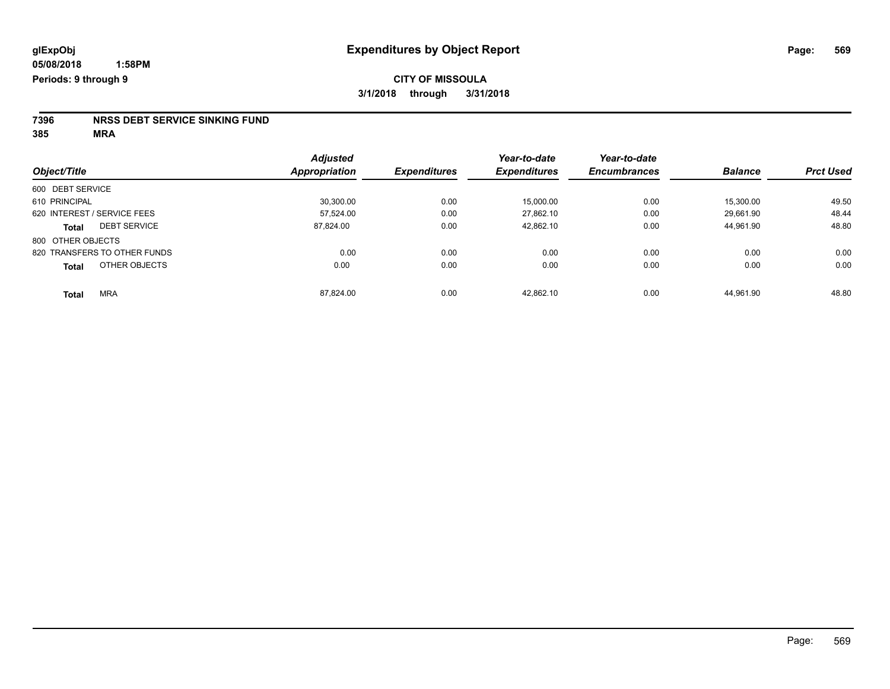# **7396 NRSS DEBT SERVICE SINKING FUND**

|                               | <b>Adjusted</b>      | <b>Expenditures</b> | Year-to-date<br><b>Expenditures</b> | Year-to-date        | <b>Balance</b> | <b>Prct Used</b> |
|-------------------------------|----------------------|---------------------|-------------------------------------|---------------------|----------------|------------------|
| Object/Title                  | <b>Appropriation</b> |                     |                                     | <b>Encumbrances</b> |                |                  |
| 600 DEBT SERVICE              |                      |                     |                                     |                     |                |                  |
| 610 PRINCIPAL                 | 30.300.00            | 0.00                | 15,000.00                           | 0.00                | 15.300.00      | 49.50            |
| 620 INTEREST / SERVICE FEES   | 57.524.00            | 0.00                | 27.862.10                           | 0.00                | 29.661.90      | 48.44            |
| <b>DEBT SERVICE</b><br>Total  | 87.824.00            | 0.00                | 42.862.10                           | 0.00                | 44.961.90      | 48.80            |
| 800 OTHER OBJECTS             |                      |                     |                                     |                     |                |                  |
| 820 TRANSFERS TO OTHER FUNDS  | 0.00                 | 0.00                | 0.00                                | 0.00                | 0.00           | 0.00             |
| OTHER OBJECTS<br><b>Total</b> | 0.00                 | 0.00                | 0.00                                | 0.00                | 0.00           | 0.00             |
| <b>MRA</b><br><b>Total</b>    | 87.824.00            | 0.00                | 42.862.10                           | 0.00                | 44.961.90      | 48.80            |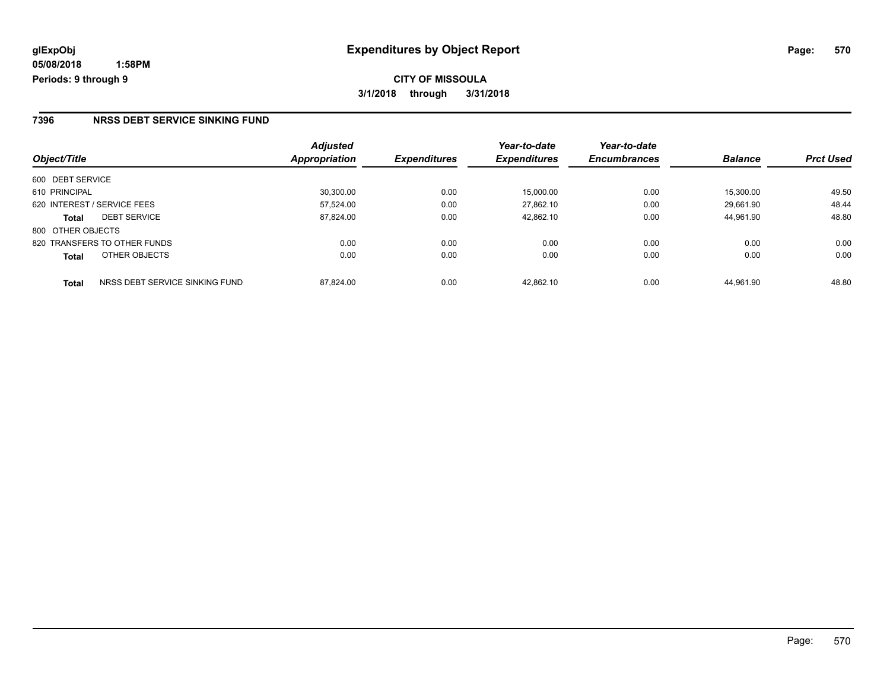**CITY OF MISSOULA 3/1/2018 through 3/31/2018**

#### **7396 NRSS DEBT SERVICE SINKING FUND**

|                                     |                                | <b>Adjusted</b> | <b>Expenditures</b> | Year-to-date<br><b>Expenditures</b> | Year-to-date<br><b>Encumbrances</b> | <b>Balance</b> | <b>Prct Used</b> |
|-------------------------------------|--------------------------------|-----------------|---------------------|-------------------------------------|-------------------------------------|----------------|------------------|
| Object/Title                        |                                | Appropriation   |                     |                                     |                                     |                |                  |
| 600 DEBT SERVICE                    |                                |                 |                     |                                     |                                     |                |                  |
| 610 PRINCIPAL                       |                                | 30,300.00       | 0.00                | 15.000.00                           | 0.00                                | 15.300.00      | 49.50            |
| 620 INTEREST / SERVICE FEES         |                                | 57,524.00       | 0.00                | 27.862.10                           | 0.00                                | 29.661.90      | 48.44            |
| <b>DEBT SERVICE</b><br><b>Total</b> |                                | 87.824.00       | 0.00                | 42.862.10                           | 0.00                                | 44.961.90      | 48.80            |
| 800 OTHER OBJECTS                   |                                |                 |                     |                                     |                                     |                |                  |
| 820 TRANSFERS TO OTHER FUNDS        |                                | 0.00            | 0.00                | 0.00                                | 0.00                                | 0.00           | 0.00             |
| OTHER OBJECTS<br><b>Total</b>       |                                | 0.00            | 0.00                | 0.00                                | 0.00                                | 0.00           | 0.00             |
| <b>Total</b>                        | NRSS DEBT SERVICE SINKING FUND | 87.824.00       | 0.00                | 42.862.10                           | 0.00                                | 44.961.90      | 48.80            |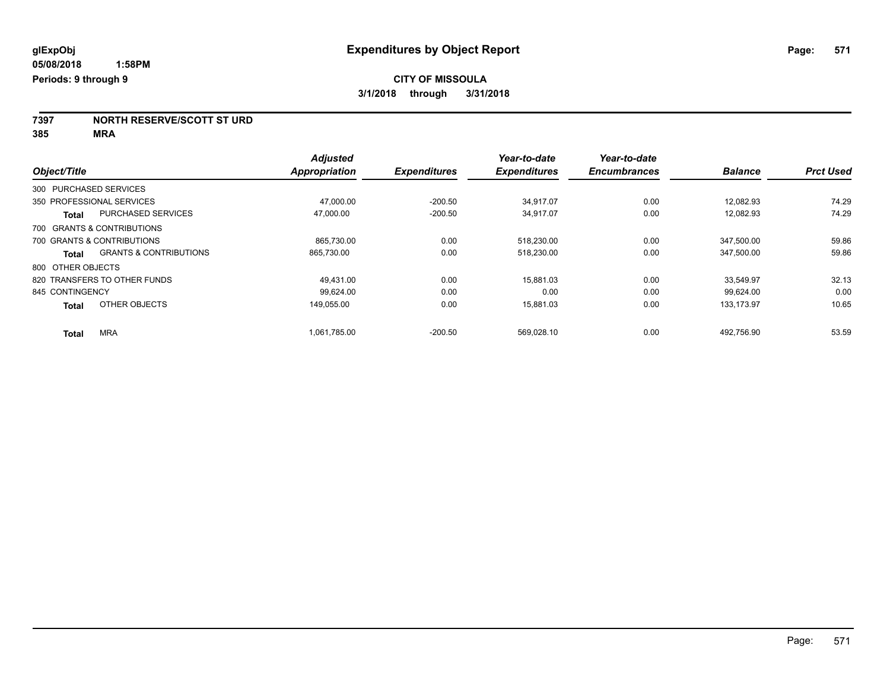**7397 NORTH RESERVE/SCOTT ST URD**

|                   |                                   | <b>Adjusted</b>      |                     | Year-to-date        | Year-to-date        |                |                  |
|-------------------|-----------------------------------|----------------------|---------------------|---------------------|---------------------|----------------|------------------|
| Object/Title      |                                   | <b>Appropriation</b> | <b>Expenditures</b> | <b>Expenditures</b> | <b>Encumbrances</b> | <b>Balance</b> | <b>Prct Used</b> |
|                   | 300 PURCHASED SERVICES            |                      |                     |                     |                     |                |                  |
|                   | 350 PROFESSIONAL SERVICES         | 47.000.00            | $-200.50$           | 34.917.07           | 0.00                | 12.082.93      | 74.29            |
| <b>Total</b>      | <b>PURCHASED SERVICES</b>         | 47,000.00            | $-200.50$           | 34.917.07           | 0.00                | 12,082.93      | 74.29            |
|                   | 700 GRANTS & CONTRIBUTIONS        |                      |                     |                     |                     |                |                  |
|                   | 700 GRANTS & CONTRIBUTIONS        | 865,730.00           | 0.00                | 518,230.00          | 0.00                | 347,500.00     | 59.86            |
| <b>Total</b>      | <b>GRANTS &amp; CONTRIBUTIONS</b> | 865.730.00           | 0.00                | 518,230.00          | 0.00                | 347.500.00     | 59.86            |
| 800 OTHER OBJECTS |                                   |                      |                     |                     |                     |                |                  |
|                   | 820 TRANSFERS TO OTHER FUNDS      | 49.431.00            | 0.00                | 15.881.03           | 0.00                | 33.549.97      | 32.13            |
| 845 CONTINGENCY   |                                   | 99.624.00            | 0.00                | 0.00                | 0.00                | 99.624.00      | 0.00             |
| <b>Total</b>      | OTHER OBJECTS                     | 149.055.00           | 0.00                | 15.881.03           | 0.00                | 133,173.97     | 10.65            |
| <b>Total</b>      | <b>MRA</b>                        | 1,061,785.00         | $-200.50$           | 569,028.10          | 0.00                | 492.756.90     | 53.59            |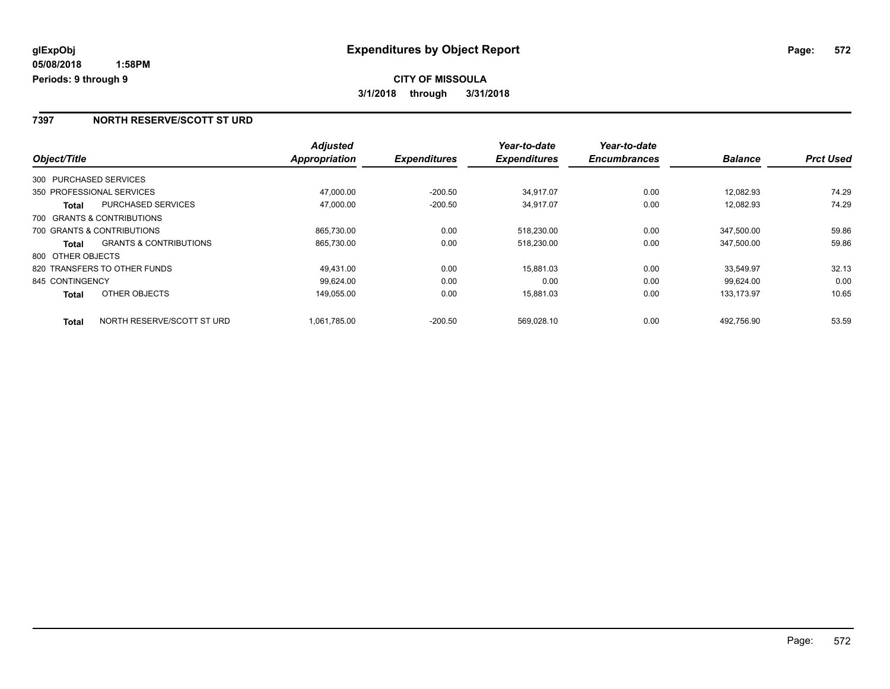### **7397 NORTH RESERVE/SCOTT ST URD**

|                   |                                   | <b>Adjusted</b>      |                     | Year-to-date        | Year-to-date        |                |                  |
|-------------------|-----------------------------------|----------------------|---------------------|---------------------|---------------------|----------------|------------------|
| Object/Title      |                                   | <b>Appropriation</b> | <b>Expenditures</b> | <b>Expenditures</b> | <b>Encumbrances</b> | <b>Balance</b> | <b>Prct Used</b> |
|                   | 300 PURCHASED SERVICES            |                      |                     |                     |                     |                |                  |
|                   | 350 PROFESSIONAL SERVICES         | 47,000.00            | $-200.50$           | 34.917.07           | 0.00                | 12,082.93      | 74.29            |
| Total             | <b>PURCHASED SERVICES</b>         | 47,000.00            | $-200.50$           | 34,917.07           | 0.00                | 12,082.93      | 74.29            |
|                   | 700 GRANTS & CONTRIBUTIONS        |                      |                     |                     |                     |                |                  |
|                   | 700 GRANTS & CONTRIBUTIONS        | 865.730.00           | 0.00                | 518,230.00          | 0.00                | 347.500.00     | 59.86            |
| Total             | <b>GRANTS &amp; CONTRIBUTIONS</b> | 865,730.00           | 0.00                | 518,230.00          | 0.00                | 347,500.00     | 59.86            |
| 800 OTHER OBJECTS |                                   |                      |                     |                     |                     |                |                  |
|                   | 820 TRANSFERS TO OTHER FUNDS      | 49,431.00            | 0.00                | 15,881.03           | 0.00                | 33,549.97      | 32.13            |
| 845 CONTINGENCY   |                                   | 99.624.00            | 0.00                | 0.00                | 0.00                | 99.624.00      | 0.00             |
| Total             | OTHER OBJECTS                     | 149,055.00           | 0.00                | 15,881.03           | 0.00                | 133,173.97     | 10.65            |
| <b>Total</b>      | NORTH RESERVE/SCOTT ST URD        | 1.061.785.00         | $-200.50$           | 569.028.10          | 0.00                | 492.756.90     | 53.59            |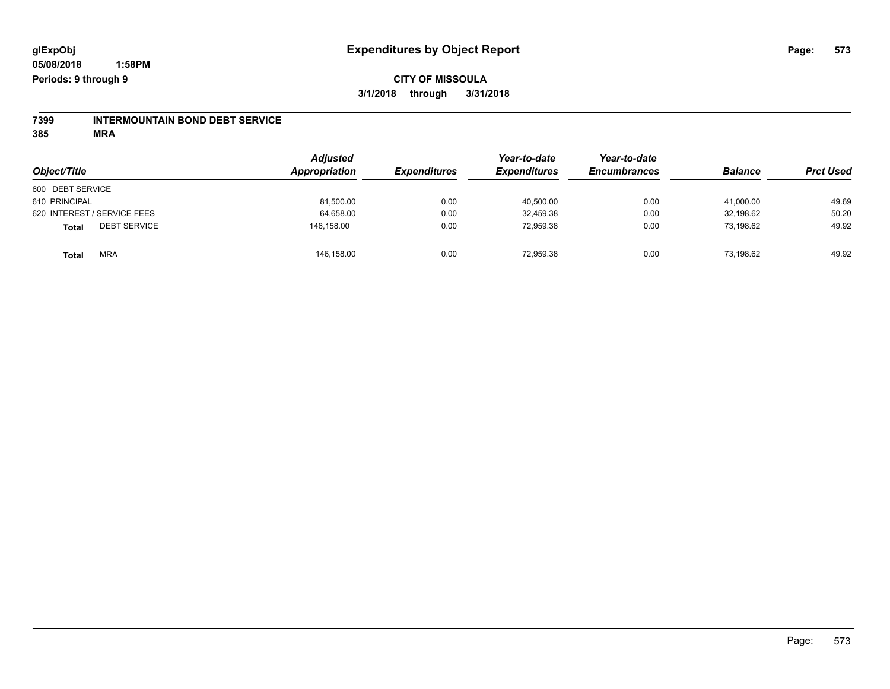## **CITY OF MISSOULA 3/1/2018 through 3/31/2018**

# **7399 INTERMOUNTAIN BOND DEBT SERVICE**

|                              | <b>Adjusted</b> |                     | Year-to-date        | Year-to-date        |                |                  |
|------------------------------|-----------------|---------------------|---------------------|---------------------|----------------|------------------|
| Object/Title                 | Appropriation   | <b>Expenditures</b> | <b>Expenditures</b> | <b>Encumbrances</b> | <b>Balance</b> | <b>Prct Used</b> |
| 600 DEBT SERVICE             |                 |                     |                     |                     |                |                  |
| 610 PRINCIPAL                | 81,500.00       | 0.00                | 40,500.00           | 0.00                | 41,000.00      | 49.69            |
| 620 INTEREST / SERVICE FEES  | 64,658.00       | 0.00                | 32,459.38           | 0.00                | 32,198.62      | 50.20            |
| <b>DEBT SERVICE</b><br>Total | 146,158.00      | 0.00                | 72,959.38           | 0.00                | 73,198.62      | 49.92            |
| <b>MRA</b><br><b>Total</b>   | 146,158.00      | 0.00                | 72,959.38           | 0.00                | 73,198.62      | 49.92            |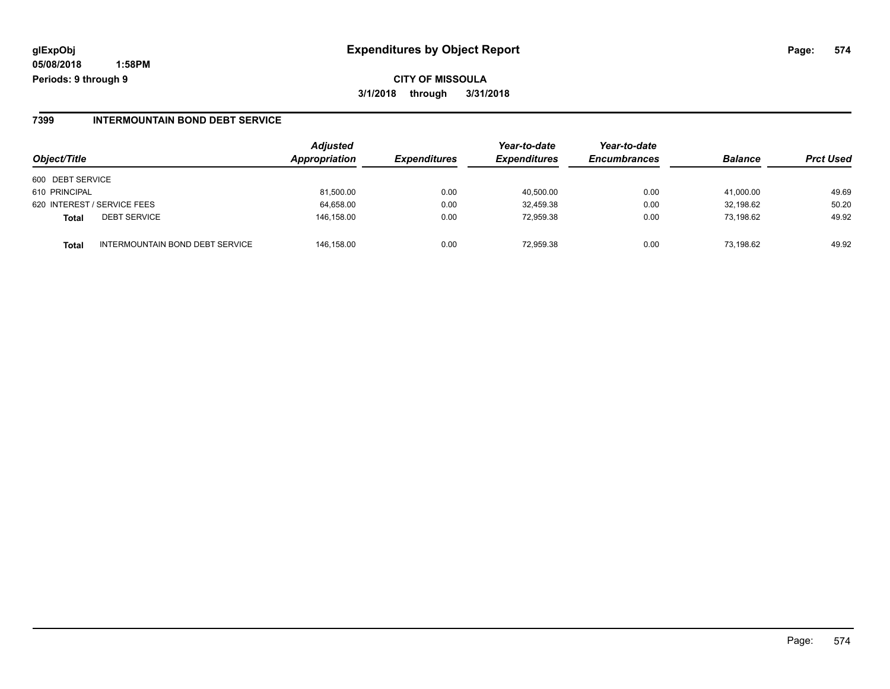#### **7399 INTERMOUNTAIN BOND DEBT SERVICE**

| Object/Title                                    | <b>Adjusted</b><br>Appropriation | <b>Expenditures</b> | Year-to-date<br><b>Expenditures</b> | Year-to-date<br><b>Encumbrances</b> | <b>Balance</b> | <b>Prct Used</b> |
|-------------------------------------------------|----------------------------------|---------------------|-------------------------------------|-------------------------------------|----------------|------------------|
| 600 DEBT SERVICE                                |                                  |                     |                                     |                                     |                |                  |
| 610 PRINCIPAL                                   | 81,500.00                        | 0.00                | 40,500.00                           | 0.00                                | 41,000.00      | 49.69            |
| 620 INTEREST / SERVICE FEES                     | 64,658.00                        | 0.00                | 32,459.38                           | 0.00                                | 32,198.62      | 50.20            |
| <b>DEBT SERVICE</b><br><b>Total</b>             | 146.158.00                       | 0.00                | 72.959.38                           | 0.00                                | 73.198.62      | 49.92            |
| INTERMOUNTAIN BOND DEBT SERVICE<br><b>Total</b> | 146.158.00                       | 0.00                | 72.959.38                           | 0.00                                | 73.198.62      | 49.92            |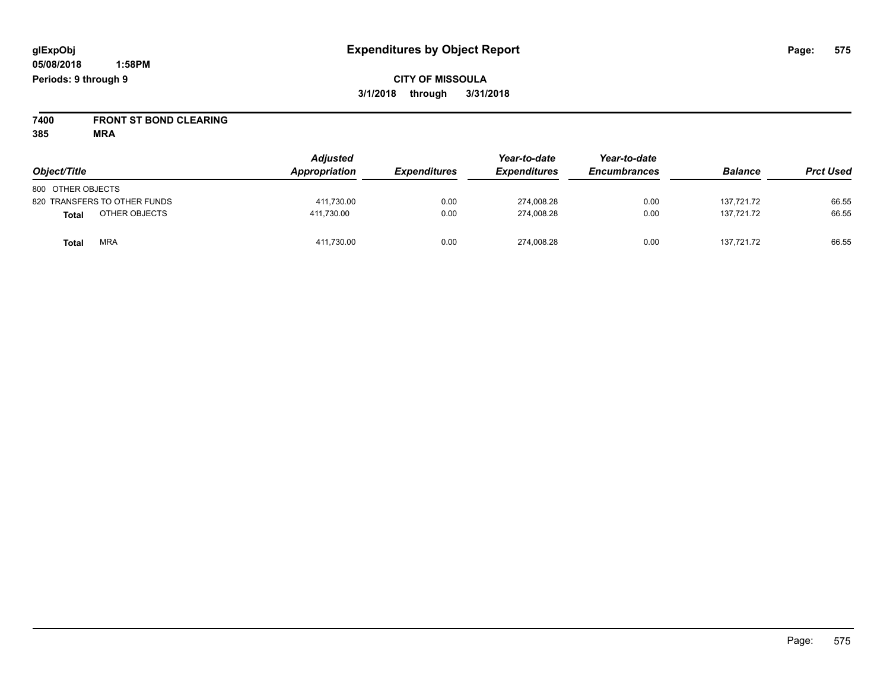**7400 FRONT ST BOND CLEARING**

| Object/Title                 | <b>Adjusted</b><br>Appropriation | <b>Expenditures</b> | Year-to-date<br><b>Expenditures</b> | Year-to-date<br><b>Encumbrances</b> | <b>Balance</b> | <b>Prct Used</b> |
|------------------------------|----------------------------------|---------------------|-------------------------------------|-------------------------------------|----------------|------------------|
| 800 OTHER OBJECTS            |                                  |                     |                                     |                                     |                |                  |
| 820 TRANSFERS TO OTHER FUNDS | 411,730.00                       | 0.00                | 274,008.28                          | 0.00                                | 137,721.72     | 66.55            |
| OTHER OBJECTS<br>Total       | 411.730.00                       | 0.00                | 274,008.28                          | 0.00                                | 137.721.72     | 66.55            |
| <b>MRA</b><br>Total          | 411,730.00                       | 0.00                | 274,008.28                          | 0.00                                | 137,721.72     | 66.55            |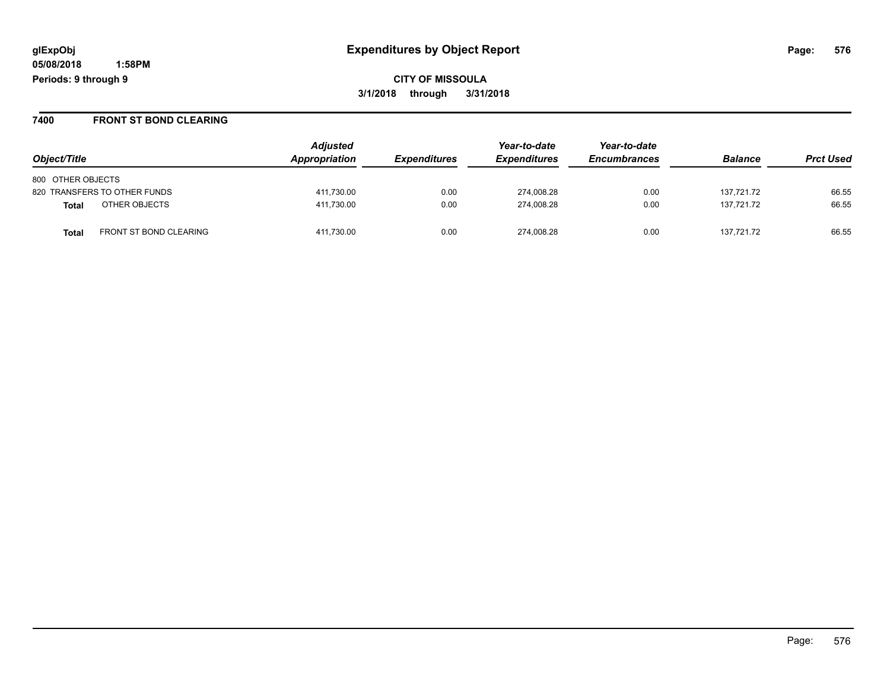#### **7400 FRONT ST BOND CLEARING**

| Object/Title                    | <b>Adjusted</b><br>Appropriation | <i><b>Expenditures</b></i> | Year-to-date<br><b>Expenditures</b> | Year-to-date<br><b>Encumbrances</b> | <b>Balance</b> | <b>Prct Used</b> |
|---------------------------------|----------------------------------|----------------------------|-------------------------------------|-------------------------------------|----------------|------------------|
| 800 OTHER OBJECTS               |                                  |                            |                                     |                                     |                |                  |
| 820 TRANSFERS TO OTHER FUNDS    | 411,730.00                       | 0.00                       | 274.008.28                          | 0.00                                | 137,721.72     | 66.55            |
| OTHER OBJECTS<br><b>Total</b>   | 411,730.00                       | 0.00                       | 274.008.28                          | 0.00                                | 137.721.72     | 66.55            |
| FRONT ST BOND CLEARING<br>Total | 411.730.00                       | 0.00                       | 274.008.28                          | 0.00                                | 137.721.72     | 66.55            |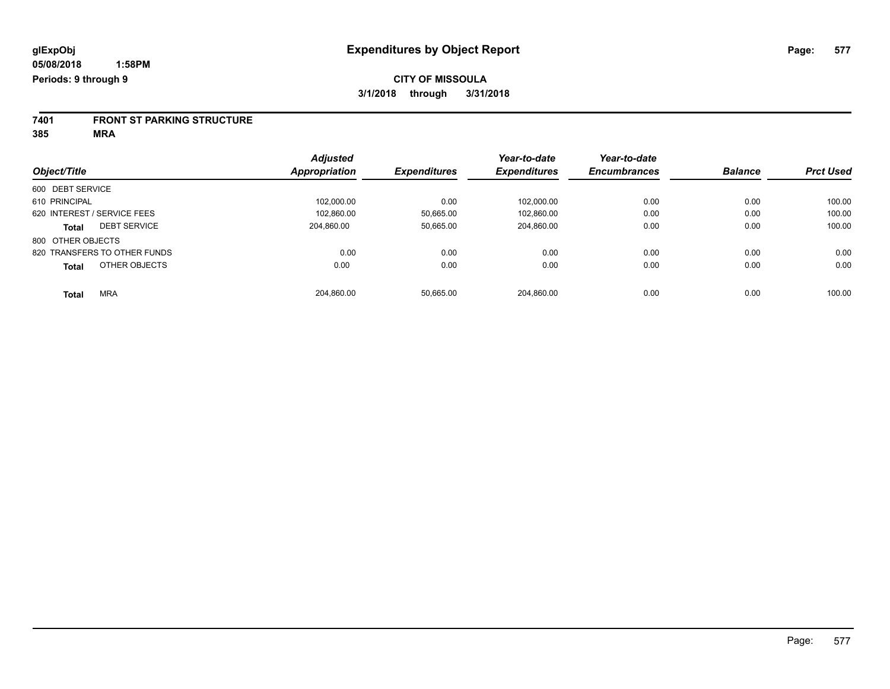# **7401 FRONT ST PARKING STRUCTURE**

**385 MRA**

|                               | <b>Adjusted</b>      |                     | Year-to-date        | Year-to-date        |                |                  |
|-------------------------------|----------------------|---------------------|---------------------|---------------------|----------------|------------------|
| Object/Title                  | <b>Appropriation</b> | <b>Expenditures</b> | <b>Expenditures</b> | <b>Encumbrances</b> | <b>Balance</b> | <b>Prct Used</b> |
| 600 DEBT SERVICE              |                      |                     |                     |                     |                |                  |
| 610 PRINCIPAL                 | 102,000.00           | 0.00                | 102.000.00          | 0.00                | 0.00           | 100.00           |
| 620 INTEREST / SERVICE FEES   | 102,860.00           | 50,665.00           | 102.860.00          | 0.00                | 0.00           | 100.00           |
| <b>DEBT SERVICE</b><br>Total  | 204.860.00           | 50,665.00           | 204,860.00          | 0.00                | 0.00           | 100.00           |
| 800 OTHER OBJECTS             |                      |                     |                     |                     |                |                  |
| 820 TRANSFERS TO OTHER FUNDS  | 0.00                 | 0.00                | 0.00                | 0.00                | 0.00           | 0.00             |
| OTHER OBJECTS<br><b>Total</b> | 0.00                 | 0.00                | 0.00                | 0.00                | 0.00           | 0.00             |
| <b>MRA</b><br><b>Total</b>    | 204.860.00           | 50.665.00           | 204.860.00          | 0.00                | 0.00           | 100.00           |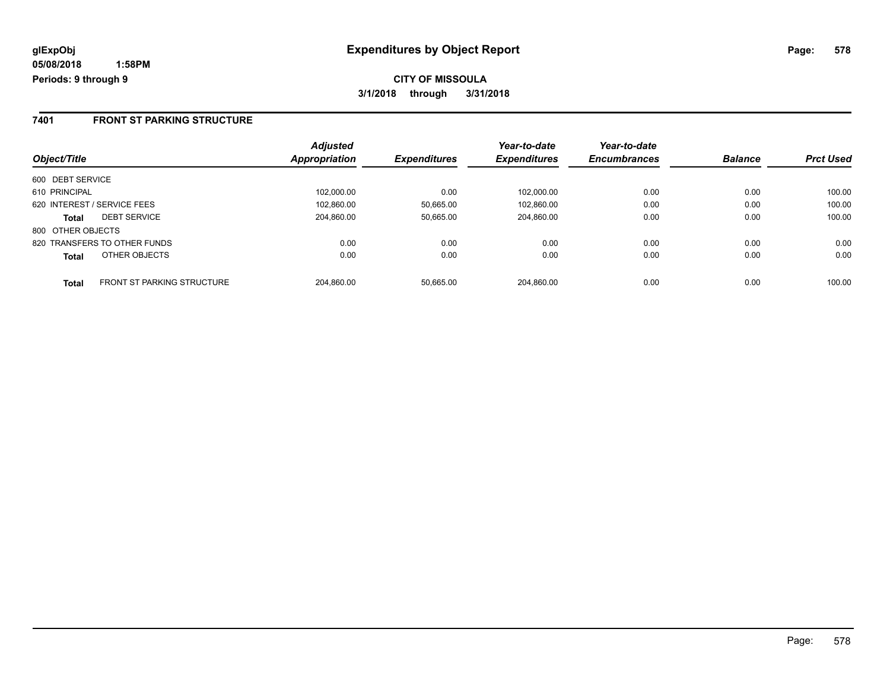#### **7401 FRONT ST PARKING STRUCTURE**

|                                            | <b>Adjusted</b> |                     | Year-to-date        | Year-to-date        |                |                  |
|--------------------------------------------|-----------------|---------------------|---------------------|---------------------|----------------|------------------|
| Object/Title                               | Appropriation   | <b>Expenditures</b> | <b>Expenditures</b> | <b>Encumbrances</b> | <b>Balance</b> | <b>Prct Used</b> |
| 600 DEBT SERVICE                           |                 |                     |                     |                     |                |                  |
| 610 PRINCIPAL                              | 102.000.00      | 0.00                | 102.000.00          | 0.00                | 0.00           | 100.00           |
| 620 INTEREST / SERVICE FEES                | 102,860.00      | 50,665.00           | 102,860.00          | 0.00                | 0.00           | 100.00           |
| <b>DEBT SERVICE</b><br><b>Total</b>        | 204.860.00      | 50,665.00           | 204,860.00          | 0.00                | 0.00           | 100.00           |
| 800 OTHER OBJECTS                          |                 |                     |                     |                     |                |                  |
| 820 TRANSFERS TO OTHER FUNDS               | 0.00            | 0.00                | 0.00                | 0.00                | 0.00           | 0.00             |
| OTHER OBJECTS<br><b>Total</b>              | 0.00            | 0.00                | 0.00                | 0.00                | 0.00           | 0.00             |
| <b>FRONT ST PARKING STRUCTURE</b><br>Total | 204.860.00      | 50.665.00           | 204.860.00          | 0.00                | 0.00           | 100.00           |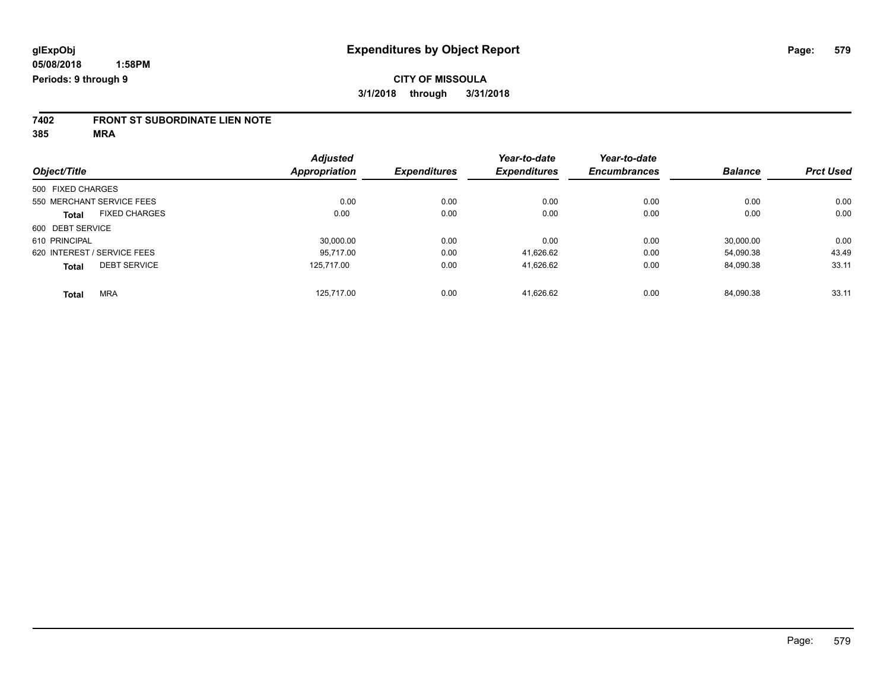# **7402 FRONT ST SUBORDINATE LIEN NOTE**

**385 MRA**

|                                      | <b>Adjusted</b>      |                     | Year-to-date        | Year-to-date        |                |                  |
|--------------------------------------|----------------------|---------------------|---------------------|---------------------|----------------|------------------|
| Object/Title                         | <b>Appropriation</b> | <b>Expenditures</b> | <b>Expenditures</b> | <b>Encumbrances</b> | <b>Balance</b> | <b>Prct Used</b> |
| 500 FIXED CHARGES                    |                      |                     |                     |                     |                |                  |
| 550 MERCHANT SERVICE FEES            | 0.00                 | 0.00                | 0.00                | 0.00                | 0.00           | 0.00             |
| <b>FIXED CHARGES</b><br><b>Total</b> | 0.00                 | 0.00                | 0.00                | 0.00                | 0.00           | 0.00             |
| 600 DEBT SERVICE                     |                      |                     |                     |                     |                |                  |
| 610 PRINCIPAL                        | 30,000.00            | 0.00                | 0.00                | 0.00                | 30.000.00      | 0.00             |
| 620 INTEREST / SERVICE FEES          | 95.717.00            | 0.00                | 41,626.62           | 0.00                | 54,090.38      | 43.49            |
| <b>DEBT SERVICE</b><br><b>Total</b>  | 125.717.00           | 0.00                | 41,626.62           | 0.00                | 84,090.38      | 33.11            |
| <b>MRA</b><br><b>Total</b>           | 125.717.00           | 0.00                | 41.626.62           | 0.00                | 84.090.38      | 33.11            |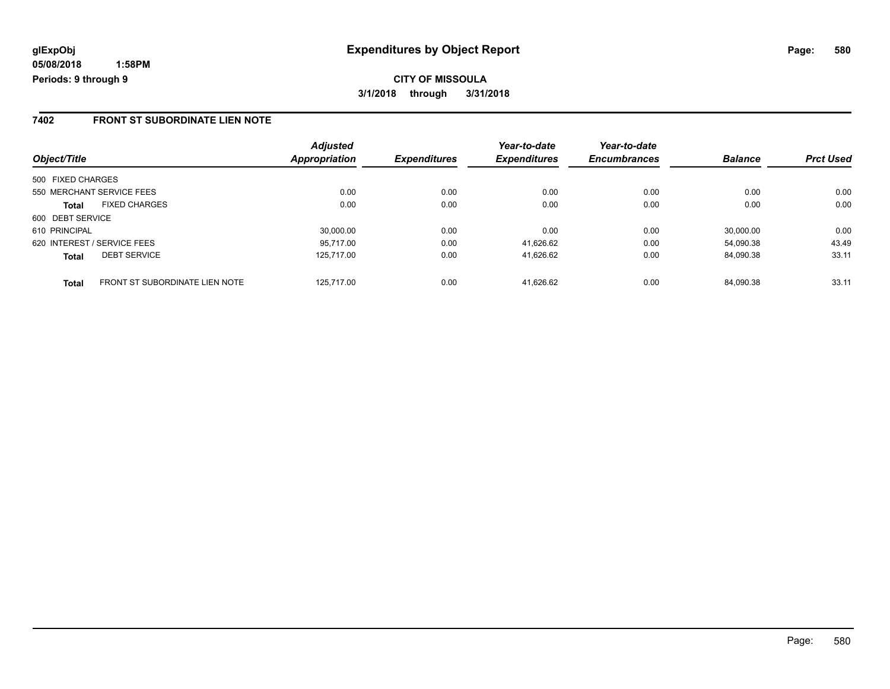**CITY OF MISSOULA 3/1/2018 through 3/31/2018**

#### **7402 FRONT ST SUBORDINATE LIEN NOTE**

| Object/Title                                          | <b>Adjusted</b><br>Appropriation | <b>Expenditures</b> | Year-to-date<br><b>Expenditures</b> | Year-to-date<br><b>Encumbrances</b> | <b>Balance</b> | <b>Prct Used</b> |
|-------------------------------------------------------|----------------------------------|---------------------|-------------------------------------|-------------------------------------|----------------|------------------|
|                                                       |                                  |                     |                                     |                                     |                |                  |
| 500 FIXED CHARGES                                     |                                  |                     |                                     |                                     |                |                  |
| 550 MERCHANT SERVICE FEES                             | 0.00                             | 0.00                | 0.00                                | 0.00                                | 0.00           | 0.00             |
| <b>FIXED CHARGES</b><br><b>Total</b>                  | 0.00                             | 0.00                | 0.00                                | 0.00                                | 0.00           | 0.00             |
| 600 DEBT SERVICE                                      |                                  |                     |                                     |                                     |                |                  |
| 610 PRINCIPAL                                         | 30.000.00                        | 0.00                | 0.00                                | 0.00                                | 30.000.00      | 0.00             |
| 620 INTEREST / SERVICE FEES                           | 95.717.00                        | 0.00                | 41.626.62                           | 0.00                                | 54.090.38      | 43.49            |
| <b>DEBT SERVICE</b><br><b>Total</b>                   | 125.717.00                       | 0.00                | 41,626.62                           | 0.00                                | 84,090.38      | 33.11            |
| <b>FRONT ST SUBORDINATE LIEN NOTE</b><br><b>Total</b> | 125.717.00                       | 0.00                | 41.626.62                           | 0.00                                | 84.090.38      | 33.11            |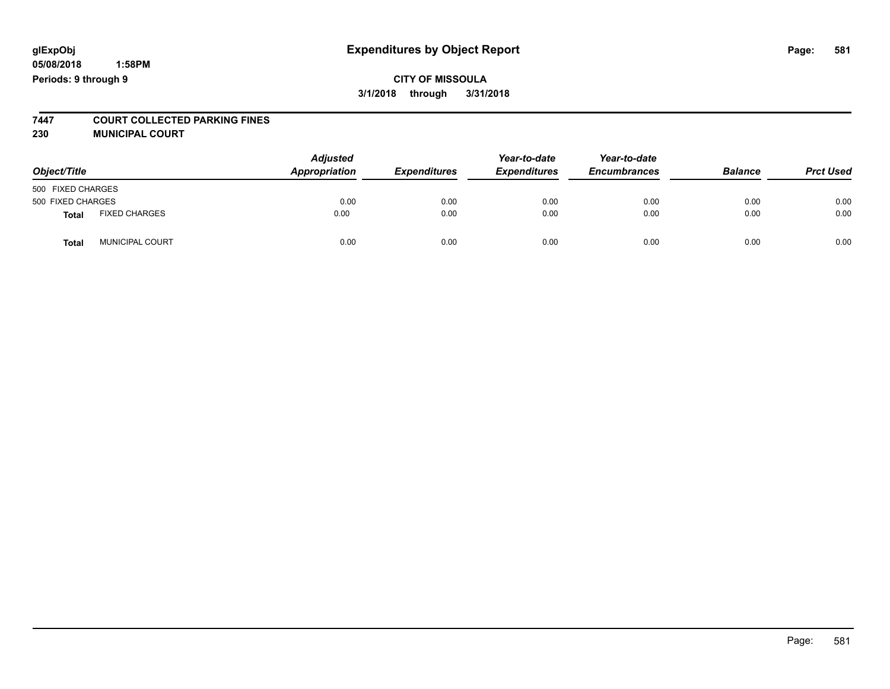### **CITY OF MISSOULA 3/1/2018 through 3/31/2018**

# **7447 COURT COLLECTED PARKING FINES**

**230 MUNICIPAL COURT**

| Object/Title      |                        | <b>Adjusted</b><br>Appropriation | <b>Expenditures</b> | Year-to-date<br><b>Expenditures</b> | Year-to-date<br><b>Encumbrances</b> | <b>Balance</b> | <b>Prct Used</b> |
|-------------------|------------------------|----------------------------------|---------------------|-------------------------------------|-------------------------------------|----------------|------------------|
| 500 FIXED CHARGES |                        |                                  |                     |                                     |                                     |                |                  |
| 500 FIXED CHARGES |                        | 0.00                             | 0.00                | 0.00                                | 0.00                                | 0.00           | 0.00             |
| <b>Total</b>      | <b>FIXED CHARGES</b>   | 0.00                             | 0.00                | 0.00                                | 0.00                                | 0.00           | 0.00             |
| <b>Total</b>      | <b>MUNICIPAL COURT</b> | 0.00                             | 0.00                | 0.00                                | 0.00                                | 0.00           | 0.00             |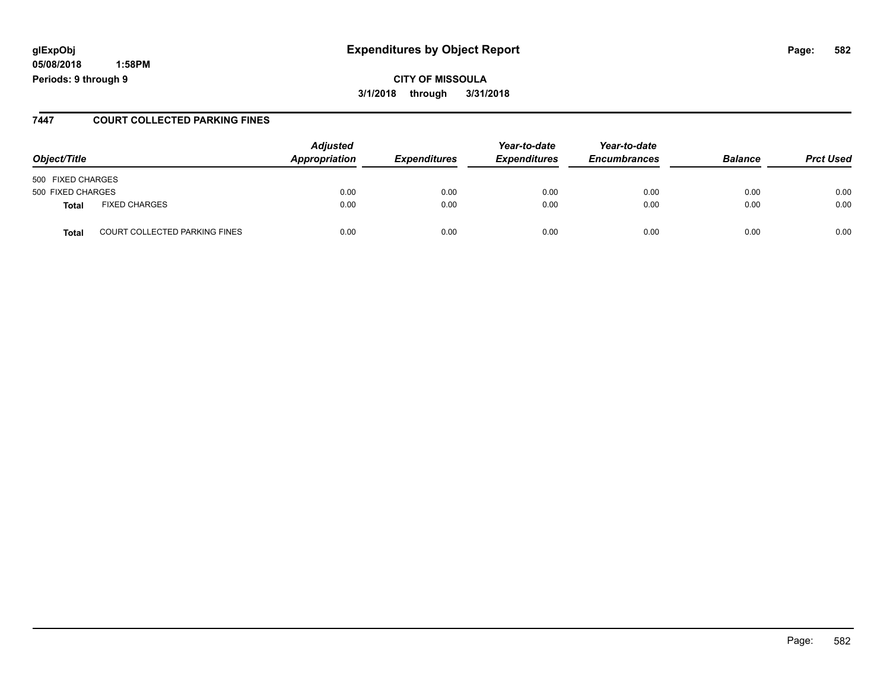### **glExpObj Expenditures by Object Report Page: 582**

**05/08/2018 1:58PM Periods: 9 through 9**

**3/1/2018 through 3/31/2018**

#### **7447 COURT COLLECTED PARKING FINES**

| Object/Title      |                                      | <b>Adjusted</b><br>Appropriation | <b>Expenditures</b> | Year-to-date<br><b>Expenditures</b> | Year-to-date<br><b>Encumbrances</b> | <b>Balance</b> | <b>Prct Used</b> |
|-------------------|--------------------------------------|----------------------------------|---------------------|-------------------------------------|-------------------------------------|----------------|------------------|
| 500 FIXED CHARGES |                                      |                                  |                     |                                     |                                     |                |                  |
| 500 FIXED CHARGES |                                      | 0.00                             | 0.00                | 0.00                                | 0.00                                | 0.00           | 0.00             |
| Total             | <b>FIXED CHARGES</b>                 | 0.00                             | 0.00                | 0.00                                | 0.00                                | 0.00           | 0.00             |
| <b>Total</b>      | <b>COURT COLLECTED PARKING FINES</b> | 0.00                             | 0.00                | 0.00                                | 0.00                                | 0.00           | 0.00             |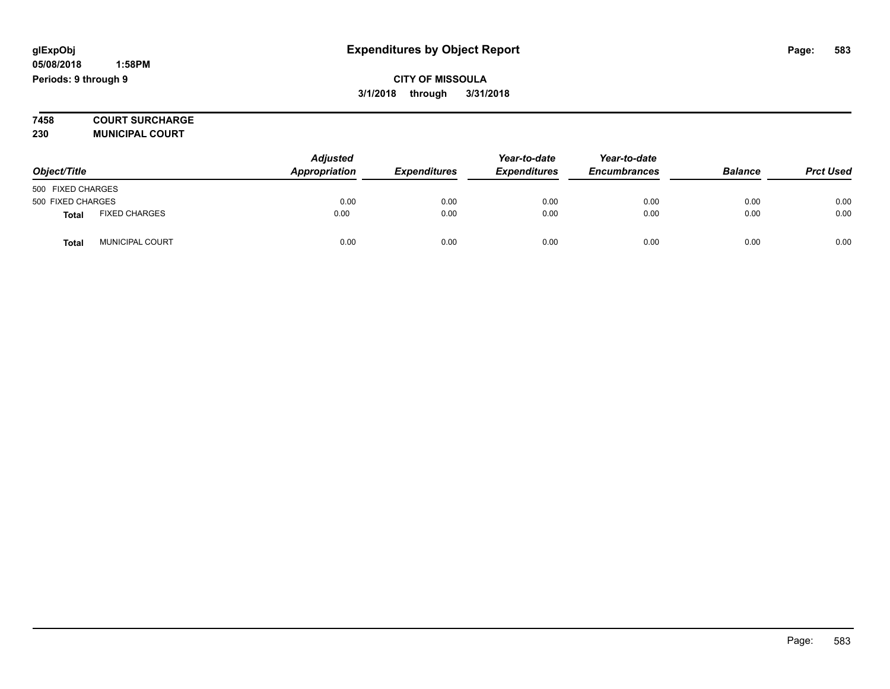**7458 COURT SURCHARGE 230 MUNICIPAL COURT**

| Object/Title      |                        | <b>Adjusted</b><br>Appropriation | <b>Expenditures</b> | Year-to-date<br><b>Expenditures</b> | Year-to-date<br><b>Encumbrances</b> | <b>Balance</b> | <b>Prct Used</b> |
|-------------------|------------------------|----------------------------------|---------------------|-------------------------------------|-------------------------------------|----------------|------------------|
| 500 FIXED CHARGES |                        |                                  |                     |                                     |                                     |                |                  |
| 500 FIXED CHARGES |                        | 0.00                             | 0.00                | 0.00                                | 0.00                                | 0.00           | 0.00             |
| <b>Total</b>      | <b>FIXED CHARGES</b>   | 0.00                             | 0.00                | 0.00                                | 0.00                                | 0.00           | 0.00             |
| <b>Total</b>      | <b>MUNICIPAL COURT</b> | 0.00                             | 0.00                | 0.00                                | 0.00                                | 0.00           | 0.00             |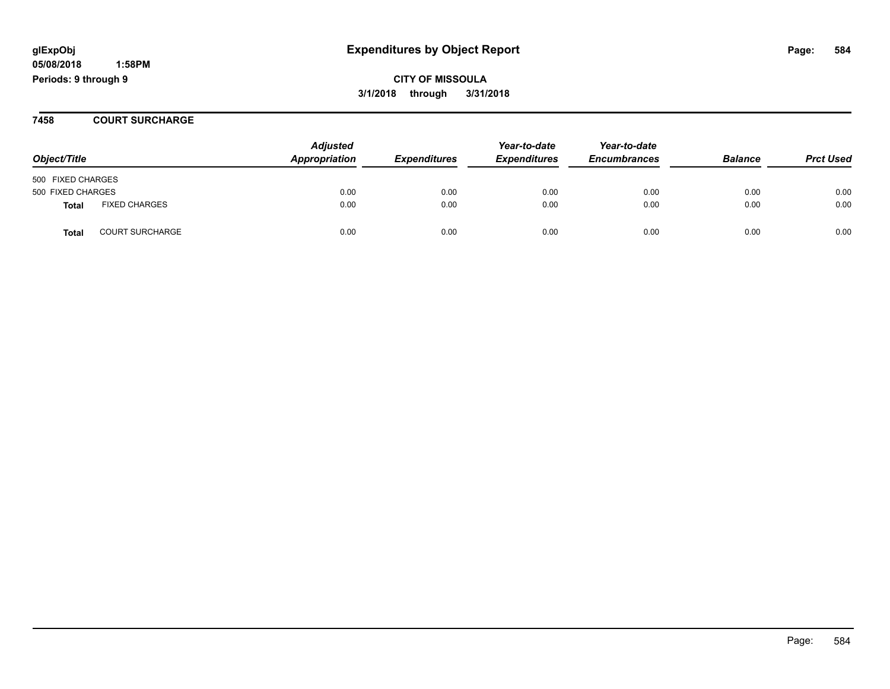**CITY OF MISSOULA 3/1/2018 through 3/31/2018**

**7458 COURT SURCHARGE**

|                                        | <b>Adjusted</b> |                            | Year-to-date        | Year-to-date        |                |                  |
|----------------------------------------|-----------------|----------------------------|---------------------|---------------------|----------------|------------------|
| Object/Title                           | Appropriation   | <i><b>Expenditures</b></i> | <b>Expenditures</b> | <b>Encumbrances</b> | <b>Balance</b> | <b>Prct Used</b> |
| 500 FIXED CHARGES                      |                 |                            |                     |                     |                |                  |
| 500 FIXED CHARGES                      | 0.00            | 0.00                       | 0.00                | 0.00                | 0.00           | 0.00             |
| <b>FIXED CHARGES</b><br><b>Total</b>   | 0.00            | 0.00                       | 0.00                | 0.00                | 0.00           | 0.00             |
| <b>COURT SURCHARGE</b><br><b>Total</b> | 0.00            | 0.00                       | 0.00                | 0.00                | 0.00           | 0.00             |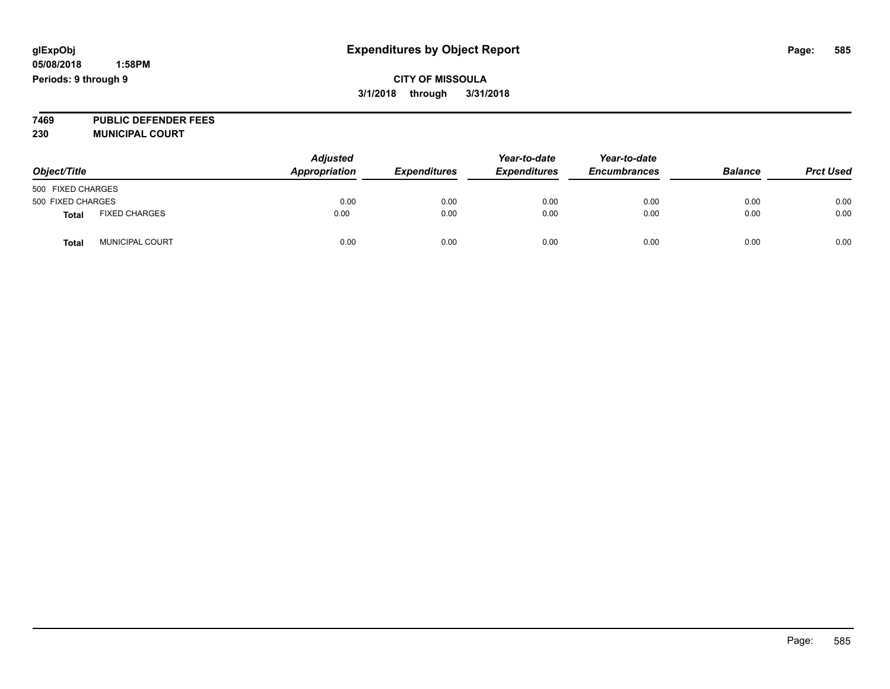**CITY OF MISSOULA 3/1/2018 through 3/31/2018**

**7469 PUBLIC DEFENDER FEES 230 MUNICIPAL COURT**

| Object/Title      |                        | <b>Adjusted</b><br>Appropriation | <b>Expenditures</b> | Year-to-date<br><b>Expenditures</b> | Year-to-date<br><b>Encumbrances</b> | <b>Balance</b> | <b>Prct Used</b> |
|-------------------|------------------------|----------------------------------|---------------------|-------------------------------------|-------------------------------------|----------------|------------------|
| 500 FIXED CHARGES |                        |                                  |                     |                                     |                                     |                |                  |
| 500 FIXED CHARGES |                        | 0.00                             | 0.00                | 0.00                                | 0.00                                | 0.00           | 0.00             |
| Total             | <b>FIXED CHARGES</b>   | 0.00                             | 0.00                | 0.00                                | 0.00                                | 0.00           | 0.00             |
| <b>Total</b>      | <b>MUNICIPAL COURT</b> | 0.00                             | 0.00                | 0.00                                | 0.00                                | 0.00           | 0.00             |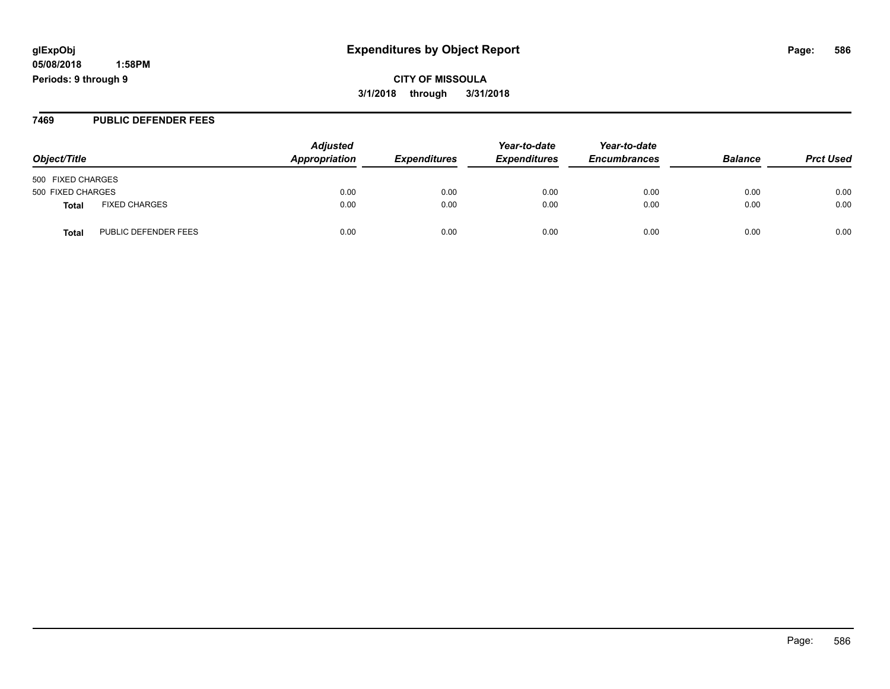**CITY OF MISSOULA 3/1/2018 through 3/31/2018**

#### **7469 PUBLIC DEFENDER FEES**

| Object/Title                         | <b>Adjusted</b><br>Appropriation | <b>Expenditures</b> | Year-to-date<br><b>Expenditures</b> | Year-to-date<br><b>Encumbrances</b> | <b>Balance</b> | <b>Prct Used</b> |
|--------------------------------------|----------------------------------|---------------------|-------------------------------------|-------------------------------------|----------------|------------------|
| 500 FIXED CHARGES                    |                                  |                     |                                     |                                     |                |                  |
| 500 FIXED CHARGES                    | 0.00                             | 0.00                | 0.00                                | 0.00                                | 0.00           | 0.00             |
| <b>FIXED CHARGES</b><br>Total        | 0.00                             | 0.00                | 0.00                                | 0.00                                | 0.00           | 0.00             |
| PUBLIC DEFENDER FEES<br><b>Total</b> | 0.00                             | 0.00                | 0.00                                | 0.00                                | 0.00           | 0.00             |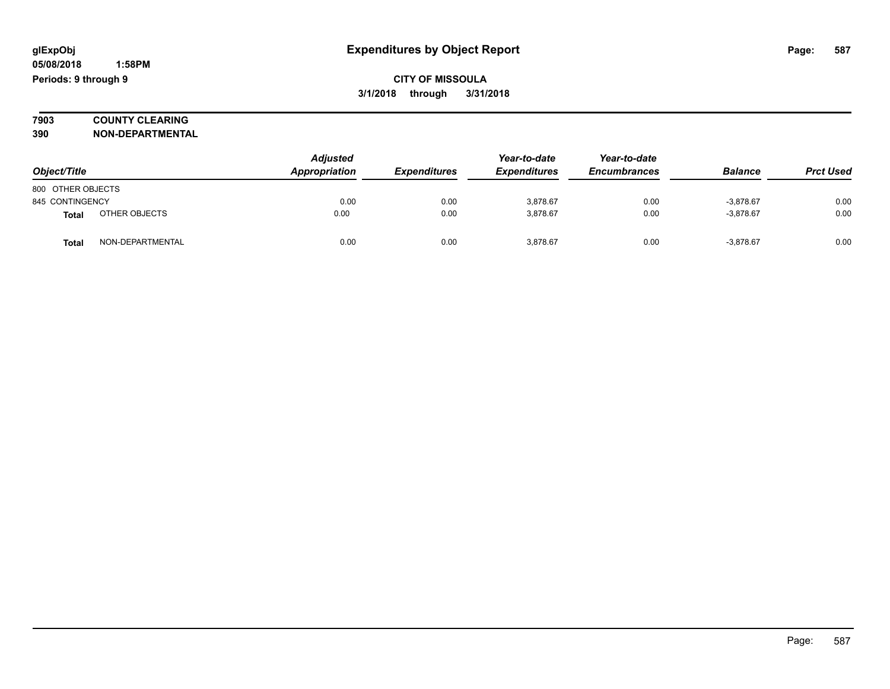#### **7903 COUNTY CLEARING 390 NON-DEPARTMENTAL**

| Object/Title      |                  | <b>Adjusted</b><br>Appropriation | <b>Expenditures</b> | Year-to-date<br><b>Expenditures</b> | Year-to-date<br><b>Encumbrances</b> | <b>Balance</b> | <b>Prct Used</b> |
|-------------------|------------------|----------------------------------|---------------------|-------------------------------------|-------------------------------------|----------------|------------------|
|                   |                  |                                  |                     |                                     |                                     |                |                  |
| 800 OTHER OBJECTS |                  |                                  |                     |                                     |                                     |                |                  |
| 845 CONTINGENCY   |                  | 0.00                             | 0.00                | 3.878.67                            | 0.00                                | $-3.878.67$    | 0.00             |
| Total             | OTHER OBJECTS    | 0.00                             | 0.00                | 3,878.67                            | 0.00                                | $-3.878.67$    | 0.00             |
| Total             | NON-DEPARTMENTAL | 0.00                             | 0.00                | 3,878.67                            | 0.00                                | $-3,878.67$    | 0.00             |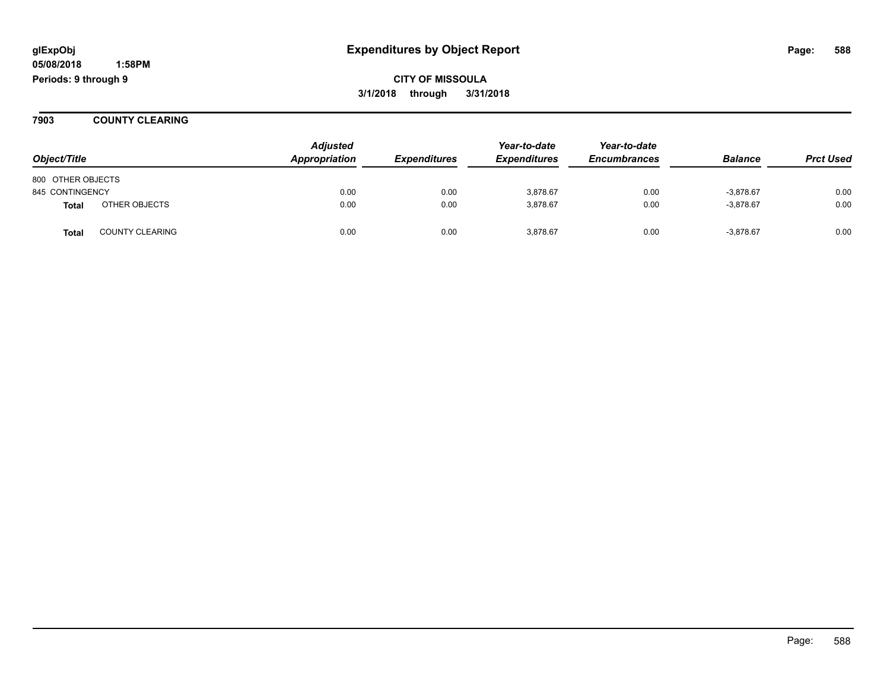**7903 COUNTY CLEARING**

|                   |                        | <b>Adjusted</b> | Year-to-date        | Year-to-date        |                     |                |                  |
|-------------------|------------------------|-----------------|---------------------|---------------------|---------------------|----------------|------------------|
| Object/Title      |                        | Appropriation   | <b>Expenditures</b> | <b>Expenditures</b> | <b>Encumbrances</b> | <b>Balance</b> | <b>Prct Used</b> |
| 800 OTHER OBJECTS |                        |                 |                     |                     |                     |                |                  |
| 845 CONTINGENCY   |                        | 0.00            | 0.00                | 3,878.67            | 0.00                | $-3.878.67$    | 0.00             |
| Total             | OTHER OBJECTS          | 0.00            | 0.00                | 3,878.67            | 0.00                | $-3,878.67$    | 0.00             |
| <b>Total</b>      | <b>COUNTY CLEARING</b> | 0.00            | 0.00                | 3,878.67            | 0.00                | $-3,878.67$    | 0.00             |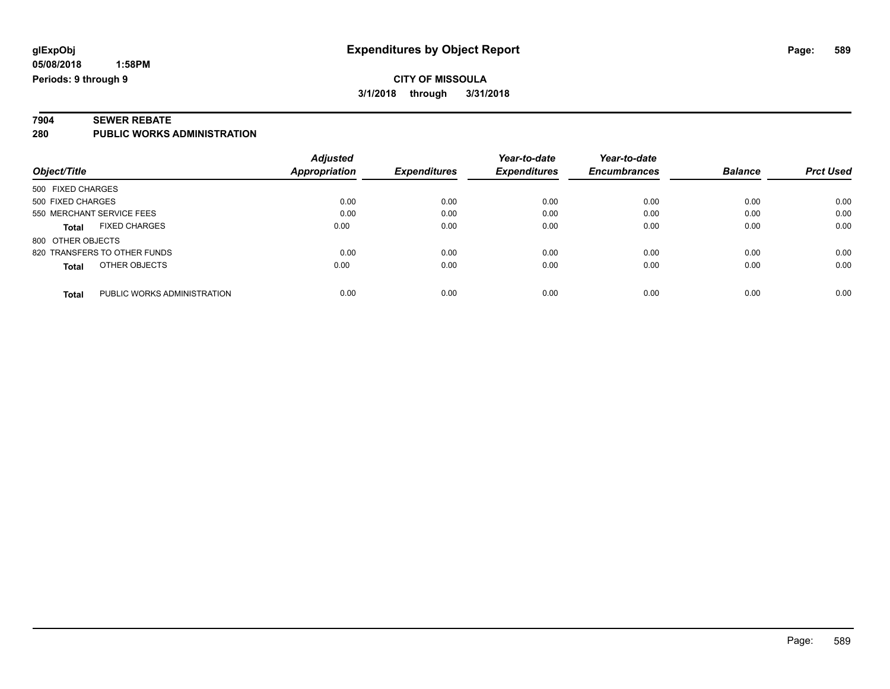### **CITY OF MISSOULA 3/1/2018 through 3/31/2018**

# **7904 SEWER REBATE**

**280 PUBLIC WORKS ADMINISTRATION**

|                                             | <b>Adjusted</b> |                     | Year-to-date        | Year-to-date        |                |                  |
|---------------------------------------------|-----------------|---------------------|---------------------|---------------------|----------------|------------------|
| Object/Title                                | Appropriation   | <b>Expenditures</b> | <b>Expenditures</b> | <b>Encumbrances</b> | <b>Balance</b> | <b>Prct Used</b> |
| 500 FIXED CHARGES                           |                 |                     |                     |                     |                |                  |
| 500 FIXED CHARGES                           | 0.00            | 0.00                | 0.00                | 0.00                | 0.00           | 0.00             |
| 550 MERCHANT SERVICE FEES                   | 0.00            | 0.00                | 0.00                | 0.00                | 0.00           | 0.00             |
| <b>FIXED CHARGES</b><br>Total               | 0.00            | 0.00                | 0.00                | 0.00                | 0.00           | 0.00             |
| 800 OTHER OBJECTS                           |                 |                     |                     |                     |                |                  |
| 820 TRANSFERS TO OTHER FUNDS                | 0.00            | 0.00                | 0.00                | 0.00                | 0.00           | 0.00             |
| OTHER OBJECTS<br><b>Total</b>               | 0.00            | 0.00                | 0.00                | 0.00                | 0.00           | 0.00             |
| PUBLIC WORKS ADMINISTRATION<br><b>Total</b> | 0.00            | 0.00                | 0.00                | 0.00                | 0.00           | 0.00             |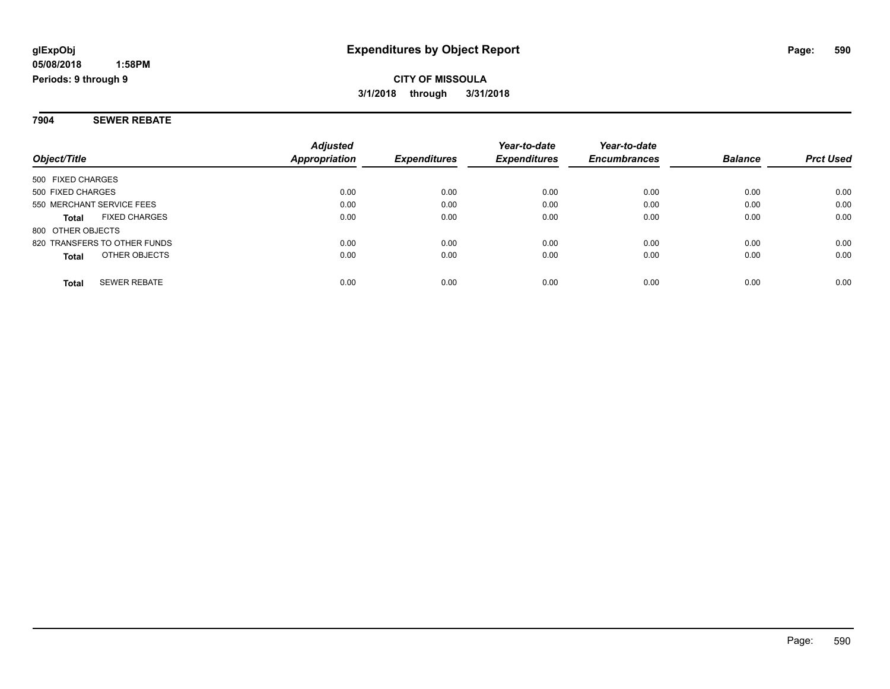**7904 SEWER REBATE**

|                                      | <b>Adjusted</b> |                     | Year-to-date        | Year-to-date        |                |                  |
|--------------------------------------|-----------------|---------------------|---------------------|---------------------|----------------|------------------|
| Object/Title                         | Appropriation   | <b>Expenditures</b> | <b>Expenditures</b> | <b>Encumbrances</b> | <b>Balance</b> | <b>Prct Used</b> |
| 500 FIXED CHARGES                    |                 |                     |                     |                     |                |                  |
| 500 FIXED CHARGES                    | 0.00            | 0.00                | 0.00                | 0.00                | 0.00           | 0.00             |
| 550 MERCHANT SERVICE FEES            | 0.00            | 0.00                | 0.00                | 0.00                | 0.00           | 0.00             |
| <b>FIXED CHARGES</b><br><b>Total</b> | 0.00            | 0.00                | 0.00                | 0.00                | 0.00           | 0.00             |
| 800 OTHER OBJECTS                    |                 |                     |                     |                     |                |                  |
| 820 TRANSFERS TO OTHER FUNDS         | 0.00            | 0.00                | 0.00                | 0.00                | 0.00           | 0.00             |
| OTHER OBJECTS<br><b>Total</b>        | 0.00            | 0.00                | 0.00                | 0.00                | 0.00           | 0.00             |
| <b>SEWER REBATE</b><br><b>Total</b>  | 0.00            | 0.00                | 0.00                | 0.00                | 0.00           | 0.00             |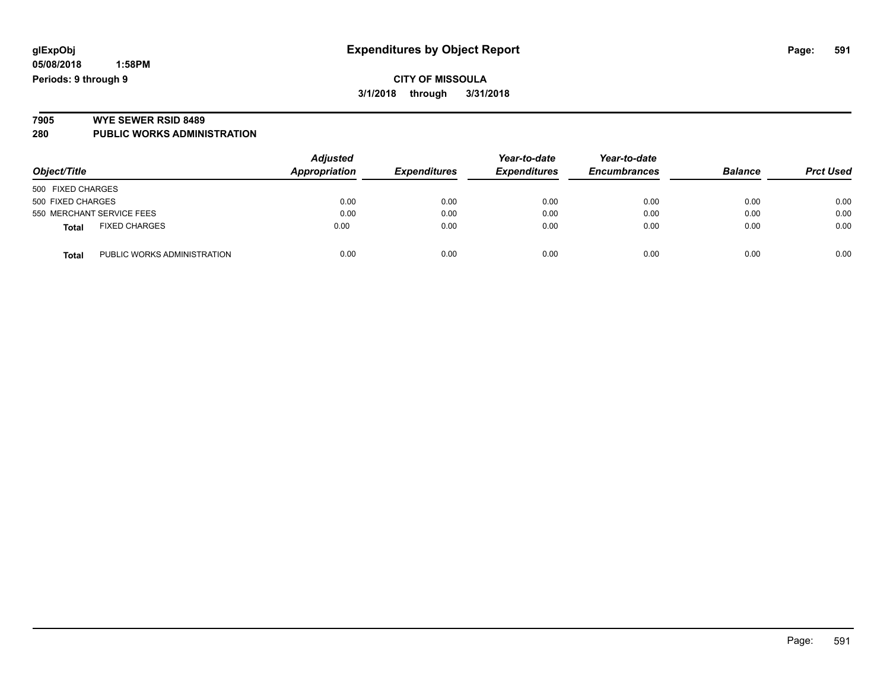**CITY OF MISSOULA 3/1/2018 through 3/31/2018**

# **7905 WYE SEWER RSID 8489**

**280 PUBLIC WORKS ADMINISTRATION**

| Object/Title                                | <b>Adjusted</b><br>Appropriation | <b>Expenditures</b> | Year-to-date<br><b>Expenditures</b> | Year-to-date<br><b>Encumbrances</b> | <b>Balance</b> | <b>Prct Used</b> |
|---------------------------------------------|----------------------------------|---------------------|-------------------------------------|-------------------------------------|----------------|------------------|
| 500 FIXED CHARGES                           |                                  |                     |                                     |                                     |                |                  |
| 500 FIXED CHARGES                           | 0.00                             | 0.00                | 0.00                                | 0.00                                | 0.00           | 0.00             |
| 550 MERCHANT SERVICE FEES                   | 0.00                             | 0.00                | 0.00                                | 0.00                                | 0.00           | 0.00             |
| <b>FIXED CHARGES</b><br><b>Total</b>        | 0.00                             | 0.00                | 0.00                                | 0.00                                | 0.00           | 0.00             |
| PUBLIC WORKS ADMINISTRATION<br><b>Total</b> | 0.00                             | 0.00                | 0.00                                | 0.00                                | 0.00           | 0.00             |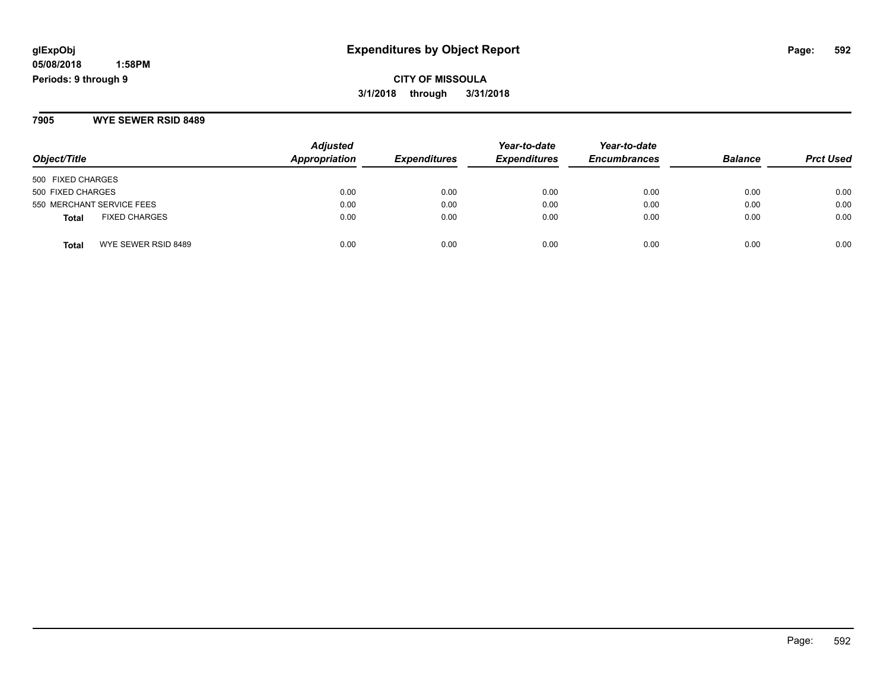**7905 WYE SEWER RSID 8489**

| Object/Title                         | <b>Adjusted</b><br>Appropriation | <b>Expenditures</b> | Year-to-date<br><b>Expenditures</b> | Year-to-date<br><b>Encumbrances</b> | <b>Balance</b> | <b>Prct Used</b> |
|--------------------------------------|----------------------------------|---------------------|-------------------------------------|-------------------------------------|----------------|------------------|
| 500 FIXED CHARGES                    |                                  |                     |                                     |                                     |                |                  |
| 500 FIXED CHARGES                    | 0.00                             | 0.00                | 0.00                                | 0.00                                | 0.00           | 0.00             |
| 550 MERCHANT SERVICE FEES            | 0.00                             | 0.00                | 0.00                                | 0.00                                | 0.00           | 0.00             |
| <b>FIXED CHARGES</b><br><b>Total</b> | 0.00                             | 0.00                | 0.00                                | 0.00                                | 0.00           | 0.00             |
| WYE SEWER RSID 8489<br><b>Total</b>  | 0.00                             | 0.00                | 0.00                                | 0.00                                | 0.00           | 0.00             |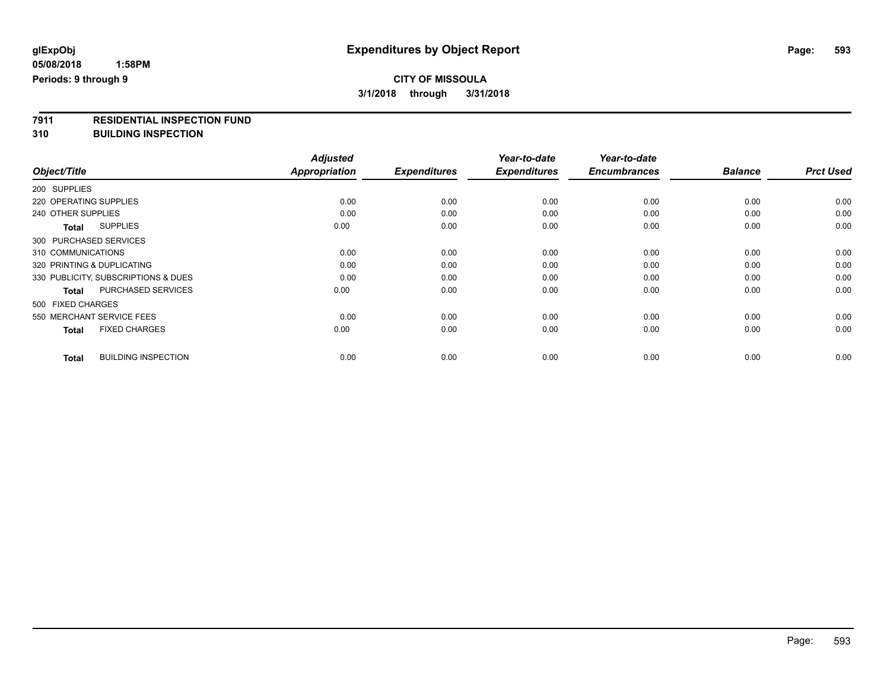# **7911 RESIDENTIAL INSPECTION FUND**

**310 BUILDING INSPECTION**

|                                            | <b>Adjusted</b>      | <b>Expenditures</b> | Year-to-date        | Year-to-date        | <b>Balance</b> | <b>Prct Used</b> |
|--------------------------------------------|----------------------|---------------------|---------------------|---------------------|----------------|------------------|
| Object/Title                               | <b>Appropriation</b> |                     | <b>Expenditures</b> | <b>Encumbrances</b> |                |                  |
| 200 SUPPLIES                               |                      |                     |                     |                     |                |                  |
| 220 OPERATING SUPPLIES                     | 0.00                 | 0.00                | 0.00                | 0.00                | 0.00           | 0.00             |
| 240 OTHER SUPPLIES                         | 0.00                 | 0.00                | 0.00                | 0.00                | 0.00           | 0.00             |
| <b>SUPPLIES</b><br><b>Total</b>            | 0.00                 | 0.00                | 0.00                | 0.00                | 0.00           | 0.00             |
| 300 PURCHASED SERVICES                     |                      |                     |                     |                     |                |                  |
| 310 COMMUNICATIONS                         | 0.00                 | 0.00                | 0.00                | 0.00                | 0.00           | 0.00             |
| 320 PRINTING & DUPLICATING                 | 0.00                 | 0.00                | 0.00                | 0.00                | 0.00           | 0.00             |
| 330 PUBLICITY, SUBSCRIPTIONS & DUES        | 0.00                 | 0.00                | 0.00                | 0.00                | 0.00           | 0.00             |
| PURCHASED SERVICES<br><b>Total</b>         | 0.00                 | 0.00                | 0.00                | 0.00                | 0.00           | 0.00             |
| 500 FIXED CHARGES                          |                      |                     |                     |                     |                |                  |
| 550 MERCHANT SERVICE FEES                  | 0.00                 | 0.00                | 0.00                | 0.00                | 0.00           | 0.00             |
| <b>FIXED CHARGES</b><br><b>Total</b>       | 0.00                 | 0.00                | 0.00                | 0.00                | 0.00           | 0.00             |
| <b>BUILDING INSPECTION</b><br><b>Total</b> | 0.00                 | 0.00                | 0.00                | 0.00                | 0.00           | 0.00             |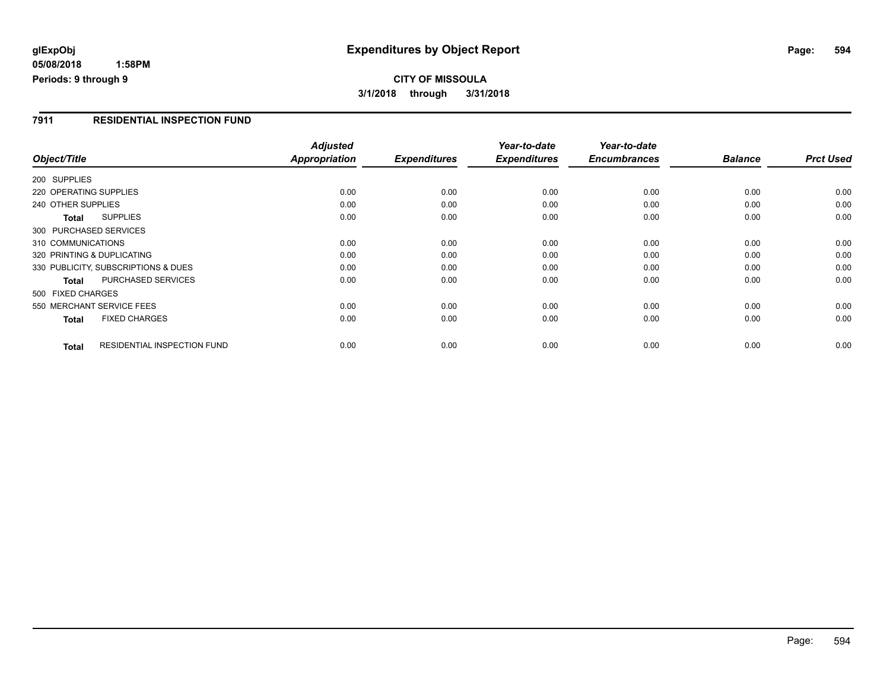#### **7911 RESIDENTIAL INSPECTION FUND**

|                                      |                                    | <b>Adjusted</b>      |                     | Year-to-date        | Year-to-date        |                |                  |
|--------------------------------------|------------------------------------|----------------------|---------------------|---------------------|---------------------|----------------|------------------|
| Object/Title                         |                                    | <b>Appropriation</b> | <b>Expenditures</b> | <b>Expenditures</b> | <b>Encumbrances</b> | <b>Balance</b> | <b>Prct Used</b> |
| 200 SUPPLIES                         |                                    |                      |                     |                     |                     |                |                  |
| 220 OPERATING SUPPLIES               |                                    | 0.00                 | 0.00                | 0.00                | 0.00                | 0.00           | 0.00             |
| 240 OTHER SUPPLIES                   |                                    | 0.00                 | 0.00                | 0.00                | 0.00                | 0.00           | 0.00             |
| <b>SUPPLIES</b><br>Total             |                                    | 0.00                 | 0.00                | 0.00                | 0.00                | 0.00           | 0.00             |
| 300 PURCHASED SERVICES               |                                    |                      |                     |                     |                     |                |                  |
| 310 COMMUNICATIONS                   |                                    | 0.00                 | 0.00                | 0.00                | 0.00                | 0.00           | 0.00             |
| 320 PRINTING & DUPLICATING           |                                    | 0.00                 | 0.00                | 0.00                | 0.00                | 0.00           | 0.00             |
| 330 PUBLICITY, SUBSCRIPTIONS & DUES  |                                    | 0.00                 | 0.00                | 0.00                | 0.00                | 0.00           | 0.00             |
| <b>Total</b>                         | PURCHASED SERVICES                 | 0.00                 | 0.00                | 0.00                | 0.00                | 0.00           | 0.00             |
| 500 FIXED CHARGES                    |                                    |                      |                     |                     |                     |                |                  |
| 550 MERCHANT SERVICE FEES            |                                    | 0.00                 | 0.00                | 0.00                | 0.00                | 0.00           | 0.00             |
| <b>FIXED CHARGES</b><br><b>Total</b> |                                    | 0.00                 | 0.00                | 0.00                | 0.00                | 0.00           | 0.00             |
| <b>Total</b>                         | <b>RESIDENTIAL INSPECTION FUND</b> | 0.00                 | 0.00                | 0.00                | 0.00                | 0.00           | 0.00             |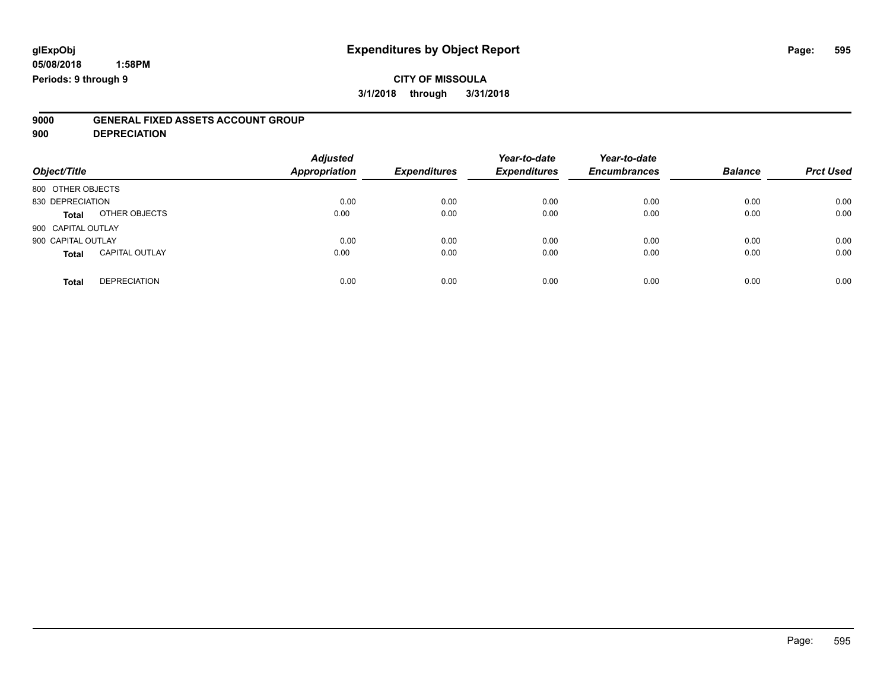# **CITY OF MISSOULA**

**3/1/2018 through 3/31/2018**

# **9000 GENERAL FIXED ASSETS ACCOUNT GROUP**

**900 DEPRECIATION**

| Object/Title                          | <b>Adjusted</b><br><b>Appropriation</b> | <b>Expenditures</b> | Year-to-date<br><b>Expenditures</b> | Year-to-date<br><b>Encumbrances</b> | <b>Balance</b> | <b>Prct Used</b> |
|---------------------------------------|-----------------------------------------|---------------------|-------------------------------------|-------------------------------------|----------------|------------------|
| 800 OTHER OBJECTS                     |                                         |                     |                                     |                                     |                |                  |
| 830 DEPRECIATION                      | 0.00                                    | 0.00                | 0.00                                | 0.00                                | 0.00           | 0.00             |
| OTHER OBJECTS<br><b>Total</b>         | 0.00                                    | 0.00                | 0.00                                | 0.00                                | 0.00           | 0.00             |
| 900 CAPITAL OUTLAY                    |                                         |                     |                                     |                                     |                |                  |
| 900 CAPITAL OUTLAY                    | 0.00                                    | 0.00                | 0.00                                | 0.00                                | 0.00           | 0.00             |
| <b>CAPITAL OUTLAY</b><br><b>Total</b> | 0.00                                    | 0.00                | 0.00                                | 0.00                                | 0.00           | 0.00             |
| <b>DEPRECIATION</b><br><b>Total</b>   | 0.00                                    | 0.00                | 0.00                                | 0.00                                | 0.00           | 0.00             |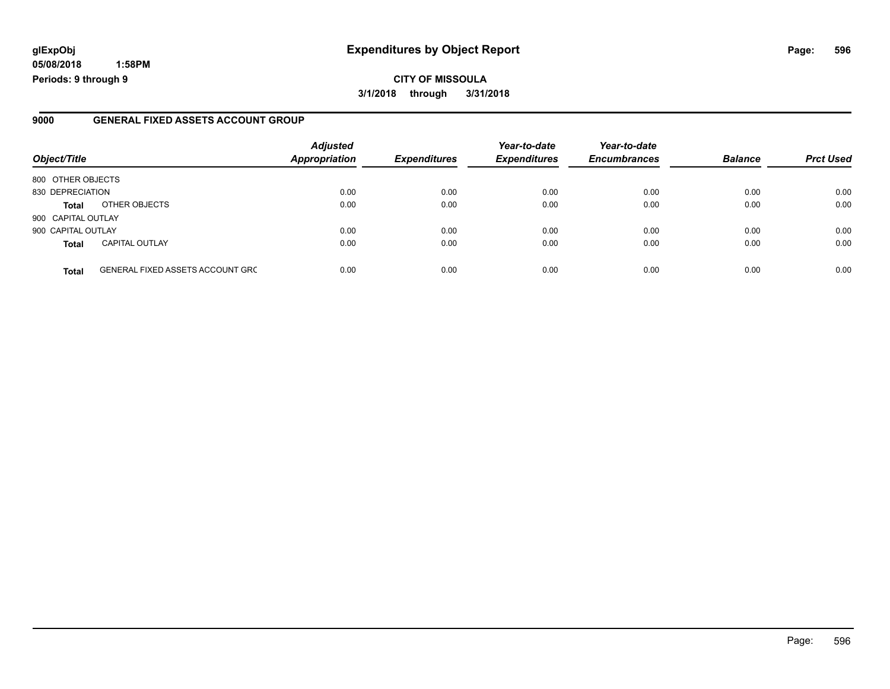### **glExpObj Expenditures by Object Report Page: 596**

**05/08/2018 1:58PM Periods: 9 through 9**

#### **9000 GENERAL FIXED ASSETS ACCOUNT GROUP**

| Object/Title       |                                         | <b>Adjusted</b><br><b>Appropriation</b> | <b>Expenditures</b> | Year-to-date<br><b>Expenditures</b> | Year-to-date<br><b>Encumbrances</b> | <b>Balance</b> | <b>Prct Used</b> |
|--------------------|-----------------------------------------|-----------------------------------------|---------------------|-------------------------------------|-------------------------------------|----------------|------------------|
| 800 OTHER OBJECTS  |                                         |                                         |                     |                                     |                                     |                |                  |
| 830 DEPRECIATION   |                                         | 0.00                                    | 0.00                | 0.00                                | 0.00                                | 0.00           | 0.00             |
| Total              | OTHER OBJECTS                           | 0.00                                    | 0.00                | 0.00                                | 0.00                                | 0.00           | 0.00             |
| 900 CAPITAL OUTLAY |                                         |                                         |                     |                                     |                                     |                |                  |
| 900 CAPITAL OUTLAY |                                         | 0.00                                    | 0.00                | 0.00                                | 0.00                                | 0.00           | 0.00             |
| <b>Total</b>       | <b>CAPITAL OUTLAY</b>                   | 0.00                                    | 0.00                | 0.00                                | 0.00                                | 0.00           | 0.00             |
| <b>Total</b>       | <b>GENERAL FIXED ASSETS ACCOUNT GRC</b> | 0.00                                    | 0.00                | 0.00                                | 0.00                                | 0.00           | 0.00             |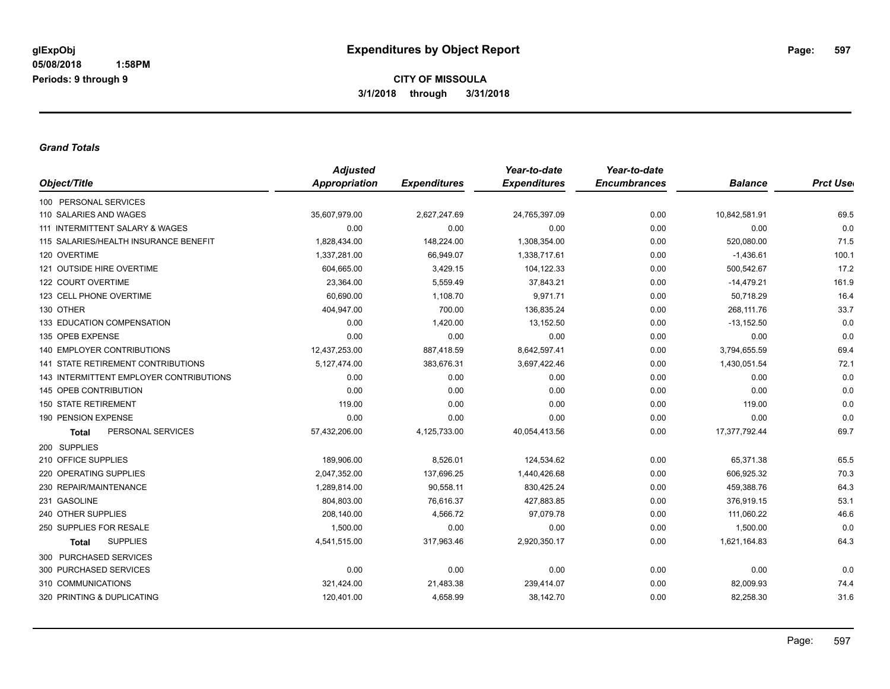#### *Grand Totals*

|                                           | <b>Adjusted</b> |                     | Year-to-date        | Year-to-date        |                |                  |
|-------------------------------------------|-----------------|---------------------|---------------------|---------------------|----------------|------------------|
| Object/Title                              | Appropriation   | <b>Expenditures</b> | <b>Expenditures</b> | <b>Encumbrances</b> | <b>Balance</b> | <b>Prct User</b> |
| 100 PERSONAL SERVICES                     |                 |                     |                     |                     |                |                  |
| 110 SALARIES AND WAGES                    | 35,607,979.00   | 2,627,247.69        | 24,765,397.09       | 0.00                | 10,842,581.91  | 69.5             |
| 111 INTERMITTENT SALARY & WAGES           | 0.00            | 0.00                | 0.00                | 0.00                | 0.00           | 0.0              |
| 115 SALARIES/HEALTH INSURANCE BENEFIT     | 1,828,434.00    | 148,224.00          | 1,308,354.00        | 0.00                | 520,080.00     | 71.5             |
| 120 OVERTIME                              | 1,337,281.00    | 66,949.07           | 1,338,717.61        | 0.00                | $-1,436.61$    | 100.1            |
| 121 OUTSIDE HIRE OVERTIME                 | 604,665.00      | 3,429.15            | 104,122.33          | 0.00                | 500,542.67     | 17.2             |
| 122 COURT OVERTIME                        | 23,364.00       | 5,559.49            | 37,843.21           | 0.00                | $-14,479.21$   | 161.9            |
| 123 CELL PHONE OVERTIME                   | 60,690.00       | 1,108.70            | 9,971.71            | 0.00                | 50,718.29      | 16.4             |
| 130 OTHER                                 | 404,947.00      | 700.00              | 136,835.24          | 0.00                | 268,111.76     | 33.7             |
| 133 EDUCATION COMPENSATION                | 0.00            | 1,420.00            | 13,152.50           | 0.00                | $-13, 152.50$  | 0.0              |
| 135 OPEB EXPENSE                          | 0.00            | 0.00                | 0.00                | 0.00                | 0.00           | 0.0              |
| 140 EMPLOYER CONTRIBUTIONS                | 12,437,253.00   | 887,418.59          | 8,642,597.41        | 0.00                | 3,794,655.59   | 69.4             |
| <b>141 STATE RETIREMENT CONTRIBUTIONS</b> | 5,127,474.00    | 383,676.31          | 3,697,422.46        | 0.00                | 1,430,051.54   | 72.1             |
| 143 INTERMITTENT EMPLOYER CONTRIBUTIONS   | 0.00            | 0.00                | 0.00                | 0.00                | 0.00           | 0.0              |
| 145 OPEB CONTRIBUTION                     | 0.00            | 0.00                | 0.00                | 0.00                | 0.00           | 0.0              |
| <b>150 STATE RETIREMENT</b>               | 119.00          | 0.00                | 0.00                | 0.00                | 119.00         | 0.0              |
| 190 PENSION EXPENSE                       | 0.00            | 0.00                | 0.00                | 0.00                | 0.00           | 0.0              |
| PERSONAL SERVICES<br><b>Total</b>         | 57,432,206.00   | 4,125,733.00        | 40,054,413.56       | 0.00                | 17,377,792.44  | 69.7             |
| 200 SUPPLIES                              |                 |                     |                     |                     |                |                  |
| 210 OFFICE SUPPLIES                       | 189,906.00      | 8,526.01            | 124,534.62          | 0.00                | 65,371.38      | 65.5             |
| 220 OPERATING SUPPLIES                    | 2,047,352.00    | 137,696.25          | 1,440,426.68        | 0.00                | 606,925.32     | 70.3             |
| 230 REPAIR/MAINTENANCE                    | 1,289,814.00    | 90,558.11           | 830,425.24          | 0.00                | 459,388.76     | 64.3             |
| 231 GASOLINE                              | 804,803.00      | 76,616.37           | 427,883.85          | 0.00                | 376,919.15     | 53.1             |
| 240 OTHER SUPPLIES                        | 208,140.00      | 4,566.72            | 97,079.78           | 0.00                | 111,060.22     | 46.6             |
| 250 SUPPLIES FOR RESALE                   | 1,500.00        | 0.00                | 0.00                | 0.00                | 1,500.00       | 0.0              |
| <b>SUPPLIES</b><br><b>Total</b>           | 4,541,515.00    | 317,963.46          | 2,920,350.17        | 0.00                | 1,621,164.83   | 64.3             |
| 300 PURCHASED SERVICES                    |                 |                     |                     |                     |                |                  |
| 300 PURCHASED SERVICES                    | 0.00            | 0.00                | 0.00                | 0.00                | 0.00           | 0.0              |
| 310 COMMUNICATIONS                        | 321,424.00      | 21,483.38           | 239,414.07          | 0.00                | 82,009.93      | 74.4             |
| 320 PRINTING & DUPLICATING                | 120,401.00      | 4,658.99            | 38,142.70           | 0.00                | 82,258.30      | 31.6             |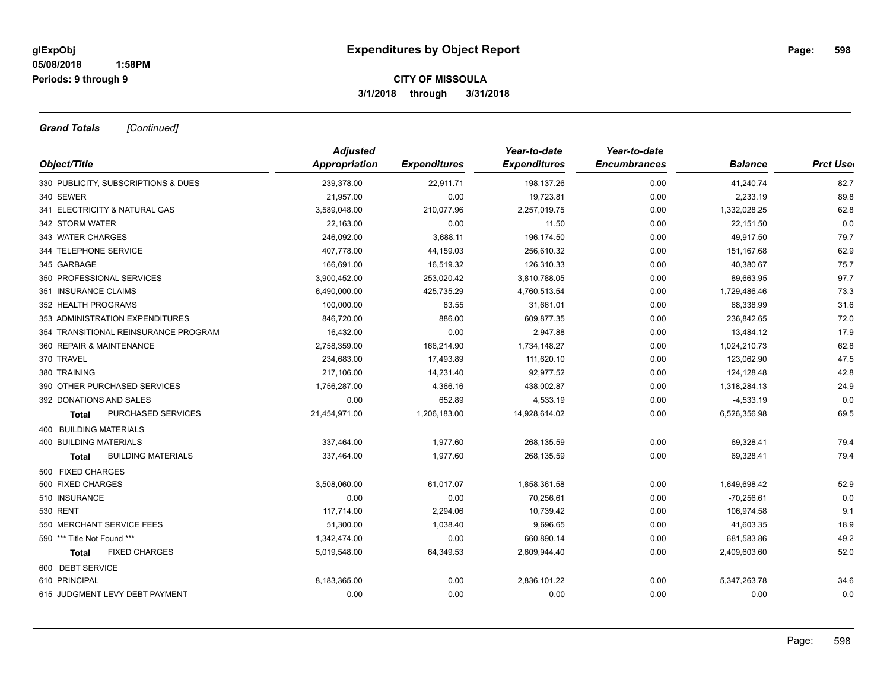*Grand Totals [Continued]*

|                                           | <b>Adjusted</b> |                     | Year-to-date        | Year-to-date        |                |                  |
|-------------------------------------------|-----------------|---------------------|---------------------|---------------------|----------------|------------------|
| Object/Title                              | Appropriation   | <b>Expenditures</b> | <b>Expenditures</b> | <b>Encumbrances</b> | <b>Balance</b> | <b>Prct Uset</b> |
| 330 PUBLICITY, SUBSCRIPTIONS & DUES       | 239,378.00      | 22,911.71           | 198,137.26          | 0.00                | 41,240.74      | 82.7             |
| 340 SEWER                                 | 21,957.00       | 0.00                | 19,723.81           | 0.00                | 2,233.19       | 89.8             |
| 341 ELECTRICITY & NATURAL GAS             | 3,589,048.00    | 210,077.96          | 2,257,019.75        | 0.00                | 1,332,028.25   | 62.8             |
| 342 STORM WATER                           | 22,163.00       | 0.00                | 11.50               | 0.00                | 22,151.50      | 0.0              |
| 343 WATER CHARGES                         | 246,092.00      | 3,688.11            | 196.174.50          | 0.00                | 49,917.50      | 79.7             |
| 344 TELEPHONE SERVICE                     | 407,778.00      | 44,159.03           | 256,610.32          | 0.00                | 151,167.68     | 62.9             |
| 345 GARBAGE                               | 166,691.00      | 16,519.32           | 126,310.33          | 0.00                | 40,380.67      | 75.7             |
| 350 PROFESSIONAL SERVICES                 | 3,900,452.00    | 253,020.42          | 3,810,788.05        | 0.00                | 89,663.95      | 97.7             |
| 351 INSURANCE CLAIMS                      | 6,490,000.00    | 425,735.29          | 4,760,513.54        | 0.00                | 1,729,486.46   | 73.3             |
| 352 HEALTH PROGRAMS                       | 100,000.00      | 83.55               | 31,661.01           | 0.00                | 68,338.99      | 31.6             |
| 353 ADMINISTRATION EXPENDITURES           | 846,720.00      | 886.00              | 609,877.35          | 0.00                | 236,842.65     | 72.0             |
| 354 TRANSITIONAL REINSURANCE PROGRAM      | 16,432.00       | 0.00                | 2,947.88            | 0.00                | 13,484.12      | 17.9             |
| 360 REPAIR & MAINTENANCE                  | 2,758,359.00    | 166,214.90          | 1,734,148.27        | 0.00                | 1,024,210.73   | 62.8             |
| 370 TRAVEL                                | 234,683.00      | 17,493.89           | 111,620.10          | 0.00                | 123,062.90     | 47.5             |
| 380 TRAINING                              | 217,106.00      | 14,231.40           | 92,977.52           | 0.00                | 124,128.48     | 42.8             |
| 390 OTHER PURCHASED SERVICES              | 1,756,287.00    | 4,366.16            | 438,002.87          | 0.00                | 1,318,284.13   | 24.9             |
| 392 DONATIONS AND SALES                   | 0.00            | 652.89              | 4,533.19            | 0.00                | $-4,533.19$    | 0.0              |
| PURCHASED SERVICES<br><b>Total</b>        | 21,454,971.00   | 1,206,183.00        | 14,928,614.02       | 0.00                | 6,526,356.98   | 69.5             |
| 400 BUILDING MATERIALS                    |                 |                     |                     |                     |                |                  |
| <b>400 BUILDING MATERIALS</b>             | 337,464.00      | 1,977.60            | 268,135.59          | 0.00                | 69,328.41      | 79.4             |
| <b>BUILDING MATERIALS</b><br><b>Total</b> | 337,464.00      | 1,977.60            | 268,135.59          | 0.00                | 69,328.41      | 79.4             |
| 500 FIXED CHARGES                         |                 |                     |                     |                     |                |                  |
| 500 FIXED CHARGES                         | 3,508,060.00    | 61,017.07           | 1,858,361.58        | 0.00                | 1,649,698.42   | 52.9             |
| 510 INSURANCE                             | 0.00            | 0.00                | 70,256.61           | 0.00                | $-70,256.61$   | 0.0              |
| <b>530 RENT</b>                           | 117,714.00      | 2,294.06            | 10,739.42           | 0.00                | 106,974.58     | 9.1              |
| 550 MERCHANT SERVICE FEES                 | 51,300.00       | 1,038.40            | 9,696.65            | 0.00                | 41,603.35      | 18.9             |
| 590 *** Title Not Found ***               | 1,342,474.00    | 0.00                | 660,890.14          | 0.00                | 681,583.86     | 49.2             |
| <b>FIXED CHARGES</b><br>Total             | 5,019,548.00    | 64,349.53           | 2,609,944.40        | 0.00                | 2,409,603.60   | 52.0             |
| 600 DEBT SERVICE                          |                 |                     |                     |                     |                |                  |
| 610 PRINCIPAL                             | 8,183,365.00    | 0.00                | 2,836,101.22        | 0.00                | 5,347,263.78   | 34.6             |
| 615 JUDGMENT LEVY DEBT PAYMENT            | 0.00            | 0.00                | 0.00                | 0.00                | 0.00           | 0.0              |
|                                           |                 |                     |                     |                     |                |                  |